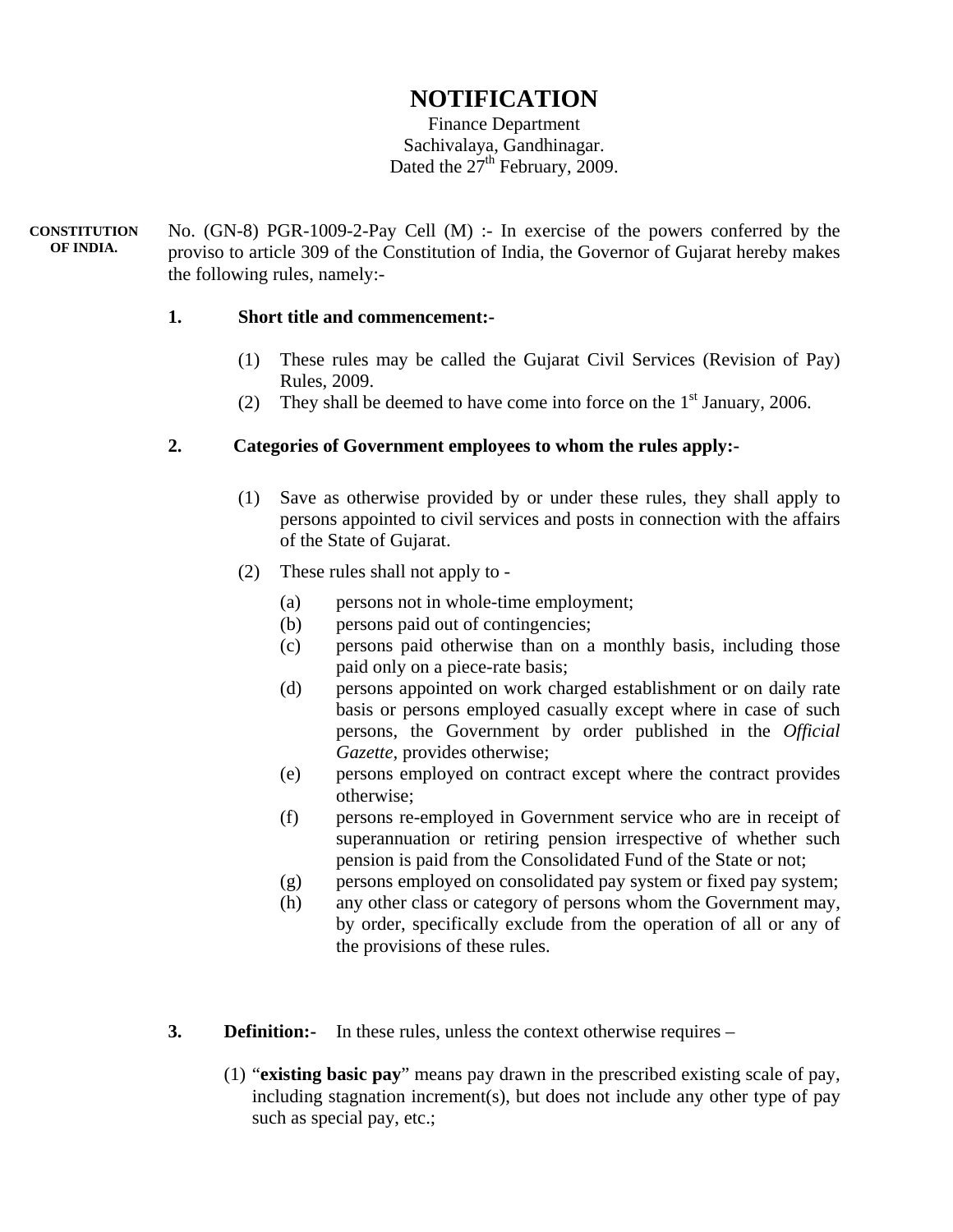# **NOTIFICATION**

Finance Department Sachivalaya, Gandhinagar. Dated the  $27<sup>th</sup>$  February, 2009.

No. (GN-8) PGR-1009-2-Pay Cell (M) :- In exercise of the powers conferred by the proviso to article 309 of the Constitution of India, the Governor of Gujarat hereby makes the following rules, namely:- **CONSTITUTION OF INDIA.** 

#### **1. Short title and commencement:-**

- (1) These rules may be called the Gujarat Civil Services (Revision of Pay) Rules, 2009.
- (2) They shall be deemed to have come into force on the  $1<sup>st</sup>$  January, 2006.

### **2. Categories of Government employees to whom the rules apply:-**

- (1) Save as otherwise provided by or under these rules, they shall apply to persons appointed to civil services and posts in connection with the affairs of the State of Gujarat.
- (2) These rules shall not apply to
	- (a) persons not in whole-time employment;
	- (b) persons paid out of contingencies;
	- (c) persons paid otherwise than on a monthly basis, including those paid only on a piece-rate basis;
	- (d) persons appointed on work charged establishment or on daily rate basis or persons employed casually except where in case of such persons, the Government by order published in the *Official Gazette,* provides otherwise;
	- (e) persons employed on contract except where the contract provides otherwise;
	- (f) persons re-employed in Government service who are in receipt of superannuation or retiring pension irrespective of whether such pension is paid from the Consolidated Fund of the State or not;
	- (g) persons employed on consolidated pay system or fixed pay system;
	- (h) any other class or category of persons whom the Government may, by order, specifically exclude from the operation of all or any of the provisions of these rules.
- **3. Definition:** In these rules, unless the context otherwise requires
	- (1) "**existing basic pay**" means pay drawn in the prescribed existing scale of pay, including stagnation increment(s), but does not include any other type of pay such as special pay, etc.;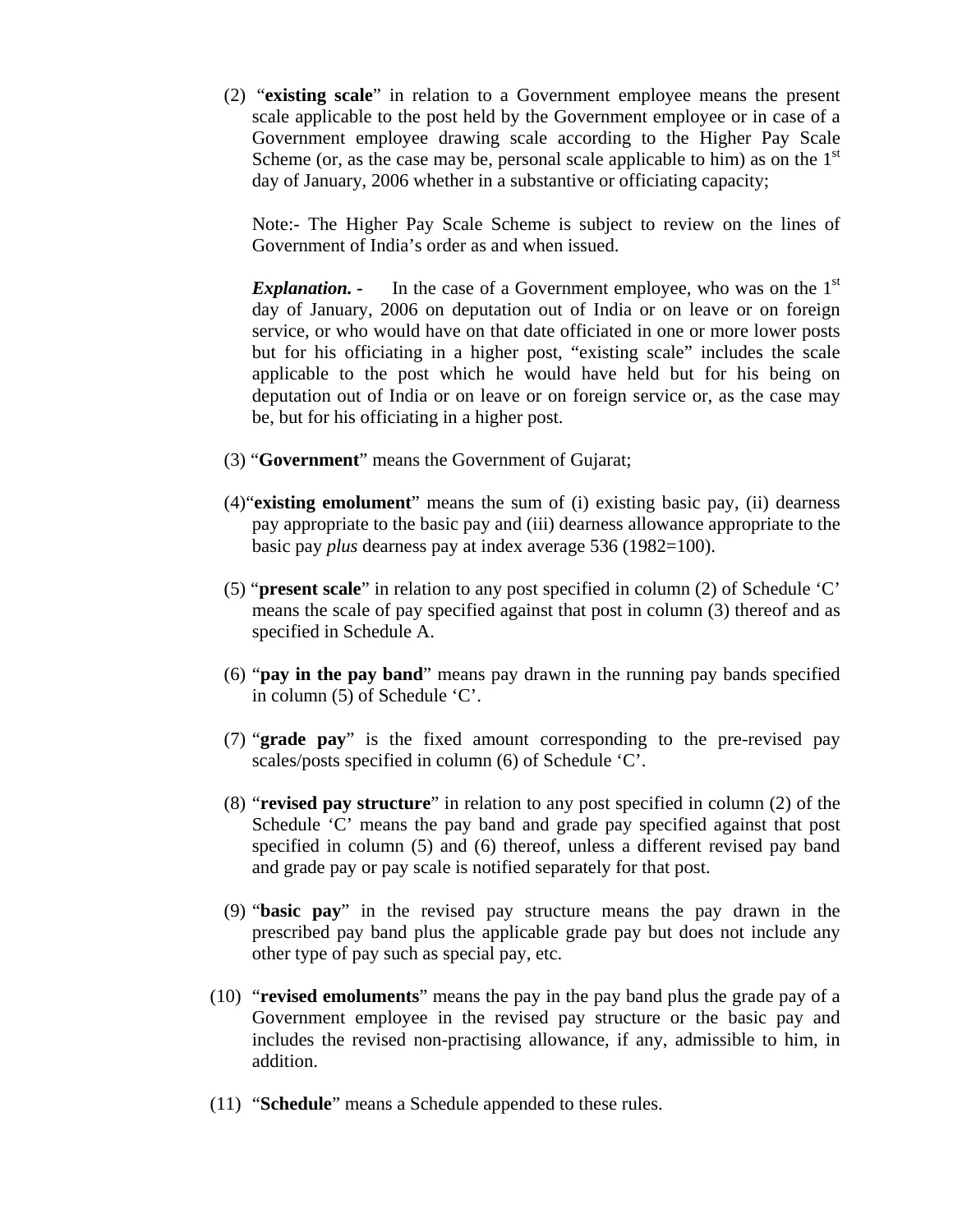(2) "**existing scale**" in relation to a Government employee means the present scale applicable to the post held by the Government employee or in case of a Government employee drawing scale according to the Higher Pay Scale Scheme (or, as the case may be, personal scale applicable to him) as on the  $1<sup>st</sup>$ day of January, 2006 whether in a substantive or officiating capacity;

Note:- The Higher Pay Scale Scheme is subject to review on the lines of Government of India's order as and when issued.

*Explanation.* - In the case of a Government employee, who was on the 1<sup>st</sup> day of January, 2006 on deputation out of India or on leave or on foreign service, or who would have on that date officiated in one or more lower posts but for his officiating in a higher post, "existing scale" includes the scale applicable to the post which he would have held but for his being on deputation out of India or on leave or on foreign service or, as the case may be, but for his officiating in a higher post.

- (3) "**Government**" means the Government of Gujarat;
- (4)"**existing emolument**" means the sum of (i) existing basic pay, (ii) dearness pay appropriate to the basic pay and (iii) dearness allowance appropriate to the basic pay *plus* dearness pay at index average 536 (1982=100).
- (5) "**present scale**" in relation to any post specified in column (2) of Schedule 'C' means the scale of pay specified against that post in column (3) thereof and as specified in Schedule A.
- (6) "**pay in the pay band**" means pay drawn in the running pay bands specified in column (5) of Schedule 'C'.
- (7) "**grade pay**" is the fixed amount corresponding to the pre-revised pay scales/posts specified in column (6) of Schedule 'C'.
- (8) "**revised pay structure**" in relation to any post specified in column (2) of the Schedule 'C' means the pay band and grade pay specified against that post specified in column (5) and (6) thereof, unless a different revised pay band and grade pay or pay scale is notified separately for that post.
- (9) "**basic pay**" in the revised pay structure means the pay drawn in the prescribed pay band plus the applicable grade pay but does not include any other type of pay such as special pay, etc.
- (10) "**revised emoluments**" means the pay in the pay band plus the grade pay of a Government employee in the revised pay structure or the basic pay and includes the revised non-practising allowance, if any, admissible to him, in addition.
- (11) "**Schedule**" means a Schedule appended to these rules.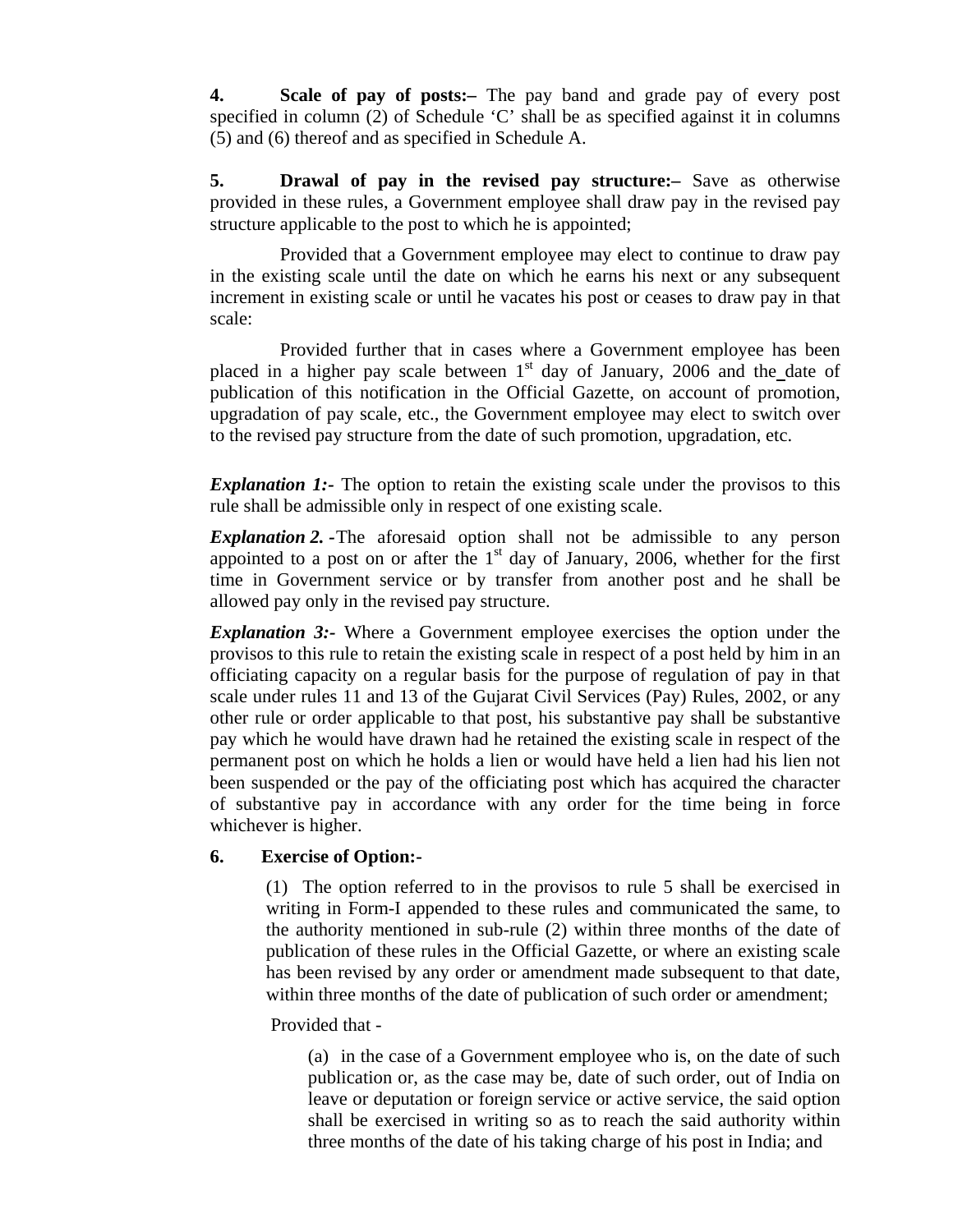**4. Scale of pay of posts:***–* The pay band and grade pay of every post specified in column (2) of Schedule 'C' shall be as specified against it in columns (5) and (6) thereof and as specified in Schedule A.

**5. Drawal of pay in the revised pay structure:***–* Save as otherwise provided in these rules, a Government employee shall draw pay in the revised pay structure applicable to the post to which he is appointed;

Provided that a Government employee may elect to continue to draw pay in the existing scale until the date on which he earns his next or any subsequent increment in existing scale or until he vacates his post or ceases to draw pay in that scale:

Provided further that in cases where a Government employee has been placed in a higher pay scale between  $1<sup>st</sup>$  day of January, 2006 and the date of publication of this notification in the Official Gazette, on account of promotion, upgradation of pay scale, etc., the Government employee may elect to switch over to the revised pay structure from the date of such promotion, upgradation, etc.

*Explanation 1:*- The option to retain the existing scale under the provisos to this rule shall be admissible only in respect of one existing scale.

*Explanation 2. -*The aforesaid option shall not be admissible to any person appointed to a post on or after the  $1<sup>st</sup>$  day of January, 2006, whether for the first time in Government service or by transfer from another post and he shall be allowed pay only in the revised pay structure.

*Explanation 3:-* Where a Government employee exercises the option under the provisos to this rule to retain the existing scale in respect of a post held by him in an officiating capacity on a regular basis for the purpose of regulation of pay in that scale under rules 11 and 13 of the Gujarat Civil Services (Pay) Rules, 2002, or any other rule or order applicable to that post, his substantive pay shall be substantive pay which he would have drawn had he retained the existing scale in respect of the permanent post on which he holds a lien or would have held a lien had his lien not been suspended or the pay of the officiating post which has acquired the character of substantive pay in accordance with any order for the time being in force whichever is higher.

#### **6. Exercise of Option:-**

 (1) The option referred to in the provisos to rule 5 shall be exercised in writing in Form-I appended to these rules and communicated the same, to the authority mentioned in sub-rule (2) within three months of the date of publication of these rules in the Official Gazette*,* or where an existing scale has been revised by any order or amendment made subsequent to that date, within three months of the date of publication of such order or amendment;

#### Provided that -

(a) in the case of a Government employee who is, on the date of such publication or, as the case may be, date of such order, out of India on leave or deputation or foreign service or active service, the said option shall be exercised in writing so as to reach the said authority within three months of the date of his taking charge of his post in India; and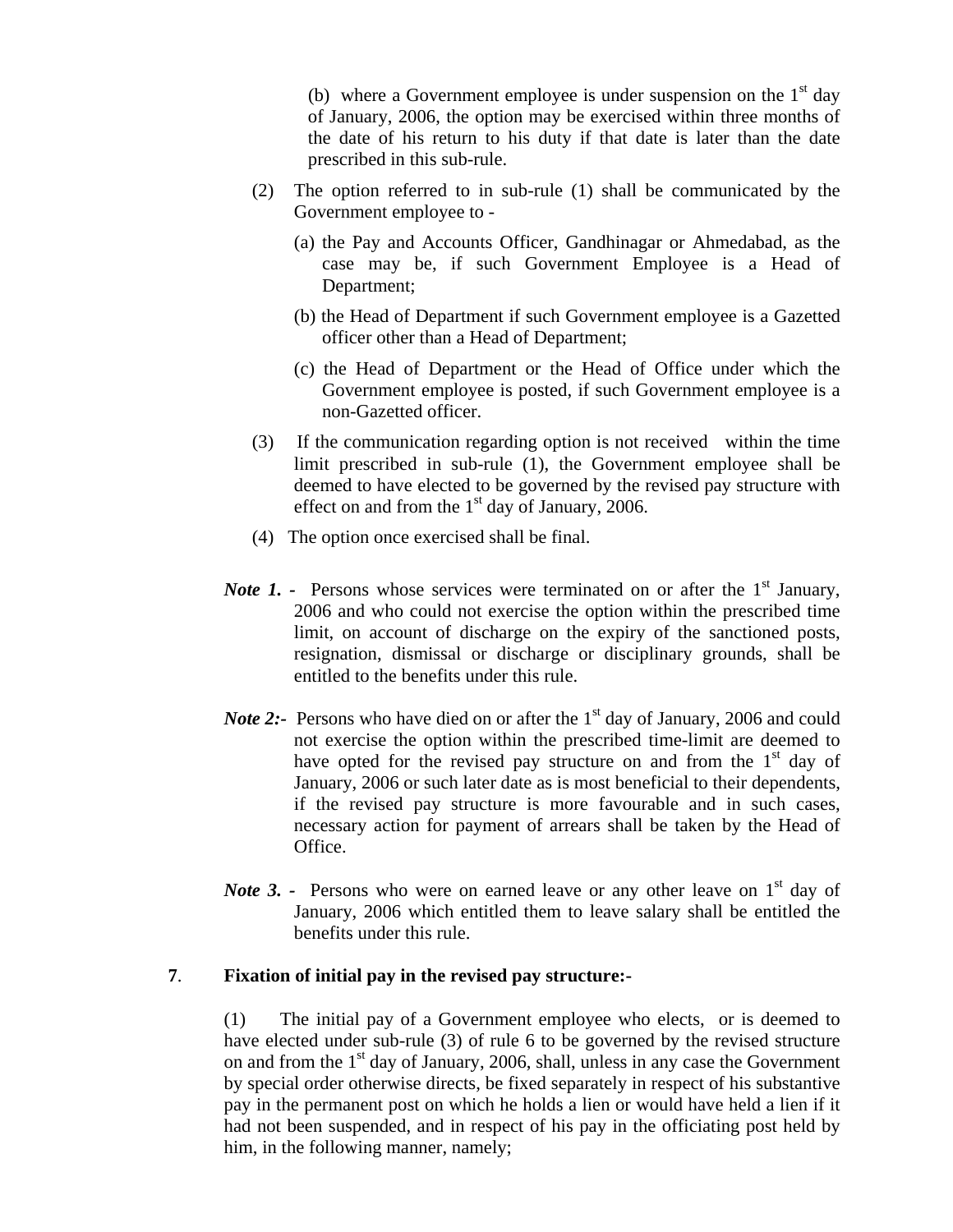(b) where a Government employee is under suspension on the  $1<sup>st</sup>$  day of January, 2006, the option may be exercised within three months of the date of his return to his duty if that date is later than the date prescribed in this sub-rule.

- (2) The option referred to in sub-rule (1) shall be communicated by the Government employee to -
	- (a) the Pay and Accounts Officer, Gandhinagar or Ahmedabad, as the case may be, if such Government Employee is a Head of Department;
	- (b) the Head of Department if such Government employee is a Gazetted officer other than a Head of Department;
	- (c) the Head of Department or the Head of Office under which the Government employee is posted, if such Government employee is a non-Gazetted officer.
- (3) If the communication regarding option is not received within the time limit prescribed in sub-rule (1), the Government employee shall be deemed to have elected to be governed by the revised pay structure with effect on and from the  $1<sup>st</sup>$  day of January, 2006.
- (4) The option once exercised shall be final.
- *Note 1.* Persons whose services were terminated on or after the 1<sup>st</sup> January, 2006 and who could not exercise the option within the prescribed time limit, on account of discharge on the expiry of the sanctioned posts, resignation, dismissal or discharge or disciplinary grounds, shall be entitled to the benefits under this rule.
- *Note 2*:- Persons who have died on or after the 1<sup>st</sup> day of January, 2006 and could not exercise the option within the prescribed time-limit are deemed to have opted for the revised pay structure on and from the  $1<sup>st</sup>$  day of January, 2006 or such later date as is most beneficial to their dependents, if the revised pay structure is more favourable and in such cases, necessary action for payment of arrears shall be taken by the Head of Office.
- *Note* 3. Persons who were on earned leave or any other leave on 1<sup>st</sup> day of January, 2006 which entitled them to leave salary shall be entitled the benefits under this rule.

### **7**. **Fixation of initial pay in the revised pay structure:-**

(1) The initial pay of a Government employee who elects, or is deemed to have elected under sub-rule (3) of rule 6 to be governed by the revised structure on and from the  $1<sup>st</sup>$  day of January, 2006, shall, unless in any case the Government by special order otherwise directs, be fixed separately in respect of his substantive pay in the permanent post on which he holds a lien or would have held a lien if it had not been suspended, and in respect of his pay in the officiating post held by him, in the following manner, namely;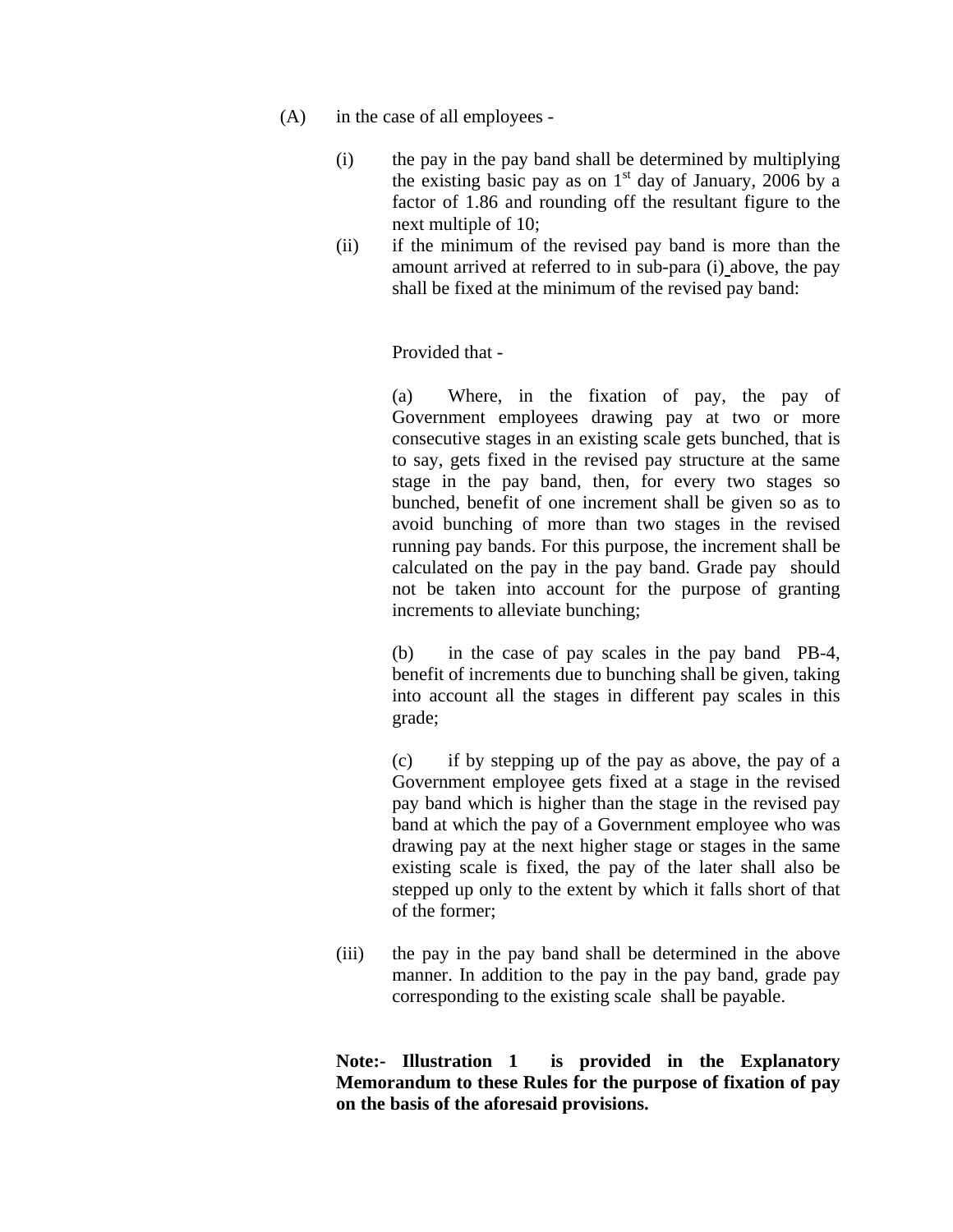- (A) in the case of all employees
	- (i) the pay in the pay band shall be determined by multiplying the existing basic pay as on  $1<sup>st</sup>$  day of January, 2006 by a factor of 1.86 and rounding off the resultant figure to the next multiple of 10;
	- (ii) if the minimum of the revised pay band is more than the amount arrived at referred to in sub-para (i) above, the pay shall be fixed at the minimum of the revised pay band:

Provided that -

(a) Where, in the fixation of pay, the pay of Government employees drawing pay at two or more consecutive stages in an existing scale gets bunched, that is to say, gets fixed in the revised pay structure at the same stage in the pay band, then, for every two stages so bunched, benefit of one increment shall be given so as to avoid bunching of more than two stages in the revised running pay bands. For this purpose, the increment shall be calculated on the pay in the pay band. Grade pay should not be taken into account for the purpose of granting increments to alleviate bunching;

(b) in the case of pay scales in the pay band PB-4, benefit of increments due to bunching shall be given, taking into account all the stages in different pay scales in this grade;

(c) if by stepping up of the pay as above, the pay of a Government employee gets fixed at a stage in the revised pay band which is higher than the stage in the revised pay band at which the pay of a Government employee who was drawing pay at the next higher stage or stages in the same existing scale is fixed, the pay of the later shall also be stepped up only to the extent by which it falls short of that of the former;

(iii) the pay in the pay band shall be determined in the above manner. In addition to the pay in the pay band, grade pay corresponding to the existing scale shall be payable.

**Note:- Illustration 1 is provided in the Explanatory Memorandum to these Rules for the purpose of fixation of pay on the basis of the aforesaid provisions.**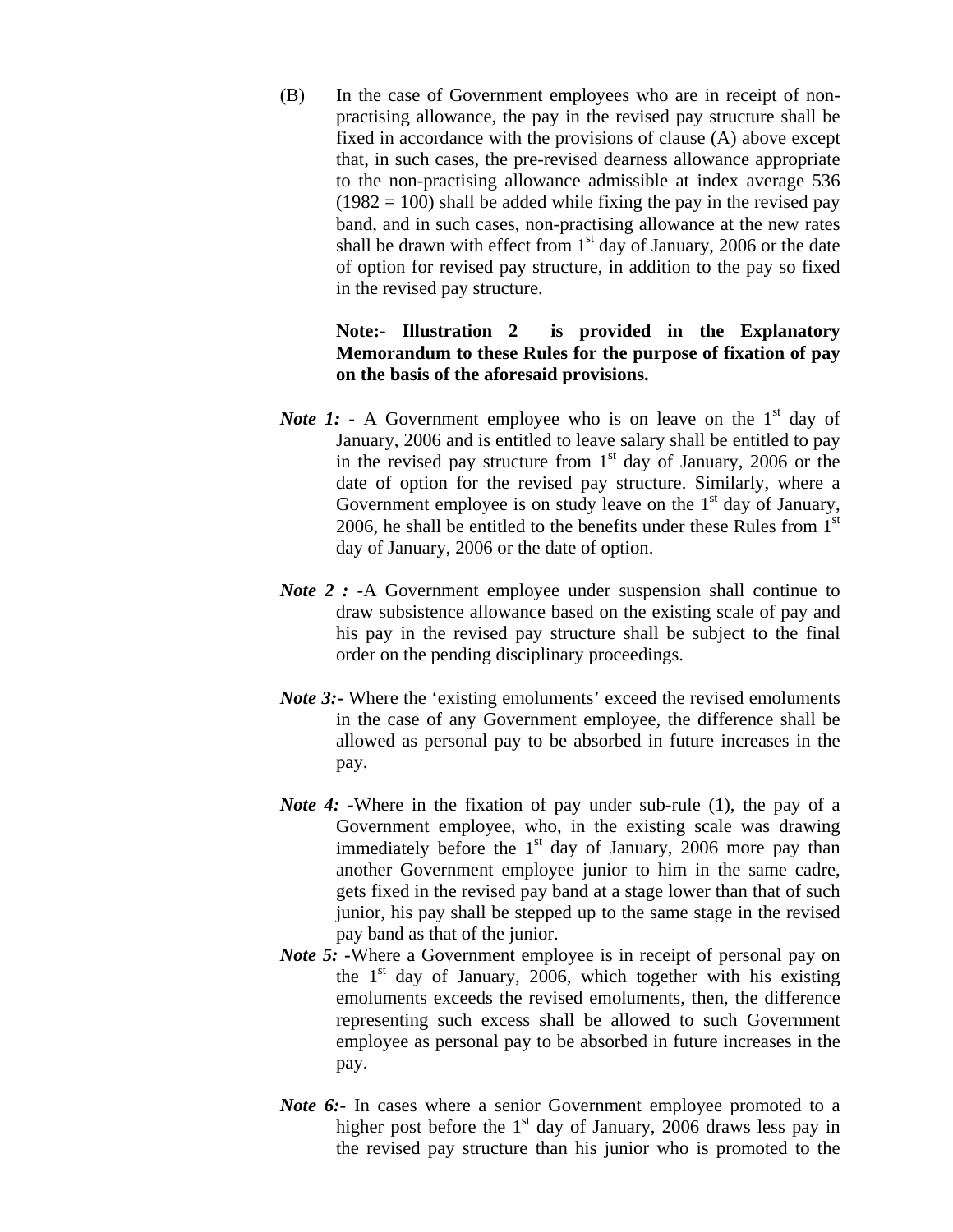(B) In the case of Government employees who are in receipt of nonpractising allowance, the pay in the revised pay structure shall be fixed in accordance with the provisions of clause (A) above except that, in such cases, the pre-revised dearness allowance appropriate to the non-practising allowance admissible at index average 536  $(1982 = 100)$  shall be added while fixing the pay in the revised pay band, and in such cases, non-practising allowance at the new rates shall be drawn with effect from  $1<sup>st</sup>$  day of January, 2006 or the date of option for revised pay structure, in addition to the pay so fixed in the revised pay structure.

### **Note:- Illustration 2 is provided in the Explanatory Memorandum to these Rules for the purpose of fixation of pay on the basis of the aforesaid provisions.**

- *Note 1:* A Government employee who is on leave on the  $1<sup>st</sup>$  day of January, 2006 and is entitled to leave salary shall be entitled to pay in the revised pay structure from  $1<sup>st</sup>$  day of January, 2006 or the date of option for the revised pay structure. Similarly, where a Government employee is on study leave on the  $1<sup>st</sup>$  day of January, 2006, he shall be entitled to the benefits under these Rules from  $1<sup>st</sup>$ day of January, 2006 or the date of option.
- *Note 2 :* -A Government employee under suspension shall continue to draw subsistence allowance based on the existing scale of pay and his pay in the revised pay structure shall be subject to the final order on the pending disciplinary proceedings.
- *Note* 3:- Where the 'existing emoluments' exceed the revised emoluments in the case of any Government employee, the difference shall be allowed as personal pay to be absorbed in future increases in the pay.
- *Note 4:* -Where in the fixation of pay under sub-rule (1), the pay of a Government employee, who, in the existing scale was drawing immediately before the  $1<sup>st</sup>$  day of January, 2006 more pay than another Government employee junior to him in the same cadre, gets fixed in the revised pay band at a stage lower than that of such junior, his pay shall be stepped up to the same stage in the revised pay band as that of the junior.
- *Note* 5: -Where a Government employee is in receipt of personal pay on the  $1<sup>st</sup>$  day of January, 2006, which together with his existing emoluments exceeds the revised emoluments, then, the difference representing such excess shall be allowed to such Government employee as personal pay to be absorbed in future increases in the pay.
- *Note* 6:- In cases where a senior Government employee promoted to a higher post before the  $1<sup>st</sup>$  day of January, 2006 draws less pay in the revised pay structure than his junior who is promoted to the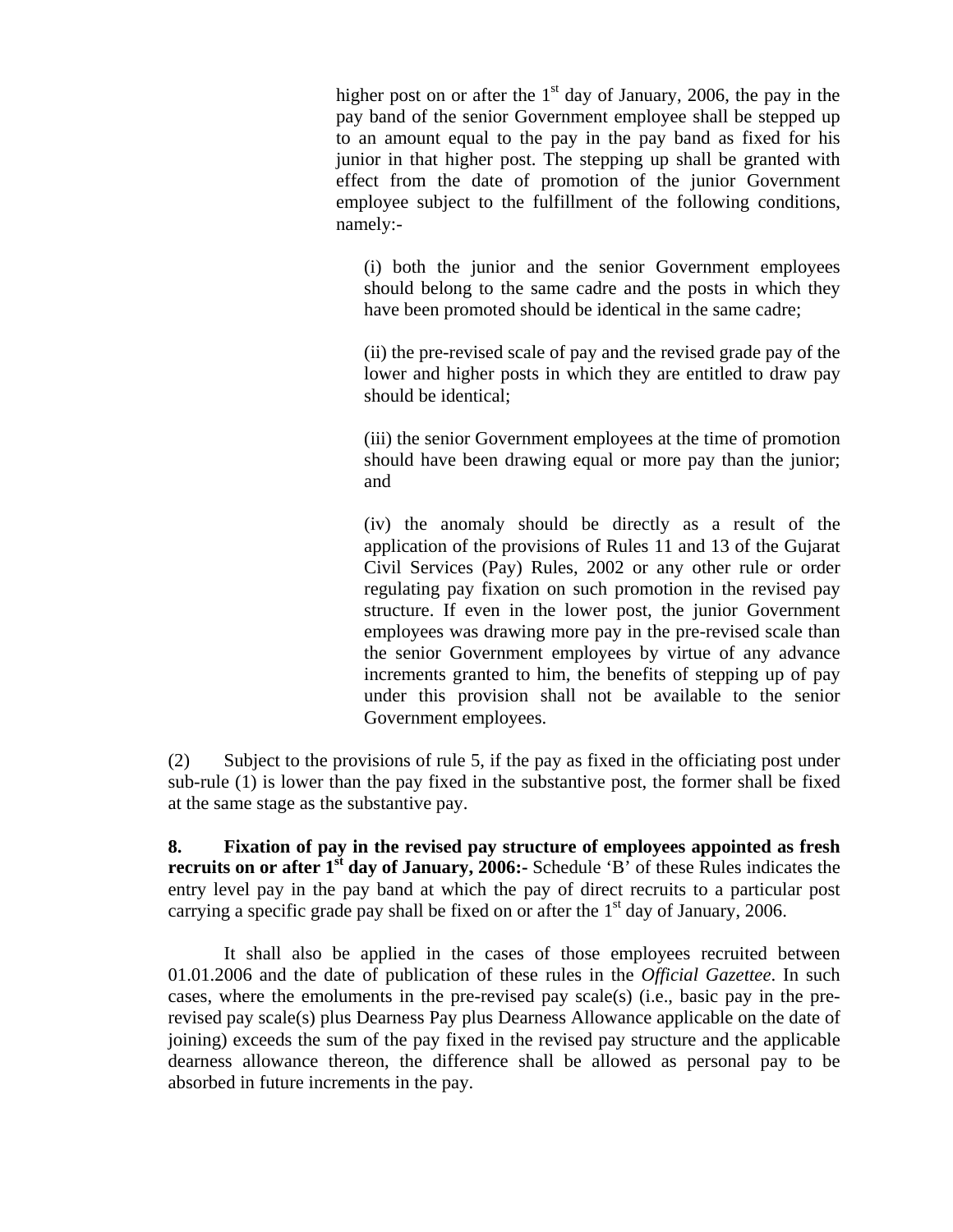higher post on or after the  $1<sup>st</sup>$  day of January, 2006, the pay in the pay band of the senior Government employee shall be stepped up to an amount equal to the pay in the pay band as fixed for his junior in that higher post. The stepping up shall be granted with effect from the date of promotion of the junior Government employee subject to the fulfillment of the following conditions, namely:-

(i) both the junior and the senior Government employees should belong to the same cadre and the posts in which they have been promoted should be identical in the same cadre;

(ii) the pre-revised scale of pay and the revised grade pay of the lower and higher posts in which they are entitled to draw pay should be identical;

(iii) the senior Government employees at the time of promotion should have been drawing equal or more pay than the junior; and

(iv) the anomaly should be directly as a result of the application of the provisions of Rules 11 and 13 of the Gujarat Civil Services (Pay) Rules, 2002 or any other rule or order regulating pay fixation on such promotion in the revised pay structure. If even in the lower post, the junior Government employees was drawing more pay in the pre-revised scale than the senior Government employees by virtue of any advance increments granted to him, the benefits of stepping up of pay under this provision shall not be available to the senior Government employees.

(2) Subject to the provisions of rule 5, if the pay as fixed in the officiating post under sub-rule (1) is lower than the pay fixed in the substantive post, the former shall be fixed at the same stage as the substantive pay.

**8. Fixation of pay in the revised pay structure of employees appointed as fresh recruits on or after 1<sup>st</sup> day of January, 2006:** Schedule 'B' of these Rules indicates the entry level pay in the pay band at which the pay of direct recruits to a particular post carrying a specific grade pay shall be fixed on or after the  $1<sup>st</sup>$  day of January, 2006.

It shall also be applied in the cases of those employees recruited between 01.01.2006 and the date of publication of these rules in the *Official Gazettee*. In such cases, where the emoluments in the pre-revised pay scale(s) (i.e., basic pay in the prerevised pay scale(s) plus Dearness Pay plus Dearness Allowance applicable on the date of joining) exceeds the sum of the pay fixed in the revised pay structure and the applicable dearness allowance thereon, the difference shall be allowed as personal pay to be absorbed in future increments in the pay.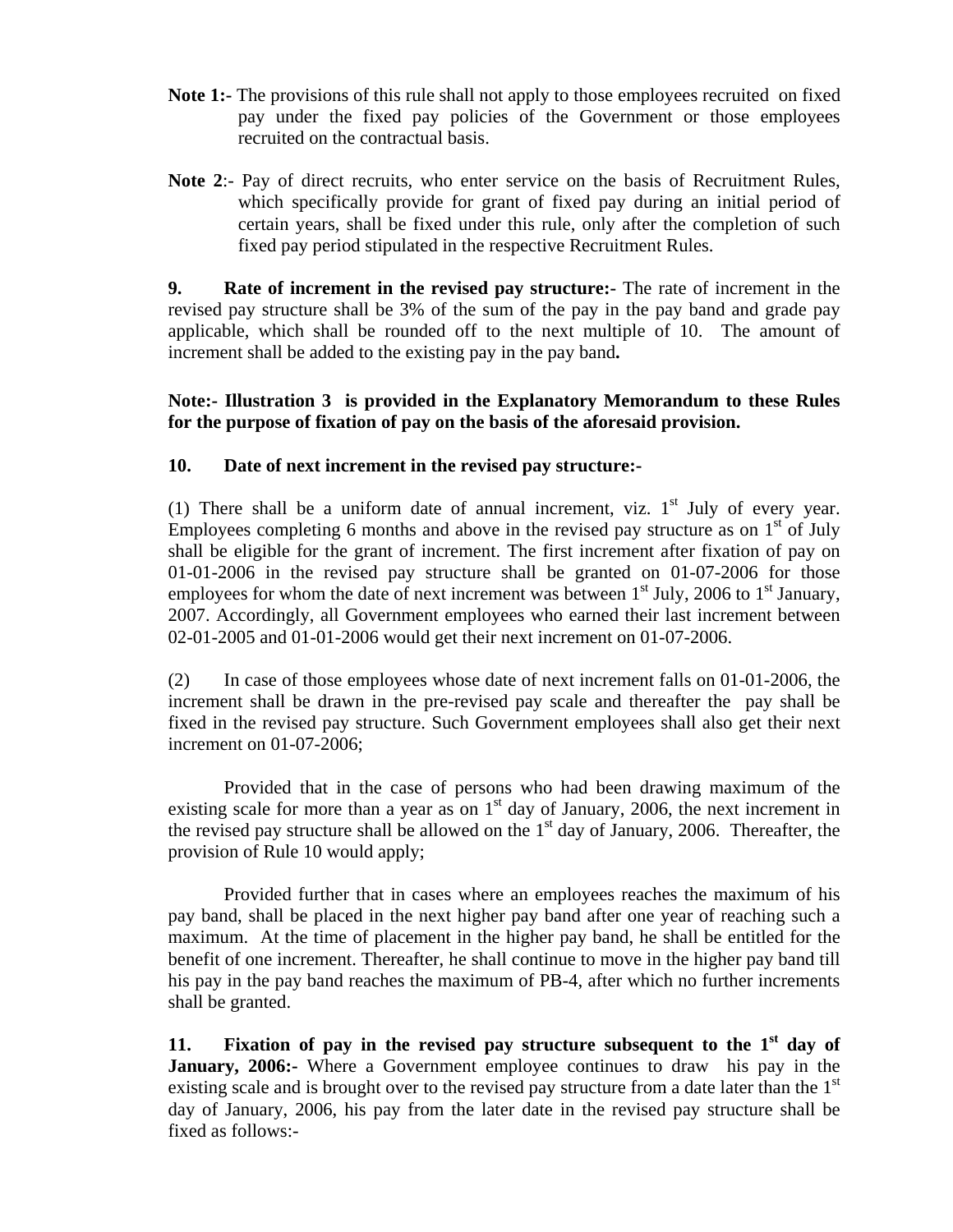- **Note 1:-** The provisions of this rule shall not apply to those employees recruited on fixed pay under the fixed pay policies of the Government or those employees recruited on the contractual basis.
- **Note 2**:- Pay of direct recruits, who enter service on the basis of Recruitment Rules, which specifically provide for grant of fixed pay during an initial period of certain years, shall be fixed under this rule, only after the completion of such fixed pay period stipulated in the respective Recruitment Rules.

**9. Rate of increment in the revised pay structure:-** The rate of increment in the revised pay structure shall be 3% of the sum of the pay in the pay band and grade pay applicable, which shall be rounded off to the next multiple of 10. The amount of increment shall be added to the existing pay in the pay band**.** 

### **Note:- Illustration 3****is provided in the Explanatory Memorandum to these Rules for the purpose of fixation of pay on the basis of the aforesaid provision.**

### **10. Date of next increment in the revised pay structure:-**

(1) There shall be a uniform date of annual increment, viz.  $1<sup>st</sup>$  July of every year. Employees completing 6 months and above in the revised pay structure as on  $1<sup>st</sup>$  of July shall be eligible for the grant of increment. The first increment after fixation of pay on 01-01-2006 in the revised pay structure shall be granted on 01-07-2006 for those employees for whom the date of next increment was between  $1<sup>st</sup>$  July, 2006 to  $1<sup>st</sup>$  January, 2007. Accordingly, all Government employees who earned their last increment between 02-01-2005 and 01-01-2006 would get their next increment on 01-07-2006.

(2) In case of those employees whose date of next increment falls on 01-01-2006, the increment shall be drawn in the pre-revised pay scale and thereafter the pay shall be fixed in the revised pay structure. Such Government employees shall also get their next increment on 01-07-2006;

Provided that in the case of persons who had been drawing maximum of the existing scale for more than a year as on  $1<sup>st</sup>$  day of January, 2006, the next increment in the revised pay structure shall be allowed on the  $1<sup>st</sup>$  day of January, 2006. Thereafter, the provision of Rule 10 would apply;

Provided further that in cases where an employees reaches the maximum of his pay band, shall be placed in the next higher pay band after one year of reaching such a maximum. At the time of placement in the higher pay band, he shall be entitled for the benefit of one increment. Thereafter, he shall continue to move in the higher pay band till his pay in the pay band reaches the maximum of PB-4, after which no further increments shall be granted.

11. **Fixation of pay in the revised pay structure subsequent to the**  $1<sup>st</sup>$  **day of January, 2006:-** Where a Government employee continues to draw his pay in the existing scale and is brought over to the revised pay structure from a date later than the  $1<sup>st</sup>$ day of January, 2006, his pay from the later date in the revised pay structure shall be fixed as follows:-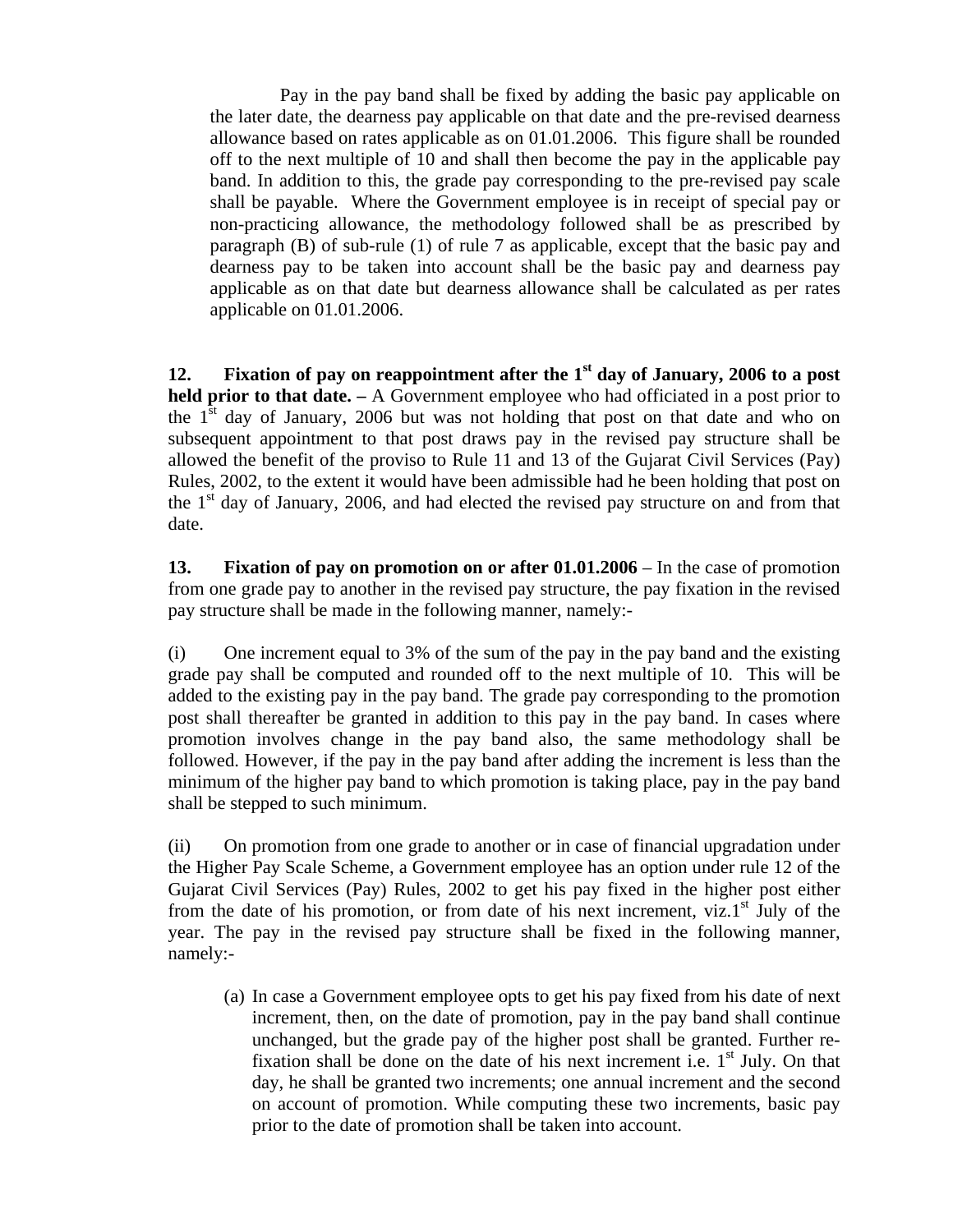Pay in the pay band shall be fixed by adding the basic pay applicable on the later date, the dearness pay applicable on that date and the pre-revised dearness allowance based on rates applicable as on 01.01.2006. This figure shall be rounded off to the next multiple of 10 and shall then become the pay in the applicable pay band. In addition to this, the grade pay corresponding to the pre-revised pay scale shall be payable. Where the Government employee is in receipt of special pay or non-practicing allowance, the methodology followed shall be as prescribed by paragraph (B) of sub-rule (1) of rule 7 as applicable, except that the basic pay and dearness pay to be taken into account shall be the basic pay and dearness pay applicable as on that date but dearness allowance shall be calculated as per rates applicable on 01.01.2006.

**12. Fixation of pay on reappointment after the 1st day of January, 2006 to a post held prior to that date.** *–* A Government employee who had officiated in a post prior to the  $1<sup>st</sup>$  day of January, 2006 but was not holding that post on that date and who on subsequent appointment to that post draws pay in the revised pay structure shall be allowed the benefit of the proviso to Rule 11 and 13 of the Gujarat Civil Services (Pay) Rules, 2002, to the extent it would have been admissible had he been holding that post on the  $1<sup>st</sup>$  day of January, 2006, and had elected the revised pay structure on and from that date.

**13. Fixation of pay on promotion on or after 01.01.2006** – In the case of promotion from one grade pay to another in the revised pay structure, the pay fixation in the revised pay structure shall be made in the following manner, namely:-

(i) One increment equal to 3% of the sum of the pay in the pay band and the existing grade pay shall be computed and rounded off to the next multiple of 10. This will be added to the existing pay in the pay band. The grade pay corresponding to the promotion post shall thereafter be granted in addition to this pay in the pay band. In cases where promotion involves change in the pay band also, the same methodology shall be followed. However, if the pay in the pay band after adding the increment is less than the minimum of the higher pay band to which promotion is taking place, pay in the pay band shall be stepped to such minimum.

(ii) On promotion from one grade to another or in case of financial upgradation under the Higher Pay Scale Scheme, a Government employee has an option under rule 12 of the Gujarat Civil Services (Pay) Rules, 2002 to get his pay fixed in the higher post either from the date of his promotion, or from date of his next increment, viz.1<sup>st</sup> July of the year. The pay in the revised pay structure shall be fixed in the following manner, namely:-

(a) In case a Government employee opts to get his pay fixed from his date of next increment, then, on the date of promotion, pay in the pay band shall continue unchanged, but the grade pay of the higher post shall be granted. Further refixation shall be done on the date of his next increment i.e.  $1<sup>st</sup>$  July. On that day, he shall be granted two increments; one annual increment and the second on account of promotion. While computing these two increments, basic pay prior to the date of promotion shall be taken into account.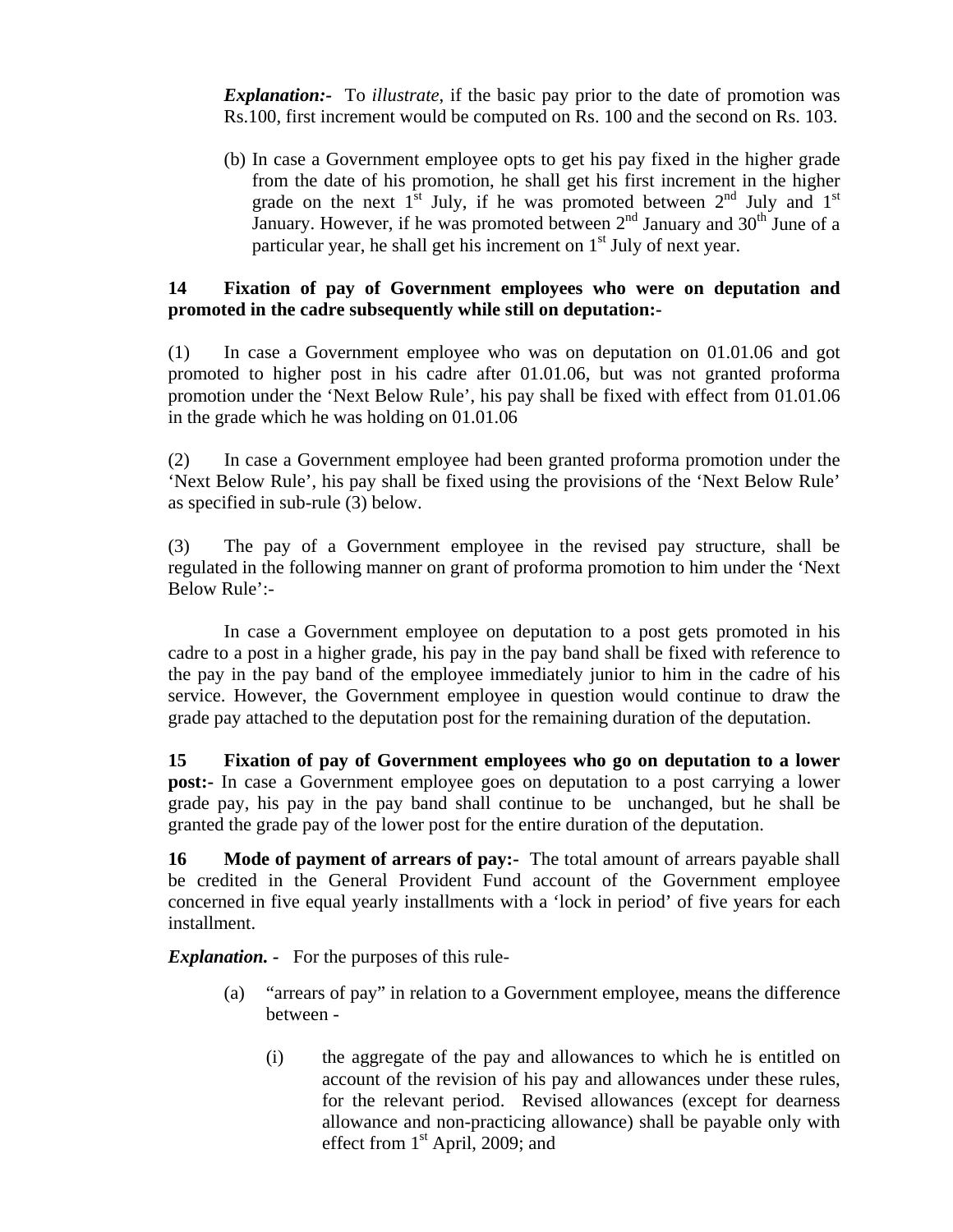*Explanation:-* To *illustrate*, if the basic pay prior to the date of promotion was Rs.100, first increment would be computed on Rs. 100 and the second on Rs. 103.

(b) In case a Government employee opts to get his pay fixed in the higher grade from the date of his promotion, he shall get his first increment in the higher grade on the next  $1^{st}$  July, if he was promoted between  $2^{nd}$  July and  $1^{st}$ January. However, if he was promoted between  $2^{nd}$  January and  $30^{th}$  June of a particular year, he shall get his increment on  $1<sup>st</sup>$  July of next year.

### **14 Fixation of pay of Government employees who were on deputation and promoted in the cadre subsequently while still on deputation:-**

(1) In case a Government employee who was on deputation on 01.01.06 and got promoted to higher post in his cadre after 01.01.06, but was not granted proforma promotion under the 'Next Below Rule', his pay shall be fixed with effect from 01.01.06 in the grade which he was holding on 01.01.06

(2) In case a Government employee had been granted proforma promotion under the 'Next Below Rule', his pay shall be fixed using the provisions of the 'Next Below Rule' as specified in sub-rule (3) below.

(3) The pay of a Government employee in the revised pay structure, shall be regulated in the following manner on grant of proforma promotion to him under the 'Next Below Rule':-

In case a Government employee on deputation to a post gets promoted in his cadre to a post in a higher grade, his pay in the pay band shall be fixed with reference to the pay in the pay band of the employee immediately junior to him in the cadre of his service. However, the Government employee in question would continue to draw the grade pay attached to the deputation post for the remaining duration of the deputation.

**15 Fixation of pay of Government employees who go on deputation to a lower post:** In case a Government employee goes on deputation to a post carrying a lower grade pay, his pay in the pay band shall continue to be unchanged, but he shall be granted the grade pay of the lower post for the entire duration of the deputation.

**16 Mode of payment of arrears of pay:-** The total amount of arrears payable shall be credited in the General Provident Fund account of the Government employee concerned in five equal yearly installments with a 'lock in period' of five years for each installment.

*Explanation. -* For the purposes of this rule-

- (a) "arrears of pay" in relation to a Government employee, means the difference between -
	- (i) the aggregate of the pay and allowances to which he is entitled on account of the revision of his pay and allowances under these rules, for the relevant period. Revised allowances (except for dearness allowance and non-practicing allowance) shall be payable only with effect from 1st April, 2009; and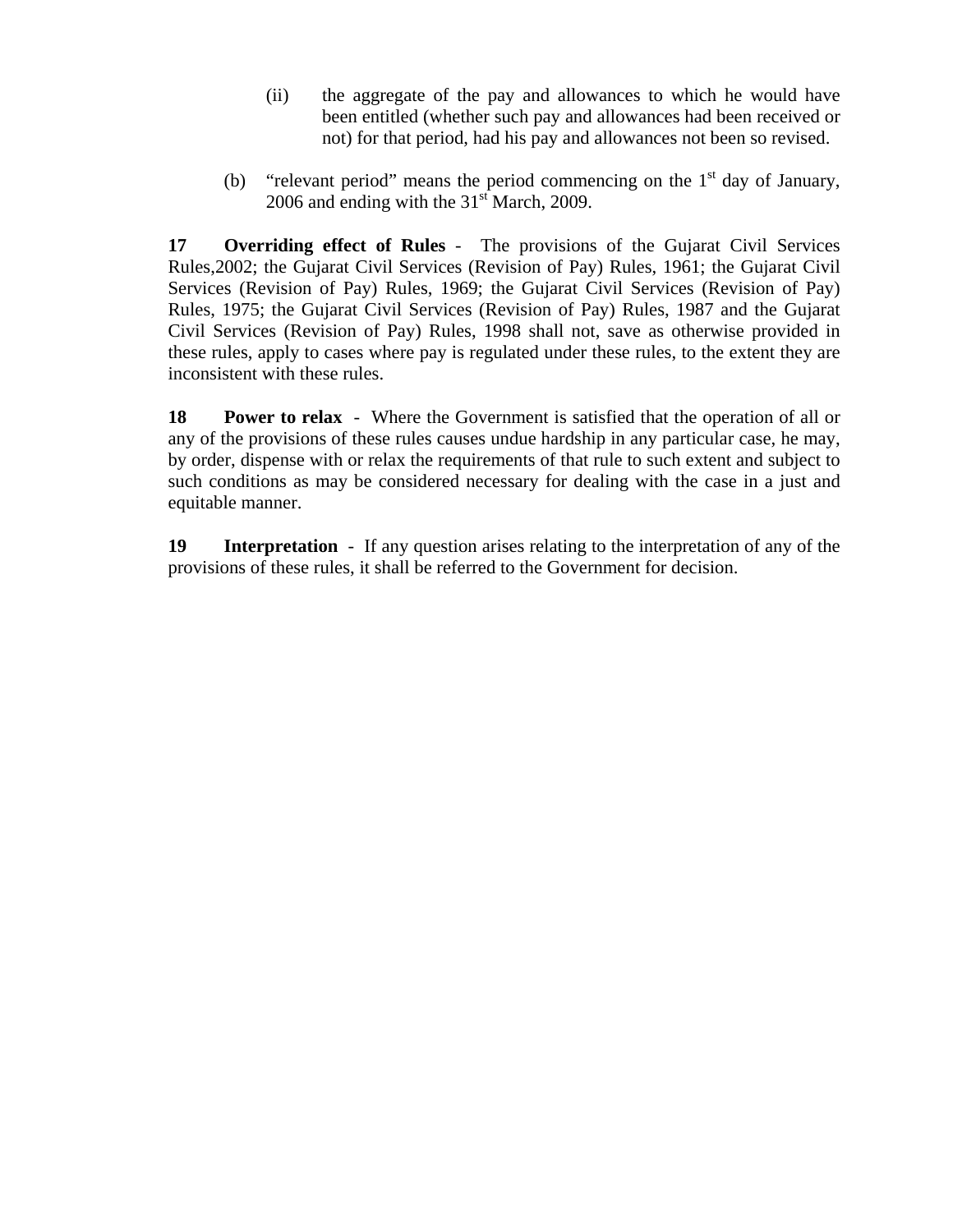- (ii) the aggregate of the pay and allowances to which he would have been entitled (whether such pay and allowances had been received or not) for that period, had his pay and allowances not been so revised.
- (b) "relevant period" means the period commencing on the  $1<sup>st</sup>$  day of January, 2006 and ending with the  $31<sup>st</sup>$  March, 2009.

**17 Overriding effect of Rules** - The provisions of the Gujarat Civil Services Rules,2002; the Gujarat Civil Services (Revision of Pay) Rules, 1961; the Gujarat Civil Services (Revision of Pay) Rules, 1969; the Gujarat Civil Services (Revision of Pay) Rules, 1975; the Gujarat Civil Services (Revision of Pay) Rules, 1987 and the Gujarat Civil Services (Revision of Pay) Rules, 1998 shall not, save as otherwise provided in these rules, apply to cases where pay is regulated under these rules, to the extent they are inconsistent with these rules.

**18** Power to relax - Where the Government is satisfied that the operation of all or any of the provisions of these rules causes undue hardship in any particular case, he may, by order, dispense with or relax the requirements of that rule to such extent and subject to such conditions as may be considered necessary for dealing with the case in a just and equitable manner.

**19 Interpretation** - If any question arises relating to the interpretation of any of the provisions of these rules, it shall be referred to the Government for decision.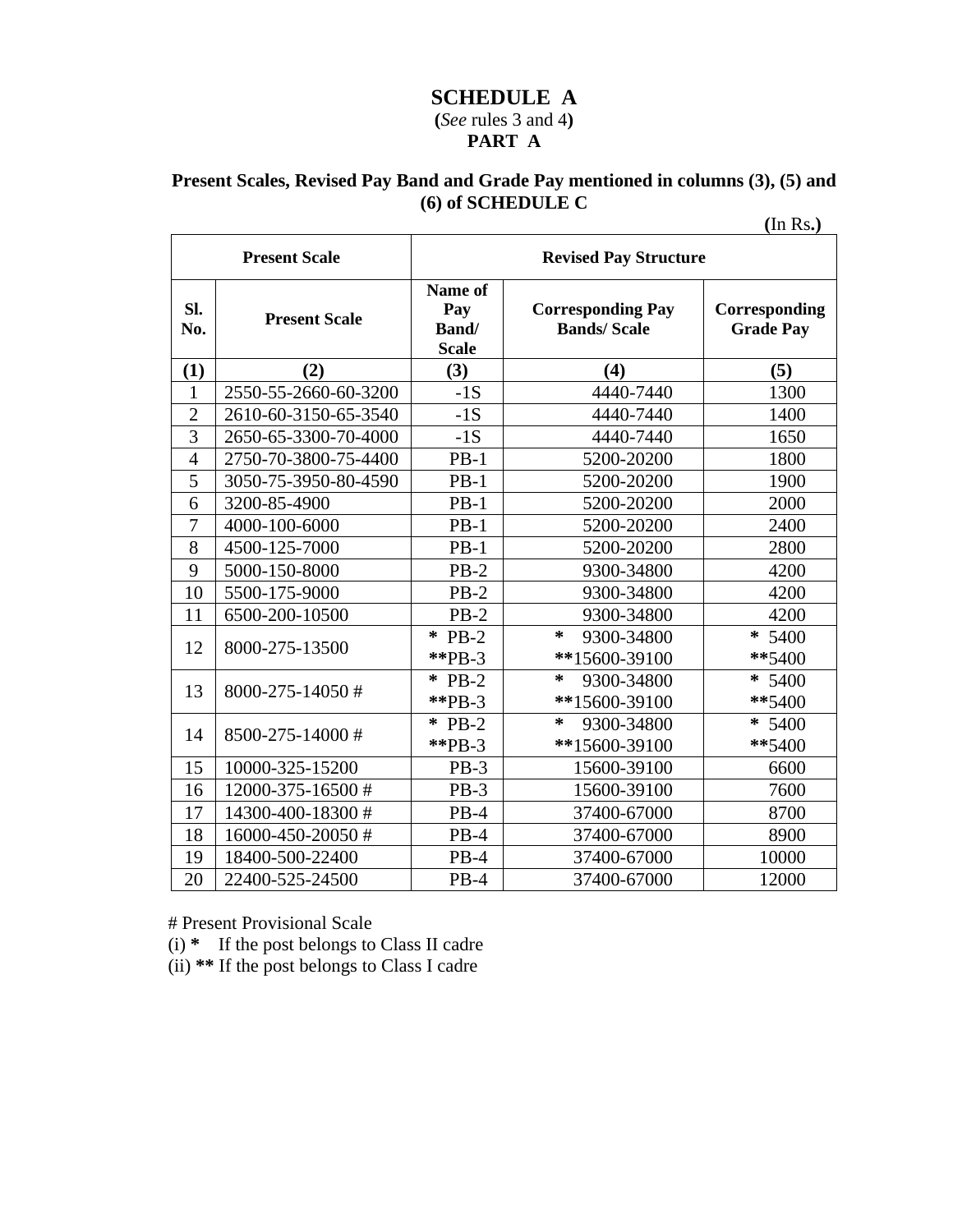# **SCHEDULE A (***See* rules 3 and 4**) PART A**

# **Present Scales, Revised Pay Band and Grade Pay mentioned in columns (3), (5) and (6) of SCHEDULE C**

**(**In Rs**.)** 

|                | <b>Present Scale</b> | <b>Revised Pay Structure</b>            |                                                |                                   |  |
|----------------|----------------------|-----------------------------------------|------------------------------------------------|-----------------------------------|--|
| Sl.<br>No.     | <b>Present Scale</b> | Name of<br>Pay<br>Band/<br><b>Scale</b> | <b>Corresponding Pay</b><br><b>Bands/Scale</b> | Corresponding<br><b>Grade Pay</b> |  |
| (1)            | (2)                  | (3)                                     | (4)                                            | (5)                               |  |
| 1              | 2550-55-2660-60-3200 | $-1S$                                   | 4440-7440                                      | 1300                              |  |
| $\overline{2}$ | 2610-60-3150-65-3540 | $-1S$                                   | 4440-7440                                      | 1400                              |  |
| $\overline{3}$ | 2650-65-3300-70-4000 | $-1S$                                   | 4440-7440                                      | 1650                              |  |
| $\overline{4}$ | 2750-70-3800-75-4400 | $PB-1$                                  | 5200-20200                                     | 1800                              |  |
| 5              | 3050-75-3950-80-4590 | $PB-1$                                  | 5200-20200                                     | 1900                              |  |
| 6              | 3200-85-4900         | $PB-1$                                  | 5200-20200                                     | 2000                              |  |
| 7              | 4000-100-6000        | $PB-1$                                  | 5200-20200                                     | 2400                              |  |
| 8              | 4500-125-7000        | $PB-1$                                  | 5200-20200                                     | 2800                              |  |
| 9              | 5000-150-8000        | $PB-2$                                  | 9300-34800                                     | 4200                              |  |
| 10             | 5500-175-9000        | $PB-2$                                  | 9300-34800                                     | 4200                              |  |
| 11             | 6500-200-10500       | $PB-2$                                  | 9300-34800                                     | 4200                              |  |
| 12             | 8000-275-13500       | $*$ PB-2<br>$*$ $PB-3$                  | ∗<br>9300-34800<br>**15600-39100               | * 5400<br>**5400                  |  |
| 13             | 8000-275-14050#      | $\ast$<br>$PB-2$<br>$*$ $PB-3$          | ∗<br>9300-34800<br>**15600-39100               | $* 5400$<br>**5400                |  |
| 14             | 8500-275-14000#      | $*$ PB-2<br>$*$ <sup>*</sup> PB-3       | ∗<br>9300-34800<br>**15600-39100               | * 5400<br>**5400                  |  |
| 15             | 10000-325-15200      | $PB-3$                                  | 15600-39100                                    | 6600                              |  |
| 16             | 12000-375-16500#     | $PB-3$                                  | 15600-39100                                    | 7600                              |  |
| 17             | 14300-400-18300#     | $PB-4$                                  | 37400-67000                                    | 8700                              |  |
| 18             | 16000-450-20050#     | $PB-4$                                  | 37400-67000                                    | 8900                              |  |
| 19             | 18400-500-22400      | $PB-4$                                  | 37400-67000                                    | 10000                             |  |
| 20             | 22400-525-24500      | $PB-4$                                  | 37400-67000                                    | 12000                             |  |

# Present Provisional Scale

(i) **\*** If the post belongs to Class II cadre

(ii) **\*\*** If the post belongs to Class I cadre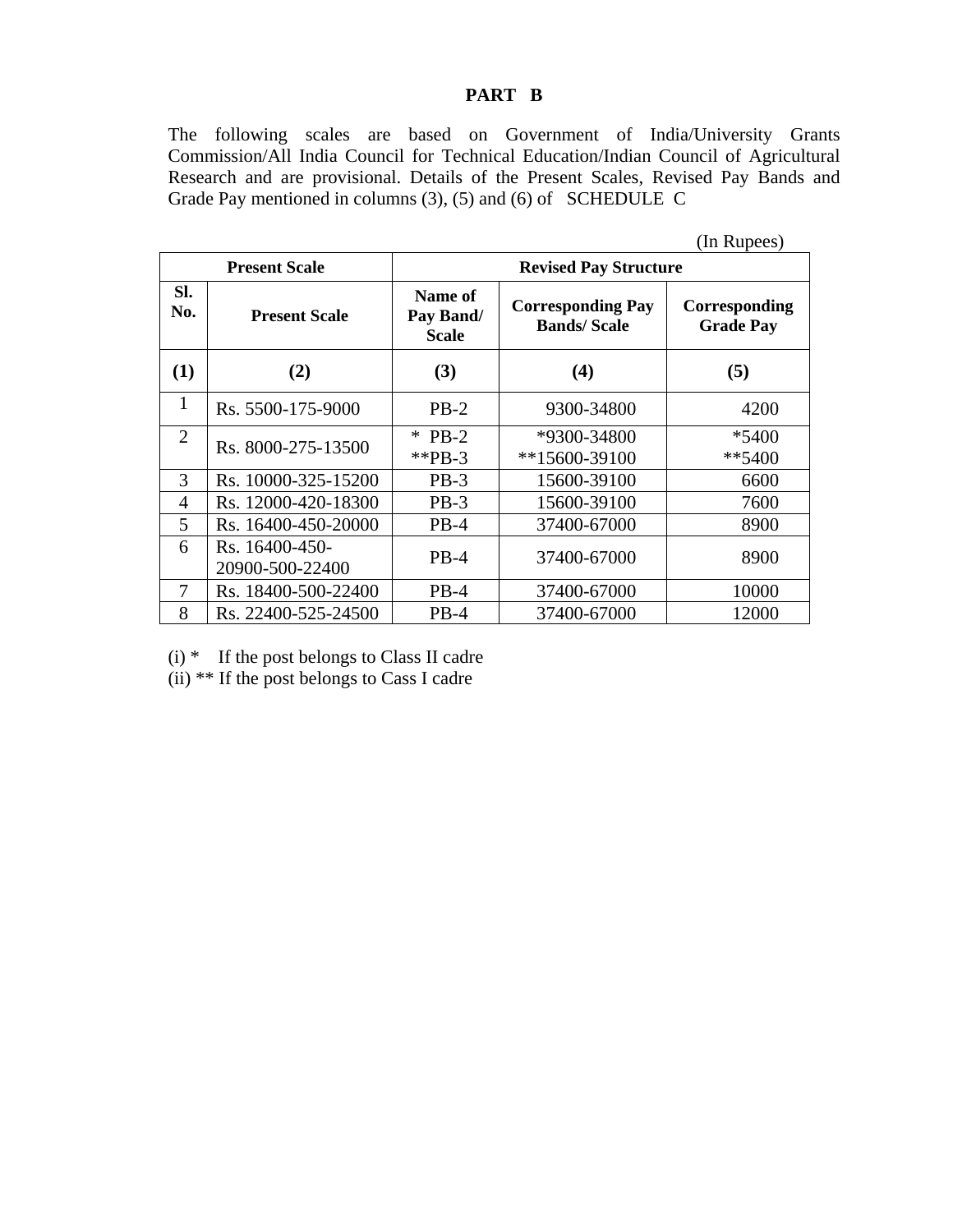### **PART B**

The following scales are based on Government of India/University Grants Commission/All India Council for Technical Education/Indian Council of Agricultural Research and are provisional. Details of the Present Scales, Revised Pay Bands and Grade Pay mentioned in columns (3), (5) and (6) of SCHEDULE C

|                |                                   |                                                                                        |                                | (In Rupees)                       |  |  |  |
|----------------|-----------------------------------|----------------------------------------------------------------------------------------|--------------------------------|-----------------------------------|--|--|--|
|                | <b>Present Scale</b>              |                                                                                        | <b>Revised Pay Structure</b>   |                                   |  |  |  |
| SI.<br>No.     | <b>Present Scale</b>              | Name of<br><b>Corresponding Pay</b><br>Pay Band/<br><b>Bands/Scale</b><br><b>Scale</b> |                                | Corresponding<br><b>Grade Pay</b> |  |  |  |
| (1)            | (2)                               | (3)                                                                                    | (4)                            | (5)                               |  |  |  |
| 1              | Rs. 5500-175-9000                 | $PB-2$                                                                                 | 9300-34800                     | 4200                              |  |  |  |
| $\overline{2}$ | Rs. 8000-275-13500                | $*$ PB-2<br>**PB-3                                                                     | *9300-34800<br>$**15600-39100$ | *5400<br>$**5400$                 |  |  |  |
| 3              | Rs. 10000-325-15200               | $PB-3$                                                                                 | 15600-39100                    | 6600                              |  |  |  |
| 4              | Rs. 12000-420-18300               | $PB-3$                                                                                 | 15600-39100                    | 7600                              |  |  |  |
| 5              | Rs. 16400-450-20000               | $PB-4$                                                                                 | 37400-67000                    | 8900                              |  |  |  |
| 6              | Rs. 16400-450-<br>20900-500-22400 | $PB-4$                                                                                 | 37400-67000                    | 8900                              |  |  |  |
| 7              | Rs. 18400-500-22400               | $PB-4$                                                                                 | 37400-67000                    | 10000                             |  |  |  |
| 8              | Rs. 22400-525-24500               | $PB-4$                                                                                 | 37400-67000                    | 12000                             |  |  |  |

 $(i)$  \* If the post belongs to Class II cadre

(ii) \*\* If the post belongs to Cass I cadre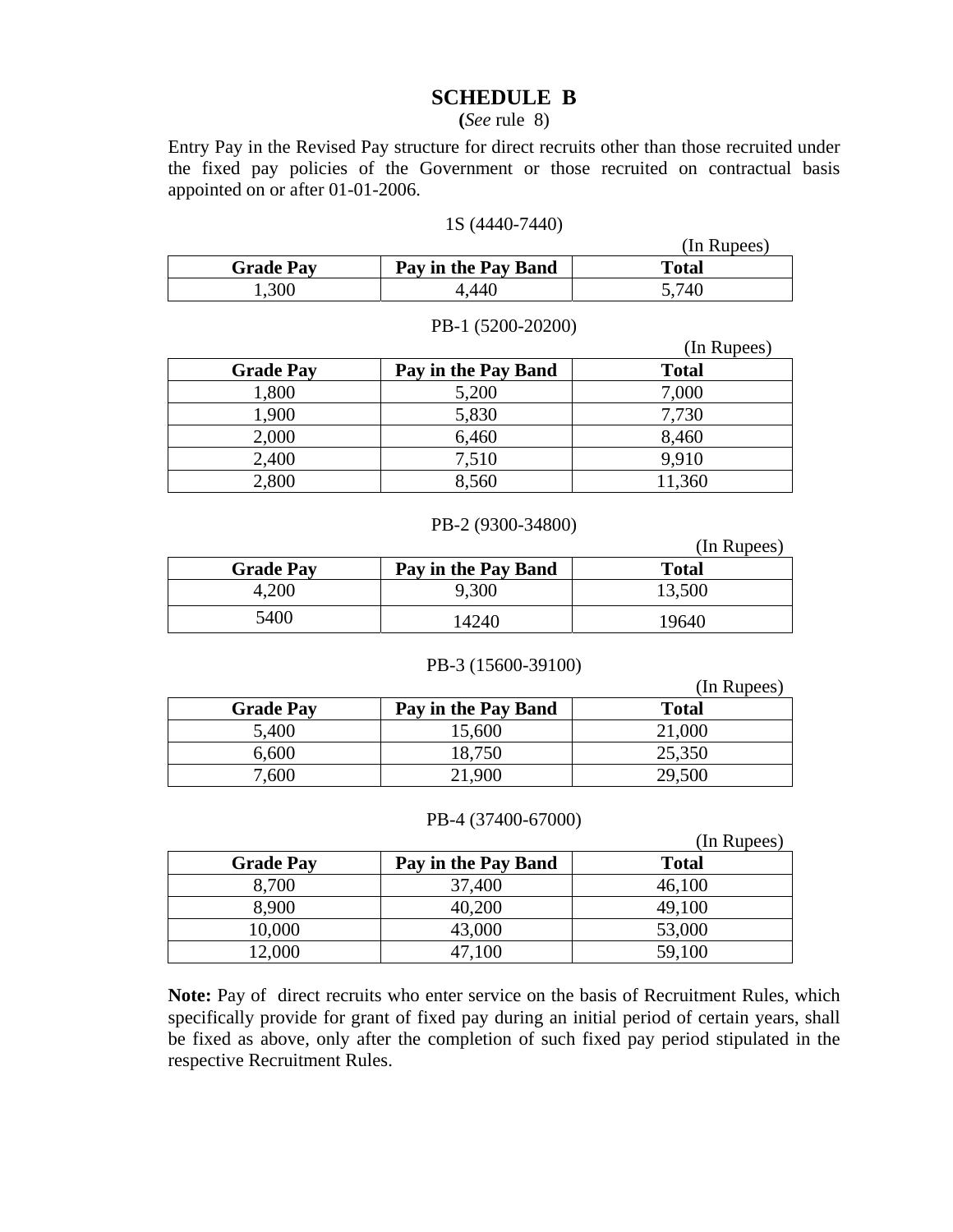# **SCHEDULE B**

#### **(***See* rule 8)

Entry Pay in the Revised Pay structure for direct recruits other than those recruited under the fixed pay policies of the Government or those recruited on contractual basis appointed on or after 01-01-2006.

#### 1S (4440-7440)

|                  |                     | (In Rupees)  |
|------------------|---------------------|--------------|
| <b>Grade Pay</b> | Pay in the Pay Band | <b>Total</b> |
| .300             | .440                | 5,740        |

#### PB-1 (5200-20200)

|                  |                     | (In Rupees)  |
|------------------|---------------------|--------------|
| <b>Grade Pay</b> | Pay in the Pay Band | <b>Total</b> |
| 1,800            | 5,200               | 7,000        |
| 1,900            | 5,830               | 7,730        |
| 2,000            | 6,460               | 8,460        |
| 2,400            | 7,510               | 9.910        |
| 2,800            | 8,560               | 11,360       |

#### PB-2 (9300-34800)

|                  |                     | (In Rupees)  |
|------------------|---------------------|--------------|
| <b>Grade Pay</b> | Pay in the Pay Band | <b>Total</b> |
| 4,200            | 9,300               | 13,500       |
| 5400             | 14240               | 19640        |

#### PB-3 (15600-39100)

|                  |                     | (In Rupees)  |
|------------------|---------------------|--------------|
| <b>Grade Pay</b> | Pay in the Pay Band | <b>Total</b> |
| 5,400            | 15,600              | 21,000       |
| 6,600            | 18,750              | 25,350       |
| 7,600            | 21,900              | 29,500       |

#### PB-4 (37400-67000)

|                  |                     | (In Rupees)  |
|------------------|---------------------|--------------|
| <b>Grade Pay</b> | Pay in the Pay Band | <b>Total</b> |
| 8,700            | 37,400              | 46,100       |
| 8,900            | 40,200              | 49,100       |
| 10,000           | 43,000              | 53,000       |
| 12,000           | 47,100              | 59,100       |

**Note:** Pay of direct recruits who enter service on the basis of Recruitment Rules, which specifically provide for grant of fixed pay during an initial period of certain years, shall be fixed as above, only after the completion of such fixed pay period stipulated in the respective Recruitment Rules.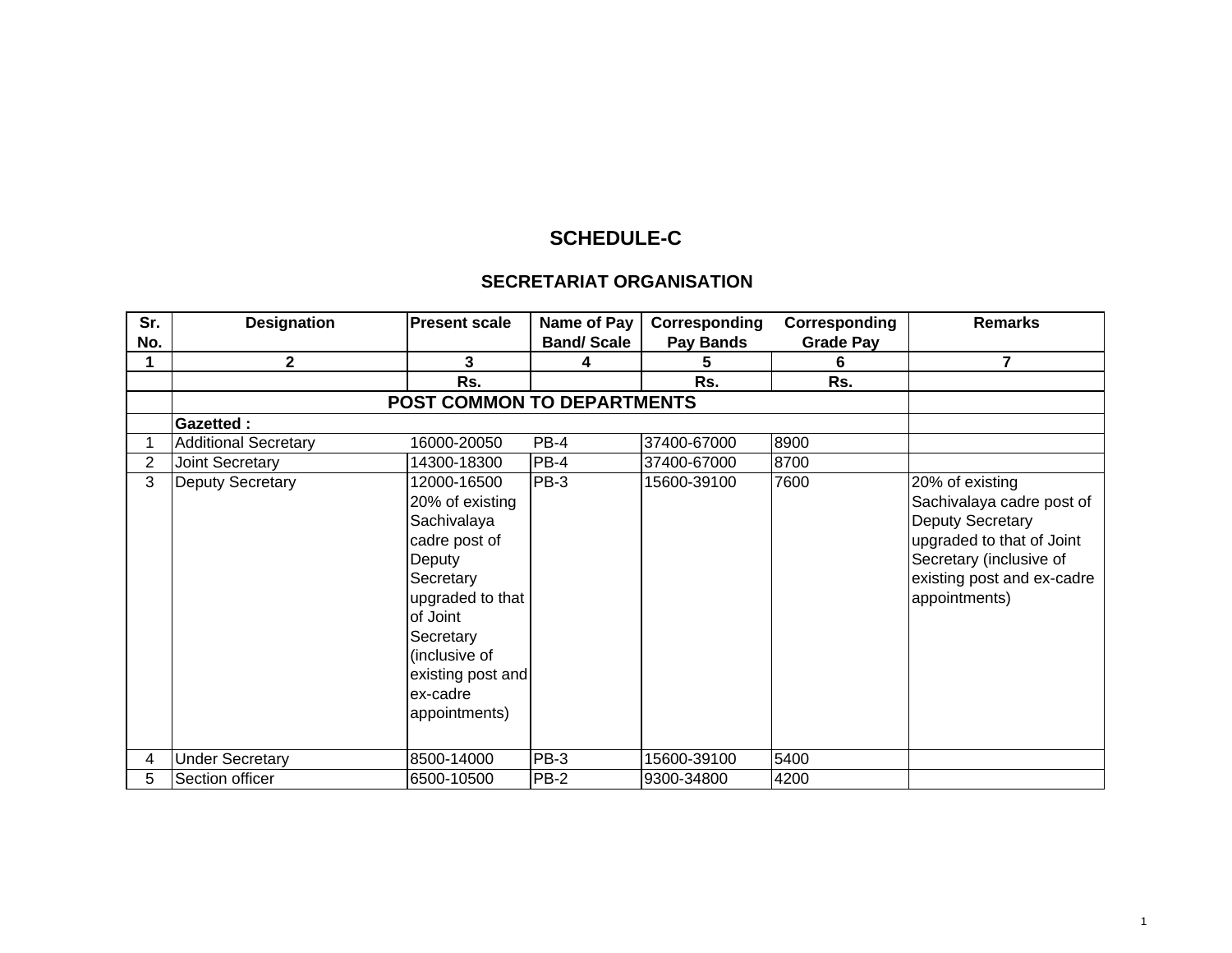# **SCHEDULE-C**

#### **SECRETARIAT ORGANISATION**

| Sr.            | <b>Designation</b>          | <b>Present scale</b>                                                                                                                                                                                  | Name of Pay       | Corresponding | Corresponding    | <b>Remarks</b>                                                                                                                                                          |
|----------------|-----------------------------|-------------------------------------------------------------------------------------------------------------------------------------------------------------------------------------------------------|-------------------|---------------|------------------|-------------------------------------------------------------------------------------------------------------------------------------------------------------------------|
| No.            |                             |                                                                                                                                                                                                       | <b>Band/Scale</b> | Pay Bands     | <b>Grade Pay</b> |                                                                                                                                                                         |
|                | 2                           | 3                                                                                                                                                                                                     |                   | 5             | 6                | 7                                                                                                                                                                       |
|                |                             | Rs.                                                                                                                                                                                                   |                   | Rs.           | Rs.              |                                                                                                                                                                         |
|                |                             | POST COMMON TO DEPARTMENTS                                                                                                                                                                            |                   |               |                  |                                                                                                                                                                         |
|                | <b>Gazetted:</b>            |                                                                                                                                                                                                       |                   |               |                  |                                                                                                                                                                         |
|                | <b>Additional Secretary</b> | 16000-20050                                                                                                                                                                                           | $PB-4$            | 37400-67000   | 8900             |                                                                                                                                                                         |
| $\overline{2}$ | Joint Secretary             | 14300-18300                                                                                                                                                                                           | $PB-4$            | 37400-67000   | 8700             |                                                                                                                                                                         |
| 3              | Deputy Secretary            | 12000-16500<br>20% of existing<br>Sachivalaya<br>cadre post of<br>Deputy<br>Secretary<br>upgraded to that<br>of Joint<br>Secretary<br>(inclusive of<br>existing post and<br>ex-cadre<br>appointments) | $PB-3$            | 15600-39100   | 7600             | 20% of existing<br>Sachivalaya cadre post of<br>Deputy Secretary<br>upgraded to that of Joint<br>Secretary (inclusive of<br>existing post and ex-cadre<br>appointments) |
| 4              | <b>Under Secretary</b>      | 8500-14000                                                                                                                                                                                            | PB-3              | 15600-39100   | 5400             |                                                                                                                                                                         |
| 5.             | Section officer             | 6500-10500                                                                                                                                                                                            | <b>PB-2</b>       | 9300-34800    | 4200             |                                                                                                                                                                         |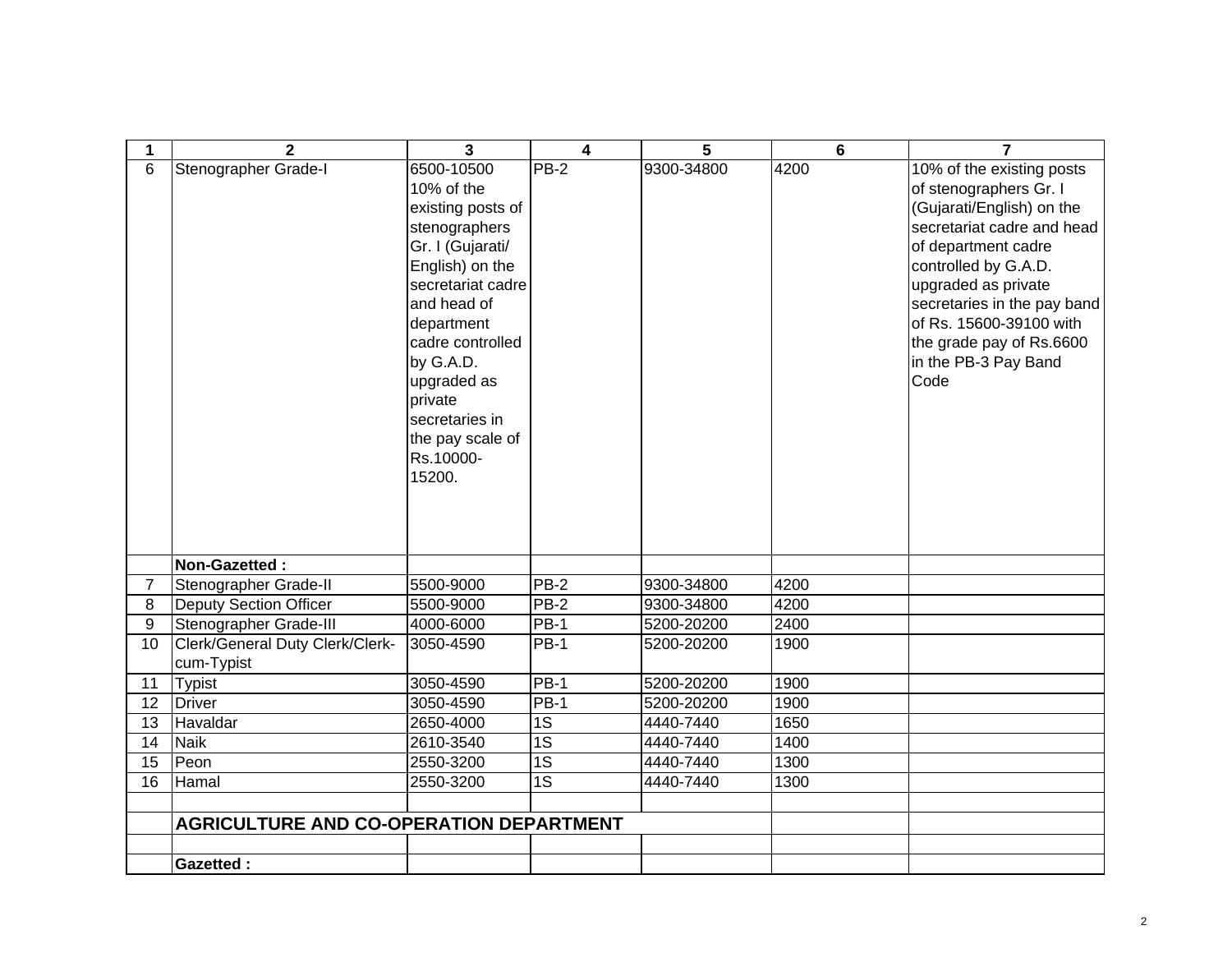| 1               | $\mathbf{2}$                                   | 3                                                                                                                                                                                                                                                                               | 4               | 5          | $6\phantom{1}$ | $\overline{ }$                                                                                                                                                                                                                                                                                             |
|-----------------|------------------------------------------------|---------------------------------------------------------------------------------------------------------------------------------------------------------------------------------------------------------------------------------------------------------------------------------|-----------------|------------|----------------|------------------------------------------------------------------------------------------------------------------------------------------------------------------------------------------------------------------------------------------------------------------------------------------------------------|
| 6               | Stenographer Grade-I                           | 6500-10500<br>10% of the<br>existing posts of<br>stenographers<br>Gr. I (Gujarati/<br>English) on the<br>secretariat cadre<br>and head of<br>department<br>cadre controlled<br>by G.A.D.<br>upgraded as<br>private<br>secretaries in<br>the pay scale of<br>Rs.10000-<br>15200. | $PB-2$          | 9300-34800 | 4200           | 10% of the existing posts<br>of stenographers Gr. I<br>(Gujarati/English) on the<br>secretariat cadre and head<br>of department cadre<br>controlled by G.A.D.<br>upgraded as private<br>secretaries in the pay band<br>of Rs. 15600-39100 with<br>the grade pay of Rs.6600<br>in the PB-3 Pay Band<br>Code |
|                 | Non-Gazetted:                                  |                                                                                                                                                                                                                                                                                 |                 |            |                |                                                                                                                                                                                                                                                                                                            |
| $\overline{7}$  | Stenographer Grade-II                          | 5500-9000                                                                                                                                                                                                                                                                       | $PB-2$          | 9300-34800 | 4200           |                                                                                                                                                                                                                                                                                                            |
| 8               | <b>Deputy Section Officer</b>                  | 5500-9000                                                                                                                                                                                                                                                                       | PB-2            | 9300-34800 | 4200           |                                                                                                                                                                                                                                                                                                            |
| 9               | Stenographer Grade-III                         | 4000-6000                                                                                                                                                                                                                                                                       | PB-1            | 5200-20200 | 2400           |                                                                                                                                                                                                                                                                                                            |
| 10              | Clerk/General Duty Clerk/Clerk-<br>cum-Typist  | 3050-4590                                                                                                                                                                                                                                                                       | <b>PB-1</b>     | 5200-20200 | 1900           |                                                                                                                                                                                                                                                                                                            |
| 11              | <b>Typist</b>                                  | 3050-4590                                                                                                                                                                                                                                                                       | $PB-1$          | 5200-20200 | 1900           |                                                                                                                                                                                                                                                                                                            |
| 12              | Driver                                         | 3050-4590                                                                                                                                                                                                                                                                       | PB-1            | 5200-20200 | 1900           |                                                                                                                                                                                                                                                                                                            |
| 13              | Havaldar                                       | 2650-4000                                                                                                                                                                                                                                                                       | 1S              | 4440-7440  | 1650           |                                                                                                                                                                                                                                                                                                            |
| 14              | <b>Naik</b>                                    | 2610-3540                                                                                                                                                                                                                                                                       | 1S              | 4440-7440  | 1400           |                                                                                                                                                                                                                                                                                                            |
| 15              | Peon                                           | 2550-3200                                                                                                                                                                                                                                                                       | $\overline{1S}$ | 4440-7440  | 1300           |                                                                                                                                                                                                                                                                                                            |
| $\overline{16}$ | Hamal                                          | 2550-3200                                                                                                                                                                                                                                                                       | $\overline{1S}$ | 4440-7440  | 1300           |                                                                                                                                                                                                                                                                                                            |
|                 |                                                |                                                                                                                                                                                                                                                                                 |                 |            |                |                                                                                                                                                                                                                                                                                                            |
|                 | <b>AGRICULTURE AND CO-OPERATION DEPARTMENT</b> |                                                                                                                                                                                                                                                                                 |                 |            |                |                                                                                                                                                                                                                                                                                                            |
|                 |                                                |                                                                                                                                                                                                                                                                                 |                 |            |                |                                                                                                                                                                                                                                                                                                            |
|                 | <b>Gazetted:</b>                               |                                                                                                                                                                                                                                                                                 |                 |            |                |                                                                                                                                                                                                                                                                                                            |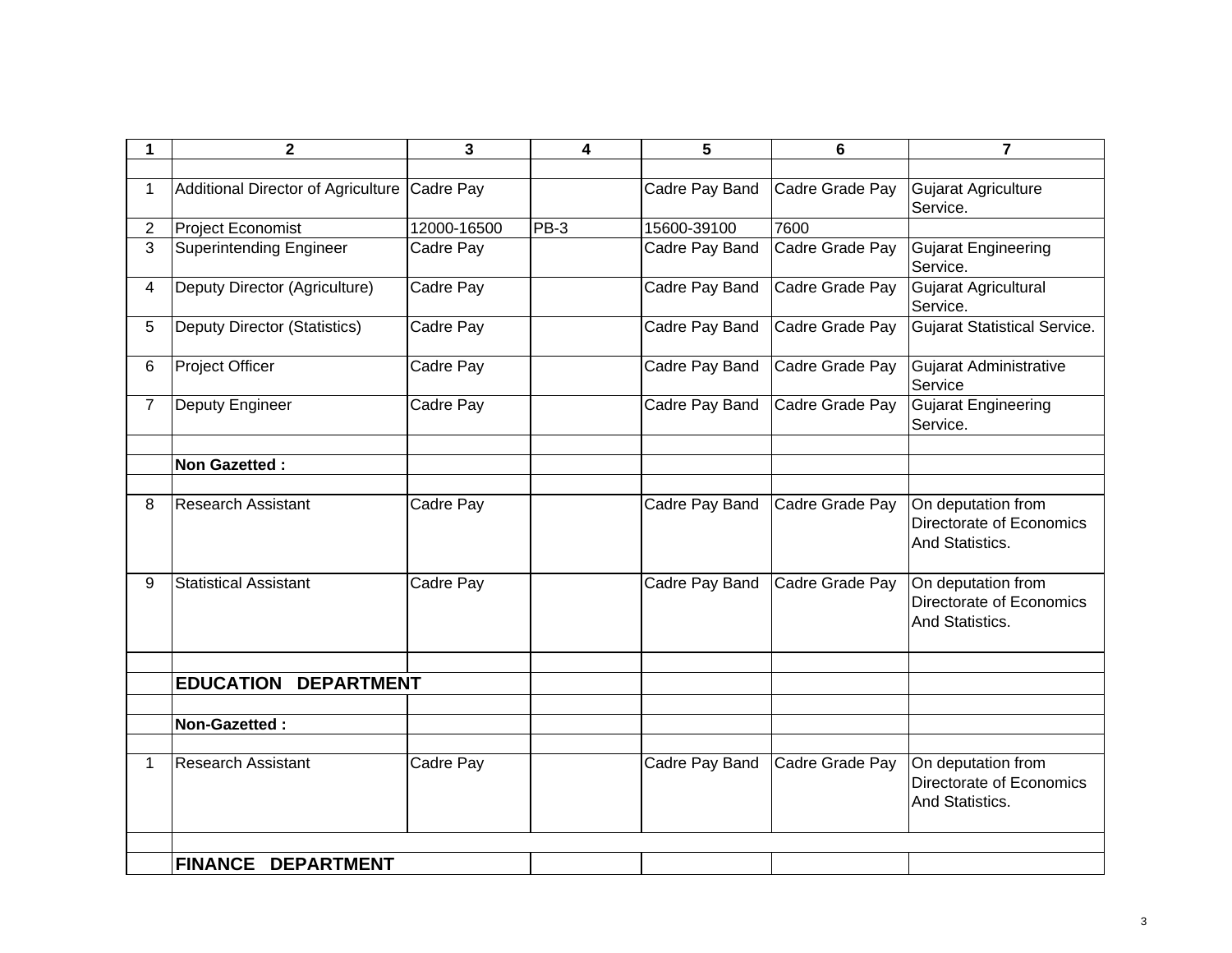| 1              | $\mathbf 2$                           | 3           | 4      | 5              | 6               | $\overline{7}$                                                    |
|----------------|---------------------------------------|-------------|--------|----------------|-----------------|-------------------------------------------------------------------|
|                |                                       |             |        |                |                 |                                                                   |
| 1              | Additional Director of Agriculture    | Cadre Pay   |        | Cadre Pay Band | Cadre Grade Pay | Gujarat Agriculture                                               |
|                |                                       |             |        |                |                 | Service.                                                          |
| $\overline{2}$ | <b>Project Economist</b>              | 12000-16500 | $PB-3$ | 15600-39100    | 7600            |                                                                   |
| 3              | <b>Superintending Engineer</b>        | Cadre Pay   |        | Cadre Pay Band | Cadre Grade Pay | <b>Gujarat Engineering</b><br>Service.                            |
| $\overline{4}$ | Deputy Director (Agriculture)         | Cadre Pay   |        | Cadre Pay Band | Cadre Grade Pay | Gujarat Agricultural<br>Service.                                  |
| 5              | <b>Deputy Director (Statistics)</b>   | Cadre Pay   |        | Cadre Pay Band | Cadre Grade Pay | <b>Gujarat Statistical Service.</b>                               |
| 6              | <b>Project Officer</b>                | Cadre Pay   |        | Cadre Pay Band | Cadre Grade Pay | Gujarat Administrative<br>Service                                 |
| $\overline{7}$ | Deputy Engineer                       | Cadre Pay   |        | Cadre Pay Band | Cadre Grade Pay | <b>Gujarat Engineering</b><br>Service.                            |
|                |                                       |             |        |                |                 |                                                                   |
|                | <b>Non Gazetted:</b>                  |             |        |                |                 |                                                                   |
| 8              | <b>Research Assistant</b>             | Cadre Pay   |        | Cadre Pay Band | Cadre Grade Pay | On deputation from<br>Directorate of Economics<br>And Statistics. |
| 9              | <b>Statistical Assistant</b>          | Cadre Pay   |        | Cadre Pay Band | Cadre Grade Pay | On deputation from<br>Directorate of Economics<br>And Statistics. |
|                |                                       |             |        |                |                 |                                                                   |
|                | <b>EDUCATION</b><br><b>DEPARTMENT</b> |             |        |                |                 |                                                                   |
|                |                                       |             |        |                |                 |                                                                   |
|                | Non-Gazetted:                         |             |        |                |                 |                                                                   |
| 1.             | <b>Research Assistant</b>             | Cadre Pay   |        | Cadre Pay Band | Cadre Grade Pay | On deputation from<br>Directorate of Economics<br>And Statistics. |
|                |                                       |             |        |                |                 |                                                                   |
|                | FINANCE DEPARTMENT                    |             |        |                |                 |                                                                   |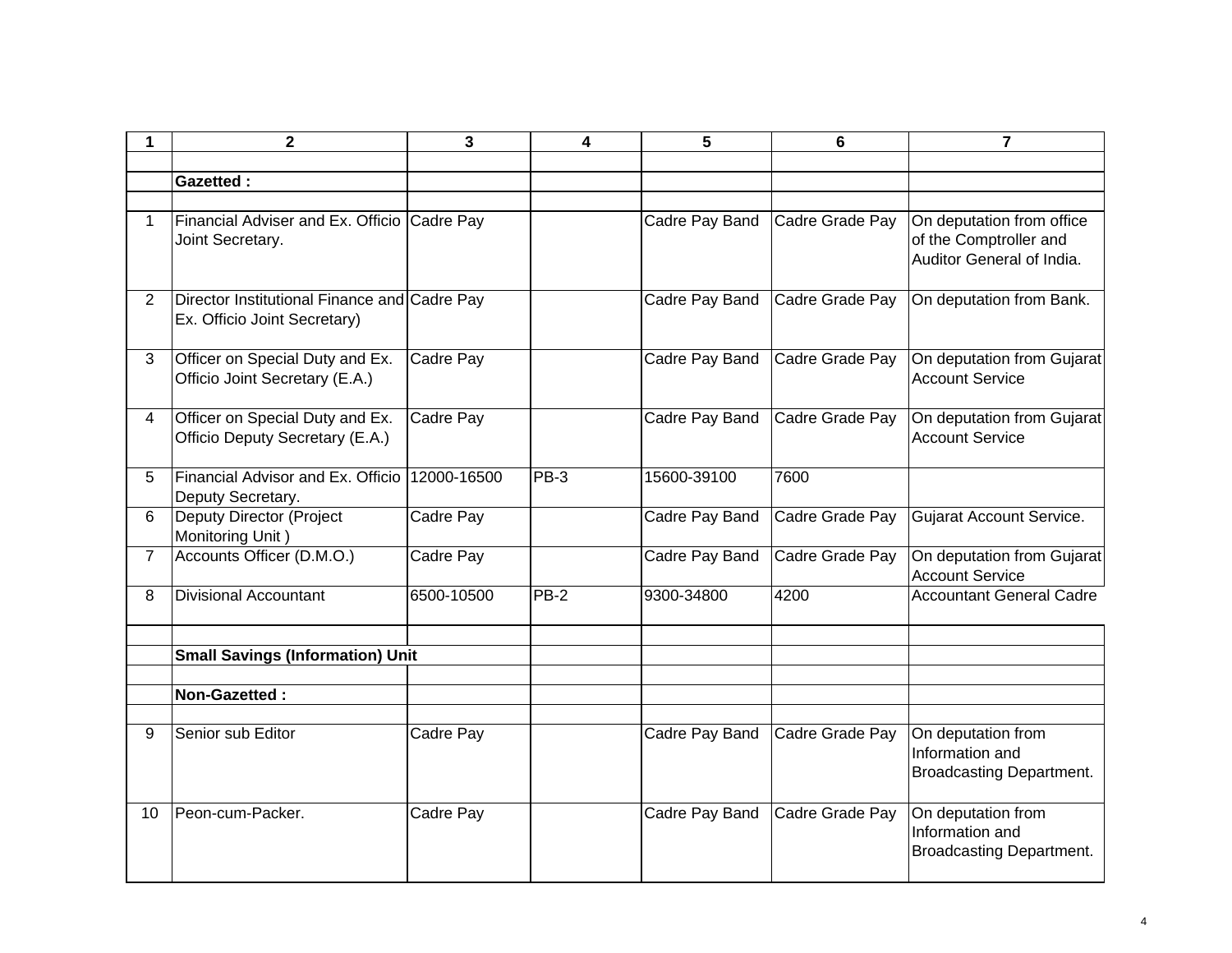| 1              | $\mathbf{2}$                                                                 | 3           | 4           | 5              | $6\phantom{1}6$ | $\overline{7}$                                                           |
|----------------|------------------------------------------------------------------------------|-------------|-------------|----------------|-----------------|--------------------------------------------------------------------------|
|                |                                                                              |             |             |                |                 |                                                                          |
|                | <b>Gazetted:</b>                                                             |             |             |                |                 |                                                                          |
| $\mathbf{1}$   | Financial Adviser and Ex. Officio Cadre Pay                                  |             |             | Cadre Pay Band | Cadre Grade Pay | On deputation from office                                                |
|                | Joint Secretary.                                                             |             |             |                |                 | of the Comptroller and<br>Auditor General of India.                      |
| $\overline{2}$ | Director Institutional Finance and Cadre Pay<br>Ex. Officio Joint Secretary) |             |             | Cadre Pay Band | Cadre Grade Pay | On deputation from Bank.                                                 |
| 3              | Officer on Special Duty and Ex.<br>Officio Joint Secretary (E.A.)            | Cadre Pay   |             | Cadre Pay Band | Cadre Grade Pay | On deputation from Gujarat<br><b>Account Service</b>                     |
| $\overline{4}$ | Officer on Special Duty and Ex.<br>Officio Deputy Secretary (E.A.)           | Cadre Pay   |             | Cadre Pay Band | Cadre Grade Pay | On deputation from Gujarat<br><b>Account Service</b>                     |
| 5              | Financial Advisor and Ex. Officio<br>Deputy Secretary.                       | 12000-16500 | PB-3        | 15600-39100    | 7600            |                                                                          |
| 6              | Deputy Director (Project<br>Monitoring Unit)                                 | Cadre Pay   |             | Cadre Pay Band | Cadre Grade Pay | Gujarat Account Service.                                                 |
| $\overline{7}$ | Accounts Officer (D.M.O.)                                                    | Cadre Pay   |             | Cadre Pay Band | Cadre Grade Pay | On deputation from Gujarat<br><b>Account Service</b>                     |
| 8              | <b>Divisional Accountant</b>                                                 | 6500-10500  | <b>PB-2</b> | 9300-34800     | 4200            | <b>Accountant General Cadre</b>                                          |
|                | <b>Small Savings (Information) Unit</b>                                      |             |             |                |                 |                                                                          |
|                | Non-Gazetted:                                                                |             |             |                |                 |                                                                          |
|                |                                                                              |             |             |                |                 |                                                                          |
| 9              | Senior sub Editor                                                            | Cadre Pay   |             | Cadre Pay Band | Cadre Grade Pay | On deputation from<br>Information and<br><b>Broadcasting Department.</b> |
| 10             | Peon-cum-Packer.                                                             | Cadre Pay   |             | Cadre Pay Band | Cadre Grade Pay | On deputation from<br>Information and<br><b>Broadcasting Department.</b> |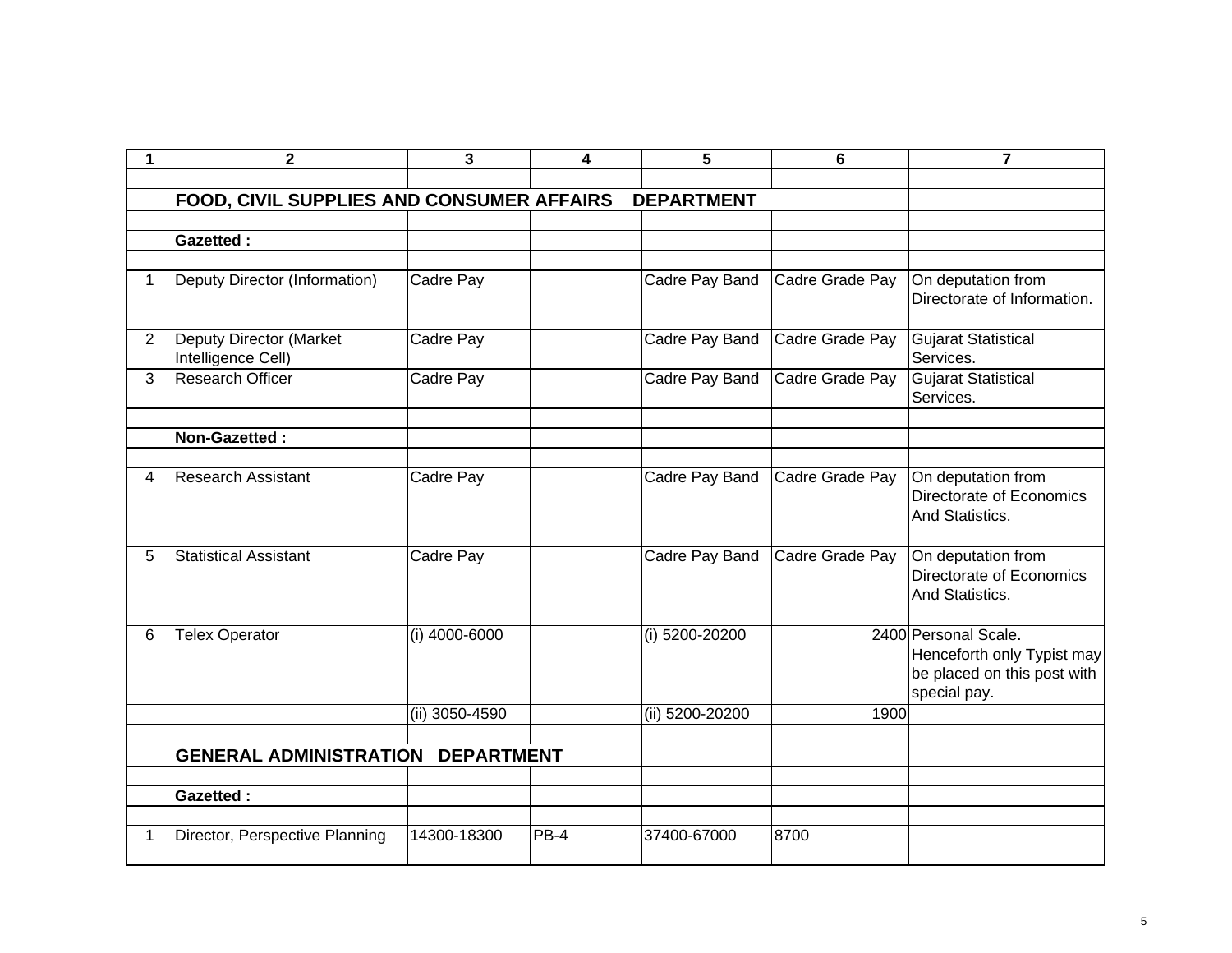| 1              | $\mathbf{2}$                                  | 3              | $\overline{\mathbf{4}}$ | 5                 | 6               | $\overline{7}$                                                                                    |
|----------------|-----------------------------------------------|----------------|-------------------------|-------------------|-----------------|---------------------------------------------------------------------------------------------------|
|                |                                               |                |                         |                   |                 |                                                                                                   |
|                | FOOD, CIVIL SUPPLIES AND CONSUMER AFFAIRS     |                |                         | <b>DEPARTMENT</b> |                 |                                                                                                   |
|                |                                               |                |                         |                   |                 |                                                                                                   |
|                | <b>Gazetted:</b>                              |                |                         |                   |                 |                                                                                                   |
|                |                                               |                |                         |                   |                 |                                                                                                   |
| $\mathbf 1$    | Deputy Director (Information)                 | Cadre Pay      |                         | Cadre Pay Band    | Cadre Grade Pay | On deputation from<br>Directorate of Information.                                                 |
| $\overline{2}$ | Deputy Director (Market<br>Intelligence Cell) | Cadre Pay      |                         | Cadre Pay Band    | Cadre Grade Pay | Gujarat Statistical<br>Services.                                                                  |
| 3              | <b>Research Officer</b>                       | Cadre Pay      |                         | Cadre Pay Band    | Cadre Grade Pay | <b>Gujarat Statistical</b><br>Services.                                                           |
|                |                                               |                |                         |                   |                 |                                                                                                   |
|                | Non-Gazetted:                                 |                |                         |                   |                 |                                                                                                   |
| $\overline{4}$ | Research Assistant                            | Cadre Pay      |                         | Cadre Pay Band    | Cadre Grade Pay | On deputation from<br>Directorate of Economics<br>And Statistics.                                 |
| 5              | <b>Statistical Assistant</b>                  | Cadre Pay      |                         | Cadre Pay Band    | Cadre Grade Pay | On deputation from<br>Directorate of Economics<br>And Statistics.                                 |
| 6              | <b>Telex Operator</b>                         | (i) 4000-6000  |                         | $(i)$ 5200-20200  |                 | 2400 Personal Scale.<br>Henceforth only Typist may<br>be placed on this post with<br>special pay. |
|                |                                               | (ii) 3050-4590 |                         | (ii) 5200-20200   | 1900            |                                                                                                   |
|                |                                               |                |                         |                   |                 |                                                                                                   |
|                | <b>GENERAL ADMINISTRATION DEPARTMENT</b>      |                |                         |                   |                 |                                                                                                   |
|                |                                               |                |                         |                   |                 |                                                                                                   |
|                | <b>Gazetted:</b>                              |                |                         |                   |                 |                                                                                                   |
| 1.             | Director, Perspective Planning                | 14300-18300    | PB-4                    | 37400-67000       | 8700            |                                                                                                   |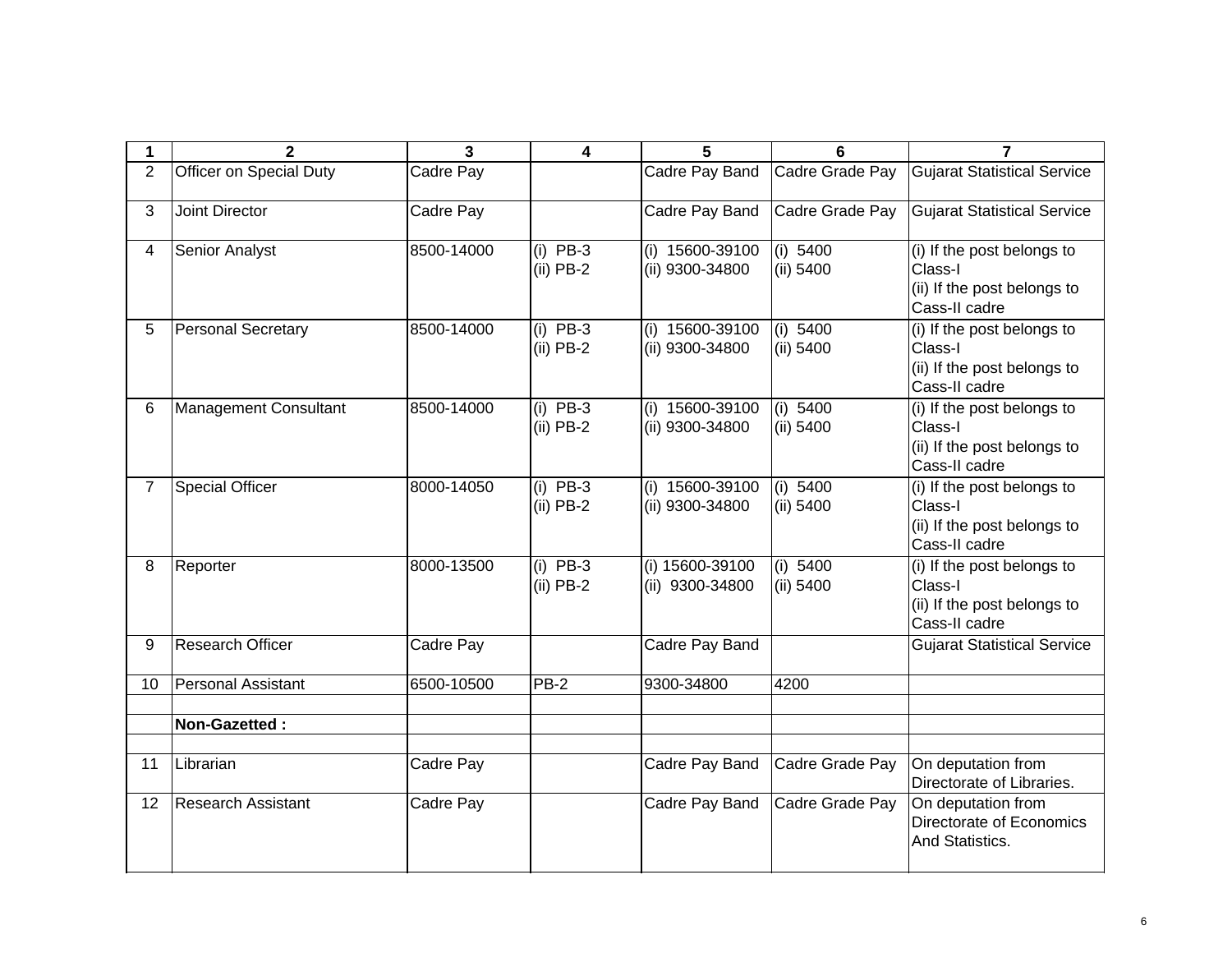| 1              | $\mathbf{2}$                 | 3          | 4                         | 5                                  | 6                       | $\overline{7}$                                                                        |
|----------------|------------------------------|------------|---------------------------|------------------------------------|-------------------------|---------------------------------------------------------------------------------------|
| $\overline{2}$ | Officer on Special Duty      | Cadre Pay  |                           | Cadre Pay Band                     | Cadre Grade Pay         | <b>Gujarat Statistical Service</b>                                                    |
| 3              | <b>Joint Director</b>        | Cadre Pay  |                           | Cadre Pay Band                     | Cadre Grade Pay         | <b>Gujarat Statistical Service</b>                                                    |
| 4              | Senior Analyst               | 8500-14000 | $(i)$ PB-3<br>$(ii)$ PB-2 | (i) 15600-39100<br>(ii) 9300-34800 | (i) 5400<br>$(ii)$ 5400 | (i) If the post belongs to<br>Class-I<br>(ii) If the post belongs to<br>Cass-II cadre |
| 5              | <b>Personal Secretary</b>    | 8500-14000 | $(i)$ PB-3<br>$(ii)$ PB-2 | (i) 15600-39100<br>(ii) 9300-34800 | (i) 5400<br>$(ii)$ 5400 | (i) If the post belongs to<br>Class-I<br>(ii) If the post belongs to<br>Cass-II cadre |
| 6              | <b>Management Consultant</b> | 8500-14000 | $(i)$ PB-3<br>$(ii)$ PB-2 | (i) 15600-39100<br>(ii) 9300-34800 | (i) 5400<br>(ii) 5400   | (i) If the post belongs to<br>Class-I<br>(ii) If the post belongs to<br>Cass-II cadre |
| $\overline{7}$ | <b>Special Officer</b>       | 8000-14050 | $(i)$ PB-3<br>$(ii)$ PB-2 | (i) 15600-39100<br>(ii) 9300-34800 | (i) 5400<br>(ii) 5400   | (i) If the post belongs to<br>Class-I<br>(ii) If the post belongs to<br>Cass-II cadre |
| 8              | Reporter                     | 8000-13500 | $(i)$ PB-3<br>$(ii)$ PB-2 | (i) 15600-39100<br>(ii) 9300-34800 | (i) 5400<br>(ii) 5400   | (i) If the post belongs to<br>Class-I<br>(ii) If the post belongs to<br>Cass-II cadre |
| 9              | <b>Research Officer</b>      | Cadre Pay  |                           | Cadre Pay Band                     |                         | <b>Gujarat Statistical Service</b>                                                    |
| 10             | <b>Personal Assistant</b>    | 6500-10500 | $PB-2$                    | 9300-34800                         | 4200                    |                                                                                       |
|                | Non-Gazetted:                |            |                           |                                    |                         |                                                                                       |
| 11             | Librarian                    | Cadre Pay  |                           | Cadre Pay Band                     | Cadre Grade Pay         | On deputation from<br>Directorate of Libraries.                                       |
| 12             | <b>Research Assistant</b>    | Cadre Pay  |                           | Cadre Pay Band                     | Cadre Grade Pay         | On deputation from<br>Directorate of Economics<br>And Statistics.                     |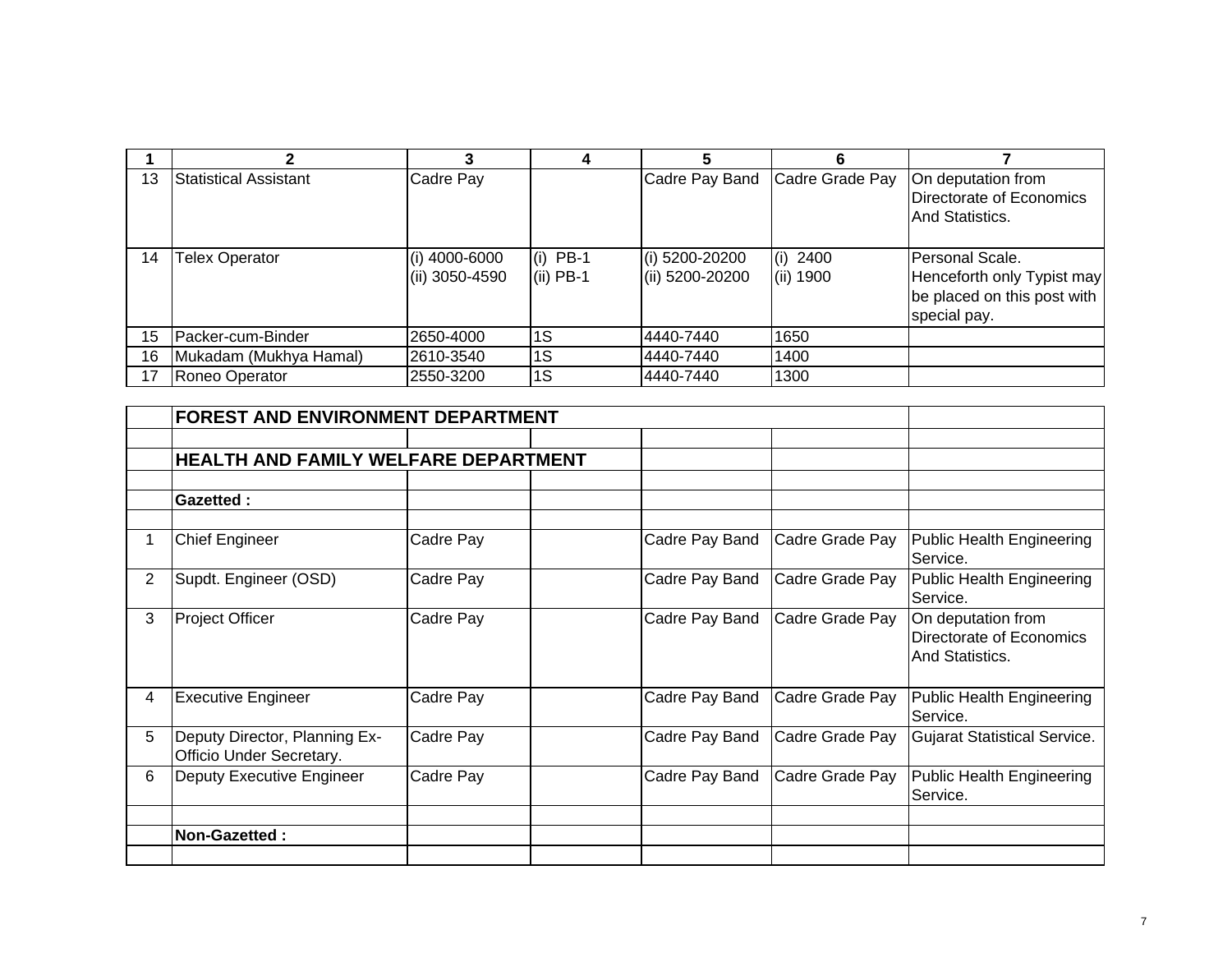|    |                        |                                   |                           | 5                                 |                         |                                                                                              |
|----|------------------------|-----------------------------------|---------------------------|-----------------------------------|-------------------------|----------------------------------------------------------------------------------------------|
| 13 | Statistical Assistant  | Cadre Pay                         |                           | Cadre Pay Band                    | Cadre Grade Pay         | On deputation from<br>Directorate of Economics<br>And Statistics.                            |
| 14 | Telex Operator         | $(i)$ 4000-6000<br>(ii) 3050-4590 | $(i)$ PB-1<br>$(ii)$ PB-1 | (i) 5200-20200<br>(ii) 5200-20200 | $(i)$ 2400<br>(ii) 1900 | Personal Scale.<br>Henceforth only Typist may<br>be placed on this post with<br>special pay. |
| 15 | Packer-cum-Binder      | 2650-4000                         | 1S                        | 4440-7440                         | 1650                    |                                                                                              |
| 16 | Mukadam (Mukhya Hamal) | 2610-3540                         | 1S                        | 4440-7440                         | 1400                    |                                                                                              |
| 17 | Roneo Operator         | 2550-3200                         | 1S                        | 4440-7440                         | 1300                    |                                                                                              |

|                | <b>FOREST AND ENVIRONMENT DEPARTMENT</b>                  |           |                |                 |                                                                   |
|----------------|-----------------------------------------------------------|-----------|----------------|-----------------|-------------------------------------------------------------------|
|                |                                                           |           |                |                 |                                                                   |
|                | <b>HEALTH AND FAMILY WELFARE DEPARTMENT</b>               |           |                |                 |                                                                   |
|                |                                                           |           |                |                 |                                                                   |
|                | <b>Gazetted:</b>                                          |           |                |                 |                                                                   |
|                |                                                           |           |                |                 |                                                                   |
|                | <b>Chief Engineer</b>                                     | Cadre Pay | Cadre Pay Band | Cadre Grade Pay | <b>Public Health Engineering</b><br>Service.                      |
| $\overline{2}$ | Supdt. Engineer (OSD)                                     | Cadre Pay | Cadre Pay Band | Cadre Grade Pay | <b>Public Health Engineering</b><br>Service.                      |
| 3              | <b>Project Officer</b>                                    | Cadre Pay | Cadre Pay Band | Cadre Grade Pay | On deputation from<br>Directorate of Economics<br>And Statistics. |
| 4              | <b>Executive Engineer</b>                                 | Cadre Pay | Cadre Pay Band | Cadre Grade Pay | <b>Public Health Engineering</b><br>Service.                      |
| 5              | Deputy Director, Planning Ex-<br>Officio Under Secretary. | Cadre Pay | Cadre Pay Band | Cadre Grade Pay | <b>Gujarat Statistical Service.</b>                               |
| 6              | Deputy Executive Engineer                                 | Cadre Pay | Cadre Pay Band | Cadre Grade Pay | <b>Public Health Engineering</b><br>Service.                      |
|                |                                                           |           |                |                 |                                                                   |
|                |                                                           |           |                |                 |                                                                   |
|                | <b>Non-Gazetted:</b>                                      |           |                |                 |                                                                   |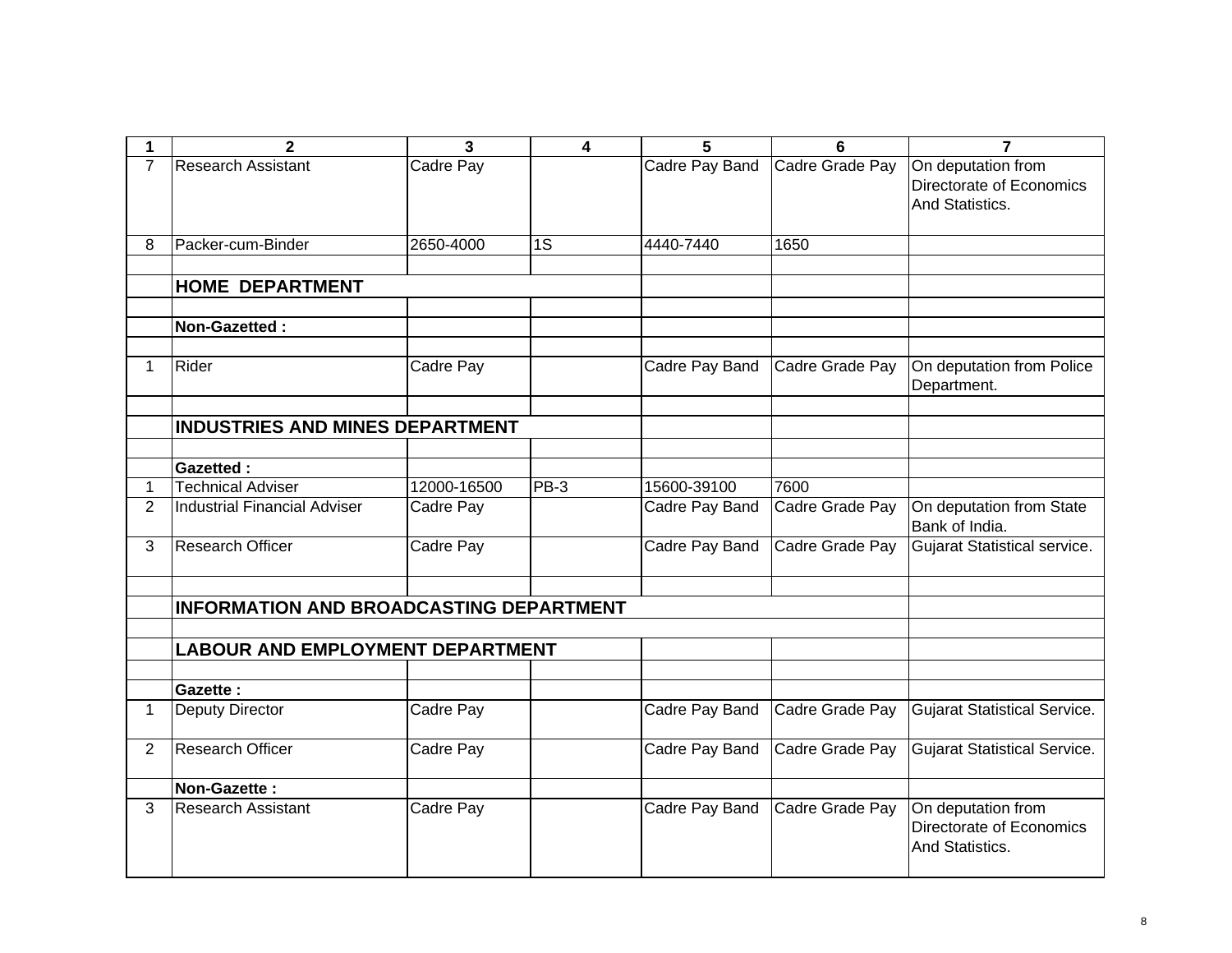| 1              | $\mathbf 2$                                    | 3           | 4      | 5              | $6\phantom{1}6$ | $\overline{7}$                      |
|----------------|------------------------------------------------|-------------|--------|----------------|-----------------|-------------------------------------|
| $\overline{7}$ | <b>Research Assistant</b>                      | Cadre Pay   |        | Cadre Pay Band | Cadre Grade Pay | On deputation from                  |
|                |                                                |             |        |                |                 | Directorate of Economics            |
|                |                                                |             |        |                |                 | And Statistics.                     |
|                |                                                |             |        |                |                 |                                     |
| 8              | Packer-cum-Binder                              | 2650-4000   | 1S     | 4440-7440      | 1650            |                                     |
|                |                                                |             |        |                |                 |                                     |
|                | <b>HOME DEPARTMENT</b>                         |             |        |                |                 |                                     |
|                |                                                |             |        |                |                 |                                     |
|                | Non-Gazetted:                                  |             |        |                |                 |                                     |
|                |                                                |             |        |                |                 |                                     |
| 1              | Rider                                          | Cadre Pay   |        | Cadre Pay Band | Cadre Grade Pay | On deputation from Police           |
|                |                                                |             |        |                |                 | Department.                         |
|                |                                                |             |        |                |                 |                                     |
|                | <b>INDUSTRIES AND MINES DEPARTMENT</b>         |             |        |                |                 |                                     |
|                |                                                |             |        |                |                 |                                     |
|                | <b>Gazetted:</b>                               |             |        |                |                 |                                     |
| 1              | <b>Technical Adviser</b>                       | 12000-16500 | $PB-3$ | 15600-39100    | 7600            |                                     |
| $\overline{2}$ | <b>Industrial Financial Adviser</b>            | Cadre Pay   |        | Cadre Pay Band | Cadre Grade Pay | On deputation from State            |
|                |                                                |             |        |                |                 | Bank of India.                      |
| 3              | <b>Research Officer</b>                        | Cadre Pay   |        | Cadre Pay Band | Cadre Grade Pay | Gujarat Statistical service.        |
|                |                                                |             |        |                |                 |                                     |
|                |                                                |             |        |                |                 |                                     |
|                | <b>INFORMATION AND BROADCASTING DEPARTMENT</b> |             |        |                |                 |                                     |
|                |                                                |             |        |                |                 |                                     |
|                | <b>LABOUR AND EMPLOYMENT DEPARTMENT</b>        |             |        |                |                 |                                     |
|                |                                                |             |        |                |                 |                                     |
|                | Gazette:                                       |             |        |                |                 |                                     |
| 1              | <b>Deputy Director</b>                         | Cadre Pay   |        | Cadre Pay Band | Cadre Grade Pay | <b>Gujarat Statistical Service.</b> |
| $\overline{2}$ | Research Officer                               | Cadre Pay   |        | Cadre Pay Band | Cadre Grade Pay | <b>Gujarat Statistical Service.</b> |
|                |                                                |             |        |                |                 |                                     |
|                | Non-Gazette:                                   |             |        |                |                 |                                     |
| 3              | <b>Research Assistant</b>                      | Cadre Pay   |        | Cadre Pay Band | Cadre Grade Pay | On deputation from                  |
|                |                                                |             |        |                |                 | Directorate of Economics            |
|                |                                                |             |        |                |                 | And Statistics.                     |
|                |                                                |             |        |                |                 |                                     |
|                |                                                |             |        |                |                 |                                     |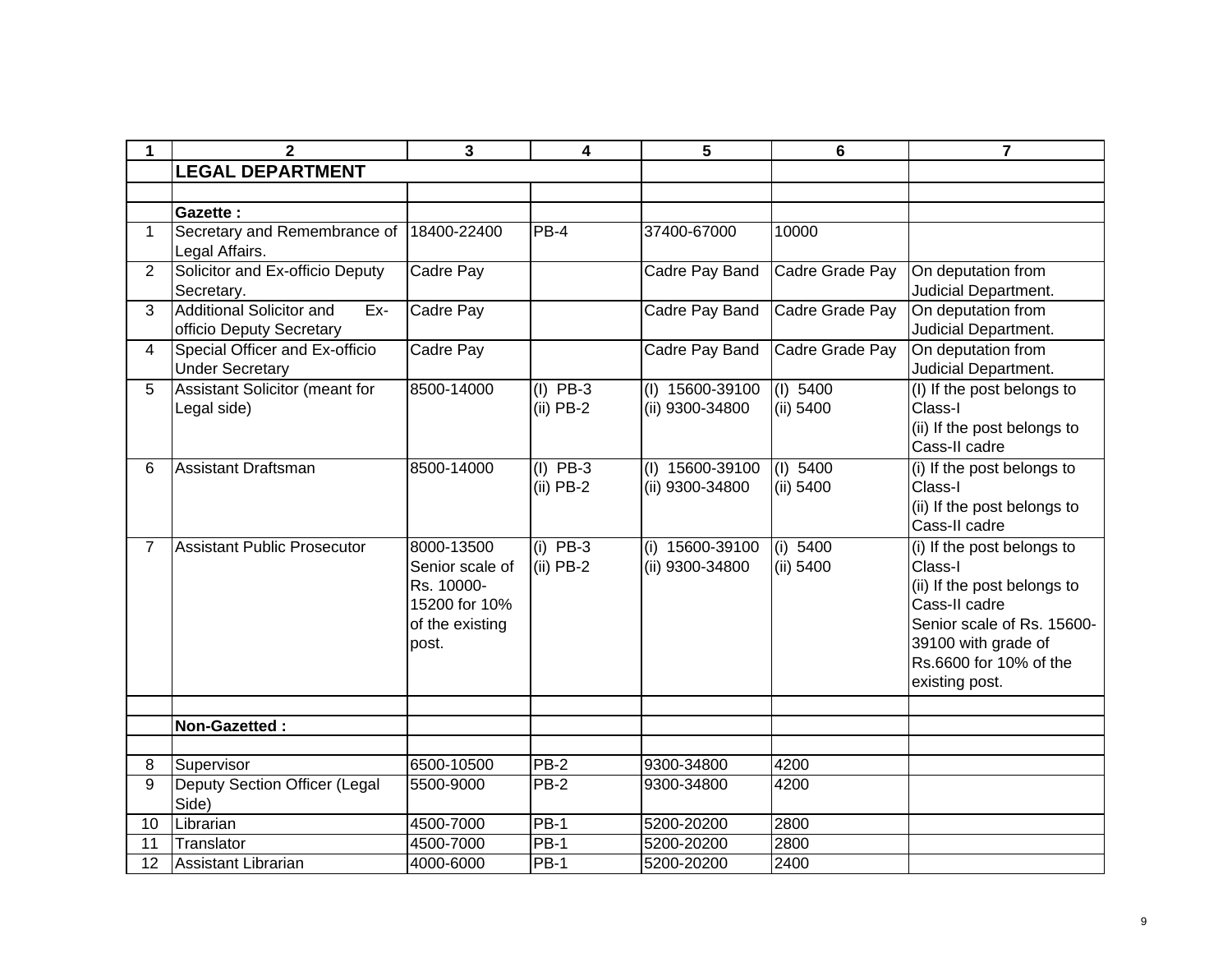| $\mathbf 1$    | $\mathbf{2}$                                                       | 3                                                                                        | 4                         | 5                                    | 6                       | $\overline{7}$                                                                                                                                                                         |
|----------------|--------------------------------------------------------------------|------------------------------------------------------------------------------------------|---------------------------|--------------------------------------|-------------------------|----------------------------------------------------------------------------------------------------------------------------------------------------------------------------------------|
|                | <b>LEGAL DEPARTMENT</b>                                            |                                                                                          |                           |                                      |                         |                                                                                                                                                                                        |
|                |                                                                    |                                                                                          |                           |                                      |                         |                                                                                                                                                                                        |
|                | Gazette:                                                           |                                                                                          |                           |                                      |                         |                                                                                                                                                                                        |
| $\mathbf 1$    | Secretary and Remembrance of<br>Legal Affairs.                     | 18400-22400                                                                              | $PB-4$                    | 37400-67000                          | 10000                   |                                                                                                                                                                                        |
| 2              | Solicitor and Ex-officio Deputy<br>Secretary.                      | Cadre Pay                                                                                |                           | Cadre Pay Band                       | Cadre Grade Pay         | On deputation from<br>Judicial Department.                                                                                                                                             |
| 3              | <b>Additional Solicitor and</b><br>Ex-<br>officio Deputy Secretary | Cadre Pay                                                                                |                           | Cadre Pay Band                       | Cadre Grade Pay         | On deputation from<br>Judicial Department.                                                                                                                                             |
| 4              | Special Officer and Ex-officio<br><b>Under Secretary</b>           | Cadre Pay                                                                                |                           | Cadre Pay Band                       | Cadre Grade Pay         | On deputation from<br>Judicial Department.                                                                                                                                             |
| 5              | <b>Assistant Solicitor (meant for</b><br>Legal side)               | 8500-14000                                                                               | $(I)$ PB-3<br>$(ii)$ PB-2 | $(I)$ 15600-39100<br>(ii) 9300-34800 | $(I)$ 5400<br>(ii) 5400 | (I) If the post belongs to<br>Class-I<br>(ii) If the post belongs to<br>Cass-II cadre                                                                                                  |
| 6              | Assistant Draftsman                                                | 8500-14000                                                                               | $(I)$ PB-3<br>$(ii)$ PB-2 | (I) 15600-39100<br>(ii) 9300-34800   | (I) 5400<br>(ii) 5400   | (i) If the post belongs to<br>Class-I<br>(ii) If the post belongs to<br>Cass-II cadre                                                                                                  |
| $\overline{7}$ | <b>Assistant Public Prosecutor</b>                                 | 8000-13500<br>Senior scale of<br>Rs. 10000-<br>15200 for 10%<br>of the existing<br>post. | $(i)$ PB-3<br>$(ii)$ PB-2 | (i) 15600-39100<br>(ii) 9300-34800   | (i) 5400<br>(ii) 5400   | (i) If the post belongs to<br>Class-I<br>(ii) If the post belongs to<br>Cass-II cadre<br>Senior scale of Rs. 15600-<br>39100 with grade of<br>Rs.6600 for 10% of the<br>existing post. |
|                |                                                                    |                                                                                          |                           |                                      |                         |                                                                                                                                                                                        |
|                | Non-Gazetted:                                                      |                                                                                          |                           |                                      |                         |                                                                                                                                                                                        |
| 8              | Supervisor                                                         | 6500-10500                                                                               | <b>PB-2</b>               | 9300-34800                           | 4200                    |                                                                                                                                                                                        |
| 9              | Deputy Section Officer (Legal<br>Side)                             | 5500-9000                                                                                | <b>PB-2</b>               | 9300-34800                           | 4200                    |                                                                                                                                                                                        |
| 10             | Librarian                                                          | 4500-7000                                                                                | $PB-1$                    | 5200-20200                           | 2800                    |                                                                                                                                                                                        |
| 11             | Translator                                                         | 4500-7000                                                                                | <b>PB-1</b>               | 5200-20200                           | 2800                    |                                                                                                                                                                                        |
| 12             | Assistant Librarian                                                | 4000-6000                                                                                | <b>PB-1</b>               | 5200-20200                           | 2400                    |                                                                                                                                                                                        |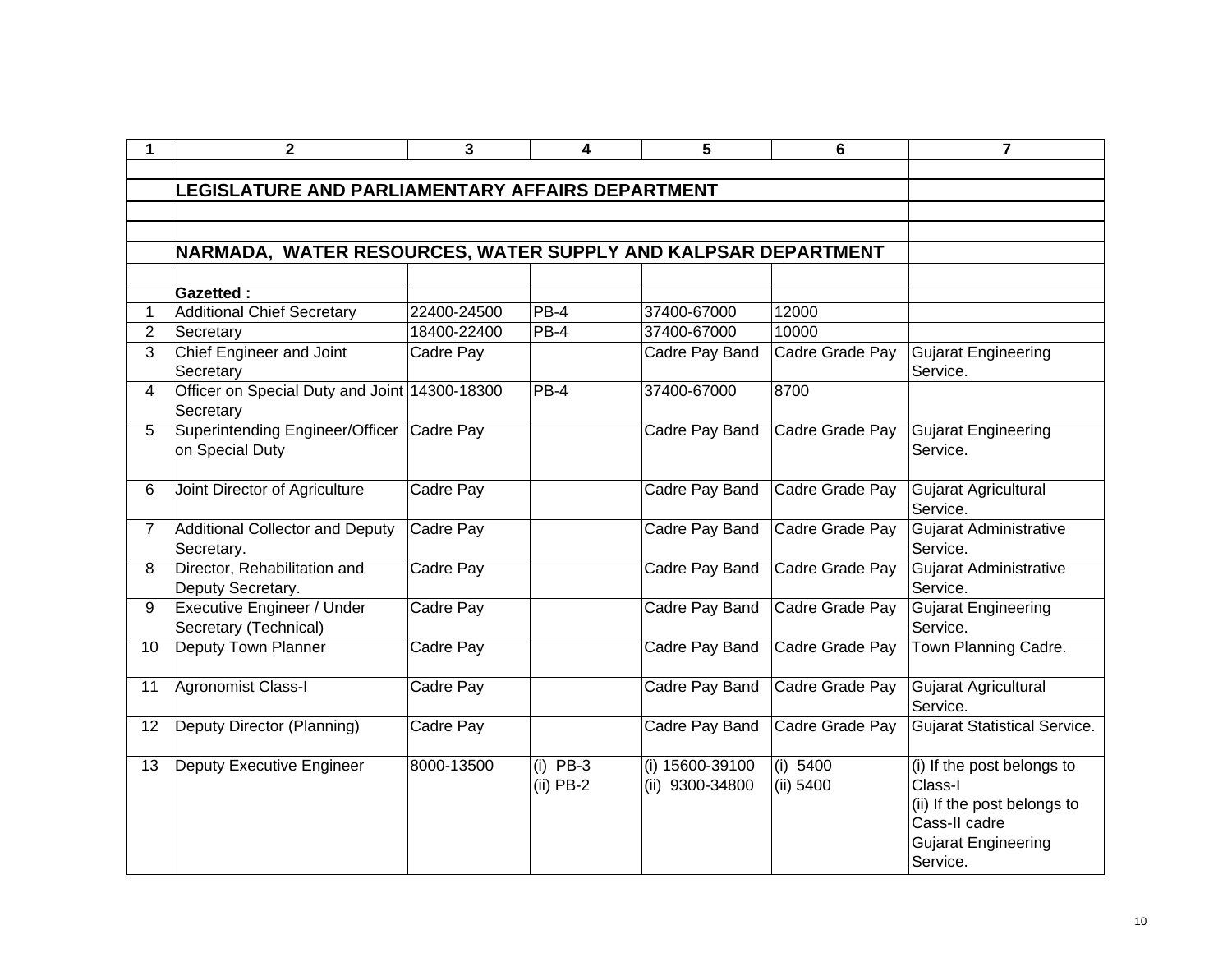|                 | $\mathbf{2}$                                                  | 3           | 4                         | 5                                  | 6                     | $\overline{7}$                                                                                                                  |
|-----------------|---------------------------------------------------------------|-------------|---------------------------|------------------------------------|-----------------------|---------------------------------------------------------------------------------------------------------------------------------|
|                 |                                                               |             |                           |                                    |                       |                                                                                                                                 |
|                 | LEGISLATURE AND PARLIAMENTARY AFFAIRS DEPARTMENT              |             |                           |                                    |                       |                                                                                                                                 |
|                 |                                                               |             |                           |                                    |                       |                                                                                                                                 |
|                 |                                                               |             |                           |                                    |                       |                                                                                                                                 |
|                 | NARMADA, WATER RESOURCES, WATER SUPPLY AND KALPSAR DEPARTMENT |             |                           |                                    |                       |                                                                                                                                 |
|                 |                                                               |             |                           |                                    |                       |                                                                                                                                 |
| 1               | <b>Gazetted:</b><br><b>Additional Chief Secretary</b>         | 22400-24500 | $PB-4$                    | 37400-67000                        | 12000                 |                                                                                                                                 |
| $\overline{2}$  | Secretary                                                     | 18400-22400 | $PB-4$                    | 37400-67000                        | 10000                 |                                                                                                                                 |
| 3               | Chief Engineer and Joint<br>Secretary                         | Cadre Pay   |                           | Cadre Pay Band                     | Cadre Grade Pay       | <b>Gujarat Engineering</b><br>Service.                                                                                          |
| $\overline{4}$  | Officer on Special Duty and Joint 14300-18300<br>Secretary    |             | PB-4                      | 37400-67000                        | 8700                  |                                                                                                                                 |
| 5 <sup>5</sup>  | Superintending Engineer/Officer<br>on Special Duty            | Cadre Pay   |                           | Cadre Pay Band                     | Cadre Grade Pay       | <b>Gujarat Engineering</b><br>Service.                                                                                          |
| 6               | Joint Director of Agriculture                                 | Cadre Pay   |                           | Cadre Pay Band                     | Cadre Grade Pay       | Gujarat Agricultural<br>Service.                                                                                                |
| $\overline{7}$  | Additional Collector and Deputy<br>Secretary.                 | Cadre Pay   |                           | Cadre Pay Band                     | Cadre Grade Pay       | <b>Gujarat Administrative</b><br>Service.                                                                                       |
| 8               | Director, Rehabilitation and<br>Deputy Secretary.             | Cadre Pay   |                           | Cadre Pay Band                     | Cadre Grade Pay       | <b>Gujarat Administrative</b><br>Service.                                                                                       |
| 9               | Executive Engineer / Under<br>Secretary (Technical)           | Cadre Pay   |                           | Cadre Pay Band                     | Cadre Grade Pay       | <b>Gujarat Engineering</b><br>Service.                                                                                          |
| 10 <sup>°</sup> | Deputy Town Planner                                           | Cadre Pay   |                           | Cadre Pay Band                     | Cadre Grade Pay       | Town Planning Cadre.                                                                                                            |
| 11              | Agronomist Class-I                                            | Cadre Pay   |                           | Cadre Pay Band                     | Cadre Grade Pay       | Gujarat Agricultural<br>Service.                                                                                                |
| 12              | Deputy Director (Planning)                                    | Cadre Pay   |                           | Cadre Pay Band                     | Cadre Grade Pay       | <b>Gujarat Statistical Service.</b>                                                                                             |
| 13              | Deputy Executive Engineer                                     | 8000-13500  | $(i)$ PB-3<br>$(ii)$ PB-2 | (i) 15600-39100<br>(ii) 9300-34800 | (i) 5400<br>(ii) 5400 | (i) If the post belongs to<br>Class-I<br>(ii) If the post belongs to<br>Cass-II cadre<br><b>Gujarat Engineering</b><br>Service. |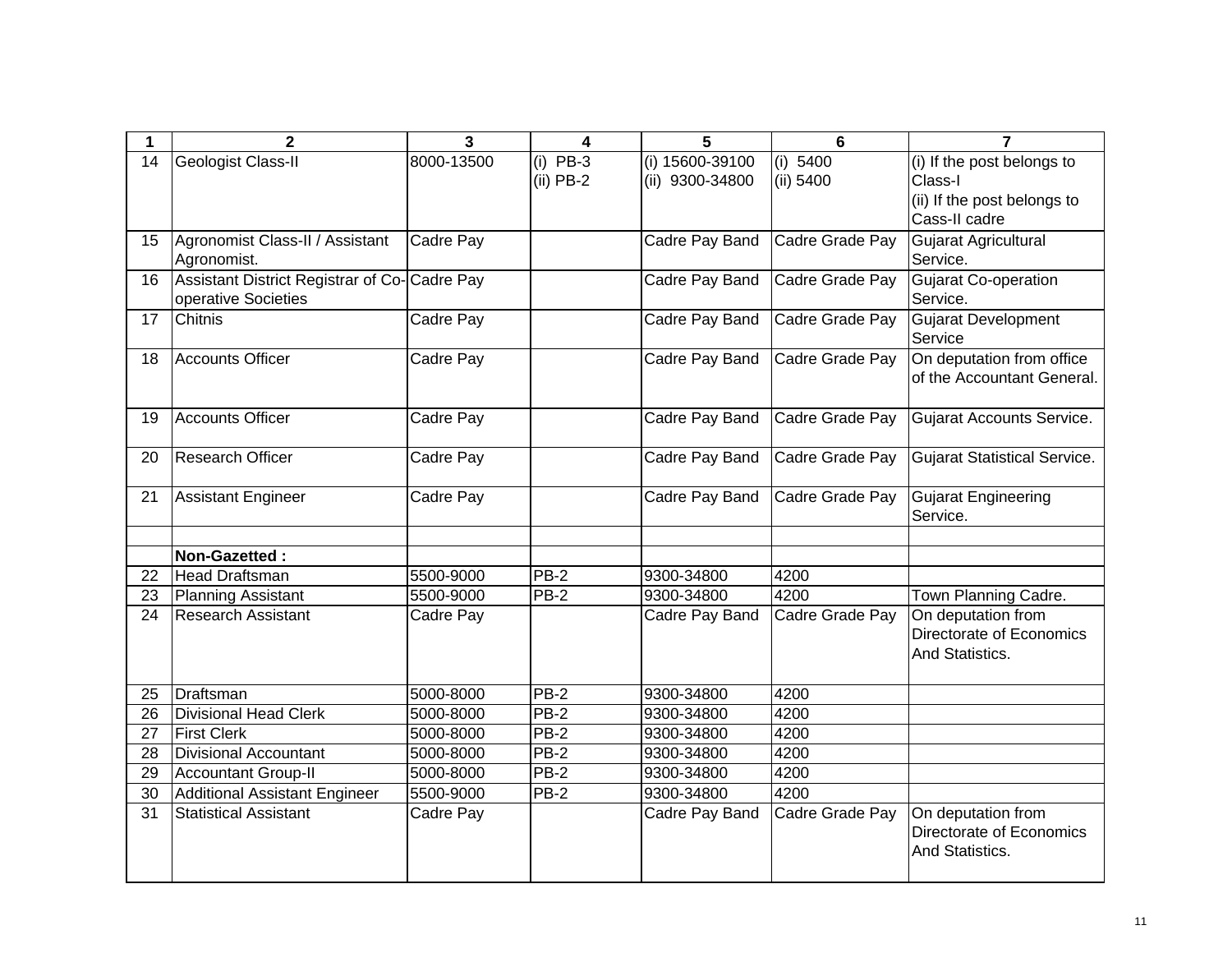| 1  | $\overline{2}$                               | $\overline{\mathbf{3}}$ | 4           | 5                     | $6\phantom{1}$  | $\overline{7}$                      |
|----|----------------------------------------------|-------------------------|-------------|-----------------------|-----------------|-------------------------------------|
| 14 | Geologist Class-II                           | 8000-13500              | $(i)$ PB-3  | (i) 15600-39100       | (i) 5400        | (i) If the post belongs to          |
|    |                                              |                         | $(ii)$ PB-2 | (ii) 9300-34800       | (ii) 5400       | Class-I                             |
|    |                                              |                         |             |                       |                 | (ii) If the post belongs to         |
|    |                                              |                         |             |                       |                 | Cass-II cadre                       |
| 15 | Agronomist Class-II / Assistant              | Cadre Pay               |             | <b>Cadre Pay Band</b> | Cadre Grade Pay | Gujarat Agricultural                |
|    | Agronomist.                                  |                         |             |                       |                 | Service.                            |
| 16 | Assistant District Registrar of Co-Cadre Pay |                         |             | Cadre Pay Band        | Cadre Grade Pay | <b>Gujarat Co-operation</b>         |
|    | operative Societies                          |                         |             |                       |                 | Service.                            |
| 17 | <b>Chitnis</b>                               | Cadre Pay               |             | Cadre Pay Band        | Cadre Grade Pay | <b>Gujarat Development</b>          |
|    |                                              |                         |             |                       |                 | Service                             |
| 18 | Accounts Officer                             | Cadre Pay               |             | Cadre Pay Band        | Cadre Grade Pay | On deputation from office           |
|    |                                              |                         |             |                       |                 | of the Accountant General.          |
|    |                                              |                         |             |                       |                 |                                     |
| 19 | <b>Accounts Officer</b>                      | Cadre Pay               |             | Cadre Pay Band        | Cadre Grade Pay | <b>Gujarat Accounts Service.</b>    |
|    |                                              |                         |             |                       |                 |                                     |
| 20 | <b>Research Officer</b>                      | Cadre Pay               |             | Cadre Pay Band        | Cadre Grade Pay | <b>Gujarat Statistical Service.</b> |
| 21 | <b>Assistant Engineer</b>                    | Cadre Pay               |             | Cadre Pay Band        | Cadre Grade Pay | <b>Gujarat Engineering</b>          |
|    |                                              |                         |             |                       |                 | Service.                            |
|    |                                              |                         |             |                       |                 |                                     |
|    | Non-Gazetted:                                |                         |             |                       |                 |                                     |
| 22 | Head Draftsman                               | 5500-9000               | $PB-2$      | 9300-34800            | 4200            |                                     |
| 23 | Planning Assistant                           | 5500-9000               | PB-2        | 9300-34800            | 4200            | Town Planning Cadre.                |
| 24 | <b>Research Assistant</b>                    | Cadre Pay               |             | Cadre Pay Band        | Cadre Grade Pay | On deputation from                  |
|    |                                              |                         |             |                       |                 | Directorate of Economics            |
|    |                                              |                         |             |                       |                 | And Statistics.                     |
|    |                                              |                         |             |                       |                 |                                     |
| 25 | Draftsman                                    | 5000-8000               | <b>PB-2</b> | 9300-34800            | 4200            |                                     |
| 26 | <b>Divisional Head Clerk</b>                 | 5000-8000               | PB-2        | 9300-34800            | 4200            |                                     |
| 27 | <b>First Clerk</b>                           | 5000-8000               | <b>PB-2</b> | 9300-34800            | 4200            |                                     |
| 28 | <b>Divisional Accountant</b>                 | 5000-8000               | PB-2        | 9300-34800            | 4200            |                                     |
| 29 | <b>Accountant Group-II</b>                   | 5000-8000               | $PB-2$      | 9300-34800            | 4200            |                                     |
| 30 | <b>Additional Assistant Engineer</b>         | 5500-9000               | $PB-2$      | 9300-34800            | 4200            |                                     |
| 31 | <b>Statistical Assistant</b>                 | Cadre Pay               |             | Cadre Pay Band        | Cadre Grade Pay | On deputation from                  |
|    |                                              |                         |             |                       |                 | Directorate of Economics            |
|    |                                              |                         |             |                       |                 | And Statistics.                     |
|    |                                              |                         |             |                       |                 |                                     |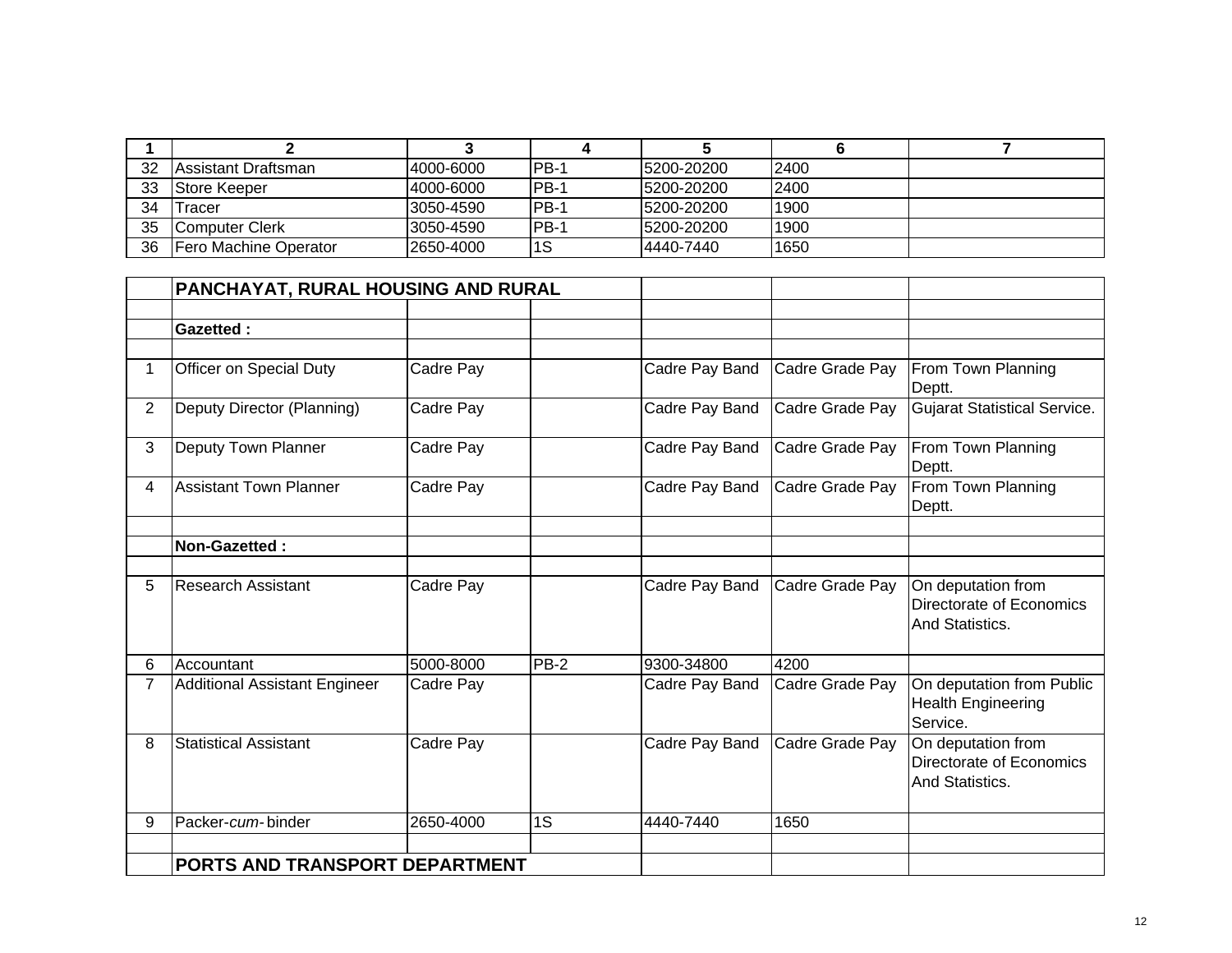| 32 | lAssistant Draftsman. | 4000-6000 | IPB-1 | 15200-20200 | <b>2400</b> |  |
|----|-----------------------|-----------|-------|-------------|-------------|--|
| 33 | <b>Store Keeper</b>   | 4000-6000 | IPB-1 | 5200-20200  | <b>2400</b> |  |
| 34 | Tracer                | 3050-4590 | IPB-1 | 5200-20200  | 1900        |  |
| 35 | Computer Clerk        | 3050-4590 | IPB-1 | 5200-20200  | 1900        |  |
| 36 | Fero Machine Operator | 2650-4000 | l1S   | 4440-7440   | 1650        |  |

|                | PANCHAYAT, RURAL HOUSING AND RURAL   |           |        |                |                 |                                                                   |
|----------------|--------------------------------------|-----------|--------|----------------|-----------------|-------------------------------------------------------------------|
|                |                                      |           |        |                |                 |                                                                   |
|                | <b>Gazetted:</b>                     |           |        |                |                 |                                                                   |
|                |                                      |           |        |                |                 |                                                                   |
| 1              | Officer on Special Duty              | Cadre Pay |        | Cadre Pay Band | Cadre Grade Pay | From Town Planning<br>Deptt.                                      |
| $\overline{2}$ | Deputy Director (Planning)           | Cadre Pay |        | Cadre Pay Band | Cadre Grade Pay | <b>Gujarat Statistical Service.</b>                               |
| 3              | Deputy Town Planner                  | Cadre Pay |        | Cadre Pay Band | Cadre Grade Pay | From Town Planning<br>Deptt.                                      |
| 4              | <b>Assistant Town Planner</b>        | Cadre Pay |        | Cadre Pay Band | Cadre Grade Pay | From Town Planning<br>Deptt.                                      |
|                |                                      |           |        |                |                 |                                                                   |
|                | Non-Gazetted:                        |           |        |                |                 |                                                                   |
|                |                                      |           |        |                |                 |                                                                   |
| 5              | Research Assistant                   | Cadre Pay |        | Cadre Pay Band | Cadre Grade Pay | On deputation from<br>Directorate of Economics<br>And Statistics. |
| 6              | Accountant                           | 5000-8000 | $PB-2$ | 9300-34800     | 4200            |                                                                   |
| $\overline{7}$ | <b>Additional Assistant Engineer</b> | Cadre Pay |        | Cadre Pay Band | Cadre Grade Pay | On deputation from Public<br>Health Engineering<br>Service.       |
| 8              | <b>Statistical Assistant</b>         | Cadre Pay |        | Cadre Pay Band | Cadre Grade Pay | On deputation from<br>Directorate of Economics<br>And Statistics. |
| 9              | Packer-cum-binder                    | 2650-4000 | 1S     | 4440-7440      | 1650            |                                                                   |
|                |                                      |           |        |                |                 |                                                                   |
|                | PORTS AND TRANSPORT DEPARTMENT       |           |        |                |                 |                                                                   |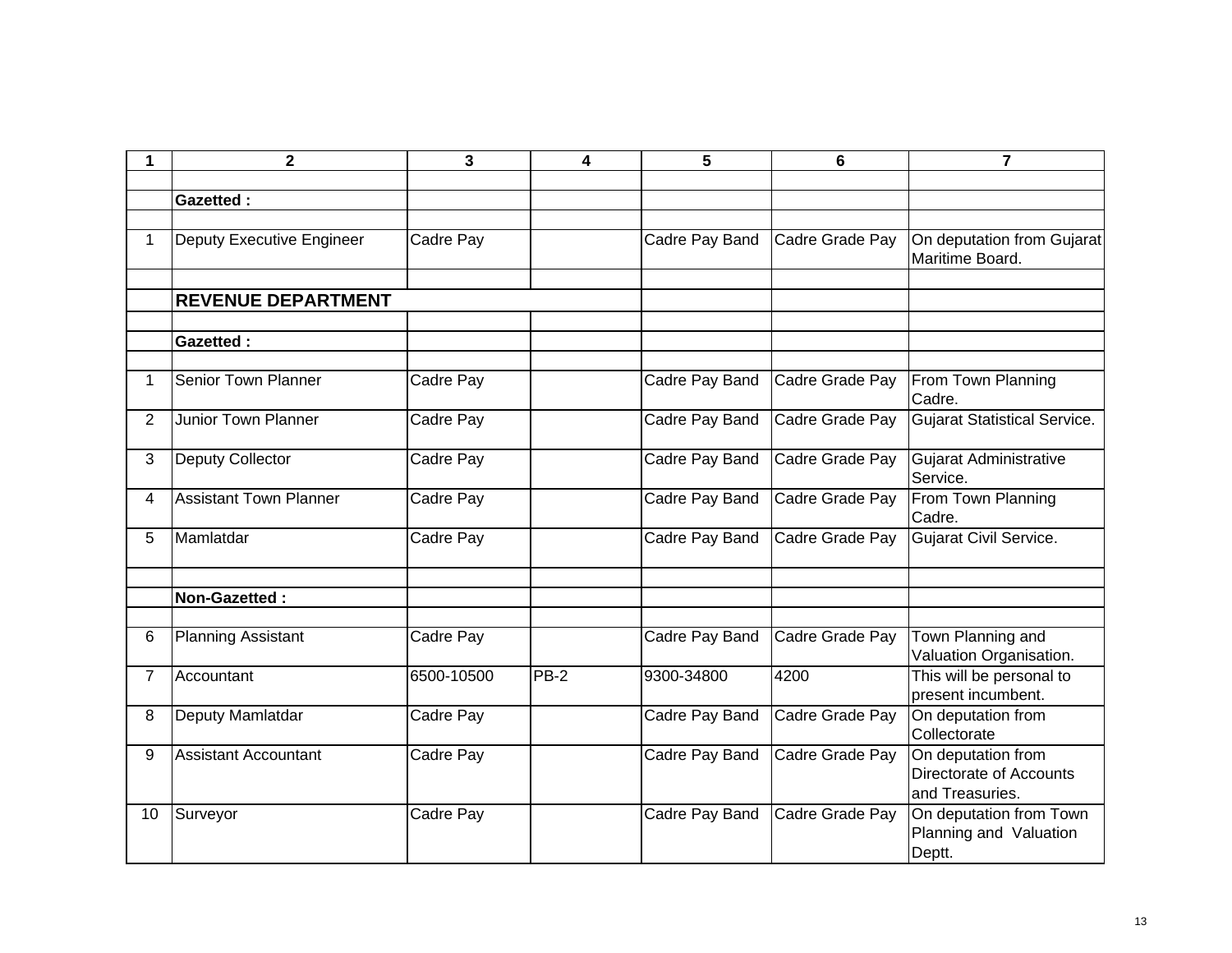| 1              | $\mathbf 2$                   | 3          | 4      | 5              | 6               | $\overline{7}$                                                   |
|----------------|-------------------------------|------------|--------|----------------|-----------------|------------------------------------------------------------------|
|                |                               |            |        |                |                 |                                                                  |
|                | <b>Gazetted:</b>              |            |        |                |                 |                                                                  |
| $\mathbf{1}$   | Deputy Executive Engineer     | Cadre Pay  |        | Cadre Pay Band | Cadre Grade Pay | On deputation from Gujarat<br>Maritime Board.                    |
|                | <b>REVENUE DEPARTMENT</b>     |            |        |                |                 |                                                                  |
|                | <b>Gazetted:</b>              |            |        |                |                 |                                                                  |
| 1              | <b>Senior Town Planner</b>    | Cadre Pay  |        | Cadre Pay Band | Cadre Grade Pay | From Town Planning<br>Cadre.                                     |
| 2              | <b>Junior Town Planner</b>    | Cadre Pay  |        | Cadre Pay Band | Cadre Grade Pay | <b>Gujarat Statistical Service.</b>                              |
| 3              | Deputy Collector              | Cadre Pay  |        | Cadre Pay Band | Cadre Grade Pay | <b>Gujarat Administrative</b><br>Service.                        |
| 4              | <b>Assistant Town Planner</b> | Cadre Pay  |        | Cadre Pay Band | Cadre Grade Pay | From Town Planning<br>Cadre.                                     |
| 5              | Mamlatdar                     | Cadre Pay  |        | Cadre Pay Band | Cadre Grade Pay | Gujarat Civil Service.                                           |
|                | Non-Gazetted:                 |            |        |                |                 |                                                                  |
| 6              | <b>Planning Assistant</b>     | Cadre Pay  |        | Cadre Pay Band | Cadre Grade Pay | Town Planning and<br>Valuation Organisation.                     |
| $\overline{7}$ | Accountant                    | 6500-10500 | $PB-2$ | 9300-34800     | 4200            | This will be personal to<br>present incumbent.                   |
| 8              | Deputy Mamlatdar              | Cadre Pay  |        | Cadre Pay Band | Cadre Grade Pay | On deputation from<br>Collectorate                               |
| 9              | <b>Assistant Accountant</b>   | Cadre Pay  |        | Cadre Pay Band | Cadre Grade Pay | On deputation from<br>Directorate of Accounts<br>and Treasuries. |
| 10             | Surveyor                      | Cadre Pay  |        | Cadre Pay Band | Cadre Grade Pay | On deputation from Town<br>Planning and Valuation<br>Deptt.      |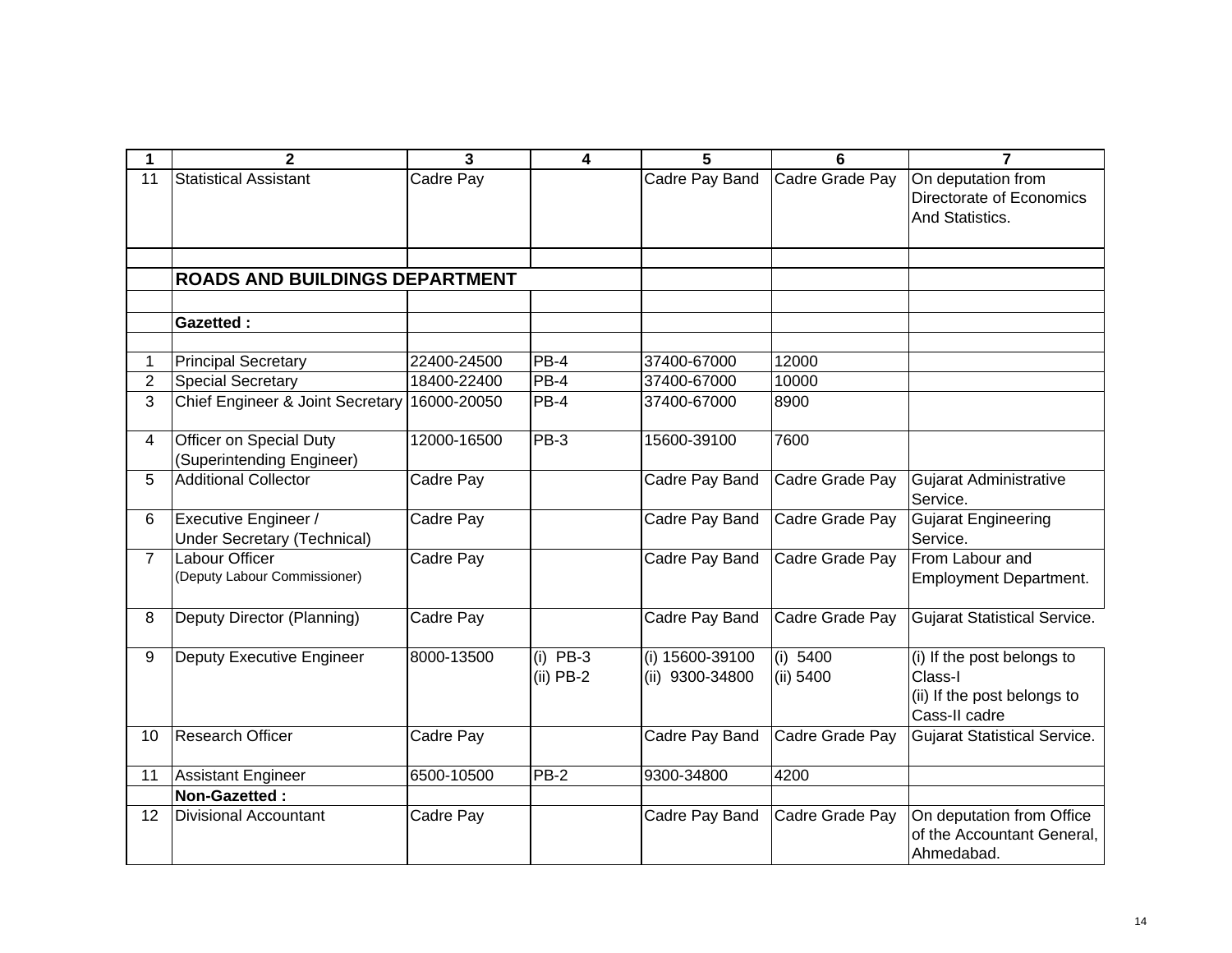| 1               | $\mathbf{2}$                                                      | 3           | 4                         | 5                                  | 6                     | 7                                                                                     |
|-----------------|-------------------------------------------------------------------|-------------|---------------------------|------------------------------------|-----------------------|---------------------------------------------------------------------------------------|
| 11              | <b>Statistical Assistant</b>                                      | Cadre Pay   |                           | Cadre Pay Band                     | Cadre Grade Pay       | On deputation from<br>Directorate of Economics<br>And Statistics.                     |
|                 | <b>ROADS AND BUILDINGS DEPARTMENT</b>                             |             |                           |                                    |                       |                                                                                       |
|                 | <b>Gazetted:</b>                                                  |             |                           |                                    |                       |                                                                                       |
| 1               | <b>Principal Secretary</b>                                        | 22400-24500 | PB-4                      | 37400-67000                        | 12000                 |                                                                                       |
| $\overline{2}$  | <b>Special Secretary</b>                                          | 18400-22400 | PB-4                      | 37400-67000                        | 10000                 |                                                                                       |
| 3               | Chief Engineer & Joint Secretary                                  | 16000-20050 | PB-4                      | 37400-67000                        | 8900                  |                                                                                       |
| $\overline{4}$  | <b>Officer on Special Duty</b><br>(Superintending Engineer)       | 12000-16500 | $PB-3$                    | 15600-39100                        | 7600                  |                                                                                       |
| 5               | <b>Additional Collector</b>                                       | Cadre Pay   |                           | Cadre Pay Band                     | Cadre Grade Pay       | <b>Gujarat Administrative</b><br>Service.                                             |
| 6               | <b>Executive Engineer /</b><br><b>Under Secretary (Technical)</b> | Cadre Pay   |                           | Cadre Pay Band                     | Cadre Grade Pay       | <b>Gujarat Engineering</b><br>Service.                                                |
| $\overline{7}$  | <b>Labour Officer</b><br>(Deputy Labour Commissioner)             | Cadre Pay   |                           | Cadre Pay Band                     | Cadre Grade Pay       | From Labour and<br><b>Employment Department.</b>                                      |
| 8               | Deputy Director (Planning)                                        | Cadre Pay   |                           | <b>Cadre Pay Band</b>              | Cadre Grade Pay       | <b>Gujarat Statistical Service.</b>                                                   |
| 9               | Deputy Executive Engineer                                         | 8000-13500  | $(i)$ PB-3<br>$(ii)$ PB-2 | (i) 15600-39100<br>(ii) 9300-34800 | (i) 5400<br>(ii) 5400 | (i) If the post belongs to<br>Class-I<br>(ii) If the post belongs to<br>Cass-II cadre |
| 10 <sup>°</sup> | <b>Research Officer</b>                                           | Cadre Pay   |                           | Cadre Pay Band                     | Cadre Grade Pay       | <b>Gujarat Statistical Service.</b>                                                   |
| 11              | Assistant Engineer                                                | 6500-10500  | PB-2                      | 9300-34800                         | 4200                  |                                                                                       |
|                 | Non-Gazetted:                                                     |             |                           |                                    |                       |                                                                                       |
| 12              | <b>Divisional Accountant</b>                                      | Cadre Pay   |                           | Cadre Pay Band                     | Cadre Grade Pay       | On deputation from Office<br>of the Accountant General,<br>Ahmedabad.                 |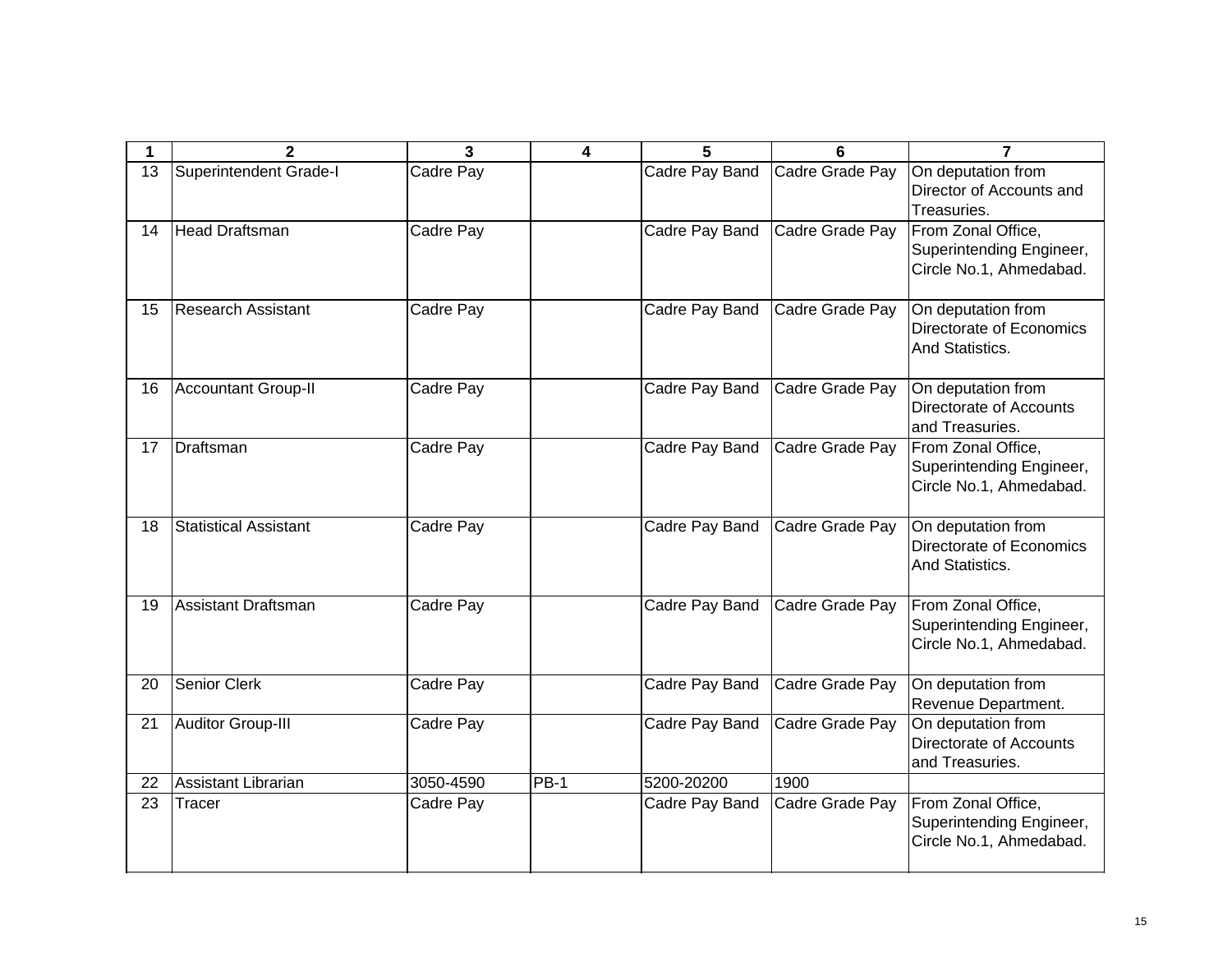|    | $\mathbf{2}$                 | 3         | 4           | 5              | 6               | 7                                                                         |
|----|------------------------------|-----------|-------------|----------------|-----------------|---------------------------------------------------------------------------|
| 13 | Superintendent Grade-I       | Cadre Pay |             | Cadre Pay Band | Cadre Grade Pay | On deputation from<br>Director of Accounts and<br>Treasuries.             |
| 14 | <b>Head Draftsman</b>        | Cadre Pay |             | Cadre Pay Band | Cadre Grade Pay | From Zonal Office,<br>Superintending Engineer,<br>Circle No.1, Ahmedabad. |
| 15 | Research Assistant           | Cadre Pay |             | Cadre Pay Band | Cadre Grade Pay | On deputation from<br>Directorate of Economics<br>And Statistics.         |
| 16 | <b>Accountant Group-II</b>   | Cadre Pay |             | Cadre Pay Band | Cadre Grade Pay | On deputation from<br>Directorate of Accounts<br>and Treasuries.          |
| 17 | Draftsman                    | Cadre Pay |             | Cadre Pay Band | Cadre Grade Pay | From Zonal Office,<br>Superintending Engineer,<br>Circle No.1, Ahmedabad. |
| 18 | <b>Statistical Assistant</b> | Cadre Pay |             | Cadre Pay Band | Cadre Grade Pay | On deputation from<br>Directorate of Economics<br>And Statistics.         |
| 19 | Assistant Draftsman          | Cadre Pay |             | Cadre Pay Band | Cadre Grade Pay | From Zonal Office,<br>Superintending Engineer,<br>Circle No.1, Ahmedabad. |
| 20 | <b>Senior Clerk</b>          | Cadre Pay |             | Cadre Pay Band | Cadre Grade Pay | On deputation from<br>Revenue Department.                                 |
| 21 | Auditor Group-III            | Cadre Pay |             | Cadre Pay Band | Cadre Grade Pay | On deputation from<br>Directorate of Accounts<br>and Treasuries.          |
| 22 | Assistant Librarian          | 3050-4590 | <b>PB-1</b> | 5200-20200     | 1900            |                                                                           |
| 23 | Tracer                       | Cadre Pay |             | Cadre Pay Band | Cadre Grade Pay | From Zonal Office,<br>Superintending Engineer,<br>Circle No.1, Ahmedabad. |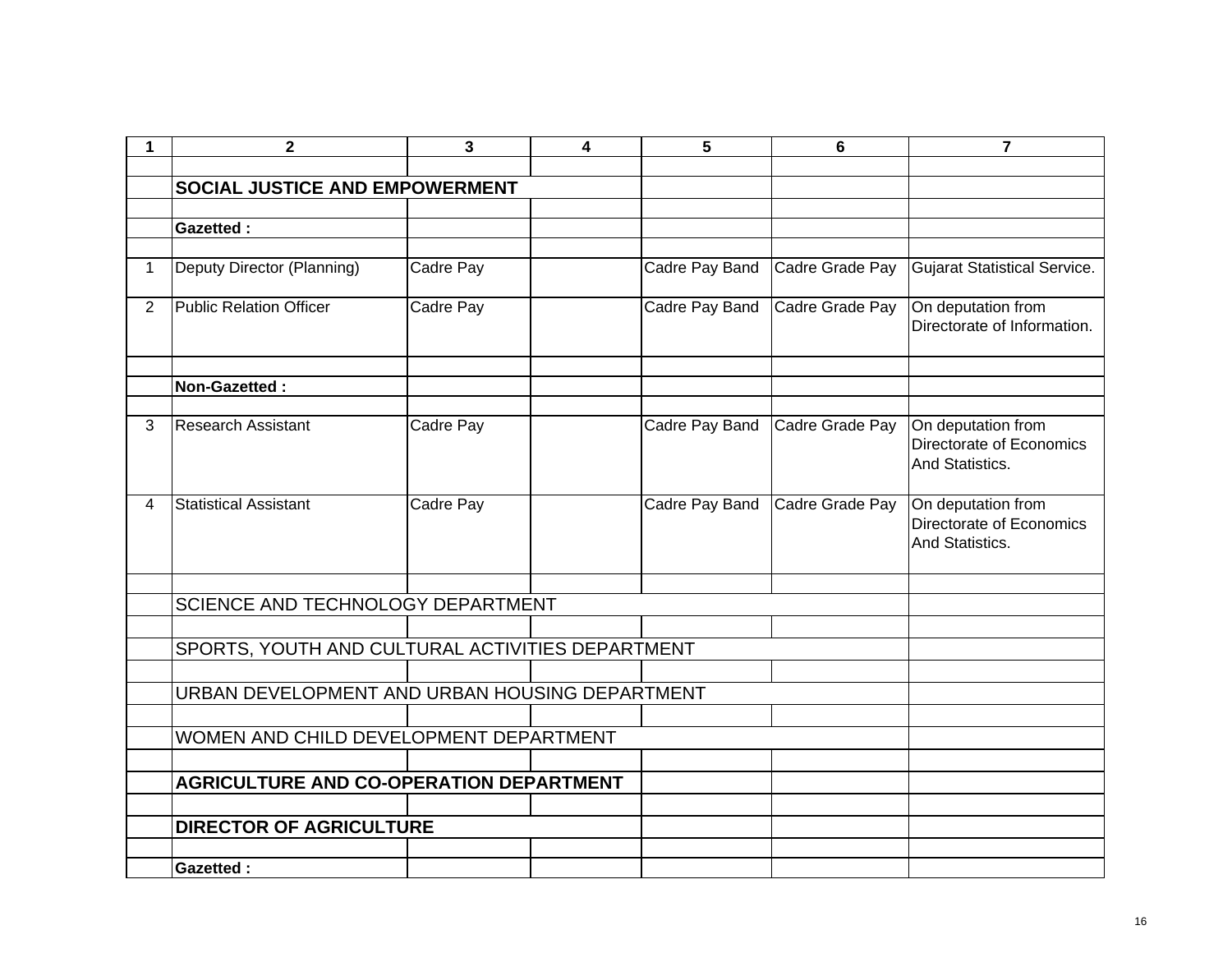| 1              | $\mathbf{2}$                                     | 3         | 4 | 5              | 6               | $\overline{7}$                                                    |
|----------------|--------------------------------------------------|-----------|---|----------------|-----------------|-------------------------------------------------------------------|
|                |                                                  |           |   |                |                 |                                                                   |
|                | SOCIAL JUSTICE AND EMPOWERMENT                   |           |   |                |                 |                                                                   |
|                |                                                  |           |   |                |                 |                                                                   |
|                | <b>Gazetted:</b>                                 |           |   |                |                 |                                                                   |
|                |                                                  |           |   |                |                 |                                                                   |
| 1              | Deputy Director (Planning)                       | Cadre Pay |   | Cadre Pay Band | Cadre Grade Pay | <b>Gujarat Statistical Service.</b>                               |
| $\overline{2}$ | <b>Public Relation Officer</b>                   | Cadre Pay |   | Cadre Pay Band | Cadre Grade Pay | On deputation from<br>Directorate of Information.                 |
|                |                                                  |           |   |                |                 |                                                                   |
|                | Non-Gazetted:                                    |           |   |                |                 |                                                                   |
| 3              | <b>Research Assistant</b>                        | Cadre Pay |   | Cadre Pay Band | Cadre Grade Pay | On deputation from<br>Directorate of Economics<br>And Statistics. |
| 4              | <b>Statistical Assistant</b>                     | Cadre Pay |   | Cadre Pay Band | Cadre Grade Pay | On deputation from<br>Directorate of Economics<br>And Statistics. |
|                |                                                  |           |   |                |                 |                                                                   |
|                | SCIENCE AND TECHNOLOGY DEPARTMENT                |           |   |                |                 |                                                                   |
|                |                                                  |           |   |                |                 |                                                                   |
|                | SPORTS, YOUTH AND CULTURAL ACTIVITIES DEPARTMENT |           |   |                |                 |                                                                   |
|                |                                                  |           |   |                |                 |                                                                   |
|                | URBAN DEVELOPMENT AND URBAN HOUSING DEPARTMENT   |           |   |                |                 |                                                                   |
|                |                                                  |           |   |                |                 |                                                                   |
|                | WOMEN AND CHILD DEVELOPMENT DEPARTMENT           |           |   |                |                 |                                                                   |
|                |                                                  |           |   |                |                 |                                                                   |
|                | <b>AGRICULTURE AND CO-OPERATION DEPARTMENT</b>   |           |   |                |                 |                                                                   |
|                |                                                  |           |   |                |                 |                                                                   |
|                | <b>DIRECTOR OF AGRICULTURE</b>                   |           |   |                |                 |                                                                   |
|                |                                                  |           |   |                |                 |                                                                   |
|                | <b>Gazetted:</b>                                 |           |   |                |                 |                                                                   |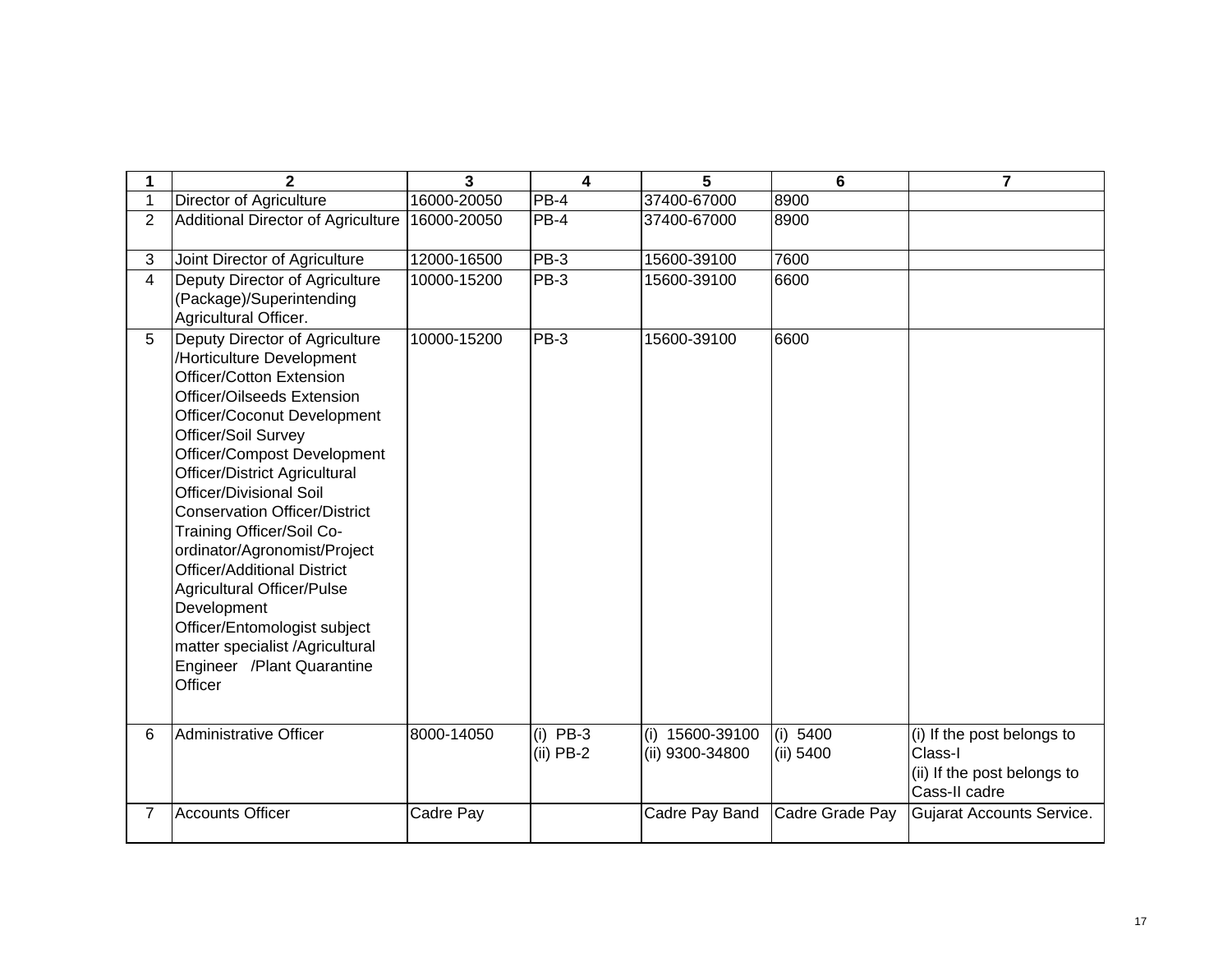| 1              | $\overline{2}$                                                                                                                                                                                                                                                                                                                                                                                                                                                                                                                                                                                  | $\overline{3}$ | 4                         | 5                                  | 6                     | $\overline{7}$                                                                        |
|----------------|-------------------------------------------------------------------------------------------------------------------------------------------------------------------------------------------------------------------------------------------------------------------------------------------------------------------------------------------------------------------------------------------------------------------------------------------------------------------------------------------------------------------------------------------------------------------------------------------------|----------------|---------------------------|------------------------------------|-----------------------|---------------------------------------------------------------------------------------|
| $\mathbf{1}$   | <b>Director of Agriculture</b>                                                                                                                                                                                                                                                                                                                                                                                                                                                                                                                                                                  | 16000-20050    | PB-4                      | 37400-67000                        | 8900                  |                                                                                       |
| $\overline{2}$ | <b>Additional Director of Agriculture</b>                                                                                                                                                                                                                                                                                                                                                                                                                                                                                                                                                       | 16000-20050    | $PB-4$                    | 37400-67000                        | 8900                  |                                                                                       |
| 3              | Joint Director of Agriculture                                                                                                                                                                                                                                                                                                                                                                                                                                                                                                                                                                   | 12000-16500    | PB-3                      | 15600-39100                        | 7600                  |                                                                                       |
| $\overline{4}$ | Deputy Director of Agriculture<br>(Package)/Superintending<br>Agricultural Officer.                                                                                                                                                                                                                                                                                                                                                                                                                                                                                                             | 10000-15200    | <b>PB-3</b>               | 15600-39100                        | 6600                  |                                                                                       |
| 5              | Deputy Director of Agriculture<br>/Horticulture Development<br>Officer/Cotton Extension<br>Officer/Oilseeds Extension<br>Officer/Coconut Development<br>Officer/Soil Survey<br>Officer/Compost Development<br><b>Officer/District Agricultural</b><br><b>Officer/Divisional Soil</b><br><b>Conservation Officer/District</b><br>Training Officer/Soil Co-<br>ordinator/Agronomist/Project<br><b>Officer/Additional District</b><br><b>Agricultural Officer/Pulse</b><br>Development<br>Officer/Entomologist subject<br>matter specialist /Agricultural<br>Engineer /Plant Quarantine<br>Officer | 10000-15200    | PB-3                      | 15600-39100                        | 6600                  |                                                                                       |
| 6              | Administrative Officer                                                                                                                                                                                                                                                                                                                                                                                                                                                                                                                                                                          | 8000-14050     | $(i)$ PB-3<br>$(ii)$ PB-2 | (i) 15600-39100<br>(ii) 9300-34800 | (i) 5400<br>(ii) 5400 | (i) If the post belongs to<br>Class-I<br>(ii) If the post belongs to<br>Cass-II cadre |
| $\overline{7}$ | <b>Accounts Officer</b>                                                                                                                                                                                                                                                                                                                                                                                                                                                                                                                                                                         | Cadre Pay      |                           | Cadre Pay Band                     | Cadre Grade Pay       | <b>Gujarat Accounts Service.</b>                                                      |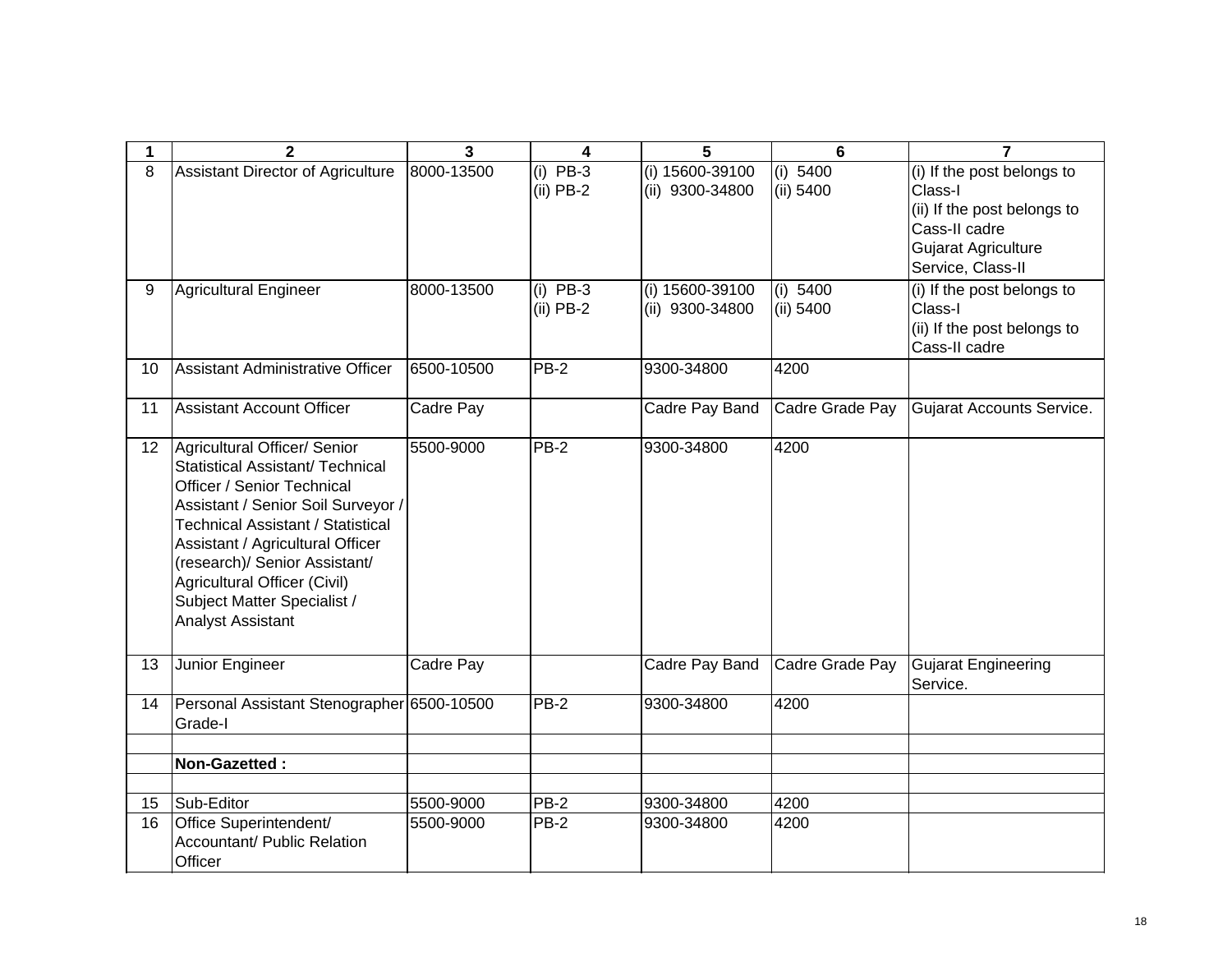| 1               | $\mathbf{2}$                                                                                                                                                                                                                                                                                                                              | 3          | 4                         | 5                                  | 6                     | $\overline{7}$                                                                                                                           |
|-----------------|-------------------------------------------------------------------------------------------------------------------------------------------------------------------------------------------------------------------------------------------------------------------------------------------------------------------------------------------|------------|---------------------------|------------------------------------|-----------------------|------------------------------------------------------------------------------------------------------------------------------------------|
| 8               | Assistant Director of Agriculture                                                                                                                                                                                                                                                                                                         | 8000-13500 | $(i)$ PB-3<br>$(ii)$ PB-2 | (i) 15600-39100<br>(ii) 9300-34800 | (i) 5400<br>(ii) 5400 | (i) If the post belongs to<br>Class-I<br>(ii) If the post belongs to<br>Cass-II cadre<br><b>Gujarat Agriculture</b><br>Service, Class-II |
| 9               | <b>Agricultural Engineer</b>                                                                                                                                                                                                                                                                                                              | 8000-13500 | $(i)$ PB-3<br>$(ii)$ PB-2 | (i) 15600-39100<br>(ii) 9300-34800 | (i) 5400<br>(ii) 5400 | (i) If the post belongs to<br>Class-I<br>(ii) If the post belongs to<br>Cass-II cadre                                                    |
| 10              | Assistant Administrative Officer                                                                                                                                                                                                                                                                                                          | 6500-10500 | <b>PB-2</b>               | 9300-34800                         | 4200                  |                                                                                                                                          |
| 11              | <b>Assistant Account Officer</b>                                                                                                                                                                                                                                                                                                          | Cadre Pay  |                           | Cadre Pay Band                     | Cadre Grade Pay       | <b>Gujarat Accounts Service.</b>                                                                                                         |
| 12 <sup>°</sup> | Agricultural Officer/ Senior<br>Statistical Assistant/ Technical<br>Officer / Senior Technical<br>Assistant / Senior Soil Surveyor /<br><b>Technical Assistant / Statistical</b><br>Assistant / Agricultural Officer<br>(research)/ Senior Assistant/<br>Agricultural Officer (Civil)<br>Subject Matter Specialist /<br>Analyst Assistant | 5500-9000  | $PB-2$                    | 9300-34800                         | 4200                  |                                                                                                                                          |
| 13              | Junior Engineer                                                                                                                                                                                                                                                                                                                           | Cadre Pay  |                           | Cadre Pay Band                     | Cadre Grade Pay       | <b>Gujarat Engineering</b><br>Service.                                                                                                   |
| 14              | Personal Assistant Stenographer 6500-10500<br>Grade-I                                                                                                                                                                                                                                                                                     |            | <b>PB-2</b>               | 9300-34800                         | 4200                  |                                                                                                                                          |
|                 | Non-Gazetted:                                                                                                                                                                                                                                                                                                                             |            |                           |                                    |                       |                                                                                                                                          |
| 15              | Sub-Editor                                                                                                                                                                                                                                                                                                                                | 5500-9000  | PB-2                      | 9300-34800                         | 4200                  |                                                                                                                                          |
| 16              | Office Superintendent/<br>Accountant/ Public Relation<br>Officer                                                                                                                                                                                                                                                                          | 5500-9000  | PB-2                      | 9300-34800                         | 4200                  |                                                                                                                                          |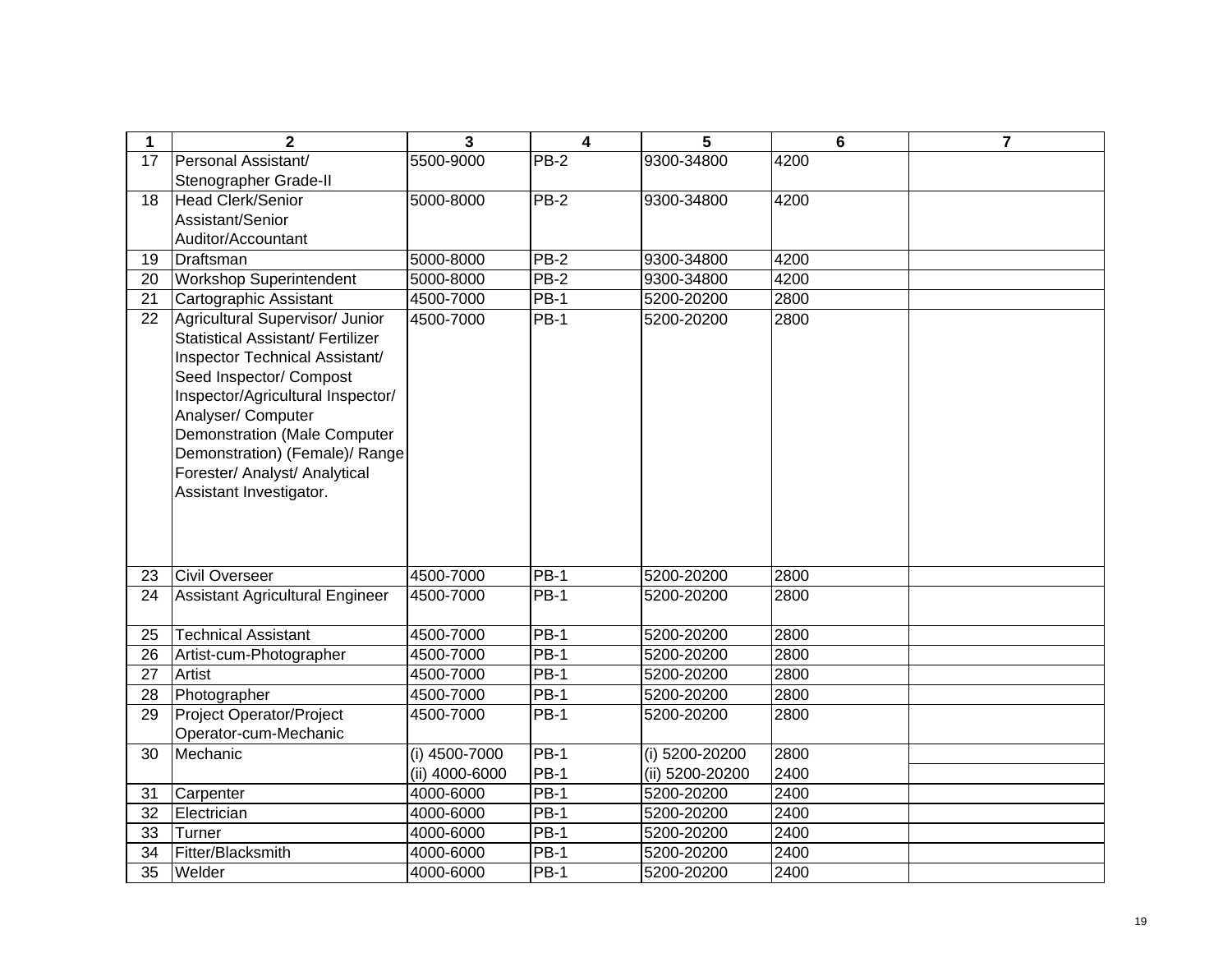| $\mathbf{1}$    | $\mathbf{2}$                                                                                                                                                                                                                                                                                                                             | 3               | 4           | 5                | 6    | $\overline{7}$ |
|-----------------|------------------------------------------------------------------------------------------------------------------------------------------------------------------------------------------------------------------------------------------------------------------------------------------------------------------------------------------|-----------------|-------------|------------------|------|----------------|
| $\overline{17}$ | Personal Assistant/                                                                                                                                                                                                                                                                                                                      | 5500-9000       | $PB-2$      | 9300-34800       | 4200 |                |
|                 | Stenographer Grade-II                                                                                                                                                                                                                                                                                                                    |                 |             |                  |      |                |
| 18              | <b>Head Clerk/Senior</b>                                                                                                                                                                                                                                                                                                                 | 5000-8000       | $PB-2$      | 9300-34800       | 4200 |                |
|                 | Assistant/Senior                                                                                                                                                                                                                                                                                                                         |                 |             |                  |      |                |
|                 | Auditor/Accountant                                                                                                                                                                                                                                                                                                                       |                 |             |                  |      |                |
| 19              | Draftsman                                                                                                                                                                                                                                                                                                                                | 5000-8000       | $PB-2$      | 9300-34800       | 4200 |                |
| 20              | <b>Workshop Superintendent</b>                                                                                                                                                                                                                                                                                                           | 5000-8000       | $PB-2$      | 9300-34800       | 4200 |                |
| 21              | Cartographic Assistant                                                                                                                                                                                                                                                                                                                   | 4500-7000       | $PB-1$      | 5200-20200       | 2800 |                |
| 22              | Agricultural Supervisor/ Junior<br><b>Statistical Assistant/ Fertilizer</b><br>Inspector Technical Assistant/<br>Seed Inspector/ Compost<br>Inspector/Agricultural Inspector/<br>Analyser/ Computer<br><b>Demonstration (Male Computer</b><br>Demonstration) (Female)/ Range<br>Forester/ Analyst/ Analytical<br>Assistant Investigator. | 4500-7000       | <b>PB-1</b> | 5200-20200       | 2800 |                |
| 23              | <b>Civil Overseer</b>                                                                                                                                                                                                                                                                                                                    | 4500-7000       | $PB-1$      | 5200-20200       | 2800 |                |
| 24              | <b>Assistant Agricultural Engineer</b>                                                                                                                                                                                                                                                                                                   | 4500-7000       | <b>PB-1</b> | 5200-20200       | 2800 |                |
| 25              | <b>Technical Assistant</b>                                                                                                                                                                                                                                                                                                               | 4500-7000       | <b>PB-1</b> | 5200-20200       | 2800 |                |
| 26              | Artist-cum-Photographer                                                                                                                                                                                                                                                                                                                  | 4500-7000       | $PB-1$      | 5200-20200       | 2800 |                |
| 27              | Artist                                                                                                                                                                                                                                                                                                                                   | 4500-7000       | <b>PB-1</b> | 5200-20200       | 2800 |                |
| 28              | Photographer                                                                                                                                                                                                                                                                                                                             | 4500-7000       | $PB-1$      | 5200-20200       | 2800 |                |
| 29              | Project Operator/Project<br>Operator-cum-Mechanic                                                                                                                                                                                                                                                                                        | 4500-7000       | $PB-1$      | 5200-20200       | 2800 |                |
| 30              | Mechanic                                                                                                                                                                                                                                                                                                                                 | $(i)$ 4500-7000 | $PB-1$      | $(i)$ 5200-20200 | 2800 |                |
|                 |                                                                                                                                                                                                                                                                                                                                          | (ii) 4000-6000  | <b>PB-1</b> | (ii) 5200-20200  | 2400 |                |
| 31              | Carpenter                                                                                                                                                                                                                                                                                                                                | 4000-6000       | $PB-1$      | 5200-20200       | 2400 |                |
| 32              | Electrician                                                                                                                                                                                                                                                                                                                              | 4000-6000       | <b>PB-1</b> | 5200-20200       | 2400 |                |
| 33              | Turner                                                                                                                                                                                                                                                                                                                                   | 4000-6000       | <b>PB-1</b> | 5200-20200       | 2400 |                |
| 34              | Fitter/Blacksmith                                                                                                                                                                                                                                                                                                                        | 4000-6000       | $PB-1$      | 5200-20200       | 2400 |                |
| 35              | Welder                                                                                                                                                                                                                                                                                                                                   | 4000-6000       | <b>PB-1</b> | 5200-20200       | 2400 |                |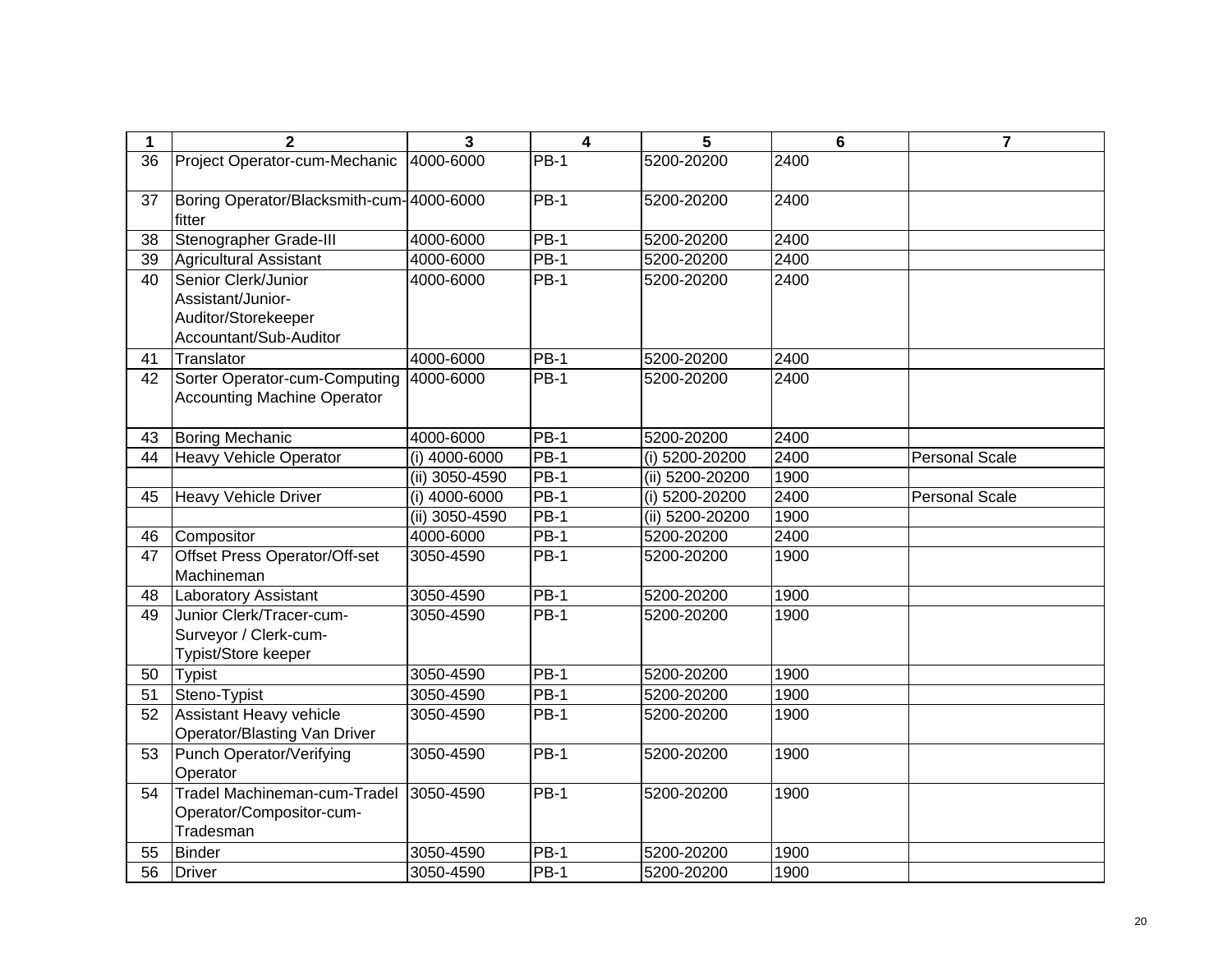| 1  | $\overline{2}$                                          | 3              | $\overline{\mathbf{4}}$ | 5               | $6\phantom{a}$ | $\overline{7}$        |
|----|---------------------------------------------------------|----------------|-------------------------|-----------------|----------------|-----------------------|
| 36 | Project Operator-cum-Mechanic                           | 4000-6000      | <b>PB-1</b>             | 5200-20200      | 2400           |                       |
| 37 | Boring Operator/Blacksmith-cum-4000-6000<br>fitter      |                | $PB-1$                  | 5200-20200      | 2400           |                       |
| 38 | Stenographer Grade-III                                  | 4000-6000      | $PB-1$                  | 5200-20200      | 2400           |                       |
| 39 | <b>Agricultural Assistant</b>                           | 4000-6000      | $PB-1$                  | 5200-20200      | 2400           |                       |
| 40 | Senior Clerk/Junior                                     | 4000-6000      | $\overline{PB-1}$       | 5200-20200      | 2400           |                       |
|    | Assistant/Junior-                                       |                |                         |                 |                |                       |
|    | Auditor/Storekeeper                                     |                |                         |                 |                |                       |
|    | Accountant/Sub-Auditor                                  |                |                         |                 |                |                       |
| 41 | Translator                                              | 4000-6000      | $PB-1$                  | 5200-20200      | 2400           |                       |
| 42 | Sorter Operator-cum-Computing                           | 4000-6000      | $PB-1$                  | 5200-20200      | 2400           |                       |
|    | <b>Accounting Machine Operator</b>                      |                |                         |                 |                |                       |
| 43 | <b>Boring Mechanic</b>                                  | 4000-6000      | <b>PB-1</b>             | 5200-20200      | 2400           |                       |
| 44 | <b>Heavy Vehicle Operator</b>                           | (i) 4000-6000  | $PB-1$                  | (i) 5200-20200  | 2400           | <b>Personal Scale</b> |
|    |                                                         | (ii) 3050-4590 | <b>PB-1</b>             | (ii) 5200-20200 | 1900           |                       |
| 45 | <b>Heavy Vehicle Driver</b>                             | (i) 4000-6000  | $PB-1$                  | (i) 5200-20200  | 2400           | <b>Personal Scale</b> |
|    |                                                         | (ii) 3050-4590 | $PB-1$                  | (ii) 5200-20200 | 1900           |                       |
| 46 | Compositor                                              | 4000-6000      | $PB-1$                  | 5200-20200      | 2400           |                       |
| 47 | Offset Press Operator/Off-set                           | 3050-4590      | $PB-1$                  | 5200-20200      | 1900           |                       |
|    | Machineman                                              |                |                         |                 |                |                       |
| 48 | Laboratory Assistant                                    | 3050-4590      | <b>PB-1</b>             | 5200-20200      | 1900           |                       |
| 49 | Junior Clerk/Tracer-cum-                                | 3050-4590      | $PB-1$                  | 5200-20200      | 1900           |                       |
|    | Surveyor / Clerk-cum-                                   |                |                         |                 |                |                       |
|    | Typist/Store keeper                                     |                |                         |                 |                |                       |
| 50 | <b>Typist</b>                                           | 3050-4590      | $PB-1$                  | 5200-20200      | 1900           |                       |
| 51 | Steno-Typist                                            | 3050-4590      | $PB-1$                  | 5200-20200      | 1900           |                       |
| 52 | Assistant Heavy vehicle<br>Operator/Blasting Van Driver | 3050-4590      | <b>PB-1</b>             | 5200-20200      | 1900           |                       |
| 53 | Punch Operator/Verifying                                | 3050-4590      | $PB-1$                  | 5200-20200      | 1900           |                       |
|    | Operator                                                |                |                         |                 |                |                       |
| 54 | Tradel Machineman-cum-Tradel                            | 3050-4590      | $PB-1$                  | 5200-20200      | 1900           |                       |
|    | Operator/Compositor-cum-                                |                |                         |                 |                |                       |
|    | Tradesman                                               |                |                         |                 |                |                       |
| 55 | <b>Binder</b>                                           | 3050-4590      | $PB-1$                  | 5200-20200      | 1900           |                       |
| 56 | <b>Driver</b>                                           | 3050-4590      | <b>PB-1</b>             | 5200-20200      | 1900           |                       |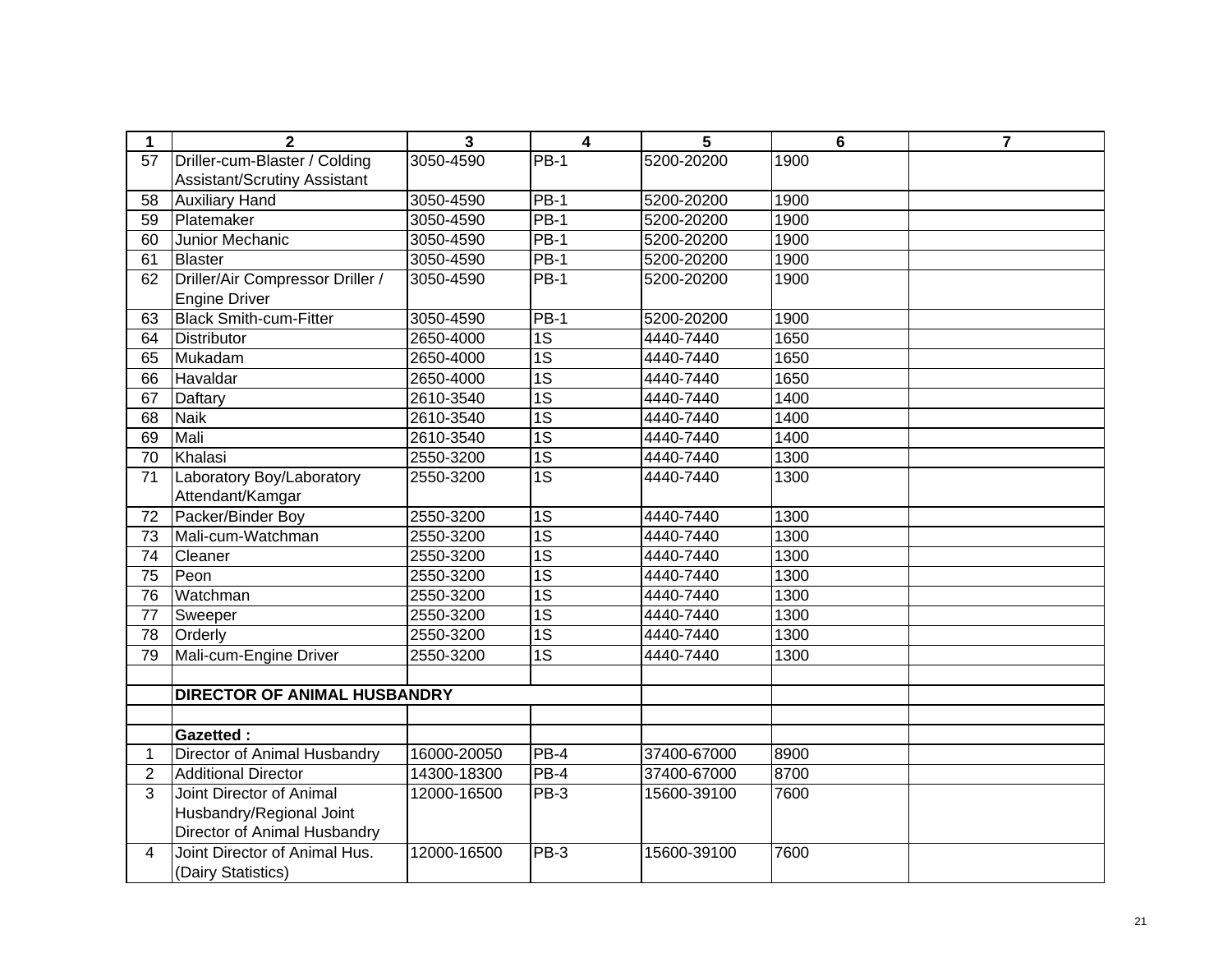| 1               | $\mathbf{2}$                        | 3           | 4               | 5           | 6    | $\overline{\mathbf{r}}$ |
|-----------------|-------------------------------------|-------------|-----------------|-------------|------|-------------------------|
| 57              | Driller-cum-Blaster / Colding       | 3050-4590   | $PB-1$          | 5200-20200  | 1900 |                         |
|                 | <b>Assistant/Scrutiny Assistant</b> |             |                 |             |      |                         |
| 58              | <b>Auxiliary Hand</b>               | 3050-4590   | $PB-1$          | 5200-20200  | 1900 |                         |
| 59              | Platemaker                          | 3050-4590   | $PB-1$          | 5200-20200  | 1900 |                         |
| 60              | Junior Mechanic                     | 3050-4590   | $PB-1$          | 5200-20200  | 1900 |                         |
| 61              | <b>Blaster</b>                      | 3050-4590   | $PB-1$          | 5200-20200  | 1900 |                         |
| 62              | Driller/Air Compressor Driller /    | 3050-4590   | <b>PB-1</b>     | 5200-20200  | 1900 |                         |
|                 | <b>Engine Driver</b>                |             |                 |             |      |                         |
| 63              | <b>Black Smith-cum-Fitter</b>       | 3050-4590   | $PB-1$          | 5200-20200  | 1900 |                         |
| 64              | <b>Distributor</b>                  | 2650-4000   | $\overline{1S}$ | 4440-7440   | 1650 |                         |
| 65              | Mukadam                             | 2650-4000   | 1S              | 4440-7440   | 1650 |                         |
| 66              | Havaldar                            | 2650-4000   | 1S              | 4440-7440   | 1650 |                         |
| 67              | Daftary                             | 2610-3540   | $\overline{1S}$ | 4440-7440   | 1400 |                         |
| 68              | <b>Naik</b>                         | 2610-3540   | $\overline{1S}$ | 4440-7440   | 1400 |                         |
| 69              | Mali                                | 2610-3540   | 1S              | 4440-7440   | 1400 |                         |
| 70              | Khalasi                             | 2550-3200   | $\overline{1S}$ | 4440-7440   | 1300 |                         |
| 71              | Laboratory Boy/Laboratory           | 2550-3200   | 1S              | 4440-7440   | 1300 |                         |
|                 | Attendant/Kamgar                    |             |                 |             |      |                         |
| 72              | Packer/Binder Boy                   | 2550-3200   | $\overline{1S}$ | 4440-7440   | 1300 |                         |
| 73              | Mali-cum-Watchman                   | 2550-3200   | $\overline{1S}$ | 4440-7440   | 1300 |                         |
| 74              | Cleaner                             | 2550-3200   | 1S              | 4440-7440   | 1300 |                         |
| $\overline{75}$ | Peon                                | 2550-3200   | $\overline{1S}$ | 4440-7440   | 1300 |                         |
| 76              | Watchman                            | 2550-3200   | $\overline{1S}$ | 4440-7440   | 1300 |                         |
| 77              | Sweeper                             | 2550-3200   | $\overline{1S}$ | 4440-7440   | 1300 |                         |
| 78              | Orderly                             | 2550-3200   | $\overline{1S}$ | 4440-7440   | 1300 |                         |
| 79              | Mali-cum-Engine Driver              | 2550-3200   | 1S              | 4440-7440   | 1300 |                         |
|                 |                                     |             |                 |             |      |                         |
|                 | <b>DIRECTOR OF ANIMAL HUSBANDRY</b> |             |                 |             |      |                         |
|                 |                                     |             |                 |             |      |                         |
|                 | <b>Gazetted:</b>                    |             |                 |             |      |                         |
| 1               | Director of Animal Husbandry        | 16000-20050 | $PB-4$          | 37400-67000 | 8900 |                         |
| $\overline{2}$  | <b>Additional Director</b>          | 14300-18300 | PB-4            | 37400-67000 | 8700 |                         |
| 3               | Joint Director of Animal            | 12000-16500 | PB-3            | 15600-39100 | 7600 |                         |
|                 | Husbandry/Regional Joint            |             |                 |             |      |                         |
|                 | Director of Animal Husbandry        |             |                 |             |      |                         |
| $\overline{4}$  | Joint Director of Animal Hus.       | 12000-16500 | PB-3            | 15600-39100 | 7600 |                         |
|                 | (Dairy Statistics)                  |             |                 |             |      |                         |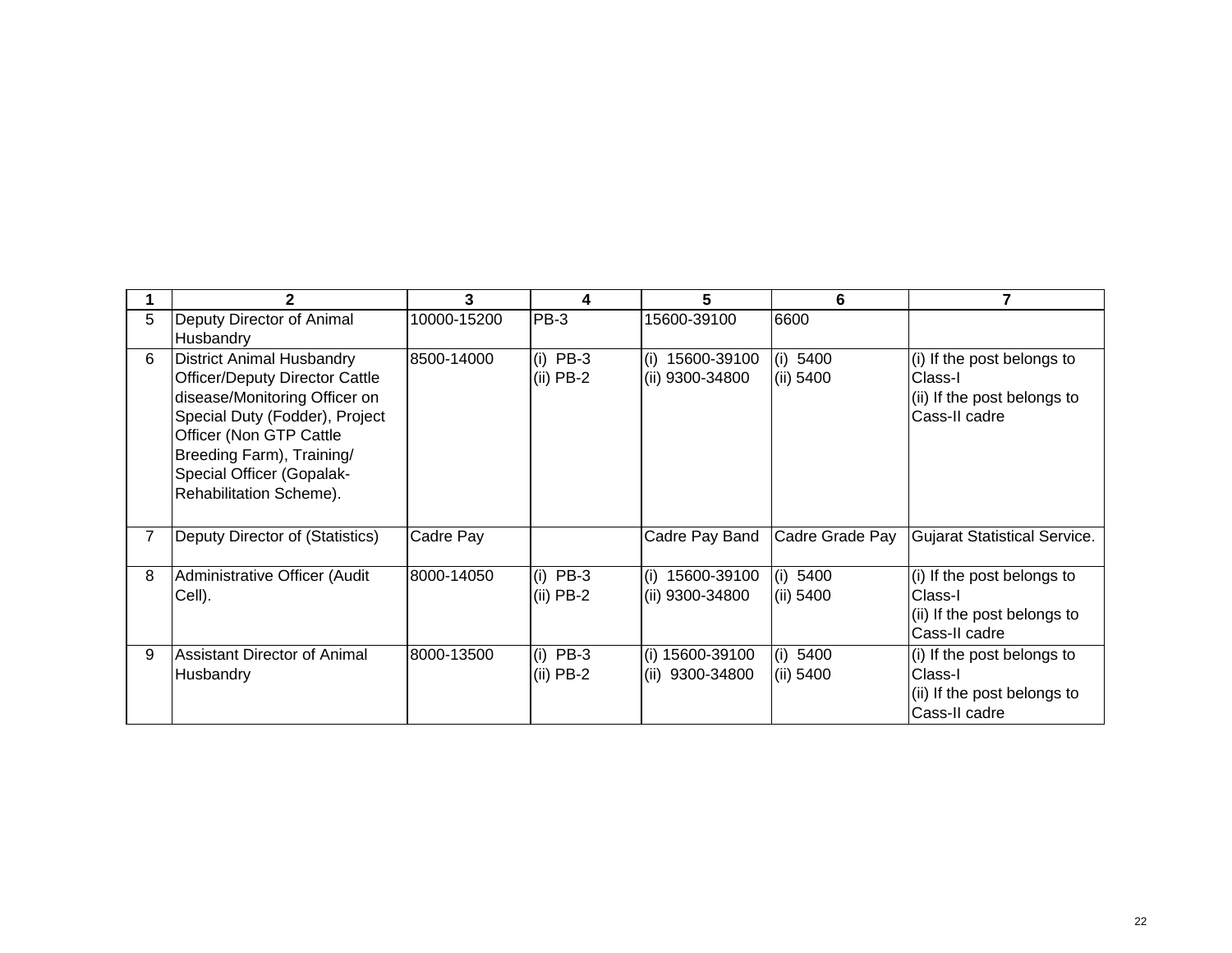|   |                                                                                                                                                                                                                                                              |             |                           |                                        | 6                     |                                                                                       |
|---|--------------------------------------------------------------------------------------------------------------------------------------------------------------------------------------------------------------------------------------------------------------|-------------|---------------------------|----------------------------------------|-----------------------|---------------------------------------------------------------------------------------|
| 5 | Deputy Director of Animal                                                                                                                                                                                                                                    | 10000-15200 | $PB-3$                    | 15600-39100                            | 6600                  |                                                                                       |
|   | Husbandry                                                                                                                                                                                                                                                    |             |                           |                                        |                       |                                                                                       |
| 6 | <b>District Animal Husbandry</b><br><b>Officer/Deputy Director Cattle</b><br>disease/Monitoring Officer on<br>Special Duty (Fodder), Project<br>Officer (Non GTP Cattle<br>Breeding Farm), Training/<br>Special Officer (Gopalak-<br>Rehabilitation Scheme). | 8500-14000  | $(i)$ PB-3<br>$(ii)$ PB-2 | (i)<br>15600-39100<br>(ii) 9300-34800  | (i) 5400<br>(ii) 5400 | (i) If the post belongs to<br>Class-I<br>(ii) If the post belongs to<br>Cass-II cadre |
|   | Deputy Director of (Statistics)                                                                                                                                                                                                                              | Cadre Pay   |                           | Cadre Pay Band                         | Cadre Grade Pay       | <b>Gujarat Statistical Service.</b>                                                   |
| 8 | Administrative Officer (Audit<br>Cell).                                                                                                                                                                                                                      | 8000-14050  | $(i)$ PB-3<br>$(ii)$ PB-2 | 15600-39100<br>(i)<br>(ii) 9300-34800  | (i) 5400<br>(ii) 5400 | (i) If the post belongs to<br>Class-I<br>(ii) If the post belongs to<br>Cass-II cadre |
| 9 | <b>Assistant Director of Animal</b><br>Husbandry                                                                                                                                                                                                             | 8000-13500  | $(i)$ PB-3<br>$(ii)$ PB-2 | (i) 15600-39100<br>(ii) $9300 - 34800$ | (i) 5400<br>(ii) 5400 | (i) If the post belongs to<br>Class-I<br>(ii) If the post belongs to<br>Cass-II cadre |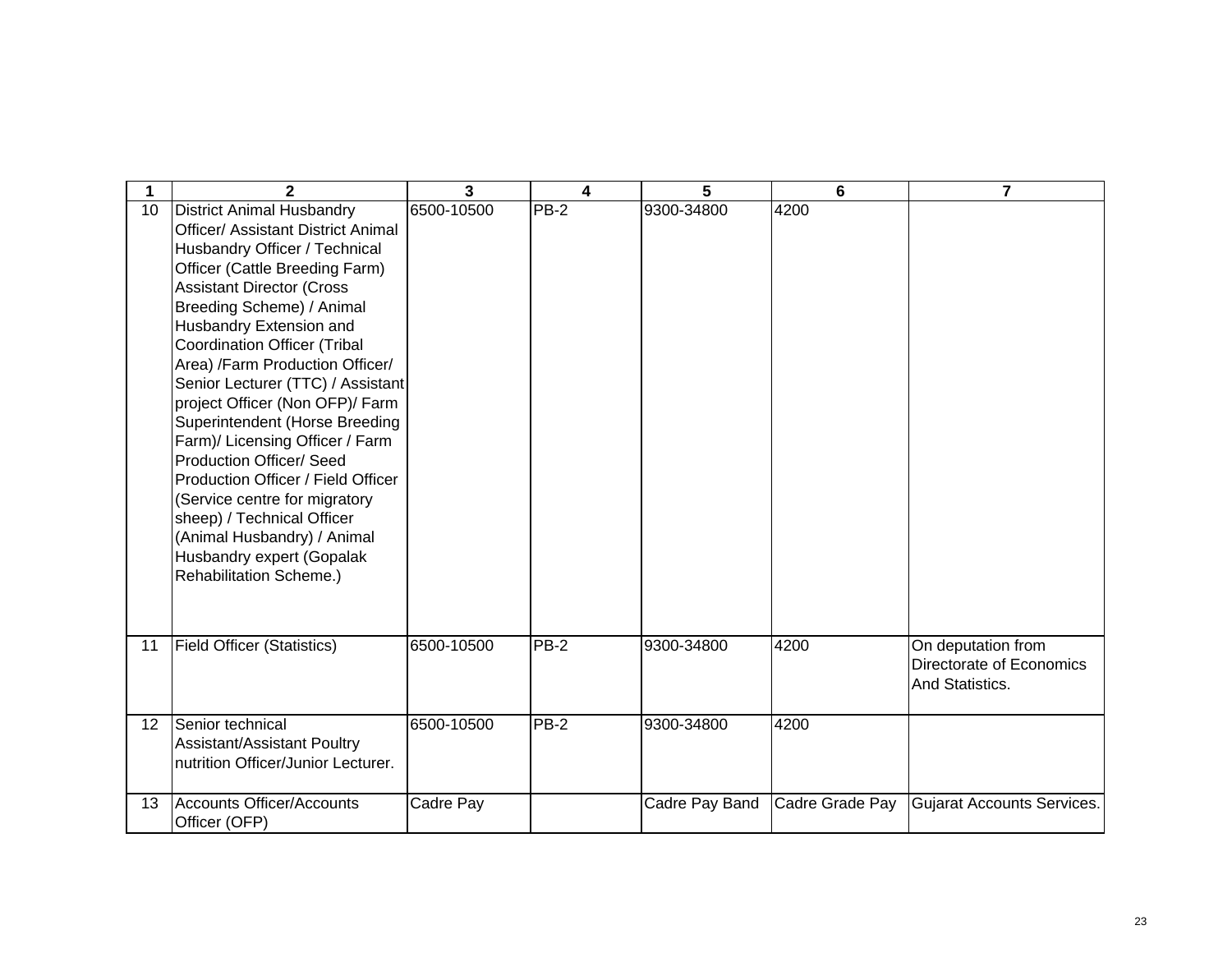| 1  | $\mathbf{2}$                                                                                                                                                                                                                                                                                                                                                                                                                                                                                                                                                                                                                                                                                       | 3          | 4           | 5              | 6               | $\overline{7}$                                                    |
|----|----------------------------------------------------------------------------------------------------------------------------------------------------------------------------------------------------------------------------------------------------------------------------------------------------------------------------------------------------------------------------------------------------------------------------------------------------------------------------------------------------------------------------------------------------------------------------------------------------------------------------------------------------------------------------------------------------|------------|-------------|----------------|-----------------|-------------------------------------------------------------------|
| 10 | <b>District Animal Husbandry</b><br><b>Officer/ Assistant District Animal</b><br>Husbandry Officer / Technical<br>Officer (Cattle Breeding Farm)<br><b>Assistant Director (Cross</b><br>Breeding Scheme) / Animal<br>Husbandry Extension and<br><b>Coordination Officer (Tribal</b><br>Area) /Farm Production Officer/<br>Senior Lecturer (TTC) / Assistant<br>project Officer (Non OFP)/ Farm<br>Superintendent (Horse Breeding<br>Farm)/ Licensing Officer / Farm<br><b>Production Officer/ Seed</b><br>Production Officer / Field Officer<br>(Service centre for migratory<br>sheep) / Technical Officer<br>(Animal Husbandry) / Animal<br>Husbandry expert (Gopalak<br>Rehabilitation Scheme.) | 6500-10500 | <b>PB-2</b> | 9300-34800     | 4200            |                                                                   |
| 11 | <b>Field Officer (Statistics)</b>                                                                                                                                                                                                                                                                                                                                                                                                                                                                                                                                                                                                                                                                  | 6500-10500 | <b>PB-2</b> | 9300-34800     | 4200            | On deputation from<br>Directorate of Economics<br>And Statistics. |
| 12 | Senior technical<br>Assistant/Assistant Poultry<br>nutrition Officer/Junior Lecturer.                                                                                                                                                                                                                                                                                                                                                                                                                                                                                                                                                                                                              | 6500-10500 | PB-2        | 9300-34800     | 4200            |                                                                   |
| 13 | Accounts Officer/Accounts<br>Officer (OFP)                                                                                                                                                                                                                                                                                                                                                                                                                                                                                                                                                                                                                                                         | Cadre Pay  |             | Cadre Pay Band | Cadre Grade Pay | Gujarat Accounts Services.                                        |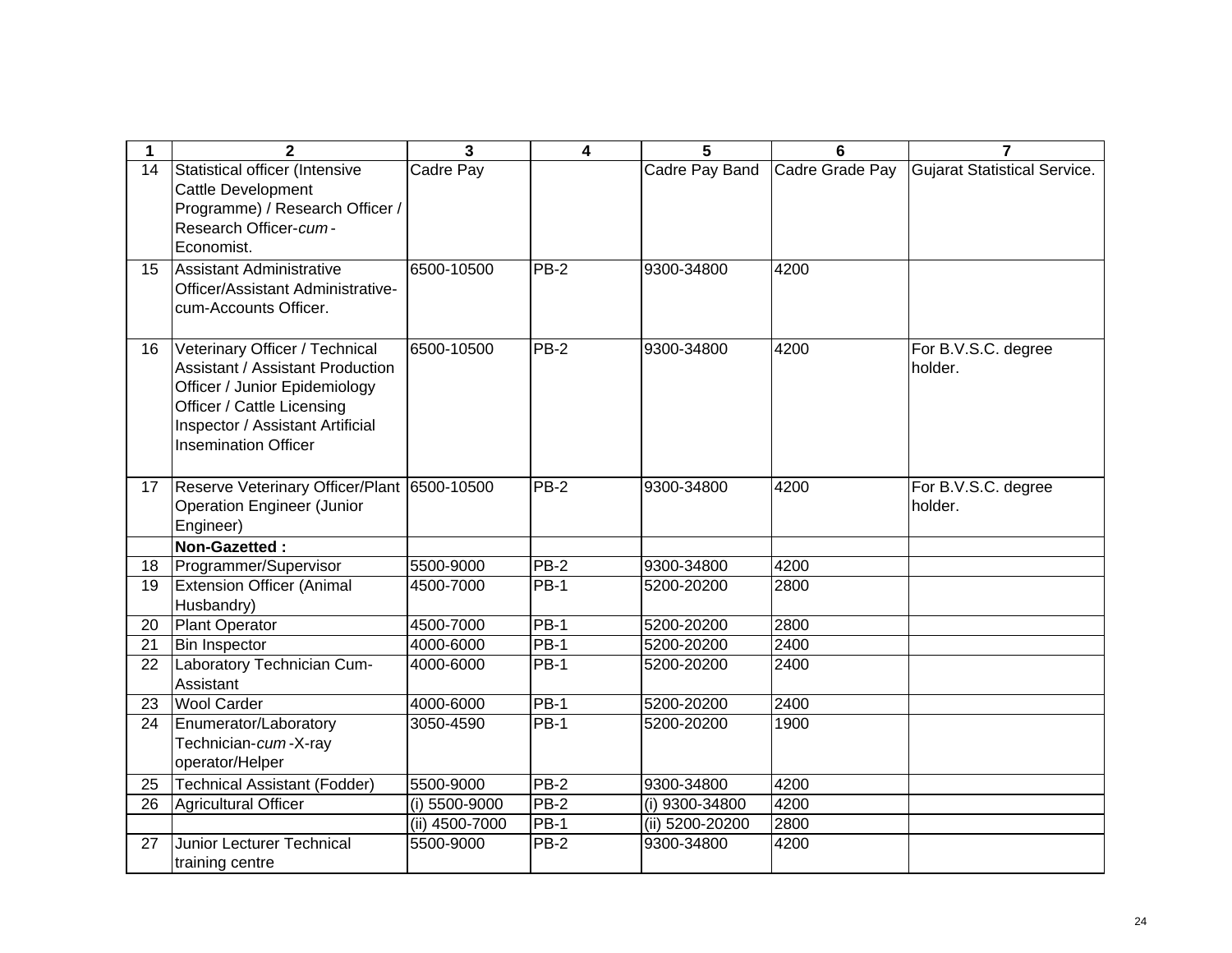| 1  | $\mathbf{2}$                                                                                                                                                                                                | 3              | $\overline{\mathbf{4}}$ | 5               | 6               | 7                              |
|----|-------------------------------------------------------------------------------------------------------------------------------------------------------------------------------------------------------------|----------------|-------------------------|-----------------|-----------------|--------------------------------|
| 14 | Statistical officer (Intensive<br><b>Cattle Development</b><br>Programme) / Research Officer /<br>Research Officer-cum-<br>Economist.                                                                       | Cadre Pay      |                         | Cadre Pay Band  | Cadre Grade Pay | Gujarat Statistical Service.   |
| 15 | Assistant Administrative<br>Officer/Assistant Administrative-<br>cum-Accounts Officer.                                                                                                                      | 6500-10500     | $PB-2$                  | 9300-34800      | 4200            |                                |
| 16 | Veterinary Officer / Technical<br><b>Assistant / Assistant Production</b><br>Officer / Junior Epidemiology<br>Officer / Cattle Licensing<br>Inspector / Assistant Artificial<br><b>Insemination Officer</b> | 6500-10500     | $PB-2$                  | 9300-34800      | 4200            | For B.V.S.C. degree<br>holder. |
| 17 | Reserve Veterinary Officer/Plant 6500-10500<br><b>Operation Engineer (Junior</b><br>Engineer)                                                                                                               |                | $PB-2$                  | 9300-34800      | 4200            | For B.V.S.C. degree<br>holder. |
|    | Non-Gazetted:                                                                                                                                                                                               |                |                         |                 |                 |                                |
| 18 | Programmer/Supervisor                                                                                                                                                                                       | 5500-9000      | $PB-2$                  | 9300-34800      | 4200            |                                |
| 19 | <b>Extension Officer (Animal</b><br>Husbandry)                                                                                                                                                              | 4500-7000      | $PB-1$                  | 5200-20200      | 2800            |                                |
| 20 | <b>Plant Operator</b>                                                                                                                                                                                       | 4500-7000      | <b>PB-1</b>             | 5200-20200      | 2800            |                                |
| 21 | <b>Bin Inspector</b>                                                                                                                                                                                        | 4000-6000      | $PB-1$                  | 5200-20200      | 2400            |                                |
| 22 | Laboratory Technician Cum-<br>Assistant                                                                                                                                                                     | 4000-6000      | <b>PB-1</b>             | 5200-20200      | 2400            |                                |
| 23 | <b>Wool Carder</b>                                                                                                                                                                                          | 4000-6000      | <b>PB-1</b>             | 5200-20200      | 2400            |                                |
| 24 | Enumerator/Laboratory<br>Technician-cum-X-ray<br>operator/Helper                                                                                                                                            | 3050-4590      | <b>PB-1</b>             | 5200-20200      | 1900            |                                |
| 25 | <b>Technical Assistant (Fodder)</b>                                                                                                                                                                         | 5500-9000      | $PB-2$                  | 9300-34800      | 4200            |                                |
| 26 | Agricultural Officer                                                                                                                                                                                        | (i) 5500-9000  | $PB-2$                  | (i) 9300-34800  | 4200            |                                |
|    |                                                                                                                                                                                                             | (ii) 4500-7000 | <b>PB-1</b>             | (ii) 5200-20200 | 2800            |                                |
| 27 | <b>Junior Lecturer Technical</b><br>training centre                                                                                                                                                         | 5500-9000      | $PB-2$                  | 9300-34800      | 4200            |                                |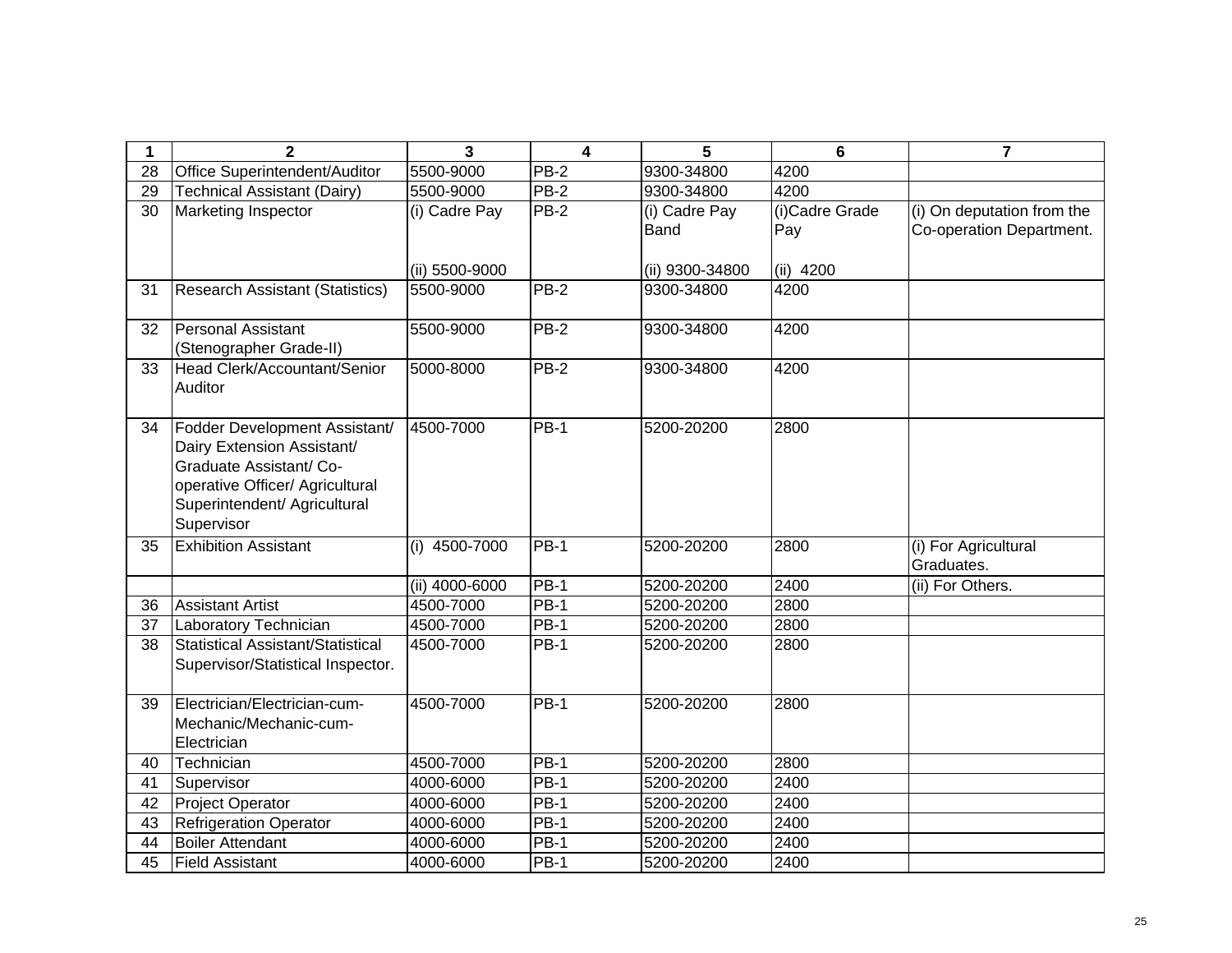| 1  | $\overline{2}$                                                  | 3               | $\overline{\mathbf{4}}$ | 5               | 6              | $\overline{7}$                            |
|----|-----------------------------------------------------------------|-----------------|-------------------------|-----------------|----------------|-------------------------------------------|
| 28 | Office Superintendent/Auditor                                   | 5500-9000       | $PB-2$                  | 9300-34800      | 4200           |                                           |
| 29 | <b>Technical Assistant (Dairy)</b>                              | 5500-9000       | $PB-2$                  | 9300-34800      | 4200           |                                           |
| 30 | <b>Marketing Inspector</b>                                      | (i) Cadre Pay   | <b>PB-2</b>             | (i) Cadre Pay   | (i)Cadre Grade | (i) On deputation from the                |
|    |                                                                 |                 |                         | <b>Band</b>     | Pay            | Co-operation Department.                  |
|    |                                                                 |                 |                         |                 |                |                                           |
|    |                                                                 | (ii) 5500-9000  |                         | (ii) 9300-34800 | $(ii)$ 4200    |                                           |
| 31 | <b>Research Assistant (Statistics)</b>                          | 5500-9000       | <b>PB-2</b>             | 9300-34800      | 4200           |                                           |
|    |                                                                 |                 |                         |                 |                |                                           |
| 32 | <b>Personal Assistant</b>                                       | 5500-9000       | PB-2                    | 9300-34800      | 4200           |                                           |
|    | (Stenographer Grade-II)                                         |                 |                         |                 |                |                                           |
| 33 | Head Clerk/Accountant/Senior                                    | 5000-8000       | PB-2                    | 9300-34800      | 4200           |                                           |
|    | Auditor                                                         |                 |                         |                 |                |                                           |
|    |                                                                 |                 |                         |                 |                |                                           |
| 34 | Fodder Development Assistant/                                   | 4500-7000       | <b>PB-1</b>             | 5200-20200      | 2800           |                                           |
|    | Dairy Extension Assistant/                                      |                 |                         |                 |                |                                           |
|    | Graduate Assistant/ Co-                                         |                 |                         |                 |                |                                           |
|    | operative Officer/ Agricultural<br>Superintendent/ Agricultural |                 |                         |                 |                |                                           |
|    | Supervisor                                                      |                 |                         |                 |                |                                           |
|    | <b>Exhibition Assistant</b>                                     | $(i)$ 4500-7000 | PB-1                    | 5200-20200      |                |                                           |
| 35 |                                                                 |                 |                         |                 | 2800           | (i) For Agricultural<br><b>Graduates.</b> |
|    |                                                                 | (ii) 4000-6000  | <b>PB-1</b>             | 5200-20200      | 2400           | (ii) For Others.                          |
| 36 | Assistant Artist                                                | 4500-7000       | $PB-1$                  | 5200-20200      | 2800           |                                           |
| 37 | Laboratory Technician                                           | 4500-7000       | <b>PB-1</b>             | 5200-20200      | 2800           |                                           |
| 38 | Statistical Assistant/Statistical                               | 4500-7000       | <b>PB-1</b>             | 5200-20200      | 2800           |                                           |
|    | Supervisor/Statistical Inspector.                               |                 |                         |                 |                |                                           |
|    |                                                                 |                 |                         |                 |                |                                           |
| 39 | Electrician/Electrician-cum-                                    | 4500-7000       | PB-1                    | 5200-20200      | 2800           |                                           |
|    | Mechanic/Mechanic-cum-                                          |                 |                         |                 |                |                                           |
|    | Electrician                                                     |                 |                         |                 |                |                                           |
| 40 | Technician                                                      | 4500-7000       | <b>PB-1</b>             | 5200-20200      | 2800           |                                           |
| 41 | Supervisor                                                      | 4000-6000       | $PB-1$                  | 5200-20200      | 2400           |                                           |
| 42 | <b>Project Operator</b>                                         | 4000-6000       | <b>PB-1</b>             | 5200-20200      | 2400           |                                           |
| 43 | <b>Refrigeration Operator</b>                                   | 4000-6000       | PB-1                    | 5200-20200      | 2400           |                                           |
| 44 | <b>Boiler Attendant</b>                                         | 4000-6000       | $PB-1$                  | 5200-20200      | 2400           |                                           |
| 45 | <b>Field Assistant</b>                                          | 4000-6000       | <b>PB-1</b>             | 5200-20200      | 2400           |                                           |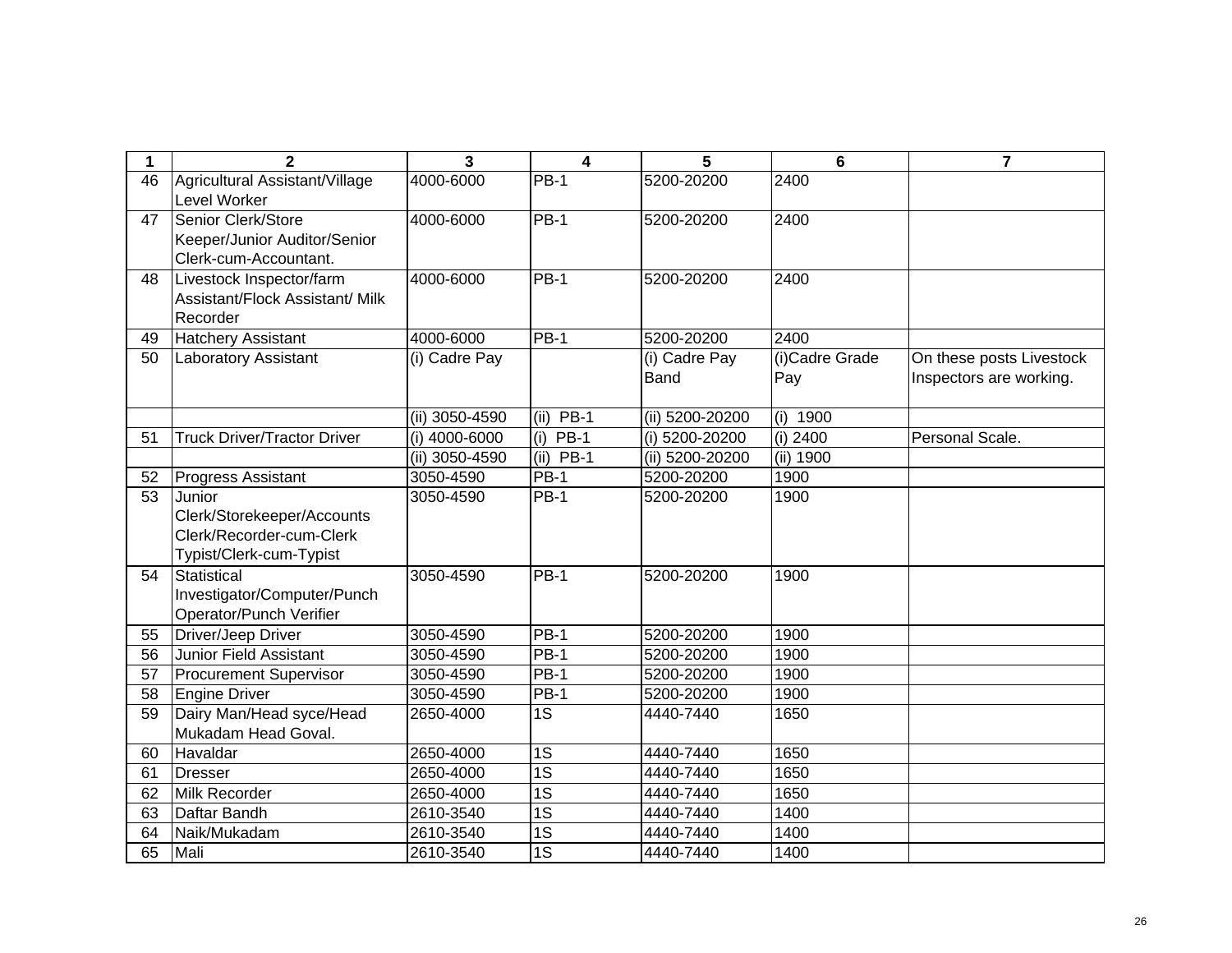| $\mathbf 1$ | $\mathbf{2}$                       | $\overline{\mathbf{3}}$ | 4                  | 5               | $6\phantom{1}$ | $\overline{7}$           |
|-------------|------------------------------------|-------------------------|--------------------|-----------------|----------------|--------------------------|
| 46          | Agricultural Assistant/Village     | 4000-6000               | $PB-1$             | 5200-20200      | 2400           |                          |
|             | Level Worker                       |                         |                    |                 |                |                          |
| 47          | Senior Clerk/Store                 | 4000-6000               | <b>PB-1</b>        | 5200-20200      | 2400           |                          |
|             | Keeper/Junior Auditor/Senior       |                         |                    |                 |                |                          |
|             | Clerk-cum-Accountant.              |                         |                    |                 |                |                          |
| 48          | Livestock Inspector/farm           | 4000-6000               | <b>PB-1</b>        | 5200-20200      | 2400           |                          |
|             | Assistant/Flock Assistant/ Milk    |                         |                    |                 |                |                          |
|             | Recorder                           |                         |                    |                 |                |                          |
| 49          | <b>Hatchery Assistant</b>          | 4000-6000               | $PB-1$             | 5200-20200      | 2400           |                          |
| 50          | <b>Laboratory Assistant</b>        | (i) Cadre Pay           |                    | (i) Cadre Pay   | (i)Cadre Grade | On these posts Livestock |
|             |                                    |                         |                    | <b>Band</b>     | Pay            | Inspectors are working.  |
|             |                                    |                         |                    |                 |                |                          |
|             |                                    | (ii) 3050-4590          | (ii) $PB-1$        | (ii) 5200-20200 | $(i)$ 1900     |                          |
| 51          | <b>Truck Driver/Tractor Driver</b> | (i) 4000-6000           | <b>PB-1</b><br>(i) | (i) 5200-20200  | (i) 2400       | Personal Scale.          |
|             |                                    | (ii) 3050-4590          | $(ii)$ PB-1        | (ii) 5200-20200 | (ii) 1900      |                          |
| 52          | Progress Assistant                 | 3050-4590               | <b>PB-1</b>        | 5200-20200      | 1900           |                          |
| 53          | Junior                             | 3050-4590               | <b>PB-1</b>        | 5200-20200      | 1900           |                          |
|             | Clerk/Storekeeper/Accounts         |                         |                    |                 |                |                          |
|             | Clerk/Recorder-cum-Clerk           |                         |                    |                 |                |                          |
|             | Typist/Clerk-cum-Typist            |                         |                    |                 |                |                          |
| 54          | Statistical                        | 3050-4590               | <b>PB-1</b>        | 5200-20200      | 1900           |                          |
|             | Investigator/Computer/Punch        |                         |                    |                 |                |                          |
|             | Operator/Punch Verifier            |                         |                    |                 |                |                          |
| 55          | Driver/Jeep Driver                 | 3050-4590               | <b>PB-1</b>        | 5200-20200      | 1900           |                          |
| 56          | <b>Junior Field Assistant</b>      | 3050-4590               | $PB-1$             | 5200-20200      | 1900           |                          |
| 57          | <b>Procurement Supervisor</b>      | 3050-4590               | $PB-1$             | 5200-20200      | 1900           |                          |
| 58          | <b>Engine Driver</b>               | 3050-4590               | <b>PB-1</b>        | 5200-20200      | 1900           |                          |
| 59          | Dairy Man/Head syce/Head           | 2650-4000               | 1S                 | 4440-7440       | 1650           |                          |
|             | Mukadam Head Goval.                |                         |                    |                 |                |                          |
| 60          | Havaldar                           | 2650-4000               | 1S                 | 4440-7440       | 1650           |                          |
| 61          | <b>Dresser</b>                     | 2650-4000               | 1S                 | 4440-7440       | 1650           |                          |
| 62          | <b>Milk Recorder</b>               | 2650-4000               | 1S                 | 4440-7440       | 1650           |                          |
| 63          | Daftar Bandh                       | 2610-3540               | $\overline{1S}$    | 4440-7440       | 1400           |                          |
| 64          | Naik/Mukadam                       | 2610-3540               | 1S                 | 4440-7440       | 1400           |                          |
| 65          | Mali                               | 2610-3540               | 1S                 | 4440-7440       | 1400           |                          |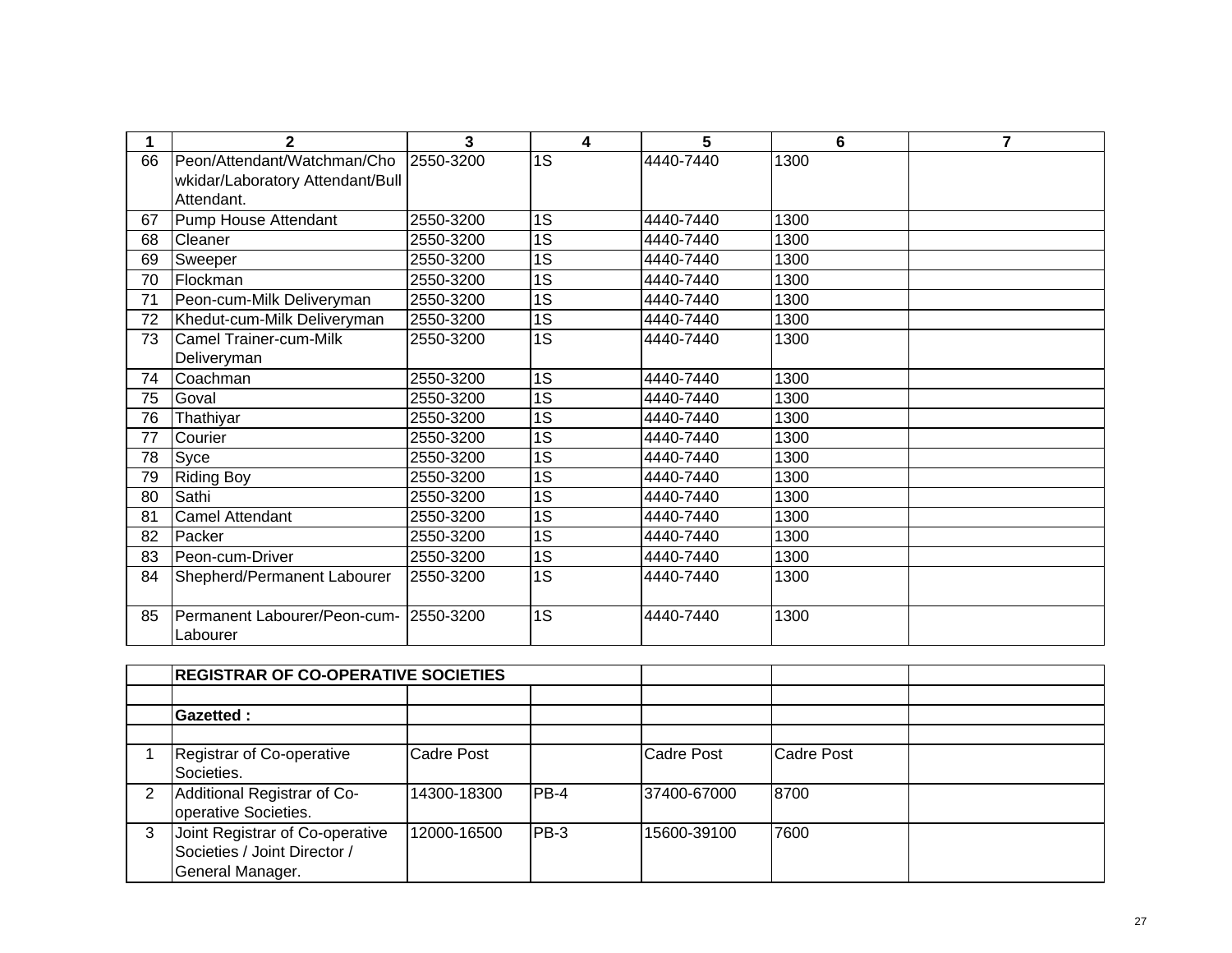| 1  | $\overline{2}$                   | 3         | 4               | 5         | 6    | $\overline{7}$ |
|----|----------------------------------|-----------|-----------------|-----------|------|----------------|
| 66 | Peon/Attendant/Watchman/Cho      | 2550-3200 | 1S              | 4440-7440 | 1300 |                |
|    | wkidar/Laboratory Attendant/Bull |           |                 |           |      |                |
|    | Attendant.                       |           |                 |           |      |                |
| 67 | Pump House Attendant             | 2550-3200 | 1S              | 4440-7440 | 1300 |                |
| 68 | <b>Cleaner</b>                   | 2550-3200 | $\overline{1S}$ | 4440-7440 | 1300 |                |
| 69 | Sweeper                          | 2550-3200 | 1S              | 4440-7440 | 1300 |                |
| 70 | Flockman                         | 2550-3200 | $\overline{1S}$ | 4440-7440 | 1300 |                |
| 71 | Peon-cum-Milk Deliveryman        | 2550-3200 | 1S              | 4440-7440 | 1300 |                |
| 72 | Khedut-cum-Milk Deliveryman      | 2550-3200 | $\overline{1S}$ | 4440-7440 | 1300 |                |
| 73 | <b>Camel Trainer-cum-Milk</b>    | 2550-3200 | 1S              | 4440-7440 | 1300 |                |
|    | Deliveryman                      |           |                 |           |      |                |
| 74 | Coachman                         | 2550-3200 | 1S              | 4440-7440 | 1300 |                |
| 75 | Goval                            | 2550-3200 | 1S              | 4440-7440 | 1300 |                |
| 76 | Thathiyar                        | 2550-3200 | 1S              | 4440-7440 | 1300 |                |
| 77 | Courier                          | 2550-3200 | 1S              | 4440-7440 | 1300 |                |
| 78 | Syce                             | 2550-3200 | 1S              | 4440-7440 | 1300 |                |
| 79 | <b>Riding Boy</b>                | 2550-3200 | 1S              | 4440-7440 | 1300 |                |
| 80 | Sathi                            | 2550-3200 | $\overline{1S}$ | 4440-7440 | 1300 |                |
| 81 | <b>Camel Attendant</b>           | 2550-3200 | 1S              | 4440-7440 | 1300 |                |
| 82 | Packer                           | 2550-3200 | 1S              | 4440-7440 | 1300 |                |
| 83 | Peon-cum-Driver                  | 2550-3200 | 1S              | 4440-7440 | 1300 |                |
| 84 | Shepherd/Permanent Labourer      | 2550-3200 | 1S              | 4440-7440 | 1300 |                |
|    |                                  |           |                 |           |      |                |
| 85 | Permanent Labourer/Peon-cum-     | 2550-3200 | 1S              | 4440-7440 | 1300 |                |
|    | Labourer                         |           |                 |           |      |                |

|   | <b>REGISTRAR OF CO-OPERATIVE SOCIETIES</b>                                          |             |         |             |            |  |
|---|-------------------------------------------------------------------------------------|-------------|---------|-------------|------------|--|
|   |                                                                                     |             |         |             |            |  |
|   | <b>Gazetted:</b>                                                                    |             |         |             |            |  |
|   |                                                                                     |             |         |             |            |  |
|   | Registrar of Co-operative<br>Societies.                                             | Cadre Post  |         | Cadre Post  | Cadre Post |  |
| 2 | Additional Registrar of Co-<br>operative Societies.                                 | 14300-18300 | $IPB-4$ | 37400-67000 | 8700       |  |
| 3 | Joint Registrar of Co-operative<br>Societies / Joint Director /<br>General Manager. | 12000-16500 | IPB-3   | 15600-39100 | 7600       |  |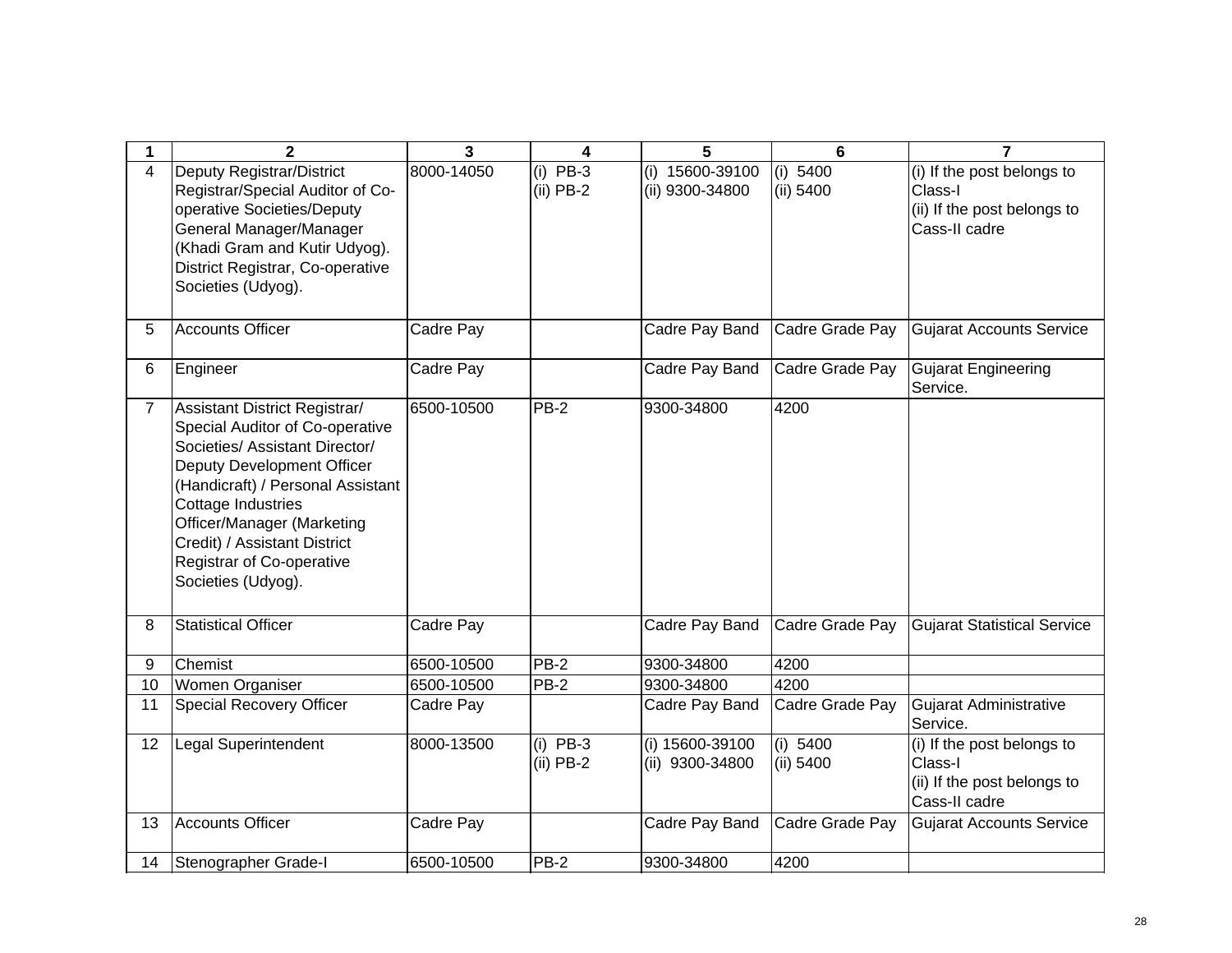| 1              | $\mathbf{2}$                                                                                                                                                                                                                                                                                                 | $\overline{3}$ | 4                         | 5                                  | 6                       | $\overline{7}$                                                                        |
|----------------|--------------------------------------------------------------------------------------------------------------------------------------------------------------------------------------------------------------------------------------------------------------------------------------------------------------|----------------|---------------------------|------------------------------------|-------------------------|---------------------------------------------------------------------------------------|
| 4              | Deputy Registrar/District<br>Registrar/Special Auditor of Co-<br>operative Societies/Deputy<br>General Manager/Manager<br>(Khadi Gram and Kutir Udyog).<br>District Registrar, Co-operative<br>Societies (Udyog).                                                                                            | 8000-14050     | $(i)$ PB-3<br>$(ii)$ PB-2 | (i) 15600-39100<br>(ii) 9300-34800 | (i) $5400$<br>(ii) 5400 | (i) If the post belongs to<br>Class-I<br>(ii) If the post belongs to<br>Cass-II cadre |
| 5              | <b>Accounts Officer</b>                                                                                                                                                                                                                                                                                      | Cadre Pay      |                           | Cadre Pay Band                     | Cadre Grade Pay         | <b>Gujarat Accounts Service</b>                                                       |
| 6              | Engineer                                                                                                                                                                                                                                                                                                     | Cadre Pay      |                           | Cadre Pay Band                     | Cadre Grade Pay         | <b>Gujarat Engineering</b><br>Service.                                                |
| $\overline{7}$ | Assistant District Registrar/<br>Special Auditor of Co-operative<br>Societies/ Assistant Director/<br>Deputy Development Officer<br>(Handicraft) / Personal Assistant<br>Cottage Industries<br>Officer/Manager (Marketing<br>Credit) / Assistant District<br>Registrar of Co-operative<br>Societies (Udyog). | 6500-10500     | $PB-2$                    | 9300-34800                         | 4200                    |                                                                                       |
| 8              | <b>Statistical Officer</b>                                                                                                                                                                                                                                                                                   | Cadre Pay      |                           | Cadre Pay Band                     | Cadre Grade Pay         | <b>Gujarat Statistical Service</b>                                                    |
| 9              | Chemist                                                                                                                                                                                                                                                                                                      | 6500-10500     | $PB-2$                    | 9300-34800                         | 4200                    |                                                                                       |
| 10             | Women Organiser                                                                                                                                                                                                                                                                                              | 6500-10500     | $PB-2$                    | 9300-34800                         | 4200                    |                                                                                       |
| 11             | Special Recovery Officer                                                                                                                                                                                                                                                                                     | Cadre Pay      |                           | Cadre Pay Band                     | Cadre Grade Pay         | <b>Gujarat Administrative</b><br>Service.                                             |
| 12             | Legal Superintendent                                                                                                                                                                                                                                                                                         | 8000-13500     | $(i)$ PB-3<br>$(ii)$ PB-2 | (i) 15600-39100<br>(ii) 9300-34800 | (i) 5400<br>(ii) 5400   | (i) If the post belongs to<br>Class-I<br>(ii) If the post belongs to<br>Cass-II cadre |
| 13             | <b>Accounts Officer</b>                                                                                                                                                                                                                                                                                      | Cadre Pay      |                           | Cadre Pay Band                     | Cadre Grade Pay         | <b>Gujarat Accounts Service</b>                                                       |
| 14             | Stenographer Grade-I                                                                                                                                                                                                                                                                                         | 6500-10500     | $PB-2$                    | 9300-34800                         | 4200                    |                                                                                       |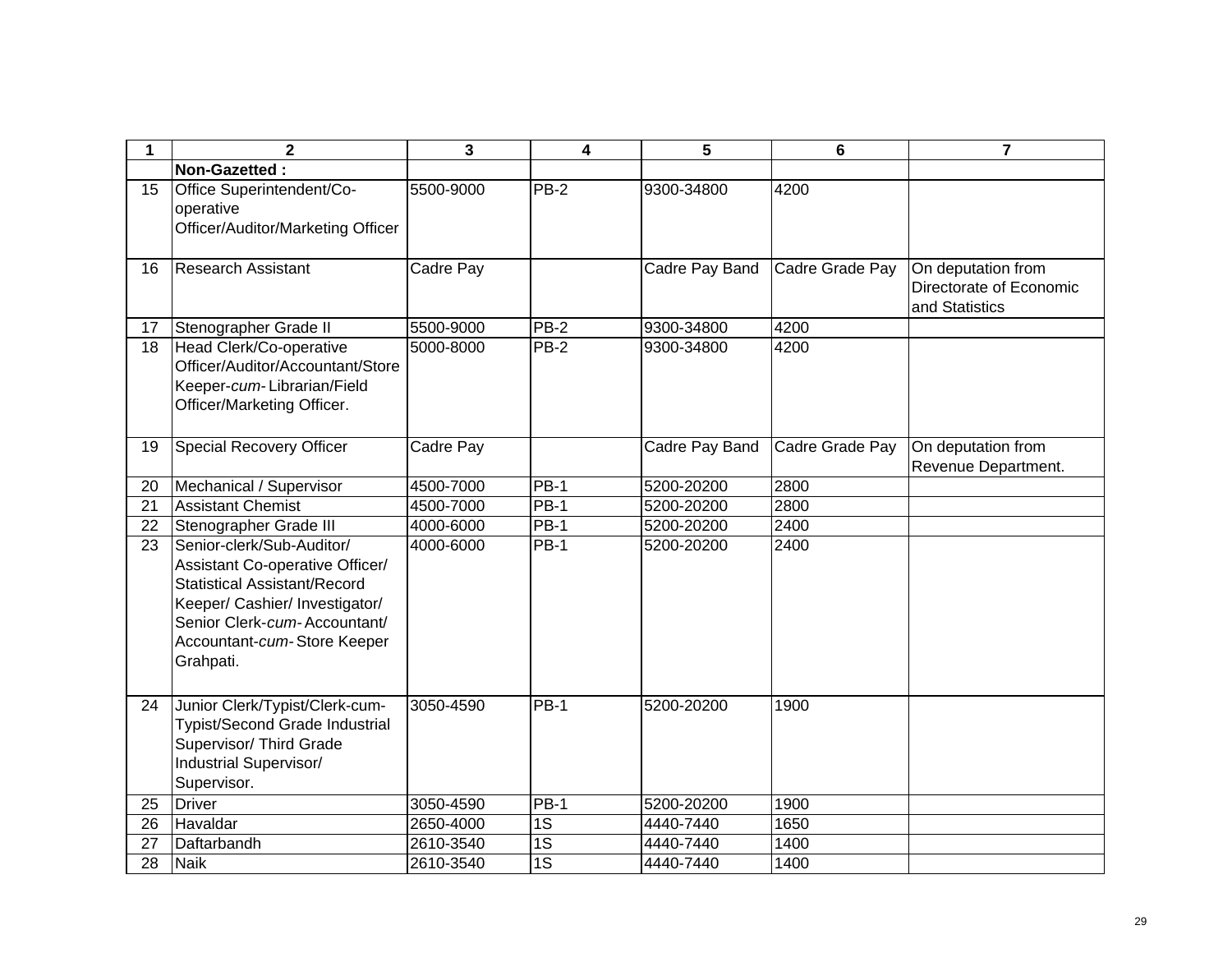| 1  | $\mathbf{2}$                                                                                                                                                                                                      | 3         | $\overline{\mathbf{4}}$ | 5              | 6               | $\overline{7}$                                                  |
|----|-------------------------------------------------------------------------------------------------------------------------------------------------------------------------------------------------------------------|-----------|-------------------------|----------------|-----------------|-----------------------------------------------------------------|
|    | Non-Gazetted:                                                                                                                                                                                                     |           |                         |                |                 |                                                                 |
| 15 | Office Superintendent/Co-<br>operative<br>Officer/Auditor/Marketing Officer                                                                                                                                       | 5500-9000 | PB-2                    | 9300-34800     | 4200            |                                                                 |
| 16 | <b>Research Assistant</b>                                                                                                                                                                                         | Cadre Pay |                         | Cadre Pay Band | Cadre Grade Pay | On deputation from<br>Directorate of Economic<br>and Statistics |
| 17 | Stenographer Grade II                                                                                                                                                                                             | 5500-9000 | PB-2                    | 9300-34800     | 4200            |                                                                 |
| 18 | Head Clerk/Co-operative<br>Officer/Auditor/Accountant/Store<br>Keeper-cum-Librarian/Field<br>Officer/Marketing Officer.                                                                                           | 5000-8000 | $PB-2$                  | 9300-34800     | 4200            |                                                                 |
| 19 | <b>Special Recovery Officer</b>                                                                                                                                                                                   | Cadre Pay |                         | Cadre Pay Band | Cadre Grade Pay | On deputation from<br>Revenue Department.                       |
| 20 | Mechanical / Supervisor                                                                                                                                                                                           | 4500-7000 | <b>PB-1</b>             | 5200-20200     | 2800            |                                                                 |
| 21 | <b>Assistant Chemist</b>                                                                                                                                                                                          | 4500-7000 | $PB-1$                  | 5200-20200     | 2800            |                                                                 |
| 22 | Stenographer Grade III                                                                                                                                                                                            | 4000-6000 | <b>PB-1</b>             | 5200-20200     | 2400            |                                                                 |
| 23 | Senior-clerk/Sub-Auditor/<br>Assistant Co-operative Officer/<br><b>Statistical Assistant/Record</b><br>Keeper/ Cashier/ Investigator/<br>Senior Clerk-cum-Accountant/<br>Accountant-cum-Store Keeper<br>Grahpati. | 4000-6000 | <b>PB-1</b>             | 5200-20200     | 2400            |                                                                 |
| 24 | Junior Clerk/Typist/Clerk-cum-<br><b>Typist/Second Grade Industrial</b><br>Supervisor/ Third Grade<br>Industrial Supervisor/<br>Supervisor.                                                                       | 3050-4590 | PB-1                    | 5200-20200     | 1900            |                                                                 |
| 25 | <b>Driver</b>                                                                                                                                                                                                     | 3050-4590 | $PB-1$                  | 5200-20200     | 1900            |                                                                 |
| 26 | Havaldar                                                                                                                                                                                                          | 2650-4000 | 1S                      | 4440-7440      | 1650            |                                                                 |
| 27 | Daftarbandh                                                                                                                                                                                                       | 2610-3540 | 1S                      | 4440-7440      | 1400            |                                                                 |
| 28 | <b>Naik</b>                                                                                                                                                                                                       | 2610-3540 | 1S                      | 4440-7440      | 1400            |                                                                 |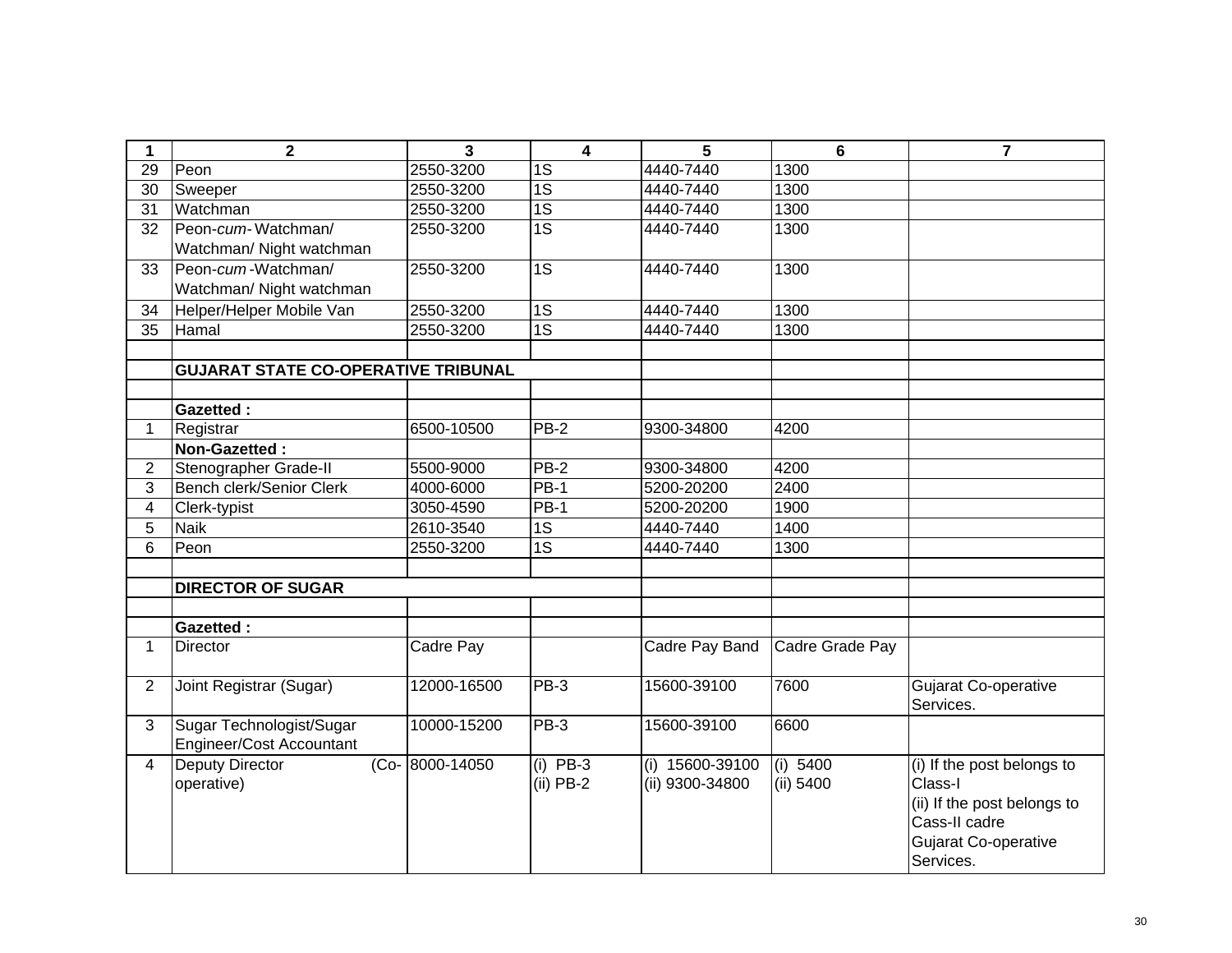| 1                       | $\overline{\mathbf{2}}$                                     | 3              | $\overline{\mathbf{4}}$ | 5                 | $6\phantom{1}6$ | $\overline{7}$              |
|-------------------------|-------------------------------------------------------------|----------------|-------------------------|-------------------|-----------------|-----------------------------|
| 29                      | Peon                                                        | 2550-3200      | $\overline{1S}$         | 4440-7440         | 1300            |                             |
| 30                      | Sweeper                                                     | 2550-3200      | $\overline{1S}$         | 4440-7440         | 1300            |                             |
| 31                      | Watchman                                                    | 2550-3200      | $\overline{1S}$         | 4440-7440         | 1300            |                             |
| 32                      | Peon-cum-Watchman/                                          | 2550-3200      | $\overline{1S}$         | 4440-7440         | 1300            |                             |
|                         | Watchman/ Night watchman                                    |                |                         |                   |                 |                             |
| 33                      | Peon-cum-Watchman/                                          | 2550-3200      | $\overline{1S}$         | 4440-7440         | 1300            |                             |
|                         | Watchman/ Night watchman                                    |                |                         |                   |                 |                             |
| 34                      | Helper/Helper Mobile Van                                    | 2550-3200      | $\overline{1S}$         | 4440-7440         | 1300            |                             |
| $\overline{35}$         | Hamal                                                       | 2550-3200      | $\overline{1S}$         | 4440-7440         | 1300            |                             |
|                         |                                                             |                |                         |                   |                 |                             |
|                         | <b>GUJARAT STATE CO-OPERATIVE TRIBUNAL</b>                  |                |                         |                   |                 |                             |
|                         |                                                             |                |                         |                   |                 |                             |
|                         | <b>Gazetted:</b>                                            |                |                         |                   |                 |                             |
| $\mathbf 1$             | Registrar                                                   | 6500-10500     | $PB-2$                  | 9300-34800        | 4200            |                             |
|                         | Non-Gazetted:                                               |                |                         |                   |                 |                             |
| $\overline{2}$          | Stenographer Grade-II                                       | 5500-9000      | $PB-2$                  | 9300-34800        | 4200            |                             |
| 3                       | Bench clerk/Senior Clerk                                    | 4000-6000      | <b>PB-1</b>             | 5200-20200        | 2400            |                             |
| $\overline{\mathbf{4}}$ | Clerk-typist                                                | 3050-4590      | PB-1                    | 5200-20200        | 1900            |                             |
| 5                       | <b>Naik</b>                                                 | 2610-3540      | 1S                      | 4440-7440         | 1400            |                             |
| 6                       | Peon                                                        | 2550-3200      | 1S                      | 4440-7440         | 1300            |                             |
|                         |                                                             |                |                         |                   |                 |                             |
|                         | <b>DIRECTOR OF SUGAR</b>                                    |                |                         |                   |                 |                             |
|                         |                                                             |                |                         |                   |                 |                             |
|                         | Gazetted:                                                   |                |                         |                   |                 |                             |
| $\mathbf{1}$            | <b>Director</b>                                             | Cadre Pay      |                         | Cadre Pay Band    | Cadre Grade Pay |                             |
| $\overline{2}$          | Joint Registrar (Sugar)                                     | 12000-16500    | $PB-3$                  | 15600-39100       | 7600            | <b>Gujarat Co-operative</b> |
|                         |                                                             |                |                         |                   |                 | Services.                   |
| $\overline{3}$          | Sugar Technologist/Sugar<br><b>Engineer/Cost Accountant</b> | 10000-15200    | $PB-3$                  | 15600-39100       | 6600            |                             |
| 4                       | <b>Deputy Director</b>                                      | (Co-8000-14050 | $(i)$ PB-3              | $(i)$ 15600-39100 | (i) 5400        | (i) If the post belongs to  |
|                         | operative)                                                  |                | $(ii)$ PB-2             | (ii) 9300-34800   | (ii) 5400       | Class-I                     |
|                         |                                                             |                |                         |                   |                 | (ii) If the post belongs to |
|                         |                                                             |                |                         |                   |                 | Cass-II cadre               |
|                         |                                                             |                |                         |                   |                 | <b>Gujarat Co-operative</b> |
|                         |                                                             |                |                         |                   |                 | Services.                   |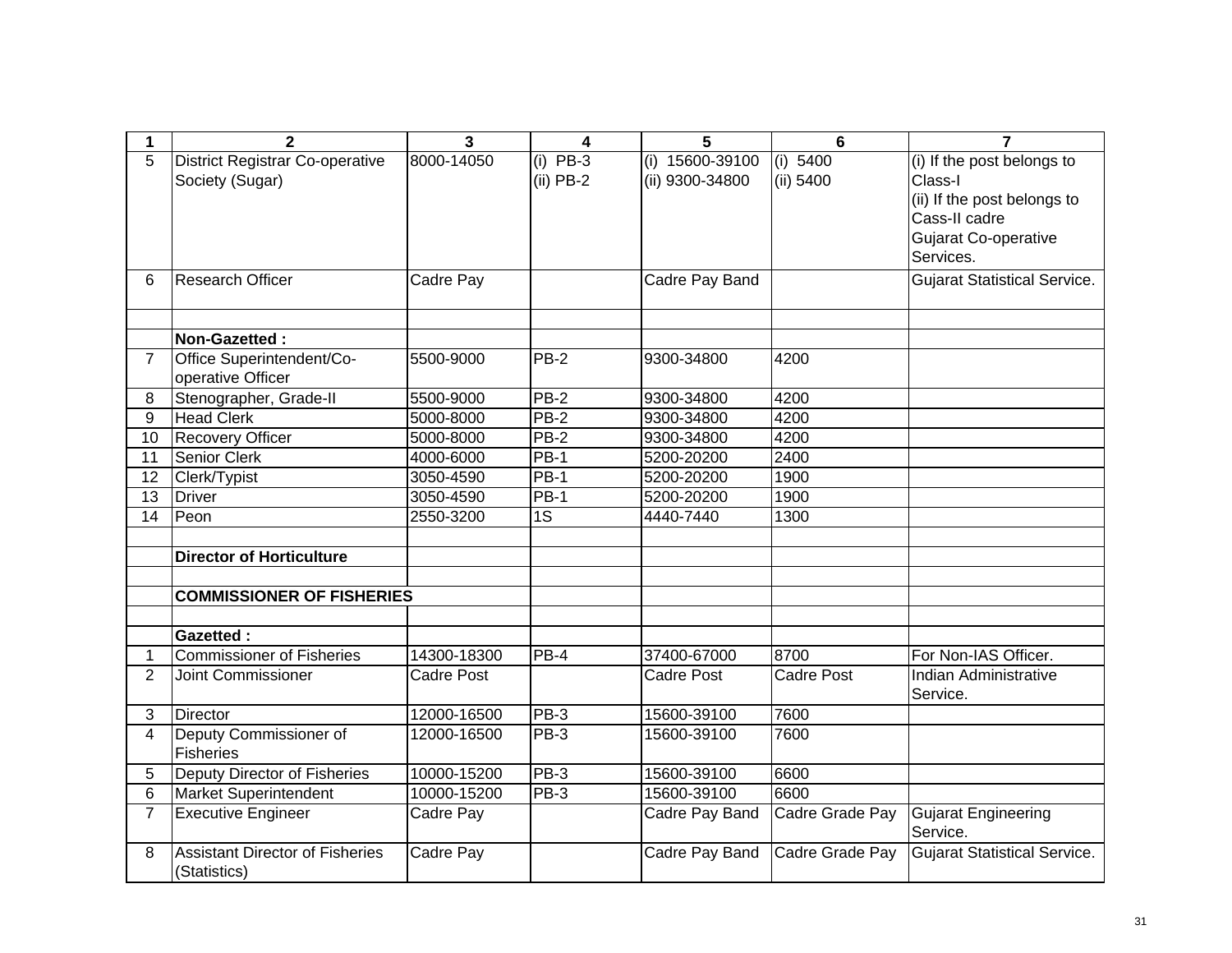| 1              | $\overline{2}$                                         | 3                 | 4               | 5                 | $6\phantom{1}6$   | $\overline{7}$                         |
|----------------|--------------------------------------------------------|-------------------|-----------------|-------------------|-------------------|----------------------------------------|
| 5              | <b>District Registrar Co-operative</b>                 | 8000-14050        | $(i)$ PB-3      | $(i)$ 15600-39100 | $(i)$ 5400        | (i) If the post belongs to             |
|                | Society (Sugar)                                        |                   | $(ii)$ PB-2     | (ii) 9300-34800   | (ii) 5400         | Class-I                                |
|                |                                                        |                   |                 |                   |                   | (ii) If the post belongs to            |
|                |                                                        |                   |                 |                   |                   | Cass-II cadre                          |
|                |                                                        |                   |                 |                   |                   | Gujarat Co-operative                   |
|                |                                                        |                   |                 |                   |                   | Services.                              |
| 6              | <b>Research Officer</b>                                | Cadre Pay         |                 | Cadre Pay Band    |                   | <b>Gujarat Statistical Service.</b>    |
|                |                                                        |                   |                 |                   |                   |                                        |
|                | Non-Gazetted:                                          |                   |                 |                   |                   |                                        |
| $\overline{7}$ | Office Superintendent/Co-                              | 5500-9000         | $PB-2$          | 9300-34800        | 4200              |                                        |
|                | operative Officer                                      |                   |                 |                   |                   |                                        |
| 8              | Stenographer, Grade-II                                 | 5500-9000         | <b>PB-2</b>     | 9300-34800        | 4200              |                                        |
| 9              | <b>Head Clerk</b>                                      | 5000-8000         | $PB-2$          | 9300-34800        | 4200              |                                        |
| 10             | <b>Recovery Officer</b>                                | 5000-8000         | $PB-2$          | 9300-34800        | 4200              |                                        |
| 11             | Senior Clerk                                           | 4000-6000         | PB-1            | 5200-20200        | 2400              |                                        |
| 12             | Clerk/Typist                                           | 3050-4590         | $PB-1$          | 5200-20200        | 1900              |                                        |
| 13             | Driver                                                 | 3050-4590         | PB-1            | 5200-20200        | 1900              |                                        |
| 14             | Peon                                                   | 2550-3200         | $\overline{1S}$ | 4440-7440         | 1300              |                                        |
|                |                                                        |                   |                 |                   |                   |                                        |
|                | <b>Director of Horticulture</b>                        |                   |                 |                   |                   |                                        |
|                |                                                        |                   |                 |                   |                   |                                        |
|                | <b>COMMISSIONER OF FISHERIES</b>                       |                   |                 |                   |                   |                                        |
|                |                                                        |                   |                 |                   |                   |                                        |
|                | <b>Gazetted:</b>                                       |                   |                 |                   |                   |                                        |
| 1              | <b>Commissioner of Fisheries</b>                       | 14300-18300       | PB-4            | 37400-67000       | 8700              | For Non-IAS Officer.                   |
| $\overline{2}$ | <b>Joint Commissioner</b>                              | <b>Cadre Post</b> |                 | <b>Cadre Post</b> | <b>Cadre Post</b> | Indian Administrative<br>Service.      |
| 3              | <b>Director</b>                                        | 12000-16500       | PB-3            | 15600-39100       | 7600              |                                        |
| 4              | Deputy Commissioner of                                 | 12000-16500       | PB-3            | 15600-39100       | 7600              |                                        |
|                | Fisheries                                              |                   |                 |                   |                   |                                        |
| 5              | Deputy Director of Fisheries                           | 10000-15200       | $PB-3$          | 15600-39100       | 6600              |                                        |
| 6              | Market Superintendent                                  | 10000-15200       | $PB-3$          | 15600-39100       | 6600              |                                        |
| $\overline{7}$ | <b>Executive Engineer</b>                              | Cadre Pay         |                 | Cadre Pay Band    | Cadre Grade Pay   | <b>Gujarat Engineering</b><br>Service. |
| 8              | <b>Assistant Director of Fisheries</b><br>(Statistics) | Cadre Pay         |                 | Cadre Pay Band    | Cadre Grade Pay   | <b>Gujarat Statistical Service.</b>    |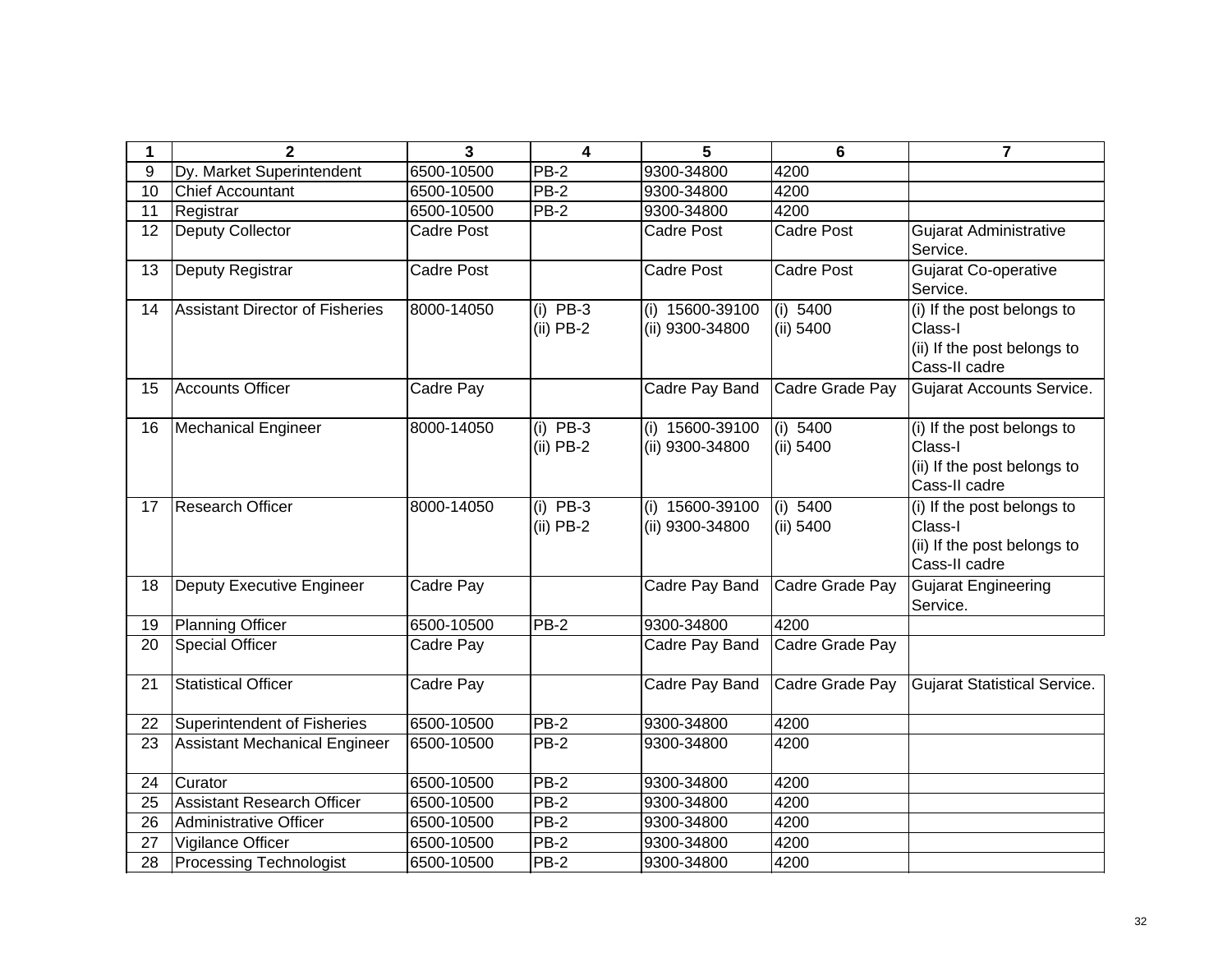| 1  | $\mathbf{2}$                           | 3                | 4                         | 5                                  | 6                     | 7                                                                                     |
|----|----------------------------------------|------------------|---------------------------|------------------------------------|-----------------------|---------------------------------------------------------------------------------------|
| 9  | Dy. Market Superintendent              | 6500-10500       | PB-2                      | 9300-34800                         | 4200                  |                                                                                       |
| 10 | <b>Chief Accountant</b>                | 6500-10500       | <b>PB-2</b>               | 9300-34800                         | 4200                  |                                                                                       |
| 11 | Registrar                              | 6500-10500       | <b>PB-2</b>               | 9300-34800                         | 4200                  |                                                                                       |
| 12 | Deputy Collector                       | Cadre Post       |                           | Cadre Post                         | <b>Cadre Post</b>     | <b>Gujarat Administrative</b><br>Service.                                             |
| 13 | Deputy Registrar                       | Cadre Post       |                           | <b>Cadre Post</b>                  | <b>Cadre Post</b>     | Gujarat Co-operative<br>Service.                                                      |
| 14 | <b>Assistant Director of Fisheries</b> | 8000-14050       | $(i)$ PB-3<br>$(ii)$ PB-2 | (i) 15600-39100<br>(ii) 9300-34800 | (i) 5400<br>(ii) 5400 | (i) If the post belongs to<br>Class-I<br>(ii) If the post belongs to<br>Cass-II cadre |
| 15 | <b>Accounts Officer</b>                | Cadre Pay        |                           | Cadre Pay Band                     | Cadre Grade Pay       | Gujarat Accounts Service.                                                             |
| 16 | <b>Mechanical Engineer</b>             | 8000-14050       | $(i)$ PB-3<br>$(ii)$ PB-2 | (i) 15600-39100<br>(ii) 9300-34800 | (i) 5400<br>(ii) 5400 | (i) If the post belongs to<br>Class-I<br>(ii) If the post belongs to<br>Cass-II cadre |
| 17 | <b>Research Officer</b>                | 8000-14050       | $(i)$ PB-3<br>$(ii)$ PB-2 | (i) 15600-39100<br>(ii) 9300-34800 | (i) 5400<br>(ii) 5400 | (i) If the post belongs to<br>Class-I<br>(ii) If the post belongs to<br>Cass-II cadre |
| 18 | <b>Deputy Executive Engineer</b>       | <b>Cadre Pay</b> |                           | Cadre Pay Band                     | Cadre Grade Pay       | <b>Gujarat Engineering</b><br>Service.                                                |
| 19 | <b>Planning Officer</b>                | 6500-10500       | <b>PB-2</b>               | 9300-34800                         | 4200                  |                                                                                       |
| 20 | <b>Special Officer</b>                 | Cadre Pay        |                           | Cadre Pay Band                     | Cadre Grade Pay       |                                                                                       |
| 21 | <b>Statistical Officer</b>             | Cadre Pay        |                           | Cadre Pay Band                     | Cadre Grade Pay       | <b>Gujarat Statistical Service.</b>                                                   |
| 22 | <b>Superintendent of Fisheries</b>     | 6500-10500       | PB-2                      | 9300-34800                         | 4200                  |                                                                                       |
| 23 | <b>Assistant Mechanical Engineer</b>   | 6500-10500       | PB-2                      | 9300-34800                         | 4200                  |                                                                                       |
| 24 | Curator                                | 6500-10500       | $PB-2$                    | 9300-34800                         | 4200                  |                                                                                       |
| 25 | <b>Assistant Research Officer</b>      | 6500-10500       | $PB-2$                    | 9300-34800                         | 4200                  |                                                                                       |
| 26 | <b>Administrative Officer</b>          | 6500-10500       | PB-2                      | 9300-34800                         | 4200                  |                                                                                       |
| 27 | Vigilance Officer                      | 6500-10500       | $PB-2$                    | 9300-34800                         | 4200                  |                                                                                       |
| 28 | <b>Processing Technologist</b>         | 6500-10500       | PB-2                      | 9300-34800                         | 4200                  |                                                                                       |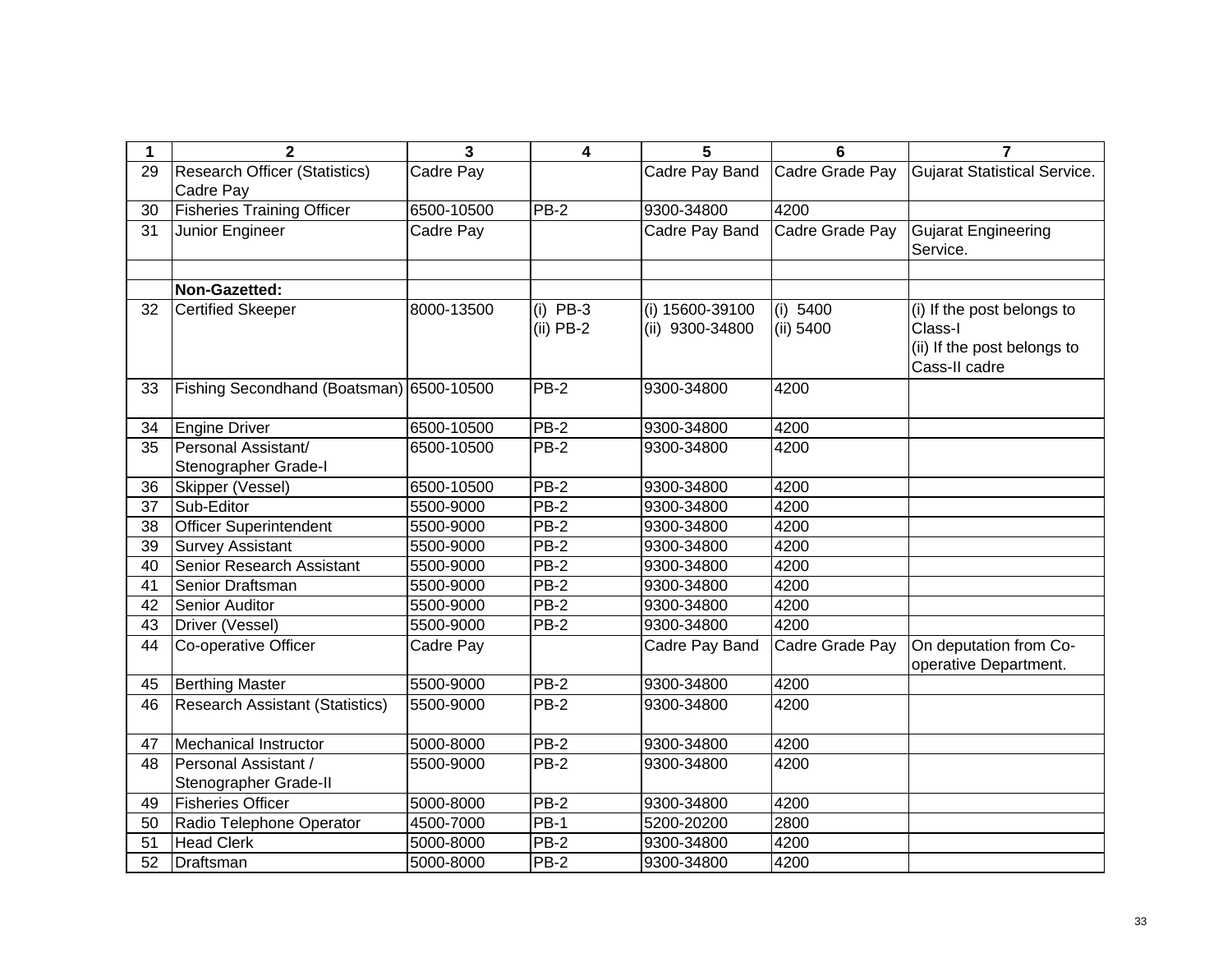| $\mathbf 1$ | $\mathbf{2}$                             | $\overline{3}$ | $\overline{\mathbf{4}}$ | 5               | 6               | $\overline{7}$               |
|-------------|------------------------------------------|----------------|-------------------------|-----------------|-----------------|------------------------------|
| 29          | <b>Research Officer (Statistics)</b>     | Cadre Pay      |                         | Cadre Pay Band  | Cadre Grade Pay | Gujarat Statistical Service. |
|             | Cadre Pay                                |                |                         |                 |                 |                              |
| 30          | <b>Fisheries Training Officer</b>        | 6500-10500     | PB-2                    | 9300-34800      | 4200            |                              |
| 31          | Junior Engineer                          | Cadre Pay      |                         | Cadre Pay Band  | Cadre Grade Pay | Gujarat Engineering          |
|             |                                          |                |                         |                 |                 | Service.                     |
|             |                                          |                |                         |                 |                 |                              |
|             | Non-Gazetted:                            |                |                         |                 |                 |                              |
| 32          | <b>Certified Skeeper</b>                 | 8000-13500     | $(i)$ PB-3              | (i) 15600-39100 | (i) 5400        | (i) If the post belongs to   |
|             |                                          |                | $(ii)$ PB-2             | (ii) 9300-34800 | (ii) 5400       | Class-I                      |
|             |                                          |                |                         |                 |                 | (ii) If the post belongs to  |
|             |                                          |                |                         |                 |                 | Cass-II cadre                |
| 33          | Fishing Secondhand (Boatsman) 6500-10500 |                | <b>PB-2</b>             | 9300-34800      | 4200            |                              |
|             |                                          |                |                         |                 |                 |                              |
| 34          | <b>Engine Driver</b>                     | 6500-10500     | <b>PB-2</b>             | 9300-34800      | 4200            |                              |
| 35          | Personal Assistant/                      | 6500-10500     | <b>PB-2</b>             | 9300-34800      | 4200            |                              |
|             | Stenographer Grade-I                     |                |                         |                 |                 |                              |
| 36          | Skipper (Vessel)                         | 6500-10500     | <b>PB-2</b>             | 9300-34800      | 4200            |                              |
| 37          | Sub-Editor                               | 5500-9000      | $PB-2$                  | 9300-34800      | 4200            |                              |
| 38          | <b>Officer Superintendent</b>            | 5500-9000      | <b>PB-2</b>             | 9300-34800      | 4200            |                              |
| 39          | <b>Survey Assistant</b>                  | 5500-9000      | $PB-2$                  | 9300-34800      | 4200            |                              |
| 40          | Senior Research Assistant                | 5500-9000      | <b>PB-2</b>             | 9300-34800      | 4200            |                              |
| 41          | Senior Draftsman                         | 5500-9000      | $PB-2$                  | 9300-34800      | 4200            |                              |
| 42          | Senior Auditor                           | 5500-9000      | <b>PB-2</b>             | 9300-34800      | 4200            |                              |
| 43          | Driver (Vessel)                          | 5500-9000      | $PB-2$                  | 9300-34800      | 4200            |                              |
| 44          | Co-operative Officer                     | Cadre Pay      |                         | Cadre Pay Band  | Cadre Grade Pay | On deputation from Co-       |
|             |                                          |                |                         |                 |                 | operative Department.        |
| 45          | <b>Berthing Master</b>                   | 5500-9000      | <b>PB-2</b>             | 9300-34800      | 4200            |                              |
| 46          | <b>Research Assistant (Statistics)</b>   | 5500-9000      | <b>PB-2</b>             | 9300-34800      | 4200            |                              |
| 47          | Mechanical Instructor                    | 5000-8000      | PB-2                    | 9300-34800      | 4200            |                              |
| 48          | Personal Assistant /                     | 5500-9000      | $PB-2$                  | 9300-34800      | 4200            |                              |
|             | Stenographer Grade-II                    |                |                         |                 |                 |                              |
| 49          | <b>Fisheries Officer</b>                 | 5000-8000      | $PB-2$                  | 9300-34800      | 4200            |                              |
| 50          | Radio Telephone Operator                 | 4500-7000      | $PB-1$                  | 5200-20200      | 2800            |                              |
| 51          | <b>Head Clerk</b>                        | 5000-8000      | $PB-2$                  | 9300-34800      | 4200            |                              |
| 52          | Draftsman                                | 5000-8000      | PB-2                    | 9300-34800      | 4200            |                              |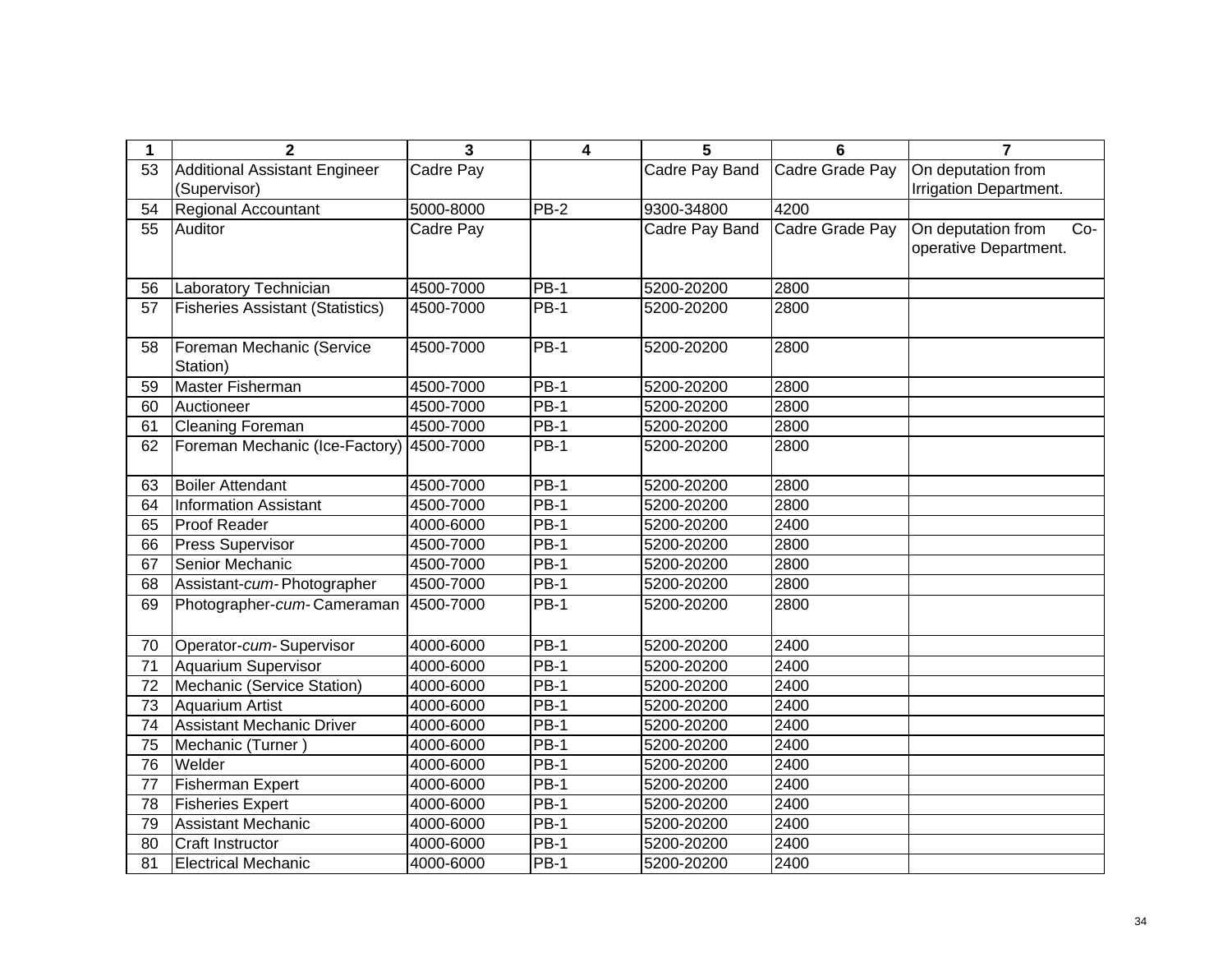| 1               | $\mathbf 2$                             | 3         | 4                  | 5              | 6               | $\overline{7}$              |
|-----------------|-----------------------------------------|-----------|--------------------|----------------|-----------------|-----------------------------|
| 53              | <b>Additional Assistant Engineer</b>    | Cadre Pay |                    | Cadre Pay Band | Cadre Grade Pay | On deputation from          |
|                 | (Supervisor)                            |           |                    |                |                 | Irrigation Department.      |
| 54              | <b>Regional Accountant</b>              | 5000-8000 | PB-2               | 9300-34800     | 4200            |                             |
| 55              | Auditor                                 | Cadre Pay |                    | Cadre Pay Band | Cadre Grade Pay | On deputation from<br>$Co-$ |
|                 |                                         |           |                    |                |                 | operative Department.       |
|                 |                                         |           |                    |                |                 |                             |
| 56              | Laboratory Technician                   | 4500-7000 | <b>PB-1</b>        | 5200-20200     | 2800            |                             |
| 57              | <b>Fisheries Assistant (Statistics)</b> | 4500-7000 | $PB-1$             | 5200-20200     | 2800            |                             |
|                 |                                         |           |                    |                |                 |                             |
| 58              | Foreman Mechanic (Service               | 4500-7000 | $PB-1$             | 5200-20200     | 2800            |                             |
|                 | Station)                                |           |                    |                |                 |                             |
| 59              | <b>Master Fisherman</b>                 | 4500-7000 | $PB-1$             | 5200-20200     | 2800            |                             |
| 60              | Auctioneer                              | 4500-7000 | $PB-1$             | 5200-20200     | 2800            |                             |
| 61              | <b>Cleaning Foreman</b>                 | 4500-7000 | $PB-1$             | 5200-20200     | 2800            |                             |
| 62              | Foreman Mechanic (Ice-Factory)          | 4500-7000 | <b>PB-1</b>        | 5200-20200     | 2800            |                             |
|                 |                                         |           |                    |                |                 |                             |
| 63              | <b>Boiler Attendant</b>                 | 4500-7000 | <b>PB-1</b>        | 5200-20200     | 2800            |                             |
| 64              | <b>Information Assistant</b>            | 4500-7000 | $PB-1$             | 5200-20200     | 2800            |                             |
| 65              | Proof Reader                            | 4000-6000 | $PB-1$             | 5200-20200     | 2400            |                             |
| 66              | Press Supervisor                        | 4500-7000 | <b>PB-1</b>        | 5200-20200     | 2800            |                             |
| 67              | Senior Mechanic                         | 4500-7000 | <b>PB-1</b>        | 5200-20200     | 2800            |                             |
| 68              | Assistant-cum-Photographer              | 4500-7000 | <b>PB-1</b>        | 5200-20200     | 2800            |                             |
| 69              | Photographer-cum-Cameraman              | 4500-7000 | $PB-1$             | 5200-20200     | 2800            |                             |
|                 |                                         |           |                    |                |                 |                             |
| 70              | Operator-cum-Supervisor                 | 4000-6000 | $\overline{PB}$ -1 | 5200-20200     | 2400            |                             |
| $\overline{71}$ | <b>Aquarium Supervisor</b>              | 4000-6000 | $\overline{PB}$ -1 | 5200-20200     | 2400            |                             |
| 72              | Mechanic (Service Station)              | 4000-6000 | <b>PB-1</b>        | 5200-20200     | 2400            |                             |
| $\overline{73}$ | <b>Aquarium Artist</b>                  | 4000-6000 | $PB-1$             | 5200-20200     | 2400            |                             |
| 74              | <b>Assistant Mechanic Driver</b>        | 4000-6000 | <b>PB-1</b>        | 5200-20200     | 2400            |                             |
| 75              | Mechanic (Turner)                       | 4000-6000 | $PB-1$             | 5200-20200     | 2400            |                             |
| 76              | Welder                                  | 4000-6000 | $PB-1$             | 5200-20200     | 2400            |                             |
| 77              | <b>Fisherman Expert</b>                 | 4000-6000 | <b>PB-1</b>        | 5200-20200     | 2400            |                             |
| 78              | <b>Fisheries Expert</b>                 | 4000-6000 | <b>PB-1</b>        | 5200-20200     | 2400            |                             |
| 79              | <b>Assistant Mechanic</b>               | 4000-6000 | $PB-1$             | 5200-20200     | 2400            |                             |
| 80              | Craft Instructor                        | 4000-6000 | $\overline{PB-1}$  | 5200-20200     | 2400            |                             |
| 81              | <b>Electrical Mechanic</b>              | 4000-6000 | <b>PB-1</b>        | 5200-20200     | 2400            |                             |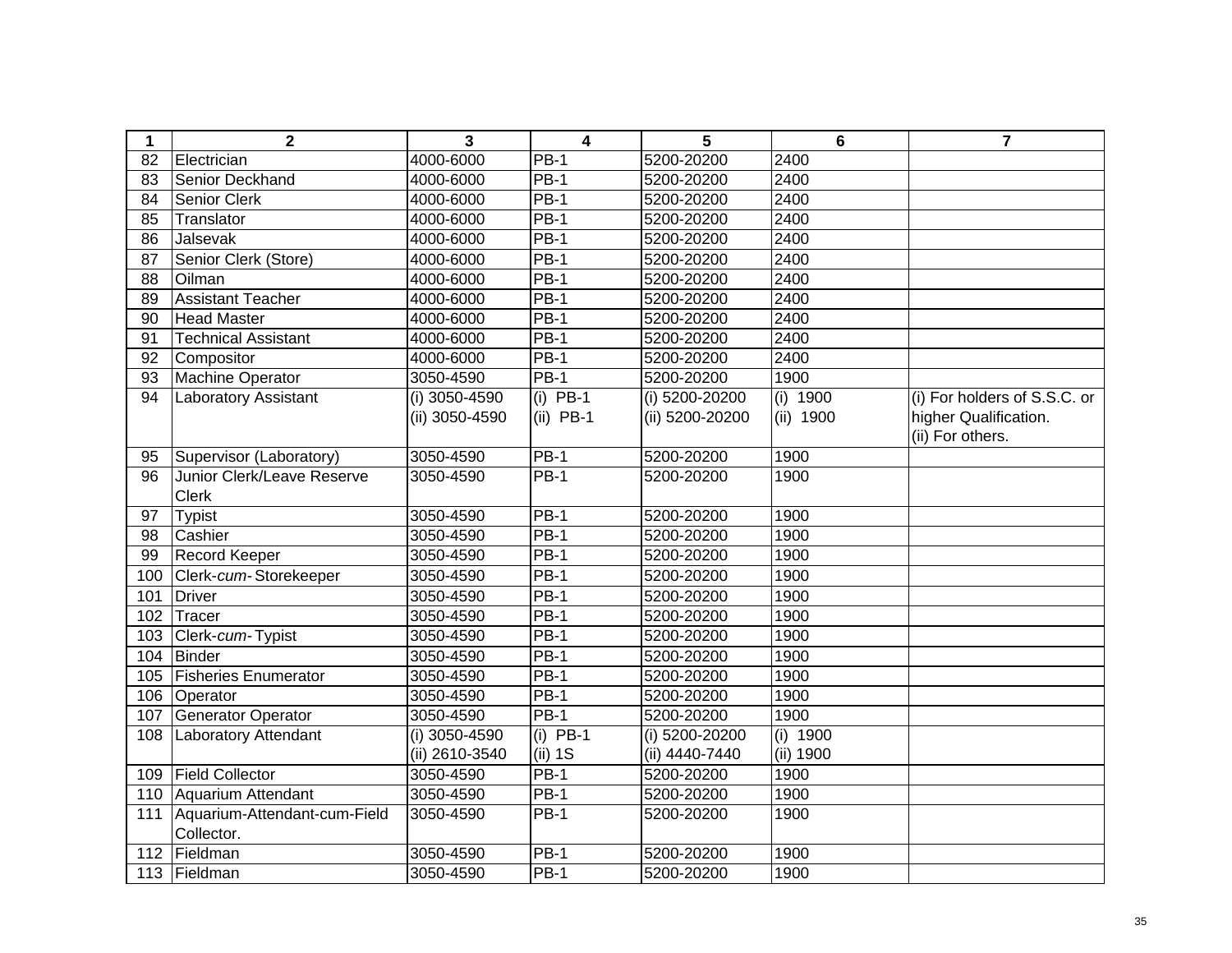| $\mathbf 1$ | $\mathbf{2}$                 | 3               | 4           | 5               | 6         | $\overline{7}$               |
|-------------|------------------------------|-----------------|-------------|-----------------|-----------|------------------------------|
| 82          | Electrician                  | 4000-6000       | $PB-1$      | 5200-20200      | 2400      |                              |
| 83          | Senior Deckhand              | 4000-6000       | <b>PB-1</b> | 5200-20200      | 2400      |                              |
| 84          | <b>Senior Clerk</b>          | 4000-6000       | $PB-1$      | 5200-20200      | 2400      |                              |
| 85          | Translator                   | 4000-6000       | <b>PB-1</b> | 5200-20200      | 2400      |                              |
| 86          | Jalsevak                     | 4000-6000       | <b>PB-1</b> | 5200-20200      | 2400      |                              |
| 87          | Senior Clerk (Store)         | 4000-6000       | $PB-1$      | 5200-20200      | 2400      |                              |
| 88          | Oilman                       | 4000-6000       | $PB-1$      | 5200-20200      | 2400      |                              |
| 89          | <b>Assistant Teacher</b>     | 4000-6000       | $PB-1$      | 5200-20200      | 2400      |                              |
| 90          | <b>Head Master</b>           | 4000-6000       | $PB-1$      | 5200-20200      | 2400      |                              |
| 91          | <b>Technical Assistant</b>   | 4000-6000       | $PB-1$      | 5200-20200      | 2400      |                              |
| 92          | Compositor                   | 4000-6000       | <b>PB-1</b> | 5200-20200      | 2400      |                              |
| 93          | <b>Machine Operator</b>      | 3050-4590       | <b>PB-1</b> | 5200-20200      | 1900      |                              |
| 94          | <b>Laboratory Assistant</b>  | (i) 3050-4590   | $(i)$ PB-1  | (i) 5200-20200  | (i) 1900  | (i) For holders of S.S.C. or |
|             |                              | (ii) 3050-4590  | $(ii)$ PB-1 | (ii) 5200-20200 | (ii) 1900 | higher Qualification.        |
|             |                              |                 |             |                 |           | (ii) For others.             |
| 95          | Supervisor (Laboratory)      | 3050-4590       | <b>PB-1</b> | 5200-20200      | 1900      |                              |
| 96          | Junior Clerk/Leave Reserve   | 3050-4590       | <b>PB-1</b> | 5200-20200      | 1900      |                              |
|             | <b>Clerk</b>                 |                 |             |                 |           |                              |
| 97          | <b>Typist</b>                | 3050-4590       | <b>PB-1</b> | 5200-20200      | 1900      |                              |
| 98          | Cashier                      | 3050-4590       | <b>PB-1</b> | 5200-20200      | 1900      |                              |
| 99          | <b>Record Keeper</b>         | 3050-4590       | <b>PB-1</b> | 5200-20200      | 1900      |                              |
| 100         | Clerk-cum-Storekeeper        | 3050-4590       | <b>PB-1</b> | 5200-20200      | 1900      |                              |
| 101         | <b>Driver</b>                | 3050-4590       | <b>PB-1</b> | 5200-20200      | 1900      |                              |
| 102         | Tracer                       | 3050-4590       | <b>PB-1</b> | 5200-20200      | 1900      |                              |
| 103         | Clerk-cum-Typist             | 3050-4590       | <b>PB-1</b> | 5200-20200      | 1900      |                              |
| 104         | <b>Binder</b>                | 3050-4590       | <b>PB-1</b> | 5200-20200      | 1900      |                              |
| 105         | <b>Fisheries Enumerator</b>  | 3050-4590       | <b>PB-1</b> | 5200-20200      | 1900      |                              |
| 106         | Operator                     | 3050-4590       | $PB-1$      | 5200-20200      | 1900      |                              |
| 107         | <b>Generator Operator</b>    | 3050-4590       | <b>PB-1</b> | 5200-20200      | 1900      |                              |
| 108         | Laboratory Attendant         | $(i)$ 3050-4590 | $(i)$ PB-1  | (i) 5200-20200  | (i) 1900  |                              |
|             |                              | (ii) 2610-3540  | (ii) 1S     | (ii) 4440-7440  | (ii) 1900 |                              |
| 109         | <b>Field Collector</b>       | 3050-4590       | $PB-1$      | 5200-20200      | 1900      |                              |
|             | 110 Aquarium Attendant       | 3050-4590       | <b>PB-1</b> | 5200-20200      | 1900      |                              |
| 111         | Aquarium-Attendant-cum-Field | 3050-4590       | <b>PB-1</b> | 5200-20200      | 1900      |                              |
|             | Collector.                   |                 |             |                 |           |                              |
| 112         | Fieldman                     | 3050-4590       | <b>PB-1</b> | 5200-20200      | 1900      |                              |
|             | 113 Fieldman                 | 3050-4590       | PB-1        | 5200-20200      | 1900      |                              |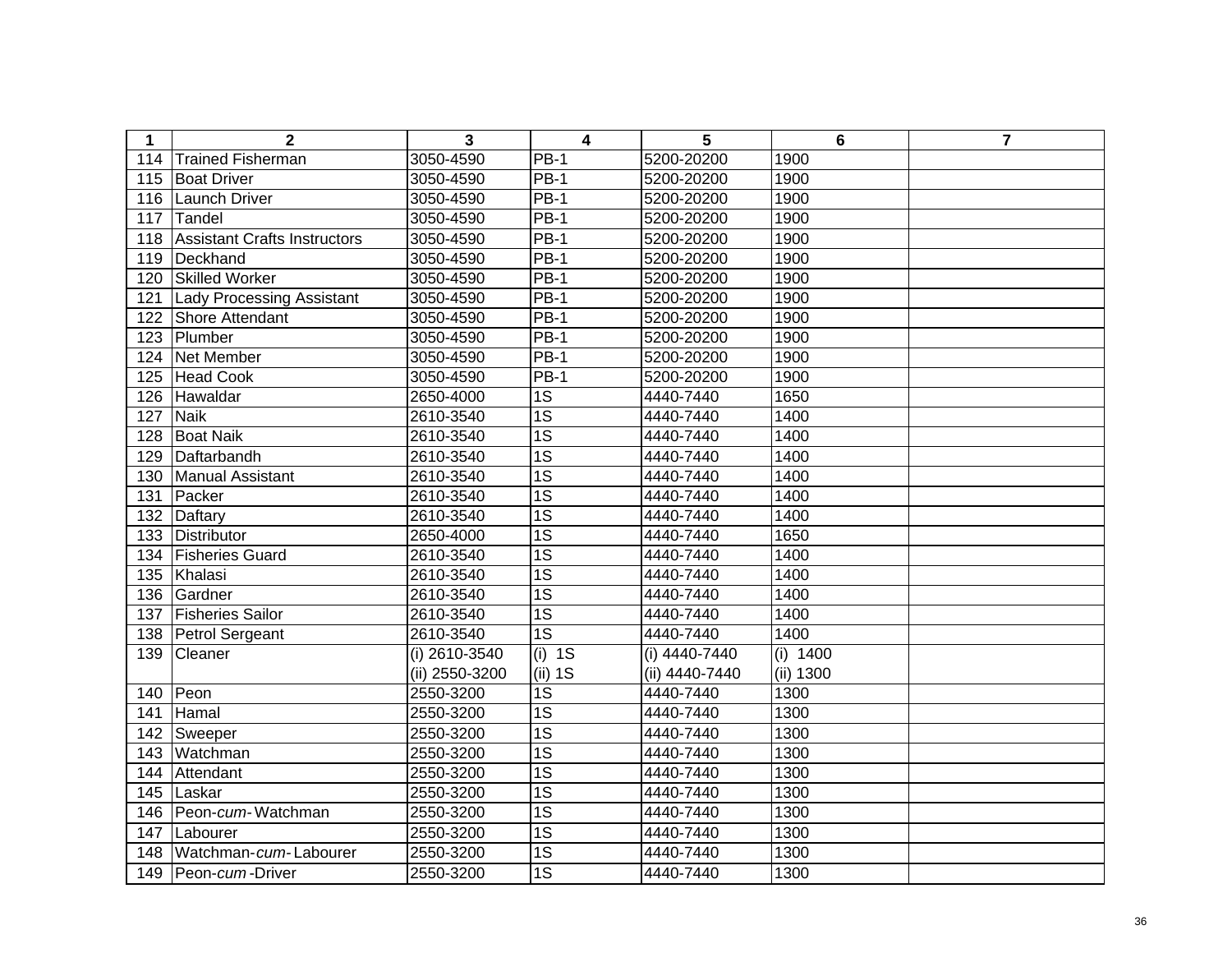| $\mathbf 1$ | $\overline{2}$                      | 3              | 4               | 5              | 6          | $\overline{7}$ |
|-------------|-------------------------------------|----------------|-----------------|----------------|------------|----------------|
| 114         | <b>Trained Fisherman</b>            | 3050-4590      | $PB-1$          | 5200-20200     | 1900       |                |
| 115         | <b>Boat Driver</b>                  | 3050-4590      | $PB-1$          | 5200-20200     | 1900       |                |
| 116         | Launch Driver                       | 3050-4590      | $PB-1$          | 5200-20200     | 1900       |                |
| 117         | Tandel                              | 3050-4590      | <b>PB-1</b>     | 5200-20200     | 1900       |                |
| 118         | <b>Assistant Crafts Instructors</b> | 3050-4590      | $PB-1$          | 5200-20200     | 1900       |                |
| 119         | Deckhand                            | 3050-4590      | <b>PB-1</b>     | 5200-20200     | 1900       |                |
| 120         | <b>Skilled Worker</b>               | 3050-4590      | $PB-1$          | 5200-20200     | 1900       |                |
| 121         | <b>Lady Processing Assistant</b>    | 3050-4590      | <b>PB-1</b>     | 5200-20200     | 1900       |                |
| 122         | Shore Attendant                     | 3050-4590      | <b>PB-1</b>     | 5200-20200     | 1900       |                |
| 123         | Plumber                             | 3050-4590      | $PB-1$          | 5200-20200     | 1900       |                |
| 124         | Net Member                          | 3050-4590      | <b>PB-1</b>     | 5200-20200     | 1900       |                |
| 125         | <b>Head Cook</b>                    | 3050-4590      | <b>PB-1</b>     | 5200-20200     | 1900       |                |
| 126         | Hawaldar                            | 2650-4000      | 1S              | 4440-7440      | 1650       |                |
| 127         | <b>Naik</b>                         | 2610-3540      | $\overline{1S}$ | 4440-7440      | 1400       |                |
| 128         | <b>Boat Naik</b>                    | 2610-3540      | $\overline{1S}$ | 4440-7440      | 1400       |                |
| 129         | Daftarbandh                         | 2610-3540      | $\overline{1S}$ | 4440-7440      | 1400       |                |
| 130         | Manual Assistant                    | 2610-3540      | 1S              | 4440-7440      | 1400       |                |
| 131         | Packer                              | 2610-3540      | $\overline{1S}$ | 4440-7440      | 1400       |                |
| 132         | Daftary                             | 2610-3540      | $\overline{1S}$ | 4440-7440      | 1400       |                |
| 133         | Distributor                         | 2650-4000      | $\overline{1S}$ | 4440-7440      | 1650       |                |
| 134         | <b>Fisheries Guard</b>              | 2610-3540      | $\overline{1S}$ | 4440-7440      | 1400       |                |
| 135         | Khalasi                             | 2610-3540      | $\overline{1S}$ | 4440-7440      | 1400       |                |
| 136         | Gardner                             | 2610-3540      | $\overline{1S}$ | 4440-7440      | 1400       |                |
| 137         | <b>Fisheries Sailor</b>             | 2610-3540      | $\overline{1S}$ | 4440-7440      | 1400       |                |
| 138         | Petrol Sergeant                     | 2610-3540      | $\overline{1S}$ | 4440-7440      | 1400       |                |
| 139         | Cleaner                             | (i) 2610-3540  | $(i)$ 1S        | (i) 4440-7440  | $(i)$ 1400 |                |
|             |                                     | (ii) 2550-3200 | (ii) 1S         | (ii) 4440-7440 | (ii) 1300  |                |
| 140         | Peon                                | 2550-3200      | $\overline{1S}$ | 4440-7440      | 1300       |                |
| 141         | Hamal                               | 2550-3200      | $\overline{1S}$ | 4440-7440      | 1300       |                |
| 142         | Sweeper                             | 2550-3200      | $\overline{1S}$ | 4440-7440      | 1300       |                |
| 143         | Watchman                            | 2550-3200      | $\overline{1S}$ | 4440-7440      | 1300       |                |
| 144         | Attendant                           | 2550-3200      | $\overline{1S}$ | 4440-7440      | 1300       |                |
| 145         | Laskar                              | 2550-3200      | $\overline{1S}$ | 4440-7440      | 1300       |                |
| 146         | Peon-cum-Watchman                   | 2550-3200      | $\overline{1S}$ | 4440-7440      | 1300       |                |
| 147         | Labourer                            | 2550-3200      | $\overline{1S}$ | 4440-7440      | 1300       |                |
| 148         | Watchman-cum-Labourer               | 2550-3200      | $\overline{1S}$ | 4440-7440      | 1300       |                |
|             | 149   Peon-cum-Driver               | 2550-3200      | $\overline{1S}$ | 4440-7440      | 1300       |                |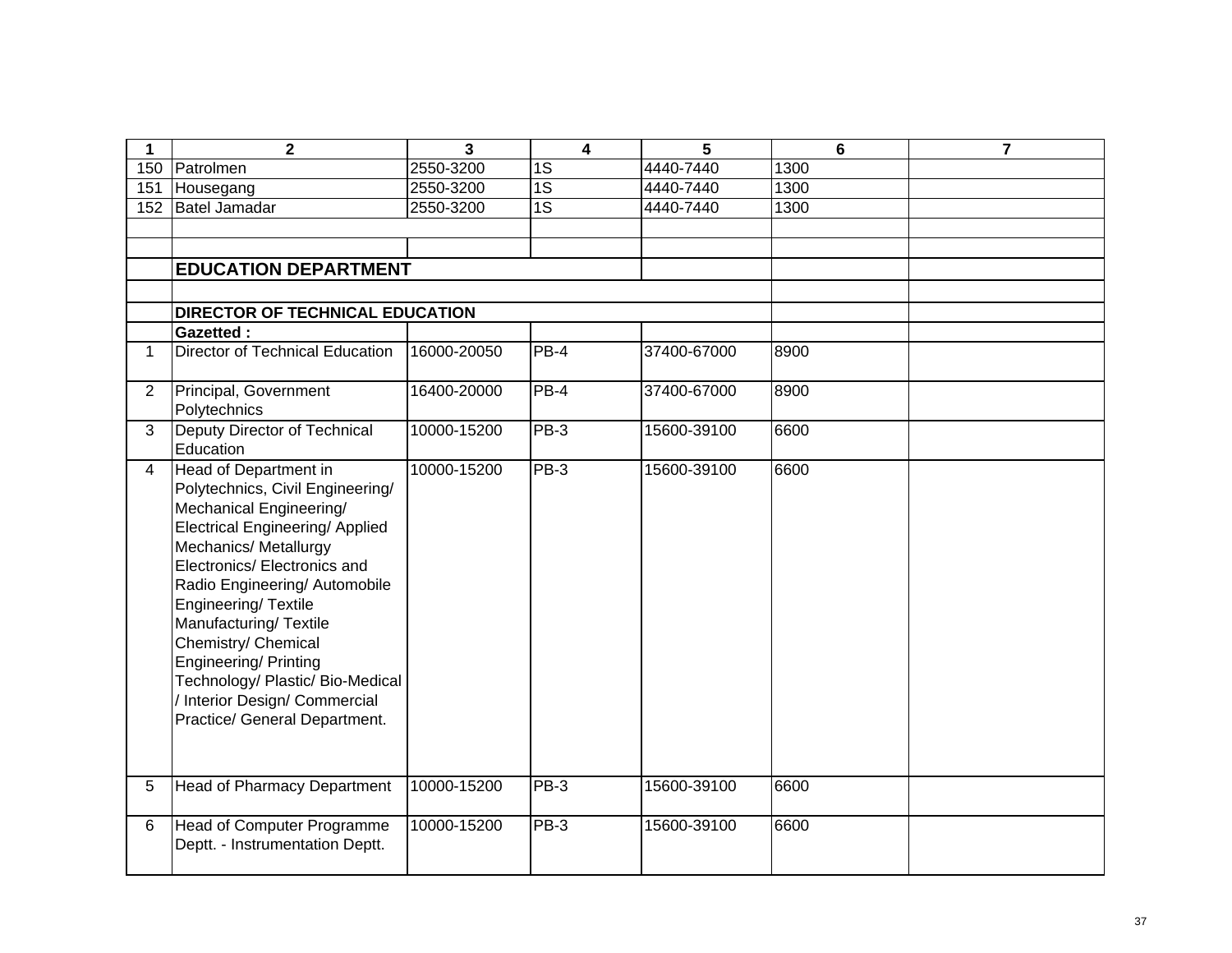| 1              | $\overline{2}$                                                                                                                                                                                                                                                                                                                                                                                                                        | 3           | $\overline{\mathbf{4}}$ | 5           | 6    | $\overline{7}$ |
|----------------|---------------------------------------------------------------------------------------------------------------------------------------------------------------------------------------------------------------------------------------------------------------------------------------------------------------------------------------------------------------------------------------------------------------------------------------|-------------|-------------------------|-------------|------|----------------|
| 150            | Patrolmen                                                                                                                                                                                                                                                                                                                                                                                                                             | 2550-3200   | 1S                      | 4440-7440   | 1300 |                |
| 151            | Housegang                                                                                                                                                                                                                                                                                                                                                                                                                             | 2550-3200   | 1S                      | 4440-7440   | 1300 |                |
| 152            | Batel Jamadar                                                                                                                                                                                                                                                                                                                                                                                                                         | 2550-3200   | $\overline{1S}$         | 4440-7440   | 1300 |                |
|                |                                                                                                                                                                                                                                                                                                                                                                                                                                       |             |                         |             |      |                |
|                |                                                                                                                                                                                                                                                                                                                                                                                                                                       |             |                         |             |      |                |
|                | <b>EDUCATION DEPARTMENT</b>                                                                                                                                                                                                                                                                                                                                                                                                           |             |                         |             |      |                |
|                |                                                                                                                                                                                                                                                                                                                                                                                                                                       |             |                         |             |      |                |
|                | <b>DIRECTOR OF TECHNICAL EDUCATION</b>                                                                                                                                                                                                                                                                                                                                                                                                |             |                         |             |      |                |
|                | <b>Gazetted:</b>                                                                                                                                                                                                                                                                                                                                                                                                                      |             |                         |             |      |                |
| $\mathbf{1}$   | Director of Technical Education                                                                                                                                                                                                                                                                                                                                                                                                       | 16000-20050 | $PB-4$                  | 37400-67000 | 8900 |                |
| $\overline{2}$ | Principal, Government<br>Polytechnics                                                                                                                                                                                                                                                                                                                                                                                                 | 16400-20000 | $PB-4$                  | 37400-67000 | 8900 |                |
| $\overline{3}$ | Deputy Director of Technical<br>Education                                                                                                                                                                                                                                                                                                                                                                                             | 10000-15200 | $PB-3$                  | 15600-39100 | 6600 |                |
| $\overline{4}$ | Head of Department in<br>Polytechnics, Civil Engineering/<br>Mechanical Engineering/<br><b>Electrical Engineering/ Applied</b><br>Mechanics/ Metallurgy<br>Electronics/ Electronics and<br>Radio Engineering/ Automobile<br>Engineering/Textile<br>Manufacturing/Textile<br>Chemistry/ Chemical<br><b>Engineering/ Printing</b><br>Technology/ Plastic/ Bio-Medical<br>/ Interior Design/ Commercial<br>Practice/ General Department. | 10000-15200 | $PB-3$                  | 15600-39100 | 6600 |                |
| 5              | <b>Head of Pharmacy Department</b>                                                                                                                                                                                                                                                                                                                                                                                                    | 10000-15200 | $PB-3$                  | 15600-39100 | 6600 |                |
| 6              | Head of Computer Programme<br>Deptt. - Instrumentation Deptt.                                                                                                                                                                                                                                                                                                                                                                         | 10000-15200 | $PB-3$                  | 15600-39100 | 6600 |                |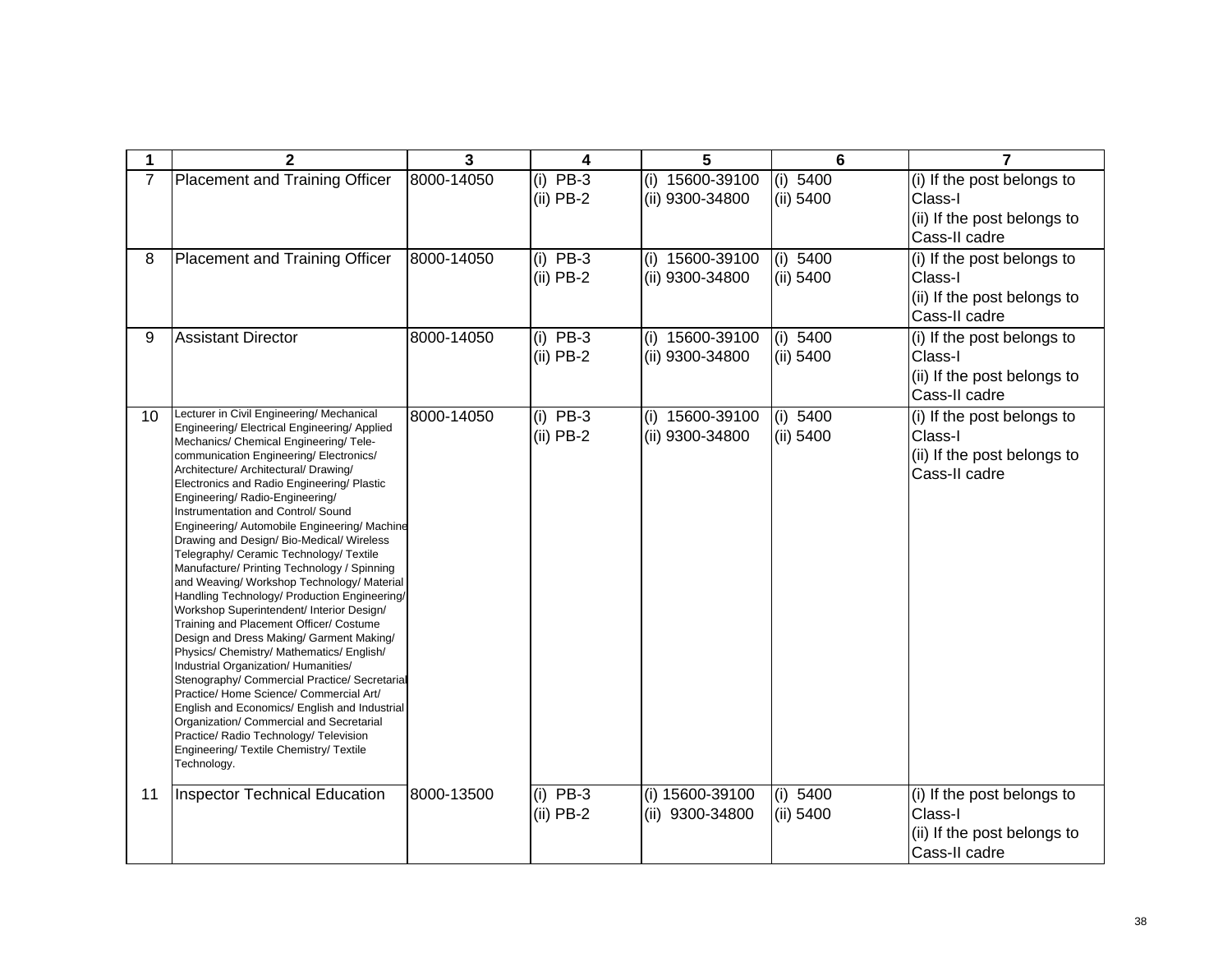| 1  | $\mathbf{2}$                                                                                                                                                                                                                                                                                                                                                                                                                                                                                                                                                                                                                                                                                                                                                                                                                                                                                                                                                                                                                                                                                                                                            | 3          | 4                         | 5                                    | 6                     | $\overline{7}$                                                                        |
|----|---------------------------------------------------------------------------------------------------------------------------------------------------------------------------------------------------------------------------------------------------------------------------------------------------------------------------------------------------------------------------------------------------------------------------------------------------------------------------------------------------------------------------------------------------------------------------------------------------------------------------------------------------------------------------------------------------------------------------------------------------------------------------------------------------------------------------------------------------------------------------------------------------------------------------------------------------------------------------------------------------------------------------------------------------------------------------------------------------------------------------------------------------------|------------|---------------------------|--------------------------------------|-----------------------|---------------------------------------------------------------------------------------|
| 7  | Placement and Training Officer                                                                                                                                                                                                                                                                                                                                                                                                                                                                                                                                                                                                                                                                                                                                                                                                                                                                                                                                                                                                                                                                                                                          | 8000-14050 | $(i)$ PB-3<br>$(ii)$ PB-2 | (i) 15600-39100<br>(ii) 9300-34800   | (i) 5400<br>(ii) 5400 | (i) If the post belongs to<br>Class-I<br>(ii) If the post belongs to<br>Cass-II cadre |
| 8  | Placement and Training Officer                                                                                                                                                                                                                                                                                                                                                                                                                                                                                                                                                                                                                                                                                                                                                                                                                                                                                                                                                                                                                                                                                                                          | 8000-14050 | $(i)$ PB-3<br>$(ii)$ PB-2 | $(i)$ 15600-39100<br>(ii) 9300-34800 | (i) 5400<br>(ii) 5400 | (i) If the post belongs to<br>Class-I<br>(ii) If the post belongs to<br>Cass-II cadre |
| 9  | <b>Assistant Director</b>                                                                                                                                                                                                                                                                                                                                                                                                                                                                                                                                                                                                                                                                                                                                                                                                                                                                                                                                                                                                                                                                                                                               | 8000-14050 | $(i)$ PB-3<br>$(ii)$ PB-2 | (i) 15600-39100<br>(ii) 9300-34800   | (i) 5400<br>(ii) 5400 | (i) If the post belongs to<br>Class-I<br>(ii) If the post belongs to<br>Cass-II cadre |
| 10 | Lecturer in Civil Engineering/ Mechanical<br>Engineering/ Electrical Engineering/ Applied<br>Mechanics/ Chemical Engineering/ Tele-<br>communication Engineering/Electronics/<br>Architecture/ Architectural/ Drawing/<br>Electronics and Radio Engineering/ Plastic<br>Engineering/Radio-Engineering/<br>Instrumentation and Control/ Sound<br>Engineering/ Automobile Engineering/ Machine<br>Drawing and Design/ Bio-Medical/ Wireless<br>Telegraphy/ Ceramic Technology/ Textile<br>Manufacture/ Printing Technology / Spinning<br>and Weaving/ Workshop Technology/ Material<br>Handling Technology/ Production Engineering/<br>Workshop Superintendent/ Interior Design/<br>Training and Placement Officer/ Costume<br>Design and Dress Making/ Garment Making/<br>Physics/ Chemistry/ Mathematics/ English/<br>Industrial Organization/ Humanities/<br>Stenography/ Commercial Practice/ Secretarial<br>Practice/ Home Science/ Commercial Art/<br>English and Economics/ English and Industrial<br>Organization/ Commercial and Secretarial<br>Practice/ Radio Technology/ Television<br>Engineering/ Textile Chemistry/ Textile<br>Technology. | 8000-14050 | $(i)$ PB-3<br>$(ii)$ PB-2 | (i) 15600-39100<br>(ii) 9300-34800   | (i) 5400<br>(ii) 5400 | (i) If the post belongs to<br>Class-I<br>(ii) If the post belongs to<br>Cass-II cadre |
| 11 | <b>Inspector Technical Education</b>                                                                                                                                                                                                                                                                                                                                                                                                                                                                                                                                                                                                                                                                                                                                                                                                                                                                                                                                                                                                                                                                                                                    | 8000-13500 | $(i)$ PB-3<br>$(ii)$ PB-2 | (i) 15600-39100<br>(ii) 9300-34800   | (i) 5400<br>(ii) 5400 | (i) If the post belongs to<br>Class-I<br>(ii) If the post belongs to<br>Cass-II cadre |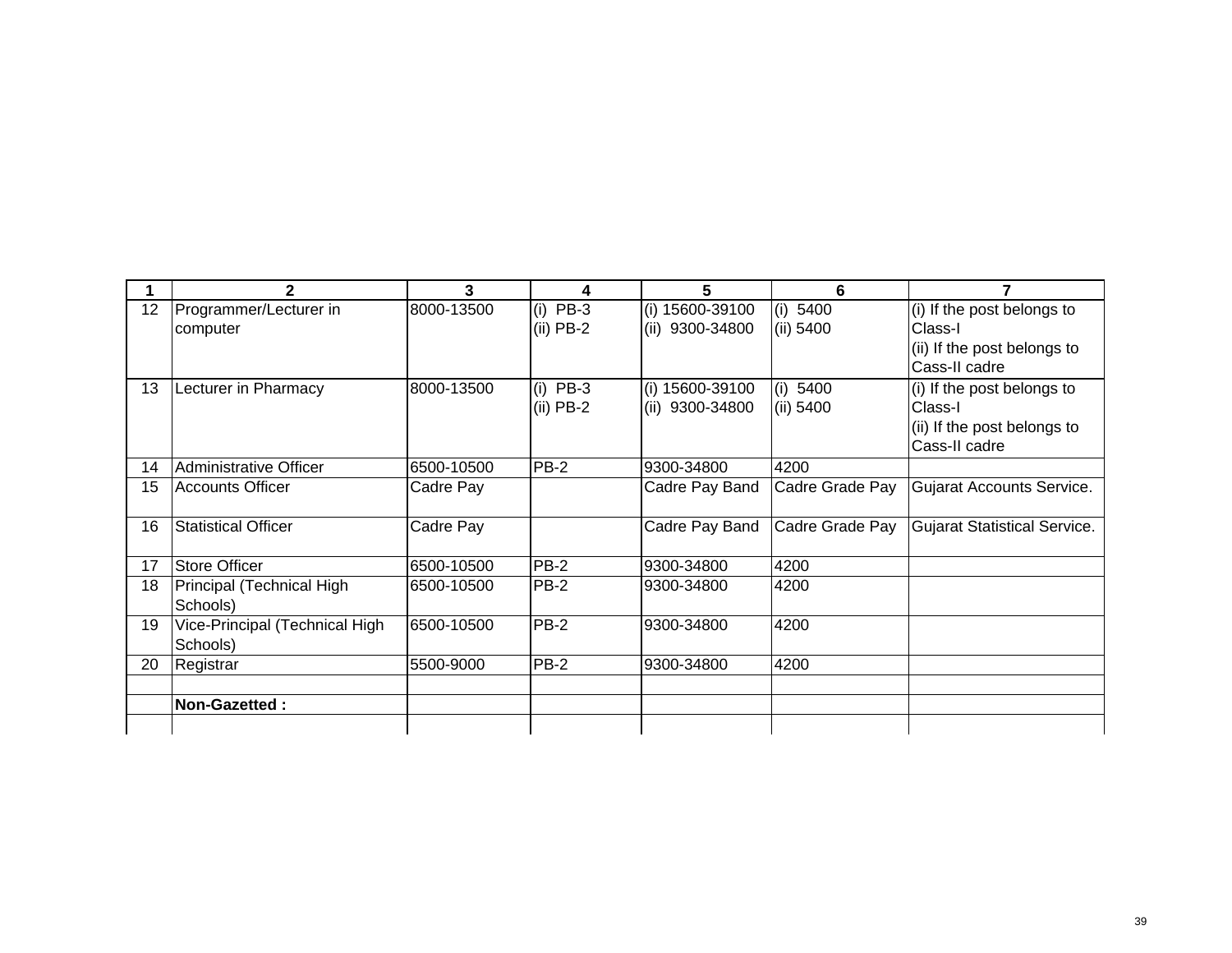|    | 2                              | 3          | 4           | 5               | 6               |                                     |
|----|--------------------------------|------------|-------------|-----------------|-----------------|-------------------------------------|
| 12 | Programmer/Lecturer in         | 8000-13500 | $(i)$ PB-3  | (i) 15600-39100 | (i) 5400        | (i) If the post belongs to          |
|    | computer                       |            | $(ii)$ PB-2 | (ii) 9300-34800 | (ii) 5400       | Class-I                             |
|    |                                |            |             |                 |                 | (ii) If the post belongs to         |
|    |                                |            |             |                 |                 | Cass-II cadre                       |
| 13 | Lecturer in Pharmacy           | 8000-13500 | $(i)$ PB-3  | (i) 15600-39100 | (i) 5400        | (i) If the post belongs to          |
|    |                                |            | $(ii)$ PB-2 | (ii) 9300-34800 | (ii) 5400       | Class-I                             |
|    |                                |            |             |                 |                 | (ii) If the post belongs to         |
|    |                                |            |             |                 |                 | Cass-II cadre                       |
| 14 | Administrative Officer         | 6500-10500 | <b>PB-2</b> | 9300-34800      | 4200            |                                     |
| 15 | <b>Accounts Officer</b>        | Cadre Pay  |             | Cadre Pay Band  | Cadre Grade Pay | Gujarat Accounts Service.           |
|    |                                |            |             |                 |                 |                                     |
| 16 | <b>Statistical Officer</b>     | Cadre Pay  |             | Cadre Pay Band  | Cadre Grade Pay | <b>Gujarat Statistical Service.</b> |
|    |                                |            |             |                 |                 |                                     |
| 17 | <b>Store Officer</b>           | 6500-10500 | <b>PB-2</b> | 9300-34800      | 4200            |                                     |
| 18 | Principal (Technical High      | 6500-10500 | <b>PB-2</b> | 9300-34800      | 4200            |                                     |
|    | Schools)                       |            |             |                 |                 |                                     |
| 19 | Vice-Principal (Technical High | 6500-10500 | $PB-2$      | 9300-34800      | 4200            |                                     |
|    | Schools)                       |            |             |                 |                 |                                     |
| 20 | Registrar                      | 5500-9000  | <b>PB-2</b> | 9300-34800      | 4200            |                                     |
|    |                                |            |             |                 |                 |                                     |
|    | Non-Gazetted:                  |            |             |                 |                 |                                     |
|    |                                |            |             |                 |                 |                                     |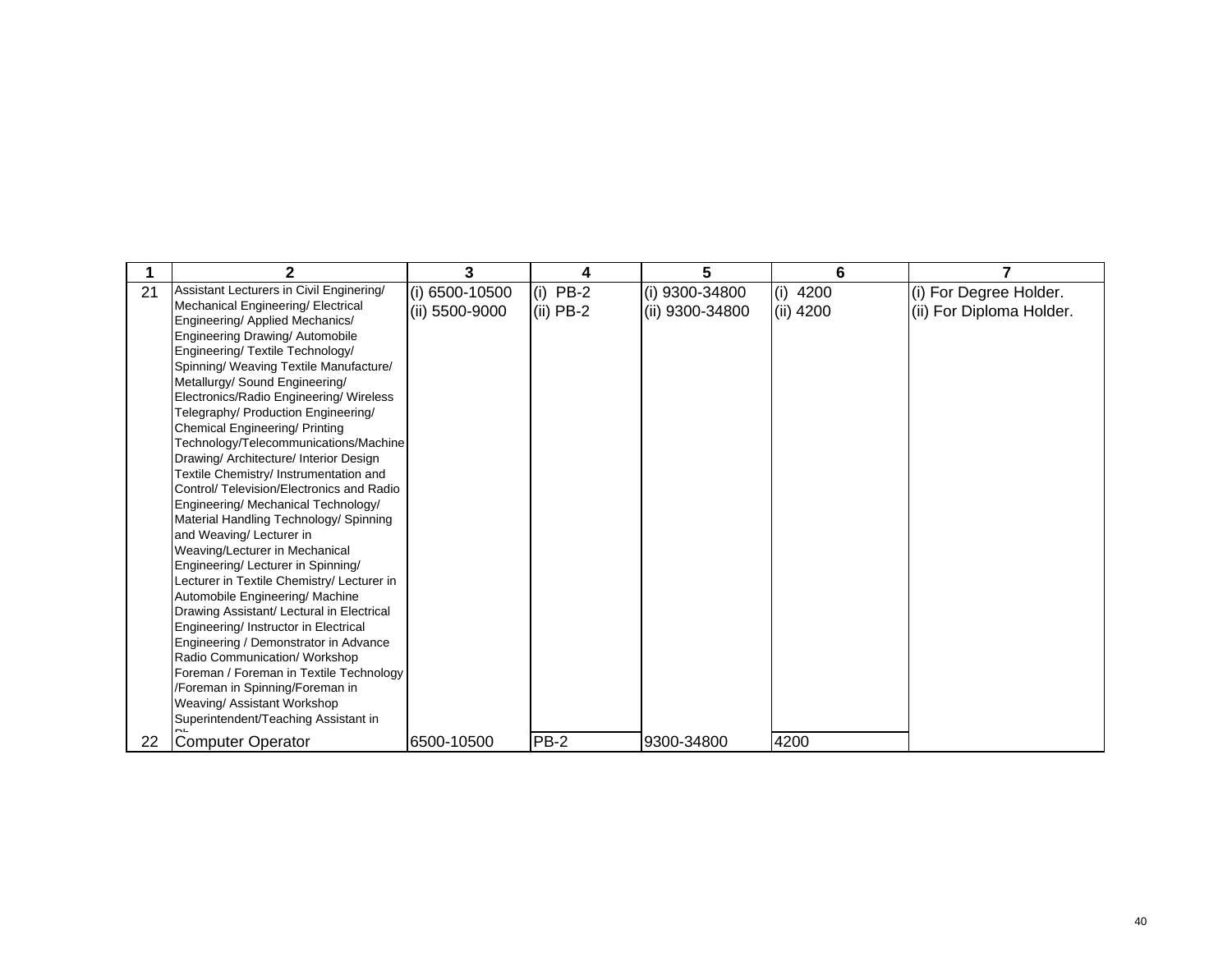|    | 2                                          | 3              | 4           | 5               | 6           |                          |
|----|--------------------------------------------|----------------|-------------|-----------------|-------------|--------------------------|
| 21 | Assistant Lecturers in Civil Enginering/   | (i) 6500-10500 | $(i)$ PB-2  | (i) 9300-34800  | 4200<br>(i) | (i) For Degree Holder.   |
|    | Mechanical Engineering/ Electrical         | (ii) 5500-9000 | $(ii)$ PB-2 | (ii) 9300-34800 | (ii) 4200   | (ii) For Diploma Holder. |
|    | Engineering/ Applied Mechanics/            |                |             |                 |             |                          |
|    | Engineering Drawing/ Automobile            |                |             |                 |             |                          |
|    | Engineering/ Textile Technology/           |                |             |                 |             |                          |
|    | Spinning/ Weaving Textile Manufacture/     |                |             |                 |             |                          |
|    | Metallurgy/ Sound Engineering/             |                |             |                 |             |                          |
|    | Electronics/Radio Engineering/ Wireless    |                |             |                 |             |                          |
|    | Telegraphy/ Production Engineering/        |                |             |                 |             |                          |
|    | Chemical Engineering/ Printing             |                |             |                 |             |                          |
|    | Technology/Telecommunications/Machine      |                |             |                 |             |                          |
|    | Drawing/ Architecture/ Interior Design     |                |             |                 |             |                          |
|    | Textile Chemistry/ Instrumentation and     |                |             |                 |             |                          |
|    | Control/ Television/Electronics and Radio  |                |             |                 |             |                          |
|    | Engineering/ Mechanical Technology/        |                |             |                 |             |                          |
|    | Material Handling Technology/ Spinning     |                |             |                 |             |                          |
|    | and Weaving/ Lecturer in                   |                |             |                 |             |                          |
|    | Weaving/Lecturer in Mechanical             |                |             |                 |             |                          |
|    | Engineering/ Lecturer in Spinning/         |                |             |                 |             |                          |
|    | Lecturer in Textile Chemistry/ Lecturer in |                |             |                 |             |                          |
|    | Automobile Engineering/ Machine            |                |             |                 |             |                          |
|    | Drawing Assistant/ Lectural in Electrical  |                |             |                 |             |                          |
|    | Engineering/ Instructor in Electrical      |                |             |                 |             |                          |
|    | Engineering / Demonstrator in Advance      |                |             |                 |             |                          |
|    | Radio Communication/ Workshop              |                |             |                 |             |                          |
|    | Foreman / Foreman in Textile Technology    |                |             |                 |             |                          |
|    | /Foreman in Spinning/Foreman in            |                |             |                 |             |                          |
|    | Weaving/ Assistant Workshop                |                |             |                 |             |                          |
|    | Superintendent/Teaching Assistant in       |                |             |                 |             |                          |
| 22 | Computer Operator                          | 6500-10500     | <b>PB-2</b> | 9300-34800      | 4200        |                          |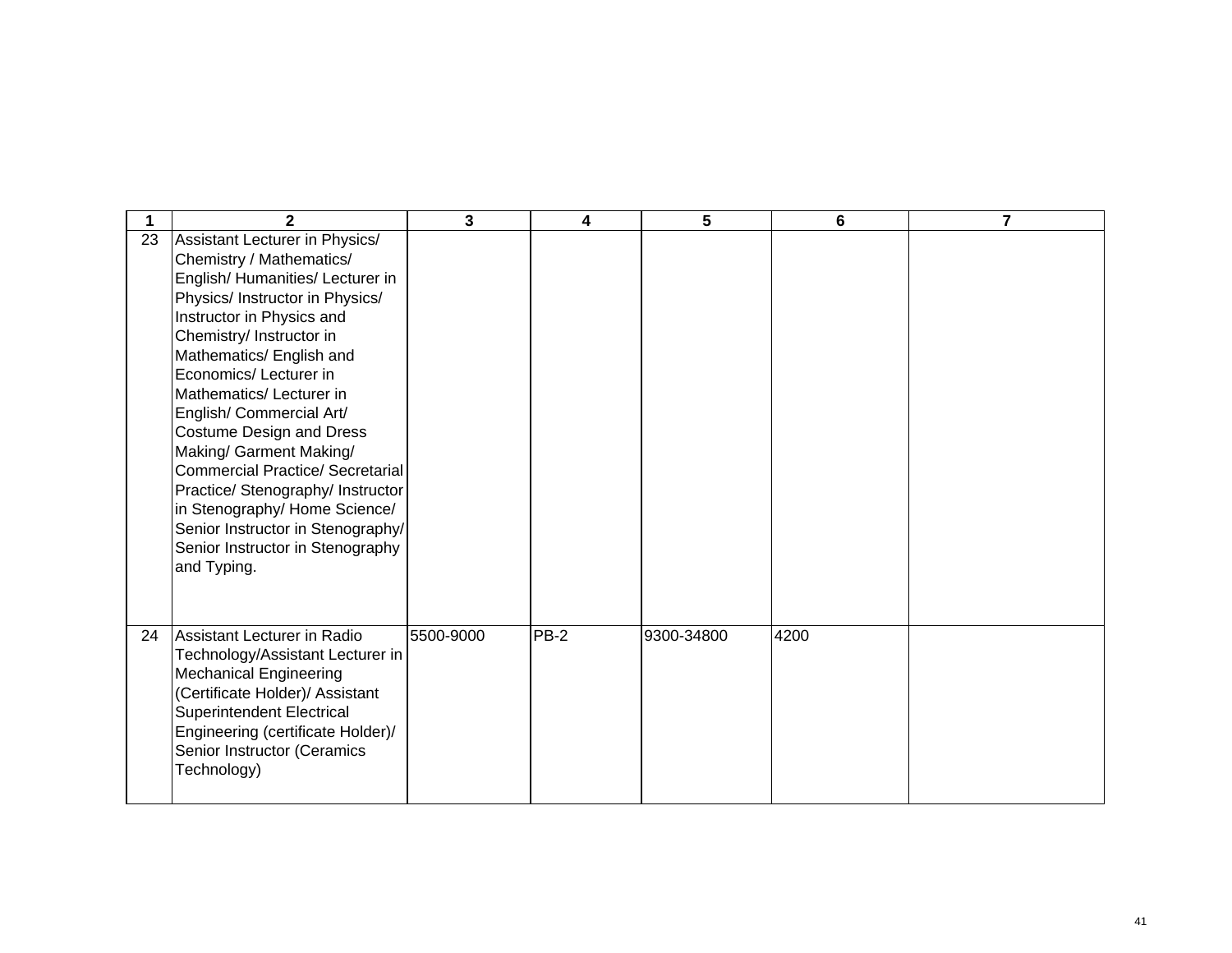|    | $\mathbf{2}$                                                                                                                                                                                                                                                                                                                                                                                                                                                                         | $\mathbf{3}$ | 4      | 5          | 6    | 7 |
|----|--------------------------------------------------------------------------------------------------------------------------------------------------------------------------------------------------------------------------------------------------------------------------------------------------------------------------------------------------------------------------------------------------------------------------------------------------------------------------------------|--------------|--------|------------|------|---|
| 23 | Assistant Lecturer in Physics/<br>Chemistry / Mathematics/<br>English/Humanities/Lecturer in<br>Physics/ Instructor in Physics/<br>Instructor in Physics and<br>Chemistry/ Instructor in<br>Mathematics/ English and<br>Economics/ Lecturer in<br>Mathematics/Lecturer in<br>English/ Commercial Art/<br><b>Costume Design and Dress</b><br>Making/ Garment Making/<br><b>Commercial Practice/ Secretarial</b><br>Practice/ Stenography/ Instructor<br>in Stenography/ Home Science/ |              |        |            |      |   |
| 24 | Senior Instructor in Stenography/<br>Senior Instructor in Stenography<br>and Typing.<br>Assistant Lecturer in Radio<br>Technology/Assistant Lecturer in<br><b>Mechanical Engineering</b><br>(Certificate Holder)/ Assistant<br><b>Superintendent Electrical</b><br>Engineering (certificate Holder)/<br>Senior Instructor (Ceramics<br>Technology)                                                                                                                                   | 5500-9000    | $PB-2$ | 9300-34800 | 4200 |   |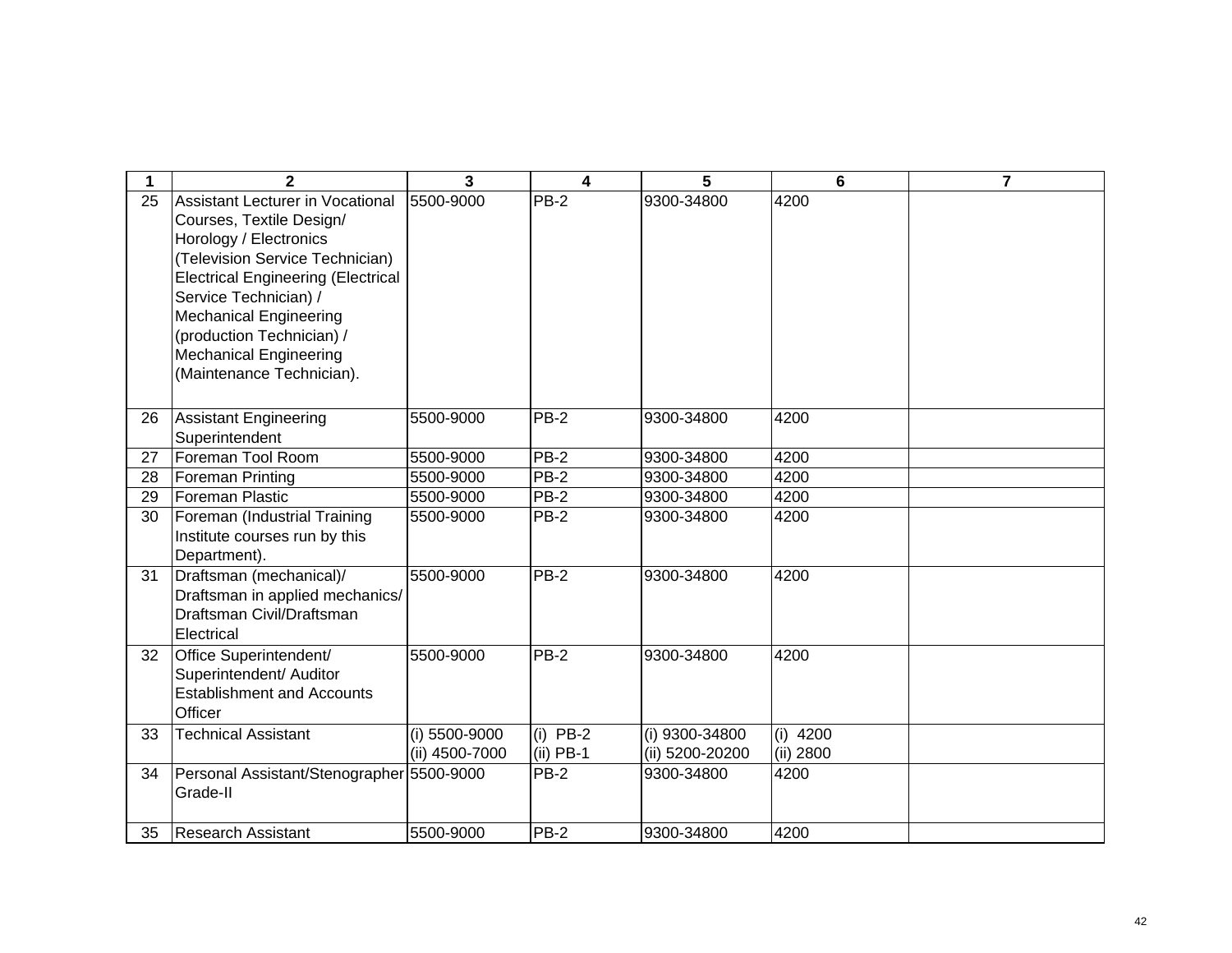| 1               | $\overline{2}$                                                                                                                                                                                                                                                                                                                     | 3                               | 4                         | 5                                 | 6                       | $\overline{7}$ |
|-----------------|------------------------------------------------------------------------------------------------------------------------------------------------------------------------------------------------------------------------------------------------------------------------------------------------------------------------------------|---------------------------------|---------------------------|-----------------------------------|-------------------------|----------------|
| 25              | <b>Assistant Lecturer in Vocational</b><br>Courses, Textile Design/<br>Horology / Electronics<br>(Television Service Technician)<br><b>Electrical Engineering (Electrical</b><br>Service Technician) /<br><b>Mechanical Engineering</b><br>(production Technician) /<br><b>Mechanical Engineering</b><br>(Maintenance Technician). | 5500-9000                       | PB-2                      | 9300-34800                        | 4200                    |                |
| 26              | Assistant Engineering<br>Superintendent                                                                                                                                                                                                                                                                                            | 5500-9000                       | $PB-2$                    | 9300-34800                        | 4200                    |                |
| 27              | Foreman Tool Room                                                                                                                                                                                                                                                                                                                  | 5500-9000                       | <b>PB-2</b>               | 9300-34800                        | 4200                    |                |
| 28              | <b>Foreman Printing</b>                                                                                                                                                                                                                                                                                                            | 5500-9000                       | PB-2                      | 9300-34800                        | 4200                    |                |
| $\overline{29}$ | Foreman Plastic                                                                                                                                                                                                                                                                                                                    | 5500-9000                       | $PB-2$                    | 9300-34800                        | 4200                    |                |
| 30              | Foreman (Industrial Training<br>Institute courses run by this<br>Department).                                                                                                                                                                                                                                                      | 5500-9000                       | $PB-2$                    | 9300-34800                        | 4200                    |                |
| 31              | Draftsman (mechanical)/<br>Draftsman in applied mechanics/<br>Draftsman Civil/Draftsman<br>Electrical                                                                                                                                                                                                                              | 5500-9000                       | $PB-2$                    | 9300-34800                        | 4200                    |                |
| 32              | Office Superintendent/<br>Superintendent/ Auditor<br><b>Establishment and Accounts</b><br>Officer                                                                                                                                                                                                                                  | 5500-9000                       | $PB-2$                    | 9300-34800                        | 4200                    |                |
| 33              | <b>Technical Assistant</b>                                                                                                                                                                                                                                                                                                         | (i) 5500-9000<br>(ii) 4500-7000 | $(i)$ PB-2<br>$(ii)$ PB-1 | (i) 9300-34800<br>(ii) 5200-20200 | $(i)$ 4200<br>(ii) 2800 |                |
| 34              | Personal Assistant/Stenographer 5500-9000<br>Grade-II                                                                                                                                                                                                                                                                              |                                 | $PB-2$                    | 9300-34800                        | 4200                    |                |
| 35              | <b>Research Assistant</b>                                                                                                                                                                                                                                                                                                          | 5500-9000                       | $PB-2$                    | 9300-34800                        | 4200                    |                |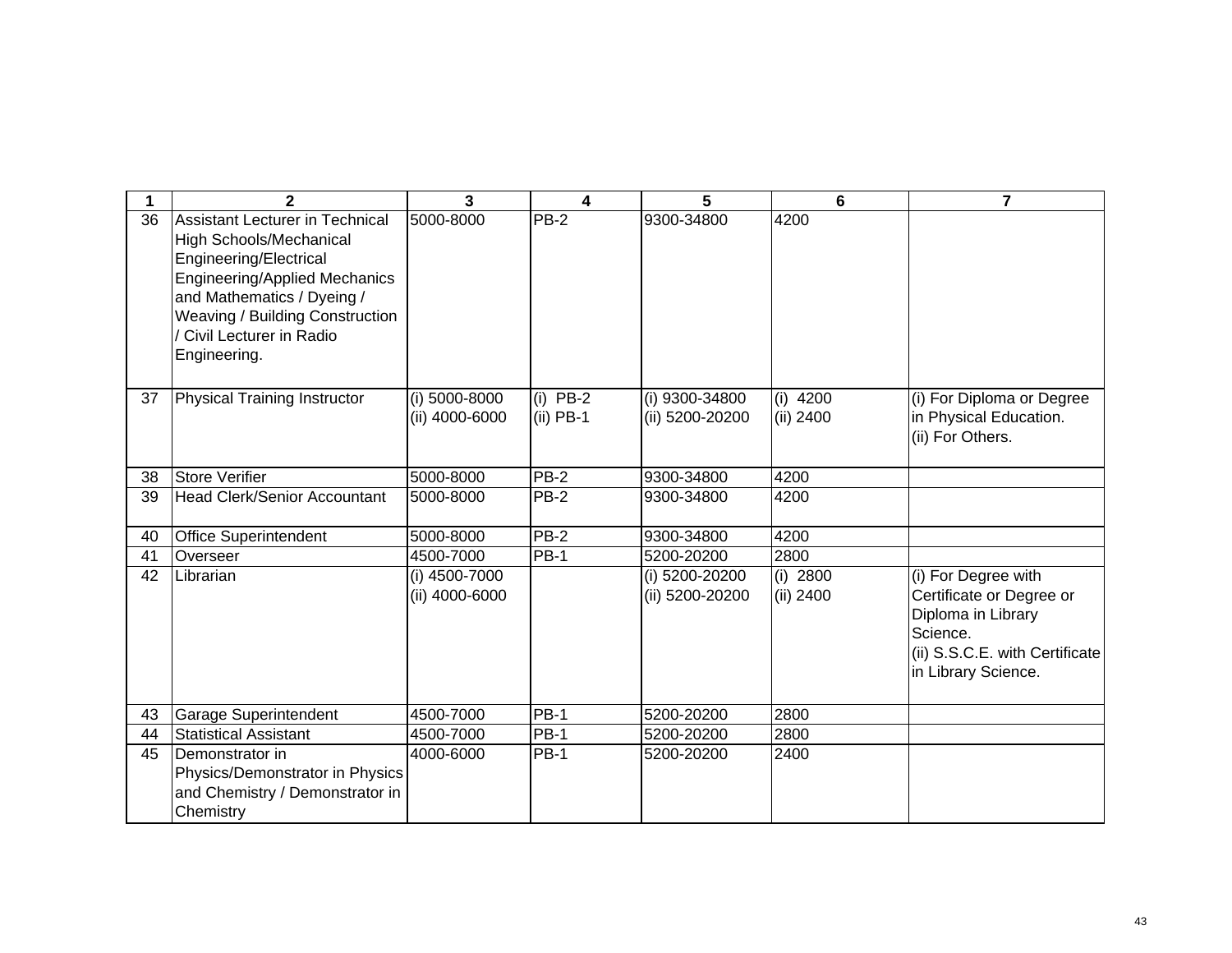|    | $\mathbf{2}$                                                                                                                                                                                                                                      | $\overline{3}$                  | 4                         | 5                                 | 6                       | $\overline{7}$                                                                                                                             |
|----|---------------------------------------------------------------------------------------------------------------------------------------------------------------------------------------------------------------------------------------------------|---------------------------------|---------------------------|-----------------------------------|-------------------------|--------------------------------------------------------------------------------------------------------------------------------------------|
| 36 | <b>Assistant Lecturer in Technical</b><br>High Schools/Mechanical<br>Engineering/Electrical<br><b>Engineering/Applied Mechanics</b><br>and Mathematics / Dyeing /<br>Weaving / Building Construction<br>/ Civil Lecturer in Radio<br>Engineering. | 5000-8000                       | $PB-2$                    | 9300-34800                        | 4200                    |                                                                                                                                            |
| 37 | <b>Physical Training Instructor</b>                                                                                                                                                                                                               | (i) 5000-8000<br>(ii) 4000-6000 | (i) $PB-2$<br>$(ii)$ PB-1 | (i) 9300-34800<br>(ii) 5200-20200 | $(i)$ 4200<br>(ii) 2400 | (i) For Diploma or Degree<br>in Physical Education.<br>(ii) For Others.                                                                    |
| 38 | <b>Store Verifier</b>                                                                                                                                                                                                                             | 5000-8000                       | <b>PB-2</b>               | 9300-34800                        | 4200                    |                                                                                                                                            |
| 39 | <b>Head Clerk/Senior Accountant</b>                                                                                                                                                                                                               | 5000-8000                       | PB-2                      | 9300-34800                        | 4200                    |                                                                                                                                            |
| 40 | <b>Office Superintendent</b>                                                                                                                                                                                                                      | 5000-8000                       | <b>PB-2</b>               | 9300-34800                        | 4200                    |                                                                                                                                            |
| 41 | Overseer                                                                                                                                                                                                                                          | 4500-7000                       | <b>PB-1</b>               | 5200-20200                        | 2800                    |                                                                                                                                            |
| 42 | Librarian                                                                                                                                                                                                                                         | (i) 4500-7000<br>(ii) 4000-6000 |                           | (i) 5200-20200<br>(ii) 5200-20200 | $(i)$ 2800<br>(ii) 2400 | (i) For Degree with<br>Certificate or Degree or<br>Diploma in Library<br>Science.<br>(ii) S.S.C.E. with Certificate<br>in Library Science. |
| 43 | <b>Garage Superintendent</b>                                                                                                                                                                                                                      | 4500-7000                       | <b>PB-1</b>               | 5200-20200                        | 2800                    |                                                                                                                                            |
| 44 | <b>Statistical Assistant</b>                                                                                                                                                                                                                      | 4500-7000                       | $PB-1$                    | 5200-20200                        | 2800                    |                                                                                                                                            |
| 45 | Demonstrator in<br>Physics/Demonstrator in Physics<br>and Chemistry / Demonstrator in<br>Chemistry                                                                                                                                                | 4000-6000                       | <b>PB-1</b>               | 5200-20200                        | 2400                    |                                                                                                                                            |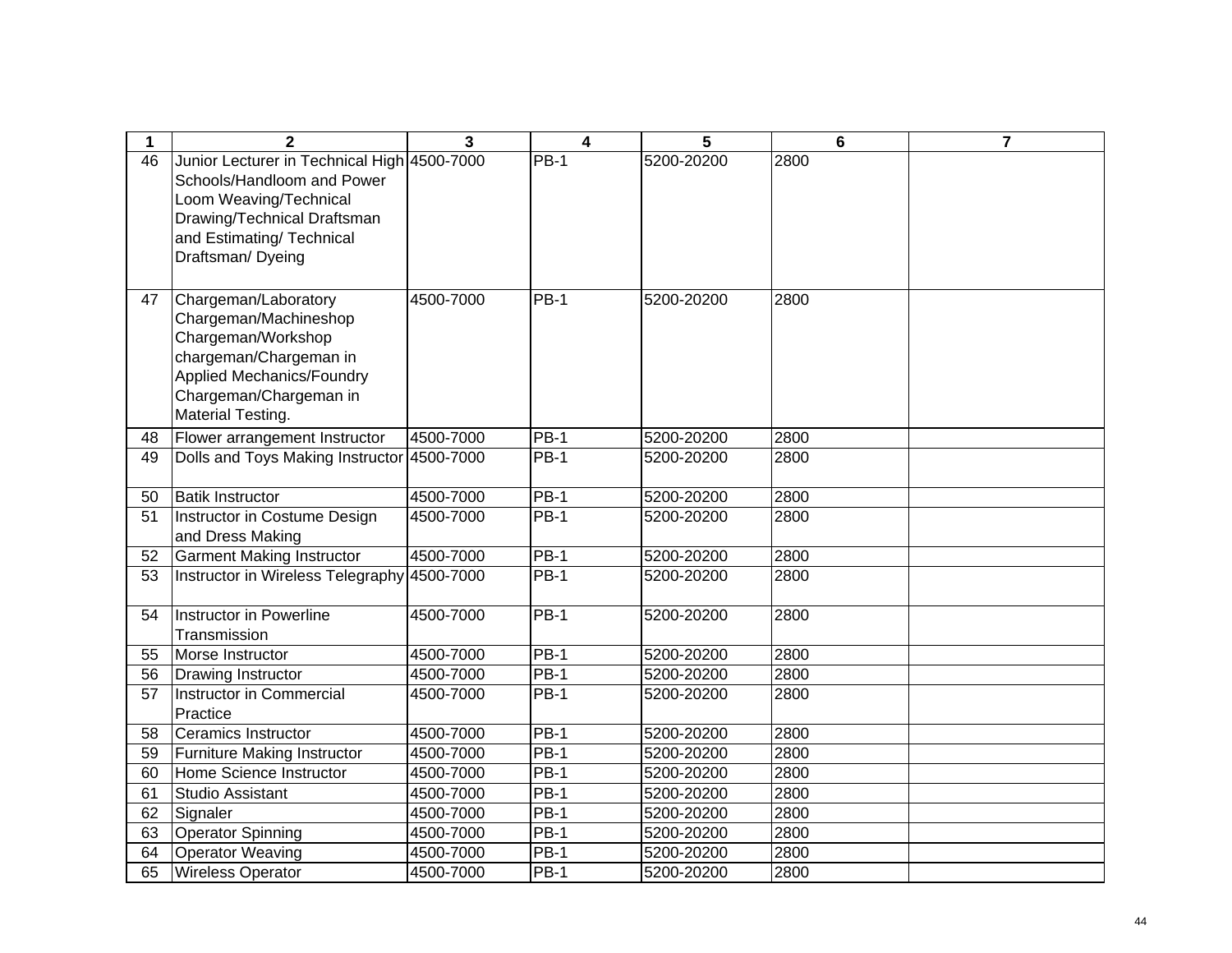| 1               | $\mathbf{2}$                                                                                                                                                                        | $\overline{3}$ | $\overline{\mathbf{4}}$ | 5          | 6    | $\overline{7}$ |
|-----------------|-------------------------------------------------------------------------------------------------------------------------------------------------------------------------------------|----------------|-------------------------|------------|------|----------------|
| 46              | Junior Lecturer in Technical High 4500-7000<br>Schools/Handloom and Power<br>Loom Weaving/Technical<br>Drawing/Technical Draftsman<br>and Estimating/ Technical<br>Draftsman/Dyeing |                | $PB-1$                  | 5200-20200 | 2800 |                |
| 47              | Chargeman/Laboratory<br>Chargeman/Machineshop<br>Chargeman/Workshop<br>chargeman/Chargeman in<br><b>Applied Mechanics/Foundry</b><br>Chargeman/Chargeman in<br>Material Testing.    | 4500-7000      | $PB-1$                  | 5200-20200 | 2800 |                |
| 48              | Flower arrangement Instructor                                                                                                                                                       | 4500-7000      | <b>PB-1</b>             | 5200-20200 | 2800 |                |
| 49              | Dolls and Toys Making Instructor 4500-7000                                                                                                                                          |                | $PB-1$                  | 5200-20200 | 2800 |                |
| 50              | <b>Batik Instructor</b>                                                                                                                                                             | 4500-7000      | $PB-1$                  | 5200-20200 | 2800 |                |
| 51              | Instructor in Costume Design<br>and Dress Making                                                                                                                                    | 4500-7000      | $PB-1$                  | 5200-20200 | 2800 |                |
| 52              | <b>Garment Making Instructor</b>                                                                                                                                                    | 4500-7000      | <b>PB-1</b>             | 5200-20200 | 2800 |                |
| $\overline{53}$ | Instructor in Wireless Telegraphy 4500-7000                                                                                                                                         |                | $PB-1$                  | 5200-20200 | 2800 |                |
| 54              | Instructor in Powerline<br>Transmission                                                                                                                                             | 4500-7000      | $PB-1$                  | 5200-20200 | 2800 |                |
| 55              | Morse Instructor                                                                                                                                                                    | 4500-7000      | $PB-1$                  | 5200-20200 | 2800 |                |
| 56              | Drawing Instructor                                                                                                                                                                  | 4500-7000      | $PB-1$                  | 5200-20200 | 2800 |                |
| 57              | Instructor in Commercial<br>Practice                                                                                                                                                | 4500-7000      | $PB-1$                  | 5200-20200 | 2800 |                |
| 58              | <b>Ceramics Instructor</b>                                                                                                                                                          | 4500-7000      | $PB-1$                  | 5200-20200 | 2800 |                |
| 59              | <b>Furniture Making Instructor</b>                                                                                                                                                  | 4500-7000      | $\overline{PB-1}$       | 5200-20200 | 2800 |                |
| 60              | Home Science Instructor                                                                                                                                                             | 4500-7000      | $\overline{PB-1}$       | 5200-20200 | 2800 |                |
| 61              | <b>Studio Assistant</b>                                                                                                                                                             | 4500-7000      | <b>PB-1</b>             | 5200-20200 | 2800 |                |
| 62              | Signaler                                                                                                                                                                            | 4500-7000      | $PB-1$                  | 5200-20200 | 2800 |                |
| 63              | <b>Operator Spinning</b>                                                                                                                                                            | 4500-7000      | $PB-1$                  | 5200-20200 | 2800 |                |
| 64              | <b>Operator Weaving</b>                                                                                                                                                             | 4500-7000      | $PB-1$                  | 5200-20200 | 2800 |                |
| 65              | <b>Wireless Operator</b>                                                                                                                                                            | 4500-7000      | <b>PB-1</b>             | 5200-20200 | 2800 |                |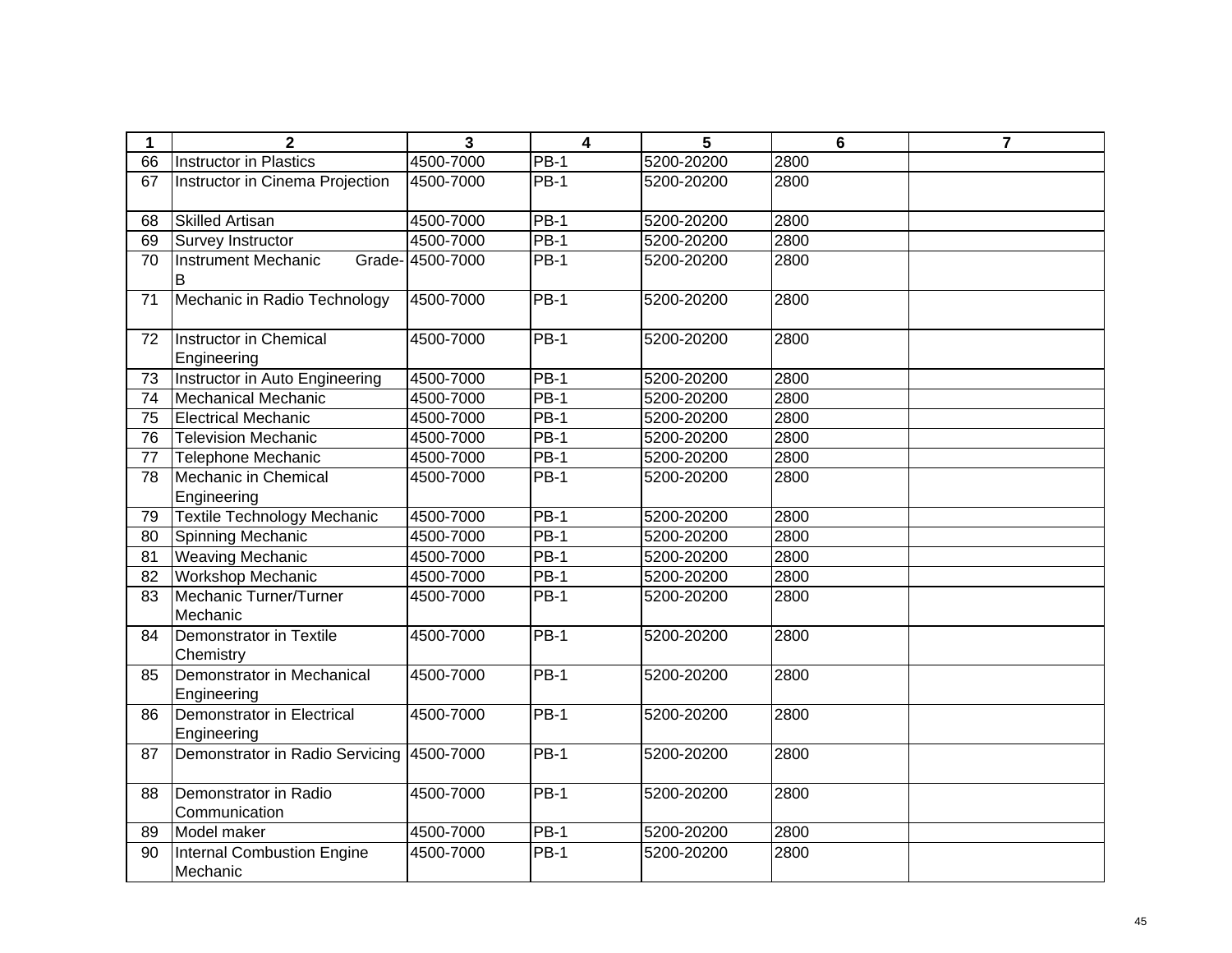| 1  | $\mathbf 2$                               | 3                | $\overline{\mathbf{4}}$ | 5          | 6    | $\overline{7}$ |
|----|-------------------------------------------|------------------|-------------------------|------------|------|----------------|
| 66 | <b>Instructor in Plastics</b>             | 4500-7000        | $PB-1$                  | 5200-20200 | 2800 |                |
| 67 | Instructor in Cinema Projection           | 4500-7000        | <b>PB-1</b>             | 5200-20200 | 2800 |                |
| 68 | <b>Skilled Artisan</b>                    | 4500-7000        | $PB-1$                  | 5200-20200 | 2800 |                |
| 69 | Survey Instructor                         | 4500-7000        | $PB-1$                  | 5200-20200 | 2800 |                |
| 70 | <b>Instrument Mechanic</b><br>B           | Grade- 4500-7000 | $PB-1$                  | 5200-20200 | 2800 |                |
| 71 | Mechanic in Radio Technology              | 4500-7000        | $PB-1$                  | 5200-20200 | 2800 |                |
| 72 | Instructor in Chemical<br>Engineering     | 4500-7000        | <b>PB-1</b>             | 5200-20200 | 2800 |                |
| 73 | Instructor in Auto Engineering            | 4500-7000        | <b>PB-1</b>             | 5200-20200 | 2800 |                |
| 74 | Mechanical Mechanic                       | 4500-7000        | $PB-1$                  | 5200-20200 | 2800 |                |
| 75 | <b>Electrical Mechanic</b>                | 4500-7000        | $PB-1$                  | 5200-20200 | 2800 |                |
| 76 | <b>Television Mechanic</b>                | 4500-7000        | $PB-1$                  | 5200-20200 | 2800 |                |
| 77 | <b>Telephone Mechanic</b>                 | 4500-7000        | $PB-1$                  | 5200-20200 | 2800 |                |
| 78 | Mechanic in Chemical<br>Engineering       | 4500-7000        | <b>PB-1</b>             | 5200-20200 | 2800 |                |
| 79 | <b>Textile Technology Mechanic</b>        | 4500-7000        | <b>PB-1</b>             | 5200-20200 | 2800 |                |
| 80 | Spinning Mechanic                         | 4500-7000        | <b>PB-1</b>             | 5200-20200 | 2800 |                |
| 81 | <b>Weaving Mechanic</b>                   | 4500-7000        | <b>PB-1</b>             | 5200-20200 | 2800 |                |
| 82 | Workshop Mechanic                         | 4500-7000        | $PB-1$                  | 5200-20200 | 2800 |                |
| 83 | Mechanic Turner/Turner<br>Mechanic        | 4500-7000        | <b>PB-1</b>             | 5200-20200 | 2800 |                |
| 84 | Demonstrator in Textile<br>Chemistry      | 4500-7000        | <b>PB-1</b>             | 5200-20200 | 2800 |                |
| 85 | Demonstrator in Mechanical<br>Engineering | 4500-7000        | $PB-1$                  | 5200-20200 | 2800 |                |
| 86 | Demonstrator in Electrical<br>Engineering | 4500-7000        | <b>PB-1</b>             | 5200-20200 | 2800 |                |
| 87 | Demonstrator in Radio Servicing           | 4500-7000        | $PB-1$                  | 5200-20200 | 2800 |                |
| 88 | Demonstrator in Radio<br>Communication    | 4500-7000        | $PB-1$                  | 5200-20200 | 2800 |                |
| 89 | Model maker                               | 4500-7000        | $PB-1$                  | 5200-20200 | 2800 |                |
| 90 | Internal Combustion Engine<br>Mechanic    | 4500-7000        | $PB-1$                  | 5200-20200 | 2800 |                |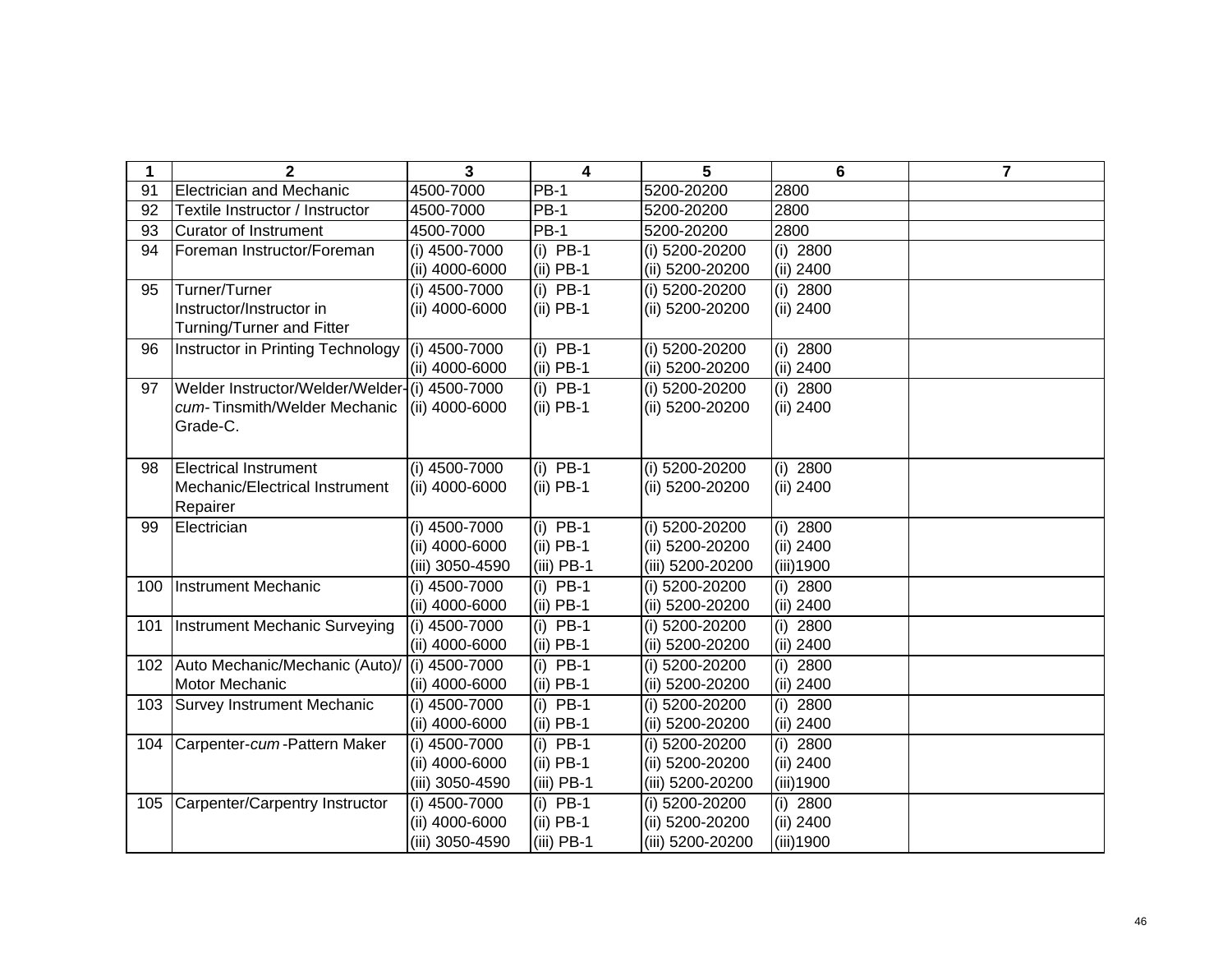| 1   | $\mathbf{2}$                                  | 3               | 4            | 5                | $6\phantom{1}$ | $\overline{7}$ |
|-----|-----------------------------------------------|-----------------|--------------|------------------|----------------|----------------|
| 91  | <b>Electrician and Mechanic</b>               | 4500-7000       | <b>PB-1</b>  | 5200-20200       | 2800           |                |
| 92  | Textile Instructor / Instructor               | 4500-7000       | PB-1         | 5200-20200       | 2800           |                |
| 93  | <b>Curator of Instrument</b>                  | 4500-7000       | <b>PB-1</b>  | 5200-20200       | 2800           |                |
| 94  | Foreman Instructor/Foreman                    | (i) 4500-7000   | $(i)$ PB-1   | (i) 5200-20200   | (i) 2800       |                |
|     |                                               | (ii) 4000-6000  | $(ii)$ PB-1  | (ii) 5200-20200  | (ii) 2400      |                |
| 95  | Turner/Turner                                 | (i) 4500-7000   | $(i)$ PB-1   | (i) 5200-20200   | $(i)$ 2800     |                |
|     | Instructor/Instructor in                      | (ii) 4000-6000  | $(ii)$ PB-1  | (ii) 5200-20200  | (ii) 2400      |                |
|     | Turning/Turner and Fitter                     |                 |              |                  |                |                |
| 96  | Instructor in Printing Technology             | (i) 4500-7000   | $(i)$ PB-1   | (i) 5200-20200   | $(i)$ 2800     |                |
|     |                                               | (ii) 4000-6000  | $(ii)$ PB-1  | (ii) 5200-20200  | (ii) 2400      |                |
| 97  | Welder Instructor/Welder/Welder-(i) 4500-7000 |                 | $(i)$ PB-1   | (i) 5200-20200   | $(i)$ 2800     |                |
|     | cum-Tinsmith/Welder Mechanic                  | (ii) 4000-6000  | $(ii)$ PB-1  | (ii) 5200-20200  | (ii) 2400      |                |
|     | Grade-C.                                      |                 |              |                  |                |                |
|     |                                               |                 |              |                  |                |                |
| 98  | <b>Electrical Instrument</b>                  | (i) 4500-7000   | $(i)$ PB-1   | (i) 5200-20200   | (i) 2800       |                |
|     | Mechanic/Electrical Instrument                | (ii) 4000-6000  | $(ii)$ PB-1  | (ii) 5200-20200  | (ii) 2400      |                |
|     | Repairer                                      |                 |              |                  |                |                |
| 99  | Electrician                                   | (i) 4500-7000   | $(i)$ PB-1   | (i) 5200-20200   | $(i)$ 2800     |                |
|     |                                               | (ii) 4000-6000  | $(ii)$ PB-1  | (ii) 5200-20200  | (ii) 2400      |                |
|     |                                               | (iii) 3050-4590 | $(iii)$ PB-1 | (iii) 5200-20200 | $(iii)$ 1900   |                |
| 100 | <b>Instrument Mechanic</b>                    | (i) 4500-7000   | (i) $PB-1$   | (i) 5200-20200   | $(i)$ 2800     |                |
|     |                                               | (ii) 4000-6000  | $(ii)$ PB-1  | (ii) 5200-20200  | (ii) 2400      |                |
| 101 | Instrument Mechanic Surveying                 | (i) 4500-7000   | $(i)$ PB-1   | (i) 5200-20200   | (i) 2800       |                |
|     |                                               | (ii) 4000-6000  | $(ii)$ PB-1  | (ii) 5200-20200  | (ii) 2400      |                |
| 102 | Auto Mechanic/Mechanic (Auto)/                | (i) 4500-7000   | $(i)$ PB-1   | (i) 5200-20200   | $(i)$ 2800     |                |
|     | Motor Mechanic                                | (ii) 4000-6000  | $(ii)$ PB-1  | (ii) 5200-20200  | (ii) 2400      |                |
| 103 | Survey Instrument Mechanic                    | (i) 4500-7000   | $(i)$ PB-1   | (i) 5200-20200   | $(i)$ 2800     |                |
|     |                                               | (ii) 4000-6000  | $(ii)$ PB-1  | (ii) 5200-20200  | (ii) 2400      |                |
| 104 | Carpenter-cum-Pattern Maker                   | (i) 4500-7000   | $(i)$ PB-1   | (i) 5200-20200   | (i) 2800       |                |
|     |                                               | (ii) 4000-6000  | $(ii)$ PB-1  | (ii) 5200-20200  | $(ii)$ 2400    |                |
|     |                                               | (iii) 3050-4590 | $(iii)$ PB-1 | (iii) 5200-20200 | (iii)1900      |                |
| 105 | Carpenter/Carpentry Instructor                | (i) 4500-7000   | $(i)$ PB-1   | (i) 5200-20200   | $(i)$ 2800     |                |
|     |                                               | (ii) 4000-6000  | $(ii)$ PB-1  | (ii) 5200-20200  | (ii) 2400      |                |
|     |                                               | (iii) 3050-4590 | $(iii)$ PB-1 | (iii) 5200-20200 | (iii)1900      |                |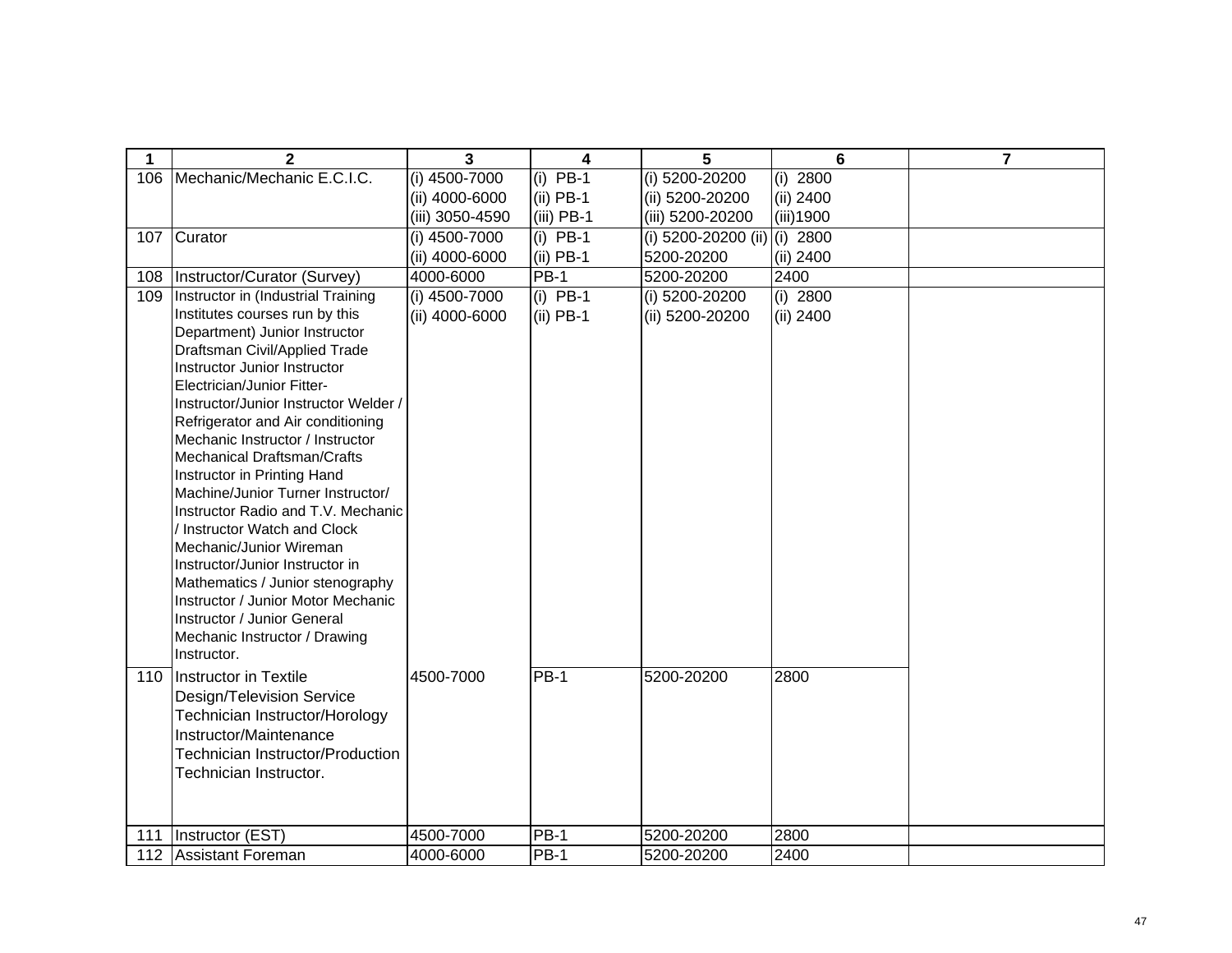| 1   | $\overline{2}$                                                        | 3               | 4            | 5                                | 6          | $\overline{7}$ |
|-----|-----------------------------------------------------------------------|-----------------|--------------|----------------------------------|------------|----------------|
| 106 | Mechanic/Mechanic E.C.I.C.                                            | $(i)$ 4500-7000 | $(i)$ PB-1   | $(i)$ 5200-20200                 | $(i)$ 2800 |                |
|     |                                                                       | (ii) 4000-6000  | $(ii)$ PB-1  | (ii) 5200-20200                  | (ii) 2400  |                |
|     |                                                                       | (iii) 3050-4590 | $(iii)$ PB-1 | (iii) 5200-20200                 | (iii) 1900 |                |
| 107 | Curator                                                               | (i) 4500-7000   | $(i)$ PB-1   | (i) $5200 - 20200$ (ii) (i) 2800 |            |                |
|     |                                                                       | (ii) 4000-6000  | $(ii)$ PB-1  | 5200-20200                       | (ii) 2400  |                |
| 108 | Instructor/Curator (Survey)                                           | 4000-6000       | $PB-1$       | 5200-20200                       | 2400       |                |
| 109 | Instructor in (Industrial Training                                    | (i) 4500-7000   | $(i)$ PB-1   | (i) 5200-20200                   | $(i)$ 2800 |                |
|     | Institutes courses run by this                                        | (ii) 4000-6000  | $(ii)$ PB-1  | (ii) 5200-20200                  | (ii) 2400  |                |
|     | Department) Junior Instructor                                         |                 |              |                                  |            |                |
|     | Draftsman Civil/Applied Trade                                         |                 |              |                                  |            |                |
|     | Instructor Junior Instructor                                          |                 |              |                                  |            |                |
|     | Electrician/Junior Fitter-                                            |                 |              |                                  |            |                |
|     | Instructor/Junior Instructor Welder /                                 |                 |              |                                  |            |                |
|     | Refrigerator and Air conditioning<br>Mechanic Instructor / Instructor |                 |              |                                  |            |                |
|     | Mechanical Draftsman/Crafts                                           |                 |              |                                  |            |                |
|     | Instructor in Printing Hand                                           |                 |              |                                  |            |                |
|     | Machine/Junior Turner Instructor/                                     |                 |              |                                  |            |                |
|     | Instructor Radio and T.V. Mechanic                                    |                 |              |                                  |            |                |
|     | / Instructor Watch and Clock                                          |                 |              |                                  |            |                |
|     | Mechanic/Junior Wireman                                               |                 |              |                                  |            |                |
|     | Instructor/Junior Instructor in                                       |                 |              |                                  |            |                |
|     | Mathematics / Junior stenography                                      |                 |              |                                  |            |                |
|     | Instructor / Junior Motor Mechanic                                    |                 |              |                                  |            |                |
|     | Instructor / Junior General                                           |                 |              |                                  |            |                |
|     | Mechanic Instructor / Drawing                                         |                 |              |                                  |            |                |
|     | Instructor.                                                           |                 |              |                                  |            |                |
| 110 | Instructor in Textile                                                 | 4500-7000       | <b>PB-1</b>  | 5200-20200                       | 2800       |                |
|     | Design/Television Service                                             |                 |              |                                  |            |                |
|     | Technician Instructor/Horology                                        |                 |              |                                  |            |                |
|     | Instructor/Maintenance                                                |                 |              |                                  |            |                |
|     | <b>Technician Instructor/Production</b>                               |                 |              |                                  |            |                |
|     | Technician Instructor.                                                |                 |              |                                  |            |                |
|     |                                                                       |                 |              |                                  |            |                |
|     |                                                                       |                 |              |                                  |            |                |
| 111 | Instructor (EST)                                                      | 4500-7000       | <b>PB-1</b>  | 5200-20200                       | 2800       |                |
| 112 | Assistant Foreman                                                     | 4000-6000       | <b>PB-1</b>  | 5200-20200                       | 2400       |                |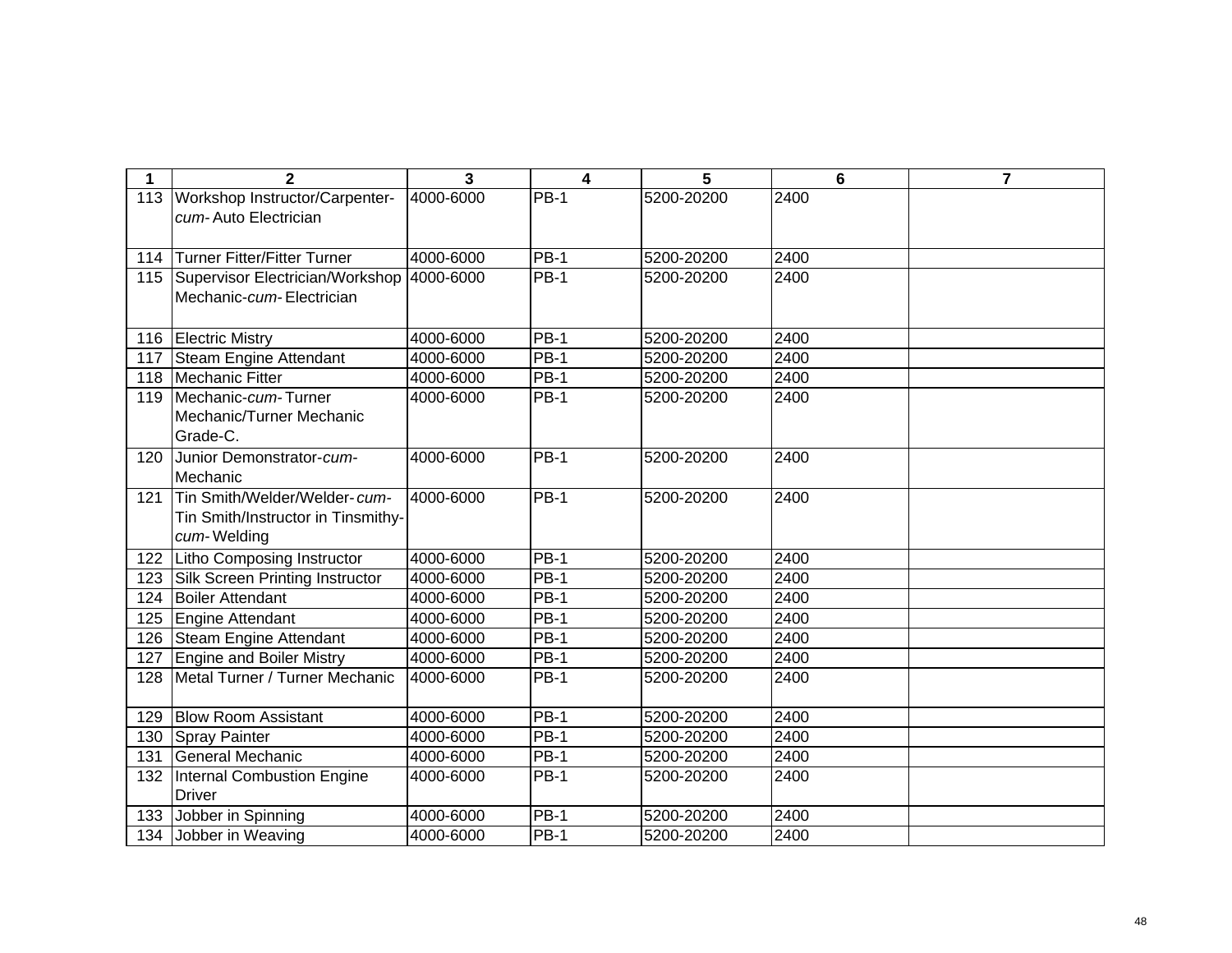| 1   | $\overline{2}$                                                                    | 3         | $\overline{\mathbf{4}}$ | 5          | $6\phantom{1}$ | $\overline{7}$ |
|-----|-----------------------------------------------------------------------------------|-----------|-------------------------|------------|----------------|----------------|
| 113 | Workshop Instructor/Carpenter-<br>cum-Auto Electrician                            | 4000-6000 | <b>PB-1</b>             | 5200-20200 | 2400           |                |
| 114 | Turner Fitter/Fitter Turner                                                       | 4000-6000 | <b>PB-1</b>             | 5200-20200 | 2400           |                |
| 115 | Supervisor Electrician/Workshop<br>Mechanic-cum-Electrician                       | 4000-6000 | <b>PB-1</b>             | 5200-20200 | 2400           |                |
| 116 | <b>Electric Mistry</b>                                                            | 4000-6000 | <b>PB-1</b>             | 5200-20200 | 2400           |                |
| 117 | Steam Engine Attendant                                                            | 4000-6000 | <b>PB-1</b>             | 5200-20200 | 2400           |                |
| 118 | Mechanic Fitter                                                                   | 4000-6000 | <b>PB-1</b>             | 5200-20200 | 2400           |                |
| 119 | Mechanic-cum-Turner<br>Mechanic/Turner Mechanic<br>Grade-C.                       | 4000-6000 | <b>PB-1</b>             | 5200-20200 | 2400           |                |
| 120 | Junior Demonstrator-cum-<br>Mechanic                                              | 4000-6000 | $PB-1$                  | 5200-20200 | 2400           |                |
| 121 | Tin Smith/Welder/Welder-cum-<br>Tin Smith/Instructor in Tinsmithy-<br>cum-Welding | 4000-6000 | <b>PB-1</b>             | 5200-20200 | 2400           |                |
| 122 | Litho Composing Instructor                                                        | 4000-6000 | <b>PB-1</b>             | 5200-20200 | 2400           |                |
| 123 | Silk Screen Printing Instructor                                                   | 4000-6000 | <b>PB-1</b>             | 5200-20200 | 2400           |                |
| 124 | <b>Boiler Attendant</b>                                                           | 4000-6000 | <b>PB-1</b>             | 5200-20200 | 2400           |                |
| 125 | Engine Attendant                                                                  | 4000-6000 | <b>PB-1</b>             | 5200-20200 | 2400           |                |
| 126 | Steam Engine Attendant                                                            | 4000-6000 | <b>PB-1</b>             | 5200-20200 | 2400           |                |
| 127 | <b>Engine and Boiler Mistry</b>                                                   | 4000-6000 | <b>PB-1</b>             | 5200-20200 | 2400           |                |
| 128 | Metal Turner / Turner Mechanic                                                    | 4000-6000 | <b>PB-1</b>             | 5200-20200 | 2400           |                |
| 129 | <b>Blow Room Assistant</b>                                                        | 4000-6000 | <b>PB-1</b>             | 5200-20200 | 2400           |                |
| 130 | <b>Spray Painter</b>                                                              | 4000-6000 | <b>PB-1</b>             | 5200-20200 | 2400           |                |
| 131 | General Mechanic                                                                  | 4000-6000 | $\overline{PB}-1$       | 5200-20200 | 2400           |                |
| 132 | Internal Combustion Engine<br><b>Driver</b>                                       | 4000-6000 | <b>PB-1</b>             | 5200-20200 | 2400           |                |
| 133 | Jobber in Spinning                                                                | 4000-6000 | $PB-1$                  | 5200-20200 | 2400           |                |
| 134 | Jobber in Weaving                                                                 | 4000-6000 | <b>PB-1</b>             | 5200-20200 | 2400           |                |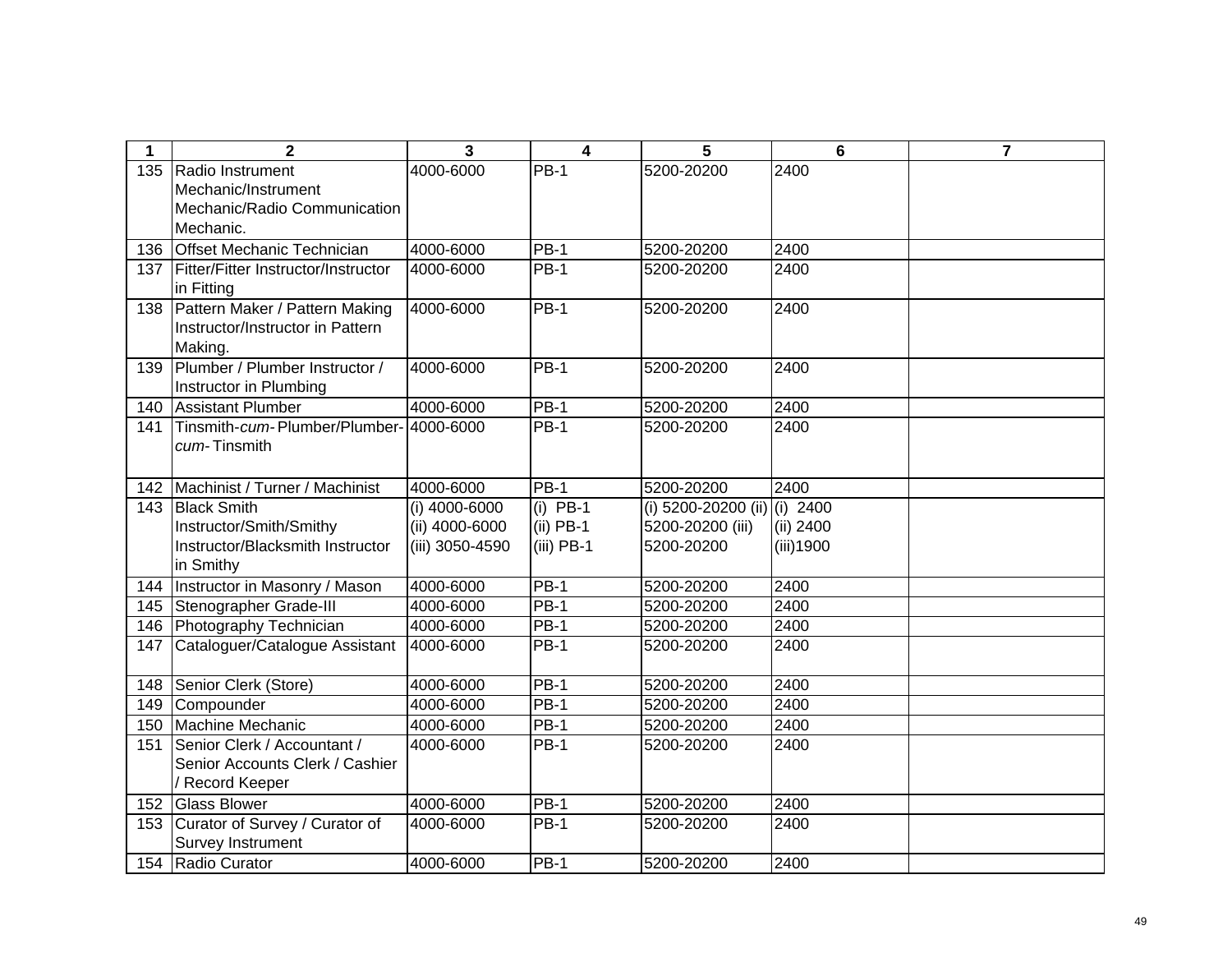| 1          | $\mathbf{2}$                                                | 3                                 | 4                           | 5                              | $6\phantom{1}6$        | $\overline{7}$ |
|------------|-------------------------------------------------------------|-----------------------------------|-----------------------------|--------------------------------|------------------------|----------------|
| 135        | Radio Instrument                                            | 4000-6000                         | $PB-1$                      | 5200-20200                     | 2400                   |                |
|            | Mechanic/Instrument                                         |                                   |                             |                                |                        |                |
|            | Mechanic/Radio Communication<br>Mechanic.                   |                                   |                             |                                |                        |                |
| 136        | <b>Offset Mechanic Technician</b>                           | 4000-6000                         | <b>PB-1</b>                 | 5200-20200                     | 2400                   |                |
| 137        | Fitter/Fitter Instructor/Instructor                         | 4000-6000                         | <b>PB-1</b>                 | 5200-20200                     | 2400                   |                |
|            | in Fitting                                                  |                                   |                             |                                |                        |                |
| 138        | Pattern Maker / Pattern Making                              | 4000-6000                         | <b>PB-1</b>                 | 5200-20200                     | 2400                   |                |
|            | Instructor/Instructor in Pattern                            |                                   |                             |                                |                        |                |
|            | Making.                                                     |                                   |                             |                                |                        |                |
| 139        | Plumber / Plumber Instructor /                              | 4000-6000                         | $PB-1$                      | 5200-20200                     | 2400                   |                |
|            | Instructor in Plumbing                                      |                                   |                             |                                |                        |                |
| 140        | <b>Assistant Plumber</b>                                    | 4000-6000                         | <b>PB-1</b>                 | 5200-20200                     | 2400                   |                |
| 141        | Tinsmith-cum-Plumber/Plumber-                               | 4000-6000                         | $PB-1$                      | 5200-20200                     | 2400                   |                |
|            | cum-Tinsmith                                                |                                   |                             |                                |                        |                |
|            |                                                             |                                   |                             |                                |                        |                |
| 142        | Machinist / Turner / Machinist                              | 4000-6000                         | $PB-1$                      | 5200-20200                     | 2400                   |                |
| 143        | <b>Black Smith</b>                                          | $(i)$ 4000-6000                   | $(i)$ PB-1                  | (i) 5200-20200 (ii)            | $(i)$ 2400             |                |
|            | Instructor/Smith/Smithy<br>Instructor/Blacksmith Instructor | (ii) 4000-6000<br>(iii) 3050-4590 | $(ii)$ PB-1<br>$(iii)$ PB-1 | 5200-20200 (iii)<br>5200-20200 | (ii) 2400<br>(iii)1900 |                |
|            | in Smithy                                                   |                                   |                             |                                |                        |                |
| 144        | Instructor in Masonry / Mason                               | 4000-6000                         | $PB-1$                      | 5200-20200                     | 2400                   |                |
| 145        | Stenographer Grade-III                                      | 4000-6000                         | $PB-1$                      | 5200-20200                     | 2400                   |                |
| 146        | Photography Technician                                      | 4000-6000                         | $PB-1$                      | 5200-20200                     | 2400                   |                |
| 147        | Cataloguer/Catalogue Assistant                              | 4000-6000                         | <b>PB-1</b>                 | 5200-20200                     | 2400                   |                |
|            |                                                             | 4000-6000                         | <b>PB-1</b>                 |                                | 2400                   |                |
| 148<br>149 | Senior Clerk (Store)<br>Compounder                          | 4000-6000                         | <b>PB-1</b>                 | 5200-20200<br>5200-20200       | 2400                   |                |
| 150        | Machine Mechanic                                            | 4000-6000                         | <b>PB-1</b>                 | 5200-20200                     | 2400                   |                |
| 151        | Senior Clerk / Accountant /                                 | 4000-6000                         | <b>PB-1</b>                 | 5200-20200                     | 2400                   |                |
|            | Senior Accounts Clerk / Cashier                             |                                   |                             |                                |                        |                |
|            | / Record Keeper                                             |                                   |                             |                                |                        |                |
| 152        | <b>Glass Blower</b>                                         | 4000-6000                         | <b>PB-1</b>                 | 5200-20200                     | 2400                   |                |
| 153        | Curator of Survey / Curator of                              | 4000-6000                         | <b>PB-1</b>                 | 5200-20200                     | 2400                   |                |
|            | Survey Instrument                                           |                                   |                             |                                |                        |                |
| 154        | Radio Curator                                               | 4000-6000                         | $PB-1$                      | 5200-20200                     | 2400                   |                |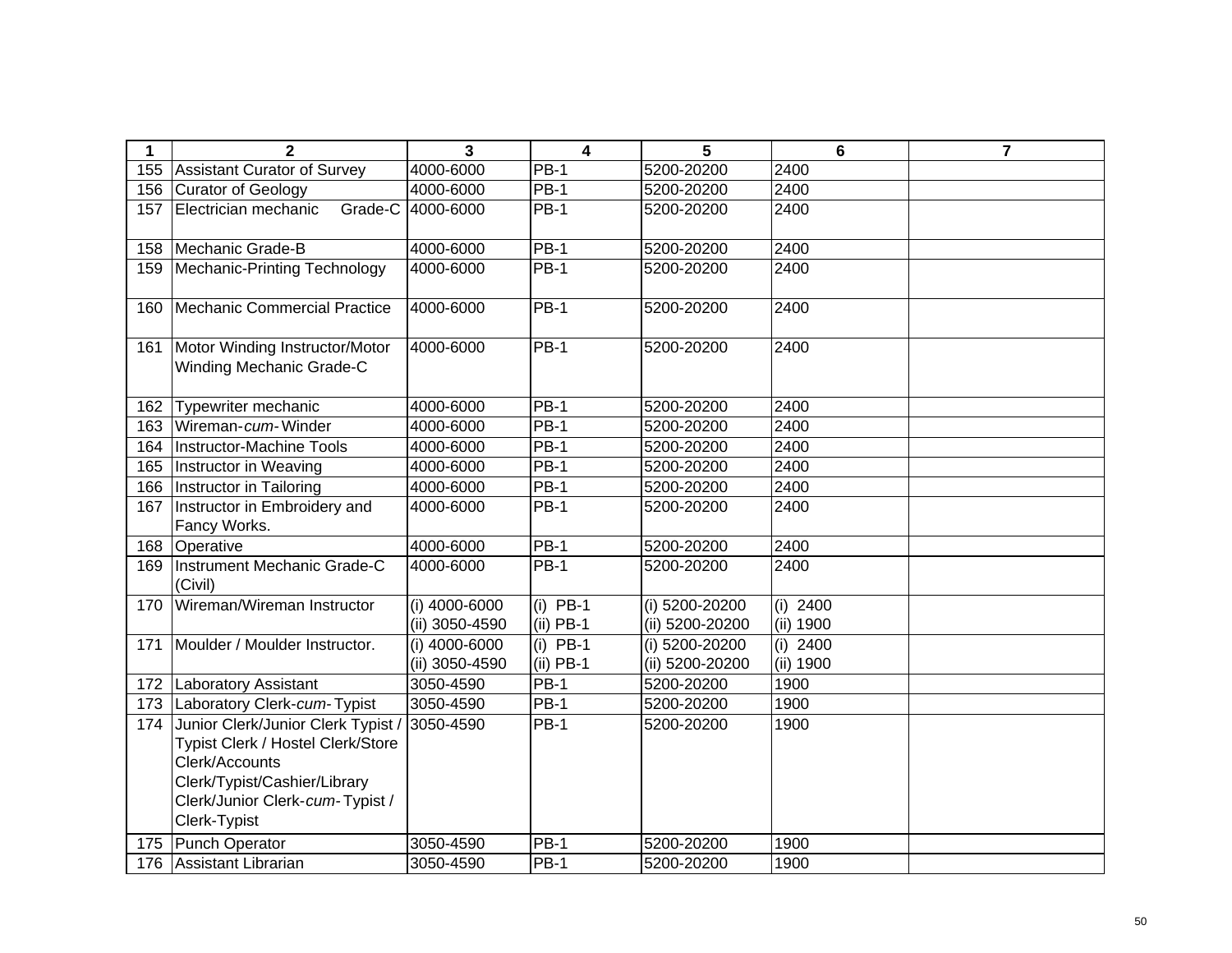| 1   | $\mathbf{2}$                                                                                                                                                                 | 3                               | $\overline{\mathbf{4}}$   | 5                                 | $6\phantom{1}$          | $\overline{7}$ |
|-----|------------------------------------------------------------------------------------------------------------------------------------------------------------------------------|---------------------------------|---------------------------|-----------------------------------|-------------------------|----------------|
| 155 | <b>Assistant Curator of Survey</b>                                                                                                                                           | 4000-6000                       | <b>PB-1</b>               | 5200-20200                        | 2400                    |                |
| 156 | Curator of Geology                                                                                                                                                           | 4000-6000                       | $PB-1$                    | 5200-20200                        | 2400                    |                |
| 157 | Grade-C<br>Electrician mechanic                                                                                                                                              | 4000-6000                       | <b>PB-1</b>               | 5200-20200                        | 2400                    |                |
| 158 | Mechanic Grade-B                                                                                                                                                             | 4000-6000                       | <b>PB-1</b>               | 5200-20200                        | 2400                    |                |
| 159 | Mechanic-Printing Technology                                                                                                                                                 | 4000-6000                       | <b>PB-1</b>               | 5200-20200                        | 2400                    |                |
| 160 | Mechanic Commercial Practice                                                                                                                                                 | 4000-6000                       | $PB-1$                    | 5200-20200                        | 2400                    |                |
| 161 | Motor Winding Instructor/Motor<br>Winding Mechanic Grade-C                                                                                                                   | 4000-6000                       | $PB-1$                    | 5200-20200                        | 2400                    |                |
| 162 | Typewriter mechanic                                                                                                                                                          | 4000-6000                       | <b>PB-1</b>               | 5200-20200                        | 2400                    |                |
| 163 | Wireman-cum-Winder                                                                                                                                                           | 4000-6000                       | $PB-1$                    | 5200-20200                        | 2400                    |                |
| 164 | Instructor-Machine Tools                                                                                                                                                     | 4000-6000                       | $PB-1$                    | 5200-20200                        | 2400                    |                |
| 165 | Instructor in Weaving                                                                                                                                                        | 4000-6000                       | $PB-1$                    | 5200-20200                        | 2400                    |                |
| 166 | Instructor in Tailoring                                                                                                                                                      | 4000-6000                       | $\overline{PB-1}$         | 5200-20200                        | 2400                    |                |
| 167 | Instructor in Embroidery and<br>Fancy Works.                                                                                                                                 | 4000-6000                       | $PB-1$                    | 5200-20200                        | 2400                    |                |
| 168 | Operative                                                                                                                                                                    | 4000-6000                       | $PB-1$                    | 5200-20200                        | 2400                    |                |
| 169 | <b>Instrument Mechanic Grade-C</b><br>(Civil)                                                                                                                                | 4000-6000                       | $PB-1$                    | 5200-20200                        | 2400                    |                |
| 170 | Wireman/Wireman Instructor                                                                                                                                                   | (i) 4000-6000<br>(ii) 3050-4590 | $(i)$ PB-1<br>$(ii)$ PB-1 | (i) 5200-20200<br>(ii) 5200-20200 | $(i)$ 2400<br>(ii) 1900 |                |
| 171 | Moulder / Moulder Instructor.                                                                                                                                                | (i) 4000-6000<br>(ii) 3050-4590 | $(i)$ PB-1<br>$(ii)$ PB-1 | (i) 5200-20200<br>(ii) 5200-20200 | $(i)$ 2400<br>(ii) 1900 |                |
| 172 | <b>Laboratory Assistant</b>                                                                                                                                                  | 3050-4590                       | $PB-1$                    | 5200-20200                        | 1900                    |                |
| 173 | Laboratory Clerk-cum-Typist                                                                                                                                                  | 3050-4590                       | <b>PB-1</b>               | 5200-20200                        | 1900                    |                |
| 174 | Junior Clerk/Junior Clerk Typist /<br>Typist Clerk / Hostel Clerk/Store<br>Clerk/Accounts<br>Clerk/Typist/Cashier/Library<br>Clerk/Junior Clerk-cum-Typist /<br>Clerk-Typist | 3050-4590                       | $PB-1$                    | 5200-20200                        | 1900                    |                |
| 175 | <b>Punch Operator</b>                                                                                                                                                        | 3050-4590                       | $PB-1$                    | 5200-20200                        | 1900                    |                |
| 176 | Assistant Librarian                                                                                                                                                          | 3050-4590                       | <b>PB-1</b>               | 5200-20200                        | 1900                    |                |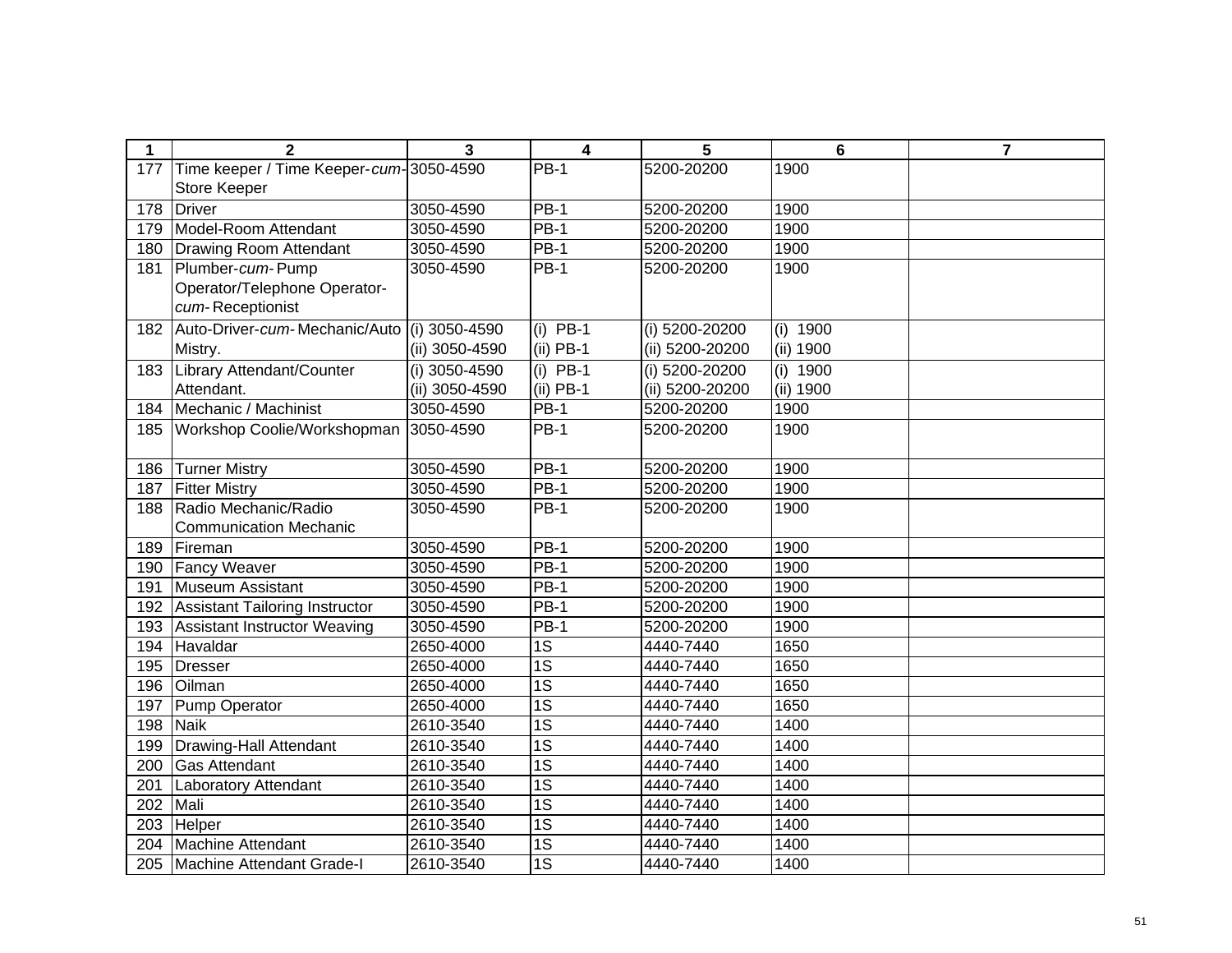| 1   | $\overline{2}$                          | 3              | 4               | 5               | $6\phantom{1}6$ | $\overline{7}$ |
|-----|-----------------------------------------|----------------|-----------------|-----------------|-----------------|----------------|
| 177 | Time keeper / Time Keeper-cum-3050-4590 |                | <b>PB-1</b>     | 5200-20200      | 1900            |                |
|     | <b>Store Keeper</b>                     |                |                 |                 |                 |                |
| 178 | Driver                                  | 3050-4590      | <b>PB-1</b>     | 5200-20200      | 1900            |                |
| 179 | Model-Room Attendant                    | 3050-4590      | <b>PB-1</b>     | 5200-20200      | 1900            |                |
| 180 | Drawing Room Attendant                  | 3050-4590      | <b>PB-1</b>     | 5200-20200      | 1900            |                |
| 181 | Plumber-cum-Pump                        | 3050-4590      | <b>PB-1</b>     | 5200-20200      | 1900            |                |
|     | Operator/Telephone Operator-            |                |                 |                 |                 |                |
|     | cum-Receptionist                        |                |                 |                 |                 |                |
| 182 | Auto-Driver-cum-Mechanic/Auto           | (i) 3050-4590  | $(i)$ PB-1      | (i) 5200-20200  | $(i)$ 1900      |                |
|     | Mistry.                                 | (ii) 3050-4590 | $(ii)$ PB-1     | (ii) 5200-20200 | (ii) 1900       |                |
| 183 | Library Attendant/Counter               | (i) 3050-4590  | $(i)$ PB-1      | (i) 5200-20200  | (i) 1900        |                |
|     | Attendant.                              | (ii) 3050-4590 | (ii) PB-1       | (ii) 5200-20200 | (ii) 1900       |                |
| 184 | Mechanic / Machinist                    | 3050-4590      | <b>PB-1</b>     | 5200-20200      | 1900            |                |
| 185 | Workshop Coolie/Workshopman             | 3050-4590      | $PB-1$          | 5200-20200      | 1900            |                |
|     |                                         |                |                 |                 |                 |                |
| 186 | <b>Turner Mistry</b>                    | 3050-4590      | $PB-1$          | 5200-20200      | 1900            |                |
| 187 | <b>Fitter Mistry</b>                    | 3050-4590      | $PB-1$          | 5200-20200      | 1900            |                |
| 188 | Radio Mechanic/Radio                    | 3050-4590      | <b>PB-1</b>     | 5200-20200      | 1900            |                |
|     | <b>Communication Mechanic</b>           |                |                 |                 |                 |                |
| 189 | Fireman                                 | 3050-4590      | $PB-1$          | 5200-20200      | 1900            |                |
| 190 | <b>Fancy Weaver</b>                     | 3050-4590      | $PB-1$          | 5200-20200      | 1900            |                |
| 191 | Museum Assistant                        | 3050-4590      | $PB-1$          | 5200-20200      | 1900            |                |
| 192 | Assistant Tailoring Instructor          | 3050-4590      | <b>PB-1</b>     | 5200-20200      | 1900            |                |
| 193 | Assistant Instructor Weaving            | 3050-4590      | $PB-1$          | 5200-20200      | 1900            |                |
| 194 | Havaldar                                | 2650-4000      | $\overline{1S}$ | 4440-7440       | 1650            |                |
| 195 | Dresser                                 | 2650-4000      | 1S              | 4440-7440       | 1650            |                |
| 196 | Oilman                                  | 2650-4000      | 1S              | 4440-7440       | 1650            |                |
| 197 | Pump Operator                           | 2650-4000      | 1S              | 4440-7440       | 1650            |                |
| 198 | <b>Naik</b>                             | 2610-3540      | $\overline{1S}$ | 4440-7440       | 1400            |                |
| 199 | Drawing-Hall Attendant                  | 2610-3540      | 1S              | 4440-7440       | 1400            |                |
| 200 | <b>Gas Attendant</b>                    | 2610-3540      | $\overline{1S}$ | 4440-7440       | 1400            |                |
| 201 | <b>Laboratory Attendant</b>             | 2610-3540      | 1S              | 4440-7440       | 1400            |                |
| 202 | Mali                                    | 2610-3540      | 1S              | 4440-7440       | 1400            |                |
| 203 | Helper                                  | 2610-3540      | $\overline{1S}$ | 4440-7440       | 1400            |                |
| 204 | <b>Machine Attendant</b>                | 2610-3540      | 1S              | 4440-7440       | 1400            |                |
| 205 | Machine Attendant Grade-I               | 2610-3540      | 1S              | 4440-7440       | 1400            |                |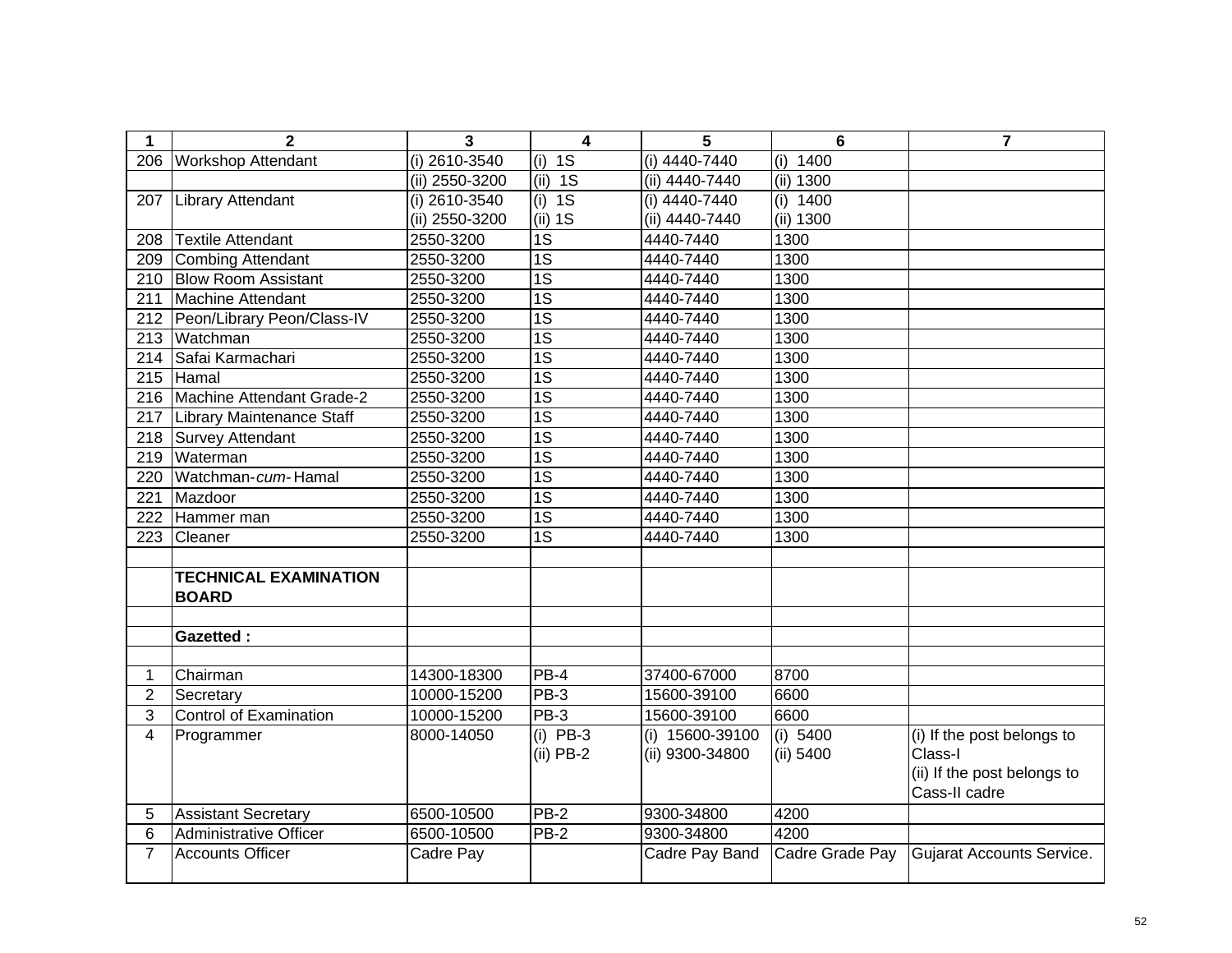| 1                | $\overline{2}$                | 3               | $\overline{\mathbf{4}}$   | 5                                  | $6\phantom{1}6$       | $\overline{7}$                                                                        |
|------------------|-------------------------------|-----------------|---------------------------|------------------------------------|-----------------------|---------------------------------------------------------------------------------------|
| 206              | <b>Workshop Attendant</b>     | $(i)$ 2610-3540 | $\overline{1S}$<br>(i)    | $(i)$ 4440-7440                    | (i)<br>1400           |                                                                                       |
|                  |                               | (ii) 2550-3200  | (ii) 1S                   | (ii) 4440-7440                     | $(ii)$ 1300           |                                                                                       |
| 207              | <b>Library Attendant</b>      | $(i)$ 2610-3540 | $(i)$ 1S                  | $(i)$ 4440-7440                    | (i) $1400$            |                                                                                       |
|                  |                               | (ii) 2550-3200  | (ii) 1S                   | (ii) 4440-7440                     | (ii) 1300             |                                                                                       |
| 208              | <b>Textile Attendant</b>      | 2550-3200       | $\overline{1S}$           | 4440-7440                          | 1300                  |                                                                                       |
| 209              | Combing Attendant             | 2550-3200       | $\overline{1S}$           | 4440-7440                          | 1300                  |                                                                                       |
| 210              | <b>Blow Room Assistant</b>    | 2550-3200       | $\overline{1S}$           | 4440-7440                          | 1300                  |                                                                                       |
| 211              | Machine Attendant             | 2550-3200       | $\overline{1S}$           | 4440-7440                          | 1300                  |                                                                                       |
| 212              | Peon/Library Peon/Class-IV    | 2550-3200       | $\overline{1S}$           | 4440-7440                          | 1300                  |                                                                                       |
| $\overline{213}$ | Watchman                      | 2550-3200       | $\overline{1S}$           | 4440-7440                          | 1300                  |                                                                                       |
| 214              | Safai Karmachari              | 2550-3200       | $\overline{1S}$           | 4440-7440                          | 1300                  |                                                                                       |
| 215              | Hamal                         | 2550-3200       | 1S                        | 4440-7440                          | 1300                  |                                                                                       |
| 216              | Machine Attendant Grade-2     | 2550-3200       | 1S                        | 4440-7440                          | 1300                  |                                                                                       |
| 217              | Library Maintenance Staff     | 2550-3200       | 1S                        | 4440-7440                          | 1300                  |                                                                                       |
| 218              | Survey Attendant              | 2550-3200       | 1S                        | 4440-7440                          | 1300                  |                                                                                       |
| 219              | Waterman                      | 2550-3200       | $\overline{1S}$           | 4440-7440                          | 1300                  |                                                                                       |
| 220              | Watchman-cum-Hamal            | 2550-3200       | $\overline{1S}$           | 4440-7440                          | 1300                  |                                                                                       |
| 221              | Mazdoor                       | 2550-3200       | $\overline{1S}$           | 4440-7440                          | 1300                  |                                                                                       |
| 222              | Hammer man                    | 2550-3200       | $\overline{1S}$           | 4440-7440                          | 1300                  |                                                                                       |
| 223              | Cleaner                       | 2550-3200       | $\overline{1S}$           | 4440-7440                          | 1300                  |                                                                                       |
|                  |                               |                 |                           |                                    |                       |                                                                                       |
|                  | <b>TECHNICAL EXAMINATION</b>  |                 |                           |                                    |                       |                                                                                       |
|                  | <b>BOARD</b>                  |                 |                           |                                    |                       |                                                                                       |
|                  |                               |                 |                           |                                    |                       |                                                                                       |
|                  | <b>Gazetted:</b>              |                 |                           |                                    |                       |                                                                                       |
|                  |                               |                 |                           |                                    |                       |                                                                                       |
| 1                | Chairman                      | 14300-18300     | PB-4                      | 37400-67000                        | 8700                  |                                                                                       |
| $\overline{c}$   | Secretary                     | 10000-15200     | PB-3                      | 15600-39100                        | 6600                  |                                                                                       |
| 3                | <b>Control of Examination</b> | 10000-15200     | PB-3                      | 15600-39100                        | 6600                  |                                                                                       |
| 4                | Programmer                    | 8000-14050      | $(i)$ PB-3<br>$(ii)$ PB-2 | (i) 15600-39100<br>(ii) 9300-34800 | (i) 5400<br>(ii) 5400 | (i) If the post belongs to<br>Class-I<br>(ii) If the post belongs to<br>Cass-II cadre |
| 5                | <b>Assistant Secretary</b>    | 6500-10500      | $PB-2$                    | 9300-34800                         | 4200                  |                                                                                       |
| 6                | Administrative Officer        | 6500-10500      | $PB-2$                    | 9300-34800                         | 4200                  |                                                                                       |
| $\overline{7}$   | <b>Accounts Officer</b>       | Cadre Pay       |                           | Cadre Pay Band                     | Cadre Grade Pay       | Gujarat Accounts Service.                                                             |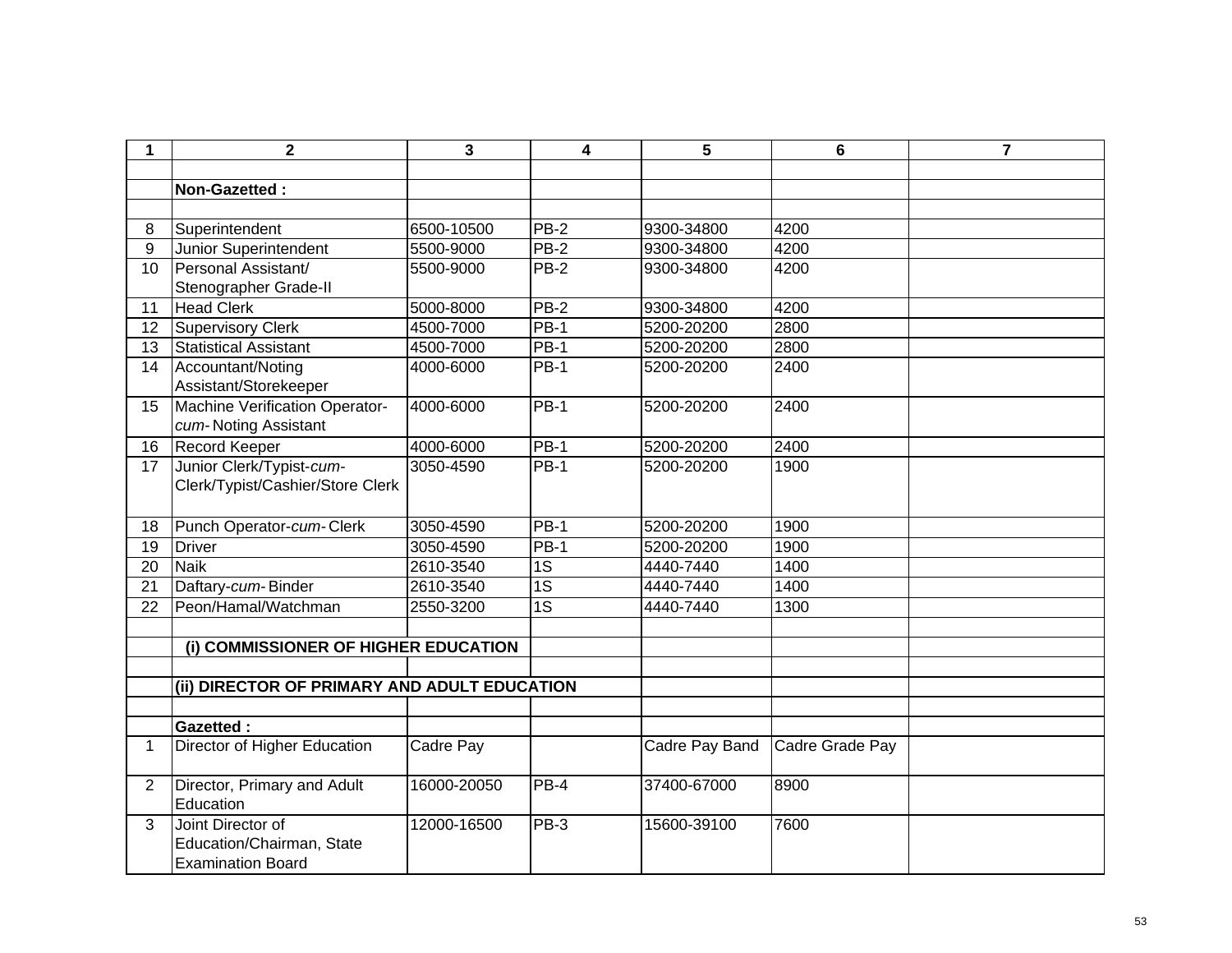| 1               | $\overline{2}$                                                             | 3           | 4               | 5              | 6               | $\overline{7}$ |
|-----------------|----------------------------------------------------------------------------|-------------|-----------------|----------------|-----------------|----------------|
|                 |                                                                            |             |                 |                |                 |                |
|                 | Non-Gazetted:                                                              |             |                 |                |                 |                |
|                 |                                                                            |             |                 |                |                 |                |
| 8               | Superintendent                                                             | 6500-10500  | PB-2            | 9300-34800     | 4200            |                |
| 9               | Junior Superintendent                                                      | 5500-9000   | <b>PB-2</b>     | 9300-34800     | 4200            |                |
| 10              | Personal Assistant/<br>Stenographer Grade-II                               | 5500-9000   | <b>PB-2</b>     | 9300-34800     | 4200            |                |
| 11              | <b>Head Clerk</b>                                                          | 5000-8000   | <b>PB-2</b>     | 9300-34800     | 4200            |                |
| 12              | <b>Supervisory Clerk</b>                                                   | 4500-7000   | $PB-1$          | 5200-20200     | 2800            |                |
| 13              | <b>Statistical Assistant</b>                                               | 4500-7000   | $PB-1$          | 5200-20200     | 2800            |                |
| 14              | Accountant/Noting<br>Assistant/Storekeeper                                 | 4000-6000   | <b>PB-1</b>     | 5200-20200     | 2400            |                |
| 15              | Machine Verification Operator-<br>cum-Noting Assistant                     | 4000-6000   | PB-1            | 5200-20200     | 2400            |                |
| 16              | Record Keeper                                                              | 4000-6000   | $PB-1$          | 5200-20200     | 2400            |                |
| 17              | Junior Clerk/Typist-cum-<br>Clerk/Typist/Cashier/Store Clerk               | 3050-4590   | $PB-1$          | 5200-20200     | 1900            |                |
| 18              | Punch Operator-cum-Clerk                                                   | 3050-4590   | <b>PB-1</b>     | 5200-20200     | 1900            |                |
| 19              | <b>Driver</b>                                                              | 3050-4590   | $PB-1$          | 5200-20200     | 1900            |                |
| $\overline{20}$ | <b>Naik</b>                                                                | 2610-3540   | $\overline{1S}$ | 4440-7440      | 1400            |                |
| 21              | Daftary-cum-Binder                                                         | 2610-3540   | $\overline{1S}$ | 4440-7440      | 1400            |                |
| 22              | Peon/Hamal/Watchman                                                        | 2550-3200   | $\overline{1S}$ | 4440-7440      | 1300            |                |
|                 |                                                                            |             |                 |                |                 |                |
|                 | (i) COMMISSIONER OF HIGHER EDUCATION                                       |             |                 |                |                 |                |
|                 |                                                                            |             |                 |                |                 |                |
|                 | (ii) DIRECTOR OF PRIMARY AND ADULT EDUCATION                               |             |                 |                |                 |                |
|                 |                                                                            |             |                 |                |                 |                |
|                 | <b>Gazetted:</b>                                                           |             |                 |                |                 |                |
| $\mathbf 1$     | Director of Higher Education                                               | Cadre Pay   |                 | Cadre Pay Band | Cadre Grade Pay |                |
| $\overline{2}$  | Director, Primary and Adult<br>Education                                   | 16000-20050 | $PB-4$          | 37400-67000    | 8900            |                |
| 3               | Joint Director of<br>Education/Chairman, State<br><b>Examination Board</b> | 12000-16500 | PB-3            | 15600-39100    | 7600            |                |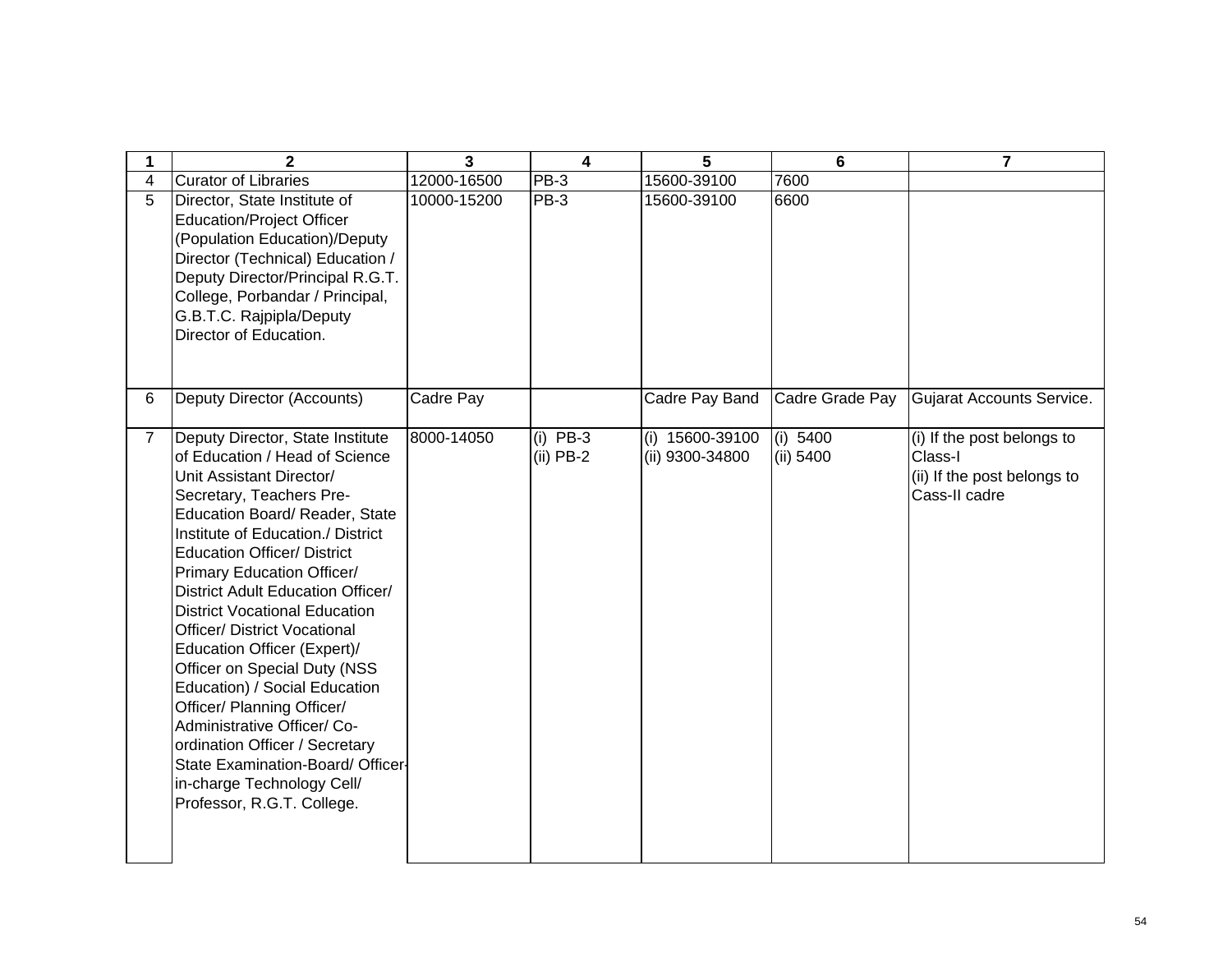| 1              | $\mathbf{2}$                                                                                                                                                                                                                                                                                                                                                                                                                                                                                                                                                                                                                                                                              | $\overline{3}$ | 4                         | 5                                    | 6                     | $\overline{7}$                                                                        |
|----------------|-------------------------------------------------------------------------------------------------------------------------------------------------------------------------------------------------------------------------------------------------------------------------------------------------------------------------------------------------------------------------------------------------------------------------------------------------------------------------------------------------------------------------------------------------------------------------------------------------------------------------------------------------------------------------------------------|----------------|---------------------------|--------------------------------------|-----------------------|---------------------------------------------------------------------------------------|
| 4              | <b>Curator of Libraries</b>                                                                                                                                                                                                                                                                                                                                                                                                                                                                                                                                                                                                                                                               | 12000-16500    | PB-3                      | 15600-39100                          | 7600                  |                                                                                       |
| 5              | Director, State Institute of<br><b>Education/Project Officer</b><br>(Population Education)/Deputy<br>Director (Technical) Education /<br>Deputy Director/Principal R.G.T.<br>College, Porbandar / Principal,<br>G.B.T.C. Rajpipla/Deputy<br>Director of Education.                                                                                                                                                                                                                                                                                                                                                                                                                        | 10000-15200    | PB-3                      | 15600-39100                          | 6600                  |                                                                                       |
| 6              | Deputy Director (Accounts)                                                                                                                                                                                                                                                                                                                                                                                                                                                                                                                                                                                                                                                                | Cadre Pay      |                           | Cadre Pay Band                       | Cadre Grade Pay       | Gujarat Accounts Service.                                                             |
| $\overline{7}$ | Deputy Director, State Institute<br>of Education / Head of Science<br>Unit Assistant Director/<br>Secretary, Teachers Pre-<br>Education Board/ Reader, State<br>Institute of Education./ District<br><b>Education Officer/ District</b><br>Primary Education Officer/<br>District Adult Education Officer/<br><b>District Vocational Education</b><br><b>Officer/ District Vocational</b><br>Education Officer (Expert)/<br>Officer on Special Duty (NSS<br>Education) / Social Education<br>Officer/ Planning Officer/<br>Administrative Officer/ Co-<br>ordination Officer / Secretary<br>State Examination-Board/ Officer-<br>in-charge Technology Cell/<br>Professor, R.G.T. College. | 8000-14050     | $(i)$ PB-3<br>$(ii)$ PB-2 | $(i)$ 15600-39100<br>(ii) 9300-34800 | (i) 5400<br>(ii) 5400 | (i) If the post belongs to<br>Class-I<br>(ii) If the post belongs to<br>Cass-II cadre |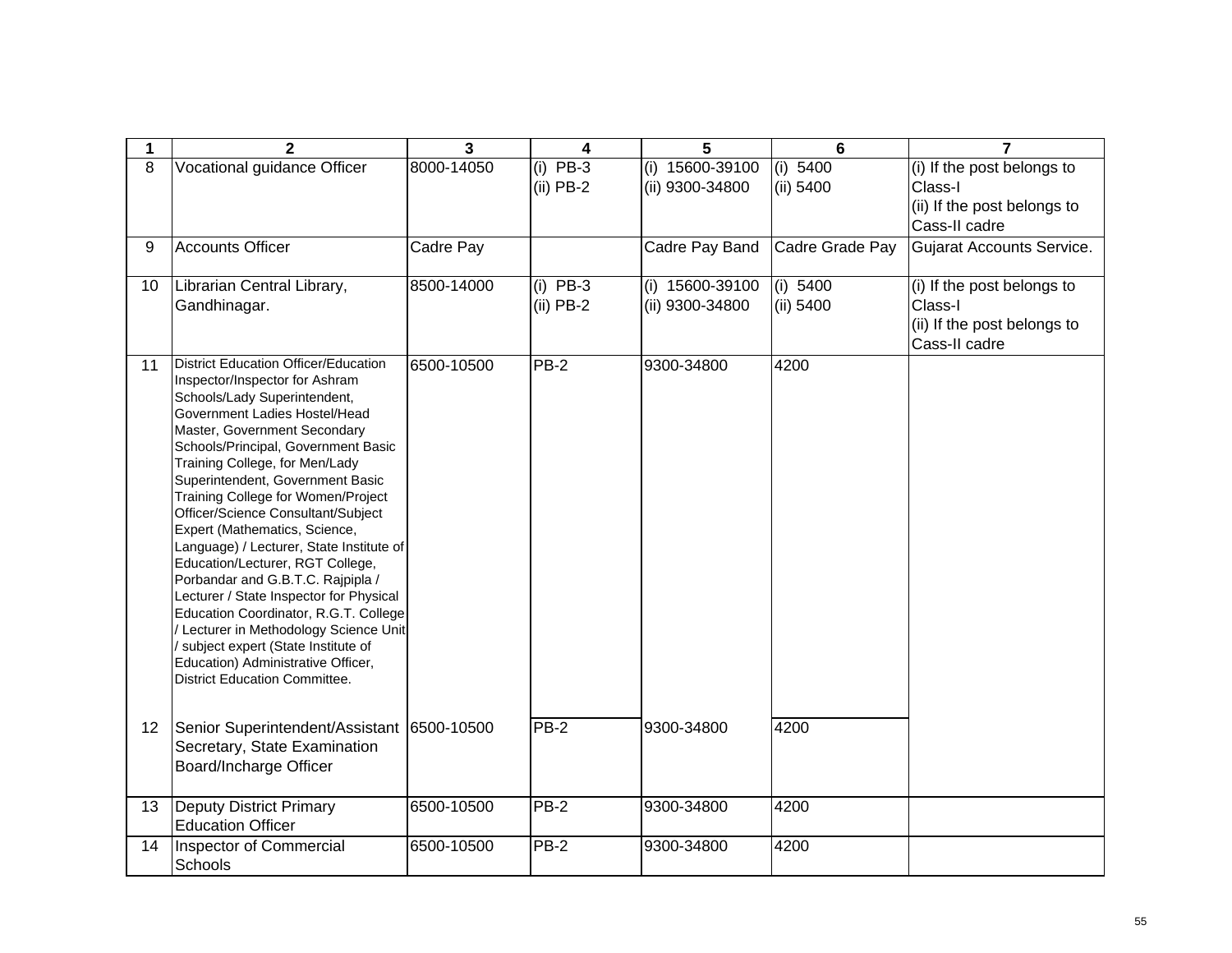| 1               | $\mathbf{2}$                                                                                                                                                                                                                                                                                                                                                                                                                                                                                                                                                                                                                                                                                                                                                             | 3          | 4                         | 5                                  | $6\phantom{1}6$       | $\overline{7}$                                                                        |
|-----------------|--------------------------------------------------------------------------------------------------------------------------------------------------------------------------------------------------------------------------------------------------------------------------------------------------------------------------------------------------------------------------------------------------------------------------------------------------------------------------------------------------------------------------------------------------------------------------------------------------------------------------------------------------------------------------------------------------------------------------------------------------------------------------|------------|---------------------------|------------------------------------|-----------------------|---------------------------------------------------------------------------------------|
| 8               | Vocational guidance Officer                                                                                                                                                                                                                                                                                                                                                                                                                                                                                                                                                                                                                                                                                                                                              | 8000-14050 | $(i)$ PB-3<br>$(ii)$ PB-2 | (i) 15600-39100<br>(ii) 9300-34800 | (i) 5400<br>(ii) 5400 | (i) If the post belongs to<br>Class-I<br>(ii) If the post belongs to<br>Cass-II cadre |
| 9               | <b>Accounts Officer</b>                                                                                                                                                                                                                                                                                                                                                                                                                                                                                                                                                                                                                                                                                                                                                  | Cadre Pay  |                           | Cadre Pay Band                     | Cadre Grade Pay       | <b>Gujarat Accounts Service.</b>                                                      |
| 10              | Librarian Central Library,<br>Gandhinagar.                                                                                                                                                                                                                                                                                                                                                                                                                                                                                                                                                                                                                                                                                                                               | 8500-14000 | $(i)$ PB-3<br>$(ii)$ PB-2 | (i) 15600-39100<br>(ii) 9300-34800 | (i) 5400<br>(ii) 5400 | (i) If the post belongs to<br>Class-I<br>(ii) If the post belongs to<br>Cass-II cadre |
| 11              | District Education Officer/Education<br>Inspector/Inspector for Ashram<br>Schools/Lady Superintendent,<br>Government Ladies Hostel/Head<br>Master, Government Secondary<br>Schools/Principal, Government Basic<br>Training College, for Men/Lady<br>Superintendent, Government Basic<br>Training College for Women/Project<br>Officer/Science Consultant/Subject<br>Expert (Mathematics, Science,<br>Language) / Lecturer, State Institute of<br>Education/Lecturer, RGT College,<br>Porbandar and G.B.T.C. Rajpipla /<br>Lecturer / State Inspector for Physical<br>Education Coordinator, R.G.T. College<br>/ Lecturer in Methodology Science Unit<br>subject expert (State Institute of<br>Education) Administrative Officer,<br><b>District Education Committee.</b> | 6500-10500 | <b>PB-2</b>               | 9300-34800                         | 4200                  |                                                                                       |
| 12 <sup>°</sup> | Senior Superintendent/Assistant 6500-10500<br>Secretary, State Examination<br>Board/Incharge Officer                                                                                                                                                                                                                                                                                                                                                                                                                                                                                                                                                                                                                                                                     |            | $PB-2$                    | 9300-34800                         | 4200                  |                                                                                       |
| 13              | <b>Deputy District Primary</b><br><b>Education Officer</b>                                                                                                                                                                                                                                                                                                                                                                                                                                                                                                                                                                                                                                                                                                               | 6500-10500 | <b>PB-2</b>               | 9300-34800                         | 4200                  |                                                                                       |
| 14              | <b>Inspector of Commercial</b><br>Schools                                                                                                                                                                                                                                                                                                                                                                                                                                                                                                                                                                                                                                                                                                                                | 6500-10500 | <b>PB-2</b>               | 9300-34800                         | 4200                  |                                                                                       |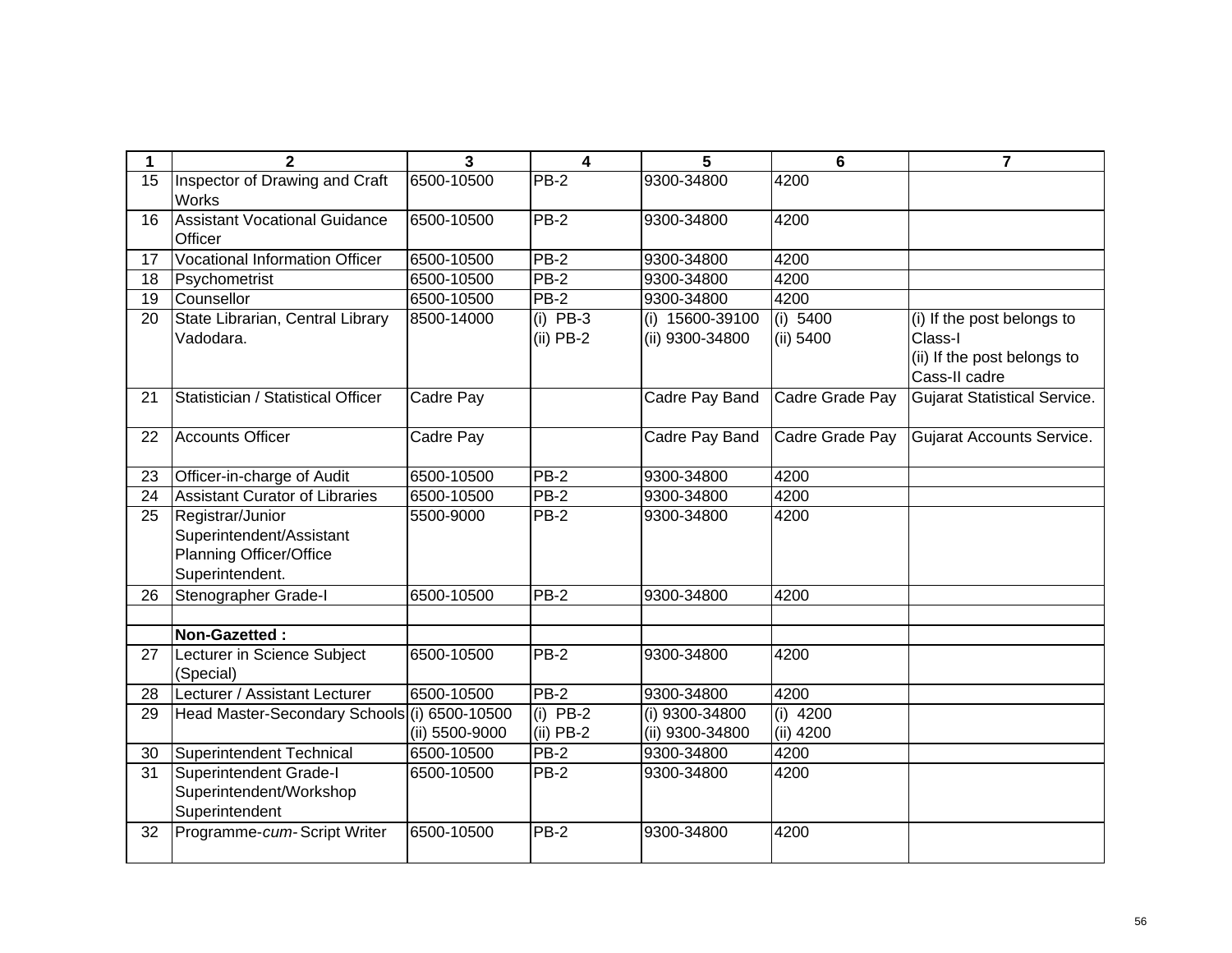| 1  | $\mathbf{2}$                                                                                      | 3              | 4                         | 5                                  | 6                       | $\overline{7}$                                                                        |
|----|---------------------------------------------------------------------------------------------------|----------------|---------------------------|------------------------------------|-------------------------|---------------------------------------------------------------------------------------|
| 15 | Inspector of Drawing and Craft<br>Works                                                           | 6500-10500     | PB-2                      | 9300-34800                         | 4200                    |                                                                                       |
| 16 | <b>Assistant Vocational Guidance</b><br>Officer                                                   | 6500-10500     | <b>PB-2</b>               | 9300-34800                         | 4200                    |                                                                                       |
| 17 | <b>Vocational Information Officer</b>                                                             | 6500-10500     | PB-2                      | 9300-34800                         | 4200                    |                                                                                       |
| 18 | Psychometrist                                                                                     | 6500-10500     | $PB-2$                    | 9300-34800                         | 4200                    |                                                                                       |
| 19 | Counsellor                                                                                        | 6500-10500     | $PB-2$                    | 9300-34800                         | 4200                    |                                                                                       |
| 20 | State Librarian, Central Library<br>Vadodara.                                                     | 8500-14000     | $(i)$ PB-3<br>$(ii)$ PB-2 | (i) 15600-39100<br>(ii) 9300-34800 | (i) 5400<br>(ii) 5400   | (i) If the post belongs to<br>Class-I<br>(ii) If the post belongs to<br>Cass-II cadre |
| 21 | Statistician / Statistical Officer                                                                | Cadre Pay      |                           | Cadre Pay Band                     | Cadre Grade Pay         | Gujarat Statistical Service.                                                          |
| 22 | <b>Accounts Officer</b>                                                                           | Cadre Pay      |                           | Cadre Pay Band                     | Cadre Grade Pay         | Gujarat Accounts Service.                                                             |
| 23 | Officer-in-charge of Audit                                                                        | 6500-10500     | PB-2                      | 9300-34800                         | 4200                    |                                                                                       |
| 24 | <b>Assistant Curator of Libraries</b>                                                             | 6500-10500     | <b>PB-2</b>               | 9300-34800                         | 4200                    |                                                                                       |
| 25 | Registrar/Junior<br>Superintendent/Assistant<br><b>Planning Officer/Office</b><br>Superintendent. | 5500-9000      | <b>PB-2</b>               | 9300-34800                         | 4200                    |                                                                                       |
| 26 | Stenographer Grade-I                                                                              | 6500-10500     | $PB-2$                    | 9300-34800                         | 4200                    |                                                                                       |
|    |                                                                                                   |                |                           |                                    |                         |                                                                                       |
|    | Non-Gazetted:                                                                                     |                |                           |                                    |                         |                                                                                       |
| 27 | Lecturer in Science Subject<br>(Special)                                                          | 6500-10500     | <b>PB-2</b>               | 9300-34800                         | 4200                    |                                                                                       |
| 28 | Lecturer / Assistant Lecturer                                                                     | 6500-10500     | $PB-2$                    | 9300-34800                         | 4200                    |                                                                                       |
| 29 | Head Master-Secondary Schools (i) 6500-10500                                                      | (ii) 5500-9000 | $(i)$ PB-2<br>$(ii)$ PB-2 | (i) 9300-34800<br>(ii) 9300-34800  | $(i)$ 4200<br>(ii) 4200 |                                                                                       |
| 30 | Superintendent Technical                                                                          | 6500-10500     | <b>PB-2</b>               | 9300-34800                         | 4200                    |                                                                                       |
| 31 | Superintendent Grade-I<br>Superintendent/Workshop<br>Superintendent                               | 6500-10500     | PB-2                      | 9300-34800                         | 4200                    |                                                                                       |
| 32 | Programme-cum-Script Writer                                                                       | 6500-10500     | PB-2                      | 9300-34800                         | 4200                    |                                                                                       |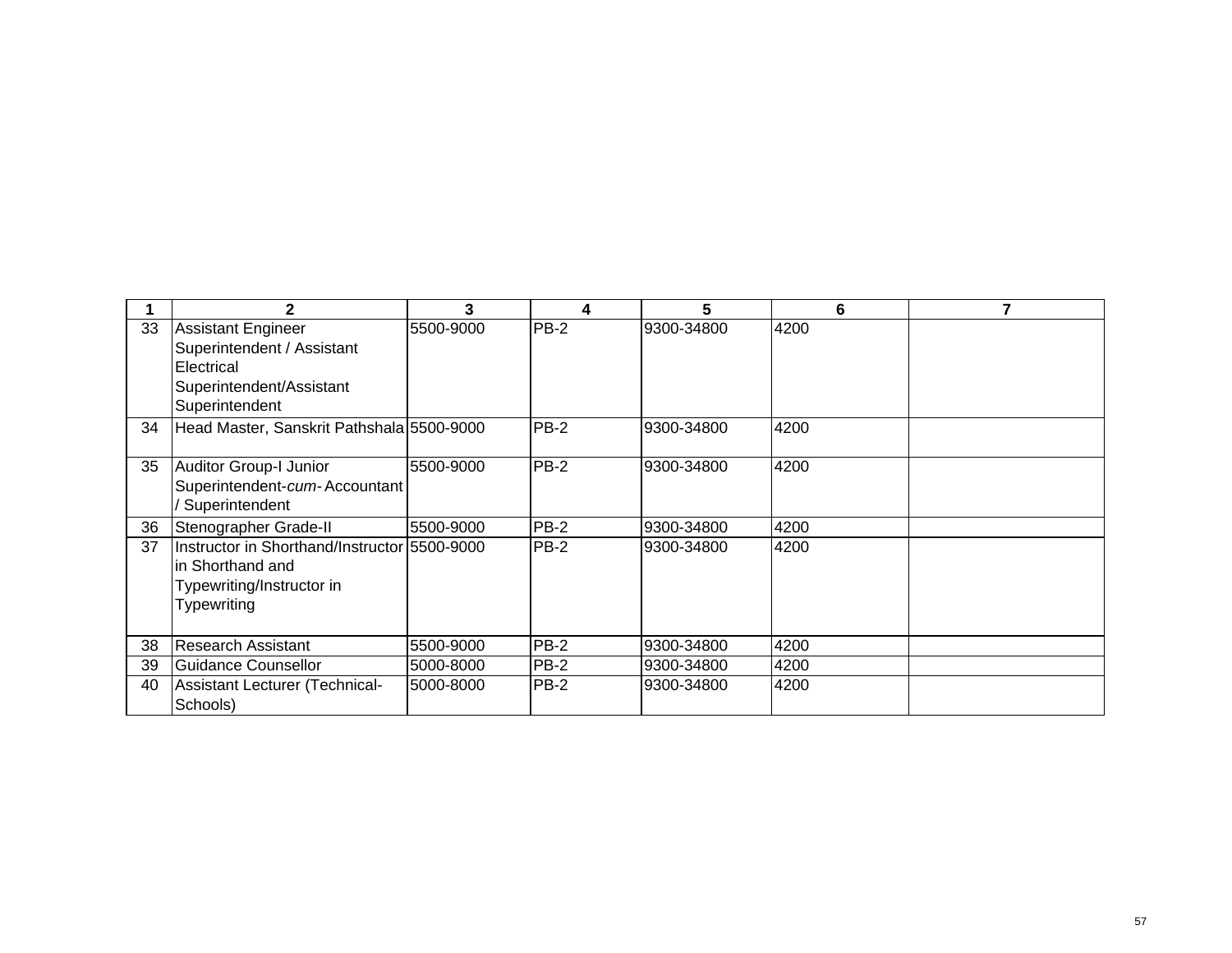|    | 2                                                                                                            |           | 4           | 5          | 6    |  |
|----|--------------------------------------------------------------------------------------------------------------|-----------|-------------|------------|------|--|
| 33 | Assistant Engineer<br>Superintendent / Assistant<br>Electrical                                               | 5500-9000 | $PB-2$      | 9300-34800 | 4200 |  |
|    | Superintendent/Assistant<br>Superintendent                                                                   |           |             |            |      |  |
| 34 | Head Master, Sanskrit Pathshala 5500-9000                                                                    |           | PB-2        | 9300-34800 | 4200 |  |
| 35 | Auditor Group-I Junior<br>Superintendent-cum-Accountant<br>Superintendent                                    | 5500-9000 | PB-2        | 9300-34800 | 4200 |  |
| 36 | Stenographer Grade-II                                                                                        | 5500-9000 | PB-2        | 9300-34800 | 4200 |  |
| 37 | Instructor in Shorthand/Instructor 5500-9000<br>in Shorthand and<br>Typewriting/Instructor in<br>Typewriting |           | <b>PB-2</b> | 9300-34800 | 4200 |  |
| 38 | Research Assistant                                                                                           | 5500-9000 | $PB-2$      | 9300-34800 | 4200 |  |
| 39 | Guidance Counsellor                                                                                          | 5000-8000 | PB-2        | 9300-34800 | 4200 |  |
| 40 | Assistant Lecturer (Technical-<br>Schools)                                                                   | 5000-8000 | PB-2        | 9300-34800 | 4200 |  |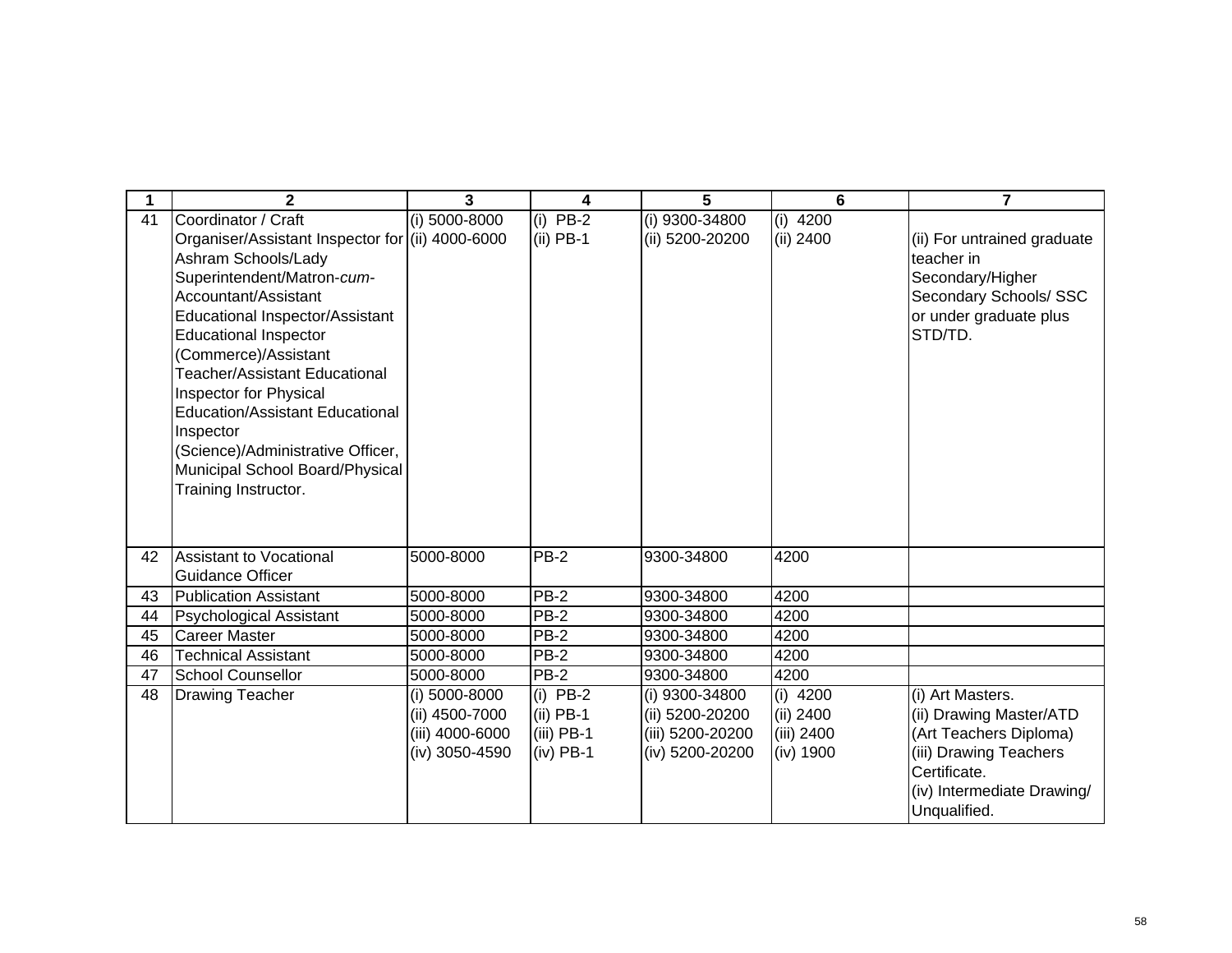|    | $\mathbf{2}$                                     | $\overline{3}$  | 4            | 5                  | 6          | $\overline{7}$              |
|----|--------------------------------------------------|-----------------|--------------|--------------------|------------|-----------------------------|
| 41 | Coordinator / Craft                              | (i) 5000-8000   | $(i)$ PB-2   | (i) $9300 - 34800$ | $(i)$ 4200 |                             |
|    | Organiser/Assistant Inspector for (ii) 4000-6000 |                 | $(ii)$ PB-1  | (ii) 5200-20200    | (ii) 2400  | (ii) For untrained graduate |
|    | Ashram Schools/Lady                              |                 |              |                    |            | teacher in                  |
|    | Superintendent/Matron-cum-                       |                 |              |                    |            | Secondary/Higher            |
|    | Accountant/Assistant                             |                 |              |                    |            | Secondary Schools/ SSC      |
|    | Educational Inspector/Assistant                  |                 |              |                    |            | or under graduate plus      |
|    | <b>Educational Inspector</b>                     |                 |              |                    |            | STD/TD.                     |
|    | (Commerce)/Assistant                             |                 |              |                    |            |                             |
|    | <b>Teacher/Assistant Educational</b>             |                 |              |                    |            |                             |
|    | Inspector for Physical                           |                 |              |                    |            |                             |
|    | <b>Education/Assistant Educational</b>           |                 |              |                    |            |                             |
|    | Inspector                                        |                 |              |                    |            |                             |
|    | (Science)/Administrative Officer,                |                 |              |                    |            |                             |
|    | Municipal School Board/Physical                  |                 |              |                    |            |                             |
|    | Training Instructor.                             |                 |              |                    |            |                             |
|    |                                                  |                 |              |                    |            |                             |
|    |                                                  |                 |              |                    |            |                             |
| 42 | Assistant to Vocational                          | 5000-8000       | <b>PB-2</b>  | 9300-34800         | 4200       |                             |
|    | <b>Guidance Officer</b>                          |                 |              |                    |            |                             |
| 43 | Publication Assistant                            | 5000-8000       | <b>PB-2</b>  | 9300-34800         | 4200       |                             |
| 44 | Psychological Assistant                          | 5000-8000       | $PB-2$       | 9300-34800         | 4200       |                             |
| 45 | Career Master                                    | 5000-8000       | $PB-2$       | 9300-34800         | 4200       |                             |
| 46 | <b>Technical Assistant</b>                       | 5000-8000       | PB-2         | 9300-34800         | 4200       |                             |
| 47 | School Counsellor                                | 5000-8000       | PB-2         | 9300-34800         | 4200       |                             |
| 48 | Drawing Teacher                                  | (i) 5000-8000   | $(i)$ PB-2   | (i) 9300-34800     | $(i)$ 4200 | (i) Art Masters.            |
|    |                                                  | (ii) 4500-7000  | $(ii)$ PB-1  | (ii) 5200-20200    | (ii) 2400  | (ii) Drawing Master/ATD     |
|    |                                                  | (iii) 4000-6000 | $(iii)$ PB-1 | (iii) 5200-20200   | (iii) 2400 | (Art Teachers Diploma)      |
|    |                                                  | (iv) 3050-4590  | $(iv)$ PB-1  | (iv) 5200-20200    | (iv) 1900  | (iii) Drawing Teachers      |
|    |                                                  |                 |              |                    |            | Certificate.                |
|    |                                                  |                 |              |                    |            | (iv) Intermediate Drawing/  |
|    |                                                  |                 |              |                    |            | Unqualified.                |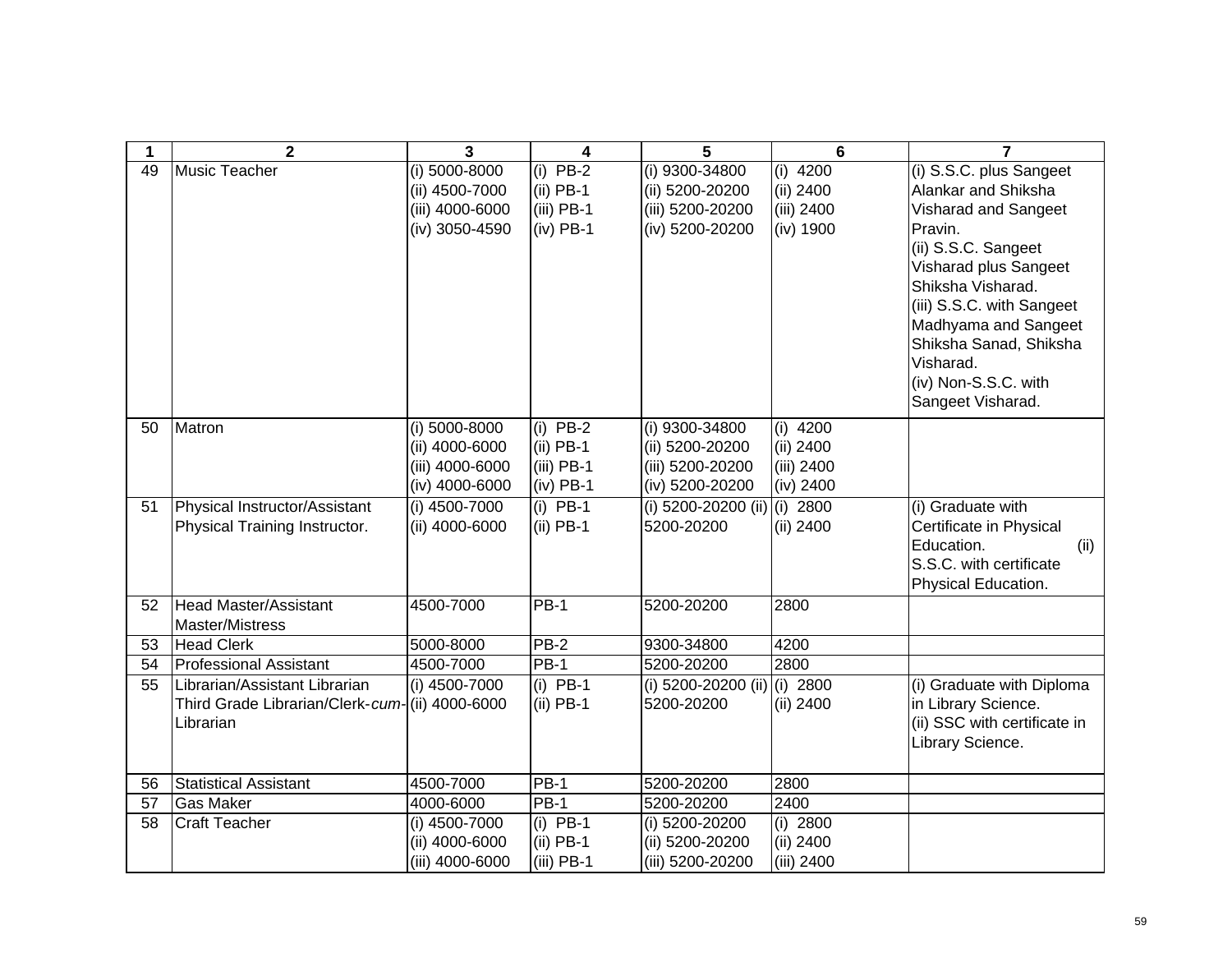| 1  | $\mathbf{2}$                                   | 3               | 4            | 5                   | 6          | $\overline{7}$               |
|----|------------------------------------------------|-----------------|--------------|---------------------|------------|------------------------------|
| 49 | <b>Music Teacher</b>                           | (i) 5000-8000   | $(i)$ PB-2   | (i) 9300-34800      | $(i)$ 4200 | (i) S.S.C. plus Sangeet      |
|    |                                                | (ii) 4500-7000  | $(ii)$ PB-1  | (ii) 5200-20200     | (ii) 2400  | Alankar and Shiksha          |
|    |                                                | (iii) 4000-6000 | $(iii)$ PB-1 | (iii) 5200-20200    | (iii) 2400 | Visharad and Sangeet         |
|    |                                                | (iv) 3050-4590  | $(iv)$ PB-1  | (iv) 5200-20200     | (iv) 1900  | Pravin.                      |
|    |                                                |                 |              |                     |            | (ii) S.S.C. Sangeet          |
|    |                                                |                 |              |                     |            | Visharad plus Sangeet        |
|    |                                                |                 |              |                     |            | Shiksha Visharad.            |
|    |                                                |                 |              |                     |            | (iii) S.S.C. with Sangeet    |
|    |                                                |                 |              |                     |            | Madhyama and Sangeet         |
|    |                                                |                 |              |                     |            | Shiksha Sanad, Shiksha       |
|    |                                                |                 |              |                     |            | Visharad.                    |
|    |                                                |                 |              |                     |            | (iv) Non-S.S.C. with         |
|    |                                                |                 |              |                     |            | Sangeet Visharad.            |
| 50 | Matron                                         | (i) 5000-8000   | $(i)$ PB-2   | (i) 9300-34800      | $(i)$ 4200 |                              |
|    |                                                | (ii) 4000-6000  | $(ii)$ PB-1  | (ii) 5200-20200     | (ii) 2400  |                              |
|    |                                                | (iii) 4000-6000 | $(iii)$ PB-1 | (iii) 5200-20200    | (iii) 2400 |                              |
|    |                                                | (iv) 4000-6000  | $(iv)$ PB-1  | (iv) 5200-20200     | (iv) 2400  |                              |
| 51 | Physical Instructor/Assistant                  | (i) 4500-7000   | $(i)$ PB-1   | (i) 5200-20200 (ii) | $(i)$ 2800 | (i) Graduate with            |
|    | Physical Training Instructor.                  | (ii) 4000-6000  | $(ii)$ PB-1  | 5200-20200          | (ii) 2400  | Certificate in Physical      |
|    |                                                |                 |              |                     |            | Education.<br>(ii)           |
|    |                                                |                 |              |                     |            | S.S.C. with certificate      |
|    |                                                |                 |              |                     |            | Physical Education.          |
| 52 | <b>Head Master/Assistant</b>                   | 4500-7000       | $PB-1$       | 5200-20200          | 2800       |                              |
| 53 | Master/Mistress<br><b>Head Clerk</b>           | 5000-8000       | $PB-2$       | 9300-34800          | 4200       |                              |
| 54 | <b>Professional Assistant</b>                  | 4500-7000       | $PB-1$       | 5200-20200          | 2800       |                              |
| 55 | Librarian/Assistant Librarian                  | (i) 4500-7000   | $(i)$ PB-1   | (i) 5200-20200 (ii) | (i) 2800   | (i) Graduate with Diploma    |
|    | Third Grade Librarian/Clerk-cum-(ii) 4000-6000 |                 | $(ii)$ PB-1  | 5200-20200          | (ii) 2400  | in Library Science.          |
|    | Librarian                                      |                 |              |                     |            | (ii) SSC with certificate in |
|    |                                                |                 |              |                     |            | Library Science.             |
|    |                                                |                 |              |                     |            |                              |
| 56 | <b>Statistical Assistant</b>                   | 4500-7000       | <b>PB-1</b>  | 5200-20200          | 2800       |                              |
| 57 | <b>Gas Maker</b>                               | 4000-6000       | $PB-1$       | 5200-20200          | 2400       |                              |
| 58 | <b>Craft Teacher</b>                           | (i) 4500-7000   | $(i)$ PB-1   | (i) 5200-20200      | (i) $2800$ |                              |
|    |                                                | (ii) 4000-6000  | $(ii)$ PB-1  | (ii) 5200-20200     | (ii) 2400  |                              |
|    |                                                | (iii) 4000-6000 | $(iii)$ PB-1 | (iii) 5200-20200    | (iii) 2400 |                              |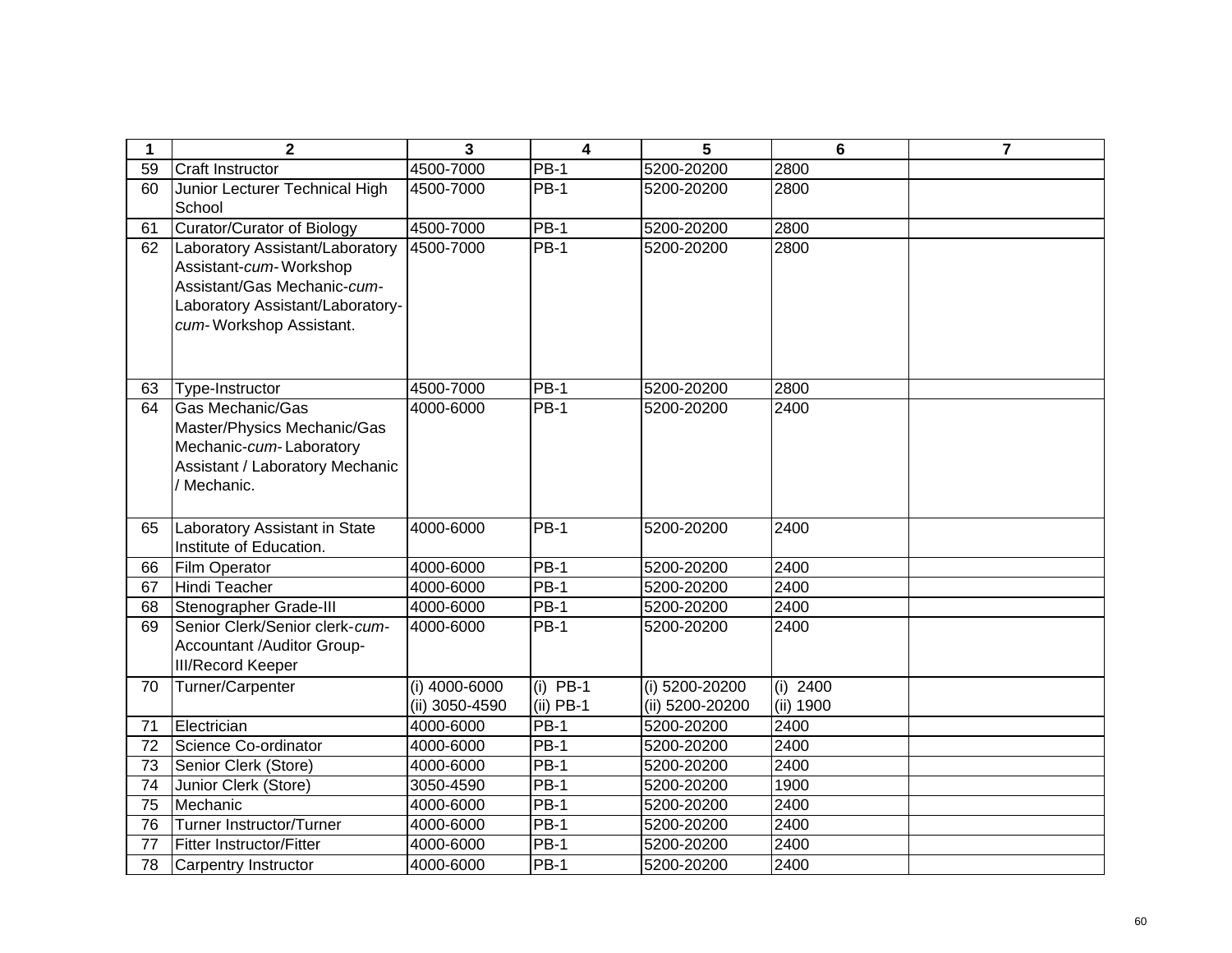| 1                     | $\mathbf{2}$                     | 3                           | $\overline{\mathbf{4}}$ | 5                        | $6\phantom{1}$ | $\overline{7}$ |
|-----------------------|----------------------------------|-----------------------------|-------------------------|--------------------------|----------------|----------------|
| 59                    | <b>Craft Instructor</b>          | 4500-7000                   | <b>PB-1</b>             | 5200-20200               | 2800           |                |
| 60                    | Junior Lecturer Technical High   | 4500-7000                   | <b>PB-1</b>             | 5200-20200               | 2800           |                |
|                       | School                           |                             |                         |                          |                |                |
| 61                    | Curator/Curator of Biology       | 4500-7000                   | $PB-1$                  | 5200-20200               | 2800           |                |
| 62                    | Laboratory Assistant/Laboratory  | 4500-7000                   | $PB-1$                  | 5200-20200               | 2800           |                |
|                       | Assistant-cum-Workshop           |                             |                         |                          |                |                |
|                       | Assistant/Gas Mechanic-cum-      |                             |                         |                          |                |                |
|                       | Laboratory Assistant/Laboratory- |                             |                         |                          |                |                |
|                       | cum-Workshop Assistant.          |                             |                         |                          |                |                |
|                       |                                  |                             |                         |                          |                |                |
|                       |                                  |                             |                         |                          |                |                |
| 63                    | Type-Instructor                  | 4500-7000                   | <b>PB-1</b>             | 5200-20200               | 2800           |                |
| 64                    | Gas Mechanic/Gas                 | 4000-6000                   | $PB-1$                  | 5200-20200               | 2400           |                |
|                       | Master/Physics Mechanic/Gas      |                             |                         |                          |                |                |
|                       | Mechanic-cum-Laboratory          |                             |                         |                          |                |                |
|                       | Assistant / Laboratory Mechanic  |                             |                         |                          |                |                |
|                       | Mechanic.                        |                             |                         |                          |                |                |
|                       |                                  |                             |                         |                          |                |                |
| 65                    | Laboratory Assistant in State    | 4000-6000                   | $PB-1$                  | 5200-20200               | 2400           |                |
|                       | Institute of Education.          |                             |                         |                          |                |                |
| 66                    | <b>Film Operator</b>             | 4000-6000                   | $PB-1$                  | 5200-20200               | 2400           |                |
| 67                    | <b>Hindi Teacher</b>             | 4000-6000                   | $PB-1$                  | 5200-20200               | 2400           |                |
| 68                    | Stenographer Grade-III           | 4000-6000                   | $PB-1$                  | 5200-20200               | 2400           |                |
| 69                    | Senior Clerk/Senior clerk-cum-   | 4000-6000                   | $PB-1$                  | 5200-20200               | 2400           |                |
|                       | Accountant /Auditor Group-       |                             |                         |                          |                |                |
|                       | <b>III/Record Keeper</b>         |                             |                         |                          |                |                |
| 70                    | Turner/Carpenter                 | (i) 4000-6000               | $(i)$ PB-1              | (i) 5200-20200           | $(i)$ 2400     |                |
|                       |                                  | (ii) 3050-4590<br>4000-6000 | $(ii)$ PB-1<br>$PB-1$   | (ii) 5200-20200          | (ii) 1900      |                |
| 71                    | Electrician                      |                             | $PB-1$                  | 5200-20200               | 2400           |                |
| 72                    | Science Co-ordinator             | 4000-6000                   |                         | 5200-20200               | 2400           |                |
| 73                    | Senior Clerk (Store)             | 4000-6000                   | $PB-1$<br>$PB-1$        | 5200-20200               | 2400           |                |
| 74<br>$\overline{75}$ | Junior Clerk (Store)<br>Mechanic | 3050-4590<br>4000-6000      | $PB-1$                  | 5200-20200<br>5200-20200 | 1900<br>2400   |                |
| 76                    | Turner Instructor/Turner         | 4000-6000                   | $PB-1$                  | 5200-20200               | 2400           |                |
| 77                    | <b>Fitter Instructor/Fitter</b>  | 4000-6000                   | <b>PB-1</b>             | 5200-20200               | 2400           |                |
|                       |                                  |                             | <b>PB-1</b>             |                          |                |                |
| 78                    | Carpentry Instructor             | 4000-6000                   |                         | 5200-20200               | 2400           |                |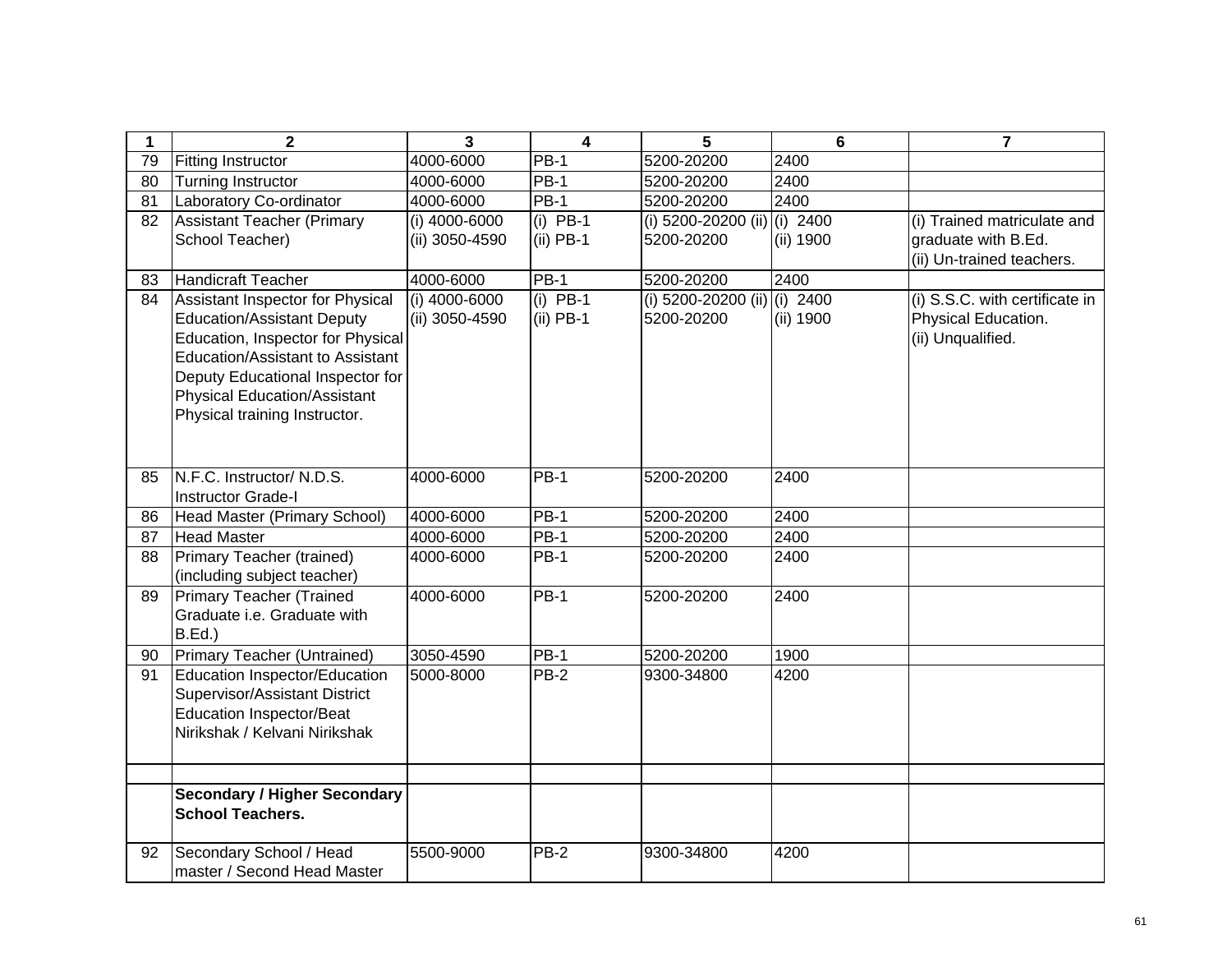| 1  | $\mathbf{2}$                                         | 3                               | $\overline{\mathbf{4}}$   | 5                                          | 6         | $\overline{7}$                                     |
|----|------------------------------------------------------|---------------------------------|---------------------------|--------------------------------------------|-----------|----------------------------------------------------|
| 79 | <b>Fitting Instructor</b>                            | 4000-6000                       | <b>PB-1</b>               | 5200-20200                                 | 2400      |                                                    |
| 80 | <b>Turning Instructor</b>                            | 4000-6000                       | <b>PB-1</b>               | 5200-20200                                 | 2400      |                                                    |
| 81 | Laboratory Co-ordinator                              | 4000-6000                       | $PB-1$                    | 5200-20200                                 | 2400      |                                                    |
| 82 | <b>Assistant Teacher (Primary</b><br>School Teacher) | (i) 4000-6000<br>(ii) 3050-4590 | $(i)$ PB-1<br>$(ii)$ PB-1 | (i) 5200-20200 (ii) (i) 2400<br>5200-20200 | (ii) 1900 | (i) Trained matriculate and<br>graduate with B.Ed. |
|    |                                                      |                                 |                           |                                            |           | (ii) Un-trained teachers.                          |
| 83 | Handicraft Teacher                                   | 4000-6000                       | $\overline{PB-1}$         | 5200-20200                                 | 2400      |                                                    |
| 84 | Assistant Inspector for Physical                     | (i) $4000 - 6000$               | $(i)$ PB-1                | (i) 5200-20200 (ii) (i) 2400               |           | (i) S.S.C. with certificate in                     |
|    | <b>Education/Assistant Deputy</b>                    | (ii) 3050-4590                  | $(ii)$ PB-1               | 5200-20200                                 | (ii) 1900 | Physical Education.                                |
|    | Education, Inspector for Physical                    |                                 |                           |                                            |           | (ii) Unqualified.                                  |
|    | Education/Assistant to Assistant                     |                                 |                           |                                            |           |                                                    |
|    | Deputy Educational Inspector for                     |                                 |                           |                                            |           |                                                    |
|    | <b>Physical Education/Assistant</b>                  |                                 |                           |                                            |           |                                                    |
|    | Physical training Instructor.                        |                                 |                           |                                            |           |                                                    |
|    |                                                      |                                 |                           |                                            |           |                                                    |
|    |                                                      |                                 |                           |                                            |           |                                                    |
| 85 | N.F.C. Instructor/ N.D.S.                            | 4000-6000                       | $PB-1$                    | 5200-20200                                 | 2400      |                                                    |
|    | <b>Instructor Grade-I</b>                            |                                 |                           |                                            |           |                                                    |
| 86 | Head Master (Primary School)                         | 4000-6000                       | <b>PB-1</b>               | 5200-20200                                 | 2400      |                                                    |
| 87 | <b>Head Master</b>                                   | 4000-6000                       | <b>PB-1</b>               | 5200-20200                                 | 2400      |                                                    |
| 88 | Primary Teacher (trained)                            | 4000-6000                       | <b>PB-1</b>               | 5200-20200                                 | 2400      |                                                    |
|    | (including subject teacher)                          |                                 |                           |                                            |           |                                                    |
| 89 | <b>Primary Teacher (Trained</b>                      | 4000-6000                       | <b>PB-1</b>               | 5200-20200                                 | 2400      |                                                    |
|    | Graduate i.e. Graduate with                          |                                 |                           |                                            |           |                                                    |
|    | B.Ed.)                                               |                                 |                           |                                            |           |                                                    |
| 90 | Primary Teacher (Untrained)                          | 3050-4590                       | <b>PB-1</b>               | 5200-20200                                 | 1900      |                                                    |
| 91 | Education Inspector/Education                        | 5000-8000                       | <b>PB-2</b>               | 9300-34800                                 | 4200      |                                                    |
|    | Supervisor/Assistant District                        |                                 |                           |                                            |           |                                                    |
|    | <b>Education Inspector/Beat</b>                      |                                 |                           |                                            |           |                                                    |
|    | Nirikshak / Kelvani Nirikshak                        |                                 |                           |                                            |           |                                                    |
|    |                                                      |                                 |                           |                                            |           |                                                    |
|    |                                                      |                                 |                           |                                            |           |                                                    |
|    | <b>Secondary / Higher Secondary</b>                  |                                 |                           |                                            |           |                                                    |
|    | <b>School Teachers.</b>                              |                                 |                           |                                            |           |                                                    |
| 92 | Secondary School / Head                              | 5500-9000                       | $PB-2$                    | 9300-34800                                 | 4200      |                                                    |
|    | master / Second Head Master                          |                                 |                           |                                            |           |                                                    |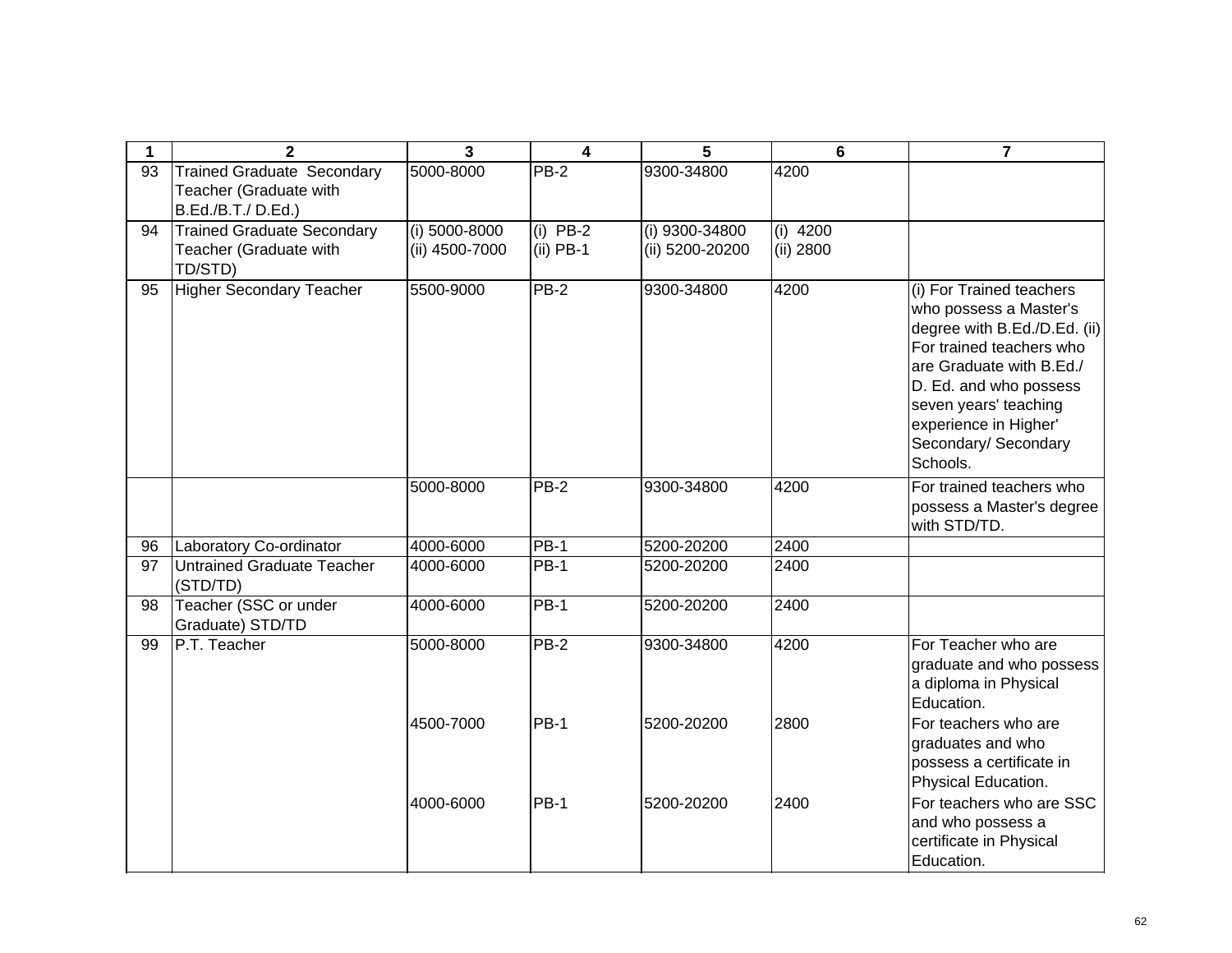| 1  | $\overline{2}$                                              | $\overline{3}$                    | 4                         | 5                                 | $6\phantom{1}6$         | $\overline{7}$                                                                                                                                                                                                                                             |
|----|-------------------------------------------------------------|-----------------------------------|---------------------------|-----------------------------------|-------------------------|------------------------------------------------------------------------------------------------------------------------------------------------------------------------------------------------------------------------------------------------------------|
| 93 | <b>Trained Graduate Secondary</b>                           | 5000-8000                         | $PB-2$                    | 9300-34800                        | 4200                    |                                                                                                                                                                                                                                                            |
|    | Teacher (Graduate with                                      |                                   |                           |                                   |                         |                                                                                                                                                                                                                                                            |
|    | B.Ed./B.T./D.Ed.)                                           |                                   |                           |                                   |                         |                                                                                                                                                                                                                                                            |
| 94 | <b>Trained Graduate Secondary</b><br>Teacher (Graduate with | $(i)$ 5000-8000<br>(ii) 4500-7000 | $(i)$ PB-2<br>$(ii)$ PB-1 | (i) 9300-34800<br>(ii) 5200-20200 | $(i)$ 4200<br>(ii) 2800 |                                                                                                                                                                                                                                                            |
|    | TD/STD)                                                     |                                   |                           |                                   |                         |                                                                                                                                                                                                                                                            |
| 95 | <b>Higher Secondary Teacher</b>                             | 5500-9000                         | $PB-2$                    | 9300-34800                        | 4200                    | (i) For Trained teachers<br>who possess a Master's<br>degree with B.Ed./D.Ed. (ii)<br>For trained teachers who<br>are Graduate with B.Ed./<br>D. Ed. and who possess<br>seven years' teaching<br>experience in Higher'<br>Secondary/ Secondary<br>Schools. |
|    |                                                             | 5000-8000                         | $PB-2$                    | 9300-34800                        | 4200                    | For trained teachers who<br>possess a Master's degree<br>with STD/TD.                                                                                                                                                                                      |
| 96 | Laboratory Co-ordinator                                     | 4000-6000                         | <b>PB-1</b>               | 5200-20200                        | 2400                    |                                                                                                                                                                                                                                                            |
| 97 | Untrained Graduate Teacher<br>(STD/TD)                      | 4000-6000                         | <b>PB-1</b>               | 5200-20200                        | 2400                    |                                                                                                                                                                                                                                                            |
| 98 | Teacher (SSC or under<br>Graduate) STD/TD                   | 4000-6000                         | PB-1                      | 5200-20200                        | 2400                    |                                                                                                                                                                                                                                                            |
| 99 | P.T. Teacher                                                | 5000-8000                         | PB-2                      | 9300-34800                        | 4200                    | For Teacher who are<br>graduate and who possess<br>a diploma in Physical<br>Education.                                                                                                                                                                     |
|    |                                                             | 4500-7000                         | PB-1                      | 5200-20200                        | 2800                    | For teachers who are<br>graduates and who<br>possess a certificate in<br>Physical Education.                                                                                                                                                               |
|    |                                                             | 4000-6000                         | PB-1                      | 5200-20200                        | 2400                    | For teachers who are SSC<br>and who possess a<br>certificate in Physical<br>Education.                                                                                                                                                                     |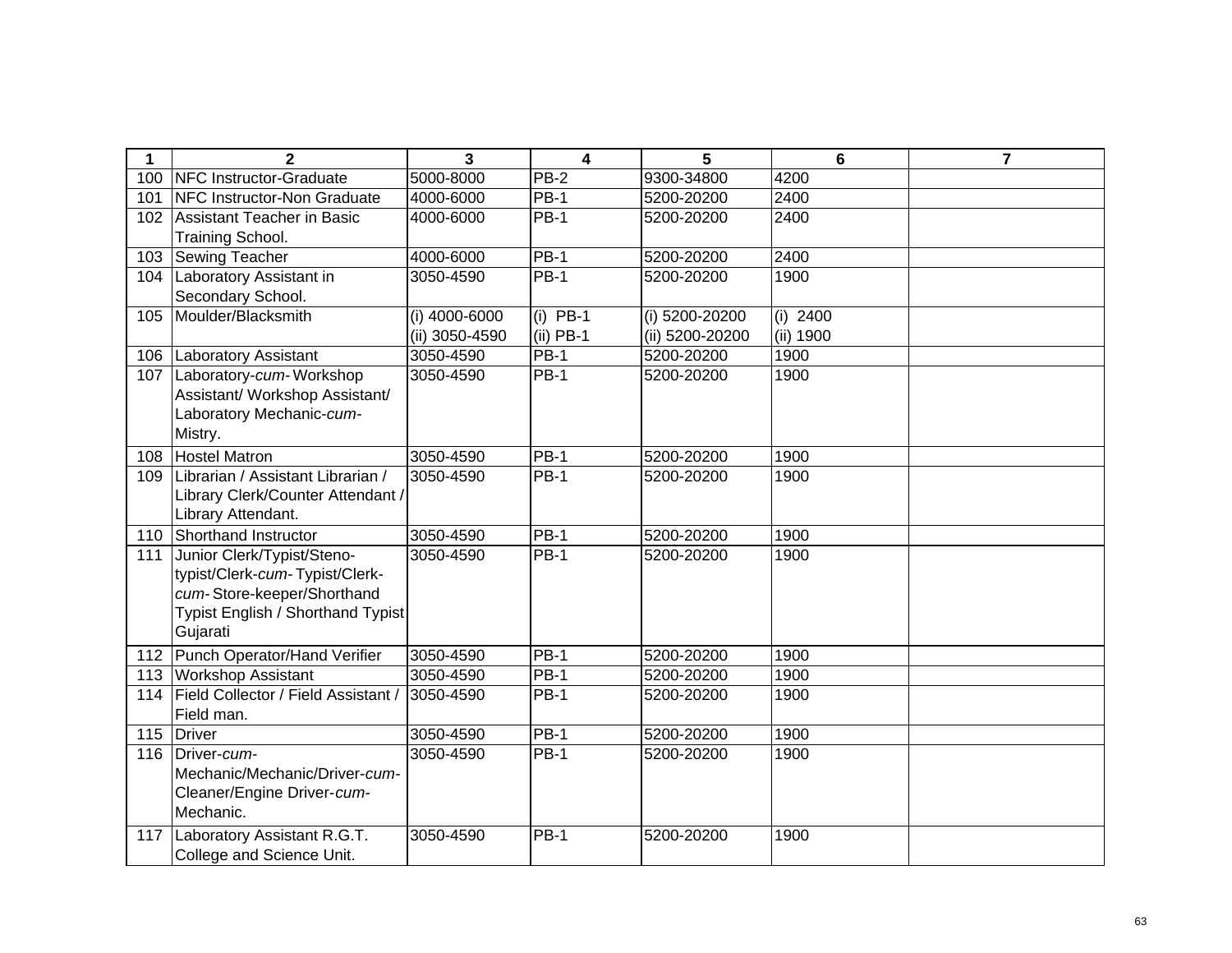| 1                | $\mathbf{2}$                               | 3              | 4           | 5               | 6          | 7 |
|------------------|--------------------------------------------|----------------|-------------|-----------------|------------|---|
| 100 <sub>1</sub> | NFC Instructor-Graduate                    | 5000-8000      | <b>PB-2</b> | 9300-34800      | 4200       |   |
| 101              | NFC Instructor-Non Graduate                | 4000-6000      | <b>PB-1</b> | 5200-20200      | 2400       |   |
| 102              | Assistant Teacher in Basic                 | 4000-6000      | <b>PB-1</b> | 5200-20200      | 2400       |   |
|                  | Training School.                           |                |             |                 |            |   |
| 103              | <b>Sewing Teacher</b>                      | 4000-6000      | <b>PB-1</b> | 5200-20200      | 2400       |   |
| 104              | Laboratory Assistant in                    | 3050-4590      | <b>PB-1</b> | 5200-20200      | 1900       |   |
|                  | Secondary School.                          |                |             |                 |            |   |
| 105              | Moulder/Blacksmith                         | (i) 4000-6000  | $(i)$ PB-1  | (i) 5200-20200  | $(i)$ 2400 |   |
|                  |                                            | (ii) 3050-4590 | $(ii)$ PB-1 | (ii) 5200-20200 | (ii) 1900  |   |
| 106              | <b>Laboratory Assistant</b>                | 3050-4590      | $PB-1$      | 5200-20200      | 1900       |   |
| 107              | Laboratory-cum-Workshop                    | 3050-4590      | <b>PB-1</b> | 5200-20200      | 1900       |   |
|                  | Assistant/ Workshop Assistant/             |                |             |                 |            |   |
|                  | Laboratory Mechanic-cum-                   |                |             |                 |            |   |
|                  | Mistry.                                    |                |             |                 |            |   |
| 108              | <b>Hostel Matron</b>                       | 3050-4590      | <b>PB-1</b> | 5200-20200      | 1900       |   |
| 109              | Librarian / Assistant Librarian /          | 3050-4590      | <b>PB-1</b> | 5200-20200      | 1900       |   |
|                  | Library Clerk/Counter Attendant /          |                |             |                 |            |   |
|                  | Library Attendant.                         |                |             |                 |            |   |
| 110              | Shorthand Instructor                       | 3050-4590      | <b>PB-1</b> | 5200-20200      | 1900       |   |
| 111              | Junior Clerk/Typist/Steno-                 | 3050-4590      | <b>PB-1</b> | 5200-20200      | 1900       |   |
|                  | typist/Clerk-cum-Typist/Clerk-             |                |             |                 |            |   |
|                  | cum-Store-keeper/Shorthand                 |                |             |                 |            |   |
|                  | Typist English / Shorthand Typist          |                |             |                 |            |   |
|                  | Gujarati                                   |                |             |                 |            |   |
| 112              | Punch Operator/Hand Verifier               | 3050-4590      | <b>PB-1</b> | 5200-20200      | 1900       |   |
| 113              | <b>Workshop Assistant</b>                  | 3050-4590      | $PB-1$      | 5200-20200      | 1900       |   |
| 114              | <b>Field Collector / Field Assistant /</b> | 3050-4590      | <b>PB-1</b> | 5200-20200      | 1900       |   |
|                  | Field man.                                 |                |             |                 |            |   |
| 115              | Driver                                     | 3050-4590      | $PB-1$      | 5200-20200      | 1900       |   |
| 116              | Driver-cum-                                | 3050-4590      | $PB-1$      | 5200-20200      | 1900       |   |
|                  | Mechanic/Mechanic/Driver-cum-              |                |             |                 |            |   |
|                  | Cleaner/Engine Driver-cum-                 |                |             |                 |            |   |
|                  | Mechanic.                                  |                |             |                 |            |   |
| 117              | Laboratory Assistant R.G.T.                | 3050-4590      | $PB-1$      | 5200-20200      | 1900       |   |
|                  | College and Science Unit.                  |                |             |                 |            |   |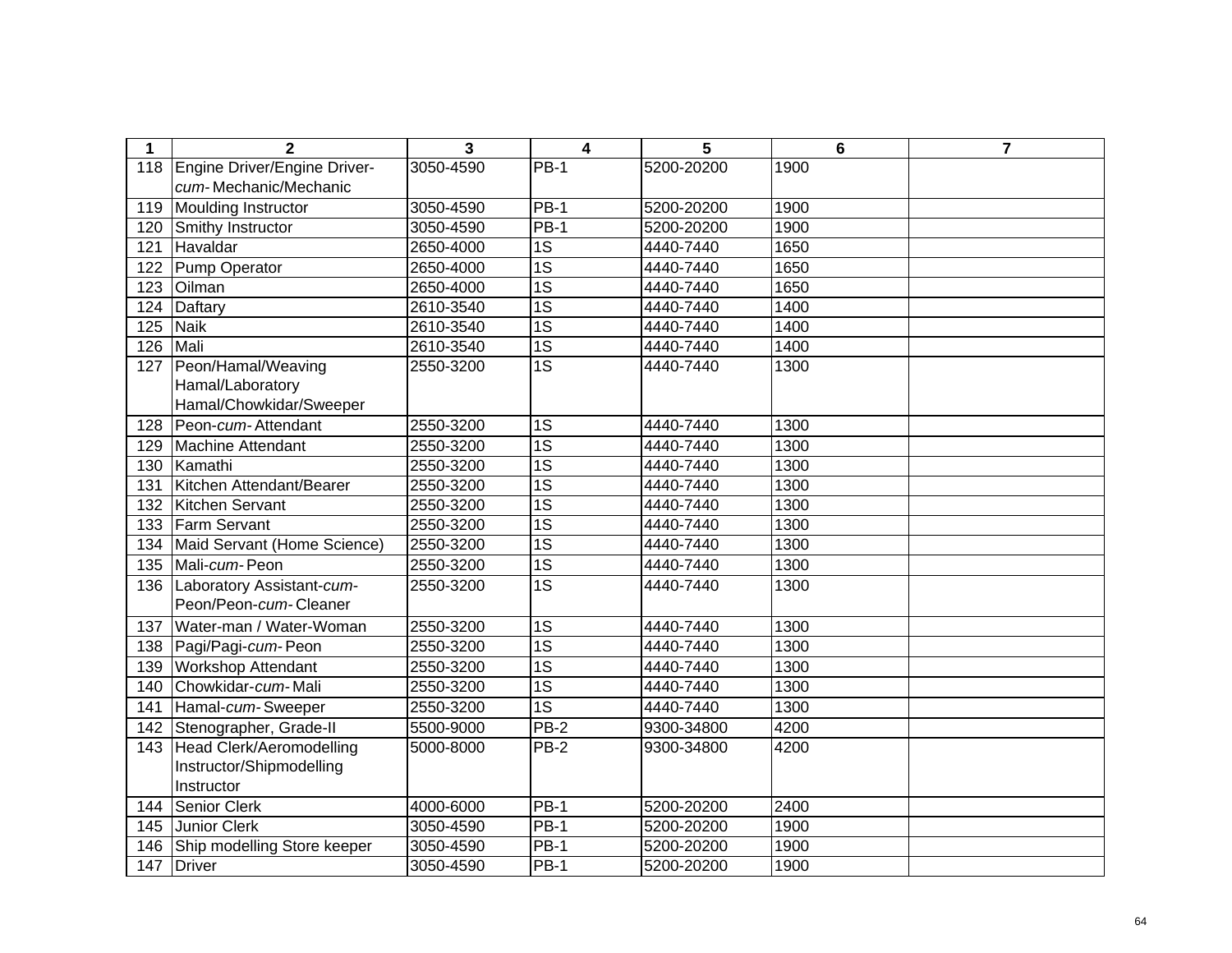| $\mathbf 1$ | $\overline{2}$               | 3         | $\overline{\mathbf{4}}$ | 5          | 6    | $\overline{7}$ |
|-------------|------------------------------|-----------|-------------------------|------------|------|----------------|
| 118         | Engine Driver/Engine Driver- | 3050-4590 | $PB-1$                  | 5200-20200 | 1900 |                |
|             | cum-Mechanic/Mechanic        |           |                         |            |      |                |
| 119         | Moulding Instructor          | 3050-4590 | $PB-1$                  | 5200-20200 | 1900 |                |
| 120         | Smithy Instructor            | 3050-4590 | $PB-1$                  | 5200-20200 | 1900 |                |
| 121         | Havaldar                     | 2650-4000 | $\overline{1S}$         | 4440-7440  | 1650 |                |
| 122         | Pump Operator                | 2650-4000 | $\overline{1S}$         | 4440-7440  | 1650 |                |
| 123         | Oilman                       | 2650-4000 | $\overline{1S}$         | 4440-7440  | 1650 |                |
| 124         | Daftary                      | 2610-3540 | $\overline{1S}$         | 4440-7440  | 1400 |                |
| 125         | Naik                         | 2610-3540 | $\overline{1S}$         | 4440-7440  | 1400 |                |
| 126         | Mali                         | 2610-3540 | $\overline{1S}$         | 4440-7440  | 1400 |                |
| 127         | Peon/Hamal/Weaving           | 2550-3200 | $\overline{1S}$         | 4440-7440  | 1300 |                |
|             | Hamal/Laboratory             |           |                         |            |      |                |
|             | Hamal/Chowkidar/Sweeper      |           |                         |            |      |                |
| 128         | Peon-cum-Attendant           | 2550-3200 | 1S                      | 4440-7440  | 1300 |                |
| 129         | Machine Attendant            | 2550-3200 | $\overline{1S}$         | 4440-7440  | 1300 |                |
| 130         | Kamathi                      | 2550-3200 | $\overline{1S}$         | 4440-7440  | 1300 |                |
| 131         | Kitchen Attendant/Bearer     | 2550-3200 | $\overline{1S}$         | 4440-7440  | 1300 |                |
| 132         | Kitchen Servant              | 2550-3200 | $\overline{1S}$         | 4440-7440  | 1300 |                |
| 133         | <b>Farm Servant</b>          | 2550-3200 | 1S                      | 4440-7440  | 1300 |                |
| 134         | Maid Servant (Home Science)  | 2550-3200 | $\overline{1S}$         | 4440-7440  | 1300 |                |
| 135         | Mali-cum-Peon                | 2550-3200 | $\overline{1S}$         | 4440-7440  | 1300 |                |
| 136         | Laboratory Assistant-cum-    | 2550-3200 | $\overline{1S}$         | 4440-7440  | 1300 |                |
|             | Peon/Peon-cum-Cleaner        |           |                         |            |      |                |
| 137         | Water-man / Water-Woman      | 2550-3200 | 1S                      | 4440-7440  | 1300 |                |
| 138         | Pagi/Pagi-cum-Peon           | 2550-3200 | $\overline{1S}$         | 4440-7440  | 1300 |                |
| 139         | <b>Workshop Attendant</b>    | 2550-3200 | $\overline{1S}$         | 4440-7440  | 1300 |                |
| 140         | Chowkidar-cum-Mali           | 2550-3200 | $\overline{1S}$         | 4440-7440  | 1300 |                |
| 141         | Hamal-cum-Sweeper            | 2550-3200 | $\overline{1S}$         | 4440-7440  | 1300 |                |
| 142         | Stenographer, Grade-II       | 5500-9000 | $PB-2$                  | 9300-34800 | 4200 |                |
| 143         | Head Clerk/Aeromodelling     | 5000-8000 | $PB-2$                  | 9300-34800 | 4200 |                |
|             | Instructor/Shipmodelling     |           |                         |            |      |                |
|             | Instructor                   |           |                         |            |      |                |
| 144         | Senior Clerk                 | 4000-6000 | $PB-1$                  | 5200-20200 | 2400 |                |
| 145         | Junior Clerk                 | 3050-4590 | $\overline{PB-1}$       | 5200-20200 | 1900 |                |
| 146         | Ship modelling Store keeper  | 3050-4590 | $PB-1$                  | 5200-20200 | 1900 |                |
| 147         | <b>Driver</b>                | 3050-4590 | $PB-1$                  | 5200-20200 | 1900 |                |
|             |                              |           |                         |            |      |                |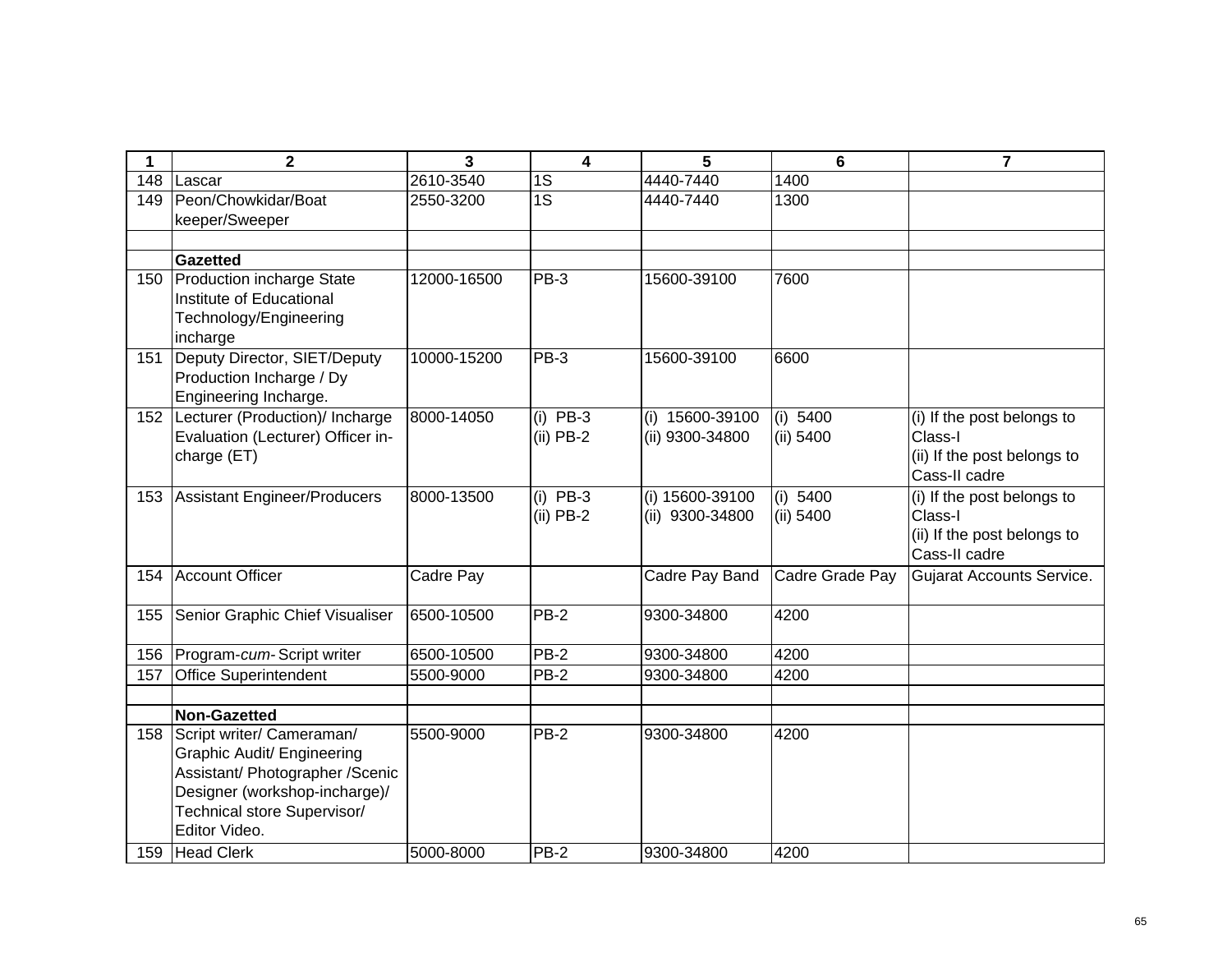| 1   | $\mathbf 2$                              | 3           | $\overline{\mathbf{4}}$ | 5                  | $6\phantom{1}$  | $\overline{7}$                   |
|-----|------------------------------------------|-------------|-------------------------|--------------------|-----------------|----------------------------------|
| 148 | Lascar                                   | 2610-3540   | 1S                      | 4440-7440          | 1400            |                                  |
| 149 | Peon/Chowkidar/Boat                      | 2550-3200   | $\overline{1S}$         | 4440-7440          | 1300            |                                  |
|     | keeper/Sweeper                           |             |                         |                    |                 |                                  |
|     |                                          |             |                         |                    |                 |                                  |
|     | <b>Gazetted</b>                          |             |                         |                    |                 |                                  |
| 150 | <b>Production incharge State</b>         | 12000-16500 | PB-3                    | 15600-39100        | 7600            |                                  |
|     | Institute of Educational                 |             |                         |                    |                 |                                  |
|     | Technology/Engineering                   |             |                         |                    |                 |                                  |
| 151 | incharge<br>Deputy Director, SIET/Deputy | 10000-15200 | $PB-3$                  | 15600-39100        | 6600            |                                  |
|     | Production Incharge / Dy                 |             |                         |                    |                 |                                  |
|     | Engineering Incharge.                    |             |                         |                    |                 |                                  |
| 152 | Lecturer (Production)/ Incharge          | 8000-14050  | $(i)$ PB-3              | 15600-39100<br>(i) | (i) 5400        | (i) If the post belongs to       |
|     | Evaluation (Lecturer) Officer in-        |             | $(ii)$ PB-2             | (ii) 9300-34800    | (ii) 5400       | Class-I                          |
|     | charge (ET)                              |             |                         |                    |                 | (ii) If the post belongs to      |
|     |                                          |             |                         |                    |                 | Cass-II cadre                    |
| 153 | Assistant Engineer/Producers             | 8000-13500  | $(i)$ PB-3              | (i) 15600-39100    | (i) 5400        | (i) If the post belongs to       |
|     |                                          |             | $(ii)$ PB-2             | (ii) 9300-34800    | (ii) 5400       | Class-I                          |
|     |                                          |             |                         |                    |                 | (ii) If the post belongs to      |
|     |                                          |             |                         |                    |                 | Cass-II cadre                    |
| 154 | Account Officer                          | Cadre Pay   |                         | Cadre Pay Band     | Cadre Grade Pay | <b>Gujarat Accounts Service.</b> |
|     |                                          |             |                         |                    |                 |                                  |
| 155 | Senior Graphic Chief Visualiser          | 6500-10500  | $PB-2$                  | 9300-34800         | 4200            |                                  |
| 156 | Program-cum-Script writer                | 6500-10500  | $PB-2$                  | 9300-34800         | 4200            |                                  |
| 157 | <b>Office Superintendent</b>             | 5500-9000   | PB-2                    | 9300-34800         | 4200            |                                  |
|     |                                          |             |                         |                    |                 |                                  |
|     | Non-Gazetted                             |             |                         |                    |                 |                                  |
| 158 | Script writer/ Cameraman/                | 5500-9000   | $PB-2$                  | 9300-34800         | 4200            |                                  |
|     | Graphic Audit/ Engineering               |             |                         |                    |                 |                                  |
|     | Assistant/ Photographer /Scenic          |             |                         |                    |                 |                                  |
|     | Designer (workshop-incharge)/            |             |                         |                    |                 |                                  |
|     | Technical store Supervisor/              |             |                         |                    |                 |                                  |
|     | Editor Video.                            |             |                         |                    |                 |                                  |
|     | 159 Head Clerk                           | 5000-8000   | $PB-2$                  | 9300-34800         | 4200            |                                  |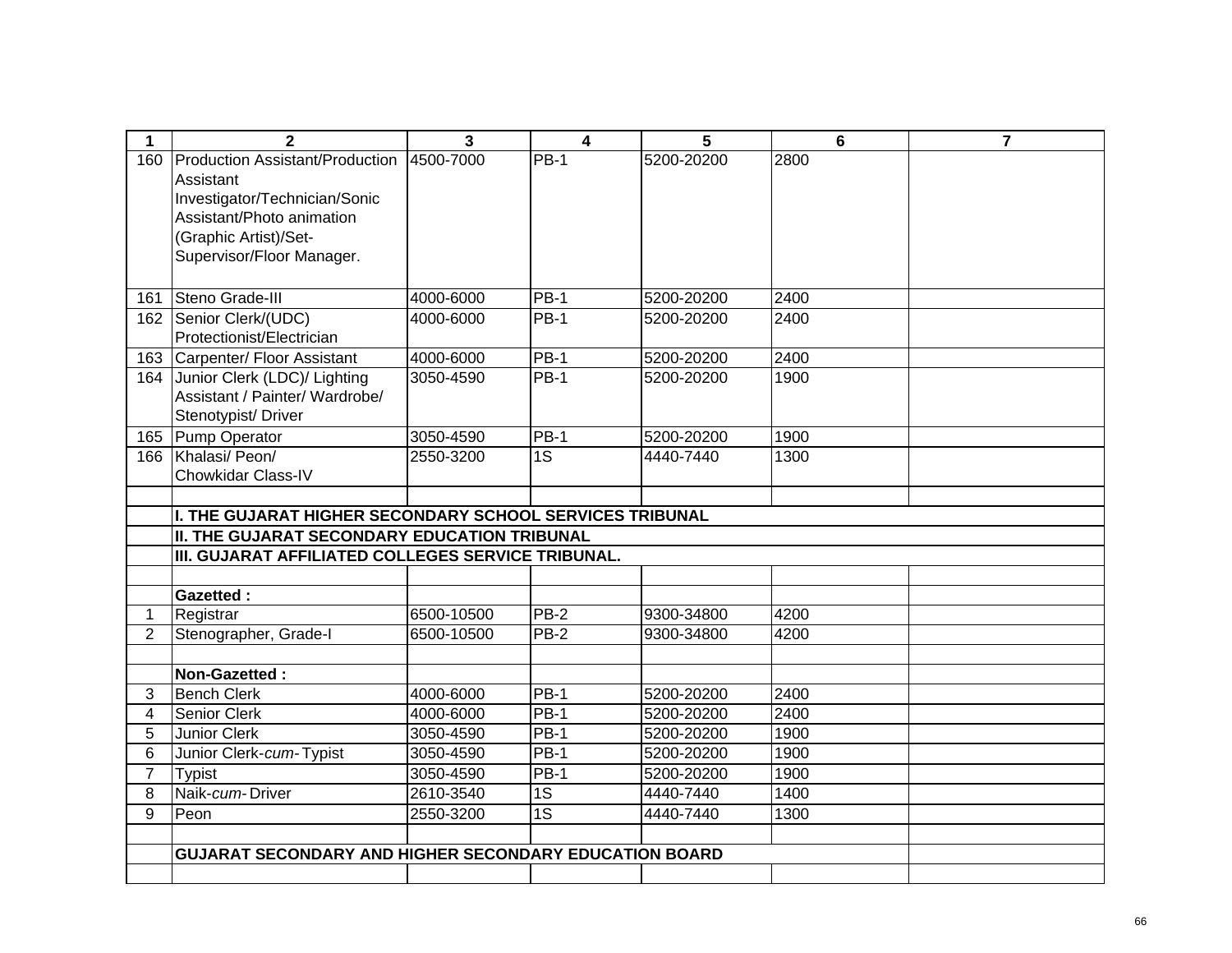| 1              | $\overline{2}$                                                | 3          | $\overline{\mathbf{4}}$ | 5          | 6    | $\overline{7}$ |
|----------------|---------------------------------------------------------------|------------|-------------------------|------------|------|----------------|
| 160            | Production Assistant/Production                               | 4500-7000  | $PB-1$                  | 5200-20200 | 2800 |                |
|                | Assistant                                                     |            |                         |            |      |                |
|                | Investigator/Technician/Sonic                                 |            |                         |            |      |                |
|                | Assistant/Photo animation                                     |            |                         |            |      |                |
|                | (Graphic Artist)/Set-                                         |            |                         |            |      |                |
|                | Supervisor/Floor Manager.                                     |            |                         |            |      |                |
|                |                                                               |            |                         |            |      |                |
| 161            | Steno Grade-III                                               | 4000-6000  | $PB-1$                  | 5200-20200 | 2400 |                |
| 162            | Senior Clerk/(UDC)                                            | 4000-6000  | $PB-1$                  | 5200-20200 | 2400 |                |
|                | Protectionist/Electrician                                     |            |                         |            |      |                |
| 163            | Carpenter/ Floor Assistant                                    | 4000-6000  | <b>PB-1</b>             | 5200-20200 | 2400 |                |
| 164            | Junior Clerk (LDC)/ Lighting                                  | 3050-4590  | $PB-1$                  | 5200-20200 | 1900 |                |
|                | Assistant / Painter/ Wardrobe/                                |            |                         |            |      |                |
|                | Stenotypist/Driver                                            |            |                         |            |      |                |
| 165            | Pump Operator                                                 | 3050-4590  | <b>PB-1</b>             | 5200-20200 | 1900 |                |
| 166            | Khalasi/ Peon/                                                | 2550-3200  | $\overline{1S}$         | 4440-7440  | 1300 |                |
|                | Chowkidar Class-IV                                            |            |                         |            |      |                |
|                | I. THE GUJARAT HIGHER SECONDARY SCHOOL SERVICES TRIBUNAL      |            |                         |            |      |                |
|                | <b>II. THE GUJARAT SECONDARY EDUCATION TRIBUNAL</b>           |            |                         |            |      |                |
|                | III. GUJARAT AFFILIATED COLLEGES SERVICE TRIBUNAL.            |            |                         |            |      |                |
|                |                                                               |            |                         |            |      |                |
|                | <b>Gazetted:</b>                                              |            |                         |            |      |                |
| 1              | Registrar                                                     | 6500-10500 | <b>PB-2</b>             | 9300-34800 | 4200 |                |
| $\overline{2}$ | Stenographer, Grade-I                                         | 6500-10500 | PB-2                    | 9300-34800 | 4200 |                |
|                |                                                               |            |                         |            |      |                |
|                | Non-Gazetted:                                                 |            |                         |            |      |                |
| 3              | <b>Bench Clerk</b>                                            | 4000-6000  | $PB-1$                  | 5200-20200 | 2400 |                |
| 4              | Senior Clerk                                                  | 4000-6000  | $PB-1$                  | 5200-20200 | 2400 |                |
| 5              | <b>Junior Clerk</b>                                           | 3050-4590  | $PB-1$                  | 5200-20200 | 1900 |                |
| 6              | Junior Clerk-cum-Typist                                       | 3050-4590  | $PB-1$                  | 5200-20200 | 1900 |                |
| $\overline{7}$ | <b>Typist</b>                                                 | 3050-4590  | $PB-1$                  | 5200-20200 | 1900 |                |
| 8              | Naik-cum-Driver                                               | 2610-3540  | 1S                      | 4440-7440  | 1400 |                |
| 9              | Peon                                                          | 2550-3200  | $\overline{1S}$         | 4440-7440  | 1300 |                |
|                |                                                               |            |                         |            |      |                |
|                | <b>GUJARAT SECONDARY AND HIGHER SECONDARY EDUCATION BOARD</b> |            |                         |            |      |                |
|                |                                                               |            |                         |            |      |                |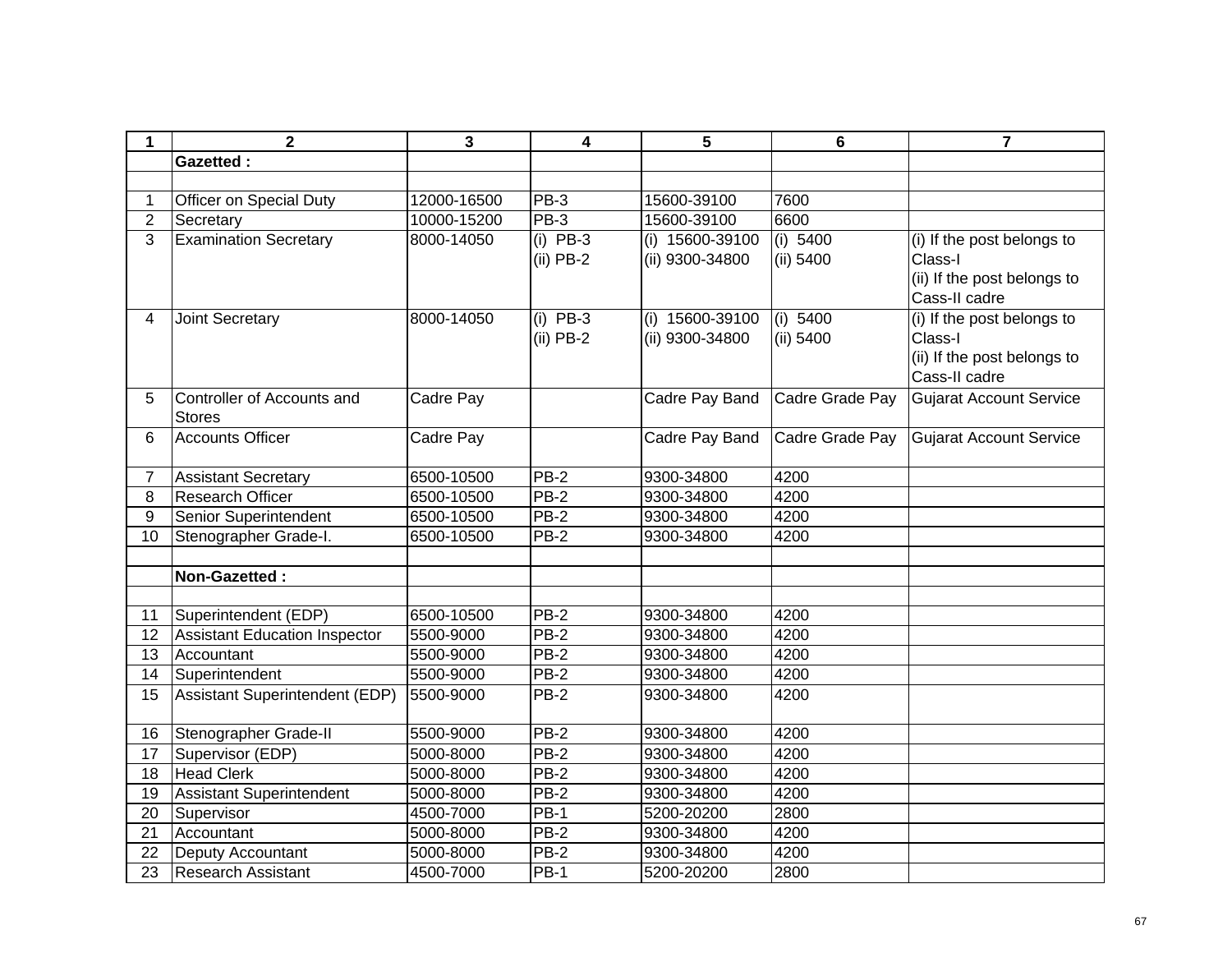| 1              | $\mathbf 2$                                 | 3           | 4           | 5                 | 6               | $\overline{7}$                 |
|----------------|---------------------------------------------|-------------|-------------|-------------------|-----------------|--------------------------------|
|                | <b>Gazetted:</b>                            |             |             |                   |                 |                                |
|                |                                             |             |             |                   |                 |                                |
| 1              | Officer on Special Duty                     | 12000-16500 | PB-3        | 15600-39100       | 7600            |                                |
| $\overline{2}$ | Secretary                                   | 10000-15200 | $PB-3$      | 15600-39100       | 6600            |                                |
| 3              | <b>Examination Secretary</b>                | 8000-14050  | $(i)$ PB-3  | (i) 15600-39100   | (i) 5400        | (i) If the post belongs to     |
|                |                                             |             | $(ii)$ PB-2 | (ii) 9300-34800   | (ii) 5400       | Class-I                        |
|                |                                             |             |             |                   |                 | (ii) If the post belongs to    |
|                |                                             |             |             |                   |                 | Cass-II cadre                  |
| 4              | Joint Secretary                             | 8000-14050  | $(i)$ PB-3  | $(i)$ 15600-39100 | (i) 5400        | (i) If the post belongs to     |
|                |                                             |             | $(ii)$ PB-2 | (ii) 9300-34800   | (ii) 5400       | Class-I                        |
|                |                                             |             |             |                   |                 | (ii) If the post belongs to    |
|                |                                             |             |             |                   |                 | Cass-II cadre                  |
| 5              | Controller of Accounts and<br><b>Stores</b> | Cadre Pay   |             | Cadre Pay Band    | Cadre Grade Pay | <b>Gujarat Account Service</b> |
| 6              | <b>Accounts Officer</b>                     | Cadre Pay   |             | Cadre Pay Band    | Cadre Grade Pay | <b>Gujarat Account Service</b> |
|                |                                             |             |             |                   |                 |                                |
| 7              | <b>Assistant Secretary</b>                  | 6500-10500  | $PB-2$      | 9300-34800        | 4200            |                                |
| 8              | <b>Research Officer</b>                     | 6500-10500  | $PB-2$      | 9300-34800        | 4200            |                                |
| 9              | <b>Senior Superintendent</b>                | 6500-10500  | <b>PB-2</b> | 9300-34800        | 4200            |                                |
| 10             | Stenographer Grade-I.                       | 6500-10500  | PB-2        | 9300-34800        | 4200            |                                |
|                |                                             |             |             |                   |                 |                                |
|                | Non-Gazetted:                               |             |             |                   |                 |                                |
|                |                                             |             |             |                   |                 |                                |
| 11             | Superintendent (EDP)                        | 6500-10500  | $PB-2$      | 9300-34800        | 4200            |                                |
| 12             | <b>Assistant Education Inspector</b>        | 5500-9000   | $PB-2$      | 9300-34800        | 4200            |                                |
| 13             | Accountant                                  | 5500-9000   | <b>PB-2</b> | 9300-34800        | 4200            |                                |
| 14             | Superintendent                              | 5500-9000   | <b>PB-2</b> | 9300-34800        | 4200            |                                |
| 15             | Assistant Superintendent (EDP)              | 5500-9000   | PB-2        | 9300-34800        | 4200            |                                |
| 16             | Stenographer Grade-II                       | 5500-9000   | $PB-2$      | 9300-34800        | 4200            |                                |
| 17             | Supervisor (EDP)                            | 5000-8000   | $PB-2$      | 9300-34800        | 4200            |                                |
| 18             | <b>Head Clerk</b>                           | 5000-8000   | $PB-2$      | 9300-34800        | 4200            |                                |
| 19             | <b>Assistant Superintendent</b>             | 5000-8000   | $PB-2$      | 9300-34800        | 4200            |                                |
| 20             | Supervisor                                  | 4500-7000   | $PB-1$      | 5200-20200        | 2800            |                                |
| 21             | Accountant                                  | 5000-8000   | $PB-2$      | 9300-34800        | 4200            |                                |
| 22             | Deputy Accountant                           | 5000-8000   | PB-2        | 9300-34800        | 4200            |                                |
| 23             | <b>Research Assistant</b>                   | 4500-7000   | <b>PB-1</b> | 5200-20200        | 2800            |                                |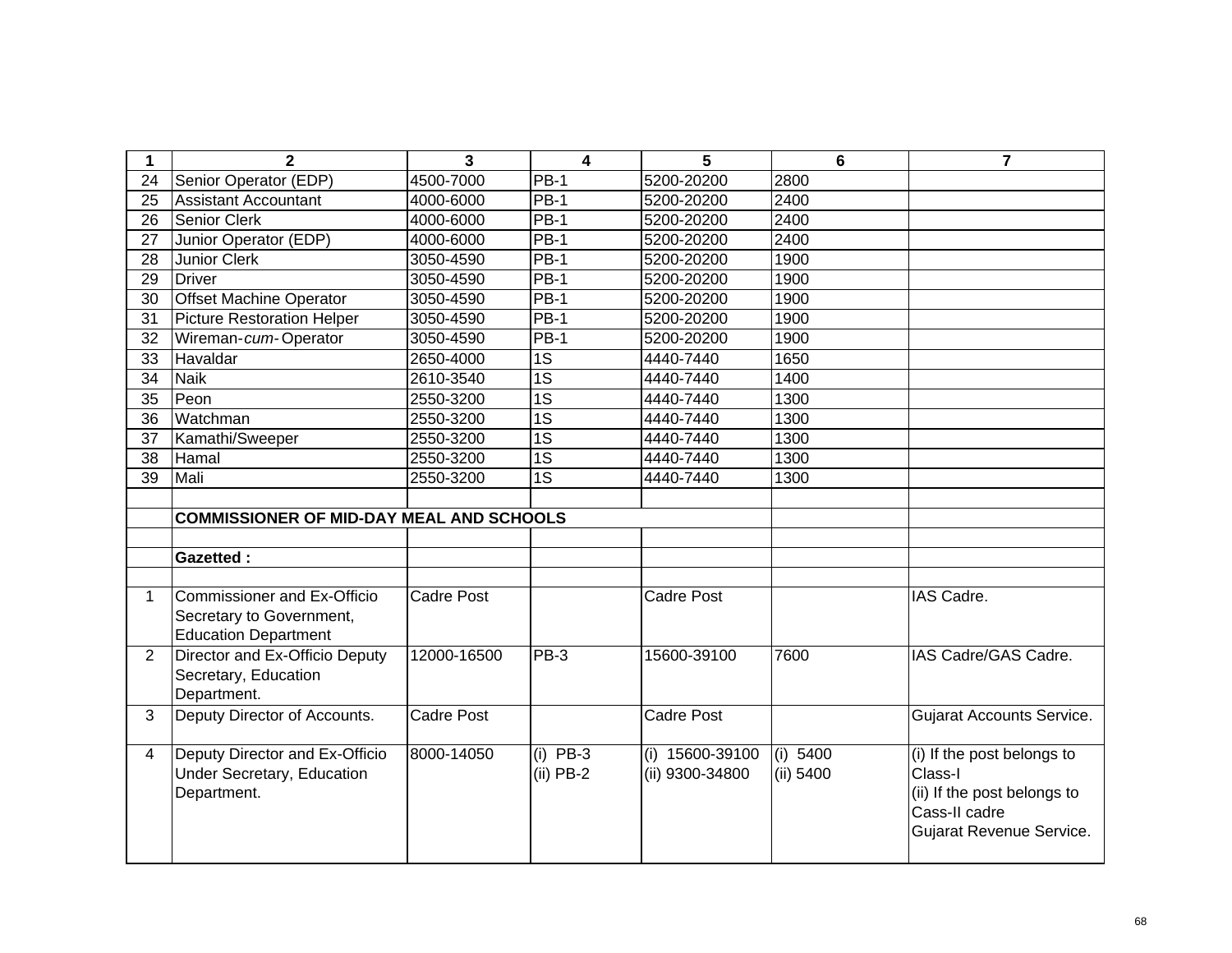| 1               | $\mathbf{2}$                                                                           | 3                 | 4                         | 5                                  | $6\phantom{1}6$       | $\overline{7}$                                                                                                    |
|-----------------|----------------------------------------------------------------------------------------|-------------------|---------------------------|------------------------------------|-----------------------|-------------------------------------------------------------------------------------------------------------------|
| 24              | Senior Operator (EDP)                                                                  | 4500-7000         | <b>PB-1</b>               | 5200-20200                         | 2800                  |                                                                                                                   |
| 25              | <b>Assistant Accountant</b>                                                            | 4000-6000         | <b>PB-1</b>               | 5200-20200                         | 2400                  |                                                                                                                   |
| 26              | <b>Senior Clerk</b>                                                                    | 4000-6000         | <b>PB-1</b>               | 5200-20200                         | 2400                  |                                                                                                                   |
| 27              | Junior Operator (EDP)                                                                  | 4000-6000         | <b>PB-1</b>               | 5200-20200                         | 2400                  |                                                                                                                   |
| 28              | <b>Junior Clerk</b>                                                                    | 3050-4590         | <b>PB-1</b>               | 5200-20200                         | 1900                  |                                                                                                                   |
| 29              | <b>Driver</b>                                                                          | 3050-4590         | <b>PB-1</b>               | 5200-20200                         | 1900                  |                                                                                                                   |
| 30              | <b>Offset Machine Operator</b>                                                         | 3050-4590         | <b>PB-1</b>               | 5200-20200                         | 1900                  |                                                                                                                   |
| 31              | <b>Picture Restoration Helper</b>                                                      | 3050-4590         | <b>PB-1</b>               | 5200-20200                         | 1900                  |                                                                                                                   |
| 32              | Wireman-cum-Operator                                                                   | 3050-4590         | <b>PB-1</b>               | 5200-20200                         | 1900                  |                                                                                                                   |
| 33              | Havaldar                                                                               | 2650-4000         | 1S                        | 4440-7440                          | 1650                  |                                                                                                                   |
| 34              | <b>Naik</b>                                                                            | 2610-3540         | $\overline{1S}$           | 4440-7440                          | 1400                  |                                                                                                                   |
| 35              | Peon                                                                                   | 2550-3200         | $\overline{1S}$           | 4440-7440                          | 1300                  |                                                                                                                   |
| 36              | Watchman                                                                               | 2550-3200         | 1S                        | 4440-7440                          | 1300                  |                                                                                                                   |
| 37              | Kamathi/Sweeper                                                                        | 2550-3200         | $\overline{1S}$           | 4440-7440                          | 1300                  |                                                                                                                   |
| 38              | Hamal                                                                                  | 2550-3200         | 1S                        | 4440-7440                          | 1300                  |                                                                                                                   |
| $\overline{39}$ | Mali                                                                                   | 2550-3200         | $\overline{1S}$           | 4440-7440                          | 1300                  |                                                                                                                   |
|                 |                                                                                        |                   |                           |                                    |                       |                                                                                                                   |
|                 | <b>COMMISSIONER OF MID-DAY MEAL AND SCHOOLS</b>                                        |                   |                           |                                    |                       |                                                                                                                   |
|                 |                                                                                        |                   |                           |                                    |                       |                                                                                                                   |
|                 | <b>Gazetted:</b>                                                                       |                   |                           |                                    |                       |                                                                                                                   |
|                 |                                                                                        |                   |                           |                                    |                       |                                                                                                                   |
| $\mathbf{1}$    | Commissioner and Ex-Officio<br>Secretary to Government,<br><b>Education Department</b> | <b>Cadre Post</b> |                           | Cadre Post                         |                       | IAS Cadre.                                                                                                        |
| 2               | Director and Ex-Officio Deputy<br>Secretary, Education<br>Department.                  | 12000-16500       | $PB-3$                    | 15600-39100                        | 7600                  | IAS Cadre/GAS Cadre.                                                                                              |
| 3               | Deputy Director of Accounts.                                                           | <b>Cadre Post</b> |                           | <b>Cadre Post</b>                  |                       | <b>Gujarat Accounts Service.</b>                                                                                  |
| $\overline{4}$  | Deputy Director and Ex-Officio<br><b>Under Secretary, Education</b><br>Department.     | 8000-14050        | $(i)$ PB-3<br>$(ii)$ PB-2 | (i) 15600-39100<br>(ii) 9300-34800 | (i) 5400<br>(ii) 5400 | (i) If the post belongs to<br>Class-I<br>(ii) If the post belongs to<br>Cass-II cadre<br>Gujarat Revenue Service. |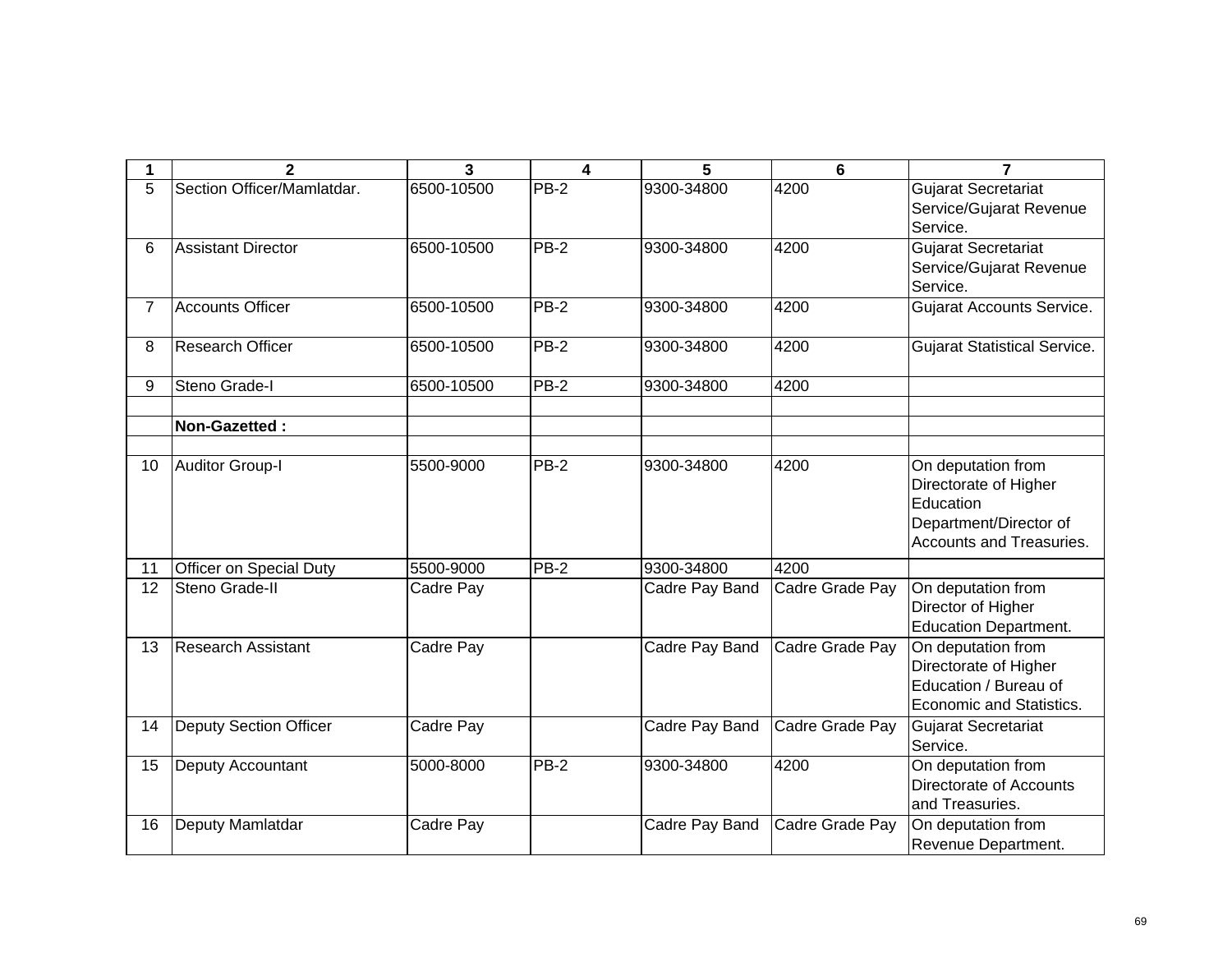| 1              | $\overline{2}$                | $\overline{3}$ | 4           | 5              | $6\phantom{1}6$ | $\overline{7}$                                                                                                 |
|----------------|-------------------------------|----------------|-------------|----------------|-----------------|----------------------------------------------------------------------------------------------------------------|
| 5              | Section Officer/Mamlatdar.    | 6500-10500     | $PB-2$      | 9300-34800     | 4200            | <b>Gujarat Secretariat</b><br>Service/Gujarat Revenue<br>Service.                                              |
| 6              | <b>Assistant Director</b>     | 6500-10500     | $PB-2$      | 9300-34800     | 4200            | <b>Gujarat Secretariat</b><br>Service/Gujarat Revenue<br>Service.                                              |
| $\overline{7}$ | <b>Accounts Officer</b>       | 6500-10500     | $PB-2$      | 9300-34800     | 4200            | <b>Gujarat Accounts Service.</b>                                                                               |
| 8              | <b>Research Officer</b>       | 6500-10500     | PB-2        | 9300-34800     | 4200            | <b>Gujarat Statistical Service.</b>                                                                            |
| 9              | Steno Grade-I                 | 6500-10500     | $PB-2$      | 9300-34800     | 4200            |                                                                                                                |
|                | Non-Gazetted:                 |                |             |                |                 |                                                                                                                |
| 10             | <b>Auditor Group-I</b>        | 5500-9000      | PB-2        | 9300-34800     | 4200            | On deputation from<br>Directorate of Higher<br>Education<br>Department/Director of<br>Accounts and Treasuries. |
| 11             | Officer on Special Duty       | 5500-9000      | PB-2        | 9300-34800     | 4200            |                                                                                                                |
| 12             | Steno Grade-II                | Cadre Pay      |             | Cadre Pay Band | Cadre Grade Pay | On deputation from<br>Director of Higher<br><b>Education Department.</b>                                       |
| 13             | <b>Research Assistant</b>     | Cadre Pay      |             | Cadre Pay Band | Cadre Grade Pay | On deputation from<br>Directorate of Higher<br>Education / Bureau of<br>Economic and Statistics.               |
| 14             | <b>Deputy Section Officer</b> | Cadre Pay      |             | Cadre Pay Band | Cadre Grade Pay | Gujarat Secretariat<br>Service.                                                                                |
| 15             | Deputy Accountant             | 5000-8000      | <b>PB-2</b> | 9300-34800     | 4200            | On deputation from<br>Directorate of Accounts<br>and Treasuries.                                               |
| 16             | Deputy Mamlatdar              | Cadre Pay      |             | Cadre Pay Band | Cadre Grade Pay | On deputation from<br>Revenue Department.                                                                      |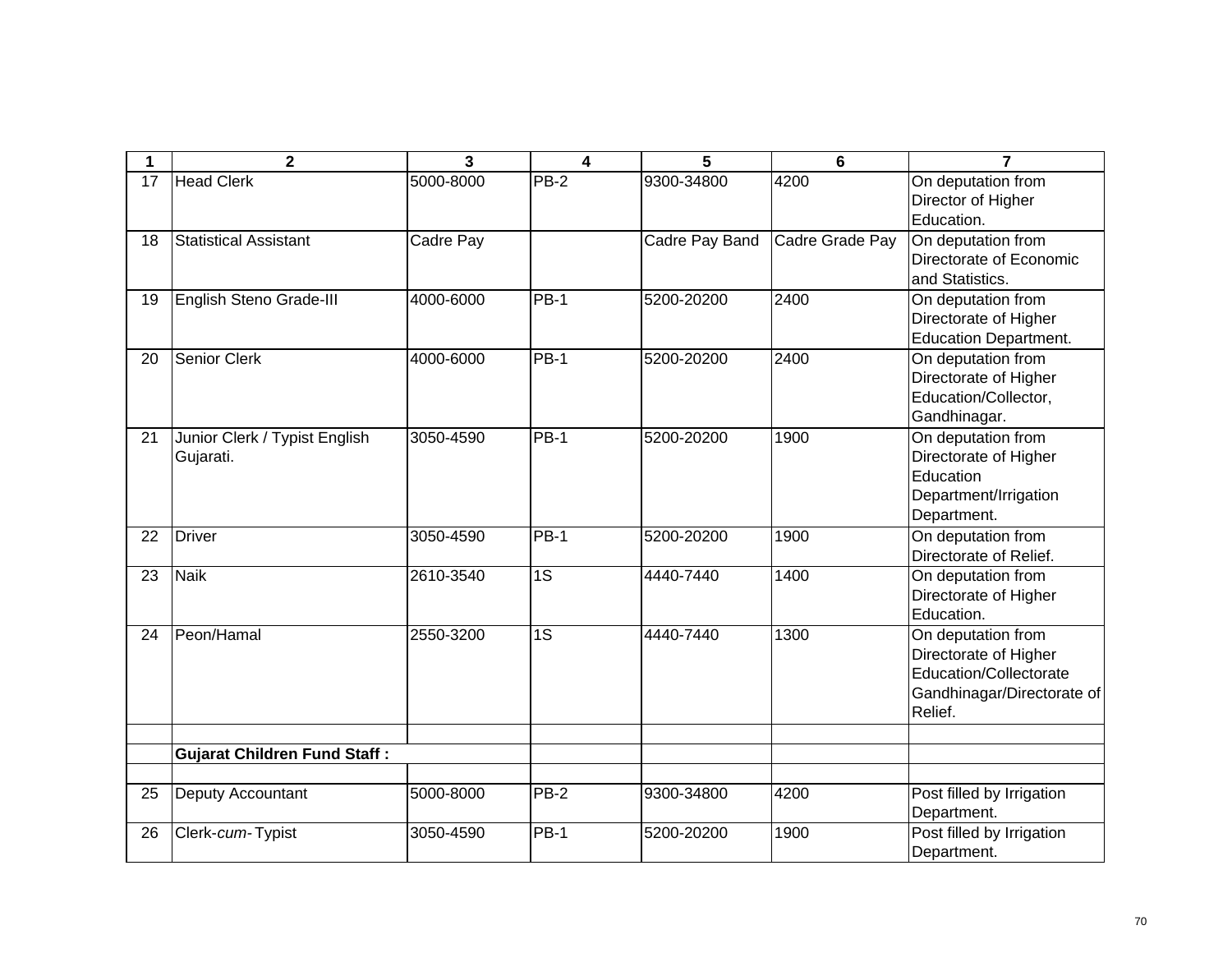| 1  | $\mathbf{2}$                               | 3         | 4               | 5              | 6               | $\overline{7}$                                                                                                 |
|----|--------------------------------------------|-----------|-----------------|----------------|-----------------|----------------------------------------------------------------------------------------------------------------|
| 17 | <b>Head Clerk</b>                          | 5000-8000 | PB-2            | 9300-34800     | 4200            | On deputation from<br>Director of Higher<br>Education.                                                         |
| 18 | <b>Statistical Assistant</b>               | Cadre Pay |                 | Cadre Pay Band | Cadre Grade Pay | On deputation from<br>Directorate of Economic<br>and Statistics.                                               |
| 19 | English Steno Grade-III                    | 4000-6000 | <b>PB-1</b>     | 5200-20200     | 2400            | On deputation from<br>Directorate of Higher<br><b>Education Department.</b>                                    |
| 20 | <b>Senior Clerk</b>                        | 4000-6000 | $PB-1$          | 5200-20200     | 2400            | On deputation from<br>Directorate of Higher<br>Education/Collector,<br>Gandhinagar.                            |
| 21 | Junior Clerk / Typist English<br>Gujarati. | 3050-4590 | $PB-1$          | 5200-20200     | 1900            | On deputation from<br>Directorate of Higher<br>Education<br>Department/Irrigation<br>Department.               |
| 22 | <b>Driver</b>                              | 3050-4590 | <b>PB-1</b>     | 5200-20200     | 1900            | On deputation from<br>Directorate of Relief.                                                                   |
| 23 | <b>Naik</b>                                | 2610-3540 | $\overline{1S}$ | 4440-7440      | 1400            | On deputation from<br>Directorate of Higher<br>Education.                                                      |
| 24 | Peon/Hamal                                 | 2550-3200 | 1S              | 4440-7440      | 1300            | On deputation from<br>Directorate of Higher<br>Education/Collectorate<br>Gandhinagar/Directorate of<br>Relief. |
|    | <b>Gujarat Children Fund Staff:</b>        |           |                 |                |                 |                                                                                                                |
| 25 | <b>Deputy Accountant</b>                   | 5000-8000 | <b>PB-2</b>     | 9300-34800     | 4200            | Post filled by Irrigation<br>Department.                                                                       |
| 26 | Clerk-cum-Typist                           | 3050-4590 | $PB-1$          | 5200-20200     | 1900            | Post filled by Irrigation<br>Department.                                                                       |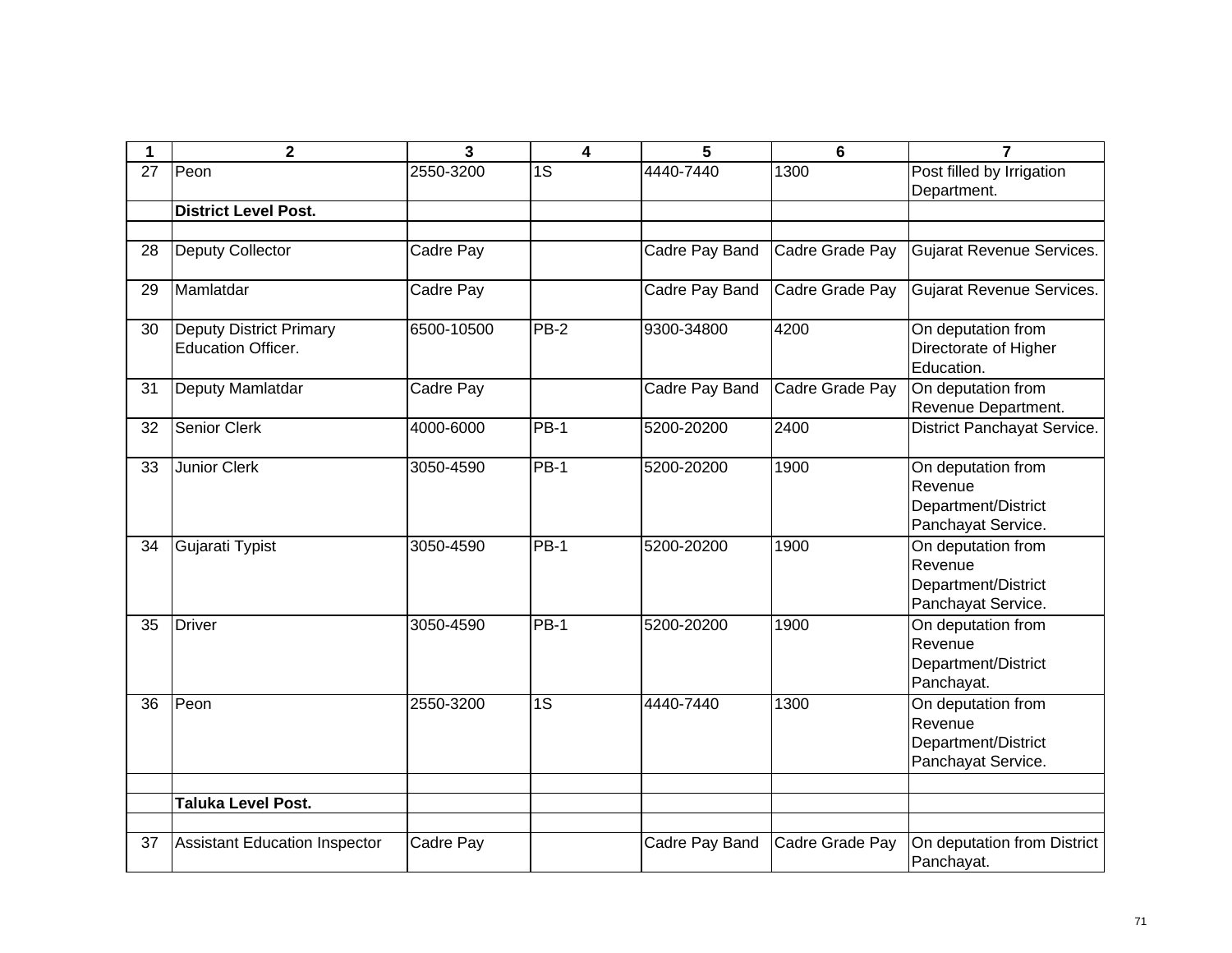| 1  | $\overline{2}$                                              | 3          | 4           | 5              | $6\phantom{1}6$ | $\overline{7}$                                                             |
|----|-------------------------------------------------------------|------------|-------------|----------------|-----------------|----------------------------------------------------------------------------|
| 27 | Peon                                                        | 2550-3200  | 1S          | 4440-7440      | 1300            | Post filled by Irrigation<br>Department.                                   |
|    | <b>District Level Post.</b>                                 |            |             |                |                 |                                                                            |
|    |                                                             |            |             |                |                 |                                                                            |
| 28 | <b>Deputy Collector</b>                                     | Cadre Pay  |             | Cadre Pay Band | Cadre Grade Pay | <b>Gujarat Revenue Services.</b>                                           |
| 29 | Mamlatdar                                                   | Cadre Pay  |             | Cadre Pay Band | Cadre Grade Pay | <b>Gujarat Revenue Services.</b>                                           |
| 30 | <b>Deputy District Primary</b><br><b>Education Officer.</b> | 6500-10500 | $PB-2$      | 9300-34800     | 4200            | On deputation from<br>Directorate of Higher<br>Education.                  |
| 31 | Deputy Mamlatdar                                            | Cadre Pay  |             | Cadre Pay Band | Cadre Grade Pay | On deputation from<br>Revenue Department.                                  |
| 32 | <b>Senior Clerk</b>                                         | 4000-6000  | <b>PB-1</b> | 5200-20200     | 2400            | District Panchayat Service.                                                |
| 33 | <b>Junior Clerk</b>                                         | 3050-4590  | <b>PB-1</b> | 5200-20200     | 1900            | On deputation from<br>Revenue<br>Department/District<br>Panchayat Service. |
| 34 | Gujarati Typist                                             | 3050-4590  | <b>PB-1</b> | 5200-20200     | 1900            | On deputation from<br>Revenue<br>Department/District<br>Panchayat Service. |
| 35 | <b>Driver</b>                                               | 3050-4590  | <b>PB-1</b> | 5200-20200     | 1900            | On deputation from<br>Revenue<br>Department/District<br>Panchayat.         |
| 36 | Peon                                                        | 2550-3200  | 1S          | 4440-7440      | 1300            | On deputation from<br>Revenue<br>Department/District<br>Panchayat Service. |
|    | <b>Taluka Level Post.</b>                                   |            |             |                |                 |                                                                            |
|    |                                                             |            |             |                |                 |                                                                            |
| 37 | <b>Assistant Education Inspector</b>                        | Cadre Pay  |             | Cadre Pay Band | Cadre Grade Pay | On deputation from District<br>Panchayat.                                  |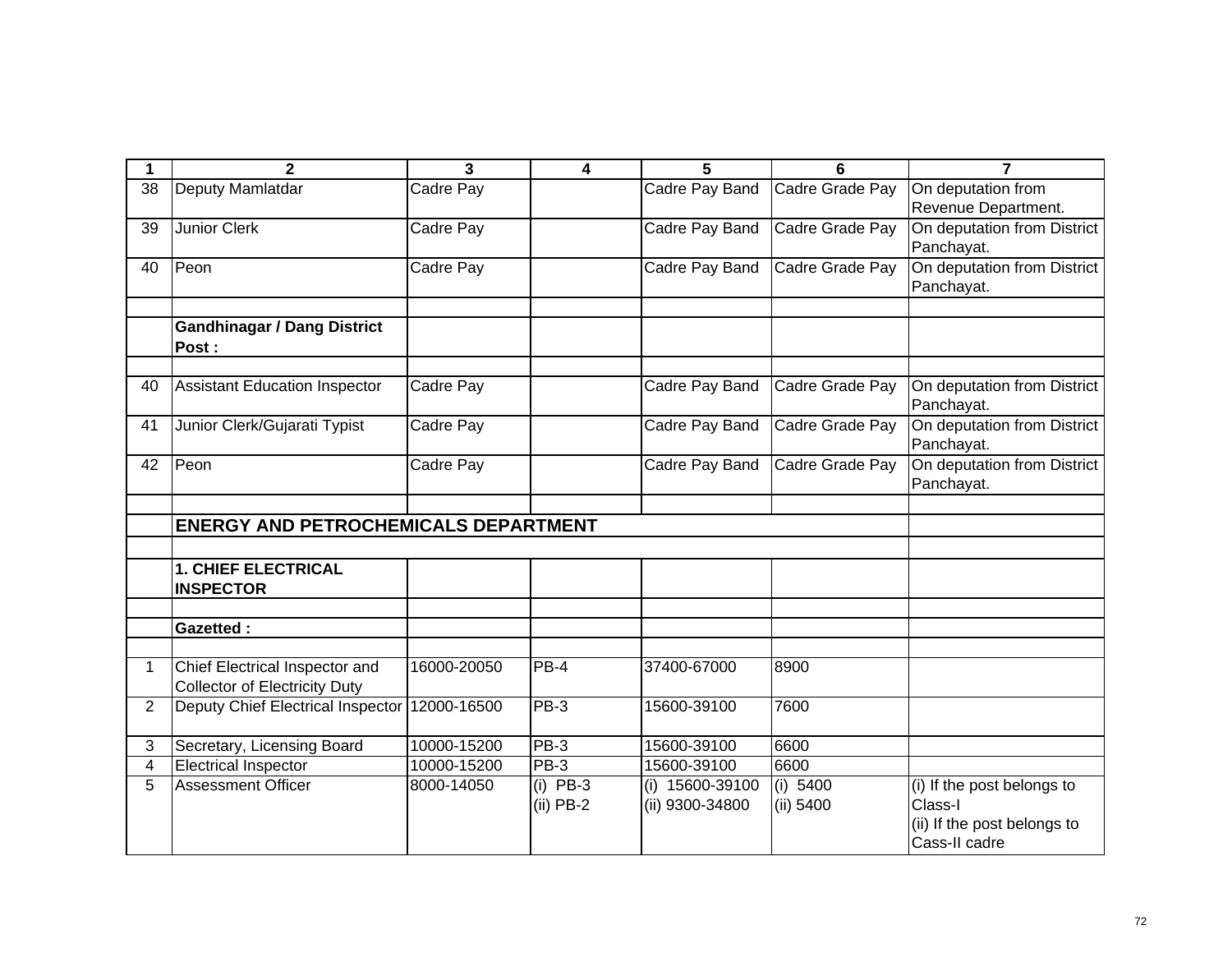| 1           | $\mathbf{2}$                                | $\overline{3}$ | 4           | 5               | 6               | 7                                         |
|-------------|---------------------------------------------|----------------|-------------|-----------------|-----------------|-------------------------------------------|
| 38          | Deputy Mamlatdar                            | Cadre Pay      |             | Cadre Pay Band  | Cadre Grade Pay | On deputation from                        |
|             |                                             |                |             |                 |                 | Revenue Department.                       |
| 39          | <b>Junior Clerk</b>                         | Cadre Pay      |             | Cadre Pay Band  | Cadre Grade Pay | On deputation from District               |
|             |                                             |                |             |                 |                 | Panchayat.                                |
| 40          | Peon                                        | Cadre Pay      |             | Cadre Pay Band  | Cadre Grade Pay | On deputation from District               |
|             |                                             |                |             |                 |                 | Panchayat.                                |
|             |                                             |                |             |                 |                 |                                           |
|             | <b>Gandhinagar / Dang District</b>          |                |             |                 |                 |                                           |
|             | Post:                                       |                |             |                 |                 |                                           |
|             |                                             |                |             |                 |                 |                                           |
| 40          | <b>Assistant Education Inspector</b>        | Cadre Pay      |             | Cadre Pay Band  | Cadre Grade Pay | On deputation from District               |
|             |                                             |                |             |                 |                 | Panchayat.                                |
| 41          | Junior Clerk/Gujarati Typist                | Cadre Pay      |             | Cadre Pay Band  | Cadre Grade Pay | On deputation from District               |
|             |                                             |                |             |                 |                 | Panchayat.<br>On deputation from District |
| 42          | Peon                                        | Cadre Pay      |             | Cadre Pay Band  | Cadre Grade Pay | Panchayat.                                |
|             |                                             |                |             |                 |                 |                                           |
|             | <b>ENERGY AND PETROCHEMICALS DEPARTMENT</b> |                |             |                 |                 |                                           |
|             |                                             |                |             |                 |                 |                                           |
|             | <b>1. CHIEF ELECTRICAL</b>                  |                |             |                 |                 |                                           |
|             | <b>INSPECTOR</b>                            |                |             |                 |                 |                                           |
|             |                                             |                |             |                 |                 |                                           |
|             | <b>Gazetted:</b>                            |                |             |                 |                 |                                           |
|             |                                             |                |             |                 |                 |                                           |
| $\mathbf 1$ | Chief Electrical Inspector and              | 16000-20050    | PB-4        | 37400-67000     | 8900            |                                           |
|             | <b>Collector of Electricity Duty</b>        |                |             |                 |                 |                                           |
| 2           | Deputy Chief Electrical Inspector           | 12000-16500    | PB-3        | 15600-39100     | 7600            |                                           |
|             |                                             |                |             |                 |                 |                                           |
| 3           | Secretary, Licensing Board                  | 10000-15200    | PB-3        | 15600-39100     | 6600            |                                           |
| 4           | <b>Electrical Inspector</b>                 | 10000-15200    | PB-3        | 15600-39100     | 6600            |                                           |
| 5           | <b>Assessment Officer</b>                   | 8000-14050     | $(i)$ PB-3  | (i) 15600-39100 | (i) $5400$      | (i) If the post belongs to                |
|             |                                             |                | $(ii)$ PB-2 | (ii) 9300-34800 | (ii) 5400       | Class-I                                   |
|             |                                             |                |             |                 |                 | (ii) If the post belongs to               |
|             |                                             |                |             |                 |                 | Cass-II cadre                             |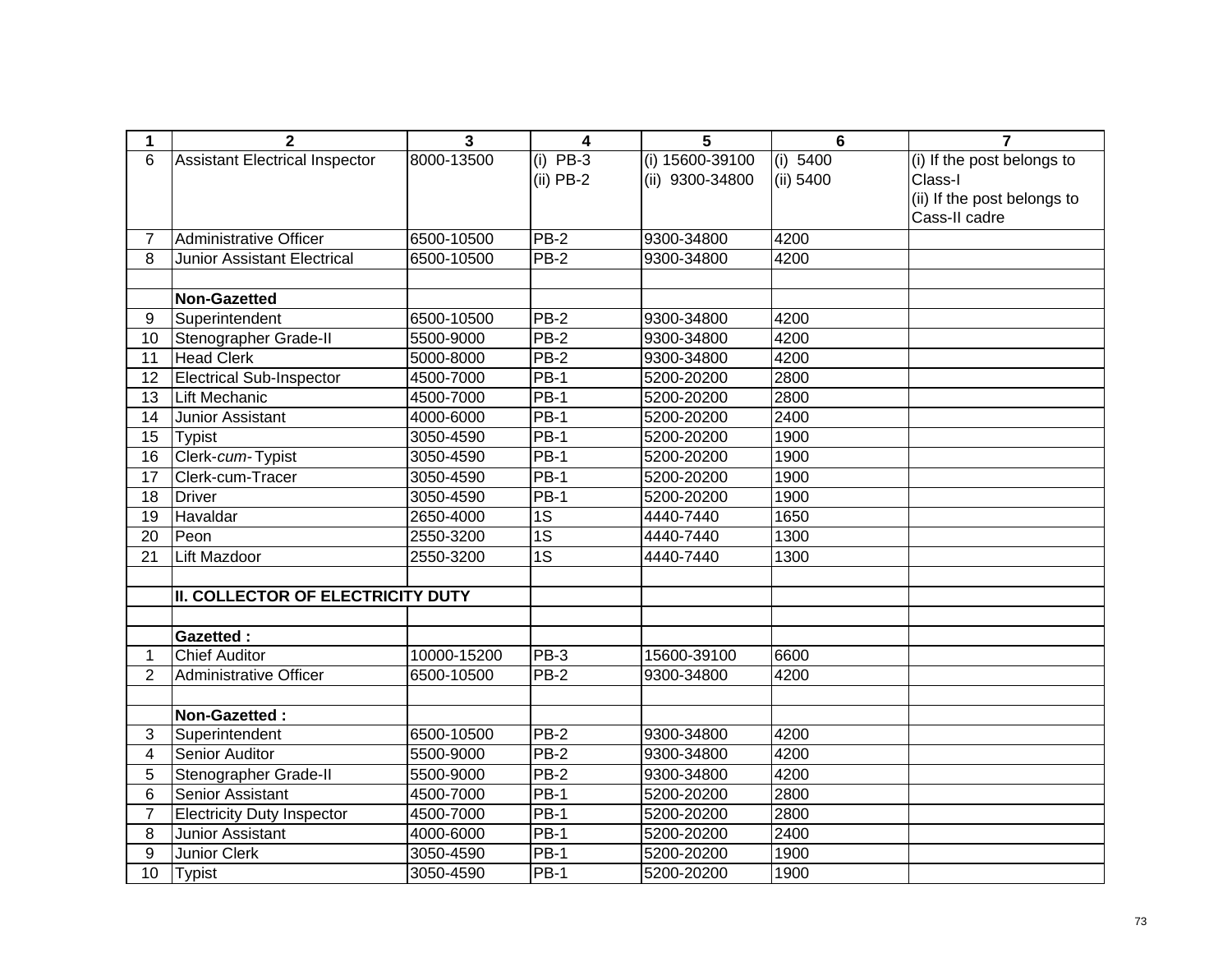| 1               | $\overline{\mathbf{2}}$                  | 3           | $\overline{\mathbf{4}}$ | 5               | 6         | $\overline{7}$              |
|-----------------|------------------------------------------|-------------|-------------------------|-----------------|-----------|-----------------------------|
| 6               | <b>Assistant Electrical Inspector</b>    | 8000-13500  | $(i)$ PB-3              | (i) 15600-39100 | (i) 5400  | (i) If the post belongs to  |
|                 |                                          |             | $(ii)$ PB-2             | (ii) 9300-34800 | (ii) 5400 | Class-I                     |
|                 |                                          |             |                         |                 |           | (ii) If the post belongs to |
|                 |                                          |             |                         |                 |           | Cass-II cadre               |
| $\overline{7}$  | <b>Administrative Officer</b>            | 6500-10500  | $PB-2$                  | 9300-34800      | 4200      |                             |
| 8               | <b>Junior Assistant Electrical</b>       | 6500-10500  | $PB-2$                  | 9300-34800      | 4200      |                             |
|                 |                                          |             |                         |                 |           |                             |
|                 | <b>Non-Gazetted</b>                      |             |                         |                 |           |                             |
| 9               | Superintendent                           | 6500-10500  | $PB-2$                  | 9300-34800      | 4200      |                             |
| 10              | Stenographer Grade-II                    | 5500-9000   | $PB-2$                  | 9300-34800      | 4200      |                             |
| 11              | <b>Head Clerk</b>                        | 5000-8000   | $PB-2$                  | 9300-34800      | 4200      |                             |
| 12              | <b>Electrical Sub-Inspector</b>          | 4500-7000   | $PB-1$                  | 5200-20200      | 2800      |                             |
| 13              | Lift Mechanic                            | 4500-7000   | $PB-1$                  | 5200-20200      | 2800      |                             |
| 14              | Junior Assistant                         | 4000-6000   | $PB-1$                  | 5200-20200      | 2400      |                             |
| 15              | <b>Typist</b>                            | 3050-4590   | $PB-1$                  | 5200-20200      | 1900      |                             |
| 16              | Clerk-cum-Typist                         | 3050-4590   | $PB-1$                  | 5200-20200      | 1900      |                             |
| 17              | Clerk-cum-Tracer                         | 3050-4590   | $PB-1$                  | 5200-20200      | 1900      |                             |
| $\overline{18}$ | <b>Driver</b>                            | 3050-4590   | $PB-1$                  | 5200-20200      | 1900      |                             |
| 19              | Havaldar                                 | 2650-4000   | $\overline{1S}$         | 4440-7440       | 1650      |                             |
| 20              | Peon                                     | 2550-3200   | $\overline{1S}$         | 4440-7440       | 1300      |                             |
| 21              | <b>Lift Mazdoor</b>                      | 2550-3200   | 1S                      | 4440-7440       | 1300      |                             |
|                 |                                          |             |                         |                 |           |                             |
|                 | <b>II. COLLECTOR OF ELECTRICITY DUTY</b> |             |                         |                 |           |                             |
|                 |                                          |             |                         |                 |           |                             |
|                 | <b>Gazetted:</b>                         |             |                         |                 |           |                             |
| 1               | <b>Chief Auditor</b>                     | 10000-15200 | PB-3                    | 15600-39100     | 6600      |                             |
| $\overline{2}$  | <b>Administrative Officer</b>            | 6500-10500  | PB-2                    | 9300-34800      | 4200      |                             |
|                 |                                          |             |                         |                 |           |                             |
|                 | Non-Gazetted:                            |             |                         |                 |           |                             |
| 3               | Superintendent                           | 6500-10500  | $PB-2$                  | 9300-34800      | 4200      |                             |
| 4               | Senior Auditor                           | 5500-9000   | $PB-2$                  | 9300-34800      | 4200      |                             |
| 5               | Stenographer Grade-II                    | 5500-9000   | $PB-2$                  | 9300-34800      | 4200      |                             |
| 6               | Senior Assistant                         | 4500-7000   | $PB-1$                  | 5200-20200      | 2800      |                             |
| $\overline{7}$  | <b>Electricity Duty Inspector</b>        | 4500-7000   | $PB-1$                  | 5200-20200      | 2800      |                             |
| 8               | Junior Assistant                         | 4000-6000   | <b>PB-1</b>             | 5200-20200      | 2400      |                             |
| 9               | Junior Clerk                             | 3050-4590   | $PB-1$                  | 5200-20200      | 1900      |                             |
| 10              | <b>Typist</b>                            | 3050-4590   | $PB-1$                  | 5200-20200      | 1900      |                             |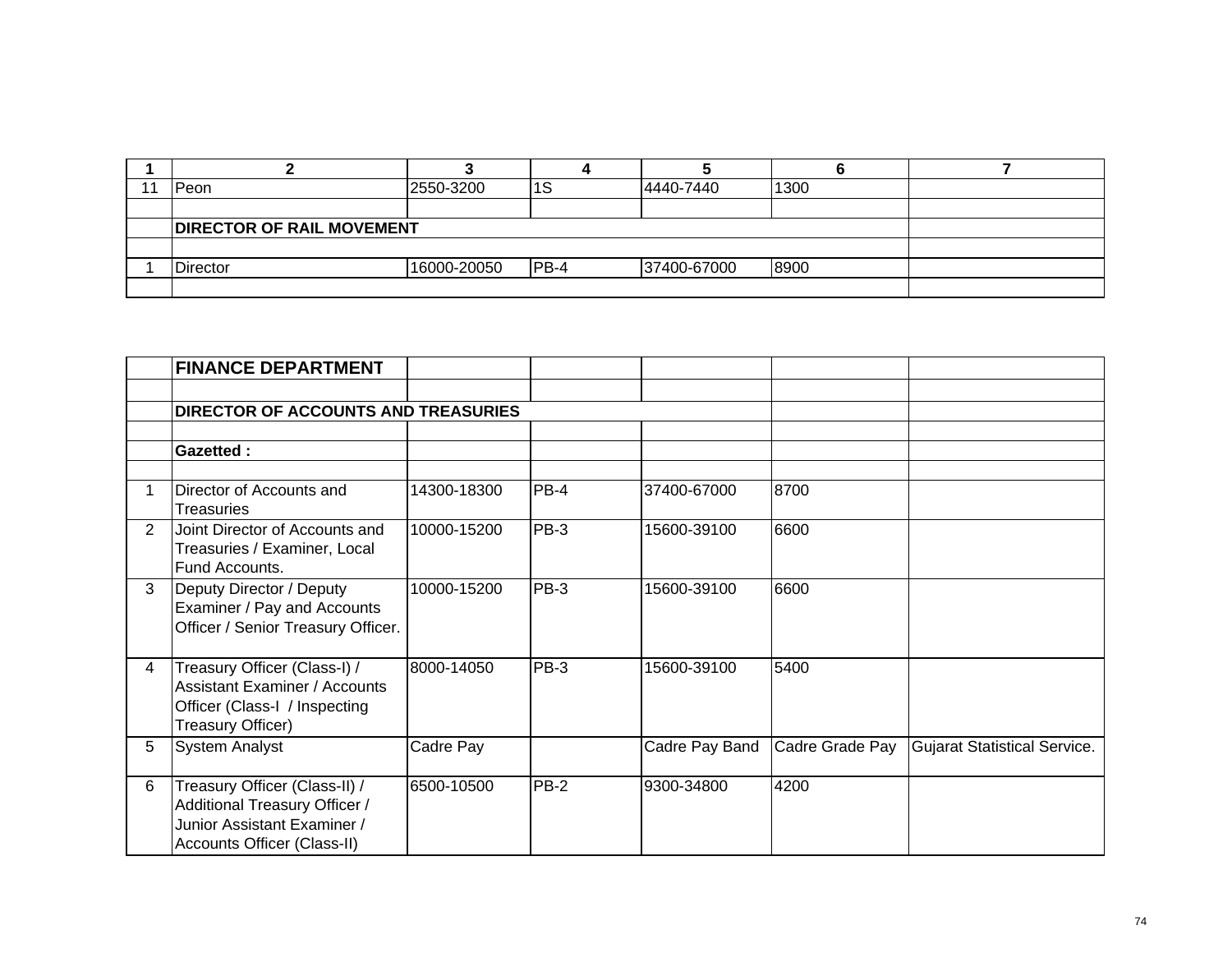| -4 | Peon                             | 2550-3200   | ∣ಎ     | 4440-7440   | 1300 |  |
|----|----------------------------------|-------------|--------|-------------|------|--|
|    |                                  |             |        |             |      |  |
|    | <b>DIRECTOR OF RAIL MOVEMENT</b> |             |        |             |      |  |
|    |                                  |             |        |             |      |  |
|    | <b>Director</b>                  | 16000-20050 | $PB-4$ | 37400-67000 | 8900 |  |
|    |                                  |             |        |             |      |  |

|                | <b>FINANCE DEPARTMENT</b>                                                                                                    |             |        |                |                 |                              |
|----------------|------------------------------------------------------------------------------------------------------------------------------|-------------|--------|----------------|-----------------|------------------------------|
|                |                                                                                                                              |             |        |                |                 |                              |
|                | <b>DIRECTOR OF ACCOUNTS AND TREASURIES</b>                                                                                   |             |        |                |                 |                              |
|                |                                                                                                                              |             |        |                |                 |                              |
|                | <b>Gazetted:</b>                                                                                                             |             |        |                |                 |                              |
|                |                                                                                                                              |             |        |                |                 |                              |
|                | Director of Accounts and<br>Treasuries                                                                                       | 14300-18300 | PB-4   | 37400-67000    | 8700            |                              |
| $\overline{2}$ | Joint Director of Accounts and<br>Treasuries / Examiner, Local<br>Fund Accounts.                                             | 10000-15200 | $PB-3$ | 15600-39100    | 6600            |                              |
| 3              | Deputy Director / Deputy<br>Examiner / Pay and Accounts<br>Officer / Senior Treasury Officer.                                | 10000-15200 | PB-3   | 15600-39100    | 6600            |                              |
| 4              | Treasury Officer (Class-I) /<br><b>Assistant Examiner / Accounts</b><br>Officer (Class-I / Inspecting<br>Treasury Officer)   | 8000-14050  | PB-3   | 15600-39100    | 5400            |                              |
| 5              | <b>System Analyst</b>                                                                                                        | Cadre Pay   |        | Cadre Pay Band | Cadre Grade Pay | Gujarat Statistical Service. |
| 6              | Treasury Officer (Class-II) /<br>Additional Treasury Officer /<br>Junior Assistant Examiner /<br>Accounts Officer (Class-II) | 6500-10500  | PB-2   | 9300-34800     | 4200            |                              |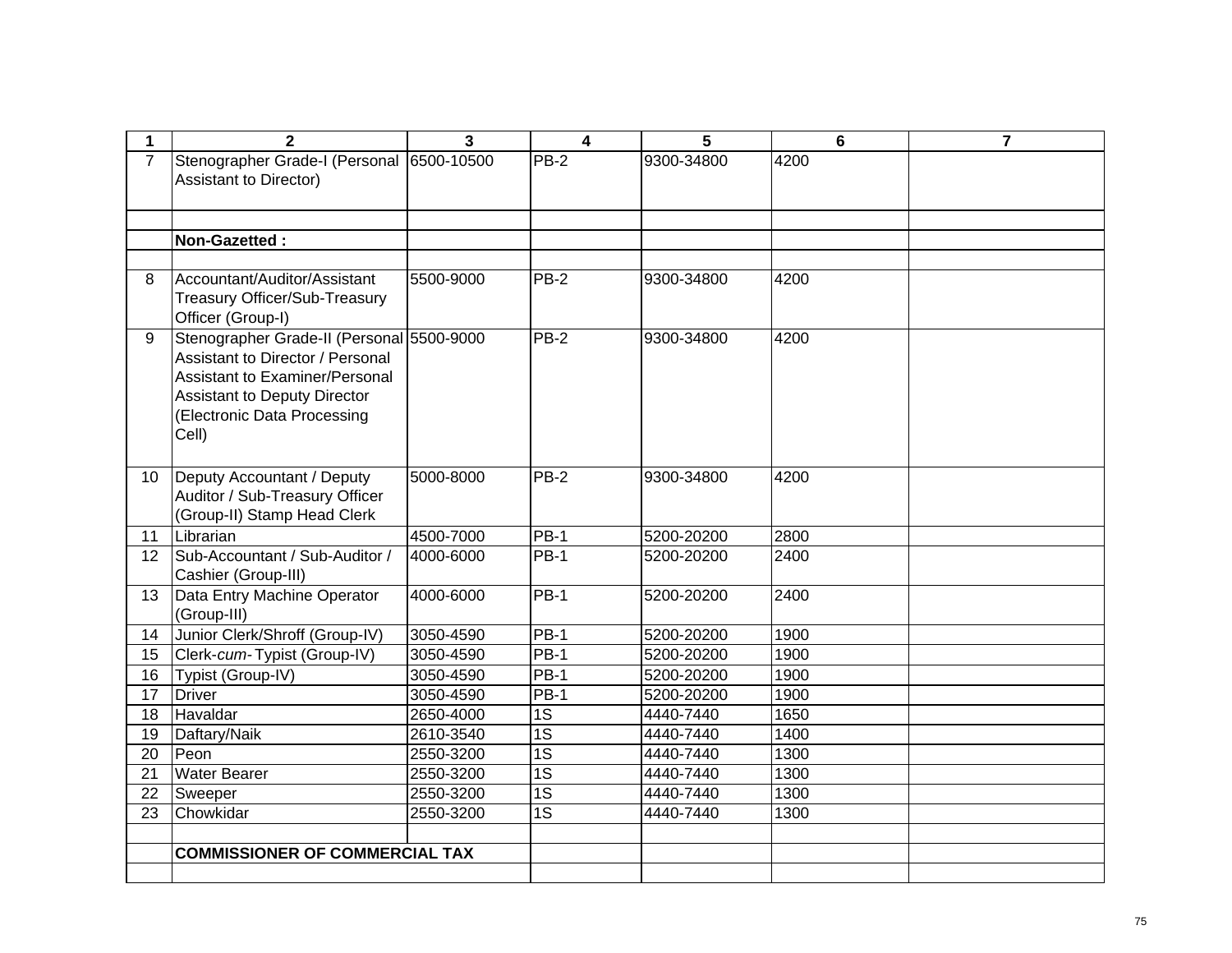| 1              | $\mathbf{2}$                                                  | 3         | 4               | 5          | 6    | $\overline{7}$ |
|----------------|---------------------------------------------------------------|-----------|-----------------|------------|------|----------------|
| $\overline{7}$ | Stenographer Grade-I (Personal 6500-10500                     |           | $PB-2$          | 9300-34800 | 4200 |                |
|                | <b>Assistant to Director)</b>                                 |           |                 |            |      |                |
|                |                                                               |           |                 |            |      |                |
|                |                                                               |           |                 |            |      |                |
|                | Non-Gazetted:                                                 |           |                 |            |      |                |
|                |                                                               |           |                 |            |      |                |
| 8              | Accountant/Auditor/Assistant                                  | 5500-9000 | $PB-2$          | 9300-34800 | 4200 |                |
|                | Treasury Officer/Sub-Treasury                                 |           |                 |            |      |                |
|                | Officer (Group-I)                                             |           |                 |            |      |                |
| 9              | Stenographer Grade-II (Personal 5500-9000                     |           | $PB-2$          | 9300-34800 | 4200 |                |
|                | Assistant to Director / Personal                              |           |                 |            |      |                |
|                | Assistant to Examiner/Personal                                |           |                 |            |      |                |
|                | <b>Assistant to Deputy Director</b>                           |           |                 |            |      |                |
|                | (Electronic Data Processing<br>Cell)                          |           |                 |            |      |                |
|                |                                                               |           |                 |            |      |                |
|                |                                                               |           |                 |            |      |                |
| 10             | Deputy Accountant / Deputy                                    | 5000-8000 | $PB-2$          | 9300-34800 | 4200 |                |
|                | Auditor / Sub-Treasury Officer<br>(Group-II) Stamp Head Clerk |           |                 |            |      |                |
| 11             | Librarian                                                     | 4500-7000 | <b>PB-1</b>     | 5200-20200 | 2800 |                |
| 12             | Sub-Accountant / Sub-Auditor /                                | 4000-6000 | <b>PB-1</b>     | 5200-20200 | 2400 |                |
|                | Cashier (Group-III)                                           |           |                 |            |      |                |
| 13             | Data Entry Machine Operator                                   | 4000-6000 | <b>PB-1</b>     | 5200-20200 | 2400 |                |
|                | (Group-III)                                                   |           |                 |            |      |                |
| 14             | Junior Clerk/Shroff (Group-IV)                                | 3050-4590 | $PB-1$          | 5200-20200 | 1900 |                |
| 15             | Clerk-cum-Typist (Group-IV)                                   | 3050-4590 | <b>PB-1</b>     | 5200-20200 | 1900 |                |
| 16             | Typist (Group-IV)                                             | 3050-4590 | <b>PB-1</b>     | 5200-20200 | 1900 |                |
| 17             | <b>Driver</b>                                                 | 3050-4590 | <b>PB-1</b>     | 5200-20200 | 1900 |                |
| 18             | Havaldar                                                      | 2650-4000 | 1S              | 4440-7440  | 1650 |                |
| 19             | Daftary/Naik                                                  | 2610-3540 | 1S              | 4440-7440  | 1400 |                |
| 20             | Peon                                                          | 2550-3200 | 1S              | 4440-7440  | 1300 |                |
| 21             | <b>Water Bearer</b>                                           | 2550-3200 | 1S              | 4440-7440  | 1300 |                |
| 22             | Sweeper                                                       | 2550-3200 | $\overline{1S}$ | 4440-7440  | 1300 |                |
| 23             | Chowkidar                                                     | 2550-3200 | $\overline{1S}$ | 4440-7440  | 1300 |                |
|                |                                                               |           |                 |            |      |                |
|                | <b>COMMISSIONER OF COMMERCIAL TAX</b>                         |           |                 |            |      |                |
|                |                                                               |           |                 |            |      |                |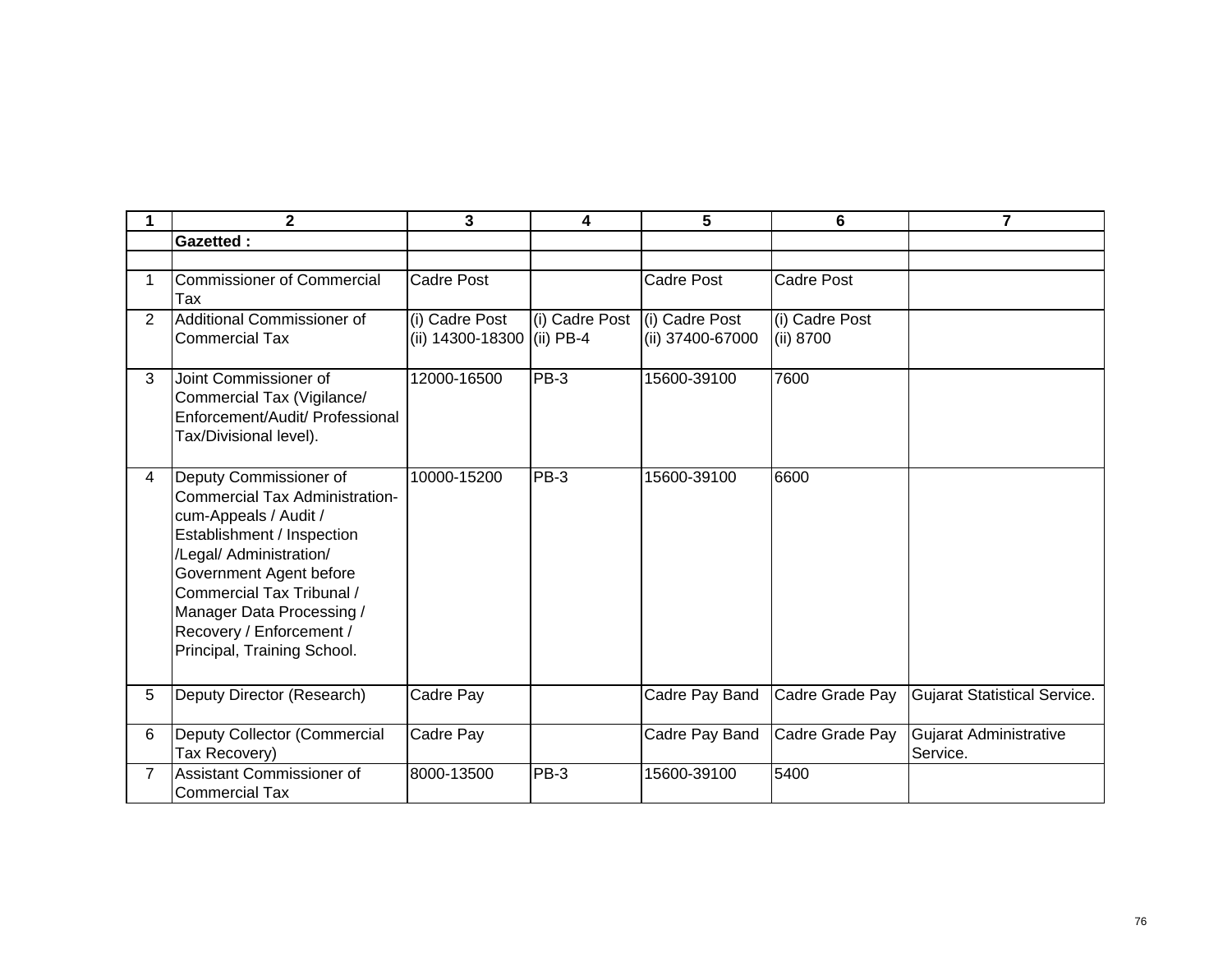| 1              | $\overline{2}$                                                                                                                                                                                                                                                                                    | 3                                            | 4              | 5                                  | 6                           | 7                                         |
|----------------|---------------------------------------------------------------------------------------------------------------------------------------------------------------------------------------------------------------------------------------------------------------------------------------------------|----------------------------------------------|----------------|------------------------------------|-----------------------------|-------------------------------------------|
|                | <b>Gazetted:</b>                                                                                                                                                                                                                                                                                  |                                              |                |                                    |                             |                                           |
|                |                                                                                                                                                                                                                                                                                                   |                                              |                |                                    |                             |                                           |
| 1              | <b>Commissioner of Commercial</b><br>Tax                                                                                                                                                                                                                                                          | <b>Cadre Post</b>                            |                | Cadre Post                         | Cadre Post                  |                                           |
| $\overline{2}$ | Additional Commissioner of<br><b>Commercial Tax</b>                                                                                                                                                                                                                                               | (i) Cadre Post<br>(ii) 14300-18300 (ii) PB-4 | (i) Cadre Post | (i) Cadre Post<br>(ii) 37400-67000 | (i) Cadre Post<br>(ii) 8700 |                                           |
| 3              | Joint Commissioner of<br>Commercial Tax (Vigilance/<br>Enforcement/Audit/ Professional<br>Tax/Divisional level).                                                                                                                                                                                  | 12000-16500                                  | PB-3           | 15600-39100                        | 7600                        |                                           |
| 4              | Deputy Commissioner of<br><b>Commercial Tax Administration-</b><br>cum-Appeals / Audit /<br>Establishment / Inspection<br>/Legal/ Administration/<br>Government Agent before<br>Commercial Tax Tribunal /<br>Manager Data Processing /<br>Recovery / Enforcement /<br>Principal, Training School. | 10000-15200                                  | PB-3           | 15600-39100                        | 6600                        |                                           |
| 5              | Deputy Director (Research)                                                                                                                                                                                                                                                                        | Cadre Pay                                    |                | Cadre Pay Band                     | Cadre Grade Pay             | <b>Gujarat Statistical Service.</b>       |
| 6              | Deputy Collector (Commercial<br>Tax Recovery)                                                                                                                                                                                                                                                     | Cadre Pay                                    |                | Cadre Pay Band                     | Cadre Grade Pay             | <b>Gujarat Administrative</b><br>Service. |
| $\overline{7}$ | Assistant Commissioner of<br><b>Commercial Tax</b>                                                                                                                                                                                                                                                | 8000-13500                                   | PB-3           | 15600-39100                        | 5400                        |                                           |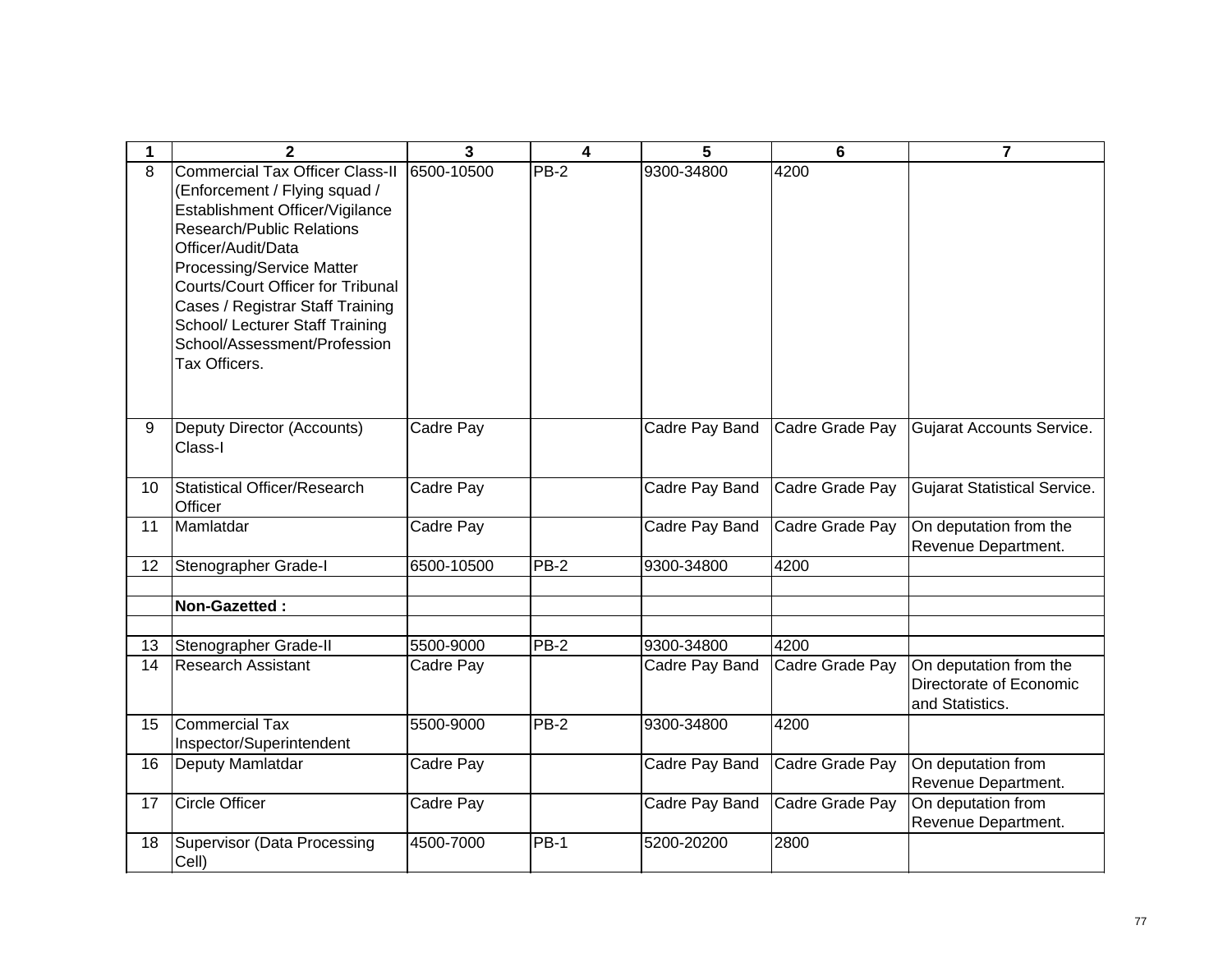| 1               | $\mathbf{2}$                                                                                                                                                                                                                                                                                                                                                   | 3          | 4           | 5              | 6               | $\overline{7}$                                                       |
|-----------------|----------------------------------------------------------------------------------------------------------------------------------------------------------------------------------------------------------------------------------------------------------------------------------------------------------------------------------------------------------------|------------|-------------|----------------|-----------------|----------------------------------------------------------------------|
| 8               | <b>Commercial Tax Officer Class-II</b><br>(Enforcement / Flying squad /<br>Establishment Officer/Vigilance<br>Research/Public Relations<br>Officer/Audit/Data<br>Processing/Service Matter<br><b>Courts/Court Officer for Tribunal</b><br>Cases / Registrar Staff Training<br>School/ Lecturer Staff Training<br>School/Assessment/Profession<br>Tax Officers. | 6500-10500 | PB-2        | 9300-34800     | 4200            |                                                                      |
| 9               | Deputy Director (Accounts)<br>Class-I                                                                                                                                                                                                                                                                                                                          | Cadre Pay  |             | Cadre Pay Band | Cadre Grade Pay | <b>Gujarat Accounts Service.</b>                                     |
| 10 <sup>1</sup> | Statistical Officer/Research<br>Officer                                                                                                                                                                                                                                                                                                                        | Cadre Pay  |             | Cadre Pay Band | Cadre Grade Pay | <b>Gujarat Statistical Service.</b>                                  |
| 11              | Mamlatdar                                                                                                                                                                                                                                                                                                                                                      | Cadre Pay  |             | Cadre Pay Band | Cadre Grade Pay | On deputation from the<br>Revenue Department.                        |
| 12              | Stenographer Grade-I                                                                                                                                                                                                                                                                                                                                           | 6500-10500 | $PB-2$      | 9300-34800     | 4200            |                                                                      |
|                 | Non-Gazetted:                                                                                                                                                                                                                                                                                                                                                  |            |             |                |                 |                                                                      |
| 13              | Stenographer Grade-II                                                                                                                                                                                                                                                                                                                                          | 5500-9000  | PB-2        | 9300-34800     | 4200            |                                                                      |
| 14              | <b>Research Assistant</b>                                                                                                                                                                                                                                                                                                                                      | Cadre Pay  |             | Cadre Pay Band | Cadre Grade Pay | On deputation from the<br>Directorate of Economic<br>and Statistics. |
| 15              | <b>Commercial Tax</b><br>Inspector/Superintendent                                                                                                                                                                                                                                                                                                              | 5500-9000  | $PB-2$      | 9300-34800     | 4200            |                                                                      |
| 16              | Deputy Mamlatdar                                                                                                                                                                                                                                                                                                                                               | Cadre Pay  |             | Cadre Pay Band | Cadre Grade Pay | On deputation from<br>Revenue Department.                            |
| 17              | <b>Circle Officer</b>                                                                                                                                                                                                                                                                                                                                          | Cadre Pay  |             | Cadre Pay Band | Cadre Grade Pay | On deputation from<br>Revenue Department.                            |
| 18              | Supervisor (Data Processing<br>Cell)                                                                                                                                                                                                                                                                                                                           | 4500-7000  | <b>PB-1</b> | 5200-20200     | 2800            |                                                                      |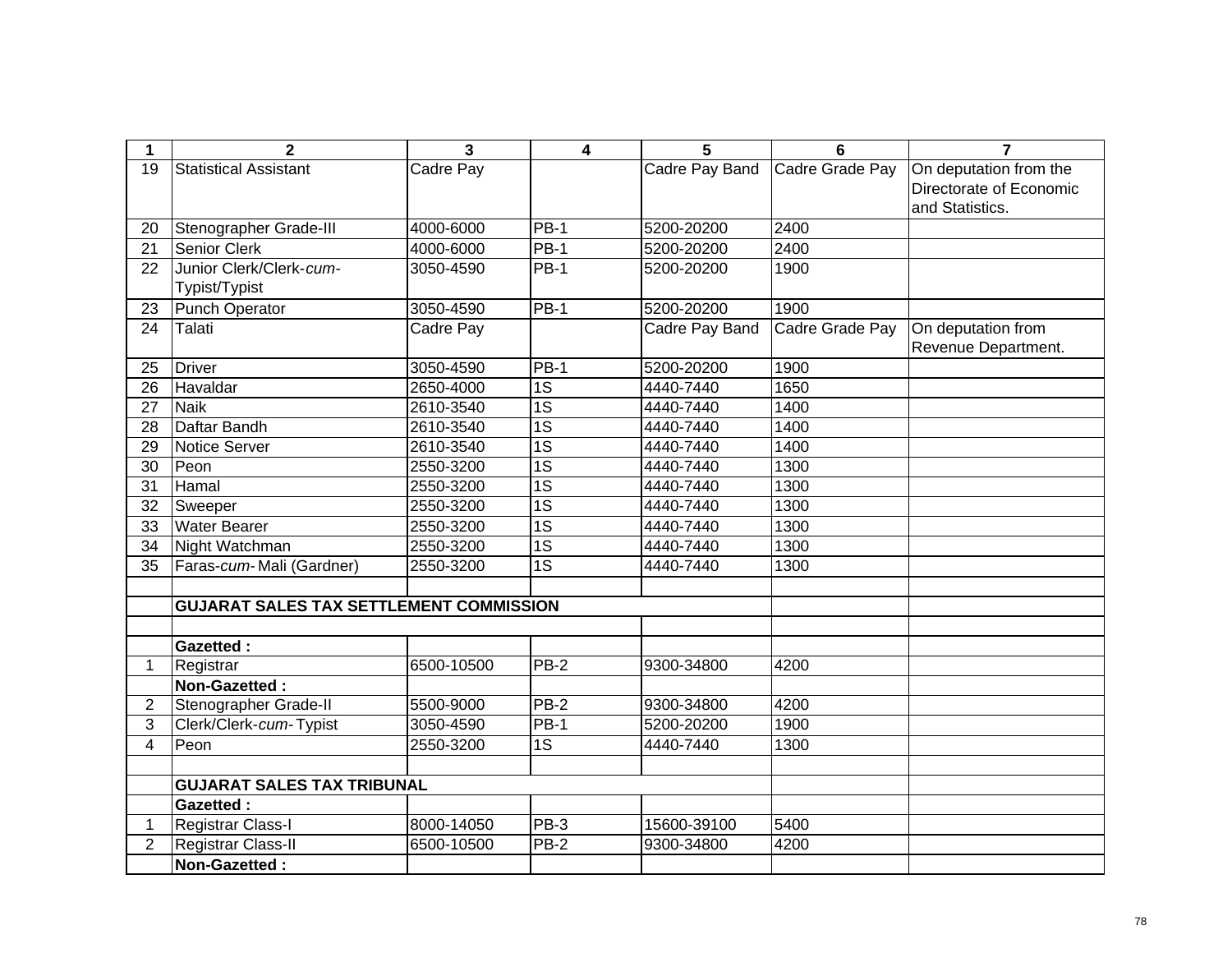| 1               | $\overline{2}$                                 | $\mathbf{3}$ | $\overline{\mathbf{4}}$ | 5              | 6               | $\overline{7}$          |
|-----------------|------------------------------------------------|--------------|-------------------------|----------------|-----------------|-------------------------|
| 19              | <b>Statistical Assistant</b>                   | Cadre Pay    |                         | Cadre Pay Band | Cadre Grade Pay | On deputation from the  |
|                 |                                                |              |                         |                |                 | Directorate of Economic |
|                 |                                                |              |                         |                |                 | and Statistics.         |
| 20              | Stenographer Grade-III                         | 4000-6000    | $PB-1$                  | 5200-20200     | 2400            |                         |
| 21              | Senior Clerk                                   | 4000-6000    | $PB-1$                  | 5200-20200     | 2400            |                         |
| 22              | Junior Clerk/Clerk-cum-                        | 3050-4590    | <b>PB-1</b>             | 5200-20200     | 1900            |                         |
|                 | Typist/Typist                                  |              |                         |                |                 |                         |
| 23              | <b>Punch Operator</b>                          | 3050-4590    | $PB-1$                  | 5200-20200     | 1900            |                         |
| 24              | Talati                                         | Cadre Pay    |                         | Cadre Pay Band | Cadre Grade Pay | On deputation from      |
|                 |                                                |              |                         |                |                 | Revenue Department.     |
| 25              | <b>Driver</b>                                  | 3050-4590    | <b>PB-1</b>             | 5200-20200     | 1900            |                         |
| 26              | Havaldar                                       | 2650-4000    | $\overline{1S}$         | 4440-7440      | 1650            |                         |
| 27              | <b>Naik</b>                                    | 2610-3540    | $\overline{1S}$         | 4440-7440      | 1400            |                         |
| $\overline{28}$ | Daftar Bandh                                   | 2610-3540    | $\overline{1S}$         | 4440-7440      | 1400            |                         |
| 29              | <b>Notice Server</b>                           | 2610-3540    | $\overline{1S}$         | 4440-7440      | 1400            |                         |
| 30              | Peon                                           | 2550-3200    | $\overline{1S}$         | 4440-7440      | 1300            |                         |
| 31              | Hamal                                          | 2550-3200    | $\overline{1S}$         | 4440-7440      | 1300            |                         |
| 32              | Sweeper                                        | 2550-3200    | $\overline{1S}$         | 4440-7440      | 1300            |                         |
| 33              | <b>Water Bearer</b>                            | 2550-3200    | $\overline{1S}$         | 4440-7440      | 1300            |                         |
| 34              | Night Watchman                                 | 2550-3200    | $\overline{1S}$         | 4440-7440      | 1300            |                         |
| 35              | Faras-cum-Mali (Gardner)                       | 2550-3200    | $\overline{1S}$         | 4440-7440      | 1300            |                         |
|                 |                                                |              |                         |                |                 |                         |
|                 | <b>GUJARAT SALES TAX SETTLEMENT COMMISSION</b> |              |                         |                |                 |                         |
|                 |                                                |              |                         |                |                 |                         |
|                 | <b>Gazetted:</b>                               |              |                         |                |                 |                         |
| 1               | Registrar                                      | 6500-10500   | PB-2                    | 9300-34800     | 4200            |                         |
|                 | Non-Gazetted:                                  |              |                         |                |                 |                         |
| 2               | Stenographer Grade-II                          | 5500-9000    | PB-2                    | 9300-34800     | 4200            |                         |
| 3               | Clerk/Clerk-cum-Typist                         | 3050-4590    | <b>PB-1</b>             | 5200-20200     | 1900            |                         |
| $\overline{4}$  | Peon                                           | 2550-3200    | 1S                      | 4440-7440      | 1300            |                         |
|                 |                                                |              |                         |                |                 |                         |
|                 | <b>GUJARAT SALES TAX TRIBUNAL</b>              |              |                         |                |                 |                         |
|                 | <b>Gazetted:</b>                               |              |                         |                |                 |                         |
| 1.              | Registrar Class-I                              | 8000-14050   | PB-3                    | 15600-39100    | 5400            |                         |
| $\overline{2}$  | Registrar Class-II                             | 6500-10500   | $PB-2$                  | 9300-34800     | 4200            |                         |
|                 | Non-Gazetted:                                  |              |                         |                |                 |                         |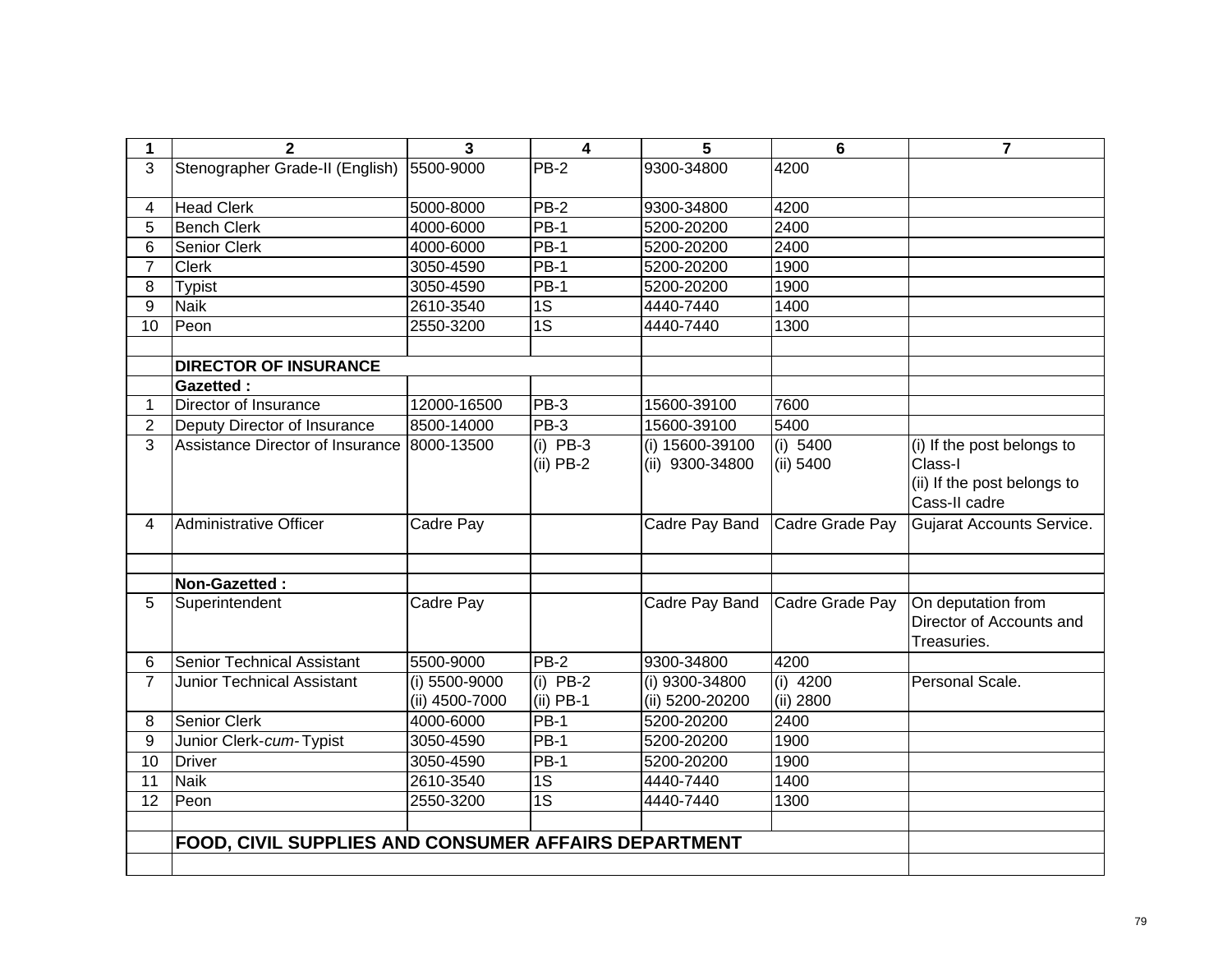| 1               | $\overline{2}$                                       | 3                               | 4                         | 5                                  | 6                       | $\overline{7}$                                                                        |
|-----------------|------------------------------------------------------|---------------------------------|---------------------------|------------------------------------|-------------------------|---------------------------------------------------------------------------------------|
| 3               | Stenographer Grade-II (English)                      | 5500-9000                       | $PB-2$                    | 9300-34800                         | 4200                    |                                                                                       |
| 4               | <b>Head Clerk</b>                                    | 5000-8000                       | <b>PB-2</b>               | 9300-34800                         | 4200                    |                                                                                       |
| 5               | <b>Bench Clerk</b>                                   | 4000-6000                       | <b>PB-1</b>               | 5200-20200                         | 2400                    |                                                                                       |
| 6               | Senior Clerk                                         | 4000-6000                       | PB-1                      | 5200-20200                         | 2400                    |                                                                                       |
| $\overline{7}$  | <b>Clerk</b>                                         | 3050-4590                       | PB-1                      | 5200-20200                         | 1900                    |                                                                                       |
| 8               | <b>Typist</b>                                        | 3050-4590                       | $PB-1$                    | 5200-20200                         | 1900                    |                                                                                       |
| 9               | <b>Naik</b>                                          | 2610-3540                       | $\overline{1S}$           | 4440-7440                          | 1400                    |                                                                                       |
| 10              | Peon                                                 | 2550-3200                       | $\overline{1S}$           | 4440-7440                          | 1300                    |                                                                                       |
|                 |                                                      |                                 |                           |                                    |                         |                                                                                       |
|                 | <b>DIRECTOR OF INSURANCE</b>                         |                                 |                           |                                    |                         |                                                                                       |
|                 | <b>Gazetted:</b>                                     |                                 |                           |                                    |                         |                                                                                       |
| 1               | Director of Insurance                                | 12000-16500                     | <b>PB-3</b>               | 15600-39100                        | 7600                    |                                                                                       |
| $\overline{2}$  | Deputy Director of Insurance                         | 8500-14000                      | <b>PB-3</b>               | 15600-39100                        | 5400                    |                                                                                       |
| 3               | Assistance Director of Insurance                     | 8000-13500                      | $(i)$ PB-3<br>$(ii)$ PB-2 | (i) 15600-39100<br>(ii) 9300-34800 | (i) 5400<br>(ii) 5400   | (i) If the post belongs to<br>Class-I<br>(ii) If the post belongs to<br>Cass-II cadre |
| 4               | <b>Administrative Officer</b>                        | Cadre Pay                       |                           | Cadre Pay Band                     | Cadre Grade Pay         | <b>Gujarat Accounts Service.</b>                                                      |
|                 | Non-Gazetted:                                        |                                 |                           |                                    |                         |                                                                                       |
| 5               | Superintendent                                       | Cadre Pay                       |                           | Cadre Pay Band                     | Cadre Grade Pay         | On deputation from                                                                    |
|                 |                                                      |                                 |                           |                                    |                         | Director of Accounts and<br>Treasuries.                                               |
| 6               | <b>Senior Technical Assistant</b>                    | 5500-9000                       | <b>PB-2</b>               | 9300-34800                         | 4200                    |                                                                                       |
| $\overline{7}$  | <b>Junior Technical Assistant</b>                    | (i) 5500-9000<br>(ii) 4500-7000 | $(i)$ PB-2<br>$(ii)$ PB-1 | (i) 9300-34800<br>(ii) 5200-20200  | $(i)$ 4200<br>(ii) 2800 | Personal Scale.                                                                       |
| 8               | <b>Senior Clerk</b>                                  | 4000-6000                       | $PB-1$                    | 5200-20200                         | 2400                    |                                                                                       |
| 9               | Junior Clerk-cum-Typist                              | 3050-4590                       | PB-1                      | 5200-20200                         | 1900                    |                                                                                       |
| 10              | <b>Driver</b>                                        | 3050-4590                       | <b>PB-1</b>               | 5200-20200                         | 1900                    |                                                                                       |
| $\overline{11}$ | <b>Naik</b>                                          | 2610-3540                       | $\overline{1S}$           | 4440-7440                          | 1400                    |                                                                                       |
| 12              | Peon                                                 | 2550-3200                       | 1S                        | 4440-7440                          | 1300                    |                                                                                       |
|                 |                                                      |                                 |                           |                                    |                         |                                                                                       |
|                 | FOOD, CIVIL SUPPLIES AND CONSUMER AFFAIRS DEPARTMENT |                                 |                           |                                    |                         |                                                                                       |
|                 |                                                      |                                 |                           |                                    |                         |                                                                                       |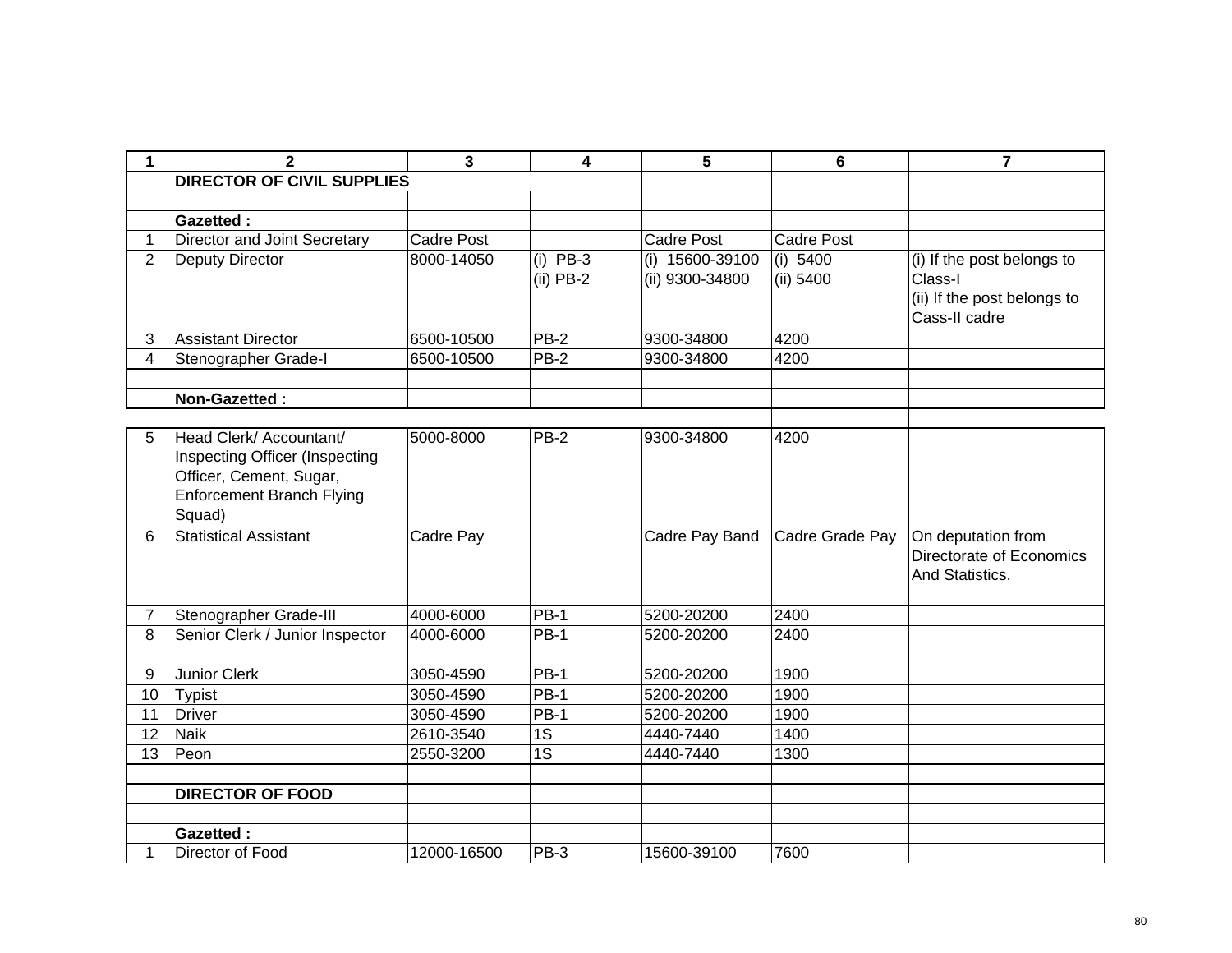| 1              | $\mathbf{2}$                                                                                                                       | 3                 | 4                         | 5                                  | 6                       | $\overline{7}$                                                                        |  |  |  |
|----------------|------------------------------------------------------------------------------------------------------------------------------------|-------------------|---------------------------|------------------------------------|-------------------------|---------------------------------------------------------------------------------------|--|--|--|
|                | <b>DIRECTOR OF CIVIL SUPPLIES</b>                                                                                                  |                   |                           |                                    |                         |                                                                                       |  |  |  |
|                |                                                                                                                                    |                   |                           |                                    |                         |                                                                                       |  |  |  |
|                | <b>Gazetted:</b>                                                                                                                   |                   |                           |                                    |                         |                                                                                       |  |  |  |
| 1              | Director and Joint Secretary                                                                                                       | <b>Cadre Post</b> |                           | <b>Cadre Post</b>                  | <b>Cadre Post</b>       |                                                                                       |  |  |  |
| 2              | Deputy Director                                                                                                                    | 8000-14050        | $(i)$ PB-3<br>$(ii)$ PB-2 | (i) 15600-39100<br>(ii) 9300-34800 | (i) $5400$<br>(ii) 5400 | (i) If the post belongs to<br>Class-I<br>(ii) If the post belongs to<br>Cass-II cadre |  |  |  |
| 3              | <b>Assistant Director</b>                                                                                                          | 6500-10500        | $PB-2$                    | 9300-34800                         | 4200                    |                                                                                       |  |  |  |
| $\overline{4}$ | Stenographer Grade-I                                                                                                               | 6500-10500        | <b>PB-2</b>               | 9300-34800                         | 4200                    |                                                                                       |  |  |  |
|                |                                                                                                                                    |                   |                           |                                    |                         |                                                                                       |  |  |  |
|                | Non-Gazetted:                                                                                                                      |                   |                           |                                    |                         |                                                                                       |  |  |  |
|                |                                                                                                                                    |                   |                           |                                    |                         |                                                                                       |  |  |  |
| 5              | Head Clerk/ Accountant/<br>Inspecting Officer (Inspecting<br>Officer, Cement, Sugar,<br><b>Enforcement Branch Flying</b><br>Squad) | 5000-8000         | PB-2                      | 9300-34800                         | 4200                    |                                                                                       |  |  |  |
| 6              | <b>Statistical Assistant</b>                                                                                                       | Cadre Pay         |                           | Cadre Pay Band                     | Cadre Grade Pay         | On deputation from<br>Directorate of Economics<br>And Statistics.                     |  |  |  |
| $\overline{7}$ | Stenographer Grade-III                                                                                                             | 4000-6000         | <b>PB-1</b>               | 5200-20200                         | 2400                    |                                                                                       |  |  |  |
| 8              | Senior Clerk / Junior Inspector                                                                                                    | 4000-6000         | <b>PB-1</b>               | 5200-20200                         | 2400                    |                                                                                       |  |  |  |
| 9              | <b>Junior Clerk</b>                                                                                                                | 3050-4590         | $PB-1$                    | 5200-20200                         | 1900                    |                                                                                       |  |  |  |
| 10             | <b>Typist</b>                                                                                                                      | 3050-4590         | $PB-1$                    | 5200-20200                         | 1900                    |                                                                                       |  |  |  |
| 11             | <b>Driver</b>                                                                                                                      | 3050-4590         | <b>PB-1</b>               | 5200-20200                         | 1900                    |                                                                                       |  |  |  |
| 12             | <b>Naik</b>                                                                                                                        | 2610-3540         | 1S                        | 4440-7440                          | 1400                    |                                                                                       |  |  |  |
| 13             | Peon                                                                                                                               | 2550-3200         | $\overline{1S}$           | 4440-7440                          | 1300                    |                                                                                       |  |  |  |
|                |                                                                                                                                    |                   |                           |                                    |                         |                                                                                       |  |  |  |
|                | <b>DIRECTOR OF FOOD</b>                                                                                                            |                   |                           |                                    |                         |                                                                                       |  |  |  |
|                |                                                                                                                                    |                   |                           |                                    |                         |                                                                                       |  |  |  |
|                | <b>Gazetted:</b>                                                                                                                   |                   |                           |                                    |                         |                                                                                       |  |  |  |
| 1              | Director of Food                                                                                                                   | 12000-16500       | PB-3                      | 15600-39100                        | 7600                    |                                                                                       |  |  |  |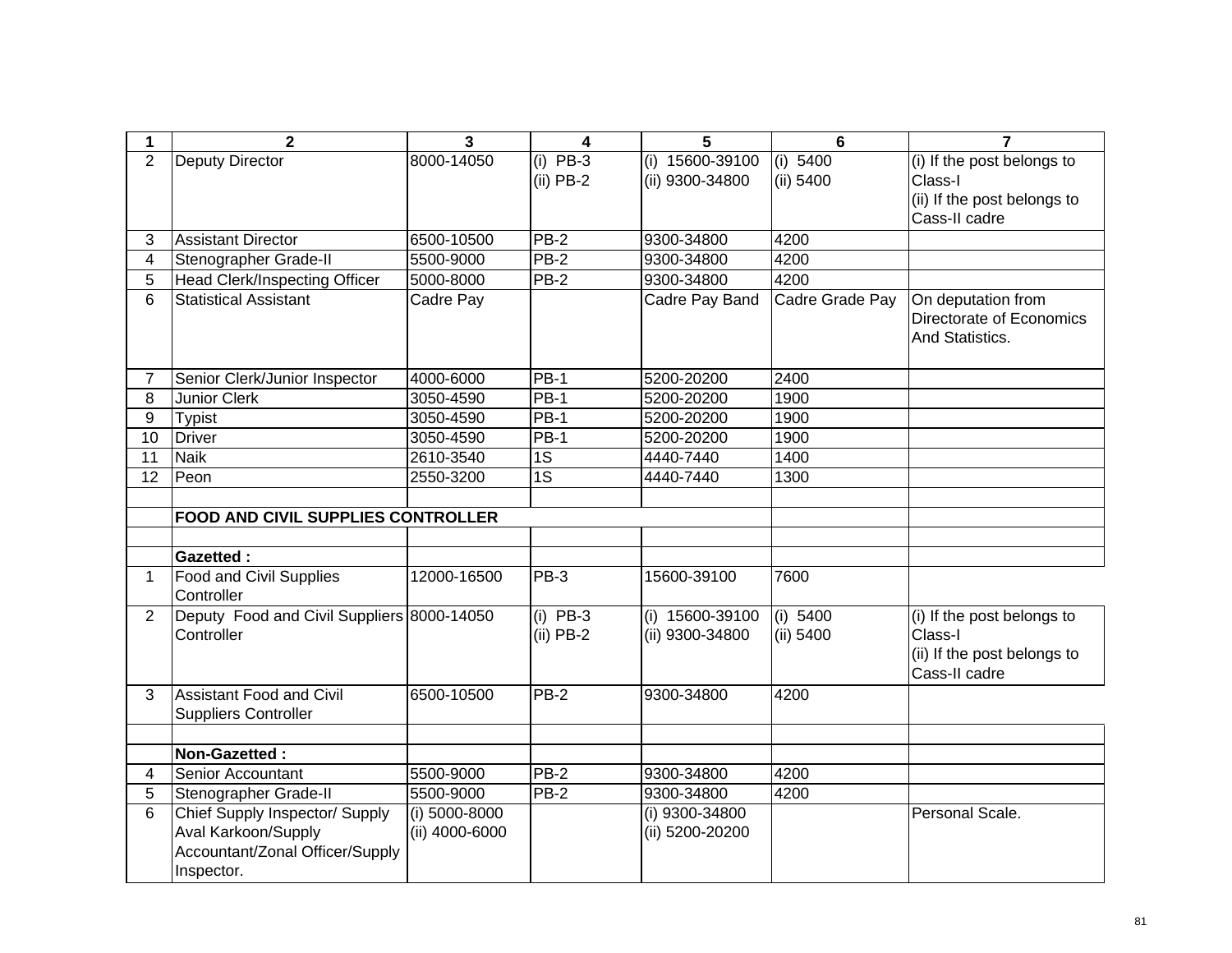| 1              | $\overline{2}$                               | $\overline{3}$ | 4               | 5                 | $6\phantom{1}$  | $\overline{7}$                                                    |
|----------------|----------------------------------------------|----------------|-----------------|-------------------|-----------------|-------------------------------------------------------------------|
| $\overline{2}$ | Deputy Director                              | 8000-14050     | $(i)$ PB-3      | $(i)$ 15600-39100 | (i) 5400        | (i) If the post belongs to                                        |
|                |                                              |                | $(ii)$ PB-2     | (ii) 9300-34800   | (ii) 5400       | Class-I                                                           |
|                |                                              |                |                 |                   |                 | (ii) If the post belongs to                                       |
|                |                                              |                |                 |                   |                 | Cass-II cadre                                                     |
| 3              | <b>Assistant Director</b>                    | 6500-10500     | <b>PB-2</b>     | 9300-34800        | 4200            |                                                                   |
| 4              | Stenographer Grade-II                        | 5500-9000      | $PB-2$          | 9300-34800        | 4200            |                                                                   |
| $\overline{5}$ | <b>Head Clerk/Inspecting Officer</b>         | 5000-8000      | $PB-2$          | 9300-34800        | 4200            |                                                                   |
| 6              | <b>Statistical Assistant</b>                 | Cadre Pay      |                 | Cadre Pay Band    | Cadre Grade Pay | On deputation from<br>Directorate of Economics<br>And Statistics. |
| 7              | Senior Clerk/Junior Inspector                | 4000-6000      | <b>PB-1</b>     | 5200-20200        | 2400            |                                                                   |
| 8              | <b>Junior Clerk</b>                          | 3050-4590      | $PB-1$          | 5200-20200        | 1900            |                                                                   |
| 9              | <b>Typist</b>                                | 3050-4590      | $PB-1$          | 5200-20200        | 1900            |                                                                   |
| 10             | <b>Driver</b>                                | 3050-4590      | <b>PB-1</b>     | 5200-20200        | 1900            |                                                                   |
| 11             | <b>Naik</b>                                  | 2610-3540      | 1S              | 4440-7440         | 1400            |                                                                   |
| 12             | Peon                                         | 2550-3200      | $\overline{1S}$ | 4440-7440         | 1300            |                                                                   |
|                |                                              |                |                 |                   |                 |                                                                   |
|                | <b>FOOD AND CIVIL SUPPLIES CONTROLLER</b>    |                |                 |                   |                 |                                                                   |
|                |                                              |                |                 |                   |                 |                                                                   |
|                | <b>Gazetted:</b>                             |                |                 |                   |                 |                                                                   |
| 1              | <b>Food and Civil Supplies</b><br>Controller | 12000-16500    | PB-3            | 15600-39100       | 7600            |                                                                   |
| $\overline{2}$ | Deputy Food and Civil Suppliers 8000-14050   |                | $(i)$ PB-3      | (i) 15600-39100   | (i) 5400        | (i) If the post belongs to                                        |
|                | Controller                                   |                | $(ii)$ PB-2     | (ii) 9300-34800   | $(ii)$ 5400     | Class-I<br>(ii) If the post belongs to<br>Cass-II cadre           |
| 3              | <b>Assistant Food and Civil</b>              | 6500-10500     | $PB-2$          | 9300-34800        | 4200            |                                                                   |
|                | <b>Suppliers Controller</b>                  |                |                 |                   |                 |                                                                   |
|                |                                              |                |                 |                   |                 |                                                                   |
|                | Non-Gazetted:                                |                |                 |                   |                 |                                                                   |
| 4              | Senior Accountant                            | 5500-9000      | <b>PB-2</b>     | 9300-34800        | 4200            |                                                                   |
| 5              | Stenographer Grade-II                        | 5500-9000      | $PB-2$          | 9300-34800        | 4200            |                                                                   |
| 6              | Chief Supply Inspector/ Supply               | (i) 5000-8000  |                 | (i) 9300-34800    |                 | Personal Scale.                                                   |
|                | Aval Karkoon/Supply                          | (ii) 4000-6000 |                 | (ii) 5200-20200   |                 |                                                                   |
|                | Accountant/Zonal Officer/Supply              |                |                 |                   |                 |                                                                   |
|                | Inspector.                                   |                |                 |                   |                 |                                                                   |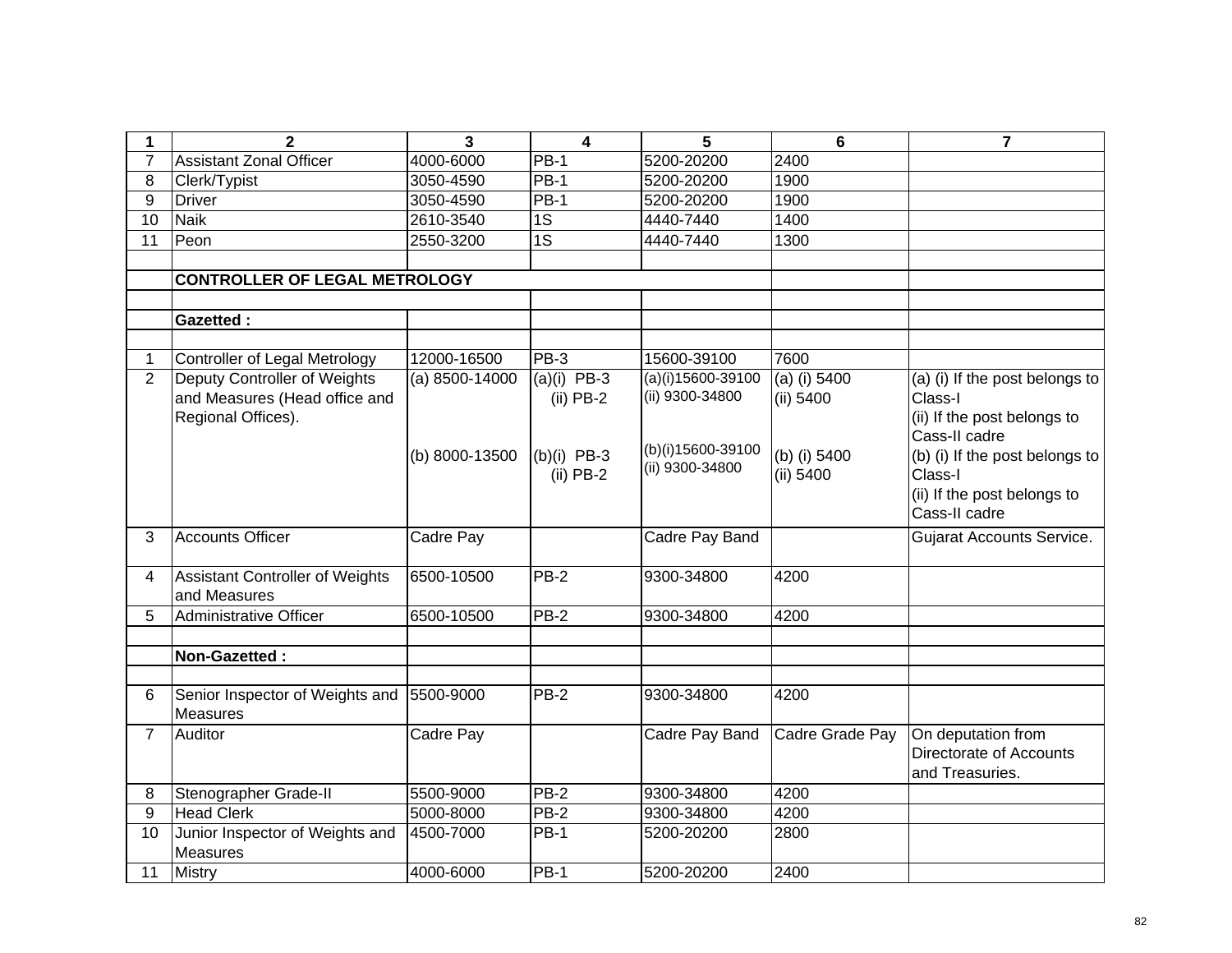| 1              | $\mathbf{2}$                                                                        | 3                | 4                            | 5                                      | $6\phantom{1}$              | $\overline{7}$                                                                            |
|----------------|-------------------------------------------------------------------------------------|------------------|------------------------------|----------------------------------------|-----------------------------|-------------------------------------------------------------------------------------------|
| $\overline{7}$ | <b>Assistant Zonal Officer</b>                                                      | 4000-6000        | $PB-1$                       | 5200-20200                             | 2400                        |                                                                                           |
| 8              | Clerk/Typist                                                                        | 3050-4590        | <b>PB-1</b>                  | 5200-20200                             | 1900                        |                                                                                           |
| 9              | <b>Driver</b>                                                                       | 3050-4590        | <b>PB-1</b>                  | 5200-20200                             | 1900                        |                                                                                           |
| 10             | <b>Naik</b>                                                                         | 2610-3540        | 1S                           | 4440-7440                              | 1400                        |                                                                                           |
| 11             | Peon                                                                                | 2550-3200        | 1S                           | 4440-7440                              | 1300                        |                                                                                           |
|                |                                                                                     |                  |                              |                                        |                             |                                                                                           |
|                | <b>CONTROLLER OF LEGAL METROLOGY</b>                                                |                  |                              |                                        |                             |                                                                                           |
|                |                                                                                     |                  |                              |                                        |                             |                                                                                           |
|                | <b>Gazetted:</b>                                                                    |                  |                              |                                        |                             |                                                                                           |
|                |                                                                                     |                  |                              |                                        |                             |                                                                                           |
| $\mathbf{1}$   | Controller of Legal Metrology                                                       | 12000-16500      | $PB-3$                       | 15600-39100                            | 7600                        |                                                                                           |
| $\overline{2}$ | Deputy Controller of Weights<br>and Measures (Head office and<br>Regional Offices). | $(a)$ 8500-14000 | $(a)(i)$ PB-3<br>$(ii)$ PB-2 | $(a)(i)15600-39100$<br>(ii) 9300-34800 | $(a)$ (i) 5400<br>(ii) 5400 | (a) (i) If the post belongs to<br>Class-I<br>(ii) If the post belongs to<br>Cass-II cadre |
|                |                                                                                     | (b) 8000-13500   | $(b)(i)$ PB-3<br>$(ii)$ PB-2 | (b)(i)15600-39100<br>(ii) 9300-34800   | (b) (i) 5400<br>(ii) 5400   | (b) (i) If the post belongs to<br>Class-I<br>(ii) If the post belongs to<br>Cass-II cadre |
| 3              | <b>Accounts Officer</b>                                                             | Cadre Pay        |                              | Cadre Pay Band                         |                             | <b>Gujarat Accounts Service.</b>                                                          |
| 4              | <b>Assistant Controller of Weights</b><br>and Measures                              | 6500-10500       | <b>PB-2</b>                  | 9300-34800                             | 4200                        |                                                                                           |
| 5              | Administrative Officer                                                              | 6500-10500       | <b>PB-2</b>                  | 9300-34800                             | 4200                        |                                                                                           |
|                |                                                                                     |                  |                              |                                        |                             |                                                                                           |
|                | Non-Gazetted:                                                                       |                  |                              |                                        |                             |                                                                                           |
|                |                                                                                     |                  |                              |                                        |                             |                                                                                           |
| 6              | Senior Inspector of Weights and 5500-9000<br><b>Measures</b>                        |                  | $PB-2$                       | 9300-34800                             | 4200                        |                                                                                           |
| $\overline{7}$ | Auditor                                                                             | Cadre Pay        |                              | Cadre Pay Band                         | Cadre Grade Pay             | On deputation from<br>Directorate of Accounts<br>and Treasuries.                          |
| 8              | Stenographer Grade-II                                                               | 5500-9000        | PB-2                         | 9300-34800                             | 4200                        |                                                                                           |
| 9              | <b>Head Clerk</b>                                                                   | 5000-8000        | PB-2                         | 9300-34800                             | 4200                        |                                                                                           |
| 10             | Junior Inspector of Weights and<br><b>Measures</b>                                  | 4500-7000        | <b>PB-1</b>                  | 5200-20200                             | 2800                        |                                                                                           |
| 11             | Mistry                                                                              | 4000-6000        | <b>PB-1</b>                  | 5200-20200                             | 2400                        |                                                                                           |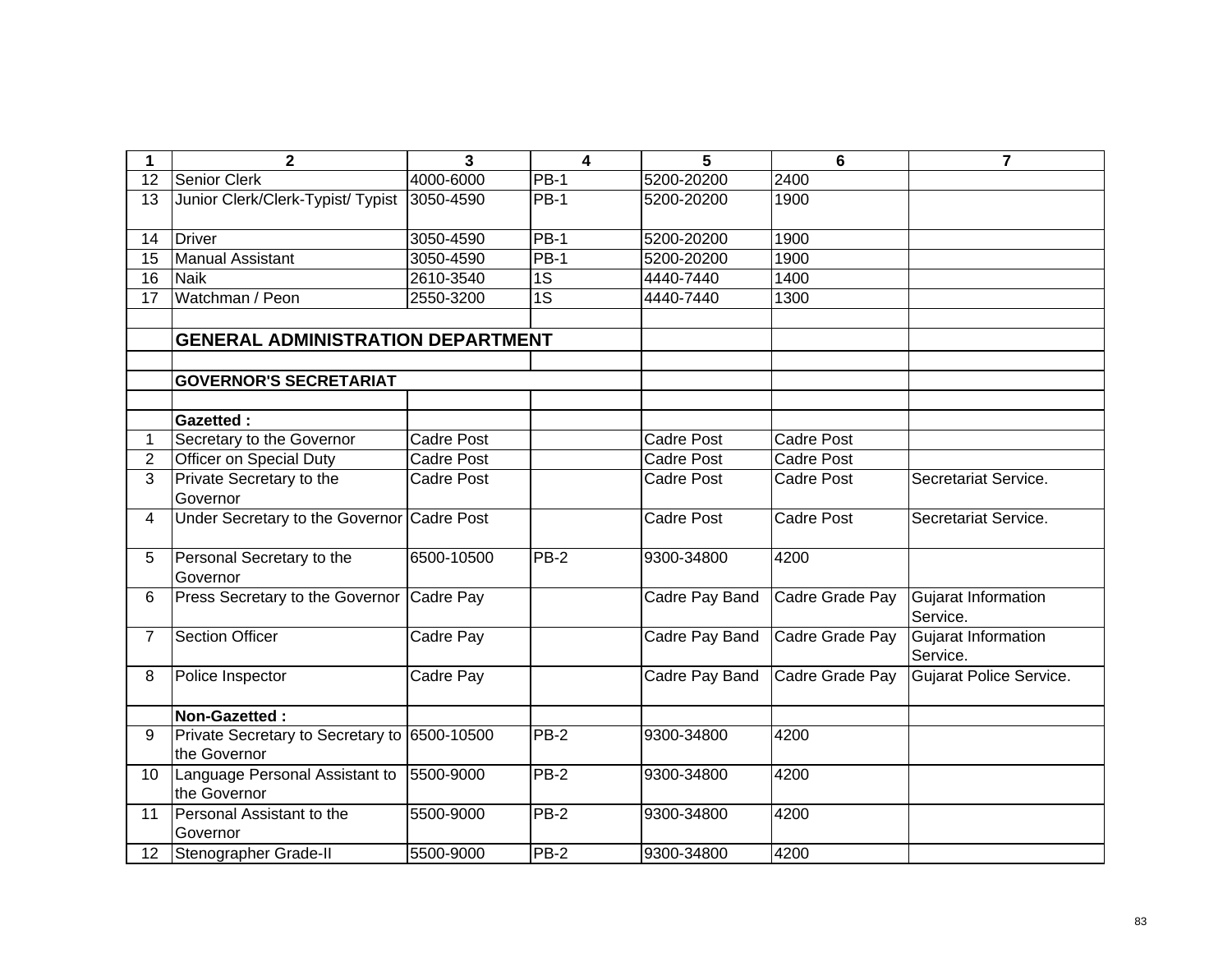| 1               | $\mathbf{2}$                                                 | 3                 | $\overline{\mathbf{4}}$ | 5                 | 6                 | 7                               |
|-----------------|--------------------------------------------------------------|-------------------|-------------------------|-------------------|-------------------|---------------------------------|
| 12              | Senior Clerk                                                 | 4000-6000         | PB-1                    | 5200-20200        | 2400              |                                 |
| 13              | Junior Clerk/Clerk-Typist/ Typist                            | 3050-4590         | <b>PB-1</b>             | 5200-20200        | 1900              |                                 |
|                 |                                                              |                   |                         |                   |                   |                                 |
| 14              | <b>Driver</b>                                                | 3050-4590         | $PB-1$                  | 5200-20200        | 1900              |                                 |
| 15              | <b>Manual Assistant</b>                                      | 3050-4590         | $PB-1$                  | 5200-20200        | 1900              |                                 |
| 16              | <b>Naik</b>                                                  | 2610-3540         | 1S                      | 4440-7440         | 1400              |                                 |
| 17              | Watchman / Peon                                              | 2550-3200         | 1S                      | 4440-7440         | 1300              |                                 |
|                 |                                                              |                   |                         |                   |                   |                                 |
|                 | <b>GENERAL ADMINISTRATION DEPARTMENT</b>                     |                   |                         |                   |                   |                                 |
|                 |                                                              |                   |                         |                   |                   |                                 |
|                 | <b>GOVERNOR'S SECRETARIAT</b>                                |                   |                         |                   |                   |                                 |
|                 |                                                              |                   |                         |                   |                   |                                 |
|                 | <b>Gazetted:</b>                                             |                   |                         |                   |                   |                                 |
| 1               | Secretary to the Governor                                    | <b>Cadre Post</b> |                         | <b>Cadre Post</b> | <b>Cadre Post</b> |                                 |
| $\overline{2}$  | <b>Officer on Special Duty</b>                               | <b>Cadre Post</b> |                         | <b>Cadre Post</b> | <b>Cadre Post</b> |                                 |
| 3               | Private Secretary to the<br>Governor                         | <b>Cadre Post</b> |                         | <b>Cadre Post</b> | <b>Cadre Post</b> | Secretariat Service.            |
| 4               | Under Secretary to the Governor Cadre Post                   |                   |                         | <b>Cadre Post</b> | <b>Cadre Post</b> | Secretariat Service.            |
| 5               | Personal Secretary to the<br>Governor                        | 6500-10500        | $PB-2$                  | 9300-34800        | 4200              |                                 |
| 6               | Press Secretary to the Governor                              | Cadre Pay         |                         | Cadre Pay Band    | Cadre Grade Pay   | Gujarat Information<br>Service. |
| $\overline{7}$  | <b>Section Officer</b>                                       | Cadre Pay         |                         | Cadre Pay Band    | Cadre Grade Pay   | Gujarat Information<br>Service. |
| 8               | Police Inspector                                             | Cadre Pay         |                         | Cadre Pay Band    | Cadre Grade Pay   | Gujarat Police Service.         |
|                 | Non-Gazetted:                                                |                   |                         |                   |                   |                                 |
| 9               | Private Secretary to Secretary to 6500-10500<br>the Governor |                   | $PB-2$                  | 9300-34800        | 4200              |                                 |
| 10              | Language Personal Assistant to<br>the Governor               | 5500-9000         | $PB-2$                  | 9300-34800        | 4200              |                                 |
| 11              | Personal Assistant to the<br>Governor                        | 5500-9000         | $PB-2$                  | 9300-34800        | 4200              |                                 |
| 12 <sup>2</sup> | Stenographer Grade-II                                        | 5500-9000         | $PB-2$                  | 9300-34800        | 4200              |                                 |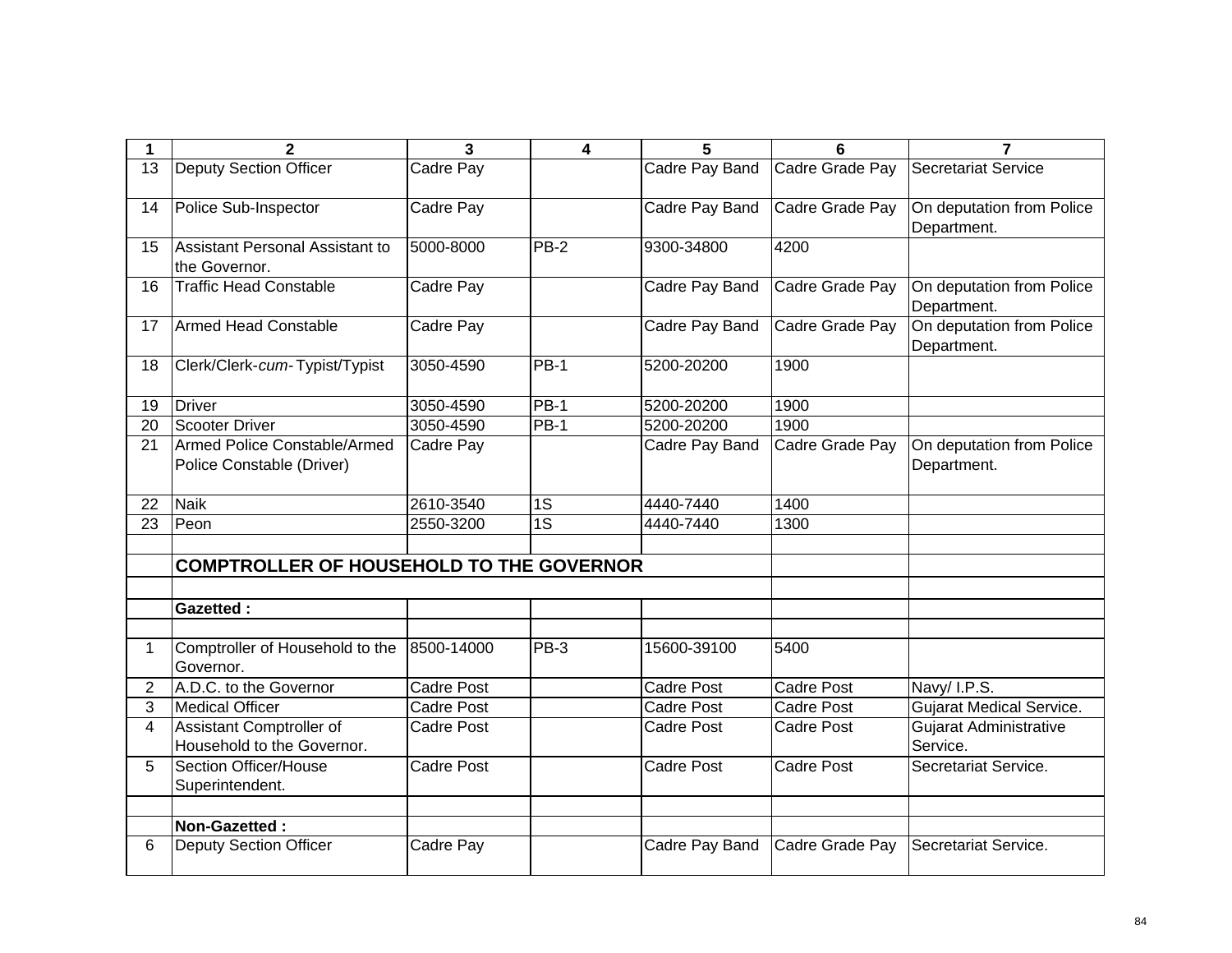|                 | $\mathbf 2$                                                         | $\mathbf{3}$      | $\overline{\mathbf{4}}$ | 5                     | 6                 | $\overline{7}$                            |
|-----------------|---------------------------------------------------------------------|-------------------|-------------------------|-----------------------|-------------------|-------------------------------------------|
| $\overline{13}$ | <b>Deputy Section Officer</b>                                       | Cadre Pay         |                         | Cadre Pay Band        | Cadre Grade Pay   | <b>Secretariat Service</b>                |
| 14              | Police Sub-Inspector                                                | Cadre Pay         |                         | <b>Cadre Pay Band</b> | Cadre Grade Pay   | On deputation from Police<br>Department.  |
| 15              | Assistant Personal Assistant to<br>the Governor.                    | 5000-8000         | $PB-2$                  | 9300-34800            | 4200              |                                           |
| 16              | <b>Traffic Head Constable</b>                                       | Cadre Pay         |                         | Cadre Pay Band        | Cadre Grade Pay   | On deputation from Police<br>Department.  |
| 17              | <b>Armed Head Constable</b>                                         | Cadre Pay         |                         | Cadre Pay Band        | Cadre Grade Pay   | On deputation from Police<br>Department.  |
| 18              | Clerk/Clerk-cum-Typist/Typist                                       | 3050-4590         | $PB-1$                  | 5200-20200            | 1900              |                                           |
| 19              | <b>Driver</b>                                                       | 3050-4590         | <b>PB-1</b>             | 5200-20200            | 1900              |                                           |
| 20              | Scooter Driver                                                      | 3050-4590         | <b>PB-1</b>             | 5200-20200            | 1900              |                                           |
| 21              | Armed Police Constable/Armed<br>Police Constable (Driver)           | Cadre Pay         |                         | Cadre Pay Band        | Cadre Grade Pay   | On deputation from Police<br>Department.  |
|                 |                                                                     |                   |                         |                       |                   |                                           |
| 22              | <b>Naik</b>                                                         | 2610-3540         | 1S                      | 4440-7440             | 1400              |                                           |
| 23              | Peon                                                                | 2550-3200         | 1S                      | 4440-7440             | 1300              |                                           |
|                 | <b>COMPTROLLER OF HOUSEHOLD TO THE GOVERNOR</b><br><b>Gazetted:</b> |                   |                         |                       |                   |                                           |
| 1               | Comptroller of Household to the<br>Governor.                        | 8500-14000        | $PB-3$                  | 15600-39100           | 5400              |                                           |
| $\overline{2}$  | A.D.C. to the Governor                                              | Cadre Post        |                         | <b>Cadre Post</b>     | <b>Cadre Post</b> | Navy/I.P.S.                               |
| 3               | <b>Medical Officer</b>                                              | <b>Cadre Post</b> |                         | <b>Cadre Post</b>     | <b>Cadre Post</b> | <b>Gujarat Medical Service.</b>           |
| $\overline{4}$  | <b>Assistant Comptroller of</b><br>Household to the Governor.       | <b>Cadre Post</b> |                         | <b>Cadre Post</b>     | <b>Cadre Post</b> | <b>Gujarat Administrative</b><br>Service. |
| 5               | Section Officer/House<br>Superintendent.                            | <b>Cadre Post</b> |                         | <b>Cadre Post</b>     | <b>Cadre Post</b> | Secretariat Service.                      |
|                 | Non-Gazetted:                                                       |                   |                         |                       |                   |                                           |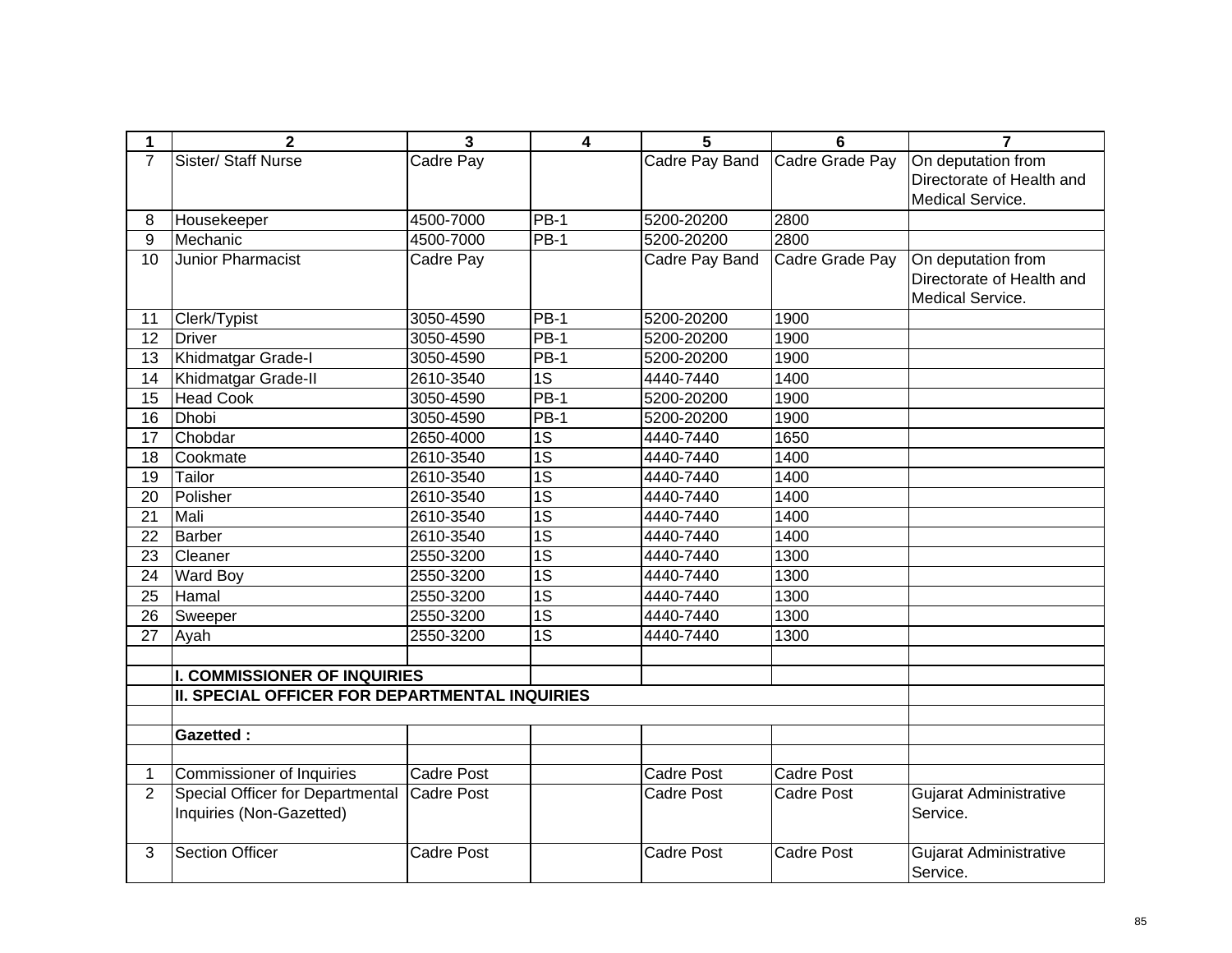| 1              | $\mathbf{2}$                                   | 3                 | 4               | 5                 | 6                 | $\overline{7}$                |
|----------------|------------------------------------------------|-------------------|-----------------|-------------------|-------------------|-------------------------------|
| $\overline{7}$ | Sister/ Staff Nurse                            | Cadre Pay         |                 | Cadre Pay Band    | Cadre Grade Pay   | On deputation from            |
|                |                                                |                   |                 |                   |                   | Directorate of Health and     |
|                |                                                |                   |                 |                   |                   | Medical Service.              |
| 8              | Housekeeper                                    | 4500-7000         | <b>PB-1</b>     | 5200-20200        | 2800              |                               |
| $\overline{9}$ | Mechanic                                       | 4500-7000         | $PB-1$          | 5200-20200        | 2800              |                               |
| 10             | <b>Junior Pharmacist</b>                       | Cadre Pay         |                 | Cadre Pay Band    | Cadre Grade Pay   | On deputation from            |
|                |                                                |                   |                 |                   |                   | Directorate of Health and     |
|                |                                                |                   |                 |                   |                   | Medical Service.              |
| 11             | Clerk/Typist                                   | 3050-4590         | <b>PB-1</b>     | 5200-20200        | 1900              |                               |
| 12             | <b>Driver</b>                                  | 3050-4590         | $PB-1$          | 5200-20200        | 1900              |                               |
| 13             | Khidmatgar Grade-I                             | 3050-4590         | $PB-1$          | 5200-20200        | 1900              |                               |
| 14             | Khidmatgar Grade-II                            | 2610-3540         | $\overline{1S}$ | 4440-7440         | 1400              |                               |
| 15             | <b>Head Cook</b>                               | 3050-4590         | $PB-1$          | 5200-20200        | 1900              |                               |
| 16             | <b>Dhobi</b>                                   | 3050-4590         | $PB-1$          | 5200-20200        | 1900              |                               |
| 17             | Chobdar                                        | 2650-4000         | 1S              | 4440-7440         | 1650              |                               |
| 18             | Cookmate                                       | 2610-3540         | 1S              | 4440-7440         | 1400              |                               |
| 19             | Tailor                                         | 2610-3540         | $\overline{1S}$ | 4440-7440         | 1400              |                               |
| 20             | Polisher                                       | 2610-3540         | 1S              | 4440-7440         | 1400              |                               |
| 21             | Mali                                           | 2610-3540         | 1S              | 4440-7440         | 1400              |                               |
| 22             | Barber                                         | 2610-3540         | 1S              | 4440-7440         | 1400              |                               |
| 23             | Cleaner                                        | 2550-3200         | $\overline{1S}$ | 4440-7440         | 1300              |                               |
| 24             | <b>Ward Boy</b>                                | 2550-3200         | $\overline{1S}$ | 4440-7440         | 1300              |                               |
| 25             | Hamal                                          | 2550-3200         | 1S              | 4440-7440         | 1300              |                               |
| 26             | Sweeper                                        | 2550-3200         | $\overline{1S}$ | 4440-7440         | 1300              |                               |
| 27             | Ayah                                           | 2550-3200         | $\overline{1S}$ | 4440-7440         | 1300              |                               |
|                |                                                |                   |                 |                   |                   |                               |
|                | <b>I. COMMISSIONER OF INQUIRIES</b>            |                   |                 |                   |                   |                               |
|                | II. SPECIAL OFFICER FOR DEPARTMENTAL INQUIRIES |                   |                 |                   |                   |                               |
|                |                                                |                   |                 |                   |                   |                               |
|                | <b>Gazetted:</b>                               |                   |                 |                   |                   |                               |
|                |                                                |                   |                 |                   |                   |                               |
| 1              | Commissioner of Inquiries                      | <b>Cadre Post</b> |                 | <b>Cadre Post</b> | <b>Cadre Post</b> |                               |
| $\overline{2}$ | Special Officer for Departmental               | <b>Cadre Post</b> |                 | Cadre Post        | Cadre Post        | <b>Gujarat Administrative</b> |
|                | Inquiries (Non-Gazetted)                       |                   |                 |                   |                   | Service.                      |
|                |                                                |                   |                 |                   |                   |                               |
| 3              | <b>Section Officer</b>                         | <b>Cadre Post</b> |                 | <b>Cadre Post</b> | Cadre Post        | <b>Gujarat Administrative</b> |
|                |                                                |                   |                 |                   |                   | Service.                      |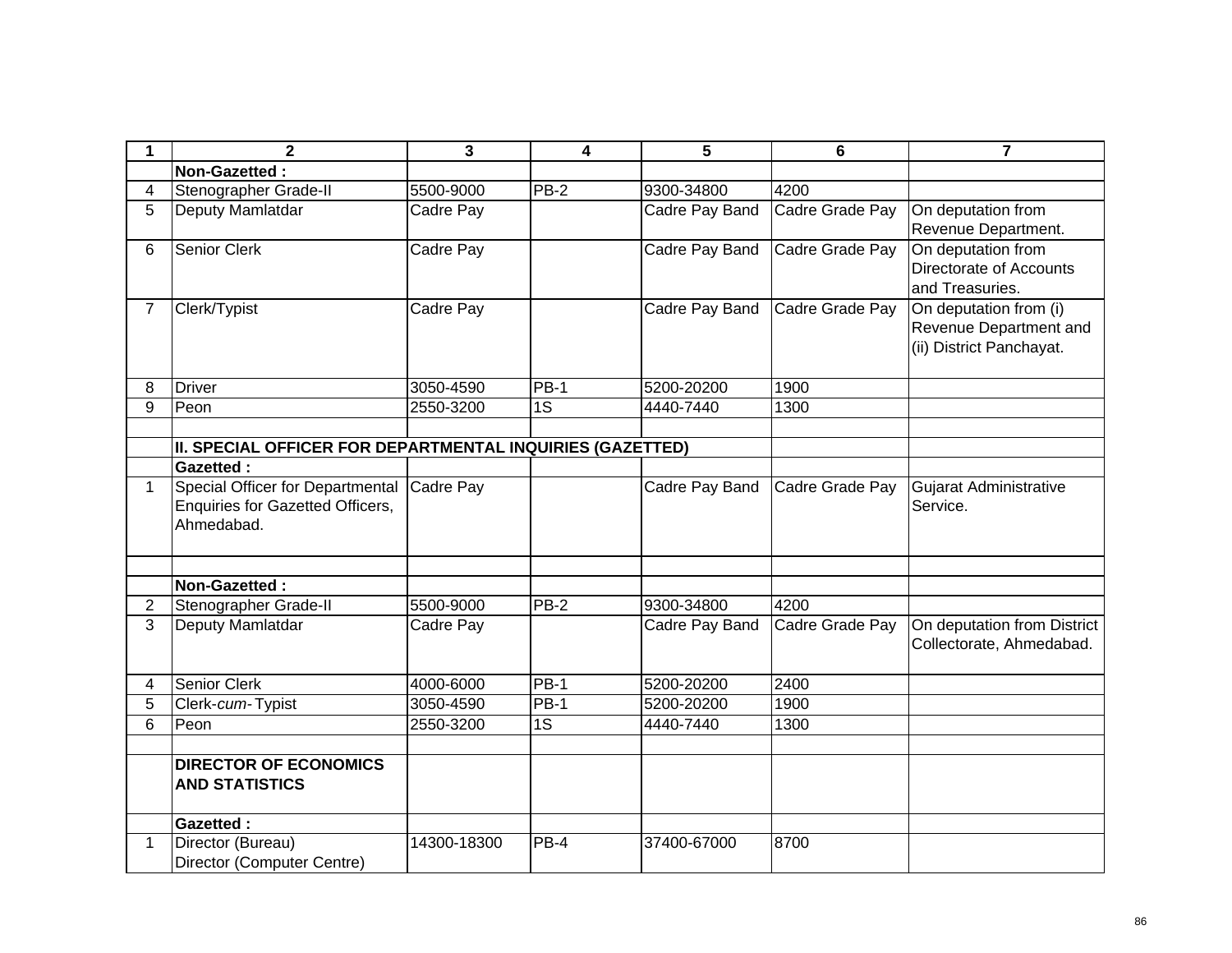| 1              | $\mathbf{2}$                                                                       | 3           | $\overline{\mathbf{4}}$ | 5              | 6               | $\overline{\mathbf{7}}$                                                             |
|----------------|------------------------------------------------------------------------------------|-------------|-------------------------|----------------|-----------------|-------------------------------------------------------------------------------------|
|                | Non-Gazetted:                                                                      |             |                         |                |                 |                                                                                     |
| 4              | Stenographer Grade-II                                                              | 5500-9000   | PB-2                    | 9300-34800     | 4200            |                                                                                     |
| 5              | Deputy Mamlatdar                                                                   | Cadre Pay   |                         | Cadre Pay Band | Cadre Grade Pay | On deputation from<br>Revenue Department.                                           |
| 6              | Senior Clerk                                                                       | Cadre Pay   |                         | Cadre Pay Band | Cadre Grade Pay | On deputation from<br>Directorate of Accounts<br>and Treasuries.                    |
| $\overline{7}$ | Clerk/Typist                                                                       | Cadre Pay   |                         | Cadre Pay Band | Cadre Grade Pay | On deputation from (i)<br><b>Revenue Department and</b><br>(ii) District Panchayat. |
| 8              | <b>Driver</b>                                                                      | 3050-4590   | <b>PB-1</b>             | 5200-20200     | 1900            |                                                                                     |
| 9              | Peon                                                                               | 2550-3200   | 1S                      | 4440-7440      | 1300            |                                                                                     |
|                |                                                                                    |             |                         |                |                 |                                                                                     |
|                | II. SPECIAL OFFICER FOR DEPARTMENTAL INQUIRIES (GAZETTED)                          |             |                         |                |                 |                                                                                     |
|                | <b>Gazetted:</b>                                                                   |             |                         |                |                 |                                                                                     |
| $\mathbf 1$    | Special Officer for Departmental<br>Enquiries for Gazetted Officers,<br>Ahmedabad. | Cadre Pay   |                         | Cadre Pay Band | Cadre Grade Pay | Gujarat Administrative<br>Service.                                                  |
|                |                                                                                    |             |                         |                |                 |                                                                                     |
|                | Non-Gazetted:                                                                      |             |                         |                |                 |                                                                                     |
| $\overline{2}$ | Stenographer Grade-II                                                              | 5500-9000   | <b>PB-2</b>             | 9300-34800     | 4200            |                                                                                     |
| 3              | Deputy Mamlatdar                                                                   | Cadre Pay   |                         | Cadre Pay Band | Cadre Grade Pay | On deputation from District<br>Collectorate, Ahmedabad.                             |
| 4              | <b>Senior Clerk</b>                                                                | 4000-6000   | <b>PB-1</b>             | 5200-20200     | 2400            |                                                                                     |
| 5              | Clerk-cum-Typist                                                                   | 3050-4590   | <b>PB-1</b>             | 5200-20200     | 1900            |                                                                                     |
| 6              | Peon                                                                               | 2550-3200   | 1S                      | 4440-7440      | 1300            |                                                                                     |
|                |                                                                                    |             |                         |                |                 |                                                                                     |
|                | <b>DIRECTOR OF ECONOMICS</b><br><b>AND STATISTICS</b>                              |             |                         |                |                 |                                                                                     |
|                | <b>Gazetted:</b>                                                                   |             |                         |                |                 |                                                                                     |
| 1              | Director (Bureau)<br>Director (Computer Centre)                                    | 14300-18300 | PB-4                    | 37400-67000    | 8700            |                                                                                     |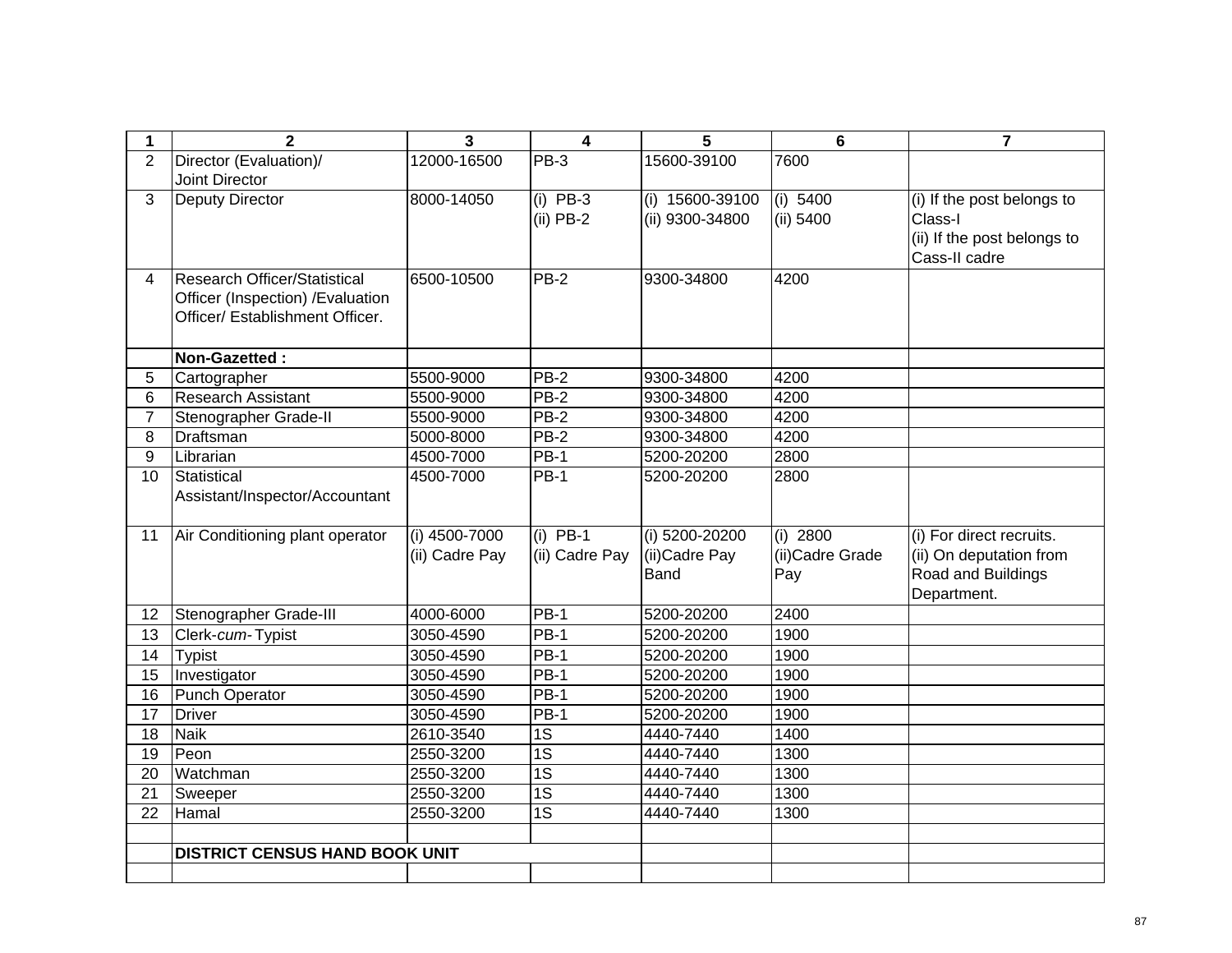| 1              | $\overline{2}$                        | 3              | $\overline{\mathbf{4}}$ | 5                 | $6\phantom{a}$   | $\overline{7}$              |
|----------------|---------------------------------------|----------------|-------------------------|-------------------|------------------|-----------------------------|
| $\overline{2}$ | Director (Evaluation)/                | 12000-16500    | $PB-3$                  | 15600-39100       | 7600             |                             |
|                | Joint Director                        |                |                         |                   |                  |                             |
| 3              | <b>Deputy Director</b>                | 8000-14050     | $(i)$ PB-3              | $(i)$ 15600-39100 | (i) 5400         | (i) If the post belongs to  |
|                |                                       |                | $(ii)$ PB-2             | (ii) 9300-34800   | (ii) 5400        | Class-I                     |
|                |                                       |                |                         |                   |                  | (ii) If the post belongs to |
|                |                                       |                |                         |                   |                  | Cass-II cadre               |
| 4              | <b>Research Officer/Statistical</b>   | 6500-10500     | $PB-2$                  | 9300-34800        | 4200             |                             |
|                | Officer (Inspection) / Evaluation     |                |                         |                   |                  |                             |
|                | Officer/ Establishment Officer.       |                |                         |                   |                  |                             |
|                |                                       |                |                         |                   |                  |                             |
|                | Non-Gazetted:                         |                |                         |                   |                  |                             |
| 5              | Cartographer                          | 5500-9000      | $PB-2$                  | 9300-34800        | 4200             |                             |
| 6              | <b>Research Assistant</b>             | 5500-9000      | $PB-2$                  | 9300-34800        | 4200             |                             |
| $\overline{7}$ | Stenographer Grade-II                 | 5500-9000      | $PB-2$                  | 9300-34800        | 4200             |                             |
| 8              | Draftsman                             | 5000-8000      | $PB-2$                  | 9300-34800        | 4200             |                             |
| 9              | Librarian                             | 4500-7000      | $PB-1$                  | 5200-20200        | 2800             |                             |
| 10             | <b>Statistical</b>                    | 4500-7000      | $PB-1$                  | 5200-20200        | 2800             |                             |
|                | Assistant/Inspector/Accountant        |                |                         |                   |                  |                             |
|                |                                       |                |                         |                   |                  |                             |
| 11             | Air Conditioning plant operator       | (i) 4500-7000  | $(i)$ PB-1              | (i) 5200-20200    | $(i)$ 2800       | (i) For direct recruits.    |
|                |                                       | (ii) Cadre Pay | (ii) Cadre Pay          | (ii) Cadre Pay    | (ii) Cadre Grade | (ii) On deputation from     |
|                |                                       |                |                         | <b>Band</b>       | Pay              | Road and Buildings          |
|                |                                       |                |                         |                   |                  | Department.                 |
| 12             | Stenographer Grade-III                | 4000-6000      | <b>PB-1</b>             | 5200-20200        | 2400             |                             |
| 13             | Clerk-cum-Typist                      | 3050-4590      | <b>PB-1</b>             | 5200-20200        | 1900             |                             |
| 14             | <b>Typist</b>                         | 3050-4590      | <b>PB-1</b>             | 5200-20200        | 1900             |                             |
| 15             | Investigator                          | 3050-4590      | $PB-1$                  | 5200-20200        | 1900             |                             |
| 16             | Punch Operator                        | 3050-4590      | $PB-1$                  | 5200-20200        | 1900             |                             |
| 17             | <b>Driver</b>                         | 3050-4590      | $PB-1$                  | 5200-20200        | 1900             |                             |
| 18             | <b>Naik</b>                           | 2610-3540      | 1S                      | 4440-7440         | 1400             |                             |
| 19             | Peon                                  | 2550-3200      | $\overline{1S}$         | 4440-7440         | 1300             |                             |
| 20             | Watchman                              | 2550-3200      | $\overline{1S}$         | 4440-7440         | 1300             |                             |
| 21             | Sweeper                               | 2550-3200      | $\overline{1S}$         | 4440-7440         | 1300             |                             |
| 22             | Hamal                                 | 2550-3200      | $\overline{1S}$         | 4440-7440         | 1300             |                             |
|                |                                       |                |                         |                   |                  |                             |
|                | <b>DISTRICT CENSUS HAND BOOK UNIT</b> |                |                         |                   |                  |                             |
|                |                                       |                |                         |                   |                  |                             |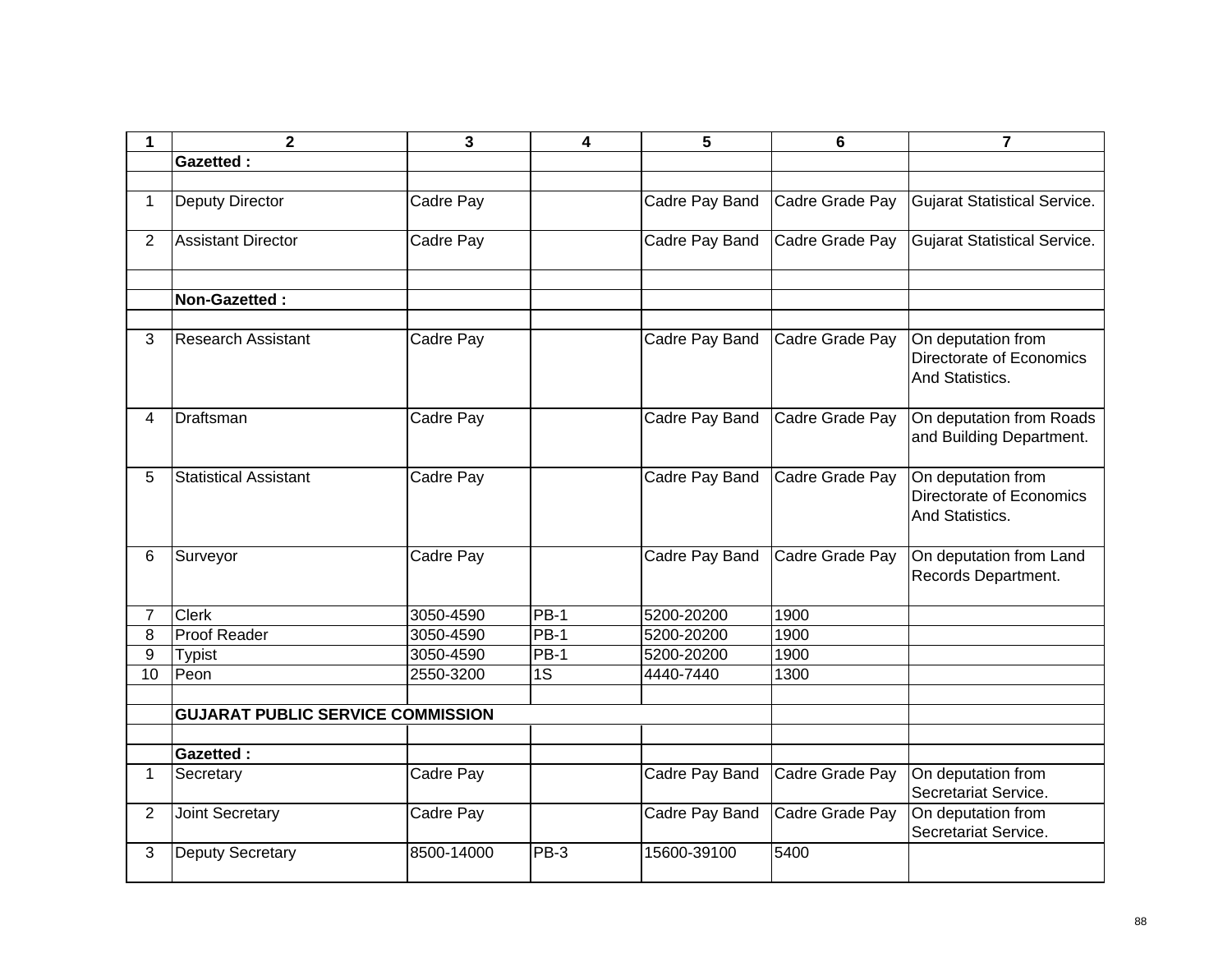| 1              | $\mathbf{2}$                             | 3          | 4           | 5              | 6               | $\overline{7}$                                                    |
|----------------|------------------------------------------|------------|-------------|----------------|-----------------|-------------------------------------------------------------------|
|                | <b>Gazetted:</b>                         |            |             |                |                 |                                                                   |
|                |                                          |            |             |                |                 |                                                                   |
| 1              | Deputy Director                          | Cadre Pay  |             | Cadre Pay Band | Cadre Grade Pay | <b>Gujarat Statistical Service.</b>                               |
| $\overline{2}$ | <b>Assistant Director</b>                | Cadre Pay  |             | Cadre Pay Band | Cadre Grade Pay | <b>Gujarat Statistical Service.</b>                               |
|                |                                          |            |             |                |                 |                                                                   |
|                | Non-Gazetted:                            |            |             |                |                 |                                                                   |
| 3              | Research Assistant                       | Cadre Pay  |             | Cadre Pay Band | Cadre Grade Pay | On deputation from<br>Directorate of Economics<br>And Statistics. |
| 4              | Draftsman                                | Cadre Pay  |             | Cadre Pay Band | Cadre Grade Pay | On deputation from Roads<br>and Building Department.              |
| 5              | <b>Statistical Assistant</b>             | Cadre Pay  |             | Cadre Pay Band | Cadre Grade Pay | On deputation from<br>Directorate of Economics<br>And Statistics. |
| 6              | Surveyor                                 | Cadre Pay  |             | Cadre Pay Band | Cadre Grade Pay | On deputation from Land<br>Records Department.                    |
| $\overline{7}$ | <b>Clerk</b>                             | 3050-4590  | PB-1        | 5200-20200     | 1900            |                                                                   |
| 8              | <b>Proof Reader</b>                      | 3050-4590  | <b>PB-1</b> | 5200-20200     | 1900            |                                                                   |
| 9              | <b>Typist</b>                            | 3050-4590  | <b>PB-1</b> | 5200-20200     | 1900            |                                                                   |
| 10             | Peon                                     | 2550-3200  | 1S          | 4440-7440      | 1300            |                                                                   |
|                |                                          |            |             |                |                 |                                                                   |
|                | <b>GUJARAT PUBLIC SERVICE COMMISSION</b> |            |             |                |                 |                                                                   |
|                |                                          |            |             |                |                 |                                                                   |
|                | <b>Gazetted:</b>                         |            |             |                |                 |                                                                   |
| $\mathbf 1$    | Secretary                                | Cadre Pay  |             | Cadre Pay Band | Cadre Grade Pay | On deputation from<br>Secretariat Service.                        |
| $\overline{2}$ | <b>Joint Secretary</b>                   | Cadre Pay  |             | Cadre Pay Band | Cadre Grade Pay | On deputation from<br>Secretariat Service.                        |
| 3              | Deputy Secretary                         | 8500-14000 | PB-3        | 15600-39100    | 5400            |                                                                   |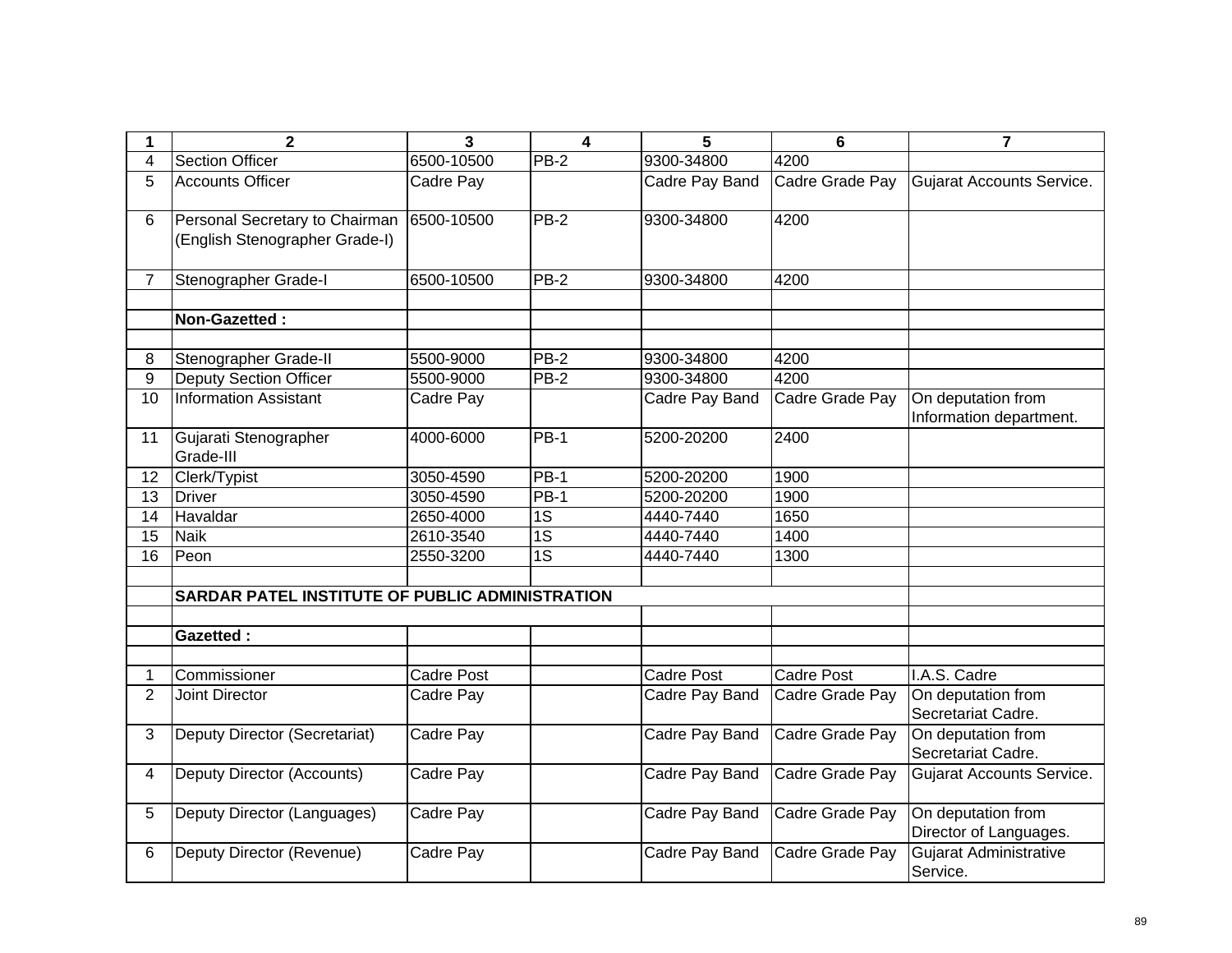| 1              | $\overline{2}$                                                              | $\overline{\mathbf{3}}$ | $\overline{\mathbf{4}}$ | 5                 | $6\phantom{1}$    | $\overline{7}$                                |
|----------------|-----------------------------------------------------------------------------|-------------------------|-------------------------|-------------------|-------------------|-----------------------------------------------|
| 4              | <b>Section Officer</b>                                                      | 6500-10500              | $PB-2$                  | 9300-34800        | 4200              |                                               |
| 5              | <b>Accounts Officer</b>                                                     | Cadre Pay               |                         | Cadre Pay Band    | Cadre Grade Pay   | Gujarat Accounts Service.                     |
| 6              | Personal Secretary to Chairman 6500-10500<br>(English Stenographer Grade-I) |                         | $PB-2$                  | 9300-34800        | 4200              |                                               |
| $\overline{7}$ | Stenographer Grade-I                                                        | 6500-10500              | $PB-2$                  | 9300-34800        | 4200              |                                               |
|                | Non-Gazetted:                                                               |                         |                         |                   |                   |                                               |
| 8              | Stenographer Grade-II                                                       | 5500-9000               | $PB-2$                  | 9300-34800        | 4200              |                                               |
| 9              | <b>Deputy Section Officer</b>                                               | 5500-9000               | $PB-2$                  | 9300-34800        | 4200              |                                               |
| 10             | <b>Information Assistant</b>                                                | Cadre Pay               |                         | Cadre Pay Band    | Cadre Grade Pay   | On deputation from<br>Information department. |
| 11             | Gujarati Stenographer<br>Grade-III                                          | 4000-6000               | <b>PB-1</b>             | 5200-20200        | 2400              |                                               |
| 12             | Clerk/Typist                                                                | 3050-4590               | $PB-1$                  | 5200-20200        | 1900              |                                               |
| 13             | <b>Driver</b>                                                               | 3050-4590               | <b>PB-1</b>             | 5200-20200        | 1900              |                                               |
| 14             | Havaldar                                                                    | 2650-4000               | $\overline{1S}$         | 4440-7440         | 1650              |                                               |
| 15             | <b>Naik</b>                                                                 | 2610-3540               | $\overline{1S}$         | 4440-7440         | 1400              |                                               |
| 16             | Peon                                                                        | 2550-3200               | $\overline{1S}$         | 4440-7440         | 1300              |                                               |
|                | SARDAR PATEL INSTITUTE OF PUBLIC ADMINISTRATION                             |                         |                         |                   |                   |                                               |
|                | <b>Gazetted:</b>                                                            |                         |                         |                   |                   |                                               |
|                | Commissioner                                                                | Cadre Post              |                         | <b>Cadre Post</b> | <b>Cadre Post</b> | I.A.S. Cadre                                  |
| $\overline{2}$ | Joint Director                                                              | Cadre Pay               |                         | Cadre Pay Band    | Cadre Grade Pay   | On deputation from<br>Secretariat Cadre.      |
| 3              | Deputy Director (Secretariat)                                               | Cadre Pay               |                         | Cadre Pay Band    | Cadre Grade Pay   | On deputation from<br>Secretariat Cadre.      |
| $\overline{4}$ | Deputy Director (Accounts)                                                  | Cadre Pay               |                         | Cadre Pay Band    | Cadre Grade Pay   | <b>Gujarat Accounts Service.</b>              |
| 5              | Deputy Director (Languages)                                                 | Cadre Pay               |                         | Cadre Pay Band    | Cadre Grade Pay   | On deputation from<br>Director of Languages.  |
| 6              | Deputy Director (Revenue)                                                   | Cadre Pay               |                         | Cadre Pay Band    | Cadre Grade Pay   | <b>Gujarat Administrative</b><br>Service.     |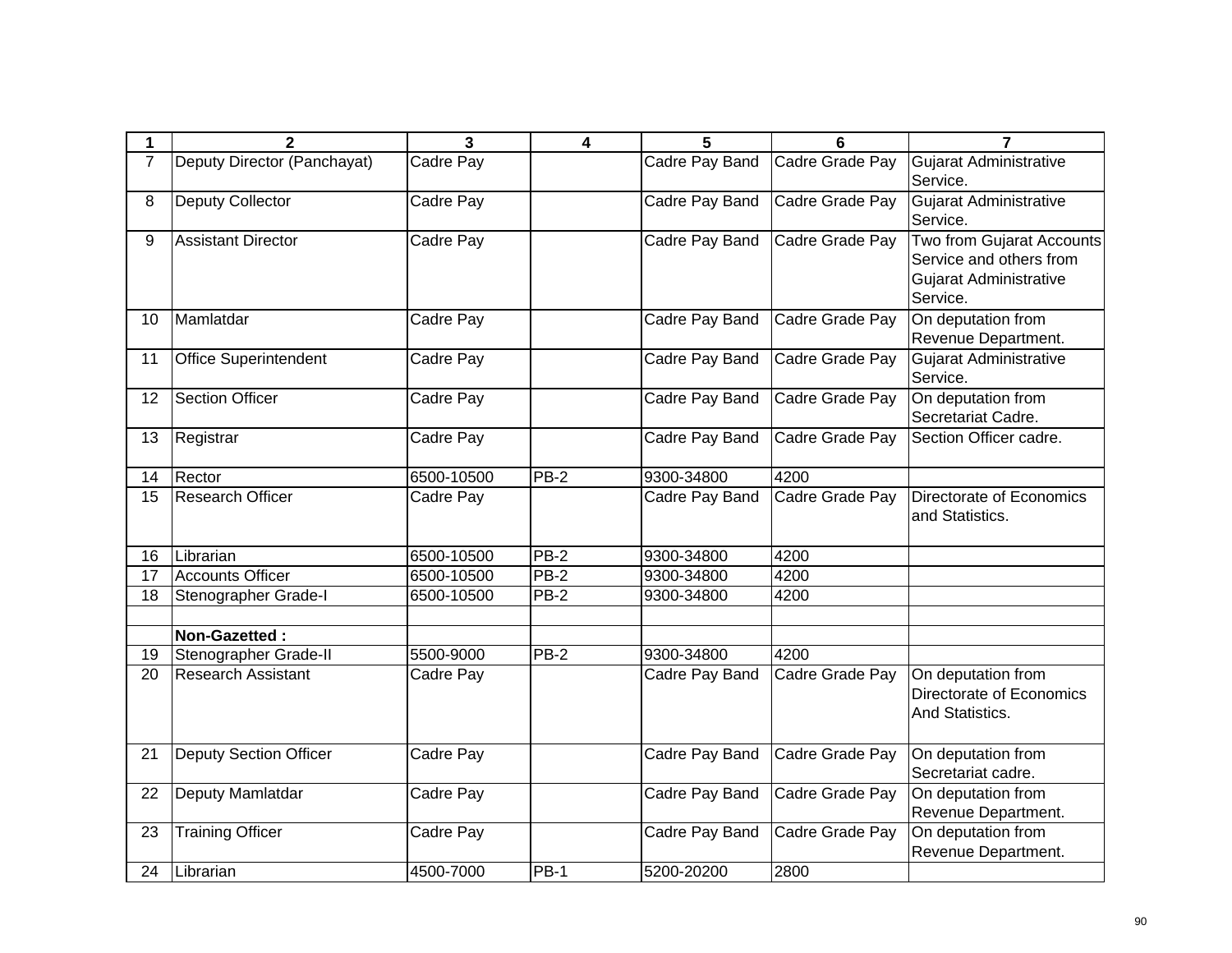| 1              | $\overline{2}$                | $\overline{\mathbf{3}}$ | $\overline{\mathbf{4}}$ | 5              | 6               | $\overline{7}$                                                                                           |
|----------------|-------------------------------|-------------------------|-------------------------|----------------|-----------------|----------------------------------------------------------------------------------------------------------|
| $\overline{7}$ | Deputy Director (Panchayat)   | Cadre Pay               |                         | Cadre Pay Band | Cadre Grade Pay | Gujarat Administrative<br>Service.                                                                       |
| 8              | Deputy Collector              | Cadre Pay               |                         | Cadre Pay Band | Cadre Grade Pay | Gujarat Administrative<br>Service.                                                                       |
| 9              | <b>Assistant Director</b>     | Cadre Pay               |                         | Cadre Pay Band | Cadre Grade Pay | <b>Two from Gujarat Accounts</b><br>Service and others from<br><b>Gujarat Administrative</b><br>Service. |
| 10             | Mamlatdar                     | Cadre Pay               |                         | Cadre Pay Band | Cadre Grade Pay | On deputation from<br>Revenue Department.                                                                |
| 11             | <b>Office Superintendent</b>  | Cadre Pay               |                         | Cadre Pay Band | Cadre Grade Pay | Gujarat Administrative<br>Service.                                                                       |
| 12             | <b>Section Officer</b>        | Cadre Pay               |                         | Cadre Pay Band | Cadre Grade Pay | On deputation from<br>Secretariat Cadre.                                                                 |
| 13             | Registrar                     | Cadre Pay               |                         | Cadre Pay Band | Cadre Grade Pay | Section Officer cadre.                                                                                   |
| 14             | Rector                        | 6500-10500              | $PB-2$                  | 9300-34800     | 4200            |                                                                                                          |
| 15             | <b>Research Officer</b>       | Cadre Pay               |                         | Cadre Pay Band | Cadre Grade Pay | Directorate of Economics<br>and Statistics.                                                              |
| 16             | Librarian                     | 6500-10500              | $PB-2$                  | 9300-34800     | 4200            |                                                                                                          |
| 17             | <b>Accounts Officer</b>       | 6500-10500              | $PB-2$                  | 9300-34800     | 4200            |                                                                                                          |
| 18             | Stenographer Grade-I          | 6500-10500              | PB-2                    | 9300-34800     | 4200            |                                                                                                          |
|                |                               |                         |                         |                |                 |                                                                                                          |
|                | Non-Gazetted:                 |                         |                         |                |                 |                                                                                                          |
| 19             | Stenographer Grade-II         | 5500-9000               | <b>PB-2</b>             | 9300-34800     | 4200            |                                                                                                          |
| 20             | <b>Research Assistant</b>     | Cadre Pay               |                         | Cadre Pay Band | Cadre Grade Pay | On deputation from<br>Directorate of Economics<br>And Statistics.                                        |
| 21             | <b>Deputy Section Officer</b> | Cadre Pay               |                         | Cadre Pay Band | Cadre Grade Pay | On deputation from<br>Secretariat cadre.                                                                 |
| 22             | Deputy Mamlatdar              | Cadre Pay               |                         | Cadre Pay Band | Cadre Grade Pay | On deputation from<br>Revenue Department.                                                                |
| 23             | <b>Training Officer</b>       | Cadre Pay               |                         | Cadre Pay Band | Cadre Grade Pay | On deputation from<br>Revenue Department.                                                                |
| 24             | Librarian                     | 4500-7000               | $PB-1$                  | 5200-20200     | 2800            |                                                                                                          |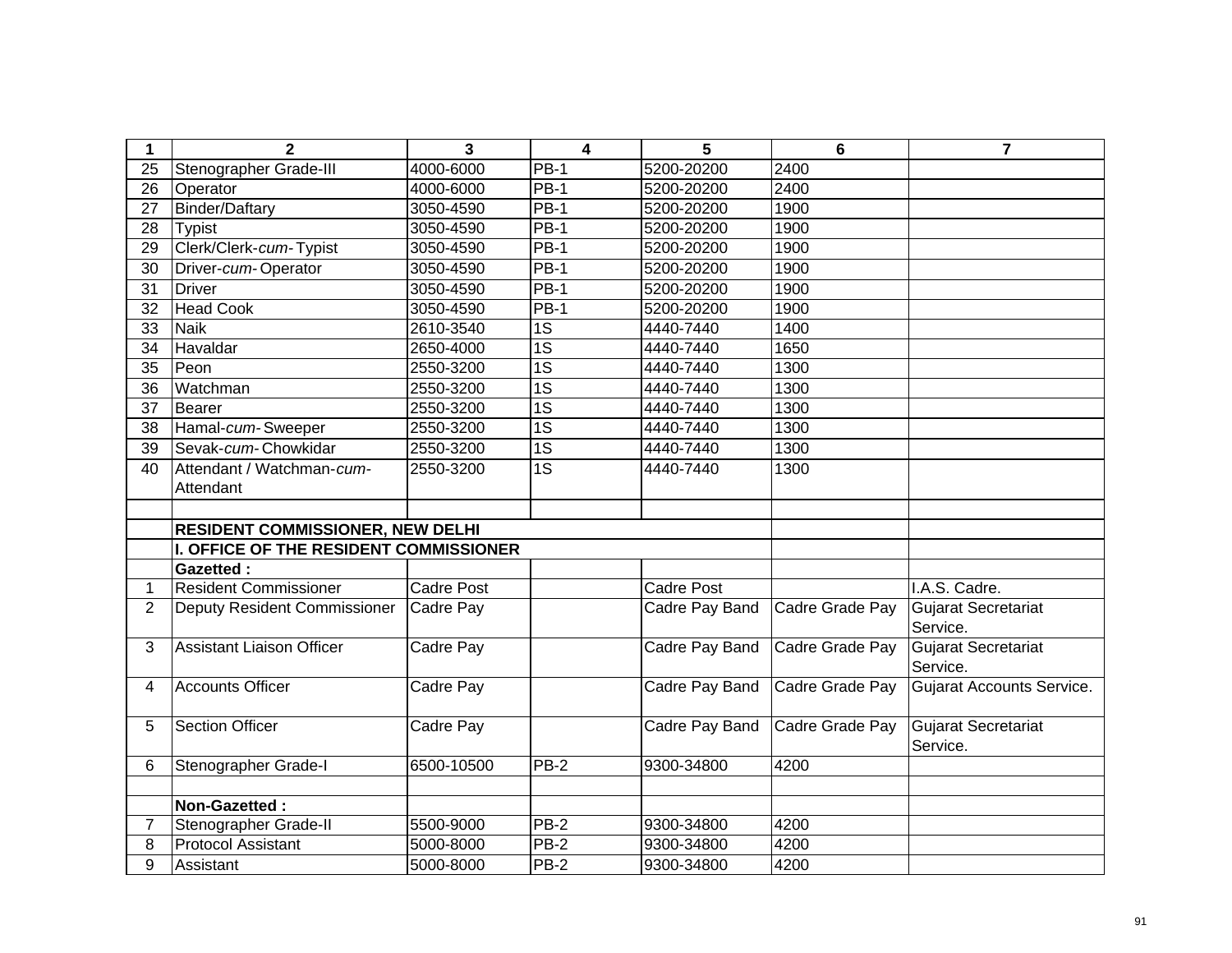| 1               | $\mathbf{2}$                            | $\overline{3}$    | $\overline{\mathbf{4}}$ | 5                 | $6\phantom{1}$  | $\overline{7}$                         |
|-----------------|-----------------------------------------|-------------------|-------------------------|-------------------|-----------------|----------------------------------------|
| 25              | Stenographer Grade-III                  | 4000-6000         | PB-1                    | 5200-20200        | 2400            |                                        |
| 26              | Operator                                | 4000-6000         | <b>PB-1</b>             | 5200-20200        | 2400            |                                        |
| 27              | <b>Binder/Daftary</b>                   | 3050-4590         | $PB-1$                  | 5200-20200        | 1900            |                                        |
| 28              | <b>Typist</b>                           | 3050-4590         | $PB-1$                  | 5200-20200        | 1900            |                                        |
| 29              | Clerk/Clerk-cum-Typist                  | 3050-4590         | $PB-1$                  | 5200-20200        | 1900            |                                        |
| 30              | Driver-cum-Operator                     | 3050-4590         | $PB-1$                  | 5200-20200        | 1900            |                                        |
| 31              | <b>Driver</b>                           | 3050-4590         | $PB-1$                  | 5200-20200        | 1900            |                                        |
| 32              | <b>Head Cook</b>                        | 3050-4590         | $PB-1$                  | 5200-20200        | 1900            |                                        |
| 33              | <b>Naik</b>                             | 2610-3540         | 1S                      | 4440-7440         | 1400            |                                        |
| 34              | Havaldar                                | 2650-4000         | 1S                      | 4440-7440         | 1650            |                                        |
| 35              | Peon                                    | 2550-3200         | 1S                      | 4440-7440         | 1300            |                                        |
| 36              | Watchman                                | 2550-3200         | $\overline{1S}$         | 4440-7440         | 1300            |                                        |
| $\overline{37}$ | <b>Bearer</b>                           | 2550-3200         | $\overline{1S}$         | 4440-7440         | 1300            |                                        |
| 38              | Hamal-cum-Sweeper                       | 2550-3200         | $\overline{1S}$         | 4440-7440         | 1300            |                                        |
| 39              | Sevak-cum-Chowkidar                     | 2550-3200         | $\overline{1S}$         | 4440-7440         | 1300            |                                        |
| 40              | Attendant / Watchman-cum-               | 2550-3200         | $\overline{1S}$         | 4440-7440         | 1300            |                                        |
|                 | Attendant                               |                   |                         |                   |                 |                                        |
|                 |                                         |                   |                         |                   |                 |                                        |
|                 | <b>RESIDENT COMMISSIONER, NEW DELHI</b> |                   |                         |                   |                 |                                        |
|                 | I. OFFICE OF THE RESIDENT COMMISSIONER  |                   |                         |                   |                 |                                        |
|                 | <b>Gazetted:</b>                        |                   |                         |                   |                 |                                        |
| 1               | <b>Resident Commissioner</b>            | <b>Cadre Post</b> |                         | <b>Cadre Post</b> |                 | I.A.S. Cadre.                          |
| $\overline{2}$  | Deputy Resident Commissioner            | Cadre Pay         |                         | Cadre Pay Band    | Cadre Grade Pay | Gujarat Secretariat<br>Service.        |
| 3               | <b>Assistant Liaison Officer</b>        | Cadre Pay         |                         | Cadre Pay Band    | Cadre Grade Pay | <b>Gujarat Secretariat</b><br>Service. |
| 4               | <b>Accounts Officer</b>                 | Cadre Pay         |                         | Cadre Pay Band    | Cadre Grade Pay | <b>Gujarat Accounts Service.</b>       |
| 5               | <b>Section Officer</b>                  | Cadre Pay         |                         | Cadre Pay Band    | Cadre Grade Pay | Gujarat Secretariat<br>Service.        |
| 6               | Stenographer Grade-I                    | 6500-10500        | $PB-2$                  | 9300-34800        | 4200            |                                        |
|                 |                                         |                   |                         |                   |                 |                                        |
|                 | Non-Gazetted:                           |                   |                         |                   |                 |                                        |
| 7               | Stenographer Grade-II                   | 5500-9000         | PB-2                    | 9300-34800        | 4200            |                                        |
| 8               | <b>Protocol Assistant</b>               | 5000-8000         | <b>PB-2</b>             | 9300-34800        | 4200            |                                        |
| 9               | Assistant                               | 5000-8000         | $PB-2$                  | 9300-34800        | 4200            |                                        |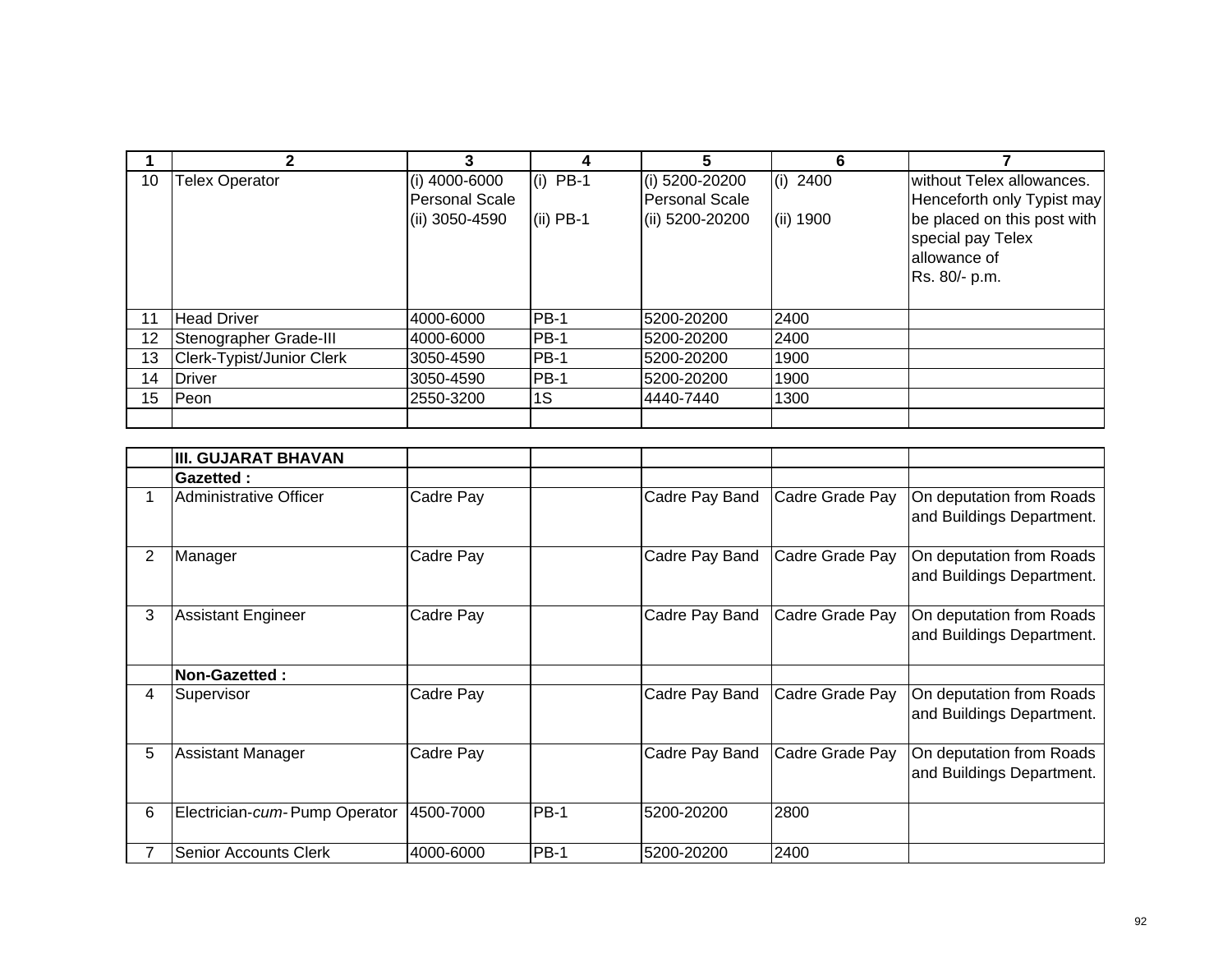|    | 2                         |                       |             | 5               | 6          |                             |
|----|---------------------------|-----------------------|-------------|-----------------|------------|-----------------------------|
| 10 | <b>Telex Operator</b>     | (i) 4000-6000         | $(i)$ PB-1  | (i) 5200-20200  | $(i)$ 2400 | without Telex allowances.   |
|    |                           | <b>Personal Scale</b> |             | Personal Scale  |            | Henceforth only Typist may  |
|    |                           | (ii) 3050-4590        | $(ii)$ PB-1 | (ii) 5200-20200 | (ii) 1900  | be placed on this post with |
|    |                           |                       |             |                 |            | special pay Telex           |
|    |                           |                       |             |                 |            | allowance of                |
|    |                           |                       |             |                 |            | Rs. 80/- p.m.               |
|    |                           |                       |             |                 |            |                             |
| 11 | <b>Head Driver</b>        | 4000-6000             | $PB-1$      | 5200-20200      | 2400       |                             |
| 12 | Stenographer Grade-III    | 4000-6000             | $PB-1$      | 5200-20200      | 2400       |                             |
| 13 | Clerk-Typist/Junior Clerk | 3050-4590             | $PB-1$      | 5200-20200      | 1900       |                             |
| 14 | <b>Driver</b>             | 3050-4590             | <b>PB-1</b> | 5200-20200      | 1900       |                             |
| 15 | Peon                      | 2550-3200             | 1S          | 4440-7440       | 1300       |                             |
|    |                           |                       |             |                 |            |                             |

|                | <b>III. GUJARAT BHAVAN</b>    |           |             |                |                 |                                                       |
|----------------|-------------------------------|-----------|-------------|----------------|-----------------|-------------------------------------------------------|
|                | Gazetted:                     |           |             |                |                 |                                                       |
|                | Administrative Officer        | Cadre Pay |             | Cadre Pay Band | Cadre Grade Pay | On deputation from Roads<br>and Buildings Department. |
| $\overline{2}$ | Manager                       | Cadre Pay |             | Cadre Pay Band | Cadre Grade Pay | On deputation from Roads<br>and Buildings Department. |
| 3              | <b>Assistant Engineer</b>     | Cadre Pay |             | Cadre Pay Band | Cadre Grade Pay | On deputation from Roads<br>and Buildings Department. |
|                | Non-Gazetted :                |           |             |                |                 |                                                       |
| 4              | Supervisor                    | Cadre Pay |             | Cadre Pay Band | Cadre Grade Pay | On deputation from Roads<br>and Buildings Department. |
| 5              | <b>Assistant Manager</b>      | Cadre Pay |             | Cadre Pay Band | Cadre Grade Pay | On deputation from Roads<br>and Buildings Department. |
| 6              | Electrician-cum-Pump Operator | 4500-7000 | <b>PB-1</b> | 5200-20200     | 2800            |                                                       |
|                | <b>Senior Accounts Clerk</b>  | 4000-6000 | <b>PB-1</b> | 5200-20200     | 2400            |                                                       |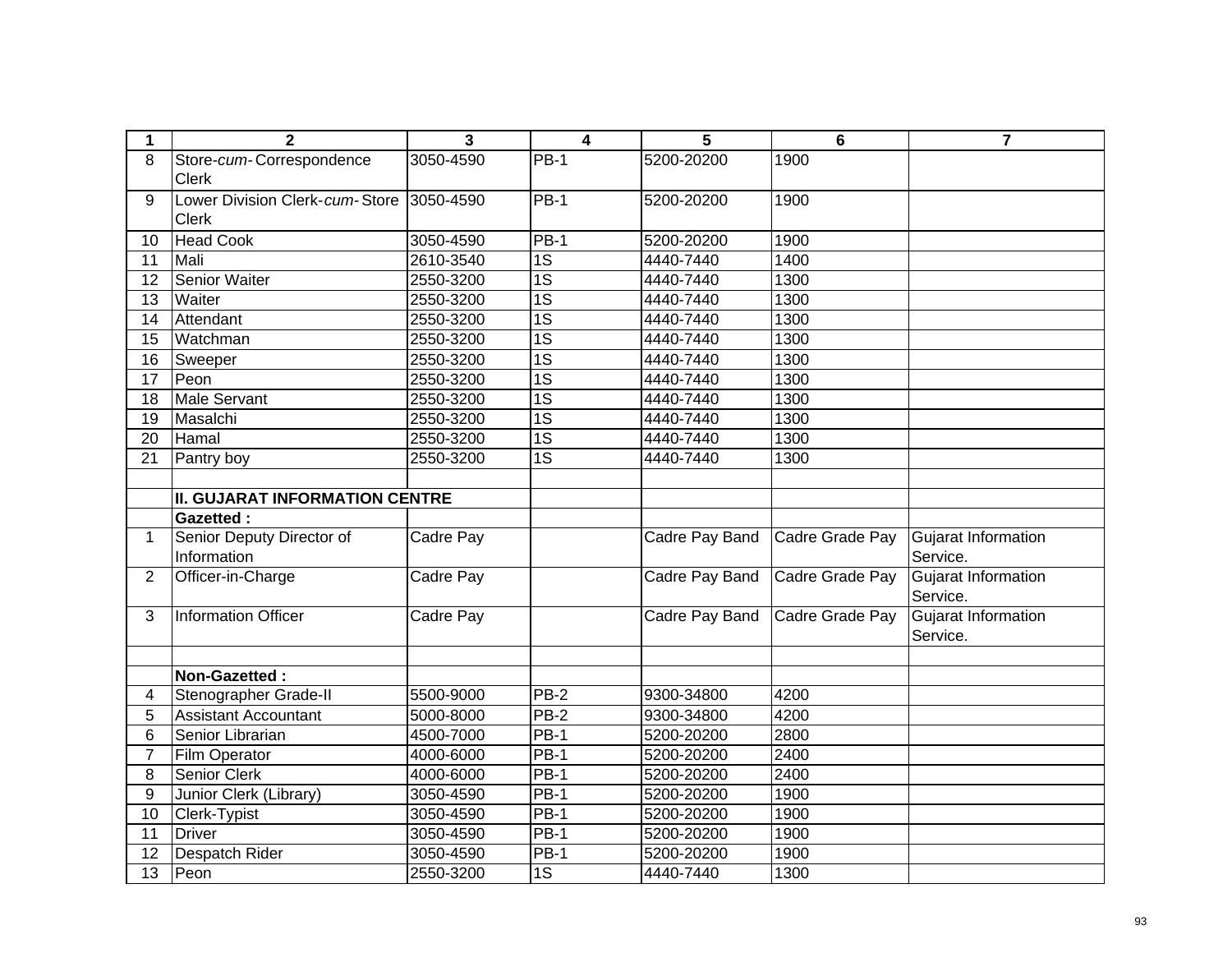| 1               | $\mathbf{2}$                             | 3         | 4               | 5              | $6\phantom{1}6$ | $\overline{7}$      |
|-----------------|------------------------------------------|-----------|-----------------|----------------|-----------------|---------------------|
| 8               | Store-cum-Correspondence                 | 3050-4590 | <b>PB-1</b>     | 5200-20200     | 1900            |                     |
|                 | <b>Clerk</b>                             |           |                 |                |                 |                     |
| 9               | Lower Division Clerk-cum-Store 3050-4590 |           | $PB-1$          | 5200-20200     | 1900            |                     |
|                 | <b>Clerk</b>                             |           |                 |                |                 |                     |
| 10              | <b>Head Cook</b>                         | 3050-4590 | <b>PB-1</b>     | 5200-20200     | 1900            |                     |
| $\overline{11}$ | Mali                                     | 2610-3540 | $\overline{1S}$ | 4440-7440      | 1400            |                     |
| 12              | Senior Waiter                            | 2550-3200 | $\overline{1S}$ | 4440-7440      | 1300            |                     |
| 13              | Waiter                                   | 2550-3200 | $\overline{1S}$ | 4440-7440      | 1300            |                     |
| 14              | Attendant                                | 2550-3200 | $\overline{1S}$ | 4440-7440      | 1300            |                     |
| 15              | Watchman                                 | 2550-3200 | $\overline{1S}$ | 4440-7440      | 1300            |                     |
| 16              | Sweeper                                  | 2550-3200 | 1S              | 4440-7440      | 1300            |                     |
| 17              | Peon                                     | 2550-3200 | $\overline{1S}$ | 4440-7440      | 1300            |                     |
| 18              | <b>Male Servant</b>                      | 2550-3200 | 1S              | 4440-7440      | 1300            |                     |
| 19              | Masalchi                                 | 2550-3200 | 1S              | 4440-7440      | 1300            |                     |
| 20              | Hamal                                    | 2550-3200 | 1S              | 4440-7440      | 1300            |                     |
| 21              | Pantry boy                               | 2550-3200 | 1S              | 4440-7440      | 1300            |                     |
|                 |                                          |           |                 |                |                 |                     |
|                 | <b>II. GUJARAT INFORMATION CENTRE</b>    |           |                 |                |                 |                     |
|                 | <b>Gazetted:</b>                         |           |                 |                |                 |                     |
| $\mathbf 1$     | Senior Deputy Director of                | Cadre Pay |                 | Cadre Pay Band | Cadre Grade Pay | Gujarat Information |
|                 | Information                              |           |                 |                |                 | Service.            |
| $\overline{2}$  | Officer-in-Charge                        | Cadre Pay |                 | Cadre Pay Band | Cadre Grade Pay | Gujarat Information |
|                 |                                          |           |                 |                |                 | Service.            |
| 3               | <b>Information Officer</b>               | Cadre Pay |                 | Cadre Pay Band | Cadre Grade Pay | Gujarat Information |
|                 |                                          |           |                 |                |                 | Service.            |
|                 |                                          |           |                 |                |                 |                     |
|                 | Non-Gazetted:                            |           |                 |                |                 |                     |
| 4               | Stenographer Grade-II                    | 5500-9000 | <b>PB-2</b>     | 9300-34800     | 4200            |                     |
| 5               | <b>Assistant Accountant</b>              | 5000-8000 | $PB-2$          | 9300-34800     | 4200            |                     |
| 6               | Senior Librarian                         | 4500-7000 | <b>PB-1</b>     | 5200-20200     | 2800            |                     |
| $\overline{7}$  | Film Operator                            | 4000-6000 | $PB-1$          | 5200-20200     | 2400            |                     |
| 8               | Senior Clerk                             | 4000-6000 | $PB-1$          | 5200-20200     | 2400            |                     |
| 9               | Junior Clerk (Library)                   | 3050-4590 | $PB-1$          | 5200-20200     | 1900            |                     |
| 10              | Clerk-Typist                             | 3050-4590 | $PB-1$          | 5200-20200     | 1900            |                     |
| 11              | <b>Driver</b>                            | 3050-4590 | <b>PB-1</b>     | 5200-20200     | 1900            |                     |
| $\overline{12}$ | Despatch Rider                           | 3050-4590 | <b>PB-1</b>     | 5200-20200     | 1900            |                     |
| $\overline{13}$ | Peon                                     | 2550-3200 | 1S              | 4440-7440      | 1300            |                     |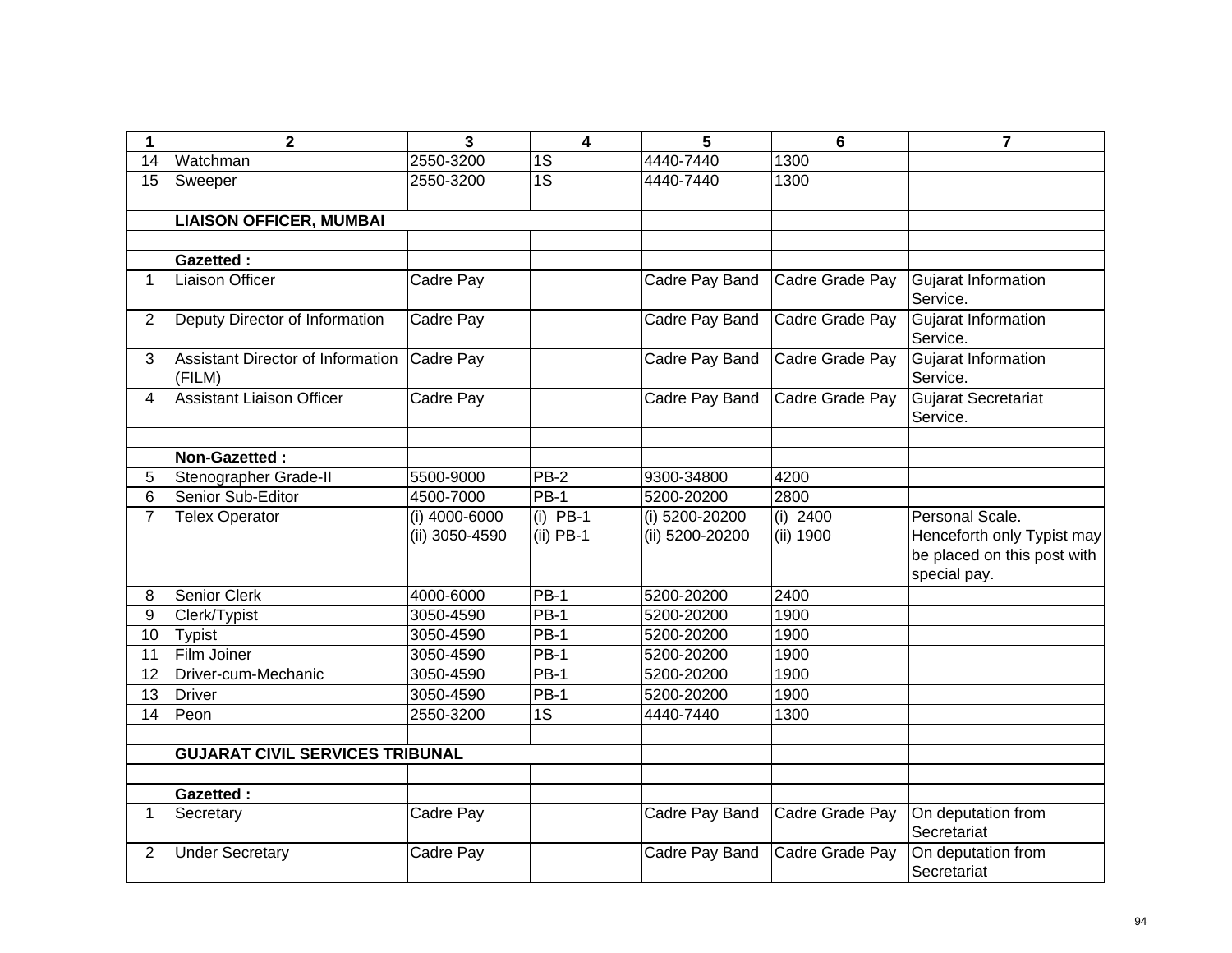| 1               | $\overline{\mathbf{2}}$                     | $\overline{\mathbf{3}}$         | $\overline{4}$            | 5                                 | $6\phantom{1}6$         | $\overline{7}$                                                                               |
|-----------------|---------------------------------------------|---------------------------------|---------------------------|-----------------------------------|-------------------------|----------------------------------------------------------------------------------------------|
| $\overline{14}$ | Watchman                                    | 2550-3200                       | $\overline{1S}$           | 4440-7440                         | 1300                    |                                                                                              |
| 15              | Sweeper                                     | 2550-3200                       | $\overline{1S}$           | 4440-7440                         | 1300                    |                                                                                              |
|                 |                                             |                                 |                           |                                   |                         |                                                                                              |
|                 | <b>LIAISON OFFICER, MUMBAI</b>              |                                 |                           |                                   |                         |                                                                                              |
|                 |                                             |                                 |                           |                                   |                         |                                                                                              |
|                 | <b>Gazetted:</b>                            |                                 |                           |                                   |                         |                                                                                              |
| 1.              | <b>Liaison Officer</b>                      | Cadre Pay                       |                           | Cadre Pay Band                    | Cadre Grade Pay         | Gujarat Information<br>Service.                                                              |
| $\overline{2}$  | Deputy Director of Information              | Cadre Pay                       |                           | Cadre Pay Band                    | Cadre Grade Pay         | Gujarat Information<br>Service.                                                              |
| 3               | Assistant Director of Information<br>(FILM) | Cadre Pay                       |                           | Cadre Pay Band                    | Cadre Grade Pay         | Gujarat Information<br>Service.                                                              |
| 4               | <b>Assistant Liaison Officer</b>            | Cadre Pay                       |                           | Cadre Pay Band                    | Cadre Grade Pay         | Gujarat Secretariat<br>Service.                                                              |
|                 |                                             |                                 |                           |                                   |                         |                                                                                              |
|                 | Non-Gazetted:                               |                                 |                           |                                   |                         |                                                                                              |
| 5               | Stenographer Grade-II                       | 5500-9000                       | <b>PB-2</b>               | 9300-34800                        | 4200                    |                                                                                              |
| 6               | Senior Sub-Editor                           | 4500-7000                       | $PB-1$                    | 5200-20200                        | 2800                    |                                                                                              |
| $\overline{7}$  | <b>Telex Operator</b>                       | (i) 4000-6000<br>(ii) 3050-4590 | $(i)$ PB-1<br>$(ii)$ PB-1 | (i) 5200-20200<br>(ii) 5200-20200 | $(i)$ 2400<br>(ii) 1900 | Personal Scale.<br>Henceforth only Typist may<br>be placed on this post with<br>special pay. |
| 8               | Senior Clerk                                | 4000-6000                       | <b>PB-1</b>               | 5200-20200                        | 2400                    |                                                                                              |
| 9               | Clerk/Typist                                | 3050-4590                       | <b>PB-1</b>               | 5200-20200                        | 1900                    |                                                                                              |
| 10              | <b>Typist</b>                               | 3050-4590                       | PB-1                      | 5200-20200                        | 1900                    |                                                                                              |
| 11              | Film Joiner                                 | 3050-4590                       | <b>PB-1</b>               | 5200-20200                        | 1900                    |                                                                                              |
| 12              | Driver-cum-Mechanic                         | 3050-4590                       | PB-1                      | 5200-20200                        | 1900                    |                                                                                              |
| 13              | <b>Driver</b>                               | 3050-4590                       | <b>PB-1</b>               | 5200-20200                        | 1900                    |                                                                                              |
| 14              | Peon                                        | 2550-3200                       | 1S                        | 4440-7440                         | 1300                    |                                                                                              |
|                 |                                             |                                 |                           |                                   |                         |                                                                                              |
|                 | <b>GUJARAT CIVIL SERVICES TRIBUNAL</b>      |                                 |                           |                                   |                         |                                                                                              |
|                 |                                             |                                 |                           |                                   |                         |                                                                                              |
|                 | <b>Gazetted:</b>                            |                                 |                           |                                   |                         |                                                                                              |
| 1               | Secretary                                   | Cadre Pay                       |                           | Cadre Pay Band                    | Cadre Grade Pay         | On deputation from<br>Secretariat                                                            |
| $\overline{2}$  | <b>Under Secretary</b>                      | Cadre Pay                       |                           | Cadre Pay Band                    | Cadre Grade Pay         | On deputation from<br>Secretariat                                                            |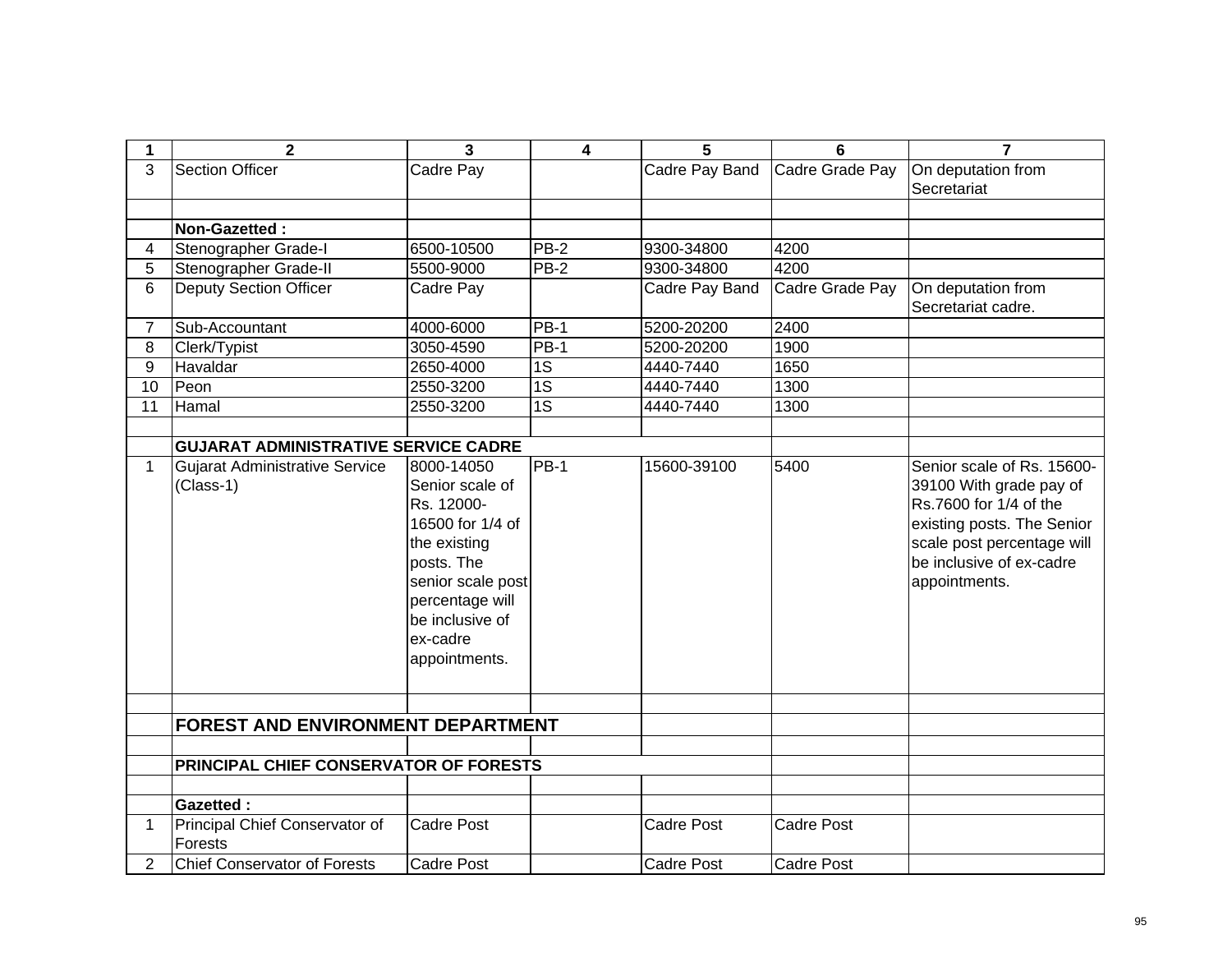| 1              | $\overline{2}$                                     | $\overline{3}$                                                                                                                                                                        | 4               | 5                 | $6\phantom{1}$    | $\overline{7}$                                                                                                                                                                           |
|----------------|----------------------------------------------------|---------------------------------------------------------------------------------------------------------------------------------------------------------------------------------------|-----------------|-------------------|-------------------|------------------------------------------------------------------------------------------------------------------------------------------------------------------------------------------|
| 3              | <b>Section Officer</b>                             | Cadre Pay                                                                                                                                                                             |                 | Cadre Pay Band    | Cadre Grade Pay   | On deputation from<br>Secretariat                                                                                                                                                        |
|                | Non-Gazetted:                                      |                                                                                                                                                                                       |                 |                   |                   |                                                                                                                                                                                          |
| 4              | Stenographer Grade-I                               | 6500-10500                                                                                                                                                                            | <b>PB-2</b>     | 9300-34800        | 4200              |                                                                                                                                                                                          |
| 5              | Stenographer Grade-II                              | 5500-9000                                                                                                                                                                             | $PB-2$          | 9300-34800        | 4200              |                                                                                                                                                                                          |
| 6              | Deputy Section Officer                             | Cadre Pay                                                                                                                                                                             |                 | Cadre Pay Band    | Cadre Grade Pay   | On deputation from<br>Secretariat cadre.                                                                                                                                                 |
| $\overline{7}$ | Sub-Accountant                                     | 4000-6000                                                                                                                                                                             | $PB-1$          | 5200-20200        | 2400              |                                                                                                                                                                                          |
| 8              | Clerk/Typist                                       | 3050-4590                                                                                                                                                                             | $PB-1$          | 5200-20200        | 1900              |                                                                                                                                                                                          |
| 9              | Havaldar                                           | 2650-4000                                                                                                                                                                             | $\overline{1S}$ | 4440-7440         | 1650              |                                                                                                                                                                                          |
| 10             | Peon                                               | 2550-3200                                                                                                                                                                             | $\overline{1S}$ | 4440-7440         | 1300              |                                                                                                                                                                                          |
| 11             | Hamal                                              | 2550-3200                                                                                                                                                                             | $\overline{1S}$ | 4440-7440         | 1300              |                                                                                                                                                                                          |
|                | <b>GUJARAT ADMINISTRATIVE SERVICE CADRE</b>        |                                                                                                                                                                                       |                 |                   |                   |                                                                                                                                                                                          |
| $\mathbf{1}$   | <b>Gujarat Administrative Service</b><br>(Class-1) | 8000-14050<br>Senior scale of<br>Rs. 12000-<br>16500 for 1/4 of<br>the existing<br>posts. The<br>senior scale post<br>percentage will<br>be inclusive of<br>ex-cadre<br>appointments. | <b>PB-1</b>     | 15600-39100       | 5400              | Senior scale of Rs. 15600-<br>39100 With grade pay of<br>Rs.7600 for 1/4 of the<br>existing posts. The Senior<br>scale post percentage will<br>be inclusive of ex-cadre<br>appointments. |
|                | FOREST AND ENVIRONMENT DEPARTMENT                  |                                                                                                                                                                                       |                 |                   |                   |                                                                                                                                                                                          |
|                | PRINCIPAL CHIEF CONSERVATOR OF FORESTS             |                                                                                                                                                                                       |                 |                   |                   |                                                                                                                                                                                          |
|                |                                                    |                                                                                                                                                                                       |                 |                   |                   |                                                                                                                                                                                          |
|                | <b>Gazetted:</b>                                   |                                                                                                                                                                                       |                 |                   |                   |                                                                                                                                                                                          |
| $\mathbf{1}$   | Principal Chief Conservator of<br>Forests          | <b>Cadre Post</b>                                                                                                                                                                     |                 | <b>Cadre Post</b> | <b>Cadre Post</b> |                                                                                                                                                                                          |
| $\overline{2}$ | <b>Chief Conservator of Forests</b>                | <b>Cadre Post</b>                                                                                                                                                                     |                 | <b>Cadre Post</b> | <b>Cadre Post</b> |                                                                                                                                                                                          |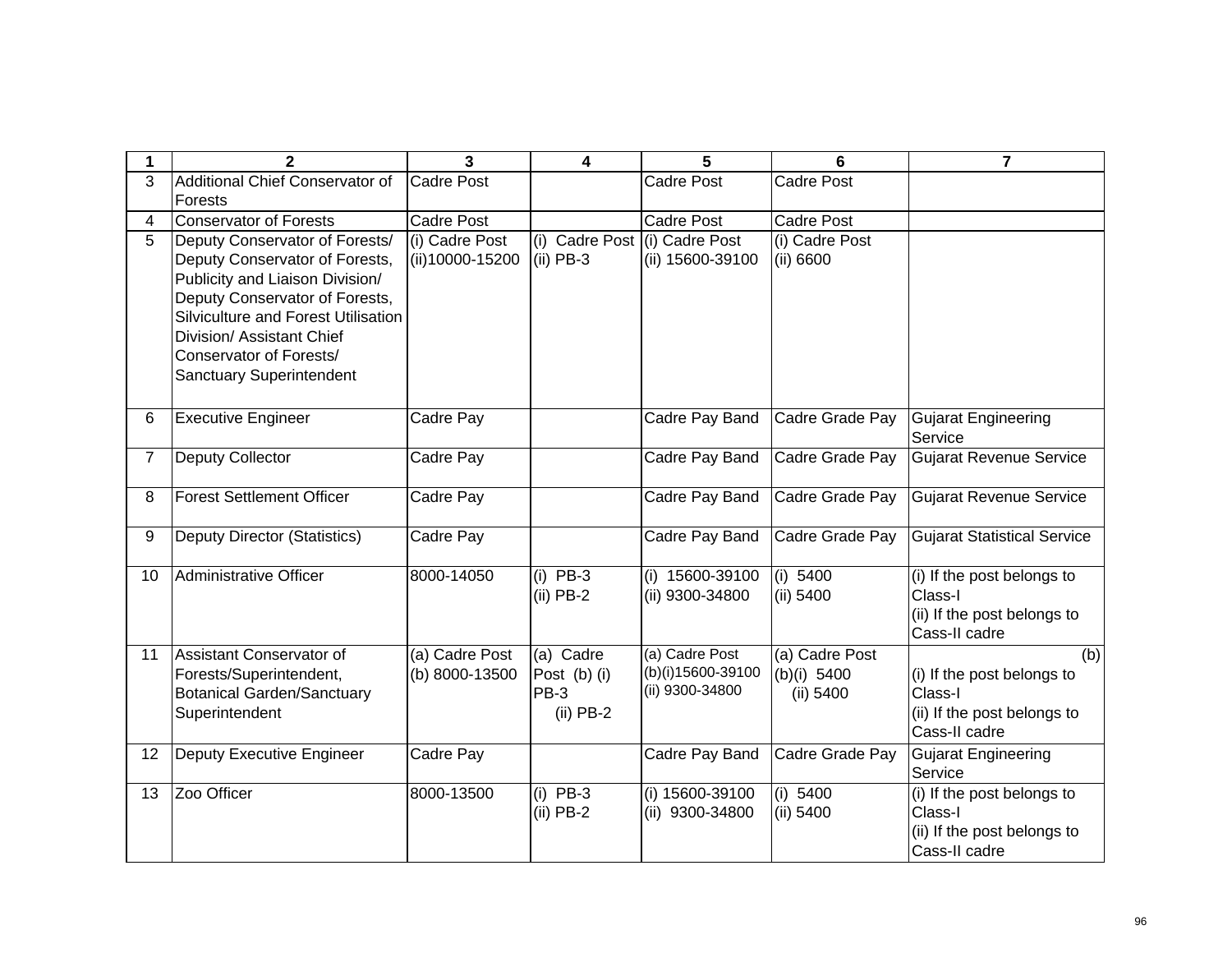| 1              | $\mathbf{2}$                                                                                        | 3                                 | 4                                            | 5                                    | 6                           | $\overline{7}$                               |
|----------------|-----------------------------------------------------------------------------------------------------|-----------------------------------|----------------------------------------------|--------------------------------------|-----------------------------|----------------------------------------------|
| 3              | Additional Chief Conservator of                                                                     | Cadre Post                        |                                              | Cadre Post                           | <b>Cadre Post</b>           |                                              |
|                | Forests                                                                                             |                                   |                                              |                                      |                             |                                              |
| 4              | <b>Conservator of Forests</b>                                                                       | <b>Cadre Post</b>                 |                                              | <b>Cadre Post</b>                    | Cadre Post                  |                                              |
| $\overline{5}$ | Deputy Conservator of Forests/<br>Deputy Conservator of Forests,<br>Publicity and Liaison Division/ | (i) Cadre Post<br>(ii)10000-15200 | (i) Cadre Post (i) Cadre Post<br>$(ii)$ PB-3 | (ii) 15600-39100                     | (i) Cadre Post<br>(ii) 6600 |                                              |
|                | Deputy Conservator of Forests,<br>Silviculture and Forest Utilisation                               |                                   |                                              |                                      |                             |                                              |
|                | Division/ Assistant Chief                                                                           |                                   |                                              |                                      |                             |                                              |
|                | Conservator of Forests/<br><b>Sanctuary Superintendent</b>                                          |                                   |                                              |                                      |                             |                                              |
|                |                                                                                                     |                                   |                                              |                                      |                             |                                              |
| 6              | <b>Executive Engineer</b>                                                                           | Cadre Pay                         |                                              | Cadre Pay Band                       | Cadre Grade Pay             | <b>Gujarat Engineering</b><br>Service        |
| $\overline{7}$ | Deputy Collector                                                                                    | Cadre Pay                         |                                              | Cadre Pay Band                       | Cadre Grade Pay             | <b>Gujarat Revenue Service</b>               |
| 8              | <b>Forest Settlement Officer</b>                                                                    | Cadre Pay                         |                                              | Cadre Pay Band                       | Cadre Grade Pay             | <b>Gujarat Revenue Service</b>               |
| 9              | <b>Deputy Director (Statistics)</b>                                                                 | Cadre Pay                         |                                              | Cadre Pay Band                       | Cadre Grade Pay             | <b>Gujarat Statistical Service</b>           |
| 10             | Administrative Officer                                                                              | 8000-14050                        | $(i)$ PB-3<br>$(ii)$ PB-2                    | (i) 15600-39100<br>(ii) 9300-34800   | (i) 5400<br>(ii) 5400       | (i) If the post belongs to<br>Class-I        |
|                |                                                                                                     |                                   |                                              |                                      |                             | (ii) If the post belongs to                  |
|                |                                                                                                     |                                   |                                              |                                      |                             | Cass-II cadre                                |
| 11             | Assistant Conservator of                                                                            | (a) Cadre Post                    | (a) Cadre                                    | (a) Cadre Post                       | (a) Cadre Post              | (b)                                          |
|                | Forests/Superintendent,<br><b>Botanical Garden/Sanctuary</b>                                        | (b) 8000-13500                    | Post (b) (i)<br>PB-3                         | (b)(i)15600-39100<br>(ii) 9300-34800 | (b)(i) 5400<br>(ii) 5400    | (i) If the post belongs to<br>Class-I        |
|                | Superintendent                                                                                      |                                   | $(ii)$ PB-2                                  |                                      |                             | (ii) If the post belongs to                  |
|                |                                                                                                     |                                   |                                              |                                      |                             | Cass-II cadre                                |
| 12             | Deputy Executive Engineer                                                                           | Cadre Pay                         |                                              | Cadre Pay Band                       | Cadre Grade Pay             | <b>Gujarat Engineering</b>                   |
|                |                                                                                                     |                                   |                                              |                                      |                             | Service                                      |
| 13             | Zoo Officer                                                                                         | 8000-13500                        | $(i)$ PB-3                                   | (i) 15600-39100                      | (i) 5400                    | (i) If the post belongs to                   |
|                |                                                                                                     |                                   | $(ii)$ PB-2                                  | (ii) 9300-34800                      | (ii) 5400                   | Class-I                                      |
|                |                                                                                                     |                                   |                                              |                                      |                             | (ii) If the post belongs to<br>Cass-II cadre |
|                |                                                                                                     |                                   |                                              |                                      |                             |                                              |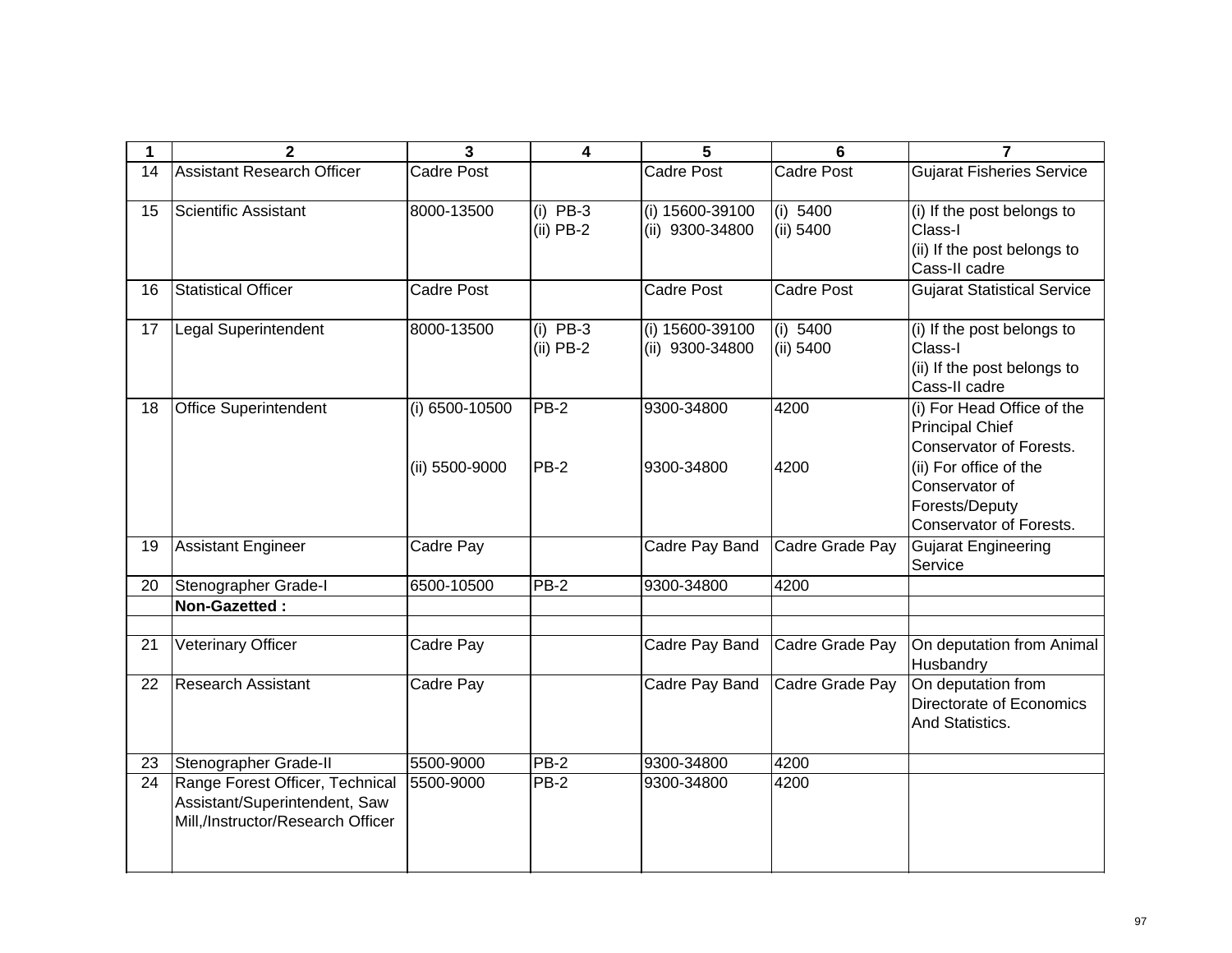| 1  | $\mathbf{2}$                                                                                          | 3                                    | 4                         | 5                                  | 6                     | 7                                                                                                                                  |
|----|-------------------------------------------------------------------------------------------------------|--------------------------------------|---------------------------|------------------------------------|-----------------------|------------------------------------------------------------------------------------------------------------------------------------|
| 14 | <b>Assistant Research Officer</b>                                                                     | <b>Cadre Post</b>                    |                           | Cadre Post                         | <b>Cadre Post</b>     | <b>Gujarat Fisheries Service</b>                                                                                                   |
| 15 | Scientific Assistant                                                                                  | 8000-13500                           | $(i)$ PB-3<br>$(ii)$ PB-2 | (i) 15600-39100<br>(ii) 9300-34800 | (i) 5400<br>(ii) 5400 | (i) If the post belongs to<br>Class-I<br>(ii) If the post belongs to<br>Cass-II cadre                                              |
| 16 | <b>Statistical Officer</b>                                                                            | <b>Cadre Post</b>                    |                           | <b>Cadre Post</b>                  | <b>Cadre Post</b>     | <b>Gujarat Statistical Service</b>                                                                                                 |
| 17 | Legal Superintendent                                                                                  | 8000-13500                           | $(i)$ PB-3<br>$(ii)$ PB-2 | (i) 15600-39100<br>(ii) 9300-34800 | (i) 5400<br>(ii) 5400 | (i) If the post belongs to<br>Class-I<br>(ii) If the post belongs to<br>Cass-II cadre                                              |
| 18 | <b>Office Superintendent</b>                                                                          | $(i) 6500 - 10500$<br>(ii) 5500-9000 | $PB-2$<br><b>PB-2</b>     | 9300-34800<br>9300-34800           | 4200<br>4200          | (i) For Head Office of the<br><b>Principal Chief</b><br><b>Conservator of Forests.</b><br>(ii) For office of the<br>Conservator of |
|    |                                                                                                       |                                      |                           |                                    |                       | Forests/Deputy<br><b>Conservator of Forests.</b>                                                                                   |
| 19 | <b>Assistant Engineer</b>                                                                             | Cadre Pay                            |                           | Cadre Pay Band                     | Cadre Grade Pay       | <b>Gujarat Engineering</b><br>Service                                                                                              |
| 20 | Stenographer Grade-I                                                                                  | 6500-10500                           | $PB-2$                    | 9300-34800                         | 4200                  |                                                                                                                                    |
|    | Non-Gazetted:                                                                                         |                                      |                           |                                    |                       |                                                                                                                                    |
| 21 | Veterinary Officer                                                                                    | Cadre Pay                            |                           | Cadre Pay Band                     | Cadre Grade Pay       | On deputation from Animal<br>Husbandry                                                                                             |
| 22 | <b>Research Assistant</b>                                                                             | Cadre Pay                            |                           | Cadre Pay Band                     | Cadre Grade Pay       | On deputation from<br>Directorate of Economics<br>And Statistics.                                                                  |
| 23 | Stenographer Grade-II                                                                                 | 5500-9000                            | $PB-2$                    | 9300-34800                         | 4200                  |                                                                                                                                    |
| 24 | Range Forest Officer, Technical<br>Assistant/Superintendent, Saw<br>Mill,/Instructor/Research Officer | 5500-9000                            | $PB-2$                    | 9300-34800                         | 4200                  |                                                                                                                                    |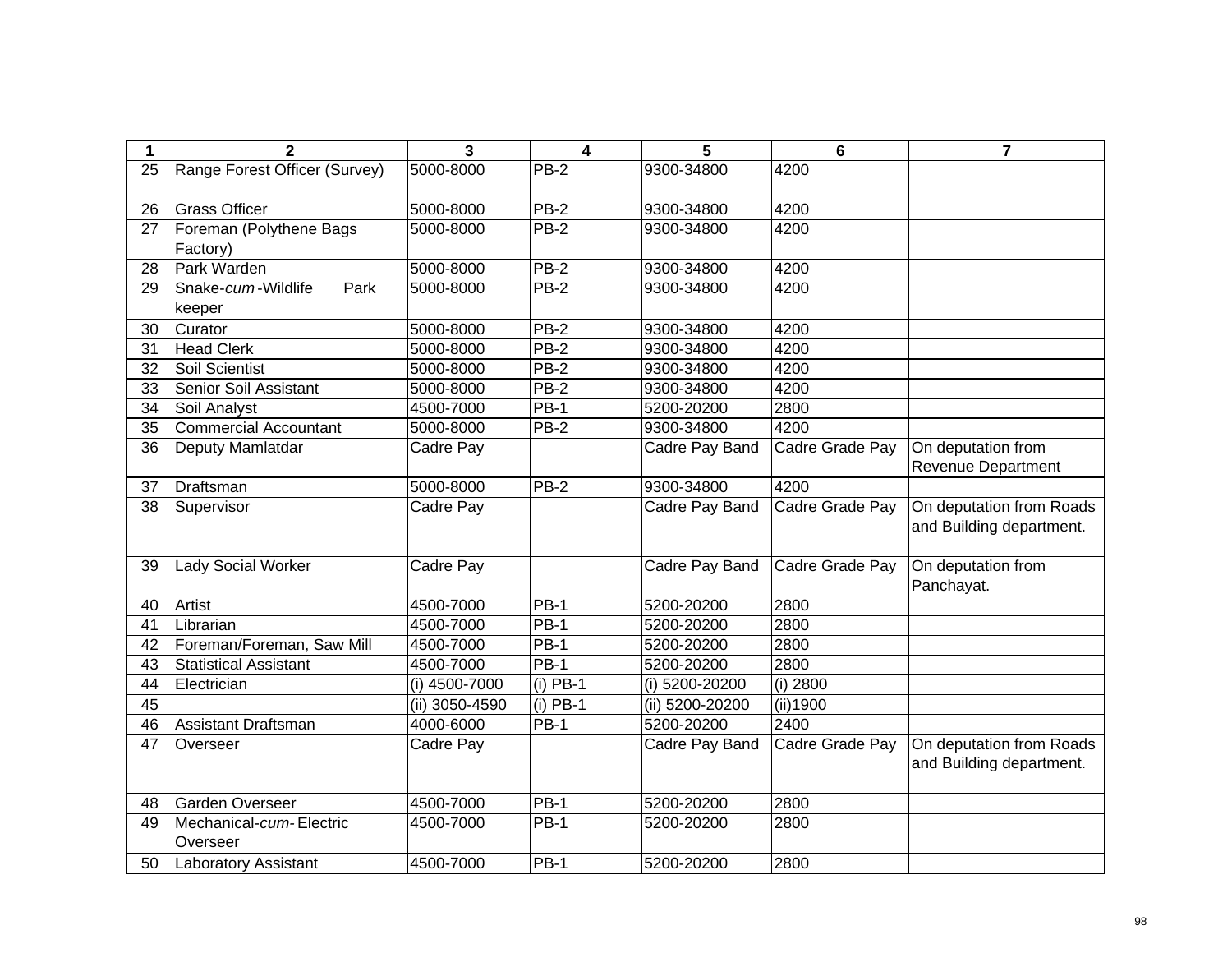| 1  | $\overline{2}$                | 3              | 4           | 5               | $6\phantom{1}$  | $\overline{7}$            |
|----|-------------------------------|----------------|-------------|-----------------|-----------------|---------------------------|
| 25 | Range Forest Officer (Survey) | 5000-8000      | <b>PB-2</b> | 9300-34800      | 4200            |                           |
|    |                               |                |             |                 |                 |                           |
| 26 | <b>Grass Officer</b>          | 5000-8000      | PB-2        | 9300-34800      | 4200            |                           |
| 27 | Foreman (Polythene Bags       | 5000-8000      | $PB-2$      | 9300-34800      | 4200            |                           |
|    | Factory)                      |                |             |                 |                 |                           |
| 28 | Park Warden                   | 5000-8000      | PB-2        | 9300-34800      | 4200            |                           |
| 29 | Snake-cum-Wildlife<br>Park    | 5000-8000      | $PB-2$      | 9300-34800      | 4200            |                           |
|    | keeper                        |                |             |                 |                 |                           |
| 30 | Curator                       | 5000-8000      | PB-2        | 9300-34800      | 4200            |                           |
| 31 | <b>Head Clerk</b>             | 5000-8000      | $PB-2$      | 9300-34800      | 4200            |                           |
| 32 | Soil Scientist                | 5000-8000      | <b>PB-2</b> | 9300-34800      | 4200            |                           |
| 33 | Senior Soil Assistant         | 5000-8000      | <b>PB-2</b> | 9300-34800      | 4200            |                           |
| 34 | Soil Analyst                  | 4500-7000      | <b>PB-1</b> | 5200-20200      | 2800            |                           |
| 35 | <b>Commercial Accountant</b>  | 5000-8000      | <b>PB-2</b> | 9300-34800      | 4200            |                           |
| 36 | Deputy Mamlatdar              | Cadre Pay      |             | Cadre Pay Band  | Cadre Grade Pay | On deputation from        |
|    |                               |                |             |                 |                 | <b>Revenue Department</b> |
| 37 | Draftsman                     | 5000-8000      | PB-2        | 9300-34800      | 4200            |                           |
| 38 | Supervisor                    | Cadre Pay      |             | Cadre Pay Band  | Cadre Grade Pay | On deputation from Roads  |
|    |                               |                |             |                 |                 | and Building department.  |
|    |                               |                |             |                 |                 |                           |
| 39 | <b>Lady Social Worker</b>     | Cadre Pay      |             | Cadre Pay Band  | Cadre Grade Pay | On deputation from        |
|    |                               |                |             |                 |                 | Panchayat.                |
| 40 | Artist                        | 4500-7000      | <b>PB-1</b> | 5200-20200      | 2800            |                           |
| 41 | Librarian                     | 4500-7000      | $PB-1$      | 5200-20200      | 2800            |                           |
| 42 | Foreman/Foreman, Saw Mill     | 4500-7000      | <b>PB-1</b> | 5200-20200      | 2800            |                           |
| 43 | <b>Statistical Assistant</b>  | 4500-7000      | <b>PB-1</b> | 5200-20200      | 2800            |                           |
| 44 | Electrician                   | (i) 4500-7000  | $(i)$ PB-1  | (i) 5200-20200  | (i) 2800        |                           |
| 45 |                               | (ii) 3050-4590 | (i) PB-1    | (ii) 5200-20200 | (ii)1900        |                           |
| 46 | <b>Assistant Draftsman</b>    | 4000-6000      | $PB-1$      | 5200-20200      | 2400            |                           |
| 47 | Overseer                      | Cadre Pay      |             | Cadre Pay Band  | Cadre Grade Pay | On deputation from Roads  |
|    |                               |                |             |                 |                 | and Building department.  |
|    |                               |                |             |                 |                 |                           |
| 48 | Garden Overseer               | 4500-7000      | $PB-1$      | 5200-20200      | 2800            |                           |
| 49 | Mechanical-cum-Electric       | 4500-7000      | PB-1        | 5200-20200      | 2800            |                           |
|    | Overseer                      |                |             |                 |                 |                           |
| 50 | Laboratory Assistant          | 4500-7000      | <b>PB-1</b> | 5200-20200      | 2800            |                           |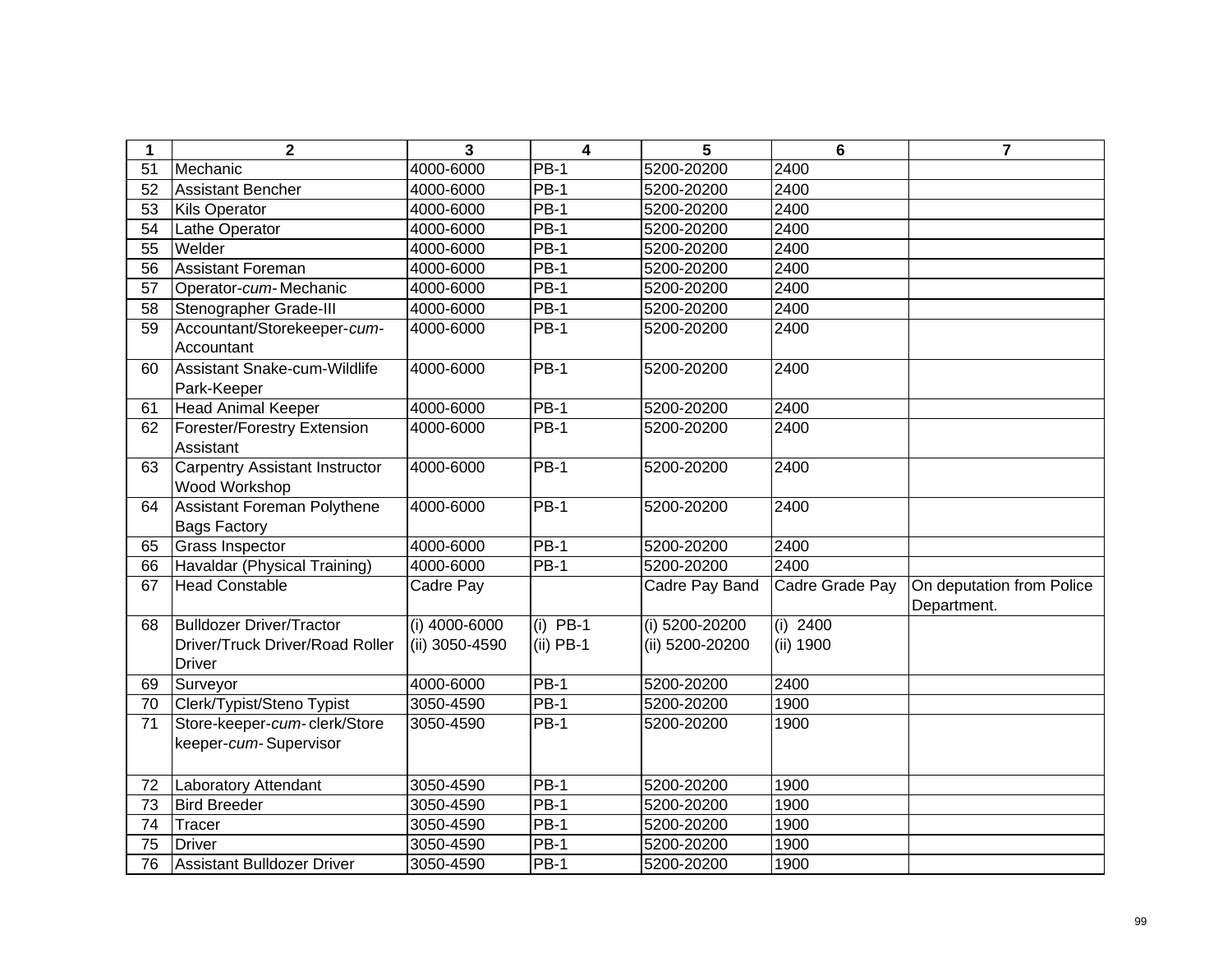| 1               | $\mathbf{2}$                                           | 3               | $\overline{\mathbf{4}}$ | 5               | $6\phantom{1}$  | $\overline{7}$                           |
|-----------------|--------------------------------------------------------|-----------------|-------------------------|-----------------|-----------------|------------------------------------------|
| 51              | Mechanic                                               | 4000-6000       | <b>PB-1</b>             | 5200-20200      | 2400            |                                          |
| 52              | <b>Assistant Bencher</b>                               | 4000-6000       | $PB-1$                  | 5200-20200      | 2400            |                                          |
| 53              | <b>Kils Operator</b>                                   | 4000-6000       | $PB-1$                  | 5200-20200      | 2400            |                                          |
| 54              | Lathe Operator                                         | 4000-6000       | $PB-1$                  | 5200-20200      | 2400            |                                          |
| 55              | Welder                                                 | 4000-6000       | $PB-1$                  | 5200-20200      | 2400            |                                          |
| 56              | <b>Assistant Foreman</b>                               | 4000-6000       | $PB-1$                  | 5200-20200      | 2400            |                                          |
| 57              | Operator-cum-Mechanic                                  | 4000-6000       | $PB-1$                  | 5200-20200      | 2400            |                                          |
| 58              | Stenographer Grade-III                                 | 4000-6000       | $PB-1$                  | 5200-20200      | 2400            |                                          |
| 59              | Accountant/Storekeeper-cum-<br>Accountant              | 4000-6000       | $PB-1$                  | 5200-20200      | 2400            |                                          |
| 60              | Assistant Snake-cum-Wildlife<br>Park-Keeper            | 4000-6000       | PB-1                    | 5200-20200      | 2400            |                                          |
| 61              | <b>Head Animal Keeper</b>                              | 4000-6000       | PB-1                    | 5200-20200      | 2400            |                                          |
| 62              | Forester/Forestry Extension<br>Assistant               | 4000-6000       | <b>PB-1</b>             | 5200-20200      | 2400            |                                          |
| 63              | <b>Carpentry Assistant Instructor</b><br>Wood Workshop | 4000-6000       | <b>PB-1</b>             | 5200-20200      | 2400            |                                          |
| 64              | Assistant Foreman Polythene<br><b>Bags Factory</b>     | 4000-6000       | PB-1                    | 5200-20200      | 2400            |                                          |
| 65              | <b>Grass Inspector</b>                                 | 4000-6000       | <b>PB-1</b>             | 5200-20200      | 2400            |                                          |
| 66              | Havaldar (Physical Training)                           | 4000-6000       | $PB-1$                  | 5200-20200      | 2400            |                                          |
| 67              | <b>Head Constable</b>                                  | Cadre Pay       |                         | Cadre Pay Band  | Cadre Grade Pay | On deputation from Police<br>Department. |
| 68              | <b>Bulldozer Driver/Tractor</b>                        | $(i)$ 4000-6000 | $(i)$ PB-1              | (i) 5200-20200  | $(i)$ 2400      |                                          |
|                 | Driver/Truck Driver/Road Roller<br><b>Driver</b>       | (ii) 3050-4590  | $(ii)$ PB-1             | (ii) 5200-20200 | (ii) 1900       |                                          |
| 69              | Surveyor                                               | 4000-6000       | <b>PB-1</b>             | 5200-20200      | 2400            |                                          |
| 70              | Clerk/Typist/Steno Typist                              | 3050-4590       | $PB-1$                  | 5200-20200      | 1900            |                                          |
| $\overline{71}$ | Store-keeper-cum-clerk/Store<br>keeper-cum-Supervisor  | 3050-4590       | $PB-1$                  | 5200-20200      | 1900            |                                          |
| 72              | Laboratory Attendant                                   | 3050-4590       | $PB-1$                  | 5200-20200      | 1900            |                                          |
| $\overline{73}$ | <b>Bird Breeder</b>                                    | 3050-4590       | $PB-1$                  | 5200-20200      | 1900            |                                          |
| 74              | Tracer                                                 | 3050-4590       | <b>PB-1</b>             | 5200-20200      | 1900            |                                          |
| 75              | <b>Driver</b>                                          | 3050-4590       | <b>PB-1</b>             | 5200-20200      | 1900            |                                          |
| 76              | <b>Assistant Bulldozer Driver</b>                      | 3050-4590       | <b>PB-1</b>             | 5200-20200      | 1900            |                                          |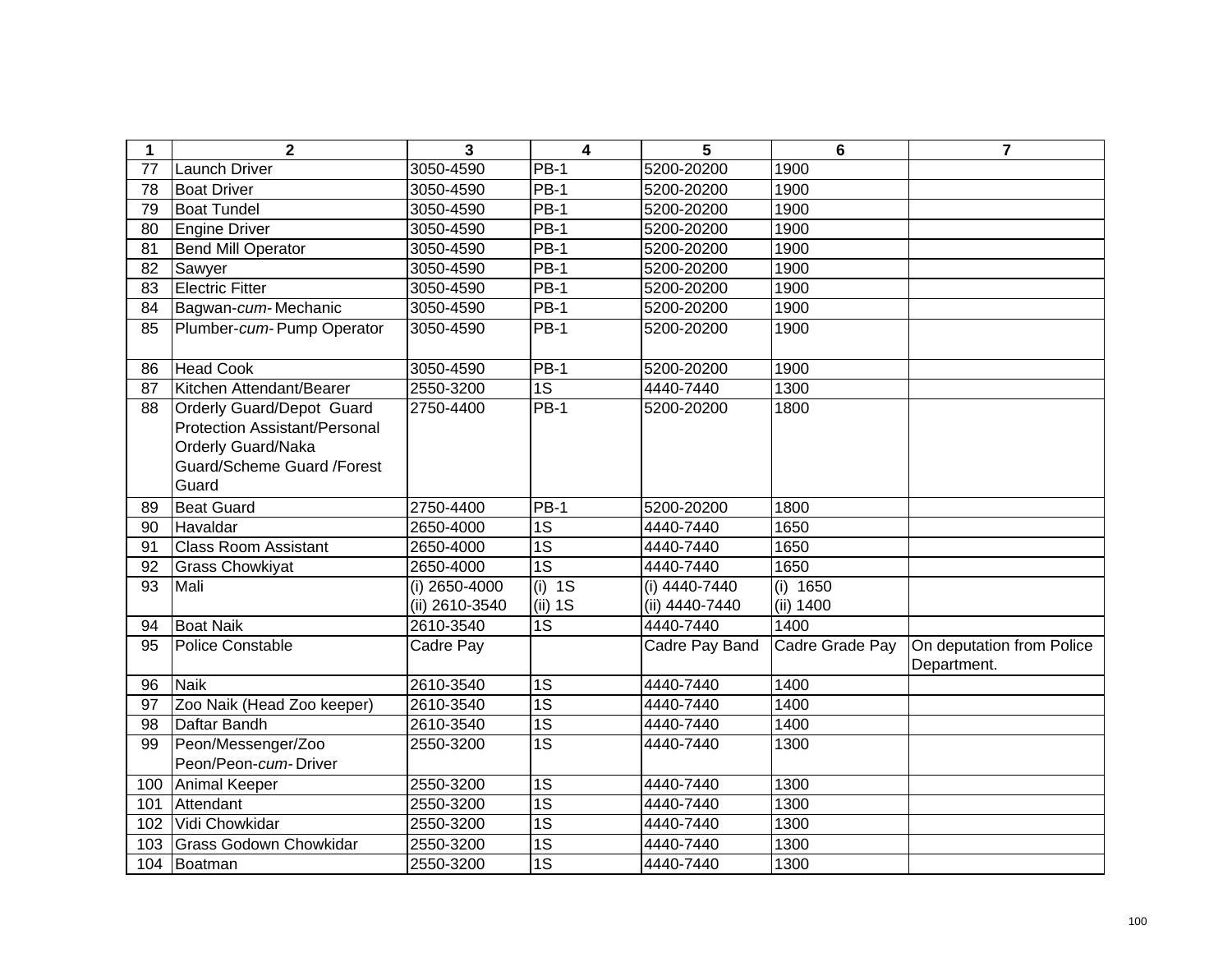| $\mathbf 1$ | $\mathbf{2}$                                                      | 3              | $\overline{\mathbf{4}}$ | 5              | 6               | $\overline{7}$            |
|-------------|-------------------------------------------------------------------|----------------|-------------------------|----------------|-----------------|---------------------------|
| 77          | <b>Launch Driver</b>                                              | 3050-4590      | $PB-1$                  | 5200-20200     | 1900            |                           |
| 78          | <b>Boat Driver</b>                                                | 3050-4590      | $PB-1$                  | 5200-20200     | 1900            |                           |
| 79          | <b>Boat Tundel</b>                                                | 3050-4590      | $PB-1$                  | 5200-20200     | 1900            |                           |
| 80          | <b>Engine Driver</b>                                              | 3050-4590      | $PB-1$                  | 5200-20200     | 1900            |                           |
| 81          | <b>Bend Mill Operator</b>                                         | 3050-4590      | $PB-1$                  | 5200-20200     | 1900            |                           |
| 82          | Sawyer                                                            | 3050-4590      | $PB-1$                  | 5200-20200     | 1900            |                           |
| 83          | <b>Electric Fitter</b>                                            | 3050-4590      | $PB-1$                  | 5200-20200     | 1900            |                           |
| 84          | Bagwan-cum-Mechanic                                               | 3050-4590      | $PB-1$                  | 5200-20200     | 1900            |                           |
| 85          | Plumber-cum-Pump Operator                                         | 3050-4590      | $PB-1$                  | 5200-20200     | 1900            |                           |
| 86          | <b>Head Cook</b>                                                  | 3050-4590      | <b>PB-1</b>             | 5200-20200     | 1900            |                           |
| 87          | Kitchen Attendant/Bearer                                          | 2550-3200      | 1S                      | 4440-7440      | 1300            |                           |
| 88          | <b>Orderly Guard/Depot Guard</b><br>Protection Assistant/Personal | 2750-4400      | $PB-1$                  | 5200-20200     | 1800            |                           |
|             | <b>Orderly Guard/Naka</b>                                         |                |                         |                |                 |                           |
|             | Guard/Scheme Guard /Forest                                        |                |                         |                |                 |                           |
|             | Guard                                                             |                |                         |                |                 |                           |
| 89          | <b>Beat Guard</b>                                                 | 2750-4400      | <b>PB-1</b>             | 5200-20200     | 1800            |                           |
| 90          | Havaldar                                                          | 2650-4000      | 1S                      | 4440-7440      | 1650            |                           |
| 91          | <b>Class Room Assistant</b>                                       | 2650-4000      | $\overline{1S}$         | 4440-7440      | 1650            |                           |
| 92          | <b>Grass Chowkiyat</b>                                            | 2650-4000      | $\overline{1S}$         | 4440-7440      | 1650            |                           |
| 93          | Mali                                                              | (i) 2650-4000  | $(i)$ 1S                | (i) 4440-7440  | (i) 1650        |                           |
|             |                                                                   | (ii) 2610-3540 | (ii) 1S                 | (ii) 4440-7440 | (ii) 1400       |                           |
| 94          | <b>Boat Naik</b>                                                  | 2610-3540      | $\overline{1S}$         | 4440-7440      | 1400            |                           |
| 95          | <b>Police Constable</b>                                           | Cadre Pay      |                         | Cadre Pay Band | Cadre Grade Pay | On deputation from Police |
|             |                                                                   |                |                         |                |                 | Department.               |
| 96          | <b>Naik</b>                                                       | 2610-3540      | 1S                      | 4440-7440      | 1400            |                           |
| 97          | Zoo Naik (Head Zoo keeper)                                        | 2610-3540      | $\overline{1S}$         | 4440-7440      | 1400            |                           |
| 98          | Daftar Bandh                                                      | 2610-3540      | $\overline{1S}$         | 4440-7440      | 1400            |                           |
| 99          | Peon/Messenger/Zoo                                                | 2550-3200      | $\overline{1S}$         | 4440-7440      | 1300            |                           |
|             | Peon/Peon-cum-Driver                                              |                |                         |                |                 |                           |
| 100         | Animal Keeper                                                     | 2550-3200      | 1S                      | 4440-7440      | 1300            |                           |
| 101         | Attendant                                                         | 2550-3200      | $\overline{1S}$         | 4440-7440      | 1300            |                           |
| 102         | Vidi Chowkidar                                                    | 2550-3200      | 1S                      | 4440-7440      | 1300            |                           |
| 103         | <b>Grass Godown Chowkidar</b>                                     | 2550-3200      | 1S                      | 4440-7440      | 1300            |                           |
| 104         | Boatman                                                           | 2550-3200      | 1S                      | 4440-7440      | 1300            |                           |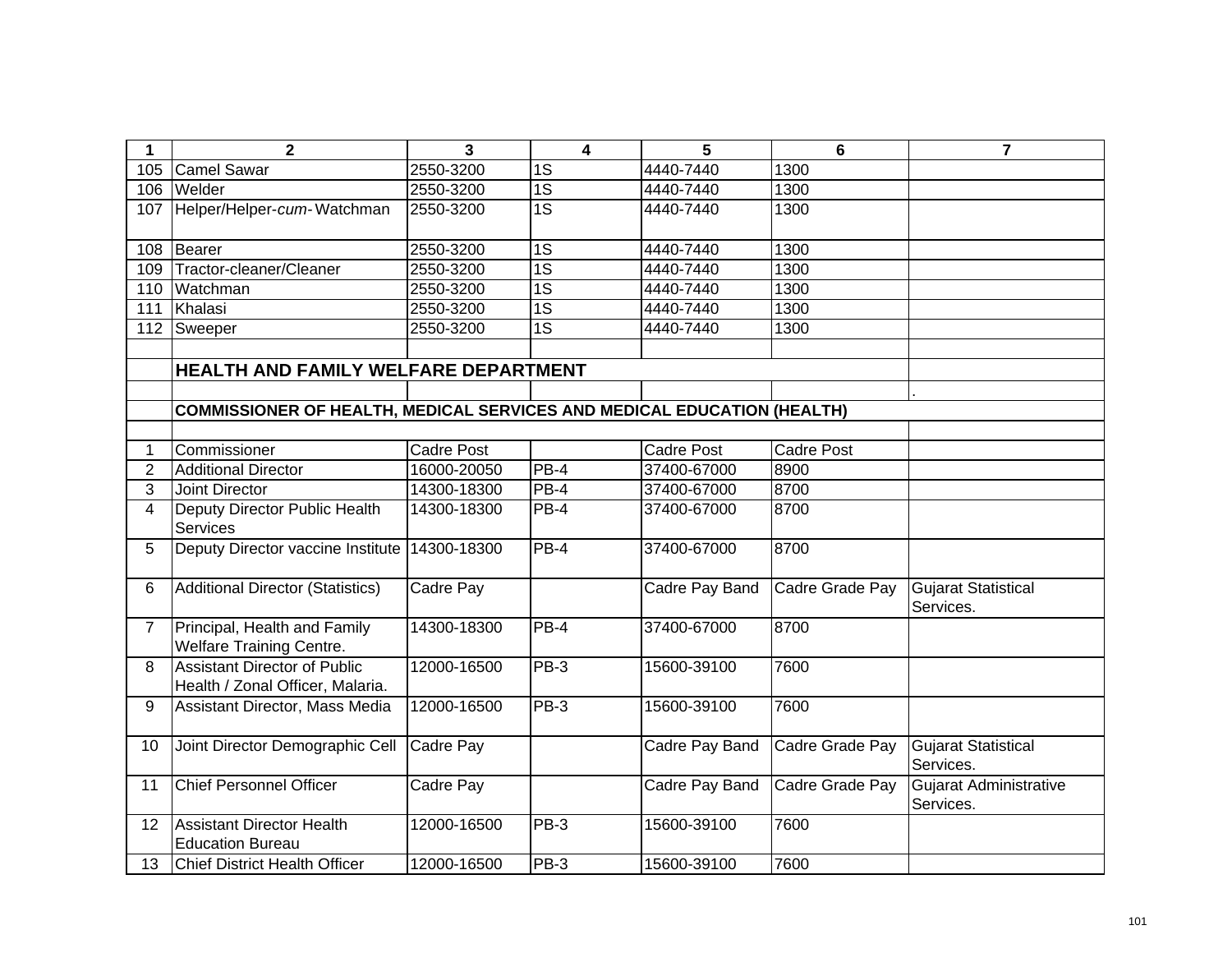| 1                       | $\mathbf{2}$                                                            | 3                 | $\overline{\mathbf{4}}$ | 5                 | $6\phantom{1}6$   | $\overline{7}$                          |
|-------------------------|-------------------------------------------------------------------------|-------------------|-------------------------|-------------------|-------------------|-----------------------------------------|
| 105                     | <b>Camel Sawar</b>                                                      | 2550-3200         | 1S                      | 4440-7440         | 1300              |                                         |
| 106                     | Welder                                                                  | 2550-3200         | $\overline{1S}$         | 4440-7440         | 1300              |                                         |
| 107                     | Helper/Helper-cum-Watchman                                              | 2550-3200         | $\overline{1S}$         | 4440-7440         | 1300              |                                         |
| 108                     | Bearer                                                                  | 2550-3200         | 1S                      | 4440-7440         | 1300              |                                         |
| 109                     | Tractor-cleaner/Cleaner                                                 | 2550-3200         | $\overline{1S}$         | 4440-7440         | 1300              |                                         |
| 110                     | Watchman                                                                | 2550-3200         | $\overline{1S}$         | 4440-7440         | 1300              |                                         |
| 111                     | Khalasi                                                                 | 2550-3200         | $\overline{1S}$         | 4440-7440         | 1300              |                                         |
| 112                     | Sweeper                                                                 | 2550-3200         | 1S                      | 4440-7440         | 1300              |                                         |
|                         |                                                                         |                   |                         |                   |                   |                                         |
|                         | HEALTH AND FAMILY WELFARE DEPARTMENT                                    |                   |                         |                   |                   |                                         |
|                         |                                                                         |                   |                         |                   |                   |                                         |
|                         | COMMISSIONER OF HEALTH, MEDICAL SERVICES AND MEDICAL EDUCATION (HEALTH) |                   |                         |                   |                   |                                         |
|                         |                                                                         |                   |                         |                   |                   |                                         |
| 1                       | Commissioner                                                            | <b>Cadre Post</b> |                         | <b>Cadre Post</b> | <b>Cadre Post</b> |                                         |
| $\overline{2}$          | <b>Additional Director</b>                                              | 16000-20050       | $PB-4$                  | 37400-67000       | 8900              |                                         |
| 3                       | Joint Director                                                          | 14300-18300       | $\overline{PB} - 4$     | 37400-67000       | 8700              |                                         |
| $\overline{\mathbf{4}}$ | Deputy Director Public Health<br><b>Services</b>                        | 14300-18300       | PB-4                    | 37400-67000       | 8700              |                                         |
| 5                       | Deputy Director vaccine Institute                                       | 14300-18300       | $PB-4$                  | 37400-67000       | 8700              |                                         |
| 6                       | <b>Additional Director (Statistics)</b>                                 | Cadre Pay         |                         | Cadre Pay Band    | Cadre Grade Pay   | <b>Gujarat Statistical</b><br>Services. |
| $\overline{7}$          | Principal, Health and Family<br>Welfare Training Centre.                | 14300-18300       | $PB-4$                  | 37400-67000       | 8700              |                                         |
| 8                       | <b>Assistant Director of Public</b><br>Health / Zonal Officer, Malaria. | 12000-16500       | $PB-3$                  | 15600-39100       | 7600              |                                         |
| 9                       | Assistant Director, Mass Media                                          | 12000-16500       | $PB-3$                  | 15600-39100       | 7600              |                                         |
| 10                      | Joint Director Demographic Cell                                         | Cadre Pay         |                         | Cadre Pay Band    | Cadre Grade Pay   | <b>Gujarat Statistical</b><br>Services. |
| 11                      | <b>Chief Personnel Officer</b>                                          | Cadre Pay         |                         | Cadre Pay Band    | Cadre Grade Pay   | Gujarat Administrative<br>Services.     |
| 12                      | <b>Assistant Director Health</b><br><b>Education Bureau</b>             | 12000-16500       | $PB-3$                  | 15600-39100       | 7600              |                                         |
| 13                      | <b>Chief District Health Officer</b>                                    | 12000-16500       | PB-3                    | 15600-39100       | 7600              |                                         |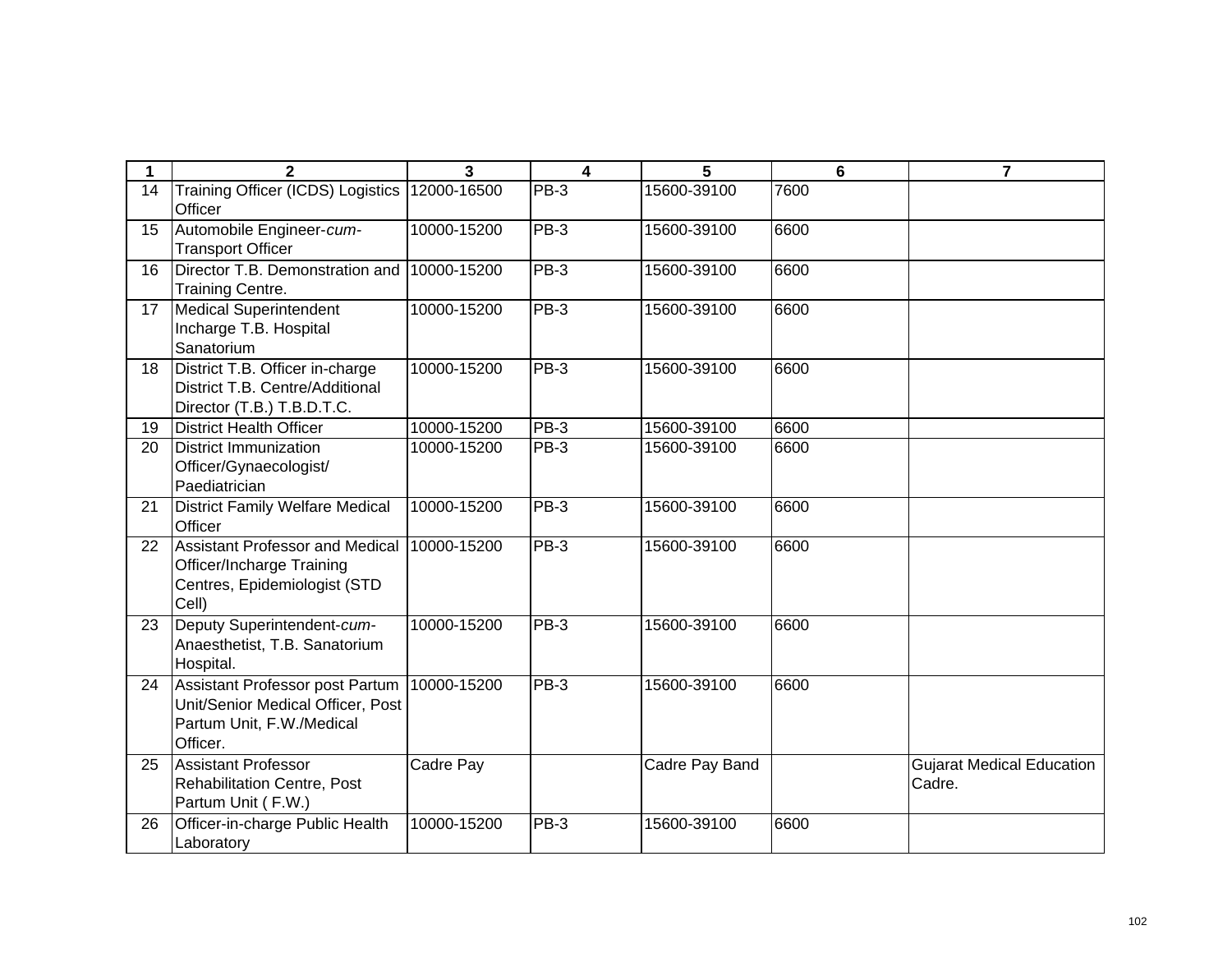| 1  | $\mathbf{2}$                                                                                                  | 3           | $\overline{\mathbf{4}}$ | 5              | 6    | $\overline{7}$                             |
|----|---------------------------------------------------------------------------------------------------------------|-------------|-------------------------|----------------|------|--------------------------------------------|
| 14 | Training Officer (ICDS) Logistics<br>Officer                                                                  | 12000-16500 | PB-3                    | 15600-39100    | 7600 |                                            |
| 15 | Automobile Engineer-cum-<br><b>Transport Officer</b>                                                          | 10000-15200 | $PB-3$                  | 15600-39100    | 6600 |                                            |
| 16 | Director T.B. Demonstration and<br>Training Centre.                                                           | 10000-15200 | $PB-3$                  | 15600-39100    | 6600 |                                            |
| 17 | <b>Medical Superintendent</b><br>Incharge T.B. Hospital<br>Sanatorium                                         | 10000-15200 | $PB-3$                  | 15600-39100    | 6600 |                                            |
| 18 | District T.B. Officer in-charge<br>District T.B. Centre/Additional<br>Director (T.B.) T.B.D.T.C.              | 10000-15200 | $PB-3$                  | 15600-39100    | 6600 |                                            |
| 19 | <b>District Health Officer</b>                                                                                | 10000-15200 | $PB-3$                  | 15600-39100    | 6600 |                                            |
| 20 | <b>District Immunization</b><br>Officer/Gynaecologist/<br>Paediatrician                                       | 10000-15200 | $PB-3$                  | 15600-39100    | 6600 |                                            |
| 21 | <b>District Family Welfare Medical</b><br>Officer                                                             | 10000-15200 | $PB-3$                  | 15600-39100    | 6600 |                                            |
| 22 | <b>Assistant Professor and Medical</b><br>Officer/Incharge Training<br>Centres, Epidemiologist (STD<br>Cell)  | 10000-15200 | $PB-3$                  | 15600-39100    | 6600 |                                            |
| 23 | Deputy Superintendent-cum-<br>Anaesthetist, T.B. Sanatorium<br>Hospital.                                      | 10000-15200 | $PB-3$                  | 15600-39100    | 6600 |                                            |
| 24 | Assistant Professor post Partum<br>Unit/Senior Medical Officer, Post<br>Partum Unit, F.W./Medical<br>Officer. | 10000-15200 | $PB-3$                  | 15600-39100    | 6600 |                                            |
| 25 | <b>Assistant Professor</b><br>Rehabilitation Centre, Post<br>Partum Unit (F.W.)                               | Cadre Pay   |                         | Cadre Pay Band |      | <b>Gujarat Medical Education</b><br>Cadre. |
| 26 | Officer-in-charge Public Health<br>Laboratory                                                                 | 10000-15200 | $PB-3$                  | 15600-39100    | 6600 |                                            |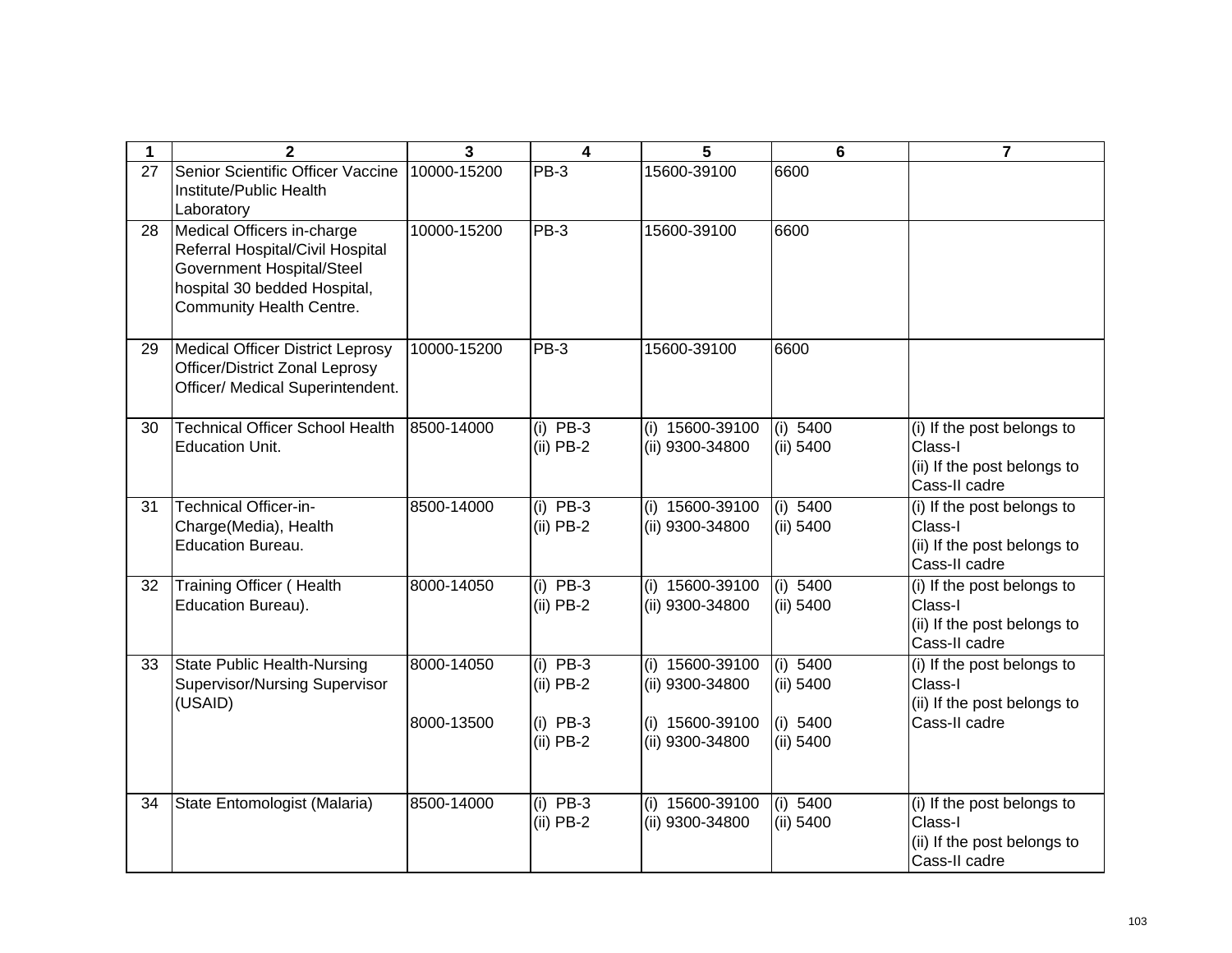| 1  | $\mathbf{2}$                                                                                                                                            | 3           | 4                         | 5                                    | 6                     | $\overline{7}$                                                                        |
|----|---------------------------------------------------------------------------------------------------------------------------------------------------------|-------------|---------------------------|--------------------------------------|-----------------------|---------------------------------------------------------------------------------------|
| 27 | Senior Scientific Officer Vaccine<br>Institute/Public Health<br>Laboratory                                                                              | 10000-15200 | PB-3                      | 15600-39100                          | 6600                  |                                                                                       |
| 28 | Medical Officers in-charge<br>Referral Hospital/Civil Hospital<br>Government Hospital/Steel<br>hospital 30 bedded Hospital,<br>Community Health Centre. | 10000-15200 | PB-3                      | 15600-39100                          | 6600                  |                                                                                       |
| 29 | Medical Officer District Leprosy<br><b>Officer/District Zonal Leprosy</b><br>Officer/ Medical Superintendent.                                           | 10000-15200 | PB-3                      | 15600-39100                          | 6600                  |                                                                                       |
| 30 | <b>Technical Officer School Health</b><br>Education Unit.                                                                                               | 8500-14000  | $(i)$ PB-3<br>$(ii)$ PB-2 | (i) 15600-39100<br>(ii) 9300-34800   | (i) 5400<br>(ii) 5400 | (i) If the post belongs to<br>Class-I<br>(ii) If the post belongs to<br>Cass-II cadre |
| 31 | <b>Technical Officer-in-</b><br>Charge(Media), Health<br><b>Education Bureau.</b>                                                                       | 8500-14000  | $(i)$ PB-3<br>$(ii)$ PB-2 | (i) 15600-39100<br>(ii) 9300-34800   | (i) 5400<br>(ii) 5400 | (i) If the post belongs to<br>Class-I<br>(ii) If the post belongs to<br>Cass-II cadre |
| 32 | <b>Training Officer (Health</b><br>Education Bureau).                                                                                                   | 8000-14050  | $(i)$ PB-3<br>$(ii)$ PB-2 | $(i)$ 15600-39100<br>(ii) 9300-34800 | (i) 5400<br>(ii) 5400 | (i) If the post belongs to<br>Class-I<br>(ii) If the post belongs to<br>Cass-II cadre |
| 33 | State Public Health-Nursing<br><b>Supervisor/Nursing Supervisor</b><br>(USAID)                                                                          | 8000-14050  | $(i)$ PB-3<br>$(ii)$ PB-2 | (i) 15600-39100<br>(ii) 9300-34800   | (i) 5400<br>(ii) 5400 | (i) If the post belongs to<br>Class-I<br>(ii) If the post belongs to                  |
|    |                                                                                                                                                         | 8000-13500  | $(i)$ PB-3<br>$(ii)$ PB-2 | (i) 15600-39100<br>(ii) 9300-34800   | (i) 5400<br>(ii) 5400 | Cass-II cadre                                                                         |
| 34 | State Entomologist (Malaria)                                                                                                                            | 8500-14000  | $(i)$ PB-3<br>$(ii)$ PB-2 | (i) 15600-39100<br>(ii) 9300-34800   | (i) 5400<br>(ii) 5400 | (i) If the post belongs to<br>Class-I<br>(ii) If the post belongs to<br>Cass-II cadre |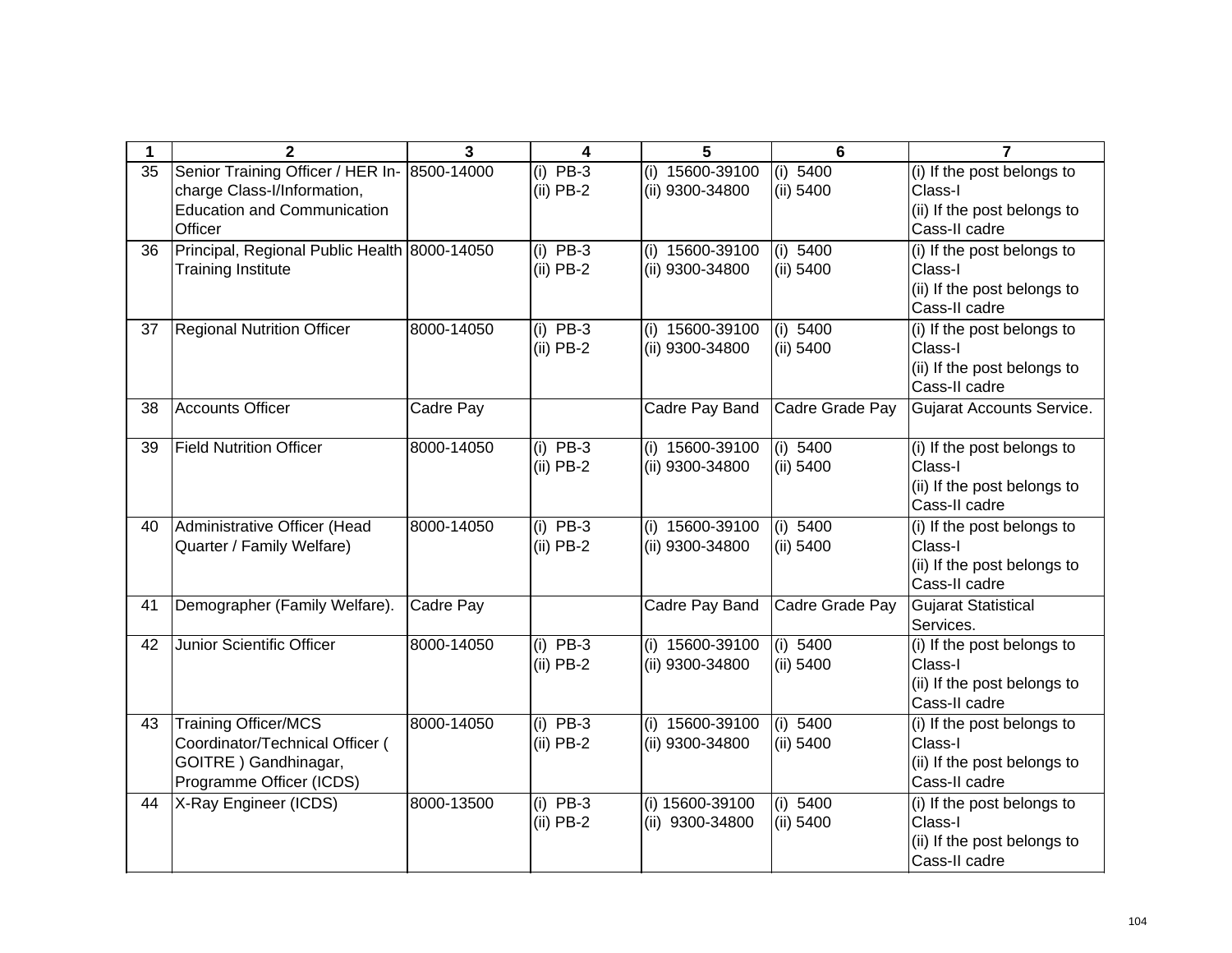| 1  | $\mathbf{2}$                                                                                                        | $\overline{\mathbf{3}}$ | 4                         | 5                                  | 6                       | $\overline{7}$                                                                        |
|----|---------------------------------------------------------------------------------------------------------------------|-------------------------|---------------------------|------------------------------------|-------------------------|---------------------------------------------------------------------------------------|
| 35 | Senior Training Officer / HER In-<br>charge Class-I/Information,<br><b>Education and Communication</b><br>Officer   | 8500-14000              | $(i)$ PB-3<br>$(ii)$ PB-2 | (i) 15600-39100<br>(ii) 9300-34800 | (i) 5400<br>(ii) 5400   | (i) If the post belongs to<br>Class-I<br>(ii) If the post belongs to<br>Cass-II cadre |
| 36 | Principal, Regional Public Health 8000-14050<br><b>Training Institute</b>                                           |                         | $(i)$ PB-3<br>$(ii)$ PB-2 | (i) 15600-39100<br>(ii) 9300-34800 | (i) 5400<br>(ii) 5400   | (i) If the post belongs to<br>Class-I<br>(ii) If the post belongs to<br>Cass-II cadre |
| 37 | <b>Regional Nutrition Officer</b>                                                                                   | 8000-14050              | $(i)$ PB-3<br>$(ii)$ PB-2 | (i) 15600-39100<br>(ii) 9300-34800 | (i) 5400<br>(ii) 5400   | (i) If the post belongs to<br>Class-I<br>(ii) If the post belongs to<br>Cass-II cadre |
| 38 | <b>Accounts Officer</b>                                                                                             | Cadre Pay               |                           | Cadre Pay Band                     | Cadre Grade Pay         | <b>Gujarat Accounts Service.</b>                                                      |
| 39 | <b>Field Nutrition Officer</b>                                                                                      | 8000-14050              | $(i)$ PB-3<br>$(ii)$ PB-2 | (i) 15600-39100<br>(ii) 9300-34800 | (i) 5400<br>(ii) 5400   | (i) If the post belongs to<br>Class-I<br>(ii) If the post belongs to<br>Cass-II cadre |
| 40 | Administrative Officer (Head<br>Quarter / Family Welfare)                                                           | 8000-14050              | $(i)$ PB-3<br>$(ii)$ PB-2 | (i) 15600-39100<br>(ii) 9300-34800 | (i) 5400<br>(ii) 5400   | (i) If the post belongs to<br>Class-I<br>(ii) If the post belongs to<br>Cass-II cadre |
| 41 | Demographer (Family Welfare).                                                                                       | Cadre Pay               |                           | Cadre Pay Band                     | Cadre Grade Pay         | <b>Gujarat Statistical</b><br>Services.                                               |
| 42 | Junior Scientific Officer                                                                                           | 8000-14050              | $(i)$ PB-3<br>$(ii)$ PB-2 | (i) 15600-39100<br>(ii) 9300-34800 | (i) 5400<br>(ii) 5400   | (i) If the post belongs to<br>Class-I<br>(ii) If the post belongs to<br>Cass-II cadre |
| 43 | <b>Training Officer/MCS</b><br>Coordinator/Technical Officer (<br>GOITRE ) Gandhinagar,<br>Programme Officer (ICDS) | 8000-14050              | $(i)$ PB-3<br>$(ii)$ PB-2 | (i) 15600-39100<br>(ii) 9300-34800 | (i) $5400$<br>(ii) 5400 | (i) If the post belongs to<br>Class-I<br>(ii) If the post belongs to<br>Cass-II cadre |
| 44 | X-Ray Engineer (ICDS)                                                                                               | 8000-13500              | $(i)$ PB-3<br>$(ii)$ PB-2 | (i) 15600-39100<br>(ii) 9300-34800 | (i) 5400<br>(ii) 5400   | (i) If the post belongs to<br>Class-I<br>(ii) If the post belongs to<br>Cass-II cadre |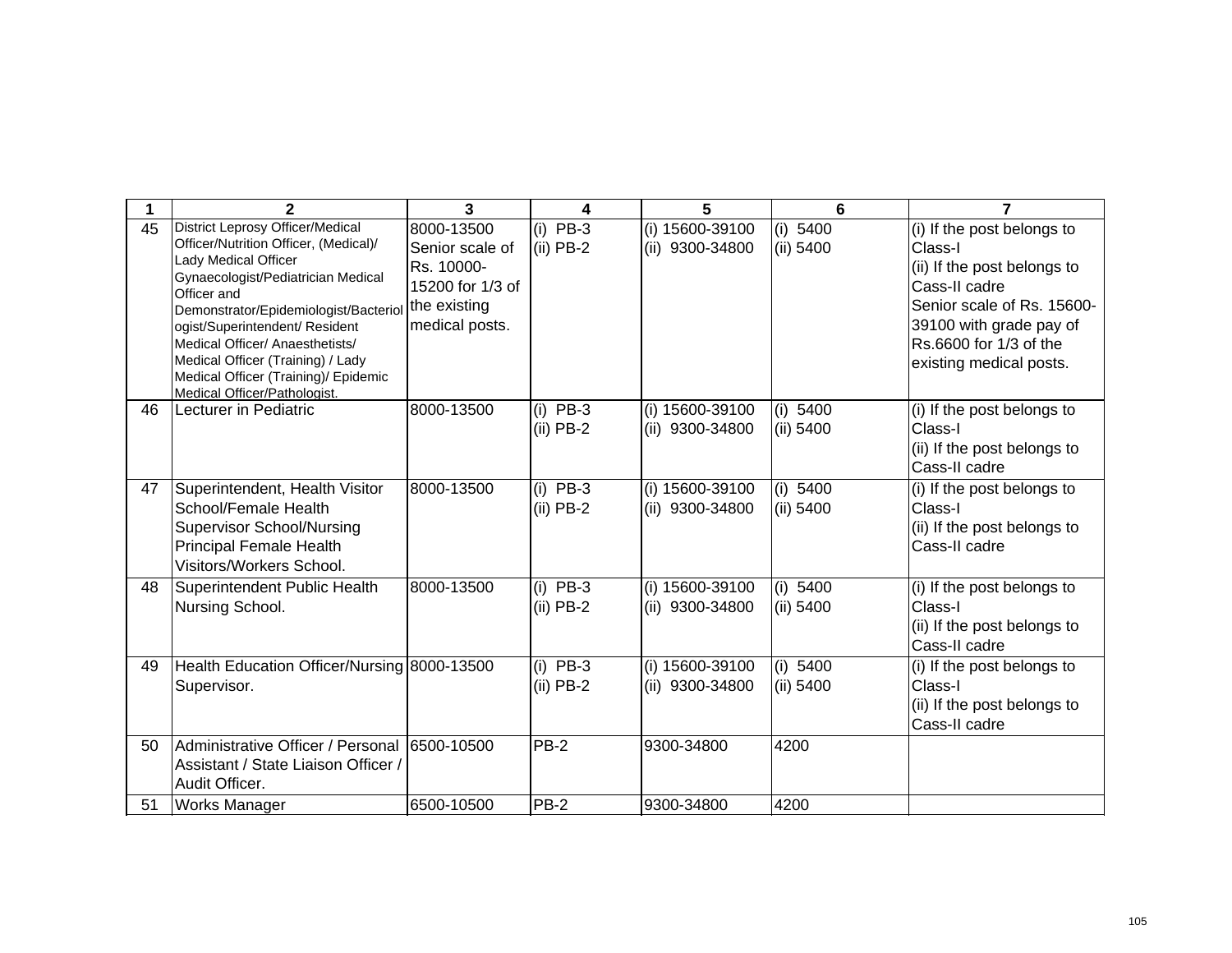|    | $\mathbf{2}$                                                                                                                                                                                                                                                                                                                                                                             | 3                                                                                                 | 4                         | 5                                  | 6                       | $\overline{ }$                                                                                                                                                                                      |
|----|------------------------------------------------------------------------------------------------------------------------------------------------------------------------------------------------------------------------------------------------------------------------------------------------------------------------------------------------------------------------------------------|---------------------------------------------------------------------------------------------------|---------------------------|------------------------------------|-------------------------|-----------------------------------------------------------------------------------------------------------------------------------------------------------------------------------------------------|
| 45 | <b>District Leprosy Officer/Medical</b><br>Officer/Nutrition Officer, (Medical)/<br>Lady Medical Officer<br>Gynaecologist/Pediatrician Medical<br>Officer and<br>Demonstrator/Epidemiologist/Bacteriol<br>ogist/Superintendent/ Resident<br>Medical Officer/ Anaesthetists/<br>Medical Officer (Training) / Lady<br>Medical Officer (Training)/ Epidemic<br>Medical Officer/Pathologist. | 8000-13500<br>Senior scale of<br>Rs. 10000-<br>15200 for 1/3 of<br>the existing<br>medical posts. | (i) $PB-3$<br>$(ii)$ PB-2 | (i) 15600-39100<br>(ii) 9300-34800 | (i) 5400<br>(ii) 5400   | (i) If the post belongs to<br>Class-I<br>(ii) If the post belongs to<br>Cass-II cadre<br>Senior scale of Rs. 15600-<br>39100 with grade pay of<br>Rs.6600 for 1/3 of the<br>existing medical posts. |
| 46 | Lecturer in Pediatric                                                                                                                                                                                                                                                                                                                                                                    | 8000-13500                                                                                        | $(i)$ PB-3<br>$(ii)$ PB-2 | (i) 15600-39100<br>(ii) 9300-34800 | (i) $5400$<br>(ii) 5400 | (i) If the post belongs to<br>Class-I<br>(ii) If the post belongs to<br>Cass-II cadre                                                                                                               |
| 47 | Superintendent, Health Visitor<br>School/Female Health<br><b>Supervisor School/Nursing</b><br>Principal Female Health<br>Visitors/Workers School.                                                                                                                                                                                                                                        | 8000-13500                                                                                        | $(i)$ PB-3<br>$(ii)$ PB-2 | (i) 15600-39100<br>(ii) 9300-34800 | (i) 5400<br>$(ii)$ 5400 | (i) If the post belongs to<br>Class-I<br>(ii) If the post belongs to<br>Cass-II cadre                                                                                                               |
| 48 | Superintendent Public Health<br>Nursing School.                                                                                                                                                                                                                                                                                                                                          | 8000-13500                                                                                        | $(i)$ PB-3<br>$(ii)$ PB-2 | (i) 15600-39100<br>(ii) 9300-34800 | (i) 5400<br>(ii) 5400   | (i) If the post belongs to<br>Class-I<br>(ii) If the post belongs to<br>Cass-II cadre                                                                                                               |
| 49 | Health Education Officer/Nursing 8000-13500<br>Supervisor.                                                                                                                                                                                                                                                                                                                               |                                                                                                   | $(i)$ PB-3<br>(ii) PB-2   | (i) 15600-39100<br>(ii) 9300-34800 | (i) 5400<br>(ii) 5400   | (i) If the post belongs to<br>Class-I<br>(ii) If the post belongs to<br>Cass-II cadre                                                                                                               |
| 50 | Administrative Officer / Personal<br>Assistant / State Liaison Officer /<br>Audit Officer.                                                                                                                                                                                                                                                                                               | 6500-10500                                                                                        | PB-2                      | 9300-34800                         | 4200                    |                                                                                                                                                                                                     |
| 51 | <b>Works Manager</b>                                                                                                                                                                                                                                                                                                                                                                     | 6500-10500                                                                                        | PB-2                      | 9300-34800                         | 4200                    |                                                                                                                                                                                                     |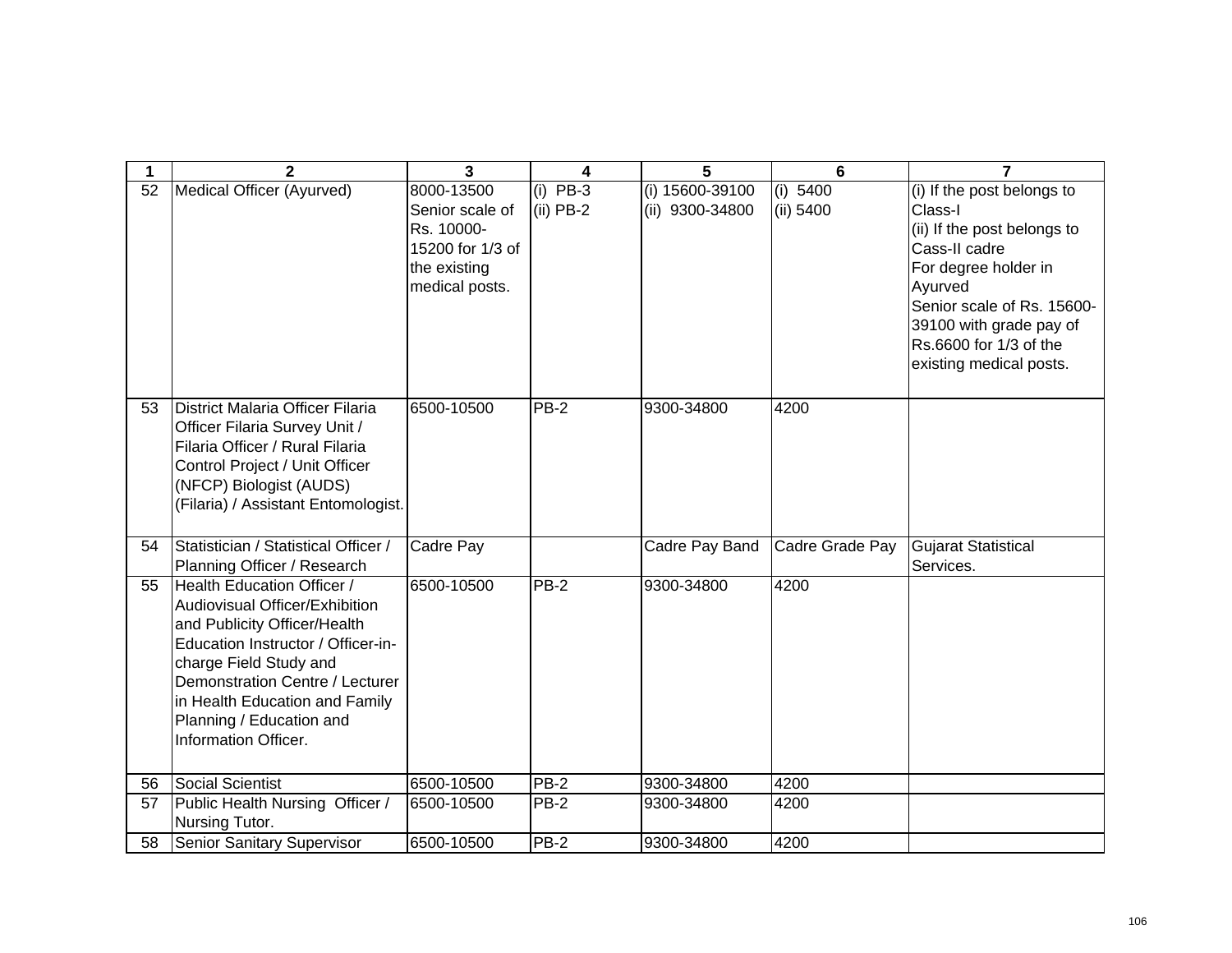| 1  | $\mathbf{2}$                                                                                                                                                                                                                                                                                 | $\overline{3}$                                                                                    | 4                         | 5                                  | 6                       | $\overline{7}$                                                                                                                                                                                                                         |
|----|----------------------------------------------------------------------------------------------------------------------------------------------------------------------------------------------------------------------------------------------------------------------------------------------|---------------------------------------------------------------------------------------------------|---------------------------|------------------------------------|-------------------------|----------------------------------------------------------------------------------------------------------------------------------------------------------------------------------------------------------------------------------------|
| 52 | Medical Officer (Ayurved)                                                                                                                                                                                                                                                                    | 8000-13500<br>Senior scale of<br>Rs. 10000-<br>15200 for 1/3 of<br>the existing<br>medical posts. | $(i)$ PB-3<br>$(ii)$ PB-2 | (i) 15600-39100<br>(ii) 9300-34800 | (i) $5400$<br>(ii) 5400 | (i) If the post belongs to<br>Class-I<br>(ii) If the post belongs to<br>Cass-II cadre<br>For degree holder in<br>Ayurved<br>Senior scale of Rs. 15600-<br>39100 with grade pay of<br>Rs.6600 for 1/3 of the<br>existing medical posts. |
| 53 | District Malaria Officer Filaria<br>Officer Filaria Survey Unit /<br>Filaria Officer / Rural Filaria<br>Control Project / Unit Officer<br>(NFCP) Biologist (AUDS)<br>(Filaria) / Assistant Entomologist.                                                                                     | 6500-10500                                                                                        | $PB-2$                    | 9300-34800                         | 4200                    |                                                                                                                                                                                                                                        |
| 54 | Statistician / Statistical Officer /<br>Planning Officer / Research                                                                                                                                                                                                                          | Cadre Pay                                                                                         |                           | Cadre Pay Band                     | Cadre Grade Pay         | <b>Gujarat Statistical</b><br>Services.                                                                                                                                                                                                |
| 55 | <b>Health Education Officer /</b><br>Audiovisual Officer/Exhibition<br>and Publicity Officer/Health<br>Education Instructor / Officer-in-<br>charge Field Study and<br>Demonstration Centre / Lecturer<br>in Health Education and Family<br>Planning / Education and<br>Information Officer. | 6500-10500                                                                                        | $PB-2$                    | 9300-34800                         | 4200                    |                                                                                                                                                                                                                                        |
| 56 | Social Scientist                                                                                                                                                                                                                                                                             | 6500-10500                                                                                        | <b>PB-2</b>               | 9300-34800                         | 4200                    |                                                                                                                                                                                                                                        |
| 57 | Public Health Nursing Officer /<br>Nursing Tutor.                                                                                                                                                                                                                                            | 6500-10500                                                                                        | PB-2                      | 9300-34800                         | 4200                    |                                                                                                                                                                                                                                        |
| 58 | <b>Senior Sanitary Supervisor</b>                                                                                                                                                                                                                                                            | 6500-10500                                                                                        | PB-2                      | 9300-34800                         | 4200                    |                                                                                                                                                                                                                                        |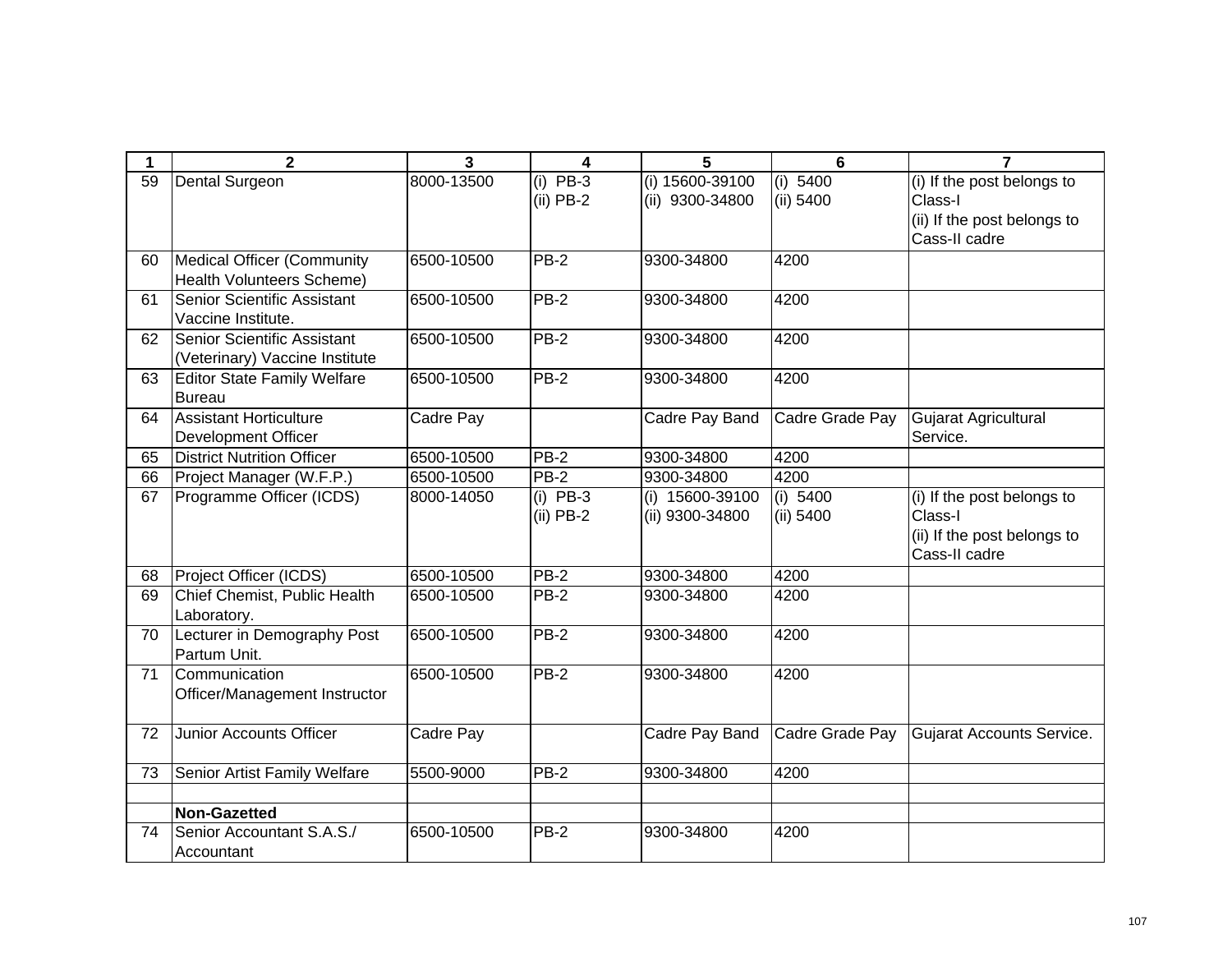| 1  | $\mathbf{2}$                               | 3                        | 4                         | 5                                    | 6                       | $\overline{7}$                               |
|----|--------------------------------------------|--------------------------|---------------------------|--------------------------------------|-------------------------|----------------------------------------------|
| 59 | Dental Surgeon                             | 8000-13500               | $(i)$ PB-3<br>$(ii)$ PB-2 | $(i)$ 15600-39100<br>(ii) 9300-34800 | (i) $5400$<br>(ii) 5400 | (i) If the post belongs to<br>Class-I        |
|    |                                            |                          |                           |                                      |                         | (ii) If the post belongs to                  |
|    |                                            |                          |                           |                                      |                         | Cass-II cadre                                |
| 60 | Medical Officer (Community                 | 6500-10500               | $PB-2$                    | 9300-34800                           | 4200                    |                                              |
|    | <b>Health Volunteers Scheme)</b>           |                          |                           |                                      |                         |                                              |
| 61 | Senior Scientific Assistant                | 6500-10500               | PB-2                      | 9300-34800                           | 4200                    |                                              |
|    | Vaccine Institute.                         |                          |                           |                                      |                         |                                              |
| 62 | Senior Scientific Assistant                | 6500-10500               | $PB-2$                    | 9300-34800                           | 4200                    |                                              |
|    | (Veterinary) Vaccine Institute             |                          |                           |                                      |                         |                                              |
| 63 | <b>Editor State Family Welfare</b>         | 6500-10500               | $PB-2$                    | 9300-34800                           | 4200                    |                                              |
|    | <b>Bureau</b>                              |                          |                           |                                      |                         |                                              |
| 64 | <b>Assistant Horticulture</b>              | Cadre Pay                |                           | Cadre Pay Band                       | Cadre Grade Pay         | Gujarat Agricultural                         |
|    | <b>Development Officer</b>                 |                          |                           |                                      |                         | Service.                                     |
| 65 | <b>District Nutrition Officer</b>          | 6500-10500               | $PB-2$                    | 9300-34800                           | 4200                    |                                              |
| 66 | Project Manager (W.F.P.)                   | 6500-10500               | <b>PB-2</b>               | 9300-34800                           | 4200                    |                                              |
| 67 | Programme Officer (ICDS)                   | 8000-14050               | $(i)$ PB-3                | (i) 15600-39100                      | (i) 5400                | (i) If the post belongs to                   |
|    |                                            |                          | $(ii)$ PB-2               | (ii) 9300-34800                      | (ii) 5400               | Class-I                                      |
|    |                                            |                          |                           |                                      |                         | (ii) If the post belongs to<br>Cass-II cadre |
|    |                                            |                          |                           |                                      |                         |                                              |
| 68 | Project Officer (ICDS)                     | 6500-10500<br>6500-10500 | $PB-2$<br>$PB-2$          | 9300-34800<br>9300-34800             | 4200                    |                                              |
| 69 | Chief Chemist, Public Health               |                          |                           |                                      | 4200                    |                                              |
| 70 | Laboratory.<br>Lecturer in Demography Post | 6500-10500               | $PB-2$                    | 9300-34800                           | 4200                    |                                              |
|    | Partum Unit.                               |                          |                           |                                      |                         |                                              |
| 71 | Communication                              | 6500-10500               | $PB-2$                    | 9300-34800                           | 4200                    |                                              |
|    | Officer/Management Instructor              |                          |                           |                                      |                         |                                              |
|    |                                            |                          |                           |                                      |                         |                                              |
| 72 | <b>Junior Accounts Officer</b>             | Cadre Pay                |                           | Cadre Pay Band                       | Cadre Grade Pay         | Gujarat Accounts Service.                    |
|    |                                            |                          |                           |                                      |                         |                                              |
| 73 | Senior Artist Family Welfare               | 5500-9000                | $PB-2$                    | 9300-34800                           | 4200                    |                                              |
|    |                                            |                          |                           |                                      |                         |                                              |
|    | <b>Non-Gazetted</b>                        |                          |                           |                                      |                         |                                              |
| 74 | Senior Accountant S.A.S./                  | 6500-10500               | PB-2                      | 9300-34800                           | 4200                    |                                              |
|    | Accountant                                 |                          |                           |                                      |                         |                                              |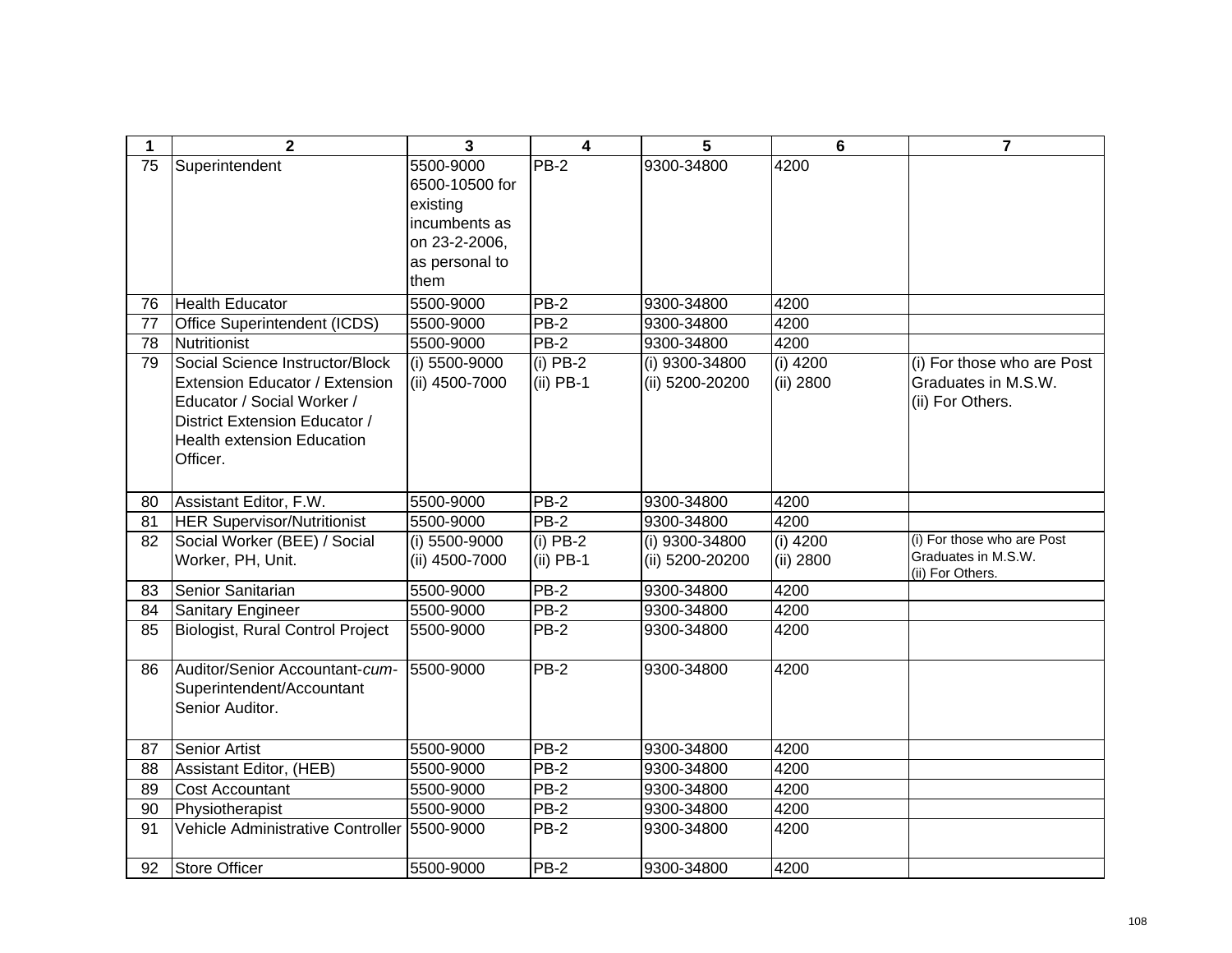| $\mathbf 1$ | $\overline{2}$                              | 3              | $\overline{\mathbf{4}}$ | 5               | $6\phantom{1}6$ | $\overline{7}$                          |
|-------------|---------------------------------------------|----------------|-------------------------|-----------------|-----------------|-----------------------------------------|
| 75          | Superintendent                              | 5500-9000      | $PB-2$                  | 9300-34800      | 4200            |                                         |
|             |                                             | 6500-10500 for |                         |                 |                 |                                         |
|             |                                             | existing       |                         |                 |                 |                                         |
|             |                                             | incumbents as  |                         |                 |                 |                                         |
|             |                                             | on 23-2-2006,  |                         |                 |                 |                                         |
|             |                                             | as personal to |                         |                 |                 |                                         |
|             |                                             | them           |                         |                 |                 |                                         |
| 76          | <b>Health Educator</b>                      | 5500-9000      | <b>PB-2</b>             | 9300-34800      | 4200            |                                         |
| 77          | Office Superintendent (ICDS)                | 5500-9000      | <b>PB-2</b>             | 9300-34800      | 4200            |                                         |
| 78          | Nutritionist                                | 5500-9000      | <b>PB-2</b>             | 9300-34800      | 4200            |                                         |
| 79          | Social Science Instructor/Block             | (i) 5500-9000  | $(i)$ PB-2              | (i) 9300-34800  | $(i)$ 4200      | (i) For those who are Post              |
|             | Extension Educator / Extension              | (ii) 4500-7000 | $(ii)$ PB-1             | (ii) 5200-20200 | (ii) 2800       | Graduates in M.S.W.                     |
|             | Educator / Social Worker /                  |                |                         |                 |                 | (ii) For Others.                        |
|             | District Extension Educator /               |                |                         |                 |                 |                                         |
|             | <b>Health extension Education</b>           |                |                         |                 |                 |                                         |
|             | Officer.                                    |                |                         |                 |                 |                                         |
|             |                                             |                |                         |                 |                 |                                         |
| 80          | Assistant Editor, F.W.                      | 5500-9000      | $PB-2$                  | 9300-34800      | 4200            |                                         |
| 81          | <b>HER Supervisor/Nutritionist</b>          | 5500-9000      | $PB-2$                  | 9300-34800      | 4200            |                                         |
| 82          | Social Worker (BEE) / Social                | (i) 5500-9000  | $(i)$ PB-2              | (i) 9300-34800  | $(i)$ 4200      | (i) For those who are Post              |
|             | Worker, PH, Unit.                           | (ii) 4500-7000 | $(ii)$ PB-1             | (ii) 5200-20200 | (ii) 2800       | Graduates in M.S.W.<br>(ii) For Others. |
| 83          | Senior Sanitarian                           | 5500-9000      | $PB-2$                  | 9300-34800      | 4200            |                                         |
| 84          | Sanitary Engineer                           | 5500-9000      | <b>PB-2</b>             | 9300-34800      | 4200            |                                         |
| 85          | Biologist, Rural Control Project            | 5500-9000      | <b>PB-2</b>             | 9300-34800      | 4200            |                                         |
| 86          | Auditor/Senior Accountant-cum-              | 5500-9000      | $PB-2$                  | 9300-34800      | 4200            |                                         |
|             | Superintendent/Accountant                   |                |                         |                 |                 |                                         |
|             | Senior Auditor.                             |                |                         |                 |                 |                                         |
|             |                                             |                |                         |                 |                 |                                         |
| 87          | <b>Senior Artist</b>                        | 5500-9000      | $PB-2$                  | 9300-34800      | 4200            |                                         |
| 88          | Assistant Editor, (HEB)                     | 5500-9000      | $PB-2$                  | 9300-34800      | 4200            |                                         |
| 89          | <b>Cost Accountant</b>                      | 5500-9000      | $PB-2$                  | 9300-34800      | 4200            |                                         |
| 90          | Physiotherapist                             | 5500-9000      | $PB-2$                  | 9300-34800      | 4200            |                                         |
| 91          | Vehicle Administrative Controller 5500-9000 |                | $PB-2$                  | 9300-34800      | 4200            |                                         |
|             |                                             |                |                         |                 |                 |                                         |
| 92          | Store Officer                               | 5500-9000      | $PB-2$                  | 9300-34800      | 4200            |                                         |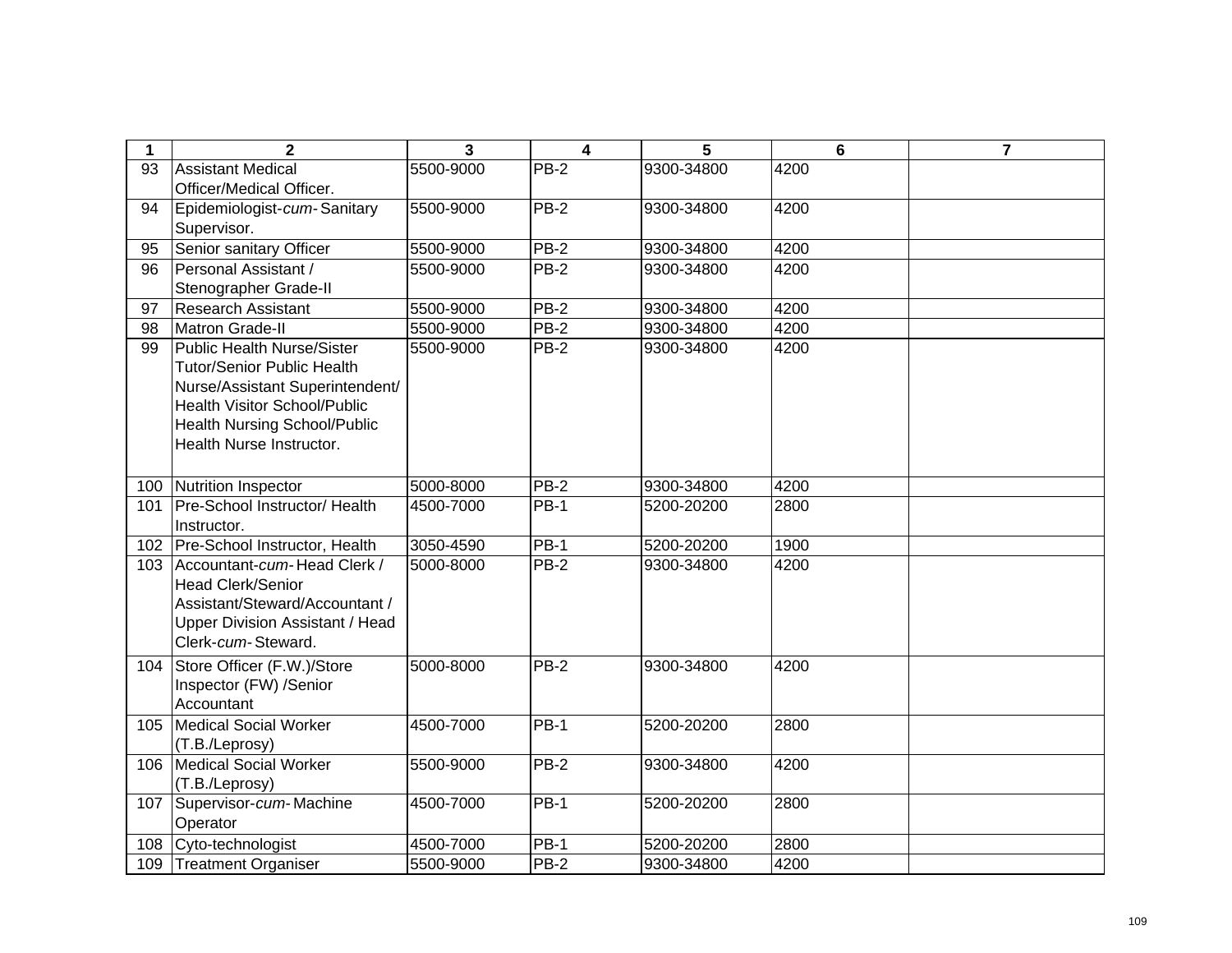| $\mathbf 1$ | $\overline{2}$                                               | 3         | $\overline{\mathbf{4}}$ | 5          | 6    | $\overline{7}$ |
|-------------|--------------------------------------------------------------|-----------|-------------------------|------------|------|----------------|
| 93          | <b>Assistant Medical</b>                                     | 5500-9000 | PB-2                    | 9300-34800 | 4200 |                |
|             | Officer/Medical Officer.                                     |           |                         |            |      |                |
| 94          | Epidemiologist-cum-Sanitary                                  | 5500-9000 | $\overline{PB}$ -2      | 9300-34800 | 4200 |                |
|             | Supervisor.                                                  |           |                         |            |      |                |
| 95          | Senior sanitary Officer                                      | 5500-9000 | PB-2                    | 9300-34800 | 4200 |                |
| 96          | Personal Assistant /                                         | 5500-9000 | $PB-2$                  | 9300-34800 | 4200 |                |
|             | Stenographer Grade-II                                        |           |                         |            |      |                |
| 97          | <b>Research Assistant</b>                                    | 5500-9000 | PB-2                    | 9300-34800 | 4200 |                |
| 98          | Matron Grade-II                                              | 5500-9000 | PB-2                    | 9300-34800 | 4200 |                |
| 99          | <b>Public Health Nurse/Sister</b>                            | 5500-9000 | $PB-2$                  | 9300-34800 | 4200 |                |
|             | <b>Tutor/Senior Public Health</b>                            |           |                         |            |      |                |
|             | Nurse/Assistant Superintendent/                              |           |                         |            |      |                |
|             | Health Visitor School/Public                                 |           |                         |            |      |                |
|             | <b>Health Nursing School/Public</b>                          |           |                         |            |      |                |
|             | Health Nurse Instructor.                                     |           |                         |            |      |                |
|             |                                                              |           |                         |            |      |                |
| 100         | Nutrition Inspector                                          | 5000-8000 | PB-2                    | 9300-34800 | 4200 |                |
| 101         | Pre-School Instructor/ Health                                | 4500-7000 | <b>PB-1</b>             | 5200-20200 | 2800 |                |
|             | Instructor.                                                  |           |                         |            |      |                |
| 102         | Pre-School Instructor, Health                                | 3050-4590 | <b>PB-1</b>             | 5200-20200 | 1900 |                |
| 103         | Accountant-cum-Head Clerk /                                  | 5000-8000 | $PB-2$                  | 9300-34800 | 4200 |                |
|             | <b>Head Clerk/Senior</b>                                     |           |                         |            |      |                |
|             | Assistant/Steward/Accountant /                               |           |                         |            |      |                |
|             | <b>Upper Division Assistant / Head</b><br>Clerk-cum-Steward. |           |                         |            |      |                |
|             |                                                              |           |                         |            |      |                |
| 104         | Store Officer (F.W.)/Store                                   | 5000-8000 | $PB-2$                  | 9300-34800 | 4200 |                |
|             | Inspector (FW) /Senior                                       |           |                         |            |      |                |
|             | Accountant                                                   | 4500-7000 | $PB-1$                  |            |      |                |
| 105         | Medical Social Worker                                        |           |                         | 5200-20200 | 2800 |                |
| 106         | (T.B./Leprosy)<br>Medical Social Worker                      | 5500-9000 | <b>PB-2</b>             | 9300-34800 | 4200 |                |
|             |                                                              |           |                         |            |      |                |
| 107         | (T.B./Leprosy)                                               | 4500-7000 | $PB-1$                  | 5200-20200 | 2800 |                |
|             | Supervisor-cum-Machine<br>Operator                           |           |                         |            |      |                |
|             |                                                              |           | <b>PB-1</b>             |            |      |                |
| 108         | Cyto-technologist                                            | 4500-7000 |                         | 5200-20200 | 2800 |                |
| 109         | Treatment Organiser                                          | 5500-9000 | <b>PB-2</b>             | 9300-34800 | 4200 |                |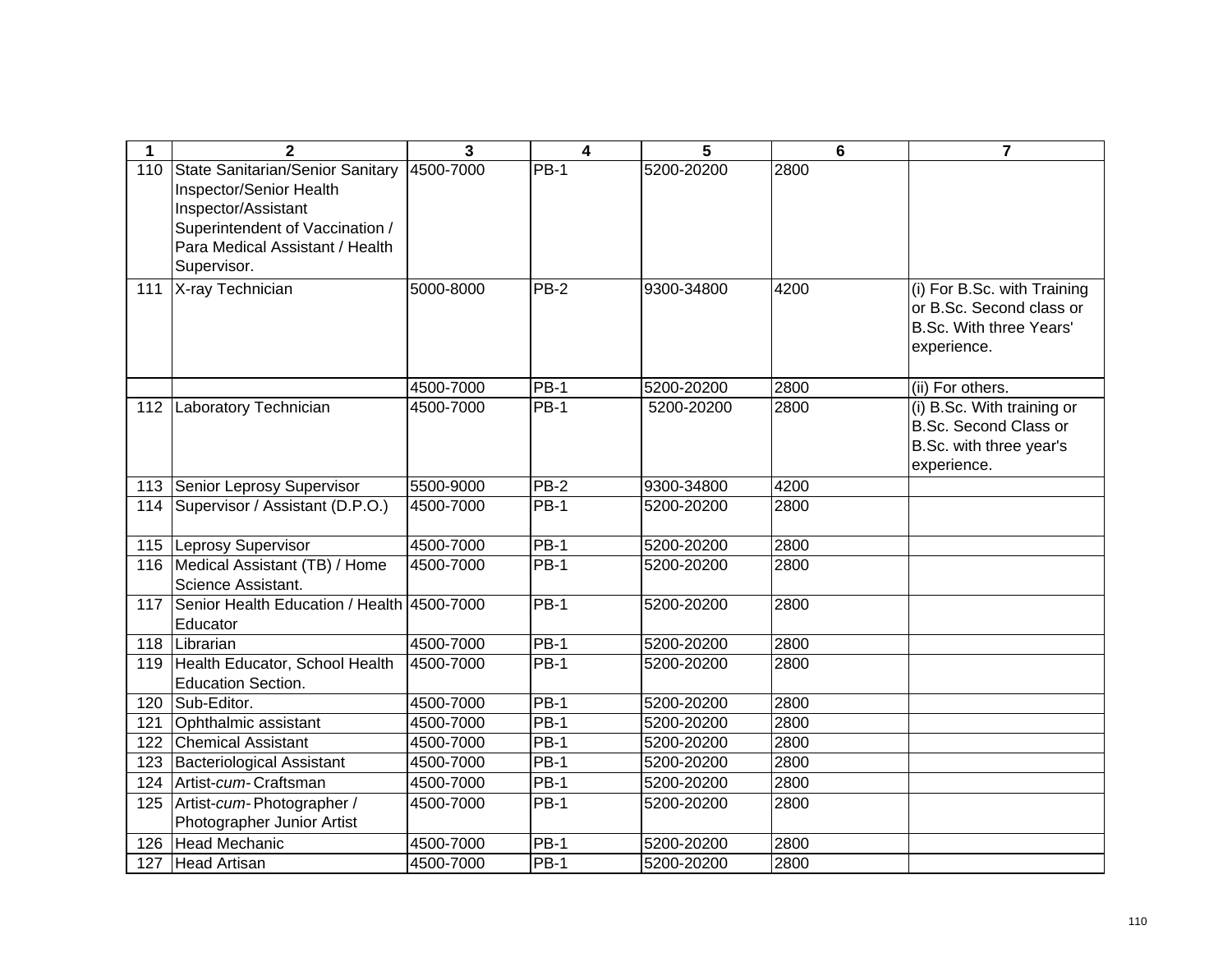| 1   | $\mathbf{2}$                                                                                                                                                            | 3         | 4                 | 5          | $6\phantom{1}$ | $\overline{7}$                                                                                    |
|-----|-------------------------------------------------------------------------------------------------------------------------------------------------------------------------|-----------|-------------------|------------|----------------|---------------------------------------------------------------------------------------------------|
| 110 | State Sanitarian/Senior Sanitary<br>Inspector/Senior Health<br>Inspector/Assistant<br>Superintendent of Vaccination /<br>Para Medical Assistant / Health<br>Supervisor. | 4500-7000 | <b>PB-1</b>       | 5200-20200 | 2800           |                                                                                                   |
| 111 | X-ray Technician                                                                                                                                                        | 5000-8000 | $PB-2$            | 9300-34800 | 4200           | (i) For B.Sc. with Training<br>or B.Sc. Second class or<br>B.Sc. With three Years'<br>experience. |
|     |                                                                                                                                                                         | 4500-7000 | <b>PB-1</b>       | 5200-20200 | 2800           | (ii) For others.                                                                                  |
| 112 | Laboratory Technician                                                                                                                                                   | 4500-7000 | $PB-1$            | 5200-20200 | 2800           | (i) B.Sc. With training or<br>B.Sc. Second Class or<br>B.Sc. with three year's<br>experience.     |
|     | 113 Senior Leprosy Supervisor                                                                                                                                           | 5500-9000 | $PB-2$            | 9300-34800 | 4200           |                                                                                                   |
| 114 | Supervisor / Assistant (D.P.O.)                                                                                                                                         | 4500-7000 | $PB-1$            | 5200-20200 | 2800           |                                                                                                   |
|     | 115  Leprosy Supervisor                                                                                                                                                 | 4500-7000 | <b>PB-1</b>       | 5200-20200 | 2800           |                                                                                                   |
|     | 116   Medical Assistant (TB) / Home<br>Science Assistant.                                                                                                               | 4500-7000 | $PB-1$            | 5200-20200 | 2800           |                                                                                                   |
| 117 | Senior Health Education / Health 4500-7000<br>Educator                                                                                                                  |           | $PB-1$            | 5200-20200 | 2800           |                                                                                                   |
| 118 | Librarian                                                                                                                                                               | 4500-7000 | $PB-1$            | 5200-20200 | 2800           |                                                                                                   |
| 119 | Health Educator, School Health<br>Education Section.                                                                                                                    | 4500-7000 | <b>PB-1</b>       | 5200-20200 | 2800           |                                                                                                   |
| 120 | Sub-Editor.                                                                                                                                                             | 4500-7000 | $PB-1$            | 5200-20200 | 2800           |                                                                                                   |
| 121 | Ophthalmic assistant                                                                                                                                                    | 4500-7000 | $PB-1$            | 5200-20200 | 2800           |                                                                                                   |
| 122 | <b>Chemical Assistant</b>                                                                                                                                               | 4500-7000 | $\overline{PB}-1$ | 5200-20200 | 2800           |                                                                                                   |
| 123 | <b>Bacteriological Assistant</b>                                                                                                                                        | 4500-7000 | $PB-1$            | 5200-20200 | 2800           |                                                                                                   |
| 124 | Artist-cum-Craftsman                                                                                                                                                    | 4500-7000 | $PB-1$            | 5200-20200 | 2800           |                                                                                                   |
| 125 | Artist-cum-Photographer /<br>Photographer Junior Artist                                                                                                                 | 4500-7000 | <b>PB-1</b>       | 5200-20200 | 2800           |                                                                                                   |
| 126 | Head Mechanic                                                                                                                                                           | 4500-7000 | $PB-1$            | 5200-20200 | 2800           |                                                                                                   |
|     | 127 Head Artisan                                                                                                                                                        | 4500-7000 | $PB-1$            | 5200-20200 | 2800           |                                                                                                   |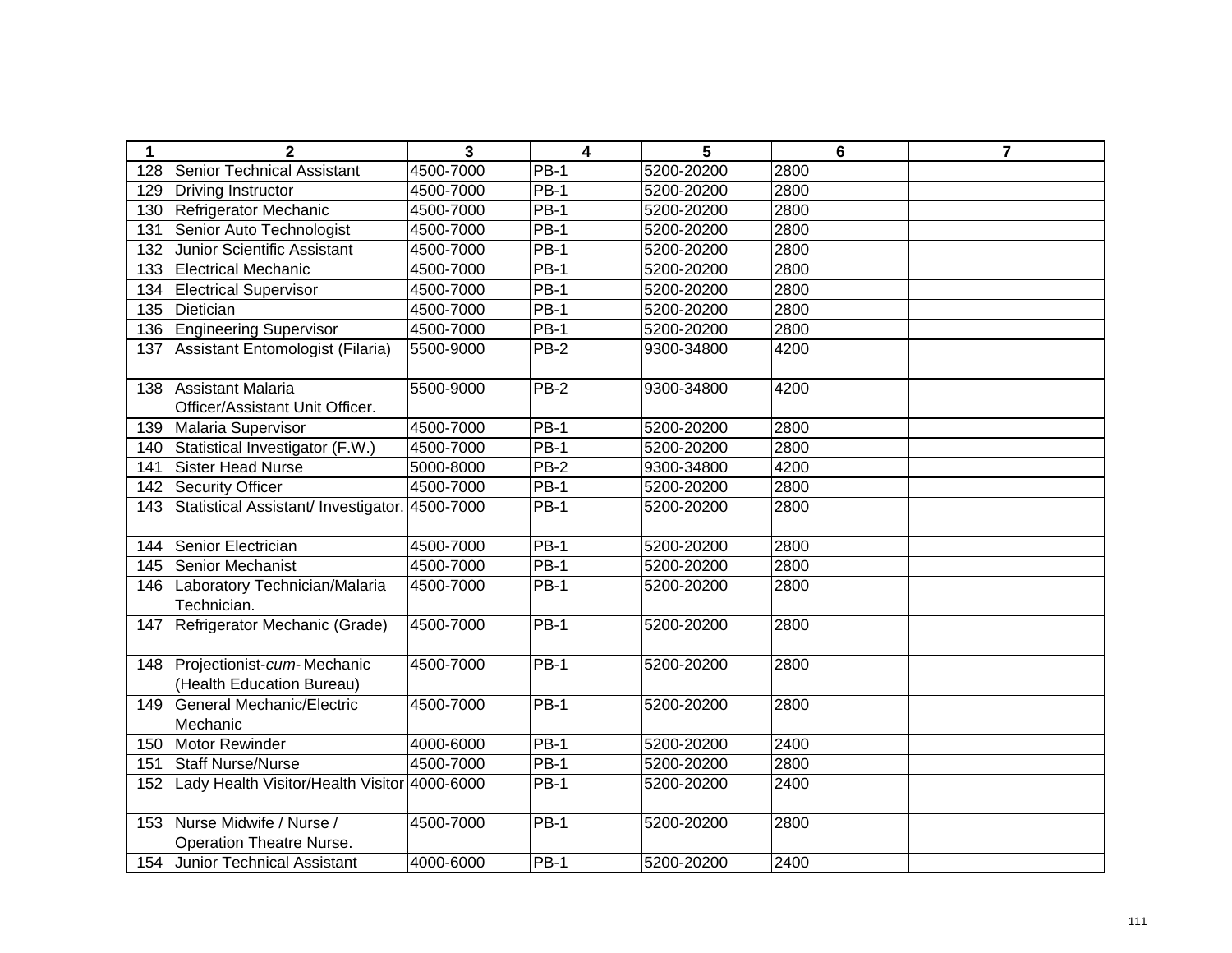| 1   | $\mathbf{2}$                                                   | 3         | $\overline{\mathbf{4}}$ | 5          | $6\phantom{1}$ | $\overline{7}$ |
|-----|----------------------------------------------------------------|-----------|-------------------------|------------|----------------|----------------|
| 128 | <b>Senior Technical Assistant</b>                              | 4500-7000 | $PB-1$                  | 5200-20200 | 2800           |                |
| 129 | Driving Instructor                                             | 4500-7000 | <b>PB-1</b>             | 5200-20200 | 2800           |                |
| 130 | Refrigerator Mechanic                                          | 4500-7000 | $PB-1$                  | 5200-20200 | 2800           |                |
| 131 | Senior Auto Technologist                                       | 4500-7000 | $PB-1$                  | 5200-20200 | 2800           |                |
| 132 | Junior Scientific Assistant                                    | 4500-7000 | $PB-1$                  | 5200-20200 | 2800           |                |
| 133 | <b>Electrical Mechanic</b>                                     | 4500-7000 | <b>PB-1</b>             | 5200-20200 | 2800           |                |
| 134 | <b>Electrical Supervisor</b>                                   | 4500-7000 | $PB-1$                  | 5200-20200 | 2800           |                |
| 135 | Dietician                                                      | 4500-7000 | $PB-1$                  | 5200-20200 | 2800           |                |
| 136 | <b>Engineering Supervisor</b>                                  | 4500-7000 | $PB-1$                  | 5200-20200 | 2800           |                |
| 137 | Assistant Entomologist (Filaria)                               | 5500-9000 | $PB-2$                  | 9300-34800 | 4200           |                |
| 138 | <b>Assistant Malaria</b><br>Officer/Assistant Unit Officer.    | 5500-9000 | $PB-2$                  | 9300-34800 | 4200           |                |
| 139 | Malaria Supervisor                                             | 4500-7000 | <b>PB-1</b>             | 5200-20200 | 2800           |                |
| 140 | Statistical Investigator (F.W.)                                | 4500-7000 | $PB-1$                  | 5200-20200 | 2800           |                |
| 141 | <b>Sister Head Nurse</b>                                       | 5000-8000 | $PB-2$                  | 9300-34800 | 4200           |                |
| 142 | <b>Security Officer</b>                                        | 4500-7000 | $PB-1$                  | 5200-20200 | 2800           |                |
| 143 | Statistical Assistant/ Investigator.                           | 4500-7000 | $PB-1$                  | 5200-20200 | 2800           |                |
| 144 | Senior Electrician                                             | 4500-7000 | $PB-1$                  | 5200-20200 | 2800           |                |
| 145 | Senior Mechanist                                               | 4500-7000 | $PB-1$                  | 5200-20200 | 2800           |                |
| 146 | Laboratory Technician/Malaria<br>Technician.                   | 4500-7000 | $PB-1$                  | 5200-20200 | 2800           |                |
| 147 | Refrigerator Mechanic (Grade)                                  | 4500-7000 | $PB-1$                  | 5200-20200 | 2800           |                |
| 148 | Projectionist-cum-Mechanic<br>(Health Education Bureau)        | 4500-7000 | $PB-1$                  | 5200-20200 | 2800           |                |
| 149 | General Mechanic/Electric<br>Mechanic                          | 4500-7000 | $PB-1$                  | 5200-20200 | 2800           |                |
| 150 | Motor Rewinder                                                 | 4000-6000 | $PB-1$                  | 5200-20200 | 2400           |                |
| 151 | <b>Staff Nurse/Nurse</b>                                       | 4500-7000 | $PB-1$                  | 5200-20200 | 2800           |                |
| 152 | Lady Health Visitor/Health Visitor 4000-6000                   |           | $PB-1$                  | 5200-20200 | 2400           |                |
|     | 153 Nurse Midwife / Nurse /<br><b>Operation Theatre Nurse.</b> | 4500-7000 | $PB-1$                  | 5200-20200 | 2800           |                |
|     | 154 Junior Technical Assistant                                 | 4000-6000 | $PB-1$                  | 5200-20200 | 2400           |                |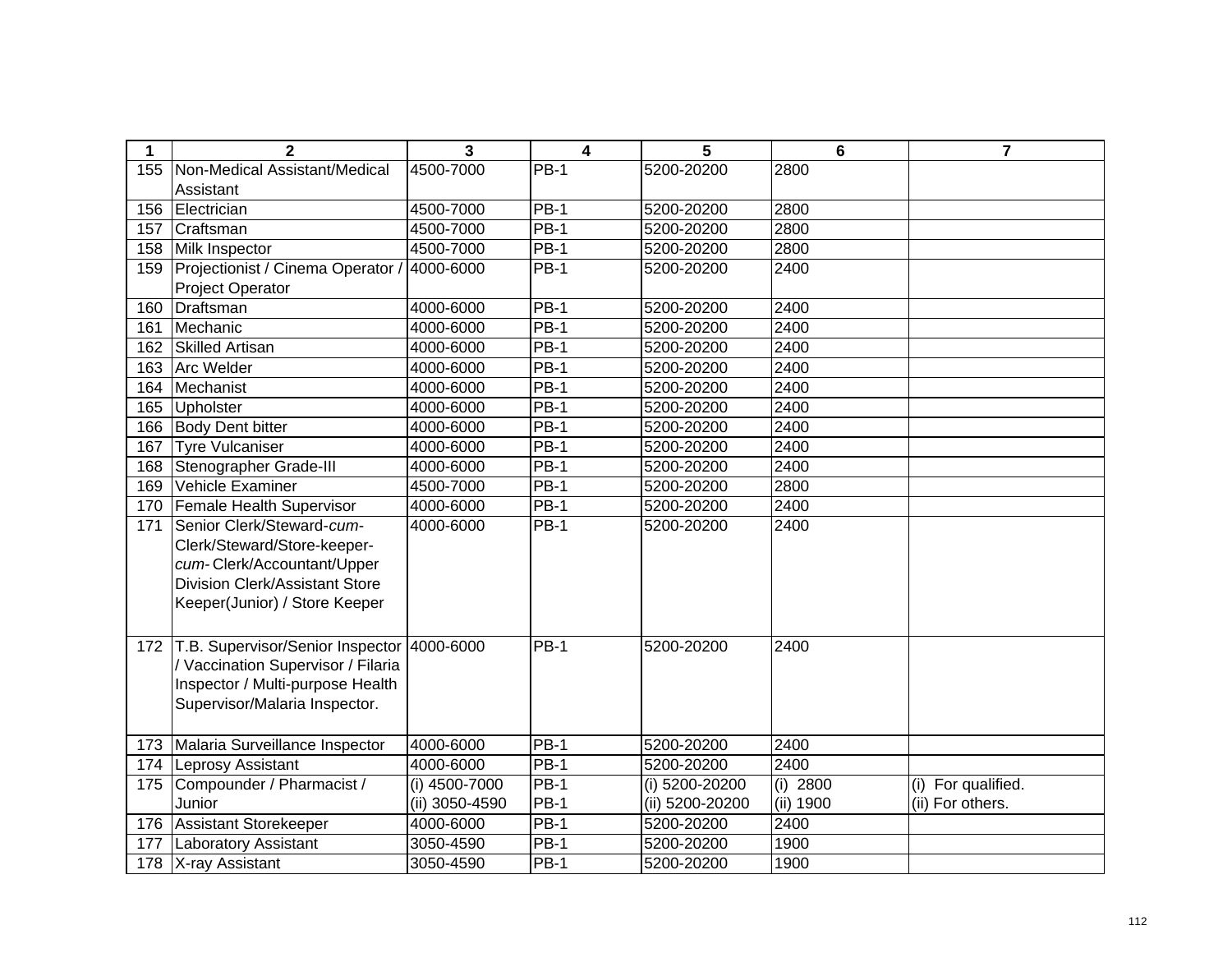| $\mathbf 1$ | $\overline{2}$                        | 3              | 4                 | 5               | 6          | $\overline{7}$     |
|-------------|---------------------------------------|----------------|-------------------|-----------------|------------|--------------------|
| 155         | Non-Medical Assistant/Medical         | 4500-7000      | $PB-1$            | 5200-20200      | 2800       |                    |
|             | Assistant                             |                |                   |                 |            |                    |
| 156         | Electrician                           | 4500-7000      | <b>PB-1</b>       | 5200-20200      | 2800       |                    |
| 157         | Craftsman                             | 4500-7000      | $PB-1$            | 5200-20200      | 2800       |                    |
| 158         | Milk Inspector                        | 4500-7000      | <b>PB-1</b>       | 5200-20200      | 2800       |                    |
| 159         | Projectionist / Cinema Operator       | 4000-6000      | <b>PB-1</b>       | 5200-20200      | 2400       |                    |
|             | <b>Project Operator</b>               |                |                   |                 |            |                    |
| 160         | Draftsman                             | 4000-6000      | <b>PB-1</b>       | 5200-20200      | 2400       |                    |
| 161         | Mechanic                              | 4000-6000      | <b>PB-1</b>       | 5200-20200      | 2400       |                    |
| 162         | <b>Skilled Artisan</b>                | 4000-6000      | $PB-1$            | 5200-20200      | 2400       |                    |
| 163         | <b>Arc Welder</b>                     | 4000-6000      | <b>PB-1</b>       | 5200-20200      | 2400       |                    |
| 164         | Mechanist                             | 4000-6000      | $PB-1$            | 5200-20200      | 2400       |                    |
| 165         | Upholster                             | 4000-6000      | <b>PB-1</b>       | 5200-20200      | 2400       |                    |
| 166         | <b>Body Dent bitter</b>               | 4000-6000      | <b>PB-1</b>       | 5200-20200      | 2400       |                    |
| 167         | Tyre Vulcaniser                       | 4000-6000      | $PB-1$            | 5200-20200      | 2400       |                    |
| 168         | Stenographer Grade-III                | 4000-6000      | <b>PB-1</b>       | 5200-20200      | 2400       |                    |
| 169         | Vehicle Examiner                      | 4500-7000      | <b>PB-1</b>       | 5200-20200      | 2800       |                    |
| 170         | Female Health Supervisor              | 4000-6000      | $PB-1$            | 5200-20200      | 2400       |                    |
| 171         | Senior Clerk/Steward-cum-             | 4000-6000      | <b>PB-1</b>       | 5200-20200      | 2400       |                    |
|             | Clerk/Steward/Store-keeper-           |                |                   |                 |            |                    |
|             | cum-Clerk/Accountant/Upper            |                |                   |                 |            |                    |
|             | <b>Division Clerk/Assistant Store</b> |                |                   |                 |            |                    |
|             | Keeper(Junior) / Store Keeper         |                |                   |                 |            |                    |
|             |                                       |                |                   |                 |            |                    |
| 172         | T.B. Supervisor/Senior Inspector      | 4000-6000      | $\overline{PB}-1$ | 5200-20200      | 2400       |                    |
|             | / Vaccination Supervisor / Filaria    |                |                   |                 |            |                    |
|             | Inspector / Multi-purpose Health      |                |                   |                 |            |                    |
|             | Supervisor/Malaria Inspector.         |                |                   |                 |            |                    |
|             |                                       |                |                   |                 |            |                    |
| 173         | Malaria Surveillance Inspector        | 4000-6000      | $PB-1$            | 5200-20200      | 2400       |                    |
| 174         | <b>Leprosy Assistant</b>              | 4000-6000      | $PB-1$            | 5200-20200      | 2400       |                    |
| 175         | Compounder / Pharmacist /             | (i) 4500-7000  | $PB-1$            | (i) 5200-20200  | $(i)$ 2800 | (i) For qualified. |
|             | Junior                                | (ii) 3050-4590 | <b>PB-1</b>       | (ii) 5200-20200 | (ii) 1900  | (ii) For others.   |
| 176         | <b>Assistant Storekeeper</b>          | 4000-6000      | $PB-1$            | 5200-20200      | 2400       |                    |
| 177         | <b>Laboratory Assistant</b>           | 3050-4590      | $PB-1$            | 5200-20200      | 1900       |                    |
|             | 178   X-ray Assistant                 | 3050-4590      | <b>PB-1</b>       | 5200-20200      | 1900       |                    |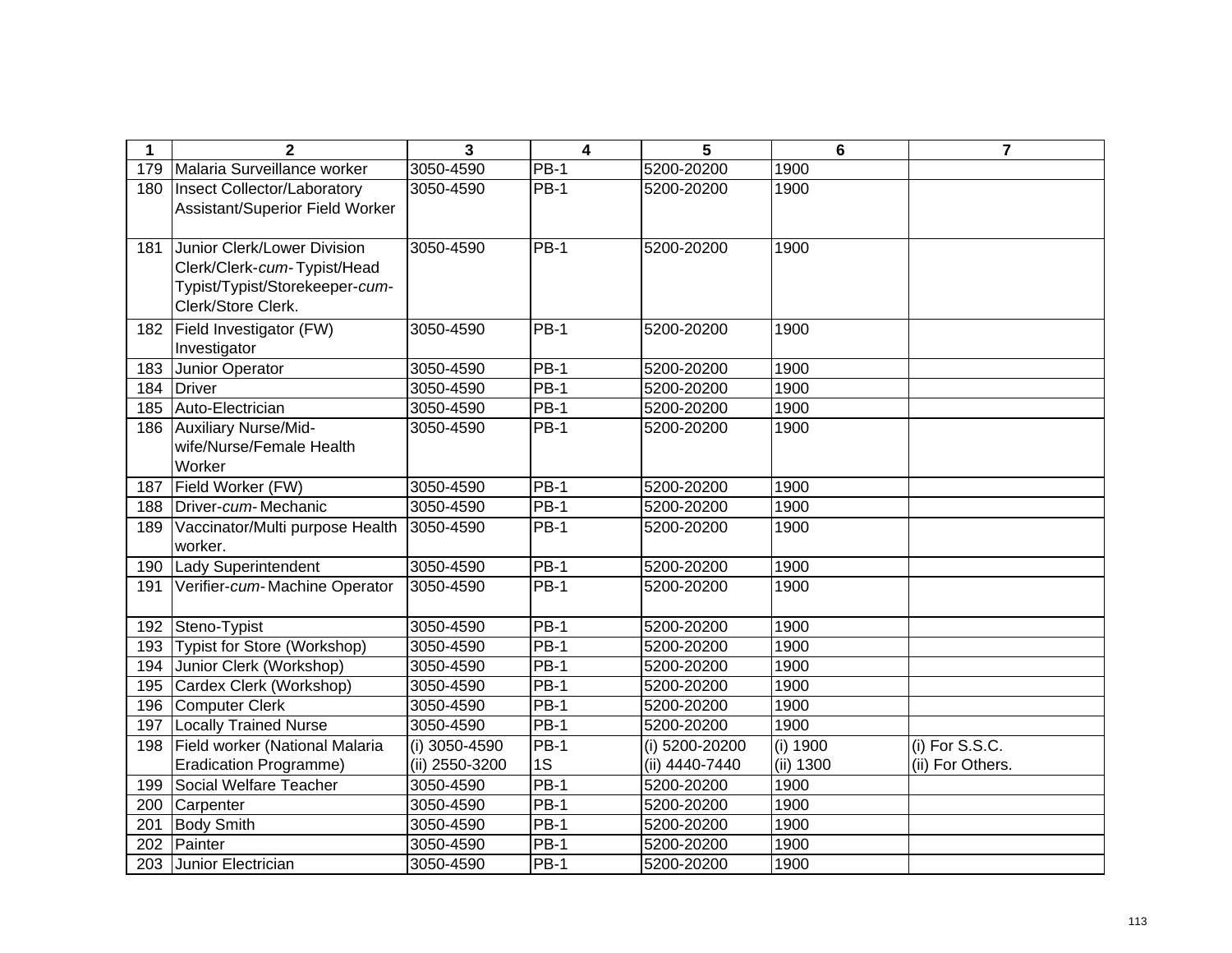| 1   | $\mathbf{2}$                                                                                                       | 3              | $\overline{\mathbf{4}}$ | 5              | $6\phantom{1}$ | $\overline{7}$   |
|-----|--------------------------------------------------------------------------------------------------------------------|----------------|-------------------------|----------------|----------------|------------------|
| 179 | Malaria Surveillance worker                                                                                        | 3050-4590      | <b>PB-1</b>             | 5200-20200     | 1900           |                  |
| 180 | <b>Insect Collector/Laboratory</b><br>Assistant/Superior Field Worker                                              | 3050-4590      | $PB-1$                  | 5200-20200     | 1900           |                  |
| 181 | Junior Clerk/Lower Division<br>Clerk/Clerk-cum-Typist/Head<br>Typist/Typist/Storekeeper-cum-<br>Clerk/Store Clerk. | 3050-4590      | $PB-1$                  | 5200-20200     | 1900           |                  |
| 182 | Field Investigator (FW)<br>Investigator                                                                            | 3050-4590      | $PB-1$                  | 5200-20200     | 1900           |                  |
| 183 | Junior Operator                                                                                                    | 3050-4590      | <b>PB-1</b>             | 5200-20200     | 1900           |                  |
| 184 | Driver                                                                                                             | 3050-4590      | $PB-1$                  | 5200-20200     | 1900           |                  |
| 185 | Auto-Electrician                                                                                                   | 3050-4590      | $PB-1$                  | 5200-20200     | 1900           |                  |
| 186 | Auxiliary Nurse/Mid-<br>wife/Nurse/Female Health<br>Worker                                                         | 3050-4590      | <b>PB-1</b>             | 5200-20200     | 1900           |                  |
| 187 | Field Worker (FW)                                                                                                  | 3050-4590      | $PB-1$                  | 5200-20200     | 1900           |                  |
| 188 | Driver-cum-Mechanic                                                                                                | 3050-4590      | $PB-1$                  | 5200-20200     | 1900           |                  |
| 189 | Vaccinator/Multi purpose Health<br>worker.                                                                         | 3050-4590      | <b>PB-1</b>             | 5200-20200     | 1900           |                  |
| 190 | <b>Lady Superintendent</b>                                                                                         | 3050-4590      | $PB-1$                  | 5200-20200     | 1900           |                  |
| 191 | Verifier-cum-Machine Operator                                                                                      | 3050-4590      | <b>PB-1</b>             | 5200-20200     | 1900           |                  |
| 192 | Steno-Typist                                                                                                       | 3050-4590      | $PB-1$                  | 5200-20200     | 1900           |                  |
| 193 | Typist for Store (Workshop)                                                                                        | 3050-4590      | $PB-1$                  | 5200-20200     | 1900           |                  |
| 194 | Junior Clerk (Workshop)                                                                                            | 3050-4590      | $PB-1$                  | 5200-20200     | 1900           |                  |
| 195 | Cardex Clerk (Workshop)                                                                                            | 3050-4590      | <b>PB-1</b>             | 5200-20200     | 1900           |                  |
| 196 | <b>Computer Clerk</b>                                                                                              | 3050-4590      | <b>PB-1</b>             | 5200-20200     | 1900           |                  |
| 197 | <b>Locally Trained Nurse</b>                                                                                       | 3050-4590      | $PB-1$                  | 5200-20200     | 1900           |                  |
| 198 | Field worker (National Malaria                                                                                     | (i) 3050-4590  | $PB-1$                  | (i) 5200-20200 | (i) 1900       | $(i)$ For S.S.C. |
|     | <b>Eradication Programme)</b>                                                                                      | (ii) 2550-3200 | 1S                      | (ii) 4440-7440 | (ii) 1300      | (ii) For Others. |
| 199 | Social Welfare Teacher                                                                                             | 3050-4590      | $PB-1$                  | 5200-20200     | 1900           |                  |
| 200 | Carpenter                                                                                                          | 3050-4590      | $PB-1$                  | 5200-20200     | 1900           |                  |
| 201 | <b>Body Smith</b>                                                                                                  | 3050-4590      | $PB-1$                  | 5200-20200     | 1900           |                  |
| 202 | Painter                                                                                                            | 3050-4590      | <b>PB-1</b>             | 5200-20200     | 1900           |                  |
| 203 | Junior Electrician                                                                                                 | 3050-4590      | <b>PB-1</b>             | 5200-20200     | 1900           |                  |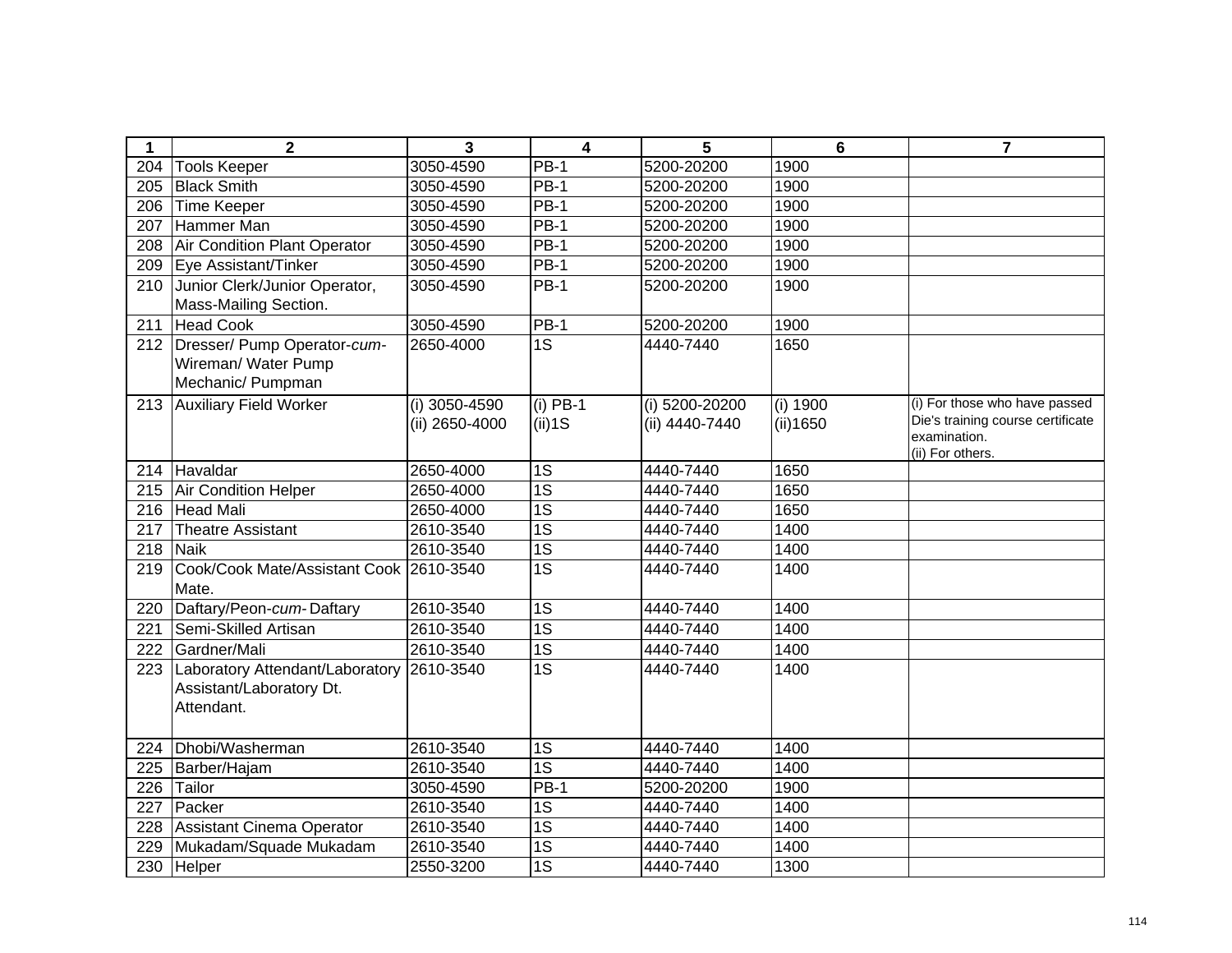| $\mathbf 1$ | $\mathbf{2}$                    | 3              | 4               | 5              | 6        | $\overline{7}$                                    |
|-------------|---------------------------------|----------------|-----------------|----------------|----------|---------------------------------------------------|
| 204         | <b>Tools Keeper</b>             | 3050-4590      | PB-1            | 5200-20200     | 1900     |                                                   |
| 205         | <b>Black Smith</b>              | 3050-4590      | PB-1            | 5200-20200     | 1900     |                                                   |
| 206         | Time Keeper                     | 3050-4590      | <b>PB-1</b>     | 5200-20200     | 1900     |                                                   |
| 207         | Hammer Man                      | 3050-4590      | <b>PB-1</b>     | 5200-20200     | 1900     |                                                   |
| 208         | Air Condition Plant Operator    | 3050-4590      | $PB-1$          | 5200-20200     | 1900     |                                                   |
| 209         | Eye Assistant/Tinker            | 3050-4590      | $PB-1$          | 5200-20200     | 1900     |                                                   |
| 210         | Junior Clerk/Junior Operator,   | 3050-4590      | <b>PB-1</b>     | 5200-20200     | 1900     |                                                   |
|             | Mass-Mailing Section.           |                |                 |                |          |                                                   |
| 211         | <b>Head Cook</b>                | 3050-4590      | $PB-1$          | 5200-20200     | 1900     |                                                   |
|             | 212 Dresser/ Pump Operator-cum- | 2650-4000      | 1S              | 4440-7440      | 1650     |                                                   |
|             | Wireman/ Water Pump             |                |                 |                |          |                                                   |
|             | Mechanic/ Pumpman               |                |                 |                |          |                                                   |
| 213         | <b>Auxiliary Field Worker</b>   | (i) 3050-4590  | $(i)$ PB-1      | (i) 5200-20200 | (i) 1900 | (i) For those who have passed                     |
|             |                                 | (ii) 2650-4000 | $(ii)$ 1S       | (ii) 4440-7440 | (ii)1650 | Die's training course certificate<br>examination. |
|             |                                 |                |                 |                |          | (ii) For others.                                  |
| 214         | Havaldar                        | 2650-4000      | $\overline{1S}$ | 4440-7440      | 1650     |                                                   |
| 215         | <b>Air Condition Helper</b>     | 2650-4000      | $\overline{1S}$ | 4440-7440      | 1650     |                                                   |
| 216         | <b>Head Mali</b>                | 2650-4000      | $\overline{1S}$ | 4440-7440      | 1650     |                                                   |
| 217         | Theatre Assistant               | 2610-3540      | $\overline{1S}$ | 4440-7440      | 1400     |                                                   |
| 218         | <b>Naik</b>                     | 2610-3540      | $\overline{1S}$ | 4440-7440      | 1400     |                                                   |
| 219         | Cook/Cook Mate/Assistant Cook   | 2610-3540      | $\overline{1S}$ | 4440-7440      | 1400     |                                                   |
|             | Mate.                           |                |                 |                |          |                                                   |
| 220         | Daftary/Peon-cum-Daftary        | 2610-3540      | 1S              | 4440-7440      | 1400     |                                                   |
| 221         | Semi-Skilled Artisan            | 2610-3540      | $\overline{1S}$ | 4440-7440      | 1400     |                                                   |
| 222         | Gardner/Mali                    | 2610-3540      | $\overline{1S}$ | 4440-7440      | 1400     |                                                   |
| 223         | Laboratory Attendant/Laboratory | 2610-3540      | $\overline{1S}$ | 4440-7440      | 1400     |                                                   |
|             | Assistant/Laboratory Dt.        |                |                 |                |          |                                                   |
|             | Attendant.                      |                |                 |                |          |                                                   |
|             |                                 |                |                 |                |          |                                                   |
| 224         | Dhobi/Washerman                 | 2610-3540      | $\overline{1S}$ | 4440-7440      | 1400     |                                                   |
| 225         | Barber/Hajam                    | 2610-3540      | 1S              | 4440-7440      | 1400     |                                                   |
| 226         | Tailor                          | 3050-4590      | <b>PB-1</b>     | 5200-20200     | 1900     |                                                   |
| 227         | Packer                          | 2610-3540      | 1S              | 4440-7440      | 1400     |                                                   |
| 228         | Assistant Cinema Operator       | 2610-3540      | 1S              | 4440-7440      | 1400     |                                                   |
| 229         | Mukadam/Squade Mukadam          | 2610-3540      | 1S              | 4440-7440      | 1400     |                                                   |
| 230         | Helper                          | 2550-3200      | $\overline{1S}$ | 4440-7440      | 1300     |                                                   |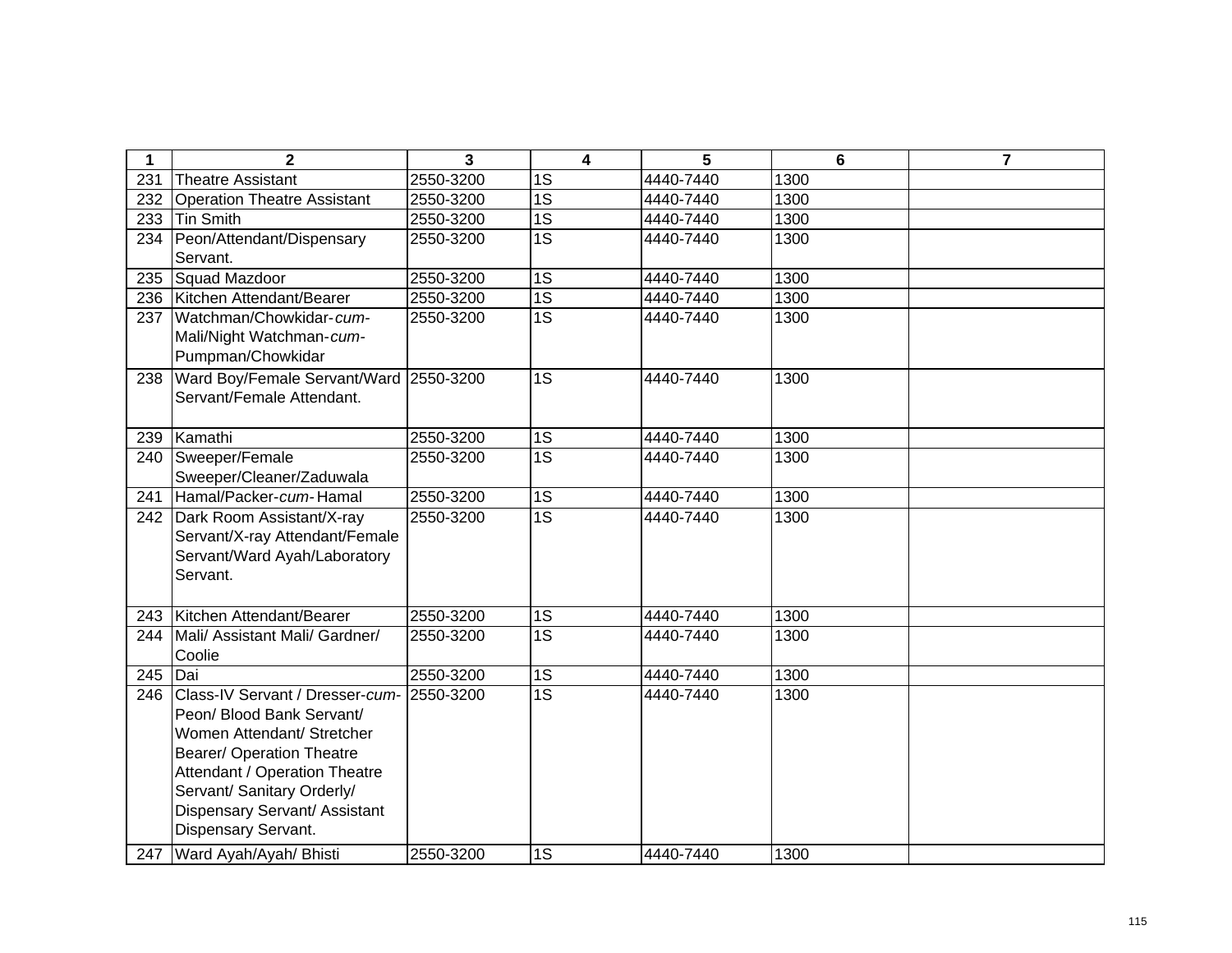| 1   | $\mathbf{2}$                                                                                                                                                                                                                                          | 3         | 4               | 5         | $6\phantom{1}6$ | $\overline{7}$ |
|-----|-------------------------------------------------------------------------------------------------------------------------------------------------------------------------------------------------------------------------------------------------------|-----------|-----------------|-----------|-----------------|----------------|
| 231 | <b>Theatre Assistant</b>                                                                                                                                                                                                                              | 2550-3200 | 1S              | 4440-7440 | 1300            |                |
| 232 | <b>Operation Theatre Assistant</b>                                                                                                                                                                                                                    | 2550-3200 | 1S              | 4440-7440 | 1300            |                |
| 233 | Tin Smith                                                                                                                                                                                                                                             | 2550-3200 | 1S              | 4440-7440 | 1300            |                |
| 234 | Peon/Attendant/Dispensary<br>Servant.                                                                                                                                                                                                                 | 2550-3200 | 1S              | 4440-7440 | 1300            |                |
| 235 | Squad Mazdoor                                                                                                                                                                                                                                         | 2550-3200 | 1S              | 4440-7440 | 1300            |                |
| 236 | Kitchen Attendant/Bearer                                                                                                                                                                                                                              | 2550-3200 | 1S              | 4440-7440 | 1300            |                |
| 237 | Watchman/Chowkidar-cum-<br>Mali/Night Watchman-cum-<br>Pumpman/Chowkidar                                                                                                                                                                              | 2550-3200 | 1S              | 4440-7440 | 1300            |                |
| 238 | Ward Boy/Female Servant/Ward<br>Servant/Female Attendant.                                                                                                                                                                                             | 2550-3200 | 1S              | 4440-7440 | 1300            |                |
| 239 | Kamathi                                                                                                                                                                                                                                               | 2550-3200 | 1S              | 4440-7440 | 1300            |                |
| 240 | Sweeper/Female<br>Sweeper/Cleaner/Zaduwala                                                                                                                                                                                                            | 2550-3200 | 1S              | 4440-7440 | 1300            |                |
| 241 | Hamal/Packer-cum-Hamal                                                                                                                                                                                                                                | 2550-3200 | 1S              | 4440-7440 | 1300            |                |
| 242 | Dark Room Assistant/X-ray<br>Servant/X-ray Attendant/Female<br>Servant/Ward Ayah/Laboratory<br>Servant.                                                                                                                                               | 2550-3200 | 1S              | 4440-7440 | 1300            |                |
| 243 | Kitchen Attendant/Bearer                                                                                                                                                                                                                              | 2550-3200 | 1S              | 4440-7440 | 1300            |                |
| 244 | Mali/ Assistant Mali/ Gardner/<br>Coolie                                                                                                                                                                                                              | 2550-3200 | 1S              | 4440-7440 | 1300            |                |
| 245 | Dai                                                                                                                                                                                                                                                   | 2550-3200 | 1S              | 4440-7440 | 1300            |                |
| 246 | Class-IV Servant / Dresser-cum-<br>Peon/ Blood Bank Servant/<br>Women Attendant/ Stretcher<br><b>Bearer/ Operation Theatre</b><br>Attendant / Operation Theatre<br>Servant/ Sanitary Orderly/<br>Dispensary Servant/ Assistant<br>Dispensary Servant. | 2550-3200 | $\overline{1S}$ | 4440-7440 | 1300            |                |
|     | 247 Ward Ayah/Ayah/ Bhisti                                                                                                                                                                                                                            | 2550-3200 | 1S              | 4440-7440 | 1300            |                |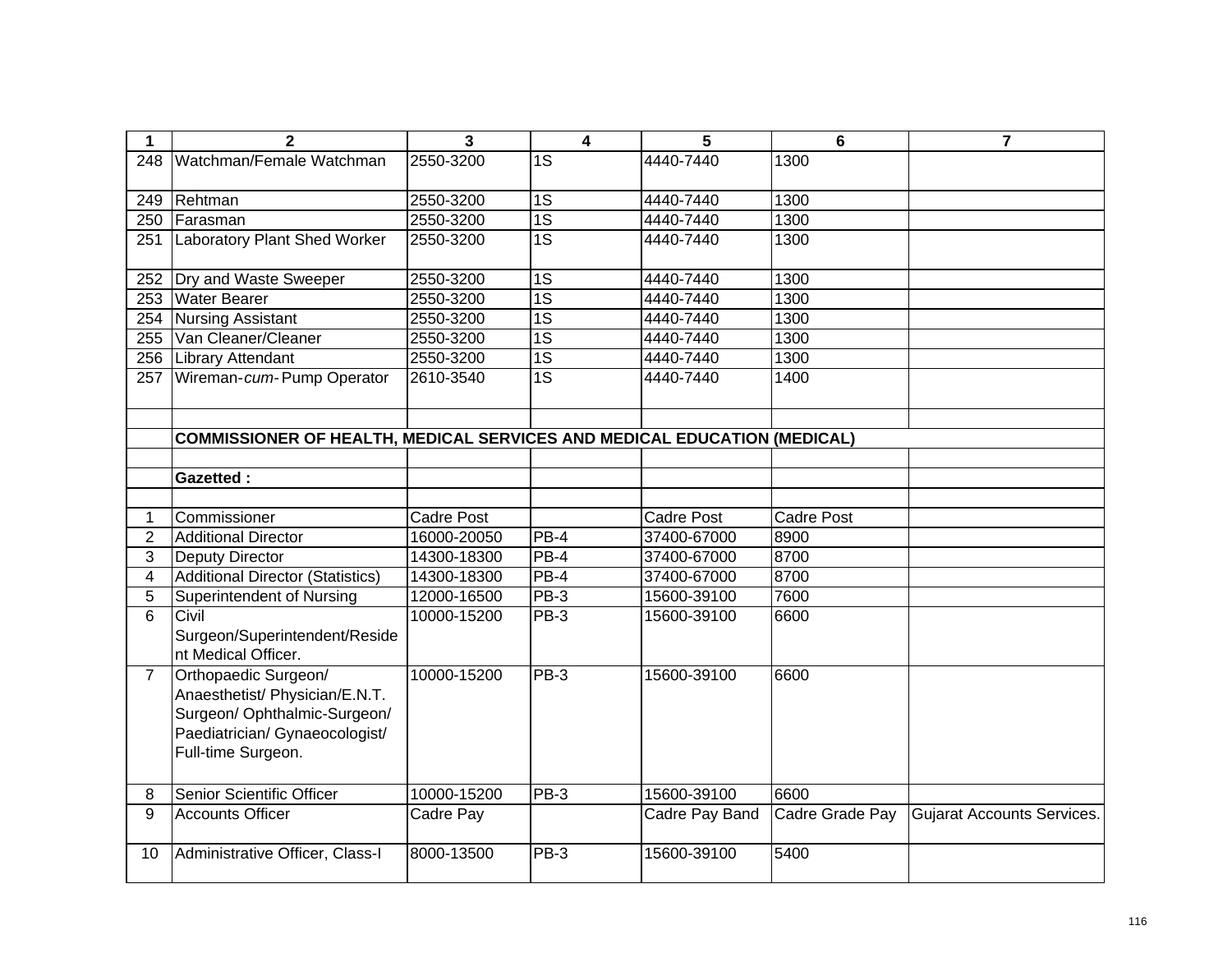| 1              | 2                                                                                                                                              | 3                 | $\overline{4}$  | 5                 | 6                 | $\overline{7}$                    |
|----------------|------------------------------------------------------------------------------------------------------------------------------------------------|-------------------|-----------------|-------------------|-------------------|-----------------------------------|
| 248            | Watchman/Female Watchman                                                                                                                       | 2550-3200         | 1S              | 4440-7440         | 1300              |                                   |
| 249            | Rehtman                                                                                                                                        | 2550-3200         | $\overline{1S}$ | 4440-7440         | 1300              |                                   |
| 250            | Farasman                                                                                                                                       | 2550-3200         | $\overline{1S}$ | 4440-7440         | 1300              |                                   |
| 251            | Laboratory Plant Shed Worker                                                                                                                   | 2550-3200         | $\overline{1S}$ | 4440-7440         | 1300              |                                   |
| 252            | Dry and Waste Sweeper                                                                                                                          | 2550-3200         | $\overline{1S}$ | 4440-7440         | 1300              |                                   |
| 253            | <b>Water Bearer</b>                                                                                                                            | 2550-3200         | $\overline{1S}$ | 4440-7440         | 1300              |                                   |
| 254            | <b>Nursing Assistant</b>                                                                                                                       | 2550-3200         | $\overline{1S}$ | 4440-7440         | 1300              |                                   |
| 255            | Van Cleaner/Cleaner                                                                                                                            | 2550-3200         | $\overline{1S}$ | 4440-7440         | 1300              |                                   |
| 256            | <b>Library Attendant</b>                                                                                                                       | 2550-3200         | 1S              | 4440-7440         | 1300              |                                   |
| 257            | Wireman-cum-Pump Operator                                                                                                                      | 2610-3540         | $\overline{1S}$ | 4440-7440         | 1400              |                                   |
|                |                                                                                                                                                |                   |                 |                   |                   |                                   |
|                | <b>COMMISSIONER OF HEALTH, MEDICAL SERVICES AND MEDICAL EDUCATION (MEDICAL)</b>                                                                |                   |                 |                   |                   |                                   |
|                |                                                                                                                                                |                   |                 |                   |                   |                                   |
|                | <b>Gazetted:</b>                                                                                                                               |                   |                 |                   |                   |                                   |
|                |                                                                                                                                                |                   |                 |                   |                   |                                   |
| $\mathbf 1$    | Commissioner                                                                                                                                   | <b>Cadre Post</b> |                 | <b>Cadre Post</b> | <b>Cadre Post</b> |                                   |
| $\overline{2}$ | <b>Additional Director</b>                                                                                                                     | 16000-20050       | PB-4            | 37400-67000       | 8900              |                                   |
| 3              | Deputy Director                                                                                                                                | 14300-18300       | $PB-4$          | 37400-67000       | 8700              |                                   |
| $\overline{4}$ | <b>Additional Director (Statistics)</b>                                                                                                        | 14300-18300       | $PB-4$          | 37400-67000       | 8700              |                                   |
| 5              | Superintendent of Nursing                                                                                                                      | 12000-16500       | PB-3            | 15600-39100       | 7600              |                                   |
| $\overline{6}$ | Civil<br>Surgeon/Superintendent/Reside<br>nt Medical Officer.                                                                                  | 10000-15200       | PB-3            | 15600-39100       | 6600              |                                   |
| $\overline{7}$ | Orthopaedic Surgeon/<br>Anaesthetist/ Physician/E.N.T.<br>Surgeon/ Ophthalmic-Surgeon/<br>Paediatrician/ Gynaeocologist/<br>Full-time Surgeon. | 10000-15200       | $PB-3$          | 15600-39100       | 6600              |                                   |
| 8              | Senior Scientific Officer                                                                                                                      | 10000-15200       | PB-3            | 15600-39100       | 6600              |                                   |
| 9              | <b>Accounts Officer</b>                                                                                                                        | Cadre Pay         |                 | Cadre Pay Band    | Cadre Grade Pay   | <b>Gujarat Accounts Services.</b> |
| 10             | Administrative Officer, Class-I                                                                                                                | 8000-13500        | PB-3            | 15600-39100       | 5400              |                                   |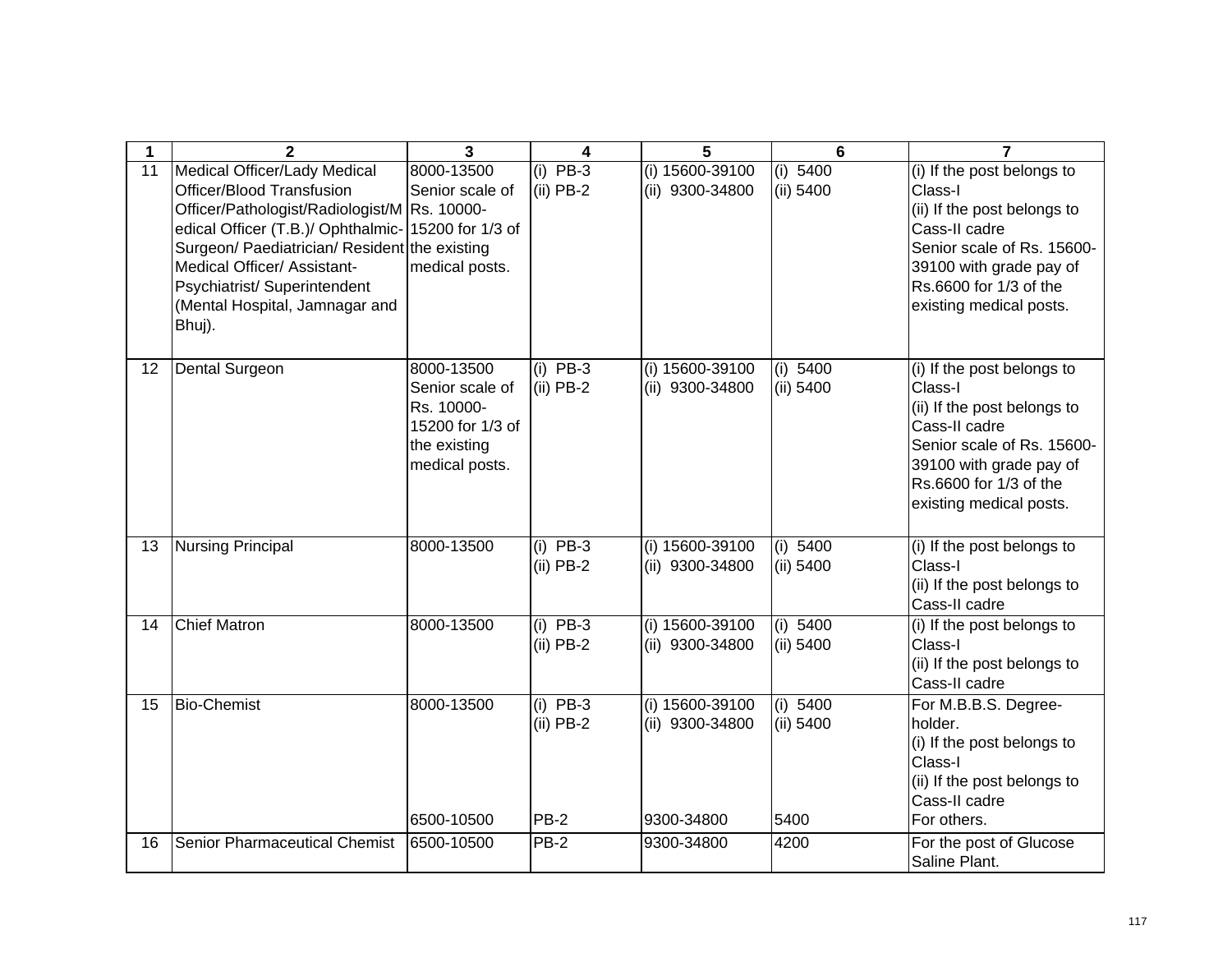|    | $\mathbf{2}$                                                                                                                                                                                                                                                                                                                 | 3                                                                                                 | 4                                        | 5                                                | $6\phantom{1}$                | 7                                                                                                                                                                                                   |
|----|------------------------------------------------------------------------------------------------------------------------------------------------------------------------------------------------------------------------------------------------------------------------------------------------------------------------------|---------------------------------------------------------------------------------------------------|------------------------------------------|--------------------------------------------------|-------------------------------|-----------------------------------------------------------------------------------------------------------------------------------------------------------------------------------------------------|
| 11 | Medical Officer/Lady Medical<br>Officer/Blood Transfusion<br>Officer/Pathologist/Radiologist/M Rs. 10000-<br>edical Officer (T.B.)/ Ophthalmic- 15200 for 1/3 of<br>Surgeon/ Paediatrician/ Resident the existing<br>Medical Officer/ Assistant-<br>Psychiatrist/ Superintendent<br>(Mental Hospital, Jamnagar and<br>Bhuj). | 8000-13500<br>Senior scale of<br>medical posts.                                                   | $(i)$ PB-3<br>$(ii)$ PB-2                | (i) 15600-39100<br>(ii) 9300-34800               | (i) 5400<br>$(ii)$ 5400       | (i) If the post belongs to<br>Class-I<br>(ii) If the post belongs to<br>Cass-II cadre<br>Senior scale of Rs. 15600-<br>39100 with grade pay of<br>Rs.6600 for 1/3 of the<br>existing medical posts. |
| 12 | <b>Dental Surgeon</b>                                                                                                                                                                                                                                                                                                        | 8000-13500<br>Senior scale of<br>Rs. 10000-<br>15200 for 1/3 of<br>the existing<br>medical posts. | $(i)$ PB-3<br>$(ii)$ PB-2                | (i) 15600-39100<br>(ii) 9300-34800               | (i) 5400<br>(ii) 5400         | (i) If the post belongs to<br>Class-I<br>(ii) If the post belongs to<br>Cass-II cadre<br>Senior scale of Rs. 15600-<br>39100 with grade pay of<br>Rs.6600 for 1/3 of the<br>existing medical posts. |
| 13 | <b>Nursing Principal</b>                                                                                                                                                                                                                                                                                                     | 8000-13500                                                                                        | $(i)$ PB-3<br>$(ii)$ PB-2                | (i) 15600-39100<br>(ii) 9300-34800               | (i) 5400<br>(ii) 5400         | (i) If the post belongs to<br>Class-I<br>(ii) If the post belongs to<br>Cass-II cadre                                                                                                               |
| 14 | <b>Chief Matron</b>                                                                                                                                                                                                                                                                                                          | 8000-13500                                                                                        | $(i)$ PB-3<br>$(ii)$ PB-2                | (i) 15600-39100<br>(ii) 9300-34800               | (i) 5400<br>(ii) 5400         | (i) If the post belongs to<br>Class-I<br>(ii) If the post belongs to<br>Cass-II cadre                                                                                                               |
| 15 | <b>Bio-Chemist</b>                                                                                                                                                                                                                                                                                                           | 8000-13500<br>6500-10500                                                                          | $(i)$ PB-3<br>$(ii)$ PB-2<br><b>PB-2</b> | (i) 15600-39100<br>(ii) 9300-34800<br>9300-34800 | (i) 5400<br>(ii) 5400<br>5400 | For M.B.B.S. Degree-<br>holder.<br>(i) If the post belongs to<br>Class-I<br>(ii) If the post belongs to<br>Cass-II cadre<br>For others.                                                             |
| 16 | Senior Pharmaceutical Chemist                                                                                                                                                                                                                                                                                                | 6500-10500                                                                                        | <b>PB-2</b>                              | 9300-34800                                       | 4200                          | For the post of Glucose<br>Saline Plant.                                                                                                                                                            |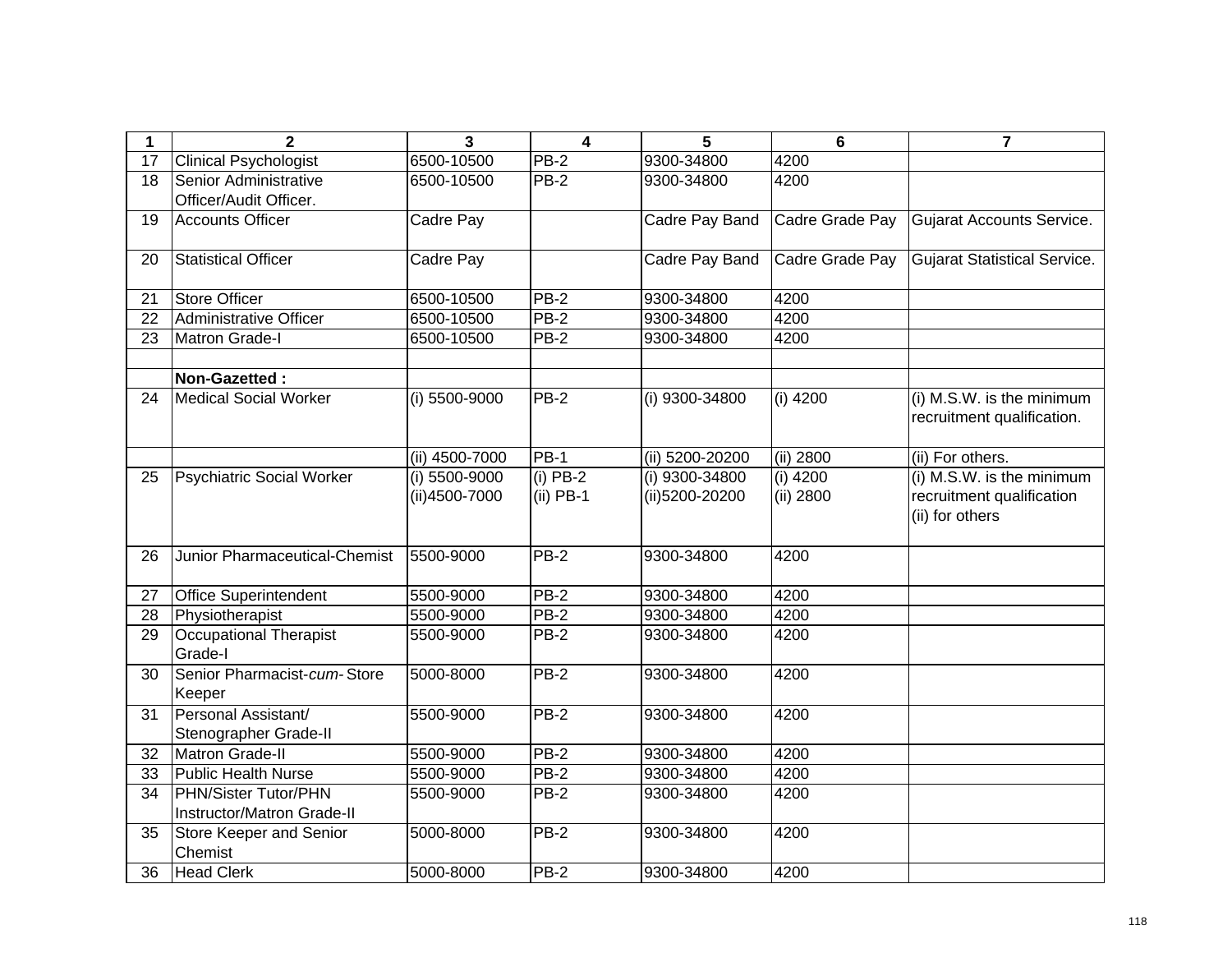| 1  | $\overline{2}$                                     | $\overline{\mathbf{3}}$          | $\overline{\mathbf{4}}$   | 5                                | $6\phantom{1}6$         | $\overline{7}$                                                            |
|----|----------------------------------------------------|----------------------------------|---------------------------|----------------------------------|-------------------------|---------------------------------------------------------------------------|
| 17 | <b>Clinical Psychologist</b>                       | 6500-10500                       | $PB-2$                    | 9300-34800                       | 4200                    |                                                                           |
| 18 | Senior Administrative<br>Officer/Audit Officer.    | 6500-10500                       | $PB-2$                    | 9300-34800                       | 4200                    |                                                                           |
| 19 | <b>Accounts Officer</b>                            | Cadre Pay                        |                           | <b>Cadre Pay Band</b>            | Cadre Grade Pay         | <b>Gujarat Accounts Service.</b>                                          |
| 20 | <b>Statistical Officer</b>                         | Cadre Pay                        |                           | Cadre Pay Band                   | Cadre Grade Pay         | <b>Gujarat Statistical Service.</b>                                       |
| 21 | <b>Store Officer</b>                               | 6500-10500                       | $PB-2$                    | 9300-34800                       | 4200                    |                                                                           |
| 22 | Administrative Officer                             | 6500-10500                       | $PB-2$                    | 9300-34800                       | 4200                    |                                                                           |
| 23 | <b>Matron Grade-I</b>                              | 6500-10500                       | $PB-2$                    | 9300-34800                       | 4200                    |                                                                           |
|    |                                                    |                                  |                           |                                  |                         |                                                                           |
|    | Non-Gazetted:                                      |                                  |                           |                                  |                         |                                                                           |
| 24 | <b>Medical Social Worker</b>                       | (i) 5500-9000                    | $PB-2$                    | (i) 9300-34800                   | $(i)$ 4200              | (i) M.S.W. is the minimum<br>recruitment qualification.                   |
|    |                                                    | (ii) 4500-7000                   | <b>PB-1</b>               | (ii) 5200-20200                  | (ii) 2800               | (ii) For others.                                                          |
| 25 | <b>Psychiatric Social Worker</b>                   | $(i)$ 5500-9000<br>(ii)4500-7000 | $(i)$ PB-2<br>$(ii)$ PB-1 | (i) 9300-34800<br>(ii)5200-20200 | $(i)$ 4200<br>(ii) 2800 | (i) M.S.W. is the minimum<br>recruitment qualification<br>(ii) for others |
| 26 | Junior Pharmaceutical-Chemist                      | 5500-9000                        | $PB-2$                    | 9300-34800                       | 4200                    |                                                                           |
| 27 | <b>Office Superintendent</b>                       | 5500-9000                        | $PB-2$                    | 9300-34800                       | 4200                    |                                                                           |
| 28 | Physiotherapist                                    | 5500-9000                        | $PB-2$                    | 9300-34800                       | 4200                    |                                                                           |
| 29 | <b>Occupational Therapist</b><br>Grade-I           | 5500-9000                        | <b>PB-2</b>               | 9300-34800                       | 4200                    |                                                                           |
| 30 | Senior Pharmacist-cum-Store<br>Keeper              | 5000-8000                        | $PB-2$                    | 9300-34800                       | 4200                    |                                                                           |
| 31 | Personal Assistant/<br>Stenographer Grade-II       | 5500-9000                        | $PB-2$                    | 9300-34800                       | 4200                    |                                                                           |
| 32 | <b>Matron Grade-II</b>                             | 5500-9000                        | $PB-2$                    | 9300-34800                       | 4200                    |                                                                           |
| 33 | <b>Public Health Nurse</b>                         | 5500-9000                        | $PB-2$                    | 9300-34800                       | 4200                    |                                                                           |
| 34 | PHN/Sister Tutor/PHN<br>Instructor/Matron Grade-II | 5500-9000                        | <b>PB-2</b>               | 9300-34800                       | 4200                    |                                                                           |
| 35 | Store Keeper and Senior<br>Chemist                 | 5000-8000                        | $PB-2$                    | 9300-34800                       | 4200                    |                                                                           |
| 36 | <b>Head Clerk</b>                                  | 5000-8000                        | $PB-2$                    | 9300-34800                       | 4200                    |                                                                           |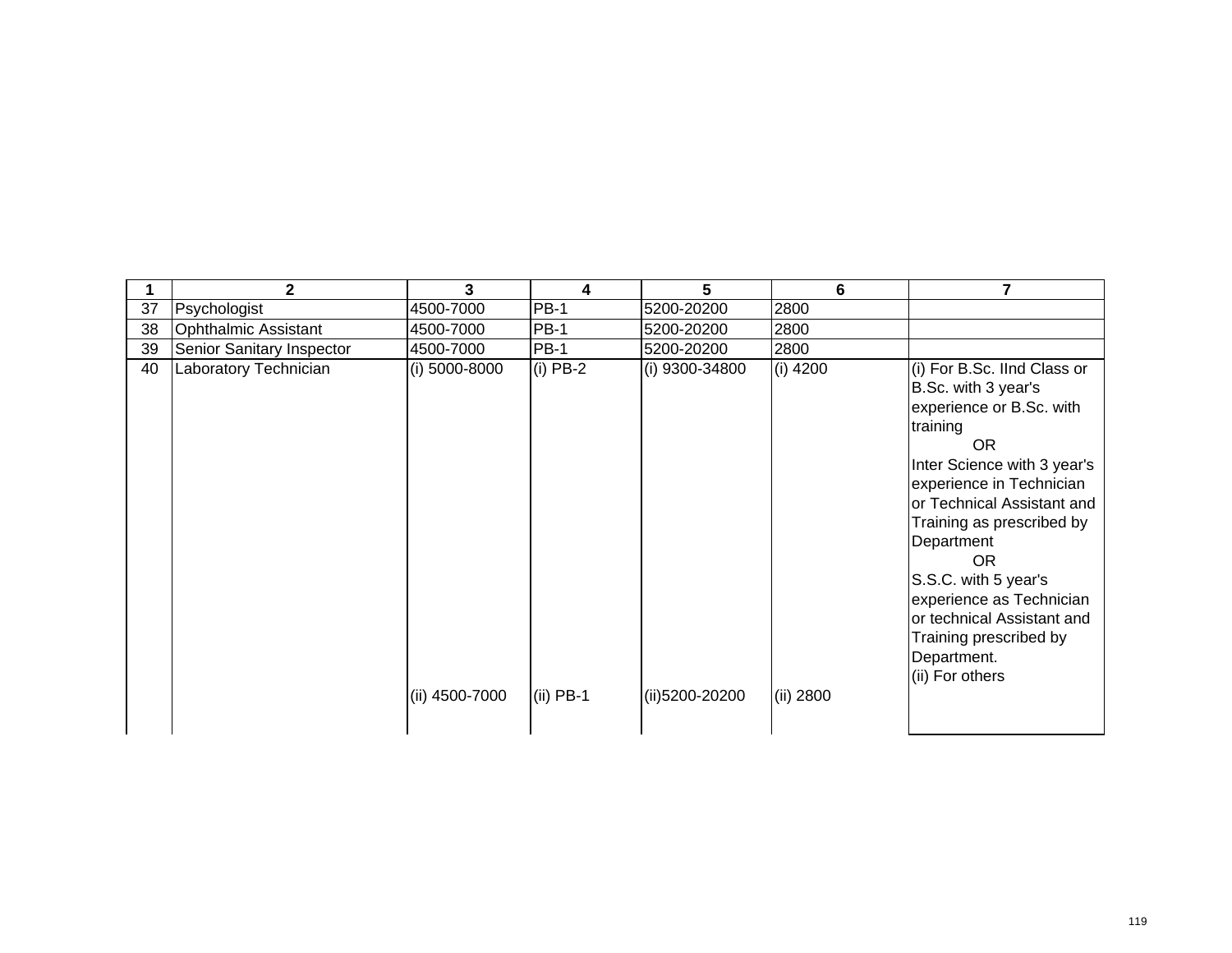|    | $\mathbf{2}$                     | 3              | 4           | 5              | 6          | 7                                                                                                                                                                                                                                                                                                                                                                                                      |
|----|----------------------------------|----------------|-------------|----------------|------------|--------------------------------------------------------------------------------------------------------------------------------------------------------------------------------------------------------------------------------------------------------------------------------------------------------------------------------------------------------------------------------------------------------|
| 37 | Psychologist                     | 4500-7000      | <b>PB-1</b> | 5200-20200     | 2800       |                                                                                                                                                                                                                                                                                                                                                                                                        |
| 38 | <b>Ophthalmic Assistant</b>      | 4500-7000      | <b>PB-1</b> | 5200-20200     | 2800       |                                                                                                                                                                                                                                                                                                                                                                                                        |
| 39 | <b>Senior Sanitary Inspector</b> | 4500-7000      | <b>PB-1</b> | 5200-20200     | 2800       |                                                                                                                                                                                                                                                                                                                                                                                                        |
| 40 | Laboratory Technician            | (i) 5000-8000  | $(i)$ PB-2  | (i) 9300-34800 | $(i)$ 4200 | (i) For B.Sc. IInd Class or<br>B.Sc. with 3 year's<br>experience or B.Sc. with<br>training<br><b>OR</b><br>Inter Science with 3 year's<br>experience in Technician<br>or Technical Assistant and<br>Training as prescribed by<br>Department<br><b>OR</b><br>S.S.C. with 5 year's<br>experience as Technician<br>or technical Assistant and<br>Training prescribed by<br>Department.<br>(ii) For others |
|    |                                  | (ii) 4500-7000 | $(ii)$ PB-1 | (ii)5200-20200 | (ii) 2800  |                                                                                                                                                                                                                                                                                                                                                                                                        |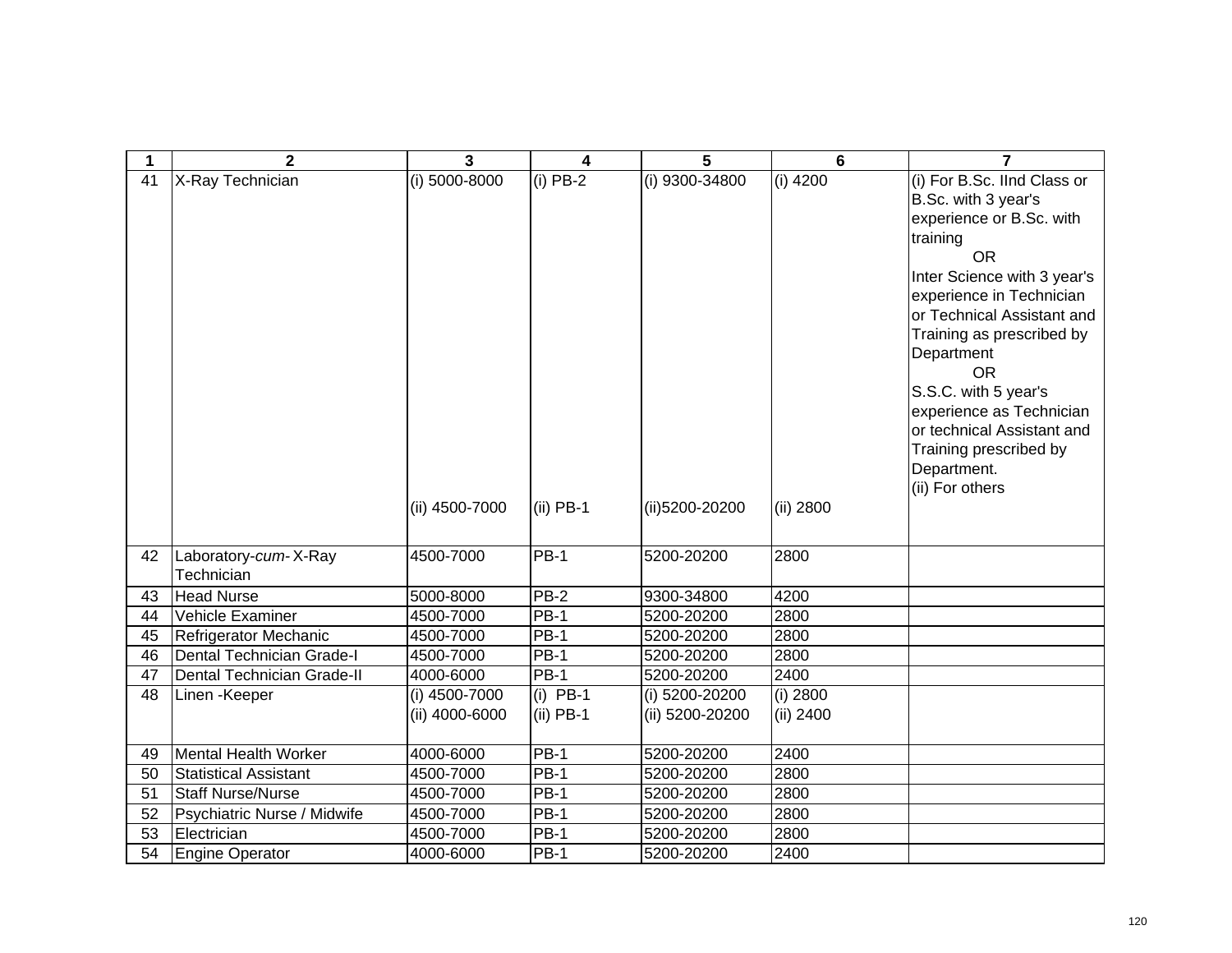| $\mathbf 1$ | $\overline{2}$                     | $\overline{3}$                  | 4                         | 5                                 | 6                       | 7                                                                                                                                                                                                                                                                                                                                                                                                      |
|-------------|------------------------------------|---------------------------------|---------------------------|-----------------------------------|-------------------------|--------------------------------------------------------------------------------------------------------------------------------------------------------------------------------------------------------------------------------------------------------------------------------------------------------------------------------------------------------------------------------------------------------|
| 41          | X-Ray Technician                   | (i) 5000-8000<br>(ii) 4500-7000 | $(i)$ PB-2<br>$(ii)$ PB-1 | (i) 9300-34800<br>(ii)5200-20200  | $(i)$ 4200<br>(ii) 2800 | (i) For B.Sc. IInd Class or<br>B.Sc. with 3 year's<br>experience or B.Sc. with<br>training<br><b>OR</b><br>Inter Science with 3 year's<br>experience in Technician<br>or Technical Assistant and<br>Training as prescribed by<br>Department<br><b>OR</b><br>S.S.C. with 5 year's<br>experience as Technician<br>or technical Assistant and<br>Training prescribed by<br>Department.<br>(ii) For others |
| 42          | Laboratory-cum-X-Ray<br>Technician | 4500-7000                       | <b>PB-1</b>               | 5200-20200                        | 2800                    |                                                                                                                                                                                                                                                                                                                                                                                                        |
| 43          | <b>Head Nurse</b>                  | 5000-8000                       | $PB-2$                    | 9300-34800                        | 4200                    |                                                                                                                                                                                                                                                                                                                                                                                                        |
| 44          | Vehicle Examiner                   | 4500-7000                       | $PB-1$                    | 5200-20200                        | 2800                    |                                                                                                                                                                                                                                                                                                                                                                                                        |
| 45          | Refrigerator Mechanic              | 4500-7000                       | $PB-1$                    | 5200-20200                        | 2800                    |                                                                                                                                                                                                                                                                                                                                                                                                        |
| 46          | Dental Technician Grade-I          | 4500-7000                       | $PB-1$                    | 5200-20200                        | 2800                    |                                                                                                                                                                                                                                                                                                                                                                                                        |
| 47          | Dental Technician Grade-II         | 4000-6000                       | $PB-1$                    | 5200-20200                        | 2400                    |                                                                                                                                                                                                                                                                                                                                                                                                        |
| 48          | Linen - Keeper                     | (i) 4500-7000<br>(ii) 4000-6000 | $(i)$ PB-1<br>$(ii)$ PB-1 | (i) 5200-20200<br>(ii) 5200-20200 | (i) 2800<br>(ii) 2400   |                                                                                                                                                                                                                                                                                                                                                                                                        |
| 49          | Mental Health Worker               | 4000-6000                       | $PB-1$                    | 5200-20200                        | 2400                    |                                                                                                                                                                                                                                                                                                                                                                                                        |
| 50          | <b>Statistical Assistant</b>       | 4500-7000                       | $PB-1$                    | 5200-20200                        | 2800                    |                                                                                                                                                                                                                                                                                                                                                                                                        |
| 51          | <b>Staff Nurse/Nurse</b>           | 4500-7000                       | <b>PB-1</b>               | 5200-20200                        | 2800                    |                                                                                                                                                                                                                                                                                                                                                                                                        |
| 52          | Psychiatric Nurse / Midwife        | 4500-7000                       | <b>PB-1</b>               | 5200-20200                        | 2800                    |                                                                                                                                                                                                                                                                                                                                                                                                        |
| 53          | Electrician                        | 4500-7000                       | <b>PB-1</b>               | 5200-20200                        | 2800                    |                                                                                                                                                                                                                                                                                                                                                                                                        |
| 54          | Engine Operator                    | 4000-6000                       | <b>PB-1</b>               | 5200-20200                        | 2400                    |                                                                                                                                                                                                                                                                                                                                                                                                        |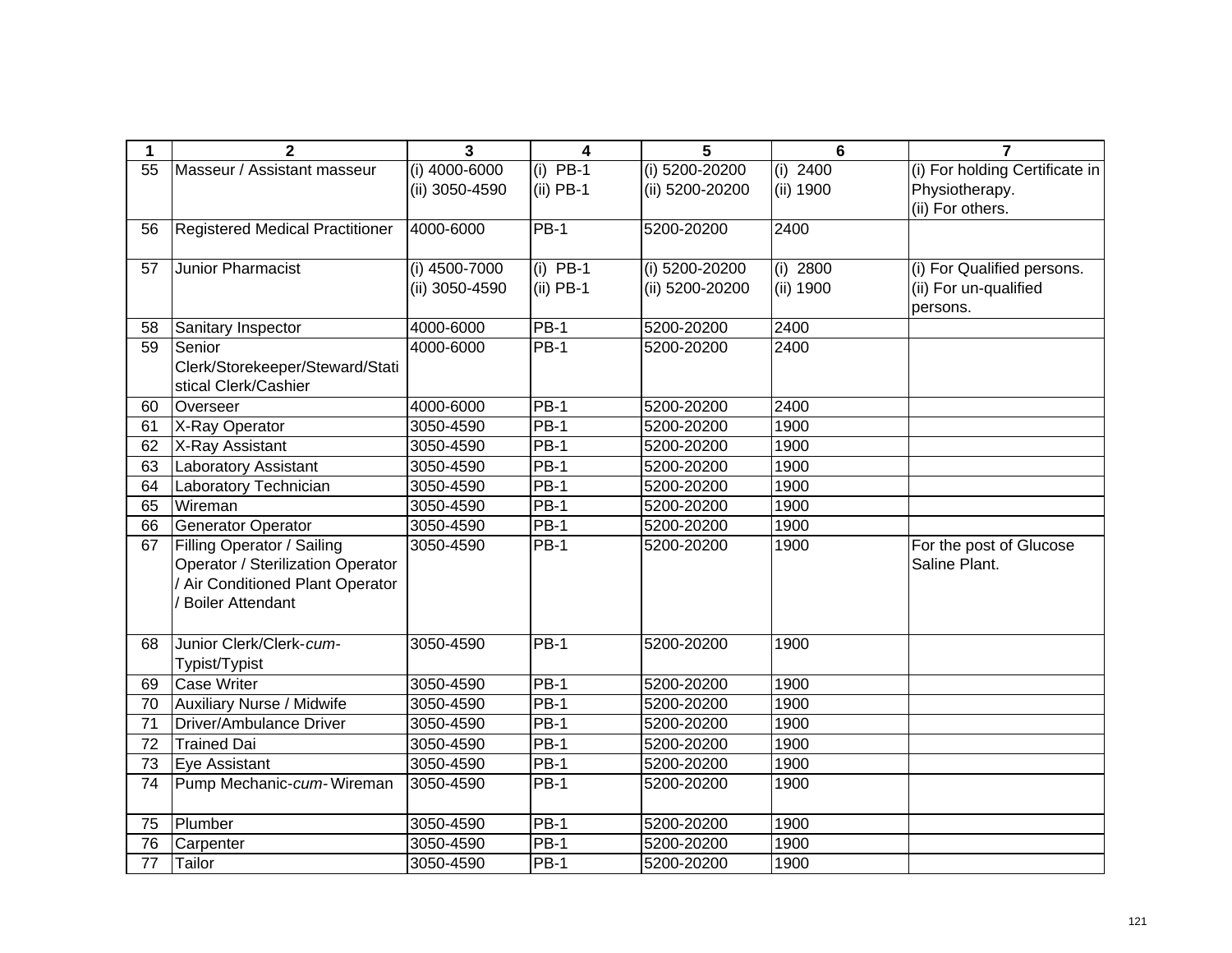| 1  | $\mathbf{2}$                           | $\overline{\mathbf{3}}$ | 4           | 5                | 6          | $\overline{7}$                 |
|----|----------------------------------------|-------------------------|-------------|------------------|------------|--------------------------------|
| 55 | Masseur / Assistant masseur            | $(i)$ 4000-6000         | $(i)$ PB-1  | $(i)$ 5200-20200 | $(i)$ 2400 | (i) For holding Certificate in |
|    |                                        | (ii) 3050-4590          | $(ii)$ PB-1 | (ii) 5200-20200  | (ii) 1900  | Physiotherapy.                 |
|    |                                        |                         |             |                  |            | (ii) For others.               |
| 56 | <b>Registered Medical Practitioner</b> | 4000-6000               | <b>PB-1</b> | 5200-20200       | 2400       |                                |
|    |                                        |                         |             |                  |            |                                |
| 57 | <b>Junior Pharmacist</b>               | (i) 4500-7000           | $(i)$ PB-1  | (i) 5200-20200   | $(i)$ 2800 | (i) For Qualified persons.     |
|    |                                        | (ii) 3050-4590          | $(ii)$ PB-1 | (ii) 5200-20200  | (ii) 1900  | (ii) For un-qualified          |
|    |                                        |                         |             |                  |            | persons.                       |
| 58 | Sanitary Inspector                     | 4000-6000               | <b>PB-1</b> | 5200-20200       | 2400       |                                |
| 59 | Senior                                 | 4000-6000               | $PB-1$      | 5200-20200       | 2400       |                                |
|    | Clerk/Storekeeper/Steward/Stati        |                         |             |                  |            |                                |
|    | stical Clerk/Cashier                   |                         |             |                  |            |                                |
| 60 | Overseer                               | 4000-6000               | <b>PB-1</b> | 5200-20200       | 2400       |                                |
| 61 | X-Ray Operator                         | 3050-4590               | $PB-1$      | 5200-20200       | 1900       |                                |
| 62 | X-Ray Assistant                        | 3050-4590               | <b>PB-1</b> | 5200-20200       | 1900       |                                |
| 63 | <b>Laboratory Assistant</b>            | 3050-4590               | $PB-1$      | 5200-20200       | 1900       |                                |
| 64 | Laboratory Technician                  | 3050-4590               | $PB-1$      | 5200-20200       | 1900       |                                |
| 65 | Wireman                                | 3050-4590               | $PB-1$      | 5200-20200       | 1900       |                                |
| 66 | <b>Generator Operator</b>              | 3050-4590               | <b>PB-1</b> | 5200-20200       | 1900       |                                |
| 67 | Filling Operator / Sailing             | 3050-4590               | $PB-1$      | 5200-20200       | 1900       | For the post of Glucose        |
|    | Operator / Sterilization Operator      |                         |             |                  |            | Saline Plant.                  |
|    | / Air Conditioned Plant Operator       |                         |             |                  |            |                                |
|    | <b>Boiler Attendant</b>                |                         |             |                  |            |                                |
|    |                                        |                         |             |                  |            |                                |
| 68 | Junior Clerk/Clerk-cum-                | 3050-4590               | <b>PB-1</b> | 5200-20200       | 1900       |                                |
|    | Typist/Typist                          |                         |             |                  |            |                                |
| 69 | <b>Case Writer</b>                     | 3050-4590               | $PB-1$      | 5200-20200       | 1900       |                                |
| 70 | <b>Auxiliary Nurse / Midwife</b>       | 3050-4590               | $PB-1$      | 5200-20200       | 1900       |                                |
| 71 | Driver/Ambulance Driver                | 3050-4590               | $PB-1$      | 5200-20200       | 1900       |                                |
| 72 | <b>Trained Dai</b>                     | 3050-4590               | <b>PB-1</b> | 5200-20200       | 1900       |                                |
| 73 | Eye Assistant                          | 3050-4590               | <b>PB-1</b> | 5200-20200       | 1900       |                                |
| 74 | Pump Mechanic-cum-Wireman              | 3050-4590               | <b>PB-1</b> | 5200-20200       | 1900       |                                |
|    |                                        |                         |             |                  |            |                                |
| 75 | Plumber                                | 3050-4590               | $PB-1$      | 5200-20200       | 1900       |                                |
| 76 | Carpenter                              | 3050-4590               | $PB-1$      | 5200-20200       | 1900       |                                |
| 77 | Tailor                                 | 3050-4590               | <b>PB-1</b> | 5200-20200       | 1900       |                                |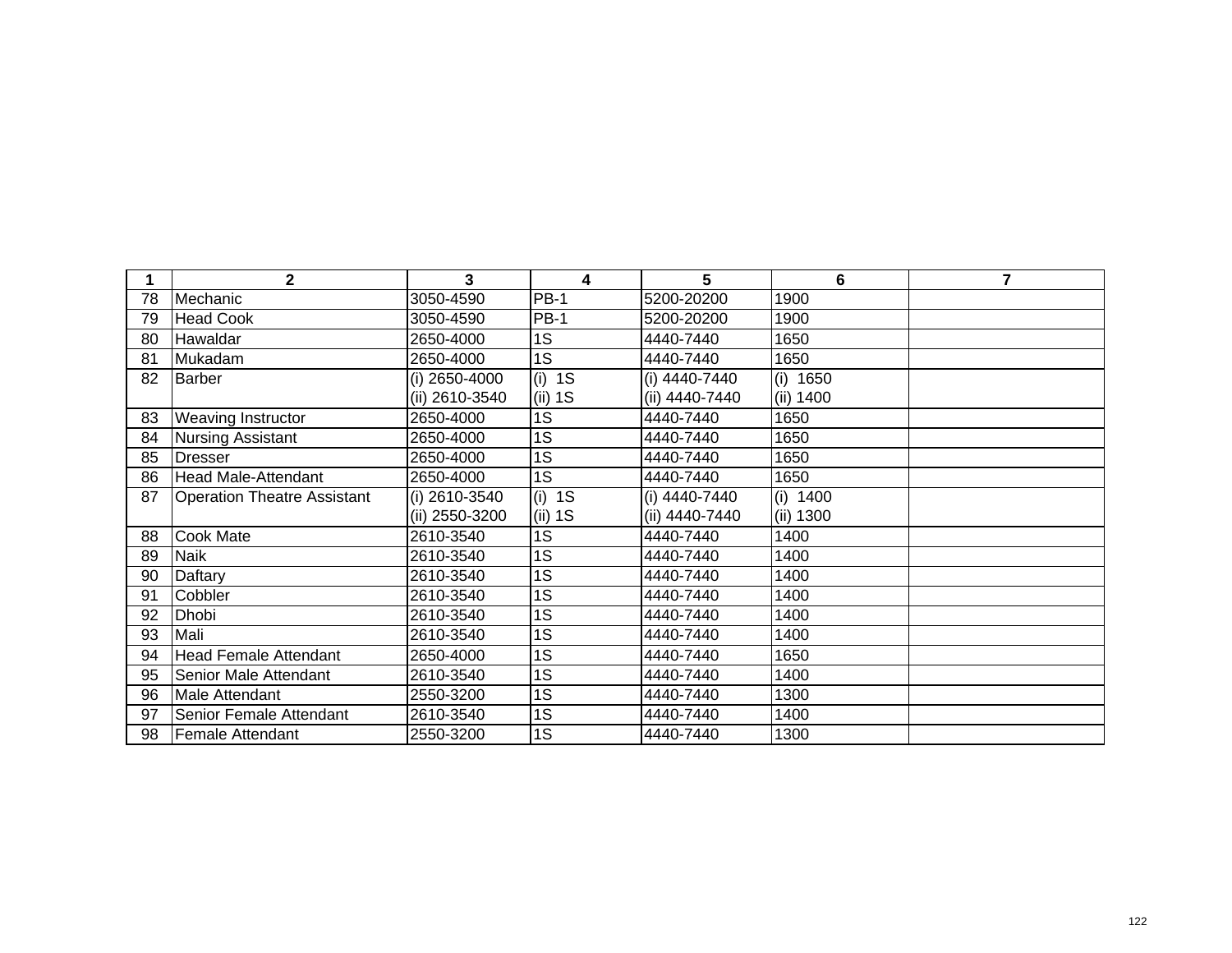|    | $\mathbf 2$                        | 3              | 4           | 5               | 6          | 7 |
|----|------------------------------------|----------------|-------------|-----------------|------------|---|
| 78 | Mechanic                           | 3050-4590      | <b>PB-1</b> | 5200-20200      | 1900       |   |
| 79 | <b>Head Cook</b>                   | 3050-4590      | <b>PB-1</b> | 5200-20200      | 1900       |   |
| 80 | Hawaldar                           | 2650-4000      | 1S          | 4440-7440       | 1650       |   |
| 81 | Mukadam                            | 2650-4000      | 1S          | 4440-7440       | 1650       |   |
| 82 | <b>Barber</b>                      | (i) 2650-4000  | $(i)$ 1S    | (i) 4440-7440   | (i) 1650   |   |
|    |                                    | (ii) 2610-3540 | $(ii)$ 1S   | (ii) 4440-7440  | (ii) 1400  |   |
| 83 | Weaving Instructor                 | 2650-4000      | 1S          | 4440-7440       | 1650       |   |
| 84 | Nursing Assistant                  | 2650-4000      | 1S          | 4440-7440       | 1650       |   |
| 85 | <b>Dresser</b>                     | 2650-4000      | 1S          | 4440-7440       | 1650       |   |
| 86 | <b>Head Male-Attendant</b>         | 2650-4000      | 1S          | 4440-7440       | 1650       |   |
| 87 | <b>Operation Theatre Assistant</b> | (i) 2610-3540  | $(i)$ 1S    | $(i)$ 4440-7440 | $(i)$ 1400 |   |
|    |                                    | (ii) 2550-3200 | $(ii)$ 1S   | (ii) 4440-7440  | (ii) 1300  |   |
| 88 | Cook Mate                          | 2610-3540      | 1S          | 4440-7440       | 1400       |   |
| 89 | <b>Naik</b>                        | 2610-3540      | 1S          | 4440-7440       | 1400       |   |
| 90 | Daftary                            | 2610-3540      | 1S          | 4440-7440       | 1400       |   |
| 91 | Cobbler                            | 2610-3540      | 1S          | 4440-7440       | 1400       |   |
| 92 | Dhobi                              | 2610-3540      | 1S          | 4440-7440       | 1400       |   |
| 93 | Mali                               | 2610-3540      | 1S          | 4440-7440       | 1400       |   |
| 94 | <b>Head Female Attendant</b>       | 2650-4000      | 1S          | 4440-7440       | 1650       |   |
| 95 | Senior Male Attendant              | 2610-3540      | 1S          | 4440-7440       | 1400       |   |
| 96 | Male Attendant                     | 2550-3200      | 1S          | 4440-7440       | 1300       |   |
| 97 | Senior Female Attendant            | 2610-3540      | 1S          | 4440-7440       | 1400       |   |
| 98 | <b>Female Attendant</b>            | 2550-3200      | 1S          | 4440-7440       | 1300       |   |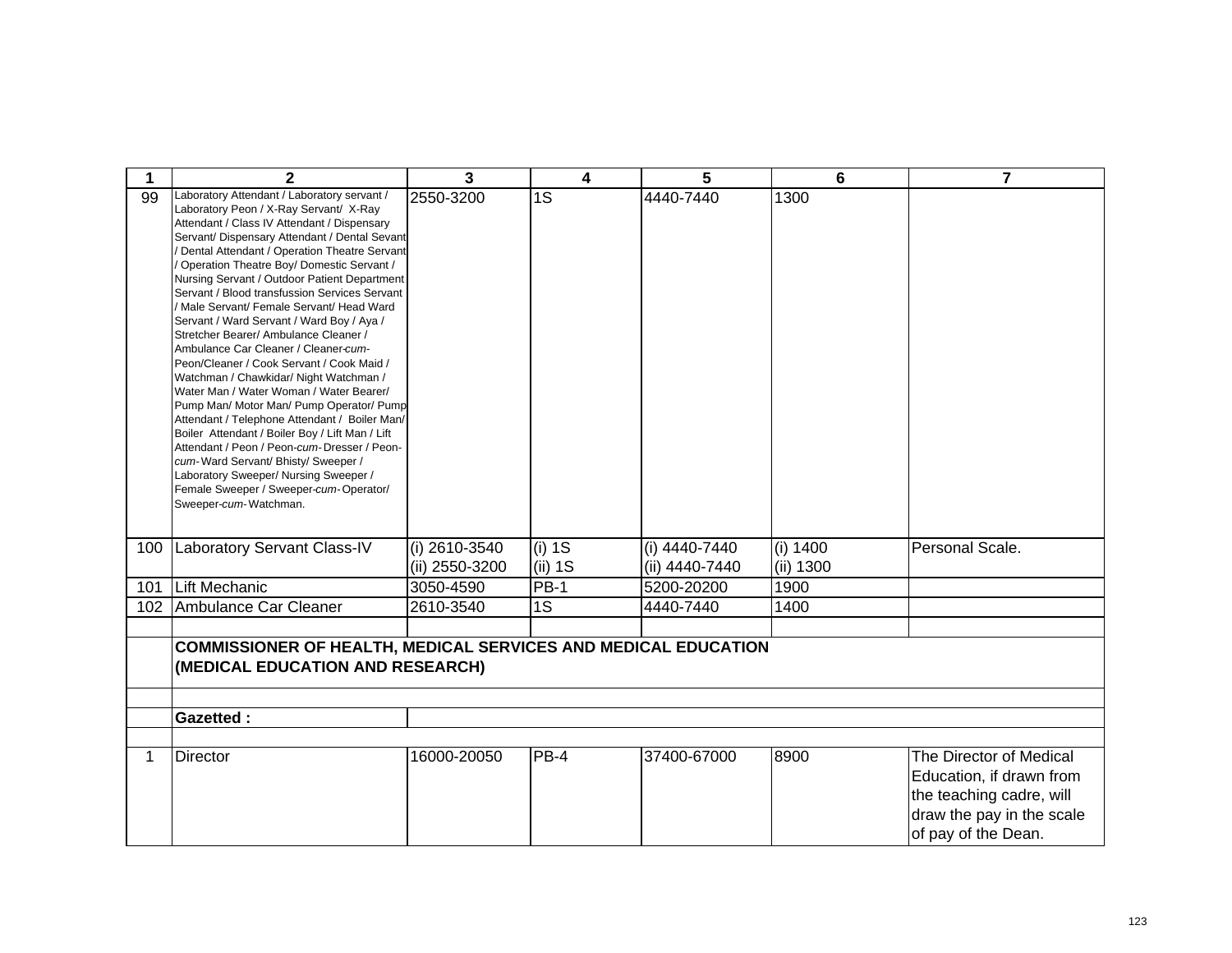| 1   | $\mathbf{2}$                                                                                                                                                                                                                                                                                                                                                                                                                                                                                                                                                                                                                                                                                                                                                                                                                                                                                                                                                                                                                                       | 3                               | 4                   | 5                               | 6                     | $\overline{7}$                                                                  |
|-----|----------------------------------------------------------------------------------------------------------------------------------------------------------------------------------------------------------------------------------------------------------------------------------------------------------------------------------------------------------------------------------------------------------------------------------------------------------------------------------------------------------------------------------------------------------------------------------------------------------------------------------------------------------------------------------------------------------------------------------------------------------------------------------------------------------------------------------------------------------------------------------------------------------------------------------------------------------------------------------------------------------------------------------------------------|---------------------------------|---------------------|---------------------------------|-----------------------|---------------------------------------------------------------------------------|
| 99  | Laboratory Attendant / Laboratory servant /<br>Laboratory Peon / X-Ray Servant/ X-Ray<br>Attendant / Class IV Attendant / Dispensary<br>Servant/ Dispensary Attendant / Dental Sevant<br>/ Dental Attendant / Operation Theatre Servant<br>Operation Theatre Boy/ Domestic Servant /<br>Nursing Servant / Outdoor Patient Department<br>Servant / Blood transfussion Services Servant<br>Male Servant/ Female Servant/ Head Ward<br>Servant / Ward Servant / Ward Boy / Aya /<br>Stretcher Bearer/ Ambulance Cleaner /<br>Ambulance Car Cleaner / Cleaner-cum-<br>Peon/Cleaner / Cook Servant / Cook Maid /<br>Watchman / Chawkidar/ Night Watchman /<br>Water Man / Water Woman / Water Bearer/<br>Pump Man/ Motor Man/ Pump Operator/ Pump<br>Attendant / Telephone Attendant / Boiler Man/<br>Boiler Attendant / Boiler Boy / Lift Man / Lift<br>Attendant / Peon / Peon-cum-Dresser / Peon-<br>cum-Ward Servant/ Bhisty/ Sweeper /<br>Laboratory Sweeper/ Nursing Sweeper /<br>Female Sweeper / Sweeper-cum-Operator/<br>Sweeper-cum-Watchman. | 2550-3200                       | 1S                  | 4440-7440                       | 1300                  |                                                                                 |
| 100 | <b>Laboratory Servant Class-IV</b>                                                                                                                                                                                                                                                                                                                                                                                                                                                                                                                                                                                                                                                                                                                                                                                                                                                                                                                                                                                                                 | (i) 2610-3540<br>(ii) 2550-3200 | $(i)$ 1S<br>(ii) 1S | (i) 4440-7440<br>(ii) 4440-7440 | (i) 1400<br>(ii) 1300 | Personal Scale.                                                                 |
| 101 | <b>Lift Mechanic</b>                                                                                                                                                                                                                                                                                                                                                                                                                                                                                                                                                                                                                                                                                                                                                                                                                                                                                                                                                                                                                               | 3050-4590                       | $PB-1$              | 5200-20200                      | 1900                  |                                                                                 |
| 102 | Ambulance Car Cleaner                                                                                                                                                                                                                                                                                                                                                                                                                                                                                                                                                                                                                                                                                                                                                                                                                                                                                                                                                                                                                              | 2610-3540                       | 1S                  | 4440-7440                       | 1400                  |                                                                                 |
| 1   | <b>COMMISSIONER OF HEALTH, MEDICAL SERVICES AND MEDICAL EDUCATION</b><br>(MEDICAL EDUCATION AND RESEARCH)<br><b>Gazetted:</b><br><b>Director</b>                                                                                                                                                                                                                                                                                                                                                                                                                                                                                                                                                                                                                                                                                                                                                                                                                                                                                                   | 16000-20050                     | $PB-4$              | 37400-67000                     | 8900                  | The Director of Medical<br>Education, if drawn from<br>the teaching cadre, will |
|     |                                                                                                                                                                                                                                                                                                                                                                                                                                                                                                                                                                                                                                                                                                                                                                                                                                                                                                                                                                                                                                                    |                                 |                     |                                 |                       | draw the pay in the scale<br>of pay of the Dean.                                |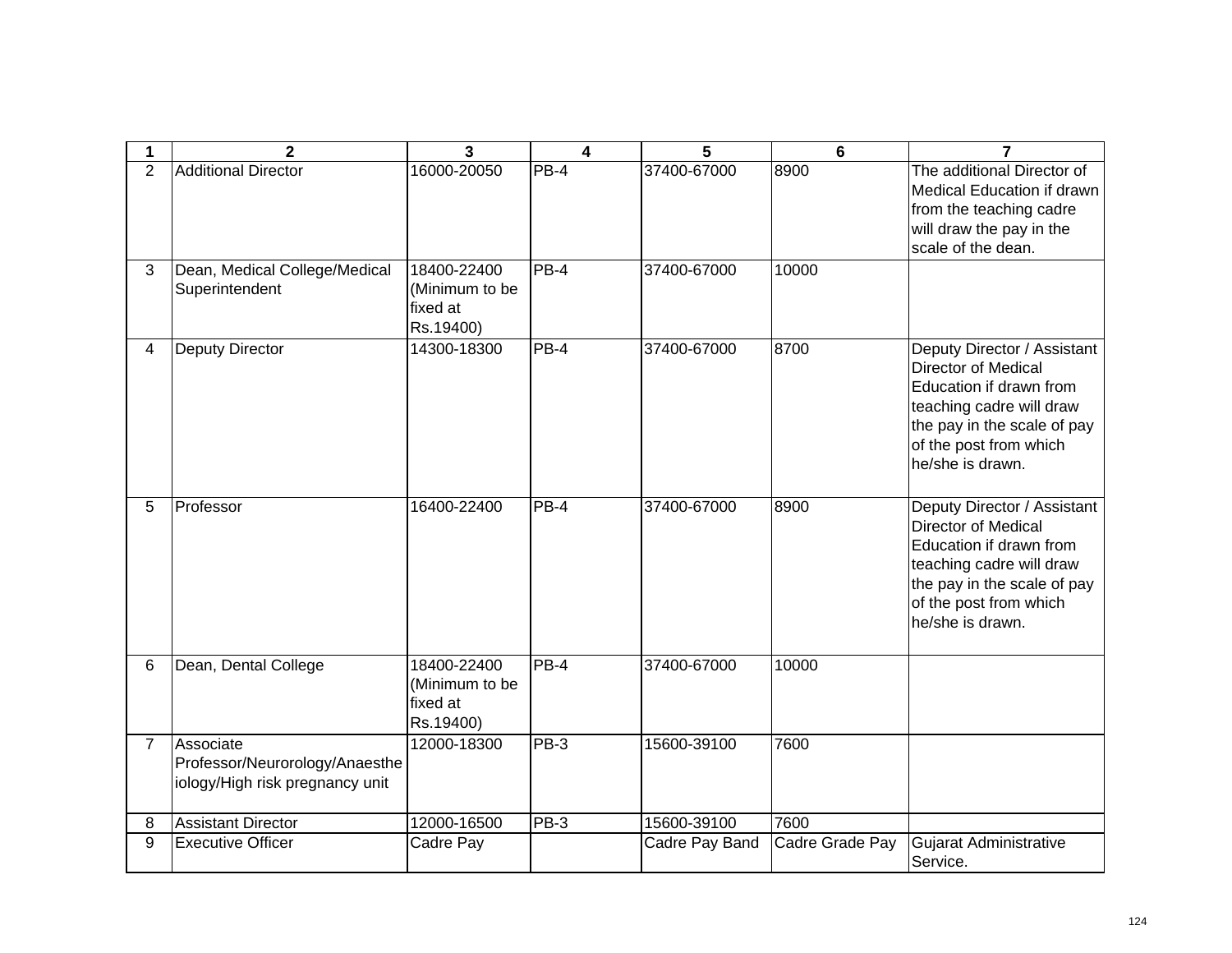| 1              | $\mathbf{2}$                                                                   | $\overline{3}$                                         | 4      | 5              | $6\phantom{1}$  | 7                                                                                                                                                                                             |
|----------------|--------------------------------------------------------------------------------|--------------------------------------------------------|--------|----------------|-----------------|-----------------------------------------------------------------------------------------------------------------------------------------------------------------------------------------------|
| $\overline{2}$ | <b>Additional Director</b>                                                     | 16000-20050                                            | PB-4   | 37400-67000    | 8900            | The additional Director of<br>Medical Education if drawn<br>from the teaching cadre<br>will draw the pay in the<br>scale of the dean.                                                         |
| 3              | Dean, Medical College/Medical<br>Superintendent                                | 18400-22400<br>(Minimum to be<br>fixed at<br>Rs.19400) | PB-4   | 37400-67000    | 10000           |                                                                                                                                                                                               |
| 4              | <b>Deputy Director</b>                                                         | 14300-18300                                            | $PB-4$ | 37400-67000    | 8700            | Deputy Director / Assistant<br><b>Director of Medical</b><br>Education if drawn from<br>teaching cadre will draw<br>the pay in the scale of pay<br>of the post from which<br>he/she is drawn. |
| 5              | Professor                                                                      | 16400-22400                                            | PB-4   | 37400-67000    | 8900            | Deputy Director / Assistant<br><b>Director of Medical</b><br>Education if drawn from<br>teaching cadre will draw<br>the pay in the scale of pay<br>of the post from which<br>he/she is drawn. |
| 6              | Dean, Dental College                                                           | 18400-22400<br>(Minimum to be<br>fixed at<br>Rs.19400) | $PB-4$ | 37400-67000    | 10000           |                                                                                                                                                                                               |
| $\overline{7}$ | Associate<br>Professor/Neurorology/Anaesthe<br>iology/High risk pregnancy unit | 12000-18300                                            | $PB-3$ | 15600-39100    | 7600            |                                                                                                                                                                                               |
| 8              | <b>Assistant Director</b>                                                      | 12000-16500                                            | $PB-3$ | 15600-39100    | 7600            |                                                                                                                                                                                               |
| 9              | <b>Executive Officer</b>                                                       | Cadre Pay                                              |        | Cadre Pay Band | Cadre Grade Pay | <b>Gujarat Administrative</b><br>Service.                                                                                                                                                     |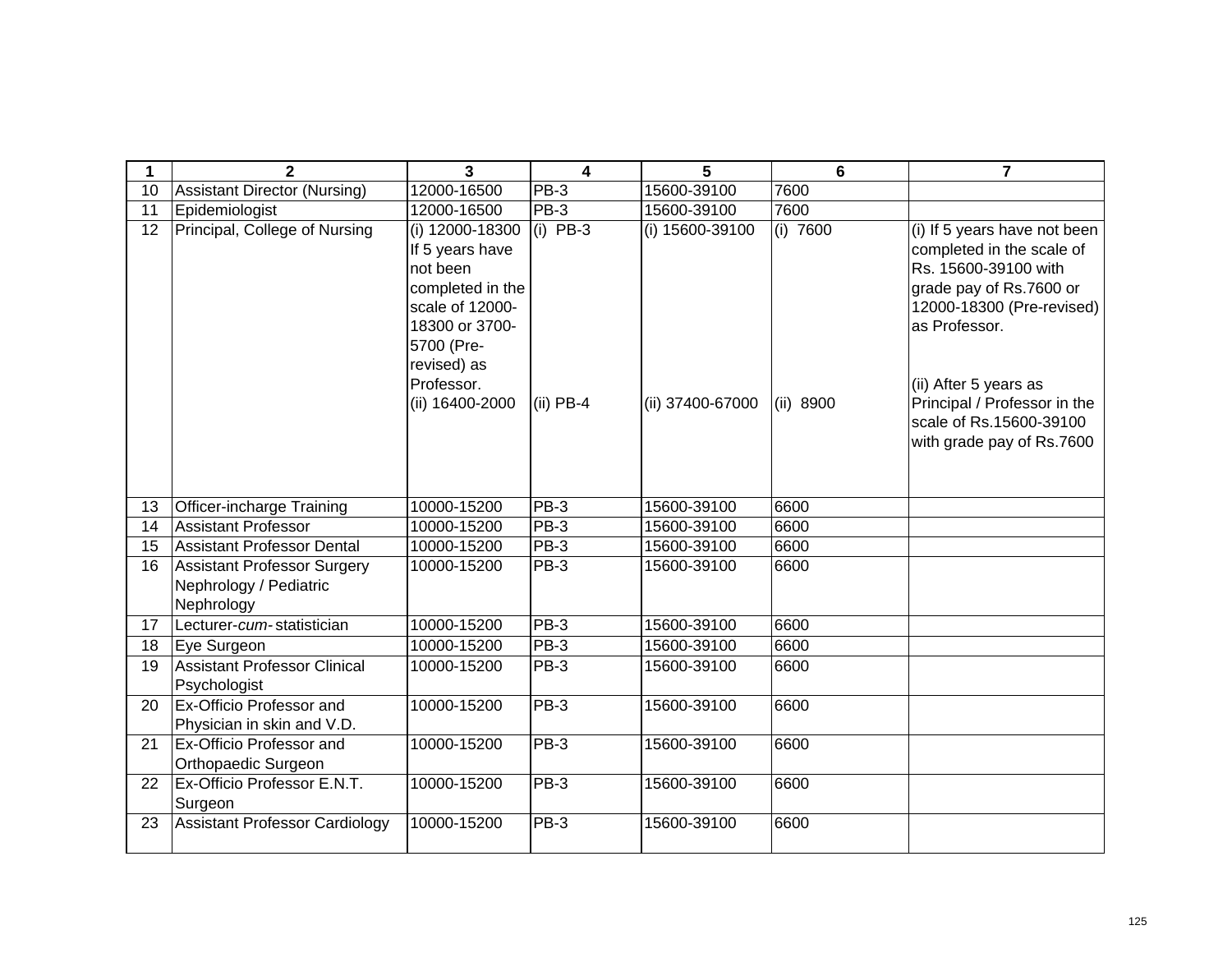| 1               | $\mathbf{2}$                                                               | 3                                                                                                                                                                     | $\overline{\mathbf{4}}$   | 5                                   | 6                       | $\overline{7}$                                                                                                                                                                                                                                                              |
|-----------------|----------------------------------------------------------------------------|-----------------------------------------------------------------------------------------------------------------------------------------------------------------------|---------------------------|-------------------------------------|-------------------------|-----------------------------------------------------------------------------------------------------------------------------------------------------------------------------------------------------------------------------------------------------------------------------|
| 10              | Assistant Director (Nursing)                                               | 12000-16500                                                                                                                                                           | PB-3                      | 15600-39100                         | 7600                    |                                                                                                                                                                                                                                                                             |
| $\overline{11}$ | Epidemiologist                                                             | 12000-16500                                                                                                                                                           | <b>PB-3</b>               | 15600-39100                         | 7600                    |                                                                                                                                                                                                                                                                             |
| 12              | Principal, College of Nursing                                              | (i) 12000-18300<br>If 5 years have<br>not been<br>completed in the<br>scale of 12000-<br>18300 or 3700-<br>5700 (Pre-<br>revised) as<br>Professor.<br>(ii) 16400-2000 | $(i)$ PB-3<br>$(ii)$ PB-4 | (i) 15600-39100<br>(ii) 37400-67000 | $(i)$ 7600<br>(ii) 8900 | (i) If 5 years have not been<br>completed in the scale of<br>Rs. 15600-39100 with<br>grade pay of Rs.7600 or<br>12000-18300 (Pre-revised)<br>as Professor.<br>(ii) After 5 years as<br>Principal / Professor in the<br>scale of Rs.15600-39100<br>with grade pay of Rs.7600 |
| 13              | <b>Officer-incharge Training</b>                                           | 10000-15200                                                                                                                                                           | <b>PB-3</b>               | 15600-39100                         | 6600                    |                                                                                                                                                                                                                                                                             |
| 14              | Assistant Professor                                                        | 10000-15200                                                                                                                                                           | PB-3                      | 15600-39100                         | 6600                    |                                                                                                                                                                                                                                                                             |
| 15              | Assistant Professor Dental                                                 | 10000-15200                                                                                                                                                           | $PB-3$                    | 15600-39100                         | 6600                    |                                                                                                                                                                                                                                                                             |
| 16              | <b>Assistant Professor Surgery</b><br>Nephrology / Pediatric<br>Nephrology | 10000-15200                                                                                                                                                           | <b>PB-3</b>               | 15600-39100                         | 6600                    |                                                                                                                                                                                                                                                                             |
| 17              | Lecturer-cum-statistician                                                  | 10000-15200                                                                                                                                                           | <b>PB-3</b>               | 15600-39100                         | 6600                    |                                                                                                                                                                                                                                                                             |
| 18              | Eye Surgeon                                                                | 10000-15200                                                                                                                                                           | $PB-3$                    | 15600-39100                         | 6600                    |                                                                                                                                                                                                                                                                             |
| 19              | <b>Assistant Professor Clinical</b><br>Psychologist                        | 10000-15200                                                                                                                                                           | <b>PB-3</b>               | 15600-39100                         | 6600                    |                                                                                                                                                                                                                                                                             |
| 20              | <b>Ex-Officio Professor and</b><br>Physician in skin and V.D.              | 10000-15200                                                                                                                                                           | PB-3                      | 15600-39100                         | 6600                    |                                                                                                                                                                                                                                                                             |
| 21              | Ex-Officio Professor and<br>Orthopaedic Surgeon                            | 10000-15200                                                                                                                                                           | <b>PB-3</b>               | 15600-39100                         | 6600                    |                                                                                                                                                                                                                                                                             |
| 22              | Ex-Officio Professor E.N.T.<br>Surgeon                                     | 10000-15200                                                                                                                                                           | PB-3                      | 15600-39100                         | 6600                    |                                                                                                                                                                                                                                                                             |
| 23              | Assistant Professor Cardiology                                             | 10000-15200                                                                                                                                                           | PB-3                      | 15600-39100                         | 6600                    |                                                                                                                                                                                                                                                                             |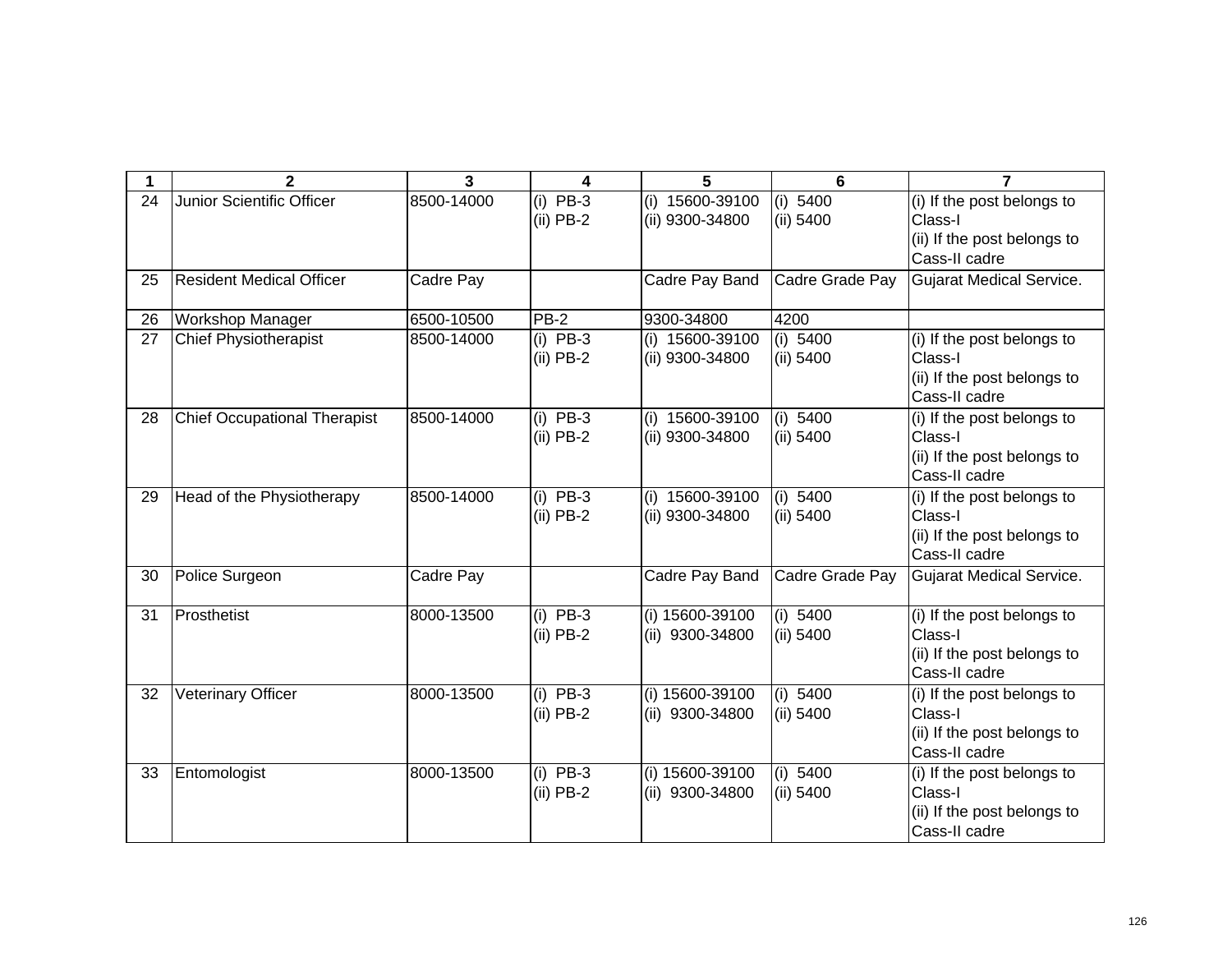|    | $\mathbf{2}$                        | $\overline{3}$ | 4                         | 5                                  | 6                       | $\overline{ }$                                                                        |
|----|-------------------------------------|----------------|---------------------------|------------------------------------|-------------------------|---------------------------------------------------------------------------------------|
| 24 | Junior Scientific Officer           | 8500-14000     | $(i)$ PB-3<br>$(ii)$ PB-2 | (i) 15600-39100<br>(ii) 9300-34800 | (i) 5400<br>(ii) 5400   | (i) If the post belongs to<br>Class-I<br>(ii) If the post belongs to<br>Cass-II cadre |
| 25 | <b>Resident Medical Officer</b>     | Cadre Pay      |                           | Cadre Pay Band                     | Cadre Grade Pay         | <b>Gujarat Medical Service.</b>                                                       |
| 26 | Workshop Manager                    | 6500-10500     | $PB-2$                    | 9300-34800                         | 4200                    |                                                                                       |
| 27 | <b>Chief Physiotherapist</b>        | 8500-14000     | $(i)$ PB-3<br>$(ii)$ PB-2 | (i) 15600-39100<br>(ii) 9300-34800 | (i) 5400<br>(ii) 5400   | (i) If the post belongs to<br>Class-I<br>(ii) If the post belongs to<br>Cass-II cadre |
| 28 | <b>Chief Occupational Therapist</b> | 8500-14000     | $(i)$ PB-3<br>$(ii)$ PB-2 | (i) 15600-39100<br>(ii) 9300-34800 | (i) 5400<br>(ii) 5400   | (i) If the post belongs to<br>Class-I<br>(ii) If the post belongs to<br>Cass-II cadre |
| 29 | Head of the Physiotherapy           | 8500-14000     | $(i)$ PB-3<br>$(ii)$ PB-2 | (i) 15600-39100<br>(ii) 9300-34800 | (i) $5400$<br>(ii) 5400 | (i) If the post belongs to<br>Class-I<br>(ii) If the post belongs to<br>Cass-II cadre |
| 30 | Police Surgeon                      | Cadre Pay      |                           | Cadre Pay Band                     | Cadre Grade Pay         | <b>Gujarat Medical Service.</b>                                                       |
| 31 | Prosthetist                         | 8000-13500     | $(i)$ PB-3<br>$(ii)$ PB-2 | (i) 15600-39100<br>(ii) 9300-34800 | (i) 5400<br>(ii) 5400   | (i) If the post belongs to<br>Class-I<br>(ii) If the post belongs to<br>Cass-II cadre |
| 32 | <b>Veterinary Officer</b>           | 8000-13500     | $(i)$ PB-3<br>$(ii)$ PB-2 | (i) 15600-39100<br>(ii) 9300-34800 | (i) 5400<br>(ii) 5400   | (i) If the post belongs to<br>Class-I<br>(ii) If the post belongs to<br>Cass-II cadre |
| 33 | Entomologist                        | 8000-13500     | $(i)$ PB-3<br>$(ii)$ PB-2 | (i) 15600-39100<br>(ii) 9300-34800 | (i) 5400<br>(ii) 5400   | (i) If the post belongs to<br>Class-I<br>(ii) If the post belongs to<br>Cass-II cadre |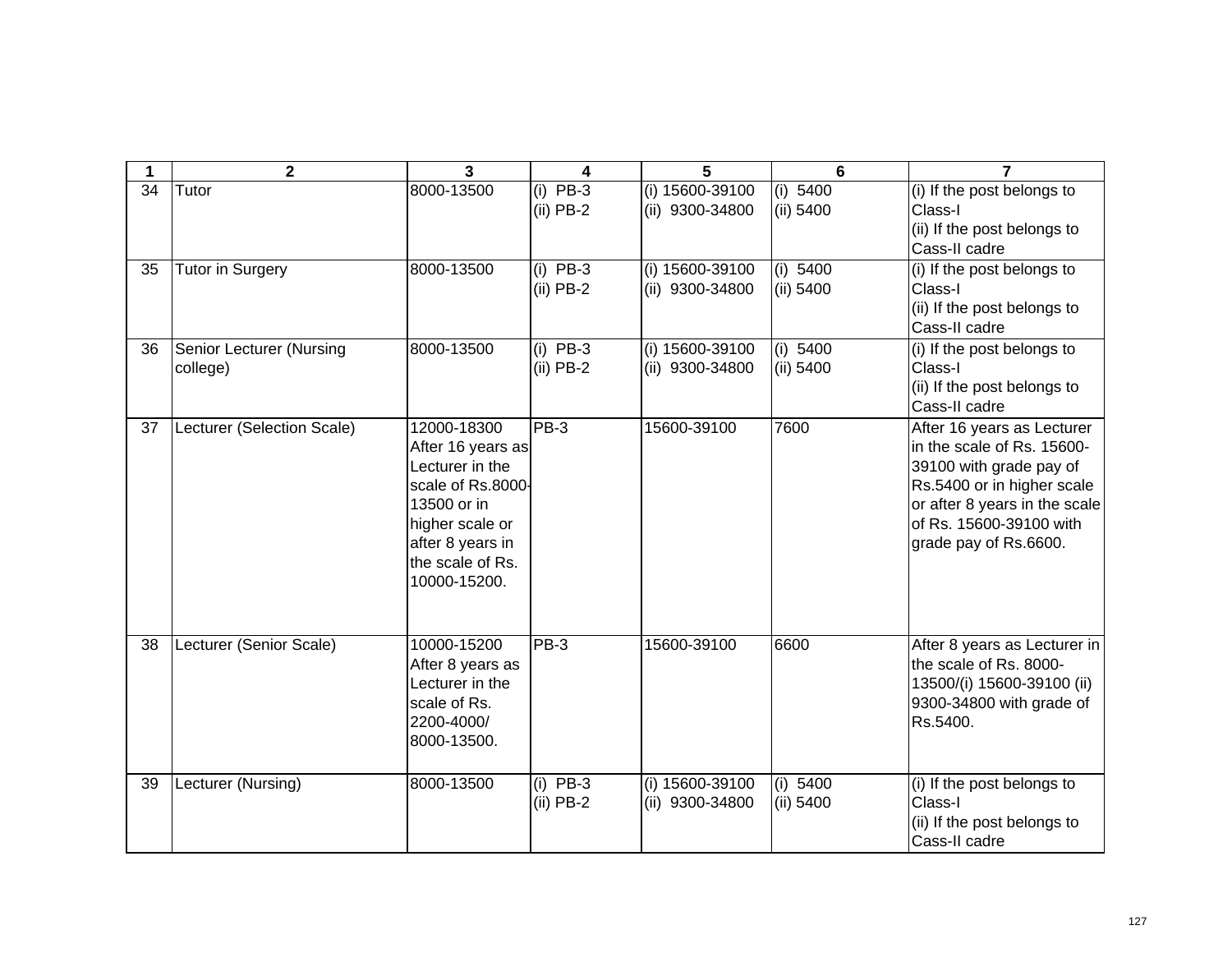| 1  | $\mathbf{2}$                         | $\overline{3}$                                                                                                                                                     | 4                         | 5                                    | 6                       | $\overline{7}$                                                                                                                                                                                         |
|----|--------------------------------------|--------------------------------------------------------------------------------------------------------------------------------------------------------------------|---------------------------|--------------------------------------|-------------------------|--------------------------------------------------------------------------------------------------------------------------------------------------------------------------------------------------------|
| 34 | Tutor                                | 8000-13500                                                                                                                                                         | $(i)$ PB-3<br>$(ii)$ PB-2 | $(i)$ 15600-39100<br>(ii) 9300-34800 | (i) 5400<br>(ii) 5400   | (i) If the post belongs to<br>Class-I<br>(ii) If the post belongs to<br>Cass-II cadre                                                                                                                  |
| 35 | <b>Tutor in Surgery</b>              | 8000-13500                                                                                                                                                         | $(i)$ PB-3<br>$(ii)$ PB-2 | (i) 15600-39100<br>(ii) 9300-34800   | (i) 5400<br>(ii) 5400   | (i) If the post belongs to<br>Class-I<br>(ii) If the post belongs to<br>Cass-II cadre                                                                                                                  |
| 36 | Senior Lecturer (Nursing<br>college) | 8000-13500                                                                                                                                                         | $(i)$ PB-3<br>$(ii)$ PB-2 | (i) 15600-39100<br>(ii) 9300-34800   | (i) 5400<br>(ii) 5400   | (i) If the post belongs to<br>Class-I<br>(ii) If the post belongs to<br>Cass-II cadre                                                                                                                  |
| 37 | Lecturer (Selection Scale)           | 12000-18300<br>After 16 years as<br>Lecturer in the<br>scale of Rs.8000-<br>13500 or in<br>higher scale or<br>after 8 years in<br>the scale of Rs.<br>10000-15200. | PB-3                      | 15600-39100                          | 7600                    | After 16 years as Lecturer<br>in the scale of Rs. 15600-<br>39100 with grade pay of<br>Rs.5400 or in higher scale<br>or after 8 years in the scale<br>of Rs. 15600-39100 with<br>grade pay of Rs.6600. |
| 38 | Lecturer (Senior Scale)              | 10000-15200<br>After 8 years as<br>Lecturer in the<br>scale of Rs.<br>2200-4000/<br>8000-13500.                                                                    | $PB-3$                    | 15600-39100                          | 6600                    | After 8 years as Lecturer in<br>the scale of Rs. 8000-<br>13500/(i) 15600-39100 (ii)<br>9300-34800 with grade of<br>Rs.5400.                                                                           |
| 39 | Lecturer (Nursing)                   | 8000-13500                                                                                                                                                         | $(i)$ PB-3<br>$(ii)$ PB-2 | (i) 15600-39100<br>(ii) 9300-34800   | (i) $5400$<br>(ii) 5400 | (i) If the post belongs to<br>Class-I<br>(ii) If the post belongs to<br>Cass-II cadre                                                                                                                  |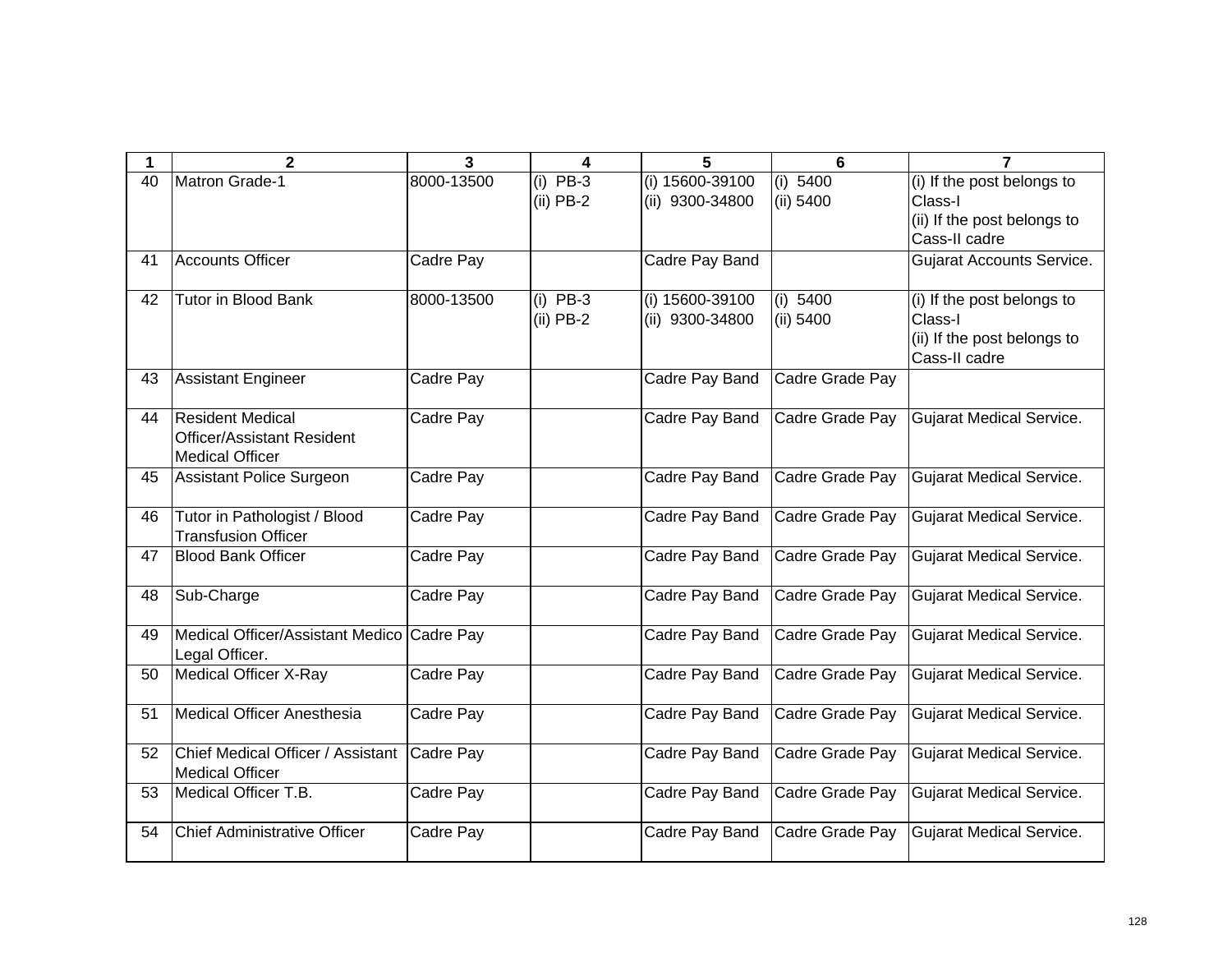| 1  | $\mathbf{2}$                                                                           | 3          | 4                         | 5                                  | 6                     | 7                                                                                     |
|----|----------------------------------------------------------------------------------------|------------|---------------------------|------------------------------------|-----------------------|---------------------------------------------------------------------------------------|
| 40 | Matron Grade-1                                                                         | 8000-13500 | $(i)$ PB-3<br>$(ii)$ PB-2 | (i) 15600-39100<br>(ii) 9300-34800 | (i) 5400<br>(ii) 5400 | (i) If the post belongs to<br>Class-I<br>(ii) If the post belongs to<br>Cass-II cadre |
| 41 | <b>Accounts Officer</b>                                                                | Cadre Pay  |                           | Cadre Pay Band                     |                       | <b>Gujarat Accounts Service.</b>                                                      |
| 42 | <b>Tutor in Blood Bank</b>                                                             | 8000-13500 | $(i)$ PB-3<br>$(ii)$ PB-2 | (i) 15600-39100<br>(ii) 9300-34800 | (i) 5400<br>(ii) 5400 | (i) If the post belongs to<br>Class-I<br>(ii) If the post belongs to<br>Cass-II cadre |
| 43 | <b>Assistant Engineer</b>                                                              | Cadre Pay  |                           | Cadre Pay Band                     | Cadre Grade Pay       |                                                                                       |
| 44 | <b>Resident Medical</b><br><b>Officer/Assistant Resident</b><br><b>Medical Officer</b> | Cadre Pay  |                           | Cadre Pay Band                     | Cadre Grade Pay       | <b>Gujarat Medical Service.</b>                                                       |
| 45 | Assistant Police Surgeon                                                               | Cadre Pay  |                           | Cadre Pay Band                     | Cadre Grade Pay       | <b>Gujarat Medical Service.</b>                                                       |
| 46 | Tutor in Pathologist / Blood<br><b>Transfusion Officer</b>                             | Cadre Pay  |                           | Cadre Pay Band                     | Cadre Grade Pay       | <b>Gujarat Medical Service.</b>                                                       |
| 47 | <b>Blood Bank Officer</b>                                                              | Cadre Pay  |                           | Cadre Pay Band                     | Cadre Grade Pay       | <b>Gujarat Medical Service.</b>                                                       |
| 48 | Sub-Charge                                                                             | Cadre Pay  |                           | Cadre Pay Band                     | Cadre Grade Pay       | <b>Gujarat Medical Service.</b>                                                       |
| 49 | Medical Officer/Assistant Medico Cadre Pay<br>Legal Officer.                           |            |                           | Cadre Pay Band                     | Cadre Grade Pay       | <b>Gujarat Medical Service.</b>                                                       |
| 50 | <b>Medical Officer X-Ray</b>                                                           | Cadre Pay  |                           | Cadre Pay Band                     | Cadre Grade Pay       | <b>Gujarat Medical Service.</b>                                                       |
| 51 | <b>Medical Officer Anesthesia</b>                                                      | Cadre Pay  |                           | Cadre Pay Band                     | Cadre Grade Pay       | <b>Gujarat Medical Service.</b>                                                       |
| 52 | Chief Medical Officer / Assistant<br><b>Medical Officer</b>                            | Cadre Pay  |                           | Cadre Pay Band                     | Cadre Grade Pay       | <b>Gujarat Medical Service.</b>                                                       |
| 53 | Medical Officer T.B.                                                                   | Cadre Pay  |                           | Cadre Pay Band                     | Cadre Grade Pay       | <b>Gujarat Medical Service.</b>                                                       |
| 54 | <b>Chief Administrative Officer</b>                                                    | Cadre Pay  |                           | Cadre Pay Band                     | Cadre Grade Pay       | <b>Gujarat Medical Service.</b>                                                       |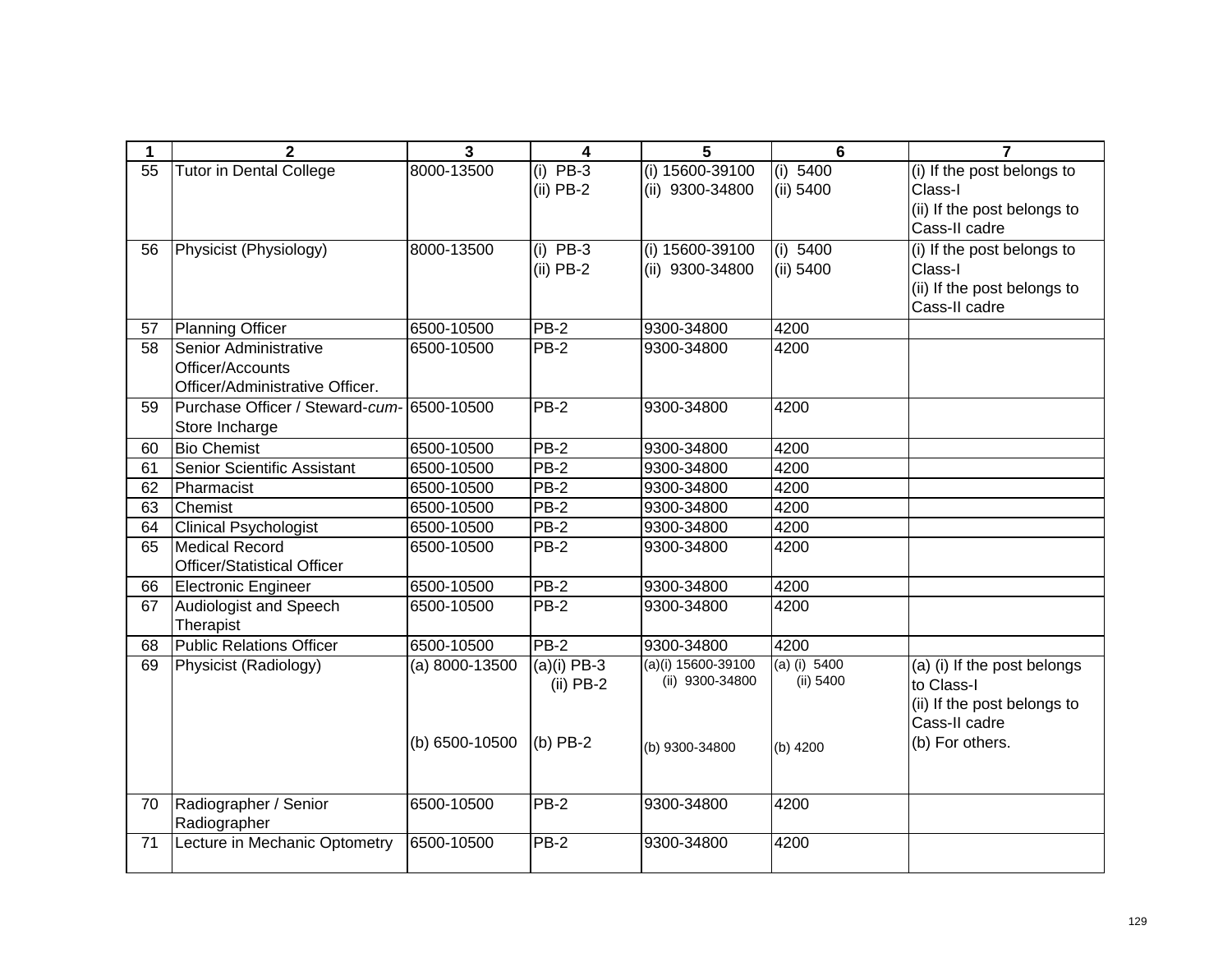| 1        | $\mathbf{2}$                               | $\overline{3}$           | 4                         | 5                                  | 6                     | $\overline{7}$                        |
|----------|--------------------------------------------|--------------------------|---------------------------|------------------------------------|-----------------------|---------------------------------------|
| 55       | <b>Tutor in Dental College</b>             | 8000-13500               | $(i)$ PB-3<br>$(ii)$ PB-2 | (i) 15600-39100<br>(ii) 9300-34800 | (i) 5400<br>(ii) 5400 | (i) If the post belongs to<br>Class-I |
|          |                                            |                          |                           |                                    |                       | (ii) If the post belongs to           |
|          |                                            |                          |                           |                                    |                       | Cass-II cadre                         |
| 56       | Physicist (Physiology)                     | 8000-13500               | $(i)$ PB-3                | (i) 15600-39100                    | (i) 5400              | (i) If the post belongs to            |
|          |                                            |                          | $(ii)$ PB-2               | (ii) 9300-34800                    | (ii) 5400             | Class-I                               |
|          |                                            |                          |                           |                                    |                       | (ii) If the post belongs to           |
|          |                                            |                          |                           |                                    |                       | Cass-II cadre                         |
| 57       | Planning Officer                           | 6500-10500               | $PB-2$                    | 9300-34800                         | 4200                  |                                       |
| 58       | Senior Administrative                      | 6500-10500               | $PB-2$                    | 9300-34800                         | 4200                  |                                       |
|          | Officer/Accounts                           |                          |                           |                                    |                       |                                       |
|          | Officer/Administrative Officer.            |                          | PB-2                      |                                    | 4200                  |                                       |
| 59       | Purchase Officer / Steward-cum- 6500-10500 |                          |                           | 9300-34800                         |                       |                                       |
| 60       | Store Incharge<br><b>Bio Chemist</b>       | 6500-10500               | <b>PB-2</b>               | 9300-34800                         | 4200                  |                                       |
|          | Senior Scientific Assistant                |                          | $PB-2$                    |                                    | 4200                  |                                       |
| 61<br>62 | Pharmacist                                 | 6500-10500<br>6500-10500 | $PB-2$                    | 9300-34800<br>9300-34800           | 4200                  |                                       |
| 63       | Chemist                                    | 6500-10500               | <b>PB-2</b>               | 9300-34800                         | 4200                  |                                       |
| 64       | <b>Clinical Psychologist</b>               | 6500-10500               | $PB-2$                    | 9300-34800                         | 4200                  |                                       |
| 65       | Medical Record                             | 6500-10500               | <b>PB-2</b>               | 9300-34800                         | 4200                  |                                       |
|          | <b>Officer/Statistical Officer</b>         |                          |                           |                                    |                       |                                       |
| 66       | Electronic Engineer                        | 6500-10500               | $PB-2$                    | 9300-34800                         | 4200                  |                                       |
| 67       | Audiologist and Speech                     | 6500-10500               | $PB-2$                    | 9300-34800                         | 4200                  |                                       |
|          | Therapist                                  |                          |                           |                                    |                       |                                       |
| 68       | Public Relations Officer                   | 6500-10500               | <b>PB-2</b>               | 9300-34800                         | 4200                  |                                       |
| 69       | Physicist (Radiology)                      | $(a) 8000 - 13500$       | $(a)(i)$ PB-3             | $(a)(i)$ 15600-39100               | $(a)$ (i) 5400        | (a) (i) If the post belongs           |
|          |                                            |                          | $(ii)$ PB-2               | (ii) 9300-34800                    | (ii) 5400             | to Class-I                            |
|          |                                            |                          |                           |                                    |                       | (ii) If the post belongs to           |
|          |                                            |                          |                           |                                    |                       | Cass-II cadre                         |
|          |                                            | (b) 6500-10500           | $(b)$ PB-2                | (b) 9300-34800                     | (b) 4200              | (b) For others.                       |
|          |                                            |                          |                           |                                    |                       |                                       |
|          |                                            |                          |                           |                                    |                       |                                       |
| 70       | Radiographer / Senior                      | 6500-10500               | $PB-2$                    | 9300-34800                         | 4200                  |                                       |
|          | Radiographer                               | 6500-10500               | <b>PB-2</b>               | 9300-34800                         | 4200                  |                                       |
| 71       | Lecture in Mechanic Optometry              |                          |                           |                                    |                       |                                       |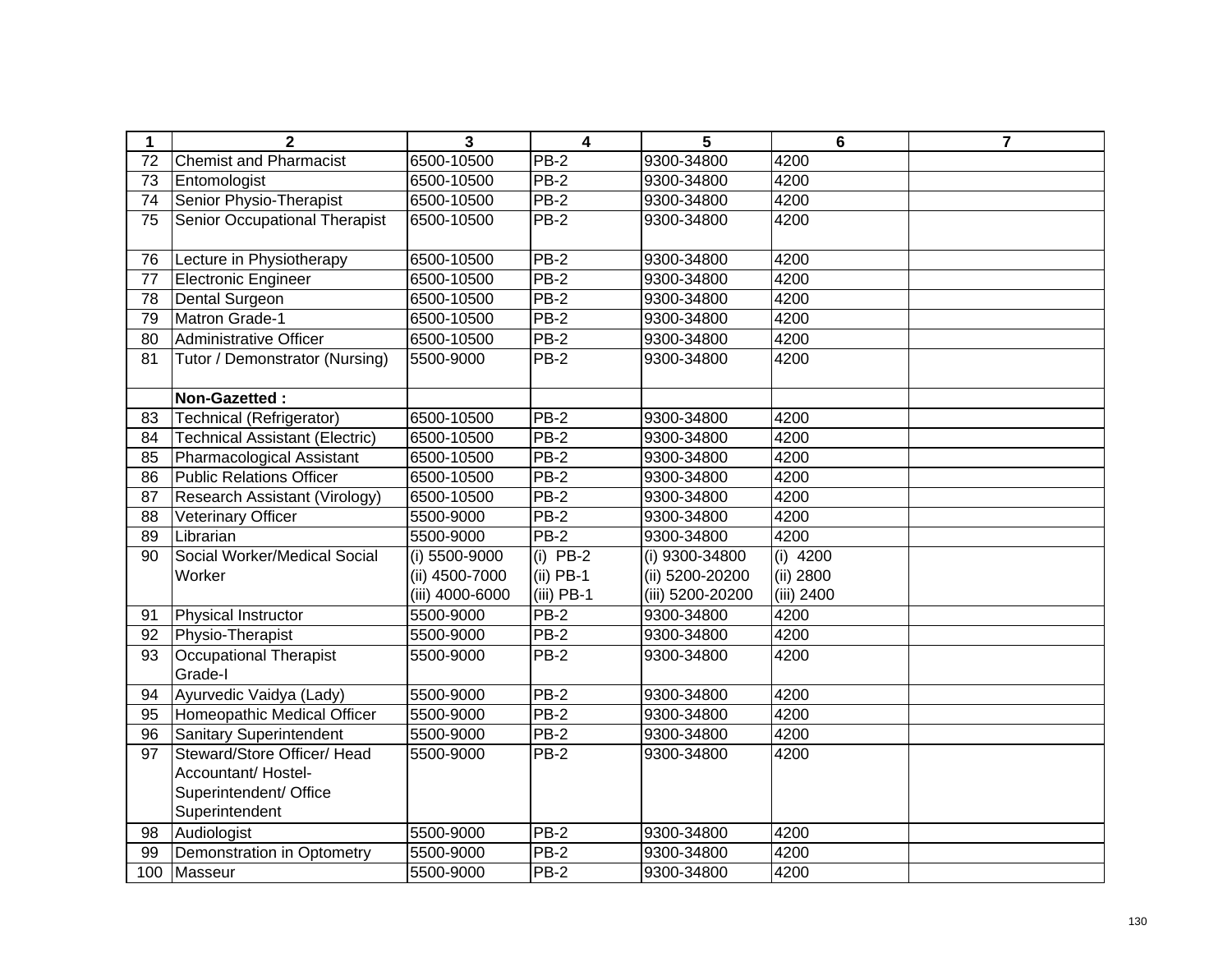| 1   | $\mathbf{2}$                          | $\mathbf{3}$    | $\overline{\mathbf{4}}$ | 5                | $6\phantom{1}$ | $\overline{7}$ |
|-----|---------------------------------------|-----------------|-------------------------|------------------|----------------|----------------|
| 72  | <b>Chemist and Pharmacist</b>         | 6500-10500      | $PB-2$                  | 9300-34800       | 4200           |                |
| 73  | Entomologist                          | 6500-10500      | <b>PB-2</b>             | 9300-34800       | 4200           |                |
| 74  | Senior Physio-Therapist               | 6500-10500      | $PB-2$                  | 9300-34800       | 4200           |                |
| 75  | Senior Occupational Therapist         | 6500-10500      | <b>PB-2</b>             | 9300-34800       | 4200           |                |
|     |                                       |                 |                         |                  |                |                |
| 76  | Lecture in Physiotherapy              | 6500-10500      | $PB-2$                  | 9300-34800       | 4200           |                |
| 77  | <b>Electronic Engineer</b>            | 6500-10500      | $PB-2$                  | 9300-34800       | 4200           |                |
| 78  | Dental Surgeon                        | 6500-10500      | $PB-2$                  | 9300-34800       | 4200           |                |
| 79  | Matron Grade-1                        | 6500-10500      | $PB-2$                  | 9300-34800       | 4200           |                |
| 80  | Administrative Officer                | 6500-10500      | $PB-2$                  | 9300-34800       | 4200           |                |
| 81  | Tutor / Demonstrator (Nursing)        | 5500-9000       | <b>PB-2</b>             | 9300-34800       | 4200           |                |
|     |                                       |                 |                         |                  |                |                |
|     | Non-Gazetted:                         |                 |                         |                  |                |                |
| 83  | <b>Technical (Refrigerator)</b>       | 6500-10500      | $PB-2$                  | 9300-34800       | 4200           |                |
| 84  | <b>Technical Assistant (Electric)</b> | 6500-10500      | $PB-2$                  | 9300-34800       | 4200           |                |
| 85  | Pharmacological Assistant             | 6500-10500      | $PB-2$                  | 9300-34800       | 4200           |                |
| 86  | <b>Public Relations Officer</b>       | 6500-10500      | $PB-2$                  | 9300-34800       | 4200           |                |
| 87  | Research Assistant (Virology)         | 6500-10500      | PB-2                    | 9300-34800       | 4200           |                |
| 88  | <b>Veterinary Officer</b>             | 5500-9000       | $PB-2$                  | 9300-34800       | 4200           |                |
| 89  | Librarian                             | 5500-9000       | $PB-2$                  | 9300-34800       | 4200           |                |
| 90  | Social Worker/Medical Social          | (i) 5500-9000   | $(i)$ PB-2              | (i) 9300-34800   | (i) $4200$     |                |
|     | Worker                                | (ii) 4500-7000  | $(ii)$ PB-1             | (ii) 5200-20200  | (ii) 2800      |                |
|     |                                       | (iii) 4000-6000 | $(iii)$ PB-1            | (iii) 5200-20200 | (iii) 2400     |                |
| 91  | Physical Instructor                   | 5500-9000       | PB-2                    | 9300-34800       | 4200           |                |
| 92  | Physio-Therapist                      | 5500-9000       | PB-2                    | 9300-34800       | 4200           |                |
| 93  | Occupational Therapist                | 5500-9000       | PB-2                    | 9300-34800       | 4200           |                |
|     | Grade-I                               |                 |                         |                  |                |                |
| 94  | Ayurvedic Vaidya (Lady)               | 5500-9000       | $PB-2$                  | 9300-34800       | 4200           |                |
| 95  | Homeopathic Medical Officer           | 5500-9000       | $PB-2$                  | 9300-34800       | 4200           |                |
| 96  | <b>Sanitary Superintendent</b>        | 5500-9000       | $PB-2$                  | 9300-34800       | 4200           |                |
| 97  | Steward/Store Officer/ Head           | 5500-9000       | $PB-2$                  | 9300-34800       | 4200           |                |
|     | Accountant/ Hostel-                   |                 |                         |                  |                |                |
|     | Superintendent/ Office                |                 |                         |                  |                |                |
|     | Superintendent                        |                 |                         |                  |                |                |
| 98  | Audiologist                           | 5500-9000       | <b>PB-2</b>             | 9300-34800       | 4200           |                |
| 99  | Demonstration in Optometry            | 5500-9000       | $PB-2$                  | 9300-34800       | 4200           |                |
| 100 | Masseur                               | 5500-9000       | PB-2                    | 9300-34800       | 4200           |                |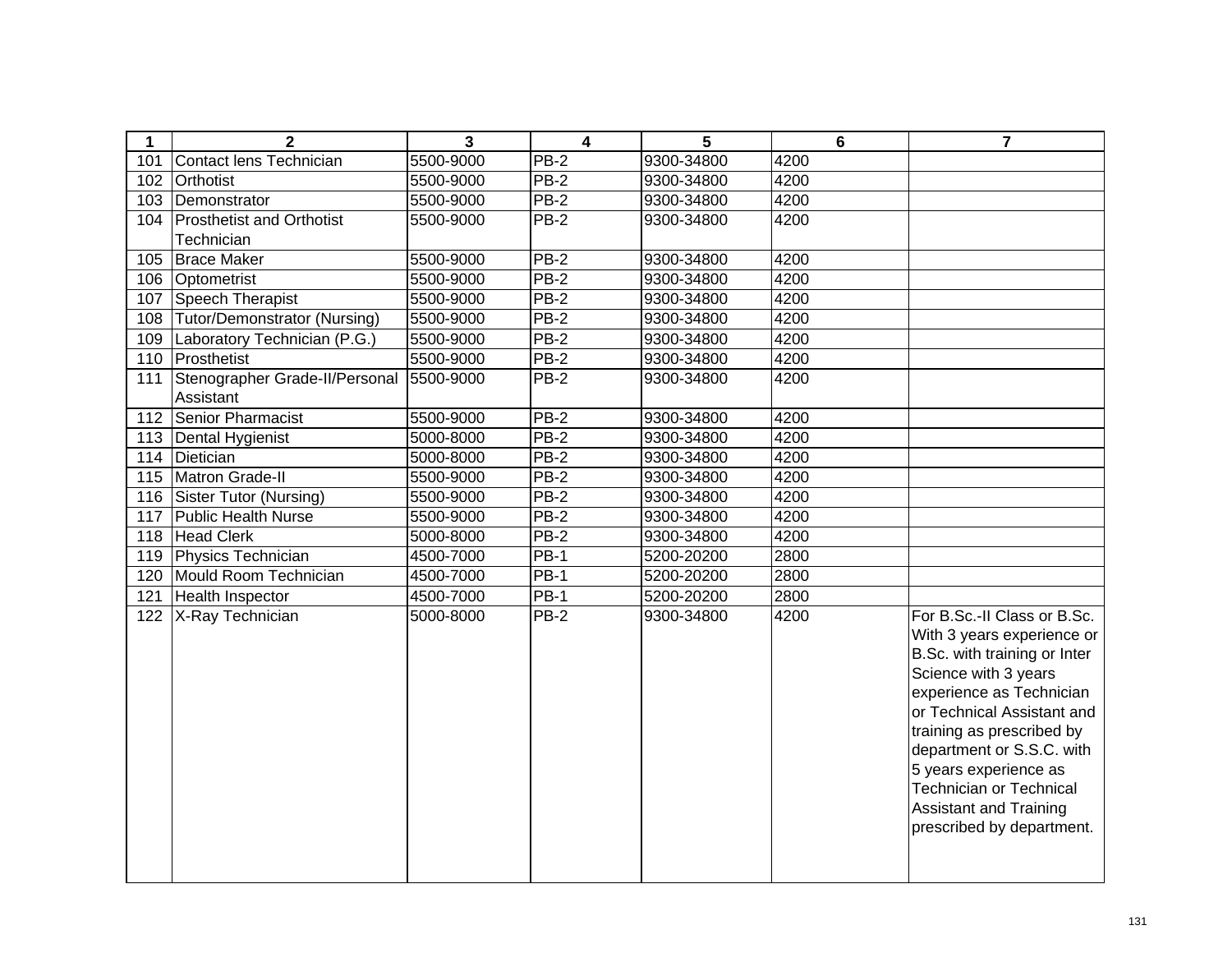| 1   | 2                                | $\mathbf 3$ | $\overline{\mathbf{4}}$ | 5          | 6    | $\overline{7}$                                                                                                                                                                                                                                                                                                                                          |
|-----|----------------------------------|-------------|-------------------------|------------|------|---------------------------------------------------------------------------------------------------------------------------------------------------------------------------------------------------------------------------------------------------------------------------------------------------------------------------------------------------------|
| 101 | Contact lens Technician          | 5500-9000   | $\overline{PB-2}$       | 9300-34800 | 4200 |                                                                                                                                                                                                                                                                                                                                                         |
| 102 | Orthotist                        | 5500-9000   | $PB-2$                  | 9300-34800 | 4200 |                                                                                                                                                                                                                                                                                                                                                         |
| 103 | Demonstrator                     | 5500-9000   | PB-2                    | 9300-34800 | 4200 |                                                                                                                                                                                                                                                                                                                                                         |
| 104 | <b>Prosthetist and Orthotist</b> | 5500-9000   | $PB-2$                  | 9300-34800 | 4200 |                                                                                                                                                                                                                                                                                                                                                         |
|     | Technician                       |             |                         |            |      |                                                                                                                                                                                                                                                                                                                                                         |
| 105 | <b>Brace Maker</b>               | 5500-9000   | $PB-2$                  | 9300-34800 | 4200 |                                                                                                                                                                                                                                                                                                                                                         |
| 106 | Optometrist                      | 5500-9000   | $PB-2$                  | 9300-34800 | 4200 |                                                                                                                                                                                                                                                                                                                                                         |
| 107 | Speech Therapist                 | 5500-9000   | $PB-2$                  | 9300-34800 | 4200 |                                                                                                                                                                                                                                                                                                                                                         |
| 108 | Tutor/Demonstrator (Nursing)     | 5500-9000   | $PB-2$                  | 9300-34800 | 4200 |                                                                                                                                                                                                                                                                                                                                                         |
| 109 | Laboratory Technician (P.G.)     | 5500-9000   | $PB-2$                  | 9300-34800 | 4200 |                                                                                                                                                                                                                                                                                                                                                         |
| 110 | Prosthetist                      | 5500-9000   | $PB-2$                  | 9300-34800 | 4200 |                                                                                                                                                                                                                                                                                                                                                         |
| 111 | Stenographer Grade-II/Personal   | 5500-9000   | <b>PB-2</b>             | 9300-34800 | 4200 |                                                                                                                                                                                                                                                                                                                                                         |
|     | Assistant                        |             |                         |            |      |                                                                                                                                                                                                                                                                                                                                                         |
| 112 | Senior Pharmacist                | 5500-9000   | $PB-2$                  | 9300-34800 | 4200 |                                                                                                                                                                                                                                                                                                                                                         |
| 113 | Dental Hygienist                 | 5000-8000   | $PB-2$                  | 9300-34800 | 4200 |                                                                                                                                                                                                                                                                                                                                                         |
| 114 | Dietician                        | 5000-8000   | <b>PB-2</b>             | 9300-34800 | 4200 |                                                                                                                                                                                                                                                                                                                                                         |
| 115 | Matron Grade-II                  | 5500-9000   | $PB-2$                  | 9300-34800 | 4200 |                                                                                                                                                                                                                                                                                                                                                         |
| 116 | Sister Tutor (Nursing)           | 5500-9000   | <b>PB-2</b>             | 9300-34800 | 4200 |                                                                                                                                                                                                                                                                                                                                                         |
| 117 | <b>Public Health Nurse</b>       | 5500-9000   | $PB-2$                  | 9300-34800 | 4200 |                                                                                                                                                                                                                                                                                                                                                         |
| 118 | <b>Head Clerk</b>                | 5000-8000   | $PB-2$                  | 9300-34800 | 4200 |                                                                                                                                                                                                                                                                                                                                                         |
| 119 | Physics Technician               | 4500-7000   | <b>PB-1</b>             | 5200-20200 | 2800 |                                                                                                                                                                                                                                                                                                                                                         |
| 120 | Mould Room Technician            | 4500-7000   | $PB-1$                  | 5200-20200 | 2800 |                                                                                                                                                                                                                                                                                                                                                         |
| 121 | Health Inspector                 | 4500-7000   | $PB-1$                  | 5200-20200 | 2800 |                                                                                                                                                                                                                                                                                                                                                         |
| 122 | X-Ray Technician                 | 5000-8000   | <b>PB-2</b>             | 9300-34800 | 4200 | For B.Sc.-II Class or B.Sc.<br>With 3 years experience or<br>B.Sc. with training or Inter<br>Science with 3 years<br>experience as Technician<br>or Technical Assistant and<br>training as prescribed by<br>department or S.S.C. with<br>5 years experience as<br><b>Technician or Technical</b><br>Assistant and Training<br>prescribed by department. |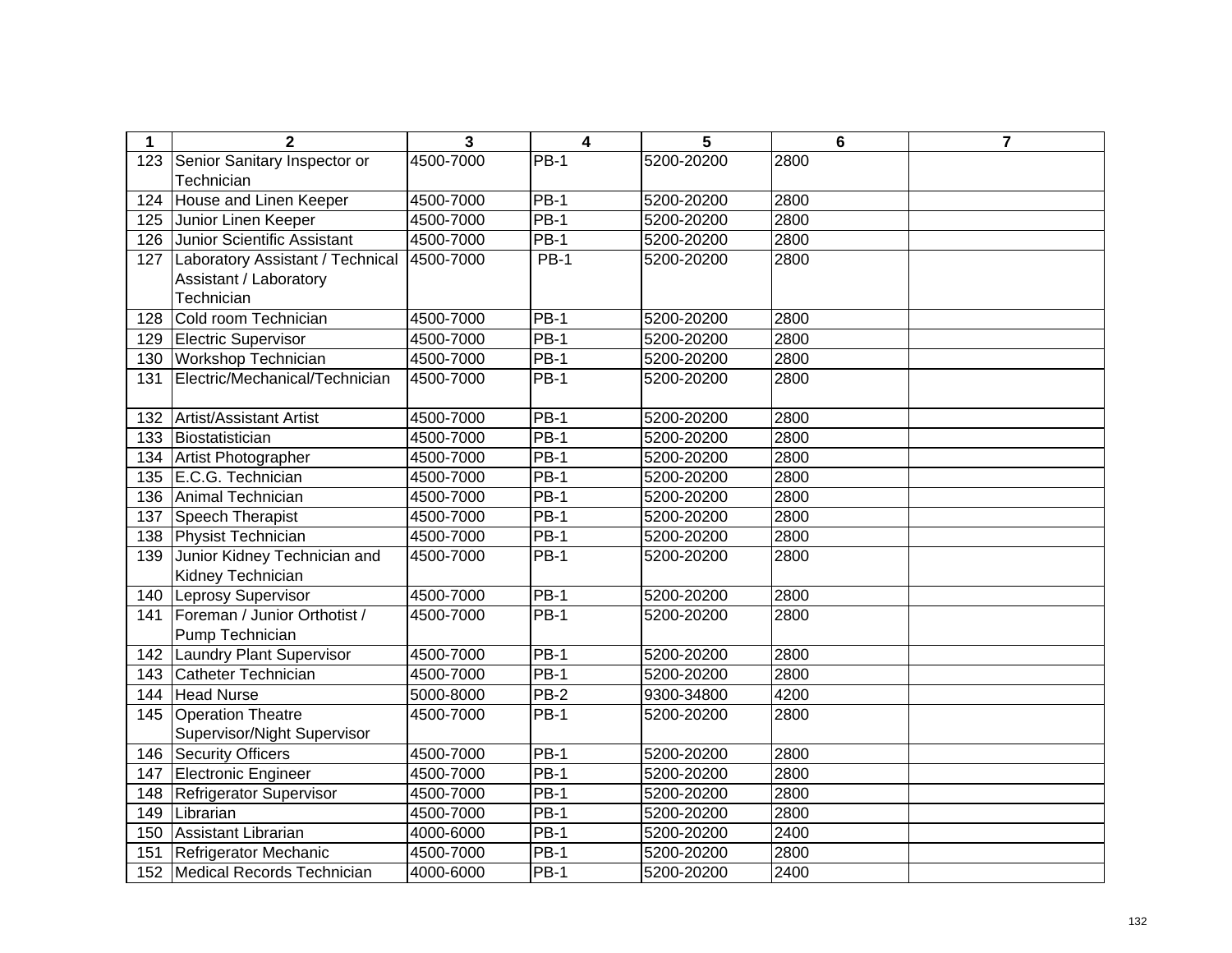| 1   | $\overline{2}$                   | 3         | $\overline{\mathbf{4}}$ | 5          | $6\phantom{1}$ | $\overline{7}$ |
|-----|----------------------------------|-----------|-------------------------|------------|----------------|----------------|
| 123 | Senior Sanitary Inspector or     | 4500-7000 | $PB-1$                  | 5200-20200 | 2800           |                |
|     | Technician                       |           |                         |            |                |                |
| 124 | House and Linen Keeper           | 4500-7000 | $PB-1$                  | 5200-20200 | 2800           |                |
| 125 | Junior Linen Keeper              | 4500-7000 | $PB-1$                  | 5200-20200 | 2800           |                |
| 126 | Junior Scientific Assistant      | 4500-7000 | $PB-1$                  | 5200-20200 | 2800           |                |
| 127 | Laboratory Assistant / Technical | 4500-7000 | $PB-1$                  | 5200-20200 | 2800           |                |
|     | Assistant / Laboratory           |           |                         |            |                |                |
|     | Technician                       |           |                         |            |                |                |
| 128 | Cold room Technician             | 4500-7000 | $PB-1$                  | 5200-20200 | 2800           |                |
| 129 | Electric Supervisor              | 4500-7000 | $PB-1$                  | 5200-20200 | 2800           |                |
| 130 | <b>Workshop Technician</b>       | 4500-7000 | <b>PB-1</b>             | 5200-20200 | 2800           |                |
| 131 | Electric/Mechanical/Technician   | 4500-7000 | <b>PB-1</b>             | 5200-20200 | 2800           |                |
|     |                                  |           |                         |            |                |                |
| 132 | Artist/Assistant Artist          | 4500-7000 | $PB-1$                  | 5200-20200 | 2800           |                |
| 133 | Biostatistician                  | 4500-7000 | $PB-1$                  | 5200-20200 | 2800           |                |
| 134 | Artist Photographer              | 4500-7000 | $PB-1$                  | 5200-20200 | 2800           |                |
| 135 | E.C.G. Technician                | 4500-7000 | $PB-1$                  | 5200-20200 | 2800           |                |
| 136 | Animal Technician                | 4500-7000 | <b>PB-1</b>             | 5200-20200 | 2800           |                |
| 137 | Speech Therapist                 | 4500-7000 | <b>PB-1</b>             | 5200-20200 | 2800           |                |
| 138 | Physist Technician               | 4500-7000 | <b>PB-1</b>             | 5200-20200 | 2800           |                |
| 139 | Junior Kidney Technician and     | 4500-7000 | <b>PB-1</b>             | 5200-20200 | 2800           |                |
|     | Kidney Technician                |           |                         |            |                |                |
| 140 | Leprosy Supervisor               | 4500-7000 | <b>PB-1</b>             | 5200-20200 | 2800           |                |
| 141 | Foreman / Junior Orthotist /     | 4500-7000 | $PB-1$                  | 5200-20200 | 2800           |                |
|     | Pump Technician                  |           |                         |            |                |                |
| 142 | <b>Laundry Plant Supervisor</b>  | 4500-7000 | $PB-1$                  | 5200-20200 | 2800           |                |
| 143 | Catheter Technician              | 4500-7000 | <b>PB-1</b>             | 5200-20200 | 2800           |                |
| 144 | <b>Head Nurse</b>                | 5000-8000 | PB-2                    | 9300-34800 | 4200           |                |
| 145 | <b>Operation Theatre</b>         | 4500-7000 | <b>PB-1</b>             | 5200-20200 | 2800           |                |
|     | Supervisor/Night Supervisor      |           |                         |            |                |                |
| 146 | <b>Security Officers</b>         | 4500-7000 | $PB-1$                  | 5200-20200 | 2800           |                |
| 147 | Electronic Engineer              | 4500-7000 | $PB-1$                  | 5200-20200 | 2800           |                |
| 148 | Refrigerator Supervisor          | 4500-7000 | $PB-1$                  | 5200-20200 | 2800           |                |
| 149 | Librarian                        | 4500-7000 | <b>PB-1</b>             | 5200-20200 | 2800           |                |
| 150 | Assistant Librarian              | 4000-6000 | <b>PB-1</b>             | 5200-20200 | 2400           |                |
| 151 | Refrigerator Mechanic            | 4500-7000 | <b>PB-1</b>             | 5200-20200 | 2800           |                |
|     | 152 Medical Records Technician   | 4000-6000 | <b>PB-1</b>             | 5200-20200 | 2400           |                |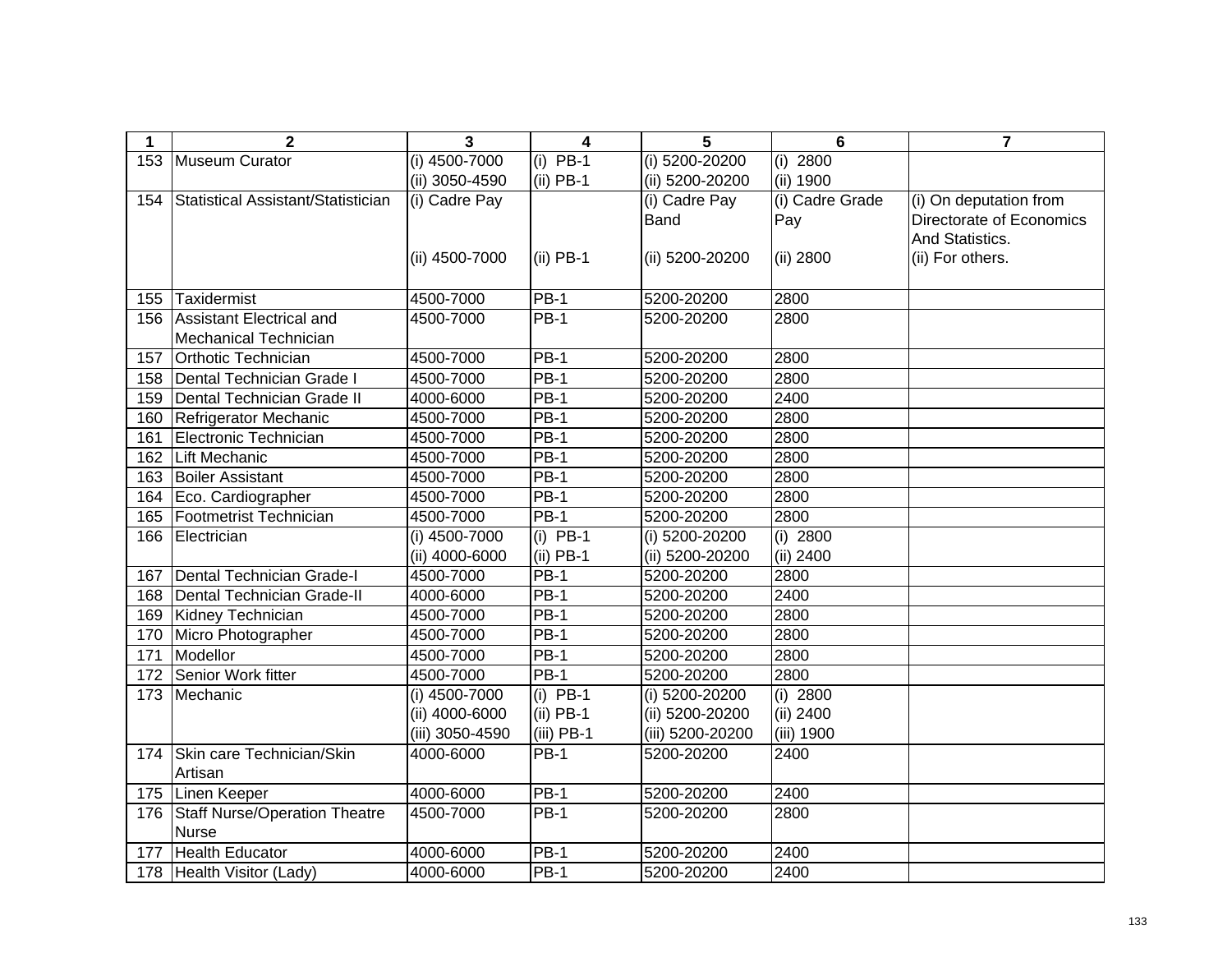| 1   | $\mathbf{2}$                       | 3               | $\overline{\mathbf{4}}$ | 5                | $6\phantom{1}$  | $\overline{7}$           |
|-----|------------------------------------|-----------------|-------------------------|------------------|-----------------|--------------------------|
| 153 | Museum Curator                     | $(i)$ 4500-7000 | $(i)$ PB-1              | (i) 5200-20200   | $(i)$ 2800      |                          |
|     |                                    | (ii) 3050-4590  | $(ii)$ PB-1             | (ii) 5200-20200  | (ii) 1900       |                          |
| 154 | Statistical Assistant/Statistician | (i) Cadre Pay   |                         | (i) Cadre Pay    | (i) Cadre Grade | (i) On deputation from   |
|     |                                    |                 |                         | <b>Band</b>      | Pay             | Directorate of Economics |
|     |                                    |                 |                         |                  |                 | And Statistics.          |
|     |                                    | (ii) 4500-7000  | $(ii)$ PB-1             | (ii) 5200-20200  | (ii) 2800       | (ii) For others.         |
|     |                                    |                 |                         |                  |                 |                          |
| 155 | Taxidermist                        | 4500-7000       | <b>PB-1</b>             | 5200-20200       | 2800            |                          |
| 156 | Assistant Electrical and           | 4500-7000       | <b>PB-1</b>             | 5200-20200       | 2800            |                          |
|     | <b>Mechanical Technician</b>       |                 |                         |                  |                 |                          |
| 157 | <b>Orthotic Technician</b>         | 4500-7000       | <b>PB-1</b>             | 5200-20200       | 2800            |                          |
| 158 | Dental Technician Grade I          | 4500-7000       | $PB-1$                  | 5200-20200       | 2800            |                          |
| 159 | Dental Technician Grade II         | 4000-6000       | PB-1                    | 5200-20200       | 2400            |                          |
| 160 | Refrigerator Mechanic              | 4500-7000       | $PB-1$                  | 5200-20200       | 2800            |                          |
| 161 | Electronic Technician              | 4500-7000       | <b>PB-1</b>             | 5200-20200       | 2800            |                          |
| 162 | Lift Mechanic                      | 4500-7000       | $PB-1$                  | 5200-20200       | 2800            |                          |
| 163 | <b>Boiler Assistant</b>            | 4500-7000       | $PB-1$                  | 5200-20200       | 2800            |                          |
| 164 | Eco. Cardiographer                 | 4500-7000       | $PB-1$                  | 5200-20200       | 2800            |                          |
| 165 | Footmetrist Technician             | 4500-7000       | <b>PB-1</b>             | 5200-20200       | 2800            |                          |
| 166 | Electrician                        | (i) 4500-7000   | $(i)$ PB-1              | (i) 5200-20200   | (i) $2800$      |                          |
|     |                                    | (ii) 4000-6000  | $(ii)$ PB-1             | (ii) 5200-20200  | (ii) 2400       |                          |
| 167 | Dental Technician Grade-I          | 4500-7000       | $PB-1$                  | 5200-20200       | 2800            |                          |
| 168 | Dental Technician Grade-II         | 4000-6000       | $PB-1$                  | 5200-20200       | 2400            |                          |
| 169 | Kidney Technician                  | 4500-7000       | $PB-1$                  | 5200-20200       | 2800            |                          |
| 170 | Micro Photographer                 | 4500-7000       | $PB-1$                  | 5200-20200       | 2800            |                          |
| 171 | Modellor                           | 4500-7000       | $PB-1$                  | 5200-20200       | 2800            |                          |
| 172 | Senior Work fitter                 | 4500-7000       | $PB-1$                  | 5200-20200       | 2800            |                          |
| 173 | Mechanic                           | (i) 4500-7000   | $(i)$ PB-1              | (i) 5200-20200   | $(i)$ 2800      |                          |
|     |                                    | (ii) 4000-6000  | $(ii)$ PB-1             | (ii) 5200-20200  | (ii) 2400       |                          |
|     |                                    | (iii) 3050-4590 | $(iii)$ PB-1            | (iii) 5200-20200 | (iii) 1900      |                          |
| 174 | Skin care Technician/Skin          | 4000-6000       | $PB-1$                  | 5200-20200       | 2400            |                          |
|     | Artisan                            |                 |                         |                  |                 |                          |
|     | 175 Linen Keeper                   | 4000-6000       | $PB-1$                  | 5200-20200       | 2400            |                          |
| 176 | Staff Nurse/Operation Theatre      | 4500-7000       | <b>PB-1</b>             | 5200-20200       | 2800            |                          |
|     | <b>Nurse</b>                       |                 |                         |                  |                 |                          |
| 177 | <b>Health Educator</b>             | 4000-6000       | <b>PB-1</b>             | 5200-20200       | 2400            |                          |
|     | 178 Health Visitor (Lady)          | 4000-6000       | <b>PB-1</b>             | 5200-20200       | 2400            |                          |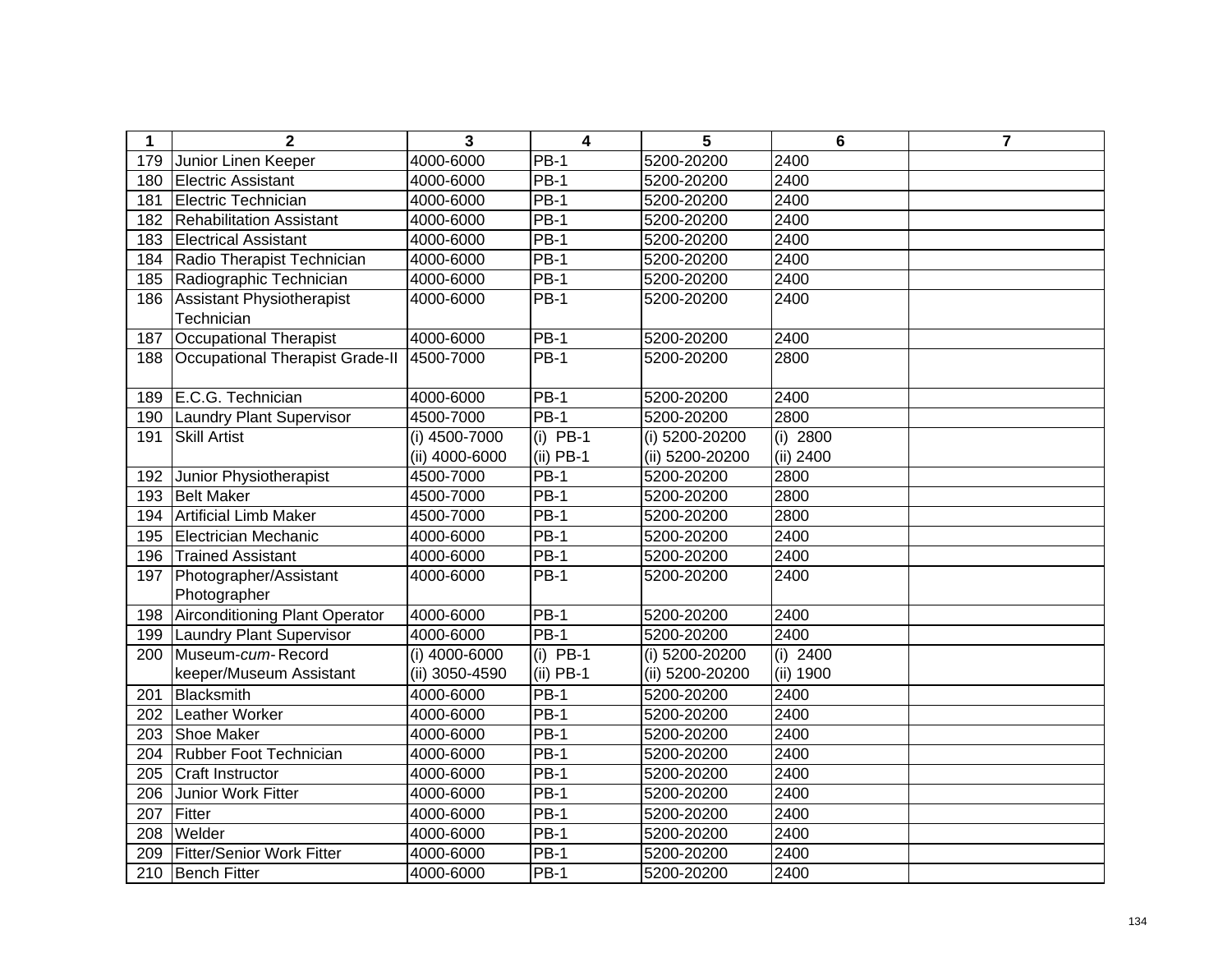| $\mathbf 1$ | $\mathbf{2}$                          | 3              | 4           | 5               | 6                | 7 |
|-------------|---------------------------------------|----------------|-------------|-----------------|------------------|---|
| 179         | Junior Linen Keeper                   | 4000-6000      | $PB-1$      | 5200-20200      | 2400             |   |
| 180         | Electric Assistant                    | 4000-6000      | $PB-1$      | 5200-20200      | 2400             |   |
| 181         | Electric Technician                   | 4000-6000      | <b>PB-1</b> | 5200-20200      | 2400             |   |
| 182         | <b>Rehabilitation Assistant</b>       | 4000-6000      | $PB-1$      | 5200-20200      | 2400             |   |
| 183         | <b>Electrical Assistant</b>           | 4000-6000      | $PB-1$      | 5200-20200      | 2400             |   |
| 184         | Radio Therapist Technician            | 4000-6000      | $PB-1$      | 5200-20200      | 2400             |   |
| 185         | Radiographic Technician               | 4000-6000      | $PB-1$      | 5200-20200      | 2400             |   |
| 186         | Assistant Physiotherapist             | 4000-6000      | <b>PB-1</b> | 5200-20200      | 2400             |   |
|             | Technician                            |                |             |                 |                  |   |
| 187         | <b>Occupational Therapist</b>         | 4000-6000      | $PB-1$      | 5200-20200      | 2400             |   |
| 188         | Occupational Therapist Grade-II       | 4500-7000      | $PB-1$      | 5200-20200      | 2800             |   |
|             |                                       |                |             |                 |                  |   |
| 189         | E.C.G. Technician                     | 4000-6000      | $PB-1$      | 5200-20200      | 2400             |   |
| 190         | Laundry Plant Supervisor              | 4500-7000      | $PB-1$      | 5200-20200      | 2800             |   |
| 191         | <b>Skill Artist</b>                   | (i) 4500-7000  | $(i)$ PB-1  | (i) 5200-20200  | (i) 2800         |   |
|             |                                       | (ii) 4000-6000 | (ii) PB-1   | (ii) 5200-20200 | (ii) 2400        |   |
| 192         | Junior Physiotherapist                | 4500-7000      | $PB-1$      | 5200-20200      | 2800             |   |
| 193         | <b>Belt Maker</b>                     | 4500-7000      | <b>PB-1</b> | 5200-20200      | 2800             |   |
| 194         | <b>Artificial Limb Maker</b>          | 4500-7000      | <b>PB-1</b> | 5200-20200      | 2800             |   |
| 195         | Electrician Mechanic                  | 4000-6000      | <b>PB-1</b> | 5200-20200      | 2400             |   |
| 196         | <b>Trained Assistant</b>              | 4000-6000      | <b>PB-1</b> | 5200-20200      | 2400             |   |
| 197         | Photographer/Assistant                | 4000-6000      | <b>PB-1</b> | 5200-20200      | 2400             |   |
|             | Photographer                          |                |             |                 |                  |   |
| 198         | <b>Airconditioning Plant Operator</b> | 4000-6000      | <b>PB-1</b> | 5200-20200      | 2400             |   |
| 199         | <b>Laundry Plant Supervisor</b>       | 4000-6000      | <b>PB-1</b> | 5200-20200      | 2400             |   |
| 200         | Museum-cum-Record                     | (i) 4000-6000  | $(i)$ PB-1  | (i) 5200-20200  | $(i)$ 2400       |   |
|             | keeper/Museum Assistant               | (ii) 3050-4590 | $(ii)$ PB-1 | (ii) 5200-20200 | (ii) 1900        |   |
| 201         | Blacksmith                            | 4000-6000      | <b>PB-1</b> | 5200-20200      | 2400             |   |
| 202         | Leather Worker                        | 4000-6000      | <b>PB-1</b> | 5200-20200      | 2400             |   |
| 203         | <b>Shoe Maker</b>                     | 4000-6000      | <b>PB-1</b> | 5200-20200      | 2400             |   |
| 204         | Rubber Foot Technician                | 4000-6000      | $PB-1$      | 5200-20200      | 2400             |   |
| 205         | <b>Craft Instructor</b>               | 4000-6000      | $PB-1$      | 5200-20200      | 2400             |   |
| 206         | Junior Work Fitter                    | 4000-6000      | $PB-1$      | 5200-20200      | 2400             |   |
| 207         | Fitter                                | 4000-6000      | $PB-1$      | 5200-20200      | 2400             |   |
| 208         | Welder                                | 4000-6000      | <b>PB-1</b> | 5200-20200      | $\frac{1}{2400}$ |   |
| 209         | <b>Fitter/Senior Work Fitter</b>      | 4000-6000      | <b>PB-1</b> | 5200-20200      | 2400             |   |
|             | 210 Bench Fitter                      | 4000-6000      | <b>PB-1</b> | 5200-20200      | 2400             |   |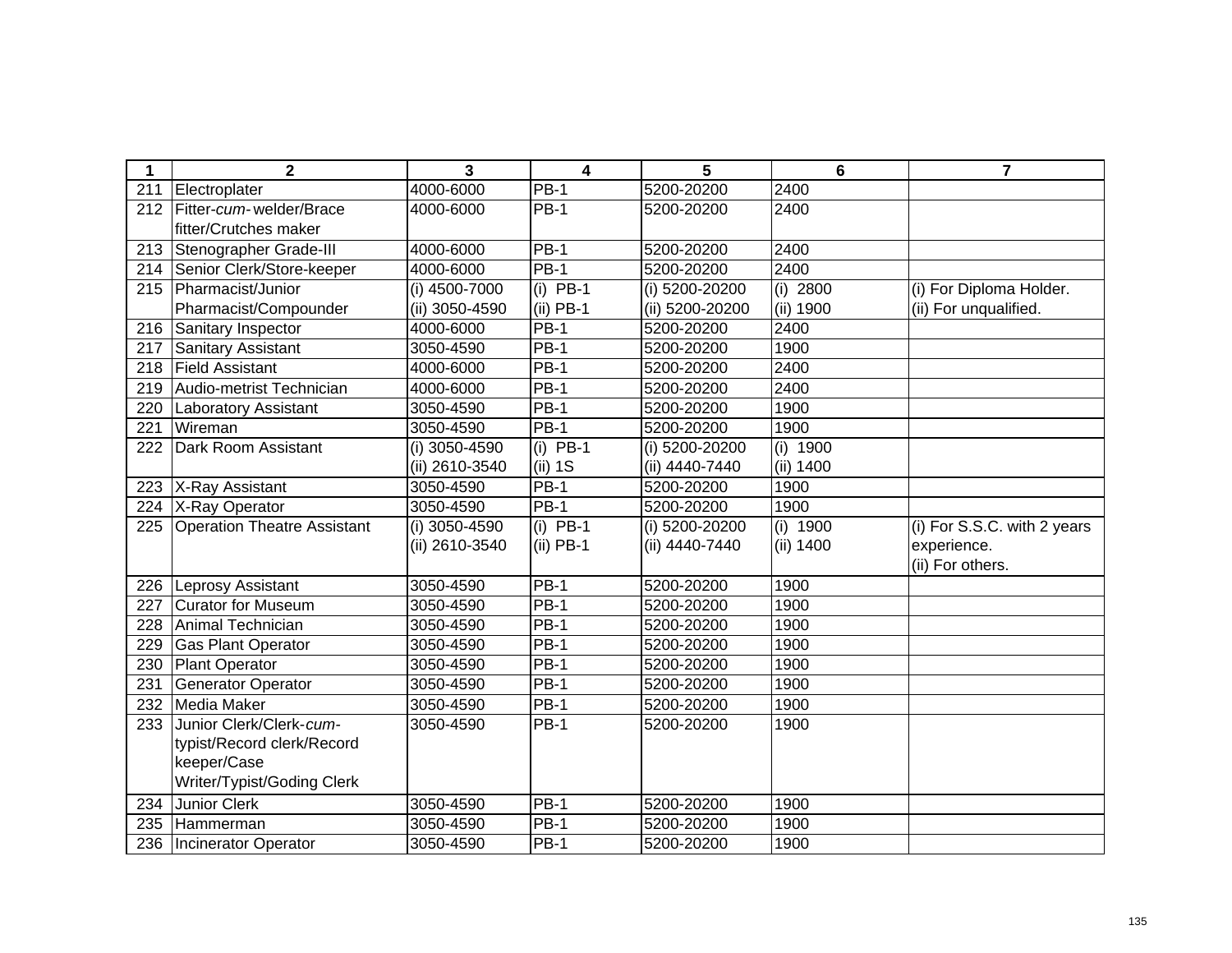| 1   | $\mathbf{2}$                       | 3              | 4           | 5               | 6         | 7                           |
|-----|------------------------------------|----------------|-------------|-----------------|-----------|-----------------------------|
| 211 | Electroplater                      | 4000-6000      | <b>PB-1</b> | 5200-20200      | 2400      |                             |
| 212 | Fitter-cum-welder/Brace            | 4000-6000      | <b>PB-1</b> | 5200-20200      | 2400      |                             |
|     | fitter/Crutches maker              |                |             |                 |           |                             |
| 213 | Stenographer Grade-III             | 4000-6000      | $PB-1$      | 5200-20200      | 2400      |                             |
| 214 | Senior Clerk/Store-keeper          | 4000-6000      | <b>PB-1</b> | 5200-20200      | 2400      |                             |
| 215 | Pharmacist/Junior                  | (i) 4500-7000  | $(i)$ PB-1  | (i) 5200-20200  | (i) 2800  | (i) For Diploma Holder.     |
|     | Pharmacist/Compounder              | (ii) 3050-4590 | $(ii)$ PB-1 | (ii) 5200-20200 | (ii) 1900 | (ii) For unqualified.       |
| 216 | Sanitary Inspector                 | 4000-6000      | <b>PB-1</b> | 5200-20200      | 2400      |                             |
| 217 | Sanitary Assistant                 | 3050-4590      | <b>PB-1</b> | 5200-20200      | 1900      |                             |
| 218 | <b>Field Assistant</b>             | 4000-6000      | <b>PB-1</b> | 5200-20200      | 2400      |                             |
| 219 | Audio-metrist Technician           | 4000-6000      | <b>PB-1</b> | 5200-20200      | 2400      |                             |
| 220 | <b>Laboratory Assistant</b>        | 3050-4590      | $PB-1$      | 5200-20200      | 1900      |                             |
| 221 | Wireman                            | 3050-4590      | <b>PB-1</b> | 5200-20200      | 1900      |                             |
| 222 | Dark Room Assistant                | (i) 3050-4590  | $(i)$ PB-1  | (i) 5200-20200  | (i) 1900  |                             |
|     |                                    | (ii) 2610-3540 | (ii) 1S     | (ii) 4440-7440  | (ii) 1400 |                             |
| 223 | X-Ray Assistant                    | 3050-4590      | <b>PB-1</b> | 5200-20200      | 1900      |                             |
| 224 | X-Ray Operator                     | 3050-4590      | <b>PB-1</b> | 5200-20200      | 1900      |                             |
| 225 | <b>Operation Theatre Assistant</b> | (i) 3050-4590  | $(i)$ PB-1  | (i) 5200-20200  | (i) 1900  | (i) For S.S.C. with 2 years |
|     |                                    | (ii) 2610-3540 | $(ii)$ PB-1 | (ii) 4440-7440  | (ii) 1400 | experience.                 |
|     |                                    |                |             |                 |           | (ii) For others.            |
| 226 | Leprosy Assistant                  | 3050-4590      | $PB-1$      | 5200-20200      | 1900      |                             |
| 227 | Curator for Museum                 | 3050-4590      | <b>PB-1</b> | 5200-20200      | 1900      |                             |
| 228 | Animal Technician                  | 3050-4590      | <b>PB-1</b> | 5200-20200      | 1900      |                             |
| 229 | <b>Gas Plant Operator</b>          | 3050-4590      | <b>PB-1</b> | 5200-20200      | 1900      |                             |
| 230 | Plant Operator                     | 3050-4590      | <b>PB-1</b> | 5200-20200      | 1900      |                             |
| 231 | <b>Generator Operator</b>          | 3050-4590      | <b>PB-1</b> | 5200-20200      | 1900      |                             |
| 232 | Media Maker                        | 3050-4590      | <b>PB-1</b> | 5200-20200      | 1900      |                             |
| 233 | Junior Clerk/Clerk-cum-            | 3050-4590      | <b>PB-1</b> | 5200-20200      | 1900      |                             |
|     | typist/Record clerk/Record         |                |             |                 |           |                             |
|     | keeper/Case                        |                |             |                 |           |                             |
|     | Writer/Typist/Goding Clerk         |                |             |                 |           |                             |
| 234 | <b>Junior Clerk</b>                | 3050-4590      | <b>PB-1</b> | 5200-20200      | 1900      |                             |
| 235 | <b>Hammerman</b>                   | 3050-4590      | $PB-1$      | 5200-20200      | 1900      |                             |
| 236 | Incinerator Operator               | 3050-4590      | <b>PB-1</b> | 5200-20200      | 1900      |                             |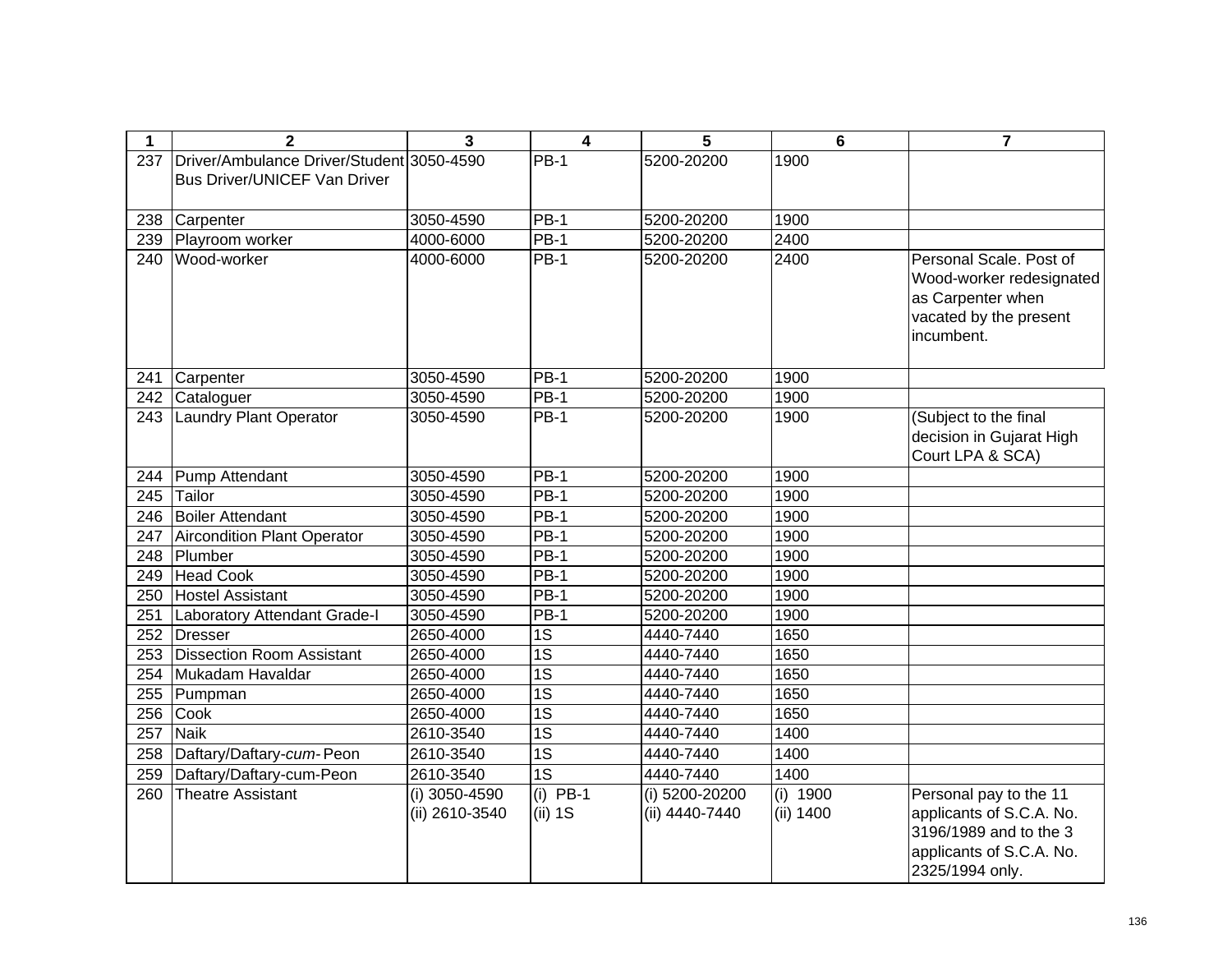| $\mathbf 1$ | $\overline{2}$                            | 3              | 4                 | 5              | $6\phantom{1}$ | $\overline{7}$                                      |
|-------------|-------------------------------------------|----------------|-------------------|----------------|----------------|-----------------------------------------------------|
| 237         | Driver/Ambulance Driver/Student 3050-4590 |                | <b>PB-1</b>       | 5200-20200     | 1900           |                                                     |
|             | <b>Bus Driver/UNICEF Van Driver</b>       |                |                   |                |                |                                                     |
|             |                                           |                |                   |                |                |                                                     |
| 238         | Carpenter                                 | 3050-4590      | $PB-1$            | 5200-20200     | 1900           |                                                     |
| 239         | Playroom worker                           | 4000-6000      | <b>PB-1</b>       | 5200-20200     | 2400           |                                                     |
| 240         | Wood-worker                               | 4000-6000      | $PB-1$            | 5200-20200     | 2400           | Personal Scale. Post of<br>Wood-worker redesignated |
|             |                                           |                |                   |                |                | as Carpenter when                                   |
|             |                                           |                |                   |                |                | vacated by the present                              |
|             |                                           |                |                   |                |                | incumbent.                                          |
|             |                                           |                |                   |                |                |                                                     |
| 241         | Carpenter                                 | 3050-4590      | $\overline{PB}-1$ | 5200-20200     | 1900           |                                                     |
| 242         | Cataloguer                                | 3050-4590      | <b>PB-1</b>       | 5200-20200     | 1900           |                                                     |
| 243         | Laundry Plant Operator                    | 3050-4590      | <b>PB-1</b>       | 5200-20200     | 1900           | (Subject to the final                               |
|             |                                           |                |                   |                |                | decision in Gujarat High                            |
|             |                                           |                |                   |                |                | Court LPA & SCA)                                    |
| 244         | Pump Attendant                            | 3050-4590      | $PB-1$            | 5200-20200     | 1900           |                                                     |
| 245         | Tailor                                    | 3050-4590      | <b>PB-1</b>       | 5200-20200     | 1900           |                                                     |
| 246         | <b>Boiler Attendant</b>                   | 3050-4590      | <b>PB-1</b>       | 5200-20200     | 1900           |                                                     |
| 247         | Aircondition Plant Operator               | 3050-4590      | <b>PB-1</b>       | 5200-20200     | 1900           |                                                     |
| 248         | Plumber                                   | 3050-4590      | <b>PB-1</b>       | 5200-20200     | 1900           |                                                     |
| 249         | <b>Head Cook</b>                          | 3050-4590      | <b>PB-1</b>       | 5200-20200     | 1900           |                                                     |
| 250         | <b>Hostel Assistant</b>                   | 3050-4590      | <b>PB-1</b>       | 5200-20200     | 1900           |                                                     |
| 251         | Laboratory Attendant Grade-I              | 3050-4590      | <b>PB-1</b>       | 5200-20200     | 1900           |                                                     |
| 252         | Dresser                                   | 2650-4000      | 1S                | 4440-7440      | 1650           |                                                     |
| 253         | Dissection Room Assistant                 | 2650-4000      | $\overline{1S}$   | 4440-7440      | 1650           |                                                     |
| 254         | Mukadam Havaldar                          | 2650-4000      | $\overline{1S}$   | 4440-7440      | 1650           |                                                     |
| 255         | Pumpman                                   | 2650-4000      | $\overline{1S}$   | 4440-7440      | 1650           |                                                     |
| 256         | Cook                                      | 2650-4000      | $\overline{1S}$   | 4440-7440      | 1650           |                                                     |
| 257         | <b>Naik</b>                               | 2610-3540      | $\overline{1S}$   | 4440-7440      | 1400           |                                                     |
| 258         | Daftary/Daftary-cum-Peon                  | 2610-3540      | $\overline{1S}$   | 4440-7440      | 1400           |                                                     |
| 259         | Daftary/Daftary-cum-Peon                  | 2610-3540      | $\overline{1S}$   | 4440-7440      | 1400           |                                                     |
| 260         | Theatre Assistant                         | (i) 3050-4590  | $(i)$ PB-1        | (i) 5200-20200 | (i) 1900       | Personal pay to the 11                              |
|             |                                           | (ii) 2610-3540 | (ii) 1S           | (ii) 4440-7440 | (ii) 1400      | applicants of S.C.A. No.                            |
|             |                                           |                |                   |                |                | 3196/1989 and to the 3                              |
|             |                                           |                |                   |                |                | applicants of S.C.A. No.                            |
|             |                                           |                |                   |                |                | 2325/1994 only.                                     |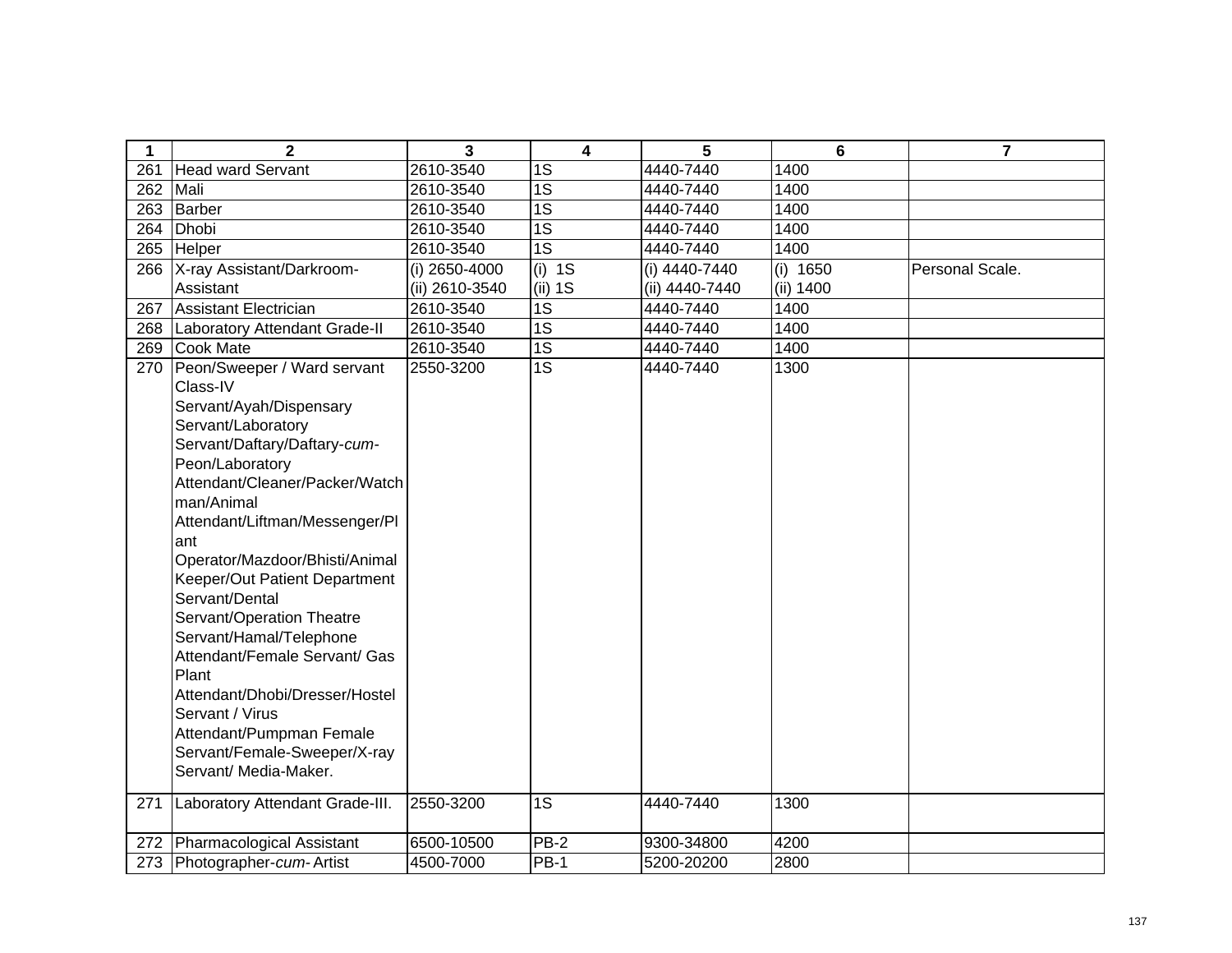| 1   | $\overline{2}$                  | 3              | 4               | 5              | 6          | $\overline{7}$  |
|-----|---------------------------------|----------------|-----------------|----------------|------------|-----------------|
| 261 | <b>Head ward Servant</b>        | 2610-3540      | 1S              | 4440-7440      | 1400       |                 |
| 262 | Mali                            | 2610-3540      | 1S              | 4440-7440      | 1400       |                 |
| 263 | Barber                          | 2610-3540      | $\overline{1S}$ | 4440-7440      | 1400       |                 |
| 264 | Dhobi                           | 2610-3540      | $\overline{1S}$ | 4440-7440      | 1400       |                 |
|     | 265 Helper                      | 2610-3540      | 1S              | 4440-7440      | 1400       |                 |
| 266 | X-ray Assistant/Darkroom-       | (i) 2650-4000  | $(i)$ 1S        | (i) 4440-7440  | (i) $1650$ | Personal Scale. |
|     | Assistant                       | (ii) 2610-3540 | $(ii)$ 1S       | (ii) 4440-7440 | (ii) 1400  |                 |
| 267 | Assistant Electrician           | 2610-3540      | 1S              | 4440-7440      | 1400       |                 |
| 268 | Laboratory Attendant Grade-II   | 2610-3540      | $\overline{1S}$ | 4440-7440      | 1400       |                 |
| 269 | Cook Mate                       | 2610-3540      | $\overline{1S}$ | 4440-7440      | 1400       |                 |
| 270 | Peon/Sweeper / Ward servant     | 2550-3200      | 1S              | 4440-7440      | 1300       |                 |
|     | Class-IV                        |                |                 |                |            |                 |
|     | Servant/Ayah/Dispensary         |                |                 |                |            |                 |
|     | Servant/Laboratory              |                |                 |                |            |                 |
|     | Servant/Daftary/Daftary-cum-    |                |                 |                |            |                 |
|     | Peon/Laboratory                 |                |                 |                |            |                 |
|     | Attendant/Cleaner/Packer/Watch  |                |                 |                |            |                 |
|     | man/Animal                      |                |                 |                |            |                 |
|     | Attendant/Liftman/Messenger/Pl  |                |                 |                |            |                 |
|     | ant                             |                |                 |                |            |                 |
|     | Operator/Mazdoor/Bhisti/Animal  |                |                 |                |            |                 |
|     | Keeper/Out Patient Department   |                |                 |                |            |                 |
|     | Servant/Dental                  |                |                 |                |            |                 |
|     | Servant/Operation Theatre       |                |                 |                |            |                 |
|     | Servant/Hamal/Telephone         |                |                 |                |            |                 |
|     | Attendant/Female Servant/ Gas   |                |                 |                |            |                 |
|     | Plant                           |                |                 |                |            |                 |
|     | Attendant/Dhobi/Dresser/Hostel  |                |                 |                |            |                 |
|     | Servant / Virus                 |                |                 |                |            |                 |
|     | Attendant/Pumpman Female        |                |                 |                |            |                 |
|     | Servant/Female-Sweeper/X-ray    |                |                 |                |            |                 |
|     | Servant/ Media-Maker.           |                |                 |                |            |                 |
| 271 | Laboratory Attendant Grade-III. | 2550-3200      | 1S              | 4440-7440      | 1300       |                 |
|     |                                 |                |                 |                |            |                 |
| 272 | Pharmacological Assistant       | 6500-10500     | $PB-2$          | 9300-34800     | 4200       |                 |
| 273 | Photographer-cum-Artist         | 4500-7000      | <b>PB-1</b>     | 5200-20200     | 2800       |                 |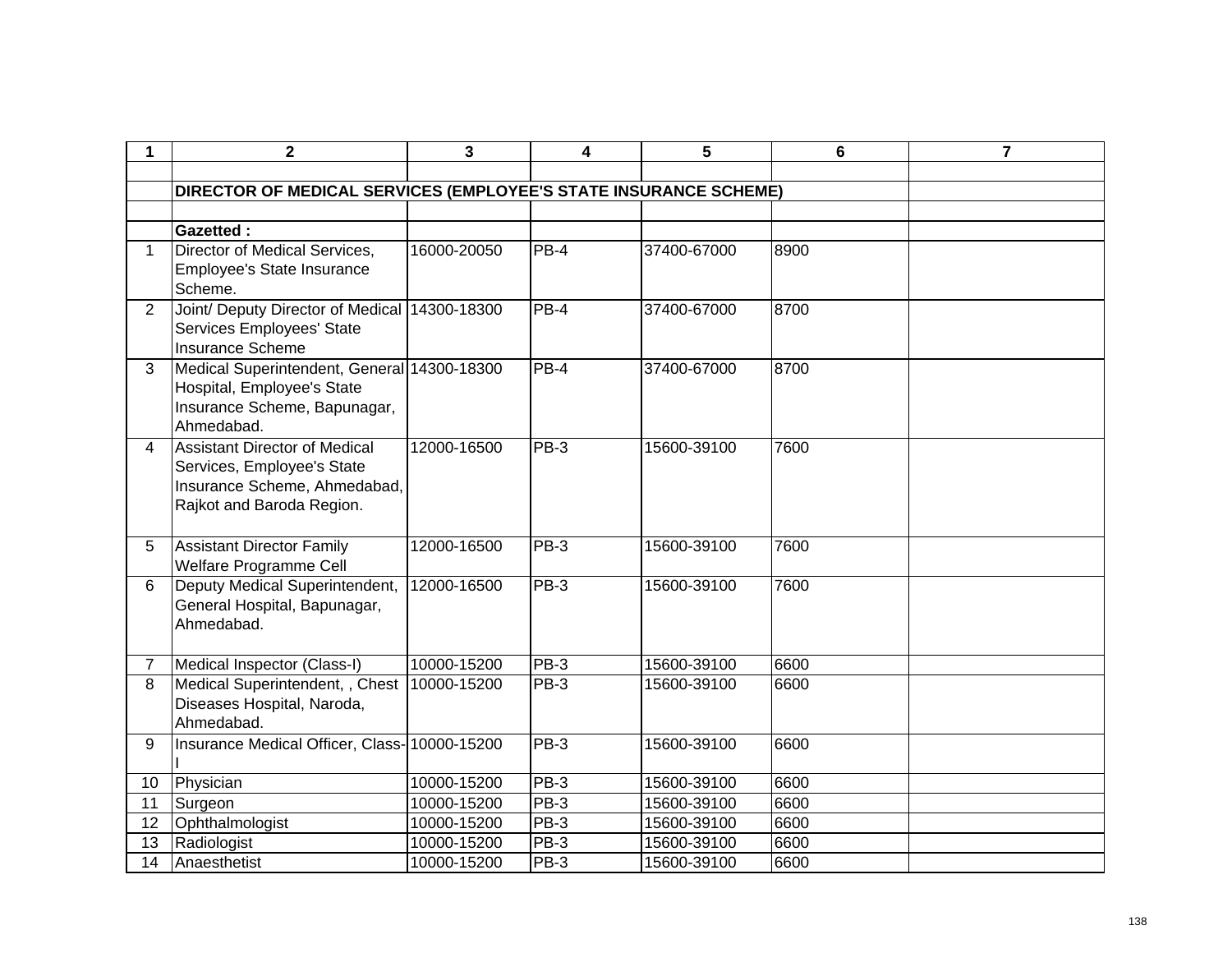| 1              | $\mathbf 2$                                                                                                                     | 3           | 4                  | 5           | 6    | $\overline{7}$ |
|----------------|---------------------------------------------------------------------------------------------------------------------------------|-------------|--------------------|-------------|------|----------------|
|                |                                                                                                                                 |             |                    |             |      |                |
|                | DIRECTOR OF MEDICAL SERVICES (EMPLOYEE'S STATE INSURANCE SCHEME)                                                                |             |                    |             |      |                |
|                |                                                                                                                                 |             |                    |             |      |                |
|                | <b>Gazetted:</b>                                                                                                                |             |                    |             |      |                |
| 1              | Director of Medical Services,<br>Employee's State Insurance<br>Scheme.                                                          | 16000-20050 | $PB-4$             | 37400-67000 | 8900 |                |
| $\overline{2}$ | Joint/ Deputy Director of Medical<br>Services Employees' State<br><b>Insurance Scheme</b>                                       | 14300-18300 | $PB-4$             | 37400-67000 | 8700 |                |
| 3              | Medical Superintendent, General 14300-18300<br>Hospital, Employee's State<br>Insurance Scheme, Bapunagar,<br>Ahmedabad.         |             | PB-4               | 37400-67000 | 8700 |                |
| 4              | <b>Assistant Director of Medical</b><br>Services, Employee's State<br>Insurance Scheme, Ahmedabad,<br>Rajkot and Baroda Region. | 12000-16500 | $PB-3$             | 15600-39100 | 7600 |                |
| 5              | <b>Assistant Director Family</b><br>Welfare Programme Cell                                                                      | 12000-16500 | $PB-3$             | 15600-39100 | 7600 |                |
| 6              | Deputy Medical Superintendent,<br>General Hospital, Bapunagar,<br>Ahmedabad.                                                    | 12000-16500 | $PB-3$             | 15600-39100 | 7600 |                |
| 7              | Medical Inspector (Class-I)                                                                                                     | 10000-15200 | PB-3               | 15600-39100 | 6600 |                |
| 8              | Medical Superintendent, , Chest<br>Diseases Hospital, Naroda,<br>Ahmedabad.                                                     | 10000-15200 | PB-3               | 15600-39100 | 6600 |                |
| 9              | Insurance Medical Officer, Class-10000-15200                                                                                    |             | $\overline{PB}$ -3 | 15600-39100 | 6600 |                |
| 10             | Physician                                                                                                                       | 10000-15200 | $PB-3$             | 15600-39100 | 6600 |                |
| 11             | Surgeon                                                                                                                         | 10000-15200 | $PB-3$             | 15600-39100 | 6600 |                |
| 12             | Ophthalmologist                                                                                                                 | 10000-15200 | $PB-3$             | 15600-39100 | 6600 |                |
| 13             | Radiologist                                                                                                                     | 10000-15200 | $PB-3$             | 15600-39100 | 6600 |                |
| 14             | Anaesthetist                                                                                                                    | 10000-15200 | PB-3               | 15600-39100 | 6600 |                |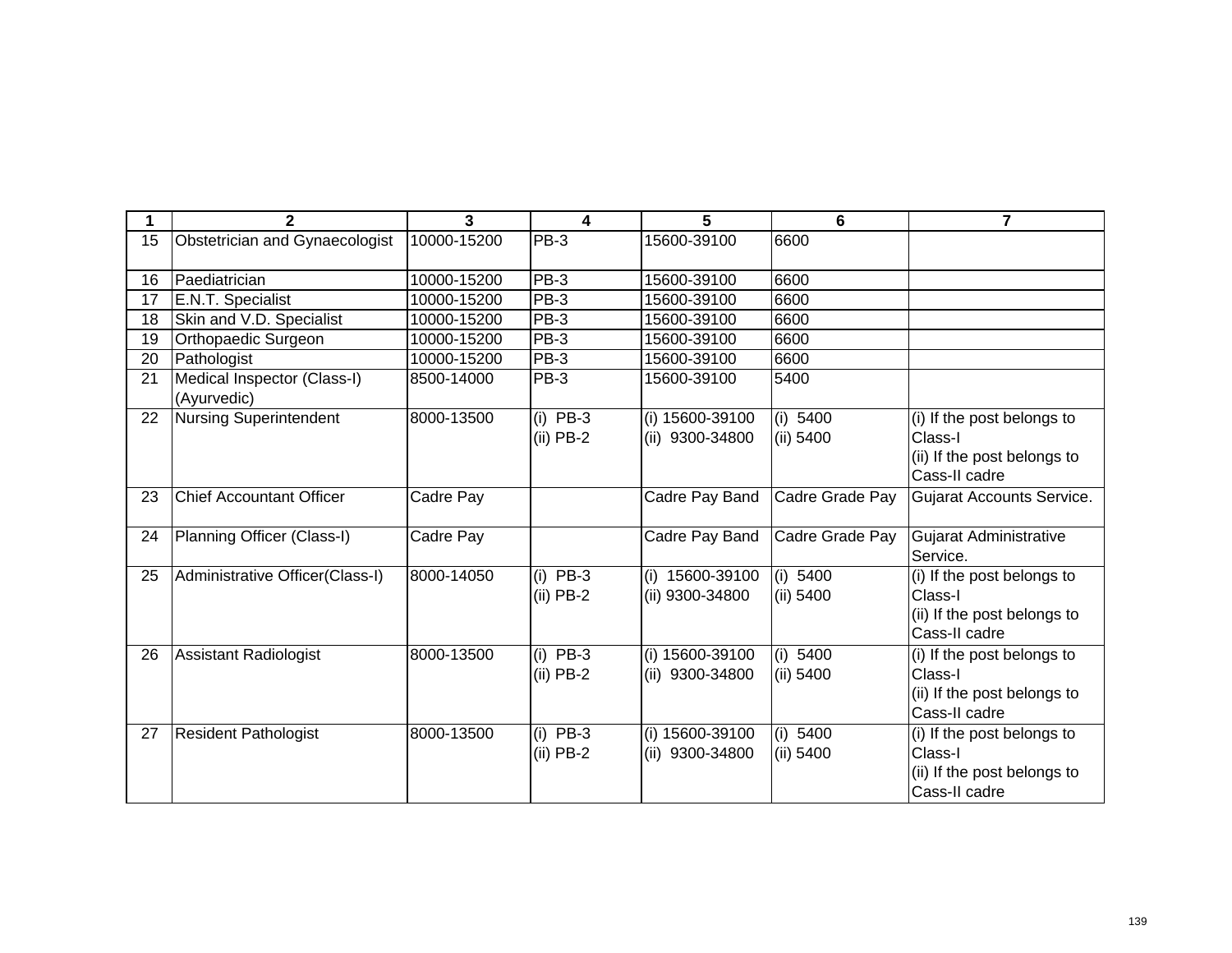|    | $\overline{2}$                             | 3           | 4                         | 5                                     | 6                       | 7                                                                                     |
|----|--------------------------------------------|-------------|---------------------------|---------------------------------------|-------------------------|---------------------------------------------------------------------------------------|
| 15 | Obstetrician and Gynaecologist             | 10000-15200 | $PB-3$                    | 15600-39100                           | 6600                    |                                                                                       |
| 16 | Paediatrician                              | 10000-15200 | <b>PB-3</b>               | 15600-39100                           | 6600                    |                                                                                       |
| 17 | E.N.T. Specialist                          | 10000-15200 | <b>PB-3</b>               | 15600-39100                           | 6600                    |                                                                                       |
| 18 | Skin and V.D. Specialist                   | 10000-15200 | PB-3                      | 15600-39100                           | 6600                    |                                                                                       |
| 19 | Orthopaedic Surgeon                        | 10000-15200 | <b>PB-3</b>               | 15600-39100                           | 6600                    |                                                                                       |
| 20 | Pathologist                                | 10000-15200 | PB-3                      | 15600-39100                           | 6600                    |                                                                                       |
| 21 | Medical Inspector (Class-I)<br>(Ayurvedic) | 8500-14000  | PB-3                      | 15600-39100                           | 5400                    |                                                                                       |
| 22 | Nursing Superintendent                     | 8000-13500  | $(i)$ PB-3<br>$(ii)$ PB-2 | (i) 15600-39100<br>(ii) 9300-34800    | (i) 5400<br>$(ii)$ 5400 | (i) If the post belongs to<br>Class-I                                                 |
|    |                                            |             |                           |                                       |                         | (ii) If the post belongs to<br>Cass-II cadre                                          |
| 23 | <b>Chief Accountant Officer</b>            | Cadre Pay   |                           | Cadre Pay Band                        | Cadre Grade Pay         | Gujarat Accounts Service.                                                             |
| 24 | Planning Officer (Class-I)                 | Cadre Pay   |                           | Cadre Pay Band                        | Cadre Grade Pay         | Gujarat Administrative<br>Service.                                                    |
| 25 | Administrative Officer(Class-I)            | 8000-14050  | $(i)$ PB-3<br>$(ii)$ PB-2 | 15600-39100<br>(i)<br>(ii) 9300-34800 | (i) 5400<br>(ii) 5400   | (i) If the post belongs to<br>Class-I<br>(ii) If the post belongs to<br>Cass-II cadre |
| 26 | <b>Assistant Radiologist</b>               | 8000-13500  | $(i)$ PB-3<br>$(ii)$ PB-2 | (i) 15600-39100<br>(ii) 9300-34800    | (i) 5400<br>(ii) 5400   | (i) If the post belongs to<br>Class-I<br>(ii) If the post belongs to<br>Cass-II cadre |
| 27 | <b>Resident Pathologist</b>                | 8000-13500  | $(i)$ PB-3<br>$(ii)$ PB-2 | (i) 15600-39100<br>(ii) 9300-34800    | (i) $5400$<br>(ii) 5400 | (i) If the post belongs to<br>Class-I<br>(ii) If the post belongs to<br>Cass-II cadre |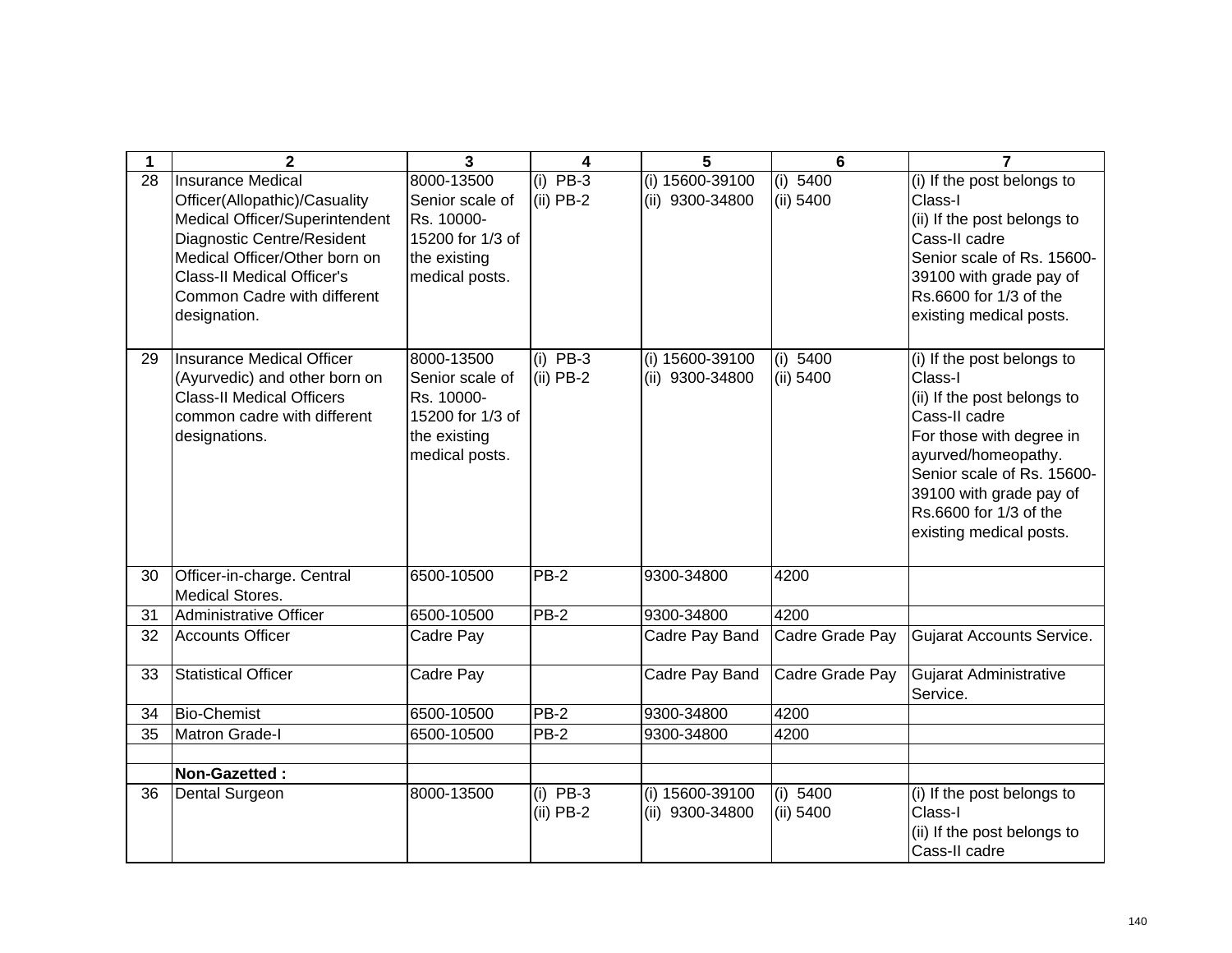|    | $\mathbf{2}$                                                                                                                                                                                                                                   | 3                                                                                                 | 4                         | 5                                  | 6                       | 7                                                                                                                                                                                                                                                      |
|----|------------------------------------------------------------------------------------------------------------------------------------------------------------------------------------------------------------------------------------------------|---------------------------------------------------------------------------------------------------|---------------------------|------------------------------------|-------------------------|--------------------------------------------------------------------------------------------------------------------------------------------------------------------------------------------------------------------------------------------------------|
| 28 | <b>Insurance Medical</b><br>Officer(Allopathic)/Casuality<br>Medical Officer/Superintendent<br>Diagnostic Centre/Resident<br>Medical Officer/Other born on<br><b>Class-II Medical Officer's</b><br>Common Cadre with different<br>designation. | 8000-13500<br>Senior scale of<br>Rs. 10000-<br>15200 for 1/3 of<br>the existing<br>medical posts. | $(i)$ PB-3<br>$(ii)$ PB-2 | (i) 15600-39100<br>(ii) 9300-34800 | (i) $5400$<br>(ii) 5400 | (i) If the post belongs to<br>Class-I<br>(ii) If the post belongs to<br>Cass-II cadre<br>Senior scale of Rs. 15600-<br>39100 with grade pay of<br>Rs.6600 for 1/3 of the<br>existing medical posts.                                                    |
| 29 | Insurance Medical Officer<br>(Ayurvedic) and other born on<br><b>Class-II Medical Officers</b><br>common cadre with different<br>designations.                                                                                                 | 8000-13500<br>Senior scale of<br>Rs. 10000-<br>15200 for 1/3 of<br>the existing<br>medical posts. | $(i)$ PB-3<br>$(ii)$ PB-2 | (i) 15600-39100<br>(ii) 9300-34800 | (i) 5400<br>(ii) 5400   | (i) If the post belongs to<br>Class-I<br>(ii) If the post belongs to<br>Cass-II cadre<br>For those with degree in<br>ayurved/homeopathy.<br>Senior scale of Rs. 15600-<br>39100 with grade pay of<br>Rs.6600 for 1/3 of the<br>existing medical posts. |
| 30 | Officer-in-charge. Central<br><b>Medical Stores.</b>                                                                                                                                                                                           | 6500-10500                                                                                        | PB-2                      | 9300-34800                         | 4200                    |                                                                                                                                                                                                                                                        |
| 31 | Administrative Officer                                                                                                                                                                                                                         | 6500-10500                                                                                        | <b>PB-2</b>               | 9300-34800                         | 4200                    |                                                                                                                                                                                                                                                        |
| 32 | <b>Accounts Officer</b>                                                                                                                                                                                                                        | Cadre Pay                                                                                         |                           | Cadre Pay Band                     | Cadre Grade Pay         | Gujarat Accounts Service.                                                                                                                                                                                                                              |
| 33 | <b>Statistical Officer</b>                                                                                                                                                                                                                     | Cadre Pay                                                                                         |                           | Cadre Pay Band                     | Cadre Grade Pay         | Gujarat Administrative<br>Service.                                                                                                                                                                                                                     |
| 34 | <b>Bio-Chemist</b>                                                                                                                                                                                                                             | 6500-10500                                                                                        | PB-2                      | 9300-34800                         | 4200                    |                                                                                                                                                                                                                                                        |
| 35 | <b>Matron Grade-I</b>                                                                                                                                                                                                                          | 6500-10500                                                                                        | PB-2                      | 9300-34800                         | 4200                    |                                                                                                                                                                                                                                                        |
|    | Non-Gazetted:                                                                                                                                                                                                                                  |                                                                                                   |                           |                                    |                         |                                                                                                                                                                                                                                                        |
| 36 | <b>Dental Surgeon</b>                                                                                                                                                                                                                          | 8000-13500                                                                                        | $(i)$ PB-3<br>$(ii)$ PB-2 | (i) 15600-39100<br>(ii) 9300-34800 | (i) 5400<br>(ii) 5400   | (i) If the post belongs to<br>Class-I<br>(ii) If the post belongs to<br>Cass-II cadre                                                                                                                                                                  |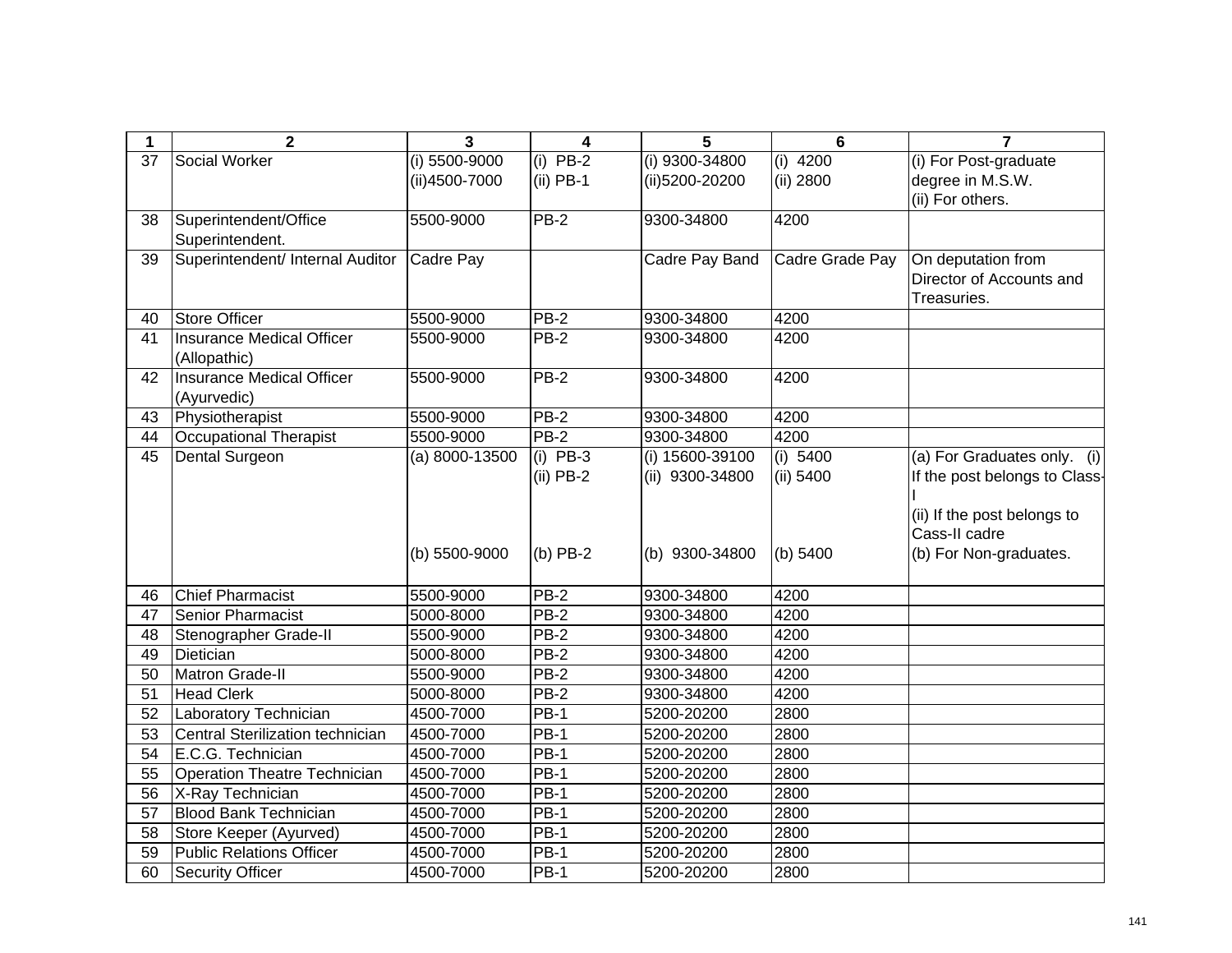| 1               | $\overline{2}$                   | 3                  | 4             | 5               | $6\phantom{1}6$ | $\overline{7}$                |
|-----------------|----------------------------------|--------------------|---------------|-----------------|-----------------|-------------------------------|
| 37              | Social Worker                    | $(i)$ 5500-9000    | $PB-2$<br>(i) | (i) 9300-34800  | 4200<br>(i)     | (i) For Post-graduate         |
|                 |                                  | (ii)4500-7000      | $(ii)$ PB-1   | (ii)5200-20200  | (ii) 2800       | degree in M.S.W.              |
|                 |                                  |                    |               |                 |                 | (ii) For others.              |
| 38              | Superintendent/Office            | 5500-9000          | $PB-2$        | 9300-34800      | 4200            |                               |
|                 | Superintendent.                  |                    |               |                 |                 |                               |
| 39              | Superintendent/ Internal Auditor | Cadre Pay          |               | Cadre Pay Band  | Cadre Grade Pay | On deputation from            |
|                 |                                  |                    |               |                 |                 | Director of Accounts and      |
|                 |                                  |                    |               |                 |                 | Treasuries.                   |
| 40              | <b>Store Officer</b>             | 5500-9000          | $PB-2$        | 9300-34800      | 4200            |                               |
| 41              | Insurance Medical Officer        | 5500-9000          | $PB-2$        | 9300-34800      | 4200            |                               |
|                 | (Allopathic)                     |                    |               |                 |                 |                               |
| 42              | Insurance Medical Officer        | 5500-9000          | $PB-2$        | 9300-34800      | 4200            |                               |
|                 | (Ayurvedic)                      |                    |               |                 |                 |                               |
| 43              | Physiotherapist                  | 5500-9000          | $PB-2$        | 9300-34800      | 4200            |                               |
| 44              | Occupational Therapist           | 5500-9000          | $PB-2$        | 9300-34800      | 4200            |                               |
| 45              | <b>Dental Surgeon</b>            | $(a) 8000 - 13500$ | $(i)$ PB-3    | (i) 15600-39100 | (i) $5400$      | (a) For Graduates only. (i)   |
|                 |                                  |                    | $(ii)$ PB-2   | (ii) 9300-34800 | (ii) 5400       | If the post belongs to Class- |
|                 |                                  |                    |               |                 |                 |                               |
|                 |                                  |                    |               |                 |                 | (ii) If the post belongs to   |
|                 |                                  |                    |               |                 |                 | Cass-II cadre                 |
|                 |                                  | (b) 5500-9000      | $(b)$ PB-2    | (b) 9300-34800  | (b) 5400        | (b) For Non-graduates.        |
|                 |                                  |                    |               |                 |                 |                               |
| 46              | <b>Chief Pharmacist</b>          | 5500-9000          | $PB-2$        | 9300-34800      | 4200            |                               |
| 47              | Senior Pharmacist                | 5000-8000          | <b>PB-2</b>   | 9300-34800      | 4200            |                               |
| 48              | Stenographer Grade-II            | 5500-9000          | <b>PB-2</b>   | 9300-34800      | 4200            |                               |
| 49              | Dietician                        | 5000-8000          | $PB-2$        | 9300-34800      | 4200            |                               |
| $\overline{50}$ | <b>Matron Grade-II</b>           | 5500-9000          | $PB-2$        | 9300-34800      | 4200            |                               |
| 51              | <b>Head Clerk</b>                | 5000-8000          | $PB-2$        | 9300-34800      | 4200            |                               |
| 52              | Laboratory Technician            | 4500-7000          | $PB-1$        | 5200-20200      | 2800            |                               |
| 53              | Central Sterilization technician | 4500-7000          | PB-1          | 5200-20200      | 2800            |                               |
| 54              | E.C.G. Technician                | 4500-7000          | $PB-1$        | 5200-20200      | 2800            |                               |
| 55              | Operation Theatre Technician     | 4500-7000          | $PB-1$        | 5200-20200      | 2800            |                               |
| 56              | X-Ray Technician                 | 4500-7000          | $PB-1$        | 5200-20200      | 2800            |                               |
| 57              | <b>Blood Bank Technician</b>     | 4500-7000          | <b>PB-1</b>   | 5200-20200      | 2800            |                               |
| 58              | Store Keeper (Ayurved)           | 4500-7000          | <b>PB-1</b>   | 5200-20200      | 2800            |                               |
| 59              | <b>Public Relations Officer</b>  | 4500-7000          | <b>PB-1</b>   | 5200-20200      | 2800            |                               |
| 60              | <b>Security Officer</b>          | 4500-7000          | $PB-1$        | 5200-20200      | 2800            |                               |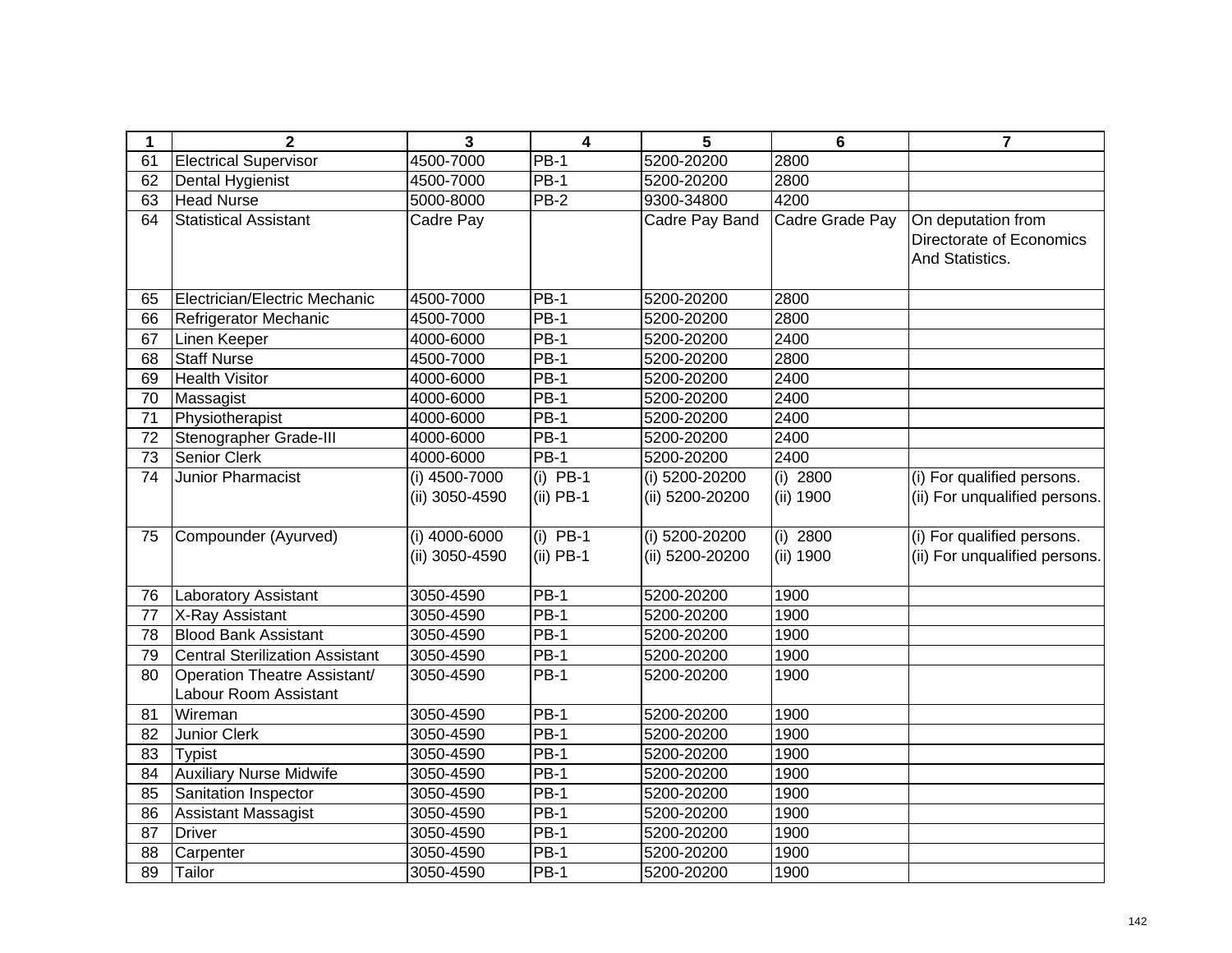| $\mathbf 1$ | $\overline{2}$                                               | 3                                 | $\overline{\mathbf{4}}$   | 5                                 | 6                       | $\overline{7}$                                                    |
|-------------|--------------------------------------------------------------|-----------------------------------|---------------------------|-----------------------------------|-------------------------|-------------------------------------------------------------------|
| 61          | <b>Electrical Supervisor</b>                                 | 4500-7000                         | $PB-1$                    | 5200-20200                        | 2800                    |                                                                   |
| 62          | Dental Hygienist                                             | 4500-7000                         | <b>PB-1</b>               | 5200-20200                        | 2800                    |                                                                   |
| 63          | <b>Head Nurse</b>                                            | 5000-8000                         | $\overline{PB}$ -2        | 9300-34800                        | 4200                    |                                                                   |
| 64          | <b>Statistical Assistant</b>                                 | Cadre Pay                         |                           | Cadre Pay Band                    | Cadre Grade Pay         | On deputation from<br>Directorate of Economics<br>And Statistics. |
| 65          | Electrician/Electric Mechanic                                | 4500-7000                         | $PB-1$                    | 5200-20200                        | 2800                    |                                                                   |
| 66          | Refrigerator Mechanic                                        | 4500-7000                         | $PB-1$                    | 5200-20200                        | 2800                    |                                                                   |
| 67          | Linen Keeper                                                 | 4000-6000                         | $PB-1$                    | 5200-20200                        | 2400                    |                                                                   |
| 68          | <b>Staff Nurse</b>                                           | 4500-7000                         | $PB-1$                    | 5200-20200                        | 2800                    |                                                                   |
| 69          | <b>Health Visitor</b>                                        | 4000-6000                         | $PB-1$                    | 5200-20200                        | 2400                    |                                                                   |
| 70          | Massagist                                                    | 4000-6000                         | $PB-1$                    | 5200-20200                        | 2400                    |                                                                   |
| 71          | Physiotherapist                                              | 4000-6000                         | $\overline{PB}$ -1        | 5200-20200                        | 2400                    |                                                                   |
| 72          | Stenographer Grade-III                                       | 4000-6000                         | $PB-1$                    | 5200-20200                        | 2400                    |                                                                   |
| 73          | <b>Senior Clerk</b>                                          | 4000-6000                         | $PB-1$                    | 5200-20200                        | 2400                    |                                                                   |
| 74          | Junior Pharmacist                                            | (i) 4500-7000<br>(ii) 3050-4590   | $(i)$ PB-1<br>$(ii)$ PB-1 | (i) 5200-20200<br>(ii) 5200-20200 | $(i)$ 2800<br>(ii) 1900 | (i) For qualified persons.<br>(ii) For unqualified persons.       |
| 75          | Compounder (Ayurved)                                         | $(i)$ 4000-6000<br>(ii) 3050-4590 | $(i)$ PB-1<br>$(ii)$ PB-1 | (i) 5200-20200<br>(ii) 5200-20200 | $(i)$ 2800<br>(ii) 1900 | (i) For qualified persons.<br>(ii) For unqualified persons.       |
| 76          | Laboratory Assistant                                         | 3050-4590                         | $PB-1$                    | 5200-20200                        | 1900                    |                                                                   |
| 77          | X-Ray Assistant                                              | 3050-4590                         | $PB-1$                    | 5200-20200                        | 1900                    |                                                                   |
| 78          | <b>Blood Bank Assistant</b>                                  | 3050-4590                         | <b>PB-1</b>               | 5200-20200                        | 1900                    |                                                                   |
| 79          | <b>Central Sterilization Assistant</b>                       | 3050-4590                         | $PB-1$                    | 5200-20200                        | 1900                    |                                                                   |
| 80          | <b>Operation Theatre Assistant/</b><br>Labour Room Assistant | 3050-4590                         | <b>PB-1</b>               | 5200-20200                        | 1900                    |                                                                   |
| 81          | Wireman                                                      | 3050-4590                         | $PB-1$                    | 5200-20200                        | 1900                    |                                                                   |
| 82          | Junior Clerk                                                 | 3050-4590                         | $PB-1$                    | 5200-20200                        | 1900                    |                                                                   |
| 83          | <b>Typist</b>                                                | 3050-4590                         | $PB-1$                    | 5200-20200                        | 1900                    |                                                                   |
| 84          | <b>Auxiliary Nurse Midwife</b>                               | 3050-4590                         | $PB-1$                    | 5200-20200                        | 1900                    |                                                                   |
| 85          | Sanitation Inspector                                         | 3050-4590                         | $PB-1$                    | 5200-20200                        | 1900                    |                                                                   |
| 86          | Assistant Massagist                                          | 3050-4590                         | $PB-1$                    | 5200-20200                        | 1900                    |                                                                   |
| 87          | <b>Driver</b>                                                | 3050-4590                         | $PB-1$                    | 5200-20200                        | 1900                    |                                                                   |
| 88          | Carpenter                                                    | 3050-4590                         | <b>PB-1</b>               | 5200-20200                        | 1900                    |                                                                   |
| 89          | Tailor                                                       | 3050-4590                         | $PB-1$                    | 5200-20200                        | 1900                    |                                                                   |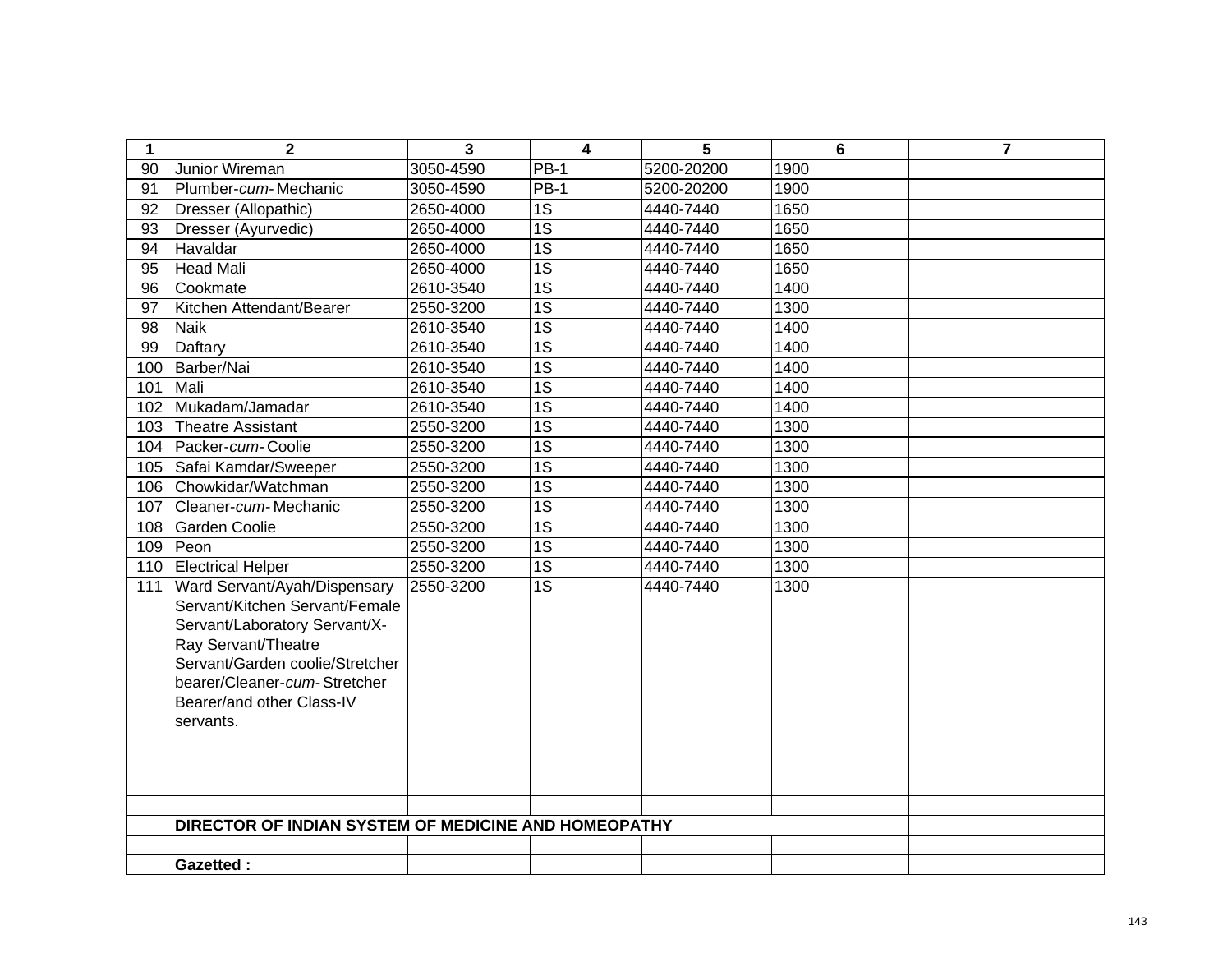| $\mathbf 1$ | $\mathbf{2}$                                                                                                                                                                                                                        | 3         | $\overline{\mathbf{4}}$ | 5          | $6\phantom{1}$ | $\overline{7}$ |
|-------------|-------------------------------------------------------------------------------------------------------------------------------------------------------------------------------------------------------------------------------------|-----------|-------------------------|------------|----------------|----------------|
| 90          | Junior Wireman                                                                                                                                                                                                                      | 3050-4590 | <b>PB-1</b>             | 5200-20200 | 1900           |                |
| 91          | Plumber-cum-Mechanic                                                                                                                                                                                                                | 3050-4590 | $PB-1$                  | 5200-20200 | 1900           |                |
| 92          | Dresser (Allopathic)                                                                                                                                                                                                                | 2650-4000 | 1S                      | 4440-7440  | 1650           |                |
| 93          | Dresser (Ayurvedic)                                                                                                                                                                                                                 | 2650-4000 | $\overline{1S}$         | 4440-7440  | 1650           |                |
| 94          | Havaldar                                                                                                                                                                                                                            | 2650-4000 | $\overline{1S}$         | 4440-7440  | 1650           |                |
| 95          | Head Mali                                                                                                                                                                                                                           | 2650-4000 | $\overline{1S}$         | 4440-7440  | 1650           |                |
| 96          | Cookmate                                                                                                                                                                                                                            | 2610-3540 | $\overline{1S}$         | 4440-7440  | 1400           |                |
| 97          | Kitchen Attendant/Bearer                                                                                                                                                                                                            | 2550-3200 | $\overline{1S}$         | 4440-7440  | 1300           |                |
| 98          | <b>Naik</b>                                                                                                                                                                                                                         | 2610-3540 | $\overline{1S}$         | 4440-7440  | 1400           |                |
| 99          | Daftary                                                                                                                                                                                                                             | 2610-3540 | $\overline{1S}$         | 4440-7440  | 1400           |                |
| 100         | Barber/Nai                                                                                                                                                                                                                          | 2610-3540 | $\overline{1S}$         | 4440-7440  | 1400           |                |
| 101         | Mali                                                                                                                                                                                                                                | 2610-3540 | $\overline{1S}$         | 4440-7440  | 1400           |                |
| 102         | Mukadam/Jamadar                                                                                                                                                                                                                     | 2610-3540 | $\overline{1S}$         | 4440-7440  | 1400           |                |
| 103         | Theatre Assistant                                                                                                                                                                                                                   | 2550-3200 | $\overline{1S}$         | 4440-7440  | 1300           |                |
| 104         | Packer-cum-Coolie                                                                                                                                                                                                                   | 2550-3200 | $\overline{1S}$         | 4440-7440  | 1300           |                |
| 105         | Safai Kamdar/Sweeper                                                                                                                                                                                                                | 2550-3200 | $\overline{1S}$         | 4440-7440  | 1300           |                |
| 106         | Chowkidar/Watchman                                                                                                                                                                                                                  | 2550-3200 | $\overline{1S}$         | 4440-7440  | 1300           |                |
| 107         | Cleaner-cum-Mechanic                                                                                                                                                                                                                | 2550-3200 | $\overline{1S}$         | 4440-7440  | 1300           |                |
| 108         | <b>Garden Coolie</b>                                                                                                                                                                                                                | 2550-3200 | $\overline{1S}$         | 4440-7440  | 1300           |                |
| 109         | Peon                                                                                                                                                                                                                                | 2550-3200 | $\overline{1S}$         | 4440-7440  | 1300           |                |
| 110         | <b>Electrical Helper</b>                                                                                                                                                                                                            | 2550-3200 | $\overline{1S}$         | 4440-7440  | 1300           |                |
| 111         | Ward Servant/Ayah/Dispensary<br>Servant/Kitchen Servant/Female<br>Servant/Laboratory Servant/X-<br>Ray Servant/Theatre<br>Servant/Garden coolie/Stretcher<br>bearer/Cleaner-cum-Stretcher<br>Bearer/and other Class-IV<br>servants. | 2550-3200 | $\overline{1S}$         | 4440-7440  | 1300           |                |
|             | DIRECTOR OF INDIAN SYSTEM OF MEDICINE AND HOMEOPATHY                                                                                                                                                                                |           |                         |            |                |                |
|             |                                                                                                                                                                                                                                     |           |                         |            |                |                |
|             | <b>Gazetted:</b>                                                                                                                                                                                                                    |           |                         |            |                |                |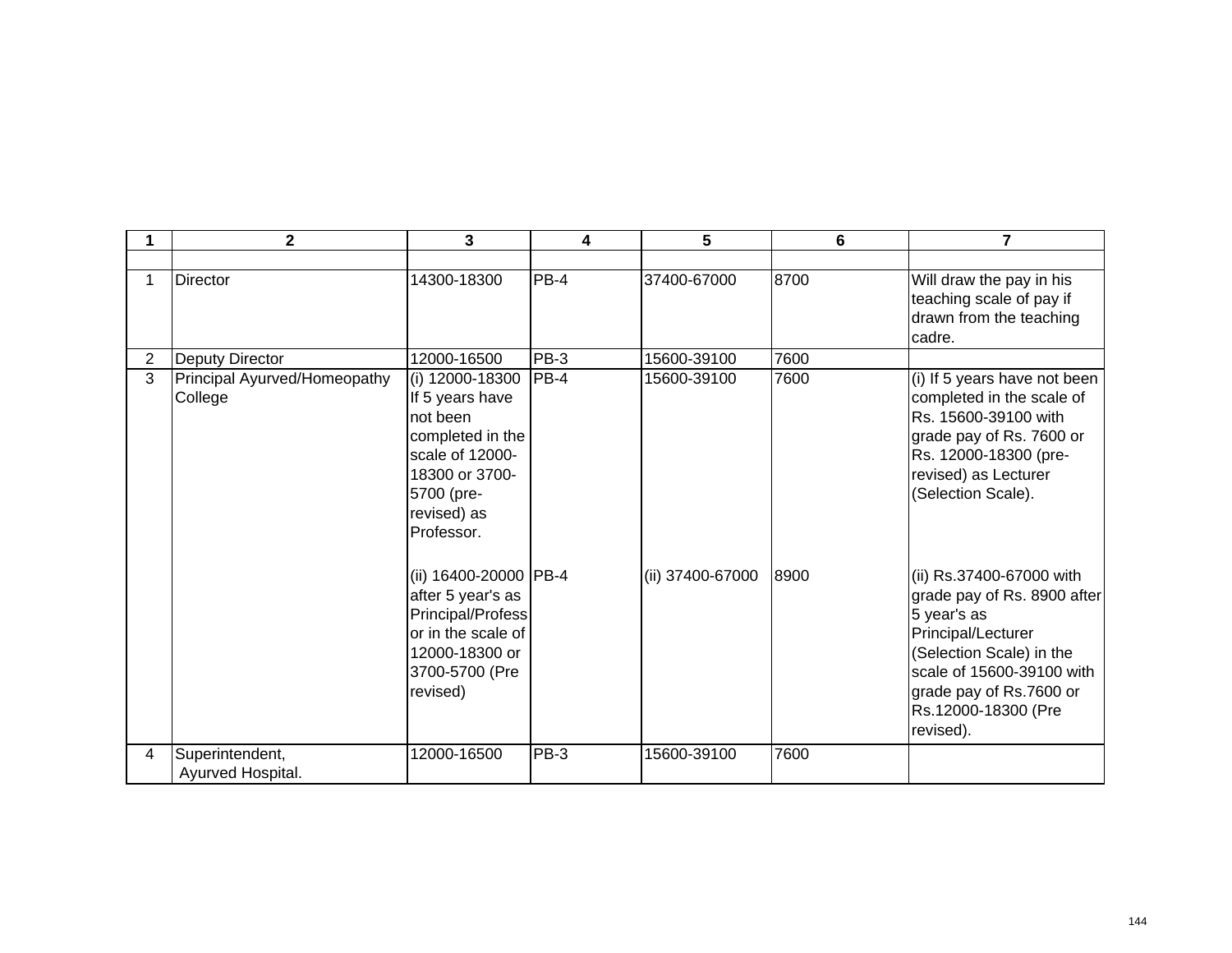|                | $\overline{2}$                          | 3                                                                                                                                                  | 4      | 5                | 6    | 7                                                                                                                                                                                                                    |
|----------------|-----------------------------------------|----------------------------------------------------------------------------------------------------------------------------------------------------|--------|------------------|------|----------------------------------------------------------------------------------------------------------------------------------------------------------------------------------------------------------------------|
|                |                                         |                                                                                                                                                    |        |                  |      |                                                                                                                                                                                                                      |
|                | <b>Director</b>                         | 14300-18300                                                                                                                                        | $PB-4$ | 37400-67000      | 8700 | Will draw the pay in his<br>teaching scale of pay if<br>drawn from the teaching<br>cadre.                                                                                                                            |
| $\overline{2}$ | Deputy Director                         | 12000-16500                                                                                                                                        | PB-3   | 15600-39100      | 7600 |                                                                                                                                                                                                                      |
| 3              | Principal Ayurved/Homeopathy<br>College | (i) 12000-18300<br>If 5 years have<br>not been<br>completed in the<br>scale of 12000-<br>18300 or 3700-<br>5700 (pre-<br>revised) as<br>Professor. | $PB-4$ | 15600-39100      | 7600 | (i) If 5 years have not been<br>completed in the scale of<br>Rs. 15600-39100 with<br>grade pay of Rs. 7600 or<br>Rs. 12000-18300 (pre-<br>revised) as Lecturer<br>(Selection Scale).                                 |
|                |                                         | (ii) 16400-20000 PB-4<br>after 5 year's as<br>Principal/Profess<br>or in the scale of<br>12000-18300 or<br>3700-5700 (Pre<br>revised)              |        | (ii) 37400-67000 | 8900 | (ii) Rs.37400-67000 with<br>grade pay of Rs. 8900 after<br>5 year's as<br>Principal/Lecturer<br>(Selection Scale) in the<br>scale of 15600-39100 with<br>grade pay of Rs.7600 or<br>Rs.12000-18300 (Pre<br>revised). |
| 4              | Superintendent,<br>Ayurved Hospital.    | 12000-16500                                                                                                                                        | PB-3   | 15600-39100      | 7600 |                                                                                                                                                                                                                      |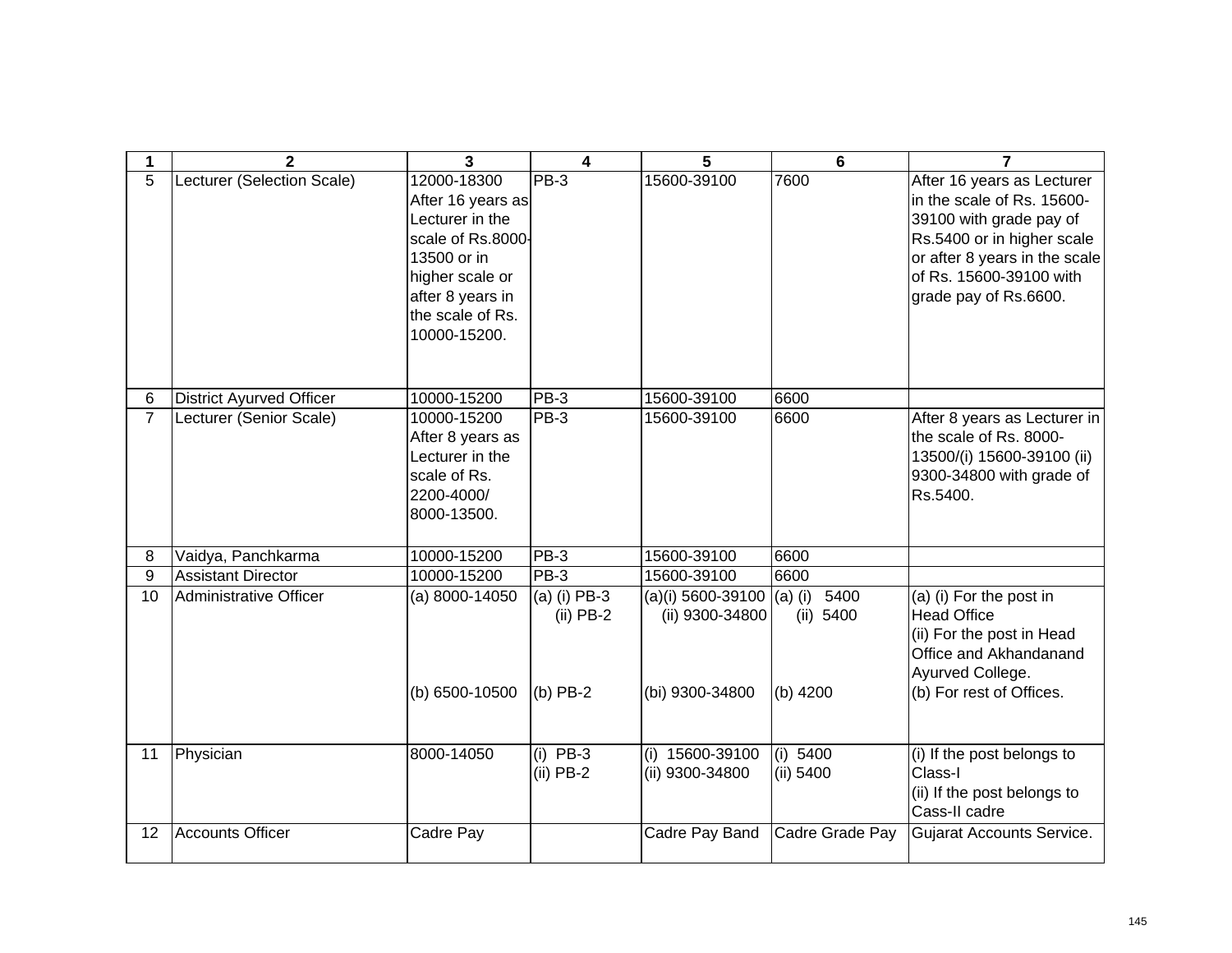| 1              | $\mathbf{2}$                    | 3                                                                                                                                                                  | 4                                         | 5                                                                                 | 6                       | 7                                                                                                                                                                                                      |
|----------------|---------------------------------|--------------------------------------------------------------------------------------------------------------------------------------------------------------------|-------------------------------------------|-----------------------------------------------------------------------------------|-------------------------|--------------------------------------------------------------------------------------------------------------------------------------------------------------------------------------------------------|
| $\overline{5}$ | Lecturer (Selection Scale)      | 12000-18300<br>After 16 years as<br>Lecturer in the<br>scale of Rs.8000-<br>13500 or in<br>higher scale or<br>after 8 years in<br>the scale of Rs.<br>10000-15200. | PB-3                                      | 15600-39100                                                                       | 7600                    | After 16 years as Lecturer<br>in the scale of Rs. 15600-<br>39100 with grade pay of<br>Rs.5400 or in higher scale<br>or after 8 years in the scale<br>of Rs. 15600-39100 with<br>grade pay of Rs.6600. |
| 6              | <b>District Ayurved Officer</b> | 10000-15200                                                                                                                                                        | PB-3                                      | 15600-39100                                                                       | 6600                    |                                                                                                                                                                                                        |
| $\overline{7}$ | Lecturer (Senior Scale)         | 10000-15200<br>After 8 years as<br>Lecturer in the<br>scale of Rs.<br>2200-4000/<br>8000-13500.                                                                    | PB-3                                      | 15600-39100                                                                       | 6600                    | After 8 years as Lecturer in<br>the scale of Rs. 8000-<br>13500/(i) 15600-39100 (ii)<br>9300-34800 with grade of<br>Rs.5400.                                                                           |
| 8              | Vaidya, Panchkarma              | 10000-15200                                                                                                                                                        | PB-3                                      | 15600-39100                                                                       | 6600                    |                                                                                                                                                                                                        |
| 9              | <b>Assistant Director</b>       | 10000-15200                                                                                                                                                        | <b>PB-3</b>                               | 15600-39100                                                                       | 6600                    |                                                                                                                                                                                                        |
| 10             | <b>Administrative Officer</b>   | $(a) 8000 - 14050$<br>(b) 6500-10500                                                                                                                               | (a) (i) PB-3<br>$(ii)$ PB-2<br>$(b)$ PB-2 | (a)(i) 5600-39100 (a) (i) $\overline{5400}$<br>(ii) 9300-34800<br>(bi) 9300-34800 | (ii) 5400<br>$(b)$ 4200 | (a) (i) For the post in<br><b>Head Office</b><br>(ii) For the post in Head<br>Office and Akhandanand<br>Ayurved College.<br>(b) For rest of Offices.                                                   |
| 11             | Physician                       | 8000-14050                                                                                                                                                         | $(i)$ PB-3<br>$(ii)$ PB-2                 | (i) 15600-39100<br>(ii) 9300-34800                                                | (i) 5400<br>(ii) 5400   | (i) If the post belongs to<br>Class-I<br>(ii) If the post belongs to<br>Cass-II cadre                                                                                                                  |
| 12             | Accounts Officer                | Cadre Pay                                                                                                                                                          |                                           | Cadre Pay Band                                                                    | Cadre Grade Pay         | <b>Gujarat Accounts Service.</b>                                                                                                                                                                       |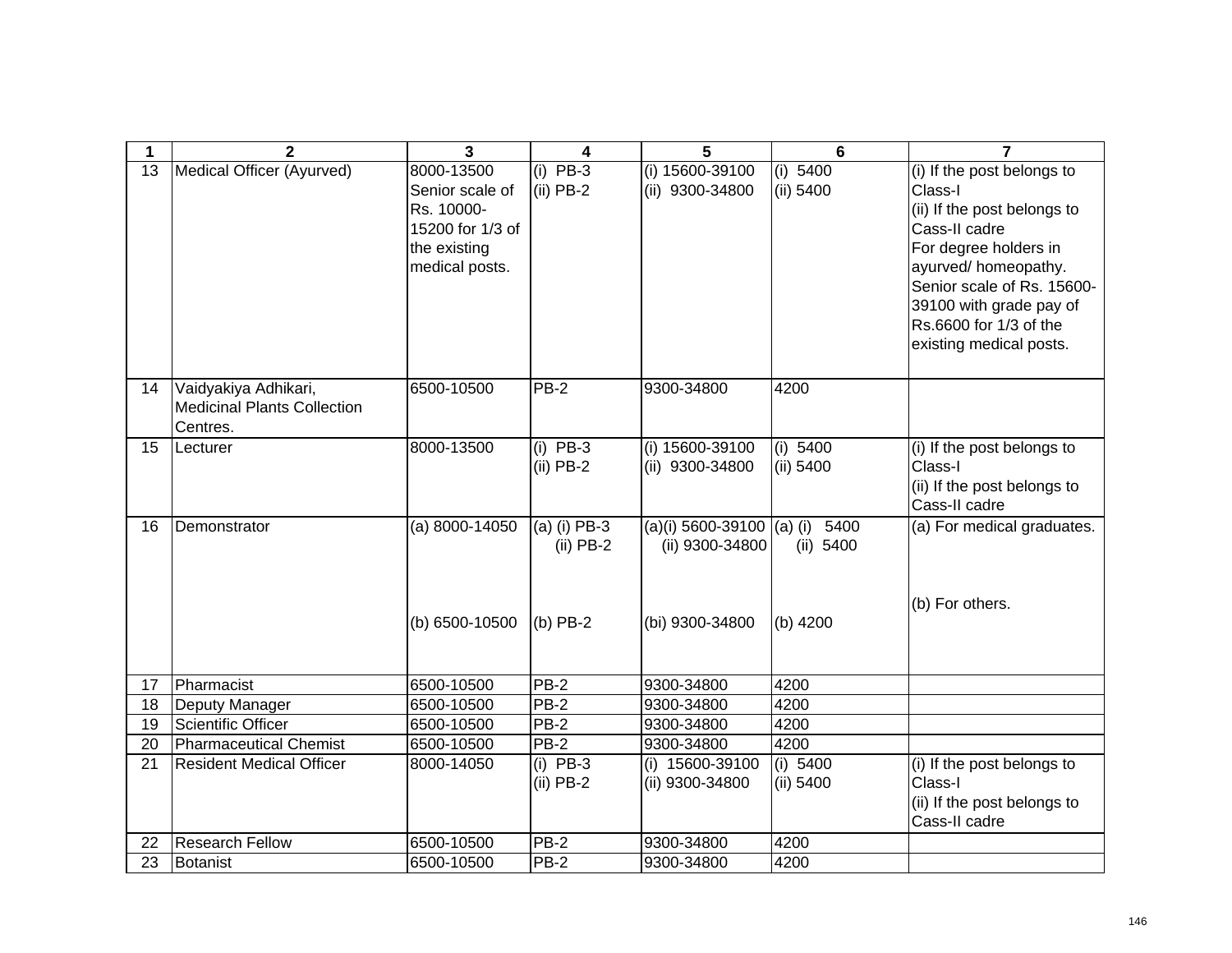| 1  | $\overline{2}$                                                         | $\mathbf{3}$                                                                                      | 4                           | 5                                               | 6                       | $\overline{7}$                                                                                                                                                                                                                                      |
|----|------------------------------------------------------------------------|---------------------------------------------------------------------------------------------------|-----------------------------|-------------------------------------------------|-------------------------|-----------------------------------------------------------------------------------------------------------------------------------------------------------------------------------------------------------------------------------------------------|
| 13 | Medical Officer (Ayurved)                                              | 8000-13500<br>Senior scale of<br>Rs. 10000-<br>15200 for 1/3 of<br>the existing<br>medical posts. | $(i)$ PB-3<br>$(ii)$ PB-2   | (i) 15600-39100<br>(ii) 9300-34800              | (i) 5400<br>(ii) 5400   | (i) If the post belongs to<br>Class-I<br>(ii) If the post belongs to<br>Cass-II cadre<br>For degree holders in<br>ayurved/homeopathy.<br>Senior scale of Rs. 15600-<br>39100 with grade pay of<br>Rs.6600 for 1/3 of the<br>existing medical posts. |
| 14 | Vaidyakiya Adhikari,<br><b>Medicinal Plants Collection</b><br>Centres. | 6500-10500                                                                                        | <b>PB-2</b>                 | 9300-34800                                      | 4200                    |                                                                                                                                                                                                                                                     |
| 15 | Lecturer                                                               | 8000-13500                                                                                        | $(i)$ PB-3<br>$(ii)$ PB-2   | (i) 15600-39100<br>(ii) 9300-34800              | (i) 5400<br>(ii) 5400   | (i) If the post belongs to<br>Class-I<br>(ii) If the post belongs to<br>Cass-II cadre                                                                                                                                                               |
| 16 | Demonstrator                                                           | (a) $8000 - 14050$                                                                                | (a) (i) PB-3<br>$(ii)$ PB-2 | (a)(i) 5600-39100 $ (a)$ (i)<br>(ii) 9300-34800 | 5400<br>(ii) 5400       | (a) For medical graduates.                                                                                                                                                                                                                          |
|    |                                                                        | (b) 6500-10500                                                                                    | $(b)$ PB-2                  | (bi) 9300-34800                                 | $(b)$ 4200              | (b) For others.                                                                                                                                                                                                                                     |
| 17 | Pharmacist                                                             | 6500-10500                                                                                        | $PB-2$                      | 9300-34800                                      | 4200                    |                                                                                                                                                                                                                                                     |
| 18 | Deputy Manager                                                         | 6500-10500                                                                                        | PB-2                        | 9300-34800                                      | 4200                    |                                                                                                                                                                                                                                                     |
| 19 | <b>Scientific Officer</b>                                              | 6500-10500                                                                                        | $PB-2$                      | 9300-34800                                      | 4200                    |                                                                                                                                                                                                                                                     |
| 20 | <b>Pharmaceutical Chemist</b>                                          | 6500-10500                                                                                        | $PB-2$                      | 9300-34800                                      | 4200                    |                                                                                                                                                                                                                                                     |
| 21 | <b>Resident Medical Officer</b>                                        | 8000-14050                                                                                        | $(i)$ PB-3<br>$(ii)$ PB-2   | (i) 15600-39100<br>(ii) 9300-34800              | (i) $5400$<br>(ii) 5400 | (i) If the post belongs to<br>Class-I<br>(ii) If the post belongs to<br>Cass-II cadre                                                                                                                                                               |
| 22 | <b>Research Fellow</b>                                                 | 6500-10500                                                                                        | PB-2                        | 9300-34800                                      | 4200                    |                                                                                                                                                                                                                                                     |
| 23 | Botanist                                                               | 6500-10500                                                                                        | $PB-2$                      | 9300-34800                                      | 4200                    |                                                                                                                                                                                                                                                     |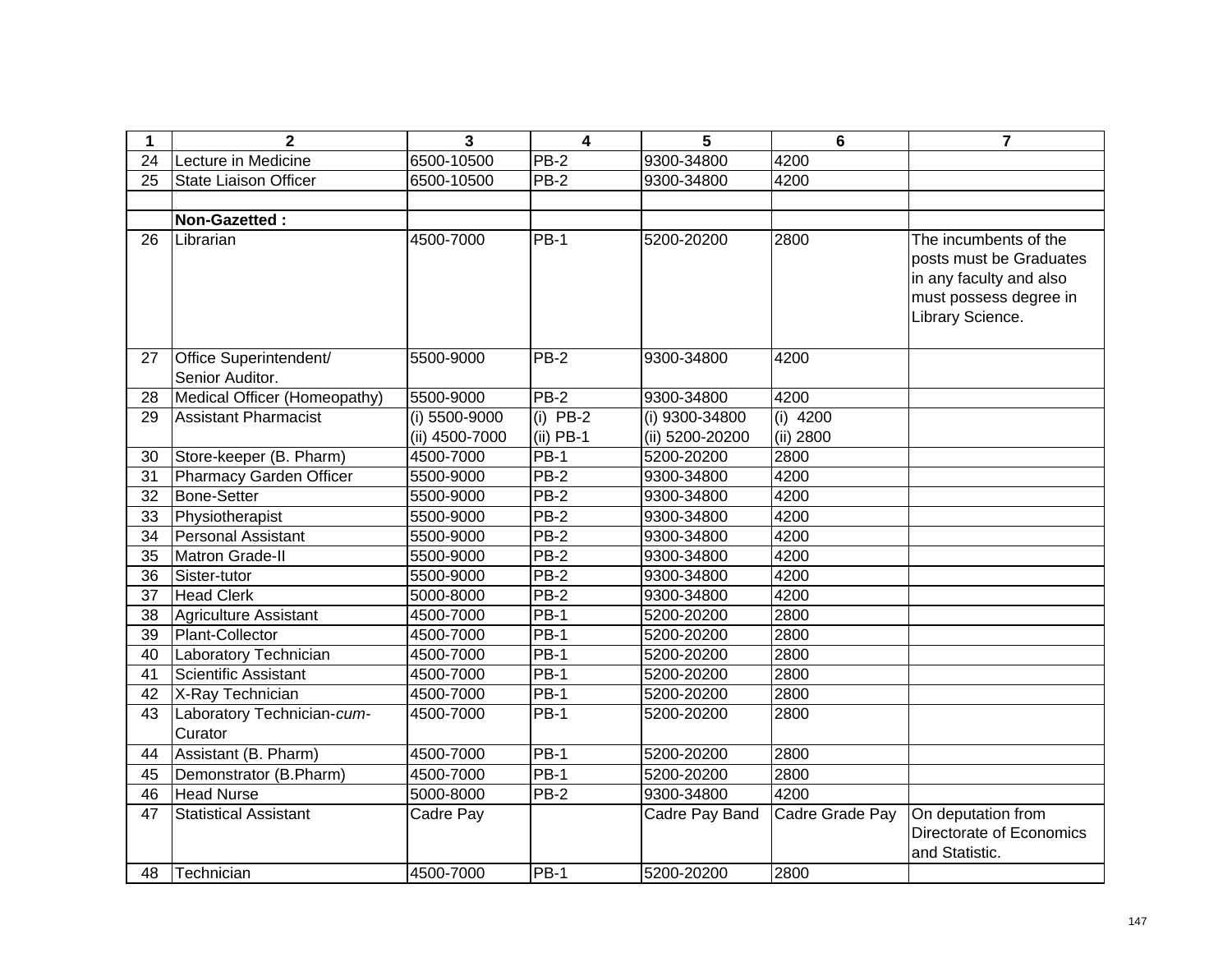| 1               | $\mathbf{2}$                              | 3              | $\overline{\mathbf{4}}$ | 5               | $6\phantom{1}$  | $\overline{7}$                                                                                                            |
|-----------------|-------------------------------------------|----------------|-------------------------|-----------------|-----------------|---------------------------------------------------------------------------------------------------------------------------|
| $\overline{24}$ | Lecture in Medicine                       | 6500-10500     | $PB-2$                  | 9300-34800      | 4200            |                                                                                                                           |
| 25              | <b>State Liaison Officer</b>              | 6500-10500     | <b>PB-2</b>             | 9300-34800      | 4200            |                                                                                                                           |
|                 |                                           |                |                         |                 |                 |                                                                                                                           |
|                 | Non-Gazetted:                             |                |                         |                 |                 |                                                                                                                           |
| 26              | Librarian                                 | 4500-7000      | <b>PB-1</b>             | 5200-20200      | 2800            | The incumbents of the<br>posts must be Graduates<br>in any faculty and also<br>must possess degree in<br>Library Science. |
| 27              | Office Superintendent/<br>Senior Auditor. | 5500-9000      | $PB-2$                  | 9300-34800      | 4200            |                                                                                                                           |
| 28              | Medical Officer (Homeopathy)              | 5500-9000      | $PB-2$                  | 9300-34800      | 4200            |                                                                                                                           |
| 29              | <b>Assistant Pharmacist</b>               | (i) 5500-9000  | $(i)$ PB-2              | (i) 9300-34800  | $(i)$ 4200      |                                                                                                                           |
|                 |                                           | (ii) 4500-7000 | $(ii)$ PB-1             | (ii) 5200-20200 | (ii) 2800       |                                                                                                                           |
| 30              | Store-keeper (B. Pharm)                   | 4500-7000      | $PB-1$                  | 5200-20200      | 2800            |                                                                                                                           |
| 31              | Pharmacy Garden Officer                   | 5500-9000      | PB-2                    | 9300-34800      | 4200            |                                                                                                                           |
| 32              | <b>Bone-Setter</b>                        | 5500-9000      | $PB-2$                  | 9300-34800      | 4200            |                                                                                                                           |
| 33              | Physiotherapist                           | 5500-9000      | <b>PB-2</b>             | 9300-34800      | 4200            |                                                                                                                           |
| 34              | <b>Personal Assistant</b>                 | 5500-9000      | <b>PB-2</b>             | 9300-34800      | 4200            |                                                                                                                           |
| 35              | <b>Matron Grade-II</b>                    | 5500-9000      | <b>PB-2</b>             | 9300-34800      | 4200            |                                                                                                                           |
| 36              | Sister-tutor                              | 5500-9000      | PB-2                    | 9300-34800      | 4200            |                                                                                                                           |
| 37              | <b>Head Clerk</b>                         | 5000-8000      | $PB-2$                  | 9300-34800      | 4200            |                                                                                                                           |
| 38              | Agriculture Assistant                     | 4500-7000      | <b>PB-1</b>             | 5200-20200      | 2800            |                                                                                                                           |
| 39              | Plant-Collector                           | 4500-7000      | $PB-1$                  | 5200-20200      | 2800            |                                                                                                                           |
| 40              | Laboratory Technician                     | 4500-7000      | <b>PB-1</b>             | 5200-20200      | 2800            |                                                                                                                           |
| 41              | Scientific Assistant                      | 4500-7000      | $PB-1$                  | 5200-20200      | 2800            |                                                                                                                           |
| 42              | X-Ray Technician                          | 4500-7000      | $PB-1$                  | 5200-20200      | 2800            |                                                                                                                           |
| 43              | Laboratory Technician-cum-<br>Curator     | 4500-7000      | <b>PB-1</b>             | 5200-20200      | 2800            |                                                                                                                           |
| 44              | Assistant (B. Pharm)                      | 4500-7000      | <b>PB-1</b>             | 5200-20200      | 2800            |                                                                                                                           |
| 45              | Demonstrator (B.Pharm)                    | 4500-7000      | <b>PB-1</b>             | 5200-20200      | 2800            |                                                                                                                           |
| 46              | <b>Head Nurse</b>                         | 5000-8000      | <b>PB-2</b>             | 9300-34800      | 4200            |                                                                                                                           |
| 47              | <b>Statistical Assistant</b>              | Cadre Pay      |                         | Cadre Pay Band  | Cadre Grade Pay | On deputation from<br>Directorate of Economics<br>and Statistic.                                                          |
| 48              | Technician                                | 4500-7000      | $PB-1$                  | 5200-20200      | 2800            |                                                                                                                           |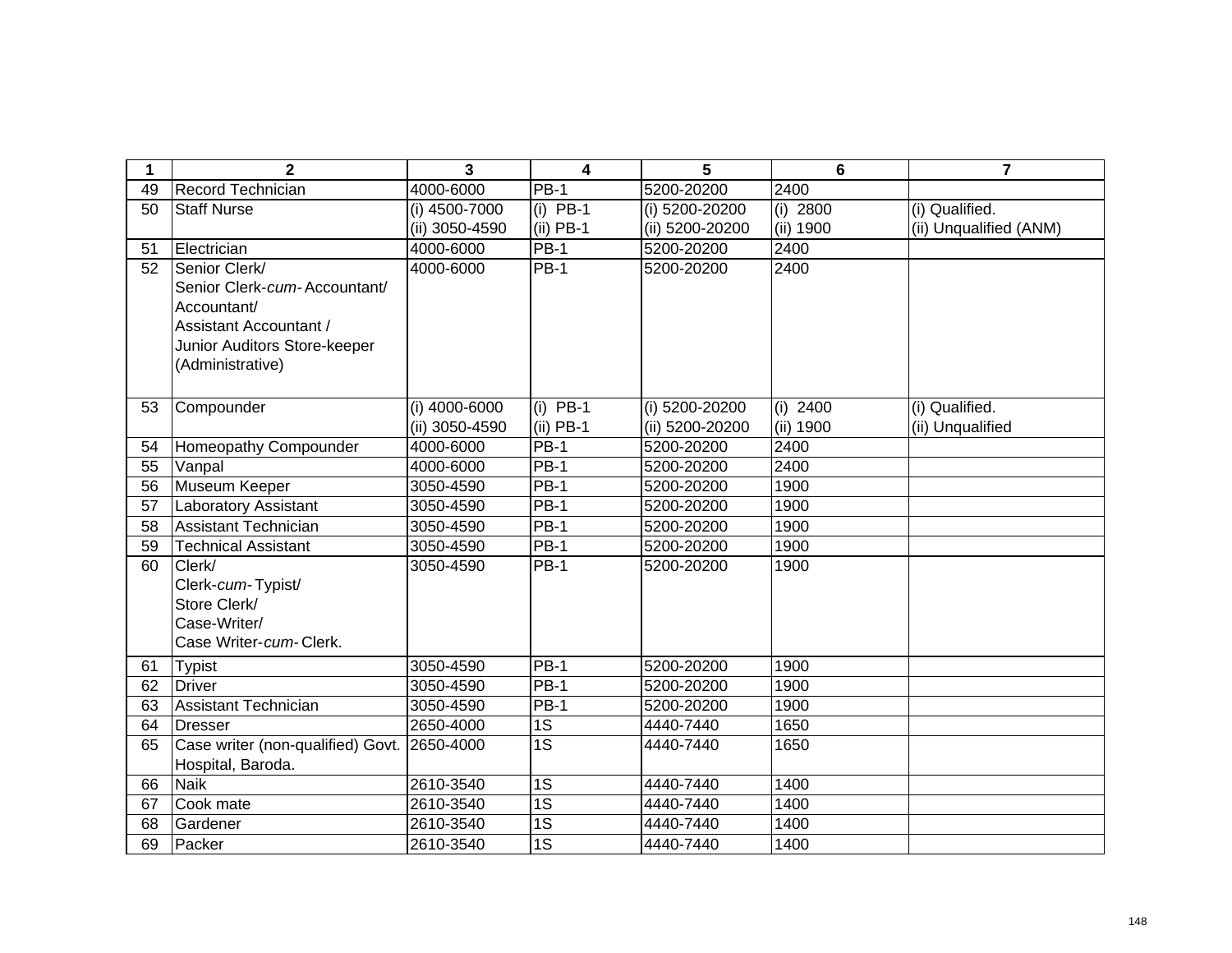| 1               | $\mathbf{2}$                                | 3              | $\overline{\mathbf{4}}$ | 5               | 6          | $\overline{7}$         |
|-----------------|---------------------------------------------|----------------|-------------------------|-----------------|------------|------------------------|
| 49              | Record Technician                           | 4000-6000      | <b>PB-1</b>             | 5200-20200      | 2400       |                        |
| 50              | <b>Staff Nurse</b>                          | (i) 4500-7000  | $(i)$ PB-1              | (i) 5200-20200  | (i) 2800   | (i) Qualified.         |
|                 |                                             | (ii) 3050-4590 | $(ii)$ PB-1             | (ii) 5200-20200 | (ii) 1900  | (ii) Unqualified (ANM) |
| 51              | Electrician                                 | 4000-6000      | <b>PB-1</b>             | 5200-20200      | 2400       |                        |
| 52              | Senior Clerk/                               | 4000-6000      | $PB-1$                  | 5200-20200      | 2400       |                        |
|                 | Senior Clerk-cum-Accountant/                |                |                         |                 |            |                        |
|                 | Accountant/                                 |                |                         |                 |            |                        |
|                 | Assistant Accountant /                      |                |                         |                 |            |                        |
|                 | Junior Auditors Store-keeper                |                |                         |                 |            |                        |
|                 | (Administrative)                            |                |                         |                 |            |                        |
|                 |                                             |                |                         |                 |            |                        |
| 53              | Compounder                                  | (i) 4000-6000  | $(i)$ PB-1              | (i) 5200-20200  | $(i)$ 2400 | (i) Qualified.         |
|                 |                                             | (ii) 3050-4590 | $(ii)$ PB-1             | (ii) 5200-20200 | (ii) 1900  | (ii) Unqualified       |
| 54              | Homeopathy Compounder                       | 4000-6000      | $PB-1$                  | 5200-20200      | 2400       |                        |
| 55              | Vanpal                                      | 4000-6000      | $PB-1$                  | 5200-20200      | 2400       |                        |
| 56              | <b>Museum Keeper</b>                        | 3050-4590      | $PB-1$                  | 5200-20200      | 1900       |                        |
| $\overline{57}$ | <b>Laboratory Assistant</b>                 | 3050-4590      | $PB-1$                  | 5200-20200      | 1900       |                        |
| 58              | <b>Assistant Technician</b>                 | 3050-4590      | $PB-1$                  | 5200-20200      | 1900       |                        |
| 59              | <b>Technical Assistant</b>                  | 3050-4590      | <b>PB-1</b>             | 5200-20200      | 1900       |                        |
| 60              | Clerk/                                      | 3050-4590      | <b>PB-1</b>             | 5200-20200      | 1900       |                        |
|                 | Clerk-cum-Typist/                           |                |                         |                 |            |                        |
|                 | Store Clerk/                                |                |                         |                 |            |                        |
|                 | Case-Writer/                                |                |                         |                 |            |                        |
|                 | Case Writer-cum-Clerk.                      |                |                         |                 |            |                        |
| 61              | <b>Typist</b>                               | 3050-4590      | <b>PB-1</b>             | 5200-20200      | 1900       |                        |
| 62              | <b>Driver</b>                               | 3050-4590      | <b>PB-1</b>             | 5200-20200      | 1900       |                        |
| 63              | <b>Assistant Technician</b>                 | 3050-4590      | <b>PB-1</b>             | 5200-20200      | 1900       |                        |
| 64              | <b>Dresser</b>                              | 2650-4000      | 1S                      | 4440-7440       | 1650       |                        |
| 65              | Case writer (non-qualified) Govt. 2650-4000 |                | $\overline{1S}$         | 4440-7440       | 1650       |                        |
|                 | Hospital, Baroda.                           |                |                         |                 |            |                        |
| 66              | <b>Naik</b>                                 | 2610-3540      | $\overline{1S}$         | 4440-7440       | 1400       |                        |
| 67              | Cook mate                                   | 2610-3540      | $\overline{1S}$         | 4440-7440       | 1400       |                        |
| 68              | Gardener                                    | 2610-3540      | $\overline{1S}$         | 4440-7440       | 1400       |                        |
| 69              | Packer                                      | 2610-3540      | $\overline{1S}$         | 4440-7440       | 1400       |                        |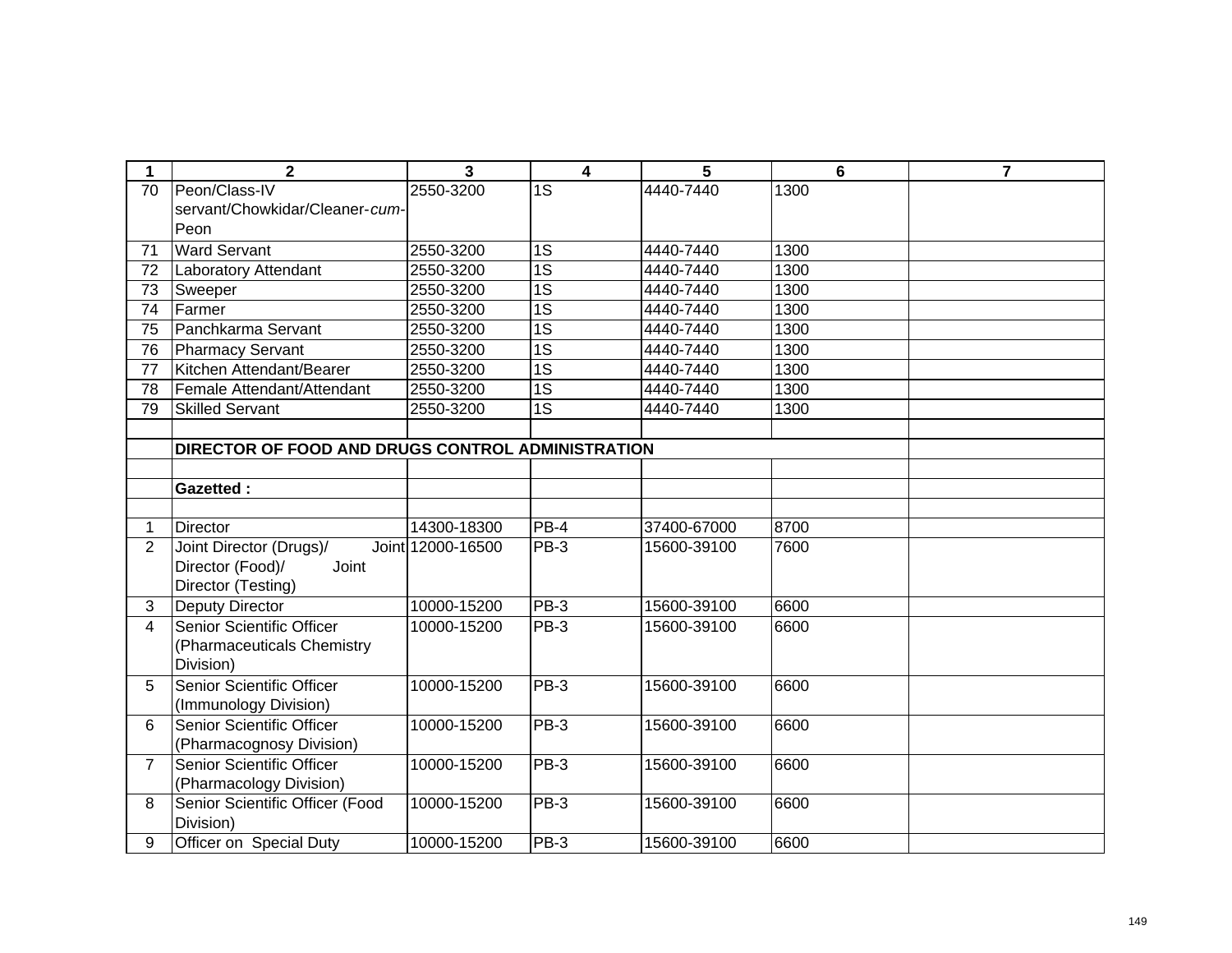| $\mathbf 1$     | $\overline{2}$                                    | $\overline{3}$    | $\overline{\mathbf{4}}$ | 5           | $6\phantom{1}6$ | $\overline{7}$ |
|-----------------|---------------------------------------------------|-------------------|-------------------------|-------------|-----------------|----------------|
| $\overline{70}$ | Peon/Class-IV                                     | 2550-3200         | $\overline{1S}$         | 4440-7440   | 1300            |                |
|                 | servant/Chowkidar/Cleaner-cum-                    |                   |                         |             |                 |                |
|                 | Peon                                              |                   |                         |             |                 |                |
| 71              | <b>Ward Servant</b>                               | 2550-3200         | $\overline{1S}$         | 4440-7440   | 1300            |                |
| 72              | Laboratory Attendant                              | 2550-3200         | $\overline{1S}$         | 4440-7440   | 1300            |                |
| 73              | Sweeper                                           | 2550-3200         | $\overline{1S}$         | 4440-7440   | 1300            |                |
| 74              | Farmer                                            | 2550-3200         | $\overline{1S}$         | 4440-7440   | 1300            |                |
| 75              | Panchkarma Servant                                | 2550-3200         | $\overline{1S}$         | 4440-7440   | 1300            |                |
| 76              | <b>Pharmacy Servant</b>                           | 2550-3200         | $\overline{1S}$         | 4440-7440   | 1300            |                |
| 77              | Kitchen Attendant/Bearer                          | 2550-3200         | 1S                      | 4440-7440   | 1300            |                |
| 78              | Female Attendant/Attendant                        | 2550-3200         | 1S                      | 4440-7440   | 1300            |                |
| 79              | <b>Skilled Servant</b>                            | 2550-3200         | $\overline{1S}$         | 4440-7440   | 1300            |                |
|                 |                                                   |                   |                         |             |                 |                |
|                 | DIRECTOR OF FOOD AND DRUGS CONTROL ADMINISTRATION |                   |                         |             |                 |                |
|                 |                                                   |                   |                         |             |                 |                |
|                 | <b>Gazetted:</b>                                  |                   |                         |             |                 |                |
|                 |                                                   |                   |                         |             |                 |                |
| 1               | <b>Director</b>                                   | 14300-18300       | PB-4                    | 37400-67000 | 8700            |                |
| $\overline{2}$  | Joint Director (Drugs)/                           | Joint 12000-16500 | PB-3                    | 15600-39100 | 7600            |                |
|                 | Joint<br>Director (Food)/                         |                   |                         |             |                 |                |
|                 | Director (Testing)                                |                   |                         |             |                 |                |
| 3               | <b>Deputy Director</b>                            | 10000-15200       | PB-3                    | 15600-39100 | 6600            |                |
| 4               | Senior Scientific Officer                         | 10000-15200       | PB-3                    | 15600-39100 | 6600            |                |
|                 | (Pharmaceuticals Chemistry                        |                   |                         |             |                 |                |
|                 | Division)                                         |                   |                         |             |                 |                |
| 5               | Senior Scientific Officer                         | 10000-15200       | PB-3                    | 15600-39100 | 6600            |                |
|                 | (Immunology Division)                             |                   |                         |             |                 |                |
| 6               | Senior Scientific Officer                         | 10000-15200       | PB-3                    | 15600-39100 | 6600            |                |
|                 | (Pharmacognosy Division)                          |                   |                         |             |                 |                |
| $\overline{7}$  | Senior Scientific Officer                         | 10000-15200       | PB-3                    | 15600-39100 | 6600            |                |
|                 | (Pharmacology Division)                           |                   |                         |             |                 |                |
| 8               | Senior Scientific Officer (Food                   | 10000-15200       | PB-3                    | 15600-39100 | 6600            |                |
|                 | Division)                                         |                   |                         |             |                 |                |
| 9               | Officer on Special Duty                           | 10000-15200       | PB-3                    | 15600-39100 | 6600            |                |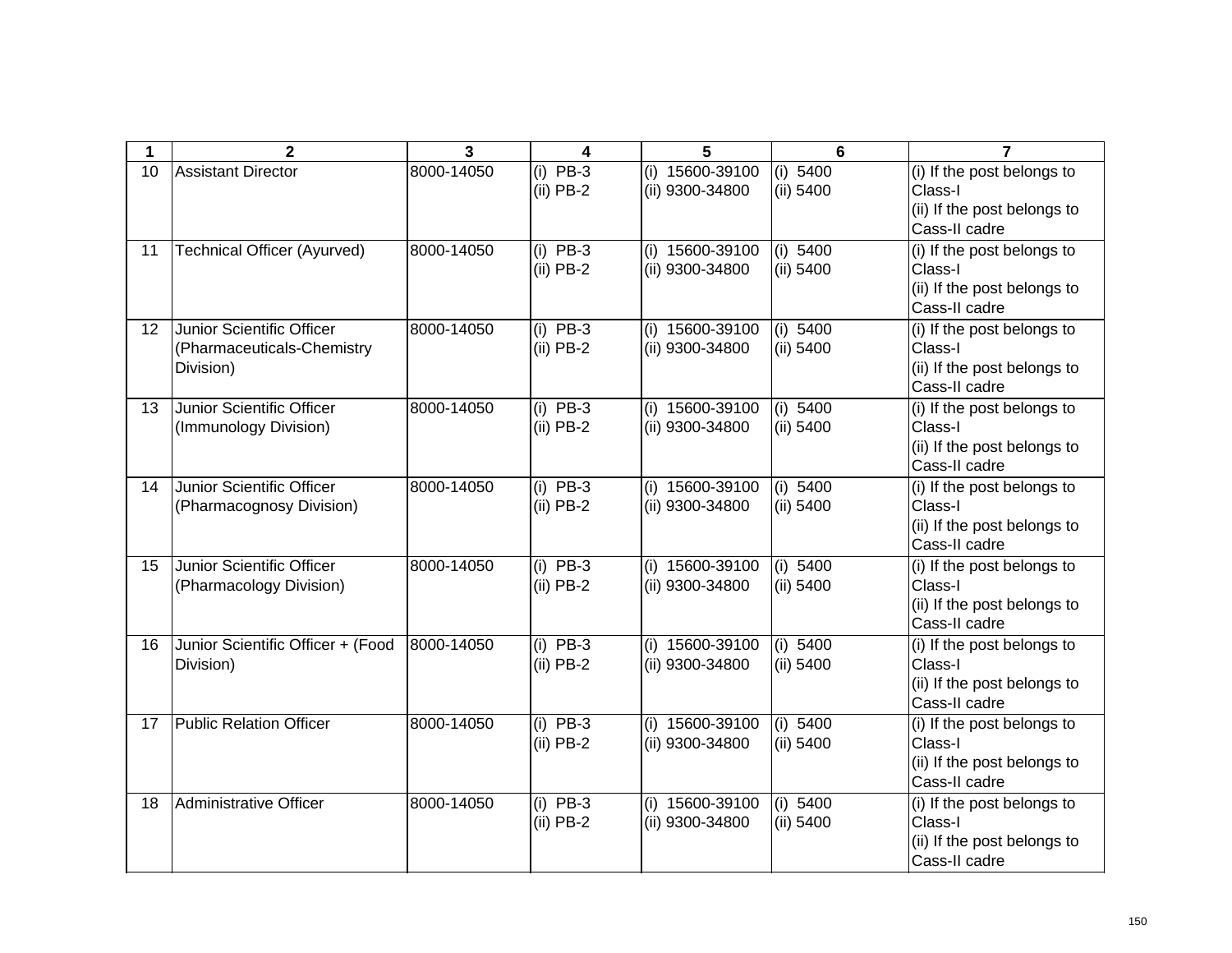| 1  | $\mathbf{2}$                                                         | 3          | 4                                             | 5                                  | 6                       | $\overline{7}$                                                                        |
|----|----------------------------------------------------------------------|------------|-----------------------------------------------|------------------------------------|-------------------------|---------------------------------------------------------------------------------------|
| 10 | <b>Assistant Director</b>                                            | 8000-14050 | $(i)$ PB-3<br>$(ii)$ PB-2                     | (i) 15600-39100<br>(ii) 9300-34800 | (i) 5400<br>(ii) 5400   | (i) If the post belongs to<br>Class-I<br>(ii) If the post belongs to<br>Cass-II cadre |
| 11 | <b>Technical Officer (Ayurved)</b>                                   | 8000-14050 | $(i)$ PB-3<br>$(ii)$ PB-2                     | (i) 15600-39100<br>(ii) 9300-34800 | (i) $5400$<br>(ii) 5400 | (i) If the post belongs to<br>Class-I<br>(ii) If the post belongs to<br>Cass-II cadre |
| 12 | Junior Scientific Officer<br>(Pharmaceuticals-Chemistry<br>Division) | 8000-14050 | $(i)$ PB-3<br>$(ii)$ PB-2                     | (i) 15600-39100<br>(ii) 9300-34800 | (i) 5400<br>(ii) 5400   | (i) If the post belongs to<br>Class-I<br>(ii) If the post belongs to<br>Cass-II cadre |
| 13 | Junior Scientific Officer<br>(Immunology Division)                   | 8000-14050 | $(i)$ PB-3<br>$(ii)$ PB-2                     | (i) 15600-39100<br>(ii) 9300-34800 | (i) $5400$<br>(ii) 5400 | (i) If the post belongs to<br>Class-I<br>(ii) If the post belongs to<br>Cass-II cadre |
| 14 | Junior Scientific Officer<br>(Pharmacognosy Division)                | 8000-14050 | $(i)$ PB-3<br>$(ii)$ PB-2                     | (i) 15600-39100<br>(ii) 9300-34800 | (i) $5400$<br>(ii) 5400 | (i) If the post belongs to<br>Class-I<br>(ii) If the post belongs to<br>Cass-II cadre |
| 15 | Junior Scientific Officer<br>(Pharmacology Division)                 | 8000-14050 | $(i)$ PB-3<br>$(ii)$ PB-2                     | (i) 15600-39100<br>(ii) 9300-34800 | (i) 5400<br>(ii) 5400   | (i) If the post belongs to<br>Class-I<br>(ii) If the post belongs to<br>Cass-II cadre |
| 16 | Junior Scientific Officer + (Food<br>Division)                       | 8000-14050 | $(i)$ PB-3<br>$(ii)$ PB-2                     | (i) 15600-39100<br>(ii) 9300-34800 | (i) $5400$<br>(ii) 5400 | (i) If the post belongs to<br>Class-I<br>(ii) If the post belongs to<br>Cass-II cadre |
| 17 | <b>Public Relation Officer</b>                                       | 8000-14050 | $\overline{(\mathsf{i})}$ PB-3<br>$(ii)$ PB-2 | (i) 15600-39100<br>(ii) 9300-34800 | (i) 5400<br>(ii) 5400   | (i) If the post belongs to<br>Class-I<br>(ii) If the post belongs to<br>Cass-II cadre |
| 18 | Administrative Officer                                               | 8000-14050 | $(i)$ PB-3<br>$(ii)$ PB-2                     | (i) 15600-39100<br>(ii) 9300-34800 | (i) 5400<br>(ii) 5400   | (i) If the post belongs to<br>Class-I<br>(ii) If the post belongs to<br>Cass-II cadre |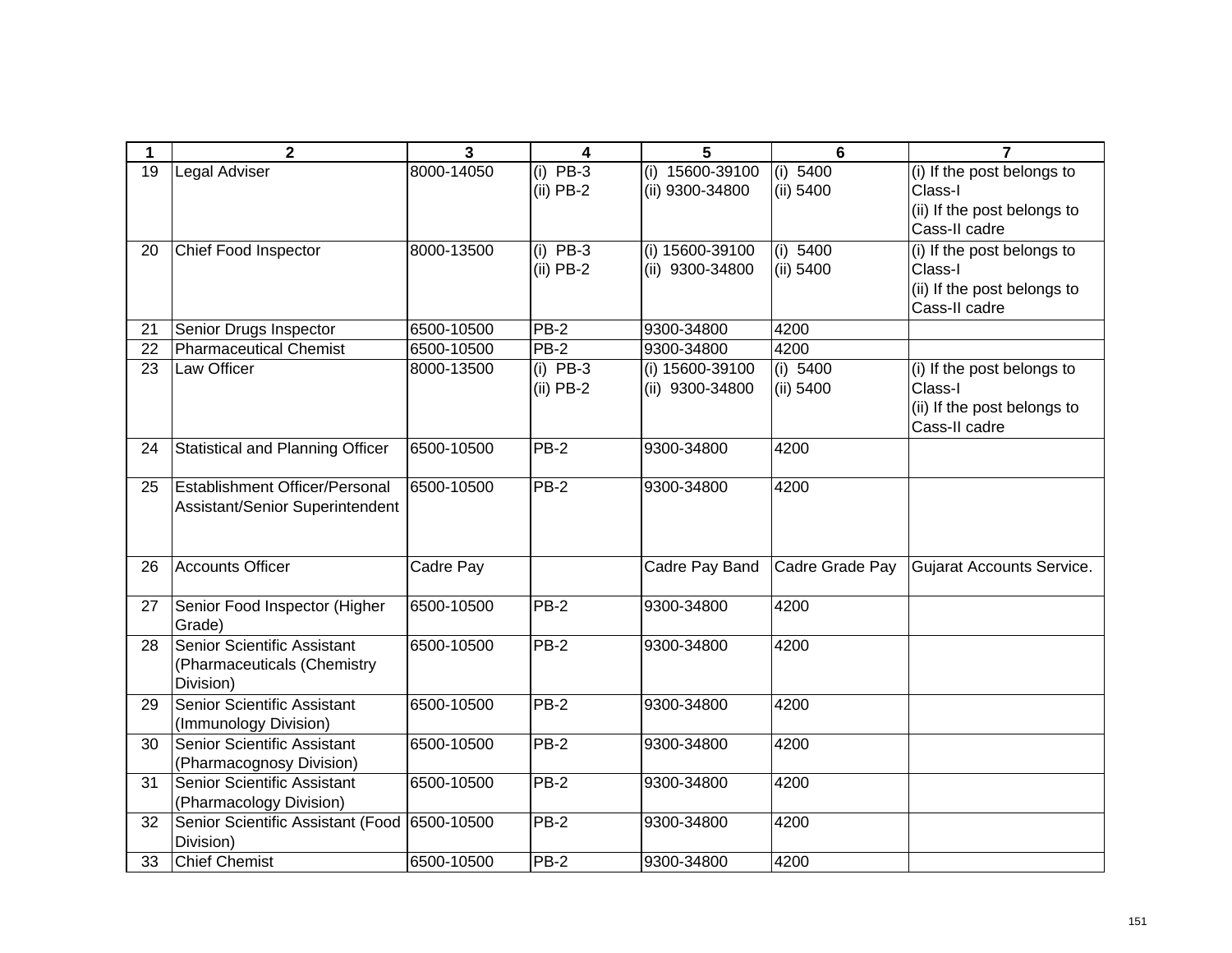| 1  | $\mathbf{2}$                                   | 3          | 4           | 5               | 6               | $\overline{7}$                               |
|----|------------------------------------------------|------------|-------------|-----------------|-----------------|----------------------------------------------|
| 19 | Legal Adviser                                  | 8000-14050 | $(i)$ PB-3  | (i) 15600-39100 | (i) 5400        | (i) If the post belongs to                   |
|    |                                                |            | $(ii)$ PB-2 | (ii) 9300-34800 | (ii) 5400       | Class-I                                      |
|    |                                                |            |             |                 |                 | (ii) If the post belongs to<br>Cass-II cadre |
| 20 | Chief Food Inspector                           | 8000-13500 | $(i)$ PB-3  | (i) 15600-39100 | (i) 5400        | (i) If the post belongs to                   |
|    |                                                |            | $(ii)$ PB-2 | (ii) 9300-34800 | (ii) 5400       | Class-I                                      |
|    |                                                |            |             |                 |                 | (ii) If the post belongs to                  |
|    |                                                |            |             |                 |                 | Cass-II cadre                                |
| 21 | Senior Drugs Inspector                         | 6500-10500 | <b>PB-2</b> | 9300-34800      | 4200            |                                              |
| 22 | <b>Pharmaceutical Chemist</b>                  | 6500-10500 | $PB-2$      | 9300-34800      | 4200            |                                              |
| 23 | Law Officer                                    | 8000-13500 | $(i)$ PB-3  | (i) 15600-39100 | (i) 5400        | (i) If the post belongs to                   |
|    |                                                |            | $(ii)$ PB-2 | (ii) 9300-34800 | (ii) 5400       | Class-I                                      |
|    |                                                |            |             |                 |                 | (ii) If the post belongs to                  |
|    |                                                |            |             |                 |                 | Cass-II cadre                                |
| 24 | <b>Statistical and Planning Officer</b>        | 6500-10500 | PB-2        | 9300-34800      | 4200            |                                              |
| 25 | Establishment Officer/Personal                 | 6500-10500 | $PB-2$      | 9300-34800      | 4200            |                                              |
|    | Assistant/Senior Superintendent                |            |             |                 |                 |                                              |
|    |                                                |            |             |                 |                 |                                              |
|    |                                                |            |             |                 |                 |                                              |
| 26 | <b>Accounts Officer</b>                        | Cadre Pay  |             | Cadre Pay Band  | Cadre Grade Pay | Gujarat Accounts Service.                    |
| 27 | Senior Food Inspector (Higher                  | 6500-10500 | $PB-2$      | 9300-34800      | 4200            |                                              |
|    | Grade)                                         |            |             |                 |                 |                                              |
| 28 | Senior Scientific Assistant                    | 6500-10500 | <b>PB-2</b> | 9300-34800      | 4200            |                                              |
|    | (Pharmaceuticals (Chemistry                    |            |             |                 |                 |                                              |
|    | Division)                                      |            |             |                 |                 |                                              |
| 29 | Senior Scientific Assistant                    | 6500-10500 | PB-2        | 9300-34800      | 4200            |                                              |
|    | (Immunology Division)                          |            |             |                 |                 |                                              |
| 30 | Senior Scientific Assistant                    | 6500-10500 | PB-2        | 9300-34800      | 4200            |                                              |
|    | (Pharmacognosy Division)                       |            |             |                 |                 |                                              |
| 31 | Senior Scientific Assistant                    | 6500-10500 | $PB-2$      | 9300-34800      | 4200            |                                              |
|    | (Pharmacology Division)                        |            |             |                 |                 |                                              |
| 32 | Senior Scientific Assistant (Food<br>Division) | 6500-10500 | PB-2        | 9300-34800      | 4200            |                                              |
| 33 | <b>Chief Chemist</b>                           | 6500-10500 | <b>PB-2</b> | 9300-34800      | 4200            |                                              |
|    |                                                |            |             |                 |                 |                                              |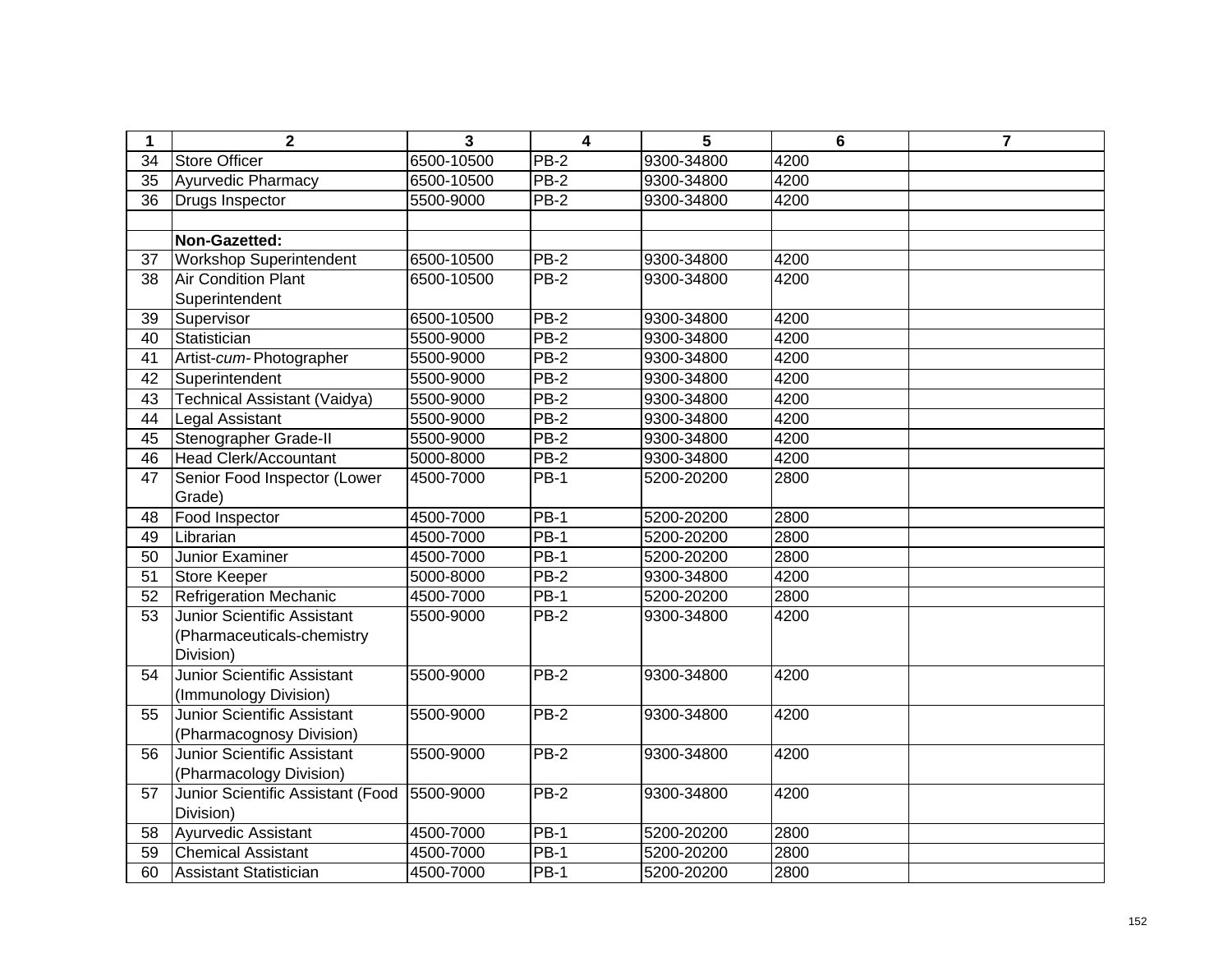| 1  | $\mathbf{2}$                       | 3          | $\overline{\mathbf{4}}$ | 5          | $6\phantom{1}6$ | $\overline{7}$ |
|----|------------------------------------|------------|-------------------------|------------|-----------------|----------------|
| 34 | <b>Store Officer</b>               | 6500-10500 | $PB-2$                  | 9300-34800 | 4200            |                |
| 35 | Ayurvedic Pharmacy                 | 6500-10500 | $PB-2$                  | 9300-34800 | 4200            |                |
| 36 | Drugs Inspector                    | 5500-9000  | <b>PB-2</b>             | 9300-34800 | 4200            |                |
|    |                                    |            |                         |            |                 |                |
|    | Non-Gazetted:                      |            |                         |            |                 |                |
| 37 | <b>Workshop Superintendent</b>     | 6500-10500 | $PB-2$                  | 9300-34800 | 4200            |                |
| 38 | <b>Air Condition Plant</b>         | 6500-10500 | <b>PB-2</b>             | 9300-34800 | 4200            |                |
|    | Superintendent                     |            |                         |            |                 |                |
| 39 | Supervisor                         | 6500-10500 | <b>PB-2</b>             | 9300-34800 | 4200            |                |
| 40 | Statistician                       | 5500-9000  | $PB-2$                  | 9300-34800 | 4200            |                |
| 41 | Artist-cum-Photographer            | 5500-9000  | $PB-2$                  | 9300-34800 | 4200            |                |
| 42 | Superintendent                     | 5500-9000  | $PB-2$                  | 9300-34800 | 4200            |                |
| 43 | Technical Assistant (Vaidya)       | 5500-9000  | $PB-2$                  | 9300-34800 | 4200            |                |
| 44 | <b>Legal Assistant</b>             | 5500-9000  | PB-2                    | 9300-34800 | 4200            |                |
| 45 | Stenographer Grade-II              | 5500-9000  | $PB-2$                  | 9300-34800 | 4200            |                |
| 46 | <b>Head Clerk/Accountant</b>       | 5000-8000  | <b>PB-2</b>             | 9300-34800 | 4200            |                |
| 47 | Senior Food Inspector (Lower       | 4500-7000  | $PB-1$                  | 5200-20200 | 2800            |                |
|    | Grade)                             |            |                         |            |                 |                |
| 48 | Food Inspector                     | 4500-7000  | $PB-1$                  | 5200-20200 | 2800            |                |
| 49 | Librarian                          | 4500-7000  | $PB-1$                  | 5200-20200 | 2800            |                |
| 50 | Junior Examiner                    | 4500-7000  | <b>PB-1</b>             | 5200-20200 | 2800            |                |
| 51 | <b>Store Keeper</b>                | 5000-8000  | <b>PB-2</b>             | 9300-34800 | 4200            |                |
| 52 | <b>Refrigeration Mechanic</b>      | 4500-7000  | PB-1                    | 5200-20200 | 2800            |                |
| 53 | Junior Scientific Assistant        | 5500-9000  | $PB-2$                  | 9300-34800 | 4200            |                |
|    | (Pharmaceuticals-chemistry         |            |                         |            |                 |                |
|    | Division)                          |            |                         |            |                 |                |
| 54 | Junior Scientific Assistant        | 5500-9000  | PB-2                    | 9300-34800 | 4200            |                |
|    | (Immunology Division)              |            |                         |            |                 |                |
| 55 | <b>Junior Scientific Assistant</b> | 5500-9000  | <b>PB-2</b>             | 9300-34800 | 4200            |                |
|    | (Pharmacognosy Division)           |            |                         |            |                 |                |
| 56 | <b>Junior Scientific Assistant</b> | 5500-9000  | $PB-2$                  | 9300-34800 | 4200            |                |
|    | (Pharmacology Division)            |            |                         |            |                 |                |
| 57 | Junior Scientific Assistant (Food  | 5500-9000  | $PB-2$                  | 9300-34800 | 4200            |                |
|    | Division)                          |            |                         |            |                 |                |
| 58 | Ayurvedic Assistant                | 4500-7000  | $PB-1$                  | 5200-20200 | 2800            |                |
| 59 | <b>Chemical Assistant</b>          | 4500-7000  | $PB-1$                  | 5200-20200 | 2800            |                |
| 60 | Assistant Statistician             | 4500-7000  | <b>PB-1</b>             | 5200-20200 | 2800            |                |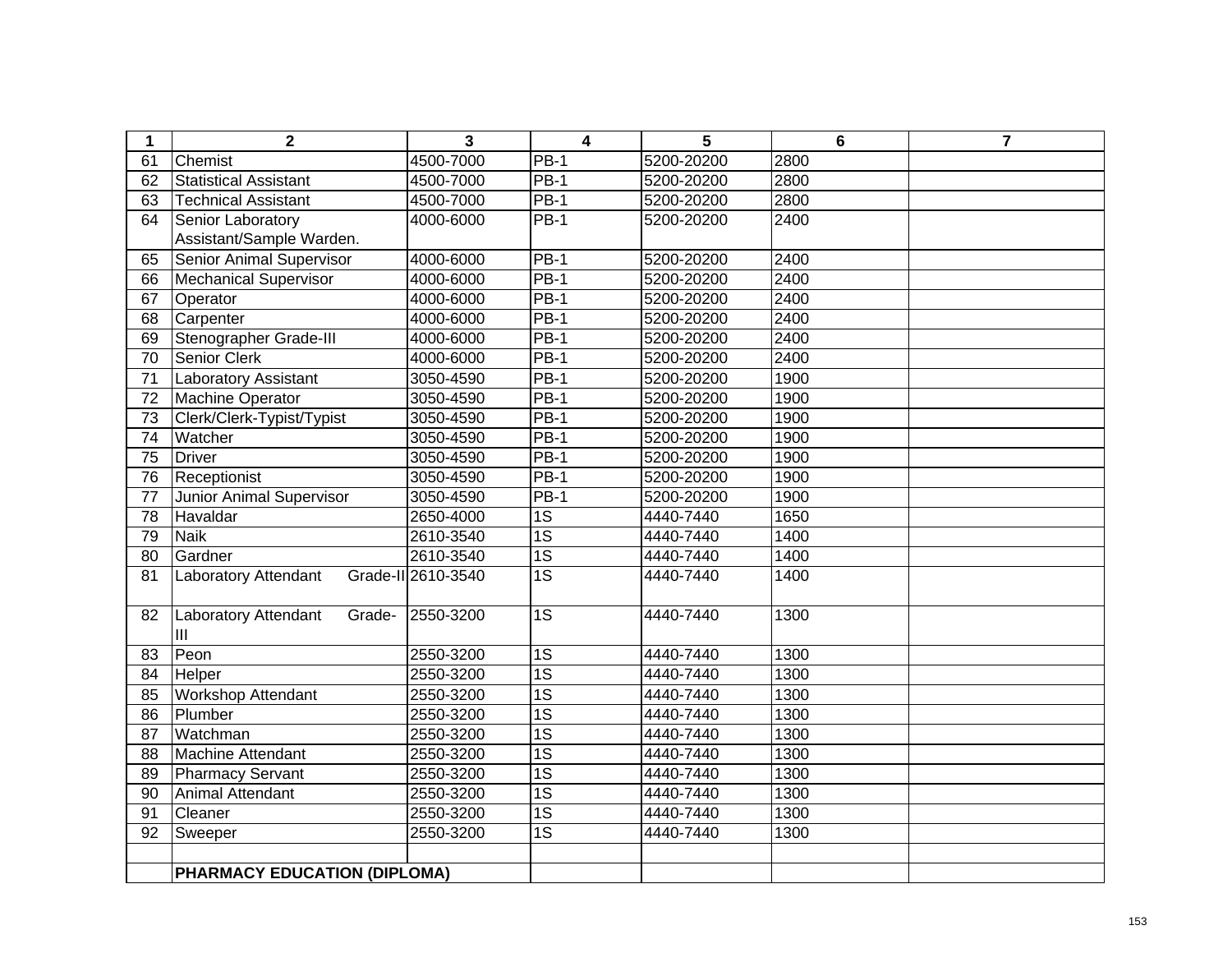| 1               | $\mathbf 2$                         | 3                  | 4               | 5          | $6\phantom{1}6$ | $\overline{7}$ |
|-----------------|-------------------------------------|--------------------|-----------------|------------|-----------------|----------------|
| 61              | Chemist                             | 4500-7000          | <b>PB-1</b>     | 5200-20200 | 2800            |                |
| 62              | <b>Statistical Assistant</b>        | 4500-7000          | <b>PB-1</b>     | 5200-20200 | 2800            |                |
| 63              | <b>Technical Assistant</b>          | 4500-7000          | $PB-1$          | 5200-20200 | 2800            |                |
| 64              | Senior Laboratory                   | 4000-6000          | $PB-1$          | 5200-20200 | 2400            |                |
|                 | Assistant/Sample Warden.            |                    |                 |            |                 |                |
| 65              | Senior Animal Supervisor            | 4000-6000          | <b>PB-1</b>     | 5200-20200 | 2400            |                |
| 66              | <b>Mechanical Supervisor</b>        | 4000-6000          | $PB-1$          | 5200-20200 | 2400            |                |
| 67              | Operator                            | 4000-6000          | <b>PB-1</b>     | 5200-20200 | 2400            |                |
| 68              | Carpenter                           | 4000-6000          | $PB-1$          | 5200-20200 | 2400            |                |
| 69              | Stenographer Grade-III              | 4000-6000          | <b>PB-1</b>     | 5200-20200 | 2400            |                |
| $\overline{70}$ | <b>Senior Clerk</b>                 | 4000-6000          | $PB-1$          | 5200-20200 | 2400            |                |
| 71              | Laboratory Assistant                | 3050-4590          | $PB-1$          | 5200-20200 | 1900            |                |
| $\overline{72}$ | <b>Machine Operator</b>             | 3050-4590          | $PB-1$          | 5200-20200 | 1900            |                |
| $\overline{73}$ | Clerk/Clerk-Typist/Typist           | 3050-4590          | $PB-1$          | 5200-20200 | 1900            |                |
| 74              | Watcher                             | 3050-4590          | $PB-1$          | 5200-20200 | 1900            |                |
| $\overline{75}$ | <b>Driver</b>                       | 3050-4590          | $PB-1$          | 5200-20200 | 1900            |                |
| 76              | Receptionist                        | 3050-4590          | <b>PB-1</b>     | 5200-20200 | 1900            |                |
| 77              | Junior Animal Supervisor            | 3050-4590          | <b>PB-1</b>     | 5200-20200 | 1900            |                |
| 78              | Havaldar                            | 2650-4000          | 1S              | 4440-7440  | 1650            |                |
| 79              | <b>Naik</b>                         | 2610-3540          | $\overline{1S}$ | 4440-7440  | 1400            |                |
| 80              | Gardner                             | 2610-3540          | $\overline{1S}$ | 4440-7440  | 1400            |                |
| 81              | Laboratory Attendant                | Grade-II 2610-3540 | 1S              | 4440-7440  | 1400            |                |
|                 |                                     |                    |                 |            |                 |                |
| 82              | Laboratory Attendant<br>Grade-      | 2550-3200          | $\overline{1S}$ | 4440-7440  | 1300            |                |
|                 | III                                 |                    |                 |            |                 |                |
| 83              | Peon                                | 2550-3200          | $\overline{1S}$ | 4440-7440  | 1300            |                |
| 84              | Helper                              | 2550-3200          | 1S              | 4440-7440  | 1300            |                |
| 85              | <b>Workshop Attendant</b>           | 2550-3200          | $\overline{1S}$ | 4440-7440  | 1300            |                |
| 86              | Plumber                             | 2550-3200          | $\overline{1S}$ | 4440-7440  | 1300            |                |
| 87              | Watchman                            | 2550-3200          | $\overline{1S}$ | 4440-7440  | 1300            |                |
| $\overline{88}$ | <b>Machine Attendant</b>            | 2550-3200          | $\overline{1S}$ | 4440-7440  | 1300            |                |
| 89              | <b>Pharmacy Servant</b>             | 2550-3200          | $\overline{1S}$ | 4440-7440  | 1300            |                |
| 90              | Animal Attendant                    | 2550-3200          | $\overline{1S}$ | 4440-7440  | 1300            |                |
| 91              | Cleaner                             | 2550-3200          | $\overline{1S}$ | 4440-7440  | 1300            |                |
| 92              | Sweeper                             | 2550-3200          | $\overline{1S}$ | 4440-7440  | 1300            |                |
|                 |                                     |                    |                 |            |                 |                |
|                 | <b>PHARMACY EDUCATION (DIPLOMA)</b> |                    |                 |            |                 |                |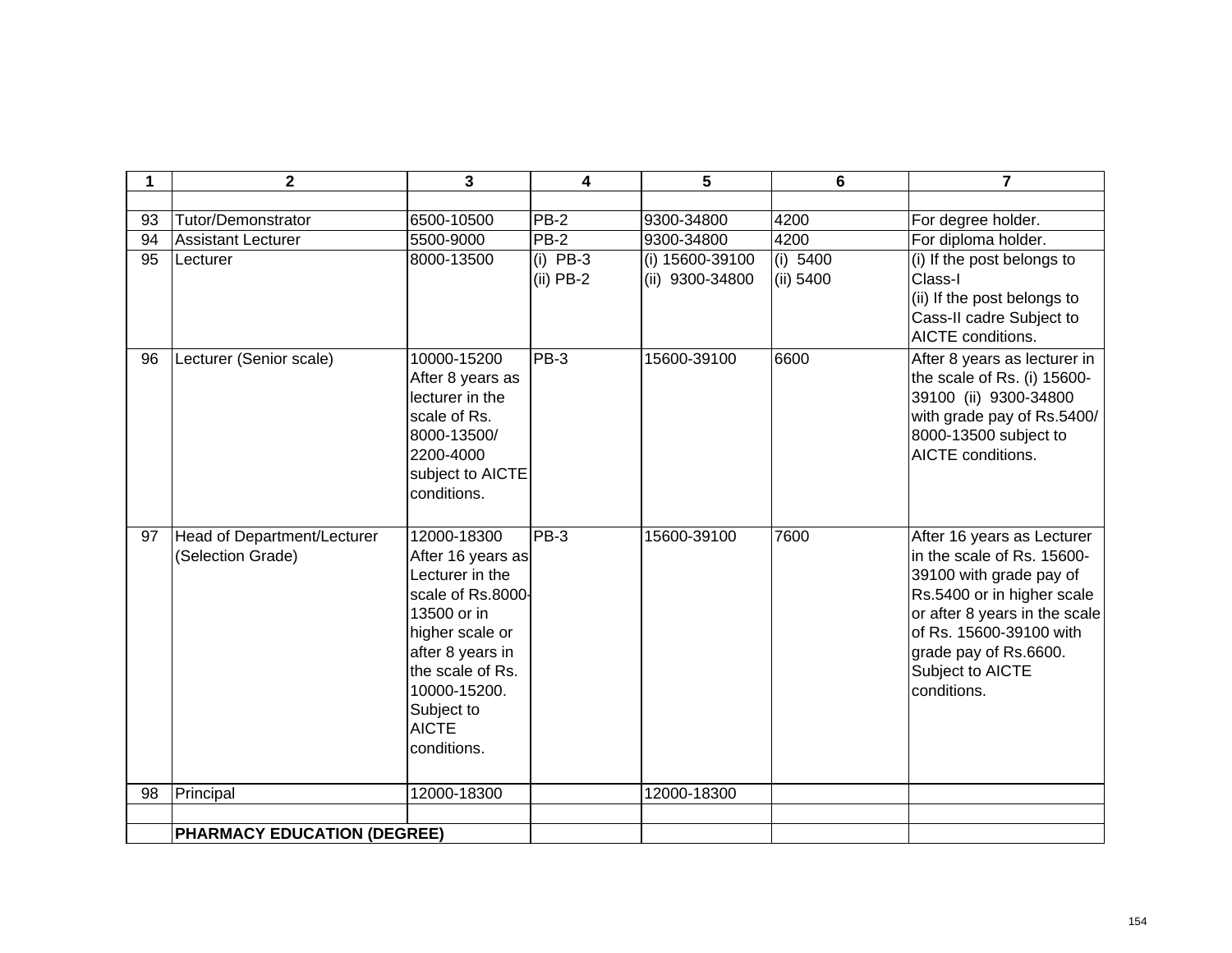| 1  | $\mathbf{2}$                                     | 3                                                                                                                                                                                                               | 4                         | 5                                  | 6                       | $\overline{7}$                                                                                                                                                                                                                            |
|----|--------------------------------------------------|-----------------------------------------------------------------------------------------------------------------------------------------------------------------------------------------------------------------|---------------------------|------------------------------------|-------------------------|-------------------------------------------------------------------------------------------------------------------------------------------------------------------------------------------------------------------------------------------|
|    |                                                  |                                                                                                                                                                                                                 |                           |                                    |                         |                                                                                                                                                                                                                                           |
| 93 | <b>Tutor/Demonstrator</b>                        | 6500-10500                                                                                                                                                                                                      | $PB-2$                    | 9300-34800                         | 4200                    | For degree holder.                                                                                                                                                                                                                        |
| 94 | <b>Assistant Lecturer</b>                        | 5500-9000                                                                                                                                                                                                       | $PB-2$                    | 9300-34800                         | 4200                    | For diploma holder.                                                                                                                                                                                                                       |
| 95 | Lecturer                                         | 8000-13500                                                                                                                                                                                                      | (i) $PB-3$<br>$(ii)$ PB-2 | (i) 15600-39100<br>(ii) 9300-34800 | (i) $5400$<br>(ii) 5400 | (i) If the post belongs to<br>Class-I<br>(ii) If the post belongs to<br>Cass-II cadre Subject to<br>AICTE conditions.                                                                                                                     |
| 96 | Lecturer (Senior scale)                          | 10000-15200<br>After 8 years as<br>lecturer in the<br>scale of Rs.<br>8000-13500/<br>2200-4000<br>subject to AICTE<br>conditions.                                                                               | $PB-3$                    | 15600-39100                        | 6600                    | After 8 years as lecturer in<br>the scale of Rs. (i) 15600-<br>39100 (ii) 9300-34800<br>with grade pay of Rs.5400/<br>8000-13500 subject to<br>AICTE conditions.                                                                          |
| 97 | Head of Department/Lecturer<br>(Selection Grade) | 12000-18300<br>After 16 years as<br>Lecturer in the<br>scale of Rs.8000-<br>13500 or in<br>higher scale or<br>after 8 years in<br>the scale of Rs.<br>10000-15200.<br>Subject to<br><b>AICTE</b><br>conditions. | $PB-3$                    | 15600-39100                        | 7600                    | After 16 years as Lecturer<br>in the scale of Rs. 15600-<br>39100 with grade pay of<br>Rs.5400 or in higher scale<br>or after 8 years in the scale<br>of Rs. 15600-39100 with<br>grade pay of Rs.6600.<br>Subject to AICTE<br>conditions. |
| 98 | Principal                                        | 12000-18300                                                                                                                                                                                                     |                           | 12000-18300                        |                         |                                                                                                                                                                                                                                           |
|    | <b>PHARMACY EDUCATION (DEGREE)</b>               |                                                                                                                                                                                                                 |                           |                                    |                         |                                                                                                                                                                                                                                           |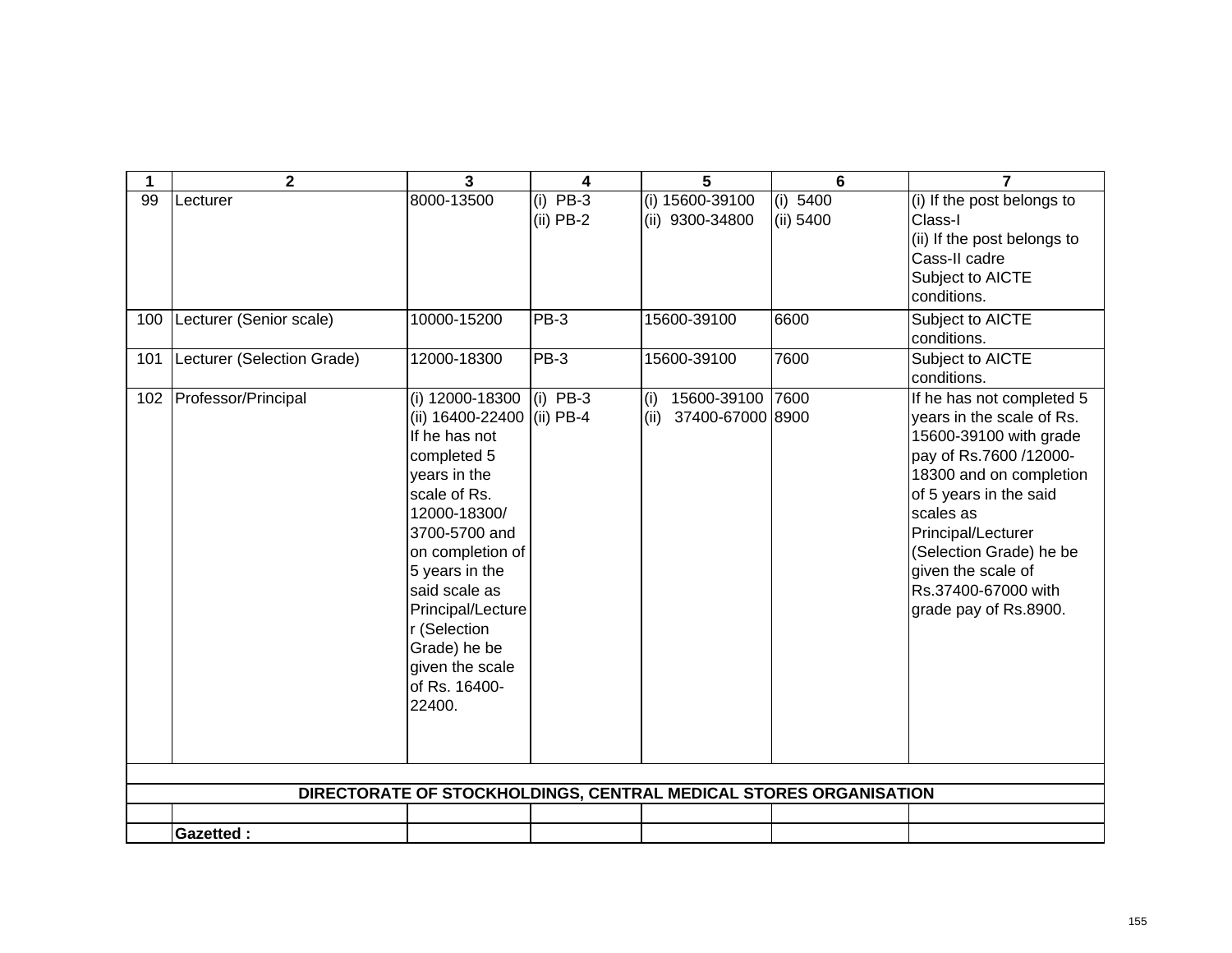| 1   | $\mathbf{2}$               | $\overline{3}$                                                                                                                                                                                                                                                                                           | 4                         | 5                                              | 6                                                                 | $\overline{7}$                                                                                                                                                                                                                                                                                      |
|-----|----------------------------|----------------------------------------------------------------------------------------------------------------------------------------------------------------------------------------------------------------------------------------------------------------------------------------------------------|---------------------------|------------------------------------------------|-------------------------------------------------------------------|-----------------------------------------------------------------------------------------------------------------------------------------------------------------------------------------------------------------------------------------------------------------------------------------------------|
| 99  | Lecturer                   | 8000-13500                                                                                                                                                                                                                                                                                               | $(i)$ PB-3<br>$(ii)$ PB-2 | (i) 15600-39100<br>(ii) 9300-34800             | (i) 5400<br>(ii) 5400                                             | (i) If the post belongs to<br>Class-I<br>(ii) If the post belongs to<br>Cass-II cadre<br>Subject to AICTE<br>conditions.                                                                                                                                                                            |
| 100 | Lecturer (Senior scale)    | 10000-15200                                                                                                                                                                                                                                                                                              | <b>PB-3</b>               | 15600-39100                                    | 6600                                                              | Subject to AICTE<br>conditions.                                                                                                                                                                                                                                                                     |
| 101 | Lecturer (Selection Grade) | 12000-18300                                                                                                                                                                                                                                                                                              | PB-3                      | 15600-39100                                    | 7600                                                              | Subject to AICTE<br>conditions.                                                                                                                                                                                                                                                                     |
| 102 | Professor/Principal        | (i) 12000-18300<br>(ii) 16400-22400 (ii) PB-4<br>If he has not<br>completed 5<br>years in the<br>scale of Rs.<br>12000-18300/<br>3700-5700 and<br>on completion of<br>5 years in the<br>said scale as<br>Principal/Lecture<br>r (Selection<br>Grade) he be<br>given the scale<br>of Rs. 16400-<br>22400. | $(i)$ PB-3                | 15600-39100<br>(i)<br>37400-67000 8900<br>(ii) | 7600                                                              | If he has not completed 5<br>years in the scale of Rs.<br>15600-39100 with grade<br>pay of Rs.7600 /12000-<br>18300 and on completion<br>of 5 years in the said<br>scales as<br>Principal/Lecturer<br>(Selection Grade) he be<br>given the scale of<br>Rs.37400-67000 with<br>grade pay of Rs.8900. |
|     |                            |                                                                                                                                                                                                                                                                                                          |                           |                                                | DIRECTORATE OF STOCKHOLDINGS, CENTRAL MEDICAL STORES ORGANISATION |                                                                                                                                                                                                                                                                                                     |
|     |                            |                                                                                                                                                                                                                                                                                                          |                           |                                                |                                                                   |                                                                                                                                                                                                                                                                                                     |
|     | <b>Gazetted:</b>           |                                                                                                                                                                                                                                                                                                          |                           |                                                |                                                                   |                                                                                                                                                                                                                                                                                                     |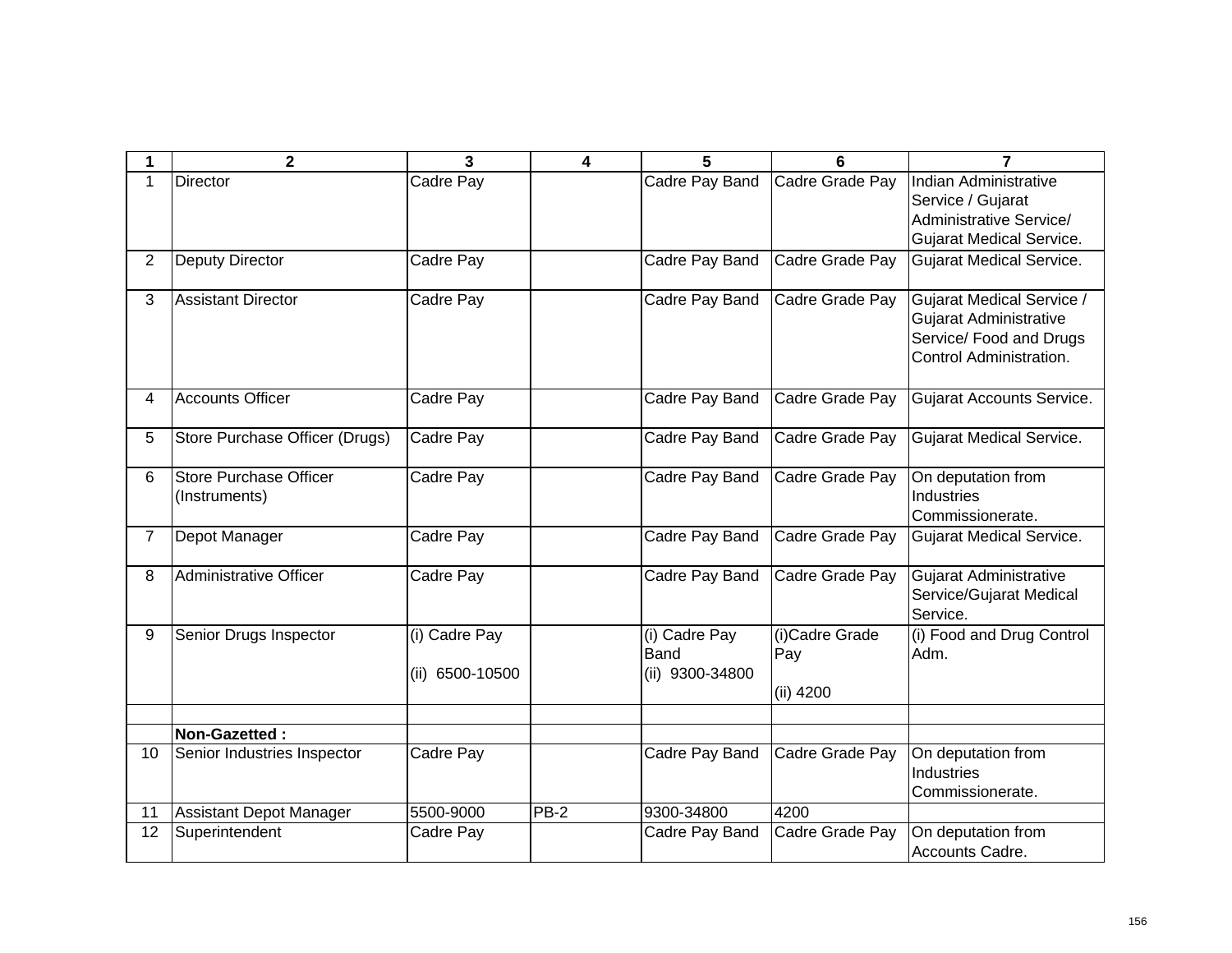| 1              | 2                                       | 3                                | 4      | 5                                               | 6                                  | 7                                                                                                                |
|----------------|-----------------------------------------|----------------------------------|--------|-------------------------------------------------|------------------------------------|------------------------------------------------------------------------------------------------------------------|
| 1              | <b>Director</b>                         | Cadre Pay                        |        | Cadre Pay Band                                  | Cadre Grade Pay                    | Indian Administrative<br>Service / Gujarat<br>Administrative Service/<br><b>Gujarat Medical Service.</b>         |
| $\overline{2}$ | <b>Deputy Director</b>                  | Cadre Pay                        |        | Cadre Pay Band                                  | Cadre Grade Pay                    | <b>Gujarat Medical Service.</b>                                                                                  |
| 3              | <b>Assistant Director</b>               | Cadre Pay                        |        | Cadre Pay Band                                  | Cadre Grade Pay                    | <b>Gujarat Medical Service /</b><br>Gujarat Administrative<br>Service/ Food and Drugs<br>Control Administration. |
| 4              | <b>Accounts Officer</b>                 | Cadre Pay                        |        | Cadre Pay Band                                  | Cadre Grade Pay                    | Gujarat Accounts Service.                                                                                        |
| 5              | Store Purchase Officer (Drugs)          | Cadre Pay                        |        | Cadre Pay Band                                  | Cadre Grade Pay                    | <b>Gujarat Medical Service.</b>                                                                                  |
| 6              | Store Purchase Officer<br>(Instruments) | Cadre Pay                        |        | Cadre Pay Band                                  | Cadre Grade Pay                    | On deputation from<br><b>Industries</b><br>Commissionerate.                                                      |
| $\overline{7}$ | Depot Manager                           | Cadre Pay                        |        | Cadre Pay Band                                  | Cadre Grade Pay                    | <b>Gujarat Medical Service.</b>                                                                                  |
| 8              | Administrative Officer                  | Cadre Pay                        |        | Cadre Pay Band                                  | Cadre Grade Pay                    | Gujarat Administrative<br>Service/Gujarat Medical<br>Service.                                                    |
| 9              | Senior Drugs Inspector                  | (i) Cadre Pay<br>(ii) 6500-10500 |        | (i) Cadre Pay<br><b>Band</b><br>(ii) 9300-34800 | (i)Cadre Grade<br>Pay<br>(ii) 4200 | (i) Food and Drug Control<br>Adm.                                                                                |
|                | Non-Gazetted:                           |                                  |        |                                                 |                                    |                                                                                                                  |
| 10             | Senior Industries Inspector             | Cadre Pay                        |        | Cadre Pay Band                                  | Cadre Grade Pay                    | On deputation from<br>Industries<br>Commissionerate.                                                             |
| 11             | <b>Assistant Depot Manager</b>          | 5500-9000                        | $PB-2$ | 9300-34800                                      | 4200                               |                                                                                                                  |
| 12             | Superintendent                          | Cadre Pay                        |        | Cadre Pay Band                                  | Cadre Grade Pay                    | On deputation from<br>Accounts Cadre.                                                                            |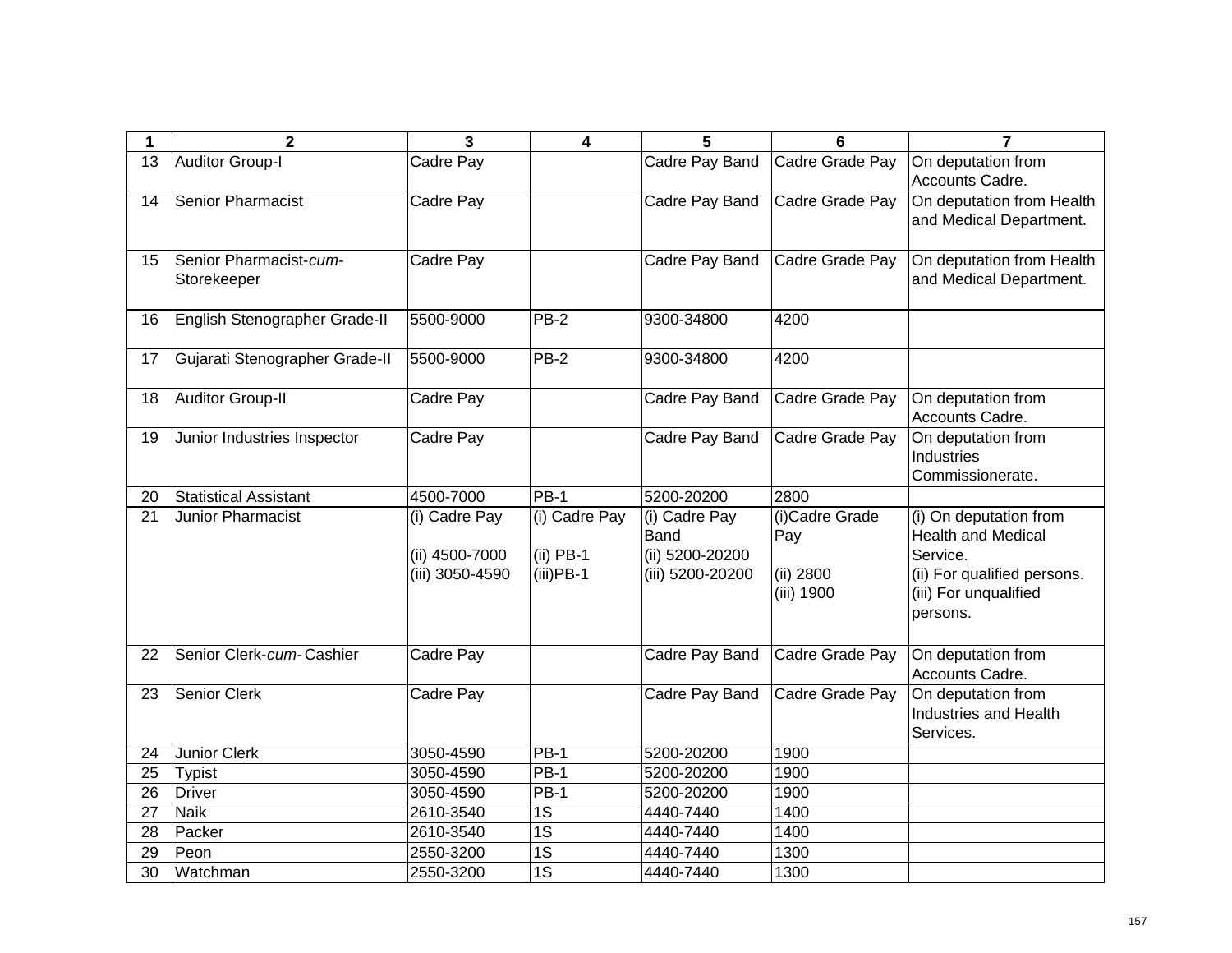| 1  | $\overline{\mathbf{2}}$        | $\mathbf{3}$    | $\overline{\mathbf{4}}$ | 5                | 6               | $\overline{7}$                     |
|----|--------------------------------|-----------------|-------------------------|------------------|-----------------|------------------------------------|
| 13 | <b>Auditor Group-I</b>         | Cadre Pay       |                         | Cadre Pay Band   | Cadre Grade Pay | On deputation from                 |
|    |                                |                 |                         |                  |                 | Accounts Cadre.                    |
| 14 | <b>Senior Pharmacist</b>       | Cadre Pay       |                         | Cadre Pay Band   | Cadre Grade Pay | On deputation from Health          |
|    |                                |                 |                         |                  |                 | and Medical Department.            |
|    |                                |                 |                         |                  |                 |                                    |
| 15 | Senior Pharmacist-cum-         | Cadre Pay       |                         | Cadre Pay Band   | Cadre Grade Pay | On deputation from Health          |
|    | Storekeeper                    |                 |                         |                  |                 | and Medical Department.            |
| 16 | English Stenographer Grade-II  | 5500-9000       | $PB-2$                  | 9300-34800       | 4200            |                                    |
|    |                                |                 |                         |                  |                 |                                    |
| 17 | Gujarati Stenographer Grade-II | 5500-9000       | PB-2                    | 9300-34800       | 4200            |                                    |
|    |                                |                 |                         |                  |                 |                                    |
| 18 | <b>Auditor Group-II</b>        | Cadre Pay       |                         | Cadre Pay Band   | Cadre Grade Pay | On deputation from                 |
|    |                                |                 |                         |                  |                 | Accounts Cadre.                    |
| 19 | Junior Industries Inspector    | Cadre Pay       |                         | Cadre Pay Band   | Cadre Grade Pay | On deputation from                 |
|    |                                |                 |                         |                  |                 | Industries                         |
|    |                                |                 |                         |                  |                 | Commissionerate.                   |
| 20 | <b>Statistical Assistant</b>   | 4500-7000       | $PB-1$                  | 5200-20200       | 2800            |                                    |
| 21 | Junior Pharmacist              | (i) Cadre Pay   | (i) Cadre Pay           | (i) Cadre Pay    | (i)Cadre Grade  | (i) On deputation from             |
|    |                                |                 |                         | Band             | Pay             | <b>Health and Medical</b>          |
|    |                                | (ii) 4500-7000  | $(ii)$ PB-1             | (ii) 5200-20200  |                 | Service.                           |
|    |                                | (iii) 3050-4590 | $(iii)$ PB-1            | (iii) 5200-20200 | (ii) 2800       | (ii) For qualified persons.        |
|    |                                |                 |                         |                  | (iii) 1900      | (iii) For unqualified              |
|    |                                |                 |                         |                  |                 | persons.                           |
|    |                                |                 |                         |                  |                 |                                    |
| 22 | Senior Clerk-cum-Cashier       | Cadre Pay       |                         | Cadre Pay Band   | Cadre Grade Pay | On deputation from                 |
|    |                                |                 |                         |                  |                 | Accounts Cadre.                    |
| 23 | Senior Clerk                   | Cadre Pay       |                         | Cadre Pay Band   | Cadre Grade Pay | On deputation from                 |
|    |                                |                 |                         |                  |                 | Industries and Health<br>Services. |
| 24 | <b>Junior Clerk</b>            | 3050-4590       | $PB-1$                  | 5200-20200       | 1900            |                                    |
| 25 | <b>Typist</b>                  | 3050-4590       | $PB-1$                  | 5200-20200       | 1900            |                                    |
| 26 | <b>Driver</b>                  | 3050-4590       | $PB-1$                  | 5200-20200       | 1900            |                                    |
| 27 | <b>Naik</b>                    | 2610-3540       | $\overline{1S}$         | 4440-7440        | 1400            |                                    |
| 28 | Packer                         | 2610-3540       | $\overline{1S}$         | 4440-7440        | 1400            |                                    |
| 29 | Peon                           | 2550-3200       | $\overline{1S}$         | 4440-7440        | 1300            |                                    |
| 30 | Watchman                       | 2550-3200       | $\overline{1S}$         | 4440-7440        | 1300            |                                    |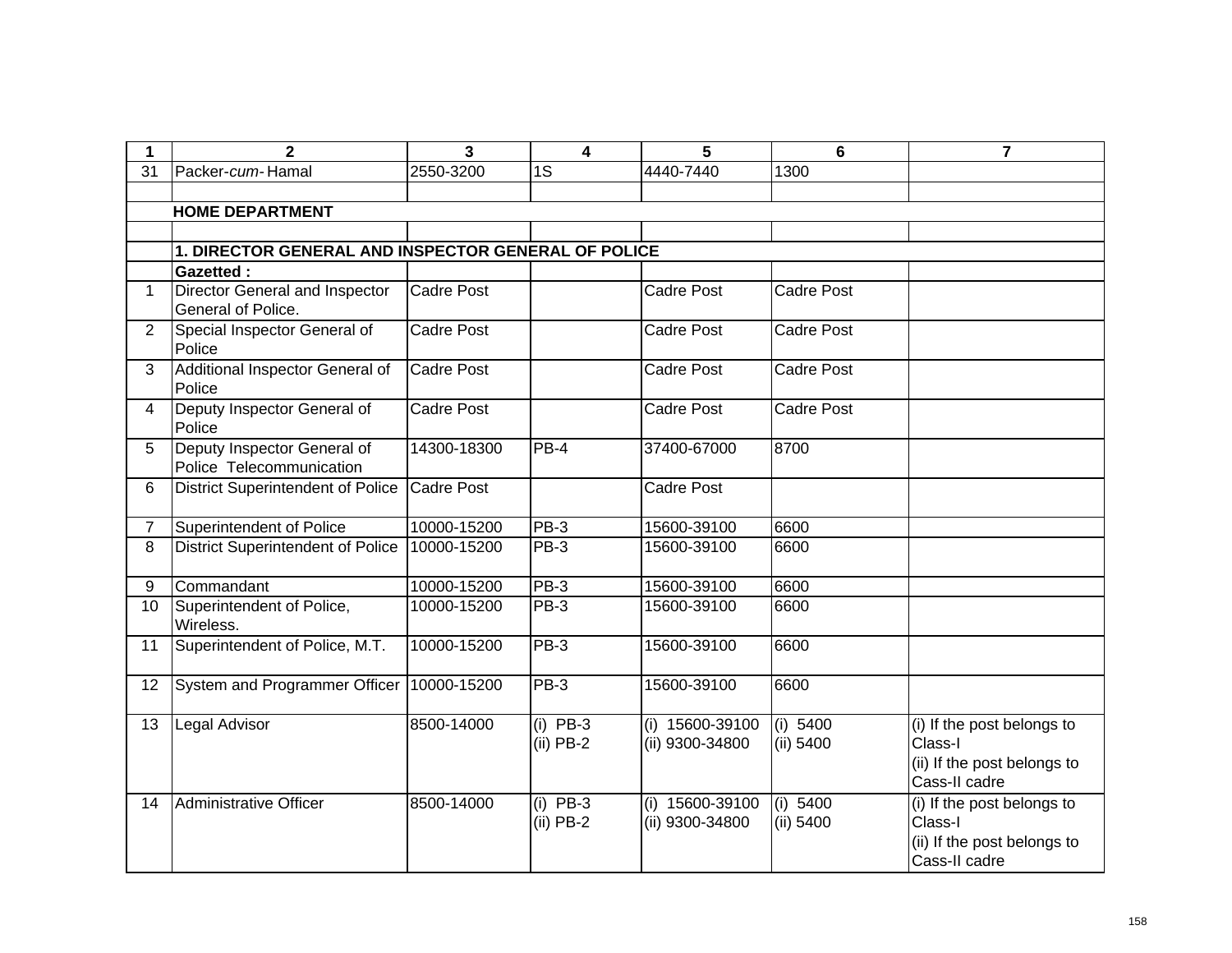| $\mathbf 1$ | $\mathbf{2}$                                            | 3                 | 4                         | 5                                  | $6\phantom{1}$        | 7                                                                                     |
|-------------|---------------------------------------------------------|-------------------|---------------------------|------------------------------------|-----------------------|---------------------------------------------------------------------------------------|
| 31          | Packer-cum-Hamal                                        | 2550-3200         | 1S                        | 4440-7440                          | 1300                  |                                                                                       |
|             | <b>HOME DEPARTMENT</b>                                  |                   |                           |                                    |                       |                                                                                       |
|             |                                                         |                   |                           |                                    |                       |                                                                                       |
|             | 1. DIRECTOR GENERAL AND INSPECTOR GENERAL OF POLICE     |                   |                           |                                    |                       |                                                                                       |
|             | <b>Gazetted:</b>                                        |                   |                           |                                    |                       |                                                                                       |
| $\mathbf 1$ | Director General and Inspector<br>General of Police.    | <b>Cadre Post</b> |                           | <b>Cadre Post</b>                  | <b>Cadre Post</b>     |                                                                                       |
| 2           | Special Inspector General of<br>Police                  | <b>Cadre Post</b> |                           | <b>Cadre Post</b>                  | <b>Cadre Post</b>     |                                                                                       |
| 3           | Additional Inspector General of<br>Police               | <b>Cadre Post</b> |                           | <b>Cadre Post</b>                  | <b>Cadre Post</b>     |                                                                                       |
| 4           | Deputy Inspector General of<br>Police                   | Cadre Post        |                           | Cadre Post                         | <b>Cadre Post</b>     |                                                                                       |
| 5           | Deputy Inspector General of<br>Police Telecommunication | 14300-18300       | $PB-4$                    | 37400-67000                        | 8700                  |                                                                                       |
| 6           | <b>District Superintendent of Police</b>                | <b>Cadre Post</b> |                           | Cadre Post                         |                       |                                                                                       |
| 7           | Superintendent of Police                                | 10000-15200       | PB-3                      | 15600-39100                        | 6600                  |                                                                                       |
| 8           | <b>District Superintendent of Police</b>                | 10000-15200       | PB-3                      | 15600-39100                        | 6600                  |                                                                                       |
| 9           | Commandant                                              | 10000-15200       | PB-3                      | 15600-39100                        | 6600                  |                                                                                       |
| 10          | Superintendent of Police,<br>Wireless.                  | 10000-15200       | <b>PB-3</b>               | 15600-39100                        | 6600                  |                                                                                       |
| 11          | Superintendent of Police, M.T.                          | 10000-15200       | PB-3                      | 15600-39100                        | 6600                  |                                                                                       |
| 12          | System and Programmer Officer                           | 10000-15200       | PB-3                      | 15600-39100                        | 6600                  |                                                                                       |
| 13          | Legal Advisor                                           | 8500-14000        | $(i)$ PB-3<br>$(ii)$ PB-2 | (i) 15600-39100<br>(ii) 9300-34800 | (i) 5400<br>(ii) 5400 | (i) If the post belongs to<br>Class-I<br>(ii) If the post belongs to<br>Cass-II cadre |
| 14          | Administrative Officer                                  | 8500-14000        | $(i)$ PB-3<br>$(ii)$ PB-2 | (i) 15600-39100<br>(ii) 9300-34800 | (i) 5400<br>(ii) 5400 | (i) If the post belongs to<br>Class-I<br>(ii) If the post belongs to<br>Cass-II cadre |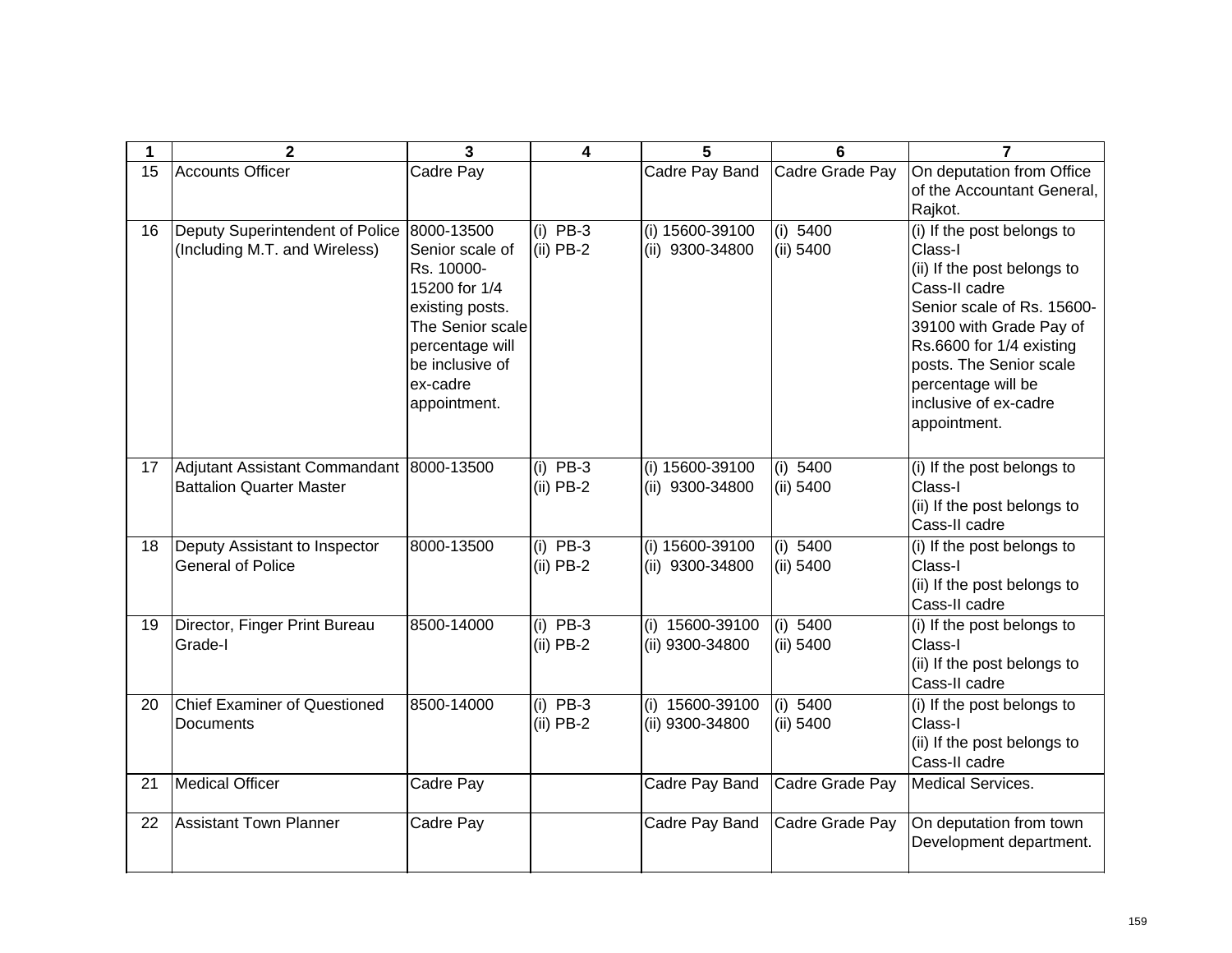| 1  | $\mathbf{2}$                                                         | 3                                                                                                                                                                     | 4                         | 5                                  | 6                     | 7                                                                                                                                                                                                                                                                    |
|----|----------------------------------------------------------------------|-----------------------------------------------------------------------------------------------------------------------------------------------------------------------|---------------------------|------------------------------------|-----------------------|----------------------------------------------------------------------------------------------------------------------------------------------------------------------------------------------------------------------------------------------------------------------|
| 15 | Accounts Officer                                                     | Cadre Pay                                                                                                                                                             |                           | Cadre Pay Band                     | Cadre Grade Pay       | On deputation from Office<br>of the Accountant General,<br>Rajkot.                                                                                                                                                                                                   |
| 16 | Deputy Superintendent of Police<br>(Including M.T. and Wireless)     | 8000-13500<br>Senior scale of<br>Rs. 10000-<br>15200 for 1/4<br>existing posts.<br>The Senior scale<br>percentage will<br>be inclusive of<br>ex-cadre<br>appointment. | (i) $PB-3$<br>$(ii)$ PB-2 | (i) 15600-39100<br>(ii) 9300-34800 | (i) 5400<br>(ii) 5400 | (i) If the post belongs to<br>Class-I<br>(ii) If the post belongs to<br>Cass-II cadre<br>Senior scale of Rs. 15600-<br>39100 with Grade Pay of<br>Rs.6600 for 1/4 existing<br>posts. The Senior scale<br>percentage will be<br>inclusive of ex-cadre<br>appointment. |
| 17 | Adjutant Assistant Commandant 8000-13500<br>Battalion Quarter Master |                                                                                                                                                                       | $(i)$ PB-3<br>$(ii)$ PB-2 | (i) 15600-39100<br>(ii) 9300-34800 | (i) 5400<br>(ii) 5400 | (i) If the post belongs to<br>Class-I<br>(ii) If the post belongs to<br>Cass-II cadre                                                                                                                                                                                |
| 18 | Deputy Assistant to Inspector<br><b>General of Police</b>            | 8000-13500                                                                                                                                                            | $(i)$ PB-3<br>$(ii)$ PB-2 | (i) 15600-39100<br>(ii) 9300-34800 | (i) 5400<br>(ii) 5400 | (i) If the post belongs to<br>Class-I<br>(ii) If the post belongs to<br>Cass-II cadre                                                                                                                                                                                |
| 19 | Director, Finger Print Bureau<br>Grade-I                             | 8500-14000                                                                                                                                                            | $(i)$ PB-3<br>$(ii)$ PB-2 | (i) 15600-39100<br>(ii) 9300-34800 | (i) 5400<br>(ii) 5400 | (i) If the post belongs to<br>Class-I<br>(ii) If the post belongs to<br>Cass-II cadre                                                                                                                                                                                |
| 20 | <b>Chief Examiner of Questioned</b><br>Documents                     | 8500-14000                                                                                                                                                            | $(i)$ PB-3<br>$(ii)$ PB-2 | (i) 15600-39100<br>(ii) 9300-34800 | (i) 5400<br>(ii) 5400 | (i) If the post belongs to<br>Class-I<br>(ii) If the post belongs to<br>Cass-II cadre                                                                                                                                                                                |
| 21 | <b>Medical Officer</b>                                               | Cadre Pay                                                                                                                                                             |                           | Cadre Pay Band                     | Cadre Grade Pay       | <b>Medical Services.</b>                                                                                                                                                                                                                                             |
| 22 | <b>Assistant Town Planner</b>                                        | Cadre Pay                                                                                                                                                             |                           | Cadre Pay Band                     | Cadre Grade Pay       | On deputation from town<br>Development department.                                                                                                                                                                                                                   |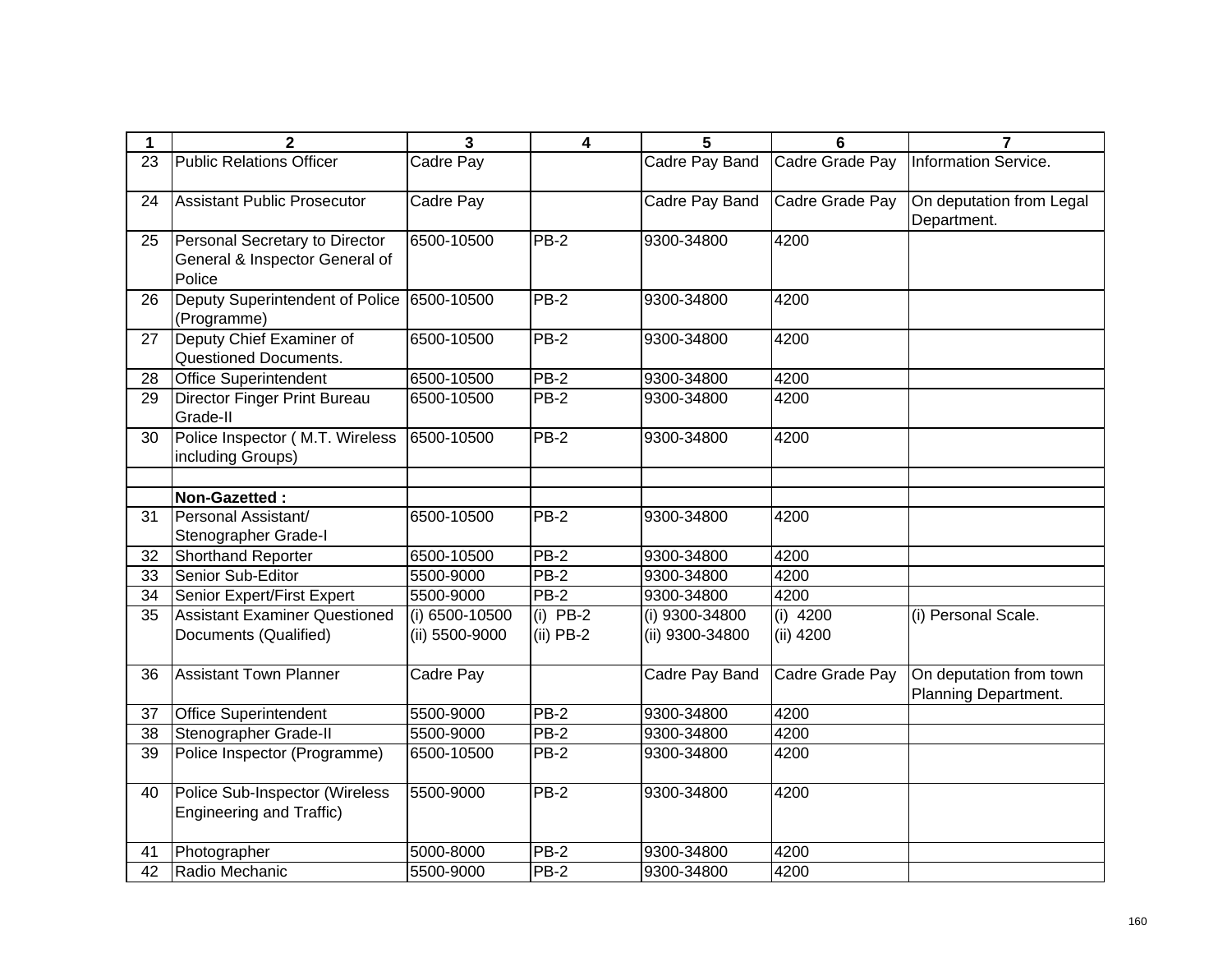| 1  | 2                                                                          | $\overline{\mathbf{3}}$ | $\overline{4}$ | 5               | 6               | $\overline{7}$                                  |
|----|----------------------------------------------------------------------------|-------------------------|----------------|-----------------|-----------------|-------------------------------------------------|
| 23 | <b>Public Relations Officer</b>                                            | Cadre Pay               |                | Cadre Pay Band  | Cadre Grade Pay | Information Service.                            |
| 24 | <b>Assistant Public Prosecutor</b>                                         | Cadre Pay               |                | Cadre Pay Band  | Cadre Grade Pay | On deputation from Legal<br>Department.         |
| 25 | Personal Secretary to Director<br>General & Inspector General of<br>Police | 6500-10500              | <b>PB-2</b>    | 9300-34800      | 4200            |                                                 |
| 26 | Deputy Superintendent of Police<br>(Programme)                             | 6500-10500              | PB-2           | 9300-34800      | 4200            |                                                 |
| 27 | Deputy Chief Examiner of<br>Questioned Documents.                          | 6500-10500              | PB-2           | 9300-34800      | 4200            |                                                 |
| 28 | <b>Office Superintendent</b>                                               | 6500-10500              | $PB-2$         | 9300-34800      | 4200            |                                                 |
| 29 | Director Finger Print Bureau<br>Grade-II                                   | 6500-10500              | $PB-2$         | 9300-34800      | 4200            |                                                 |
| 30 | Police Inspector (M.T. Wireless<br>including Groups)                       | 6500-10500              | <b>PB-2</b>    | 9300-34800      | 4200            |                                                 |
|    |                                                                            |                         |                |                 |                 |                                                 |
|    | Non-Gazetted:                                                              |                         |                |                 |                 |                                                 |
| 31 | Personal Assistant/<br>Stenographer Grade-I                                | 6500-10500              | PB-2           | 9300-34800      | 4200            |                                                 |
| 32 | Shorthand Reporter                                                         | 6500-10500              | $PB-2$         | 9300-34800      | 4200            |                                                 |
| 33 | Senior Sub-Editor                                                          | 5500-9000               | $PB-2$         | 9300-34800      | 4200            |                                                 |
| 34 | Senior Expert/First Expert                                                 | 5500-9000               | $PB-2$         | 9300-34800      | 4200            |                                                 |
| 35 | <b>Assistant Examiner Questioned</b>                                       | (i) 6500-10500          | $(i)$ PB-2     | (i) 9300-34800  | $(i)$ 4200      | (i) Personal Scale.                             |
|    | Documents (Qualified)                                                      | (ii) 5500-9000          | $(ii)$ PB-2    | (ii) 9300-34800 | $(ii)$ 4200     |                                                 |
| 36 | <b>Assistant Town Planner</b>                                              | Cadre Pay               |                | Cadre Pay Band  | Cadre Grade Pay | On deputation from town<br>Planning Department. |
| 37 | <b>Office Superintendent</b>                                               | 5500-9000               | $PB-2$         | 9300-34800      | 4200            |                                                 |
| 38 | Stenographer Grade-II                                                      | 5500-9000               | $PB-2$         | 9300-34800      | 4200            |                                                 |
| 39 | Police Inspector (Programme)                                               | 6500-10500              | $PB-2$         | 9300-34800      | 4200            |                                                 |
| 40 | Police Sub-Inspector (Wireless<br>Engineering and Traffic)                 | 5500-9000               | PB-2           | 9300-34800      | 4200            |                                                 |
| 41 | Photographer                                                               | 5000-8000               | $PB-2$         | 9300-34800      | 4200            |                                                 |
| 42 | Radio Mechanic                                                             | 5500-9000               | $PB-2$         | 9300-34800      | 4200            |                                                 |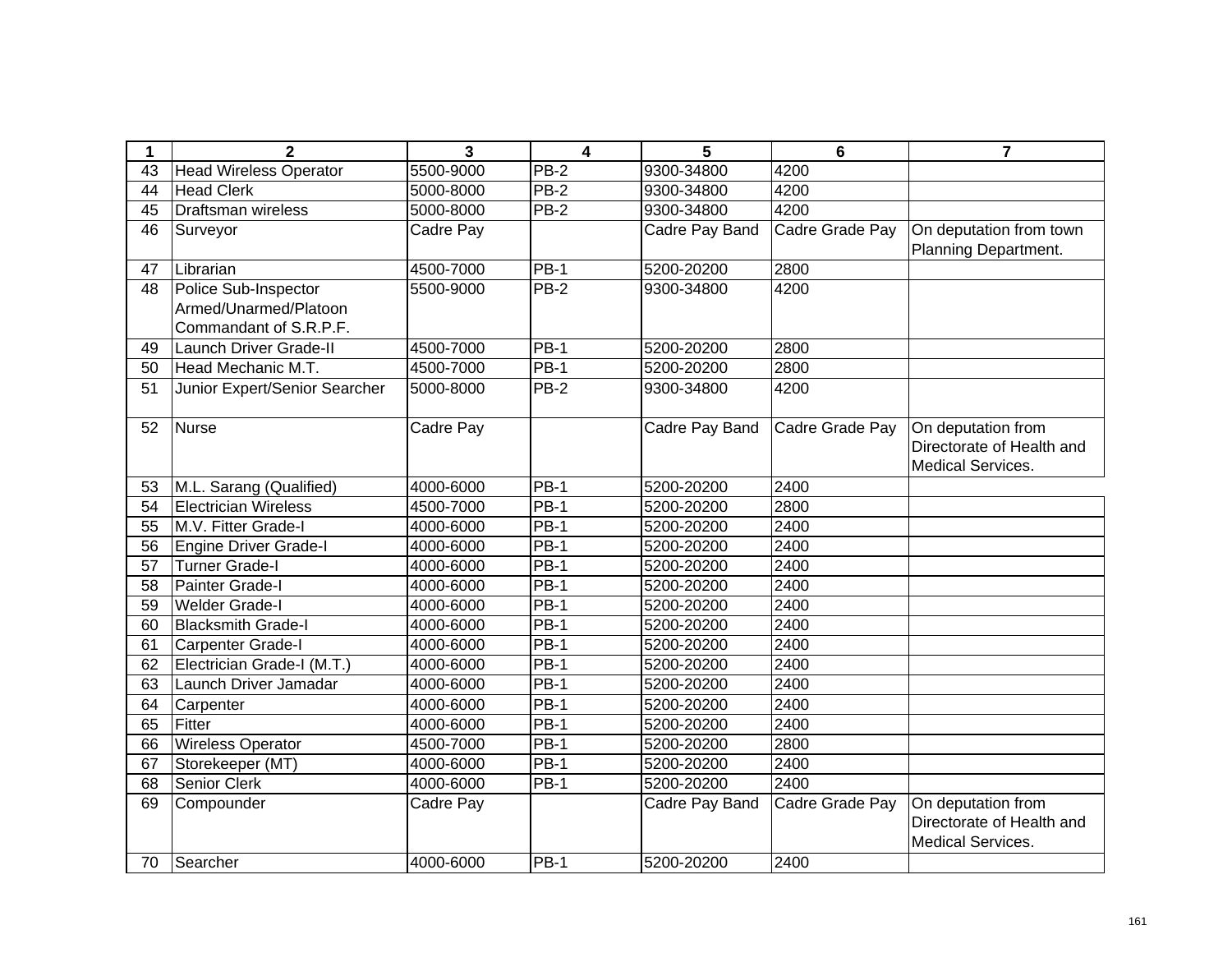| 1  | $\mathbf{2}$                  | $\overline{3}$ | $\overline{\mathbf{4}}$ | 5              | $6\phantom{1}$   | $\overline{7}$            |
|----|-------------------------------|----------------|-------------------------|----------------|------------------|---------------------------|
| 43 | <b>Head Wireless Operator</b> | 5500-9000      | $PB-2$                  | 9300-34800     | 4200             |                           |
| 44 | <b>Head Clerk</b>             | 5000-8000      | <b>PB-2</b>             | 9300-34800     | 4200             |                           |
| 45 | Draftsman wireless            | 5000-8000      | $PB-2$                  | 9300-34800     | 4200             |                           |
| 46 | Surveyor                      | Cadre Pay      |                         | Cadre Pay Band | Cadre Grade Pay  | On deputation from town   |
|    |                               |                |                         |                |                  | Planning Department.      |
| 47 | Librarian                     | 4500-7000      | <b>PB-1</b>             | 5200-20200     | 2800             |                           |
| 48 | Police Sub-Inspector          | 5500-9000      | $PB-2$                  | 9300-34800     | 4200             |                           |
|    | Armed/Unarmed/Platoon         |                |                         |                |                  |                           |
|    | Commandant of S.R.P.F.        |                |                         |                |                  |                           |
| 49 | Launch Driver Grade-II        | 4500-7000      | <b>PB-1</b>             | 5200-20200     | 2800             |                           |
| 50 | Head Mechanic M.T.            | 4500-7000      | $PB-1$                  | 5200-20200     | 2800             |                           |
| 51 | Junior Expert/Senior Searcher | 5000-8000      | $PB-2$                  | 9300-34800     | 4200             |                           |
|    |                               |                |                         |                |                  |                           |
| 52 | <b>Nurse</b>                  | Cadre Pay      |                         | Cadre Pay Band | Cadre Grade Pay  | On deputation from        |
|    |                               |                |                         |                |                  | Directorate of Health and |
|    |                               |                |                         |                |                  | Medical Services.         |
| 53 | M.L. Sarang (Qualified)       | 4000-6000      | <b>PB-1</b>             | 5200-20200     | 2400             |                           |
| 54 | <b>Electrician Wireless</b>   | 4500-7000      | $PB-1$                  | 5200-20200     | 2800             |                           |
| 55 | M.V. Fitter Grade-I           | 4000-6000      | <b>PB-1</b>             | 5200-20200     | 2400             |                           |
| 56 | <b>Engine Driver Grade-I</b>  | 4000-6000      | $PB-1$                  | 5200-20200     | 2400             |                           |
| 57 | <b>Turner Grade-I</b>         | 4000-6000      | <b>PB-1</b>             | 5200-20200     | 2400             |                           |
| 58 | Painter Grade-I               | 4000-6000      | $PB-1$                  | 5200-20200     | 2400             |                           |
| 59 | <b>Welder Grade-I</b>         | 4000-6000      | $PB-1$                  | 5200-20200     | 2400             |                           |
| 60 | <b>Blacksmith Grade-I</b>     | 4000-6000      | $PB-1$                  | 5200-20200     | $\frac{1}{2400}$ |                           |
| 61 | Carpenter Grade-I             | 4000-6000      | $PB-1$                  | 5200-20200     | 2400             |                           |
| 62 | Electrician Grade-I (M.T.)    | 4000-6000      | $PB-1$                  | 5200-20200     | 2400             |                           |
| 63 | Launch Driver Jamadar         | 4000-6000      | <b>PB-1</b>             | 5200-20200     | 2400             |                           |
| 64 | Carpenter                     | 4000-6000      | $PB-1$                  | 5200-20200     | 2400             |                           |
| 65 | Fitter                        | 4000-6000      | $PB-1$                  | 5200-20200     | 2400             |                           |
| 66 | <b>Wireless Operator</b>      | 4500-7000      | $PB-1$                  | 5200-20200     | 2800             |                           |
| 67 | Storekeeper (MT)              | 4000-6000      | <b>PB-1</b>             | 5200-20200     | 2400             |                           |
| 68 | Senior Clerk                  | 4000-6000      | $PB-1$                  | 5200-20200     | 2400             |                           |
| 69 | Compounder                    | Cadre Pay      |                         | Cadre Pay Band | Cadre Grade Pay  | On deputation from        |
|    |                               |                |                         |                |                  | Directorate of Health and |
|    |                               |                |                         |                |                  | Medical Services.         |
| 70 | Searcher                      | 4000-6000      | <b>PB-1</b>             | 5200-20200     | 2400             |                           |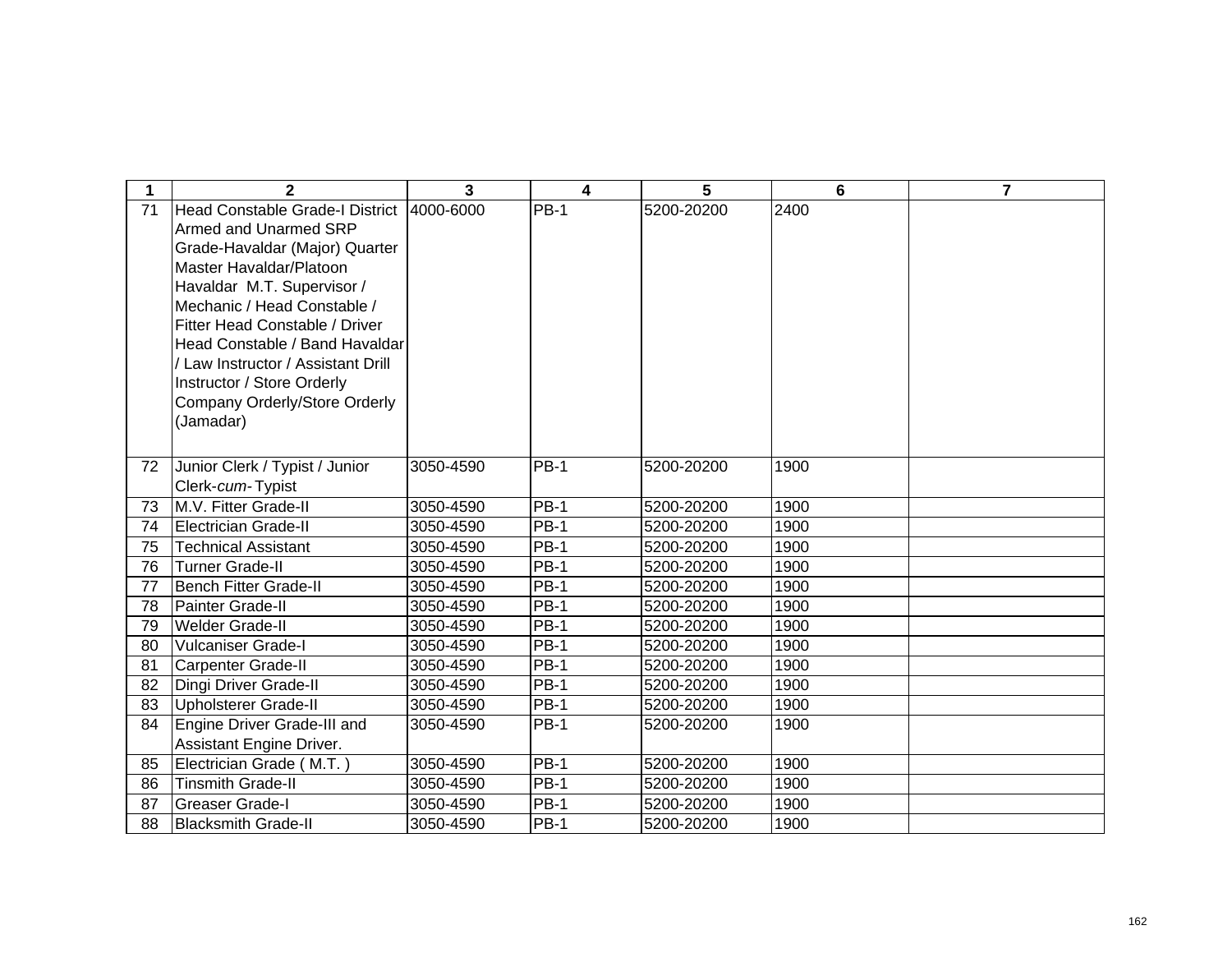| 1  | $\mathbf{2}$                           | 3         | 4           | 5          | 6    | $\overline{7}$ |
|----|----------------------------------------|-----------|-------------|------------|------|----------------|
| 71 | <b>Head Constable Grade-I District</b> | 4000-6000 | <b>PB-1</b> | 5200-20200 | 2400 |                |
|    | Armed and Unarmed SRP                  |           |             |            |      |                |
|    | Grade-Havaldar (Major) Quarter         |           |             |            |      |                |
|    | Master Havaldar/Platoon                |           |             |            |      |                |
|    | Havaldar M.T. Supervisor /             |           |             |            |      |                |
|    | Mechanic / Head Constable /            |           |             |            |      |                |
|    | <b>Fitter Head Constable / Driver</b>  |           |             |            |      |                |
|    | Head Constable / Band Havaldar         |           |             |            |      |                |
|    | / Law Instructor / Assistant Drill     |           |             |            |      |                |
|    | Instructor / Store Orderly             |           |             |            |      |                |
|    | Company Orderly/Store Orderly          |           |             |            |      |                |
|    | (Jamadar)                              |           |             |            |      |                |
|    |                                        |           |             |            |      |                |
| 72 | Junior Clerk / Typist / Junior         | 3050-4590 | <b>PB-1</b> | 5200-20200 | 1900 |                |
|    | Clerk-cum-Typist                       |           |             |            |      |                |
| 73 | M.V. Fitter Grade-II                   | 3050-4590 | <b>PB-1</b> | 5200-20200 | 1900 |                |
| 74 | <b>Electrician Grade-II</b>            | 3050-4590 | $PB-1$      | 5200-20200 | 1900 |                |
| 75 | <b>Technical Assistant</b>             | 3050-4590 | <b>PB-1</b> | 5200-20200 | 1900 |                |
| 76 | <b>Turner Grade-II</b>                 | 3050-4590 | <b>PB-1</b> | 5200-20200 | 1900 |                |
| 77 | <b>Bench Fitter Grade-II</b>           | 3050-4590 | <b>PB-1</b> | 5200-20200 | 1900 |                |
| 78 | Painter Grade-II                       | 3050-4590 | $PB-1$      | 5200-20200 | 1900 |                |
| 79 | <b>Welder Grade-II</b>                 | 3050-4590 | PB-1        | 5200-20200 | 1900 |                |
| 80 | <b>Vulcaniser Grade-I</b>              | 3050-4590 | <b>PB-1</b> | 5200-20200 | 1900 |                |
| 81 | <b>Carpenter Grade-II</b>              | 3050-4590 | <b>PB-1</b> | 5200-20200 | 1900 |                |
| 82 | Dingi Driver Grade-II                  | 3050-4590 | <b>PB-1</b> | 5200-20200 | 1900 |                |
| 83 | <b>Upholsterer Grade-II</b>            | 3050-4590 | PB-1        | 5200-20200 | 1900 |                |
| 84 | Engine Driver Grade-III and            | 3050-4590 | <b>PB-1</b> | 5200-20200 | 1900 |                |
|    | Assistant Engine Driver.               |           |             |            |      |                |
| 85 | Electrician Grade (M.T.)               | 3050-4590 | <b>PB-1</b> | 5200-20200 | 1900 |                |
| 86 | <b>Tinsmith Grade-II</b>               | 3050-4590 | <b>PB-1</b> | 5200-20200 | 1900 |                |
| 87 | <b>Greaser Grade-I</b>                 | 3050-4590 | <b>PB-1</b> | 5200-20200 | 1900 |                |
| 88 | <b>Blacksmith Grade-II</b>             | 3050-4590 | <b>PB-1</b> | 5200-20200 | 1900 |                |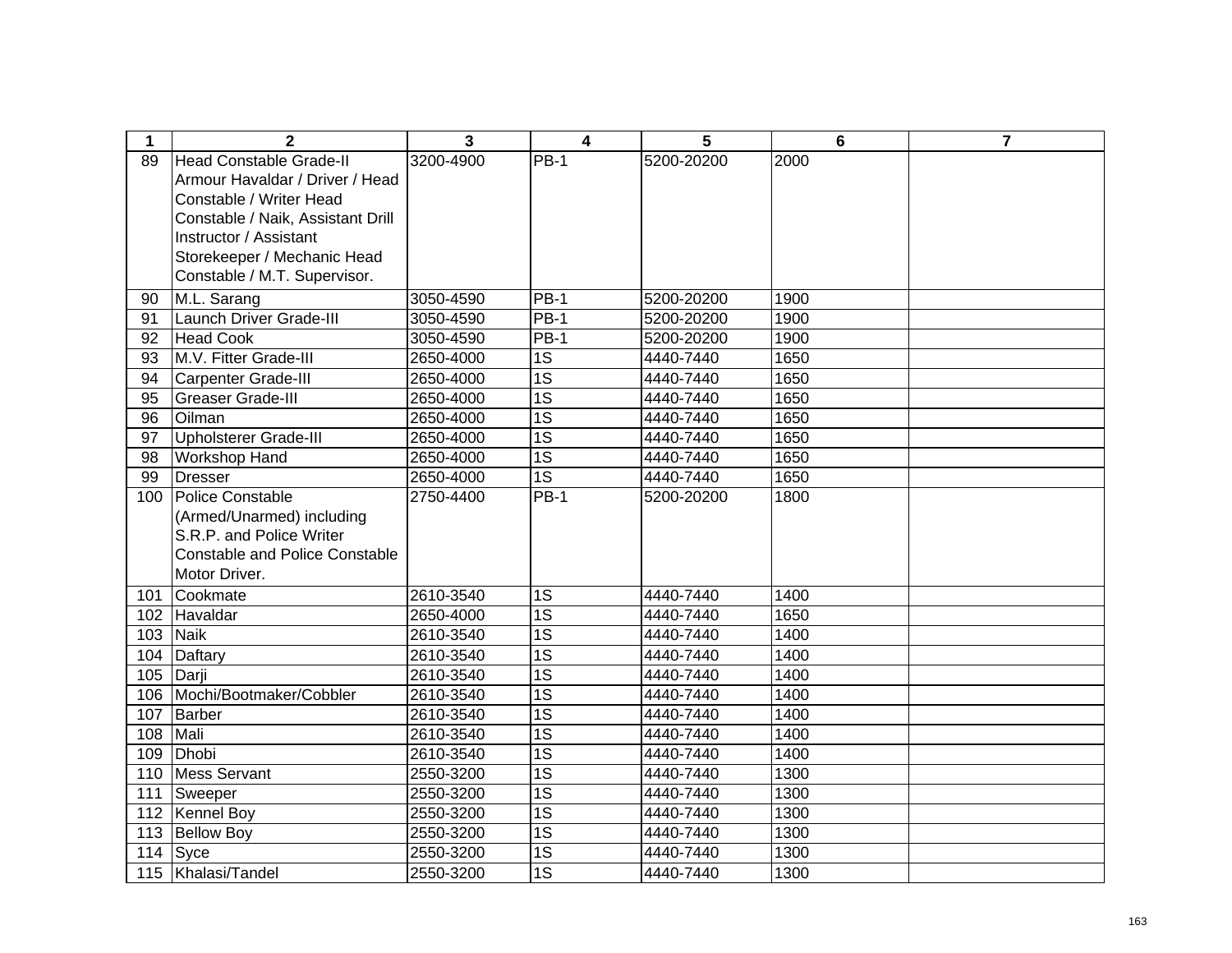| 1   | $\mathbf{2}$                          | 3         | 4               | 5          | $6\phantom{1}6$ | $\overline{7}$ |
|-----|---------------------------------------|-----------|-----------------|------------|-----------------|----------------|
| 89  | <b>Head Constable Grade-II</b>        | 3200-4900 | <b>PB-1</b>     | 5200-20200 | 2000            |                |
|     | Armour Havaldar / Driver / Head       |           |                 |            |                 |                |
|     | Constable / Writer Head               |           |                 |            |                 |                |
|     | Constable / Naik, Assistant Drill     |           |                 |            |                 |                |
|     | Instructor / Assistant                |           |                 |            |                 |                |
|     | Storekeeper / Mechanic Head           |           |                 |            |                 |                |
|     | Constable / M.T. Supervisor.          |           |                 |            |                 |                |
| 90  | M.L. Sarang                           | 3050-4590 | $PB-1$          | 5200-20200 | 1900            |                |
| 91  | Launch Driver Grade-III               | 3050-4590 | <b>PB-1</b>     | 5200-20200 | 1900            |                |
| 92  | <b>Head Cook</b>                      | 3050-4590 | <b>PB-1</b>     | 5200-20200 | 1900            |                |
| 93  | M.V. Fitter Grade-III                 | 2650-4000 | 1S              | 4440-7440  | 1650            |                |
| 94  | <b>Carpenter Grade-III</b>            | 2650-4000 | 1S              | 4440-7440  | 1650            |                |
| 95  | <b>Greaser Grade-III</b>              | 2650-4000 | 1S              | 4440-7440  | 1650            |                |
| 96  | Oilman                                | 2650-4000 | 1S              | 4440-7440  | 1650            |                |
| 97  | Upholsterer Grade-III                 | 2650-4000 | 1S              | 4440-7440  | 1650            |                |
| 98  | <b>Workshop Hand</b>                  | 2650-4000 | 1S              | 4440-7440  | 1650            |                |
| 99  | <b>Dresser</b>                        | 2650-4000 | 1S              | 4440-7440  | 1650            |                |
| 100 | Police Constable                      | 2750-4400 | <b>PB-1</b>     | 5200-20200 | 1800            |                |
|     | (Armed/Unarmed) including             |           |                 |            |                 |                |
|     | S.R.P. and Police Writer              |           |                 |            |                 |                |
|     | <b>Constable and Police Constable</b> |           |                 |            |                 |                |
|     | Motor Driver.                         |           |                 |            |                 |                |
| 101 | Cookmate                              | 2610-3540 | 1S              | 4440-7440  | 1400            |                |
| 102 | Havaldar                              | 2650-4000 | 1S              | 4440-7440  | 1650            |                |
| 103 | <b>Naik</b>                           | 2610-3540 | $\overline{1S}$ | 4440-7440  | 1400            |                |
| 104 | Daftary                               | 2610-3540 | $\overline{1S}$ | 4440-7440  | 1400            |                |
| 105 | Darji                                 | 2610-3540 | $\overline{1S}$ | 4440-7440  | 1400            |                |
| 106 | Mochi/Bootmaker/Cobbler               | 2610-3540 | $\overline{1S}$ | 4440-7440  | 1400            |                |
| 107 | Barber                                | 2610-3540 | $\overline{1S}$ | 4440-7440  | 1400            |                |
| 108 | Mali                                  | 2610-3540 | $\overline{1S}$ | 4440-7440  | 1400            |                |
| 109 | Dhobi                                 | 2610-3540 | 1S              | 4440-7440  | 1400            |                |
| 110 | Mess Servant                          | 2550-3200 | $\overline{1S}$ | 4440-7440  | 1300            |                |
| 111 | Sweeper                               | 2550-3200 | 1S              | 4440-7440  | 1300            |                |
| 112 | <b>Kennel Boy</b>                     | 2550-3200 | 1S              | 4440-7440  | 1300            |                |
| 113 | <b>Bellow Boy</b>                     | 2550-3200 | 1S              | 4440-7440  | 1300            |                |
| 114 | Syce                                  | 2550-3200 | 1S              | 4440-7440  | 1300            |                |
| 115 | Khalasi/Tandel                        | 2550-3200 | 1S              | 4440-7440  | 1300            |                |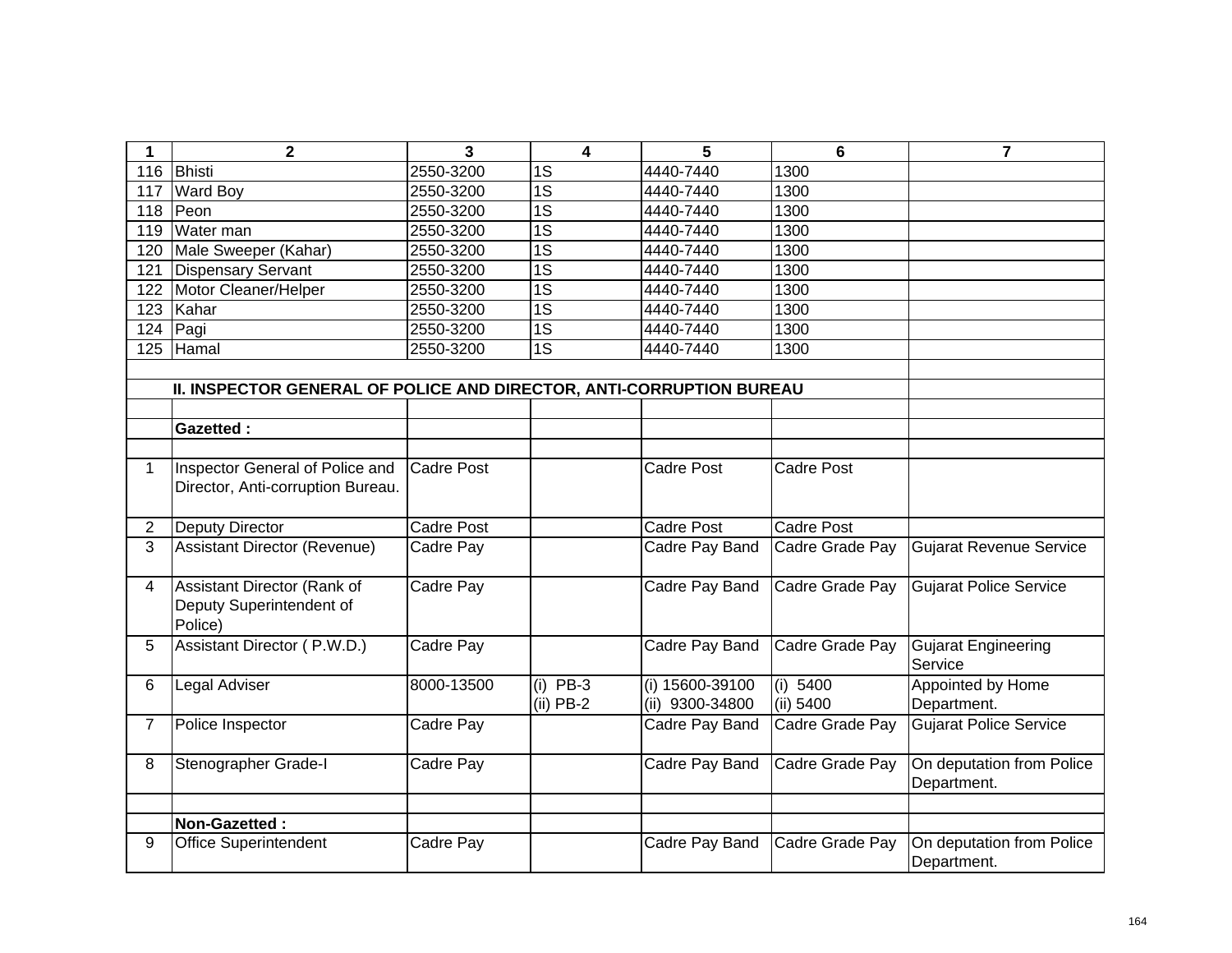| 1              | $\mathbf 2$                                                          | 3                 | 4                         | 5                                  | $6\phantom{1}6$         | $\overline{7}$                           |
|----------------|----------------------------------------------------------------------|-------------------|---------------------------|------------------------------------|-------------------------|------------------------------------------|
| 116            | Bhisti                                                               | 2550-3200         | 1S                        | 4440-7440                          | 1300                    |                                          |
| 117            | <b>Ward Boy</b>                                                      | 2550-3200         | $\overline{1S}$           | 4440-7440                          | 1300                    |                                          |
| 118            | Peon                                                                 | 2550-3200         | $\overline{1S}$           | 4440-7440                          | 1300                    |                                          |
| 119            | Water man                                                            | 2550-3200         | $\overline{1S}$           | 4440-7440                          | 1300                    |                                          |
| 120            | Male Sweeper (Kahar)                                                 | 2550-3200         | 1S                        | 4440-7440                          | 1300                    |                                          |
| 121            | <b>Dispensary Servant</b>                                            | 2550-3200         | $\overline{1S}$           | 4440-7440                          | 1300                    |                                          |
| 122            | Motor Cleaner/Helper                                                 | 2550-3200         | $\overline{1S}$           | 4440-7440                          | 1300                    |                                          |
| 123            | Kahar                                                                | 2550-3200         | $\overline{1S}$           | 4440-7440                          | 1300                    |                                          |
| 124            | Pagi                                                                 | 2550-3200         | 1S                        | 4440-7440                          | 1300                    |                                          |
| 125            | Hamal                                                                | 2550-3200         | $\overline{1S}$           | 4440-7440                          | 1300                    |                                          |
|                | II. INSPECTOR GENERAL OF POLICE AND DIRECTOR, ANTI-CORRUPTION BUREAU |                   |                           |                                    |                         |                                          |
|                | <b>Gazetted:</b>                                                     |                   |                           |                                    |                         |                                          |
| $\mathbf 1$    | Inspector General of Police and<br>Director, Anti-corruption Bureau. | <b>Cadre Post</b> |                           | <b>Cadre Post</b>                  | <b>Cadre Post</b>       |                                          |
| $\overline{2}$ | <b>Deputy Director</b>                                               | <b>Cadre Post</b> |                           | <b>Cadre Post</b>                  | <b>Cadre Post</b>       |                                          |
| 3              | <b>Assistant Director (Revenue)</b>                                  | Cadre Pay         |                           | Cadre Pay Band                     | Cadre Grade Pay         | <b>Gujarat Revenue Service</b>           |
| 4              | Assistant Director (Rank of<br>Deputy Superintendent of<br>Police)   | Cadre Pay         |                           | Cadre Pay Band                     | Cadre Grade Pay         | <b>Gujarat Police Service</b>            |
| 5              | Assistant Director (P.W.D.)                                          | Cadre Pay         |                           | Cadre Pay Band                     | Cadre Grade Pay         | <b>Gujarat Engineering</b><br>Service    |
| 6              | Legal Adviser                                                        | 8000-13500        | $(i)$ PB-3<br>$(ii)$ PB-2 | (i) 15600-39100<br>(ii) 9300-34800 | (i) $5400$<br>(ii) 5400 | Appointed by Home<br>Department.         |
| $\overline{7}$ | Police Inspector                                                     | Cadre Pay         |                           | Cadre Pay Band                     | Cadre Grade Pay         | <b>Gujarat Police Service</b>            |
| 8              | Stenographer Grade-I                                                 | Cadre Pay         |                           | Cadre Pay Band                     | Cadre Grade Pay         | On deputation from Police<br>Department. |
|                | Non-Gazetted:                                                        |                   |                           |                                    |                         |                                          |
| 9              | <b>Office Superintendent</b>                                         | Cadre Pay         |                           | Cadre Pay Band                     | Cadre Grade Pay         | On deputation from Police<br>Department. |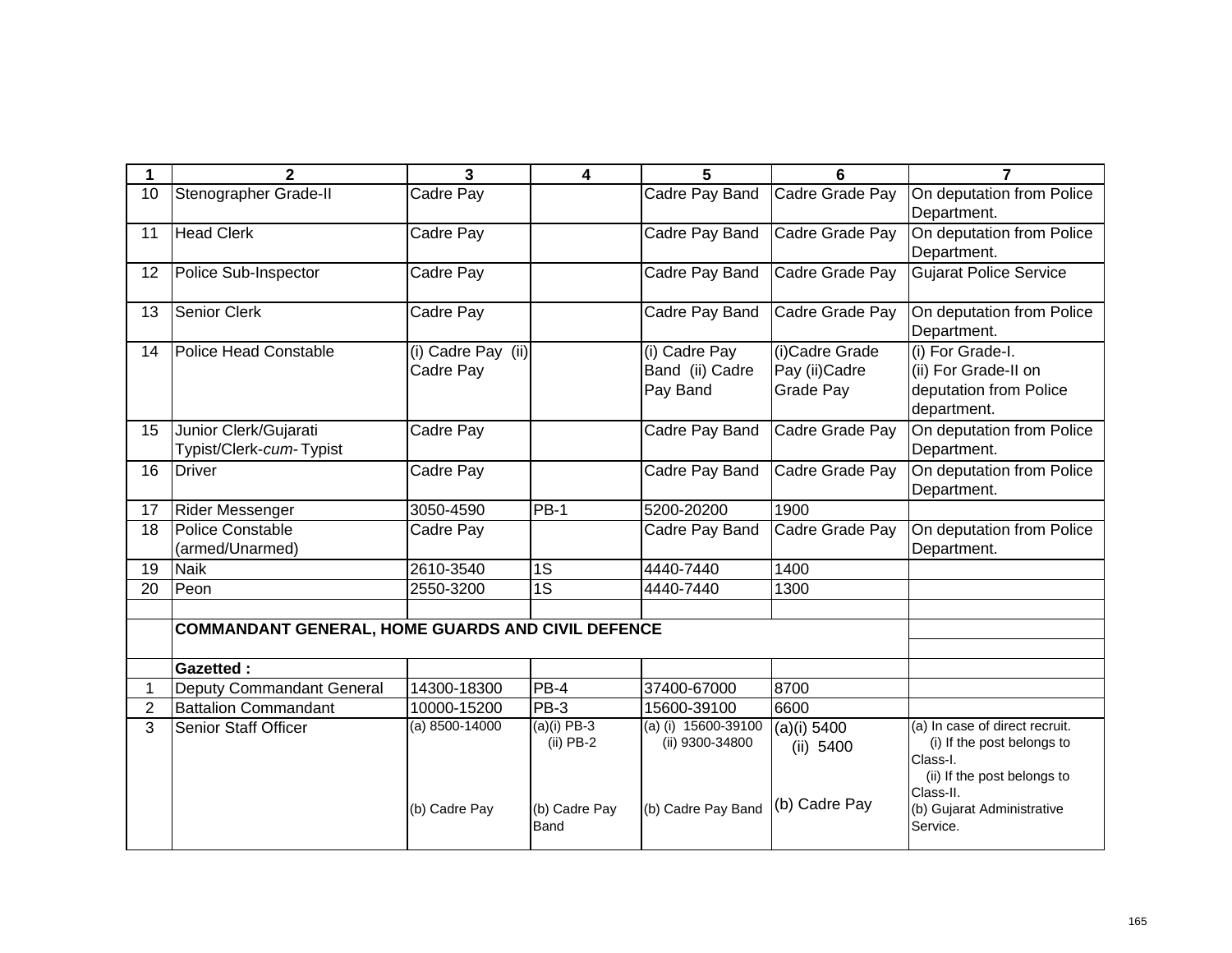| 1              | $\mathbf{2}$                                             | $\overline{3}$                  | 4                            | 5                                            | 6                                             | $\overline{7}$                                                                                                       |
|----------------|----------------------------------------------------------|---------------------------------|------------------------------|----------------------------------------------|-----------------------------------------------|----------------------------------------------------------------------------------------------------------------------|
| 10             | Stenographer Grade-II                                    | Cadre Pay                       |                              | Cadre Pay Band                               | Cadre Grade Pay                               | On deputation from Police<br>Department.                                                                             |
| 11             | <b>Head Clerk</b>                                        | Cadre Pay                       |                              | Cadre Pay Band                               | Cadre Grade Pay                               | On deputation from Police<br>Department.                                                                             |
| 12             | Police Sub-Inspector                                     | Cadre Pay                       |                              | Cadre Pay Band                               | Cadre Grade Pay                               | <b>Gujarat Police Service</b>                                                                                        |
| 13             | Senior Clerk                                             | Cadre Pay                       |                              | Cadre Pay Band                               | Cadre Grade Pay                               | On deputation from Police<br>Department.                                                                             |
| 14             | Police Head Constable                                    | (i) Cadre Pay (ii)<br>Cadre Pay |                              | (i) Cadre Pay<br>Band (ii) Cadre<br>Pay Band | (i)Cadre Grade<br>Pay (ii) Cadre<br>Grade Pay | (i) For Grade-I.<br>(ii) For Grade-II on<br>deputation from Police<br>department.                                    |
| 15             | Junior Clerk/Gujarati<br>Typist/Clerk-cum-Typist         | Cadre Pay                       |                              | Cadre Pay Band                               | Cadre Grade Pay                               | On deputation from Police<br>Department.                                                                             |
| 16             | <b>Driver</b>                                            | Cadre Pay                       |                              | Cadre Pay Band                               | Cadre Grade Pay                               | On deputation from Police<br>Department.                                                                             |
| 17             | <b>Rider Messenger</b>                                   | 3050-4590                       | <b>PB-1</b>                  | 5200-20200                                   | 1900                                          |                                                                                                                      |
| 18             | <b>Police Constable</b><br>(armed/Unarmed)               | Cadre Pay                       |                              | Cadre Pay Band                               | Cadre Grade Pay                               | On deputation from Police<br>Department.                                                                             |
| 19             | <b>Naik</b>                                              | 2610-3540                       | 1S                           | 4440-7440                                    | 1400                                          |                                                                                                                      |
| 20             | Peon                                                     | 2550-3200                       | 1S                           | 4440-7440                                    | 1300                                          |                                                                                                                      |
|                | <b>COMMANDANT GENERAL, HOME GUARDS AND CIVIL DEFENCE</b> |                                 |                              |                                              |                                               |                                                                                                                      |
|                | <b>Gazetted:</b>                                         |                                 |                              |                                              |                                               |                                                                                                                      |
| 1.             | Deputy Commandant General                                | 14300-18300                     | PB-4                         | 37400-67000                                  | 8700                                          |                                                                                                                      |
| $\overline{2}$ | <b>Battalion Commandant</b>                              | 10000-15200                     | PB-3                         | 15600-39100                                  | 6600                                          |                                                                                                                      |
| 3              | Senior Staff Officer                                     | $(a) 8500 - 14000$              | $(a)(i)$ PB-3<br>$(ii)$ PB-2 | (a) (i) $15600 - 39100$<br>(ii) 9300-34800   | $(a)(i)$ 5400<br>(ii) 5400                    | (a) In case of direct recruit.<br>(i) If the post belongs to<br>Class-I.<br>(ii) If the post belongs to<br>Class-II. |
|                |                                                          | (b) Cadre Pay                   | (b) Cadre Pay<br><b>Band</b> | (b) Cadre Pay Band                           | (b) Cadre Pay                                 | (b) Gujarat Administrative<br>Service.                                                                               |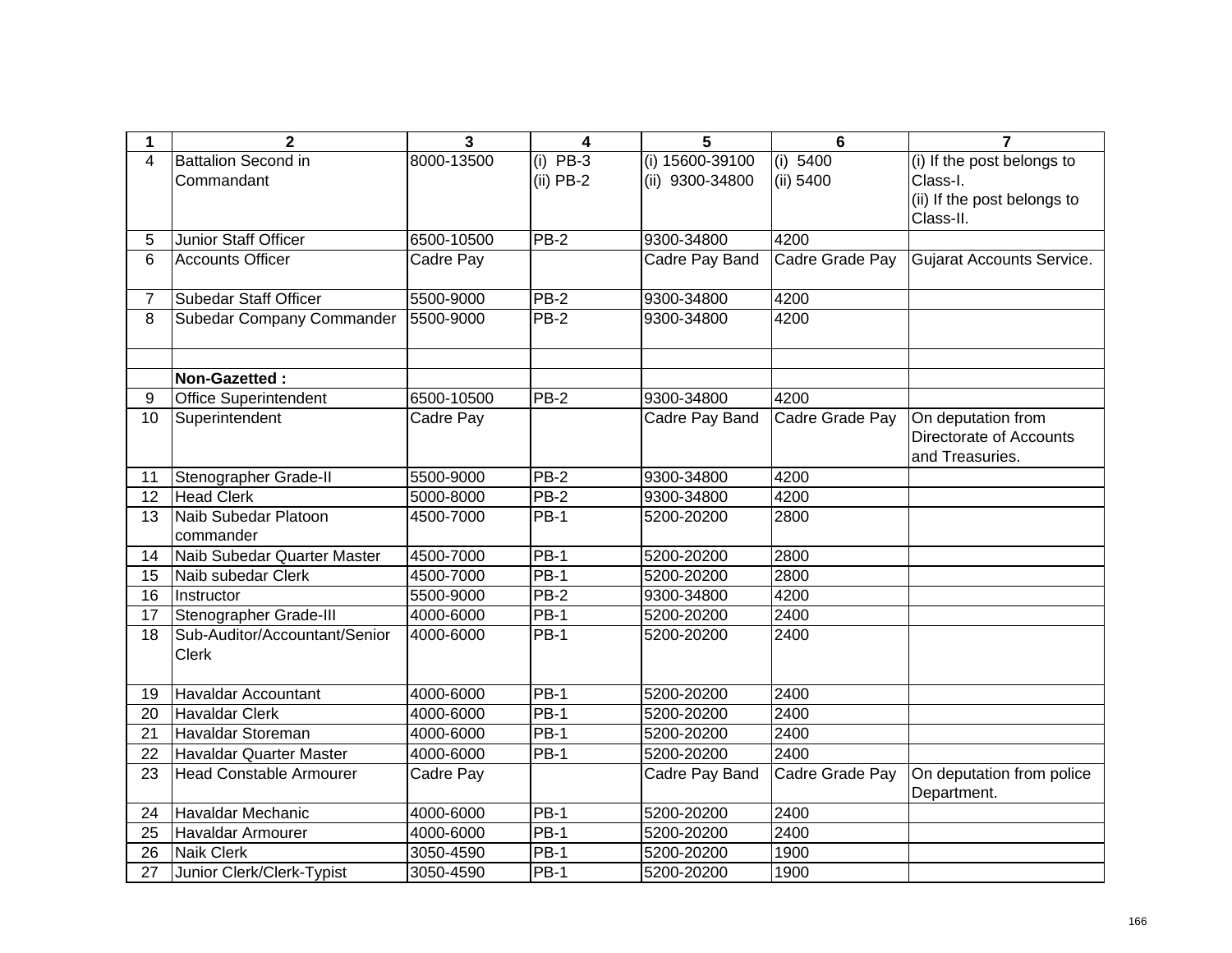| 1               | $\overline{2}$                                | 3          | 4           | 5               | $6\phantom{1}6$ | $\overline{7}$                           |
|-----------------|-----------------------------------------------|------------|-------------|-----------------|-----------------|------------------------------------------|
| 4               | <b>Battalion Second in</b>                    | 8000-13500 | $(i)$ PB-3  | (i) 15600-39100 | (i) 5400        | (i) If the post belongs to               |
|                 | Commandant                                    |            | $(ii)$ PB-2 | (ii) 9300-34800 | (ii) 5400       | Class-I.                                 |
|                 |                                               |            |             |                 |                 | (ii) If the post belongs to              |
|                 |                                               |            |             |                 |                 | Class-II.                                |
| 5               | Junior Staff Officer                          | 6500-10500 | <b>PB-2</b> | 9300-34800      | 4200            |                                          |
| 6               | <b>Accounts Officer</b>                       | Cadre Pay  |             | Cadre Pay Band  | Cadre Grade Pay | Gujarat Accounts Service.                |
| $\overline{7}$  | <b>Subedar Staff Officer</b>                  | 5500-9000  | $PB-2$      | 9300-34800      | 4200            |                                          |
| 8               | Subedar Company Commander                     | 5500-9000  | $PB-2$      | 9300-34800      | 4200            |                                          |
|                 | Non-Gazetted:                                 |            |             |                 |                 |                                          |
| 9               | <b>Office Superintendent</b>                  | 6500-10500 | $PB-2$      | 9300-34800      | 4200            |                                          |
| 10              | Superintendent                                | Cadre Pay  |             | Cadre Pay Band  | Cadre Grade Pay | On deputation from                       |
|                 |                                               |            |             |                 |                 | Directorate of Accounts                  |
|                 |                                               |            |             |                 |                 | and Treasuries.                          |
| 11              | Stenographer Grade-II                         | 5500-9000  | $PB-2$      | 9300-34800      | 4200            |                                          |
| $\overline{12}$ | <b>Head Clerk</b>                             | 5000-8000  | $PB-2$      | 9300-34800      | 4200            |                                          |
| 13              | Naib Subedar Platoon<br>commander             | 4500-7000  | <b>PB-1</b> | 5200-20200      | 2800            |                                          |
| 14              | Naib Subedar Quarter Master                   | 4500-7000  | <b>PB-1</b> | 5200-20200      | 2800            |                                          |
| 15              | Naib subedar Clerk                            | 4500-7000  | $PB-1$      | 5200-20200      | 2800            |                                          |
| 16              | Instructor                                    | 5500-9000  | $PB-2$      | 9300-34800      | 4200            |                                          |
| 17              | Stenographer Grade-III                        | 4000-6000  | <b>PB-1</b> | 5200-20200      | 2400            |                                          |
| 18              | Sub-Auditor/Accountant/Senior<br><b>Clerk</b> | 4000-6000  | <b>PB-1</b> | 5200-20200      | 2400            |                                          |
| 19              | <b>Havaldar Accountant</b>                    | 4000-6000  | <b>PB-1</b> | 5200-20200      | 2400            |                                          |
| 20              | <b>Havaldar Clerk</b>                         | 4000-6000  | $PB-1$      | 5200-20200      | 2400            |                                          |
| 21              | Havaldar Storeman                             | 4000-6000  | <b>PB-1</b> | 5200-20200      | 2400            |                                          |
| 22              | <b>Havaldar Quarter Master</b>                | 4000-6000  | $PB-1$      | 5200-20200      | 2400            |                                          |
| 23              | <b>Head Constable Armourer</b>                | Cadre Pay  |             | Cadre Pay Band  | Cadre Grade Pay | On deputation from police<br>Department. |
| 24              | Havaldar Mechanic                             | 4000-6000  | $PB-1$      | 5200-20200      | 2400            |                                          |
| 25              | Havaldar Armourer                             | 4000-6000  | $PB-1$      | 5200-20200      | 2400            |                                          |
| 26              | <b>Naik Clerk</b>                             | 3050-4590  | PB-1        | 5200-20200      | 1900            |                                          |
| 27              | Junior Clerk/Clerk-Typist                     | 3050-4590  | PB-1        | 5200-20200      | 1900            |                                          |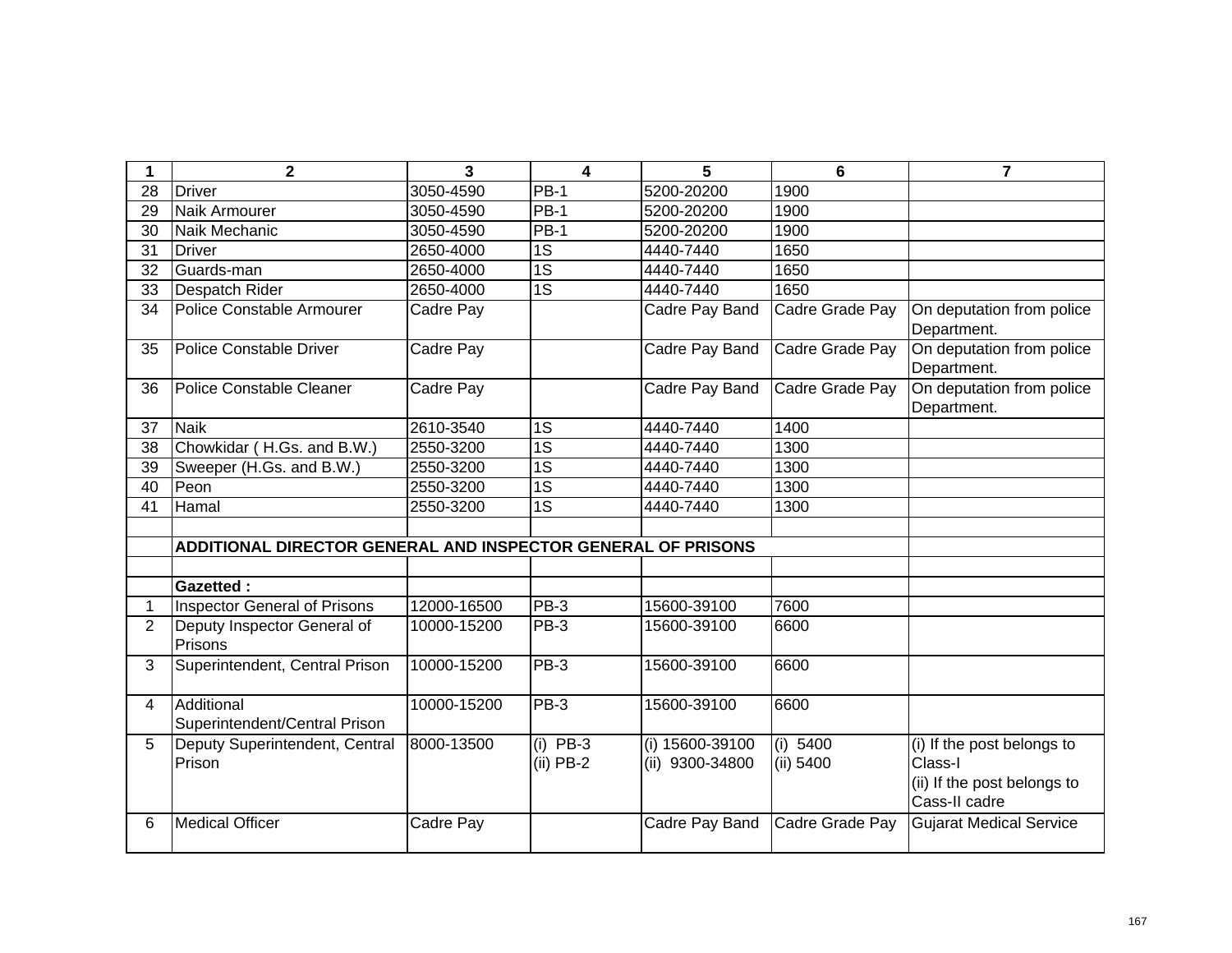|                | $\mathbf{2}$                                                 | $\overline{3}$ | 4                         | 5                                  | 6                     | $\overline{7}$                                                                        |
|----------------|--------------------------------------------------------------|----------------|---------------------------|------------------------------------|-----------------------|---------------------------------------------------------------------------------------|
| 28             | <b>Driver</b>                                                | 3050-4590      | $PB-1$                    | 5200-20200                         | 1900                  |                                                                                       |
| 29             | Naik Armourer                                                | 3050-4590      | $PB-1$                    | 5200-20200                         | 1900                  |                                                                                       |
| 30             | Naik Mechanic                                                | 3050-4590      | $PB-1$                    | 5200-20200                         | 1900                  |                                                                                       |
| 31             | <b>Driver</b>                                                | 2650-4000      | $\overline{1S}$           | 4440-7440                          | 1650                  |                                                                                       |
| 32             | Guards-man                                                   | 2650-4000      | $\overline{1S}$           | 4440-7440                          | 1650                  |                                                                                       |
| 33             | Despatch Rider                                               | 2650-4000      | $\overline{1S}$           | 4440-7440                          | 1650                  |                                                                                       |
| 34             | Police Constable Armourer                                    | Cadre Pay      |                           | Cadre Pay Band                     | Cadre Grade Pay       | On deputation from police<br>Department.                                              |
| 35             | <b>Police Constable Driver</b>                               | Cadre Pay      |                           | Cadre Pay Band                     | Cadre Grade Pay       | On deputation from police<br>Department.                                              |
| 36             | <b>Police Constable Cleaner</b>                              | Cadre Pay      |                           | Cadre Pay Band                     | Cadre Grade Pay       | On deputation from police<br>Department.                                              |
| 37             | <b>Naik</b>                                                  | 2610-3540      | 1S                        | 4440-7440                          | 1400                  |                                                                                       |
| 38             | Chowkidar (H.Gs. and B.W.)                                   | 2550-3200      | $\overline{1S}$           | 4440-7440                          | 1300                  |                                                                                       |
| 39             | Sweeper (H.Gs. and B.W.)                                     | 2550-3200      | $\overline{1S}$           | 4440-7440                          | 1300                  |                                                                                       |
| 40             | Peon                                                         | 2550-3200      | $\overline{1S}$           | 4440-7440                          | 1300                  |                                                                                       |
| 41             | Hamal                                                        | 2550-3200      | $\overline{1S}$           | 4440-7440                          | 1300                  |                                                                                       |
|                | ADDITIONAL DIRECTOR GENERAL AND INSPECTOR GENERAL OF PRISONS |                |                           |                                    |                       |                                                                                       |
|                | <b>Gazetted:</b>                                             |                |                           |                                    |                       |                                                                                       |
|                | <b>Inspector General of Prisons</b>                          | 12000-16500    | <b>PB-3</b>               | 15600-39100                        | 7600                  |                                                                                       |
| $\overline{2}$ | Deputy Inspector General of<br>Prisons                       | 10000-15200    | PB-3                      | 15600-39100                        | 6600                  |                                                                                       |
| 3              | Superintendent, Central Prison                               | 10000-15200    | PB-3                      | 15600-39100                        | 6600                  |                                                                                       |
| 4              | Additional<br>Superintendent/Central Prison                  | 10000-15200    | PB-3                      | 15600-39100                        | 6600                  |                                                                                       |
| 5              | Deputy Superintendent, Central<br>Prison                     | 8000-13500     | $(i)$ PB-3<br>$(ii)$ PB-2 | (i) 15600-39100<br>(ii) 9300-34800 | (i) 5400<br>(ii) 5400 | (i) If the post belongs to<br>Class-I<br>(ii) If the post belongs to<br>Cass-II cadre |
| 6              | <b>Medical Officer</b>                                       | Cadre Pay      |                           | Cadre Pay Band                     | Cadre Grade Pay       | <b>Gujarat Medical Service</b>                                                        |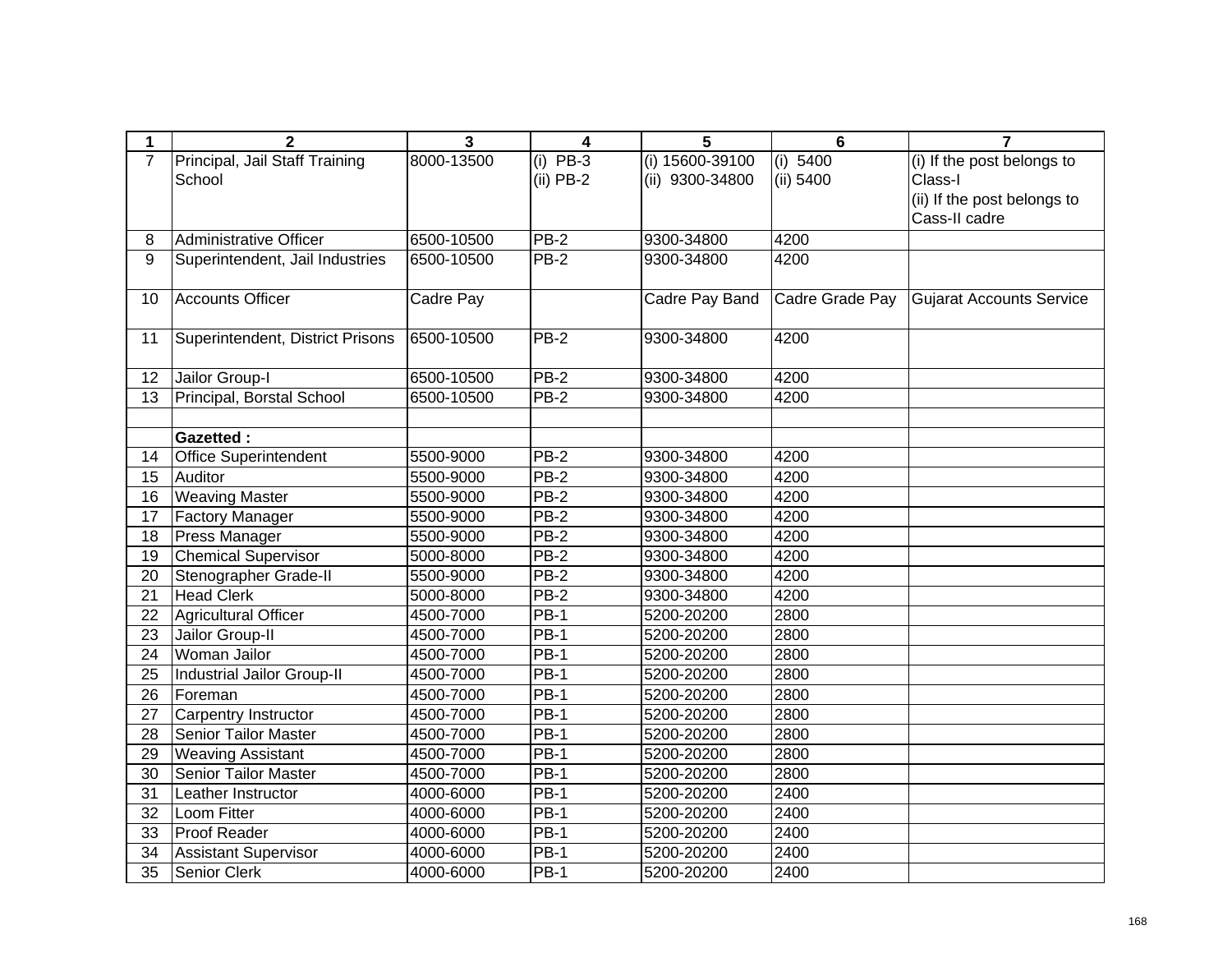| 1               | $\overline{\mathbf{2}}$          | $\mathbf{3}$ | $\overline{\mathbf{4}}$ | 5               | $6\phantom{1}6$ | $\overline{7}$              |
|-----------------|----------------------------------|--------------|-------------------------|-----------------|-----------------|-----------------------------|
| $\overline{7}$  | Principal, Jail Staff Training   | 8000-13500   | $PB-3$<br>(i)           | (i) 15600-39100 | (i) 5400        | (i) If the post belongs to  |
|                 | School                           |              | $(ii)$ PB-2             | (ii) 9300-34800 | (ii) 5400       | Class-I                     |
|                 |                                  |              |                         |                 |                 | (ii) If the post belongs to |
|                 |                                  |              |                         |                 |                 | Cass-II cadre               |
| 8               | <b>Administrative Officer</b>    | 6500-10500   | $PB-2$                  | 9300-34800      | 4200            |                             |
| 9               | Superintendent, Jail Industries  | 6500-10500   | $PB-2$                  | 9300-34800      | 4200            |                             |
| 10              | <b>Accounts Officer</b>          | Cadre Pay    |                         | Cadre Pay Band  | Cadre Grade Pay | Gujarat Accounts Service    |
| 11              | Superintendent, District Prisons | 6500-10500   | $PB-2$                  | 9300-34800      | 4200            |                             |
| 12              | Jailor Group-I                   | 6500-10500   | <b>PB-2</b>             | 9300-34800      | 4200            |                             |
| 13              | Principal, Borstal School        | 6500-10500   | $PB-2$                  | 9300-34800      | 4200            |                             |
|                 |                                  |              |                         |                 |                 |                             |
|                 | <b>Gazetted:</b>                 |              |                         |                 |                 |                             |
| 14              | <b>Office Superintendent</b>     | 5500-9000    | $PB-2$                  | 9300-34800      | 4200            |                             |
| 15              | Auditor                          | 5500-9000    | $PB-2$                  | 9300-34800      | 4200            |                             |
| $\overline{16}$ | <b>Weaving Master</b>            | 5500-9000    | $PB-2$                  | 9300-34800      | 4200            |                             |
| 17              | Factory Manager                  | 5500-9000    | PB-2                    | 9300-34800      | 4200            |                             |
| 18              | Press Manager                    | 5500-9000    | PB-2                    | 9300-34800      | 4200            |                             |
| 19              | Chemical Supervisor              | 5000-8000    | PB-2                    | 9300-34800      | 4200            |                             |
| 20              | Stenographer Grade-II            | 5500-9000    | PB-2                    | 9300-34800      | 4200            |                             |
| 21              | <b>Head Clerk</b>                | 5000-8000    | PB-2                    | 9300-34800      | 4200            |                             |
| 22              | <b>Agricultural Officer</b>      | 4500-7000    | $\overline{PB-1}$       | 5200-20200      | 2800            |                             |
| 23              | Jailor Group-II                  | 4500-7000    | PB-1                    | 5200-20200      | 2800            |                             |
| 24              | Woman Jailor                     | 4500-7000    | <b>PB-1</b>             | 5200-20200      | 2800            |                             |
| 25              | Industrial Jailor Group-II       | 4500-7000    | <b>PB-1</b>             | 5200-20200      | 2800            |                             |
| 26              | Foreman                          | 4500-7000    | PB-1                    | 5200-20200      | 2800            |                             |
| 27              | <b>Carpentry Instructor</b>      | 4500-7000    | $\overline{PB-1}$       | 5200-20200      | 2800            |                             |
| 28              | <b>Senior Tailor Master</b>      | 4500-7000    | $\overline{PB-1}$       | 5200-20200      | 2800            |                             |
| 29              | <b>Weaving Assistant</b>         | 4500-7000    | $PB-1$                  | 5200-20200      | 2800            |                             |
| 30              | <b>Senior Tailor Master</b>      | 4500-7000    | $PB-1$                  | 5200-20200      | 2800            |                             |
| $\overline{31}$ | Leather Instructor               | 4000-6000    | $PB-1$                  | 5200-20200      | 2400            |                             |
| 32              | Loom Fitter                      | 4000-6000    | $PB-1$                  | 5200-20200      | 2400            |                             |
| 33              | Proof Reader                     | 4000-6000    | <b>PB-1</b>             | 5200-20200      | 2400            |                             |
| 34              | <b>Assistant Supervisor</b>      | 4000-6000    | PB-1                    | 5200-20200      | 2400            |                             |
| 35              | Senior Clerk                     | 4000-6000    | <b>PB-1</b>             | 5200-20200      | 2400            |                             |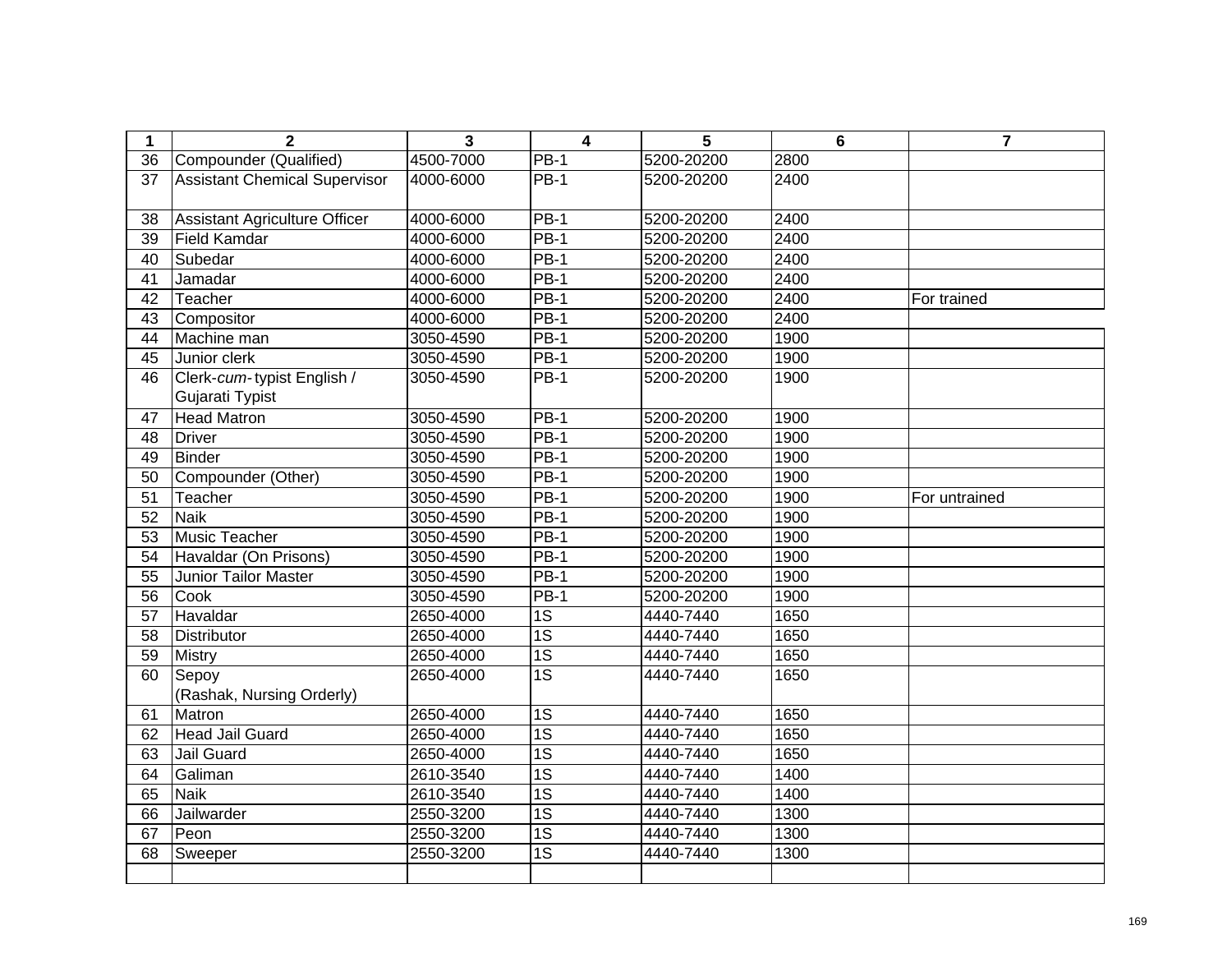| $\mathbf 1$     | $\mathbf{2}$                         | 3         | $\overline{\mathbf{4}}$ | 5          | 6    | $\overline{\mathbf{r}}$ |
|-----------------|--------------------------------------|-----------|-------------------------|------------|------|-------------------------|
| $\overline{36}$ | Compounder (Qualified)               | 4500-7000 | $PB-1$                  | 5200-20200 | 2800 |                         |
| 37              | <b>Assistant Chemical Supervisor</b> | 4000-6000 | <b>PB-1</b>             | 5200-20200 | 2400 |                         |
|                 |                                      |           |                         |            |      |                         |
| 38              | Assistant Agriculture Officer        | 4000-6000 | $PB-1$                  | 5200-20200 | 2400 |                         |
| 39              | <b>Field Kamdar</b>                  | 4000-6000 | $PB-1$                  | 5200-20200 | 2400 |                         |
| 40              | Subedar                              | 4000-6000 | $PB-1$                  | 5200-20200 | 2400 |                         |
| 41              | Jamadar                              | 4000-6000 | $PB-1$                  | 5200-20200 | 2400 |                         |
| 42              | Teacher                              | 4000-6000 | $PB-1$                  | 5200-20200 | 2400 | For trained             |
| 43              | Compositor                           | 4000-6000 | <b>PB-1</b>             | 5200-20200 | 2400 |                         |
| 44              | Machine man                          | 3050-4590 | $PB-1$                  | 5200-20200 | 1900 |                         |
| 45              | Junior clerk                         | 3050-4590 | <b>PB-1</b>             | 5200-20200 | 1900 |                         |
| 46              | Clerk-cum-typist English /           | 3050-4590 | <b>PB-1</b>             | 5200-20200 | 1900 |                         |
|                 | Gujarati Typist                      |           |                         |            |      |                         |
| 47              | <b>Head Matron</b>                   | 3050-4590 | $PB-1$                  | 5200-20200 | 1900 |                         |
| 48              | <b>Driver</b>                        | 3050-4590 | <b>PB-1</b>             | 5200-20200 | 1900 |                         |
| 49              | <b>Binder</b>                        | 3050-4590 | $PB-1$                  | 5200-20200 | 1900 |                         |
| 50              | Compounder (Other)                   | 3050-4590 | $PB-1$                  | 5200-20200 | 1900 |                         |
| 51              | Teacher                              | 3050-4590 | $PB-1$                  | 5200-20200 | 1900 | For untrained           |
| $\overline{52}$ | <b>Naik</b>                          | 3050-4590 | $PB-1$                  | 5200-20200 | 1900 |                         |
| 53              | <b>Music Teacher</b>                 | 3050-4590 | $PB-1$                  | 5200-20200 | 1900 |                         |
| 54              | Havaldar (On Prisons)                | 3050-4590 | $PB-1$                  | 5200-20200 | 1900 |                         |
| $\overline{55}$ | <b>Junior Tailor Master</b>          | 3050-4590 | $PB-1$                  | 5200-20200 | 1900 |                         |
| 56              | Cook                                 | 3050-4590 | <b>PB-1</b>             | 5200-20200 | 1900 |                         |
| 57              | Havaldar                             | 2650-4000 | $\overline{1S}$         | 4440-7440  | 1650 |                         |
| 58              | Distributor                          | 2650-4000 | $\overline{1S}$         | 4440-7440  | 1650 |                         |
| 59              | <b>Mistry</b>                        | 2650-4000 | $\overline{1S}$         | 4440-7440  | 1650 |                         |
| 60              | Sepoy                                | 2650-4000 | $\overline{1S}$         | 4440-7440  | 1650 |                         |
|                 | (Rashak, Nursing Orderly)            |           |                         |            |      |                         |
| 61              | Matron                               | 2650-4000 | 1S                      | 4440-7440  | 1650 |                         |
| 62              | <b>Head Jail Guard</b>               | 2650-4000 | $\overline{1S}$         | 4440-7440  | 1650 |                         |
| 63              | Jail Guard                           | 2650-4000 | $\overline{1S}$         | 4440-7440  | 1650 |                         |
| 64              | Galiman                              | 2610-3540 | $\overline{1S}$         | 4440-7440  | 1400 |                         |
| 65              | <b>Naik</b>                          | 2610-3540 | $\overline{1S}$         | 4440-7440  | 1400 |                         |
| 66              | Jailwarder                           | 2550-3200 | $\overline{1S}$         | 4440-7440  | 1300 |                         |
| 67              | Peon                                 | 2550-3200 | $\overline{1S}$         | 4440-7440  | 1300 |                         |
| 68              | Sweeper                              | 2550-3200 | $\overline{1S}$         | 4440-7440  | 1300 |                         |
|                 |                                      |           |                         |            |      |                         |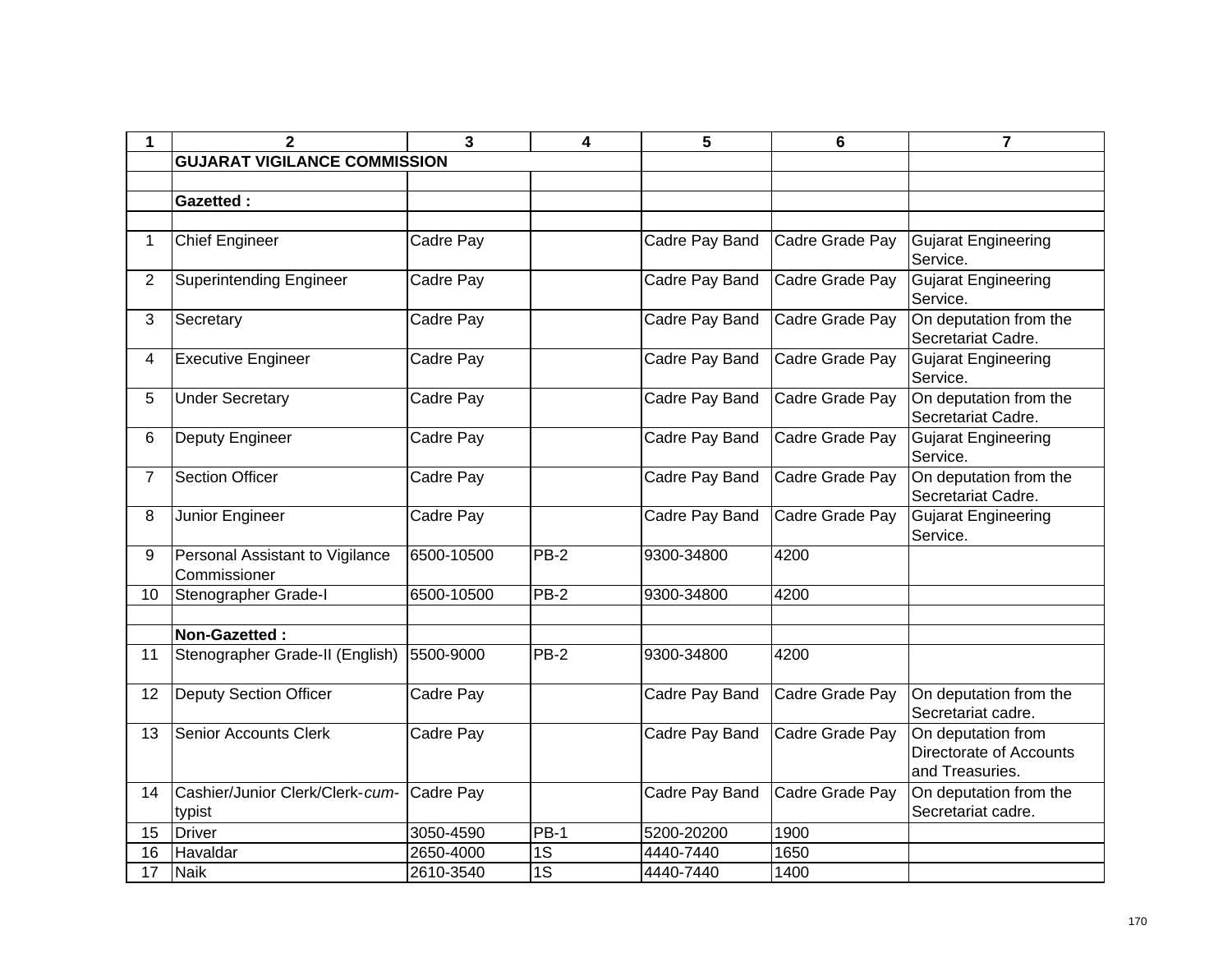| 1              | $\mathbf{2}$                                    | 3          | 4               | 5              | 6               | $\overline{7}$                                                   |
|----------------|-------------------------------------------------|------------|-----------------|----------------|-----------------|------------------------------------------------------------------|
|                | <b>GUJARAT VIGILANCE COMMISSION</b>             |            |                 |                |                 |                                                                  |
|                |                                                 |            |                 |                |                 |                                                                  |
|                | <b>Gazetted:</b>                                |            |                 |                |                 |                                                                  |
|                |                                                 |            |                 |                |                 |                                                                  |
| $\mathbf 1$    | <b>Chief Engineer</b>                           | Cadre Pay  |                 | Cadre Pay Band | Cadre Grade Pay | <b>Gujarat Engineering</b><br>Service.                           |
| 2              | <b>Superintending Engineer</b>                  | Cadre Pay  |                 | Cadre Pay Band | Cadre Grade Pay | <b>Gujarat Engineering</b><br>Service.                           |
| 3              | Secretary                                       | Cadre Pay  |                 | Cadre Pay Band | Cadre Grade Pay | On deputation from the<br>Secretariat Cadre.                     |
| 4              | <b>Executive Engineer</b>                       | Cadre Pay  |                 | Cadre Pay Band | Cadre Grade Pay | <b>Gujarat Engineering</b><br>Service.                           |
| 5              | <b>Under Secretary</b>                          | Cadre Pay  |                 | Cadre Pay Band | Cadre Grade Pay | On deputation from the<br>Secretariat Cadre.                     |
| 6              | Deputy Engineer                                 | Cadre Pay  |                 | Cadre Pay Band | Cadre Grade Pay | <b>Gujarat Engineering</b><br>Service.                           |
| $\overline{7}$ | <b>Section Officer</b>                          | Cadre Pay  |                 | Cadre Pay Band | Cadre Grade Pay | On deputation from the<br>Secretariat Cadre.                     |
| 8              | Junior Engineer                                 | Cadre Pay  |                 | Cadre Pay Band | Cadre Grade Pay | <b>Gujarat Engineering</b><br>Service.                           |
| 9              | Personal Assistant to Vigilance<br>Commissioner | 6500-10500 | $PB-2$          | 9300-34800     | 4200            |                                                                  |
| 10             | Stenographer Grade-I                            | 6500-10500 | PB-2            | 9300-34800     | 4200            |                                                                  |
|                |                                                 |            |                 |                |                 |                                                                  |
|                | Non-Gazetted:                                   |            |                 |                |                 |                                                                  |
| 11             | Stenographer Grade-II (English)                 | 5500-9000  | PB-2            | 9300-34800     | 4200            |                                                                  |
| 12             | <b>Deputy Section Officer</b>                   | Cadre Pay  |                 | Cadre Pay Band | Cadre Grade Pay | On deputation from the<br>Secretariat cadre.                     |
| 13             | <b>Senior Accounts Clerk</b>                    | Cadre Pay  |                 | Cadre Pay Band | Cadre Grade Pay | On deputation from<br>Directorate of Accounts<br>and Treasuries. |
| 14             | Cashier/Junior Clerk/Clerk-cum-<br>typist       | Cadre Pay  |                 | Cadre Pay Band | Cadre Grade Pay | On deputation from the<br>Secretariat cadre.                     |
| 15             | Driver                                          | 3050-4590  | $PB-1$          | 5200-20200     | 1900            |                                                                  |
| 16             | Havaldar                                        | 2650-4000  | $\overline{1S}$ | 4440-7440      | 1650            |                                                                  |
| 17             | <b>Naik</b>                                     | 2610-3540  | $\overline{1S}$ | 4440-7440      | 1400            |                                                                  |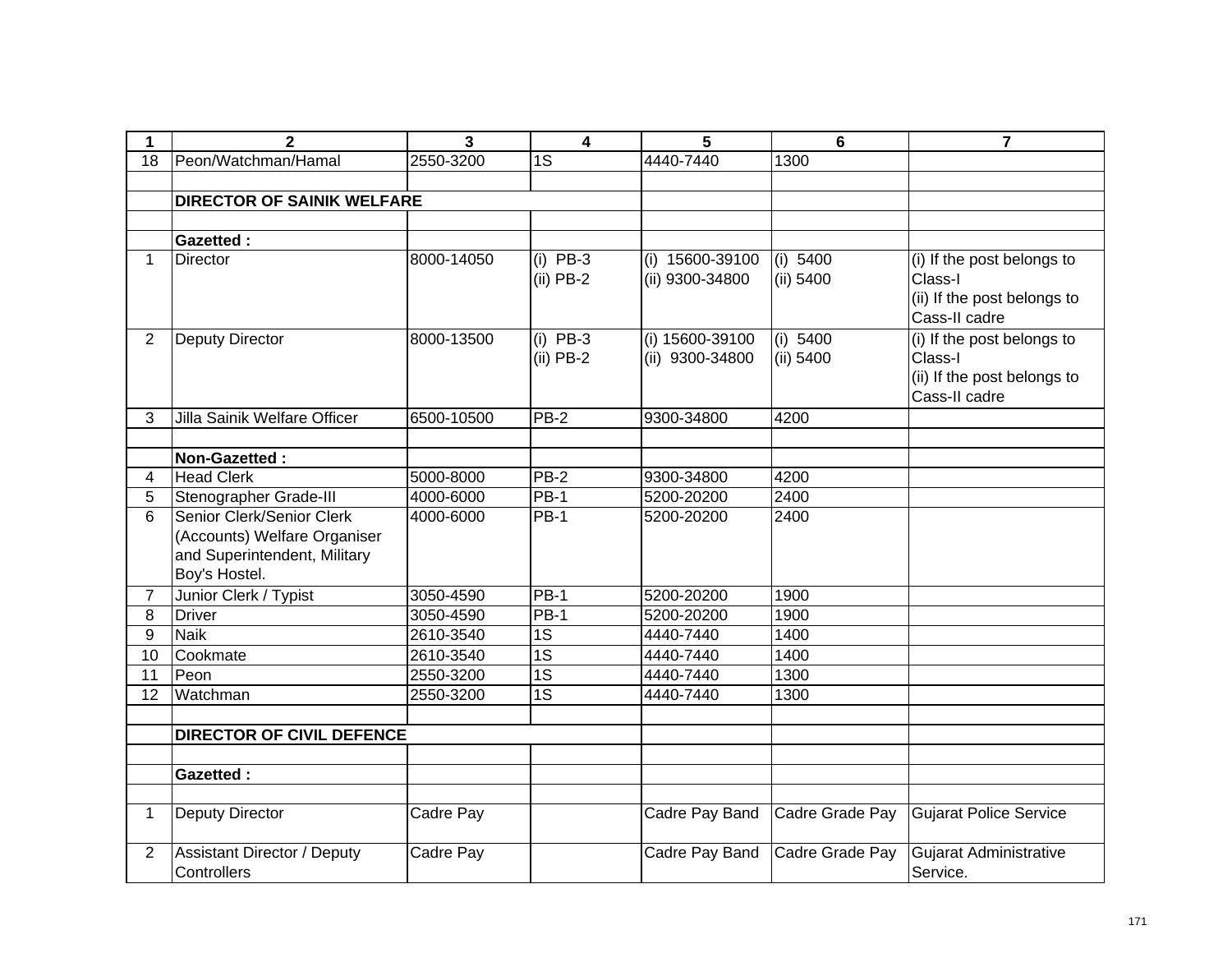| 1              | 2                                                                                                          | 3          | $\overline{\mathbf{4}}$   | 5                                  | 6                       | $\overline{7}$                                                                        |
|----------------|------------------------------------------------------------------------------------------------------------|------------|---------------------------|------------------------------------|-------------------------|---------------------------------------------------------------------------------------|
| 18             | Peon/Watchman/Hamal                                                                                        | 2550-3200  | 1S                        | 4440-7440                          | 1300                    |                                                                                       |
|                |                                                                                                            |            |                           |                                    |                         |                                                                                       |
|                | <b>DIRECTOR OF SAINIK WELFARE</b>                                                                          |            |                           |                                    |                         |                                                                                       |
|                |                                                                                                            |            |                           |                                    |                         |                                                                                       |
|                | <b>Gazetted:</b>                                                                                           |            |                           |                                    |                         |                                                                                       |
| 1              | <b>Director</b>                                                                                            | 8000-14050 | $(i)$ PB-3<br>$(ii)$ PB-2 | (i) 15600-39100<br>(ii) 9300-34800 | (i) $5400$<br>(ii) 5400 | (i) If the post belongs to<br>Class-I<br>(ii) If the post belongs to<br>Cass-II cadre |
| $\overline{2}$ | <b>Deputy Director</b>                                                                                     | 8000-13500 | $(i)$ PB-3<br>$(ii)$ PB-2 | (i) 15600-39100<br>(ii) 9300-34800 | (i) 5400<br>(ii) 5400   | (i) If the post belongs to<br>Class-I<br>(ii) If the post belongs to<br>Cass-II cadre |
| 3              | Jilla Sainik Welfare Officer                                                                               | 6500-10500 | $PB-2$                    | 9300-34800                         | 4200                    |                                                                                       |
|                | Non-Gazetted:                                                                                              |            |                           |                                    |                         |                                                                                       |
| 4              | <b>Head Clerk</b>                                                                                          | 5000-8000  | PB-2                      | 9300-34800                         | 4200                    |                                                                                       |
| 5              | Stenographer Grade-III                                                                                     | 4000-6000  | $PB-1$                    | 5200-20200                         | 2400                    |                                                                                       |
| 6              | Senior Clerk/Senior Clerk<br>(Accounts) Welfare Organiser<br>and Superintendent, Military<br>Boy's Hostel. | 4000-6000  | <b>PB-1</b>               | 5200-20200                         | 2400                    |                                                                                       |
| 7              | Junior Clerk / Typist                                                                                      | 3050-4590  | PB-1                      | 5200-20200                         | 1900                    |                                                                                       |
| 8              | <b>Driver</b>                                                                                              | 3050-4590  | <b>PB-1</b>               | 5200-20200                         | 1900                    |                                                                                       |
| 9              | <b>Naik</b>                                                                                                | 2610-3540  | $\overline{1S}$           | 4440-7440                          | 1400                    |                                                                                       |
| 10             | Cookmate                                                                                                   | 2610-3540  | $\overline{1S}$           | 4440-7440                          | 1400                    |                                                                                       |
| 11             | Peon                                                                                                       | 2550-3200  | $\overline{1S}$           | 4440-7440                          | 1300                    |                                                                                       |
| 12             | Watchman                                                                                                   | 2550-3200  | $\overline{1S}$           | 4440-7440                          | 1300                    |                                                                                       |
|                |                                                                                                            |            |                           |                                    |                         |                                                                                       |
|                | <b>DIRECTOR OF CIVIL DEFENCE</b>                                                                           |            |                           |                                    |                         |                                                                                       |
|                |                                                                                                            |            |                           |                                    |                         |                                                                                       |
|                | <b>Gazetted:</b>                                                                                           |            |                           |                                    |                         |                                                                                       |
|                |                                                                                                            |            |                           |                                    |                         |                                                                                       |
| $\mathbf 1$    | Deputy Director                                                                                            | Cadre Pay  |                           | Cadre Pay Band                     | Cadre Grade Pay         | <b>Gujarat Police Service</b>                                                         |
| 2              | <b>Assistant Director / Deputy</b><br>Controllers                                                          | Cadre Pay  |                           | Cadre Pay Band                     | Cadre Grade Pay         | <b>Gujarat Administrative</b><br>Service.                                             |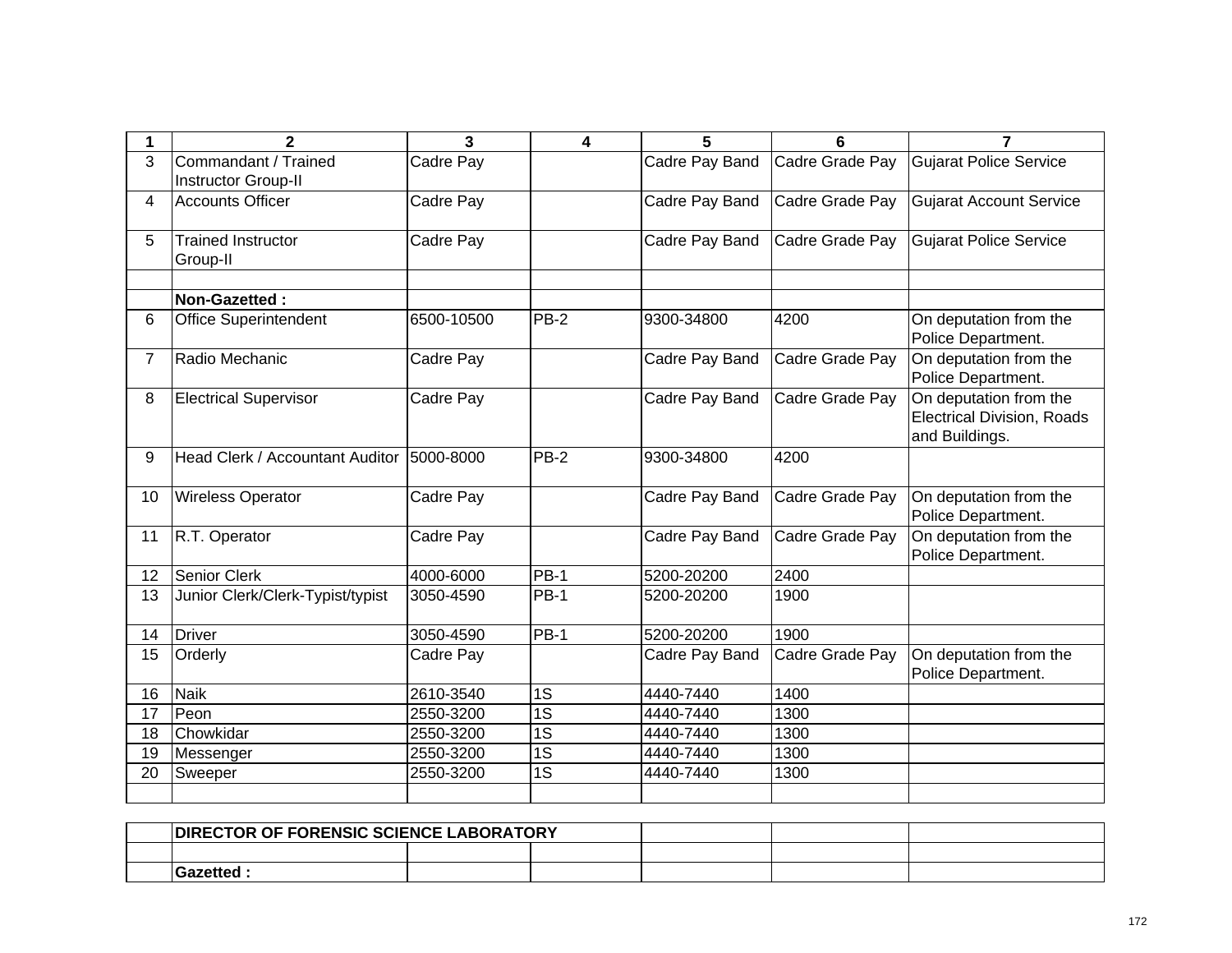| 1              | $\overline{2}$                              | 3          | 4           | 5              | 6               | $\overline{ }$                                                                |
|----------------|---------------------------------------------|------------|-------------|----------------|-----------------|-------------------------------------------------------------------------------|
| 3              | Commandant / Trained<br>Instructor Group-II | Cadre Pay  |             | Cadre Pay Band | Cadre Grade Pay | <b>Gujarat Police Service</b>                                                 |
| 4              | <b>Accounts Officer</b>                     | Cadre Pay  |             | Cadre Pay Band | Cadre Grade Pay | <b>Gujarat Account Service</b>                                                |
| 5              | <b>Trained Instructor</b><br>Group-II       | Cadre Pay  |             | Cadre Pay Band | Cadre Grade Pay | <b>Gujarat Police Service</b>                                                 |
|                | Non-Gazetted:                               |            |             |                |                 |                                                                               |
| 6              | <b>Office Superintendent</b>                | 6500-10500 | <b>PB-2</b> | 9300-34800     | 4200            | On deputation from the<br>Police Department.                                  |
| $\overline{7}$ | Radio Mechanic                              | Cadre Pay  |             | Cadre Pay Band | Cadre Grade Pay | On deputation from the<br>Police Department.                                  |
| 8              | <b>Electrical Supervisor</b>                | Cadre Pay  |             | Cadre Pay Band | Cadre Grade Pay | On deputation from the<br><b>Electrical Division, Roads</b><br>and Buildings. |
| 9              | Head Clerk / Accountant Auditor             | 5000-8000  | PB-2        | 9300-34800     | 4200            |                                                                               |
| 10             | <b>Wireless Operator</b>                    | Cadre Pay  |             | Cadre Pay Band | Cadre Grade Pay | On deputation from the<br>Police Department.                                  |
| 11             | R.T. Operator                               | Cadre Pay  |             | Cadre Pay Band | Cadre Grade Pay | On deputation from the<br>Police Department.                                  |
| 12             | <b>Senior Clerk</b>                         | 4000-6000  | $PB-1$      | 5200-20200     | 2400            |                                                                               |
| 13             | Junior Clerk/Clerk-Typist/typist            | 3050-4590  | <b>PB-1</b> | 5200-20200     | 1900            |                                                                               |
| 14             | <b>Driver</b>                               | 3050-4590  | $PB-1$      | 5200-20200     | 1900            |                                                                               |
| 15             | Orderly                                     | Cadre Pay  |             | Cadre Pay Band | Cadre Grade Pay | On deputation from the<br>Police Department.                                  |
| 16             | <b>Naik</b>                                 | 2610-3540  | 1S          | 4440-7440      | 1400            |                                                                               |
| 17             | Peon                                        | 2550-3200  | 1S          | 4440-7440      | 1300            |                                                                               |
| 18             | Chowkidar                                   | 2550-3200  | 1S          | 4440-7440      | 1300            |                                                                               |
| 19             | Messenger                                   | 2550-3200  | 1S          | 4440-7440      | 1300            |                                                                               |
| 20             | Sweeper                                     | 2550-3200  | 1S          | 4440-7440      | 1300            |                                                                               |
|                |                                             |            |             |                |                 |                                                                               |

| <b>DIRECTOR OF FORENSIC SCIENCE LABORATORY</b> |  |  |  |
|------------------------------------------------|--|--|--|
|                                                |  |  |  |
| Gazetted                                       |  |  |  |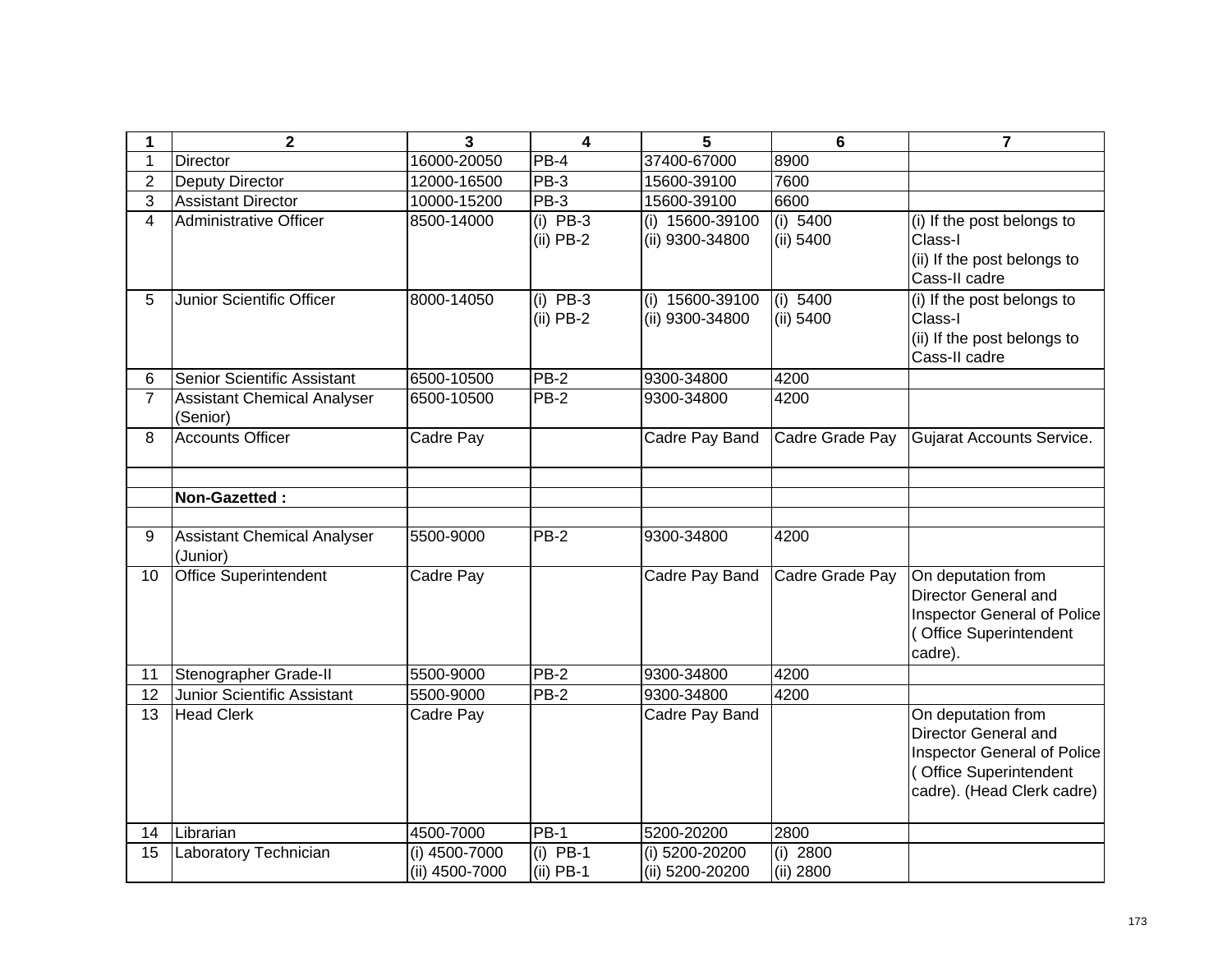| 1              | $\mathbf{2}$                                   | 3                               | $\overline{\mathbf{4}}$   | 5                                  | 6                       | $\overline{7}$                                                                                                                           |
|----------------|------------------------------------------------|---------------------------------|---------------------------|------------------------------------|-------------------------|------------------------------------------------------------------------------------------------------------------------------------------|
|                | <b>Director</b>                                | 16000-20050                     | PB-4                      | 37400-67000                        | 8900                    |                                                                                                                                          |
| $\overline{2}$ | <b>Deputy Director</b>                         | 12000-16500                     | PB-3                      | 15600-39100                        | 7600                    |                                                                                                                                          |
| 3              | <b>Assistant Director</b>                      | 10000-15200                     | $PB-3$                    | 15600-39100                        | 6600                    |                                                                                                                                          |
| $\overline{4}$ | <b>Administrative Officer</b>                  | 8500-14000                      | $(i)$ PB-3<br>$(ii)$ PB-2 | (i) 15600-39100<br>(ii) 9300-34800 | (i) 5400<br>(ii) 5400   | (i) If the post belongs to<br>Class-I<br>(ii) If the post belongs to<br>Cass-II cadre                                                    |
| 5              | Junior Scientific Officer                      | 8000-14050                      | $(i)$ PB-3<br>$(ii)$ PB-2 | (i) 15600-39100<br>(ii) 9300-34800 | (i) 5400<br>(ii) 5400   | (i) If the post belongs to<br>Class-I<br>(ii) If the post belongs to<br>Cass-II cadre                                                    |
| 6              | Senior Scientific Assistant                    | 6500-10500                      | PB-2                      | 9300-34800                         | 4200                    |                                                                                                                                          |
| $\overline{7}$ | <b>Assistant Chemical Analyser</b><br>(Senior) | 6500-10500                      | $PB-2$                    | 9300-34800                         | 4200                    |                                                                                                                                          |
| 8              | <b>Accounts Officer</b>                        | Cadre Pay                       |                           | Cadre Pay Band                     | Cadre Grade Pay         | Gujarat Accounts Service.                                                                                                                |
|                | Non-Gazetted:                                  |                                 |                           |                                    |                         |                                                                                                                                          |
| 9              | <b>Assistant Chemical Analyser</b><br>(Junior) | 5500-9000                       | $PB-2$                    | 9300-34800                         | 4200                    |                                                                                                                                          |
| 10             | <b>Office Superintendent</b>                   | Cadre Pay                       |                           | Cadre Pay Band                     | Cadre Grade Pay         | On deputation from<br>Director General and<br><b>Inspector General of Police</b><br>(Office Superintendent<br>cadre).                    |
| 11             | Stenographer Grade-II                          | 5500-9000                       | PB-2                      | 9300-34800                         | 4200                    |                                                                                                                                          |
| 12             | Junior Scientific Assistant                    | 5500-9000                       | $PB-2$                    | 9300-34800                         | 4200                    |                                                                                                                                          |
| 13             | <b>Head Clerk</b>                              | Cadre Pay                       |                           | Cadre Pay Band                     |                         | On deputation from<br>Director General and<br><b>Inspector General of Police</b><br>(Office Superintendent<br>cadre). (Head Clerk cadre) |
| 14             | Librarian                                      | 4500-7000                       | <b>PB-1</b>               | 5200-20200                         | 2800                    |                                                                                                                                          |
| 15             | Laboratory Technician                          | (i) 4500-7000<br>(ii) 4500-7000 | $(i)$ PB-1<br>$(ii)$ PB-1 | (i) 5200-20200<br>(ii) 5200-20200  | $(i)$ 2800<br>(ii) 2800 |                                                                                                                                          |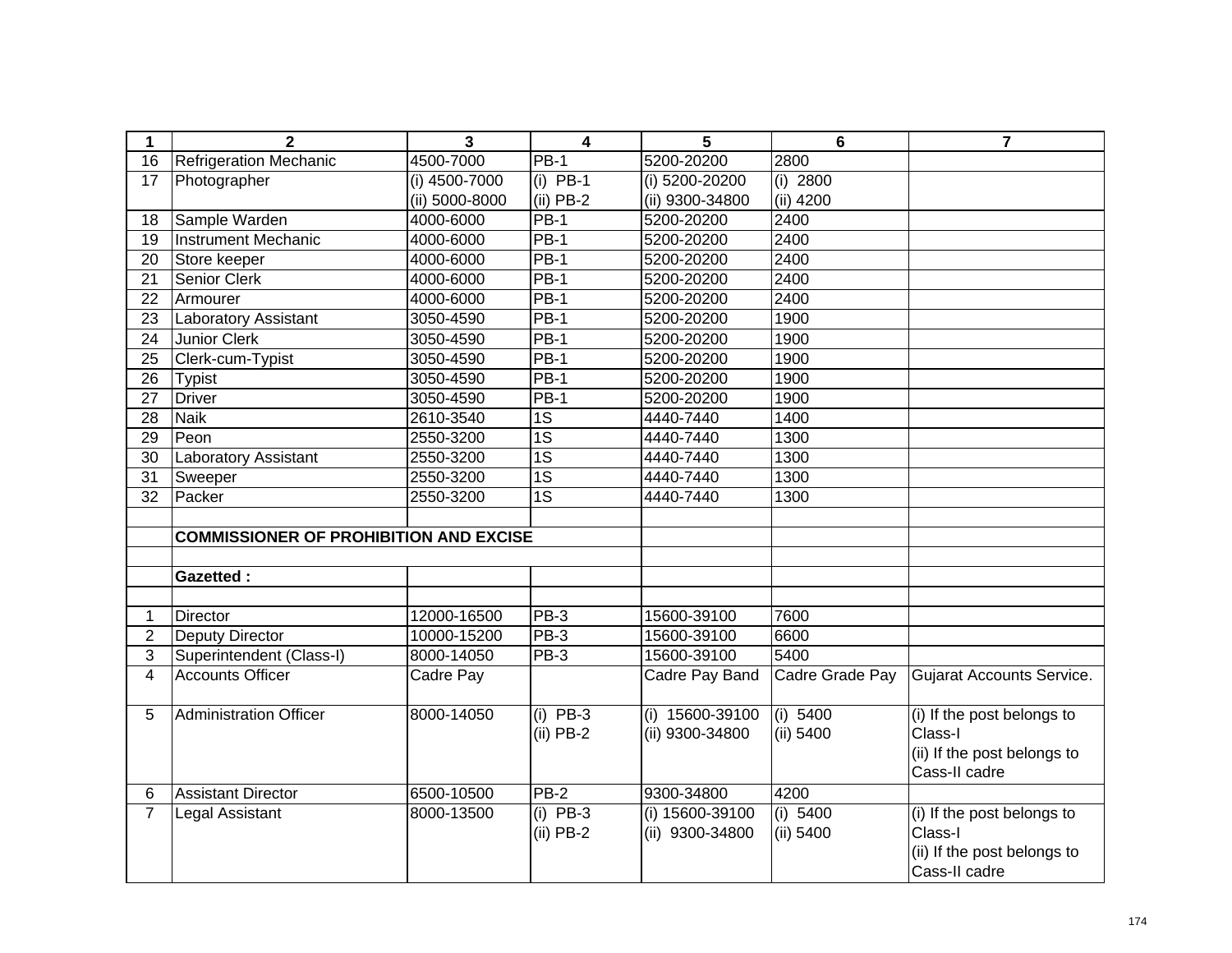| 1               | $\overline{2}$                                | $\overline{\mathbf{3}}$ | $\overline{\mathbf{4}}$   | 5                                    | $6\phantom{1}6$       | $\overline{7}$                                                                        |
|-----------------|-----------------------------------------------|-------------------------|---------------------------|--------------------------------------|-----------------------|---------------------------------------------------------------------------------------|
| 16              | <b>Refrigeration Mechanic</b>                 | 4500-7000               | <b>PB-1</b>               | 5200-20200                           | 2800                  |                                                                                       |
| 17              | Photographer                                  | (i) 4500-7000           | $(i)$ PB-1                | (i) 5200-20200                       | $(i)$ 2800            |                                                                                       |
|                 |                                               | (ii) 5000-8000          | $(ii)$ PB-2               | (ii) 9300-34800                      | (ii) 4200             |                                                                                       |
| 18              | Sample Warden                                 | 4000-6000               | $PB-1$                    | 5200-20200                           | 2400                  |                                                                                       |
| 19              | <b>Instrument Mechanic</b>                    | 4000-6000               | $PB-1$                    | 5200-20200                           | 2400                  |                                                                                       |
| 20              | Store keeper                                  | 4000-6000               | <b>PB-1</b>               | 5200-20200                           | 2400                  |                                                                                       |
| 21              | Senior Clerk                                  | 4000-6000               | <b>PB-1</b>               | 5200-20200                           | 2400                  |                                                                                       |
| 22              | Armourer                                      | 4000-6000               | $PB-1$                    | 5200-20200                           | 2400                  |                                                                                       |
| 23              | Laboratory Assistant                          | 3050-4590               | <b>PB-1</b>               | 5200-20200                           | 1900                  |                                                                                       |
| 24              | <b>Junior Clerk</b>                           | 3050-4590               | $PB-1$                    | 5200-20200                           | 1900                  |                                                                                       |
| 25              | Clerk-cum-Typist                              | 3050-4590               | <b>PB-1</b>               | 5200-20200                           | 1900                  |                                                                                       |
| 26              | <b>Typist</b>                                 | 3050-4590               | $PB-1$                    | 5200-20200                           | 1900                  |                                                                                       |
| 27              | <b>Driver</b>                                 | 3050-4590               | $PB-1$                    | 5200-20200                           | 1900                  |                                                                                       |
| 28              | <b>Naik</b>                                   | 2610-3540               | 1S                        | 4440-7440                            | 1400                  |                                                                                       |
| 29              | Peon                                          | 2550-3200               | 1S                        | 4440-7440                            | 1300                  |                                                                                       |
| 30              | <b>Laboratory Assistant</b>                   | 2550-3200               | $\overline{1S}$           | 4440-7440                            | 1300                  |                                                                                       |
| 31              | Sweeper                                       | 2550-3200               | 1S                        | 4440-7440                            | 1300                  |                                                                                       |
| $\overline{32}$ | Packer                                        | 2550-3200               | $\overline{1S}$           | 4440-7440                            | 1300                  |                                                                                       |
|                 |                                               |                         |                           |                                      |                       |                                                                                       |
|                 | <b>COMMISSIONER OF PROHIBITION AND EXCISE</b> |                         |                           |                                      |                       |                                                                                       |
|                 |                                               |                         |                           |                                      |                       |                                                                                       |
|                 | <b>Gazetted:</b>                              |                         |                           |                                      |                       |                                                                                       |
|                 |                                               |                         |                           |                                      |                       |                                                                                       |
| 1               | <b>Director</b>                               | 12000-16500             | PB-3                      | 15600-39100                          | 7600                  |                                                                                       |
| $\mathbf{2}$    | <b>Deputy Director</b>                        | 10000-15200             | PB-3                      | 15600-39100                          | 6600                  |                                                                                       |
| $\overline{3}$  | Superintendent (Class-I)                      | 8000-14050              | PB-3                      | 15600-39100                          | 5400                  |                                                                                       |
| $\overline{4}$  | <b>Accounts Officer</b>                       | Cadre Pay               |                           | Cadre Pay Band                       | Cadre Grade Pay       | Gujarat Accounts Service.                                                             |
| 5               | <b>Administration Officer</b>                 | 8000-14050              | $(i)$ PB-3<br>$(ii)$ PB-2 | $(i)$ 15600-39100<br>(ii) 9300-34800 | (i) 5400<br>(ii) 5400 | (i) If the post belongs to<br>Class-I<br>(ii) If the post belongs to<br>Cass-II cadre |
| 6               | <b>Assistant Director</b>                     | 6500-10500              | $PB-2$                    | 9300-34800                           | 4200                  |                                                                                       |
| $\overline{7}$  | Legal Assistant                               | 8000-13500              | $(i)$ PB-3<br>$(ii)$ PB-2 | (i) 15600-39100<br>(ii) 9300-34800   | (i) 5400<br>(ii) 5400 | (i) If the post belongs to<br>Class-I<br>(ii) If the post belongs to<br>Cass-II cadre |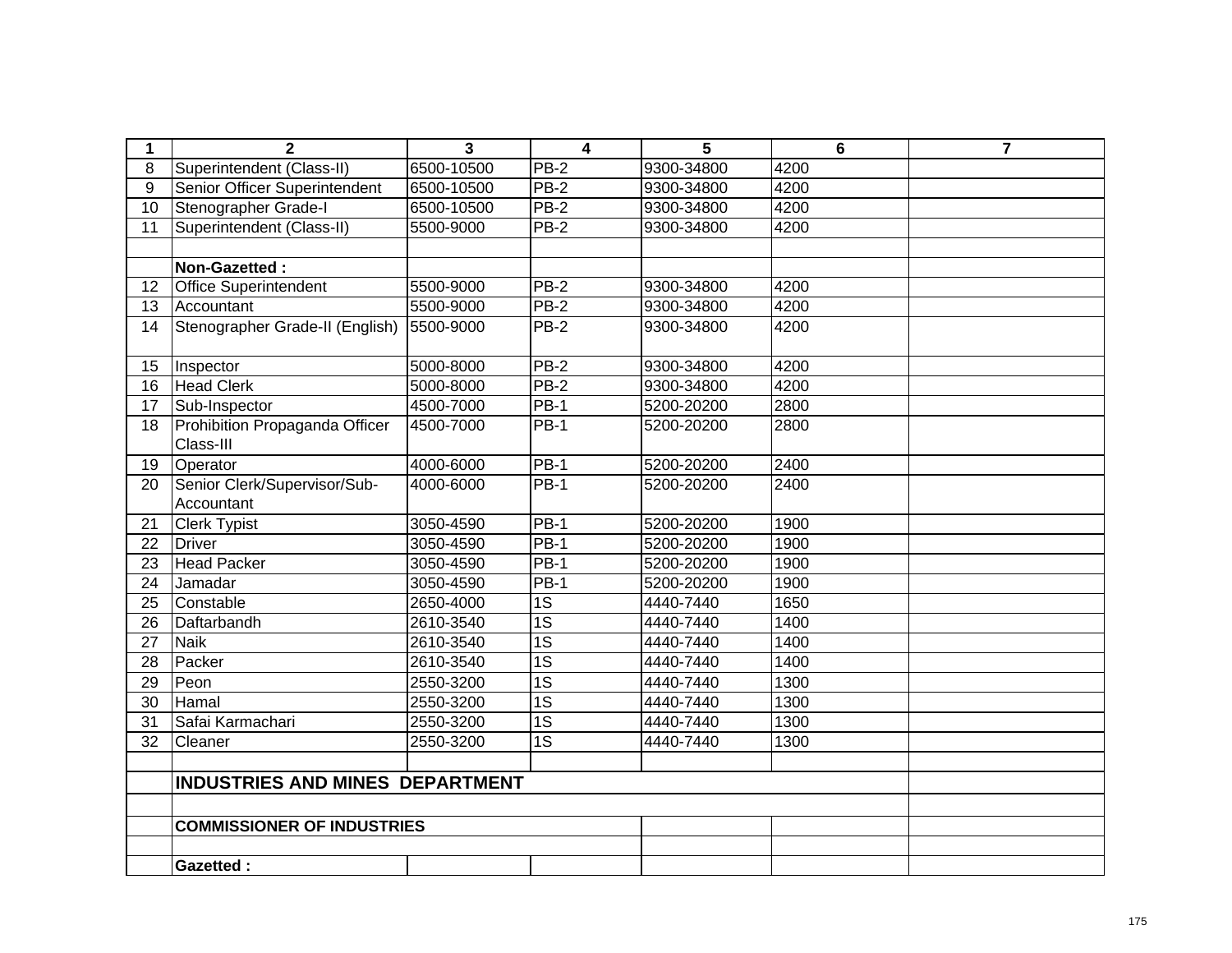| 1               | $\mathbf{2}$                                | 3          | $\overline{\mathbf{4}}$ | 5          | 6    | $\overline{7}$ |
|-----------------|---------------------------------------------|------------|-------------------------|------------|------|----------------|
| 8               | Superintendent (Class-II)                   | 6500-10500 | PB-2                    | 9300-34800 | 4200 |                |
| 9               | Senior Officer Superintendent               | 6500-10500 | $PB-2$                  | 9300-34800 | 4200 |                |
| $\overline{10}$ | Stenographer Grade-I                        | 6500-10500 | $PB-2$                  | 9300-34800 | 4200 |                |
| 11              | Superintendent (Class-II)                   | 5500-9000  | <b>PB-2</b>             | 9300-34800 | 4200 |                |
|                 |                                             |            |                         |            |      |                |
|                 | Non-Gazetted:                               |            |                         |            |      |                |
| 12              | <b>Office Superintendent</b>                | 5500-9000  | PB-2                    | 9300-34800 | 4200 |                |
| 13              | Accountant                                  | 5500-9000  | $PB-2$                  | 9300-34800 | 4200 |                |
| 14              | Stenographer Grade-II (English)             | 5500-9000  | PB-2                    | 9300-34800 | 4200 |                |
| 15              | Inspector                                   | 5000-8000  | $PB-2$                  | 9300-34800 | 4200 |                |
| 16              | <b>Head Clerk</b>                           | 5000-8000  | $PB-2$                  | 9300-34800 | 4200 |                |
| 17              | Sub-Inspector                               | 4500-7000  | <b>PB-1</b>             | 5200-20200 | 2800 |                |
| 18              | Prohibition Propaganda Officer<br>Class-III | 4500-7000  | <b>PB-1</b>             | 5200-20200 | 2800 |                |
| 19              | Operator                                    | 4000-6000  | <b>PB-1</b>             | 5200-20200 | 2400 |                |
| 20              | Senior Clerk/Supervisor/Sub-                | 4000-6000  | $PB-1$                  | 5200-20200 | 2400 |                |
|                 | Accountant                                  |            |                         |            |      |                |
| 21              | <b>Clerk Typist</b>                         | 3050-4590  | PB-1                    | 5200-20200 | 1900 |                |
| 22              | <b>Driver</b>                               | 3050-4590  | $PB-1$                  | 5200-20200 | 1900 |                |
| 23              | <b>Head Packer</b>                          | 3050-4590  | $PB-1$                  | 5200-20200 | 1900 |                |
| 24              | Jamadar                                     | 3050-4590  | <b>PB-1</b>             | 5200-20200 | 1900 |                |
| 25              | Constable                                   | 2650-4000  | 1S                      | 4440-7440  | 1650 |                |
| 26              | Daftarbandh                                 | 2610-3540  | $\overline{1S}$         | 4440-7440  | 1400 |                |
| 27              | <b>Naik</b>                                 | 2610-3540  | $\overline{1S}$         | 4440-7440  | 1400 |                |
| 28              | Packer                                      | 2610-3540  | $\overline{1S}$         | 4440-7440  | 1400 |                |
| 29              | Peon                                        | 2550-3200  | $\overline{1S}$         | 4440-7440  | 1300 |                |
| $\overline{30}$ | Hamal                                       | 2550-3200  | $\overline{1S}$         | 4440-7440  | 1300 |                |
| 31              | Safai Karmachari                            | 2550-3200  | $\overline{1S}$         | 4440-7440  | 1300 |                |
| 32              | Cleaner                                     | 2550-3200  | $\overline{1S}$         | 4440-7440  | 1300 |                |
|                 |                                             |            |                         |            |      |                |
|                 | INDUSTRIES AND MINES DEPARTMENT             |            |                         |            |      |                |
|                 |                                             |            |                         |            |      |                |
|                 | <b>COMMISSIONER OF INDUSTRIES</b>           |            |                         |            |      |                |
|                 |                                             |            |                         |            |      |                |
|                 | <b>Gazetted:</b>                            |            |                         |            |      |                |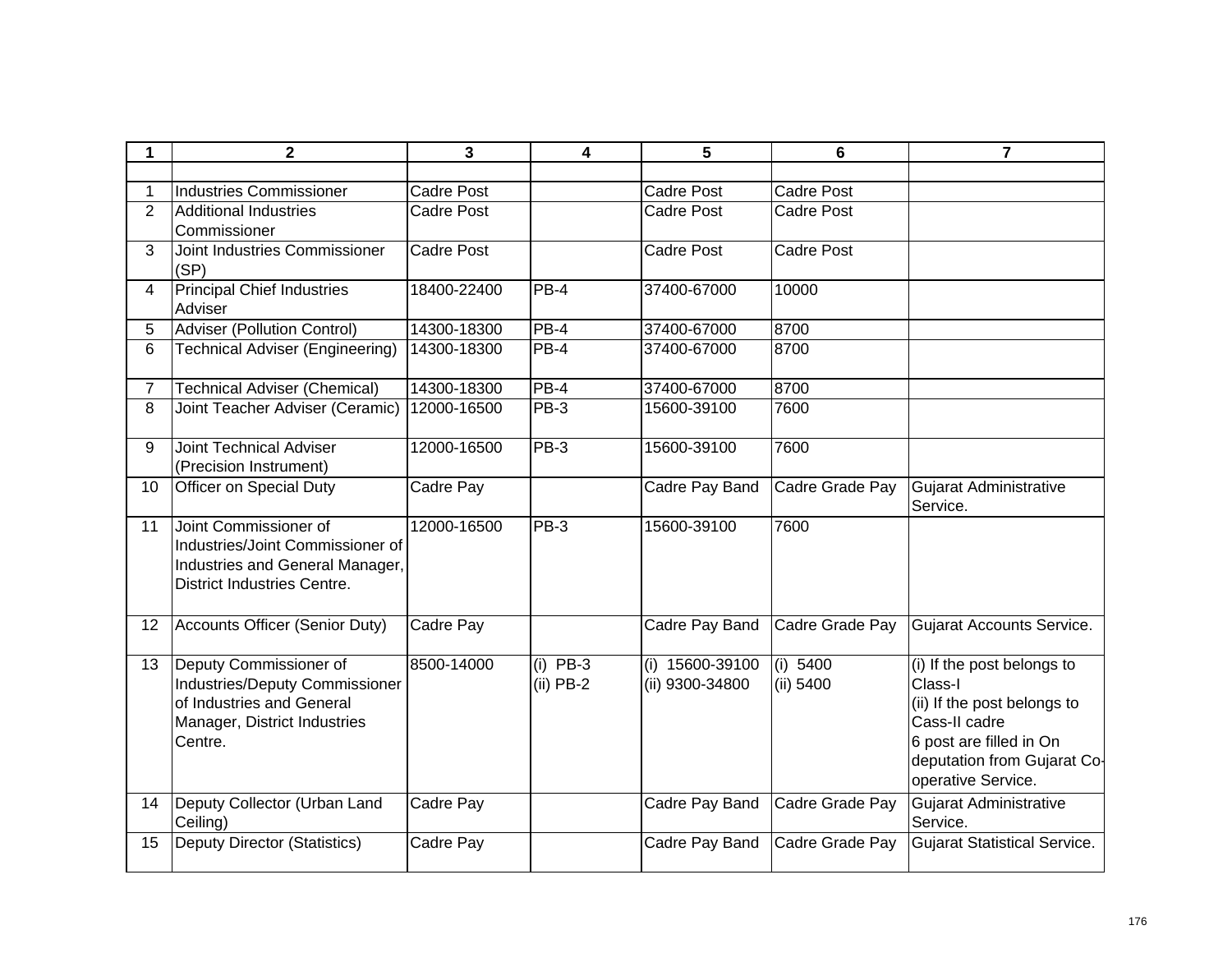| 1              | $\mathbf 2$                                                                                                                        | 3                 | 4                         | 5                                    | $6\phantom{1}6$       | $\overline{\phantom{a}}$                                                                                                                                              |
|----------------|------------------------------------------------------------------------------------------------------------------------------------|-------------------|---------------------------|--------------------------------------|-----------------------|-----------------------------------------------------------------------------------------------------------------------------------------------------------------------|
|                |                                                                                                                                    |                   |                           |                                      |                       |                                                                                                                                                                       |
|                | <b>Industries Commissioner</b>                                                                                                     | <b>Cadre Post</b> |                           | Cadre Post                           | <b>Cadre Post</b>     |                                                                                                                                                                       |
| $\overline{2}$ | <b>Additional Industries</b>                                                                                                       | <b>Cadre Post</b> |                           | <b>Cadre Post</b>                    | <b>Cadre Post</b>     |                                                                                                                                                                       |
|                | Commissioner                                                                                                                       |                   |                           |                                      |                       |                                                                                                                                                                       |
| 3              | Joint Industries Commissioner<br>(SP)                                                                                              | <b>Cadre Post</b> |                           | <b>Cadre Post</b>                    | <b>Cadre Post</b>     |                                                                                                                                                                       |
| 4              | <b>Principal Chief Industries</b><br>Adviser                                                                                       | 18400-22400       | PB-4                      | 37400-67000                          | 10000                 |                                                                                                                                                                       |
| 5              | Adviser (Pollution Control)                                                                                                        | 14300-18300       | PB-4                      | 37400-67000                          | 8700                  |                                                                                                                                                                       |
| 6              | <b>Technical Adviser (Engineering)</b>                                                                                             | 14300-18300       | $PB-4$                    | 37400-67000                          | 8700                  |                                                                                                                                                                       |
| $\overline{7}$ | <b>Technical Adviser (Chemical)</b>                                                                                                | 14300-18300       | $PB-4$                    | 37400-67000                          | 8700                  |                                                                                                                                                                       |
| 8              | Joint Teacher Adviser (Ceramic)                                                                                                    | 12000-16500       | <b>PB-3</b>               | 15600-39100                          | 7600                  |                                                                                                                                                                       |
| 9              | <b>Joint Technical Adviser</b><br>(Precision Instrument)                                                                           | 12000-16500       | PB-3                      | 15600-39100                          | 7600                  |                                                                                                                                                                       |
| 10             | Officer on Special Duty                                                                                                            | Cadre Pay         |                           | Cadre Pay Band                       | Cadre Grade Pay       | Gujarat Administrative<br>Service.                                                                                                                                    |
| 11             | Joint Commissioner of<br>Industries/Joint Commissioner of<br>Industries and General Manager,<br><b>District Industries Centre.</b> | 12000-16500       | PB-3                      | 15600-39100                          | 7600                  |                                                                                                                                                                       |
| 12             | Accounts Officer (Senior Duty)                                                                                                     | Cadre Pay         |                           | Cadre Pay Band                       | Cadre Grade Pay       | Gujarat Accounts Service.                                                                                                                                             |
| 13             | Deputy Commissioner of<br>Industries/Deputy Commissioner<br>of Industries and General<br>Manager, District Industries<br>Centre.   | 8500-14000        | $(i)$ PB-3<br>$(ii)$ PB-2 | $(i)$ 15600-39100<br>(ii) 9300-34800 | (i) 5400<br>(ii) 5400 | (i) If the post belongs to<br>Class-I<br>(ii) If the post belongs to<br>Cass-II cadre<br>6 post are filled in On<br>deputation from Gujarat Co-<br>operative Service. |
| 14             | Deputy Collector (Urban Land<br>Ceiling)                                                                                           | Cadre Pay         |                           | Cadre Pay Band                       | Cadre Grade Pay       | Gujarat Administrative<br>Service.                                                                                                                                    |
| 15             | <b>Deputy Director (Statistics)</b>                                                                                                | Cadre Pay         |                           | Cadre Pay Band                       | Cadre Grade Pay       | Gujarat Statistical Service.                                                                                                                                          |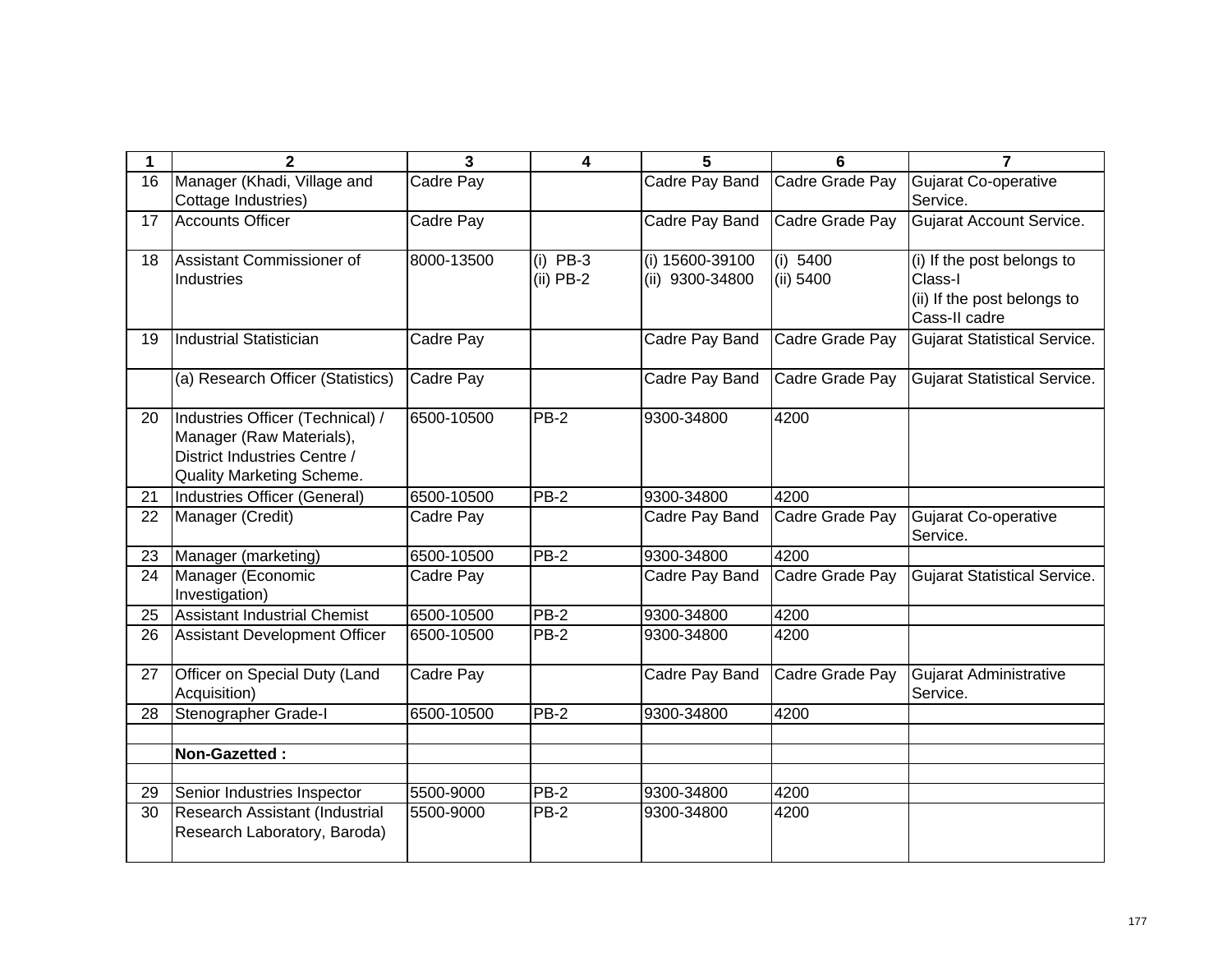| 1  | $\mathbf{2}$                                                                                                              | 3          | $\overline{\mathbf{4}}$   | 5                                  | 6                     | $\overline{7}$                                                                        |
|----|---------------------------------------------------------------------------------------------------------------------------|------------|---------------------------|------------------------------------|-----------------------|---------------------------------------------------------------------------------------|
| 16 | Manager (Khadi, Village and<br>Cottage Industries)                                                                        | Cadre Pay  |                           | Cadre Pay Band                     | Cadre Grade Pay       | <b>Gujarat Co-operative</b><br>Service.                                               |
| 17 | <b>Accounts Officer</b>                                                                                                   | Cadre Pay  |                           | Cadre Pay Band                     | Cadre Grade Pay       | <b>Gujarat Account Service.</b>                                                       |
| 18 | Assistant Commissioner of<br>Industries                                                                                   | 8000-13500 | $(i)$ PB-3<br>$(ii)$ PB-2 | (i) 15600-39100<br>(ii) 9300-34800 | (i) 5400<br>(ii) 5400 | (i) If the post belongs to<br>Class-I<br>(ii) If the post belongs to<br>Cass-II cadre |
| 19 | <b>Industrial Statistician</b>                                                                                            | Cadre Pay  |                           | Cadre Pay Band                     | Cadre Grade Pay       | <b>Gujarat Statistical Service.</b>                                                   |
|    | (a) Research Officer (Statistics)                                                                                         | Cadre Pay  |                           | Cadre Pay Band                     | Cadre Grade Pay       | <b>Gujarat Statistical Service.</b>                                                   |
| 20 | Industries Officer (Technical) /<br>Manager (Raw Materials),<br>District Industries Centre /<br>Quality Marketing Scheme. | 6500-10500 | $PB-2$                    | 9300-34800                         | 4200                  |                                                                                       |
| 21 | Industries Officer (General)                                                                                              | 6500-10500 | <b>PB-2</b>               | 9300-34800                         | 4200                  |                                                                                       |
| 22 | Manager (Credit)                                                                                                          | Cadre Pay  |                           | Cadre Pay Band                     | Cadre Grade Pay       | Gujarat Co-operative<br>Service.                                                      |
| 23 | Manager (marketing)                                                                                                       | 6500-10500 | PB-2                      | 9300-34800                         | 4200                  |                                                                                       |
| 24 | Manager (Economic<br>Investigation)                                                                                       | Cadre Pay  |                           | Cadre Pay Band                     | Cadre Grade Pay       | <b>Gujarat Statistical Service.</b>                                                   |
| 25 | <b>Assistant Industrial Chemist</b>                                                                                       | 6500-10500 | $PB-2$                    | 9300-34800                         | 4200                  |                                                                                       |
| 26 | <b>Assistant Development Officer</b>                                                                                      | 6500-10500 | $PB-2$                    | 9300-34800                         | 4200                  |                                                                                       |
| 27 | Officer on Special Duty (Land<br>Acquisition)                                                                             | Cadre Pay  |                           | Cadre Pay Band                     | Cadre Grade Pay       | <b>Gujarat Administrative</b><br>Service.                                             |
| 28 | Stenographer Grade-I                                                                                                      | 6500-10500 | PB-2                      | 9300-34800                         | 4200                  |                                                                                       |
|    | Non-Gazetted:                                                                                                             |            |                           |                                    |                       |                                                                                       |
| 29 | Senior Industries Inspector                                                                                               | 5500-9000  | <b>PB-2</b>               | 9300-34800                         | 4200                  |                                                                                       |
| 30 | Research Assistant (Industrial                                                                                            | 5500-9000  | PB-2                      | 9300-34800                         | 4200                  |                                                                                       |
|    | Research Laboratory, Baroda)                                                                                              |            |                           |                                    |                       |                                                                                       |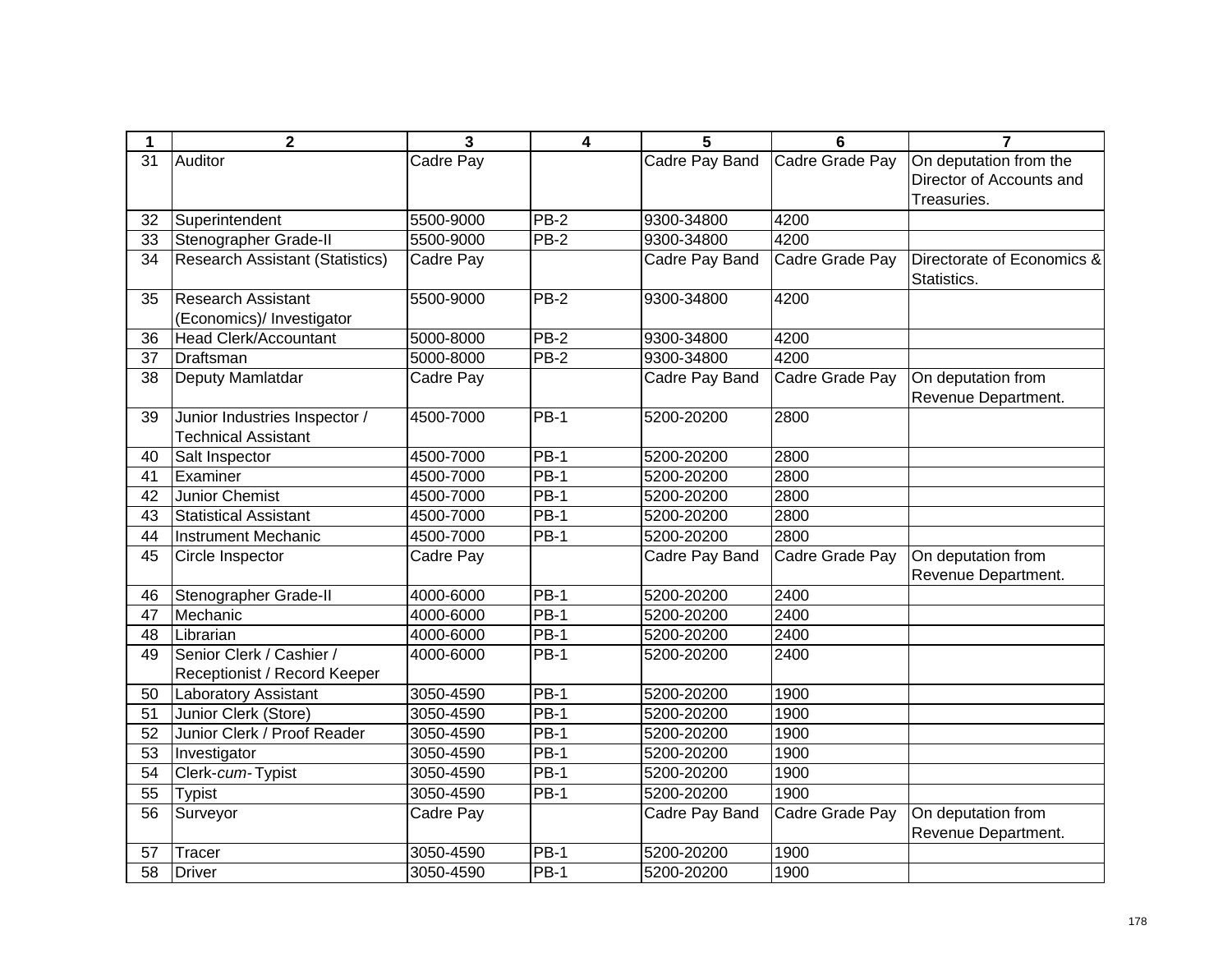| 1               | $\mathbf{2}$                           | $\overline{\mathbf{3}}$ | $\overline{\mathbf{4}}$ | 5              | 6               | $\overline{7}$                            |
|-----------------|----------------------------------------|-------------------------|-------------------------|----------------|-----------------|-------------------------------------------|
| 31              | Auditor                                | Cadre Pay               |                         | Cadre Pay Band | Cadre Grade Pay | On deputation from the                    |
|                 |                                        |                         |                         |                |                 | Director of Accounts and                  |
|                 |                                        |                         |                         |                |                 | Treasuries.                               |
| 32              | Superintendent                         | 5500-9000               | $PB-2$                  | 9300-34800     | 4200            |                                           |
| $\overline{33}$ | Stenographer Grade-II                  | 5500-9000               | $PB-2$                  | 9300-34800     | 4200            |                                           |
| 34              | <b>Research Assistant (Statistics)</b> | Cadre Pay               |                         | Cadre Pay Band | Cadre Grade Pay | Directorate of Economics &<br>Statistics. |
| 35              | <b>Research Assistant</b>              | 5500-9000               | $PB-2$                  | 9300-34800     | 4200            |                                           |
|                 | (Economics)/ Investigator              |                         |                         |                |                 |                                           |
| 36              | <b>Head Clerk/Accountant</b>           | 5000-8000               | $PB-2$                  | 9300-34800     | 4200            |                                           |
| 37              | Draftsman                              | 5000-8000               | $PB-2$                  | 9300-34800     | 4200            |                                           |
| 38              | Deputy Mamlatdar                       | Cadre Pay               |                         | Cadre Pay Band | Cadre Grade Pay | On deputation from                        |
|                 |                                        |                         |                         |                |                 | Revenue Department.                       |
| 39              | Junior Industries Inspector /          | 4500-7000               | $PB-1$                  | 5200-20200     | 2800            |                                           |
|                 | <b>Technical Assistant</b>             |                         |                         |                |                 |                                           |
| 40              | Salt Inspector                         | 4500-7000               | $PB-1$                  | 5200-20200     | 2800            |                                           |
| 41              | Examiner                               | 4500-7000               | <b>PB-1</b>             | 5200-20200     | 2800            |                                           |
| 42              | Junior Chemist                         | 4500-7000               | $PB-1$                  | 5200-20200     | 2800            |                                           |
| 43              | <b>Statistical Assistant</b>           | 4500-7000               | $PB-1$                  | 5200-20200     | 2800            |                                           |
| 44              | <b>Instrument Mechanic</b>             | 4500-7000               | <b>PB-1</b>             | 5200-20200     | 2800            |                                           |
| 45              | Circle Inspector                       | Cadre Pay               |                         | Cadre Pay Band | Cadre Grade Pay | On deputation from                        |
|                 |                                        |                         |                         |                |                 | Revenue Department.                       |
| 46              | Stenographer Grade-II                  | 4000-6000               | $PB-1$                  | 5200-20200     | 2400            |                                           |
| 47              | Mechanic                               | 4000-6000               | $PB-1$                  | 5200-20200     | 2400            |                                           |
| 48              | Librarian                              | 4000-6000               | <b>PB-1</b>             | 5200-20200     | 2400            |                                           |
| 49              | Senior Clerk / Cashier /               | 4000-6000               | <b>PB-1</b>             | 5200-20200     | 2400            |                                           |
|                 | Receptionist / Record Keeper           |                         |                         |                |                 |                                           |
| 50              | Laboratory Assistant                   | 3050-4590               | <b>PB-1</b>             | 5200-20200     | 1900            |                                           |
| 51              | Junior Clerk (Store)                   | 3050-4590               | $PB-1$                  | 5200-20200     | 1900            |                                           |
| 52              | Junior Clerk / Proof Reader            | 3050-4590               | $PB-1$                  | 5200-20200     | 1900            |                                           |
| 53              | Investigator                           | 3050-4590               | $PB-1$                  | 5200-20200     | 1900            |                                           |
| 54              | Clerk-cum-Typist                       | 3050-4590               | $\overline{PB-1}$       | 5200-20200     | 1900            |                                           |
| 55              | <b>Typist</b>                          | 3050-4590               | PB-1                    | 5200-20200     | 1900            |                                           |
| 56              | Surveyor                               | Cadre Pay               |                         | Cadre Pay Band | Cadre Grade Pay | On deputation from                        |
|                 |                                        |                         |                         |                |                 | Revenue Department.                       |
| 57              | Tracer                                 | 3050-4590               | $PB-1$                  | 5200-20200     | 1900            |                                           |
| 58              | <b>Driver</b>                          | 3050-4590               | $PB-1$                  | 5200-20200     | 1900            |                                           |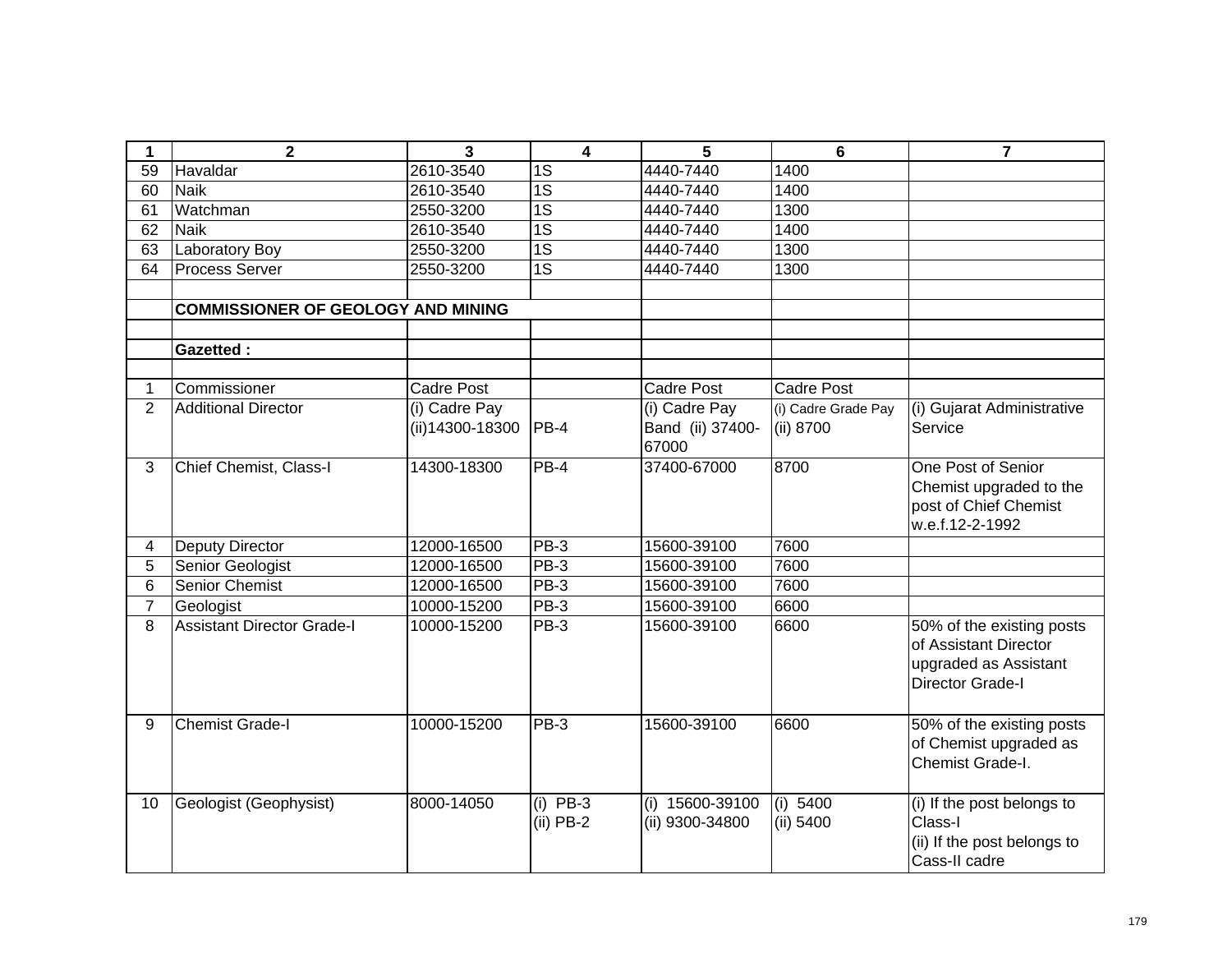| 1              | $\mathbf 2$                               | $\overline{\mathbf{3}}$             | $\overline{\mathbf{4}}$ | 5                | $6\phantom{1}$      | $\overline{7}$              |
|----------------|-------------------------------------------|-------------------------------------|-------------------------|------------------|---------------------|-----------------------------|
| 59             | Havaldar                                  | 2610-3540                           | $\overline{1S}$         | 4440-7440        | 1400                |                             |
| 60             | <b>Naik</b>                               | 2610-3540                           | $\overline{1S}$         | 4440-7440        | 1400                |                             |
| 61             | Watchman                                  | 2550-3200                           | $\overline{1S}$         | 4440-7440        | 1300                |                             |
| 62             | <b>Naik</b>                               | 2610-3540                           | $\overline{1S}$         | 4440-7440        | 1400                |                             |
| 63             | Laboratory Boy                            | 2550-3200                           | $\overline{1S}$         | 4440-7440        | 1300                |                             |
| 64             | <b>Process Server</b>                     | 2550-3200                           | 1S                      | 4440-7440        | 1300                |                             |
|                |                                           |                                     |                         |                  |                     |                             |
|                | <b>COMMISSIONER OF GEOLOGY AND MINING</b> |                                     |                         |                  |                     |                             |
|                |                                           |                                     |                         |                  |                     |                             |
|                | <b>Gazetted:</b>                          |                                     |                         |                  |                     |                             |
|                |                                           |                                     |                         |                  |                     |                             |
| 1.             | Commissioner                              | <b>Cadre Post</b>                   |                         | Cadre Post       | <b>Cadre Post</b>   |                             |
| $\overline{2}$ | <b>Additional Director</b>                | $\overline{(\mathsf{i})}$ Cadre Pay |                         | (i) Cadre Pay    | (i) Cadre Grade Pay | (i) Gujarat Administrative  |
|                |                                           | (ii) 14300-18300                    | $ PB-4 $                | Band (ii) 37400- | (ii) 8700           | Service                     |
|                |                                           |                                     |                         | 67000            |                     |                             |
| 3              | Chief Chemist, Class-I                    | 14300-18300                         | PB-4                    | 37400-67000      | 8700                | One Post of Senior          |
|                |                                           |                                     |                         |                  |                     | Chemist upgraded to the     |
|                |                                           |                                     |                         |                  |                     | post of Chief Chemist       |
|                |                                           |                                     |                         |                  |                     | w.e.f.12-2-1992             |
| 4              | <b>Deputy Director</b>                    | 12000-16500                         | <b>PB-3</b>             | 15600-39100      | 7600                |                             |
| 5              | Senior Geologist                          | 12000-16500                         | $PB-3$                  | 15600-39100      | 7600                |                             |
| 6              | Senior Chemist                            | 12000-16500                         | $PB-3$                  | 15600-39100      | 7600                |                             |
| $\overline{7}$ | Geologist                                 | 10000-15200                         | PB-3                    | 15600-39100      | 6600                |                             |
| 8              | <b>Assistant Director Grade-I</b>         | 10000-15200                         | <b>PB-3</b>             | 15600-39100      | 6600                | 50% of the existing posts   |
|                |                                           |                                     |                         |                  |                     | of Assistant Director       |
|                |                                           |                                     |                         |                  |                     | upgraded as Assistant       |
|                |                                           |                                     |                         |                  |                     | Director Grade-I            |
|                |                                           |                                     |                         |                  |                     |                             |
| 9              | <b>Chemist Grade-I</b>                    | 10000-15200                         | $\overline{PB}$ -3      | 15600-39100      | 6600                | 50% of the existing posts   |
|                |                                           |                                     |                         |                  |                     | of Chemist upgraded as      |
|                |                                           |                                     |                         |                  |                     | Chemist Grade-I.            |
|                |                                           |                                     |                         |                  |                     |                             |
| 10             | Geologist (Geophysist)                    | 8000-14050                          | $(i)$ PB-3              | (i) 15600-39100  | (i) 5400            | (i) If the post belongs to  |
|                |                                           |                                     | $(ii)$ PB-2             | (ii) 9300-34800  | (ii) 5400           | Class-I                     |
|                |                                           |                                     |                         |                  |                     | (ii) If the post belongs to |
|                |                                           |                                     |                         |                  |                     | Cass-II cadre               |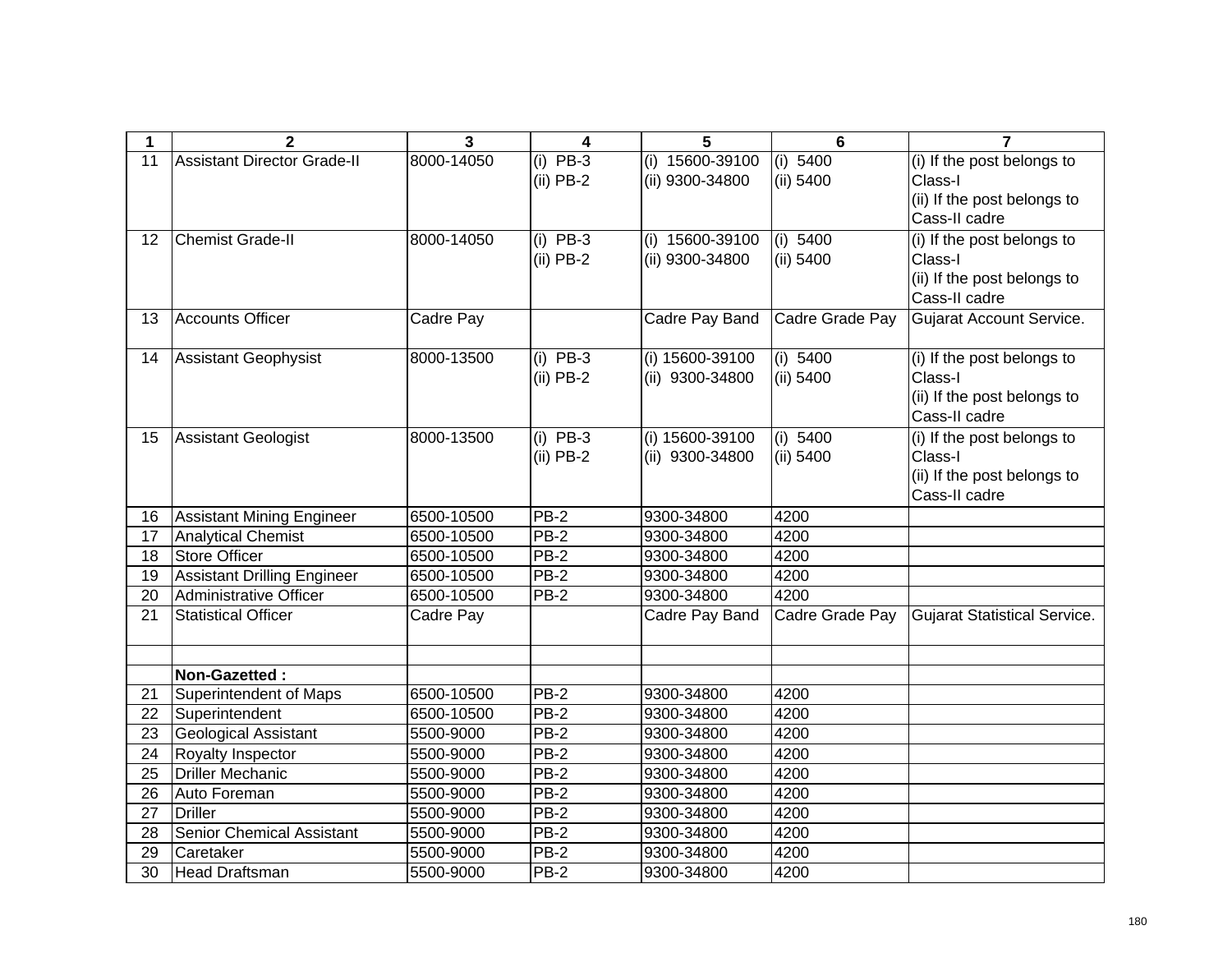| 1  | $\mathbf 2$                        | $\mathbf{3}$ | 4           | 5                 | $6\phantom{1}6$ | $\overline{7}$                      |
|----|------------------------------------|--------------|-------------|-------------------|-----------------|-------------------------------------|
| 11 | <b>Assistant Director Grade-II</b> | 8000-14050   | $(i)$ PB-3  | $(i)$ 15600-39100 | (i) 5400        | (i) If the post belongs to          |
|    |                                    |              | $(ii)$ PB-2 | (ii) 9300-34800   | $(ii)$ 5400     | Class-I                             |
|    |                                    |              |             |                   |                 | (ii) If the post belongs to         |
|    |                                    |              |             |                   |                 | Cass-II cadre                       |
| 12 | <b>Chemist Grade-II</b>            | 8000-14050   | $(i)$ PB-3  | $(i)$ 15600-39100 | (i) 5400        | (i) If the post belongs to          |
|    |                                    |              | $(ii)$ PB-2 | (ii) 9300-34800   | (ii) 5400       | Class-I                             |
|    |                                    |              |             |                   |                 | (ii) If the post belongs to         |
|    |                                    |              |             |                   |                 | Cass-II cadre                       |
| 13 | Accounts Officer                   | Cadre Pay    |             | Cadre Pay Band    | Cadre Grade Pay | Gujarat Account Service.            |
|    |                                    |              |             |                   |                 |                                     |
| 14 | Assistant Geophysist               | 8000-13500   | $(i)$ PB-3  | (i) 15600-39100   | (i) 5400        | (i) If the post belongs to          |
|    |                                    |              | $(ii)$ PB-2 | (ii) 9300-34800   | (ii) 5400       | Class-I                             |
|    |                                    |              |             |                   |                 | (ii) If the post belongs to         |
|    |                                    |              |             |                   |                 | Cass-II cadre                       |
| 15 | <b>Assistant Geologist</b>         | 8000-13500   | $(i)$ PB-3  | (i) 15600-39100   | (i) 5400        | (i) If the post belongs to          |
|    |                                    |              | $(ii)$ PB-2 | (ii) 9300-34800   | (ii) 5400       | Class-I                             |
|    |                                    |              |             |                   |                 | (ii) If the post belongs to         |
|    |                                    |              |             |                   |                 | Cass-II cadre                       |
| 16 | Assistant Mining Engineer          | 6500-10500   | $PB-2$      | 9300-34800        | 4200            |                                     |
| 17 | <b>Analytical Chemist</b>          | 6500-10500   | $PB-2$      | 9300-34800        | 4200            |                                     |
| 18 | Store Officer                      | 6500-10500   | $PB-2$      | 9300-34800        | 4200            |                                     |
| 19 | Assistant Drilling Engineer        | 6500-10500   | $PB-2$      | 9300-34800        | 4200            |                                     |
| 20 | Administrative Officer             | 6500-10500   | PB-2        | 9300-34800        | 4200            |                                     |
| 21 | <b>Statistical Officer</b>         | Cadre Pay    |             | Cadre Pay Band    | Cadre Grade Pay | <b>Gujarat Statistical Service.</b> |
|    |                                    |              |             |                   |                 |                                     |
|    | Non-Gazetted:                      |              |             |                   |                 |                                     |
| 21 | <b>Superintendent of Maps</b>      | 6500-10500   | <b>PB-2</b> | 9300-34800        | 4200            |                                     |
| 22 | Superintendent                     | 6500-10500   | $PB-2$      | 9300-34800        | 4200            |                                     |
| 23 | <b>Geological Assistant</b>        | 5500-9000    | $PB-2$      | 9300-34800        | 4200            |                                     |
| 24 | Royalty Inspector                  | 5500-9000    | PB-2        | 9300-34800        | 4200            |                                     |
| 25 | <b>Driller Mechanic</b>            | 5500-9000    | $PB-2$      | 9300-34800        | 4200            |                                     |
| 26 | Auto Foreman                       | 5500-9000    | PB-2        | 9300-34800        | 4200            |                                     |
| 27 | Driller                            | 5500-9000    | $PB-2$      | 9300-34800        | 4200            |                                     |
| 28 | <b>Senior Chemical Assistant</b>   | 5500-9000    | PB-2        | 9300-34800        | 4200            |                                     |
| 29 | Caretaker                          | 5500-9000    | PB-2        | 9300-34800        | 4200            |                                     |
| 30 | <b>Head Draftsman</b>              | 5500-9000    | $PB-2$      | 9300-34800        | 4200            |                                     |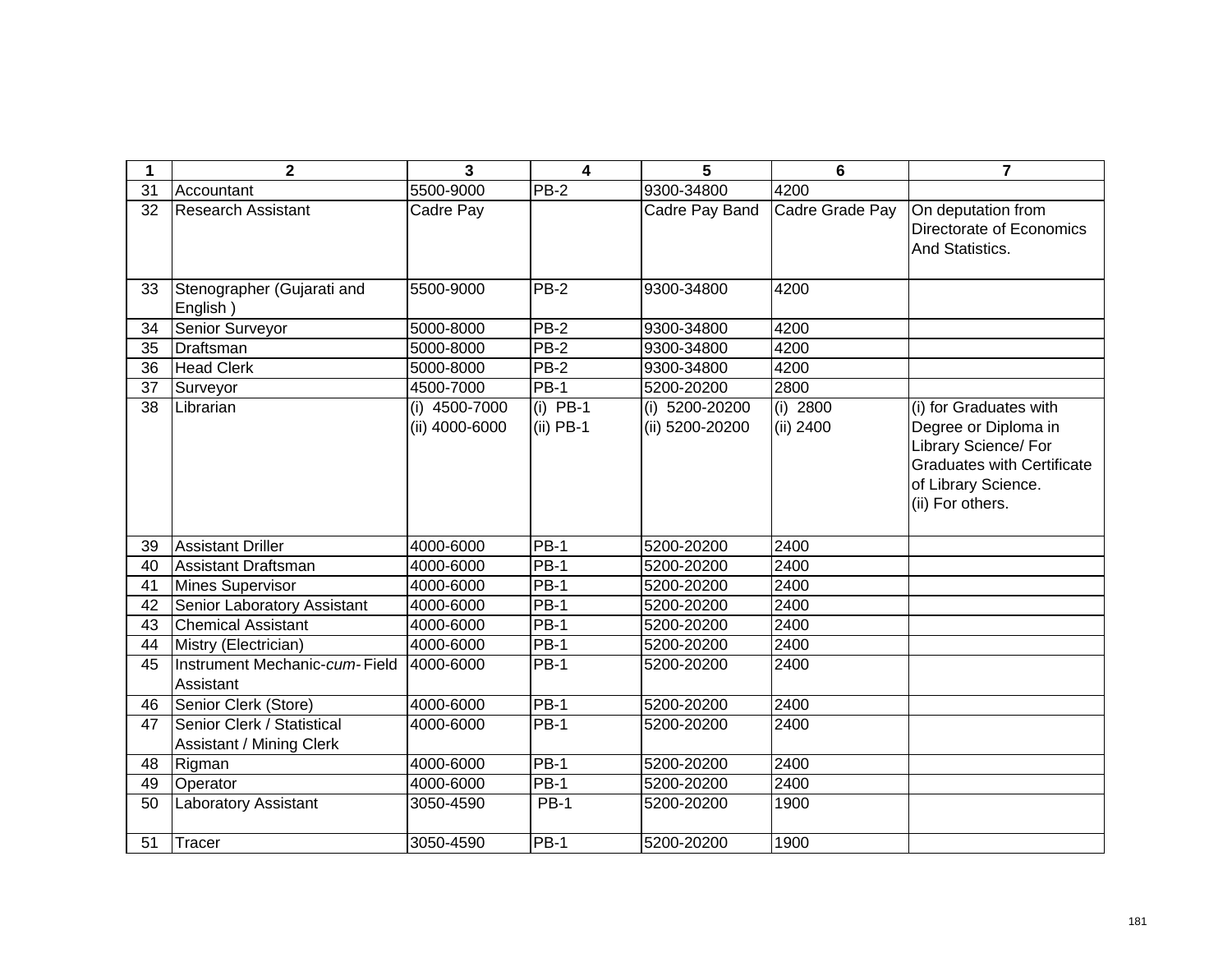| 1  | $\overline{2}$                                         | 3                               | $\overline{\mathbf{4}}$   | 5                                 | 6                       | $\overline{7}$                                                                                                                                         |
|----|--------------------------------------------------------|---------------------------------|---------------------------|-----------------------------------|-------------------------|--------------------------------------------------------------------------------------------------------------------------------------------------------|
| 31 | <b>Accountant</b>                                      | 5500-9000                       | PB-2                      | 9300-34800                        | 4200                    |                                                                                                                                                        |
| 32 | Research Assistant                                     | Cadre Pay                       |                           | Cadre Pay Band                    | Cadre Grade Pay         | On deputation from<br>Directorate of Economics<br>And Statistics.                                                                                      |
| 33 | Stenographer (Gujarati and<br>English)                 | 5500-9000                       | <b>PB-2</b>               | 9300-34800                        | 4200                    |                                                                                                                                                        |
| 34 | Senior Surveyor                                        | 5000-8000                       | PB-2                      | 9300-34800                        | 4200                    |                                                                                                                                                        |
| 35 | Draftsman                                              | 5000-8000                       | <b>PB-2</b>               | 9300-34800                        | 4200                    |                                                                                                                                                        |
| 36 | <b>Head Clerk</b>                                      | 5000-8000                       | <b>PB-2</b>               | 9300-34800                        | 4200                    |                                                                                                                                                        |
| 37 | Surveyor                                               | 4500-7000                       | $PB-1$                    | 5200-20200                        | 2800                    |                                                                                                                                                        |
| 38 | Librarian                                              | (i) 4500-7000<br>(ii) 4000-6000 | $(i)$ PB-1<br>$(ii)$ PB-1 | (i) 5200-20200<br>(ii) 5200-20200 | $(i)$ 2800<br>(ii) 2400 | (i) for Graduates with<br>Degree or Diploma in<br>Library Science/ For<br><b>Graduates with Certificate</b><br>of Library Science.<br>(ii) For others. |
| 39 | Assistant Driller                                      | 4000-6000                       | <b>PB-1</b>               | 5200-20200                        | 2400                    |                                                                                                                                                        |
| 40 | <b>Assistant Draftsman</b>                             | 4000-6000                       | <b>PB-1</b>               | 5200-20200                        | 2400                    |                                                                                                                                                        |
| 41 | Mines Supervisor                                       | 4000-6000                       | <b>PB-1</b>               | 5200-20200                        | 2400                    |                                                                                                                                                        |
| 42 | Senior Laboratory Assistant                            | 4000-6000                       | <b>PB-1</b>               | 5200-20200                        | 2400                    |                                                                                                                                                        |
| 43 | <b>Chemical Assistant</b>                              | 4000-6000                       | <b>PB-1</b>               | 5200-20200                        | 2400                    |                                                                                                                                                        |
| 44 | Mistry (Electrician)                                   | 4000-6000                       | <b>PB-1</b>               | 5200-20200                        | 2400                    |                                                                                                                                                        |
| 45 | Instrument Mechanic-cum-Field<br>Assistant             | 4000-6000                       | $PB-1$                    | 5200-20200                        | 2400                    |                                                                                                                                                        |
| 46 | Senior Clerk (Store)                                   | 4000-6000                       | $PB-1$                    | 5200-20200                        | 2400                    |                                                                                                                                                        |
| 47 | Senior Clerk / Statistical<br>Assistant / Mining Clerk | 4000-6000                       | <b>PB-1</b>               | 5200-20200                        | 2400                    |                                                                                                                                                        |
| 48 | Rigman                                                 | 4000-6000                       | <b>PB-1</b>               | 5200-20200                        | 2400                    |                                                                                                                                                        |
| 49 | Operator                                               | 4000-6000                       | <b>PB-1</b>               | 5200-20200                        | 2400                    |                                                                                                                                                        |
| 50 | Laboratory Assistant                                   | 3050-4590                       | <b>PB-1</b>               | 5200-20200                        | 1900                    |                                                                                                                                                        |
| 51 | Tracer                                                 | 3050-4590                       | <b>PB-1</b>               | 5200-20200                        | 1900                    |                                                                                                                                                        |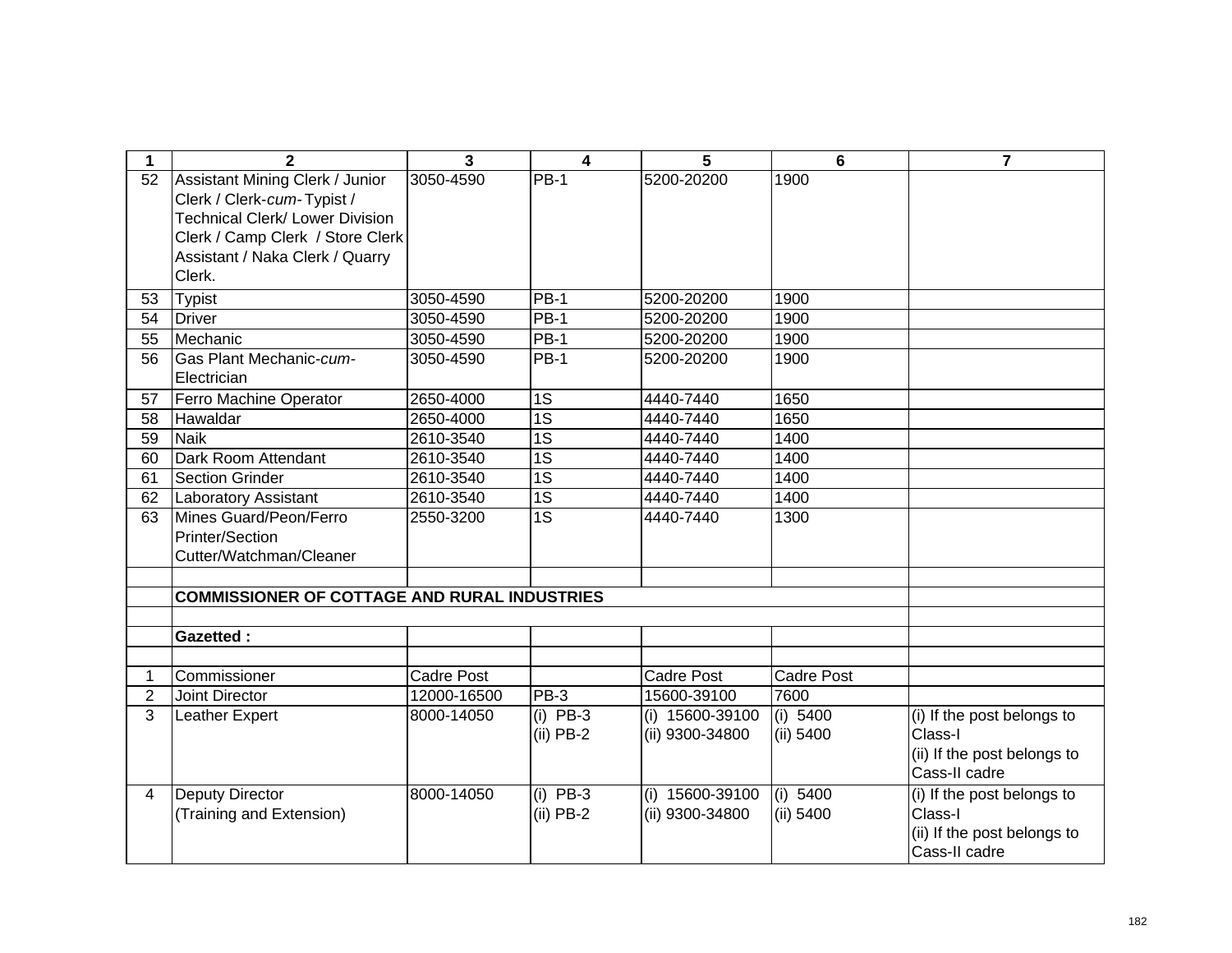| 1              | $\mathbf{2}$                                                                                                                                                                             | 3                 | $\overline{\mathbf{4}}$   | 5                                  | 6                       | $\overline{7}$                                                                        |
|----------------|------------------------------------------------------------------------------------------------------------------------------------------------------------------------------------------|-------------------|---------------------------|------------------------------------|-------------------------|---------------------------------------------------------------------------------------|
| 52             | Assistant Mining Clerk / Junior<br>Clerk / Clerk-cum-Typist /<br><b>Technical Clerk/ Lower Division</b><br>Clerk / Camp Clerk / Store Clerk<br>Assistant / Naka Clerk / Quarry<br>Clerk. | 3050-4590         | PB-1                      | 5200-20200                         | 1900                    |                                                                                       |
| 53             | Typist                                                                                                                                                                                   | 3050-4590         | PB-1                      | 5200-20200                         | 1900                    |                                                                                       |
| 54             | <b>Driver</b>                                                                                                                                                                            | 3050-4590         | <b>PB-1</b>               | 5200-20200                         | 1900                    |                                                                                       |
| 55             | Mechanic                                                                                                                                                                                 | 3050-4590         | <b>PB-1</b>               | 5200-20200                         | 1900                    |                                                                                       |
| 56             | Gas Plant Mechanic-cum-<br>Electrician                                                                                                                                                   | 3050-4590         | <b>PB-1</b>               | 5200-20200                         | 1900                    |                                                                                       |
| 57             | Ferro Machine Operator                                                                                                                                                                   | 2650-4000         | 1S                        | 4440-7440                          | 1650                    |                                                                                       |
| 58             | Hawaldar                                                                                                                                                                                 | 2650-4000         | $\overline{1S}$           | 4440-7440                          | 1650                    |                                                                                       |
| 59             | <b>Naik</b>                                                                                                                                                                              | 2610-3540         | 1S                        | 4440-7440                          | 1400                    |                                                                                       |
| 60             | Dark Room Attendant                                                                                                                                                                      | 2610-3540         | 1S                        | 4440-7440                          | 1400                    |                                                                                       |
| 61             | <b>Section Grinder</b>                                                                                                                                                                   | 2610-3540         | 1S                        | 4440-7440                          | 1400                    |                                                                                       |
| 62             | <b>Laboratory Assistant</b>                                                                                                                                                              | 2610-3540         | 1S                        | 4440-7440                          | 1400                    |                                                                                       |
| 63             | Mines Guard/Peon/Ferro<br>Printer/Section<br>Cutter/Watchman/Cleaner                                                                                                                     | 2550-3200         | 1S                        | 4440-7440                          | 1300                    |                                                                                       |
|                |                                                                                                                                                                                          |                   |                           |                                    |                         |                                                                                       |
|                | <b>COMMISSIONER OF COTTAGE AND RURAL INDUSTRIES</b>                                                                                                                                      |                   |                           |                                    |                         |                                                                                       |
|                |                                                                                                                                                                                          |                   |                           |                                    |                         |                                                                                       |
|                | <b>Gazetted:</b>                                                                                                                                                                         |                   |                           |                                    |                         |                                                                                       |
|                |                                                                                                                                                                                          |                   |                           |                                    |                         |                                                                                       |
|                | Commissioner                                                                                                                                                                             | <b>Cadre Post</b> |                           | <b>Cadre Post</b>                  | Cadre Post              |                                                                                       |
| $\overline{2}$ | Joint Director                                                                                                                                                                           | 12000-16500       | PB-3                      | 15600-39100                        | 7600                    |                                                                                       |
| 3              | Leather Expert                                                                                                                                                                           | 8000-14050        | $(i)$ PB-3<br>$(ii)$ PB-2 | (i) 15600-39100<br>(ii) 9300-34800 | (i) 5400<br>(ii) 5400   | (i) If the post belongs to<br>Class-I<br>(ii) If the post belongs to<br>Cass-II cadre |
| $\overline{4}$ | Deputy Director<br>(Training and Extension)                                                                                                                                              | 8000-14050        | $(i)$ PB-3<br>$(ii)$ PB-2 | (i) 15600-39100<br>(ii) 9300-34800 | (i) $5400$<br>(ii) 5400 | (i) If the post belongs to<br>Class-I<br>(ii) If the post belongs to<br>Cass-II cadre |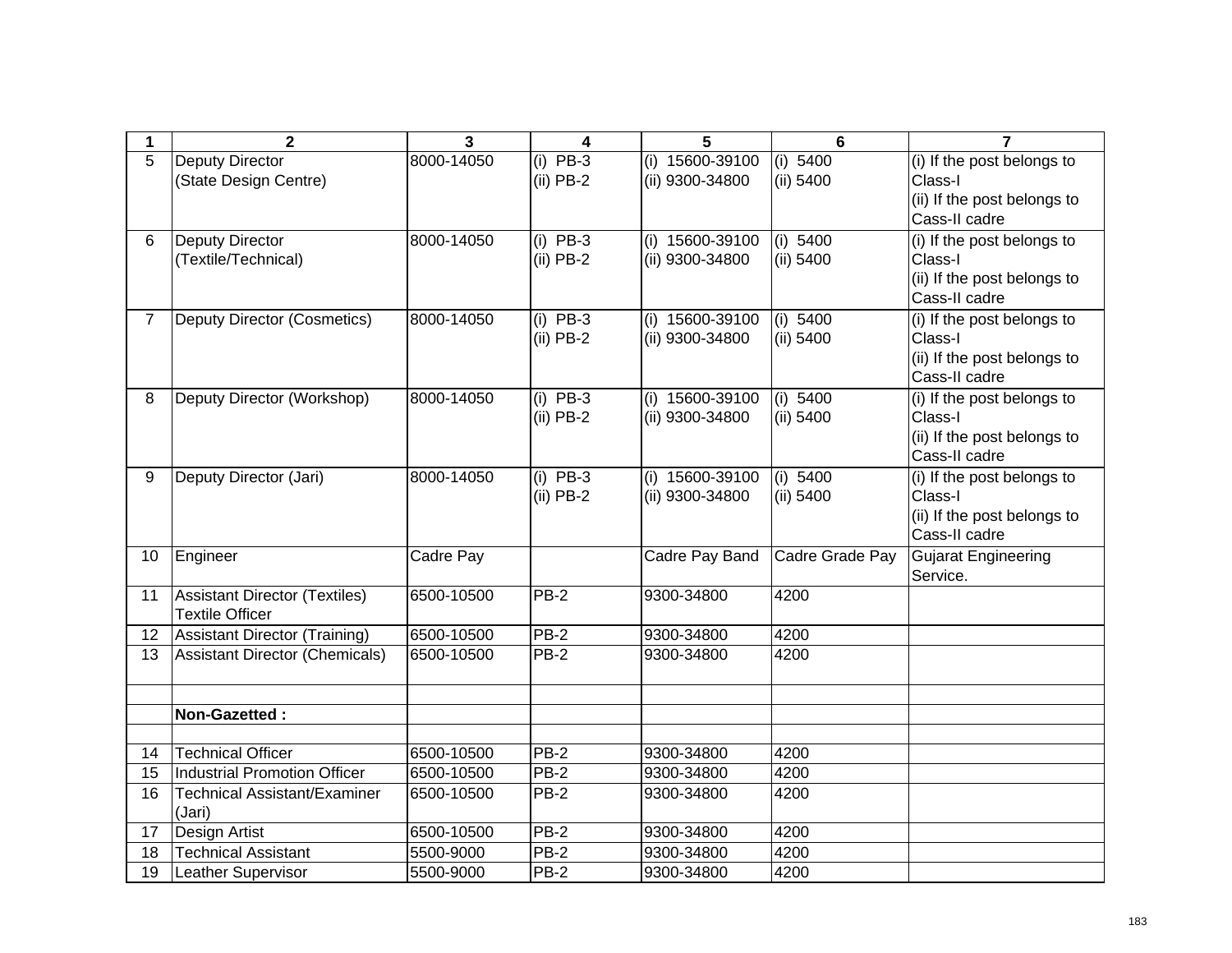| 1              | $\mathbf{2}$                          | $\overline{\mathbf{3}}$ | 4           | 5                 | $6\phantom{1}$  | $\overline{7}$                         |
|----------------|---------------------------------------|-------------------------|-------------|-------------------|-----------------|----------------------------------------|
| 5              | <b>Deputy Director</b>                | 8000-14050              | $(i)$ PB-3  | (i) 15600-39100   | (i) 5400        | (i) If the post belongs to             |
|                | (State Design Centre)                 |                         | $(ii)$ PB-2 | (ii) 9300-34800   | (ii) 5400       | Class-I                                |
|                |                                       |                         |             |                   |                 | (ii) If the post belongs to            |
|                |                                       |                         |             |                   |                 | Cass-II cadre                          |
| 6              | <b>Deputy Director</b>                | 8000-14050              | $(i)$ PB-3  | $(i)$ 15600-39100 | (i) 5400        | (i) If the post belongs to             |
|                | (Textile/Technical)                   |                         | $(ii)$ PB-2 | (ii) 9300-34800   | (ii) 5400       | Class-I                                |
|                |                                       |                         |             |                   |                 | (ii) If the post belongs to            |
|                |                                       |                         |             |                   |                 | Cass-II cadre                          |
| $\overline{7}$ | Deputy Director (Cosmetics)           | 8000-14050              | $(i)$ PB-3  | $(i)$ 15600-39100 | (i) 5400        | (i) If the post belongs to             |
|                |                                       |                         | $(ii)$ PB-2 | (ii) 9300-34800   | (ii) 5400       | Class-I<br>(ii) If the post belongs to |
|                |                                       |                         |             |                   |                 | Cass-II cadre                          |
| 8              | Deputy Director (Workshop)            | 8000-14050              | $(i)$ PB-3  | (i) 15600-39100   | $(i)$ 5400      | (i) If the post belongs to             |
|                |                                       |                         | $(ii)$ PB-2 | (ii) 9300-34800   | (ii) 5400       | Class-I                                |
|                |                                       |                         |             |                   |                 | (ii) If the post belongs to            |
|                |                                       |                         |             |                   |                 | Cass-II cadre                          |
| 9              | Deputy Director (Jari)                | 8000-14050              | $(i)$ PB-3  | (i) 15600-39100   | (i) $5400$      | (i) If the post belongs to             |
|                |                                       |                         | $(ii)$ PB-2 | (ii) 9300-34800   | (ii) 5400       | Class-I                                |
|                |                                       |                         |             |                   |                 | (ii) If the post belongs to            |
|                |                                       |                         |             |                   |                 | Cass-II cadre                          |
| 10             | Engineer                              | Cadre Pay               |             | Cadre Pay Band    | Cadre Grade Pay | Gujarat Engineering                    |
|                |                                       |                         |             |                   |                 | Service.                               |
| 11             | Assistant Director (Textiles)         | 6500-10500              | <b>PB-2</b> | 9300-34800        | 4200            |                                        |
|                | <b>Textile Officer</b>                |                         |             |                   |                 |                                        |
| 12             | <b>Assistant Director (Training)</b>  | 6500-10500              | PB-2        | 9300-34800        | 4200            |                                        |
| 13             | <b>Assistant Director (Chemicals)</b> | 6500-10500              | <b>PB-2</b> | 9300-34800        | 4200            |                                        |
|                |                                       |                         |             |                   |                 |                                        |
|                | Non-Gazetted:                         |                         |             |                   |                 |                                        |
|                |                                       |                         |             |                   |                 |                                        |
| 14             | <b>Technical Officer</b>              | 6500-10500              | PB-2        | 9300-34800        | 4200            |                                        |
| 15             | <b>Industrial Promotion Officer</b>   | 6500-10500              | PB-2        | 9300-34800        | 4200            |                                        |
| 16             | <b>Technical Assistant/Examiner</b>   | 6500-10500              | $PB-2$      | 9300-34800        | 4200            |                                        |
|                | (Jari)                                |                         |             |                   |                 |                                        |
| 17             | Design Artist                         | 6500-10500              | $PB-2$      | 9300-34800        | 4200            |                                        |
| 18             | <b>Technical Assistant</b>            | 5500-9000               | PB-2        | 9300-34800        | 4200            |                                        |
| 19             | <b>Leather Supervisor</b>             | 5500-9000               | <b>PB-2</b> | 9300-34800        | 4200            |                                        |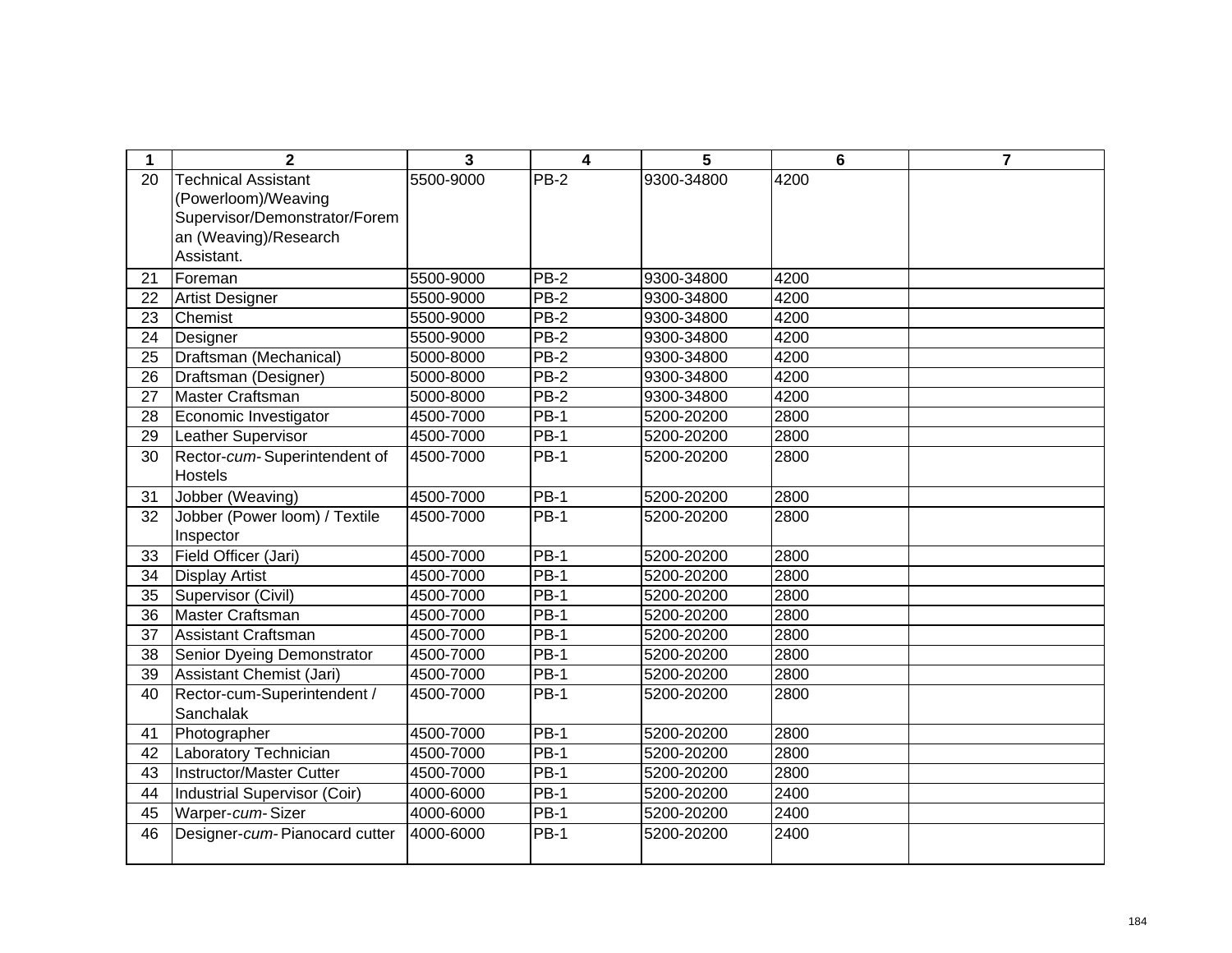| 1               | $\mathbf{2}$                    | 3         | 4           | 5          | 6    | 7 |
|-----------------|---------------------------------|-----------|-------------|------------|------|---|
| 20              | <b>Technical Assistant</b>      | 5500-9000 | PB-2        | 9300-34800 | 4200 |   |
|                 | (Powerloom)/Weaving             |           |             |            |      |   |
|                 | Supervisor/Demonstrator/Forem   |           |             |            |      |   |
|                 | an (Weaving)/Research           |           |             |            |      |   |
|                 | Assistant.                      |           |             |            |      |   |
| 21              | Foreman                         | 5500-9000 | PB-2        | 9300-34800 | 4200 |   |
| 22              | <b>Artist Designer</b>          | 5500-9000 | $PB-2$      | 9300-34800 | 4200 |   |
| 23              | Chemist                         | 5500-9000 | $PB-2$      | 9300-34800 | 4200 |   |
| 24              | Designer                        | 5500-9000 | $PB-2$      | 9300-34800 | 4200 |   |
| 25              | Draftsman (Mechanical)          | 5000-8000 | $PB-2$      | 9300-34800 | 4200 |   |
| 26              | Draftsman (Designer)            | 5000-8000 | $PB-2$      | 9300-34800 | 4200 |   |
| $\overline{27}$ | Master Craftsman                | 5000-8000 | $PB-2$      | 9300-34800 | 4200 |   |
| 28              | Economic Investigator           | 4500-7000 | $PB-1$      | 5200-20200 | 2800 |   |
| $\overline{29}$ | <b>Leather Supervisor</b>       | 4500-7000 | $PB-1$      | 5200-20200 | 2800 |   |
| 30              | Rector-cum-Superintendent of    | 4500-7000 | <b>PB-1</b> | 5200-20200 | 2800 |   |
|                 | <b>Hostels</b>                  |           |             |            |      |   |
| 31              | Jobber (Weaving)                | 4500-7000 | $PB-1$      | 5200-20200 | 2800 |   |
| 32              | Jobber (Power loom) / Textile   | 4500-7000 | <b>PB-1</b> | 5200-20200 | 2800 |   |
|                 | Inspector                       |           |             |            |      |   |
| 33              | Field Officer (Jari)            | 4500-7000 | $PB-1$      | 5200-20200 | 2800 |   |
| 34              | <b>Display Artist</b>           | 4500-7000 | $PB-1$      | 5200-20200 | 2800 |   |
| 35              | Supervisor (Civil)              | 4500-7000 | $PB-1$      | 5200-20200 | 2800 |   |
| 36              | Master Craftsman                | 4500-7000 | $PB-1$      | 5200-20200 | 2800 |   |
| 37              | <b>Assistant Craftsman</b>      | 4500-7000 | <b>PB-1</b> | 5200-20200 | 2800 |   |
| 38              | Senior Dyeing Demonstrator      | 4500-7000 | PB-1        | 5200-20200 | 2800 |   |
| 39              | <b>Assistant Chemist (Jari)</b> | 4500-7000 | $PB-1$      | 5200-20200 | 2800 |   |
| 40              | Rector-cum-Superintendent /     | 4500-7000 | <b>PB-1</b> | 5200-20200 | 2800 |   |
|                 | Sanchalak                       |           |             |            |      |   |
| 41              | Photographer                    | 4500-7000 | <b>PB-1</b> | 5200-20200 | 2800 |   |
| 42              | Laboratory Technician           | 4500-7000 | $PB-1$      | 5200-20200 | 2800 |   |
| 43              | <b>Instructor/Master Cutter</b> | 4500-7000 | <b>PB-1</b> | 5200-20200 | 2800 |   |
| 44              | Industrial Supervisor (Coir)    | 4000-6000 | <b>PB-1</b> | 5200-20200 | 2400 |   |
| 45              | Warper-cum-Sizer                | 4000-6000 | <b>PB-1</b> | 5200-20200 | 2400 |   |
| 46              | Designer-cum-Pianocard cutter   | 4000-6000 | <b>PB-1</b> | 5200-20200 | 2400 |   |
|                 |                                 |           |             |            |      |   |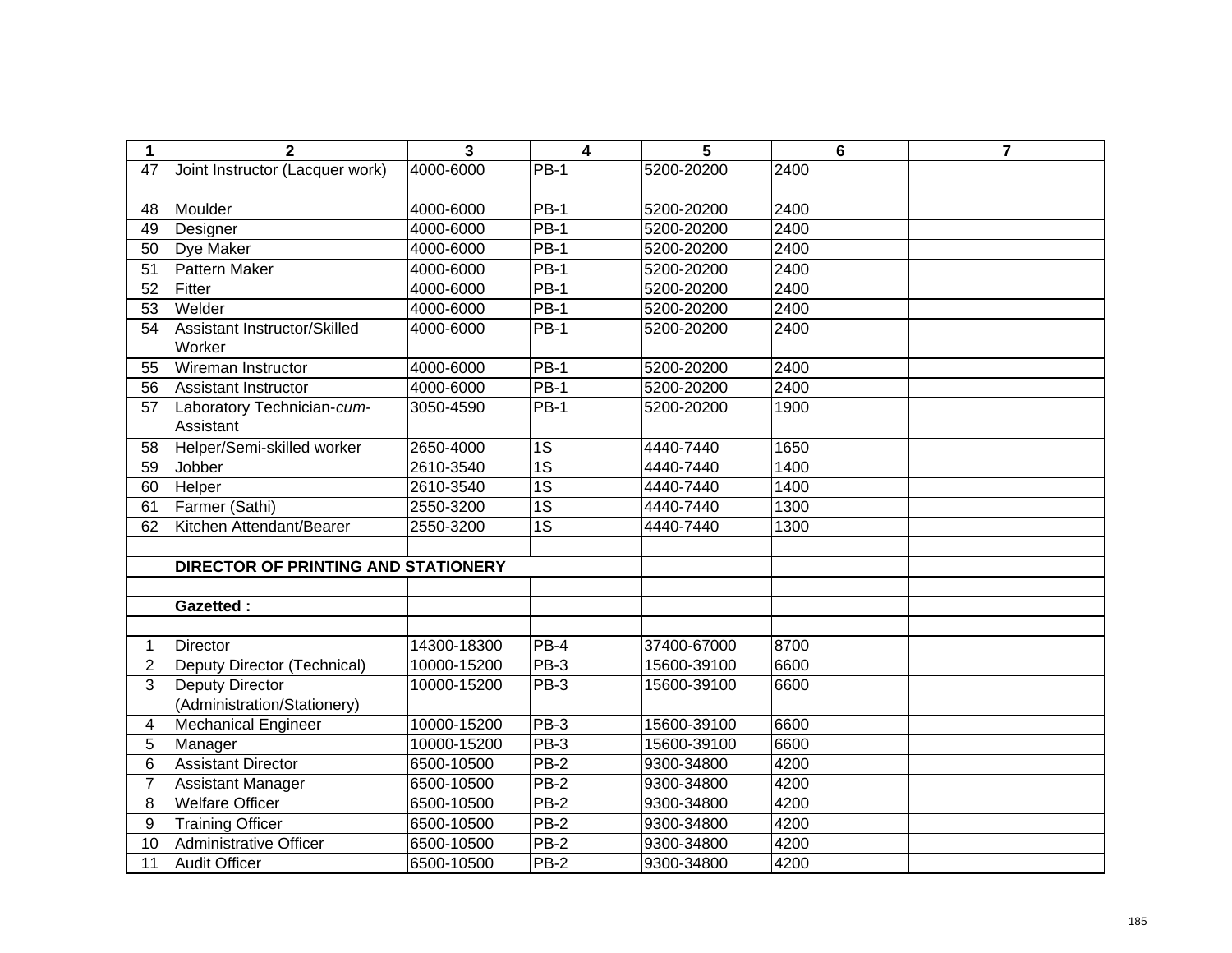| $\mathbf 1$    | $\overline{2}$                          | $\overline{3}$ | $\overline{\mathbf{4}}$ | 5           | 6    | $\overline{7}$ |
|----------------|-----------------------------------------|----------------|-------------------------|-------------|------|----------------|
| 47             | Joint Instructor (Lacquer work)         | 4000-6000      | $PB-1$                  | 5200-20200  | 2400 |                |
|                |                                         |                |                         |             |      |                |
| 48             | Moulder                                 | 4000-6000      | PB-1                    | 5200-20200  | 2400 |                |
| 49             | Designer                                | 4000-6000      | $PB-1$                  | 5200-20200  | 2400 |                |
| 50             | <b>Dye Maker</b>                        | 4000-6000      | $PB-1$                  | 5200-20200  | 2400 |                |
| 51             | Pattern Maker                           | 4000-6000      | $PB-1$                  | 5200-20200  | 2400 |                |
| 52             | Fitter                                  | 4000-6000      | $PB-1$                  | 5200-20200  | 2400 |                |
| 53             | Welder                                  | 4000-6000      | $PB-1$                  | 5200-20200  | 2400 |                |
| 54             | Assistant Instructor/Skilled<br>Worker  | 4000-6000      | $PB-1$                  | 5200-20200  | 2400 |                |
| 55             | Wireman Instructor                      | 4000-6000      | <b>PB-1</b>             | 5200-20200  | 2400 |                |
| 56             | <b>Assistant Instructor</b>             | 4000-6000      | $PB-1$                  | 5200-20200  | 2400 |                |
| 57             | Laboratory Technician-cum-<br>Assistant | 3050-4590      | <b>PB-1</b>             | 5200-20200  | 1900 |                |
| 58             | Helper/Semi-skilled worker              | 2650-4000      | 1S                      | 4440-7440   | 1650 |                |
| 59             | Jobber                                  | 2610-3540      | $\overline{1S}$         | 4440-7440   | 1400 |                |
| 60             | Helper                                  | 2610-3540      | $\overline{1S}$         | 4440-7440   | 1400 |                |
| 61             | Farmer (Sathi)                          | 2550-3200      | $\overline{1S}$         | 4440-7440   | 1300 |                |
| 62             | Kitchen Attendant/Bearer                | 2550-3200      | 1S                      | 4440-7440   | 1300 |                |
|                |                                         |                |                         |             |      |                |
|                | DIRECTOR OF PRINTING AND STATIONERY     |                |                         |             |      |                |
|                |                                         |                |                         |             |      |                |
|                | <b>Gazetted:</b>                        |                |                         |             |      |                |
|                |                                         |                |                         |             |      |                |
| 1              | <b>Director</b>                         | 14300-18300    | $PB-4$                  | 37400-67000 | 8700 |                |
| $\overline{2}$ | Deputy Director (Technical)             | 10000-15200    | <b>PB-3</b>             | 15600-39100 | 6600 |                |
| 3              | Deputy Director                         | 10000-15200    | $PB-3$                  | 15600-39100 | 6600 |                |
|                | (Administration/Stationery)             |                |                         |             |      |                |
| 4              | <b>Mechanical Engineer</b>              | 10000-15200    | <b>PB-3</b>             | 15600-39100 | 6600 |                |
| 5              | Manager                                 | 10000-15200    | $PB-3$                  | 15600-39100 | 6600 |                |
| 6              | <b>Assistant Director</b>               | 6500-10500     | $PB-2$                  | 9300-34800  | 4200 |                |
| 7              | <b>Assistant Manager</b>                | 6500-10500     | $PB-2$                  | 9300-34800  | 4200 |                |
| 8              | <b>Welfare Officer</b>                  | 6500-10500     | $PB-2$                  | 9300-34800  | 4200 |                |
| 9              | <b>Training Officer</b>                 | 6500-10500     | $PB-2$                  | 9300-34800  | 4200 |                |
| 10             | <b>Administrative Officer</b>           | 6500-10500     | $PB-2$                  | 9300-34800  | 4200 |                |
| 11             | <b>Audit Officer</b>                    | 6500-10500     | $PB-2$                  | 9300-34800  | 4200 |                |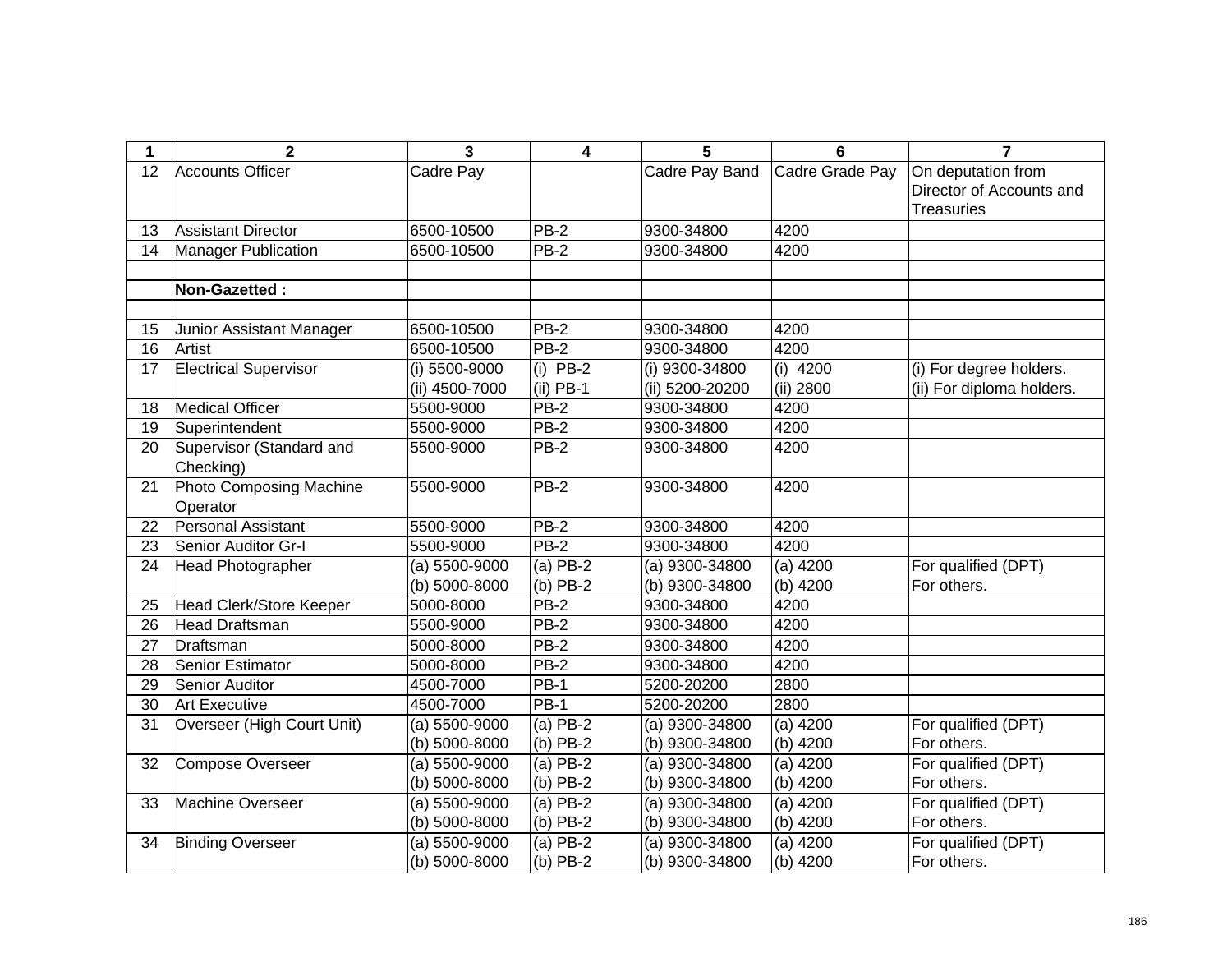| 1  | $\mathbf{2}$                   | 3                 | 4                  | 5                | 6               | 7                         |
|----|--------------------------------|-------------------|--------------------|------------------|-----------------|---------------------------|
| 12 | <b>Accounts Officer</b>        | Cadre Pay         |                    | Cadre Pay Band   | Cadre Grade Pay | On deputation from        |
|    |                                |                   |                    |                  |                 | Director of Accounts and  |
|    |                                |                   |                    |                  |                 | <b>Treasuries</b>         |
| 13 | <b>Assistant Director</b>      | 6500-10500        | <b>PB-2</b>        | 9300-34800       | 4200            |                           |
| 14 | <b>Manager Publication</b>     | 6500-10500        | $PB-2$             | 9300-34800       | 4200            |                           |
|    |                                |                   |                    |                  |                 |                           |
|    | Non-Gazetted:                  |                   |                    |                  |                 |                           |
|    |                                |                   |                    |                  |                 |                           |
| 15 | Junior Assistant Manager       | 6500-10500        | $PB-2$             | 9300-34800       | 4200            |                           |
| 16 | Artist                         | 6500-10500        | $PB-2$             | 9300-34800       | 4200            |                           |
| 17 | <b>Electrical Supervisor</b>   | (i) 5500-9000     | $(i)$ PB-2         | (i) 9300-34800   | $(i)$ 4200      | (i) For degree holders.   |
|    |                                | (ii) 4500-7000    | $(ii)$ PB-1        | (ii) 5200-20200  | (ii) 2800       | (ii) For diploma holders. |
| 18 | <b>Medical Officer</b>         | 5500-9000         | $PB-2$             | 9300-34800       | 4200            |                           |
| 19 | Superintendent                 | 5500-9000         | <b>PB-2</b>        | 9300-34800       | 4200            |                           |
| 20 | Supervisor (Standard and       | 5500-9000         | $PB-2$             | 9300-34800       | 4200            |                           |
|    | Checking)                      |                   |                    |                  |                 |                           |
| 21 | <b>Photo Composing Machine</b> | 5500-9000         | $PB-2$             | 9300-34800       | 4200            |                           |
|    | Operator                       |                   |                    |                  |                 |                           |
| 22 | <b>Personal Assistant</b>      | 5500-9000         | $\overline{PB}$ -2 | 9300-34800       | 4200            |                           |
| 23 | Senior Auditor Gr-I            | 5500-9000         | $PB-2$             | 9300-34800       | 4200            |                           |
| 24 | Head Photographer              | (a) 5500-9000     | $(a)$ PB-2         | $(a)$ 9300-34800 | (a) $4200$      | For qualified (DPT)       |
|    |                                | (b) 5000-8000     | $(b)$ PB-2         | (b) 9300-34800   | (b) 4200        | For others.               |
| 25 | Head Clerk/Store Keeper        | 5000-8000         | $\overline{PB}$ -2 | 9300-34800       | 4200            |                           |
| 26 | <b>Head Draftsman</b>          | 5500-9000         | $PB-2$             | 9300-34800       | 4200            |                           |
| 27 | Draftsman                      | 5000-8000         | $PB-2$             | 9300-34800       | 4200            |                           |
| 28 | Senior Estimator               | 5000-8000         | $PB-2$             | 9300-34800       | 4200            |                           |
| 29 | Senior Auditor                 | 4500-7000         | <b>PB-1</b>        | 5200-20200       | 2800            |                           |
| 30 | <b>Art Executive</b>           | 4500-7000         | $PB-1$             | 5200-20200       | 2800            |                           |
| 31 | Overseer (High Court Unit)     | (a) 5500-9000     | $(a)$ PB-2         | $(a)$ 9300-34800 | $(a)$ 4200      | For qualified (DPT)       |
|    |                                | (b) 5000-8000     | $(b)$ PB-2         | (b) 9300-34800   | (b) 4200        | For others.               |
| 32 | <b>Compose Overseer</b>        | $(a) 5500 - 9000$ | $(a)$ PB-2         | $(a)$ 9300-34800 | $(a)$ 4200      | For qualified (DPT)       |
|    |                                | (b) 5000-8000     | $(b)$ PB-2         | (b) 9300-34800   | (b) 4200        | For others.               |
| 33 | Machine Overseer               | $(a) 5500 - 9000$ | $(a)$ PB-2         | $(a)$ 9300-34800 | $(a)$ 4200      | For qualified (DPT)       |
|    |                                | (b) 5000-8000     | $(b)$ PB-2         | (b) 9300-34800   | (b) 4200        | For others.               |
| 34 | <b>Binding Overseer</b>        | $(a) 5500 - 9000$ | $(a)$ PB-2         | $(a)$ 9300-34800 | $(a)$ 4200      | For qualified (DPT)       |
|    |                                | (b) 5000-8000     | $(b)$ PB-2         | (b) 9300-34800   | (b) 4200        | For others.               |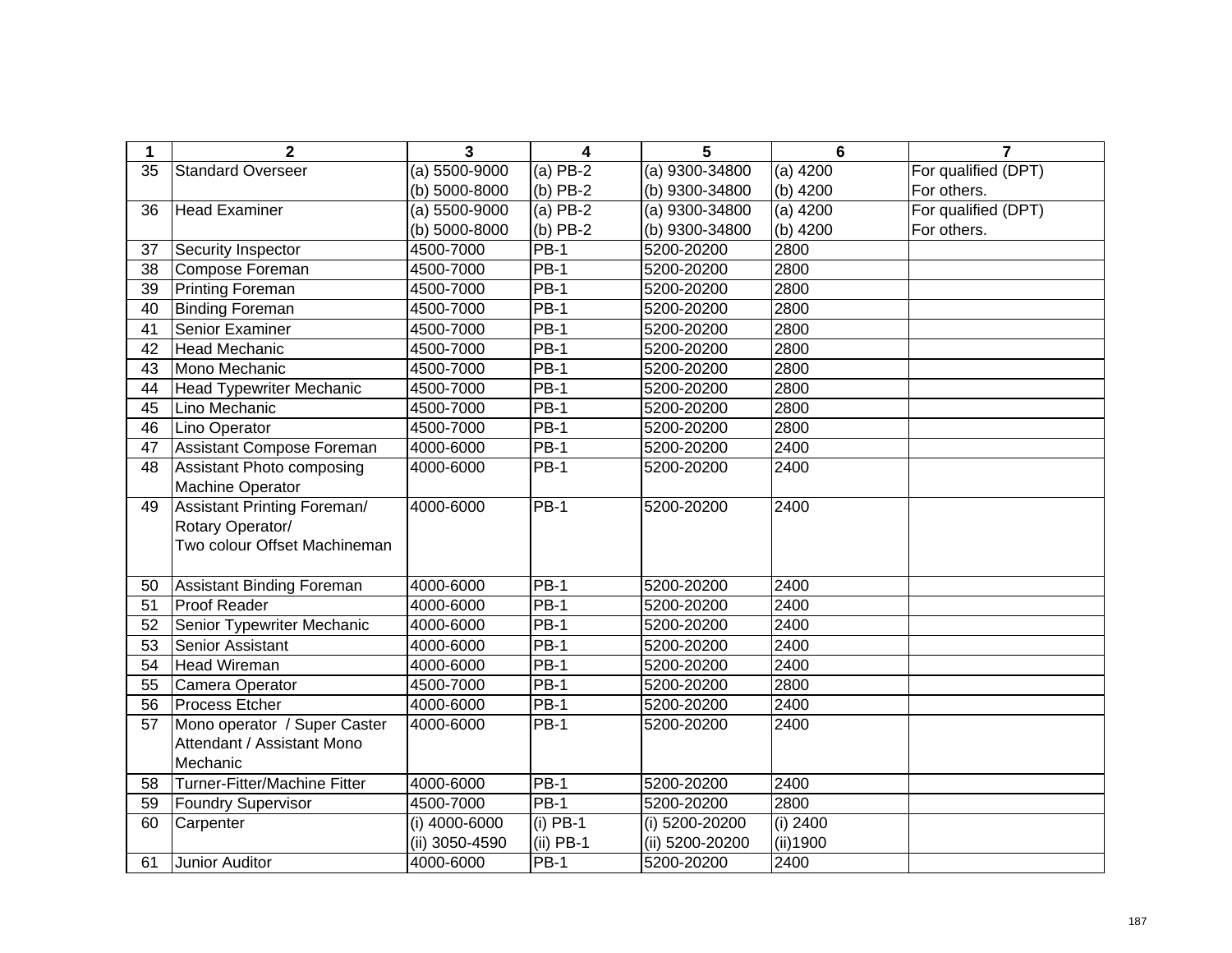| 1  | $\overline{2}$                     | 3              | 4           | 5               | 6          | $\overline{7}$      |
|----|------------------------------------|----------------|-------------|-----------------|------------|---------------------|
| 35 | <b>Standard Overseer</b>           | (a) 5500-9000  | (a) PB-2    | (a) 9300-34800  | $(a)$ 4200 | For qualified (DPT) |
|    |                                    | (b) 5000-8000  | $(b)$ PB-2  | (b) 9300-34800  | $(b)$ 4200 | For others.         |
| 36 | <b>Head Examiner</b>               | (a) 5500-9000  | $(a)$ PB-2  | (a) 9300-34800  | $(a)$ 4200 | For qualified (DPT) |
|    |                                    | (b) 5000-8000  | $(b)$ PB-2  | (b) 9300-34800  | $(b)$ 4200 | For others.         |
| 37 | Security Inspector                 | 4500-7000      | $PB-1$      | 5200-20200      | 2800       |                     |
| 38 | Compose Foreman                    | 4500-7000      | <b>PB-1</b> | 5200-20200      | 2800       |                     |
| 39 | <b>Printing Foreman</b>            | 4500-7000      | $PB-1$      | 5200-20200      | 2800       |                     |
| 40 | <b>Binding Foreman</b>             | 4500-7000      | $PB-1$      | 5200-20200      | 2800       |                     |
| 41 | Senior Examiner                    | 4500-7000      | $PB-1$      | 5200-20200      | 2800       |                     |
| 42 | <b>Head Mechanic</b>               | 4500-7000      | $PB-1$      | 5200-20200      | 2800       |                     |
| 43 | Mono Mechanic                      | 4500-7000      | <b>PB-1</b> | 5200-20200      | 2800       |                     |
| 44 | <b>Head Typewriter Mechanic</b>    | 4500-7000      | $PB-1$      | 5200-20200      | 2800       |                     |
| 45 | Lino Mechanic                      | 4500-7000      | $PB-1$      | 5200-20200      | 2800       |                     |
| 46 | Lino Operator                      | 4500-7000      | $PB-1$      | 5200-20200      | 2800       |                     |
| 47 | Assistant Compose Foreman          | 4000-6000      | $PB-1$      | 5200-20200      | 2400       |                     |
| 48 | Assistant Photo composing          | 4000-6000      | <b>PB-1</b> | 5200-20200      | 2400       |                     |
|    | Machine Operator                   |                |             |                 |            |                     |
| 49 | <b>Assistant Printing Foreman/</b> | 4000-6000      | PB-1        | 5200-20200      | 2400       |                     |
|    | Rotary Operator/                   |                |             |                 |            |                     |
|    | Two colour Offset Machineman       |                |             |                 |            |                     |
|    |                                    |                |             |                 |            |                     |
| 50 | <b>Assistant Binding Foreman</b>   | 4000-6000      | $PB-1$      | 5200-20200      | 2400       |                     |
| 51 | Proof Reader                       | 4000-6000      | $PB-1$      | 5200-20200      | 2400       |                     |
| 52 | Senior Typewriter Mechanic         | 4000-6000      | <b>PB-1</b> | 5200-20200      | 2400       |                     |
| 53 | Senior Assistant                   | 4000-6000      | $PB-1$      | 5200-20200      | 2400       |                     |
| 54 | <b>Head Wireman</b>                | 4000-6000      | $PB-1$      | 5200-20200      | 2400       |                     |
| 55 | Camera Operator                    | 4500-7000      | $PB-1$      | 5200-20200      | 2800       |                     |
| 56 | Process Etcher                     | 4000-6000      | $PB-1$      | 5200-20200      | 2400       |                     |
| 57 | Mono operator / Super Caster       | 4000-6000      | PB-1        | 5200-20200      | 2400       |                     |
|    | Attendant / Assistant Mono         |                |             |                 |            |                     |
|    | Mechanic                           |                |             |                 |            |                     |
| 58 | Turner-Fitter/Machine Fitter       | 4000-6000      | $PB-1$      | 5200-20200      | 2400       |                     |
| 59 | <b>Foundry Supervisor</b>          | 4500-7000      | $PB-1$      | 5200-20200      | 2800       |                     |
| 60 | Carpenter                          | (i) 4000-6000  | $(i)$ PB-1  | (i) 5200-20200  | (i) 2400   |                     |
|    |                                    | (ii) 3050-4590 | $(ii)$ PB-1 | (ii) 5200-20200 | (ii) 1900  |                     |
| 61 | Junior Auditor                     | 4000-6000      | <b>PB-1</b> | 5200-20200      | 2400       |                     |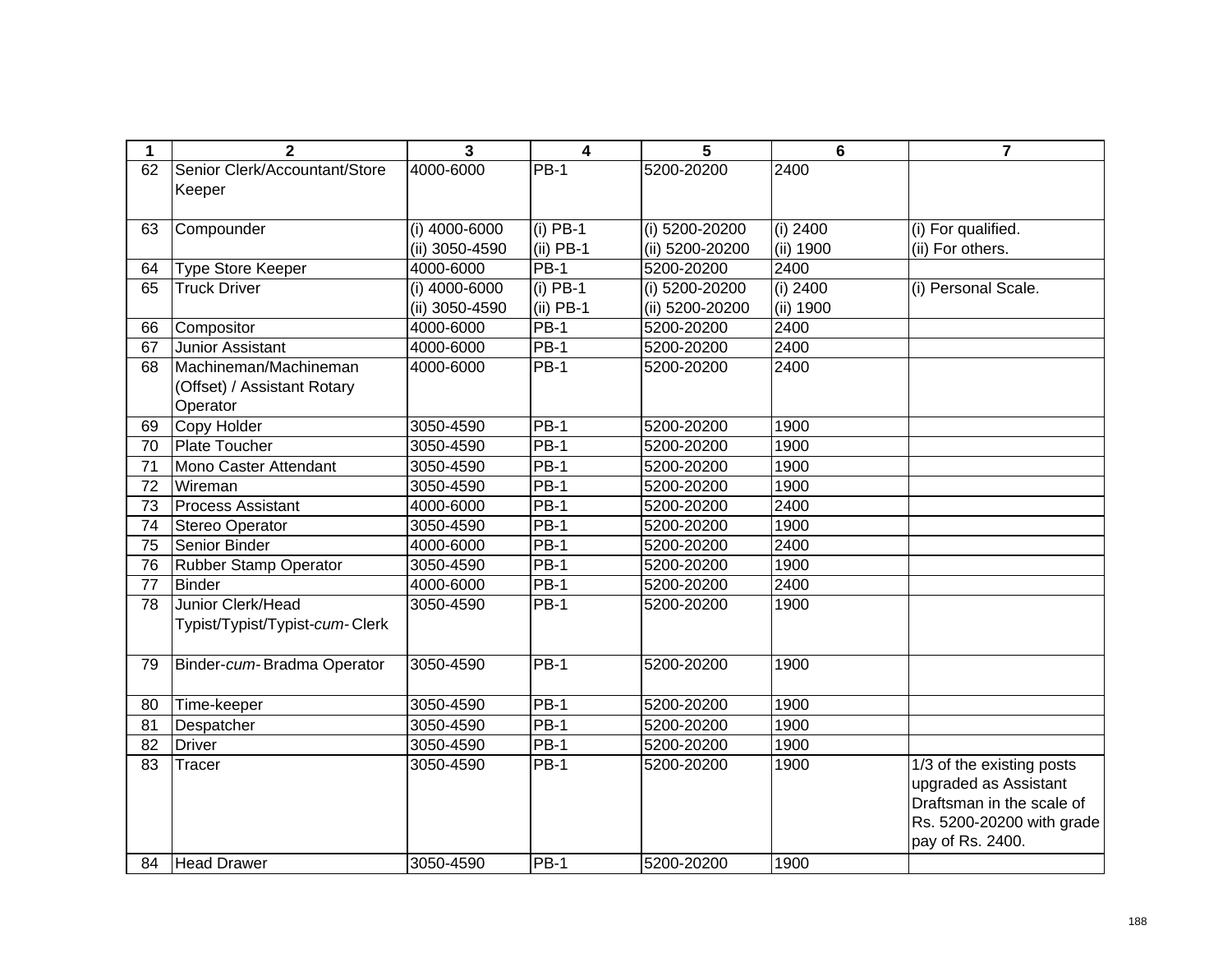| 1  | $\overline{2}$                 | 3              | $\overline{\mathbf{4}}$ | 5               | 6                     | $\overline{\mathbf{r}}$   |
|----|--------------------------------|----------------|-------------------------|-----------------|-----------------------|---------------------------|
| 62 | Senior Clerk/Accountant/Store  | 4000-6000      | <b>PB-1</b>             | 5200-20200      | 2400                  |                           |
|    | Keeper                         |                |                         |                 |                       |                           |
|    |                                |                |                         |                 |                       |                           |
| 63 | Compounder                     | (i) 4000-6000  | $(i)$ PB-1              | (i) 5200-20200  | (i) $2400$            | (i) For qualified.        |
|    |                                | (ii) 3050-4590 | $(ii)$ PB-1             | (ii) 5200-20200 | (ii) 1900             | (ii) For others.          |
| 64 | Type Store Keeper              | 4000-6000      | <b>PB-1</b>             | 5200-20200      | 2400                  |                           |
| 65 | <b>Truck Driver</b>            | (i) 4000-6000  | $(i)$ PB-1              | (i) 5200-20200  | (i) $2\overline{400}$ | (i) Personal Scale.       |
|    |                                | (ii) 3050-4590 | $(ii)$ PB-1             | (ii) 5200-20200 | (ii) 1900             |                           |
| 66 | Compositor                     | 4000-6000      | <b>PB-1</b>             | 5200-20200      | 2400                  |                           |
| 67 | Junior Assistant               | 4000-6000      | $PB-1$                  | 5200-20200      | 2400                  |                           |
| 68 | Machineman/Machineman          | 4000-6000      | <b>PB-1</b>             | 5200-20200      | 2400                  |                           |
|    | (Offset) / Assistant Rotary    |                |                         |                 |                       |                           |
|    | Operator                       |                |                         |                 |                       |                           |
| 69 | Copy Holder                    | 3050-4590      | $PB-1$                  | 5200-20200      | 1900                  |                           |
| 70 | <b>Plate Toucher</b>           | 3050-4590      | $PB-1$                  | 5200-20200      | 1900                  |                           |
| 71 | Mono Caster Attendant          | 3050-4590      | <b>PB-1</b>             | 5200-20200      | 1900                  |                           |
| 72 | Wireman                        | 3050-4590      | $PB-1$                  | 5200-20200      | 1900                  |                           |
| 73 | <b>Process Assistant</b>       | 4000-6000      | $PB-1$                  | 5200-20200      | 2400                  |                           |
| 74 | Stereo Operator                | 3050-4590      | <b>PB-1</b>             | 5200-20200      | 1900                  |                           |
| 75 | Senior Binder                  | 4000-6000      | $PB-1$                  | 5200-20200      | 2400                  |                           |
| 76 | <b>Rubber Stamp Operator</b>   | 3050-4590      | <b>PB-1</b>             | 5200-20200      | 1900                  |                           |
| 77 | <b>Binder</b>                  | 4000-6000      | $PB-1$                  | 5200-20200      | 2400                  |                           |
| 78 | Junior Clerk/Head              | 3050-4590      | <b>PB-1</b>             | 5200-20200      | 1900                  |                           |
|    | Typist/Typist/Typist-cum-Clerk |                |                         |                 |                       |                           |
|    |                                |                |                         |                 |                       |                           |
| 79 | Binder-cum-Bradma Operator     | 3050-4590      | PB-1                    | 5200-20200      | 1900                  |                           |
|    |                                |                |                         |                 |                       |                           |
| 80 | Time-keeper                    | 3050-4590      | <b>PB-1</b>             | 5200-20200      | 1900                  |                           |
| 81 | Despatcher                     | 3050-4590      | $PB-1$                  | 5200-20200      | 1900                  |                           |
| 82 | <b>Driver</b>                  | 3050-4590      | $PB-1$                  | 5200-20200      | 1900                  |                           |
| 83 | Tracer                         | 3050-4590      | $PB-1$                  | 5200-20200      | 1900                  | 1/3 of the existing posts |
|    |                                |                |                         |                 |                       | upgraded as Assistant     |
|    |                                |                |                         |                 |                       | Draftsman in the scale of |
|    |                                |                |                         |                 |                       | Rs. 5200-20200 with grade |
|    |                                |                |                         |                 |                       | pay of Rs. 2400.          |
| 84 | <b>Head Drawer</b>             | 3050-4590      | PB-1                    | 5200-20200      | 1900                  |                           |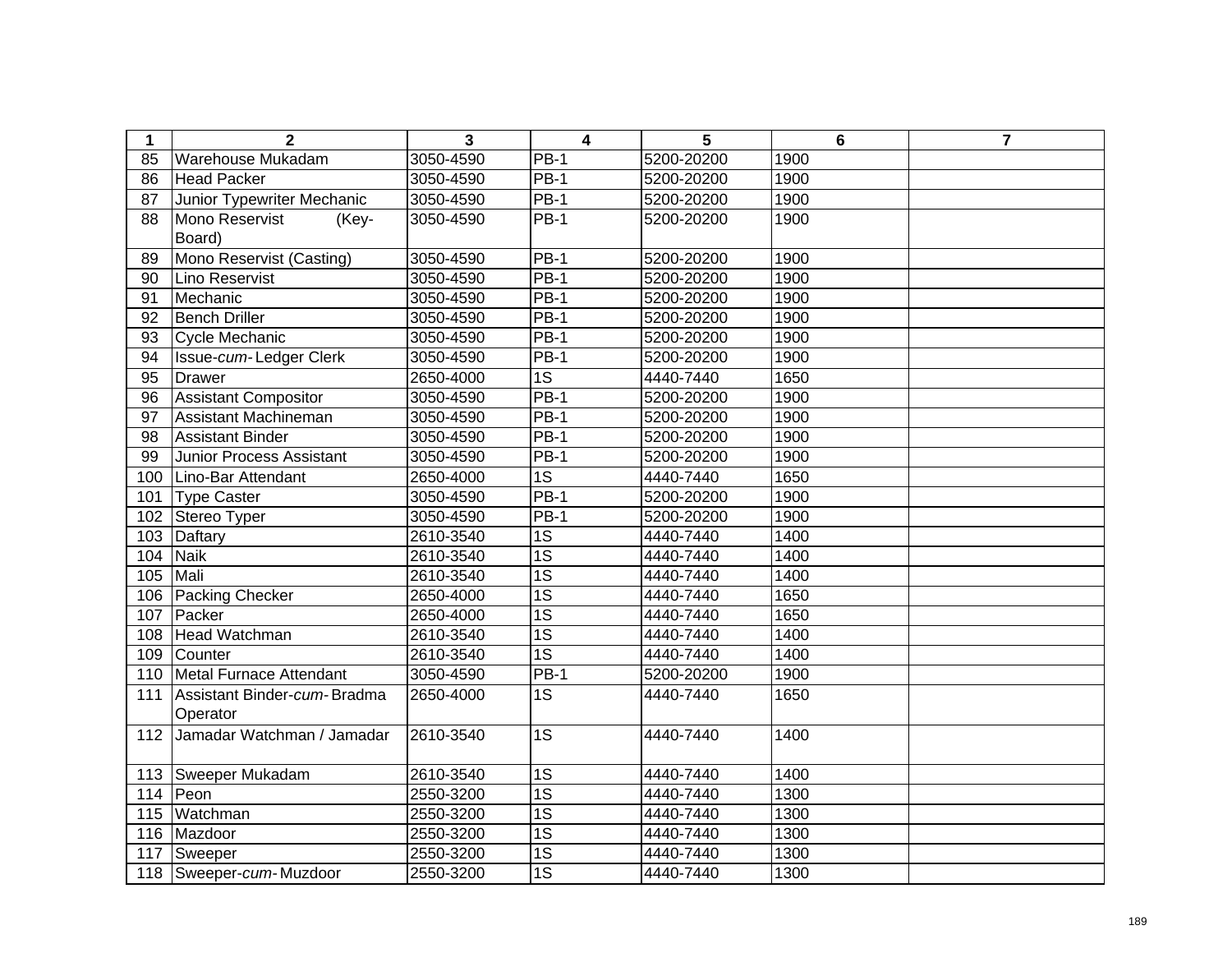| 1   | $\mathbf{2}$                    | 3         | $\overline{\mathbf{4}}$ | 5          | 6    | $\overline{7}$ |
|-----|---------------------------------|-----------|-------------------------|------------|------|----------------|
| 85  | <b>Warehouse Mukadam</b>        | 3050-4590 | $PB-1$                  | 5200-20200 | 1900 |                |
| 86  | <b>Head Packer</b>              | 3050-4590 | $PB-1$                  | 5200-20200 | 1900 |                |
| 87  | Junior Typewriter Mechanic      | 3050-4590 | <b>PB-1</b>             | 5200-20200 | 1900 |                |
| 88  | Mono Reservist<br>(Key-         | 3050-4590 | $PB-1$                  | 5200-20200 | 1900 |                |
|     | Board)                          |           |                         |            |      |                |
| 89  | Mono Reservist (Casting)        | 3050-4590 | $PB-1$                  | 5200-20200 | 1900 |                |
| 90  | Lino Reservist                  | 3050-4590 | $PB-1$                  | 5200-20200 | 1900 |                |
| 91  | Mechanic                        | 3050-4590 | <b>PB-1</b>             | 5200-20200 | 1900 |                |
| 92  | <b>Bench Driller</b>            | 3050-4590 | <b>PB-1</b>             | 5200-20200 | 1900 |                |
| 93  | Cycle Mechanic                  | 3050-4590 | $PB-1$                  | 5200-20200 | 1900 |                |
| 94  | Issue-cum-Ledger Clerk          | 3050-4590 | $PB-1$                  | 5200-20200 | 1900 |                |
| 95  | <b>Drawer</b>                   | 2650-4000 | $\overline{1S}$         | 4440-7440  | 1650 |                |
| 96  | <b>Assistant Compositor</b>     | 3050-4590 | $PB-1$                  | 5200-20200 | 1900 |                |
| 97  | Assistant Machineman            | 3050-4590 | $PB-1$                  | 5200-20200 | 1900 |                |
| 98  | Assistant Binder                | 3050-4590 | $PB-1$                  | 5200-20200 | 1900 |                |
| 99  | <b>Junior Process Assistant</b> | 3050-4590 | <b>PB-1</b>             | 5200-20200 | 1900 |                |
| 100 | Lino-Bar Attendant              | 2650-4000 | 1S                      | 4440-7440  | 1650 |                |
| 101 | <b>Type Caster</b>              | 3050-4590 | $PB-1$                  | 5200-20200 | 1900 |                |
| 102 | Stereo Typer                    | 3050-4590 | <b>PB-1</b>             | 5200-20200 | 1900 |                |
| 103 | Daftary                         | 2610-3540 | $\overline{1S}$         | 4440-7440  | 1400 |                |
| 104 | Naik                            | 2610-3540 | $\overline{1S}$         | 4440-7440  | 1400 |                |
| 105 | Mali                            | 2610-3540 | $\overline{1S}$         | 4440-7440  | 1400 |                |
| 106 | Packing Checker                 | 2650-4000 | $\overline{1S}$         | 4440-7440  | 1650 |                |
| 107 | Packer                          | 2650-4000 | $\overline{1S}$         | 4440-7440  | 1650 |                |
| 108 | Head Watchman                   | 2610-3540 | $\overline{1S}$         | 4440-7440  | 1400 |                |
| 109 | Counter                         | 2610-3540 | $\overline{1S}$         | 4440-7440  | 1400 |                |
|     | 110 Metal Furnace Attendant     | 3050-4590 | $PB-1$                  | 5200-20200 | 1900 |                |
| 111 | Assistant Binder-cum-Bradma     | 2650-4000 | $\overline{1S}$         | 4440-7440  | 1650 |                |
|     | Operator                        |           |                         |            |      |                |
| 112 | Jamadar Watchman / Jamadar      | 2610-3540 | $\overline{1S}$         | 4440-7440  | 1400 |                |
| 113 | Sweeper Mukadam                 | 2610-3540 | $\overline{1S}$         | 4440-7440  | 1400 |                |
| 114 | Peon                            | 2550-3200 | $\overline{1S}$         | 4440-7440  | 1300 |                |
| 115 | Watchman                        | 2550-3200 | $\overline{1S}$         | 4440-7440  | 1300 |                |
| 116 | Mazdoor                         | 2550-3200 | 1S                      | 4440-7440  | 1300 |                |
| 117 | Sweeper                         | 2550-3200 | 1S                      | 4440-7440  | 1300 |                |
| 118 | Sweeper-cum-Muzdoor             | 2550-3200 | $\overline{1S}$         | 4440-7440  | 1300 |                |
|     |                                 |           |                         |            |      |                |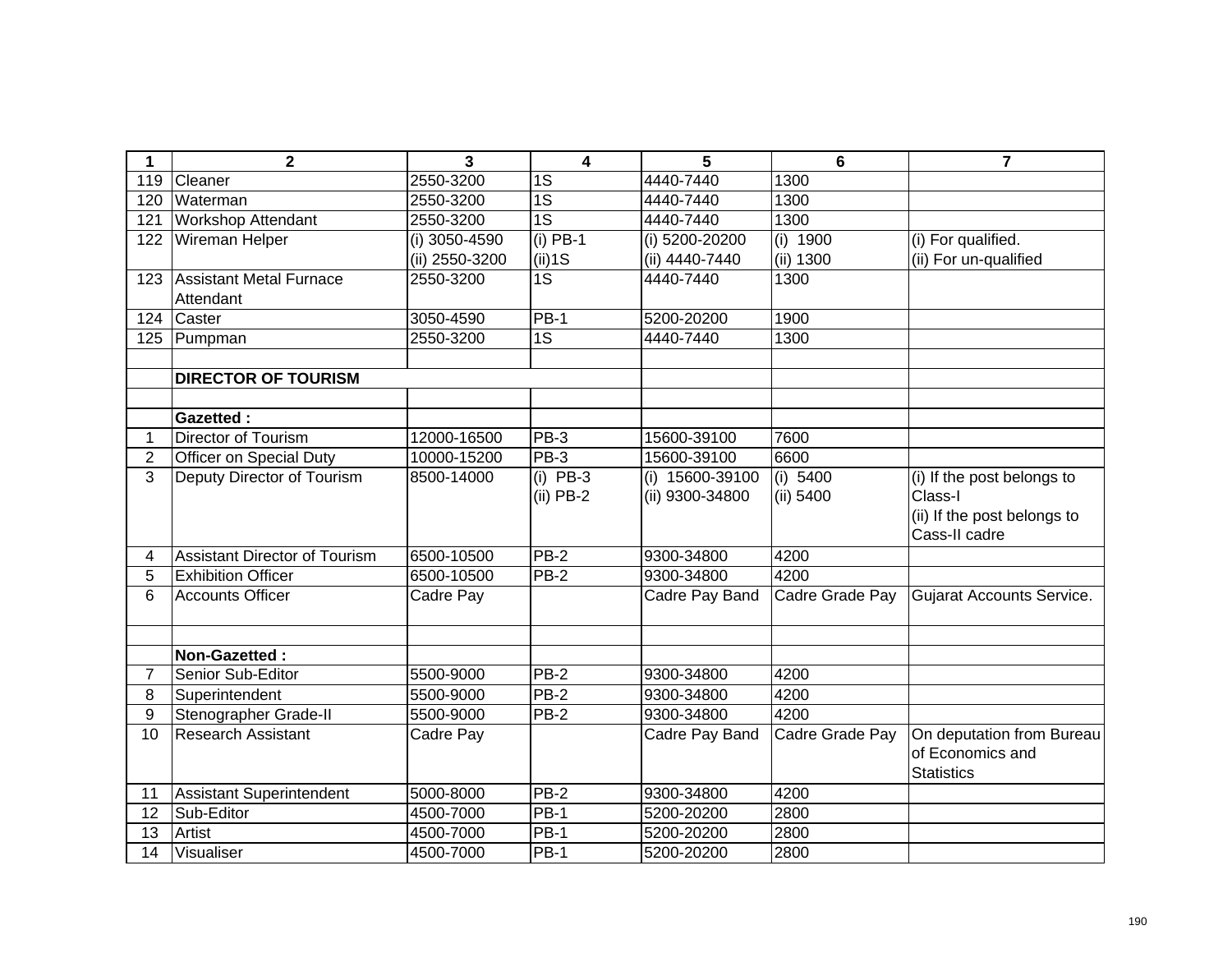| 1              | $\overline{2}$                              | $\overline{3}$ | $\overline{\mathbf{4}}$ | 5               | $6\phantom{1}6$ | $\overline{7}$                               |
|----------------|---------------------------------------------|----------------|-------------------------|-----------------|-----------------|----------------------------------------------|
| 119            | Cleaner                                     | 2550-3200      | 1S                      | 4440-7440       | 1300            |                                              |
| 120            | Waterman                                    | 2550-3200      | $\overline{1S}$         | 4440-7440       | 1300            |                                              |
| 121            | <b>Workshop Attendant</b>                   | 2550-3200      | $\overline{1S}$         | 4440-7440       | 1300            |                                              |
| 122            | Wireman Helper                              | (i) 3050-4590  | $(i)$ PB-1              | (i) 5200-20200  | (i) 1900        | (i) For qualified.                           |
|                |                                             | (ii) 2550-3200 | $(ii)$ 1S               | (ii) 4440-7440  | (ii) 1300       | (ii) For un-qualified                        |
| 123            | <b>Assistant Metal Furnace</b><br>Attendant | 2550-3200      | $\overline{1S}$         | 4440-7440       | 1300            |                                              |
| 124            | Caster                                      | 3050-4590      | <b>PB-1</b>             | 5200-20200      | 1900            |                                              |
| 125            | Pumpman                                     | 2550-3200      | $\overline{1S}$         | 4440-7440       | 1300            |                                              |
|                |                                             |                |                         |                 |                 |                                              |
|                | <b>DIRECTOR OF TOURISM</b>                  |                |                         |                 |                 |                                              |
|                |                                             |                |                         |                 |                 |                                              |
|                | <b>Gazetted:</b>                            |                |                         |                 |                 |                                              |
| 1              | <b>Director of Tourism</b>                  | 12000-16500    | PB-3                    | 15600-39100     | 7600            |                                              |
| $\overline{2}$ | Officer on Special Duty                     | 10000-15200    | PB-3                    | 15600-39100     | 6600            |                                              |
| 3              | Deputy Director of Tourism                  | 8500-14000     | (i) $PB-3$              | (i) 15600-39100 | $(i)$ 5400      | (i) If the post belongs to                   |
|                |                                             |                | $(ii)$ PB-2             | (ii) 9300-34800 | (ii) 5400       | Class-I                                      |
|                |                                             |                |                         |                 |                 | (ii) If the post belongs to<br>Cass-II cadre |
| 4              | <b>Assistant Director of Tourism</b>        | 6500-10500     | $PB-2$                  | 9300-34800      | 4200            |                                              |
| 5              | <b>Exhibition Officer</b>                   | 6500-10500     | $PB-2$                  | 9300-34800      | 4200            |                                              |
| 6              | <b>Accounts Officer</b>                     | Cadre Pay      |                         | Cadre Pay Band  | Cadre Grade Pay | <b>Gujarat Accounts Service.</b>             |
|                |                                             |                |                         |                 |                 |                                              |
|                | Non-Gazetted:                               |                |                         |                 |                 |                                              |
| $\overline{7}$ | Senior Sub-Editor                           | 5500-9000      | PB-2                    | 9300-34800      | 4200            |                                              |
| 8              | Superintendent                              | 5500-9000      | $PB-2$                  | 9300-34800      | 4200            |                                              |
| 9              | Stenographer Grade-II                       | 5500-9000      | <b>PB-2</b>             | 9300-34800      | 4200            |                                              |
| 10             | <b>Research Assistant</b>                   | Cadre Pay      |                         | Cadre Pay Band  | Cadre Grade Pay | On deputation from Bureau                    |
|                |                                             |                |                         |                 |                 | of Economics and                             |
|                |                                             |                |                         |                 |                 | <b>Statistics</b>                            |
| 11             | <b>Assistant Superintendent</b>             | 5000-8000      | $PB-2$                  | 9300-34800      | 4200            |                                              |
| 12             | Sub-Editor                                  | 4500-7000      | <b>PB-1</b>             | 5200-20200      | 2800            |                                              |
| 13             | Artist                                      | 4500-7000      | <b>PB-1</b>             | 5200-20200      | 2800            |                                              |
| 14             | Visualiser                                  | 4500-7000      | <b>PB-1</b>             | 5200-20200      | 2800            |                                              |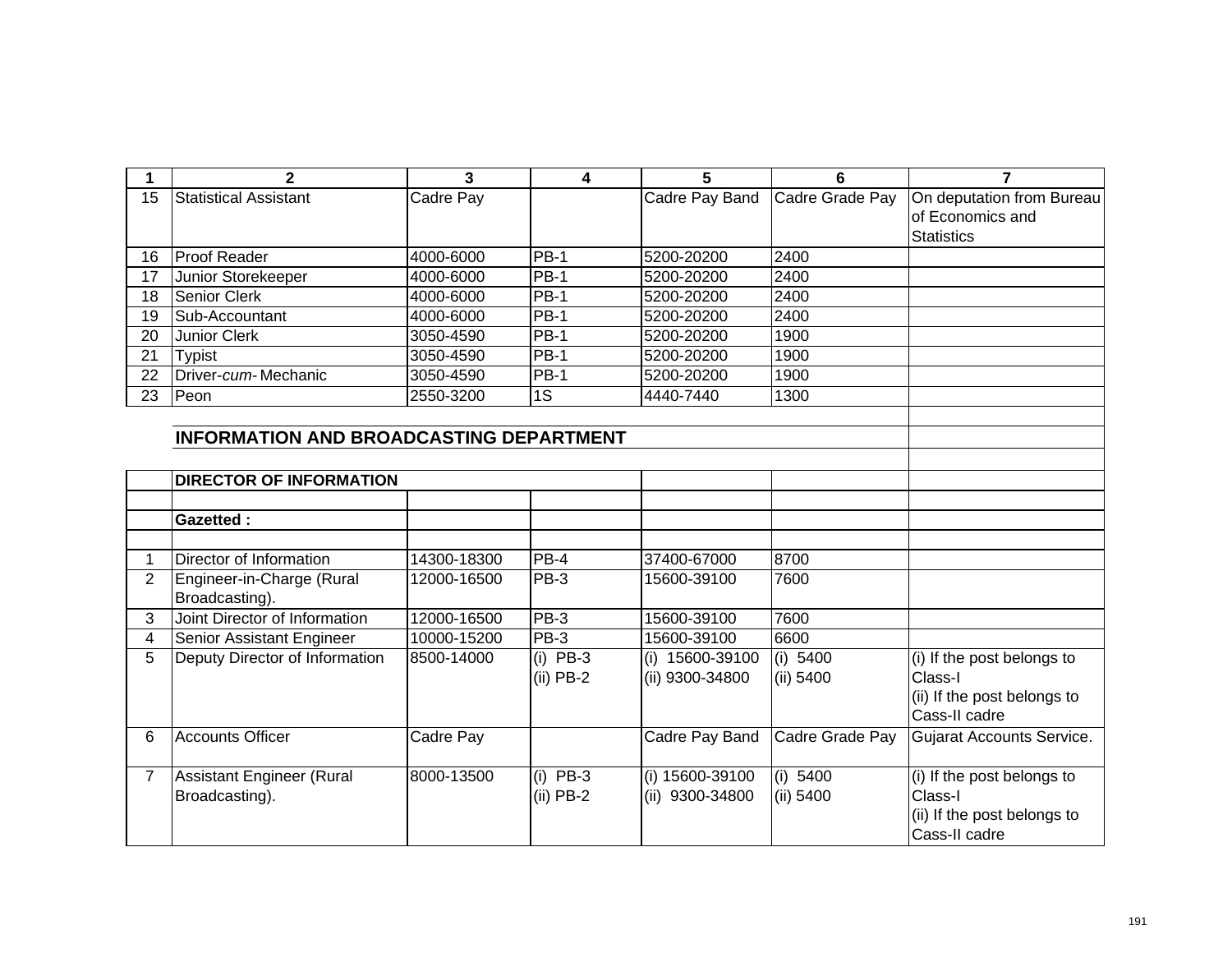|    |                              |           | д      | 5              | 6               |                           |
|----|------------------------------|-----------|--------|----------------|-----------------|---------------------------|
| 15 | <b>Statistical Assistant</b> | Cadre Pay |        | Cadre Pay Band | Cadre Grade Pay | On deputation from Bureau |
|    |                              |           |        |                |                 | of Economics and          |
|    |                              |           |        |                |                 | <b>Statistics</b>         |
| 16 | <b>Proof Reader</b>          | 4000-6000 | $PB-1$ | 5200-20200     | 2400            |                           |
| 17 | Junior Storekeeper           | 4000-6000 | $PB-1$ | 5200-20200     | 2400            |                           |
| 18 | <b>Senior Clerk</b>          | 4000-6000 | $PB-1$ | 5200-20200     | 2400            |                           |
| 19 | Sub-Accountant               | 4000-6000 | $PB-1$ | 5200-20200     | 2400            |                           |
| 20 | <b>Junior Clerk</b>          | 3050-4590 | $PB-1$ | 5200-20200     | 1900            |                           |
| 21 | <b>Typist</b>                | 3050-4590 | $PB-1$ | 5200-20200     | 1900            |                           |
| 22 | Driver-cum-Mechanic          | 3050-4590 | $PB-1$ | 5200-20200     | 1900            |                           |
| 23 | Peon                         | 2550-3200 | 1S     | 4440-7440      | 1300            |                           |

## **INFORMATION AND BROADCASTING DEPARTMENT**

|                | <b>DIRECTOR OF INFORMATION</b> |             |             |                    |                 |                             |
|----------------|--------------------------------|-------------|-------------|--------------------|-----------------|-----------------------------|
|                |                                |             |             |                    |                 |                             |
|                | <b>Gazetted:</b>               |             |             |                    |                 |                             |
|                |                                |             |             |                    |                 |                             |
|                | Director of Information        | 14300-18300 | $PB-4$      | 37400-67000        | 8700            |                             |
| $\overline{2}$ | Engineer-in-Charge (Rural      | 12000-16500 | $PB-3$      | 15600-39100        | 7600            |                             |
|                | Broadcasting).                 |             |             |                    |                 |                             |
| 3              | Joint Director of Information  | 12000-16500 | $PB-3$      | 15600-39100        | 7600            |                             |
| 4              | Senior Assistant Engineer      | 10000-15200 | <b>PB-3</b> | 15600-39100        | 6600            |                             |
| 5              | Deputy Director of Information | 8500-14000  | $(i)$ PB-3  | 15600-39100<br>(i) | (i) 5400        | (i) If the post belongs to  |
|                |                                |             | $(ii)$ PB-2 | (ii) 9300-34800    | (ii) $5400$     | Class-I                     |
|                |                                |             |             |                    |                 | (ii) If the post belongs to |
|                |                                |             |             |                    |                 | Cass-II cadre               |
| 6              | lAccounts Officer              | Cadre Pay   |             | Cadre Pay Band     | Cadre Grade Pay | Gujarat Accounts Service.   |
|                |                                |             |             |                    |                 |                             |
|                | Assistant Engineer (Rural      | 8000-13500  | $(i)$ PB-3  | (i) 15600-39100    | (i) 5400        | (i) If the post belongs to  |
|                | Broadcasting).                 |             | $(ii)$ PB-2 | 9300-34800<br>(ii) | (ii) 5400       | Class-I                     |
|                |                                |             |             |                    |                 | (ii) If the post belongs to |
|                |                                |             |             |                    |                 | Cass-II cadre               |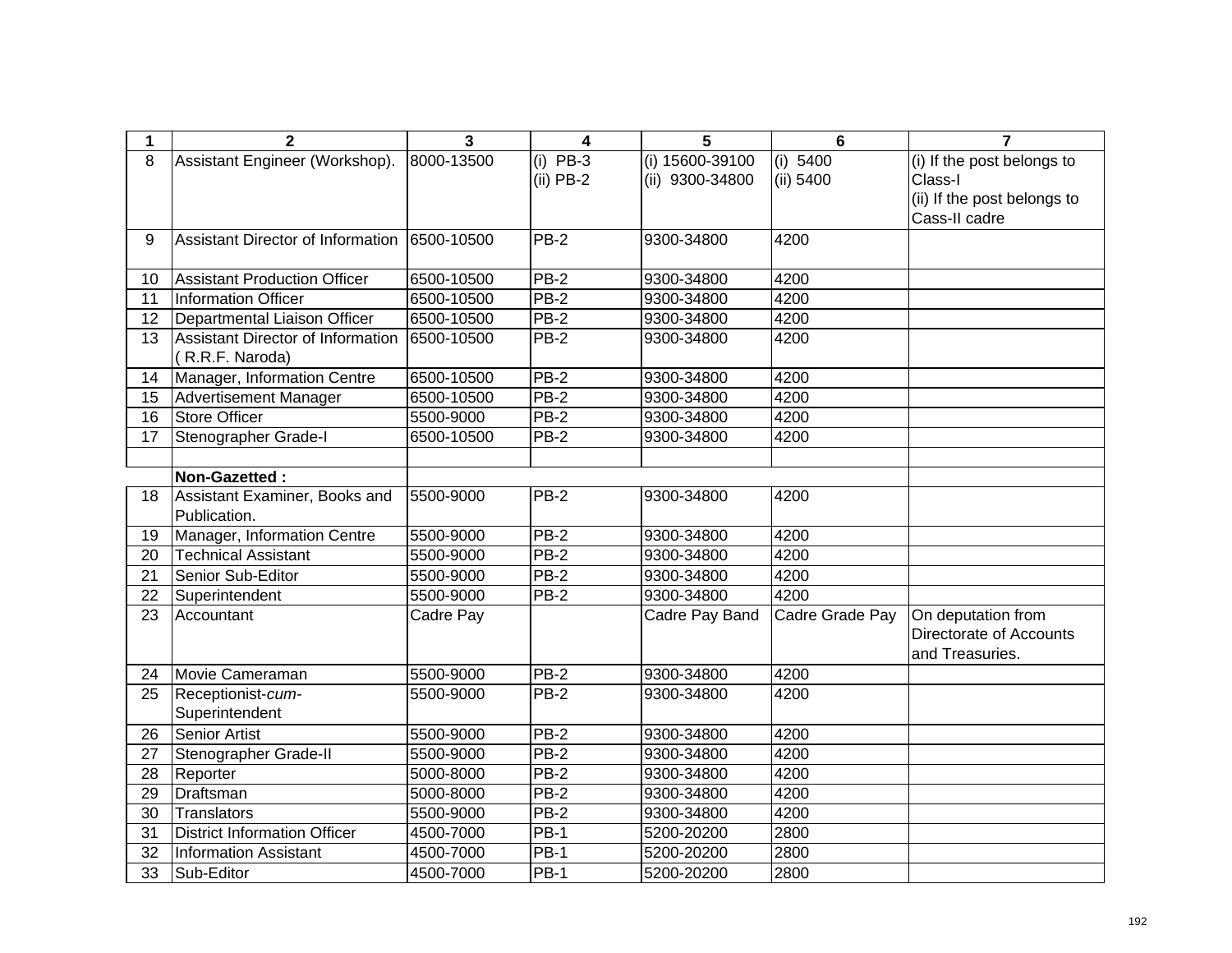| 1               | $\overline{2}$                                       | $\overline{\mathbf{3}}$ | 4           | 5                 | $6\phantom{1}6$ | $\overline{7}$              |
|-----------------|------------------------------------------------------|-------------------------|-------------|-------------------|-----------------|-----------------------------|
| 8               | Assistant Engineer (Workshop).                       | 8000-13500              | $(i)$ PB-3  | $(i)$ 15600-39100 | (i) 5400        | (i) If the post belongs to  |
|                 |                                                      |                         | $(ii)$ PB-2 | (ii) 9300-34800   | (ii) 5400       | Class-I                     |
|                 |                                                      |                         |             |                   |                 | (ii) If the post belongs to |
|                 |                                                      |                         |             |                   |                 | Cass-II cadre               |
| 9               | Assistant Director of Information                    | 6500-10500              | PB-2        | 9300-34800        | 4200            |                             |
|                 |                                                      |                         |             |                   |                 |                             |
| 10              | <b>Assistant Production Officer</b>                  | 6500-10500              | <b>PB-2</b> | 9300-34800        | 4200            |                             |
| 11              | <b>Information Officer</b>                           | 6500-10500              | $PB-2$      | 9300-34800        | 4200            |                             |
| 12              | Departmental Liaison Officer                         | 6500-10500              | $PB-2$      | 9300-34800        | 4200            |                             |
| 13              | Assistant Director of Information<br>(R.R.F. Naroda) | 6500-10500              | $PB-2$      | 9300-34800        | 4200            |                             |
| 14              | Manager, Information Centre                          | 6500-10500              | $PB-2$      | 9300-34800        | 4200            |                             |
| 15              | Advertisement Manager                                | 6500-10500              | $PB-2$      | 9300-34800        | 4200            |                             |
| $\overline{16}$ | Store Officer                                        | 5500-9000               | $PB-2$      | 9300-34800        | 4200            |                             |
| 17              | Stenographer Grade-I                                 | 6500-10500              | PB-2        | 9300-34800        | 4200            |                             |
|                 |                                                      |                         |             |                   |                 |                             |
|                 | Non-Gazetted:                                        |                         |             |                   |                 |                             |
| 18              | Assistant Examiner, Books and                        | 5500-9000               | <b>PB-2</b> | 9300-34800        | 4200            |                             |
|                 | Publication.                                         |                         |             |                   |                 |                             |
| 19              | Manager, Information Centre                          | 5500-9000               | <b>PB-2</b> | 9300-34800        | 4200            |                             |
| 20              | <b>Technical Assistant</b>                           | 5500-9000               | $PB-2$      | 9300-34800        | 4200            |                             |
| 21              | Senior Sub-Editor                                    | 5500-9000               | $PB-2$      | 9300-34800        | 4200            |                             |
| $\overline{22}$ | Superintendent                                       | 5500-9000               | $PB-2$      | 9300-34800        | 4200            |                             |
| 23              | Accountant                                           | Cadre Pay               |             | Cadre Pay Band    | Cadre Grade Pay | On deputation from          |
|                 |                                                      |                         |             |                   |                 | Directorate of Accounts     |
|                 |                                                      |                         |             |                   |                 | and Treasuries.             |
| 24              | Movie Cameraman                                      | 5500-9000               | $PB-2$      | 9300-34800        | 4200            |                             |
| 25              | Receptionist-cum-                                    | 5500-9000               | $PB-2$      | 9300-34800        | 4200            |                             |
|                 | Superintendent                                       |                         |             |                   |                 |                             |
| 26              | <b>Senior Artist</b>                                 | 5500-9000               | $PB-2$      | 9300-34800        | 4200            |                             |
| 27              | Stenographer Grade-II                                | 5500-9000               | $PB-2$      | 9300-34800        | 4200            |                             |
| 28              | Reporter                                             | 5000-8000               | $PB-2$      | 9300-34800        | 4200            |                             |
| 29              | Draftsman                                            | 5000-8000               | $PB-2$      | 9300-34800        | 4200            |                             |
| 30              | Translators                                          | 5500-9000               | PB-2        | 9300-34800        | 4200            |                             |
| 31              | <b>District Information Officer</b>                  | 4500-7000               | $PB-1$      | 5200-20200        | 2800            |                             |
| 32              | <b>Information Assistant</b>                         | 4500-7000               | $PB-1$      | 5200-20200        | 2800            |                             |
| 33              | Sub-Editor                                           | 4500-7000               | <b>PB-1</b> | 5200-20200        | 2800            |                             |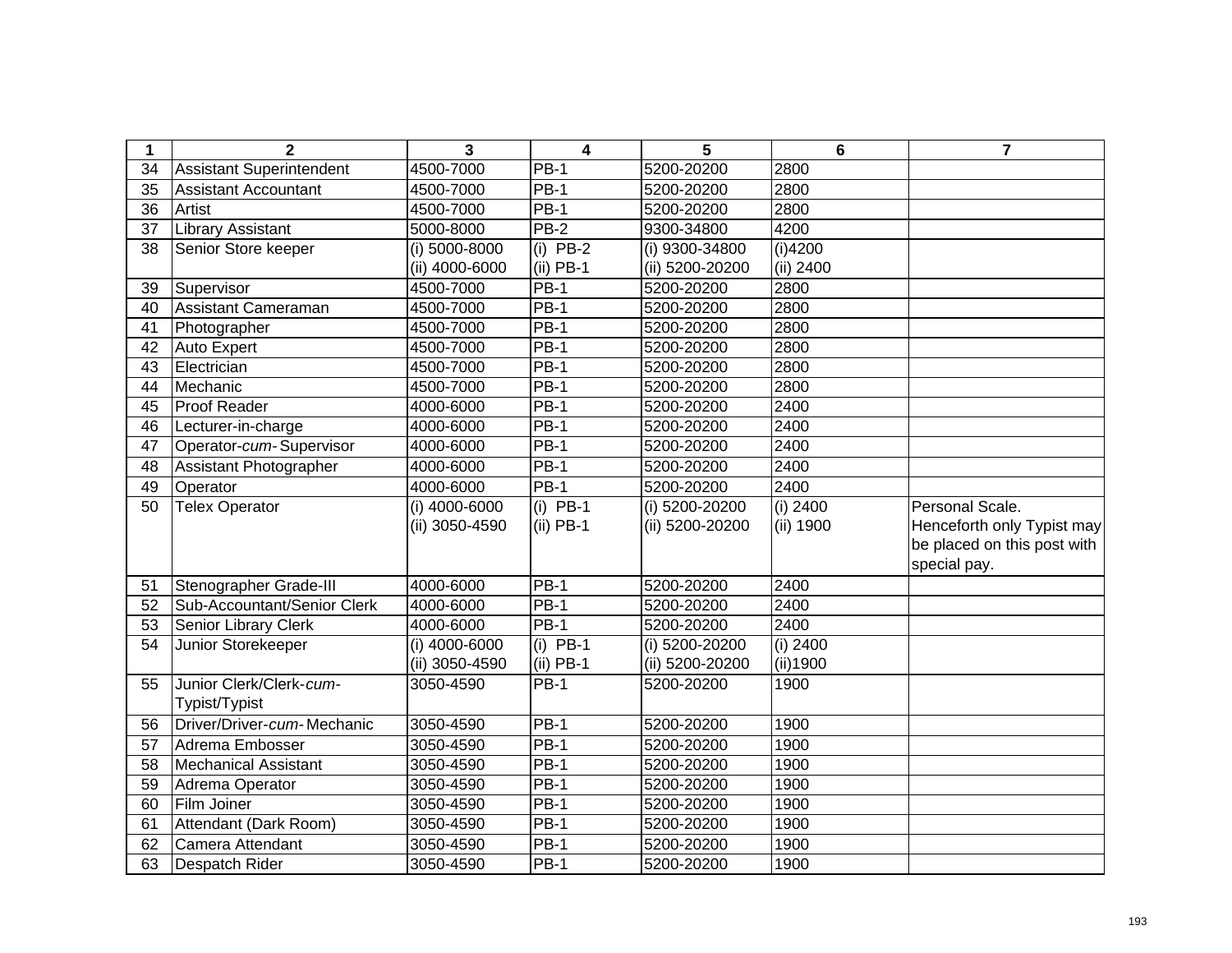| 1  | $\mathbf{2}$                    | 3               | 4           | 5               | 6         | $\overline{7}$              |
|----|---------------------------------|-----------------|-------------|-----------------|-----------|-----------------------------|
| 34 | <b>Assistant Superintendent</b> | 4500-7000       | <b>PB-1</b> | 5200-20200      | 2800      |                             |
| 35 | <b>Assistant Accountant</b>     | 4500-7000       | $PB-1$      | 5200-20200      | 2800      |                             |
| 36 | Artist                          | 4500-7000       | $PB-1$      | 5200-20200      | 2800      |                             |
| 37 | Library Assistant               | 5000-8000       | <b>PB-2</b> | 9300-34800      | 4200      |                             |
| 38 | Senior Store keeper             | (i) 5000-8000   | $(i)$ PB-2  | (i) 9300-34800  | (i)4200   |                             |
|    |                                 | (ii) 4000-6000  | $(ii)$ PB-1 | (ii) 5200-20200 | (ii) 2400 |                             |
| 39 | Supervisor                      | 4500-7000       | <b>PB-1</b> | 5200-20200      | 2800      |                             |
| 40 | Assistant Cameraman             | 4500-7000       | $PB-1$      | 5200-20200      | 2800      |                             |
| 41 | Photographer                    | 4500-7000       | $PB-1$      | 5200-20200      | 2800      |                             |
| 42 | Auto Expert                     | 4500-7000       | <b>PB-1</b> | 5200-20200      | 2800      |                             |
| 43 | Electrician                     | 4500-7000       | <b>PB-1</b> | 5200-20200      | 2800      |                             |
| 44 | Mechanic                        | 4500-7000       | $PB-1$      | 5200-20200      | 2800      |                             |
| 45 | Proof Reader                    | 4000-6000       | $PB-1$      | 5200-20200      | 2400      |                             |
| 46 | Lecturer-in-charge              | 4000-6000       | $PB-1$      | 5200-20200      | 2400      |                             |
| 47 | Operator-cum-Supervisor         | 4000-6000       | <b>PB-1</b> | 5200-20200      | 2400      |                             |
| 48 | Assistant Photographer          | 4000-6000       | $PB-1$      | 5200-20200      | 2400      |                             |
| 49 | Operator                        | 4000-6000       | $PB-1$      | 5200-20200      | 2400      |                             |
| 50 | <b>Telex Operator</b>           | $(i)$ 4000-6000 | $(i)$ PB-1  | (i) 5200-20200  | (i) 2400  | Personal Scale.             |
|    |                                 | (ii) 3050-4590  | $(ii)$ PB-1 | (ii) 5200-20200 | (ii) 1900 | Henceforth only Typist may  |
|    |                                 |                 |             |                 |           | be placed on this post with |
|    |                                 |                 |             |                 |           | special pay.                |
| 51 | Stenographer Grade-III          | 4000-6000       | $PB-1$      | 5200-20200      | 2400      |                             |
| 52 | Sub-Accountant/Senior Clerk     | 4000-6000       | $PB-1$      | 5200-20200      | 2400      |                             |
| 53 | Senior Library Clerk            | 4000-6000       | <b>PB-1</b> | 5200-20200      | 2400      |                             |
| 54 | Junior Storekeeper              | (i) 4000-6000   | $(i)$ PB-1  | (i) 5200-20200  | (i) 2400  |                             |
|    |                                 | (ii) 3050-4590  | $(ii)$ PB-1 | (ii) 5200-20200 | (ii)1900  |                             |
| 55 | Junior Clerk/Clerk-cum-         | 3050-4590       | <b>PB-1</b> | 5200-20200      | 1900      |                             |
|    | Typist/Typist                   |                 |             |                 |           |                             |
| 56 | Driver/Driver-cum-Mechanic      | 3050-4590       | $PB-1$      | 5200-20200      | 1900      |                             |
| 57 | Adrema Embosser                 | 3050-4590       | $PB-1$      | 5200-20200      | 1900      |                             |
| 58 | <b>Mechanical Assistant</b>     | 3050-4590       | $PB-1$      | 5200-20200      | 1900      |                             |
| 59 | Adrema Operator                 | 3050-4590       | $PB-1$      | 5200-20200      | 1900      |                             |
| 60 | Film Joiner                     | 3050-4590       | $PB-1$      | 5200-20200      | 1900      |                             |
| 61 | Attendant (Dark Room)           | 3050-4590       | <b>PB-1</b> | 5200-20200      | 1900      |                             |
| 62 | Camera Attendant                | 3050-4590       | $PB-1$      | 5200-20200      | 1900      |                             |
| 63 | Despatch Rider                  | 3050-4590       | <b>PB-1</b> | 5200-20200      | 1900      |                             |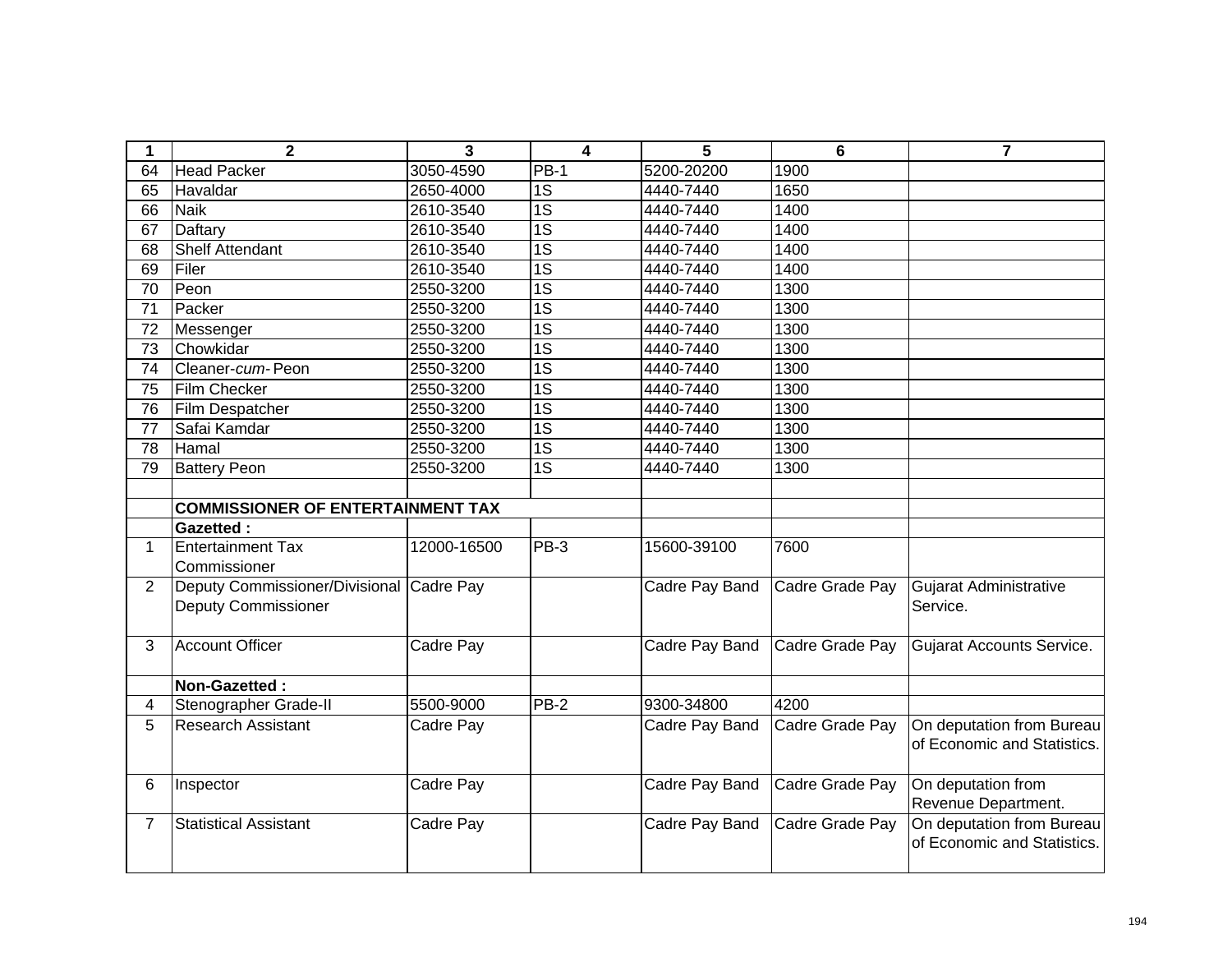| 1              | $\mathbf{2}$                                                           | 3                | $\overline{\mathbf{4}}$ | 5              | 6               | $\overline{7}$                                           |
|----------------|------------------------------------------------------------------------|------------------|-------------------------|----------------|-----------------|----------------------------------------------------------|
| 64             | <b>Head Packer</b>                                                     | 3050-4590        | <b>PB-1</b>             | 5200-20200     | 1900            |                                                          |
| 65             | Havaldar                                                               | 2650-4000        | 1S                      | 4440-7440      | 1650            |                                                          |
| 66             | <b>Naik</b>                                                            | 2610-3540        | $\overline{1S}$         | 4440-7440      | 1400            |                                                          |
| 67             | Daftary                                                                | 2610-3540        | $\overline{1S}$         | 4440-7440      | 1400            |                                                          |
| 68             | <b>Shelf Attendant</b>                                                 | 2610-3540        | 1S                      | 4440-7440      | 1400            |                                                          |
| 69             | Filer                                                                  | 2610-3540        | $\overline{1S}$         | 4440-7440      | 1400            |                                                          |
| 70             | Peon                                                                   | 2550-3200        | $\overline{1S}$         | 4440-7440      | 1300            |                                                          |
| 71             | Packer                                                                 | 2550-3200        | $\overline{1S}$         | 4440-7440      | 1300            |                                                          |
| 72             | Messenger                                                              | 2550-3200        | $\overline{1S}$         | 4440-7440      | 1300            |                                                          |
| 73             | Chowkidar                                                              | 2550-3200        | $\overline{1S}$         | 4440-7440      | 1300            |                                                          |
| 74             | Cleaner-cum-Peon                                                       | 2550-3200        | $\overline{1S}$         | 4440-7440      | 1300            |                                                          |
| 75             | <b>Film Checker</b>                                                    | 2550-3200        | $\overline{1S}$         | 4440-7440      | 1300            |                                                          |
| 76             | Film Despatcher                                                        | 2550-3200        | $\overline{1S}$         | 4440-7440      | 1300            |                                                          |
| 77             | Safai Kamdar                                                           | 2550-3200        | $\overline{1S}$         | 4440-7440      | 1300            |                                                          |
| 78             | Hamal                                                                  | 2550-3200        | $\overline{1S}$         | 4440-7440      | 1300            |                                                          |
| 79             | <b>Battery Peon</b>                                                    | 2550-3200        | 1S                      | 4440-7440      | 1300            |                                                          |
|                |                                                                        |                  |                         |                |                 |                                                          |
|                | <b>COMMISSIONER OF ENTERTAINMENT TAX</b>                               |                  |                         |                |                 |                                                          |
|                | <b>Gazetted:</b>                                                       |                  |                         |                |                 |                                                          |
| $\mathbf 1$    | <b>Entertainment Tax</b>                                               | 12000-16500      | <b>PB-3</b>             | 15600-39100    | 7600            |                                                          |
|                | Commissioner                                                           |                  |                         |                |                 |                                                          |
| $\overline{2}$ | Deputy Commissioner/Divisional Cadre Pay<br><b>Deputy Commissioner</b> |                  |                         | Cadre Pay Band | Cadre Grade Pay | Gujarat Administrative<br>Service.                       |
| 3              | <b>Account Officer</b>                                                 | <b>Cadre Pay</b> |                         | Cadre Pay Band | Cadre Grade Pay | Gujarat Accounts Service.                                |
|                | Non-Gazetted:                                                          |                  |                         |                |                 |                                                          |
| $\overline{4}$ | Stenographer Grade-II                                                  | 5500-9000        | <b>PB-2</b>             | 9300-34800     | 4200            |                                                          |
| 5              | <b>Research Assistant</b>                                              | Cadre Pay        |                         | Cadre Pay Band | Cadre Grade Pay | On deputation from Bureau<br>of Economic and Statistics. |
| 6              | Inspector                                                              | Cadre Pay        |                         | Cadre Pay Band | Cadre Grade Pay | On deputation from<br>Revenue Department.                |
| $\overline{7}$ | <b>Statistical Assistant</b>                                           | Cadre Pay        |                         | Cadre Pay Band | Cadre Grade Pay | On deputation from Bureau<br>of Economic and Statistics. |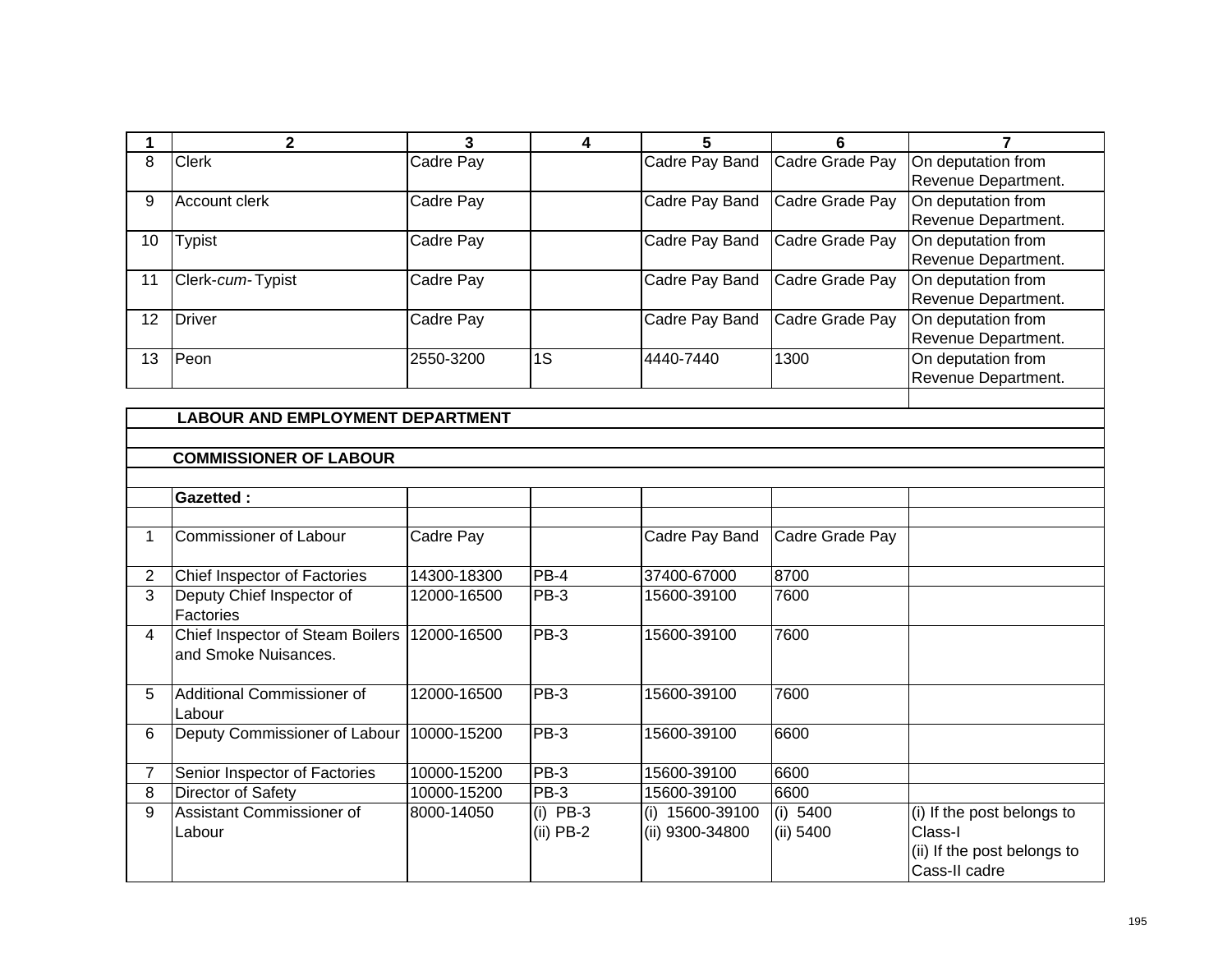|    | 2                                       | 3         | 4  | 5              | 6               |                     |  |  |  |
|----|-----------------------------------------|-----------|----|----------------|-----------------|---------------------|--|--|--|
| 8  | <b>Clerk</b>                            | Cadre Pay |    | Cadre Pay Band | Cadre Grade Pay | On deputation from  |  |  |  |
|    |                                         |           |    |                |                 | Revenue Department. |  |  |  |
| 9  | Account clerk                           | Cadre Pay |    | Cadre Pay Band | Cadre Grade Pay | On deputation from  |  |  |  |
|    |                                         |           |    |                |                 | Revenue Department. |  |  |  |
| 10 | <b>Typist</b>                           | Cadre Pay |    | Cadre Pay Band | Cadre Grade Pay | On deputation from  |  |  |  |
|    |                                         |           |    |                |                 | Revenue Department. |  |  |  |
| 11 | Clerk-cum-Typist                        | Cadre Pay |    | Cadre Pay Band | Cadre Grade Pay | On deputation from  |  |  |  |
|    |                                         |           |    |                |                 | Revenue Department. |  |  |  |
| 12 | Driver                                  | Cadre Pay |    | Cadre Pay Band | Cadre Grade Pay | On deputation from  |  |  |  |
|    |                                         |           |    |                |                 | Revenue Department. |  |  |  |
| 13 | Peon                                    | 2550-3200 | 1S | 4440-7440      | 1300            | On deputation from  |  |  |  |
|    |                                         |           |    |                |                 | Revenue Department. |  |  |  |
|    |                                         |           |    |                |                 |                     |  |  |  |
|    | <b>LABOUR AND EMPLOYMENT DEPARTMENT</b> |           |    |                |                 |                     |  |  |  |
|    |                                         |           |    |                |                 |                     |  |  |  |
|    | <b>COMMISSIONER OF LABOUR</b>           |           |    |                |                 |                     |  |  |  |

|                | <b>Gazetted:</b>                                                 |             |                           |                                       |                       |                                                                                       |
|----------------|------------------------------------------------------------------|-------------|---------------------------|---------------------------------------|-----------------------|---------------------------------------------------------------------------------------|
|                |                                                                  |             |                           |                                       |                       |                                                                                       |
|                | Commissioner of Labour                                           | Cadre Pay   |                           | Cadre Pay Band                        | Cadre Grade Pay       |                                                                                       |
| $\overline{2}$ | <b>Chief Inspector of Factories</b>                              | 14300-18300 | $PB-4$                    | 37400-67000                           | 8700                  |                                                                                       |
| 3              | Deputy Chief Inspector of<br>Factories                           | 12000-16500 | PB-3                      | 15600-39100                           | 7600                  |                                                                                       |
| 4              | <b>Chief Inspector of Steam Boilers</b><br>land Smoke Nuisances. | 12000-16500 | $PB-3$                    | 15600-39100                           | 7600                  |                                                                                       |
| 5.             | Additional Commissioner of<br>Labour                             | 12000-16500 | $PB-3$                    | 15600-39100                           | 7600                  |                                                                                       |
| 6              | Deputy Commissioner of Labour                                    | 10000-15200 | $PB-3$                    | 15600-39100                           | 6600                  |                                                                                       |
| 7              | Senior Inspector of Factories                                    | 10000-15200 | $PB-3$                    | 15600-39100                           | 6600                  |                                                                                       |
| 8              | Director of Safety                                               | 10000-15200 | $PB-3$                    | 15600-39100                           | 6600                  |                                                                                       |
| 9              | lAssistant Commissioner of<br>Labour                             | 8000-14050  | $(i)$ PB-3<br>$(ii)$ PB-2 | 15600-39100<br>(i)<br>(ii) 9300-34800 | (i) 5400<br>(ii) 5400 | (i) If the post belongs to<br>Class-I<br>(ii) If the post belongs to<br>Cass-II cadre |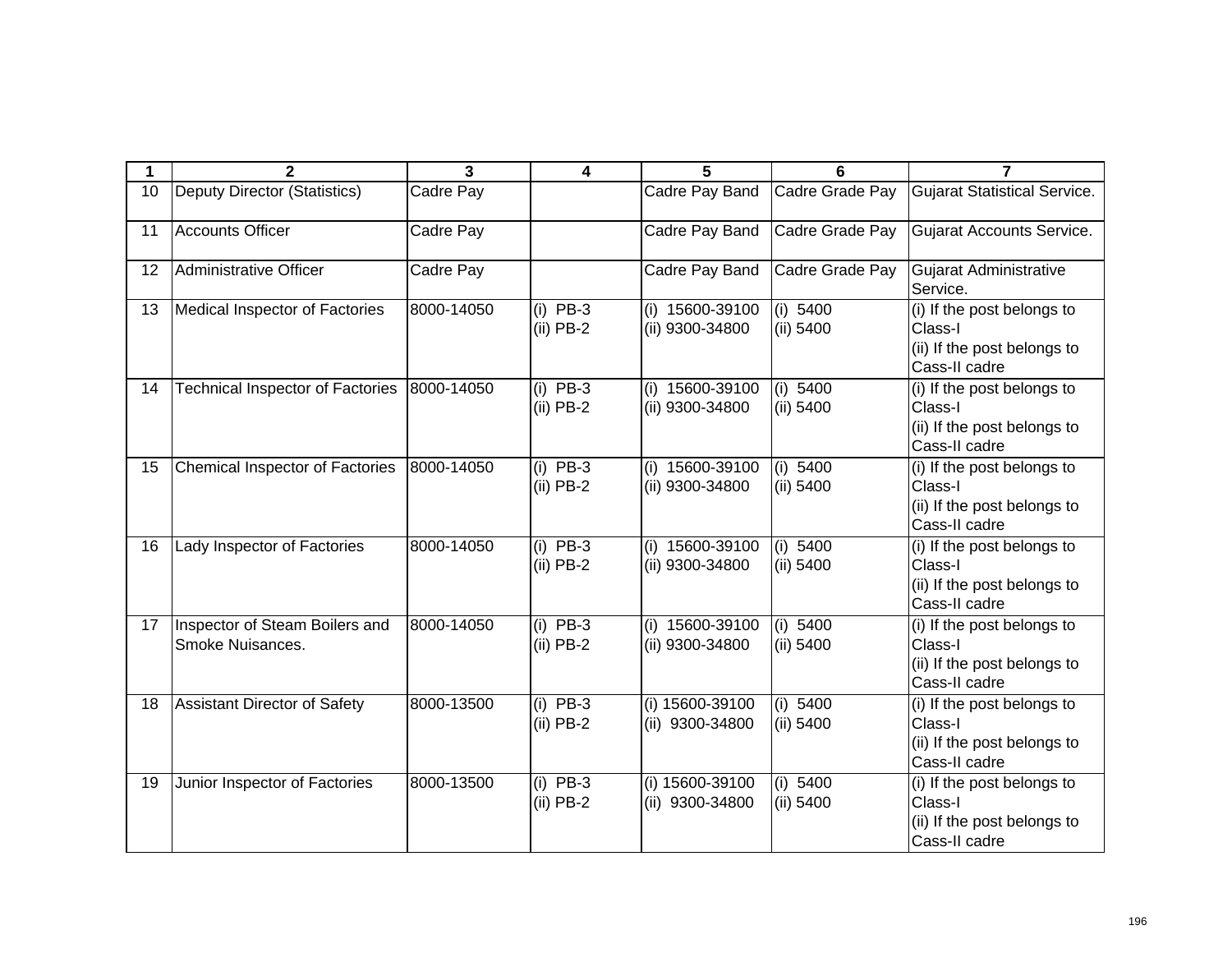| 1  | $\mathbf{2}$                                       | 3          | 4                         | 5                                    | 6                       | 7                                                                                     |
|----|----------------------------------------------------|------------|---------------------------|--------------------------------------|-------------------------|---------------------------------------------------------------------------------------|
| 10 | <b>Deputy Director (Statistics)</b>                | Cadre Pay  |                           | Cadre Pay Band                       | Cadre Grade Pay         | <b>Gujarat Statistical Service.</b>                                                   |
| 11 | <b>Accounts Officer</b>                            | Cadre Pay  |                           | Cadre Pay Band                       | Cadre Grade Pay         | Gujarat Accounts Service.                                                             |
| 12 | Administrative Officer                             | Cadre Pay  |                           | Cadre Pay Band                       | Cadre Grade Pay         | <b>Gujarat Administrative</b><br>Service.                                             |
| 13 | Medical Inspector of Factories                     | 8000-14050 | $(i)$ PB-3<br>$(ii)$ PB-2 | (i) 15600-39100<br>(ii) 9300-34800   | (i) 5400<br>(ii) 5400   | (i) If the post belongs to<br>Class-I<br>(ii) If the post belongs to<br>Cass-II cadre |
| 14 | <b>Technical Inspector of Factories</b>            | 8000-14050 | $(i)$ PB-3<br>$(ii)$ PB-2 | $(i)$ 15600-39100<br>(ii) 9300-34800 | (i) 5400<br>(ii) 5400   | (i) If the post belongs to<br>Class-I<br>(ii) If the post belongs to<br>Cass-II cadre |
| 15 | Chemical Inspector of Factories                    | 8000-14050 | $(i)$ PB-3<br>$(ii)$ PB-2 | (i) 15600-39100<br>(ii) 9300-34800   | (i) 5400<br>(ii) 5400   | (i) If the post belongs to<br>Class-I<br>(ii) If the post belongs to<br>Cass-II cadre |
| 16 | Lady Inspector of Factories                        | 8000-14050 | $(i)$ PB-3<br>$(ii)$ PB-2 | (i) 15600-39100<br>(ii) 9300-34800   | (i) 5400<br>$(ii)$ 5400 | (i) If the post belongs to<br>Class-I<br>(ii) If the post belongs to<br>Cass-II cadre |
| 17 | Inspector of Steam Boilers and<br>Smoke Nuisances. | 8000-14050 | $(i)$ PB-3<br>$(ii)$ PB-2 | (i) 15600-39100<br>(ii) 9300-34800   | (i) 5400<br>(ii) 5400   | (i) If the post belongs to<br>Class-I<br>(ii) If the post belongs to<br>Cass-II cadre |
| 18 | Assistant Director of Safety                       | 8000-13500 | $(i)$ PB-3<br>$(ii)$ PB-2 | (i) 15600-39100<br>(ii) 9300-34800   | (i) 5400<br>(ii) 5400   | (i) If the post belongs to<br>Class-I<br>(ii) If the post belongs to<br>Cass-II cadre |
| 19 | Junior Inspector of Factories                      | 8000-13500 | $(i)$ PB-3<br>$(ii)$ PB-2 | (i) 15600-39100<br>(ii) 9300-34800   | (i) 5400<br>(ii) 5400   | (i) If the post belongs to<br>Class-I<br>(ii) If the post belongs to<br>Cass-II cadre |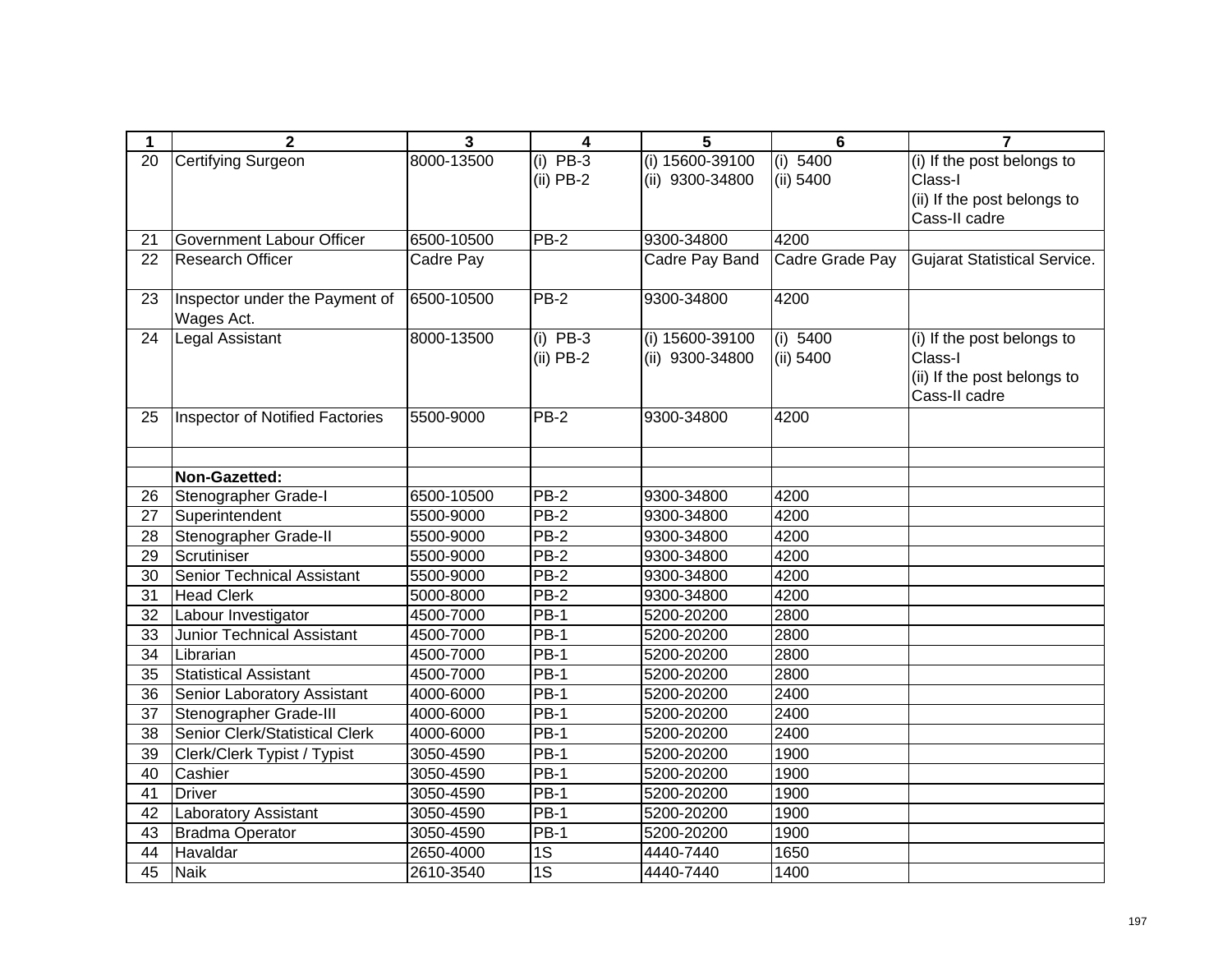| 1               | $\overline{2}$                               | $\mathbf{3}$ | 4               | 5               | $6\phantom{1}6$ | $\overline{7}$                      |
|-----------------|----------------------------------------------|--------------|-----------------|-----------------|-----------------|-------------------------------------|
| 20              | <b>Certifying Surgeon</b>                    | 8000-13500   | $(i)$ PB-3      | (i) 15600-39100 | (i) 5400        | (i) If the post belongs to          |
|                 |                                              |              | $(ii)$ PB-2     | (ii) 9300-34800 | (ii) 5400       | Class-I                             |
|                 |                                              |              |                 |                 |                 | (ii) If the post belongs to         |
|                 |                                              |              |                 |                 |                 | Cass-II cadre                       |
| 21              | Government Labour Officer                    | 6500-10500   | $PB-2$          | 9300-34800      | 4200            |                                     |
| 22              | <b>Research Officer</b>                      | Cadre Pay    |                 | Cadre Pay Band  | Cadre Grade Pay | <b>Gujarat Statistical Service.</b> |
|                 |                                              |              |                 |                 |                 |                                     |
| 23              | Inspector under the Payment of<br>Wages Act. | 6500-10500   | <b>PB-2</b>     | 9300-34800      | 4200            |                                     |
| 24              | <b>Legal Assistant</b>                       | 8000-13500   | $(i)$ PB-3      | (i) 15600-39100 | (i) 5400        | (i) If the post belongs to          |
|                 |                                              |              | $(ii)$ PB-2     | (ii) 9300-34800 | (ii) 5400       | Class-I                             |
|                 |                                              |              |                 |                 |                 | (ii) If the post belongs to         |
|                 |                                              |              |                 |                 |                 | Cass-II cadre                       |
| 25              | Inspector of Notified Factories              | 5500-9000    | <b>PB-2</b>     | 9300-34800      | 4200            |                                     |
|                 |                                              |              |                 |                 |                 |                                     |
|                 |                                              |              |                 |                 |                 |                                     |
|                 | Non-Gazetted:                                |              |                 |                 |                 |                                     |
| 26              | Stenographer Grade-I                         | 6500-10500   | <b>PB-2</b>     | 9300-34800      | 4200            |                                     |
| 27              | Superintendent                               | 5500-9000    | PB-2            | 9300-34800      | 4200            |                                     |
| 28              | Stenographer Grade-II                        | 5500-9000    | PB-2            | 9300-34800      | 4200            |                                     |
| 29              | Scrutiniser                                  | 5500-9000    | PB-2            | 9300-34800      | 4200            |                                     |
| 30              | <b>Senior Technical Assistant</b>            | 5500-9000    | $PB-2$          | 9300-34800      | 4200            |                                     |
| 31              | <b>Head Clerk</b>                            | 5000-8000    | PB-2            | 9300-34800      | 4200            |                                     |
| 32              | Labour Investigator                          | 4500-7000    | $PB-1$          | 5200-20200      | 2800            |                                     |
| 33              | <b>Junior Technical Assistant</b>            | 4500-7000    | $PB-1$          | 5200-20200      | 2800            |                                     |
| 34              | Librarian                                    | 4500-7000    | $PB-1$          | 5200-20200      | 2800            |                                     |
| $\overline{35}$ | <b>Statistical Assistant</b>                 | 4500-7000    | $PB-1$          | 5200-20200      | 2800            |                                     |
| 36              | <b>Senior Laboratory Assistant</b>           | 4000-6000    | $PB-1$          | 5200-20200      | 2400            |                                     |
| 37              | Stenographer Grade-III                       | 4000-6000    | PB-1            | 5200-20200      | 2400            |                                     |
| 38              | Senior Clerk/Statistical Clerk               | 4000-6000    | $PB-1$          | 5200-20200      | 2400            |                                     |
| 39              | Clerk/Clerk Typist / Typist                  | 3050-4590    | $PB-1$          | 5200-20200      | 1900            |                                     |
| 40              | Cashier                                      | 3050-4590    | $PB-1$          | 5200-20200      | 1900            |                                     |
| 41              | <b>Driver</b>                                | 3050-4590    | $PB-1$          | 5200-20200      | 1900            |                                     |
| 42              | Laboratory Assistant                         | 3050-4590    | $PB-1$          | 5200-20200      | 1900            |                                     |
| 43              | Bradma Operator                              | 3050-4590    | PB-1            | 5200-20200      | 1900            |                                     |
| 44              | Havaldar                                     | 2650-4000    | 1S              | 4440-7440       | 1650            |                                     |
| 45              | <b>Naik</b>                                  | 2610-3540    | $\overline{1S}$ | 4440-7440       | 1400            |                                     |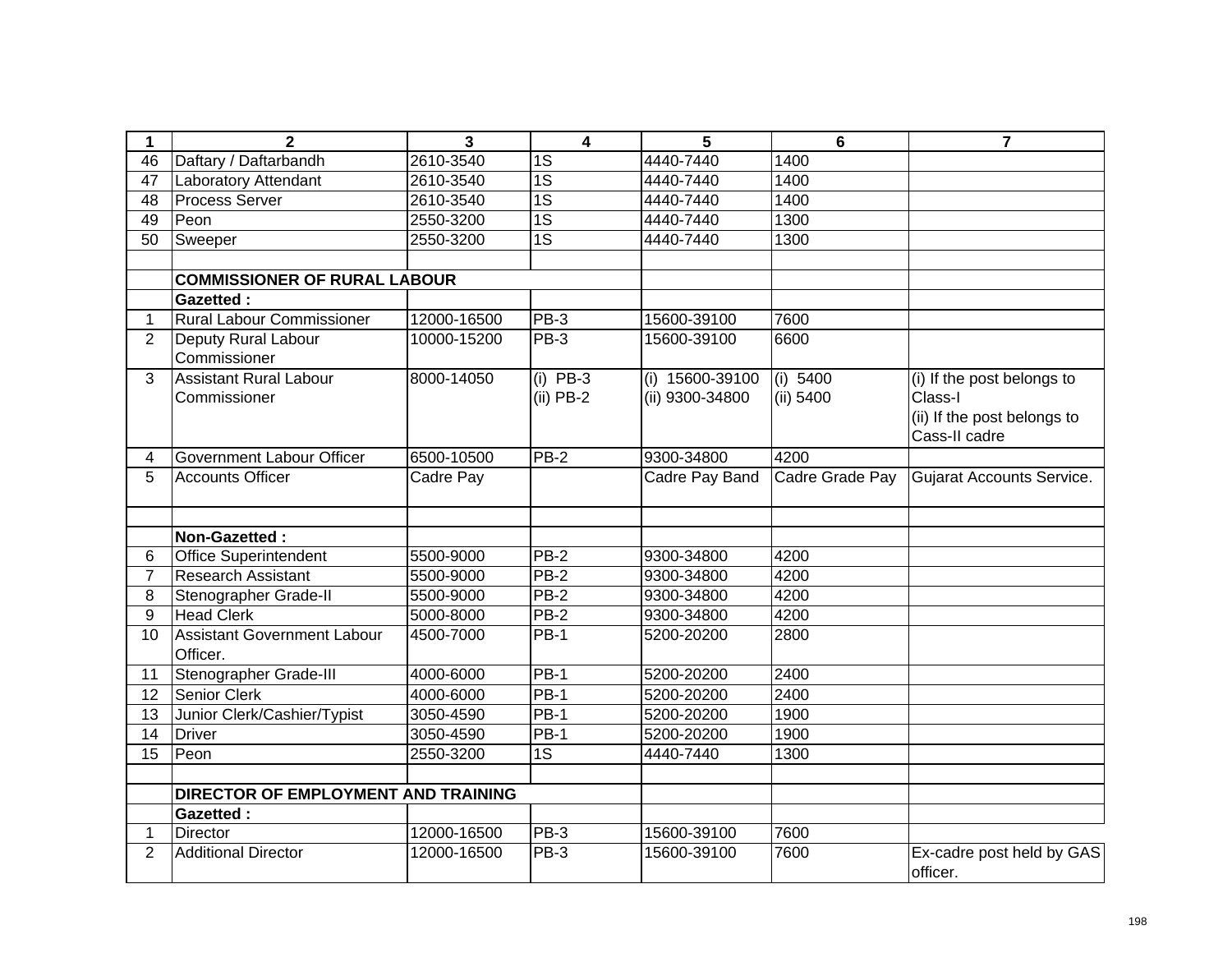| 1              | $\mathbf{2}$                                   | 3           | $\overline{4}$            | 5                                  | $6\phantom{1}$        | $\overline{7}$                                                                        |
|----------------|------------------------------------------------|-------------|---------------------------|------------------------------------|-----------------------|---------------------------------------------------------------------------------------|
| 46             | Daftary / Daftarbandh                          | 2610-3540   | 1S                        | 4440-7440                          | 1400                  |                                                                                       |
| 47             | Laboratory Attendant                           | 2610-3540   | $\overline{1S}$           | 4440-7440                          | 1400                  |                                                                                       |
| 48             | <b>Process Server</b>                          | 2610-3540   | $\overline{1S}$           | 4440-7440                          | 1400                  |                                                                                       |
| 49             | Peon                                           | 2550-3200   | $\overline{1S}$           | 4440-7440                          | 1300                  |                                                                                       |
| 50             | Sweeper                                        | 2550-3200   | $\overline{1S}$           | 4440-7440                          | 1300                  |                                                                                       |
|                |                                                |             |                           |                                    |                       |                                                                                       |
|                | <b>COMMISSIONER OF RURAL LABOUR</b>            |             |                           |                                    |                       |                                                                                       |
|                | <b>Gazetted:</b>                               |             |                           |                                    |                       |                                                                                       |
| $\mathbf{1}$   | <b>Rural Labour Commissioner</b>               | 12000-16500 | $PB-3$                    | 15600-39100                        | 7600                  |                                                                                       |
| 2              | Deputy Rural Labour<br>Commissioner            | 10000-15200 | PB-3                      | 15600-39100                        | 6600                  |                                                                                       |
| 3              | <b>Assistant Rural Labour</b><br>Commissioner  | 8000-14050  | $(i)$ PB-3<br>$(ii)$ PB-2 | (i) 15600-39100<br>(ii) 9300-34800 | (i) 5400<br>(ii) 5400 | (i) If the post belongs to<br>Class-I<br>(ii) If the post belongs to<br>Cass-II cadre |
| 4              | Government Labour Officer                      | 6500-10500  | $PB-2$                    | 9300-34800                         | 4200                  |                                                                                       |
| 5              | <b>Accounts Officer</b>                        | Cadre Pay   |                           | Cadre Pay Band                     | Cadre Grade Pay       | Gujarat Accounts Service.                                                             |
|                | Non-Gazetted:                                  |             |                           |                                    |                       |                                                                                       |
| 6              | <b>Office Superintendent</b>                   | 5500-9000   | PB-2                      | 9300-34800                         | 4200                  |                                                                                       |
| $\overline{7}$ | <b>Research Assistant</b>                      | 5500-9000   | $PB-2$                    | 9300-34800                         | 4200                  |                                                                                       |
| 8              | Stenographer Grade-II                          | 5500-9000   | $PB-2$                    | 9300-34800                         | 4200                  |                                                                                       |
| 9              | <b>Head Clerk</b>                              | 5000-8000   | <b>PB-2</b>               | 9300-34800                         | 4200                  |                                                                                       |
| 10             | <b>Assistant Government Labour</b><br>Officer. | 4500-7000   | <b>PB-1</b>               | 5200-20200                         | 2800                  |                                                                                       |
| 11             | Stenographer Grade-III                         | 4000-6000   | <b>PB-1</b>               | 5200-20200                         | 2400                  |                                                                                       |
| 12             | <b>Senior Clerk</b>                            | 4000-6000   | $PB-1$                    | 5200-20200                         | 2400                  |                                                                                       |
| 13             | Junior Clerk/Cashier/Typist                    | 3050-4590   | <b>PB-1</b>               | 5200-20200                         | 1900                  |                                                                                       |
| 14             | Driver                                         | 3050-4590   | <b>PB-1</b>               | 5200-20200                         | 1900                  |                                                                                       |
| 15             | Peon                                           | 2550-3200   | $\overline{1S}$           | 4440-7440                          | 1300                  |                                                                                       |
|                | DIRECTOR OF EMPLOYMENT AND TRAINING            |             |                           |                                    |                       |                                                                                       |
|                | <b>Gazetted:</b>                               |             |                           |                                    |                       |                                                                                       |
| $\mathbf 1$    | <b>Director</b>                                | 12000-16500 | PB-3                      | 15600-39100                        | 7600                  |                                                                                       |
| $\overline{2}$ | <b>Additional Director</b>                     | 12000-16500 | PB-3                      | 15600-39100                        | 7600                  | Ex-cadre post held by GAS<br>officer.                                                 |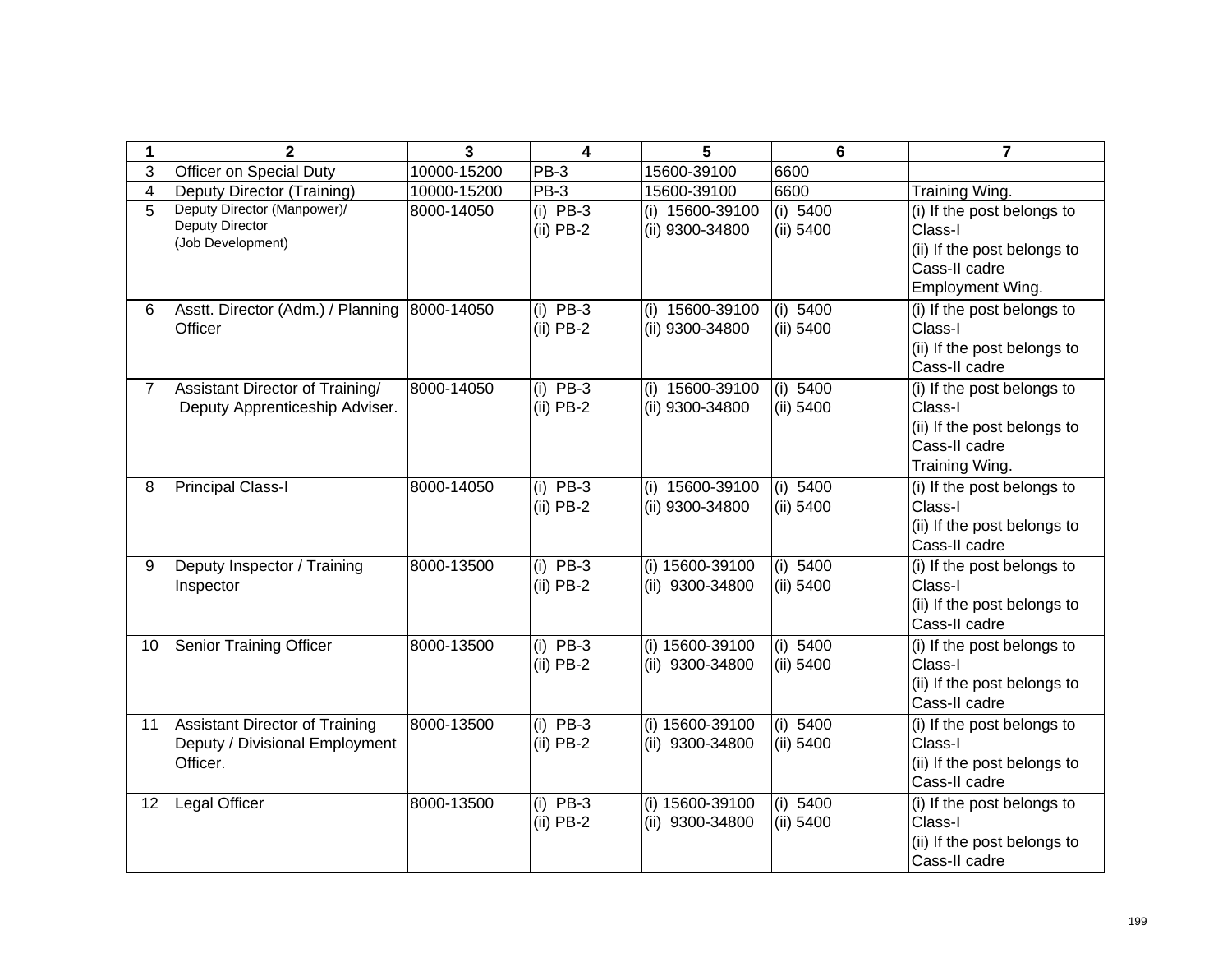| 1               | $\mathbf{2}$                                                                 | 3           | 4                         | 5                                    | 6                       | 7                                                                                                         |
|-----------------|------------------------------------------------------------------------------|-------------|---------------------------|--------------------------------------|-------------------------|-----------------------------------------------------------------------------------------------------------|
| 3               | Officer on Special Duty                                                      | 10000-15200 | PB-3                      | 15600-39100                          | 6600                    |                                                                                                           |
| 4               | Deputy Director (Training)                                                   | 10000-15200 | PB-3                      | 15600-39100                          | 6600                    | Training Wing.                                                                                            |
| 5               | Deputy Director (Manpower)/<br><b>Deputy Director</b><br>(Job Development)   | 8000-14050  | $(i)$ PB-3<br>$(ii)$ PB-2 | (i) 15600-39100<br>(ii) 9300-34800   | (i) 5400<br>(ii) 5400   | (i) If the post belongs to<br>Class-I<br>(ii) If the post belongs to<br>Cass-II cadre<br>Employment Wing. |
| 6               | Asstt. Director (Adm.) / Planning<br>Officer                                 | 8000-14050  | $(i)$ PB-3<br>$(ii)$ PB-2 | (i) 15600-39100<br>(ii) 9300-34800   | (i) $5400$<br>(ii) 5400 | (i) If the post belongs to<br>Class-I<br>(ii) If the post belongs to<br>Cass-II cadre                     |
| $7^{\circ}$     | Assistant Director of Training/<br>Deputy Apprenticeship Adviser.            | 8000-14050  | $(i)$ PB-3<br>$(ii)$ PB-2 | (i) 15600-39100<br>(ii) 9300-34800   | (i) $5400$<br>(ii) 5400 | (i) If the post belongs to<br>Class-I<br>(ii) If the post belongs to<br>Cass-II cadre<br>Training Wing.   |
| 8               | <b>Principal Class-I</b>                                                     | 8000-14050  | $(i)$ PB-3<br>$(ii)$ PB-2 | $(i)$ 15600-39100<br>(ii) 9300-34800 | (i) 5400<br>(ii) 5400   | (i) If the post belongs to<br>Class-I<br>(ii) If the post belongs to<br>Cass-II cadre                     |
| 9               | Deputy Inspector / Training<br>Inspector                                     | 8000-13500  | $(i)$ PB-3<br>$(ii)$ PB-2 | (i) 15600-39100<br>(ii) 9300-34800   | (i) $5400$<br>(ii) 5400 | (i) If the post belongs to<br>Class-I<br>(ii) If the post belongs to<br>Cass-II cadre                     |
| 10 <sup>1</sup> | <b>Senior Training Officer</b>                                               | 8000-13500  | $(i)$ PB-3<br>$(ii)$ PB-2 | (i) 15600-39100<br>(ii) 9300-34800   | (i) 5400<br>(ii) 5400   | (i) If the post belongs to<br>Class-I<br>(ii) If the post belongs to<br>Cass-II cadre                     |
| 11              | Assistant Director of Training<br>Deputy / Divisional Employment<br>Officer. | 8000-13500  | $(i)$ PB-3<br>$(ii)$ PB-2 | (i) 15600-39100<br>(ii) 9300-34800   | (i) 5400<br>(ii) 5400   | (i) If the post belongs to<br>Class-I<br>(ii) If the post belongs to<br>Cass-II cadre                     |
| 12              | Legal Officer                                                                | 8000-13500  | $(i)$ PB-3<br>$(ii)$ PB-2 | (i) 15600-39100<br>(ii) 9300-34800   | (i) 5400<br>(ii) 5400   | (i) If the post belongs to<br>Class-I<br>(ii) If the post belongs to<br>Cass-II cadre                     |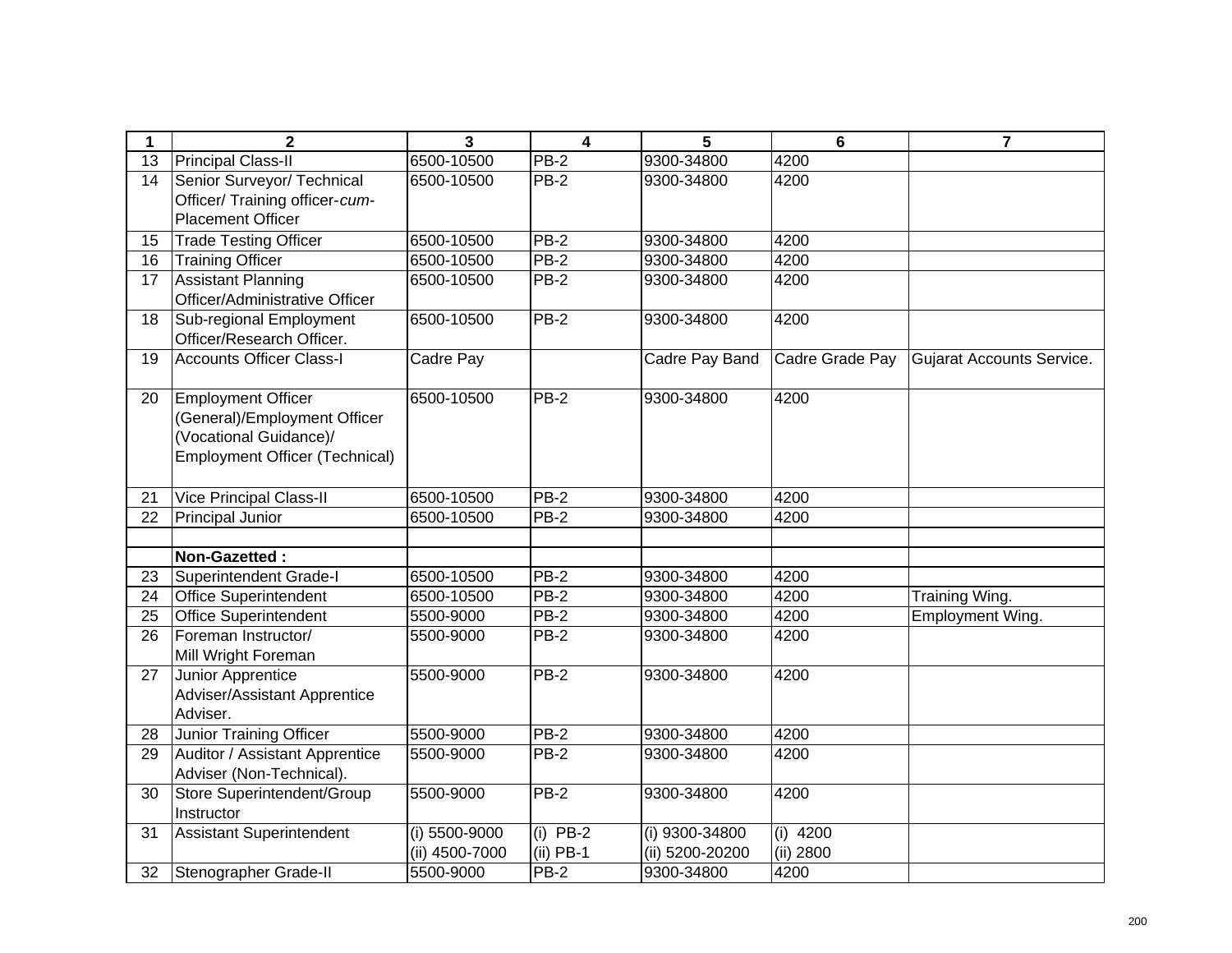| 1               | $\mathbf 2$                                                | $\mathbf{3}$    | $\overline{\mathbf{4}}$ | 5               | 6               | $\overline{7}$            |
|-----------------|------------------------------------------------------------|-----------------|-------------------------|-----------------|-----------------|---------------------------|
| $\overline{13}$ | <b>Principal Class-II</b>                                  | 6500-10500      | $PB-2$                  | 9300-34800      | 4200            |                           |
| 14              | Senior Surveyor/ Technical                                 | 6500-10500      | <b>PB-2</b>             | 9300-34800      | 4200            |                           |
|                 | Officer/ Training officer-cum-<br><b>Placement Officer</b> |                 |                         |                 |                 |                           |
| 15              | <b>Trade Testing Officer</b>                               | 6500-10500      | $PB-2$                  | 9300-34800      | 4200            |                           |
| 16              | <b>Training Officer</b>                                    | 6500-10500      | $PB-2$                  | 9300-34800      | 4200            |                           |
| 17              | <b>Assistant Planning</b>                                  | 6500-10500      | $PB-2$                  | 9300-34800      | 4200            |                           |
|                 | Officer/Administrative Officer                             |                 |                         |                 |                 |                           |
| $\overline{18}$ | Sub-regional Employment                                    | 6500-10500      | $PB-2$                  | 9300-34800      | 4200            |                           |
|                 | Officer/Research Officer.                                  |                 |                         |                 |                 |                           |
| 19              | <b>Accounts Officer Class-I</b>                            | Cadre Pay       |                         | Cadre Pay Band  | Cadre Grade Pay | Gujarat Accounts Service. |
|                 |                                                            |                 | $PB-2$                  |                 | 4200            |                           |
| 20              | <b>Employment Officer</b><br>(General)/Employment Officer  | 6500-10500      |                         | 9300-34800      |                 |                           |
|                 | (Vocational Guidance)/                                     |                 |                         |                 |                 |                           |
|                 | <b>Employment Officer (Technical)</b>                      |                 |                         |                 |                 |                           |
|                 |                                                            |                 |                         |                 |                 |                           |
| 21              | <b>Vice Principal Class-II</b>                             | 6500-10500      | $PB-2$                  | 9300-34800      | 4200            |                           |
| 22              | Principal Junior                                           | 6500-10500      | $PB-2$                  | 9300-34800      | 4200            |                           |
|                 |                                                            |                 |                         |                 |                 |                           |
|                 | Non-Gazetted:                                              |                 |                         |                 |                 |                           |
| 23              | Superintendent Grade-I                                     | 6500-10500      | $PB-2$                  | 9300-34800      | 4200            |                           |
| 24              | <b>Office Superintendent</b>                               | 6500-10500      | PB-2                    | 9300-34800      | 4200            | Training Wing.            |
| 25              | <b>Office Superintendent</b>                               | 5500-9000       | $PB-2$                  | 9300-34800      | 4200            | Employment Wing.          |
| 26              | Foreman Instructor/                                        | 5500-9000       | <b>PB-2</b>             | 9300-34800      | 4200            |                           |
|                 | Mill Wright Foreman                                        |                 |                         |                 |                 |                           |
| 27              | Junior Apprentice                                          | 5500-9000       | $PB-2$                  | 9300-34800      | 4200            |                           |
|                 | Adviser/Assistant Apprentice                               |                 |                         |                 |                 |                           |
|                 | Adviser.                                                   |                 |                         |                 |                 |                           |
| 28              | Junior Training Officer                                    | 5500-9000       | $PB-2$                  | 9300-34800      | 4200            |                           |
| 29              | Auditor / Assistant Apprentice                             | 5500-9000       | $PB-2$                  | 9300-34800      | 4200            |                           |
|                 | Adviser (Non-Technical).                                   |                 |                         |                 |                 |                           |
| 30              | Store Superintendent/Group<br>Instructor                   | 5500-9000       | $PB-2$                  | 9300-34800      | 4200            |                           |
| 31              | Assistant Superintendent                                   | $(i)$ 5500-9000 | $(i)$ PB-2              | (i) 9300-34800  | $(i)$ 4200      |                           |
|                 |                                                            | (ii) 4500-7000  | $(ii)$ PB-1             | (ii) 5200-20200 | (ii) 2800       |                           |
| 32              | Stenographer Grade-II                                      | 5500-9000       | $PB-2$                  | 9300-34800      | 4200            |                           |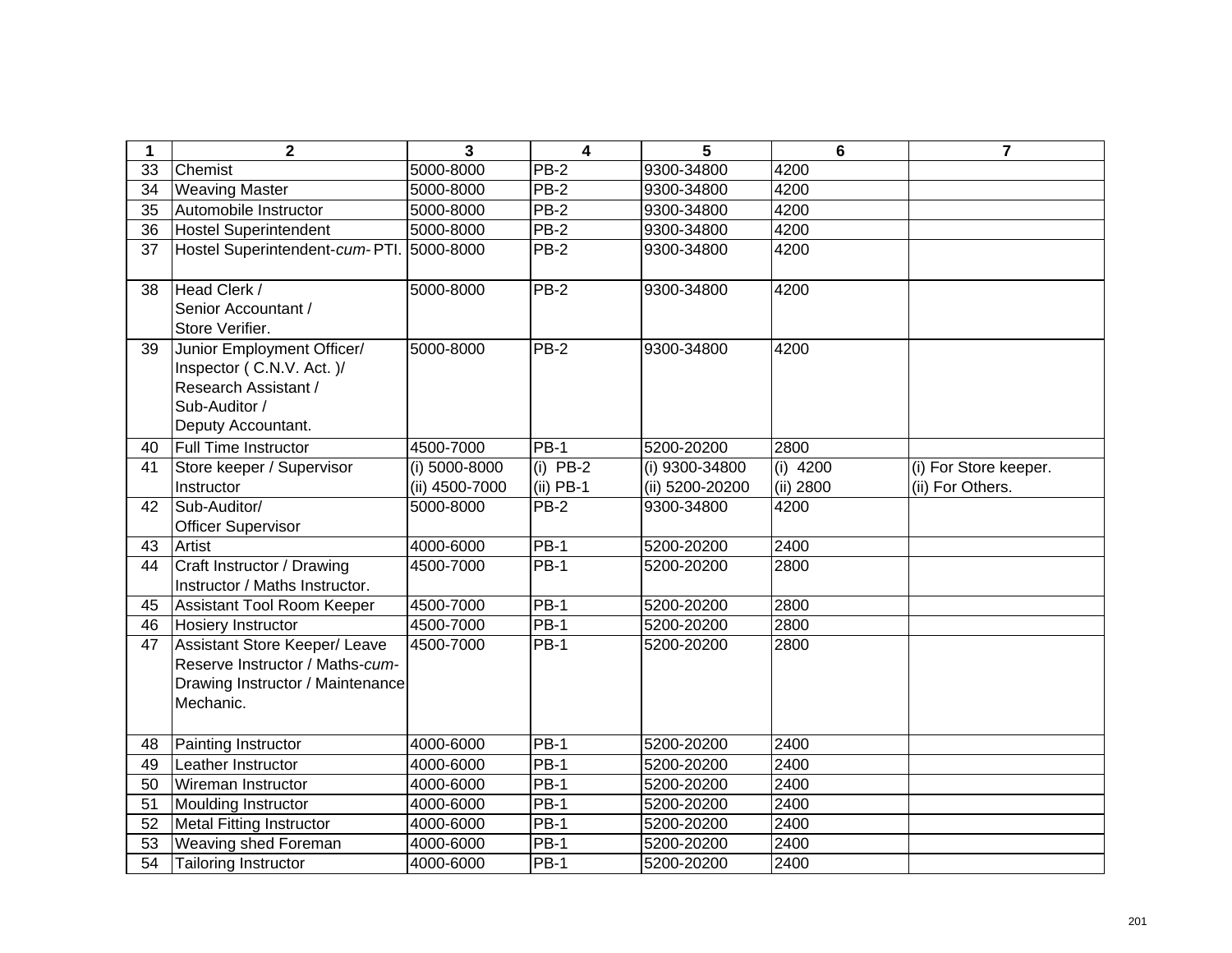| 1  | $\mathbf{2}$                                                                                                             | 3                               | $\overline{\mathbf{4}}$   | 5                                 | $6\phantom{1}$          | 7                                         |
|----|--------------------------------------------------------------------------------------------------------------------------|---------------------------------|---------------------------|-----------------------------------|-------------------------|-------------------------------------------|
| 33 | Chemist                                                                                                                  | 5000-8000                       | $PB-2$                    | 9300-34800                        | 4200                    |                                           |
| 34 | <b>Weaving Master</b>                                                                                                    | 5000-8000                       | $PB-2$                    | 9300-34800                        | 4200                    |                                           |
| 35 | Automobile Instructor                                                                                                    | 5000-8000                       | <b>PB-2</b>               | 9300-34800                        | 4200                    |                                           |
| 36 | <b>Hostel Superintendent</b>                                                                                             | 5000-8000                       | <b>PB-2</b>               | 9300-34800                        | 4200                    |                                           |
| 37 | Hostel Superintendent-cum-PTI.                                                                                           | 5000-8000                       | $PB-2$                    | 9300-34800                        | 4200                    |                                           |
| 38 | Head Clerk /<br>Senior Accountant /<br>Store Verifier.                                                                   | 5000-8000                       | $PB-2$                    | 9300-34800                        | 4200                    |                                           |
| 39 | Junior Employment Officer/<br>Inspector (C.N.V. Act.)/<br>Research Assistant /<br>Sub-Auditor /<br>Deputy Accountant.    | 5000-8000                       | $PB-2$                    | 9300-34800                        | 4200                    |                                           |
| 40 | <b>Full Time Instructor</b>                                                                                              | 4500-7000                       | $PB-1$                    | 5200-20200                        | 2800                    |                                           |
| 41 | Store keeper / Supervisor<br>Instructor                                                                                  | (i) 5000-8000<br>(ii) 4500-7000 | $(i)$ PB-2<br>$(ii)$ PB-1 | (i) 9300-34800<br>(ii) 5200-20200 | $(i)$ 4200<br>(ii) 2800 | (i) For Store keeper.<br>(ii) For Others. |
| 42 | Sub-Auditor/<br><b>Officer Supervisor</b>                                                                                | 5000-8000                       | $PB-2$                    | 9300-34800                        | 4200                    |                                           |
| 43 | Artist                                                                                                                   | 4000-6000                       | $PB-1$                    | 5200-20200                        | 2400                    |                                           |
| 44 | Craft Instructor / Drawing<br>Instructor / Maths Instructor.                                                             | 4500-7000                       | $PB-1$                    | 5200-20200                        | 2800                    |                                           |
| 45 | Assistant Tool Room Keeper                                                                                               | 4500-7000                       | $PB-1$                    | 5200-20200                        | 2800                    |                                           |
| 46 | <b>Hosiery Instructor</b>                                                                                                | 4500-7000                       | $PB-1$                    | 5200-20200                        | 2800                    |                                           |
| 47 | <b>Assistant Store Keeper/ Leave</b><br>Reserve Instructor / Maths-cum-<br>Drawing Instructor / Maintenance<br>Mechanic. | 4500-7000                       | <b>PB-1</b>               | 5200-20200                        | 2800                    |                                           |
| 48 | Painting Instructor                                                                                                      | 4000-6000                       | $PB-1$                    | 5200-20200                        | 2400                    |                                           |
| 49 | Leather Instructor                                                                                                       | 4000-6000                       | $PB-1$                    | 5200-20200                        | 2400                    |                                           |
| 50 | Wireman Instructor                                                                                                       | 4000-6000                       | $PB-1$                    | 5200-20200                        | 2400                    |                                           |
| 51 | Moulding Instructor                                                                                                      | 4000-6000                       | $PB-1$                    | 5200-20200                        | 2400                    |                                           |
| 52 | <b>Metal Fitting Instructor</b>                                                                                          | 4000-6000                       | $PB-1$                    | 5200-20200                        | 2400                    |                                           |
| 53 | Weaving shed Foreman                                                                                                     | 4000-6000                       | $PB-1$                    | 5200-20200                        | 2400                    |                                           |
| 54 | <b>Tailoring Instructor</b>                                                                                              | 4000-6000                       | <b>PB-1</b>               | 5200-20200                        | 2400                    |                                           |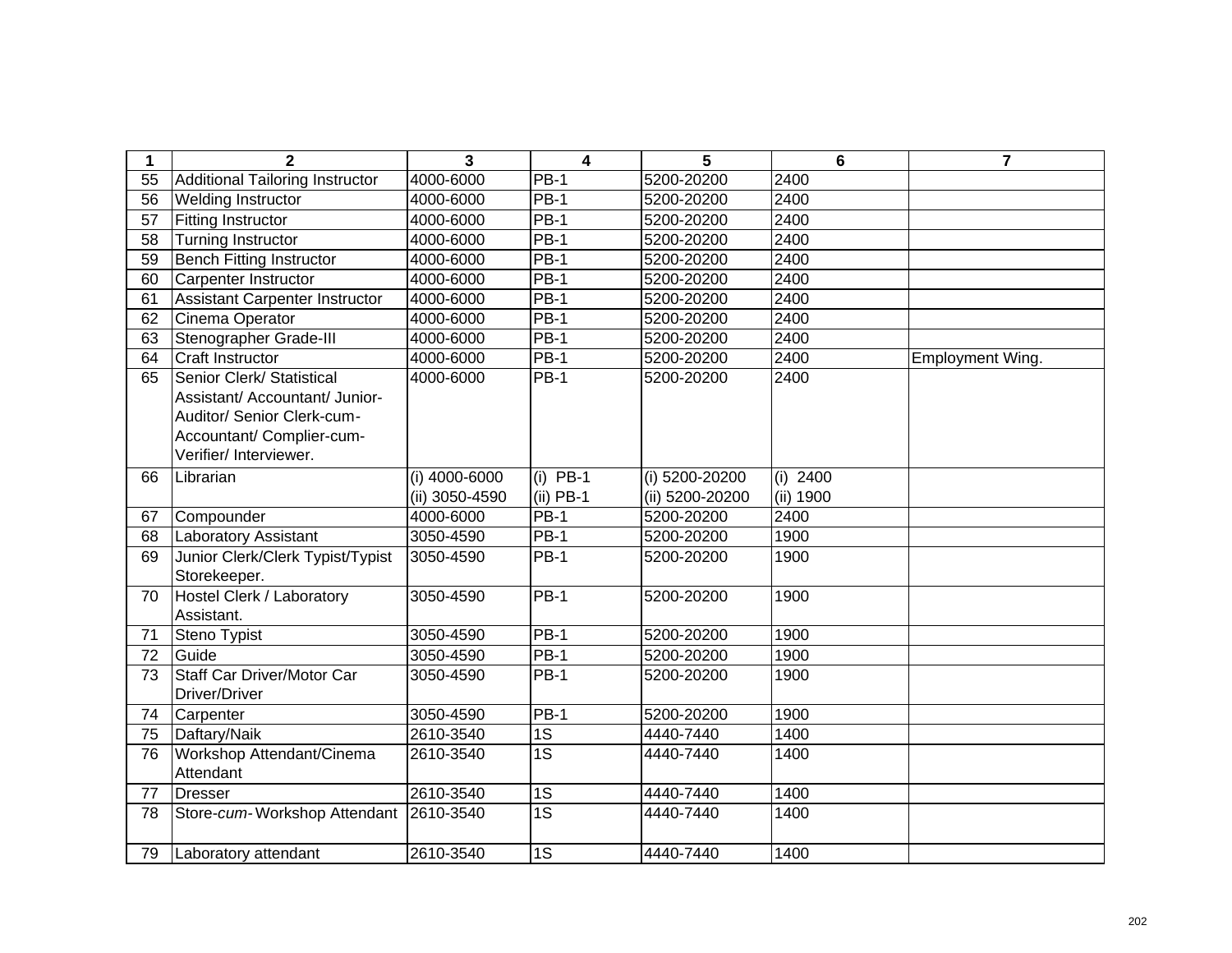| 1  | $\mathbf{2}$                           | 3              | $\overline{\mathbf{4}}$ | 5               | 6          | 7                |
|----|----------------------------------------|----------------|-------------------------|-----------------|------------|------------------|
| 55 | <b>Additional Tailoring Instructor</b> | 4000-6000      | $PB-1$                  | 5200-20200      | 2400       |                  |
| 56 | Welding Instructor                     | 4000-6000      | <b>PB-1</b>             | 5200-20200      | 2400       |                  |
| 57 | <b>Fitting Instructor</b>              | 4000-6000      | <b>PB-1</b>             | 5200-20200      | 2400       |                  |
| 58 | <b>Turning Instructor</b>              | 4000-6000      | <b>PB-1</b>             | 5200-20200      | 2400       |                  |
| 59 | <b>Bench Fitting Instructor</b>        | 4000-6000      | <b>PB-1</b>             | 5200-20200      | 2400       |                  |
| 60 | Carpenter Instructor                   | 4000-6000      | $PB-1$                  | 5200-20200      | 2400       |                  |
| 61 | Assistant Carpenter Instructor         | 4000-6000      | $PB-1$                  | 5200-20200      | 2400       |                  |
| 62 | Cinema Operator                        | 4000-6000      | <b>PB-1</b>             | 5200-20200      | 2400       |                  |
| 63 | Stenographer Grade-III                 | 4000-6000      | $PB-1$                  | 5200-20200      | 2400       |                  |
| 64 | <b>Craft Instructor</b>                | 4000-6000      | <b>PB-1</b>             | 5200-20200      | 2400       | Employment Wing. |
| 65 | Senior Clerk/ Statistical              | 4000-6000      | $PB-1$                  | 5200-20200      | 2400       |                  |
|    | Assistant/ Accountant/ Junior-         |                |                         |                 |            |                  |
|    | Auditor/ Senior Clerk-cum-             |                |                         |                 |            |                  |
|    | Accountant/ Complier-cum-              |                |                         |                 |            |                  |
|    | Verifier/ Interviewer.                 |                |                         |                 |            |                  |
| 66 | Librarian                              | (i) 4000-6000  | $(i)$ PB-1              | (i) 5200-20200  | (i) $2400$ |                  |
|    |                                        | (ii) 3050-4590 | $(ii)$ PB-1             | (ii) 5200-20200 | (ii) 1900  |                  |
| 67 | Compounder                             | 4000-6000      | <b>PB-1</b>             | 5200-20200      | 2400       |                  |
| 68 | <b>Laboratory Assistant</b>            | 3050-4590      | <b>PB-1</b>             | 5200-20200      | 1900       |                  |
| 69 | Junior Clerk/Clerk Typist/Typist       | 3050-4590      | <b>PB-1</b>             | 5200-20200      | 1900       |                  |
|    | Storekeeper.                           |                |                         |                 |            |                  |
| 70 | Hostel Clerk / Laboratory              | 3050-4590      | $PB-1$                  | 5200-20200      | 1900       |                  |
|    | Assistant.                             |                |                         |                 |            |                  |
| 71 | Steno Typist                           | 3050-4590      | $PB-1$                  | 5200-20200      | 1900       |                  |
| 72 | Guide                                  | 3050-4590      | <b>PB-1</b>             | 5200-20200      | 1900       |                  |
| 73 | Staff Car Driver/Motor Car             | 3050-4590      | <b>PB-1</b>             | 5200-20200      | 1900       |                  |
|    | Driver/Driver                          |                |                         |                 |            |                  |
| 74 | Carpenter                              | 3050-4590      | $\overline{PB}-1$       | 5200-20200      | 1900       |                  |
| 75 | Daftary/Naik                           | 2610-3540      | 1S                      | 4440-7440       | 1400       |                  |
| 76 | Workshop Attendant/Cinema              | 2610-3540      | $\overline{1S}$         | 4440-7440       | 1400       |                  |
|    | Attendant                              |                |                         |                 |            |                  |
| 77 | <b>Dresser</b>                         | 2610-3540      | 1S                      | 4440-7440       | 1400       |                  |
| 78 | Store-cum-Workshop Attendant           | 2610-3540      | $\overline{1S}$         | 4440-7440       | 1400       |                  |
|    |                                        |                |                         |                 |            |                  |
| 79 | Laboratory attendant                   | 2610-3540      | 1S                      | 4440-7440       | 1400       |                  |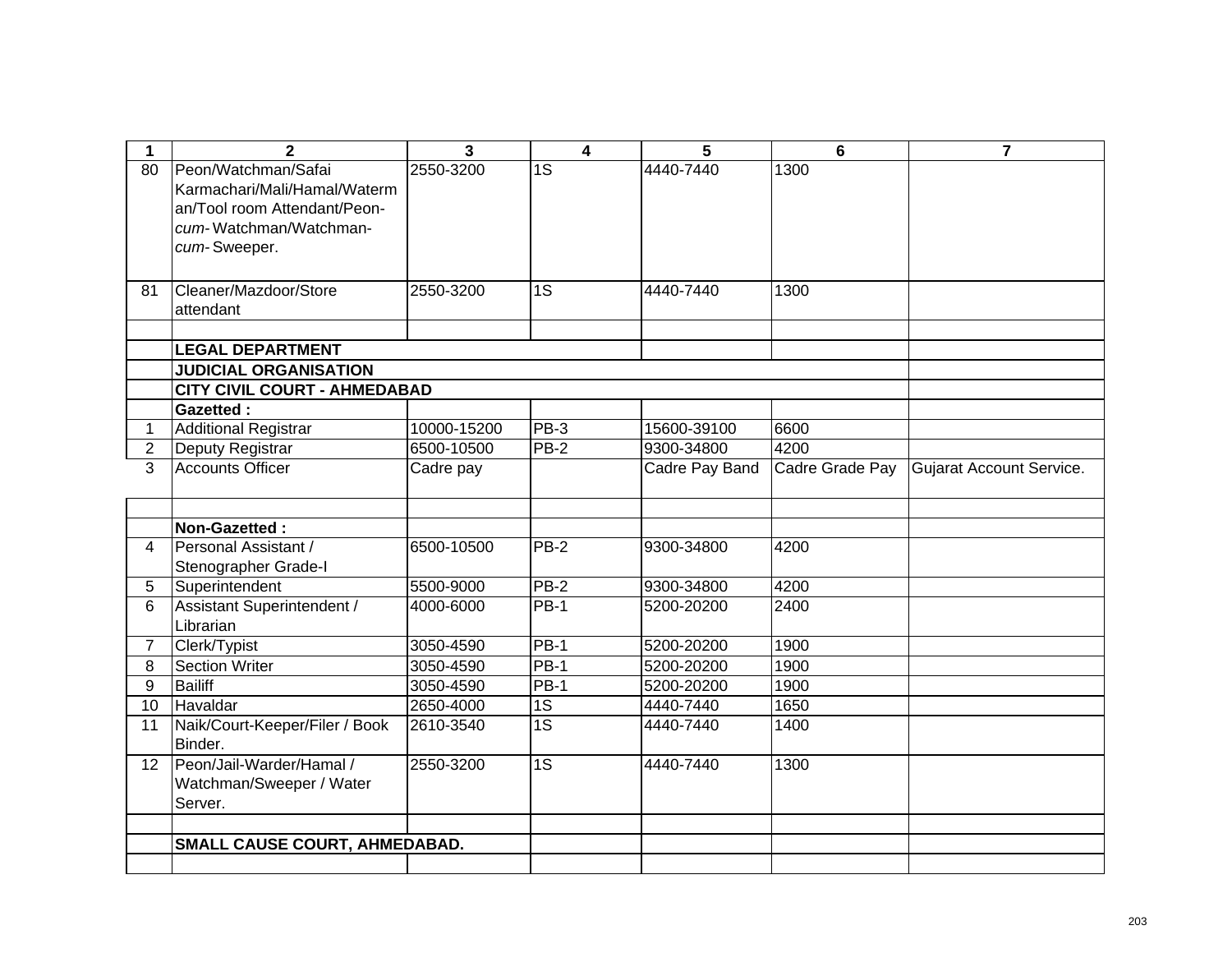| 1               | $\mathbf{2}$                        | 3           | 4               | 5              | $6\phantom{1}$  | 7                        |
|-----------------|-------------------------------------|-------------|-----------------|----------------|-----------------|--------------------------|
| 80              | Peon/Watchman/Safai                 | 2550-3200   | 1S              | 4440-7440      | 1300            |                          |
|                 | Karmachari/Mali/Hamal/Waterm        |             |                 |                |                 |                          |
|                 | an/Tool room Attendant/Peon-        |             |                 |                |                 |                          |
|                 | cum-Watchman/Watchman-              |             |                 |                |                 |                          |
|                 | cum-Sweeper.                        |             |                 |                |                 |                          |
|                 |                                     |             |                 |                |                 |                          |
| 81              | Cleaner/Mazdoor/Store               | 2550-3200   | 1S              | 4440-7440      | 1300            |                          |
|                 | attendant                           |             |                 |                |                 |                          |
|                 |                                     |             |                 |                |                 |                          |
|                 | <b>LEGAL DEPARTMENT</b>             |             |                 |                |                 |                          |
|                 | <b>JUDICIAL ORGANISATION</b>        |             |                 |                |                 |                          |
|                 | <b>CITY CIVIL COURT - AHMEDABAD</b> |             |                 |                |                 |                          |
|                 | <b>Gazetted:</b>                    |             |                 |                |                 |                          |
| $\mathbf 1$     | <b>Additional Registrar</b>         | 10000-15200 | $PB-3$          | 15600-39100    | 6600            |                          |
| $\overline{2}$  | Deputy Registrar                    | 6500-10500  | $PB-2$          | 9300-34800     | 4200            |                          |
| 3               | <b>Accounts Officer</b>             | Cadre pay   |                 | Cadre Pay Band | Cadre Grade Pay | Gujarat Account Service. |
|                 |                                     |             |                 |                |                 |                          |
|                 | Non-Gazetted:                       |             |                 |                |                 |                          |
| $\overline{4}$  | Personal Assistant /                | 6500-10500  | $PB-2$          | 9300-34800     | 4200            |                          |
|                 | Stenographer Grade-I                |             |                 |                |                 |                          |
| 5               | Superintendent                      | 5500-9000   | $PB-2$          | 9300-34800     | 4200            |                          |
| 6               | Assistant Superintendent /          | 4000-6000   | $PB-1$          | 5200-20200     | 2400            |                          |
|                 | Librarian                           |             |                 |                |                 |                          |
| $\overline{7}$  | Clerk/Typist                        | 3050-4590   | $PB-1$          | 5200-20200     | 1900            |                          |
| 8               | <b>Section Writer</b>               | 3050-4590   | $PB-1$          | 5200-20200     | 1900            |                          |
| 9               | <b>Bailiff</b>                      | 3050-4590   | $PB-1$          | 5200-20200     | 1900            |                          |
| 10              | Havaldar                            | 2650-4000   | 1S              | 4440-7440      | 1650            |                          |
| 11              | Naik/Court-Keeper/Filer / Book      | 2610-3540   | $\overline{1S}$ | 4440-7440      | 1400            |                          |
|                 | Binder.                             |             |                 |                |                 |                          |
| 12 <sup>°</sup> | Peon/Jail-Warder/Hamal /            | 2550-3200   | 1S              | 4440-7440      | 1300            |                          |
|                 | Watchman/Sweeper / Water            |             |                 |                |                 |                          |
|                 | Server.                             |             |                 |                |                 |                          |
|                 |                                     |             |                 |                |                 |                          |
|                 | SMALL CAUSE COURT, AHMEDABAD.       |             |                 |                |                 |                          |
|                 |                                     |             |                 |                |                 |                          |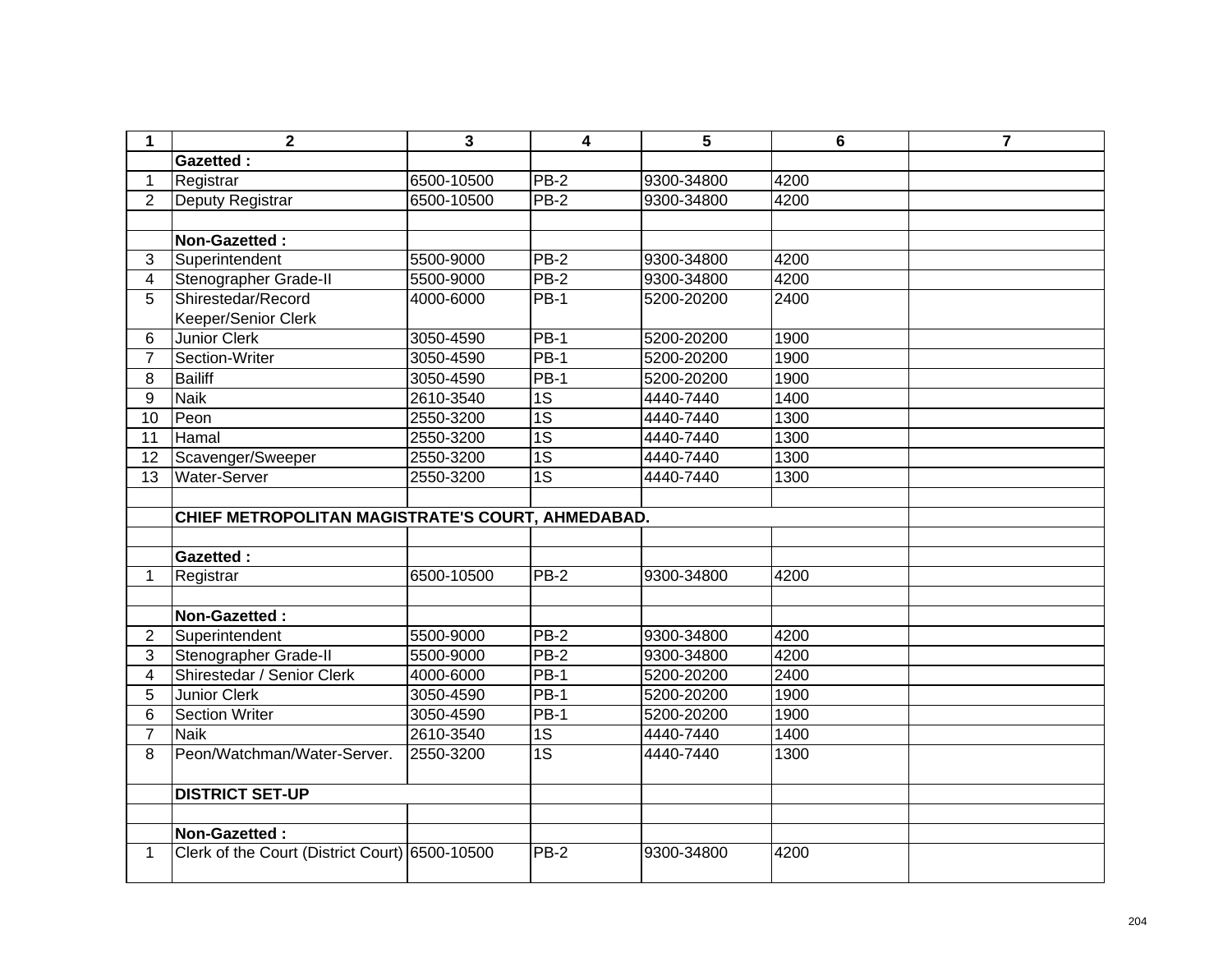| 1               | $\mathbf{2}$                                      | 3          | 4                 | 5          | 6    | $\overline{\mathbf{7}}$ |
|-----------------|---------------------------------------------------|------------|-------------------|------------|------|-------------------------|
|                 | <b>Gazetted:</b>                                  |            |                   |            |      |                         |
| $\mathbf 1$     | Registrar                                         | 6500-10500 | <b>PB-2</b>       | 9300-34800 | 4200 |                         |
| $\overline{2}$  | Deputy Registrar                                  | 6500-10500 | $PB-2$            | 9300-34800 | 4200 |                         |
|                 |                                                   |            |                   |            |      |                         |
|                 | Non-Gazetted:                                     |            |                   |            |      |                         |
| 3               | Superintendent                                    | 5500-9000  | <b>PB-2</b>       | 9300-34800 | 4200 |                         |
| $\overline{4}$  | Stenographer Grade-II                             | 5500-9000  | $PB-2$            | 9300-34800 | 4200 |                         |
| 5               | Shirestedar/Record                                | 4000-6000  | <b>PB-1</b>       | 5200-20200 | 2400 |                         |
|                 | Keeper/Senior Clerk                               |            |                   |            |      |                         |
| 6               | <b>Junior Clerk</b>                               | 3050-4590  | $PB-1$            | 5200-20200 | 1900 |                         |
| $\overline{7}$  | Section-Writer                                    | 3050-4590  | $\overline{PB-1}$ | 5200-20200 | 1900 |                         |
| 8               | <b>Bailiff</b>                                    | 3050-4590  | <b>PB-1</b>       | 5200-20200 | 1900 |                         |
| 9               | <b>Naik</b>                                       | 2610-3540  | 1S                | 4440-7440  | 1400 |                         |
| $\overline{10}$ | Peon                                              | 2550-3200  | $\overline{1S}$   | 4440-7440  | 1300 |                         |
| 11              | Hamal                                             | 2550-3200  | 1S                | 4440-7440  | 1300 |                         |
| 12              | Scavenger/Sweeper                                 | 2550-3200  | $\overline{1S}$   | 4440-7440  | 1300 |                         |
| 13              | <b>Water-Server</b>                               | 2550-3200  | 1S                | 4440-7440  | 1300 |                         |
|                 |                                                   |            |                   |            |      |                         |
|                 | CHIEF METROPOLITAN MAGISTRATE'S COURT, AHMEDABAD. |            |                   |            |      |                         |
|                 |                                                   |            |                   |            |      |                         |
|                 | Gazetted:                                         |            |                   |            |      |                         |
| 1.              | Registrar                                         | 6500-10500 | <b>PB-2</b>       | 9300-34800 | 4200 |                         |
|                 |                                                   |            |                   |            |      |                         |
|                 | Non-Gazetted:                                     |            |                   |            |      |                         |
| $\overline{2}$  | Superintendent                                    | 5500-9000  | $PB-2$            | 9300-34800 | 4200 |                         |
| 3               | Stenographer Grade-II                             | 5500-9000  | $PB-2$            | 9300-34800 | 4200 |                         |
| $\overline{4}$  | Shirestedar / Senior Clerk                        | 4000-6000  | <b>PB-1</b>       | 5200-20200 | 2400 |                         |
| 5               | <b>Junior Clerk</b>                               | 3050-4590  | $PB-1$            | 5200-20200 | 1900 |                         |
| 6               | <b>Section Writer</b>                             | 3050-4590  | <b>PB-1</b>       | 5200-20200 | 1900 |                         |
| $\overline{7}$  | <b>Naik</b>                                       | 2610-3540  | 1S                | 4440-7440  | 1400 |                         |
| 8               | Peon/Watchman/Water-Server.                       | 2550-3200  | $\overline{1S}$   | 4440-7440  | 1300 |                         |
|                 | <b>DISTRICT SET-UP</b>                            |            |                   |            |      |                         |
|                 |                                                   |            |                   |            |      |                         |
|                 | Non-Gazetted:                                     |            |                   |            |      |                         |
| $\mathbf 1$     | Clerk of the Court (District Court) 6500-10500    |            | $PB-2$            | 9300-34800 | 4200 |                         |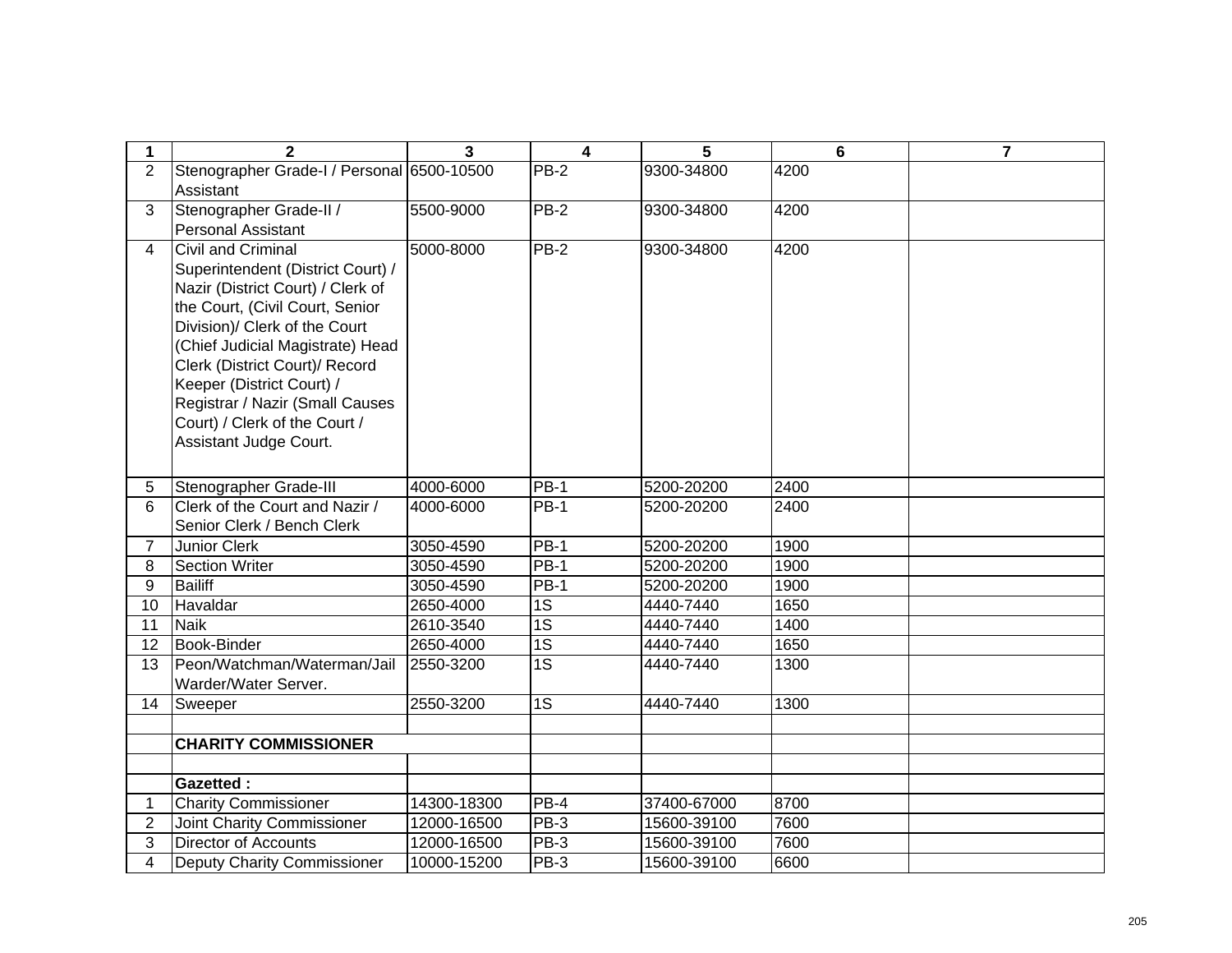| 1              | $\overline{2}$                             | $\overline{3}$ | $\overline{\mathbf{4}}$ | 5           | $6\phantom{1}$ | $\overline{7}$ |
|----------------|--------------------------------------------|----------------|-------------------------|-------------|----------------|----------------|
| $\overline{2}$ | Stenographer Grade-I / Personal 6500-10500 |                | $PB-2$                  | 9300-34800  | 4200           |                |
|                | Assistant                                  |                |                         |             |                |                |
| 3              | Stenographer Grade-II /                    | 5500-9000      | PB-2                    | 9300-34800  | 4200           |                |
|                | <b>Personal Assistant</b>                  |                |                         |             |                |                |
| 4              | <b>Civil and Criminal</b>                  | 5000-8000      | <b>PB-2</b>             | 9300-34800  | 4200           |                |
|                | Superintendent (District Court) /          |                |                         |             |                |                |
|                | Nazir (District Court) / Clerk of          |                |                         |             |                |                |
|                | the Court, (Civil Court, Senior            |                |                         |             |                |                |
|                | Division)/ Clerk of the Court              |                |                         |             |                |                |
|                | (Chief Judicial Magistrate) Head           |                |                         |             |                |                |
|                | Clerk (District Court)/ Record             |                |                         |             |                |                |
|                | Keeper (District Court) /                  |                |                         |             |                |                |
|                | Registrar / Nazir (Small Causes            |                |                         |             |                |                |
|                | Court) / Clerk of the Court /              |                |                         |             |                |                |
|                | Assistant Judge Court.                     |                |                         |             |                |                |
|                |                                            |                |                         |             |                |                |
| 5              | Stenographer Grade-III                     | 4000-6000      | PB-1                    | 5200-20200  | 2400           |                |
| 6              | Clerk of the Court and Nazir /             | 4000-6000      | <b>PB-1</b>             | 5200-20200  | 2400           |                |
|                | Senior Clerk / Bench Clerk                 |                |                         |             |                |                |
| $\overline{7}$ | <b>Junior Clerk</b>                        | 3050-4590      | PB-1                    | 5200-20200  | 1900           |                |
| 8              | <b>Section Writer</b>                      | 3050-4590      | <b>PB-1</b>             | 5200-20200  | 1900           |                |
| 9              | <b>Bailiff</b>                             | 3050-4590      | $PB-1$                  | 5200-20200  | 1900           |                |
| 10             | Havaldar                                   | 2650-4000      | $\overline{1S}$         | 4440-7440   | 1650           |                |
| 11             | <b>Naik</b>                                | 2610-3540      | 1S                      | 4440-7440   | 1400           |                |
| 12             | <b>Book-Binder</b>                         | 2650-4000      | $\overline{1S}$         | 4440-7440   | 1650           |                |
| 13             | Peon/Watchman/Waterman/Jail                | 2550-3200      | 1S                      | 4440-7440   | 1300           |                |
|                | Warder/Water Server.                       |                |                         |             |                |                |
| 14             | Sweeper                                    | 2550-3200      | 1S                      | 4440-7440   | 1300           |                |
|                |                                            |                |                         |             |                |                |
|                | <b>CHARITY COMMISSIONER</b>                |                |                         |             |                |                |
|                |                                            |                |                         |             |                |                |
|                | <b>Gazetted:</b>                           |                |                         |             |                |                |
| 1              | <b>Charity Commissioner</b>                | 14300-18300    | $PB-4$                  | 37400-67000 | 8700           |                |
| $\overline{2}$ | Joint Charity Commissioner                 | 12000-16500    | PB-3                    | 15600-39100 | 7600           |                |
| 3              | <b>Director of Accounts</b>                | 12000-16500    | <b>PB-3</b>             | 15600-39100 | 7600           |                |
| 4              | <b>Deputy Charity Commissioner</b>         | 10000-15200    | PB-3                    | 15600-39100 | 6600           |                |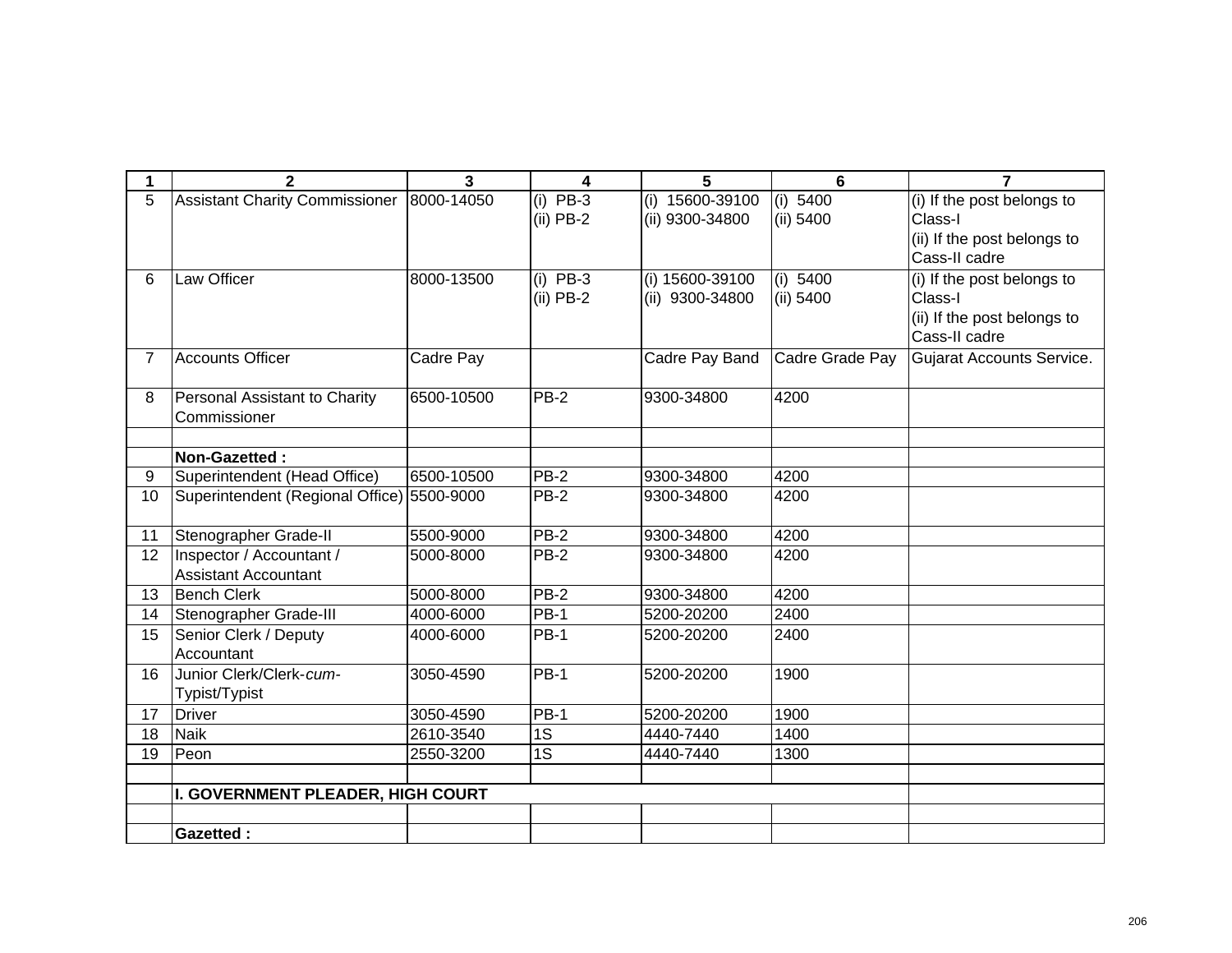| 1  | $\mathbf{2}$                                            | $\overline{3}$ | 4                         | 5                                  | 6                     | $\overline{7}$                                                                        |
|----|---------------------------------------------------------|----------------|---------------------------|------------------------------------|-----------------------|---------------------------------------------------------------------------------------|
| 5  | <b>Assistant Charity Commissioner</b>                   | 8000-14050     | $(i)$ PB-3<br>$(ii)$ PB-2 | (i) 15600-39100<br>(ii) 9300-34800 | (i) 5400<br>(ii) 5400 | (i) If the post belongs to<br>Class-I<br>(ii) If the post belongs to<br>Cass-II cadre |
| 6  | Law Officer                                             | 8000-13500     | $(i)$ PB-3<br>$(ii)$ PB-2 | (i) 15600-39100<br>(ii) 9300-34800 | (i) 5400<br>(ii) 5400 | (i) If the post belongs to<br>Class-I<br>(ii) If the post belongs to<br>Cass-II cadre |
| 7  | <b>Accounts Officer</b>                                 | Cadre Pay      |                           | Cadre Pay Band                     | Cadre Grade Pay       | <b>Gujarat Accounts Service.</b>                                                      |
| 8  | Personal Assistant to Charity<br>Commissioner           | 6500-10500     | $PB-2$                    | 9300-34800                         | 4200                  |                                                                                       |
|    | Non-Gazetted:                                           |                |                           |                                    |                       |                                                                                       |
| 9  | Superintendent (Head Office)                            | 6500-10500     | PB-2                      | 9300-34800                         | 4200                  |                                                                                       |
| 10 | Superintendent (Regional Office) 5500-9000              |                | $PB-2$                    | 9300-34800                         | 4200                  |                                                                                       |
| 11 | Stenographer Grade-II                                   | 5500-9000      | $PB-2$                    | 9300-34800                         | 4200                  |                                                                                       |
| 12 | Inspector / Accountant /<br><b>Assistant Accountant</b> | 5000-8000      | $PB-2$                    | 9300-34800                         | 4200                  |                                                                                       |
| 13 | <b>Bench Clerk</b>                                      | 5000-8000      | $PB-2$                    | 9300-34800                         | 4200                  |                                                                                       |
| 14 | Stenographer Grade-III                                  | 4000-6000      | <b>PB-1</b>               | 5200-20200                         | 2400                  |                                                                                       |
| 15 | Senior Clerk / Deputy<br>Accountant                     | 4000-6000      | <b>PB-1</b>               | 5200-20200                         | 2400                  |                                                                                       |
| 16 | Junior Clerk/Clerk-cum-<br>Typist/Typist                | 3050-4590      | $PB-1$                    | 5200-20200                         | 1900                  |                                                                                       |
| 17 | <b>Driver</b>                                           | 3050-4590      | $PB-1$                    | 5200-20200                         | 1900                  |                                                                                       |
| 18 | <b>Naik</b>                                             | 2610-3540      | 1S                        | 4440-7440                          | 1400                  |                                                                                       |
| 19 | Peon                                                    | 2550-3200      | $\overline{1S}$           | 4440-7440                          | 1300                  |                                                                                       |
|    |                                                         |                |                           |                                    |                       |                                                                                       |
|    | I. GOVERNMENT PLEADER, HIGH COURT                       |                |                           |                                    |                       |                                                                                       |
|    |                                                         |                |                           |                                    |                       |                                                                                       |
|    | <b>Gazetted:</b>                                        |                |                           |                                    |                       |                                                                                       |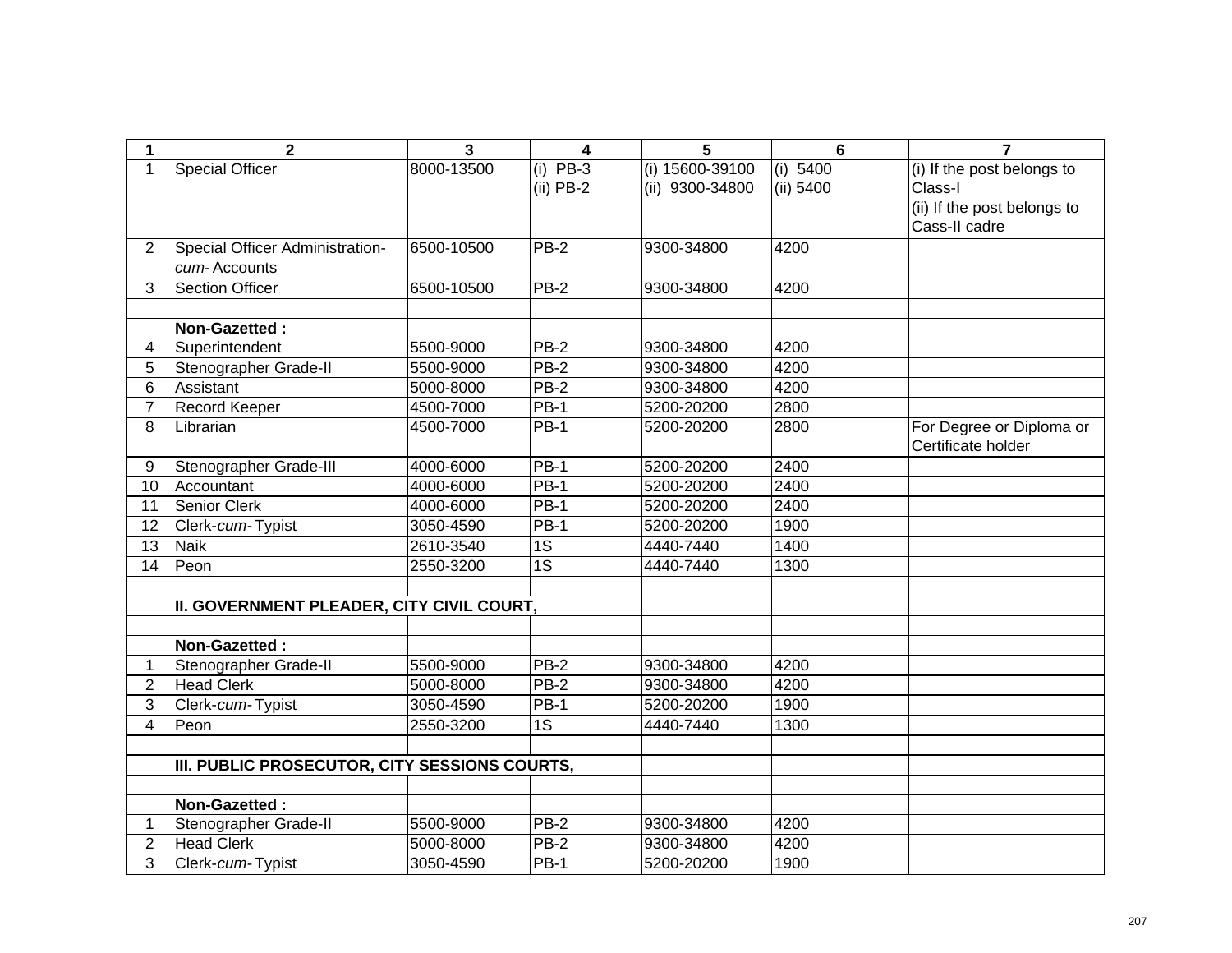| 1               | $\mathbf{2}$                                  | 3          | 4               | 5               | $6\phantom{1}6$ | $\overline{7}$              |
|-----------------|-----------------------------------------------|------------|-----------------|-----------------|-----------------|-----------------------------|
| 1               | <b>Special Officer</b>                        | 8000-13500 | $(i)$ PB-3      | (i) 15600-39100 | (i) 5400        | (i) If the post belongs to  |
|                 |                                               |            | $(ii)$ PB-2     | (ii) 9300-34800 | (ii) 5400       | Class-I                     |
|                 |                                               |            |                 |                 |                 | (ii) If the post belongs to |
|                 |                                               |            |                 |                 |                 | Cass-II cadre               |
| 2               | Special Officer Administration-               | 6500-10500 | <b>PB-2</b>     | 9300-34800      | 4200            |                             |
|                 | cum-Accounts                                  |            |                 |                 |                 |                             |
| 3               | <b>Section Officer</b>                        | 6500-10500 | $PB-2$          | 9300-34800      | 4200            |                             |
|                 |                                               |            |                 |                 |                 |                             |
|                 | Non-Gazetted:                                 |            |                 |                 |                 |                             |
| 4               | Superintendent                                | 5500-9000  | $PB-2$          | 9300-34800      | 4200            |                             |
| 5               | Stenographer Grade-II                         | 5500-9000  | $PB-2$          | 9300-34800      | 4200            |                             |
| 6               | Assistant                                     | 5000-8000  | $PB-2$          | 9300-34800      | 4200            |                             |
| $\overline{7}$  | Record Keeper                                 | 4500-7000  | $PB-1$          | 5200-20200      | 2800            |                             |
| 8               | Librarian                                     | 4500-7000  | $PB-1$          | 5200-20200      | 2800            | For Degree or Diploma or    |
|                 |                                               |            |                 |                 |                 | Certificate holder          |
| 9               | Stenographer Grade-III                        | 4000-6000  | <b>PB-1</b>     | 5200-20200      | 2400            |                             |
| 10              | Accountant                                    | 4000-6000  | $PB-1$          | 5200-20200      | 2400            |                             |
| 11              | Senior Clerk                                  | 4000-6000  | $PB-1$          | 5200-20200      | 2400            |                             |
| 12              | Clerk-cum-Typist                              | 3050-4590  | PB-1            | 5200-20200      | 1900            |                             |
| 13              | <b>Naik</b>                                   | 2610-3540  | $\overline{1S}$ | 4440-7440       | 1400            |                             |
| $\overline{14}$ | Peon                                          | 2550-3200  | 1S              | 4440-7440       | 1300            |                             |
|                 |                                               |            |                 |                 |                 |                             |
|                 | II. GOVERNMENT PLEADER, CITY CIVIL COURT,     |            |                 |                 |                 |                             |
|                 |                                               |            |                 |                 |                 |                             |
|                 | Non-Gazetted:                                 |            |                 |                 |                 |                             |
| 1               | Stenographer Grade-II                         | 5500-9000  | $PB-2$          | 9300-34800      | 4200            |                             |
| $\overline{2}$  | <b>Head Clerk</b>                             | 5000-8000  | PB-2            | 9300-34800      | 4200            |                             |
| 3               | Clerk-cum-Typist                              | 3050-4590  | $PB-1$          | 5200-20200      | 1900            |                             |
| 4               | Peon                                          | 2550-3200  | $\overline{1S}$ | 4440-7440       | 1300            |                             |
|                 |                                               |            |                 |                 |                 |                             |
|                 | III. PUBLIC PROSECUTOR, CITY SESSIONS COURTS, |            |                 |                 |                 |                             |
|                 |                                               |            |                 |                 |                 |                             |
|                 | Non-Gazetted:                                 |            |                 |                 |                 |                             |
| 1               | Stenographer Grade-II                         | 5500-9000  | PB-2            | 9300-34800      | 4200            |                             |
| $\overline{2}$  | <b>Head Clerk</b>                             | 5000-8000  | PB-2            | 9300-34800      | 4200            |                             |
| 3               | Clerk-cum-Typist                              | 3050-4590  | <b>PB-1</b>     | 5200-20200      | 1900            |                             |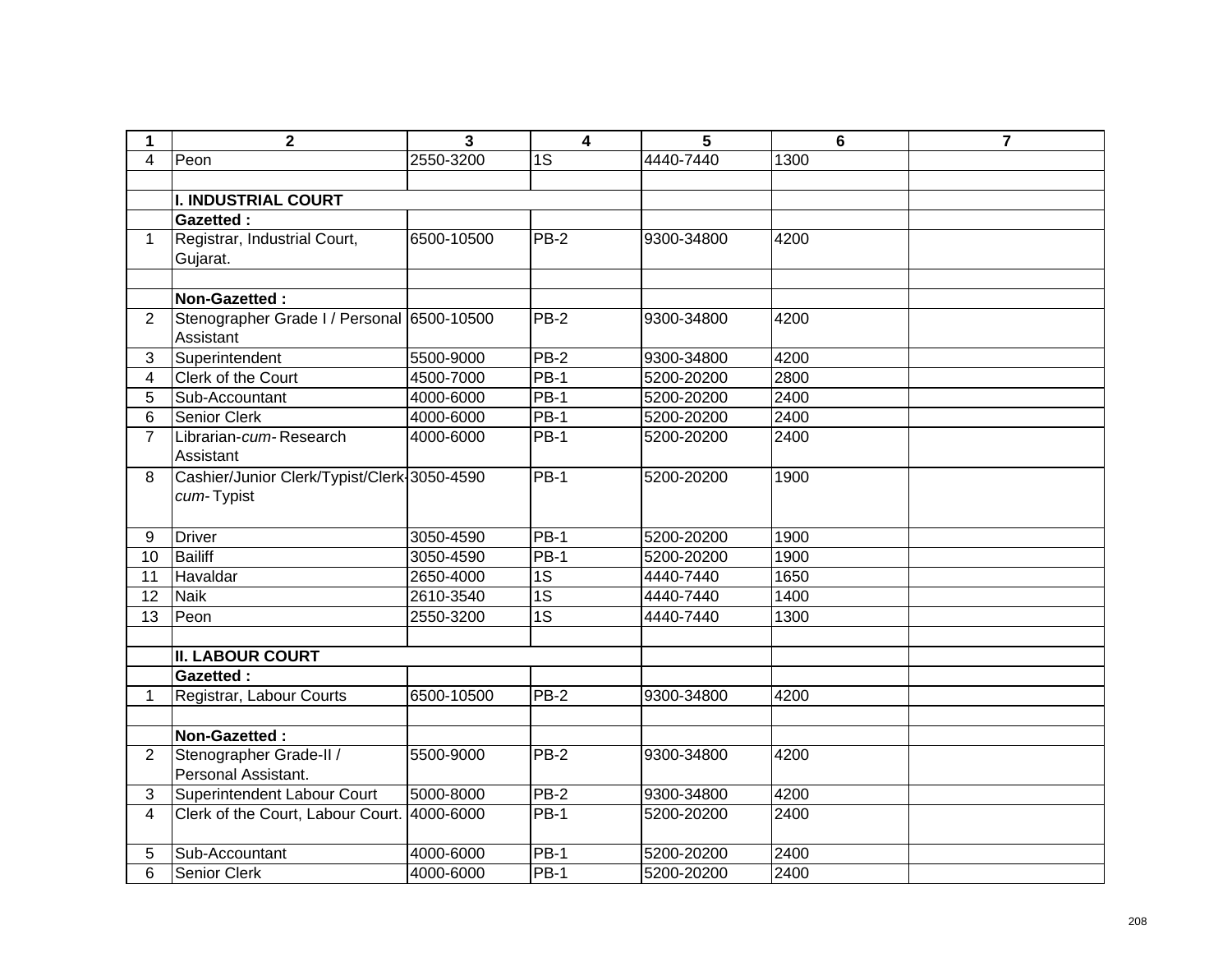| 1                       | $\mathbf{2}$                                | 3          | $\overline{\mathbf{4}}$ | 5          | 6    | $\overline{7}$ |
|-------------------------|---------------------------------------------|------------|-------------------------|------------|------|----------------|
| $\overline{4}$          | Peon                                        | 2550-3200  | 1S                      | 4440-7440  | 1300 |                |
|                         |                                             |            |                         |            |      |                |
|                         | <b>I. INDUSTRIAL COURT</b>                  |            |                         |            |      |                |
|                         | <b>Gazetted:</b>                            |            |                         |            |      |                |
| $\mathbf{1}$            | Registrar, Industrial Court,                | 6500-10500 | $PB-2$                  | 9300-34800 | 4200 |                |
|                         | Gujarat.                                    |            |                         |            |      |                |
|                         |                                             |            |                         |            |      |                |
|                         | Non-Gazetted:                               |            |                         |            |      |                |
| $\overline{2}$          | Stenographer Grade I / Personal 6500-10500  |            | $PB-2$                  | 9300-34800 | 4200 |                |
|                         | Assistant                                   |            |                         |            |      |                |
| 3                       | Superintendent                              | 5500-9000  | $PB-2$                  | 9300-34800 | 4200 |                |
| $\overline{\mathbf{4}}$ | Clerk of the Court                          | 4500-7000  | $PB-1$                  | 5200-20200 | 2800 |                |
| 5                       | Sub-Accountant                              | 4000-6000  | <b>PB-1</b>             | 5200-20200 | 2400 |                |
| 6                       | Senior Clerk                                | 4000-6000  | <b>PB-1</b>             | 5200-20200 | 2400 |                |
| $\overline{7}$          | Librarian-cum-Research                      | 4000-6000  | <b>PB-1</b>             | 5200-20200 | 2400 |                |
|                         | Assistant                                   |            |                         |            |      |                |
| 8                       | Cashier/Junior Clerk/Typist/Clerk-3050-4590 |            | <b>PB-1</b>             | 5200-20200 | 1900 |                |
|                         | cum-Typist                                  |            |                         |            |      |                |
|                         |                                             |            |                         |            |      |                |
| 9                       | <b>Driver</b>                               | 3050-4590  | $PB-1$                  | 5200-20200 | 1900 |                |
| 10                      | <b>Bailiff</b>                              | 3050-4590  | <b>PB-1</b>             | 5200-20200 | 1900 |                |
| 11                      | Havaldar                                    | 2650-4000  | 1S                      | 4440-7440  | 1650 |                |
| 12                      | <b>Naik</b>                                 | 2610-3540  | 1S                      | 4440-7440  | 1400 |                |
| 13                      | Peon                                        | 2550-3200  | $\overline{1S}$         | 4440-7440  | 1300 |                |
|                         |                                             |            |                         |            |      |                |
|                         | <b>II. LABOUR COURT</b>                     |            |                         |            |      |                |
|                         | <b>Gazetted:</b>                            |            |                         |            |      |                |
| 1                       | Registrar, Labour Courts                    | 6500-10500 | $PB-2$                  | 9300-34800 | 4200 |                |
|                         |                                             |            |                         |            |      |                |
|                         | Non-Gazetted:                               |            |                         |            |      |                |
| $\overline{2}$          | Stenographer Grade-II /                     | 5500-9000  | $PB-2$                  | 9300-34800 | 4200 |                |
|                         | Personal Assistant.                         |            |                         |            |      |                |
| $\mathbf{3}$            | Superintendent Labour Court                 | 5000-8000  | $PB-2$                  | 9300-34800 | 4200 |                |
| 4                       | Clerk of the Court, Labour Court. 4000-6000 |            | <b>PB-1</b>             | 5200-20200 | 2400 |                |
|                         |                                             |            |                         |            |      |                |
| 5                       | Sub-Accountant                              | 4000-6000  | <b>PB-1</b>             | 5200-20200 | 2400 |                |
| 6                       | Senior Clerk                                | 4000-6000  | <b>PB-1</b>             | 5200-20200 | 2400 |                |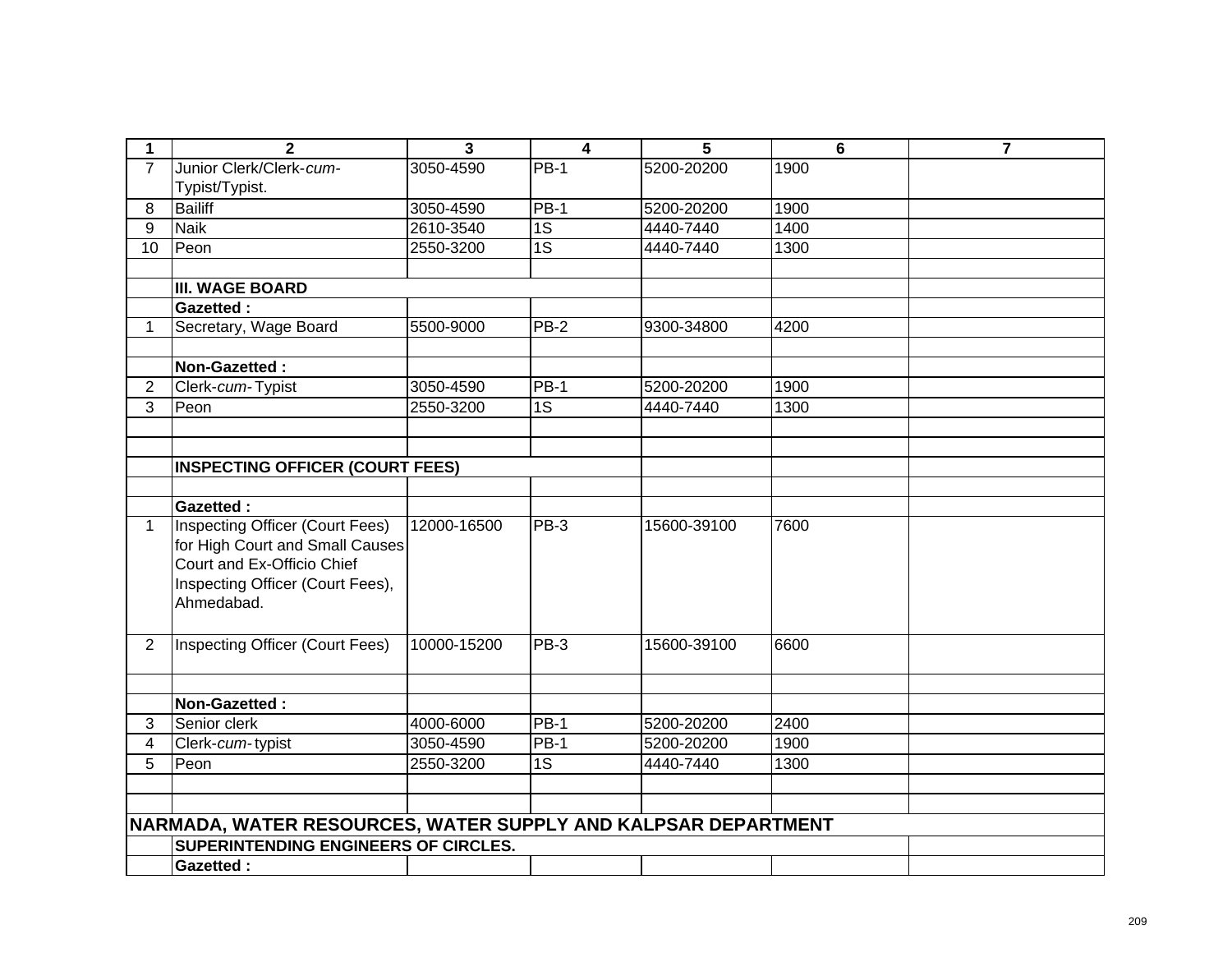| 1              | $\overline{2}$                                                | $\overline{\mathbf{3}}$ | $\overline{\mathbf{4}}$ | 5           | 6    | $\overline{7}$ |
|----------------|---------------------------------------------------------------|-------------------------|-------------------------|-------------|------|----------------|
| $\overline{7}$ | Junior Clerk/Clerk-cum-                                       | 3050-4590               | $PB-1$                  | 5200-20200  | 1900 |                |
|                | Typist/Typist.                                                |                         |                         |             |      |                |
| 8              | <b>Bailiff</b>                                                | 3050-4590               | <b>PB-1</b>             | 5200-20200  | 1900 |                |
| 9              | <b>Naik</b>                                                   | 2610-3540               | $\overline{1S}$         | 4440-7440   | 1400 |                |
| 10             | Peon                                                          | 2550-3200               | $\overline{1S}$         | 4440-7440   | 1300 |                |
|                |                                                               |                         |                         |             |      |                |
|                | <b>III. WAGE BOARD</b>                                        |                         |                         |             |      |                |
|                | <b>Gazetted:</b>                                              |                         |                         |             |      |                |
| 1              | Secretary, Wage Board                                         | 5500-9000               | $PB-2$                  | 9300-34800  | 4200 |                |
|                |                                                               |                         |                         |             |      |                |
|                | Non-Gazetted:                                                 |                         |                         |             |      |                |
| $\overline{2}$ | Clerk-cum-Typist                                              | 3050-4590               | <b>PB-1</b>             | 5200-20200  | 1900 |                |
| 3              | Peon                                                          | 2550-3200               | $\overline{1S}$         | 4440-7440   | 1300 |                |
|                |                                                               |                         |                         |             |      |                |
|                |                                                               |                         |                         |             |      |                |
|                | <b>INSPECTING OFFICER (COURT FEES)</b>                        |                         |                         |             |      |                |
|                |                                                               |                         |                         |             |      |                |
|                | <b>Gazetted:</b>                                              |                         |                         |             |      |                |
| $\mathbf{1}$   | <b>Inspecting Officer (Court Fees)</b>                        | 12000-16500             | PB-3                    | 15600-39100 | 7600 |                |
|                | for High Court and Small Causes                               |                         |                         |             |      |                |
|                | Court and Ex-Officio Chief                                    |                         |                         |             |      |                |
|                | Inspecting Officer (Court Fees),<br>Ahmedabad.                |                         |                         |             |      |                |
|                |                                                               |                         |                         |             |      |                |
|                |                                                               |                         |                         |             |      |                |
| $\overline{2}$ | Inspecting Officer (Court Fees)                               | 10000-15200             | PB-3                    | 15600-39100 | 6600 |                |
|                |                                                               |                         |                         |             |      |                |
|                | Non-Gazetted:                                                 |                         |                         |             |      |                |
| 3              | Senior clerk                                                  | 4000-6000               | PB-1                    | 5200-20200  | 2400 |                |
| $\overline{4}$ | Clerk-cum-typist                                              | 3050-4590               | $PB-1$                  | 5200-20200  | 1900 |                |
| 5              | Peon                                                          | 2550-3200               | $\overline{1S}$         | 4440-7440   | 1300 |                |
|                |                                                               |                         |                         |             |      |                |
|                |                                                               |                         |                         |             |      |                |
|                | NARMADA, WATER RESOURCES, WATER SUPPLY AND KALPSAR DEPARTMENT |                         |                         |             |      |                |
|                | SUPERINTENDING ENGINEERS OF CIRCLES.                          |                         |                         |             |      |                |
|                | <b>Gazetted:</b>                                              |                         |                         |             |      |                |
|                |                                                               |                         |                         |             |      |                |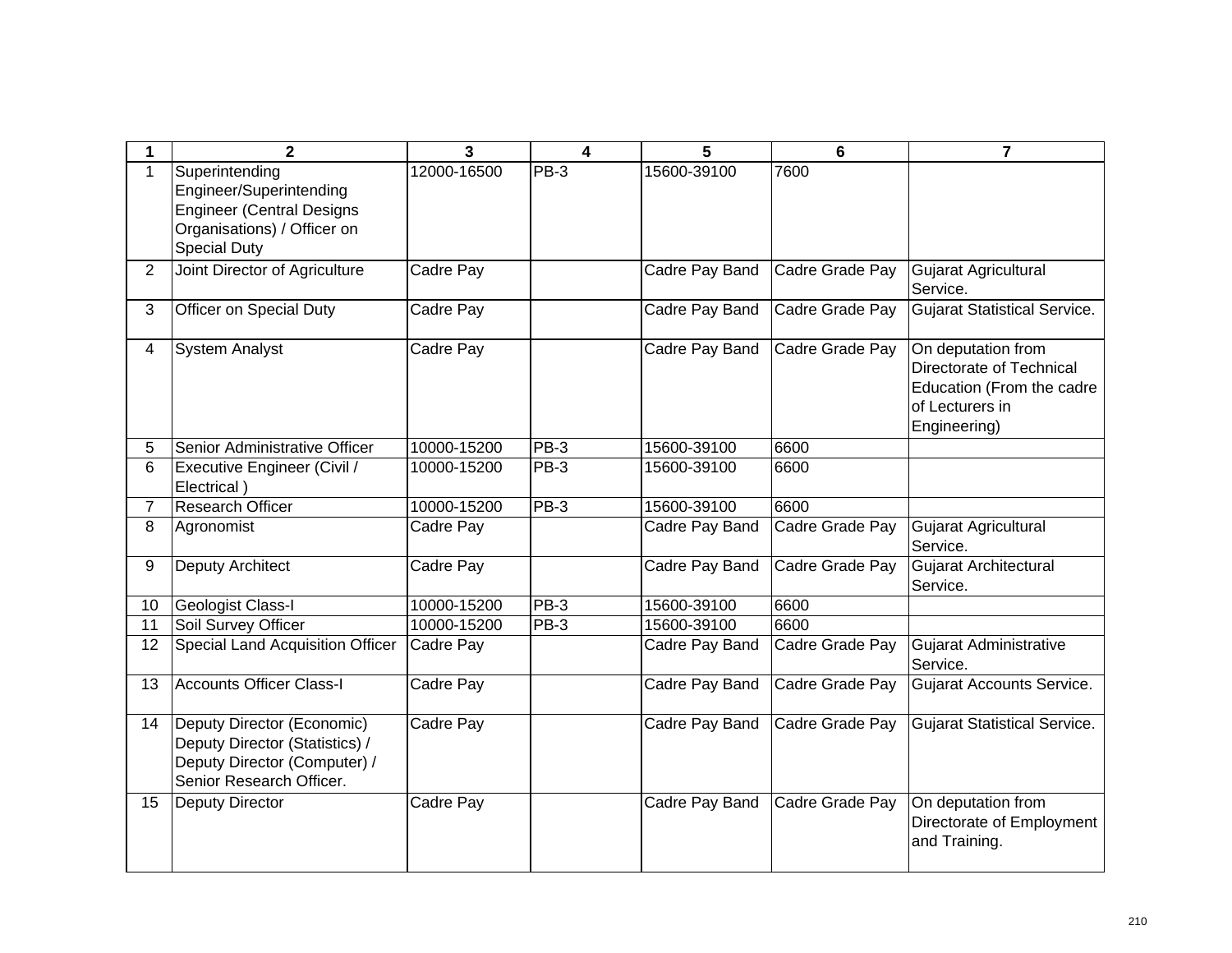|                | $\mathbf{2}$                                                                                                                        | 3           | 4      | 5              | 6               | 7                                                                                                              |
|----------------|-------------------------------------------------------------------------------------------------------------------------------------|-------------|--------|----------------|-----------------|----------------------------------------------------------------------------------------------------------------|
| 1              | Superintending<br>Engineer/Superintending<br><b>Engineer (Central Designs</b><br>Organisations) / Officer on<br><b>Special Duty</b> | 12000-16500 | PB-3   | 15600-39100    | 7600            |                                                                                                                |
| $\overline{2}$ | Joint Director of Agriculture                                                                                                       | Cadre Pay   |        | Cadre Pay Band | Cadre Grade Pay | Gujarat Agricultural<br>Service.                                                                               |
| 3              | Officer on Special Duty                                                                                                             | Cadre Pay   |        | Cadre Pay Band | Cadre Grade Pay | <b>Gujarat Statistical Service.</b>                                                                            |
| 4              | <b>System Analyst</b>                                                                                                               | Cadre Pay   |        | Cadre Pay Band | Cadre Grade Pay | On deputation from<br>Directorate of Technical<br>Education (From the cadre<br>of Lecturers in<br>Engineering) |
| 5              | Senior Administrative Officer                                                                                                       | 10000-15200 | PB-3   | 15600-39100    | 6600            |                                                                                                                |
| 6              | Executive Engineer (Civil /<br>Electrical)                                                                                          | 10000-15200 | PB-3   | 15600-39100    | 6600            |                                                                                                                |
| $\overline{7}$ | <b>Research Officer</b>                                                                                                             | 10000-15200 | $PB-3$ | 15600-39100    | 6600            |                                                                                                                |
| 8              | Agronomist                                                                                                                          | Cadre Pay   |        | Cadre Pay Band | Cadre Grade Pay | Gujarat Agricultural<br>Service.                                                                               |
| 9              | <b>Deputy Architect</b>                                                                                                             | Cadre Pay   |        | Cadre Pay Band | Cadre Grade Pay | Gujarat Architectural<br>Service.                                                                              |
| 10             | <b>Geologist Class-I</b>                                                                                                            | 10000-15200 | PB-3   | 15600-39100    | 6600            |                                                                                                                |
| 11             | Soil Survey Officer                                                                                                                 | 10000-15200 | $PB-3$ | 15600-39100    | 6600            |                                                                                                                |
| 12             | Special Land Acquisition Officer                                                                                                    | Cadre Pay   |        | Cadre Pay Band | Cadre Grade Pay | Gujarat Administrative<br>Service.                                                                             |
| 13             | <b>Accounts Officer Class-I</b>                                                                                                     | Cadre Pay   |        | Cadre Pay Band | Cadre Grade Pay | Gujarat Accounts Service.                                                                                      |
| 14             | Deputy Director (Economic)<br>Deputy Director (Statistics) /<br>Deputy Director (Computer) /<br>Senior Research Officer.            | Cadre Pay   |        | Cadre Pay Band | Cadre Grade Pay | <b>Gujarat Statistical Service.</b>                                                                            |
| 15             | <b>Deputy Director</b>                                                                                                              | Cadre Pay   |        | Cadre Pay Band | Cadre Grade Pay | On deputation from<br>Directorate of Employment<br>and Training.                                               |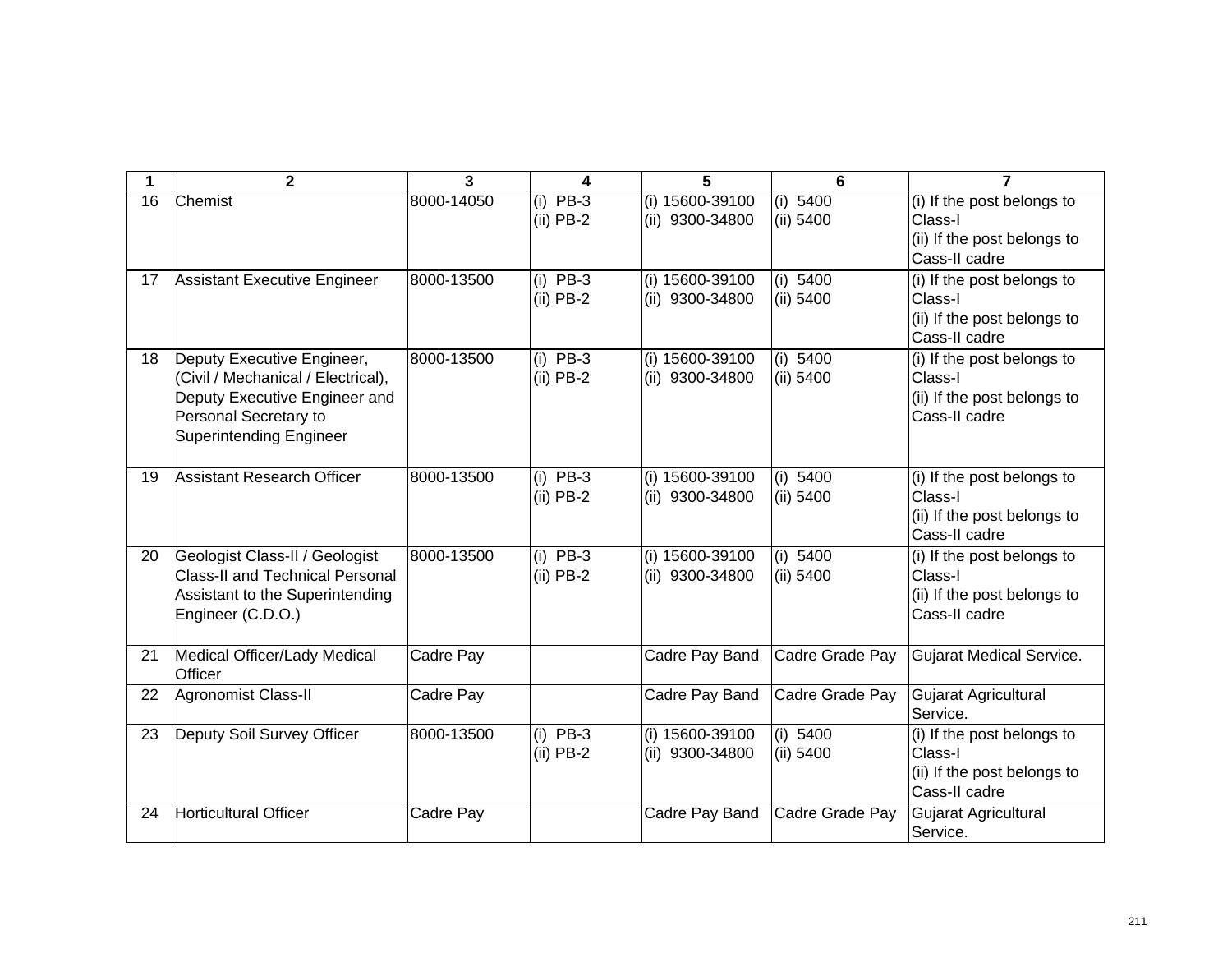|    | $\mathbf{2}$                                                                                                                                                 | 3          | 4                         | 5                                  | 6                       | $\overline{7}$                                                                        |
|----|--------------------------------------------------------------------------------------------------------------------------------------------------------------|------------|---------------------------|------------------------------------|-------------------------|---------------------------------------------------------------------------------------|
| 16 | Chemist                                                                                                                                                      | 8000-14050 | $(i)$ PB-3<br>$(ii)$ PB-2 | (i) 15600-39100<br>(ii) 9300-34800 | (i) 5400<br>(ii) 5400   | (i) If the post belongs to<br>Class-I<br>(ii) If the post belongs to<br>Cass-II cadre |
| 17 | <b>Assistant Executive Engineer</b>                                                                                                                          | 8000-13500 | $(i)$ PB-3<br>$(ii)$ PB-2 | (i) 15600-39100<br>(ii) 9300-34800 | (i) $5400$<br>(ii) 5400 | (i) If the post belongs to<br>Class-I<br>(ii) If the post belongs to<br>Cass-II cadre |
| 18 | Deputy Executive Engineer,<br>(Civil / Mechanical / Electrical),<br>Deputy Executive Engineer and<br>Personal Secretary to<br><b>Superintending Engineer</b> | 8000-13500 | $(i)$ PB-3<br>$(ii)$ PB-2 | (i) 15600-39100<br>(ii) 9300-34800 | (i) 5400<br>(ii) 5400   | (i) If the post belongs to<br>Class-I<br>(ii) If the post belongs to<br>Cass-II cadre |
| 19 | <b>Assistant Research Officer</b>                                                                                                                            | 8000-13500 | $(i)$ PB-3<br>$(ii)$ PB-2 | (i) 15600-39100<br>(ii) 9300-34800 | (i) $5400$<br>(ii) 5400 | (i) If the post belongs to<br>Class-I<br>(ii) If the post belongs to<br>Cass-II cadre |
| 20 | Geologist Class-II / Geologist<br><b>Class-II and Technical Personal</b><br>Assistant to the Superintending<br>Engineer (C.D.O.)                             | 8000-13500 | $(i)$ PB-3<br>$(ii)$ PB-2 | (i) 15600-39100<br>(ii) 9300-34800 | (i) 5400<br>(ii) 5400   | (i) If the post belongs to<br>Class-I<br>(ii) If the post belongs to<br>Cass-II cadre |
| 21 | Medical Officer/Lady Medical<br>Officer                                                                                                                      | Cadre Pay  |                           | Cadre Pay Band                     | Cadre Grade Pay         | Gujarat Medical Service.                                                              |
| 22 | <b>Agronomist Class-II</b>                                                                                                                                   | Cadre Pay  |                           | Cadre Pay Band                     | Cadre Grade Pay         | Gujarat Agricultural<br>Service.                                                      |
| 23 | Deputy Soil Survey Officer                                                                                                                                   | 8000-13500 | $(i)$ PB-3<br>$(ii)$ PB-2 | (i) 15600-39100<br>(ii) 9300-34800 | (i) 5400<br>(ii) 5400   | (i) If the post belongs to<br>Class-I<br>(ii) If the post belongs to<br>Cass-II cadre |
| 24 | <b>Horticultural Officer</b>                                                                                                                                 | Cadre Pay  |                           | Cadre Pay Band                     | Cadre Grade Pay         | Gujarat Agricultural<br>Service.                                                      |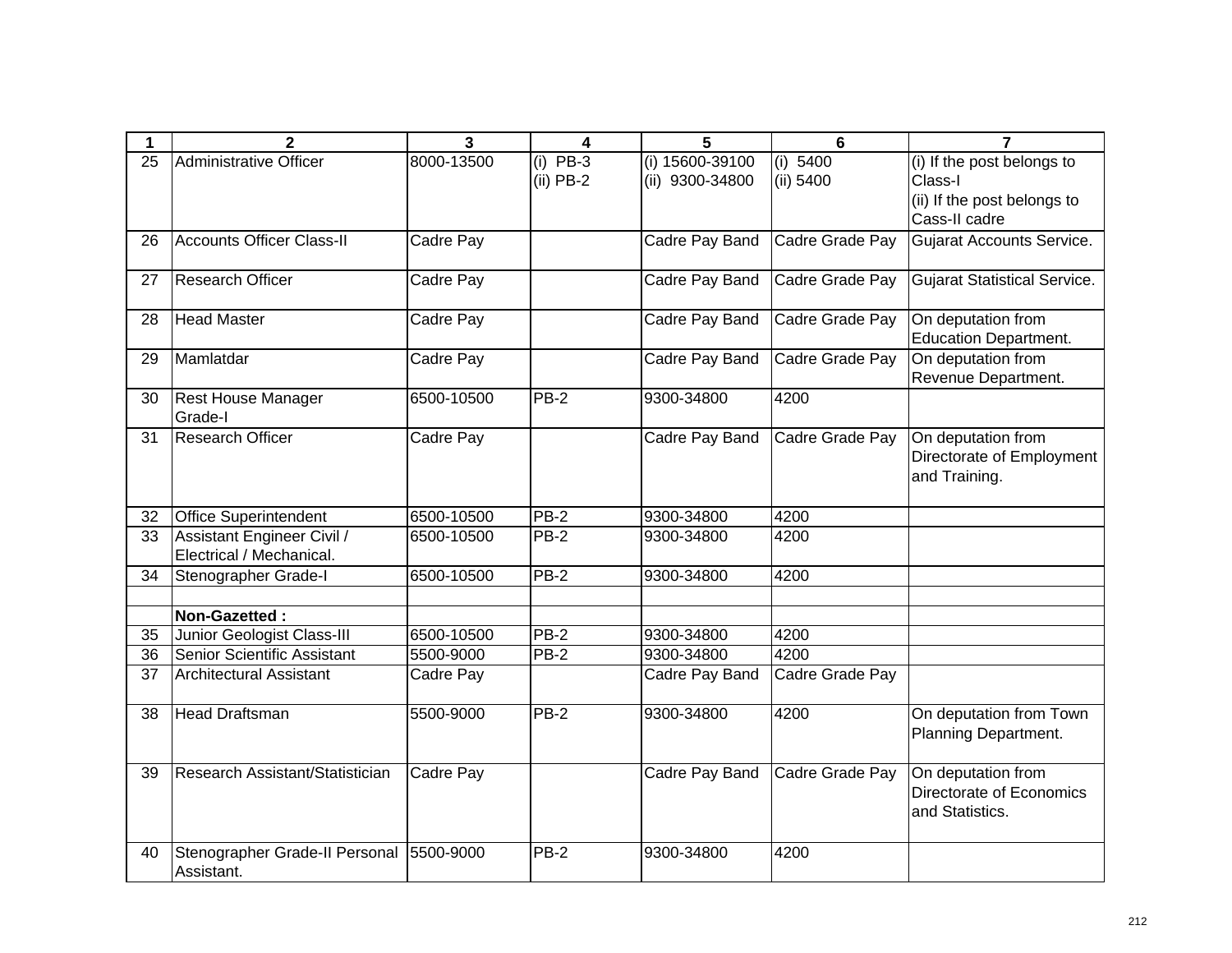| 1  | $\overline{2}$                   | $\overline{\mathbf{3}}$ | 4           | 5               | $6\phantom{1}6$ | $\overline{7}$                                     |
|----|----------------------------------|-------------------------|-------------|-----------------|-----------------|----------------------------------------------------|
| 25 | Administrative Officer           | 8000-13500              | $(i)$ PB-3  | (i) 15600-39100 | (i) 5400        | (i) If the post belongs to                         |
|    |                                  |                         | $(ii)$ PB-2 | (ii) 9300-34800 | (ii) 5400       | Class-I                                            |
|    |                                  |                         |             |                 |                 | (ii) If the post belongs to                        |
|    |                                  |                         |             |                 |                 | Cass-II cadre                                      |
| 26 | <b>Accounts Officer Class-II</b> | Cadre Pay               |             | Cadre Pay Band  | Cadre Grade Pay | <b>Gujarat Accounts Service.</b>                   |
| 27 | <b>Research Officer</b>          | Cadre Pay               |             | Cadre Pay Band  | Cadre Grade Pay | <b>Gujarat Statistical Service.</b>                |
| 28 | <b>Head Master</b>               | Cadre Pay               |             | Cadre Pay Band  | Cadre Grade Pay | On deputation from<br><b>Education Department.</b> |
| 29 | Mamlatdar                        | Cadre Pay               |             | Cadre Pay Band  | Cadre Grade Pay | On deputation from<br>Revenue Department.          |
| 30 | <b>Rest House Manager</b>        | 6500-10500              | PB-2        | 9300-34800      | 4200            |                                                    |
|    | Grade-I                          |                         |             |                 |                 |                                                    |
| 31 | <b>Research Officer</b>          | Cadre Pay               |             | Cadre Pay Band  | Cadre Grade Pay | On deputation from                                 |
|    |                                  |                         |             |                 |                 | Directorate of Employment                          |
|    |                                  |                         |             |                 |                 | and Training.                                      |
| 32 | <b>Office Superintendent</b>     | 6500-10500              | PB-2        | 9300-34800      | 4200            |                                                    |
| 33 | Assistant Engineer Civil /       | 6500-10500              | PB-2        | 9300-34800      | 4200            |                                                    |
|    | Electrical / Mechanical.         |                         |             |                 |                 |                                                    |
| 34 | Stenographer Grade-I             | 6500-10500              | <b>PB-2</b> | 9300-34800      | 4200            |                                                    |
|    |                                  |                         |             |                 |                 |                                                    |
|    | Non-Gazetted:                    |                         |             |                 |                 |                                                    |
| 35 | Junior Geologist Class-III       | 6500-10500              | $PB-2$      | 9300-34800      | 4200            |                                                    |
| 36 | Senior Scientific Assistant      | 5500-9000               | PB-2        | 9300-34800      | 4200            |                                                    |
| 37 | <b>Architectural Assistant</b>   | Cadre Pay               |             | Cadre Pay Band  | Cadre Grade Pay |                                                    |
| 38 | <b>Head Draftsman</b>            | 5500-9000               | <b>PB-2</b> | 9300-34800      | 4200            | On deputation from Town                            |
|    |                                  |                         |             |                 |                 | Planning Department.                               |
| 39 | Research Assistant/Statistician  | Cadre Pay               |             | Cadre Pay Band  | Cadre Grade Pay | On deputation from                                 |
|    |                                  |                         |             |                 |                 | Directorate of Economics                           |
|    |                                  |                         |             |                 |                 | and Statistics.                                    |
| 40 | Stenographer Grade-II Personal   | 5500-9000               | PB-2        | 9300-34800      | 4200            |                                                    |
|    | Assistant.                       |                         |             |                 |                 |                                                    |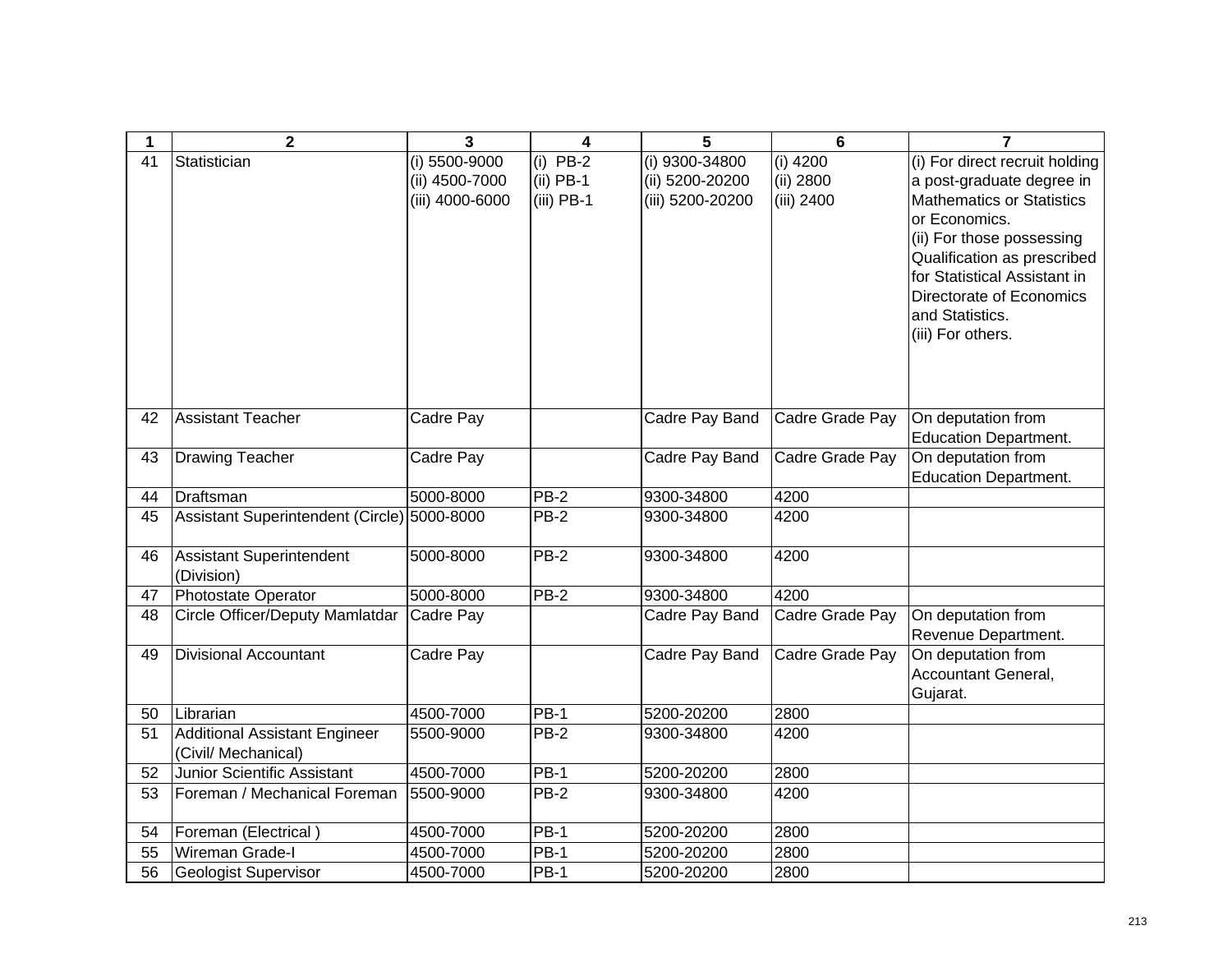| 1        | $\mathbf{2}$                                                | 3                               | 4                          | 5                                 | $6\phantom{1}6$         | $\overline{7}$                                              |
|----------|-------------------------------------------------------------|---------------------------------|----------------------------|-----------------------------------|-------------------------|-------------------------------------------------------------|
| 41       | Statistician                                                | (i) 5500-9000<br>(ii) 4500-7000 | $(i)$ PB-2<br>$(ii)$ PB-1  | (i) 9300-34800<br>(ii) 5200-20200 | $(i)$ 4200<br>(ii) 2800 | (i) For direct recruit holding<br>a post-graduate degree in |
|          |                                                             | (iii) 4000-6000                 | $(iii)$ PB-1               | (iii) 5200-20200                  | (iii) 2400              | <b>Mathematics or Statistics</b>                            |
|          |                                                             |                                 |                            |                                   |                         | or Economics.                                               |
|          |                                                             |                                 |                            |                                   |                         | (ii) For those possessing<br>Qualification as prescribed    |
|          |                                                             |                                 |                            |                                   |                         | for Statistical Assistant in                                |
|          |                                                             |                                 |                            |                                   |                         | Directorate of Economics                                    |
|          |                                                             |                                 |                            |                                   |                         | and Statistics.                                             |
|          |                                                             |                                 |                            |                                   |                         | (iii) For others.                                           |
|          |                                                             |                                 |                            |                                   |                         |                                                             |
|          |                                                             |                                 |                            |                                   |                         |                                                             |
| 42       | Assistant Teacher                                           | Cadre Pay                       |                            | Cadre Pay Band                    | Cadre Grade Pay         | On deputation from                                          |
|          |                                                             |                                 |                            |                                   |                         | <b>Education Department.</b>                                |
| 43       | <b>Drawing Teacher</b>                                      | Cadre Pay                       |                            | Cadre Pay Band                    | Cadre Grade Pay         | On deputation from<br><b>Education Department.</b>          |
| 44       | Draftsman                                                   | 5000-8000                       | $PB-2$                     | 9300-34800                        | 4200                    |                                                             |
| 45       | Assistant Superintendent (Circle) 5000-8000                 |                                 | PB-2                       | 9300-34800                        | 4200                    |                                                             |
|          |                                                             |                                 |                            |                                   |                         |                                                             |
| 46       | Assistant Superintendent                                    | 5000-8000                       | <b>PB-2</b>                | 9300-34800                        | 4200                    |                                                             |
| 47       | (Division)<br>Photostate Operator                           | 5000-8000                       | PB-2                       | 9300-34800                        | 4200                    |                                                             |
| 48       | Circle Officer/Deputy Mamlatdar                             | Cadre Pay                       |                            | Cadre Pay Band                    | Cadre Grade Pay         | On deputation from                                          |
|          |                                                             |                                 |                            |                                   |                         | Revenue Department.                                         |
| 49       | <b>Divisional Accountant</b>                                | Cadre Pay                       |                            | Cadre Pay Band                    | Cadre Grade Pay         | On deputation from                                          |
|          |                                                             |                                 |                            |                                   |                         | Accountant General,                                         |
|          |                                                             |                                 |                            |                                   |                         | Gujarat.                                                    |
| 50<br>51 | Librarian                                                   | 4500-7000                       | <b>PB-1</b><br><b>PB-2</b> | 5200-20200                        | 2800<br>4200            |                                                             |
|          | <b>Additional Assistant Engineer</b><br>(Civil/ Mechanical) | 5500-9000                       |                            | 9300-34800                        |                         |                                                             |
| 52       | Junior Scientific Assistant                                 | 4500-7000                       | <b>PB-1</b>                | 5200-20200                        | 2800                    |                                                             |
| 53       | Foreman / Mechanical Foreman                                | 5500-9000                       | $PB-2$                     | 9300-34800                        | 4200                    |                                                             |
| 54       | Foreman (Electrical)                                        | 4500-7000                       | <b>PB-1</b>                | 5200-20200                        | 2800                    |                                                             |
| 55       | Wireman Grade-I                                             | 4500-7000                       | <b>PB-1</b>                | 5200-20200                        | 2800                    |                                                             |
| 56       | <b>Geologist Supervisor</b>                                 | 4500-7000                       | <b>PB-1</b>                | 5200-20200                        | 2800                    |                                                             |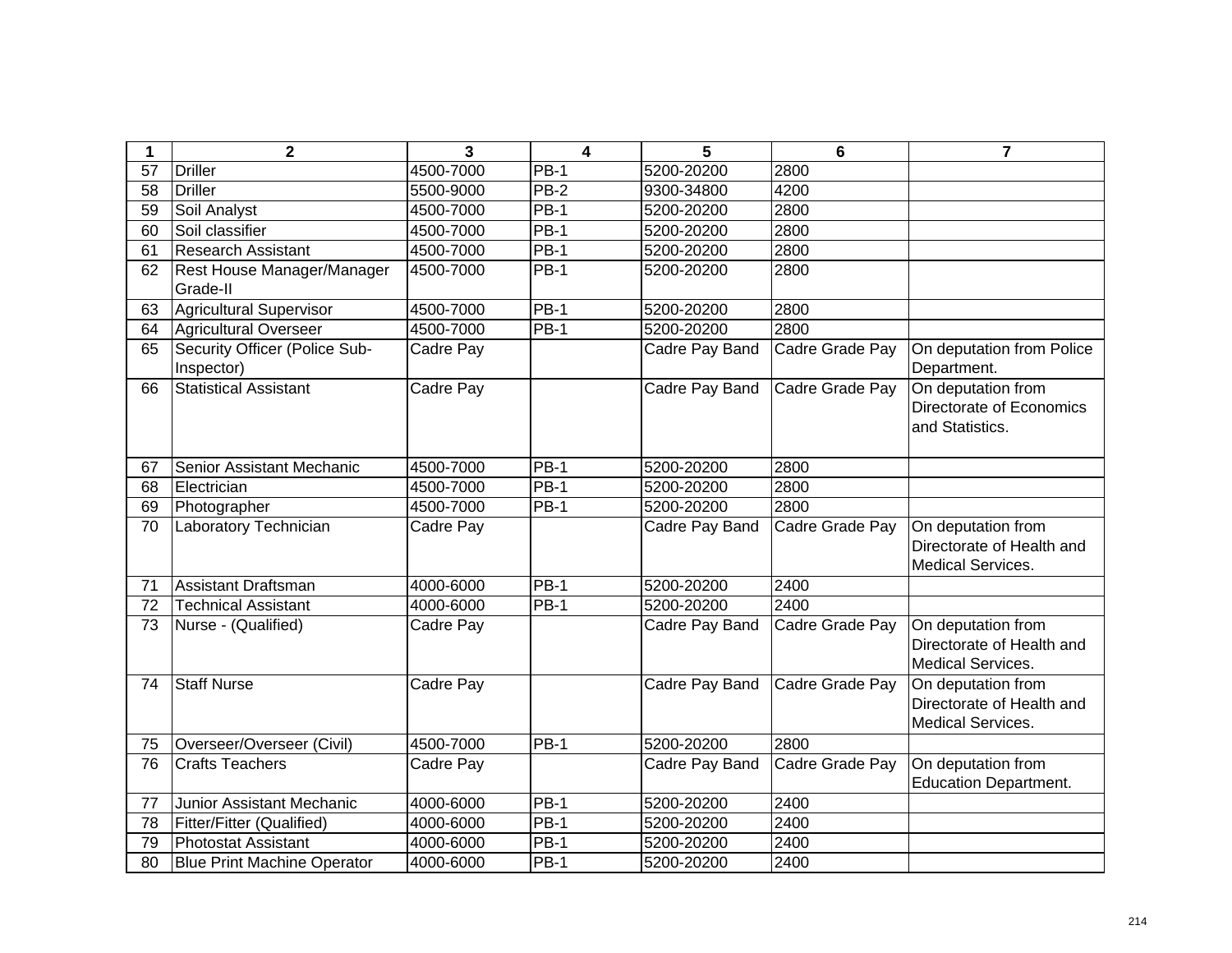| 1  | $\mathbf 2$                                 | 3         | $\overline{\mathbf{4}}$ | 5              | $6\phantom{1}6$ | $\overline{7}$                                                              |
|----|---------------------------------------------|-----------|-------------------------|----------------|-----------------|-----------------------------------------------------------------------------|
| 57 | <b>Driller</b>                              | 4500-7000 | <b>PB-1</b>             | 5200-20200     | 2800            |                                                                             |
| 58 | <b>Driller</b>                              | 5500-9000 | PB-2                    | 9300-34800     | 4200            |                                                                             |
| 59 | Soil Analyst                                | 4500-7000 | <b>PB-1</b>             | 5200-20200     | 2800            |                                                                             |
| 60 | Soil classifier                             | 4500-7000 | <b>PB-1</b>             | 5200-20200     | 2800            |                                                                             |
| 61 | <b>Research Assistant</b>                   | 4500-7000 | $PB-1$                  | 5200-20200     | 2800            |                                                                             |
| 62 | Rest House Manager/Manager<br>Grade-II      | 4500-7000 | <b>PB-1</b>             | 5200-20200     | 2800            |                                                                             |
| 63 | <b>Agricultural Supervisor</b>              | 4500-7000 | <b>PB-1</b>             | 5200-20200     | 2800            |                                                                             |
| 64 | <b>Agricultural Overseer</b>                | 4500-7000 | $PB-1$                  | 5200-20200     | 2800            |                                                                             |
| 65 | Security Officer (Police Sub-<br>Inspector) | Cadre Pay |                         | Cadre Pay Band | Cadre Grade Pay | On deputation from Police<br>Department.                                    |
| 66 | <b>Statistical Assistant</b>                | Cadre Pay |                         | Cadre Pay Band | Cadre Grade Pay | On deputation from<br>Directorate of Economics<br>and Statistics.           |
| 67 | Senior Assistant Mechanic                   | 4500-7000 | <b>PB-1</b>             | 5200-20200     | 2800            |                                                                             |
| 68 | Electrician                                 | 4500-7000 | $PB-1$                  | 5200-20200     | 2800            |                                                                             |
| 69 | Photographer                                | 4500-7000 | <b>PB-1</b>             | 5200-20200     | 2800            |                                                                             |
| 70 | Laboratory Technician                       | Cadre Pay |                         | Cadre Pay Band | Cadre Grade Pay | On deputation from<br>Directorate of Health and<br>Medical Services.        |
| 71 | Assistant Draftsman                         | 4000-6000 | $PB-1$                  | 5200-20200     | 2400            |                                                                             |
| 72 | <b>Technical Assistant</b>                  | 4000-6000 | <b>PB-1</b>             | 5200-20200     | 2400            |                                                                             |
| 73 | Nurse - (Qualified)                         | Cadre Pay |                         | Cadre Pay Band | Cadre Grade Pay | On deputation from<br>Directorate of Health and<br>Medical Services.        |
| 74 | <b>Staff Nurse</b>                          | Cadre Pay |                         | Cadre Pay Band | Cadre Grade Pay | On deputation from<br>Directorate of Health and<br><b>Medical Services.</b> |
| 75 | Overseer/Overseer (Civil)                   | 4500-7000 | $PB-1$                  | 5200-20200     | 2800            |                                                                             |
| 76 | <b>Crafts Teachers</b>                      | Cadre Pay |                         | Cadre Pay Band | Cadre Grade Pay | On deputation from<br><b>Education Department.</b>                          |
| 77 | Junior Assistant Mechanic                   | 4000-6000 | $PB-1$                  | 5200-20200     | 2400            |                                                                             |
| 78 | Fitter/Fitter (Qualified)                   | 4000-6000 | <b>PB-1</b>             | 5200-20200     | 2400            |                                                                             |
| 79 | Photostat Assistant                         | 4000-6000 | <b>PB-1</b>             | 5200-20200     | 2400            |                                                                             |
| 80 | <b>Blue Print Machine Operator</b>          | 4000-6000 | <b>PB-1</b>             | 5200-20200     | 2400            |                                                                             |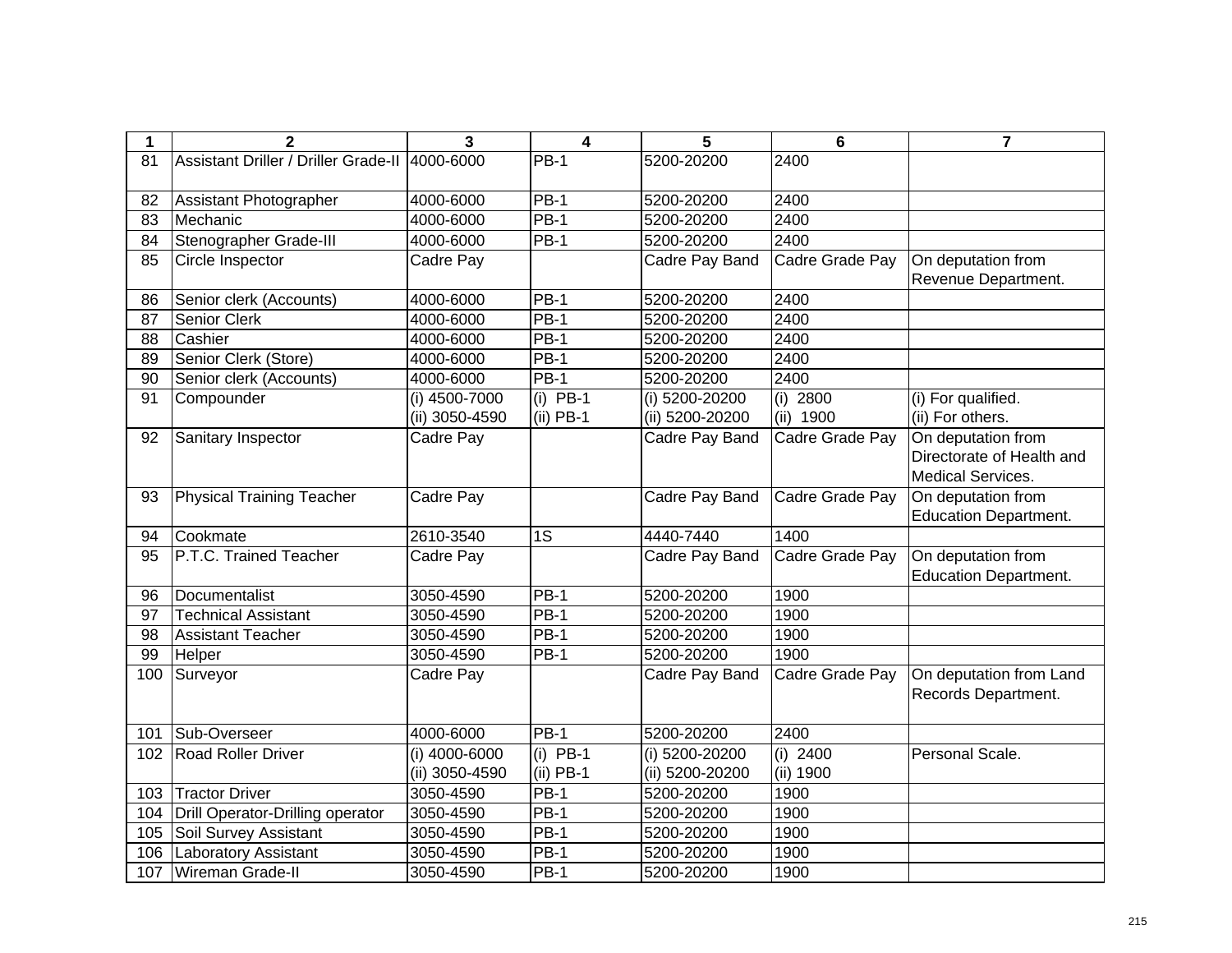| 1                 | $\overline{2}$                       | 3              | 4                 | 5               | 6               | $\overline{7}$               |
|-------------------|--------------------------------------|----------------|-------------------|-----------------|-----------------|------------------------------|
| 81                | Assistant Driller / Driller Grade-II | 4000-6000      | <b>PB-1</b>       | 5200-20200      | 2400            |                              |
|                   |                                      |                |                   |                 |                 |                              |
| 82                | Assistant Photographer               | 4000-6000      | $PB-1$            | 5200-20200      | 2400            |                              |
| 83                | Mechanic                             | 4000-6000      | $PB-1$            | 5200-20200      | 2400            |                              |
| 84                | Stenographer Grade-III               | 4000-6000      | $PB-1$            | 5200-20200      | 2400            |                              |
| 85                | Circle Inspector                     | Cadre Pay      |                   | Cadre Pay Band  | Cadre Grade Pay | On deputation from           |
|                   |                                      |                |                   |                 |                 | Revenue Department.          |
| 86                | Senior clerk (Accounts)              | 4000-6000      | $PB-1$            | 5200-20200      | 2400            |                              |
| 87                | <b>Senior Clerk</b>                  | 4000-6000      | $PB-1$            | 5200-20200      | 2400            |                              |
| 88                | Cashier                              | 4000-6000      | $\overline{PB}-1$ | 5200-20200      | 2400            |                              |
| 89                | Senior Clerk (Store)                 | 4000-6000      | $PB-1$            | 5200-20200      | 2400            |                              |
| 90                | Senior clerk (Accounts)              | 4000-6000      | $PB-1$            | 5200-20200      | 2400            |                              |
| 91                | Compounder                           | (i) 4500-7000  | $(i)$ PB-1        | (i) 5200-20200  | $(i)$ 2800      | (i) For qualified.           |
|                   |                                      | (ii) 3050-4590 | $(ii)$ PB-1       | (ii) 5200-20200 | (ii) 1900       | (ii) For others.             |
| 92                | Sanitary Inspector                   | Cadre Pay      |                   | Cadre Pay Band  | Cadre Grade Pay | On deputation from           |
|                   |                                      |                |                   |                 |                 | Directorate of Health and    |
|                   |                                      |                |                   |                 |                 | Medical Services.            |
| 93                | <b>Physical Training Teacher</b>     | Cadre Pay      |                   | Cadre Pay Band  | Cadre Grade Pay | On deputation from           |
|                   |                                      |                |                   |                 |                 | <b>Education Department.</b> |
| 94                | Cookmate                             | 2610-3540      | 1S                | 4440-7440       | 1400            |                              |
| 95                | P.T.C. Trained Teacher               | Cadre Pay      |                   | Cadre Pay Band  | Cadre Grade Pay | On deputation from           |
|                   |                                      |                |                   |                 |                 | <b>Education Department.</b> |
| 96                | Documentalist                        | 3050-4590      | <b>PB-1</b>       | 5200-20200      | 1900            |                              |
| 97                | <b>Technical Assistant</b>           | 3050-4590      | <b>PB-1</b>       | 5200-20200      | 1900            |                              |
| 98                | <b>Assistant Teacher</b>             | 3050-4590      | <b>PB-1</b>       | 5200-20200      | 1900            |                              |
| 99                | Helper                               | 3050-4590      | <b>PB-1</b>       | 5200-20200      | 1900            |                              |
| 100               | Surveyor                             | Cadre Pay      |                   | Cadre Pay Band  | Cadre Grade Pay | On deputation from Land      |
|                   |                                      |                |                   |                 |                 | Records Department.          |
|                   |                                      |                |                   |                 |                 |                              |
| 101               | Sub-Overseer                         | 4000-6000      | $PB-1$            | 5200-20200      | 2400            |                              |
| 102               | <b>Road Roller Driver</b>            | (i) 4000-6000  | $(i)$ PB-1        | (i) 5200-20200  | $(i)$ 2400      | Personal Scale.              |
|                   |                                      | (ii) 3050-4590 | $(ii)$ PB-1       | (ii) 5200-20200 | (ii) 1900       |                              |
| 103               | <b>Tractor Driver</b>                | 3050-4590      | $PB-1$            | 5200-20200      | 1900            |                              |
| 104               | Drill Operator-Drilling operator     | 3050-4590      | $PB-1$            | 5200-20200      | 1900            |                              |
| $\frac{105}{105}$ | Soil Survey Assistant                | 3050-4590      | $PB-1$            | 5200-20200      | 1900            |                              |
| 106               | <b>Laboratory Assistant</b>          | 3050-4590      | <b>PB-1</b>       | 5200-20200      | 1900            |                              |
| 107               | Wireman Grade-II                     | 3050-4590      | <b>PB-1</b>       | 5200-20200      | 1900            |                              |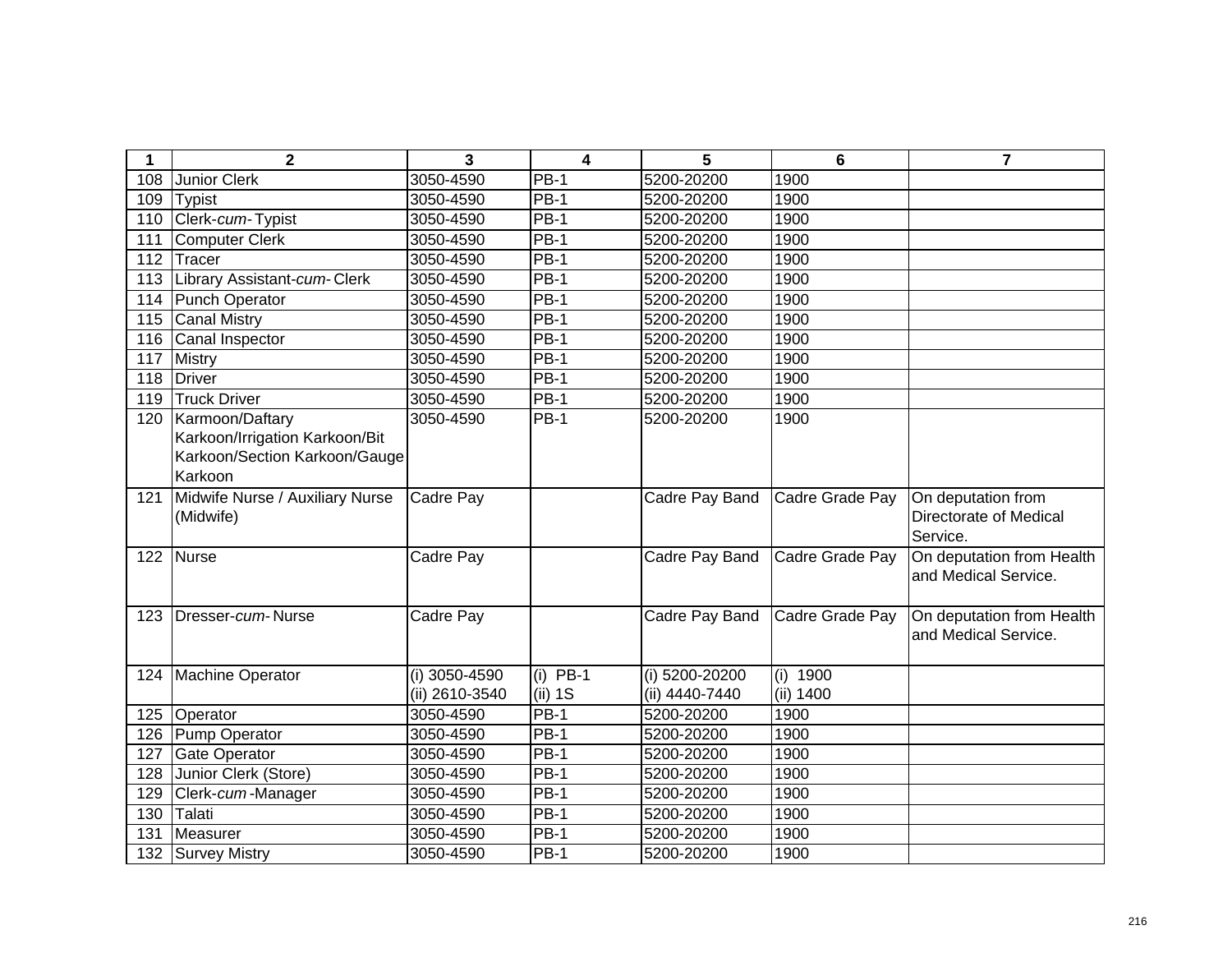| 1   | $\mathbf{2}$                                                                                  | 3                               | $\overline{4}$          | 5                                | 6                       | $\overline{7}$                                           |
|-----|-----------------------------------------------------------------------------------------------|---------------------------------|-------------------------|----------------------------------|-------------------------|----------------------------------------------------------|
| 108 | <b>Junior Clerk</b>                                                                           | 3050-4590                       | $PB-1$                  | 5200-20200                       | 1900                    |                                                          |
| 109 | <b>Typist</b>                                                                                 | 3050-4590                       | $PB-1$                  | 5200-20200                       | 1900                    |                                                          |
| 110 | Clerk-cum-Typist                                                                              | 3050-4590                       | <b>PB-1</b>             | 5200-20200                       | 1900                    |                                                          |
| 111 | <b>Computer Clerk</b>                                                                         | 3050-4590                       | $PB-1$                  | 5200-20200                       | 1900                    |                                                          |
| 112 | Tracer                                                                                        | 3050-4590                       | <b>PB-1</b>             | 5200-20200                       | 1900                    |                                                          |
| 113 | Library Assistant-cum-Clerk                                                                   | 3050-4590                       | $PB-1$                  | 5200-20200                       | 1900                    |                                                          |
| 114 | Punch Operator                                                                                | 3050-4590                       | <b>PB-1</b>             | 5200-20200                       | 1900                    |                                                          |
| 115 | <b>Canal Mistry</b>                                                                           | 3050-4590                       | $\overline{PB}$ -1      | 5200-20200                       | 1900                    |                                                          |
| 116 | Canal Inspector                                                                               | 3050-4590                       | <b>PB-1</b>             | 5200-20200                       | 1900                    |                                                          |
| 117 | <b>Mistry</b>                                                                                 | 3050-4590                       | $PB-1$                  | 5200-20200                       | 1900                    |                                                          |
| 118 | <b>Driver</b>                                                                                 | 3050-4590                       | $PB-1$                  | 5200-20200                       | 1900                    |                                                          |
| 119 | <b>Truck Driver</b>                                                                           | 3050-4590                       | <b>PB-1</b>             | 5200-20200                       | 1900                    |                                                          |
| 120 | Karmoon/Daftary<br>Karkoon/Irrigation Karkoon/Bit<br>Karkoon/Section Karkoon/Gauge<br>Karkoon | 3050-4590                       | $PB-1$                  | 5200-20200                       | 1900                    |                                                          |
| 121 | Midwife Nurse / Auxiliary Nurse<br>(Midwife)                                                  | Cadre Pay                       |                         | Cadre Pay Band                   | Cadre Grade Pay         | On deputation from<br>Directorate of Medical<br>Service. |
| 122 | Nurse                                                                                         | Cadre Pay                       |                         | Cadre Pay Band                   | Cadre Grade Pay         | On deputation from Health<br>and Medical Service.        |
| 123 | Dresser-cum-Nurse                                                                             | Cadre Pay                       |                         | Cadre Pay Band                   | Cadre Grade Pay         | On deputation from Health<br>and Medical Service.        |
| 124 | Machine Operator                                                                              | (i) 3050-4590<br>(ii) 2610-3540 | $(i)$ PB-1<br>$(ii)$ 1S | (i) 5200-20200<br>(ii) 4440-7440 | (i) $1900$<br>(ii) 1400 |                                                          |
| 125 | Operator                                                                                      | 3050-4590                       | $PB-1$                  | 5200-20200                       | 1900                    |                                                          |
| 126 | Pump Operator                                                                                 | 3050-4590                       | <b>PB-1</b>             | 5200-20200                       | 1900                    |                                                          |
| 127 | <b>Gate Operator</b>                                                                          | 3050-4590                       | <b>PB-1</b>             | 5200-20200                       | 1900                    |                                                          |
| 128 | Junior Clerk (Store)                                                                          | 3050-4590                       | <b>PB-1</b>             | 5200-20200                       | 1900                    |                                                          |
| 129 | Clerk-cum-Manager                                                                             | 3050-4590                       | $PB-1$                  | 5200-20200                       | 1900                    |                                                          |
| 130 | Talati                                                                                        | 3050-4590                       | $PB-1$                  | 5200-20200                       | 1900                    |                                                          |
| 131 | Measurer                                                                                      | 3050-4590                       | <b>PB-1</b>             | 5200-20200                       | 1900                    |                                                          |
|     | 132 Survey Mistry                                                                             | 3050-4590                       | <b>PB-1</b>             | 5200-20200                       | 1900                    |                                                          |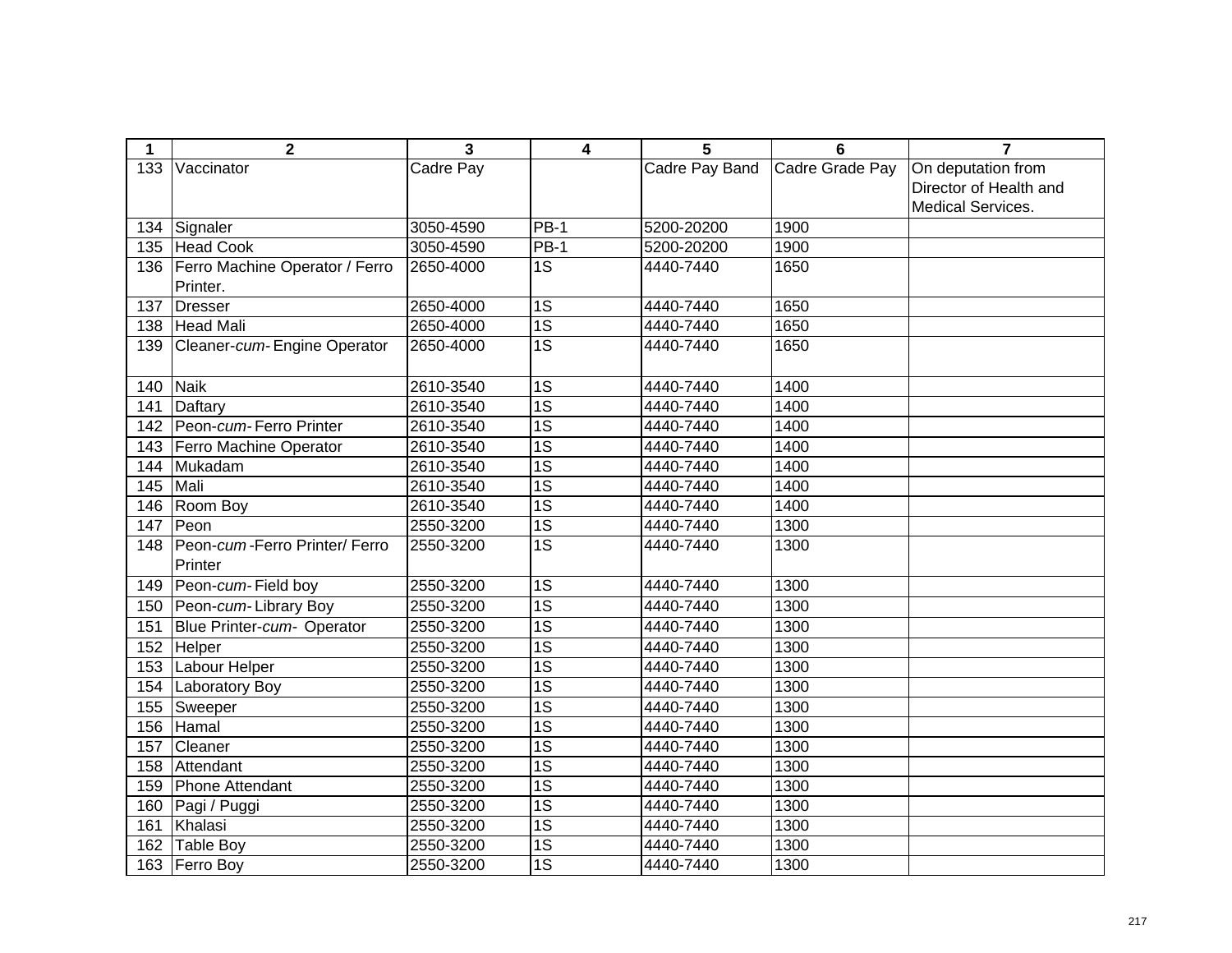| 1   | 2                                        | 3         | 4               | 5              | 6               | $\overline{7}$           |
|-----|------------------------------------------|-----------|-----------------|----------------|-----------------|--------------------------|
| 133 | Vaccinator                               | Cadre Pay |                 | Cadre Pay Band | Cadre Grade Pay | On deputation from       |
|     |                                          |           |                 |                |                 | Director of Health and   |
|     |                                          |           |                 |                |                 | <b>Medical Services.</b> |
|     | 134 Signaler                             | 3050-4590 | $PB-1$          | 5200-20200     | 1900            |                          |
|     | 135 Head Cook                            | 3050-4590 | $PB-1$          | 5200-20200     | 1900            |                          |
|     | 136   Ferro Machine Operator / Ferro     | 2650-4000 | $\overline{1S}$ | 4440-7440      | 1650            |                          |
|     | Printer.                                 |           |                 |                |                 |                          |
| 137 | Dresser                                  | 2650-4000 | $\overline{1S}$ | 4440-7440      | 1650            |                          |
| 138 | Head Mali                                | 2650-4000 | 1S              | 4440-7440      | 1650            |                          |
| 139 | Cleaner-cum-Engine Operator              | 2650-4000 | $\overline{1S}$ | 4440-7440      | 1650            |                          |
|     |                                          |           |                 |                |                 |                          |
| 140 | Naik                                     | 2610-3540 | $\overline{1S}$ | 4440-7440      | 1400            |                          |
| 141 | Daftary                                  | 2610-3540 | $\overline{1S}$ | 4440-7440      | 1400            |                          |
| 142 | Peon-cum-Ferro Printer                   | 2610-3540 | $\overline{1S}$ | 4440-7440      | 1400            |                          |
| 143 | Ferro Machine Operator                   | 2610-3540 | $\overline{1S}$ | 4440-7440      | 1400            |                          |
| 144 | Mukadam                                  | 2610-3540 | $\overline{1S}$ | 4440-7440      | 1400            |                          |
| 145 | Mali                                     | 2610-3540 | $\overline{1S}$ | 4440-7440      | 1400            |                          |
| 146 | Room Boy                                 | 2610-3540 | $\overline{1S}$ | 4440-7440      | 1400            |                          |
| 147 | Peon                                     | 2550-3200 | $\overline{1S}$ | 4440-7440      | 1300            |                          |
| 148 | Peon-cum-Ferro Printer/ Ferro<br>Printer | 2550-3200 | 1S              | 4440-7440      | 1300            |                          |
| 149 | Peon-cum-Field boy                       | 2550-3200 | $\overline{1S}$ | 4440-7440      | 1300            |                          |
| 150 | Peon-cum-Library Boy                     | 2550-3200 | $\overline{1S}$ | 4440-7440      | 1300            |                          |
| 151 | Blue Printer-cum- Operator               | 2550-3200 | $\overline{1S}$ | 4440-7440      | 1300            |                          |
| 152 | Helper                                   | 2550-3200 | $\overline{1S}$ | 4440-7440      | 1300            |                          |
| 153 | Labour Helper                            | 2550-3200 | $\overline{1S}$ | 4440-7440      | 1300            |                          |
| 154 | Laboratory Boy                           | 2550-3200 | $\overline{1S}$ | 4440-7440      | 1300            |                          |
| 155 | Sweeper                                  | 2550-3200 | $\overline{1S}$ | 4440-7440      | 1300            |                          |
| 156 | Hamal                                    | 2550-3200 | $\overline{1S}$ | 4440-7440      | 1300            |                          |
| 157 | Cleaner                                  | 2550-3200 | $\overline{1S}$ | 4440-7440      | 1300            |                          |
| 158 | Attendant                                | 2550-3200 | $\overline{1S}$ | 4440-7440      | 1300            |                          |
| 159 | Phone Attendant                          | 2550-3200 | $\overline{1S}$ | 4440-7440      | 1300            |                          |
| 160 | Pagi / Puggi                             | 2550-3200 | $\overline{1S}$ | 4440-7440      | 1300            |                          |
| 161 | Khalasi                                  | 2550-3200 | $\overline{1S}$ | 4440-7440      | 1300            |                          |
| 162 | Table Boy                                | 2550-3200 | $\overline{1S}$ | 4440-7440      | 1300            |                          |
|     | 163 Ferro Boy                            | 2550-3200 | $\overline{1S}$ | 4440-7440      | 1300            |                          |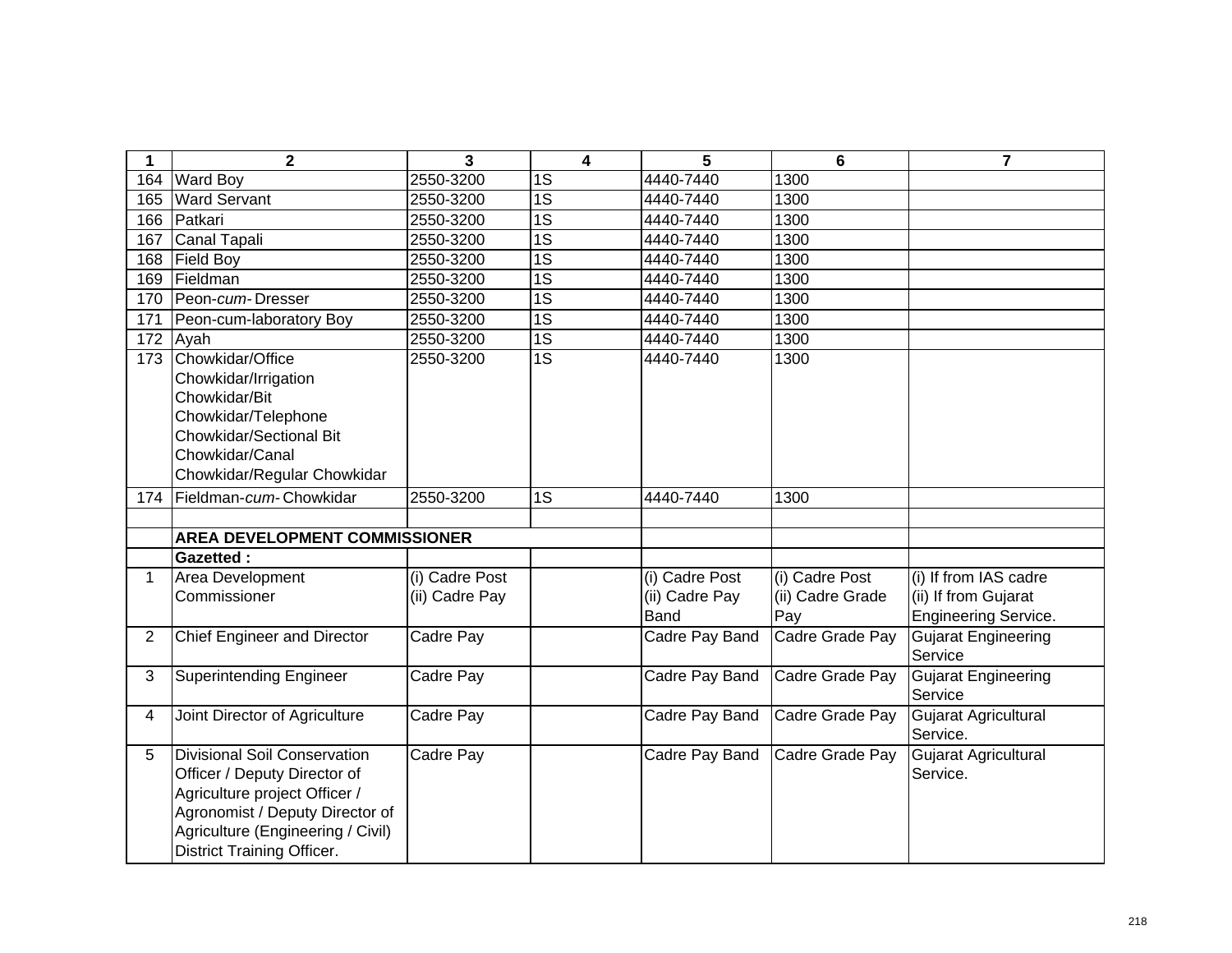| 1              | $\mathbf{2}$                                                                                                                                                                                               | $\overline{3}$                   | 4               | 5                                               | 6                                         | $\overline{7}$                                                               |
|----------------|------------------------------------------------------------------------------------------------------------------------------------------------------------------------------------------------------------|----------------------------------|-----------------|-------------------------------------------------|-------------------------------------------|------------------------------------------------------------------------------|
| 164            | <b>Ward Boy</b>                                                                                                                                                                                            | 2550-3200                        | 1S              | 4440-7440                                       | 1300                                      |                                                                              |
| 165            | <b>Ward Servant</b>                                                                                                                                                                                        | 2550-3200                        | $\overline{1S}$ | 4440-7440                                       | 1300                                      |                                                                              |
| 166            | Patkari                                                                                                                                                                                                    | 2550-3200                        | $\overline{1S}$ | 4440-7440                                       | 1300                                      |                                                                              |
| 167            | Canal Tapali                                                                                                                                                                                               | 2550-3200                        | $\overline{1S}$ | 4440-7440                                       | 1300                                      |                                                                              |
| 168            | <b>Field Boy</b>                                                                                                                                                                                           | 2550-3200                        | $\overline{1S}$ | 4440-7440                                       | 1300                                      |                                                                              |
| 169            | Fieldman                                                                                                                                                                                                   | 2550-3200                        | $\overline{1S}$ | 4440-7440                                       | 1300                                      |                                                                              |
| 170            | Peon-cum-Dresser                                                                                                                                                                                           | 2550-3200                        | $\overline{1S}$ | 4440-7440                                       | 1300                                      |                                                                              |
| 171            | Peon-cum-laboratory Boy                                                                                                                                                                                    | 2550-3200                        | $\overline{1S}$ | 4440-7440                                       | 1300                                      |                                                                              |
| 172            | Ayah                                                                                                                                                                                                       | 2550-3200                        | $\overline{1S}$ | 4440-7440                                       | 1300                                      |                                                                              |
| 173            | Chowkidar/Office<br>Chowkidar/Irrigation<br>Chowkidar/Bit<br>Chowkidar/Telephone<br><b>Chowkidar/Sectional Bit</b><br>Chowkidar/Canal<br>Chowkidar/Regular Chowkidar                                       | 2550-3200                        | $\overline{1S}$ | 4440-7440                                       | 1300                                      |                                                                              |
| 174            | Fieldman- <i>cum</i> -Chowkidar                                                                                                                                                                            | 2550-3200                        | 1S              | 4440-7440                                       | 1300                                      |                                                                              |
|                |                                                                                                                                                                                                            |                                  |                 |                                                 |                                           |                                                                              |
|                | <b>AREA DEVELOPMENT COMMISSIONER</b>                                                                                                                                                                       |                                  |                 |                                                 |                                           |                                                                              |
|                | <b>Gazetted:</b>                                                                                                                                                                                           |                                  |                 |                                                 |                                           |                                                                              |
| $\mathbf 1$    | Area Development<br>Commissioner                                                                                                                                                                           | (i) Cadre Post<br>(ii) Cadre Pay |                 | (i) Cadre Post<br>(ii) Cadre Pay<br><b>Band</b> | (i) Cadre Post<br>(ii) Cadre Grade<br>Pay | (i) If from IAS cadre<br>(ii) If from Gujarat<br><b>Engineering Service.</b> |
| 2              | Chief Engineer and Director                                                                                                                                                                                | Cadre Pay                        |                 | Cadre Pay Band                                  | Cadre Grade Pay                           | Gujarat Engineering<br>Service                                               |
| 3              | Superintending Engineer                                                                                                                                                                                    | Cadre Pay                        |                 | Cadre Pay Band                                  | Cadre Grade Pay                           | <b>Gujarat Engineering</b><br>Service                                        |
| $\overline{4}$ | Joint Director of Agriculture                                                                                                                                                                              | Cadre Pay                        |                 | Cadre Pay Band                                  | Cadre Grade Pay                           | Gujarat Agricultural<br>Service.                                             |
| 5              | Divisional Soil Conservation<br>Officer / Deputy Director of<br>Agriculture project Officer /<br>Agronomist / Deputy Director of<br>Agriculture (Engineering / Civil)<br><b>District Training Officer.</b> | Cadre Pay                        |                 | Cadre Pay Band                                  | Cadre Grade Pay                           | Gujarat Agricultural<br>Service.                                             |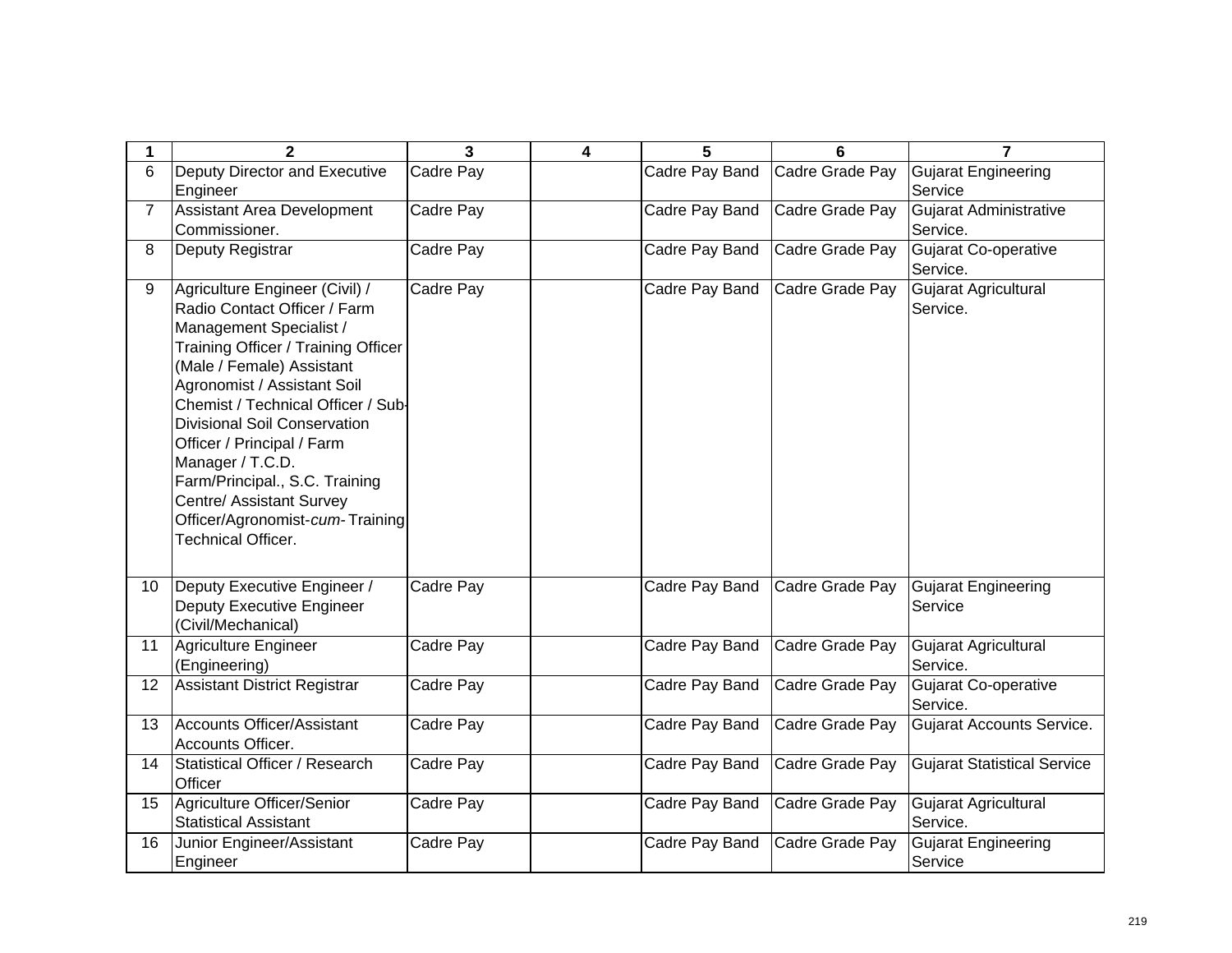| 1              | $\mathbf{2}$                                                                                                                                                                                                                                                                                                                                                                                                                                              | 3         | 4 | 5              | 6               | 7                                         |
|----------------|-----------------------------------------------------------------------------------------------------------------------------------------------------------------------------------------------------------------------------------------------------------------------------------------------------------------------------------------------------------------------------------------------------------------------------------------------------------|-----------|---|----------------|-----------------|-------------------------------------------|
| 6              | Deputy Director and Executive<br>Engineer                                                                                                                                                                                                                                                                                                                                                                                                                 | Cadre Pay |   | Cadre Pay Band | Cadre Grade Pay | <b>Gujarat Engineering</b><br>Service     |
| $\overline{7}$ | Assistant Area Development<br>Commissioner.                                                                                                                                                                                                                                                                                                                                                                                                               | Cadre Pay |   | Cadre Pay Band | Cadre Grade Pay | <b>Gujarat Administrative</b><br>Service. |
| 8              | Deputy Registrar                                                                                                                                                                                                                                                                                                                                                                                                                                          | Cadre Pay |   | Cadre Pay Band | Cadre Grade Pay | <b>Gujarat Co-operative</b><br>Service.   |
| 9              | Agriculture Engineer (Civil) /<br>Radio Contact Officer / Farm<br>Management Specialist /<br>Training Officer / Training Officer<br>(Male / Female) Assistant<br>Agronomist / Assistant Soil<br>Chemist / Technical Officer / Sub-<br><b>Divisional Soil Conservation</b><br>Officer / Principal / Farm<br>Manager / T.C.D.<br>Farm/Principal., S.C. Training<br>Centre/ Assistant Survey<br>Officer/Agronomist-cum-Training<br><b>Technical Officer.</b> | Cadre Pay |   | Cadre Pay Band | Cadre Grade Pay | Gujarat Agricultural<br>Service.          |
| 10             | Deputy Executive Engineer /<br><b>Deputy Executive Engineer</b><br>(Civil/Mechanical)                                                                                                                                                                                                                                                                                                                                                                     | Cadre Pay |   | Cadre Pay Band | Cadre Grade Pay | <b>Gujarat Engineering</b><br>Service     |
| 11             | Agriculture Engineer<br>(Engineering)                                                                                                                                                                                                                                                                                                                                                                                                                     | Cadre Pay |   | Cadre Pay Band | Cadre Grade Pay | Gujarat Agricultural<br>Service.          |
| 12             | <b>Assistant District Registrar</b>                                                                                                                                                                                                                                                                                                                                                                                                                       | Cadre Pay |   | Cadre Pay Band | Cadre Grade Pay | <b>Gujarat Co-operative</b><br>Service.   |
| 13             | Accounts Officer/Assistant<br>Accounts Officer.                                                                                                                                                                                                                                                                                                                                                                                                           | Cadre Pay |   | Cadre Pay Band | Cadre Grade Pay | Gujarat Accounts Service.                 |
| 14             | Statistical Officer / Research<br>Officer                                                                                                                                                                                                                                                                                                                                                                                                                 | Cadre Pay |   | Cadre Pay Band | Cadre Grade Pay | <b>Gujarat Statistical Service</b>        |
| 15             | Agriculture Officer/Senior<br><b>Statistical Assistant</b>                                                                                                                                                                                                                                                                                                                                                                                                | Cadre Pay |   | Cadre Pay Band | Cadre Grade Pay | Gujarat Agricultural<br>Service.          |
| 16             | Junior Engineer/Assistant<br>Engineer                                                                                                                                                                                                                                                                                                                                                                                                                     | Cadre Pay |   | Cadre Pay Band | Cadre Grade Pay | Gujarat Engineering<br>Service            |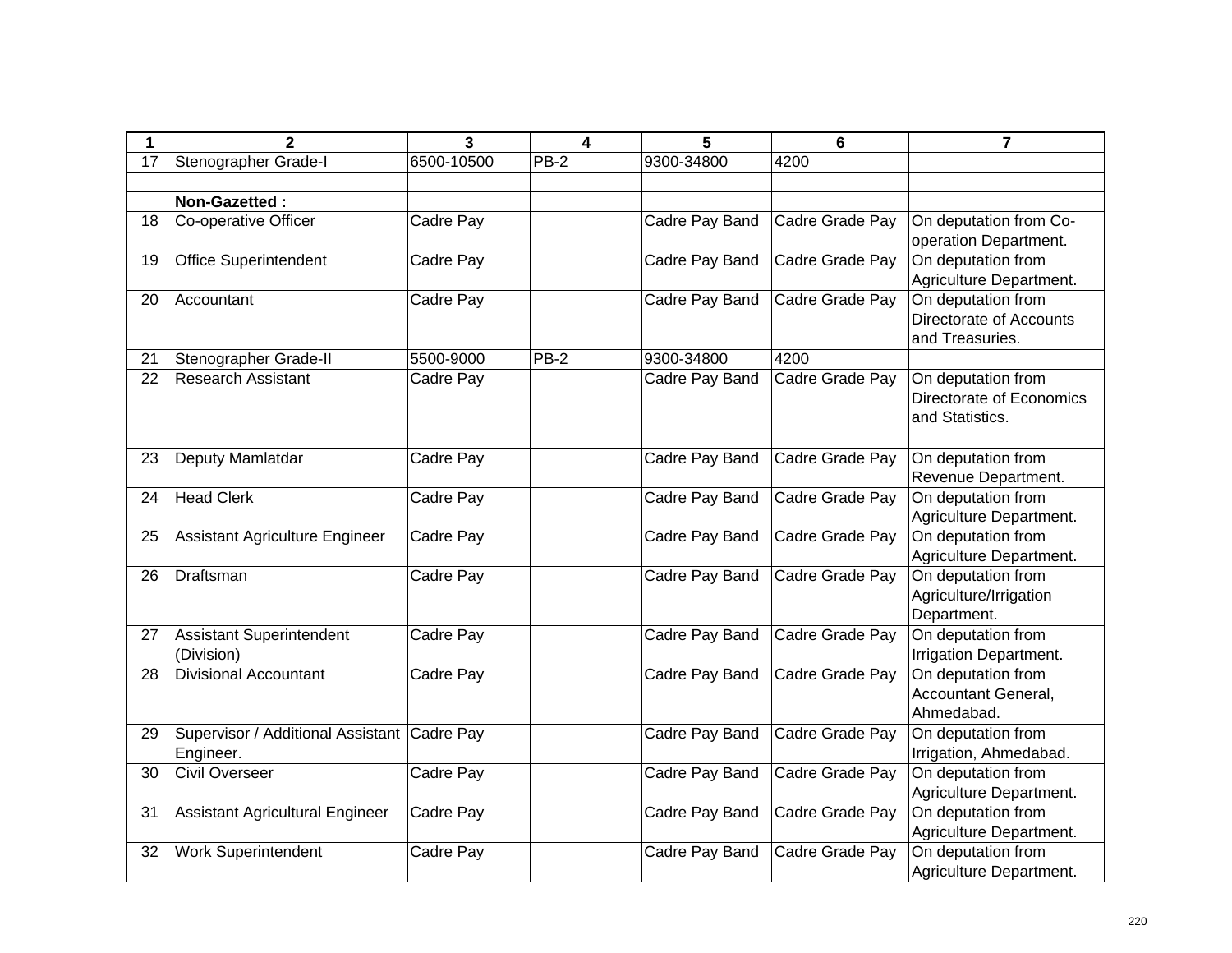| 1  | $\mathbf{2}$                                | 3          | 4      | 5              | 6               | $\overline{7}$           |
|----|---------------------------------------------|------------|--------|----------------|-----------------|--------------------------|
| 17 | Stenographer Grade-I                        | 6500-10500 | $PB-2$ | 9300-34800     | 4200            |                          |
|    |                                             |            |        |                |                 |                          |
|    | Non-Gazetted:                               |            |        |                |                 |                          |
| 18 | Co-operative Officer                        | Cadre Pay  |        | Cadre Pay Band | Cadre Grade Pay | On deputation from Co-   |
|    |                                             |            |        |                |                 | operation Department.    |
| 19 | <b>Office Superintendent</b>                | Cadre Pay  |        | Cadre Pay Band | Cadre Grade Pay | On deputation from       |
|    |                                             |            |        |                |                 | Agriculture Department.  |
| 20 | Accountant                                  | Cadre Pay  |        | Cadre Pay Band | Cadre Grade Pay | On deputation from       |
|    |                                             |            |        |                |                 | Directorate of Accounts  |
|    |                                             |            |        |                |                 | and Treasuries.          |
| 21 | Stenographer Grade-II                       | 5500-9000  | $PB-2$ | 9300-34800     | 4200            |                          |
| 22 | <b>Research Assistant</b>                   | Cadre Pay  |        | Cadre Pay Band | Cadre Grade Pay | On deputation from       |
|    |                                             |            |        |                |                 | Directorate of Economics |
|    |                                             |            |        |                |                 | and Statistics.          |
|    |                                             |            |        |                |                 |                          |
| 23 | Deputy Mamlatdar                            | Cadre Pay  |        | Cadre Pay Band | Cadre Grade Pay | On deputation from       |
|    |                                             |            |        |                |                 | Revenue Department.      |
| 24 | <b>Head Clerk</b>                           | Cadre Pay  |        | Cadre Pay Band | Cadre Grade Pay | On deputation from       |
|    |                                             |            |        |                |                 | Agriculture Department.  |
| 25 | Assistant Agriculture Engineer              | Cadre Pay  |        | Cadre Pay Band | Cadre Grade Pay | On deputation from       |
|    |                                             |            |        |                |                 | Agriculture Department.  |
| 26 | Draftsman                                   | Cadre Pay  |        | Cadre Pay Band | Cadre Grade Pay | On deputation from       |
|    |                                             |            |        |                |                 | Agriculture/Irrigation   |
|    |                                             |            |        |                |                 | Department.              |
| 27 | Assistant Superintendent                    | Cadre Pay  |        | Cadre Pay Band | Cadre Grade Pay | On deputation from       |
|    | (Division)                                  |            |        |                |                 | Irrigation Department.   |
| 28 | <b>Divisional Accountant</b>                | Cadre Pay  |        | Cadre Pay Band | Cadre Grade Pay | On deputation from       |
|    |                                             |            |        |                |                 | Accountant General,      |
|    |                                             |            |        |                |                 | Ahmedabad.               |
| 29 | Supervisor / Additional Assistant Cadre Pay |            |        | Cadre Pay Band | Cadre Grade Pay | On deputation from       |
|    | Engineer.                                   |            |        |                |                 | Irrigation, Ahmedabad.   |
| 30 | <b>Civil Overseer</b>                       | Cadre Pay  |        | Cadre Pay Band | Cadre Grade Pay | On deputation from       |
|    |                                             |            |        |                |                 | Agriculture Department.  |
| 31 | Assistant Agricultural Engineer             | Cadre Pay  |        | Cadre Pay Band | Cadre Grade Pay | On deputation from       |
|    |                                             |            |        |                |                 | Agriculture Department.  |
| 32 | <b>Work Superintendent</b>                  | Cadre Pay  |        | Cadre Pay Band | Cadre Grade Pay | On deputation from       |
|    |                                             |            |        |                |                 | Agriculture Department.  |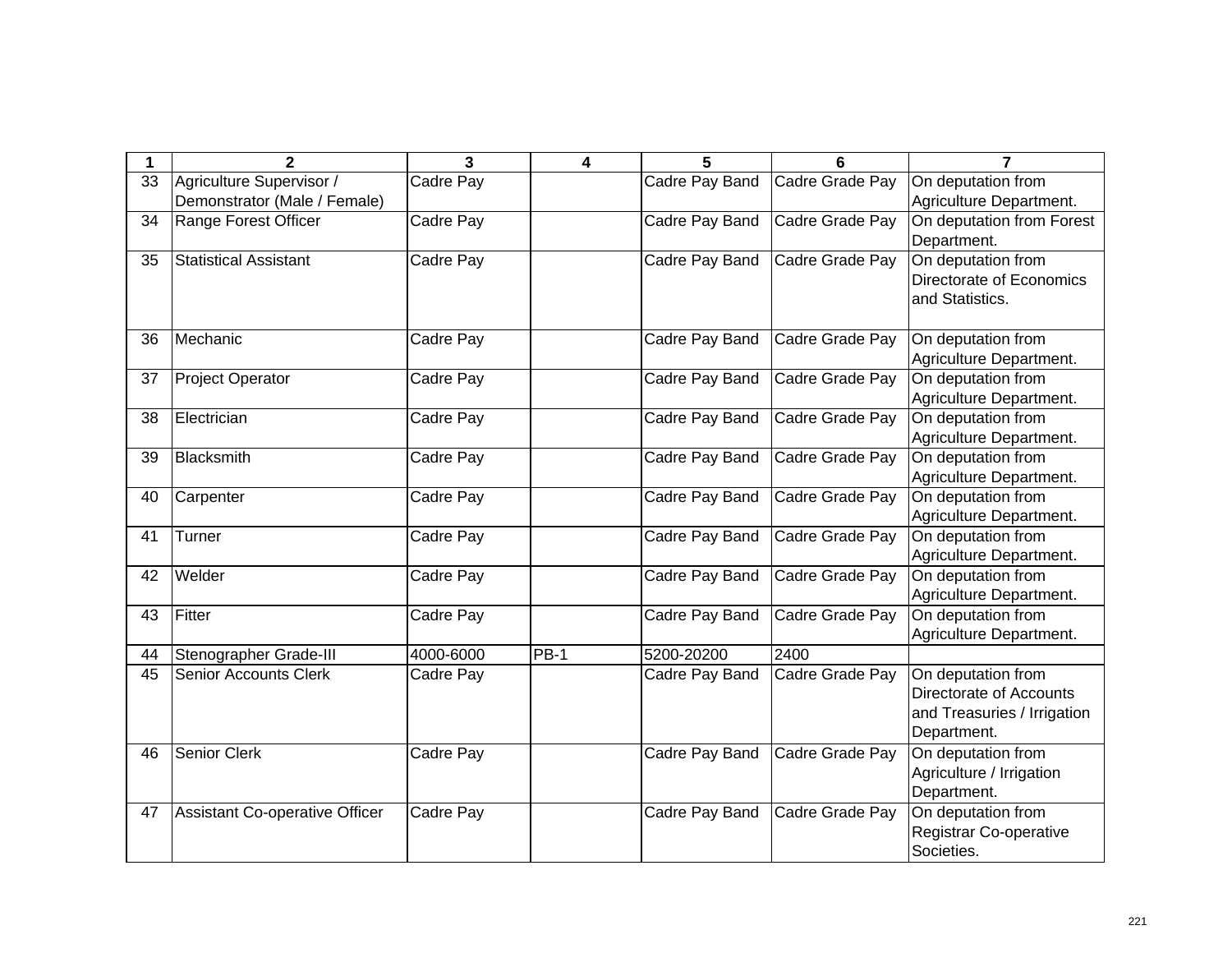| 1  | $\mathbf{2}$                   | 3         | 4      | 5              | 6               | $\overline{7}$              |
|----|--------------------------------|-----------|--------|----------------|-----------------|-----------------------------|
| 33 | Agriculture Supervisor /       | Cadre Pay |        | Cadre Pay Band | Cadre Grade Pay | On deputation from          |
|    | Demonstrator (Male / Female)   |           |        |                |                 | Agriculture Department.     |
| 34 | Range Forest Officer           | Cadre Pay |        | Cadre Pay Band | Cadre Grade Pay | On deputation from Forest   |
|    |                                |           |        |                |                 | Department.                 |
| 35 | <b>Statistical Assistant</b>   | Cadre Pay |        | Cadre Pay Band | Cadre Grade Pay | On deputation from          |
|    |                                |           |        |                |                 | Directorate of Economics    |
|    |                                |           |        |                |                 | and Statistics.             |
|    |                                |           |        |                |                 |                             |
| 36 | Mechanic                       | Cadre Pay |        | Cadre Pay Band | Cadre Grade Pay | On deputation from          |
|    |                                |           |        |                |                 | Agriculture Department.     |
| 37 | <b>Project Operator</b>        | Cadre Pay |        | Cadre Pay Band | Cadre Grade Pay | On deputation from          |
|    |                                |           |        |                |                 | Agriculture Department.     |
| 38 | Electrician                    | Cadre Pay |        | Cadre Pay Band | Cadre Grade Pay | On deputation from          |
|    |                                |           |        |                |                 | Agriculture Department.     |
| 39 | Blacksmith                     | Cadre Pay |        | Cadre Pay Band | Cadre Grade Pay | On deputation from          |
|    |                                |           |        |                |                 | Agriculture Department.     |
| 40 | Carpenter                      | Cadre Pay |        | Cadre Pay Band | Cadre Grade Pay | On deputation from          |
|    |                                |           |        |                |                 | Agriculture Department.     |
| 41 | Turner                         | Cadre Pay |        | Cadre Pay Band | Cadre Grade Pay | On deputation from          |
|    |                                |           |        |                |                 | Agriculture Department.     |
| 42 | Welder                         | Cadre Pay |        | Cadre Pay Band | Cadre Grade Pay | On deputation from          |
|    |                                |           |        |                |                 | Agriculture Department.     |
| 43 | Fitter                         | Cadre Pay |        | Cadre Pay Band | Cadre Grade Pay | On deputation from          |
|    |                                |           |        |                |                 | Agriculture Department.     |
| 44 | Stenographer Grade-III         | 4000-6000 | $PB-1$ | 5200-20200     | 2400            |                             |
| 45 | <b>Senior Accounts Clerk</b>   | Cadre Pay |        | Cadre Pay Band | Cadre Grade Pay | On deputation from          |
|    |                                |           |        |                |                 | Directorate of Accounts     |
|    |                                |           |        |                |                 | and Treasuries / Irrigation |
|    |                                |           |        |                |                 | Department.                 |
| 46 | <b>Senior Clerk</b>            | Cadre Pay |        | Cadre Pay Band | Cadre Grade Pay | On deputation from          |
|    |                                |           |        |                |                 | Agriculture / Irrigation    |
|    |                                |           |        |                |                 | Department.                 |
| 47 | Assistant Co-operative Officer | Cadre Pay |        | Cadre Pay Band | Cadre Grade Pay | On deputation from          |
|    |                                |           |        |                |                 | Registrar Co-operative      |
|    |                                |           |        |                |                 | Societies.                  |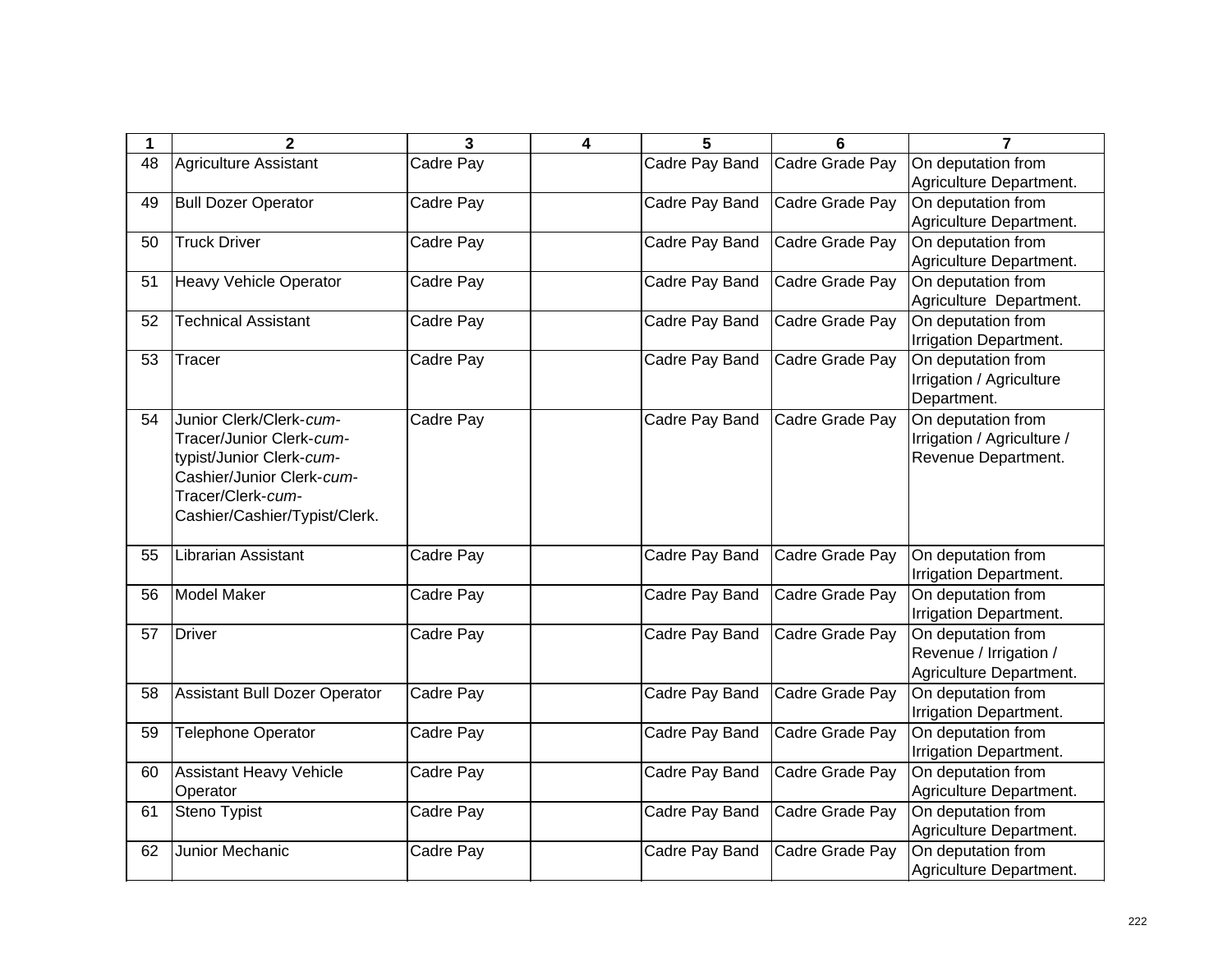| 1  | 2                                    | $\overline{\mathbf{3}}$ | 4 | 5              | 6               | $\overline{7}$             |
|----|--------------------------------------|-------------------------|---|----------------|-----------------|----------------------------|
| 48 | <b>Agriculture Assistant</b>         | Cadre Pay               |   | Cadre Pay Band | Cadre Grade Pay | On deputation from         |
|    |                                      |                         |   |                |                 | Agriculture Department.    |
| 49 | <b>Bull Dozer Operator</b>           | Cadre Pay               |   | Cadre Pay Band | Cadre Grade Pay | On deputation from         |
|    |                                      |                         |   |                |                 | Agriculture Department.    |
| 50 | <b>Truck Driver</b>                  | Cadre Pay               |   | Cadre Pay Band | Cadre Grade Pay | On deputation from         |
|    |                                      |                         |   |                |                 | Agriculture Department.    |
| 51 | <b>Heavy Vehicle Operator</b>        | Cadre Pay               |   | Cadre Pay Band | Cadre Grade Pay | On deputation from         |
|    |                                      |                         |   |                |                 | Agriculture Department.    |
| 52 | <b>Technical Assistant</b>           | Cadre Pay               |   | Cadre Pay Band | Cadre Grade Pay | On deputation from         |
|    |                                      |                         |   |                |                 | Irrigation Department.     |
| 53 | <b>Tracer</b>                        | Cadre Pay               |   | Cadre Pay Band | Cadre Grade Pay | On deputation from         |
|    |                                      |                         |   |                |                 | Irrigation / Agriculture   |
|    |                                      |                         |   |                |                 | Department.                |
| 54 | Junior Clerk/Clerk-cum-              | Cadre Pay               |   | Cadre Pay Band | Cadre Grade Pay | On deputation from         |
|    | Tracer/Junior Clerk-cum-             |                         |   |                |                 | Irrigation / Agriculture / |
|    | typist/Junior Clerk-cum-             |                         |   |                |                 | Revenue Department.        |
|    | Cashier/Junior Clerk-cum-            |                         |   |                |                 |                            |
|    | Tracer/Clerk-cum-                    |                         |   |                |                 |                            |
|    | Cashier/Cashier/Typist/Clerk.        |                         |   |                |                 |                            |
| 55 | Librarian Assistant                  | Cadre Pay               |   | Cadre Pay Band | Cadre Grade Pay | On deputation from         |
|    |                                      |                         |   |                |                 | Irrigation Department.     |
| 56 | <b>Model Maker</b>                   | Cadre Pay               |   | Cadre Pay Band | Cadre Grade Pay | On deputation from         |
|    |                                      |                         |   |                |                 | Irrigation Department.     |
| 57 | <b>Driver</b>                        | Cadre Pay               |   | Cadre Pay Band | Cadre Grade Pay | On deputation from         |
|    |                                      |                         |   |                |                 | Revenue / Irrigation /     |
|    |                                      |                         |   |                |                 | Agriculture Department.    |
| 58 | <b>Assistant Bull Dozer Operator</b> | <b>Cadre Pay</b>        |   | Cadre Pay Band | Cadre Grade Pay | On deputation from         |
|    |                                      |                         |   |                |                 | Irrigation Department.     |
| 59 | <b>Telephone Operator</b>            | Cadre Pay               |   | Cadre Pay Band | Cadre Grade Pay | On deputation from         |
|    |                                      |                         |   |                |                 | Irrigation Department.     |
| 60 | <b>Assistant Heavy Vehicle</b>       | Cadre Pay               |   | Cadre Pay Band | Cadre Grade Pay | On deputation from         |
|    | Operator                             |                         |   |                |                 | Agriculture Department.    |
| 61 | Steno Typist                         | Cadre Pay               |   | Cadre Pay Band | Cadre Grade Pay | On deputation from         |
|    |                                      |                         |   |                |                 | Agriculture Department.    |
| 62 | Junior Mechanic                      | Cadre Pay               |   | Cadre Pay Band | Cadre Grade Pay | On deputation from         |
|    |                                      |                         |   |                |                 | Agriculture Department.    |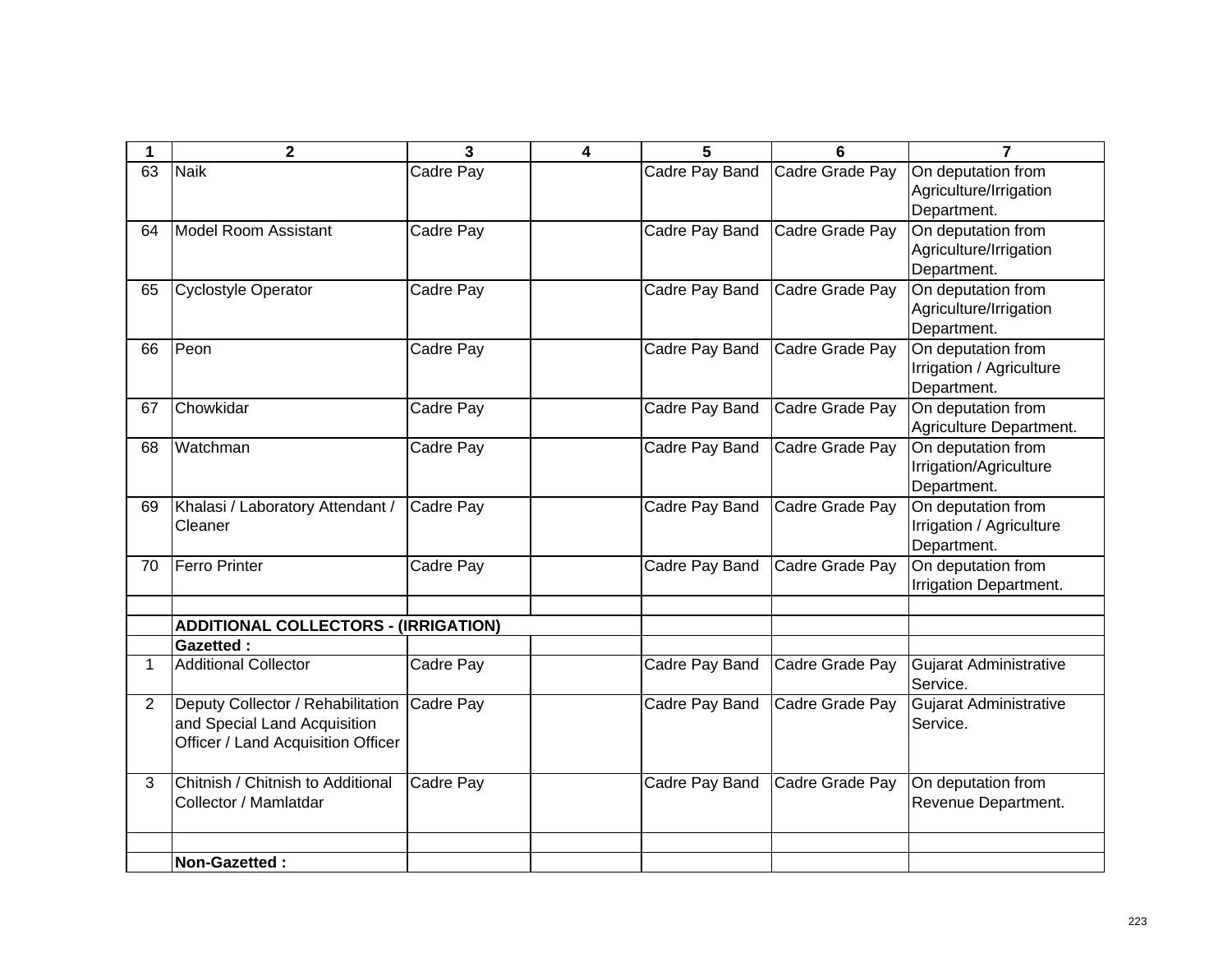|                | $\mathbf 2$                                                                                             | 3         | 4 | 5              | 6               | 7                                                             |
|----------------|---------------------------------------------------------------------------------------------------------|-----------|---|----------------|-----------------|---------------------------------------------------------------|
| 63             | <b>Naik</b>                                                                                             | Cadre Pay |   | Cadre Pay Band | Cadre Grade Pay | On deputation from<br>Agriculture/Irrigation<br>Department.   |
| 64             | <b>Model Room Assistant</b>                                                                             | Cadre Pay |   | Cadre Pay Band | Cadre Grade Pay | On deputation from<br>Agriculture/Irrigation<br>Department.   |
| 65             | <b>Cyclostyle Operator</b>                                                                              | Cadre Pay |   | Cadre Pay Band | Cadre Grade Pay | On deputation from<br>Agriculture/Irrigation<br>Department.   |
| 66             | Peon                                                                                                    | Cadre Pay |   | Cadre Pay Band | Cadre Grade Pay | On deputation from<br>Irrigation / Agriculture<br>Department. |
| 67             | Chowkidar                                                                                               | Cadre Pay |   | Cadre Pay Band | Cadre Grade Pay | On deputation from<br>Agriculture Department.                 |
| 68             | Watchman                                                                                                | Cadre Pay |   | Cadre Pay Band | Cadre Grade Pay | On deputation from<br>Irrigation/Agriculture<br>Department.   |
| 69             | Khalasi / Laboratory Attendant /<br>Cleaner                                                             | Cadre Pay |   | Cadre Pay Band | Cadre Grade Pay | On deputation from<br>Irrigation / Agriculture<br>Department. |
| 70             | <b>Ferro Printer</b>                                                                                    | Cadre Pay |   | Cadre Pay Band | Cadre Grade Pay | On deputation from<br>Irrigation Department.                  |
|                | <b>ADDITIONAL COLLECTORS - (IRRIGATION)</b>                                                             |           |   |                |                 |                                                               |
|                | <b>Gazetted:</b>                                                                                        |           |   |                |                 |                                                               |
| 1              | <b>Additional Collector</b>                                                                             | Cadre Pay |   | Cadre Pay Band | Cadre Grade Pay | <b>Gujarat Administrative</b><br>Service.                     |
| $\overline{2}$ | Deputy Collector / Rehabilitation<br>and Special Land Acquisition<br>Officer / Land Acquisition Officer | Cadre Pay |   | Cadre Pay Band | Cadre Grade Pay | Gujarat Administrative<br>Service.                            |
| 3              | Chitnish / Chitnish to Additional<br>Collector / Mamlatdar                                              | Cadre Pay |   | Cadre Pay Band | Cadre Grade Pay | On deputation from<br>Revenue Department.                     |
|                | <b>Non-Gazetted:</b>                                                                                    |           |   |                |                 |                                                               |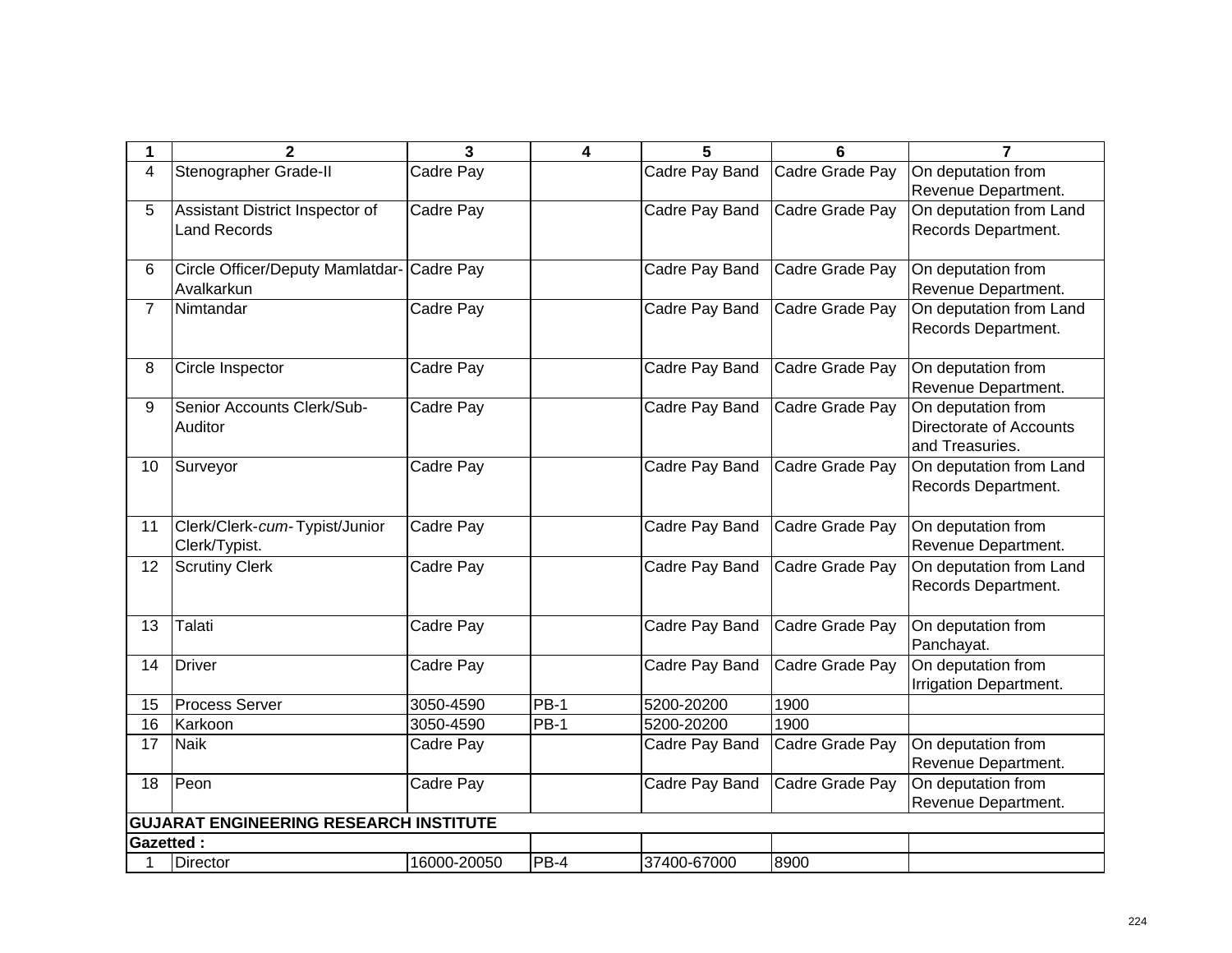| 1                | $\mathbf{2}$                                  | 3           | 4           | 5              | 6               | 7                       |
|------------------|-----------------------------------------------|-------------|-------------|----------------|-----------------|-------------------------|
| $\overline{4}$   | Stenographer Grade-II                         | Cadre Pay   |             | Cadre Pay Band | Cadre Grade Pay | On deputation from      |
|                  |                                               |             |             |                |                 | Revenue Department.     |
| 5                | Assistant District Inspector of               | Cadre Pay   |             | Cadre Pay Band | Cadre Grade Pay | On deputation from Land |
|                  | <b>Land Records</b>                           |             |             |                |                 | Records Department.     |
|                  |                                               |             |             |                |                 |                         |
| 6                | Circle Officer/Deputy Mamlatdar- Cadre Pay    |             |             | Cadre Pay Band | Cadre Grade Pay | On deputation from      |
|                  | Avalkarkun                                    |             |             |                |                 | Revenue Department.     |
| $\overline{7}$   | Nimtandar                                     | Cadre Pay   |             | Cadre Pay Band | Cadre Grade Pay | On deputation from Land |
|                  |                                               |             |             |                |                 | Records Department.     |
|                  |                                               |             |             |                |                 |                         |
| 8                | Circle Inspector                              | Cadre Pay   |             | Cadre Pay Band | Cadre Grade Pay | On deputation from      |
|                  |                                               |             |             |                |                 | Revenue Department.     |
| 9                | Senior Accounts Clerk/Sub-                    | Cadre Pay   |             | Cadre Pay Band | Cadre Grade Pay | On deputation from      |
|                  | Auditor                                       |             |             |                |                 | Directorate of Accounts |
|                  |                                               |             |             |                |                 | and Treasuries.         |
| 10 <sup>1</sup>  | Surveyor                                      | Cadre Pay   |             | Cadre Pay Band | Cadre Grade Pay | On deputation from Land |
|                  |                                               |             |             |                |                 | Records Department.     |
|                  |                                               |             |             |                |                 |                         |
| 11               | Clerk/Clerk-cum-Typist/Junior                 | Cadre Pay   |             | Cadre Pay Band | Cadre Grade Pay | On deputation from      |
|                  | Clerk/Typist.                                 |             |             |                |                 | Revenue Department.     |
| 12               | <b>Scrutiny Clerk</b>                         | Cadre Pay   |             | Cadre Pay Band | Cadre Grade Pay | On deputation from Land |
|                  |                                               |             |             |                |                 | Records Department.     |
|                  |                                               |             |             |                |                 |                         |
| 13               | Talati                                        | Cadre Pay   |             | Cadre Pay Band | Cadre Grade Pay | On deputation from      |
|                  |                                               |             |             |                |                 | Panchayat.              |
| 14               | Driver                                        | Cadre Pay   |             | Cadre Pay Band | Cadre Grade Pay | On deputation from      |
|                  |                                               |             |             |                |                 | Irrigation Department.  |
| 15               | <b>Process Server</b>                         | 3050-4590   | <b>PB-1</b> | 5200-20200     | 1900            |                         |
| 16               | Karkoon                                       | 3050-4590   | <b>PB-1</b> | 5200-20200     | 1900            |                         |
| 17               | <b>Naik</b>                                   | Cadre Pay   |             | Cadre Pay Band | Cadre Grade Pay | On deputation from      |
|                  |                                               |             |             |                |                 | Revenue Department.     |
| 18               | Peon                                          | Cadre Pay   |             | Cadre Pay Band | Cadre Grade Pay | On deputation from      |
|                  |                                               |             |             |                |                 | Revenue Department.     |
|                  | <b>GUJARAT ENGINEERING RESEARCH INSTITUTE</b> |             |             |                |                 |                         |
| <b>Gazetted:</b> |                                               |             |             |                |                 |                         |
|                  | <b>Director</b>                               | 16000-20050 | PB-4        | 37400-67000    | 8900            |                         |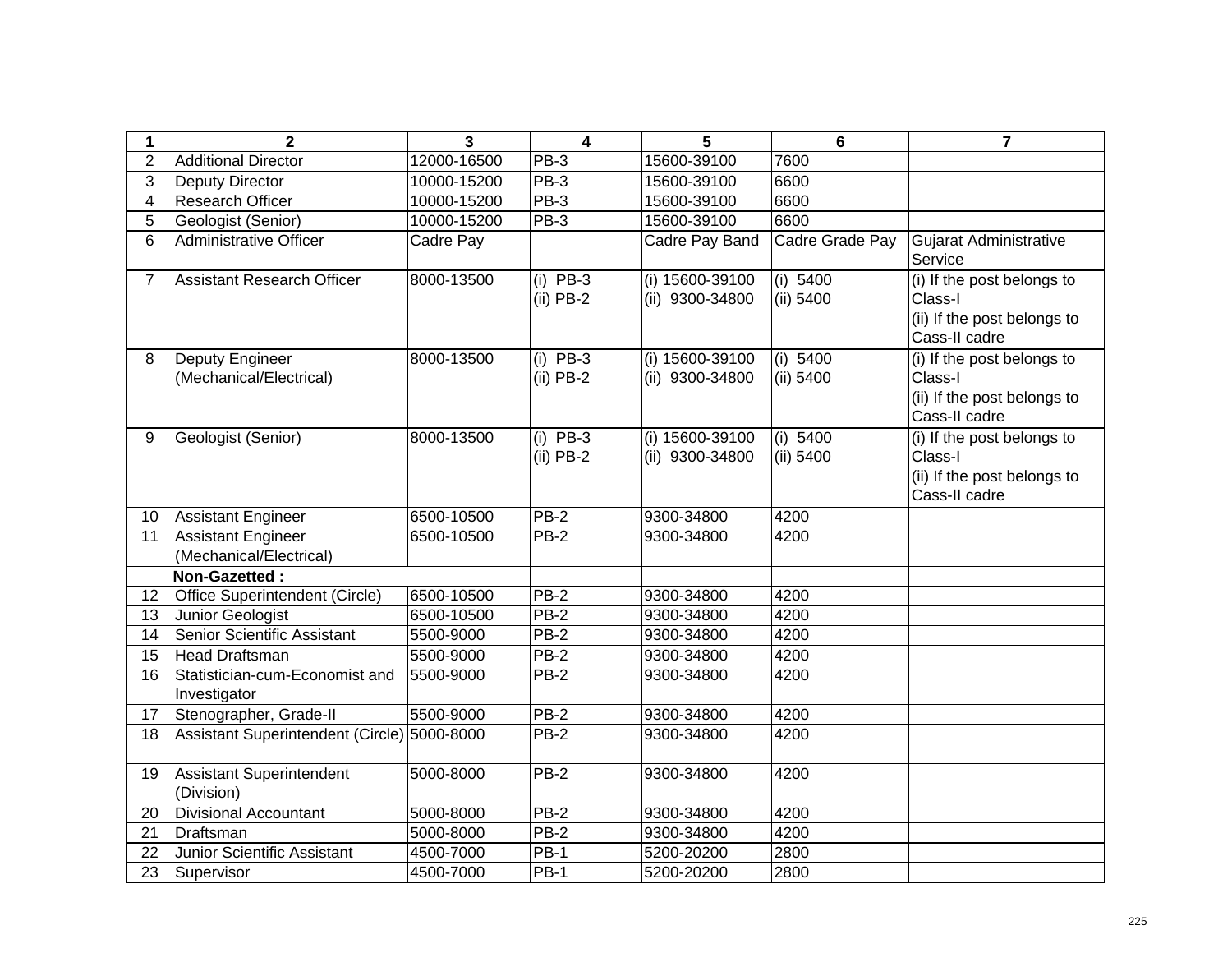| 1              | $\overline{2}$                                 | 3           | $\overline{\mathbf{4}}$   | 5                                  | $6\phantom{a}$        | $\overline{7}$                                                                        |
|----------------|------------------------------------------------|-------------|---------------------------|------------------------------------|-----------------------|---------------------------------------------------------------------------------------|
| $\overline{2}$ | <b>Additional Director</b>                     | 12000-16500 | PB-3                      | 15600-39100                        | 7600                  |                                                                                       |
| 3              | <b>Deputy Director</b>                         | 10000-15200 | $PB-3$                    | 15600-39100                        | 6600                  |                                                                                       |
| $\overline{4}$ | <b>Research Officer</b>                        | 10000-15200 | $PB-3$                    | 15600-39100                        | 6600                  |                                                                                       |
| 5              | Geologist (Senior)                             | 10000-15200 | <b>PB-3</b>               | 15600-39100                        | 6600                  |                                                                                       |
| 6              | <b>Administrative Officer</b>                  | Cadre Pay   |                           | Cadre Pay Band                     | Cadre Grade Pay       | <b>Gujarat Administrative</b><br>Service                                              |
| $\overline{7}$ | Assistant Research Officer                     | 8000-13500  | $(i)$ PB-3<br>$(ii)$ PB-2 | (i) 15600-39100<br>(ii) 9300-34800 | (i) 5400<br>(ii) 5400 | (i) If the post belongs to<br>Class-I<br>(ii) If the post belongs to<br>Cass-II cadre |
| 8              | Deputy Engineer<br>(Mechanical/Electrical)     | 8000-13500  | $(i)$ PB-3<br>$(ii)$ PB-2 | (i) 15600-39100<br>(ii) 9300-34800 | (i) 5400<br>(ii) 5400 | (i) If the post belongs to<br>Class-I<br>(ii) If the post belongs to<br>Cass-II cadre |
| 9              | Geologist (Senior)                             | 8000-13500  | $(i)$ PB-3<br>$(ii)$ PB-2 | (i) 15600-39100<br>(ii) 9300-34800 | (i) 5400<br>(ii) 5400 | (i) If the post belongs to<br>Class-I<br>(ii) If the post belongs to<br>Cass-II cadre |
| 10             | <b>Assistant Engineer</b>                      | 6500-10500  | PB-2                      | 9300-34800                         | 4200                  |                                                                                       |
| 11             | <b>Assistant Engineer</b>                      | 6500-10500  | $PB-2$                    | 9300-34800                         | 4200                  |                                                                                       |
|                | (Mechanical/Electrical)                        |             |                           |                                    |                       |                                                                                       |
|                | Non-Gazetted:                                  |             |                           |                                    |                       |                                                                                       |
| 12             | <b>Office Superintendent (Circle)</b>          | 6500-10500  | <b>PB-2</b>               | 9300-34800                         | 4200                  |                                                                                       |
| 13             | Junior Geologist                               | 6500-10500  | $PB-2$                    | 9300-34800                         | 4200                  |                                                                                       |
| 14             | Senior Scientific Assistant                    | 5500-9000   | PB-2                      | 9300-34800                         | 4200                  |                                                                                       |
| 15             | Head Draftsman                                 | 5500-9000   | <b>PB-2</b>               | 9300-34800                         | 4200                  |                                                                                       |
| 16             | Statistician-cum-Economist and<br>Investigator | 5500-9000   | PB-2                      | 9300-34800                         | 4200                  |                                                                                       |
| 17             | Stenographer, Grade-II                         | 5500-9000   | $PB-2$                    | 9300-34800                         | 4200                  |                                                                                       |
| 18             | Assistant Superintendent (Circle) 5000-8000    |             | $PB-2$                    | 9300-34800                         | 4200                  |                                                                                       |
| 19             | Assistant Superintendent<br>(Division)         | 5000-8000   | <b>PB-2</b>               | 9300-34800                         | 4200                  |                                                                                       |
| 20             | <b>Divisional Accountant</b>                   | 5000-8000   | <b>PB-2</b>               | 9300-34800                         | 4200                  |                                                                                       |
| 21             | Draftsman                                      | 5000-8000   | $PB-2$                    | 9300-34800                         | 4200                  |                                                                                       |
| 22             | Junior Scientific Assistant                    | 4500-7000   | PB-1                      | 5200-20200                         | 2800                  |                                                                                       |
| 23             | Supervisor                                     | 4500-7000   | <b>PB-1</b>               | 5200-20200                         | 2800                  |                                                                                       |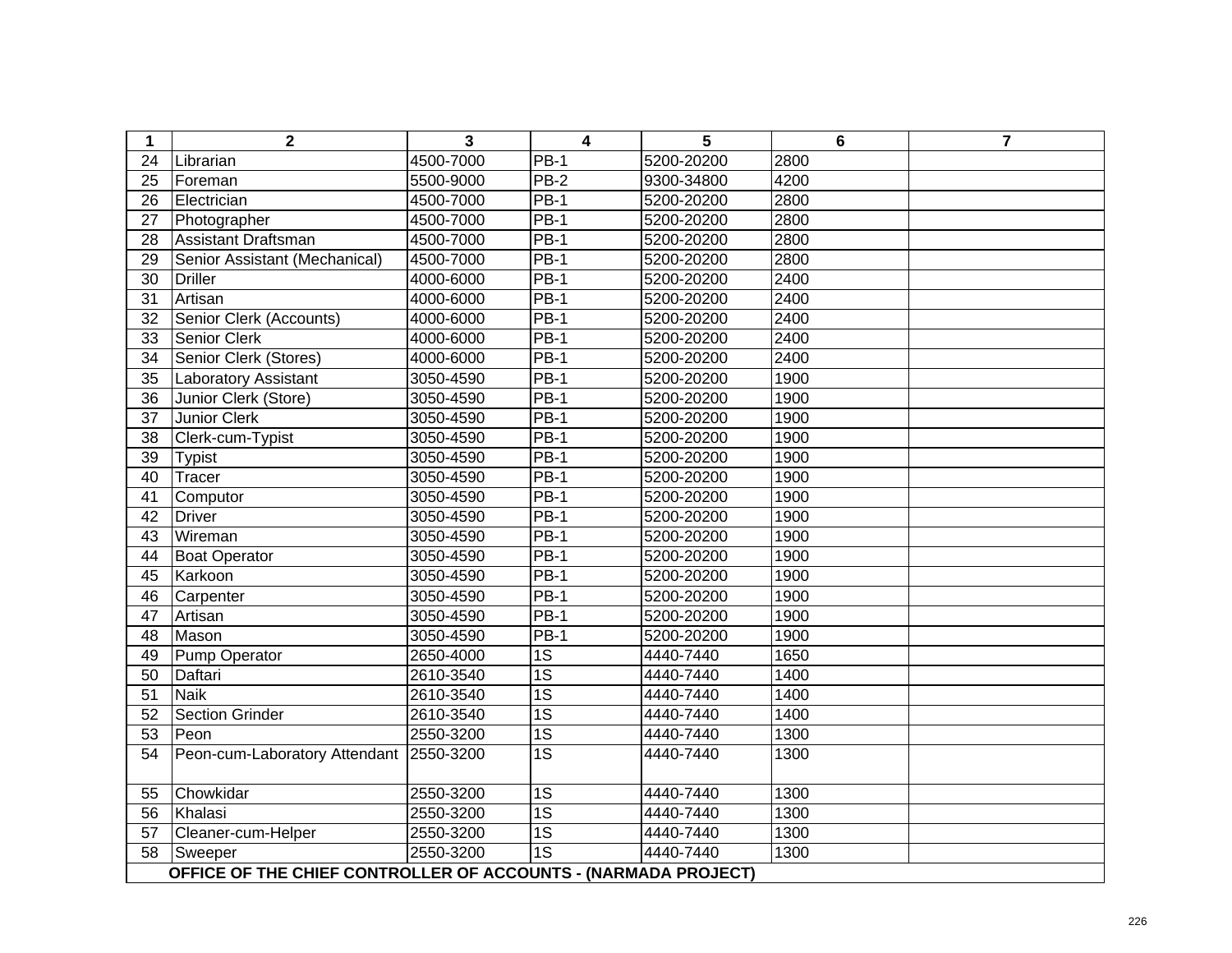| 1               | $\mathbf 2$                                                    | 3         | $\overline{\mathbf{4}}$ | 5          | $6\phantom{1}6$ | $\overline{7}$ |
|-----------------|----------------------------------------------------------------|-----------|-------------------------|------------|-----------------|----------------|
| 24              | Librarian                                                      | 4500-7000 | $PB-1$                  | 5200-20200 | 2800            |                |
| 25              | Foreman                                                        | 5500-9000 | $PB-2$                  | 9300-34800 | 4200            |                |
| 26              | Electrician                                                    | 4500-7000 | $PB-1$                  | 5200-20200 | 2800            |                |
| 27              | Photographer                                                   | 4500-7000 | <b>PB-1</b>             | 5200-20200 | 2800            |                |
| 28              | Assistant Draftsman                                            | 4500-7000 | $PB-1$                  | 5200-20200 | 2800            |                |
| 29              | Senior Assistant (Mechanical)                                  | 4500-7000 | <b>PB-1</b>             | 5200-20200 | 2800            |                |
| $\overline{30}$ | <b>Driller</b>                                                 | 4000-6000 | $PB-1$                  | 5200-20200 | 2400            |                |
| 31              | Artisan                                                        | 4000-6000 | $PB-1$                  | 5200-20200 | 2400            |                |
| 32              | Senior Clerk (Accounts)                                        | 4000-6000 | $PB-1$                  | 5200-20200 | 2400            |                |
| 33              | <b>Senior Clerk</b>                                            | 4000-6000 | $PB-1$                  | 5200-20200 | 2400            |                |
| $\overline{34}$ | Senior Clerk (Stores)                                          | 4000-6000 | $PB-1$                  | 5200-20200 | 2400            |                |
| 35              | <b>Laboratory Assistant</b>                                    | 3050-4590 | <b>PB-1</b>             | 5200-20200 | 1900            |                |
| 36              | Junior Clerk (Store)                                           | 3050-4590 | $PB-1$                  | 5200-20200 | 1900            |                |
| $\overline{37}$ | <b>Junior Clerk</b>                                            | 3050-4590 | $PB-1$                  | 5200-20200 | 1900            |                |
| 38              | Clerk-cum-Typist                                               | 3050-4590 | PB-1                    | 5200-20200 | 1900            |                |
| $\overline{39}$ | <b>Typist</b>                                                  | 3050-4590 | $PB-1$                  | 5200-20200 | 1900            |                |
| 40              | Tracer                                                         | 3050-4590 | <b>PB-1</b>             | 5200-20200 | 1900            |                |
| 41              | Computor                                                       | 3050-4590 | <b>PB-1</b>             | 5200-20200 | 1900            |                |
| 42              | <b>Driver</b>                                                  | 3050-4590 | <b>PB-1</b>             | 5200-20200 | 1900            |                |
| 43              | Wireman                                                        | 3050-4590 | <b>PB-1</b>             | 5200-20200 | 1900            |                |
| 44              | <b>Boat Operator</b>                                           | 3050-4590 | <b>PB-1</b>             | 5200-20200 | 1900            |                |
| 45              | Karkoon                                                        | 3050-4590 | <b>PB-1</b>             | 5200-20200 | 1900            |                |
| 46              | Carpenter                                                      | 3050-4590 | <b>PB-1</b>             | 5200-20200 | 1900            |                |
| 47              | Artisan                                                        | 3050-4590 | $PB-1$                  | 5200-20200 | 1900            |                |
| 48              | Mason                                                          | 3050-4590 | <b>PB-1</b>             | 5200-20200 | 1900            |                |
| 49              | <b>Pump Operator</b>                                           | 2650-4000 | $\overline{1S}$         | 4440-7440  | 1650            |                |
| 50              | Daftari                                                        | 2610-3540 | $\overline{1S}$         | 4440-7440  | 1400            |                |
| 51              | <b>Naik</b>                                                    | 2610-3540 | $\overline{1S}$         | 4440-7440  | 1400            |                |
| $\overline{52}$ | <b>Section Grinder</b>                                         | 2610-3540 | $\overline{1S}$         | 4440-7440  | 1400            |                |
| 53              | Peon                                                           | 2550-3200 | $\overline{1S}$         | 4440-7440  | 1300            |                |
| 54              | Peon-cum-Laboratory Attendant 2550-3200                        |           | $\overline{1S}$         | 4440-7440  | 1300            |                |
| 55              | Chowkidar                                                      | 2550-3200 | 1S                      | 4440-7440  | 1300            |                |
| 56              | Khalasi                                                        | 2550-3200 | $\overline{1S}$         | 4440-7440  | 1300            |                |
| $\overline{57}$ | Cleaner-cum-Helper                                             | 2550-3200 | 1S                      | 4440-7440  | 1300            |                |
| 58              | Sweeper                                                        | 2550-3200 | 1S                      | 4440-7440  | 1300            |                |
|                 | OFFICE OF THE CHIEF CONTROLLER OF ACCOUNTS - (NARMADA PROJECT) |           |                         |            |                 |                |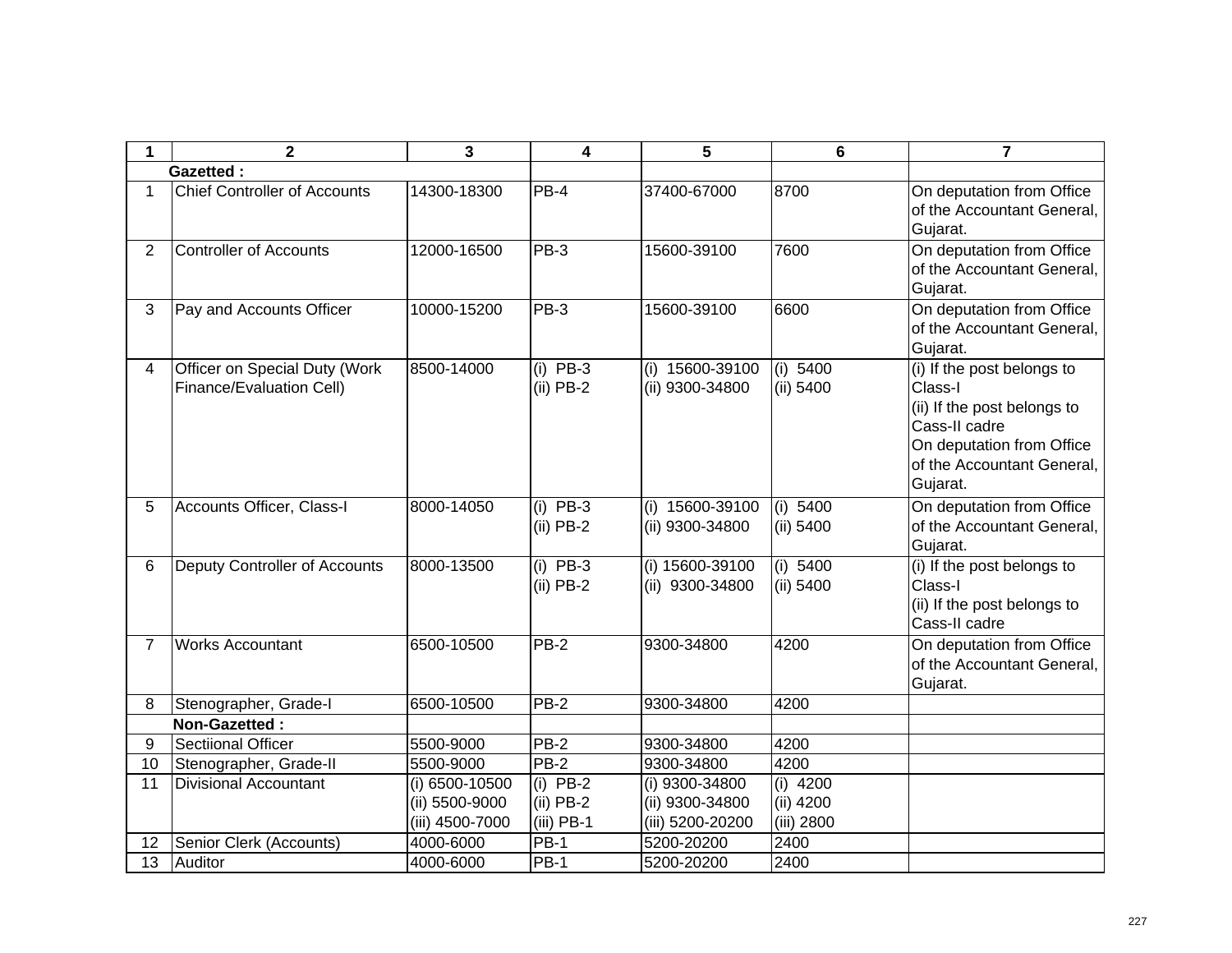| $\mathbf{1}$   | $\mathbf 2$                                               | 3                                                   | 4                                         | 5                                                     | $6\phantom{1}$                        | $\overline{7}$                                                                                                                                               |
|----------------|-----------------------------------------------------------|-----------------------------------------------------|-------------------------------------------|-------------------------------------------------------|---------------------------------------|--------------------------------------------------------------------------------------------------------------------------------------------------------------|
|                | <b>Gazetted:</b>                                          |                                                     |                                           |                                                       |                                       |                                                                                                                                                              |
| $\mathbf 1$    | <b>Chief Controller of Accounts</b>                       | 14300-18300                                         | PB-4                                      | 37400-67000                                           | 8700                                  | On deputation from Office<br>of the Accountant General,<br>Gujarat.                                                                                          |
| $\overline{2}$ | <b>Controller of Accounts</b>                             | 12000-16500                                         | PB-3                                      | 15600-39100                                           | 7600                                  | On deputation from Office<br>of the Accountant General,<br>Gujarat.                                                                                          |
| 3              | Pay and Accounts Officer                                  | 10000-15200                                         | PB-3                                      | 15600-39100                                           | 6600                                  | On deputation from Office<br>of the Accountant General,<br>Gujarat.                                                                                          |
| $\overline{4}$ | Officer on Special Duty (Work<br>Finance/Evaluation Cell) | 8500-14000                                          | $(i)$ PB-3<br>$(ii)$ PB-2                 | (i) 15600-39100<br>(ii) 9300-34800                    | (i) 5400<br>(ii) 5400                 | (i) If the post belongs to<br>Class-I<br>(ii) If the post belongs to<br>Cass-II cadre<br>On deputation from Office<br>of the Accountant General,<br>Gujarat. |
| 5              | Accounts Officer, Class-I                                 | 8000-14050                                          | $(i)$ PB-3<br>$(ii)$ PB-2                 | (i) 15600-39100<br>(ii) 9300-34800                    | (i) 5400<br>(ii) 5400                 | On deputation from Office<br>of the Accountant General,<br>Gujarat.                                                                                          |
| 6              | Deputy Controller of Accounts                             | 8000-13500                                          | $(i)$ PB-3<br>$(ii)$ PB-2                 | (i) 15600-39100<br>(ii) 9300-34800                    | (i) 5400<br>(ii) 5400                 | (i) If the post belongs to<br>Class-I<br>(ii) If the post belongs to<br>Cass-II cadre                                                                        |
| $\overline{7}$ | <b>Works Accountant</b>                                   | 6500-10500                                          | $PB-2$                                    | 9300-34800                                            | 4200                                  | On deputation from Office<br>of the Accountant General,<br>Gujarat.                                                                                          |
| 8              | Stenographer, Grade-I                                     | 6500-10500                                          | $PB-2$                                    | 9300-34800                                            | 4200                                  |                                                                                                                                                              |
|                | Non-Gazetted:                                             |                                                     |                                           |                                                       |                                       |                                                                                                                                                              |
| 9              | Sectiional Officer                                        | 5500-9000                                           | $PB-2$                                    | 9300-34800                                            | 4200                                  |                                                                                                                                                              |
| 10             | Stenographer, Grade-II                                    | 5500-9000                                           | $PB-2$                                    | 9300-34800                                            | 4200                                  |                                                                                                                                                              |
| 11             | <b>Divisional Accountant</b>                              | (i) 6500-10500<br>(ii) 5500-9000<br>(iii) 4500-7000 | $(i)$ PB-2<br>$(ii)$ PB-2<br>$(iii)$ PB-1 | (i) 9300-34800<br>(ii) 9300-34800<br>(iii) 5200-20200 | $(i)$ 4200<br>(ii) 4200<br>(iii) 2800 |                                                                                                                                                              |
| 12             | Senior Clerk (Accounts)                                   | 4000-6000                                           | <b>PB-1</b>                               | 5200-20200                                            | 2400                                  |                                                                                                                                                              |
| 13             | Auditor                                                   | 4000-6000                                           | $PB-1$                                    | 5200-20200                                            | 2400                                  |                                                                                                                                                              |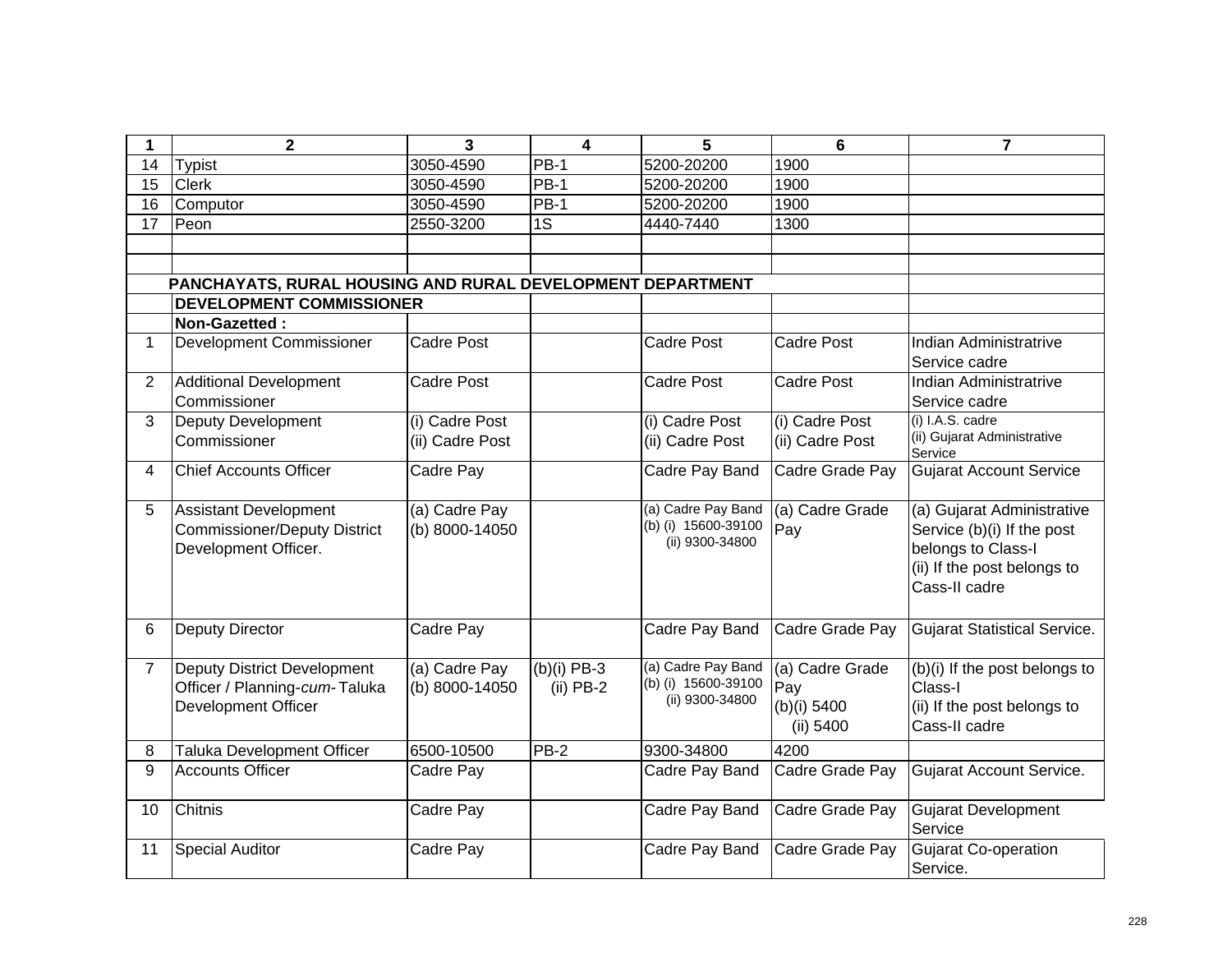| 1              | $\mathbf 2$                                                | $\overline{3}$    | 4             | 5                   | $6\phantom{1}6$   | 7                                         |
|----------------|------------------------------------------------------------|-------------------|---------------|---------------------|-------------------|-------------------------------------------|
| 14             | <b>Typist</b>                                              | 3050-4590         | <b>PB-1</b>   | 5200-20200          | 1900              |                                           |
| 15             | <b>Clerk</b>                                               | 3050-4590         | $PB-1$        | 5200-20200          | 1900              |                                           |
| 16             | Computor                                                   | 3050-4590         | <b>PB-1</b>   | 5200-20200          | 1900              |                                           |
| 17             | Peon                                                       | 2550-3200         | 1S            | 4440-7440           | 1300              |                                           |
|                |                                                            |                   |               |                     |                   |                                           |
|                |                                                            |                   |               |                     |                   |                                           |
|                | PANCHAYATS, RURAL HOUSING AND RURAL DEVELOPMENT DEPARTMENT |                   |               |                     |                   |                                           |
|                | <b>DEVELOPMENT COMMISSIONER</b>                            |                   |               |                     |                   |                                           |
|                | Non-Gazetted:                                              |                   |               |                     |                   |                                           |
| $\mathbf 1$    | <b>Development Commissioner</b>                            | <b>Cadre Post</b> |               | Cadre Post          | <b>Cadre Post</b> | Indian Administratrive                    |
|                |                                                            |                   |               |                     |                   | Service cadre                             |
| $\overline{2}$ | <b>Additional Development</b>                              | <b>Cadre Post</b> |               | Cadre Post          | <b>Cadre Post</b> | Indian Administratrive                    |
|                | Commissioner                                               |                   |               |                     |                   | Service cadre                             |
| 3              | <b>Deputy Development</b>                                  | (i) Cadre Post    |               | (i) Cadre Post      | (i) Cadre Post    | (i) I.A.S. cadre                          |
|                | Commissioner                                               | (ii) Cadre Post   |               | (ii) Cadre Post     | (ii) Cadre Post   | (ii) Gujarat Administrative               |
| 4              | <b>Chief Accounts Officer</b>                              | Cadre Pay         |               | Cadre Pay Band      | Cadre Grade Pay   | Service<br><b>Gujarat Account Service</b> |
|                |                                                            |                   |               |                     |                   |                                           |
| 5              | <b>Assistant Development</b>                               | (a) Cadre Pay     |               | (a) Cadre Pay Band  | (a) Cadre Grade   | (a) Gujarat Administrative                |
|                | <b>Commissioner/Deputy District</b>                        | (b) 8000-14050    |               | (b) (i) 15600-39100 | Pay               | Service (b)(i) If the post                |
|                | Development Officer.                                       |                   |               | (ii) 9300-34800     |                   | belongs to Class-I                        |
|                |                                                            |                   |               |                     |                   | (ii) If the post belongs to               |
|                |                                                            |                   |               |                     |                   | Cass-II cadre                             |
|                |                                                            |                   |               |                     |                   |                                           |
| 6              | <b>Deputy Director</b>                                     | Cadre Pay         |               | Cadre Pay Band      | Cadre Grade Pay   | <b>Gujarat Statistical Service.</b>       |
|                |                                                            |                   |               |                     |                   |                                           |
| $\overline{7}$ | Deputy District Development                                | (a) Cadre Pay     | $(b)(i)$ PB-3 | (a) Cadre Pay Band  | (a) Cadre Grade   | (b)(i) If the post belongs to             |
|                | Officer / Planning-cum-Taluka                              | (b) 8000-14050    | $(ii)$ PB-2   | (b) (i) 15600-39100 | Pay               | Class-I                                   |
|                | Development Officer                                        |                   |               | (ii) 9300-34800     | (b)(i) 5400       | (ii) If the post belongs to               |
|                |                                                            |                   |               |                     | (ii) 5400         | Cass-II cadre                             |
| 8              | <b>Taluka Development Officer</b>                          | 6500-10500        | PB-2          | 9300-34800          | 4200              |                                           |
| 9              | <b>Accounts Officer</b>                                    | Cadre Pay         |               | Cadre Pay Band      | Cadre Grade Pay   | <b>Gujarat Account Service.</b>           |
|                |                                                            |                   |               |                     |                   |                                           |
| 10             | Chitnis                                                    | Cadre Pay         |               | Cadre Pay Band      | Cadre Grade Pay   | Gujarat Development                       |
|                |                                                            |                   |               |                     |                   | Service                                   |
| 11             | <b>Special Auditor</b>                                     | Cadre Pay         |               | Cadre Pay Band      | Cadre Grade Pay   | <b>Gujarat Co-operation</b>               |
|                |                                                            |                   |               |                     |                   | Service.                                  |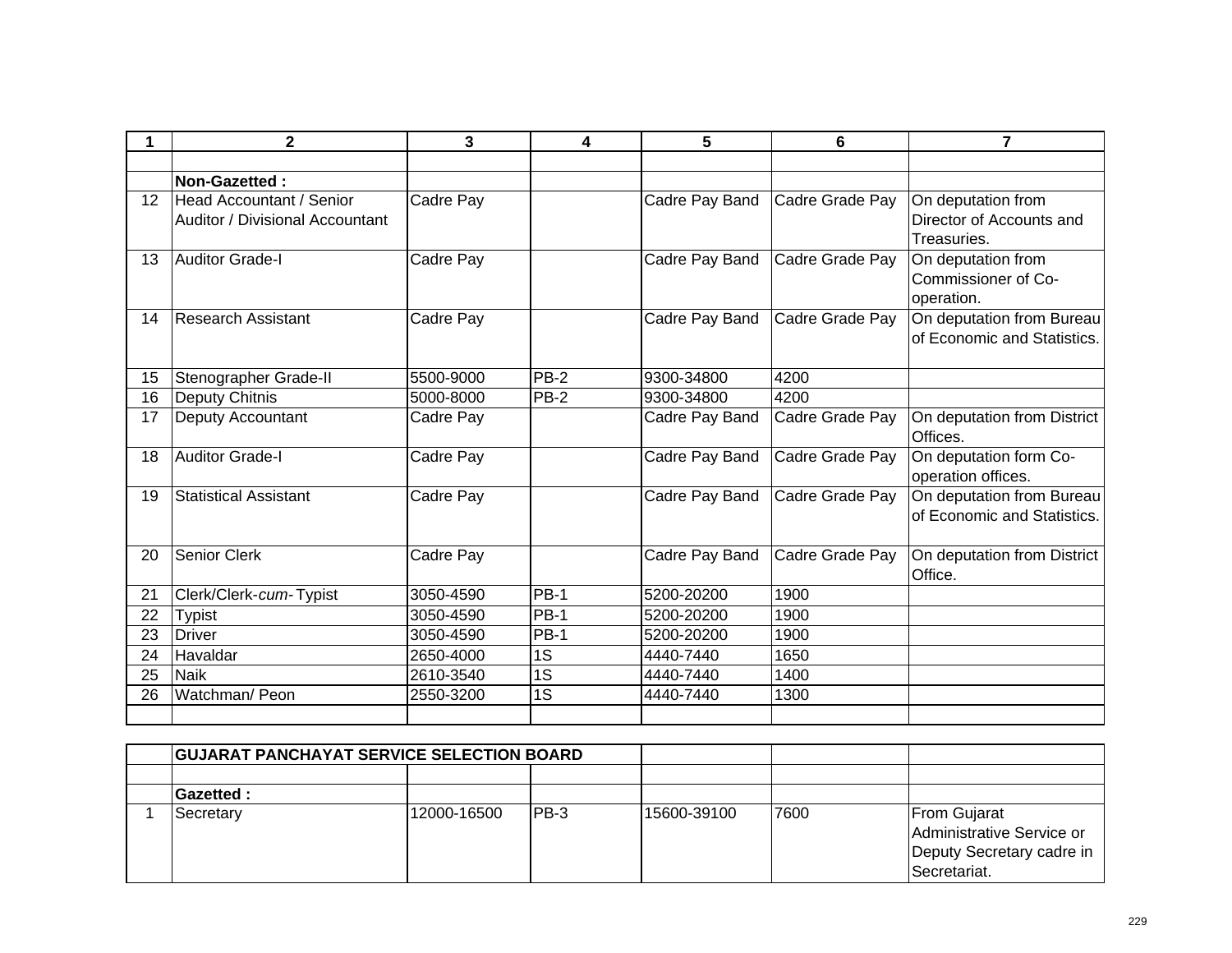|                   | $\mathbf 2$                     | 3         | 4           | 5              | 6               | $\overline{7}$              |
|-------------------|---------------------------------|-----------|-------------|----------------|-----------------|-----------------------------|
|                   |                                 |           |             |                |                 |                             |
|                   | Non-Gazetted:                   |           |             |                |                 |                             |
| $12 \overline{ }$ | Head Accountant / Senior        | Cadre Pay |             | Cadre Pay Band | Cadre Grade Pay | On deputation from          |
|                   | Auditor / Divisional Accountant |           |             |                |                 | Director of Accounts and    |
|                   |                                 |           |             |                |                 | Treasuries.                 |
| 13                | <b>Auditor Grade-I</b>          | Cadre Pay |             | Cadre Pay Band | Cadre Grade Pay | On deputation from          |
|                   |                                 |           |             |                |                 | Commissioner of Co-         |
|                   |                                 |           |             |                |                 | operation.                  |
| 14                | <b>Research Assistant</b>       | Cadre Pay |             | Cadre Pay Band | Cadre Grade Pay | On deputation from Bureau   |
|                   |                                 |           |             |                |                 | of Economic and Statistics. |
|                   |                                 |           | $PB-2$      |                |                 |                             |
| 15                | Stenographer Grade-II           | 5500-9000 |             | 9300-34800     | 4200            |                             |
| 16                | <b>Deputy Chitnis</b>           | 5000-8000 | <b>PB-2</b> | 9300-34800     | 4200            |                             |
| 17                | <b>Deputy Accountant</b>        | Cadre Pay |             | Cadre Pay Band | Cadre Grade Pay | On deputation from District |
|                   |                                 |           |             |                |                 | Offices.                    |
| 18                | <b>Auditor Grade-I</b>          | Cadre Pay |             | Cadre Pay Band | Cadre Grade Pay | On deputation form Co-      |
|                   |                                 |           |             |                |                 | operation offices.          |
| 19                | <b>Statistical Assistant</b>    | Cadre Pay |             | Cadre Pay Band | Cadre Grade Pay | On deputation from Bureau   |
|                   |                                 |           |             |                |                 | of Economic and Statistics. |
|                   |                                 |           |             |                |                 |                             |
| 20                | <b>Senior Clerk</b>             | Cadre Pay |             | Cadre Pay Band | Cadre Grade Pay | On deputation from District |
|                   |                                 |           |             |                |                 | Office.                     |
| 21                | Clerk/Clerk-cum-Typist          | 3050-4590 | $PB-1$      | 5200-20200     | 1900            |                             |
| 22                | <b>Typist</b>                   | 3050-4590 | <b>PB-1</b> | 5200-20200     | 1900            |                             |
| 23                | <b>Driver</b>                   | 3050-4590 | <b>PB-1</b> | 5200-20200     | 1900            |                             |
| 24                | Havaldar                        | 2650-4000 | 1S          | 4440-7440      | 1650            |                             |
| 25                | <b>Naik</b>                     | 2610-3540 | 1S          | 4440-7440      | 1400            |                             |
| 26                | Watchman/ Peon                  | 2550-3200 | 1S          | 4440-7440      | 1300            |                             |
|                   |                                 |           |             |                |                 |                             |

| <b>GUJARAT PANCHAYAT SERVICE SELECTION BOARD</b> |             |       |             |      |                                                                                               |
|--------------------------------------------------|-------------|-------|-------------|------|-----------------------------------------------------------------------------------------------|
|                                                  |             |       |             |      |                                                                                               |
| <b>Gazetted:</b>                                 |             |       |             |      |                                                                                               |
| Secretary                                        | 12000-16500 | IPB-3 | 15600-39100 | 7600 | <b>From Gujarat</b><br>Administrative Service or<br>Deputy Secretary cadre in<br>Secretariat. |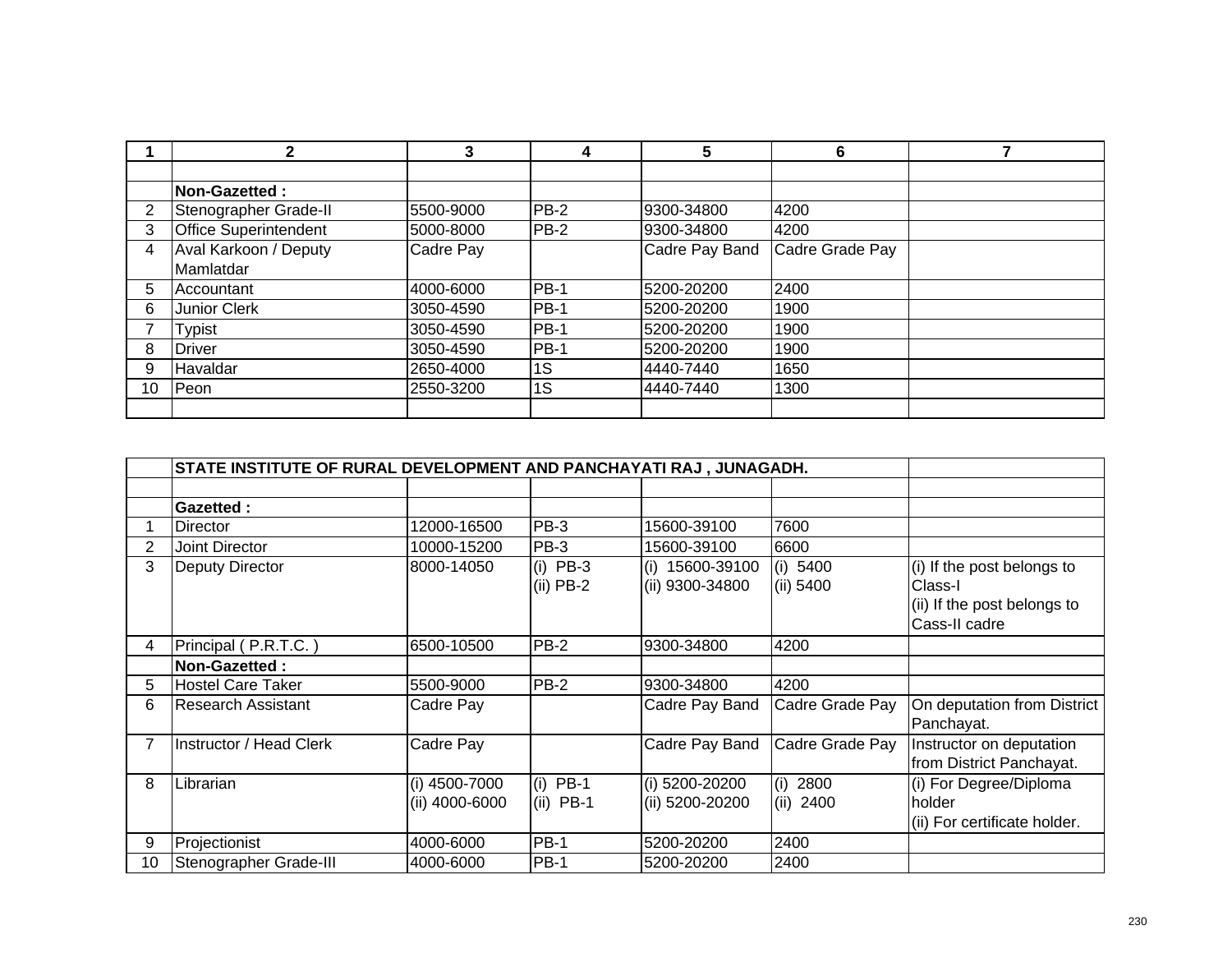|                | 2                            | 3         | 4      | 5              | 6               |  |
|----------------|------------------------------|-----------|--------|----------------|-----------------|--|
|                |                              |           |        |                |                 |  |
|                | <b>Non-Gazetted:</b>         |           |        |                |                 |  |
| $\overline{2}$ | Stenographer Grade-II        | 5500-9000 | $PB-2$ | 9300-34800     | 4200            |  |
| 3              | <b>Office Superintendent</b> | 5000-8000 | $PB-2$ | 9300-34800     | 4200            |  |
| 4              | Aval Karkoon / Deputy        | Cadre Pay |        | Cadre Pay Band | Cadre Grade Pay |  |
|                | Mamlatdar                    |           |        |                |                 |  |
| 5              | Accountant                   | 4000-6000 | $PB-1$ | 5200-20200     | 2400            |  |
| 6              | <b>Junior Clerk</b>          | 3050-4590 | $PB-1$ | 5200-20200     | 1900            |  |
|                | <b>Typist</b>                | 3050-4590 | $PB-1$ | 5200-20200     | 1900            |  |
| 8              | <b>Driver</b>                | 3050-4590 | $PB-1$ | 5200-20200     | 1900            |  |
| 9              | Havaldar                     | 2650-4000 | 1S     | 4440-7440      | 1650            |  |
| 10             | Peon                         | 2550-3200 | 1S     | 4440-7440      | 1300            |  |
|                |                              |           |        |                |                 |  |

|                | STATE INSTITUTE OF RURAL DEVELOPMENT AND PANCHAYATI RAJ , JUNAGADH. |                |             |                   |                 |                              |
|----------------|---------------------------------------------------------------------|----------------|-------------|-------------------|-----------------|------------------------------|
|                |                                                                     |                |             |                   |                 |                              |
|                | <b>Gazetted:</b>                                                    |                |             |                   |                 |                              |
|                | Director                                                            | 12000-16500    | PB-3        | 15600-39100       | 7600            |                              |
| 2              | Joint Director                                                      | 10000-15200    | PB-3        | 15600-39100       | 6600            |                              |
| 3              | Deputy Director                                                     | 8000-14050     | $(i)$ PB-3  | $(i)$ 15600-39100 | (i) 5400        | (i) If the post belongs to   |
|                |                                                                     |                | $(ii)$ PB-2 | (ii) 9300-34800   | (ii) 5400       | Class-I                      |
|                |                                                                     |                |             |                   |                 | (ii) If the post belongs to  |
|                |                                                                     |                |             |                   |                 | Cass-II cadre                |
| 4              | Principal (P.R.T.C.)                                                | 6500-10500     | <b>PB-2</b> | 9300-34800        | 4200            |                              |
|                | <b>Non-Gazetted:</b>                                                |                |             |                   |                 |                              |
| 5              | Hostel Care Taker                                                   | 5500-9000      | <b>PB-2</b> | 9300-34800        | 4200            |                              |
| 6              | Research Assistant                                                  | Cadre Pay      |             | Cadre Pay Band    | Cadre Grade Pay | On deputation from District  |
|                |                                                                     |                |             |                   |                 | Panchayat.                   |
| $\overline{7}$ | Instructor / Head Clerk                                             | Cadre Pay      |             | Cadre Pay Band    | Cadre Grade Pay | Instructor on deputation     |
|                |                                                                     |                |             |                   |                 | from District Panchayat.     |
| 8              | Librarian                                                           | (i) 4500-7000  | $(i)$ PB-1  | (i) 5200-20200    | (i)<br>2800     | (i) For Degree/Diploma       |
|                |                                                                     | (ii) 4000-6000 | $(ii)$ PB-1 | (ii) 5200-20200   | (ii) 2400       | holder                       |
|                |                                                                     |                |             |                   |                 | (ii) For certificate holder. |
| 9              | Projectionist                                                       | 4000-6000      | <b>PB-1</b> | 5200-20200        | 2400            |                              |
| 10             | Stenographer Grade-III                                              | 4000-6000      | <b>PB-1</b> | 5200-20200        | 2400            |                              |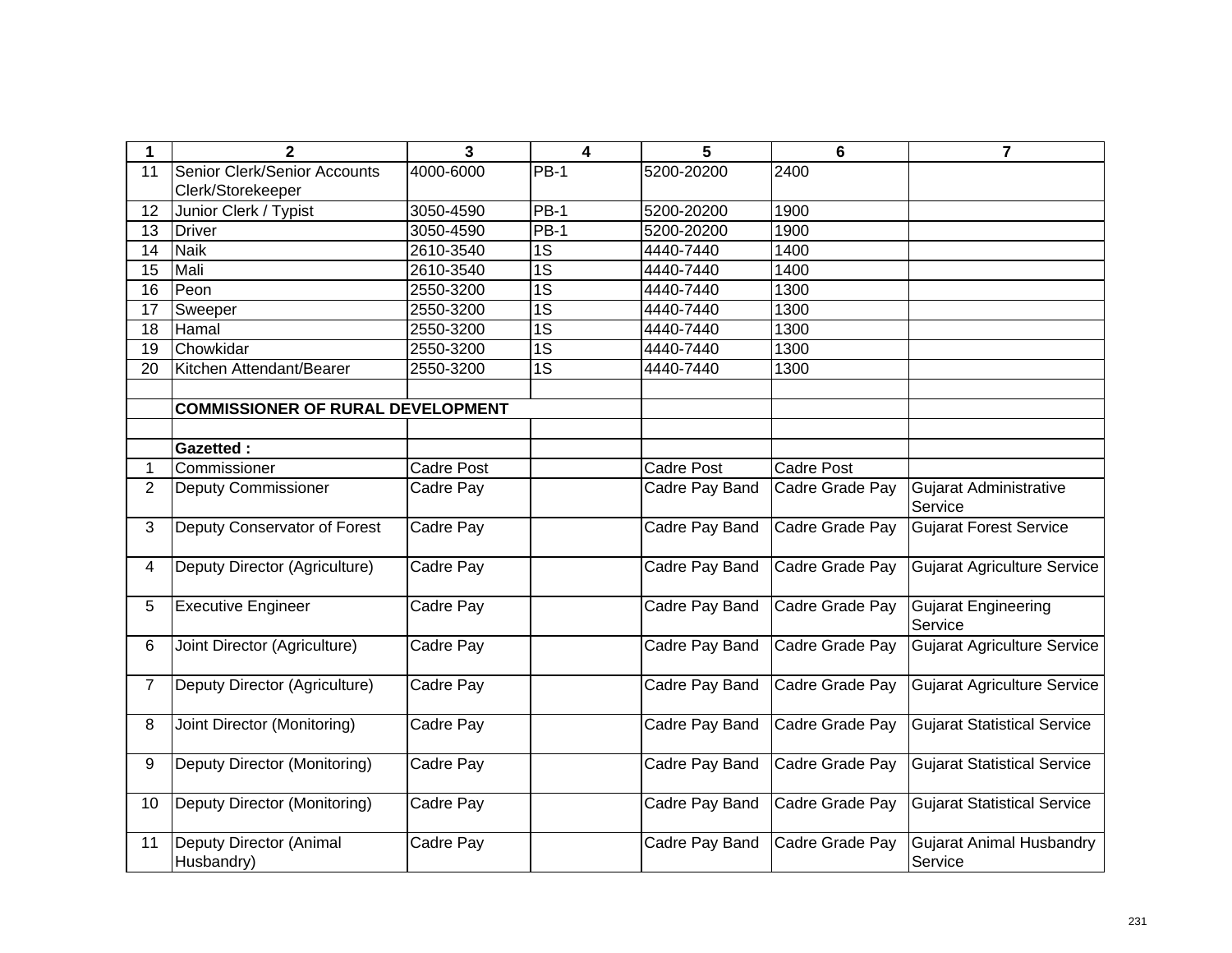| 1              | $\mathbf{2}$                             | 3                 | $\overline{\mathbf{4}}$ | 5                 | 6                 | $\overline{\mathbf{r}}$                    |
|----------------|------------------------------------------|-------------------|-------------------------|-------------------|-------------------|--------------------------------------------|
| 11             | Senior Clerk/Senior Accounts             | 4000-6000         | <b>PB-1</b>             | 5200-20200        | 2400              |                                            |
|                | Clerk/Storekeeper                        |                   |                         |                   |                   |                                            |
| 12             | Junior Clerk / Typist                    | 3050-4590         | <b>PB-1</b>             | 5200-20200        | 1900              |                                            |
| 13             | <b>Driver</b>                            | 3050-4590         | $PB-1$                  | 5200-20200        | 1900              |                                            |
| 14             | <b>Naik</b>                              | 2610-3540         | 1S                      | 4440-7440         | 1400              |                                            |
| 15             | Mali                                     | 2610-3540         | $\overline{1S}$         | 4440-7440         | 1400              |                                            |
| 16             | Peon                                     | 2550-3200         | $\overline{1S}$         | 4440-7440         | 1300              |                                            |
| 17             | Sweeper                                  | 2550-3200         | $\overline{1S}$         | 4440-7440         | 1300              |                                            |
| 18             | Hamal                                    | 2550-3200         | $\overline{1S}$         | 4440-7440         | 1300              |                                            |
| 19             | Chowkidar                                | 2550-3200         | $\overline{1S}$         | 4440-7440         | 1300              |                                            |
| 20             | Kitchen Attendant/Bearer                 | 2550-3200         | $\overline{1S}$         | 4440-7440         | 1300              |                                            |
|                |                                          |                   |                         |                   |                   |                                            |
|                | <b>COMMISSIONER OF RURAL DEVELOPMENT</b> |                   |                         |                   |                   |                                            |
|                |                                          |                   |                         |                   |                   |                                            |
|                | <b>Gazetted:</b>                         |                   |                         |                   |                   |                                            |
| 1              | Commissioner                             | <b>Cadre Post</b> |                         | <b>Cadre Post</b> | <b>Cadre Post</b> |                                            |
| $\overline{2}$ | <b>Deputy Commissioner</b>               | Cadre Pay         |                         | Cadre Pay Band    | Cadre Grade Pay   | Gujarat Administrative<br>Service          |
| 3              | Deputy Conservator of Forest             | Cadre Pay         |                         | Cadre Pay Band    | Cadre Grade Pay   | <b>Gujarat Forest Service</b>              |
| 4              | Deputy Director (Agriculture)            | Cadre Pay         |                         | Cadre Pay Band    | Cadre Grade Pay   | <b>Gujarat Agriculture Service</b>         |
| 5              | <b>Executive Engineer</b>                | Cadre Pay         |                         | Cadre Pay Band    | Cadre Grade Pay   | <b>Gujarat Engineering</b><br>Service      |
| 6              | Joint Director (Agriculture)             | Cadre Pay         |                         | Cadre Pay Band    | Cadre Grade Pay   | <b>Gujarat Agriculture Service</b>         |
| 7              | Deputy Director (Agriculture)            | Cadre Pay         |                         | Cadre Pay Band    | Cadre Grade Pay   | <b>Gujarat Agriculture Service</b>         |
| 8              | Joint Director (Monitoring)              | Cadre Pay         |                         | Cadre Pay Band    | Cadre Grade Pay   | <b>Gujarat Statistical Service</b>         |
| 9              | Deputy Director (Monitoring)             | Cadre Pay         |                         | Cadre Pay Band    | Cadre Grade Pay   | <b>Gujarat Statistical Service</b>         |
| 10             | Deputy Director (Monitoring)             | Cadre Pay         |                         | Cadre Pay Band    | Cadre Grade Pay   | <b>Gujarat Statistical Service</b>         |
| 11             | Deputy Director (Animal<br>Husbandry)    | Cadre Pay         |                         | Cadre Pay Band    | Cadre Grade Pay   | <b>Gujarat Animal Husbandry</b><br>Service |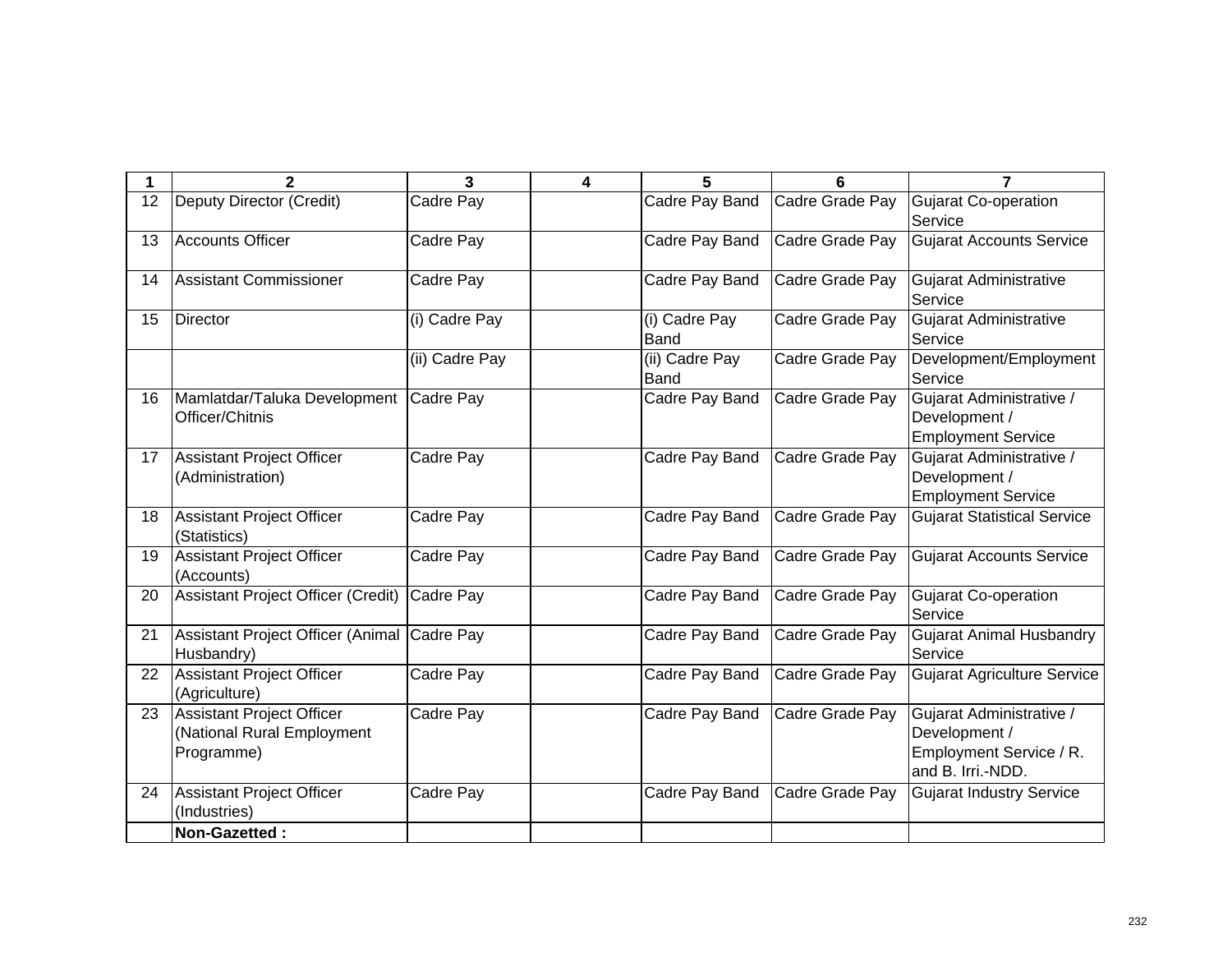| 1  | $\mathbf{2}$                                                          | 3              | 4 | 5                             | 6               | $\overline{7}$                                                                            |
|----|-----------------------------------------------------------------------|----------------|---|-------------------------------|-----------------|-------------------------------------------------------------------------------------------|
| 12 | <b>Deputy Director (Credit)</b>                                       | Cadre Pay      |   | Cadre Pay Band                | Cadre Grade Pay | <b>Gujarat Co-operation</b><br>Service                                                    |
| 13 | <b>Accounts Officer</b>                                               | Cadre Pay      |   | Cadre Pay Band                | Cadre Grade Pay | <b>Gujarat Accounts Service</b>                                                           |
| 14 | Assistant Commissioner                                                | Cadre Pay      |   | Cadre Pay Band                | Cadre Grade Pay | <b>Gujarat Administrative</b><br>Service                                                  |
| 15 | <b>Director</b>                                                       | (i) Cadre Pay  |   | (i) Cadre Pay<br><b>Band</b>  | Cadre Grade Pay | Gujarat Administrative<br>Service                                                         |
|    |                                                                       | (ii) Cadre Pay |   | (ii) Cadre Pay<br><b>Band</b> | Cadre Grade Pay | Development/Employment<br>Service                                                         |
| 16 | Mamlatdar/Taluka Development Cadre Pay<br>Officer/Chitnis             |                |   | Cadre Pay Band                | Cadre Grade Pay | Gujarat Administrative /<br>Development /<br><b>Employment Service</b>                    |
| 17 | Assistant Project Officer<br>(Administration)                         | Cadre Pay      |   | Cadre Pay Band                | Cadre Grade Pay | Gujarat Administrative /<br>Development /<br><b>Employment Service</b>                    |
| 18 | Assistant Project Officer<br>(Statistics)                             | Cadre Pay      |   | Cadre Pay Band                | Cadre Grade Pay | <b>Gujarat Statistical Service</b>                                                        |
| 19 | <b>Assistant Project Officer</b><br>(Accounts)                        | Cadre Pay      |   | Cadre Pay Band                | Cadre Grade Pay | <b>Gujarat Accounts Service</b>                                                           |
| 20 | Assistant Project Officer (Credit)                                    | Cadre Pay      |   | Cadre Pay Band                | Cadre Grade Pay | <b>Gujarat Co-operation</b><br>Service                                                    |
| 21 | Assistant Project Officer (Animal Cadre Pay<br>Husbandry)             |                |   | Cadre Pay Band                | Cadre Grade Pay | <b>Gujarat Animal Husbandry</b><br>Service                                                |
| 22 | Assistant Project Officer<br>(Agriculture)                            | Cadre Pay      |   | Cadre Pay Band                | Cadre Grade Pay | <b>Gujarat Agriculture Service</b>                                                        |
| 23 | Assistant Project Officer<br>(National Rural Employment<br>Programme) | Cadre Pay      |   | Cadre Pay Band                | Cadre Grade Pay | Gujarat Administrative /<br>Development /<br>Employment Service / R.<br>and B. Irri.-NDD. |
| 24 | Assistant Project Officer<br>(Industries)                             | Cadre Pay      |   | Cadre Pay Band                | Cadre Grade Pay | <b>Gujarat Industry Service</b>                                                           |
|    | Non-Gazetted:                                                         |                |   |                               |                 |                                                                                           |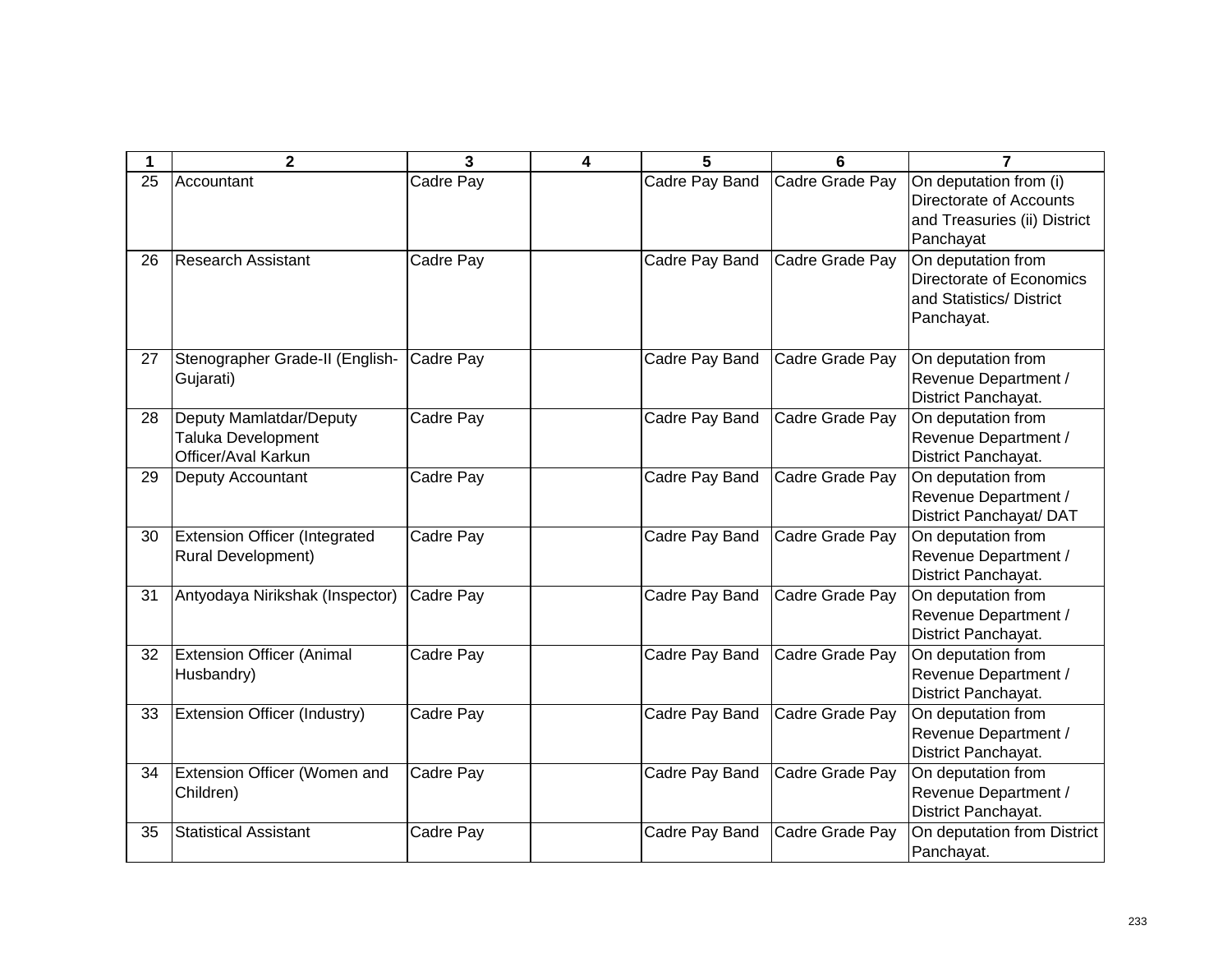| 1  | $\mathbf{2}$                                                         | 3         | 4 | 5              | 6               | 7                                                                                              |
|----|----------------------------------------------------------------------|-----------|---|----------------|-----------------|------------------------------------------------------------------------------------------------|
| 25 | Accountant                                                           | Cadre Pay |   | Cadre Pay Band | Cadre Grade Pay | On deputation from (i)<br>Directorate of Accounts<br>and Treasuries (ii) District<br>Panchayat |
| 26 | <b>Research Assistant</b>                                            | Cadre Pay |   | Cadre Pay Band | Cadre Grade Pay | On deputation from<br>Directorate of Economics<br>and Statistics/District<br>Panchayat.        |
| 27 | Stenographer Grade-II (English-<br>Gujarati)                         | Cadre Pay |   | Cadre Pay Band | Cadre Grade Pay | On deputation from<br>Revenue Department /<br>District Panchayat.                              |
| 28 | Deputy Mamlatdar/Deputy<br>Taluka Development<br>Officer/Aval Karkun | Cadre Pay |   | Cadre Pay Band | Cadre Grade Pay | On deputation from<br>Revenue Department /<br>District Panchayat.                              |
| 29 | Deputy Accountant                                                    | Cadre Pay |   | Cadre Pay Band | Cadre Grade Pay | On deputation from<br>Revenue Department /<br>District Panchayat/ DAT                          |
| 30 | <b>Extension Officer (Integrated</b><br><b>Rural Development)</b>    | Cadre Pay |   | Cadre Pay Band | Cadre Grade Pay | On deputation from<br>Revenue Department /<br>District Panchayat.                              |
| 31 | Antyodaya Nirikshak (Inspector)                                      | Cadre Pay |   | Cadre Pay Band | Cadre Grade Pay | On deputation from<br>Revenue Department /<br>District Panchayat.                              |
| 32 | <b>Extension Officer (Animal</b><br>Husbandry)                       | Cadre Pay |   | Cadre Pay Band | Cadre Grade Pay | On deputation from<br>Revenue Department /<br>District Panchayat.                              |
| 33 | Extension Officer (Industry)                                         | Cadre Pay |   | Cadre Pay Band | Cadre Grade Pay | On deputation from<br>Revenue Department /<br>District Panchayat.                              |
| 34 | Extension Officer (Women and<br>Children)                            | Cadre Pay |   | Cadre Pay Band | Cadre Grade Pay | On deputation from<br>Revenue Department /<br>District Panchayat.                              |
| 35 | <b>Statistical Assistant</b>                                         | Cadre Pay |   | Cadre Pay Band | Cadre Grade Pay | On deputation from District<br>Panchayat.                                                      |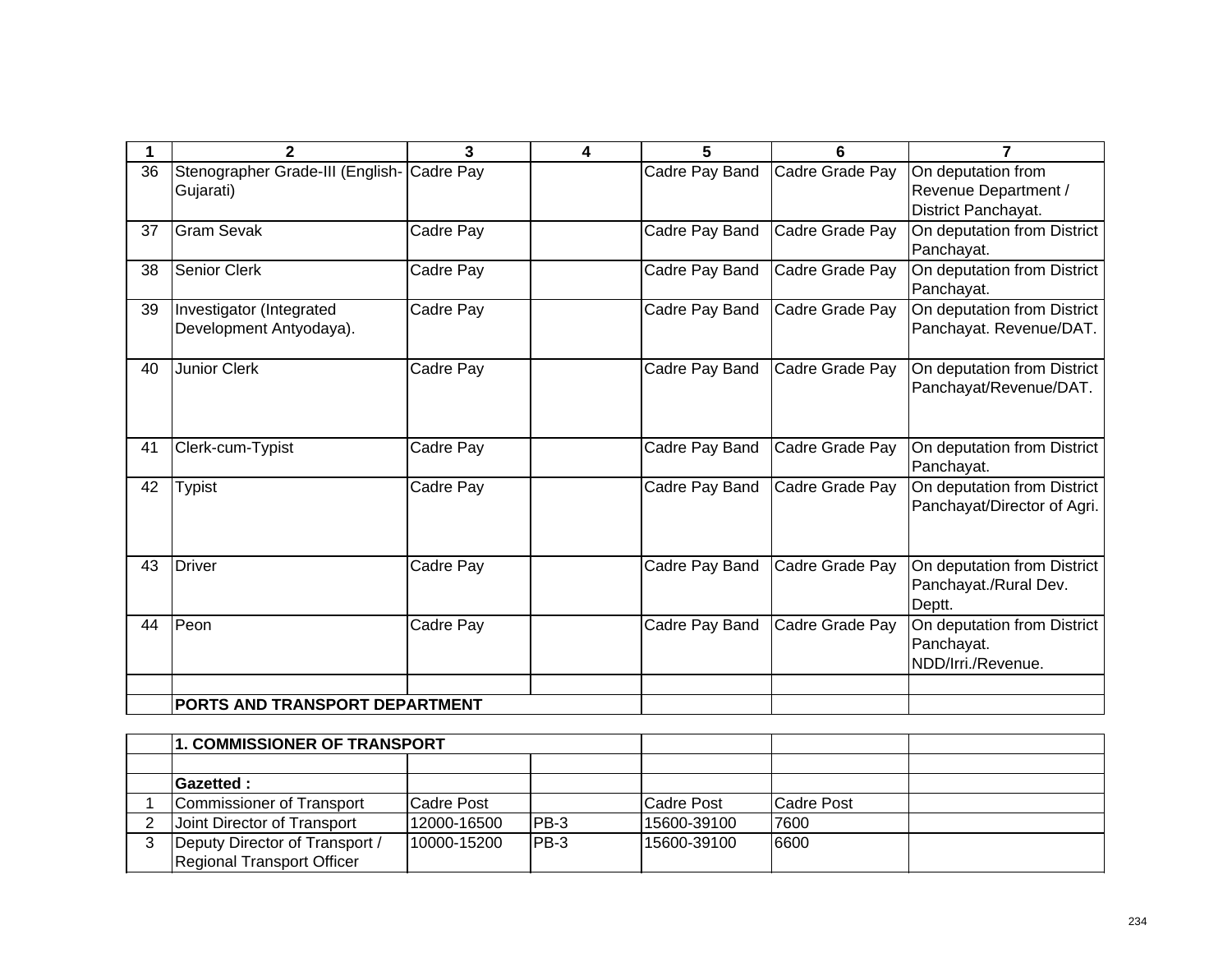|    | $\mathbf{2}$                                            | 3         | 4 | 5              | 6               | 7                                                                 |
|----|---------------------------------------------------------|-----------|---|----------------|-----------------|-------------------------------------------------------------------|
| 36 | Stenographer Grade-III (English- Cadre Pay<br>Gujarati) |           |   | Cadre Pay Band | Cadre Grade Pay | On deputation from<br>Revenue Department /<br>District Panchayat. |
| 37 | <b>Gram Sevak</b>                                       | Cadre Pay |   | Cadre Pay Band | Cadre Grade Pay | On deputation from District<br>Panchayat.                         |
| 38 | Senior Clerk                                            | Cadre Pay |   | Cadre Pay Band | Cadre Grade Pay | On deputation from District<br>Panchayat.                         |
| 39 | Investigator (Integrated<br>Development Antyodaya).     | Cadre Pay |   | Cadre Pay Band | Cadre Grade Pay | On deputation from District<br>Panchayat. Revenue/DAT.            |
| 40 | <b>Junior Clerk</b>                                     | Cadre Pay |   | Cadre Pay Band | Cadre Grade Pay | On deputation from District<br>Panchayat/Revenue/DAT.             |
| 41 | Clerk-cum-Typist                                        | Cadre Pay |   | Cadre Pay Band | Cadre Grade Pay | On deputation from District<br>Panchayat.                         |
| 42 | <b>Typist</b>                                           | Cadre Pay |   | Cadre Pay Band | Cadre Grade Pay | On deputation from District<br>Panchayat/Director of Agri.        |
| 43 | <b>Driver</b>                                           | Cadre Pay |   | Cadre Pay Band | Cadre Grade Pay | On deputation from District<br>Panchayat./Rural Dev.<br>Deptt.    |
| 44 | Peon                                                    | Cadre Pay |   | Cadre Pay Band | Cadre Grade Pay | On deputation from District<br>Panchayat.<br>NDD/Irri./Revenue.   |
|    | PORTS AND TRANSPORT DEPARTMENT                          |           |   |                |                 |                                                                   |

| 1. COMMISSIONER OF TRANSPORT      |             |       |             |            |  |
|-----------------------------------|-------------|-------|-------------|------------|--|
|                                   |             |       |             |            |  |
| <b>Gazetted:</b>                  |             |       |             |            |  |
| Commissioner of Transport         | Cadre Post  |       | Cadre Post  | Cadre Post |  |
| Joint Director of Transport       | 12000-16500 | IPB-3 | 15600-39100 | 7600       |  |
| Deputy Director of Transport /    | 10000-15200 | IPB-3 | 15600-39100 | 6600       |  |
| <b>Regional Transport Officer</b> |             |       |             |            |  |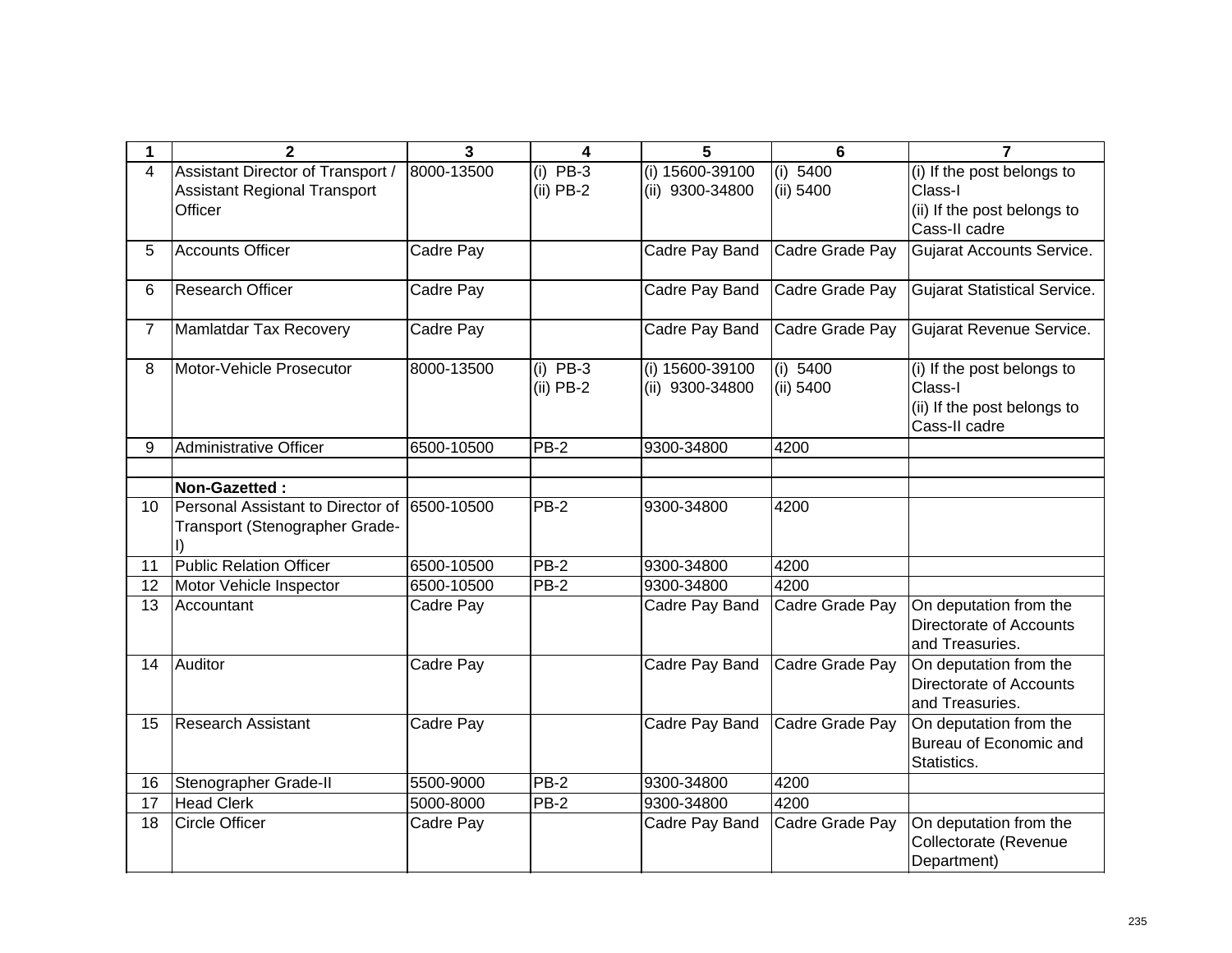| 1  | $\mathbf{2}$                                                                         | 3          | 4                         | 5                                  | 6                     | $\overline{7}$                                                                        |
|----|--------------------------------------------------------------------------------------|------------|---------------------------|------------------------------------|-----------------------|---------------------------------------------------------------------------------------|
| 4  | Assistant Director of Transport /<br><b>Assistant Regional Transport</b><br>Officer  | 8000-13500 | $(i)$ PB-3<br>$(ii)$ PB-2 | (i) 15600-39100<br>(ii) 9300-34800 | (i) 5400<br>(ii) 5400 | (i) If the post belongs to<br>Class-I<br>(ii) If the post belongs to<br>Cass-II cadre |
| 5. | <b>Accounts Officer</b>                                                              | Cadre Pay  |                           | Cadre Pay Band                     | Cadre Grade Pay       | <b>Gujarat Accounts Service.</b>                                                      |
| 6  | Research Officer                                                                     | Cadre Pay  |                           | Cadre Pay Band                     | Cadre Grade Pay       | <b>Gujarat Statistical Service.</b>                                                   |
| 7  | Mamlatdar Tax Recovery                                                               | Cadre Pay  |                           | Cadre Pay Band                     | Cadre Grade Pay       | Gujarat Revenue Service.                                                              |
| 8  | Motor-Vehicle Prosecutor                                                             | 8000-13500 | $(i)$ PB-3<br>$(ii)$ PB-2 | (i) 15600-39100<br>(ii) 9300-34800 | (i) 5400<br>(ii) 5400 | (i) If the post belongs to<br>Class-I<br>(ii) If the post belongs to<br>Cass-II cadre |
| 9  | <b>Administrative Officer</b>                                                        | 6500-10500 | PB-2                      | 9300-34800                         | 4200                  |                                                                                       |
|    | Non-Gazetted:                                                                        |            |                           |                                    |                       |                                                                                       |
| 10 | Personal Assistant to Director of 6500-10500<br>Transport (Stenographer Grade-<br>I) |            | <b>PB-2</b>               | 9300-34800                         | 4200                  |                                                                                       |
| 11 | <b>Public Relation Officer</b>                                                       | 6500-10500 | <b>PB-2</b>               | 9300-34800                         | 4200                  |                                                                                       |
| 12 | Motor Vehicle Inspector                                                              | 6500-10500 | $PB-2$                    | 9300-34800                         | 4200                  |                                                                                       |
| 13 | Accountant                                                                           | Cadre Pay  |                           | Cadre Pay Band                     | Cadre Grade Pay       | On deputation from the<br>Directorate of Accounts<br>and Treasuries.                  |
| 14 | Auditor                                                                              | Cadre Pay  |                           | Cadre Pay Band                     | Cadre Grade Pay       | On deputation from the<br>Directorate of Accounts<br>and Treasuries.                  |
| 15 | <b>Research Assistant</b>                                                            | Cadre Pay  |                           | Cadre Pay Band                     | Cadre Grade Pay       | On deputation from the<br>Bureau of Economic and<br>Statistics.                       |
| 16 | Stenographer Grade-II                                                                | 5500-9000  | PB-2                      | 9300-34800                         | 4200                  |                                                                                       |
| 17 | <b>Head Clerk</b>                                                                    | 5000-8000  | PB-2                      | 9300-34800                         | 4200                  |                                                                                       |
| 18 | <b>Circle Officer</b>                                                                | Cadre Pay  |                           | Cadre Pay Band                     | Cadre Grade Pay       | On deputation from the<br>Collectorate (Revenue<br>Department)                        |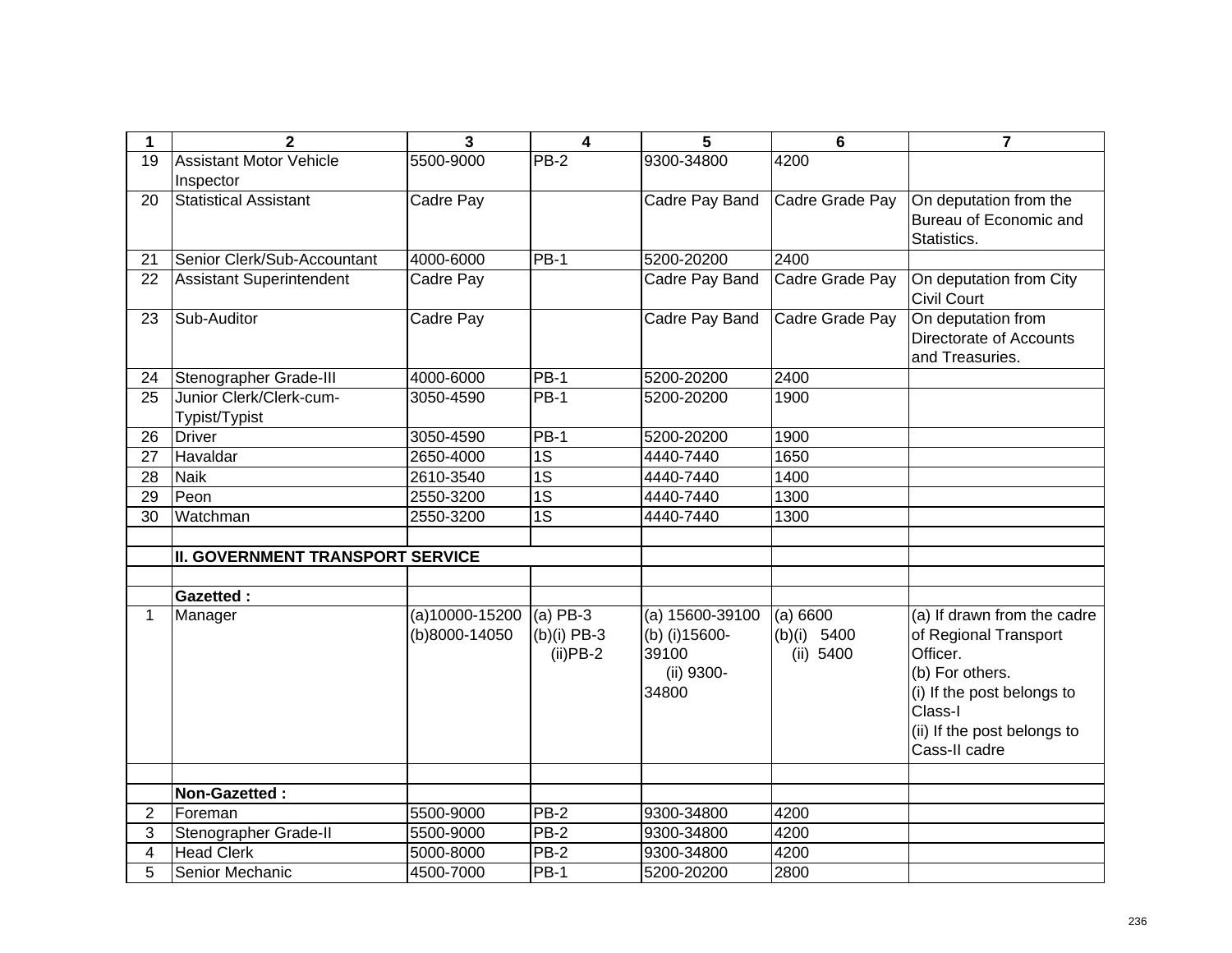| 1               | $\overline{2}$                              | 3              | $\overline{4}$               | 5                                              | $6\phantom{1}6$          | $\overline{7}$                                                                                                                                |
|-----------------|---------------------------------------------|----------------|------------------------------|------------------------------------------------|--------------------------|-----------------------------------------------------------------------------------------------------------------------------------------------|
| 19              | <b>Assistant Motor Vehicle</b><br>Inspector | 5500-9000      | $PB-2$                       | 9300-34800                                     | 4200                     |                                                                                                                                               |
| 20              | <b>Statistical Assistant</b>                | Cadre Pay      |                              | Cadre Pay Band                                 | Cadre Grade Pay          | On deputation from the<br>Bureau of Economic and<br>Statistics.                                                                               |
| 21              | Senior Clerk/Sub-Accountant                 | 4000-6000      | $PB-1$                       | 5200-20200                                     | 2400                     |                                                                                                                                               |
| 22              | <b>Assistant Superintendent</b>             | Cadre Pay      |                              | Cadre Pay Band                                 | Cadre Grade Pay          | On deputation from City<br>Civil Court                                                                                                        |
| 23              | Sub-Auditor                                 | Cadre Pay      |                              | Cadre Pay Band                                 | Cadre Grade Pay          | On deputation from<br>Directorate of Accounts<br>and Treasuries.                                                                              |
| 24              | Stenographer Grade-III                      | 4000-6000      | <b>PB-1</b>                  | 5200-20200                                     | 2400                     |                                                                                                                                               |
| 25              | Junior Clerk/Clerk-cum-<br>Typist/Typist    | 3050-4590      | <b>PB-1</b>                  | 5200-20200                                     | 1900                     |                                                                                                                                               |
| 26              | <b>Driver</b>                               | 3050-4590      | <b>PB-1</b>                  | 5200-20200                                     | 1900                     |                                                                                                                                               |
| 27              | Havaldar                                    | 2650-4000      | $\overline{1S}$              | 4440-7440                                      | 1650                     |                                                                                                                                               |
| 28              | <b>Naik</b>                                 | 2610-3540      | $\overline{1S}$              | 4440-7440                                      | 1400                     |                                                                                                                                               |
| $\overline{29}$ | Peon                                        | 2550-3200      | $\overline{1S}$              | 4440-7440                                      | 1300                     |                                                                                                                                               |
| 30              | Watchman                                    | 2550-3200      | 1S                           | 4440-7440                                      | 1300                     |                                                                                                                                               |
|                 |                                             |                |                              |                                                |                          |                                                                                                                                               |
|                 | <b>II. GOVERNMENT TRANSPORT SERVICE</b>     |                |                              |                                                |                          |                                                                                                                                               |
|                 | <b>Gazetted:</b>                            |                |                              |                                                |                          |                                                                                                                                               |
| $\mathbf 1$     | Manager                                     | (a)10000-15200 | $(a)$ PB-3                   | $(a) 15600 - 39100$                            | (a) 6600                 | (a) If drawn from the cadre                                                                                                                   |
|                 |                                             | (b)8000-14050  | $(b)(i)$ PB-3<br>$(ii)$ PB-2 | (b) (i) 15600-<br>39100<br>(ii) 9300-<br>34800 | (b)(i) 5400<br>(ii) 5400 | of Regional Transport<br>Officer.<br>(b) For others.<br>(i) If the post belongs to<br>Class-I<br>(ii) If the post belongs to<br>Cass-II cadre |
|                 |                                             |                |                              |                                                |                          |                                                                                                                                               |
|                 | Non-Gazetted:                               |                |                              |                                                |                          |                                                                                                                                               |
| $\overline{2}$  | Foreman                                     | 5500-9000      | PB-2                         | 9300-34800                                     | 4200                     |                                                                                                                                               |
| 3               | Stenographer Grade-II                       | 5500-9000      | $PB-2$                       | 9300-34800                                     | 4200                     |                                                                                                                                               |
| 4               | <b>Head Clerk</b>                           | 5000-8000      | PB-2                         | 9300-34800                                     | 4200                     |                                                                                                                                               |
| 5               | Senior Mechanic                             | 4500-7000      | $PB-1$                       | 5200-20200                                     | 2800                     |                                                                                                                                               |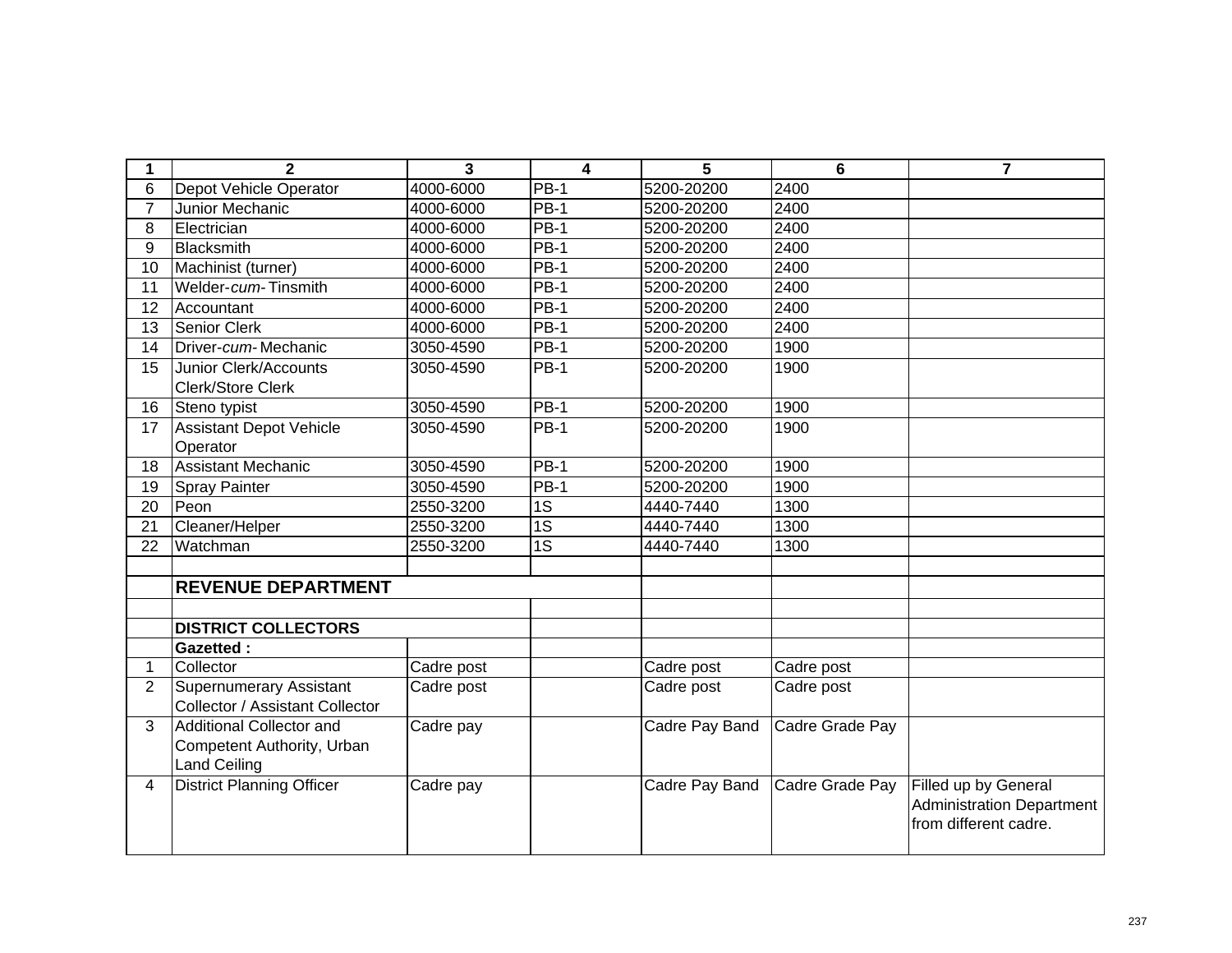| 1              | $\mathbf{2}$                     | 3          | $\overline{\mathbf{4}}$ | 5              | 6               | $\overline{7}$                   |
|----------------|----------------------------------|------------|-------------------------|----------------|-----------------|----------------------------------|
| 6              | Depot Vehicle Operator           | 4000-6000  | <b>PB-1</b>             | 5200-20200     | 2400            |                                  |
| $\overline{7}$ | Junior Mechanic                  | 4000-6000  | <b>PB-1</b>             | 5200-20200     | 2400            |                                  |
| 8              | Electrician                      | 4000-6000  | <b>PB-1</b>             | 5200-20200     | 2400            |                                  |
| 9              | <b>Blacksmith</b>                | 4000-6000  | <b>PB-1</b>             | 5200-20200     | 2400            |                                  |
| 10             | Machinist (turner)               | 4000-6000  | $PB-1$                  | 5200-20200     | 2400            |                                  |
| 11             | Welder-cum-Tinsmith              | 4000-6000  | <b>PB-1</b>             | 5200-20200     | 2400            |                                  |
| 12             | Accountant                       | 4000-6000  | <b>PB-1</b>             | 5200-20200     | 2400            |                                  |
| 13             | Senior Clerk                     | 4000-6000  | <b>PB-1</b>             | 5200-20200     | 2400            |                                  |
| 14             | Driver-cum-Mechanic              | 3050-4590  | $PB-1$                  | 5200-20200     | 1900            |                                  |
| 15             | Junior Clerk/Accounts            | 3050-4590  | <b>PB-1</b>             | 5200-20200     | 1900            |                                  |
|                | Clerk/Store Clerk                |            |                         |                |                 |                                  |
| 16             | Steno typist                     | 3050-4590  | <b>PB-1</b>             | 5200-20200     | 1900            |                                  |
| 17             | <b>Assistant Depot Vehicle</b>   | 3050-4590  | <b>PB-1</b>             | 5200-20200     | 1900            |                                  |
|                | Operator                         |            |                         |                |                 |                                  |
| 18             | <b>Assistant Mechanic</b>        | 3050-4590  | $PB-1$                  | 5200-20200     | 1900            |                                  |
| 19             | <b>Spray Painter</b>             | 3050-4590  | <b>PB-1</b>             | 5200-20200     | 1900            |                                  |
| 20             | Peon                             | 2550-3200  | $\overline{1S}$         | 4440-7440      | 1300            |                                  |
| 21             | Cleaner/Helper                   | 2550-3200  | 1S                      | 4440-7440      | 1300            |                                  |
| 22             | Watchman                         | 2550-3200  | $\overline{1S}$         | 4440-7440      | 1300            |                                  |
|                |                                  |            |                         |                |                 |                                  |
|                | <b>REVENUE DEPARTMENT</b>        |            |                         |                |                 |                                  |
|                |                                  |            |                         |                |                 |                                  |
|                | <b>DISTRICT COLLECTORS</b>       |            |                         |                |                 |                                  |
|                | <b>Gazetted:</b>                 |            |                         |                |                 |                                  |
| 1              | Collector                        | Cadre post |                         | Cadre post     | Cadre post      |                                  |
| $\overline{2}$ | <b>Supernumerary Assistant</b>   | Cadre post |                         | Cadre post     | Cadre post      |                                  |
|                | Collector / Assistant Collector  |            |                         |                |                 |                                  |
| 3              | Additional Collector and         | Cadre pay  |                         | Cadre Pay Band | Cadre Grade Pay |                                  |
|                | Competent Authority, Urban       |            |                         |                |                 |                                  |
|                | <b>Land Ceiling</b>              |            |                         |                |                 |                                  |
| 4              | <b>District Planning Officer</b> | Cadre pay  |                         | Cadre Pay Band | Cadre Grade Pay | Filled up by General             |
|                |                                  |            |                         |                |                 | <b>Administration Department</b> |
|                |                                  |            |                         |                |                 | from different cadre.            |
|                |                                  |            |                         |                |                 |                                  |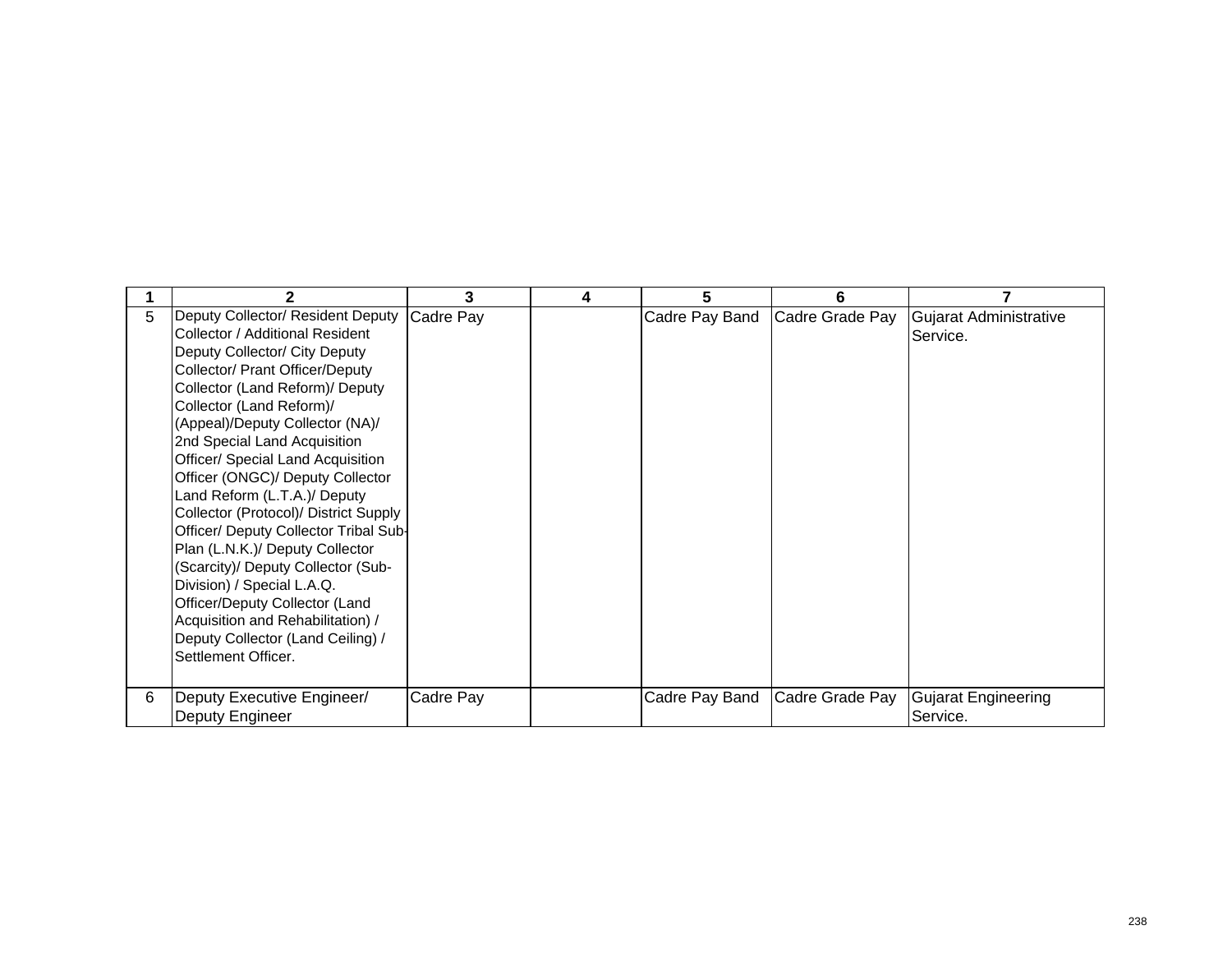|   | 2                                      | 3         | 4 | 5              | 6               |                            |
|---|----------------------------------------|-----------|---|----------------|-----------------|----------------------------|
| 5 | Deputy Collector/ Resident Deputy      | Cadre Pay |   | Cadre Pay Band | Cadre Grade Pay | Gujarat Administrative     |
|   | Collector / Additional Resident        |           |   |                |                 | Service.                   |
|   | Deputy Collector/ City Deputy          |           |   |                |                 |                            |
|   | <b>Collector/ Prant Officer/Deputy</b> |           |   |                |                 |                            |
|   | Collector (Land Reform)/ Deputy        |           |   |                |                 |                            |
|   | Collector (Land Reform)/               |           |   |                |                 |                            |
|   | (Appeal)/Deputy Collector (NA)/        |           |   |                |                 |                            |
|   | 2nd Special Land Acquisition           |           |   |                |                 |                            |
|   | Officer/ Special Land Acquisition      |           |   |                |                 |                            |
|   | Officer (ONGC)/ Deputy Collector       |           |   |                |                 |                            |
|   | Land Reform (L.T.A.)/ Deputy           |           |   |                |                 |                            |
|   | Collector (Protocol)/ District Supply  |           |   |                |                 |                            |
|   | Officer/ Deputy Collector Tribal Sub-  |           |   |                |                 |                            |
|   | Plan (L.N.K.)/ Deputy Collector        |           |   |                |                 |                            |
|   | (Scarcity)/ Deputy Collector (Sub-     |           |   |                |                 |                            |
|   | Division) / Special L.A.Q.             |           |   |                |                 |                            |
|   | Officer/Deputy Collector (Land         |           |   |                |                 |                            |
|   | Acquisition and Rehabilitation) /      |           |   |                |                 |                            |
|   | Deputy Collector (Land Ceiling) /      |           |   |                |                 |                            |
|   | Settlement Officer.                    |           |   |                |                 |                            |
|   |                                        |           |   |                |                 |                            |
| 6 | Deputy Executive Engineer/             | Cadre Pay |   | Cadre Pay Band | Cadre Grade Pay | <b>Gujarat Engineering</b> |
|   | Deputy Engineer                        |           |   |                |                 | Service.                   |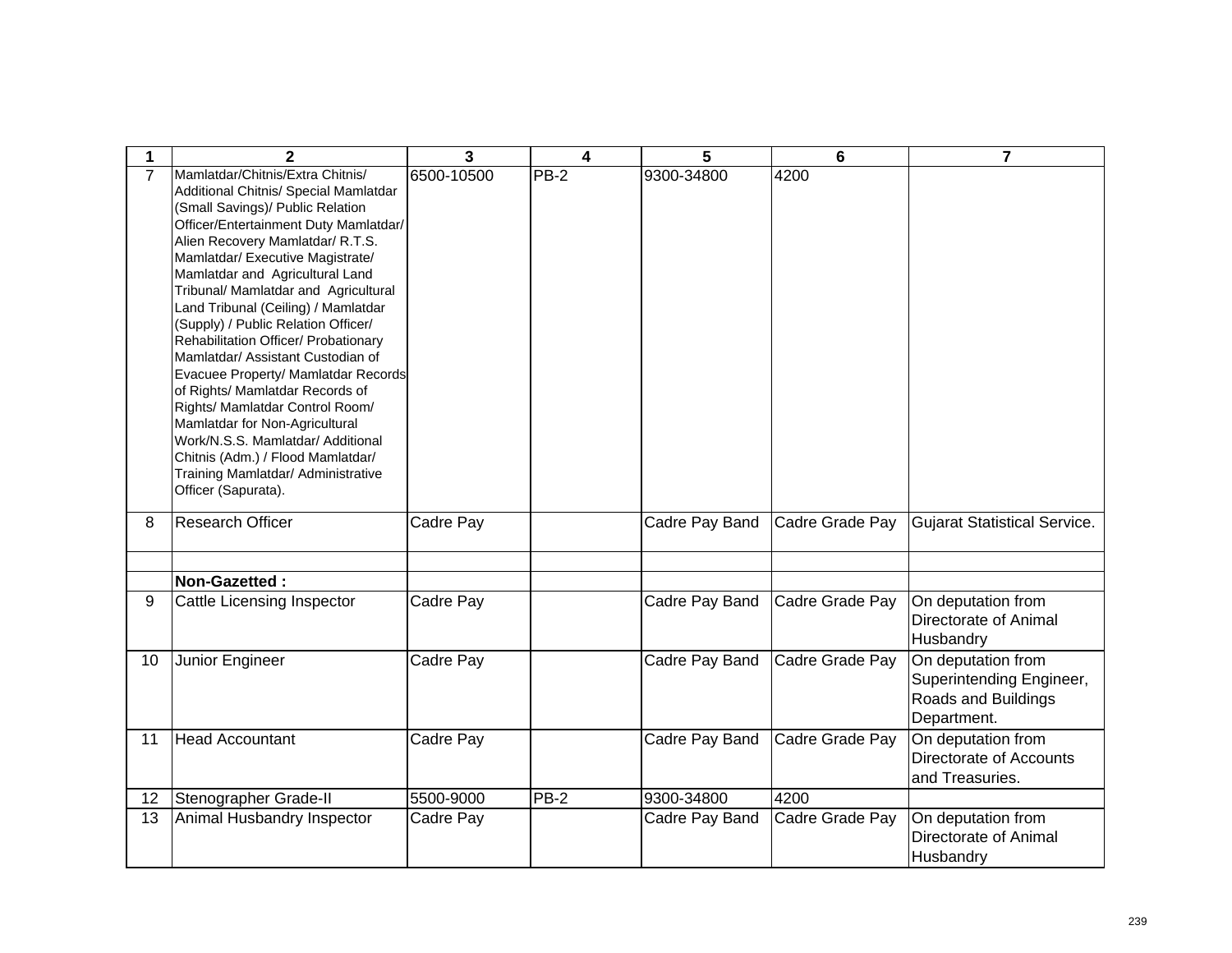| 1              | $\mathbf{2}$                                                                                                                                                                                                                                                                                                                                                                                                                                                                                                                                                                                                                                                                                                                                               | 3          | 4      | 5              | 6               | $\overline{7}$                                                                       |
|----------------|------------------------------------------------------------------------------------------------------------------------------------------------------------------------------------------------------------------------------------------------------------------------------------------------------------------------------------------------------------------------------------------------------------------------------------------------------------------------------------------------------------------------------------------------------------------------------------------------------------------------------------------------------------------------------------------------------------------------------------------------------------|------------|--------|----------------|-----------------|--------------------------------------------------------------------------------------|
| $\overline{7}$ | Mamlatdar/Chitnis/Extra Chitnis/<br>Additional Chitnis/ Special Mamlatdar<br>(Small Savings)/ Public Relation<br>Officer/Entertainment Duty Mamlatdar/<br>Alien Recovery Mamlatdar/ R.T.S.<br>Mamlatdar/ Executive Magistrate/<br>Mamlatdar and Agricultural Land<br>Tribunal/ Mamlatdar and Agricultural<br>Land Tribunal (Ceiling) / Mamlatdar<br>(Supply) / Public Relation Officer/<br>Rehabilitation Officer/ Probationary<br>Mamlatdar/ Assistant Custodian of<br>Evacuee Property/ Mamlatdar Records<br>of Rights/ Mamlatdar Records of<br>Rights/ Mamlatdar Control Room/<br>Mamlatdar for Non-Agricultural<br>Work/N.S.S. Mamlatdar/ Additional<br>Chitnis (Adm.) / Flood Mamlatdar/<br>Training Mamlatdar/ Administrative<br>Officer (Sapurata). | 6500-10500 | PB-2   | 9300-34800     | 4200            |                                                                                      |
| 8              | <b>Research Officer</b>                                                                                                                                                                                                                                                                                                                                                                                                                                                                                                                                                                                                                                                                                                                                    | Cadre Pay  |        | Cadre Pay Band | Cadre Grade Pay | <b>Gujarat Statistical Service.</b>                                                  |
|                | Non-Gazetted:                                                                                                                                                                                                                                                                                                                                                                                                                                                                                                                                                                                                                                                                                                                                              |            |        |                |                 |                                                                                      |
| 9              | Cattle Licensing Inspector                                                                                                                                                                                                                                                                                                                                                                                                                                                                                                                                                                                                                                                                                                                                 | Cadre Pay  |        | Cadre Pay Band | Cadre Grade Pay | On deputation from<br>Directorate of Animal<br>Husbandry                             |
| 10             | Junior Engineer                                                                                                                                                                                                                                                                                                                                                                                                                                                                                                                                                                                                                                                                                                                                            | Cadre Pay  |        | Cadre Pay Band | Cadre Grade Pay | On deputation from<br>Superintending Engineer,<br>Roads and Buildings<br>Department. |
| 11             | <b>Head Accountant</b>                                                                                                                                                                                                                                                                                                                                                                                                                                                                                                                                                                                                                                                                                                                                     | Cadre Pay  |        | Cadre Pay Band | Cadre Grade Pay | On deputation from<br>Directorate of Accounts<br>and Treasuries.                     |
| 12             | Stenographer Grade-II                                                                                                                                                                                                                                                                                                                                                                                                                                                                                                                                                                                                                                                                                                                                      | 5500-9000  | $PB-2$ | 9300-34800     | 4200            |                                                                                      |
| 13             | Animal Husbandry Inspector                                                                                                                                                                                                                                                                                                                                                                                                                                                                                                                                                                                                                                                                                                                                 | Cadre Pay  |        | Cadre Pay Band | Cadre Grade Pay | On deputation from<br>Directorate of Animal<br>Husbandry                             |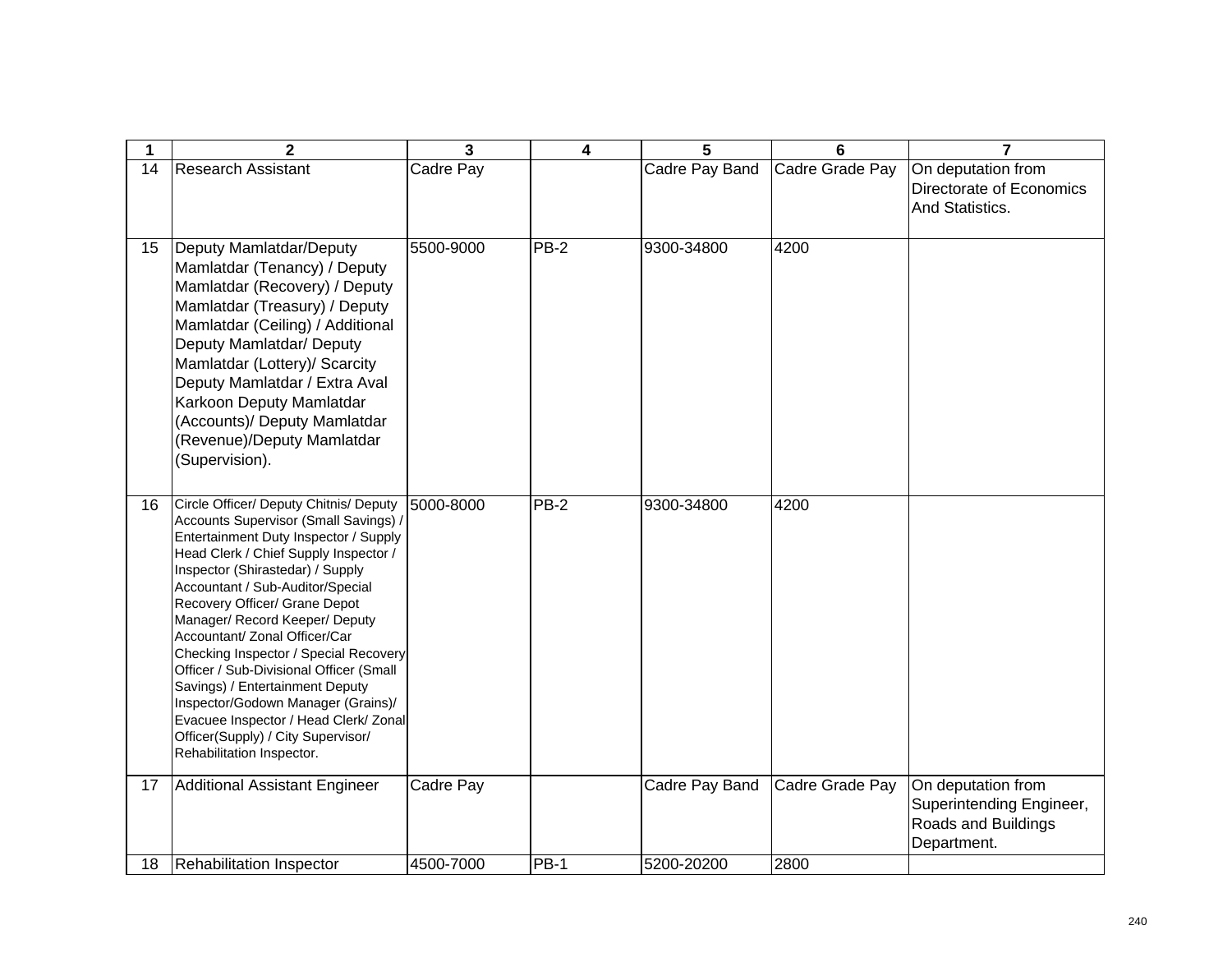| 1  | $\mathbf{2}$                                                                                                                                                                                                                                                                                                                                                                                                                                                                                                                                                                                                           | 3         | 4           | 5              | 6               | 7                                                                                    |
|----|------------------------------------------------------------------------------------------------------------------------------------------------------------------------------------------------------------------------------------------------------------------------------------------------------------------------------------------------------------------------------------------------------------------------------------------------------------------------------------------------------------------------------------------------------------------------------------------------------------------------|-----------|-------------|----------------|-----------------|--------------------------------------------------------------------------------------|
| 14 | <b>Research Assistant</b>                                                                                                                                                                                                                                                                                                                                                                                                                                                                                                                                                                                              | Cadre Pay |             | Cadre Pay Band | Cadre Grade Pay | On deputation from<br>Directorate of Economics<br>And Statistics.                    |
| 15 | Deputy Mamlatdar/Deputy<br>Mamlatdar (Tenancy) / Deputy<br>Mamlatdar (Recovery) / Deputy<br>Mamlatdar (Treasury) / Deputy<br>Mamlatdar (Ceiling) / Additional<br>Deputy Mamlatdar/ Deputy<br>Mamlatdar (Lottery)/ Scarcity<br>Deputy Mamlatdar / Extra Aval<br>Karkoon Deputy Mamlatdar<br>(Accounts)/ Deputy Mamlatdar<br>(Revenue)/Deputy Mamlatdar<br>(Supervision).                                                                                                                                                                                                                                                | 5500-9000 | $PB-2$      | 9300-34800     | 4200            |                                                                                      |
| 16 | Circle Officer/ Deputy Chitnis/ Deputy<br>Accounts Supervisor (Small Savings) /<br>Entertainment Duty Inspector / Supply<br>Head Clerk / Chief Supply Inspector /<br>Inspector (Shirastedar) / Supply<br>Accountant / Sub-Auditor/Special<br>Recovery Officer/ Grane Depot<br>Manager/ Record Keeper/ Deputy<br>Accountant/ Zonal Officer/Car<br>Checking Inspector / Special Recovery<br>Officer / Sub-Divisional Officer (Small<br>Savings) / Entertainment Deputy<br>Inspector/Godown Manager (Grains)/<br>Evacuee Inspector / Head Clerk/ Zonal<br>Officer(Supply) / City Supervisor/<br>Rehabilitation Inspector. | 5000-8000 | $PB-2$      | 9300-34800     | 4200            |                                                                                      |
| 17 | Additional Assistant Engineer                                                                                                                                                                                                                                                                                                                                                                                                                                                                                                                                                                                          | Cadre Pay |             | Cadre Pay Band | Cadre Grade Pay | On deputation from<br>Superintending Engineer,<br>Roads and Buildings<br>Department. |
| 18 | Rehabilitation Inspector                                                                                                                                                                                                                                                                                                                                                                                                                                                                                                                                                                                               | 4500-7000 | <b>PB-1</b> | 5200-20200     | 2800            |                                                                                      |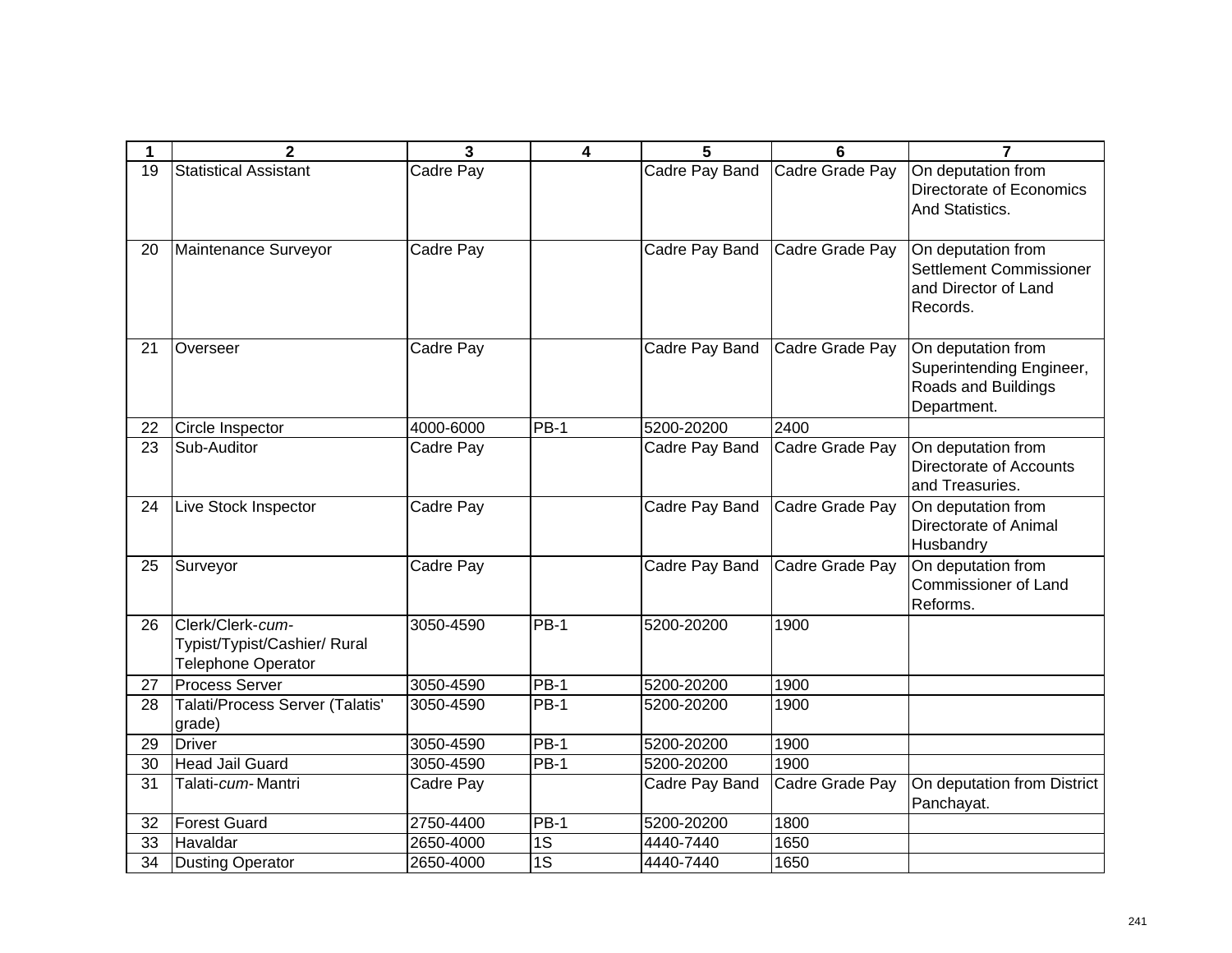| 1  | $\mathbf{2}$                                                                  | 3                | 4           | 5              | 6               | $\overline{7}$                                                                       |
|----|-------------------------------------------------------------------------------|------------------|-------------|----------------|-----------------|--------------------------------------------------------------------------------------|
| 19 | <b>Statistical Assistant</b>                                                  | Cadre Pay        |             | Cadre Pay Band | Cadre Grade Pay | On deputation from<br>Directorate of Economics<br>And Statistics.                    |
| 20 | Maintenance Surveyor                                                          | Cadre Pay        |             | Cadre Pay Band | Cadre Grade Pay | On deputation from<br>Settlement Commissioner<br>and Director of Land<br>Records.    |
| 21 | Overseer                                                                      | Cadre Pay        |             | Cadre Pay Band | Cadre Grade Pay | On deputation from<br>Superintending Engineer,<br>Roads and Buildings<br>Department. |
| 22 | Circle Inspector                                                              | 4000-6000        | <b>PB-1</b> | 5200-20200     | 2400            |                                                                                      |
| 23 | Sub-Auditor                                                                   | Cadre Pay        |             | Cadre Pay Band | Cadre Grade Pay | On deputation from<br>Directorate of Accounts<br>and Treasuries.                     |
| 24 | Live Stock Inspector                                                          | <b>Cadre Pay</b> |             | Cadre Pay Band | Cadre Grade Pay | On deputation from<br><b>Directorate of Animal</b><br>Husbandry                      |
| 25 | Surveyor                                                                      | Cadre Pay        |             | Cadre Pay Band | Cadre Grade Pay | On deputation from<br><b>Commissioner of Land</b><br>Reforms.                        |
| 26 | Clerk/Clerk-cum-<br>Typist/Typist/Cashier/ Rural<br><b>Telephone Operator</b> | 3050-4590        | $PB-1$      | 5200-20200     | 1900            |                                                                                      |
| 27 | <b>Process Server</b>                                                         | 3050-4590        | $PB-1$      | 5200-20200     | 1900            |                                                                                      |
| 28 | Talati/Process Server (Talatis'<br>grade)                                     | 3050-4590        | <b>PB-1</b> | 5200-20200     | 1900            |                                                                                      |
| 29 | Driver                                                                        | 3050-4590        | $PB-1$      | 5200-20200     | 1900            |                                                                                      |
| 30 | <b>Head Jail Guard</b>                                                        | 3050-4590        | $PB-1$      | 5200-20200     | 1900            |                                                                                      |
| 31 | Talati-cum-Mantri                                                             | Cadre Pay        |             | Cadre Pay Band | Cadre Grade Pay | On deputation from District<br>Panchayat.                                            |
| 32 | <b>Forest Guard</b>                                                           | 2750-4400        | $PB-1$      | 5200-20200     | 1800            |                                                                                      |
| 33 | Havaldar                                                                      | 2650-4000        | 1S          | 4440-7440      | 1650            |                                                                                      |
| 34 | Dusting Operator                                                              | 2650-4000        | 1S          | 4440-7440      | 1650            |                                                                                      |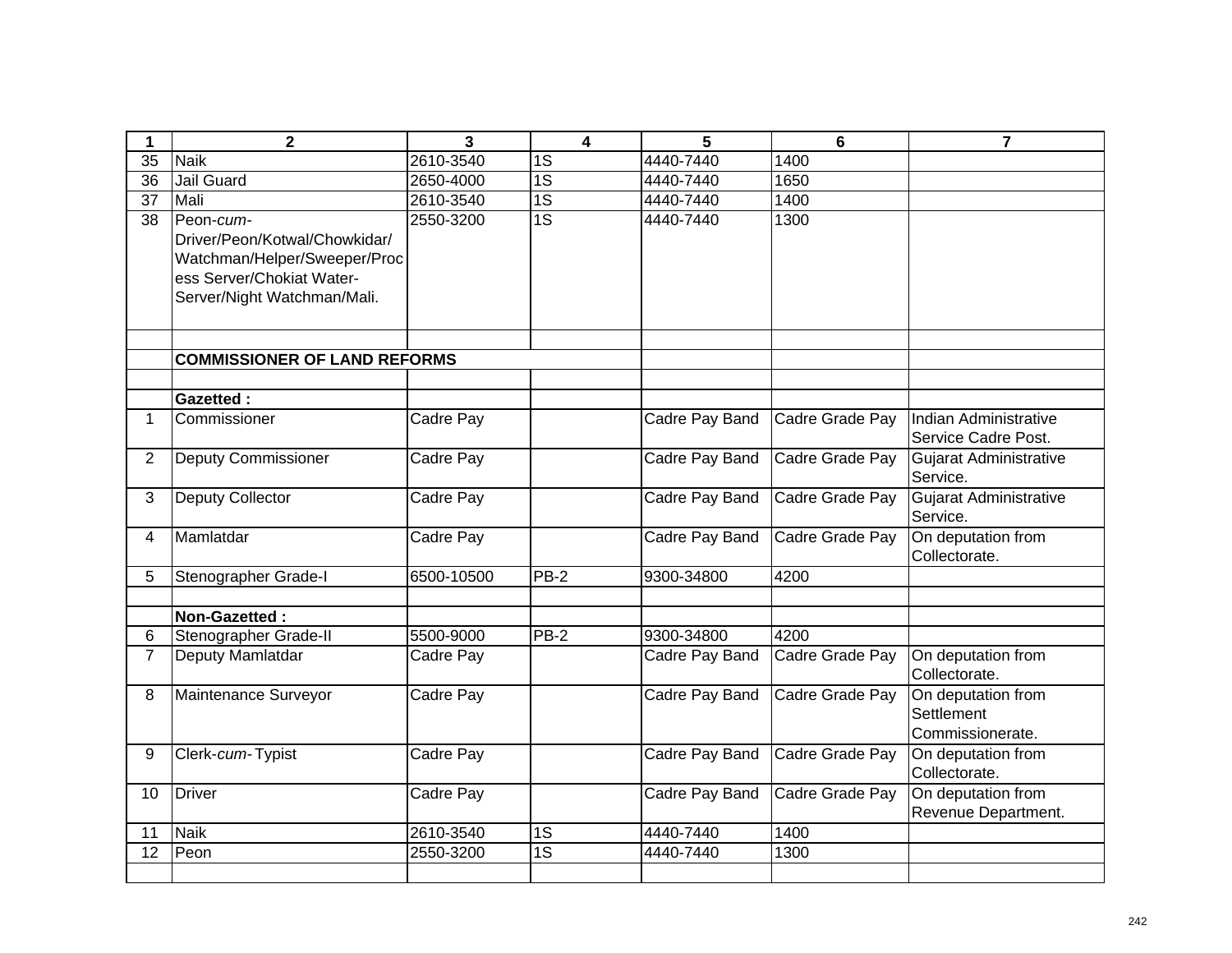| 1               | $\mathbf 2$                                                                                                                            | 3          | $\overline{\mathbf{4}}$ | 5              | 6               | $\overline{7}$                                       |
|-----------------|----------------------------------------------------------------------------------------------------------------------------------------|------------|-------------------------|----------------|-----------------|------------------------------------------------------|
| $\overline{35}$ | <b>Naik</b>                                                                                                                            | 2610-3540  | 1S                      | 4440-7440      | 1400            |                                                      |
| 36              | Jail Guard                                                                                                                             | 2650-4000  | 1S                      | 4440-7440      | 1650            |                                                      |
| 37              | Mali                                                                                                                                   | 2610-3540  | $\overline{1S}$         | 4440-7440      | 1400            |                                                      |
| 38              | Peon-cum-<br>Driver/Peon/Kotwal/Chowkidar/<br>Watchman/Helper/Sweeper/Proc<br>ess Server/Chokiat Water-<br>Server/Night Watchman/Mali. | 2550-3200  | $\overline{1S}$         | 4440-7440      | 1300            |                                                      |
|                 | <b>COMMISSIONER OF LAND REFORMS</b>                                                                                                    |            |                         |                |                 |                                                      |
|                 |                                                                                                                                        |            |                         |                |                 |                                                      |
|                 | <b>Gazetted:</b>                                                                                                                       |            |                         |                |                 |                                                      |
| $\mathbf 1$     | Commissioner                                                                                                                           | Cadre Pay  |                         | Cadre Pay Band | Cadre Grade Pay | Indian Administrative<br>Service Cadre Post.         |
| $\overline{2}$  | <b>Deputy Commissioner</b>                                                                                                             | Cadre Pay  |                         | Cadre Pay Band | Cadre Grade Pay | Gujarat Administrative<br>Service.                   |
| 3               | <b>Deputy Collector</b>                                                                                                                | Cadre Pay  |                         | Cadre Pay Band | Cadre Grade Pay | <b>Gujarat Administrative</b><br>Service.            |
| $\overline{4}$  | Mamlatdar                                                                                                                              | Cadre Pay  |                         | Cadre Pay Band | Cadre Grade Pay | On deputation from<br>Collectorate.                  |
| 5               | Stenographer Grade-I                                                                                                                   | 6500-10500 | PB-2                    | 9300-34800     | 4200            |                                                      |
|                 |                                                                                                                                        |            |                         |                |                 |                                                      |
|                 | Non-Gazetted:                                                                                                                          |            |                         |                |                 |                                                      |
| 6               | Stenographer Grade-II                                                                                                                  | 5500-9000  | <b>PB-2</b>             | 9300-34800     | 4200            |                                                      |
| $\overline{7}$  | Deputy Mamlatdar                                                                                                                       | Cadre Pay  |                         | Cadre Pay Band | Cadre Grade Pay | On deputation from<br>Collectorate.                  |
| 8               | Maintenance Surveyor                                                                                                                   | Cadre Pay  |                         | Cadre Pay Band | Cadre Grade Pay | On deputation from<br>Settlement<br>Commissionerate. |
| 9               | Clerk-cum-Typist                                                                                                                       | Cadre Pay  |                         | Cadre Pay Band | Cadre Grade Pay | On deputation from<br>Collectorate.                  |
| 10              | Driver                                                                                                                                 | Cadre Pay  |                         | Cadre Pay Band | Cadre Grade Pay | On deputation from<br>Revenue Department.            |
| 11              | Naik                                                                                                                                   | 2610-3540  | 1S                      | 4440-7440      | 1400            |                                                      |
| 12              | Peon                                                                                                                                   | 2550-3200  | $\overline{1S}$         | 4440-7440      | 1300            |                                                      |
|                 |                                                                                                                                        |            |                         |                |                 |                                                      |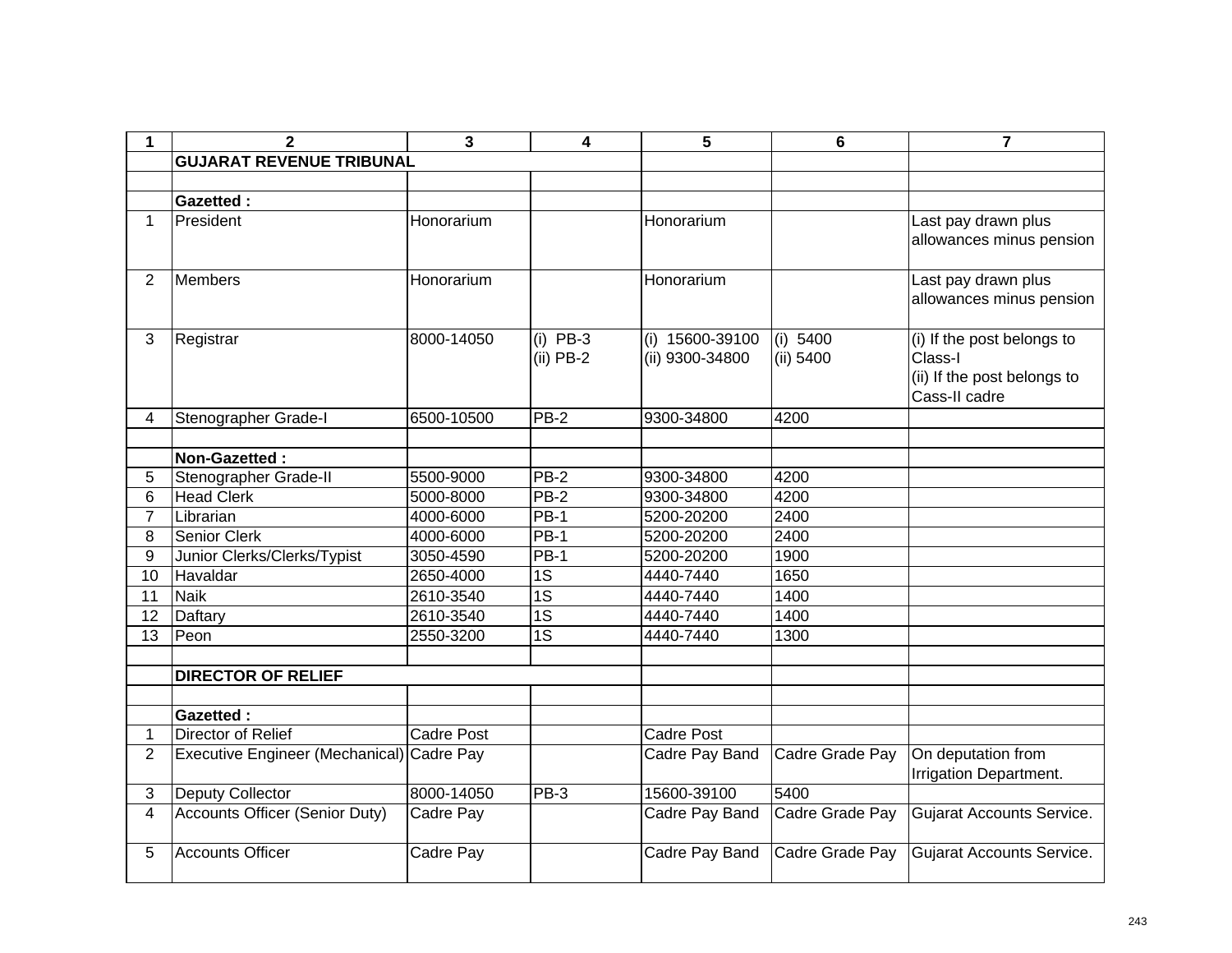| 1              | $\overline{\mathbf{2}}$                   | 3                 | 4                         | 5                                  | 6                     | $\overline{7}$                                                                        |
|----------------|-------------------------------------------|-------------------|---------------------------|------------------------------------|-----------------------|---------------------------------------------------------------------------------------|
|                | <b>GUJARAT REVENUE TRIBUNAL</b>           |                   |                           |                                    |                       |                                                                                       |
|                |                                           |                   |                           |                                    |                       |                                                                                       |
|                | <b>Gazetted:</b>                          |                   |                           |                                    |                       |                                                                                       |
| $\mathbf 1$    | President                                 | Honorarium        |                           | Honorarium                         |                       | Last pay drawn plus<br>allowances minus pension                                       |
| $\overline{2}$ | <b>Members</b>                            | Honorarium        |                           | Honorarium                         |                       | Last pay drawn plus<br>allowances minus pension                                       |
| 3              | Registrar                                 | 8000-14050        | $(i)$ PB-3<br>$(ii)$ PB-2 | (i) 15600-39100<br>(ii) 9300-34800 | (i) 5400<br>(ii) 5400 | (i) If the post belongs to<br>Class-I<br>(ii) If the post belongs to<br>Cass-II cadre |
| 4              | Stenographer Grade-I                      | 6500-10500        | <b>PB-2</b>               | 9300-34800                         | 4200                  |                                                                                       |
|                |                                           |                   |                           |                                    |                       |                                                                                       |
|                | Non-Gazetted:                             |                   |                           |                                    |                       |                                                                                       |
| 5              | Stenographer Grade-II                     | 5500-9000         | PB-2                      | 9300-34800                         | 4200                  |                                                                                       |
| 6              | <b>Head Clerk</b>                         | 5000-8000         | <b>PB-2</b>               | 9300-34800                         | 4200                  |                                                                                       |
| $\overline{7}$ | Librarian                                 | 4000-6000         | <b>PB-1</b>               | 5200-20200                         | 2400                  |                                                                                       |
| 8              | <b>Senior Clerk</b>                       | 4000-6000         | PB-1                      | 5200-20200                         | 2400                  |                                                                                       |
| 9              | Junior Clerks/Clerks/Typist               | 3050-4590         | $PB-1$                    | 5200-20200                         | 1900                  |                                                                                       |
| 10             | Havaldar                                  | 2650-4000         | $\overline{1S}$           | 4440-7440                          | 1650                  |                                                                                       |
| 11             | <b>Naik</b>                               | 2610-3540         | 1S                        | 4440-7440                          | 1400                  |                                                                                       |
| 12             | Daftary                                   | 2610-3540         | 1S                        | 4440-7440                          | 1400                  |                                                                                       |
| 13             | Peon                                      | 2550-3200         | $\overline{1S}$           | 4440-7440                          | 1300                  |                                                                                       |
|                |                                           |                   |                           |                                    |                       |                                                                                       |
|                | <b>DIRECTOR OF RELIEF</b>                 |                   |                           |                                    |                       |                                                                                       |
|                |                                           |                   |                           |                                    |                       |                                                                                       |
|                | <b>Gazetted:</b>                          |                   |                           |                                    |                       |                                                                                       |
| 1              | Director of Relief                        | <b>Cadre Post</b> |                           | <b>Cadre Post</b>                  |                       |                                                                                       |
| $\overline{2}$ | Executive Engineer (Mechanical) Cadre Pay |                   |                           | Cadre Pay Band                     | Cadre Grade Pay       | On deputation from<br>Irrigation Department.                                          |
| 3              | <b>Deputy Collector</b>                   | 8000-14050        | PB-3                      | 15600-39100                        | 5400                  |                                                                                       |
| $\overline{4}$ | <b>Accounts Officer (Senior Duty)</b>     | Cadre Pay         |                           | Cadre Pay Band                     | Cadre Grade Pay       | <b>Gujarat Accounts Service.</b>                                                      |
| 5              | <b>Accounts Officer</b>                   | Cadre Pay         |                           | Cadre Pay Band                     | Cadre Grade Pay       | Gujarat Accounts Service.                                                             |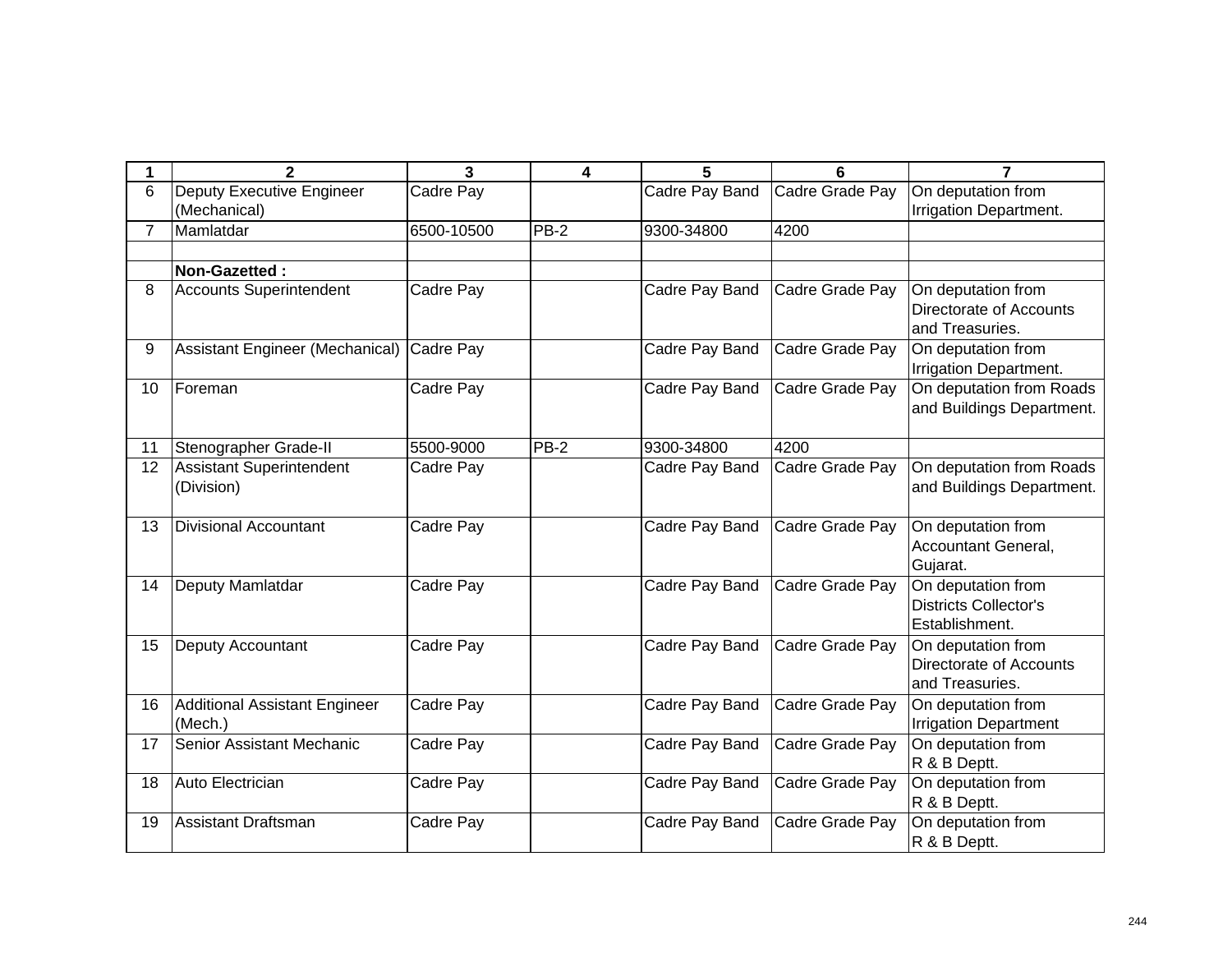| 1              | $\mathbf{2}$                     | 3          | 4      | 5              | 6               | 7                                                  |
|----------------|----------------------------------|------------|--------|----------------|-----------------|----------------------------------------------------|
| 6              | <b>Deputy Executive Engineer</b> | Cadre Pay  |        | Cadre Pay Band | Cadre Grade Pay | On deputation from                                 |
|                | (Mechanical)                     |            |        |                |                 | Irrigation Department.                             |
| $\overline{7}$ | Mamlatdar                        | 6500-10500 | $PB-2$ | 9300-34800     | 4200            |                                                    |
|                |                                  |            |        |                |                 |                                                    |
|                | Non-Gazetted:                    |            |        |                |                 |                                                    |
| 8              | <b>Accounts Superintendent</b>   | Cadre Pay  |        | Cadre Pay Band | Cadre Grade Pay | On deputation from                                 |
|                |                                  |            |        |                |                 | Directorate of Accounts                            |
|                |                                  |            |        |                |                 | and Treasuries.                                    |
| 9              | Assistant Engineer (Mechanical)  | Cadre Pay  |        | Cadre Pay Band | Cadre Grade Pay | On deputation from                                 |
|                |                                  |            |        |                |                 | Irrigation Department.<br>On deputation from Roads |
| 10             | Foreman                          | Cadre Pay  |        | Cadre Pay Band | Cadre Grade Pay | and Buildings Department.                          |
|                |                                  |            |        |                |                 |                                                    |
| 11             | Stenographer Grade-II            | 5500-9000  | $PB-2$ | 9300-34800     | 4200            |                                                    |
| 12             | Assistant Superintendent         | Cadre Pay  |        | Cadre Pay Band | Cadre Grade Pay | On deputation from Roads                           |
|                | (Division)                       |            |        |                |                 | and Buildings Department.                          |
|                |                                  |            |        |                |                 |                                                    |
| 13             | Divisional Accountant            | Cadre Pay  |        | Cadre Pay Band | Cadre Grade Pay | On deputation from                                 |
|                |                                  |            |        |                |                 | Accountant General,                                |
|                |                                  |            |        |                |                 | Gujarat.                                           |
| 14             | Deputy Mamlatdar                 | Cadre Pay  |        | Cadre Pay Band | Cadre Grade Pay | On deputation from                                 |
|                |                                  |            |        |                |                 | <b>Districts Collector's</b>                       |
|                |                                  |            |        |                |                 | Establishment.                                     |
| 15             | <b>Deputy Accountant</b>         | Cadre Pay  |        | Cadre Pay Band | Cadre Grade Pay | On deputation from                                 |
|                |                                  |            |        |                |                 | Directorate of Accounts                            |
|                |                                  |            |        |                |                 | and Treasuries.                                    |
| 16             | Additional Assistant Engineer    | Cadre Pay  |        | Cadre Pay Band | Cadre Grade Pay | On deputation from                                 |
|                | (Mech.)                          |            |        |                |                 | <b>Irrigation Department</b>                       |
| 17             | Senior Assistant Mechanic        | Cadre Pay  |        | Cadre Pay Band | Cadre Grade Pay | On deputation from                                 |
|                |                                  |            |        |                |                 | R & B Deptt.                                       |
| 18             | Auto Electrician                 | Cadre Pay  |        | Cadre Pay Band | Cadre Grade Pay | On deputation from<br>R & B Deptt.                 |
| 19             | <b>Assistant Draftsman</b>       | Cadre Pay  |        | Cadre Pay Band | Cadre Grade Pay | On deputation from                                 |
|                |                                  |            |        |                |                 | R & B Deptt.                                       |
|                |                                  |            |        |                |                 |                                                    |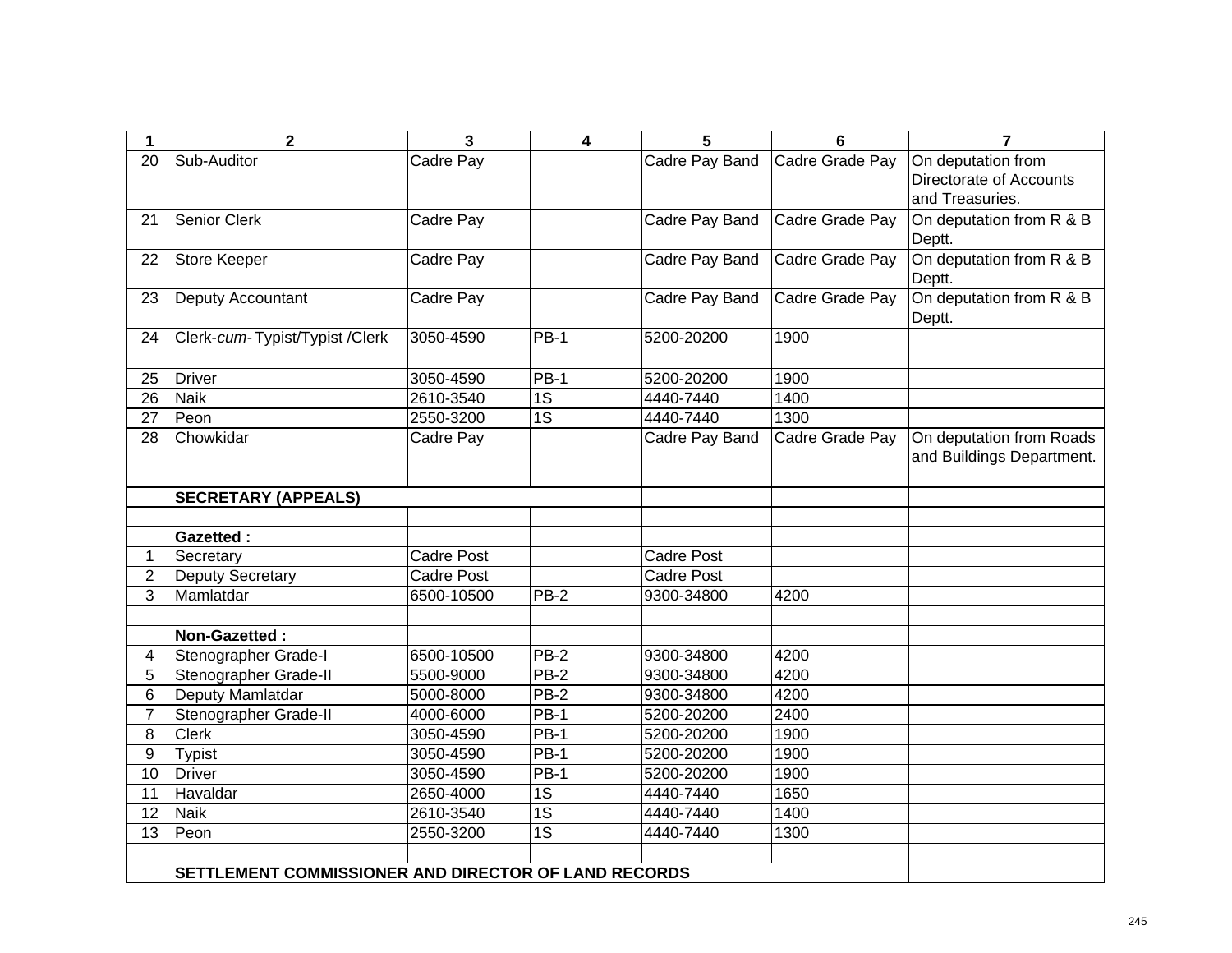| 1               | $\overline{2}$                                       | $\mathbf{3}$      | 4               | 5                 | $6\phantom{1}$  | $\overline{7}$            |
|-----------------|------------------------------------------------------|-------------------|-----------------|-------------------|-----------------|---------------------------|
| 20              | Sub-Auditor                                          | Cadre Pay         |                 | Cadre Pay Band    | Cadre Grade Pay | On deputation from        |
|                 |                                                      |                   |                 |                   |                 | Directorate of Accounts   |
|                 |                                                      |                   |                 |                   |                 | and Treasuries.           |
| 21              | <b>Senior Clerk</b>                                  | Cadre Pay         |                 | Cadre Pay Band    | Cadre Grade Pay | On deputation from R & B  |
|                 |                                                      |                   |                 |                   |                 | Deptt.                    |
| 22              | <b>Store Keeper</b>                                  | Cadre Pay         |                 | Cadre Pay Band    | Cadre Grade Pay | On deputation from R & B  |
|                 |                                                      |                   |                 |                   |                 | Deptt.                    |
| 23              | Deputy Accountant                                    | Cadre Pay         |                 | Cadre Pay Band    | Cadre Grade Pay | On deputation from R & B  |
|                 |                                                      |                   |                 |                   |                 | Deptt.                    |
| 24              | Clerk-cum-Typist/Typist /Clerk                       | 3050-4590         | $PB-1$          | 5200-20200        | 1900            |                           |
|                 |                                                      |                   |                 |                   |                 |                           |
| 25              | <b>Driver</b>                                        | 3050-4590         | $PB-1$          | 5200-20200        | 1900            |                           |
| 26              | <b>Naik</b>                                          | 2610-3540         | 1S              | 4440-7440         | 1400            |                           |
| $\overline{27}$ | Peon                                                 | 2550-3200         | $\overline{1S}$ | 4440-7440         | 1300            |                           |
| 28              | Chowkidar                                            | Cadre Pay         |                 | Cadre Pay Band    | Cadre Grade Pay | On deputation from Roads  |
|                 |                                                      |                   |                 |                   |                 | and Buildings Department. |
|                 |                                                      |                   |                 |                   |                 |                           |
|                 | <b>SECRETARY (APPEALS)</b>                           |                   |                 |                   |                 |                           |
|                 |                                                      |                   |                 |                   |                 |                           |
|                 | <b>Gazetted:</b>                                     |                   |                 |                   |                 |                           |
| 1               | Secretary                                            | <b>Cadre Post</b> |                 | <b>Cadre Post</b> |                 |                           |
| $\overline{2}$  | <b>Deputy Secretary</b>                              | <b>Cadre Post</b> |                 | Cadre Post        |                 |                           |
| 3               | Mamlatdar                                            | 6500-10500        | $PB-2$          | 9300-34800        | 4200            |                           |
|                 |                                                      |                   |                 |                   |                 |                           |
|                 | Non-Gazetted:                                        |                   |                 |                   |                 |                           |
| $\overline{4}$  | Stenographer Grade-I                                 | 6500-10500        | $PB-2$          | 9300-34800        | 4200            |                           |
| 5               | Stenographer Grade-II                                | 5500-9000         | $PB-2$          | 9300-34800        | 4200            |                           |
| 6               | Deputy Mamlatdar                                     | 5000-8000         | $PB-2$          | 9300-34800        | 4200            |                           |
| $\overline{7}$  | Stenographer Grade-II                                | 4000-6000         | PB-1            | 5200-20200        | 2400            |                           |
| 8               | <b>Clerk</b>                                         | 3050-4590         | <b>PB-1</b>     | 5200-20200        | 1900            |                           |
| 9               | <b>Typist</b>                                        | 3050-4590         | $PB-1$          | 5200-20200        | 1900            |                           |
| 10              | <b>Driver</b>                                        | 3050-4590         | <b>PB-1</b>     | 5200-20200        | 1900            |                           |
| 11              | Havaldar                                             | 2650-4000         | 1S              | 4440-7440         | 1650            |                           |
| 12              | <b>Naik</b>                                          | 2610-3540         | $\overline{1S}$ | 4440-7440         | 1400            |                           |
| $\overline{13}$ | Peon                                                 | 2550-3200         | $\overline{1S}$ | 4440-7440         | 1300            |                           |
|                 |                                                      |                   |                 |                   |                 |                           |
|                 | SETTLEMENT COMMISSIONER AND DIRECTOR OF LAND RECORDS |                   |                 |                   |                 |                           |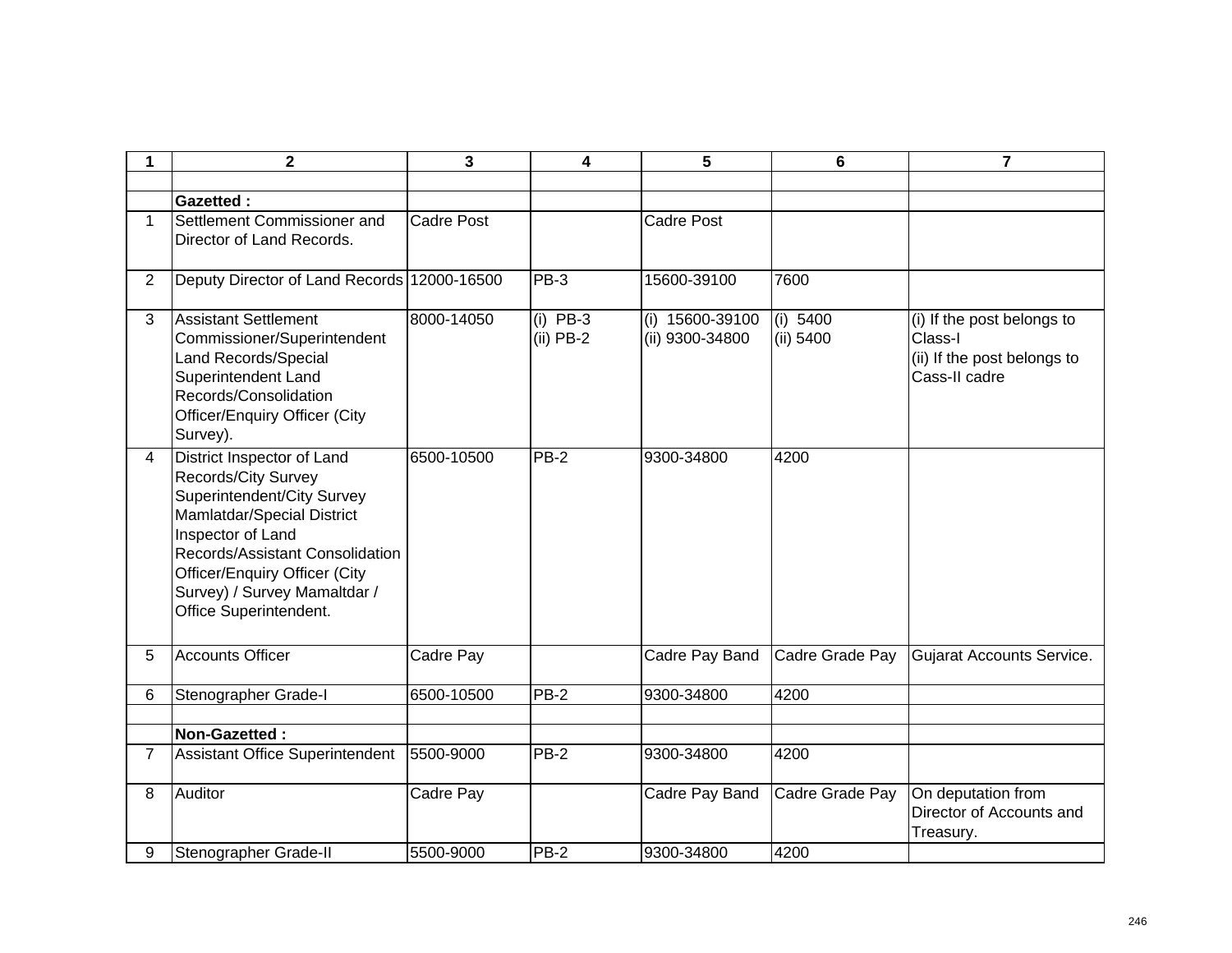| 1              | $\overline{\mathbf{2}}$                                                                                                                                                                                                                                                 | 3                 | 4                         | 5                                    | 6                     | $\overline{7}$                                                                        |
|----------------|-------------------------------------------------------------------------------------------------------------------------------------------------------------------------------------------------------------------------------------------------------------------------|-------------------|---------------------------|--------------------------------------|-----------------------|---------------------------------------------------------------------------------------|
|                |                                                                                                                                                                                                                                                                         |                   |                           |                                      |                       |                                                                                       |
|                | <b>Gazetted:</b>                                                                                                                                                                                                                                                        |                   |                           |                                      |                       |                                                                                       |
| $\mathbf 1$    | Settlement Commissioner and<br>Director of Land Records.                                                                                                                                                                                                                | <b>Cadre Post</b> |                           | <b>Cadre Post</b>                    |                       |                                                                                       |
| 2              | Deputy Director of Land Records 12000-16500                                                                                                                                                                                                                             |                   | PB-3                      | 15600-39100                          | 7600                  |                                                                                       |
| 3              | <b>Assistant Settlement</b><br>Commissioner/Superintendent<br>Land Records/Special<br>Superintendent Land<br>Records/Consolidation<br><b>Officer/Enquiry Officer (City</b><br>Survey).                                                                                  | 8000-14050        | $(i)$ PB-3<br>$(ii)$ PB-2 | $(i)$ 15600-39100<br>(ii) 9300-34800 | (i) 5400<br>(ii) 5400 | (i) If the post belongs to<br>Class-I<br>(ii) If the post belongs to<br>Cass-II cadre |
| 4              | District Inspector of Land<br><b>Records/City Survey</b><br>Superintendent/City Survey<br>Mamlatdar/Special District<br>Inspector of Land<br>Records/Assistant Consolidation<br>Officer/Enquiry Officer (City<br>Survey) / Survey Mamaltdar /<br>Office Superintendent. | 6500-10500        | $PB-2$                    | 9300-34800                           | 4200                  |                                                                                       |
| 5              | <b>Accounts Officer</b>                                                                                                                                                                                                                                                 | Cadre Pay         |                           | Cadre Pay Band                       | Cadre Grade Pay       | Gujarat Accounts Service.                                                             |
| 6              | Stenographer Grade-I                                                                                                                                                                                                                                                    | 6500-10500        | PB-2                      | 9300-34800                           | 4200                  |                                                                                       |
|                |                                                                                                                                                                                                                                                                         |                   |                           |                                      |                       |                                                                                       |
|                | Non-Gazetted:                                                                                                                                                                                                                                                           |                   |                           |                                      |                       |                                                                                       |
| $\overline{7}$ | Assistant Office Superintendent                                                                                                                                                                                                                                         | 5500-9000         | $PB-2$                    | 9300-34800                           | 4200                  |                                                                                       |
| 8              | Auditor                                                                                                                                                                                                                                                                 | Cadre Pay         |                           | Cadre Pay Band                       | Cadre Grade Pay       | On deputation from<br>Director of Accounts and<br>Treasury.                           |
| 9              | Stenographer Grade-II                                                                                                                                                                                                                                                   | 5500-9000         | <b>PB-2</b>               | 9300-34800                           | 4200                  |                                                                                       |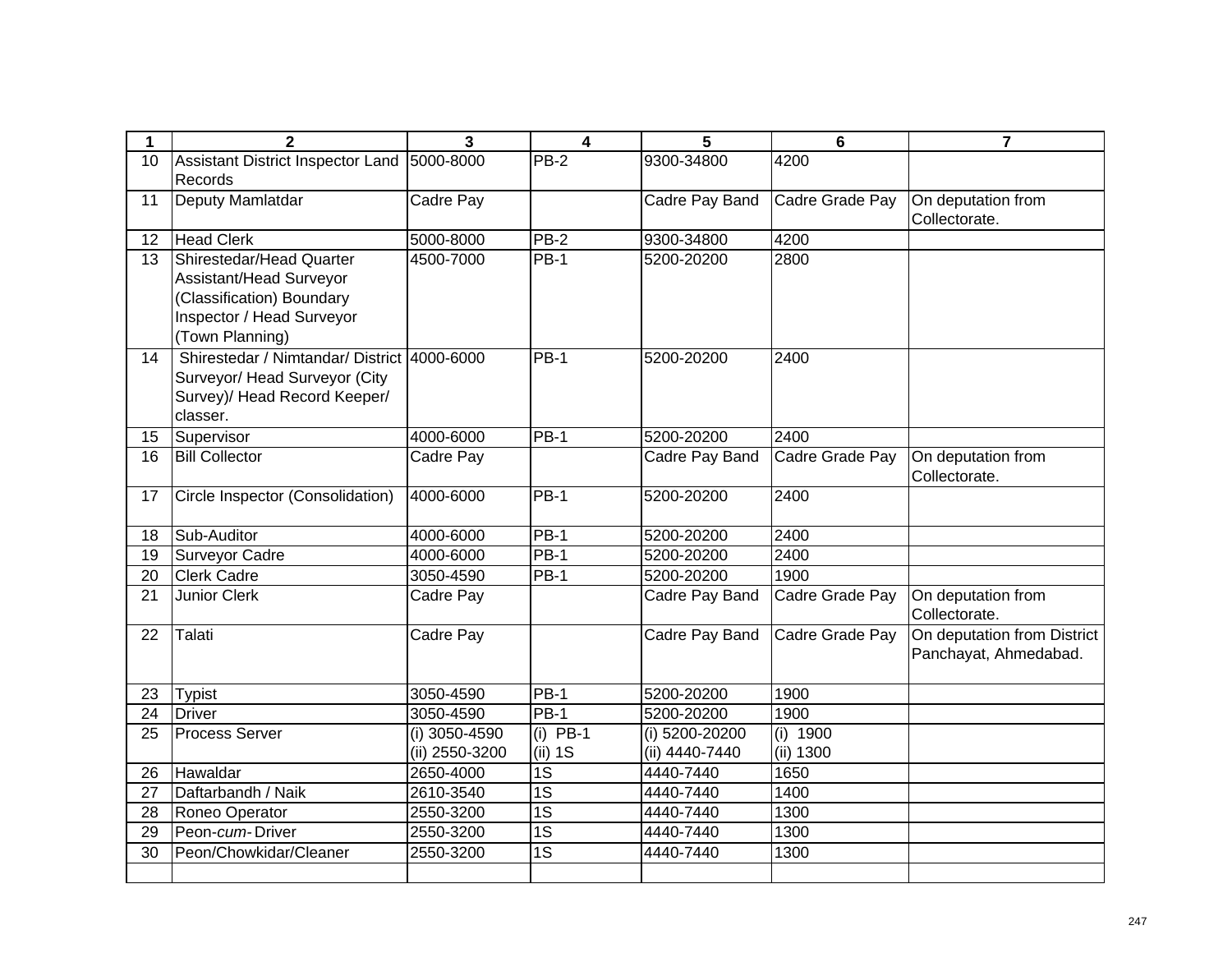| 1  | $\overline{2}$                                                                                                                   | $\overline{\mathbf{3}}$         | $\overline{\mathbf{4}}$ | 5                                | $6\phantom{a}$        | $\overline{7}$                                       |
|----|----------------------------------------------------------------------------------------------------------------------------------|---------------------------------|-------------------------|----------------------------------|-----------------------|------------------------------------------------------|
| 10 | Assistant District Inspector Land                                                                                                | 5000-8000                       | $PB-2$                  | 9300-34800                       | 4200                  |                                                      |
|    | Records                                                                                                                          |                                 |                         |                                  |                       |                                                      |
| 11 | Deputy Mamlatdar                                                                                                                 | Cadre Pay                       |                         | Cadre Pay Band                   | Cadre Grade Pay       | On deputation from<br>Collectorate.                  |
| 12 | <b>Head Clerk</b>                                                                                                                | 5000-8000                       | <b>PB-2</b>             | 9300-34800                       | 4200                  |                                                      |
| 13 | Shirestedar/Head Quarter<br>Assistant/Head Surveyor<br>(Classification) Boundary<br>Inspector / Head Surveyor<br>(Town Planning) | 4500-7000                       | $PB-1$                  | 5200-20200                       | 2800                  |                                                      |
| 14 | Shirestedar / Nimtandar/ District 4000-6000<br>Surveyor/ Head Surveyor (City<br>Survey)/ Head Record Keeper/<br>classer.         |                                 | $PB-1$                  | 5200-20200                       | 2400                  |                                                      |
| 15 | Supervisor                                                                                                                       | 4000-6000                       | $PB-1$                  | 5200-20200                       | 2400                  |                                                      |
| 16 | <b>Bill Collector</b>                                                                                                            | Cadre Pay                       |                         | Cadre Pay Band                   | Cadre Grade Pay       | On deputation from<br>Collectorate.                  |
| 17 | Circle Inspector (Consolidation)                                                                                                 | 4000-6000                       | $PB-1$                  | 5200-20200                       | 2400                  |                                                      |
| 18 | Sub-Auditor                                                                                                                      | 4000-6000                       | $PB-1$                  | 5200-20200                       | 2400                  |                                                      |
| 19 | <b>Surveyor Cadre</b>                                                                                                            | 4000-6000                       | $PB-1$                  | 5200-20200                       | 2400                  |                                                      |
| 20 | <b>Clerk Cadre</b>                                                                                                               | 3050-4590                       | <b>PB-1</b>             | 5200-20200                       | 1900                  |                                                      |
| 21 | Junior Clerk                                                                                                                     | Cadre Pay                       |                         | Cadre Pay Band                   | Cadre Grade Pay       | On deputation from<br>Collectorate.                  |
| 22 | Talati                                                                                                                           | Cadre Pay                       |                         | Cadre Pay Band                   | Cadre Grade Pay       | On deputation from District<br>Panchayat, Ahmedabad. |
| 23 | <b>Typist</b>                                                                                                                    | 3050-4590                       | <b>PB-1</b>             | 5200-20200                       | 1900                  |                                                      |
| 24 | <b>Driver</b>                                                                                                                    | 3050-4590                       | <b>PB-1</b>             | 5200-20200                       | 1900                  |                                                      |
| 25 | <b>Process Server</b>                                                                                                            | (i) 3050-4590<br>(ii) 2550-3200 | $(i)$ PB-1<br>$(ii)$ 1S | (i) 5200-20200<br>(ii) 4440-7440 | (i) 1900<br>(ii) 1300 |                                                      |
| 26 | Hawaldar                                                                                                                         | 2650-4000                       | $\overline{1S}$         | 4440-7440                        | 1650                  |                                                      |
| 27 | Daftarbandh / Naik                                                                                                               | 2610-3540                       | $\overline{1S}$         | 4440-7440                        | 1400                  |                                                      |
| 28 | Roneo Operator                                                                                                                   | 2550-3200                       | $\overline{1S}$         | 4440-7440                        | 1300                  |                                                      |
| 29 | Peon-cum-Driver                                                                                                                  | 2550-3200                       | $\overline{1S}$         | 4440-7440                        | 1300                  |                                                      |
| 30 | Peon/Chowkidar/Cleaner                                                                                                           | 2550-3200                       | $\overline{1S}$         | 4440-7440                        | 1300                  |                                                      |
|    |                                                                                                                                  |                                 |                         |                                  |                       |                                                      |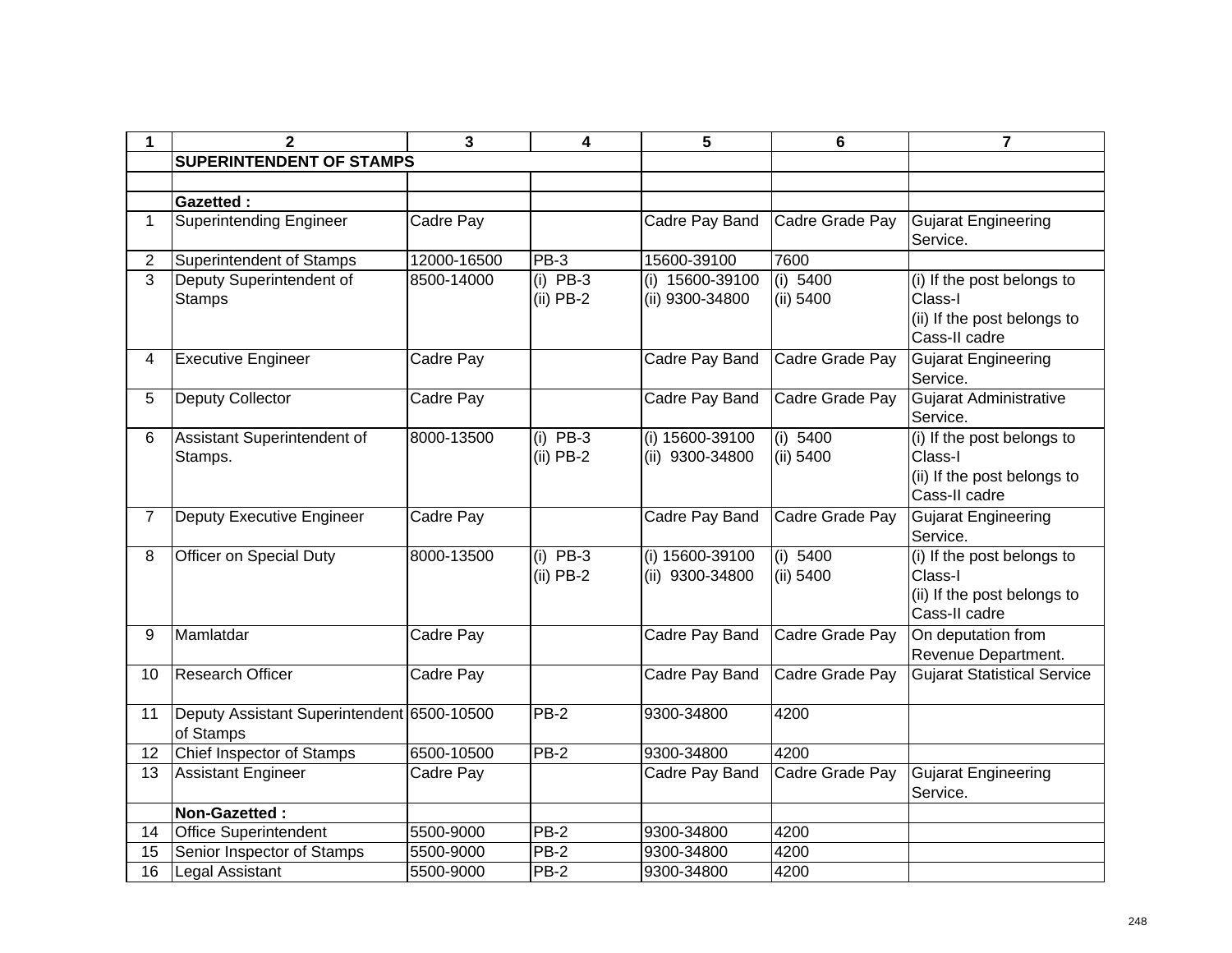| 1              | 2                                                       | 3           | 4                         | 5                                  | 6                     | $\overline{7}$                                                                        |  |  |  |
|----------------|---------------------------------------------------------|-------------|---------------------------|------------------------------------|-----------------------|---------------------------------------------------------------------------------------|--|--|--|
|                | <b>SUPERINTENDENT OF STAMPS</b>                         |             |                           |                                    |                       |                                                                                       |  |  |  |
|                |                                                         |             |                           |                                    |                       |                                                                                       |  |  |  |
|                | <b>Gazetted:</b>                                        |             |                           |                                    |                       |                                                                                       |  |  |  |
| $\mathbf{1}$   | <b>Superintending Engineer</b>                          | Cadre Pay   |                           | Cadre Pay Band                     | Cadre Grade Pay       | Gujarat Engineering<br>Service.                                                       |  |  |  |
| $\overline{2}$ | Superintendent of Stamps                                | 12000-16500 | PB-3                      | 15600-39100                        | 7600                  |                                                                                       |  |  |  |
| 3              | Deputy Superintendent of<br><b>Stamps</b>               | 8500-14000  | $(i)$ PB-3<br>$(ii)$ PB-2 | (i) 15600-39100<br>(ii) 9300-34800 | (i) 5400<br>(ii) 5400 | (i) If the post belongs to<br>Class-I<br>(ii) If the post belongs to<br>Cass-II cadre |  |  |  |
| 4              | <b>Executive Engineer</b>                               | Cadre Pay   |                           | Cadre Pay Band                     | Cadre Grade Pay       | <b>Gujarat Engineering</b><br>Service.                                                |  |  |  |
| 5              | Deputy Collector                                        | Cadre Pay   |                           | Cadre Pay Band                     | Cadre Grade Pay       | Gujarat Administrative<br>Service.                                                    |  |  |  |
| 6              | Assistant Superintendent of<br>Stamps.                  | 8000-13500  | $(i)$ PB-3<br>$(ii)$ PB-2 | (i) 15600-39100<br>(ii) 9300-34800 | (i) 5400<br>(ii) 5400 | (i) If the post belongs to<br>Class-I<br>(ii) If the post belongs to<br>Cass-II cadre |  |  |  |
| $\overline{7}$ | Deputy Executive Engineer                               | Cadre Pay   |                           | Cadre Pay Band                     | Cadre Grade Pay       | Gujarat Engineering<br>Service.                                                       |  |  |  |
| 8              | Officer on Special Duty                                 | 8000-13500  | $(i)$ PB-3<br>$(ii)$ PB-2 | (i) 15600-39100<br>(ii) 9300-34800 | (i) 5400<br>(ii) 5400 | (i) If the post belongs to<br>Class-I<br>(ii) If the post belongs to<br>Cass-II cadre |  |  |  |
| 9              | Mamlatdar                                               | Cadre Pay   |                           | Cadre Pay Band                     | Cadre Grade Pay       | On deputation from<br>Revenue Department.                                             |  |  |  |
| 10             | <b>Research Officer</b>                                 | Cadre Pay   |                           | Cadre Pay Band                     | Cadre Grade Pay       | <b>Gujarat Statistical Service</b>                                                    |  |  |  |
| 11             | Deputy Assistant Superintendent 6500-10500<br>of Stamps |             | <b>PB-2</b>               | 9300-34800                         | 4200                  |                                                                                       |  |  |  |
| 12             | <b>Chief Inspector of Stamps</b>                        | 6500-10500  | $PB-2$                    | 9300-34800                         | 4200                  |                                                                                       |  |  |  |
| 13             | <b>Assistant Engineer</b>                               | Cadre Pay   |                           | Cadre Pay Band                     | Cadre Grade Pay       | <b>Gujarat Engineering</b><br>Service.                                                |  |  |  |
|                | Non-Gazetted:                                           |             |                           |                                    |                       |                                                                                       |  |  |  |
| 14             | <b>Office Superintendent</b>                            | 5500-9000   | $PB-2$                    | 9300-34800                         | 4200                  |                                                                                       |  |  |  |
| 15             | Senior Inspector of Stamps                              | 5500-9000   | $PB-2$                    | 9300-34800                         | 4200                  |                                                                                       |  |  |  |
| 16             | <b>Legal Assistant</b>                                  | 5500-9000   | <b>PB-2</b>               | 9300-34800                         | 4200                  |                                                                                       |  |  |  |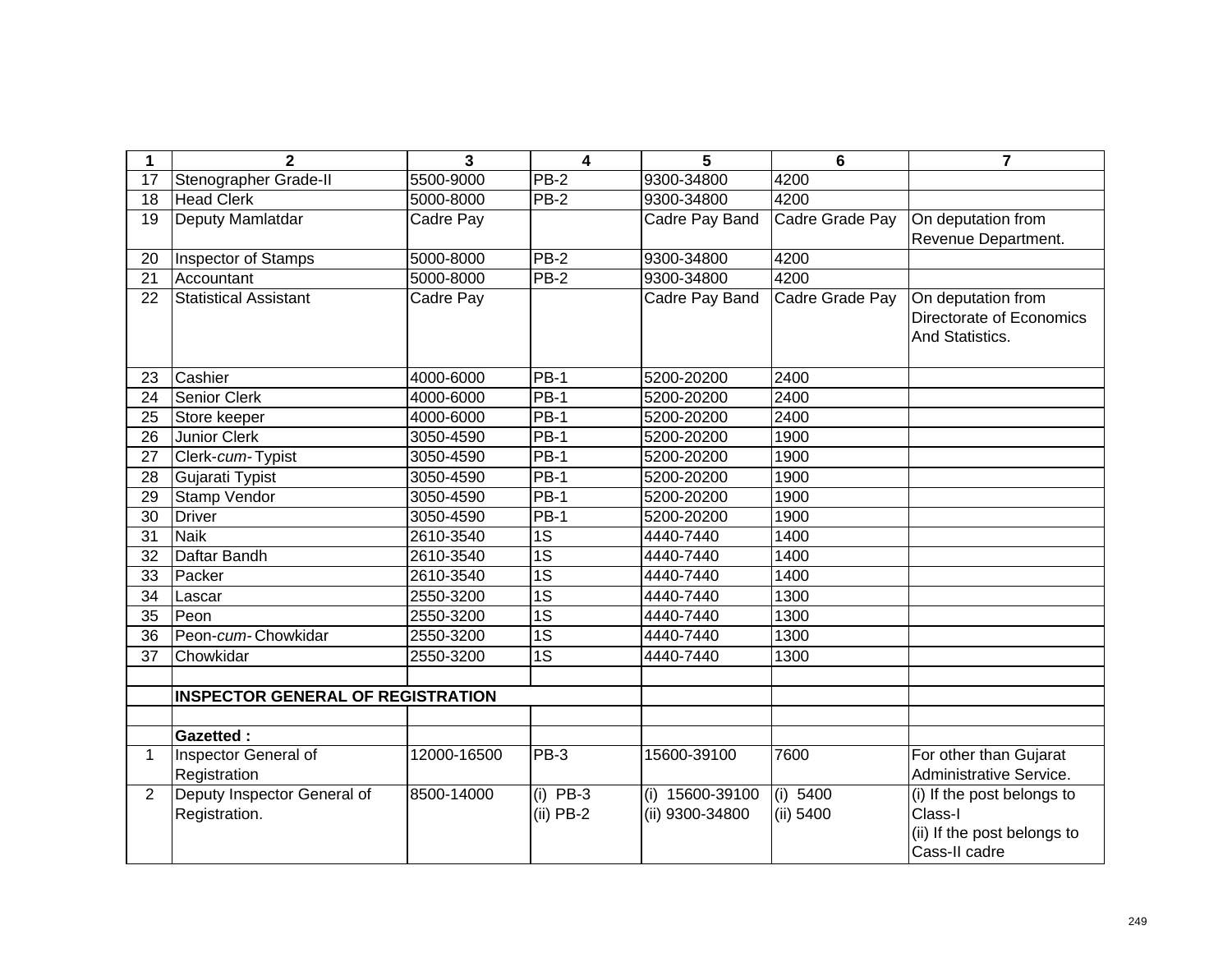| 1               | $\overline{2}$                           | 3           | $\overline{\mathbf{4}}$ | 5               | 6               | 7                           |
|-----------------|------------------------------------------|-------------|-------------------------|-----------------|-----------------|-----------------------------|
| 17              | Stenographer Grade-II                    | 5500-9000   | <b>PB-2</b>             | 9300-34800      | 4200            |                             |
| 18              | <b>Head Clerk</b>                        | 5000-8000   | <b>PB-2</b>             | 9300-34800      | 4200            |                             |
| 19              | Deputy Mamlatdar                         | Cadre Pay   |                         | Cadre Pay Band  | Cadre Grade Pay | On deputation from          |
|                 |                                          |             |                         |                 |                 | Revenue Department.         |
| 20              | <b>Inspector of Stamps</b>               | 5000-8000   | $PB-2$                  | 9300-34800      | 4200            |                             |
| 21              | Accountant                               | 5000-8000   | $PB-2$                  | 9300-34800      | 4200            |                             |
| 22              | <b>Statistical Assistant</b>             | Cadre Pay   |                         | Cadre Pay Band  | Cadre Grade Pay | On deputation from          |
|                 |                                          |             |                         |                 |                 | Directorate of Economics    |
|                 |                                          |             |                         |                 |                 | And Statistics.             |
|                 |                                          |             |                         |                 |                 |                             |
| 23              | Cashier                                  | 4000-6000   | $PB-1$                  | 5200-20200      | 2400            |                             |
| 24              | <b>Senior Clerk</b>                      | 4000-6000   | $PB-1$                  | 5200-20200      | 2400            |                             |
| 25              | Store keeper                             | 4000-6000   | <b>PB-1</b>             | 5200-20200      | 2400            |                             |
| 26              | <b>Junior Clerk</b>                      | 3050-4590   | <b>PB-1</b>             | 5200-20200      | 1900            |                             |
| 27              | Clerk-cum-Typist                         | 3050-4590   | $PB-1$                  | 5200-20200      | 1900            |                             |
| 28              | Gujarati Typist                          | 3050-4590   | $PB-1$                  | 5200-20200      | 1900            |                             |
| 29              | Stamp Vendor                             | 3050-4590   | <b>PB-1</b>             | 5200-20200      | 1900            |                             |
| 30              | <b>Driver</b>                            | 3050-4590   | $PB-1$                  | 5200-20200      | 1900            |                             |
| $\overline{31}$ | <b>Naik</b>                              | 2610-3540   | $\overline{1S}$         | 4440-7440       | 1400            |                             |
| 32              | Daftar Bandh                             | 2610-3540   | 1S                      | 4440-7440       | 1400            |                             |
| 33              | Packer                                   | 2610-3540   | 1S                      | 4440-7440       | 1400            |                             |
| 34              | Lascar                                   | 2550-3200   | $\overline{1S}$         | 4440-7440       | 1300            |                             |
| 35              | Peon                                     | 2550-3200   | $\overline{1S}$         | 4440-7440       | 1300            |                             |
| 36              | Peon-cum-Chowkidar                       | 2550-3200   | $\overline{1S}$         | 4440-7440       | 1300            |                             |
| 37              | Chowkidar                                | 2550-3200   | $\overline{1S}$         | 4440-7440       | 1300            |                             |
|                 |                                          |             |                         |                 |                 |                             |
|                 | <b>INSPECTOR GENERAL OF REGISTRATION</b> |             |                         |                 |                 |                             |
|                 |                                          |             |                         |                 |                 |                             |
|                 | <b>Gazetted:</b>                         |             |                         |                 |                 |                             |
| 1               | Inspector General of                     | 12000-16500 | $ PB-3 $                | 15600-39100     | 7600            | For other than Gujarat      |
|                 | Registration                             |             |                         |                 |                 | Administrative Service.     |
| $\overline{2}$  | Deputy Inspector General of              | 8500-14000  | $(i)$ PB-3              | (i) 15600-39100 | (i) 5400        | (i) If the post belongs to  |
|                 | Registration.                            |             | (ii) PB-2               | (ii) 9300-34800 | (ii) 5400       | Class-I                     |
|                 |                                          |             |                         |                 |                 | (ii) If the post belongs to |
|                 |                                          |             |                         |                 |                 | Cass-II cadre               |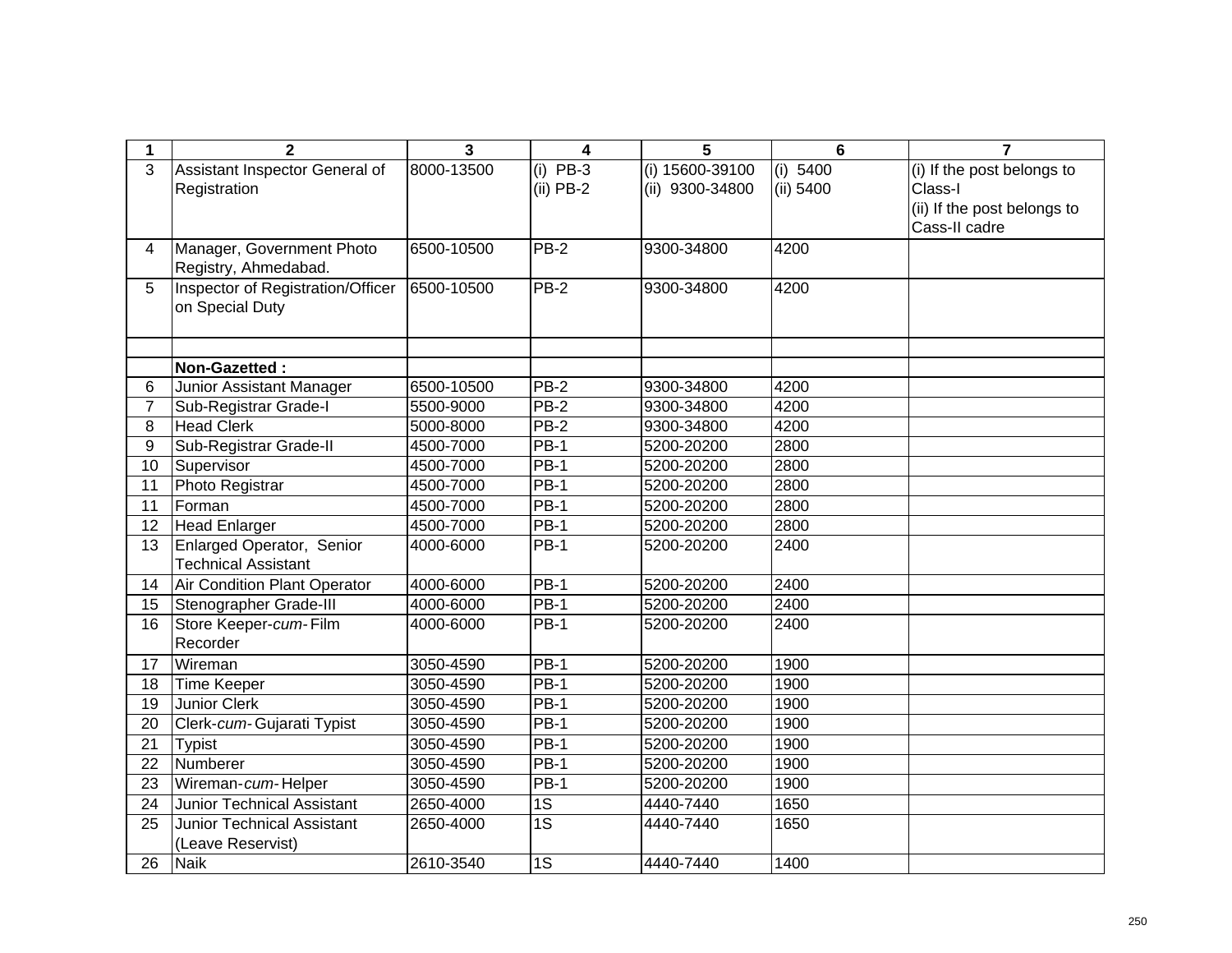| 1  | $\overline{2}$                      | $\overline{3}$ | 4               | 5               | $6\phantom{1}6$ | $\overline{7}$              |
|----|-------------------------------------|----------------|-----------------|-----------------|-----------------|-----------------------------|
| 3  | Assistant Inspector General of      | 8000-13500     | $(i)$ PB-3      | (i) 15600-39100 | (i) $5400$      | (i) If the post belongs to  |
|    | Registration                        |                | $(ii)$ PB-2     | (ii) 9300-34800 | (ii) 5400       | Class-I                     |
|    |                                     |                |                 |                 |                 | (ii) If the post belongs to |
|    |                                     |                |                 |                 |                 | Cass-II cadre               |
| 4  | Manager, Government Photo           | 6500-10500     | $PB-2$          | 9300-34800      | 4200            |                             |
|    | Registry, Ahmedabad.                |                |                 |                 |                 |                             |
| 5  | Inspector of Registration/Officer   | 6500-10500     | $PB-2$          | 9300-34800      | 4200            |                             |
|    | on Special Duty                     |                |                 |                 |                 |                             |
|    |                                     |                |                 |                 |                 |                             |
|    |                                     |                |                 |                 |                 |                             |
|    | Non-Gazetted:                       |                |                 |                 |                 |                             |
| 6  | Junior Assistant Manager            | 6500-10500     | <b>PB-2</b>     | 9300-34800      | 4200            |                             |
| 7  | Sub-Registrar Grade-I               | 5500-9000      | PB-2            | 9300-34800      | 4200            |                             |
| 8  | <b>Head Clerk</b>                   | 5000-8000      | $PB-2$          | 9300-34800      | 4200            |                             |
| 9  | Sub-Registrar Grade-II              | 4500-7000      | <b>PB-1</b>     | 5200-20200      | 2800            |                             |
| 10 | Supervisor                          | 4500-7000      | $PB-1$          | 5200-20200      | 2800            |                             |
| 11 | Photo Registrar                     | 4500-7000      | $PB-1$          | 5200-20200      | 2800            |                             |
| 11 | Forman                              | 4500-7000      | $PB-1$          | 5200-20200      | 2800            |                             |
| 12 | Head Enlarger                       | 4500-7000      | $PB-1$          | 5200-20200      | 2800            |                             |
| 13 | Enlarged Operator, Senior           | 4000-6000      | $PB-1$          | 5200-20200      | 2400            |                             |
|    | <b>Technical Assistant</b>          |                |                 |                 |                 |                             |
| 14 | <b>Air Condition Plant Operator</b> | 4000-6000      | $PB-1$          | 5200-20200      | 2400            |                             |
| 15 | Stenographer Grade-III              | 4000-6000      | $PB-1$          | 5200-20200      | 2400            |                             |
| 16 | Store Keeper-cum-Film               | 4000-6000      | $PB-1$          | 5200-20200      | 2400            |                             |
|    | Recorder                            |                |                 |                 |                 |                             |
| 17 | Wireman                             | 3050-4590      | $PB-1$          | 5200-20200      | 1900            |                             |
| 18 | <b>Time Keeper</b>                  | 3050-4590      | $PB-1$          | 5200-20200      | 1900            |                             |
| 19 | <b>Junior Clerk</b>                 | 3050-4590      | <b>PB-1</b>     | 5200-20200      | 1900            |                             |
| 20 | Clerk-cum-Gujarati Typist           | 3050-4590      | $PB-1$          | 5200-20200      | 1900            |                             |
| 21 | <b>Typist</b>                       | 3050-4590      | $PB-1$          | 5200-20200      | 1900            |                             |
| 22 | Numberer                            | 3050-4590      | <b>PB-1</b>     | 5200-20200      | 1900            |                             |
| 23 | Wireman-cum-Helper                  | 3050-4590      | $PB-1$          | 5200-20200      | 1900            |                             |
| 24 | <b>Junior Technical Assistant</b>   | 2650-4000      | $\overline{1S}$ | 4440-7440       | 1650            |                             |
| 25 | <b>Junior Technical Assistant</b>   | 2650-4000      | $\overline{1S}$ | 4440-7440       | 1650            |                             |
|    | (Leave Reservist)                   |                |                 |                 |                 |                             |
| 26 | <b>Naik</b>                         | 2610-3540      | 1S              | 4440-7440       | 1400            |                             |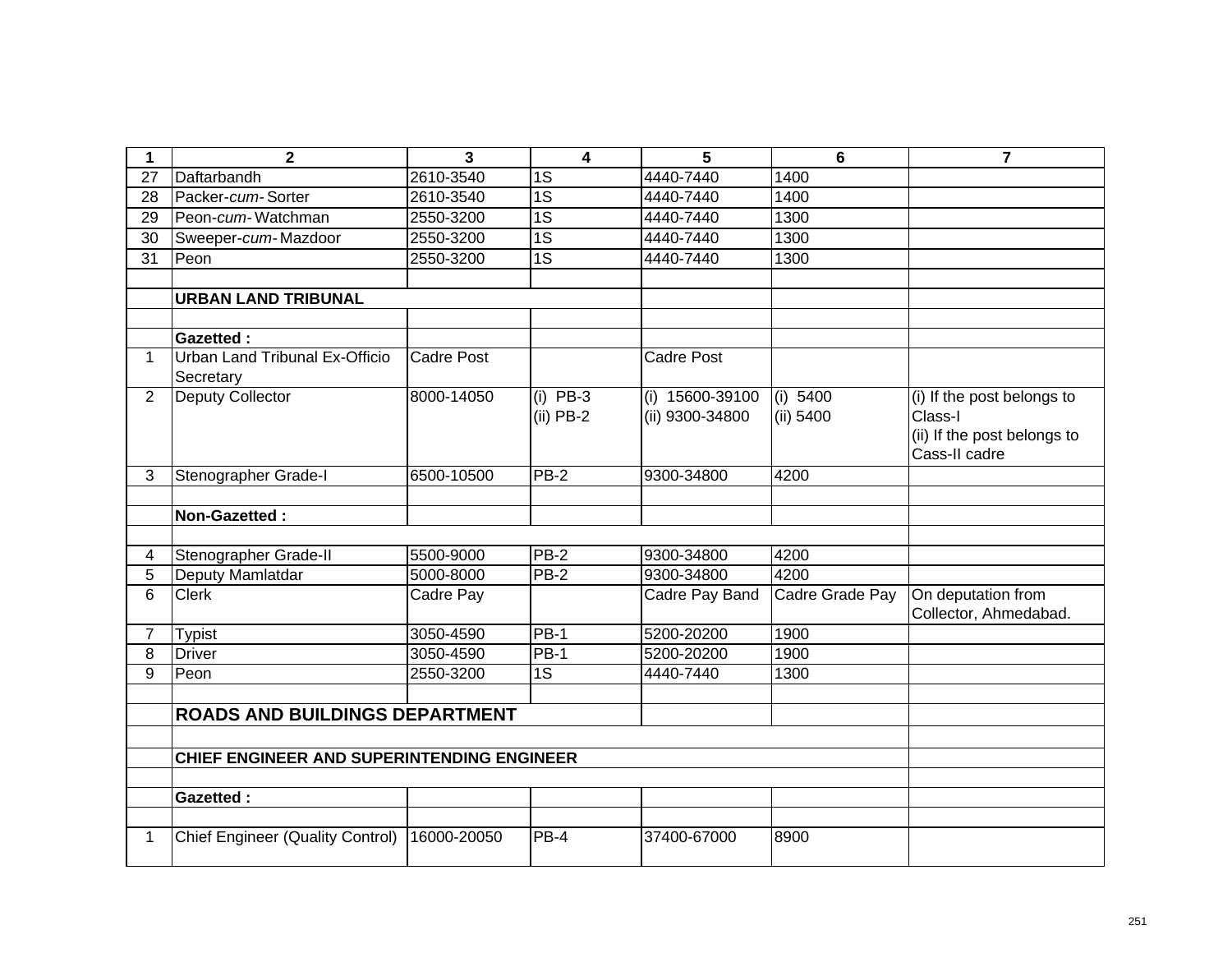| 1               | $\mathbf{2}$                                | 3                      | $\overline{\mathbf{4}}$ | 5                        | 6               | $\overline{\mathbf{r}}$     |
|-----------------|---------------------------------------------|------------------------|-------------------------|--------------------------|-----------------|-----------------------------|
| 27              | Daftarbandh                                 | 2610-3540              | 1S                      | 4440-7440                | 1400            |                             |
| 28              | Packer-cum-Sorter                           | 2610-3540              | 1S                      | 4440-7440                | 1400            |                             |
| 29              | Peon-cum-Watchman                           | 2550-3200              | 1S                      | 4440-7440                | 1300            |                             |
| 30              | Sweeper-cum-Mazdoor                         | 2550-3200              | $\overline{1S}$         | 4440-7440                | 1300            |                             |
| $\overline{31}$ | Peon                                        | 2550-3200              | $\overline{1S}$         | 4440-7440                | 1300            |                             |
|                 |                                             |                        |                         |                          |                 |                             |
|                 | <b>URBAN LAND TRIBUNAL</b>                  |                        |                         |                          |                 |                             |
|                 |                                             |                        |                         |                          |                 |                             |
|                 | <b>Gazetted:</b>                            |                        |                         |                          |                 |                             |
| 1.              | Urban Land Tribunal Ex-Officio<br>Secretary | <b>Cadre Post</b>      |                         | <b>Cadre Post</b>        |                 |                             |
| $\overline{2}$  | Deputy Collector                            | 8000-14050             | $(i)$ PB-3              | (i) 15600-39100          | (i) 5400        | (i) If the post belongs to  |
|                 |                                             |                        | $(ii)$ PB-2             | (ii) 9300-34800          | (ii) 5400       | Class-I                     |
|                 |                                             |                        |                         |                          |                 | (ii) If the post belongs to |
|                 |                                             |                        |                         |                          |                 | Cass-II cadre               |
| 3               | Stenographer Grade-I                        | 6500-10500             | PB-2                    | 9300-34800               | 4200            |                             |
|                 |                                             |                        |                         |                          |                 |                             |
|                 | Non-Gazetted:                               |                        |                         |                          |                 |                             |
|                 |                                             |                        |                         |                          |                 |                             |
| 4               | Stenographer Grade-II                       | 5500-9000              | PB-2                    | 9300-34800               | 4200            |                             |
| 5               | Deputy Mamlatdar                            | 5000-8000              | <b>PB-2</b>             | 9300-34800               | 4200            |                             |
| 6               | <b>Clerk</b>                                | Cadre Pay              |                         | Cadre Pay Band           | Cadre Grade Pay | On deputation from          |
| $\overline{7}$  |                                             |                        | <b>PB-1</b>             |                          | 1900            | Collector, Ahmedabad.       |
| 8               | <b>Typist</b><br><b>Driver</b>              | 3050-4590<br>3050-4590 | $PB-1$                  | 5200-20200<br>5200-20200 | 1900            |                             |
| 9               | Peon                                        | 2550-3200              | 1S                      | 4440-7440                | 1300            |                             |
|                 |                                             |                        |                         |                          |                 |                             |
|                 |                                             |                        |                         |                          |                 |                             |
|                 | <b>ROADS AND BUILDINGS DEPARTMENT</b>       |                        |                         |                          |                 |                             |
|                 |                                             |                        |                         |                          |                 |                             |
|                 | CHIEF ENGINEER AND SUPERINTENDING ENGINEER  |                        |                         |                          |                 |                             |
|                 |                                             |                        |                         |                          |                 |                             |
|                 | <b>Gazetted:</b>                            |                        |                         |                          |                 |                             |
|                 |                                             |                        |                         |                          |                 |                             |
| 1               | <b>Chief Engineer (Quality Control)</b>     | 16000-20050            | $PB-4$                  | 37400-67000              | 8900            |                             |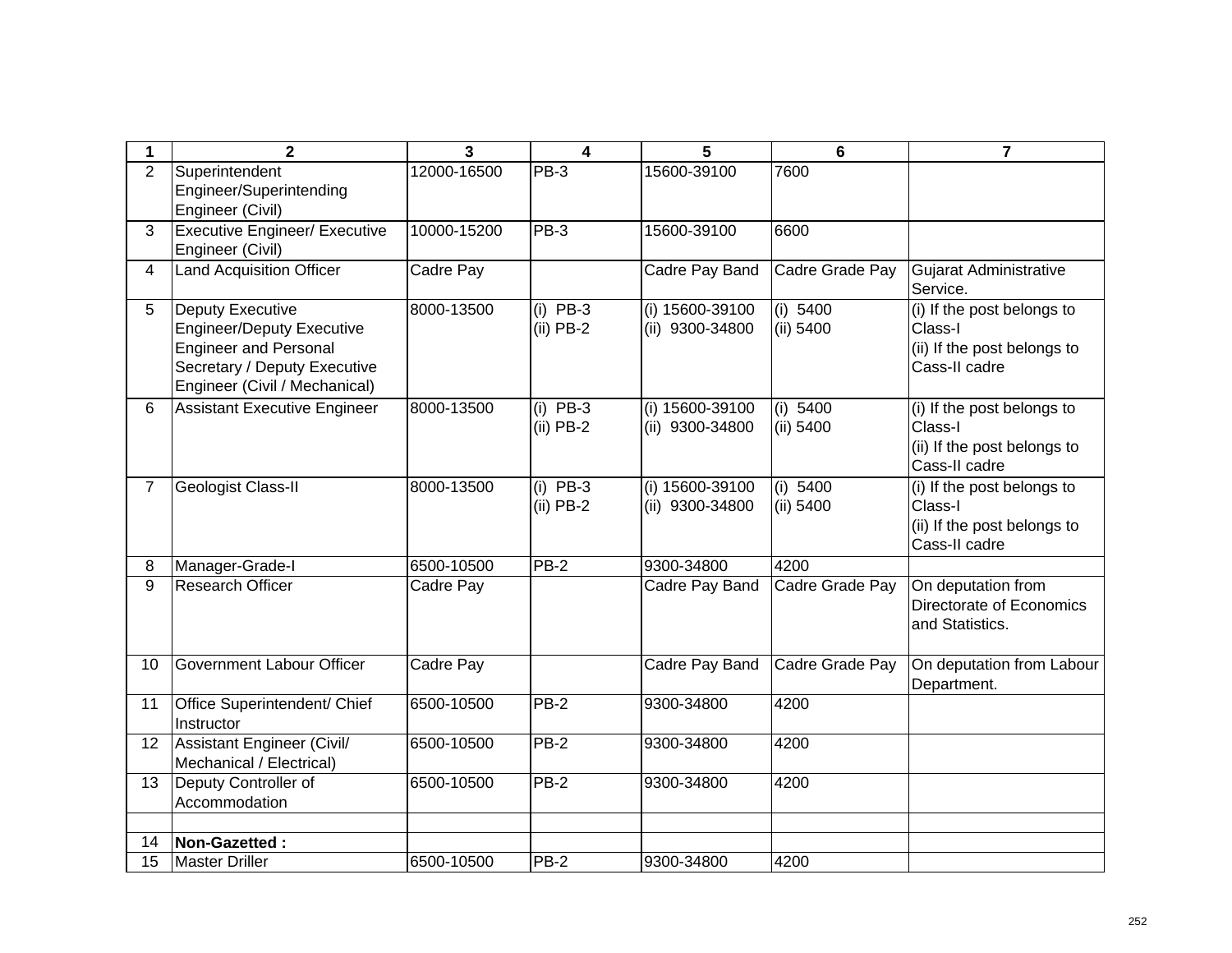| 1  | $\overline{2}$                                                                                                                                               | $\overline{3}$ | 4                         | 5                                    | $6\phantom{1}6$       | $\overline{7}$                                                                        |
|----|--------------------------------------------------------------------------------------------------------------------------------------------------------------|----------------|---------------------------|--------------------------------------|-----------------------|---------------------------------------------------------------------------------------|
| 2  | Superintendent<br>Engineer/Superintending<br>Engineer (Civil)                                                                                                | 12000-16500    | $PB-3$                    | 15600-39100                          | 7600                  |                                                                                       |
| 3  | <b>Executive Engineer/ Executive</b><br>Engineer (Civil)                                                                                                     | 10000-15200    | $PB-3$                    | 15600-39100                          | 6600                  |                                                                                       |
| 4  | <b>Land Acquisition Officer</b>                                                                                                                              | Cadre Pay      |                           | Cadre Pay Band                       | Cadre Grade Pay       | Gujarat Administrative<br>Service.                                                    |
| 5  | <b>Deputy Executive</b><br><b>Engineer/Deputy Executive</b><br><b>Engineer and Personal</b><br>Secretary / Deputy Executive<br>Engineer (Civil / Mechanical) | 8000-13500     | $(i)$ PB-3<br>$(ii)$ PB-2 | (i) 15600-39100<br>(ii) 9300-34800   | (i) 5400<br>(ii) 5400 | (i) If the post belongs to<br>Class-I<br>(ii) If the post belongs to<br>Cass-II cadre |
| 6  | <b>Assistant Executive Engineer</b>                                                                                                                          | 8000-13500     | $(i)$ PB-3<br>$(ii)$ PB-2 | $(i)$ 15600-39100<br>(ii) 9300-34800 | (i) 5400<br>(ii) 5400 | (i) If the post belongs to<br>Class-I<br>(ii) If the post belongs to<br>Cass-II cadre |
| 7  | Geologist Class-II                                                                                                                                           | 8000-13500     | $(i)$ PB-3<br>$(ii)$ PB-2 | (i) 15600-39100<br>(ii) 9300-34800   | (i) 5400<br>(ii) 5400 | (i) If the post belongs to<br>Class-I<br>(ii) If the post belongs to<br>Cass-II cadre |
| 8  | Manager-Grade-I                                                                                                                                              | 6500-10500     | <b>PB-2</b>               | 9300-34800                           | 4200                  |                                                                                       |
| 9  | <b>Research Officer</b>                                                                                                                                      | Cadre Pay      |                           | Cadre Pay Band                       | Cadre Grade Pay       | On deputation from<br>Directorate of Economics<br>and Statistics.                     |
| 10 | Government Labour Officer                                                                                                                                    | Cadre Pay      |                           | Cadre Pay Band                       | Cadre Grade Pay       | On deputation from Labour<br>Department.                                              |
| 11 | Office Superintendent/ Chief<br>Instructor                                                                                                                   | 6500-10500     | $PB-2$                    | 9300-34800                           | 4200                  |                                                                                       |
| 12 | Assistant Engineer (Civil/<br>Mechanical / Electrical)                                                                                                       | 6500-10500     | $PB-2$                    | 9300-34800                           | 4200                  |                                                                                       |
| 13 | Deputy Controller of<br>Accommodation                                                                                                                        | 6500-10500     | $PB-2$                    | 9300-34800                           | 4200                  |                                                                                       |
| 14 | Non-Gazetted:                                                                                                                                                |                |                           |                                      |                       |                                                                                       |
| 15 | <b>Master Driller</b>                                                                                                                                        | 6500-10500     | <b>PB-2</b>               | 9300-34800                           | 4200                  |                                                                                       |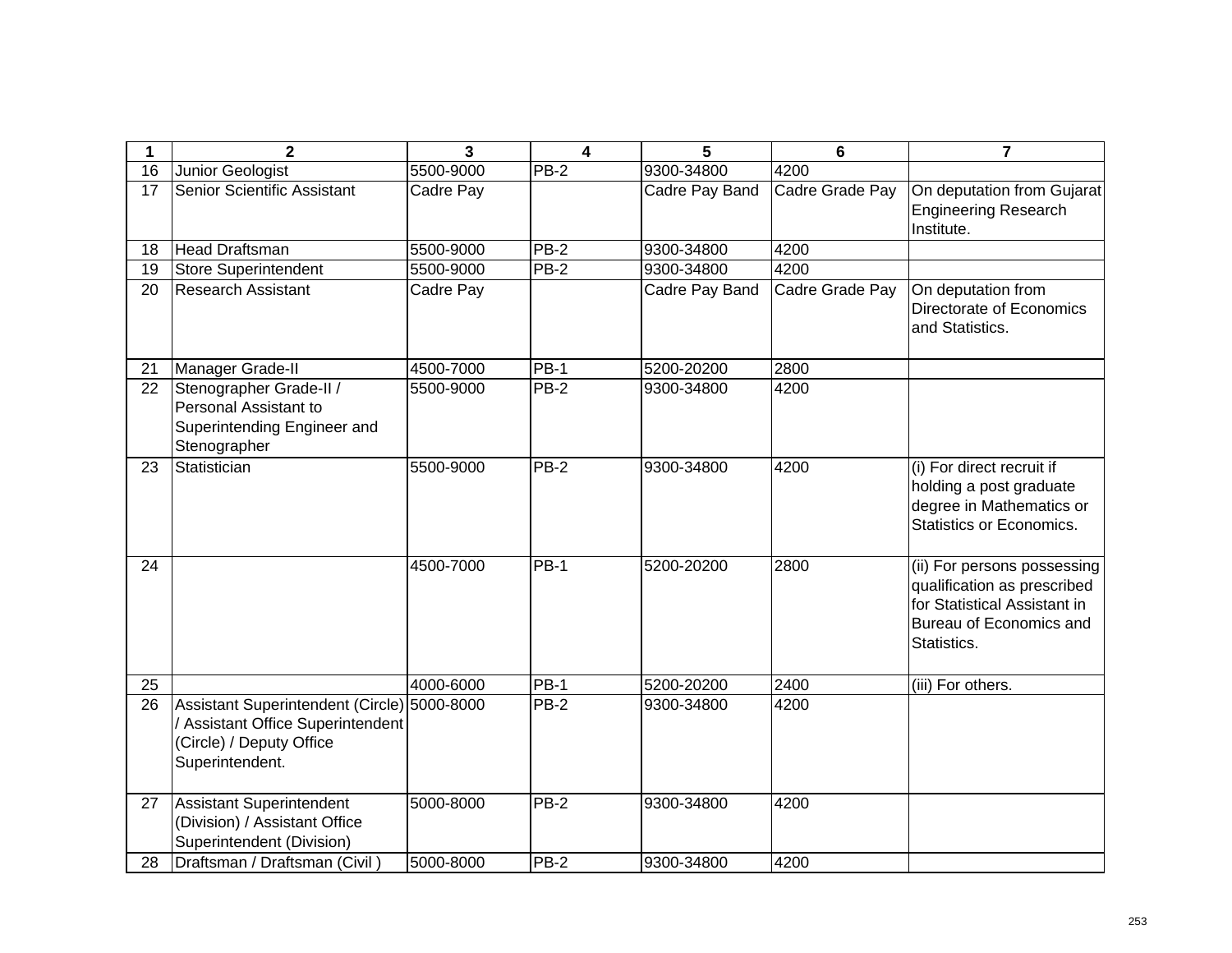| 1  | $\overline{2}$                                                                                                                  | $\overline{3}$ | 4                 | 5              | $6\phantom{1}$  | $\overline{7}$                                                                                                                       |
|----|---------------------------------------------------------------------------------------------------------------------------------|----------------|-------------------|----------------|-----------------|--------------------------------------------------------------------------------------------------------------------------------------|
| 16 | Junior Geologist                                                                                                                | 5500-9000      | $PB-2$            | 9300-34800     | 4200            |                                                                                                                                      |
| 17 | Senior Scientific Assistant                                                                                                     | Cadre Pay      |                   | Cadre Pay Band | Cadre Grade Pay | On deputation from Gujarat<br><b>Engineering Research</b><br>Institute.                                                              |
| 18 | <b>Head Draftsman</b>                                                                                                           | 5500-9000      | $PB-2$            | 9300-34800     | 4200            |                                                                                                                                      |
| 19 | <b>Store Superintendent</b>                                                                                                     | 5500-9000      | <b>PB-2</b>       | 9300-34800     | 4200            |                                                                                                                                      |
| 20 | <b>Research Assistant</b>                                                                                                       | Cadre Pay      |                   | Cadre Pay Band | Cadre Grade Pay | On deputation from<br>Directorate of Economics<br>and Statistics.                                                                    |
| 21 | Manager Grade-II                                                                                                                | 4500-7000      | <b>PB-1</b>       | 5200-20200     | 2800            |                                                                                                                                      |
| 22 | Stenographer Grade-II /<br>Personal Assistant to<br>Superintending Engineer and<br>Stenographer                                 | 5500-9000      | $PB-2$            | 9300-34800     | 4200            |                                                                                                                                      |
| 23 | Statistician                                                                                                                    | 5500-9000      | $PB-2$            | 9300-34800     | 4200            | (i) For direct recruit if<br>holding a post graduate<br>degree in Mathematics or<br>Statistics or Economics.                         |
| 24 |                                                                                                                                 | 4500-7000      | $\overline{PB}-1$ | 5200-20200     | 2800            | (ii) For persons possessing<br>qualification as prescribed<br>for Statistical Assistant in<br>Bureau of Economics and<br>Statistics. |
| 25 |                                                                                                                                 | 4000-6000      | <b>PB-1</b>       | 5200-20200     | 2400            | (iii) For others.                                                                                                                    |
| 26 | Assistant Superintendent (Circle) 5000-8000<br>/ Assistant Office Superintendent<br>(Circle) / Deputy Office<br>Superintendent. |                | $PB-2$            | 9300-34800     | 4200            |                                                                                                                                      |
| 27 | Assistant Superintendent<br>(Division) / Assistant Office<br>Superintendent (Division)                                          | 5000-8000      | <b>PB-2</b>       | 9300-34800     | 4200            |                                                                                                                                      |
| 28 | Draftsman / Draftsman (Civil)                                                                                                   | 5000-8000      | $PB-2$            | 9300-34800     | 4200            |                                                                                                                                      |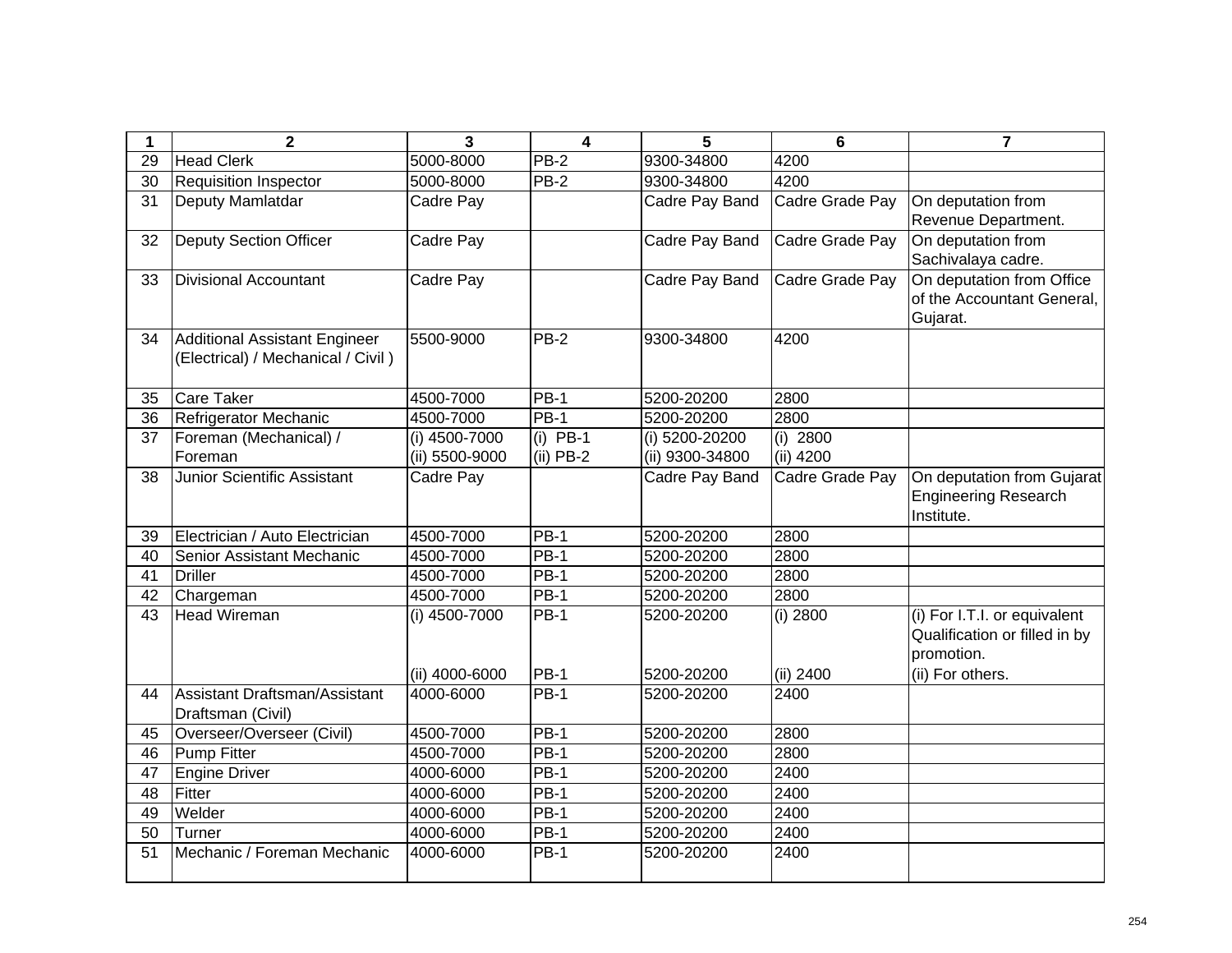| 1               | $\mathbf 2$                                                                | $\overline{\mathbf{3}}$ | $\overline{\mathbf{4}}$ | 5               | 6               | $\overline{7}$                                                              |
|-----------------|----------------------------------------------------------------------------|-------------------------|-------------------------|-----------------|-----------------|-----------------------------------------------------------------------------|
| 29              | <b>Head Clerk</b>                                                          | 5000-8000               | PB-2                    | 9300-34800      | 4200            |                                                                             |
| 30              | <b>Requisition Inspector</b>                                               | 5000-8000               | $PB-2$                  | 9300-34800      | 4200            |                                                                             |
| 31              | Deputy Mamlatdar                                                           | Cadre Pay               |                         | Cadre Pay Band  | Cadre Grade Pay | On deputation from<br>Revenue Department.                                   |
| 32              | <b>Deputy Section Officer</b>                                              | Cadre Pay               |                         | Cadre Pay Band  | Cadre Grade Pay | On deputation from<br>Sachivalaya cadre.                                    |
| 33              | <b>Divisional Accountant</b>                                               | Cadre Pay               |                         | Cadre Pay Band  | Cadre Grade Pay | On deputation from Office<br>of the Accountant General,<br>Gujarat.         |
| 34              | <b>Additional Assistant Engineer</b><br>(Electrical) / Mechanical / Civil) | 5500-9000               | $PB-2$                  | 9300-34800      | 4200            |                                                                             |
| 35              | <b>Care Taker</b>                                                          | 4500-7000               | $PB-1$                  | 5200-20200      | 2800            |                                                                             |
| $\overline{36}$ | Refrigerator Mechanic                                                      | 4500-7000               | $PB-1$                  | 5200-20200      | 2800            |                                                                             |
| 37              | Foreman (Mechanical) /                                                     | (i) 4500-7000           | $(i)$ PB-1              | (i) 5200-20200  | $(i)$ 2800      |                                                                             |
|                 | Foreman                                                                    | (ii) 5500-9000          | $(ii)$ PB-2             | (ii) 9300-34800 | (ii) 4200       |                                                                             |
| 38              | Junior Scientific Assistant                                                | Cadre Pay               |                         | Cadre Pay Band  | Cadre Grade Pay | On deputation from Gujarat<br><b>Engineering Research</b><br>Institute.     |
| 39              | Electrician / Auto Electrician                                             | 4500-7000               | <b>PB-1</b>             | 5200-20200      | 2800            |                                                                             |
| 40              | Senior Assistant Mechanic                                                  | 4500-7000               | $PB-1$                  | 5200-20200      | 2800            |                                                                             |
| 41              | <b>Driller</b>                                                             | 4500-7000               | <b>PB-1</b>             | 5200-20200      | 2800            |                                                                             |
| 42              | Chargeman                                                                  | 4500-7000               | $PB-1$                  | 5200-20200      | 2800            |                                                                             |
| 43              | <b>Head Wireman</b>                                                        | (i) 4500-7000           | <b>PB-1</b>             | 5200-20200      | (i) 2800        | (i) For I.T.I. or equivalent<br>Qualification or filled in by<br>promotion. |
|                 |                                                                            | (ii) 4000-6000          | <b>PB-1</b>             | 5200-20200      | (ii) 2400       | (ii) For others.                                                            |
| 44              | Assistant Draftsman/Assistant<br>Draftsman (Civil)                         | 4000-6000               | $PB-1$                  | 5200-20200      | 2400            |                                                                             |
| 45              | Overseer/Overseer (Civil)                                                  | 4500-7000               | <b>PB-1</b>             | 5200-20200      | 2800            |                                                                             |
| 46              | <b>Pump Fitter</b>                                                         | 4500-7000               | <b>PB-1</b>             | 5200-20200      | 2800            |                                                                             |
| 47              | <b>Engine Driver</b>                                                       | 4000-6000               | $PB-1$                  | 5200-20200      | 2400            |                                                                             |
| 48              | Fitter                                                                     | 4000-6000               | <b>PB-1</b>             | 5200-20200      | 2400            |                                                                             |
| 49              | Welder                                                                     | 4000-6000               | <b>PB-1</b>             | 5200-20200      | 2400            |                                                                             |
| 50              | Turner                                                                     | 4000-6000               | $PB-1$                  | 5200-20200      | 2400            |                                                                             |
| 51              | Mechanic / Foreman Mechanic                                                | 4000-6000               | <b>PB-1</b>             | 5200-20200      | 2400            |                                                                             |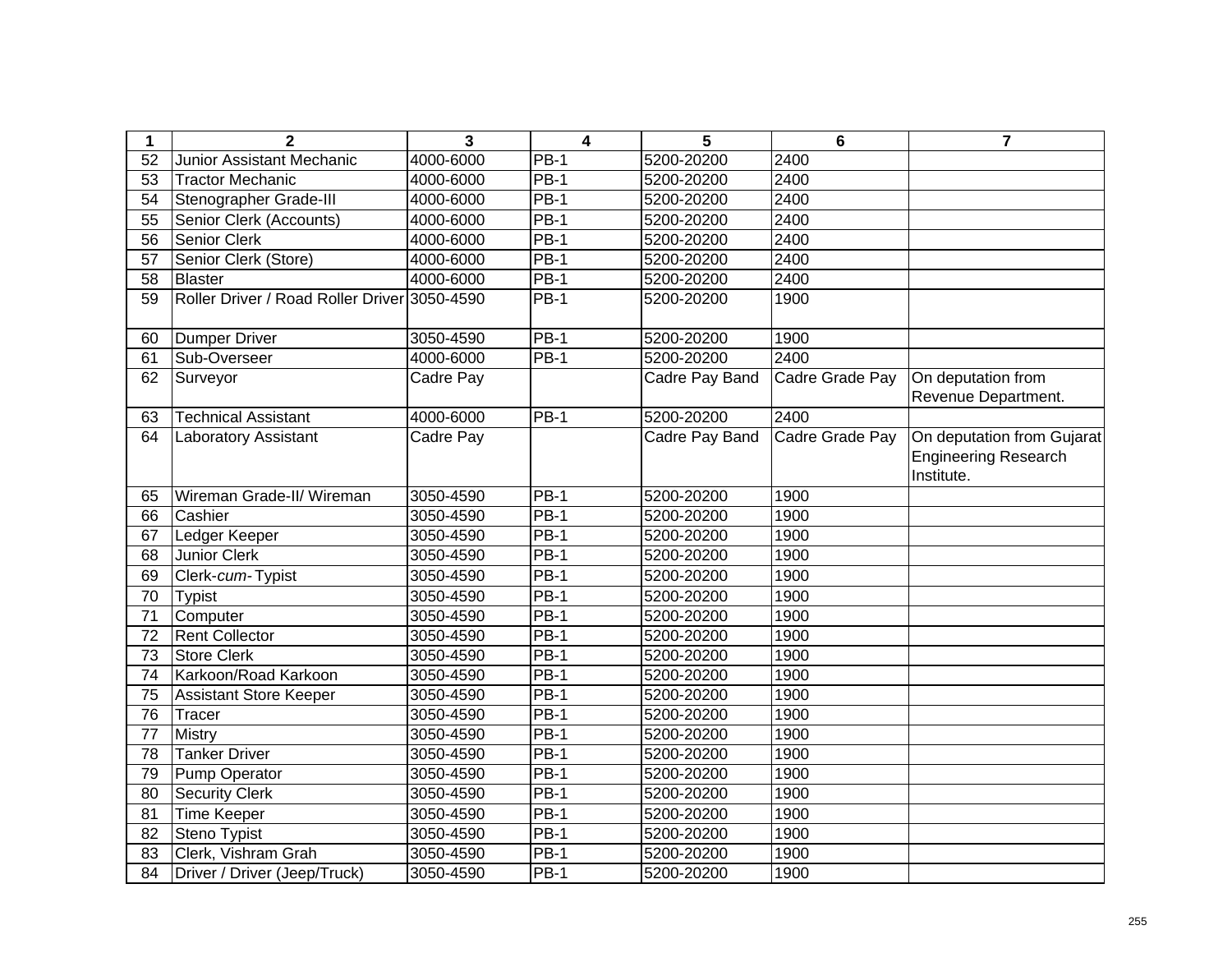| 1               | $\mathbf{2}$                                 | $\mathbf{3}$ | 4           | 5              | 6               | $\overline{7}$              |
|-----------------|----------------------------------------------|--------------|-------------|----------------|-----------------|-----------------------------|
| 52              | Junior Assistant Mechanic                    | 4000-6000    | <b>PB-1</b> | 5200-20200     | 2400            |                             |
| 53              | <b>Tractor Mechanic</b>                      | 4000-6000    | <b>PB-1</b> | 5200-20200     | 2400            |                             |
| 54              | Stenographer Grade-III                       | 4000-6000    | <b>PB-1</b> | 5200-20200     | 2400            |                             |
| 55              | Senior Clerk (Accounts)                      | 4000-6000    | <b>PB-1</b> | 5200-20200     | 2400            |                             |
| 56              | <b>Senior Clerk</b>                          | 4000-6000    | $PB-1$      | 5200-20200     | 2400            |                             |
| 57              | Senior Clerk (Store)                         | 4000-6000    | $PB-1$      | 5200-20200     | 2400            |                             |
| 58              | Blaster                                      | 4000-6000    | $PB-1$      | 5200-20200     | 2400            |                             |
| 59              | Roller Driver / Road Roller Driver 3050-4590 |              | $PB-1$      | 5200-20200     | 1900            |                             |
| 60              | Dumper Driver                                | 3050-4590    | $PB-1$      | 5200-20200     | 1900            |                             |
| 61              | Sub-Overseer                                 | 4000-6000    | $PB-1$      | 5200-20200     | 2400            |                             |
| 62              | Surveyor                                     | Cadre Pay    |             | Cadre Pay Band | Cadre Grade Pay | On deputation from          |
|                 |                                              |              |             |                |                 | Revenue Department.         |
| 63              | <b>Technical Assistant</b>                   | 4000-6000    | <b>PB-1</b> | 5200-20200     | 2400            |                             |
| 64              | Laboratory Assistant                         | Cadre Pay    |             | Cadre Pay Band | Cadre Grade Pay | On deputation from Gujarat  |
|                 |                                              |              |             |                |                 | <b>Engineering Research</b> |
|                 |                                              |              |             |                |                 | Institute.                  |
| 65              | Wireman Grade-II/ Wireman                    | 3050-4590    | <b>PB-1</b> | 5200-20200     | 1900            |                             |
| 66              | Cashier                                      | 3050-4590    | <b>PB-1</b> | 5200-20200     | 1900            |                             |
| 67              | Ledger Keeper                                | 3050-4590    | <b>PB-1</b> | 5200-20200     | 1900            |                             |
| 68              | <b>Junior Clerk</b>                          | 3050-4590    | <b>PB-1</b> | 5200-20200     | 1900            |                             |
| 69              | Clerk-cum-Typist                             | 3050-4590    | <b>PB-1</b> | 5200-20200     | 1900            |                             |
| 70              | <b>Typist</b>                                | 3050-4590    | $PB-1$      | 5200-20200     | 1900            |                             |
| 71              | Computer                                     | 3050-4590    | $PB-1$      | 5200-20200     | 1900            |                             |
| 72              | <b>Rent Collector</b>                        | 3050-4590    | $PB-1$      | 5200-20200     | 1900            |                             |
| $\overline{73}$ | <b>Store Clerk</b>                           | 3050-4590    | $PB-1$      | 5200-20200     | 1900            |                             |
| 74              | Karkoon/Road Karkoon                         | 3050-4590    | $PB-1$      | 5200-20200     | 1900            |                             |
| 75              | <b>Assistant Store Keeper</b>                | 3050-4590    | <b>PB-1</b> | 5200-20200     | 1900            |                             |
| 76              | Tracer                                       | 3050-4590    | <b>PB-1</b> | 5200-20200     | 1900            |                             |
| 77              | Mistry                                       | 3050-4590    | $PB-1$      | 5200-20200     | 1900            |                             |
| 78              | <b>Tanker Driver</b>                         | 3050-4590    | $PB-1$      | 5200-20200     | 1900            |                             |
| 79              | Pump Operator                                | 3050-4590    | $PB-1$      | 5200-20200     | 1900            |                             |
| 80              | <b>Security Clerk</b>                        | 3050-4590    | <b>PB-1</b> | 5200-20200     | 1900            |                             |
| 81              | <b>Time Keeper</b>                           | 3050-4590    | $PB-1$      | 5200-20200     | 1900            |                             |
| 82              | Steno Typist                                 | 3050-4590    | $PB-1$      | 5200-20200     | 1900            |                             |
| 83              | Clerk, Vishram Grah                          | 3050-4590    | <b>PB-1</b> | 5200-20200     | 1900            |                             |
| 84              | Driver / Driver (Jeep/Truck)                 | 3050-4590    | <b>PB-1</b> | 5200-20200     | 1900            |                             |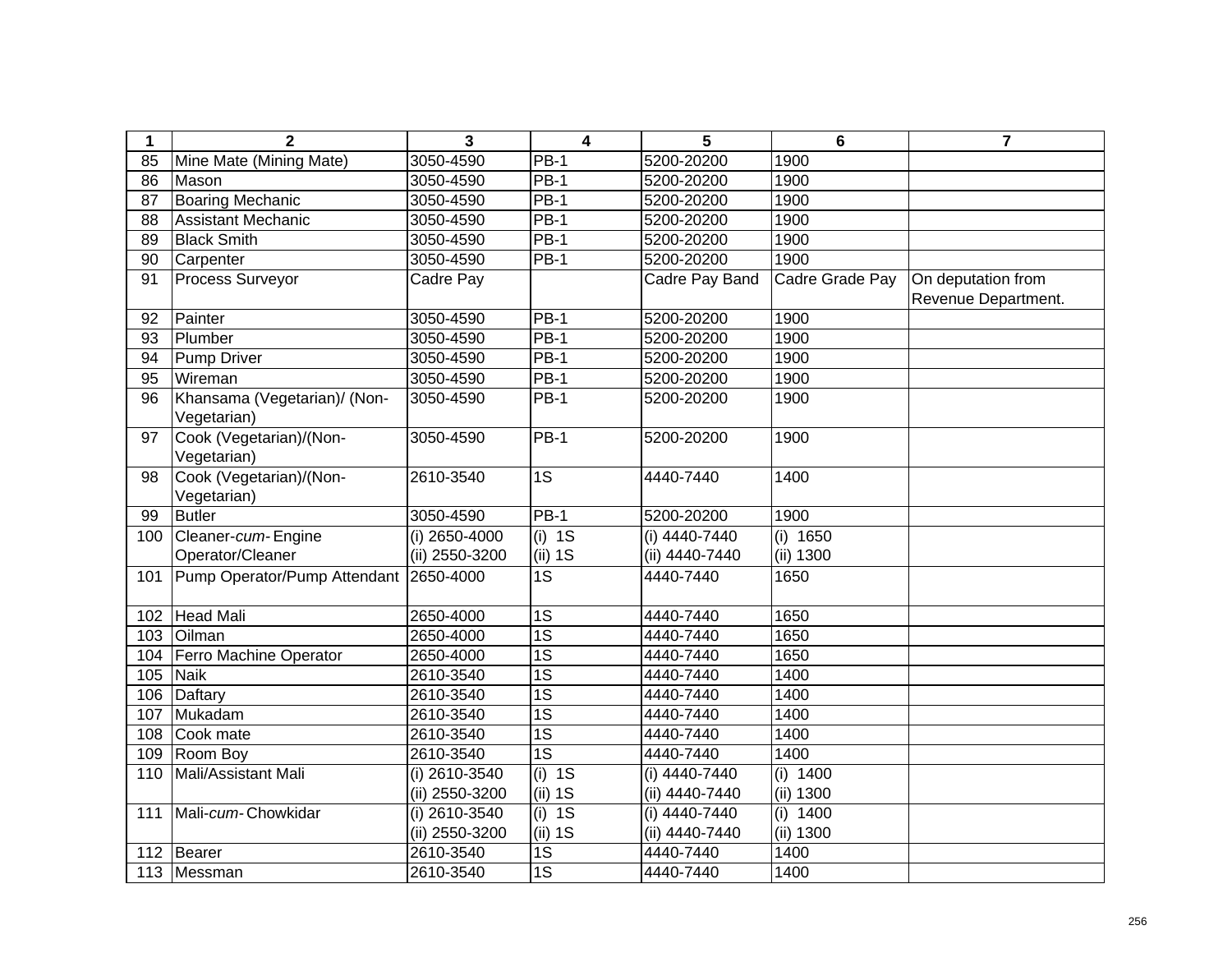| 1   | $\mathbf{2}$                                | 3               | $\overline{\mathbf{4}}$ | 5               | 6               | $\overline{\mathbf{r}}$ |
|-----|---------------------------------------------|-----------------|-------------------------|-----------------|-----------------|-------------------------|
| 85  | Mine Mate (Mining Mate)                     | 3050-4590       | $PB-1$                  | 5200-20200      | 1900            |                         |
| 86  | Mason                                       | 3050-4590       | <b>PB-1</b>             | 5200-20200      | 1900            |                         |
| 87  | <b>Boaring Mechanic</b>                     | 3050-4590       | $PB-1$                  | 5200-20200      | 1900            |                         |
| 88  | <b>Assistant Mechanic</b>                   | 3050-4590       | $PB-1$                  | 5200-20200      | 1900            |                         |
| 89  | <b>Black Smith</b>                          | 3050-4590       | $PB-1$                  | 5200-20200      | 1900            |                         |
| 90  | Carpenter                                   | 3050-4590       | $PB-1$                  | 5200-20200      | 1900            |                         |
| 91  | Process Surveyor                            | Cadre Pay       |                         | Cadre Pay Band  | Cadre Grade Pay | On deputation from      |
|     |                                             |                 |                         |                 |                 | Revenue Department.     |
| 92  | Painter                                     | 3050-4590       | $PB-1$                  | 5200-20200      | 1900            |                         |
| 93  | Plumber                                     | 3050-4590       | <b>PB-1</b>             | 5200-20200      | 1900            |                         |
| 94  | <b>Pump Driver</b>                          | 3050-4590       | <b>PB-1</b>             | 5200-20200      | 1900            |                         |
| 95  | Wireman                                     | 3050-4590       | <b>PB-1</b>             | 5200-20200      | 1900            |                         |
| 96  | Khansama (Vegetarian)/ (Non-<br>Vegetarian) | 3050-4590       | <b>PB-1</b>             | 5200-20200      | 1900            |                         |
| 97  | Cook (Vegetarian)/(Non-<br>Vegetarian)      | 3050-4590       | <b>PB-1</b>             | 5200-20200      | 1900            |                         |
| 98  | Cook (Vegetarian)/(Non-<br>Vegetarian)      | 2610-3540       | $\overline{1S}$         | 4440-7440       | 1400            |                         |
| 99  | <b>Butler</b>                               | 3050-4590       | $PB-1$                  | 5200-20200      | 1900            |                         |
| 100 | Cleaner-cum-Engine                          | (i) 2650-4000   | $(i)$ 1S                | (i) 4440-7440   | (i) $1650$      |                         |
|     | Operator/Cleaner                            | (ii) 2550-3200  | (ii) 1S                 | (ii) 4440-7440  | (ii) 1300       |                         |
| 101 | Pump Operator/Pump Attendant                | 2650-4000       | $\overline{1S}$         | 4440-7440       | 1650            |                         |
| 102 | Head Mali                                   | 2650-4000       | 1S                      | 4440-7440       | 1650            |                         |
| 103 | Oilman                                      | 2650-4000       | 1S                      | 4440-7440       | 1650            |                         |
| 104 | Ferro Machine Operator                      | 2650-4000       | $\overline{1S}$         | 4440-7440       | 1650            |                         |
| 105 | <b>Naik</b>                                 | 2610-3540       | $\overline{1S}$         | 4440-7440       | 1400            |                         |
| 106 | Daftary                                     | 2610-3540       | $\overline{1S}$         | 4440-7440       | 1400            |                         |
| 107 | Mukadam                                     | 2610-3540       | $\overline{1S}$         | 4440-7440       | 1400            |                         |
| 108 | Cook mate                                   | 2610-3540       | $\overline{1S}$         | 4440-7440       | 1400            |                         |
| 109 | Room Boy                                    | 2610-3540       | $\overline{1S}$         | 4440-7440       | 1400            |                         |
| 110 | Mali/Assistant Mali                         | (i) 2610-3540   | $(i)$ 1S                | $(i)$ 4440-7440 | (i) $1400$      |                         |
|     |                                             | (ii) 2550-3200  | (ii) 1S                 | (ii) 4440-7440  | (ii) 1300       |                         |
| 111 | Mali-cum-Chowkidar                          | $(i)$ 2610-3540 | $(i)$ 1S                | $(i)$ 4440-7440 | (i) 1400        |                         |
|     |                                             | (ii) 2550-3200  | (ii) 1S                 | (ii) 4440-7440  | (ii) 1300       |                         |
| 112 | Bearer                                      | 2610-3540       | 1S                      | 4440-7440       | 1400            |                         |
|     | 113 Messman                                 | 2610-3540       | $\overline{1S}$         | 4440-7440       | 1400            |                         |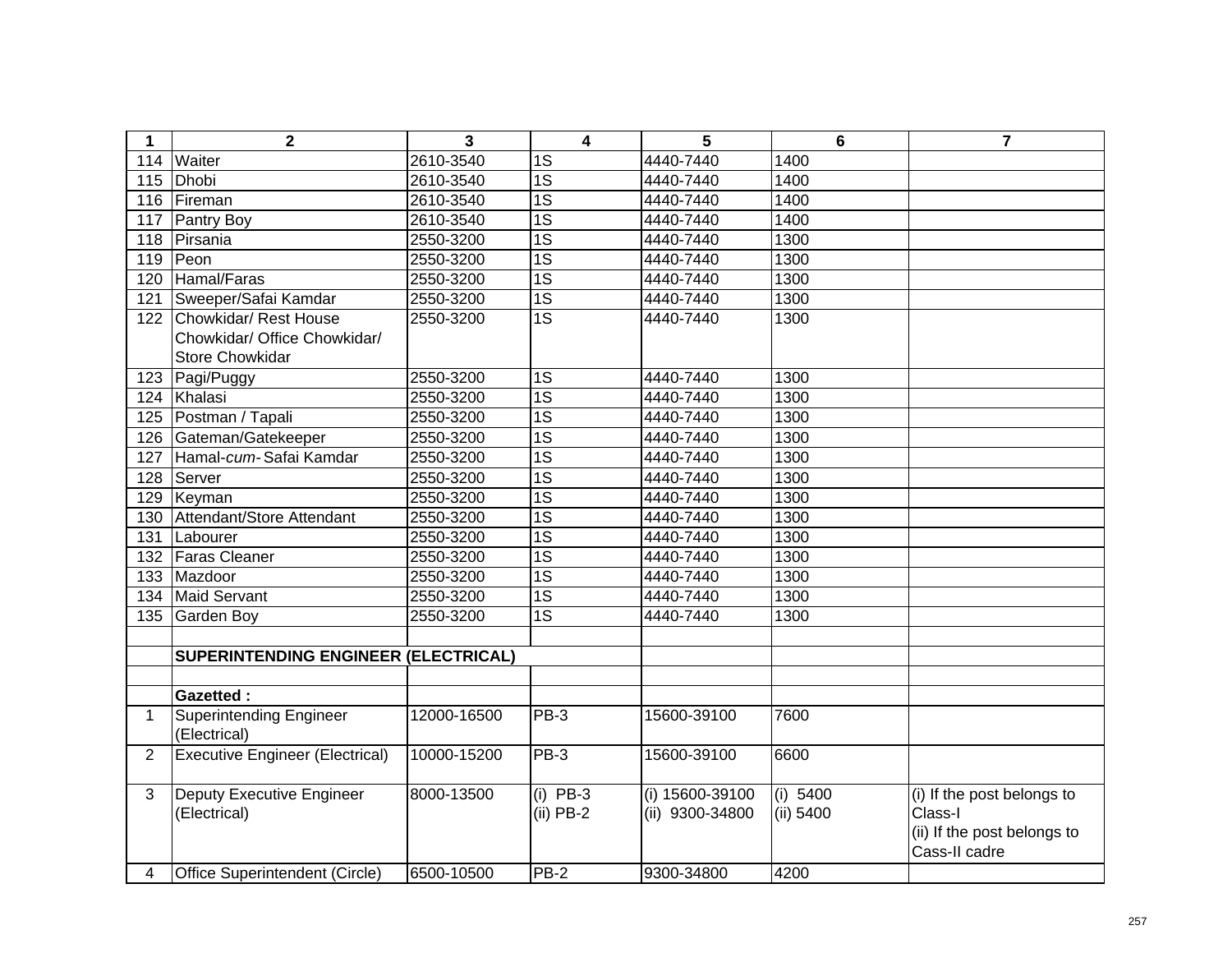| $\mathbf 1$    | $\mathbf 2$                                                                     | 3           | 4                         | 5                                  | $6\phantom{1}6$       | $\overline{7}$                                                                        |
|----------------|---------------------------------------------------------------------------------|-------------|---------------------------|------------------------------------|-----------------------|---------------------------------------------------------------------------------------|
| 114            | Waiter                                                                          | 2610-3540   | $\overline{1S}$           | 4440-7440                          | 1400                  |                                                                                       |
| 115            | Dhobi                                                                           | 2610-3540   | $\overline{1S}$           | 4440-7440                          | 1400                  |                                                                                       |
| 116            | Fireman                                                                         | 2610-3540   | $\overline{1S}$           | 4440-7440                          | 1400                  |                                                                                       |
| 117            | Pantry Boy                                                                      | 2610-3540   | $\overline{1S}$           | 4440-7440                          | 1400                  |                                                                                       |
| 118            | Pirsania                                                                        | 2550-3200   | $\overline{1S}$           | 4440-7440                          | 1300                  |                                                                                       |
| 119            | Peon                                                                            | 2550-3200   | $\overline{1S}$           | 4440-7440                          | 1300                  |                                                                                       |
| 120            | Hamal/Faras                                                                     | 2550-3200   | $\overline{1S}$           | 4440-7440                          | 1300                  |                                                                                       |
| 121            | Sweeper/Safai Kamdar                                                            | 2550-3200   | 1S                        | 4440-7440                          | 1300                  |                                                                                       |
| 122            | Chowkidar/ Rest House<br>Chowkidar/ Office Chowkidar/<br><b>Store Chowkidar</b> | 2550-3200   | $\overline{1S}$           | 4440-7440                          | 1300                  |                                                                                       |
| 123            | Pagi/Puggy                                                                      | 2550-3200   | 1S                        | 4440-7440                          | 1300                  |                                                                                       |
| 124            | Khalasi                                                                         | 2550-3200   | $\overline{1S}$           | 4440-7440                          | 1300                  |                                                                                       |
| 125            | Postman / Tapali                                                                | 2550-3200   | $\overline{1S}$           | 4440-7440                          | 1300                  |                                                                                       |
| 126            | Gateman/Gatekeeper                                                              | 2550-3200   | 1S                        | 4440-7440                          | 1300                  |                                                                                       |
| 127            | Hamal-cum-Safai Kamdar                                                          | 2550-3200   | $\overline{1S}$           | 4440-7440                          | 1300                  |                                                                                       |
| 128            | Server                                                                          | 2550-3200   | $\overline{1S}$           | 4440-7440                          | 1300                  |                                                                                       |
| 129            | Keyman                                                                          | 2550-3200   | $\overline{1S}$           | 4440-7440                          | 1300                  |                                                                                       |
| 130            | Attendant/Store Attendant                                                       | 2550-3200   | $\overline{1S}$           | 4440-7440                          | 1300                  |                                                                                       |
| 131            | Labourer                                                                        | 2550-3200   | $\overline{1S}$           | 4440-7440                          | 1300                  |                                                                                       |
| 132            | Faras Cleaner                                                                   | 2550-3200   | 1S                        | 4440-7440                          | 1300                  |                                                                                       |
| 133            | Mazdoor                                                                         | 2550-3200   | $\overline{1S}$           | 4440-7440                          | 1300                  |                                                                                       |
| 134            | <b>Maid Servant</b>                                                             | 2550-3200   | $\overline{1S}$           | 4440-7440                          | 1300                  |                                                                                       |
| 135            | <b>Garden Boy</b>                                                               | 2550-3200   | $\overline{1S}$           | 4440-7440                          | 1300                  |                                                                                       |
|                |                                                                                 |             |                           |                                    |                       |                                                                                       |
|                | SUPERINTENDING ENGINEER (ELECTRICAL)                                            |             |                           |                                    |                       |                                                                                       |
|                |                                                                                 |             |                           |                                    |                       |                                                                                       |
|                | <b>Gazetted:</b>                                                                |             |                           |                                    |                       |                                                                                       |
| 1              | <b>Superintending Engineer</b><br>(Electrical)                                  | 12000-16500 | PB-3                      | 15600-39100                        | 7600                  |                                                                                       |
| $\overline{2}$ | <b>Executive Engineer (Electrical)</b>                                          | 10000-15200 | $PB-3$                    | 15600-39100                        | 6600                  |                                                                                       |
| 3              | <b>Deputy Executive Engineer</b><br>(Electrical)                                | 8000-13500  | $(i)$ PB-3<br>$(ii)$ PB-2 | (i) 15600-39100<br>(ii) 9300-34800 | (i) 5400<br>(ii) 5400 | (i) If the post belongs to<br>Class-I<br>(ii) If the post belongs to<br>Cass-II cadre |
| 4              | Office Superintendent (Circle)                                                  | 6500-10500  | <b>PB-2</b>               | 9300-34800                         | 4200                  |                                                                                       |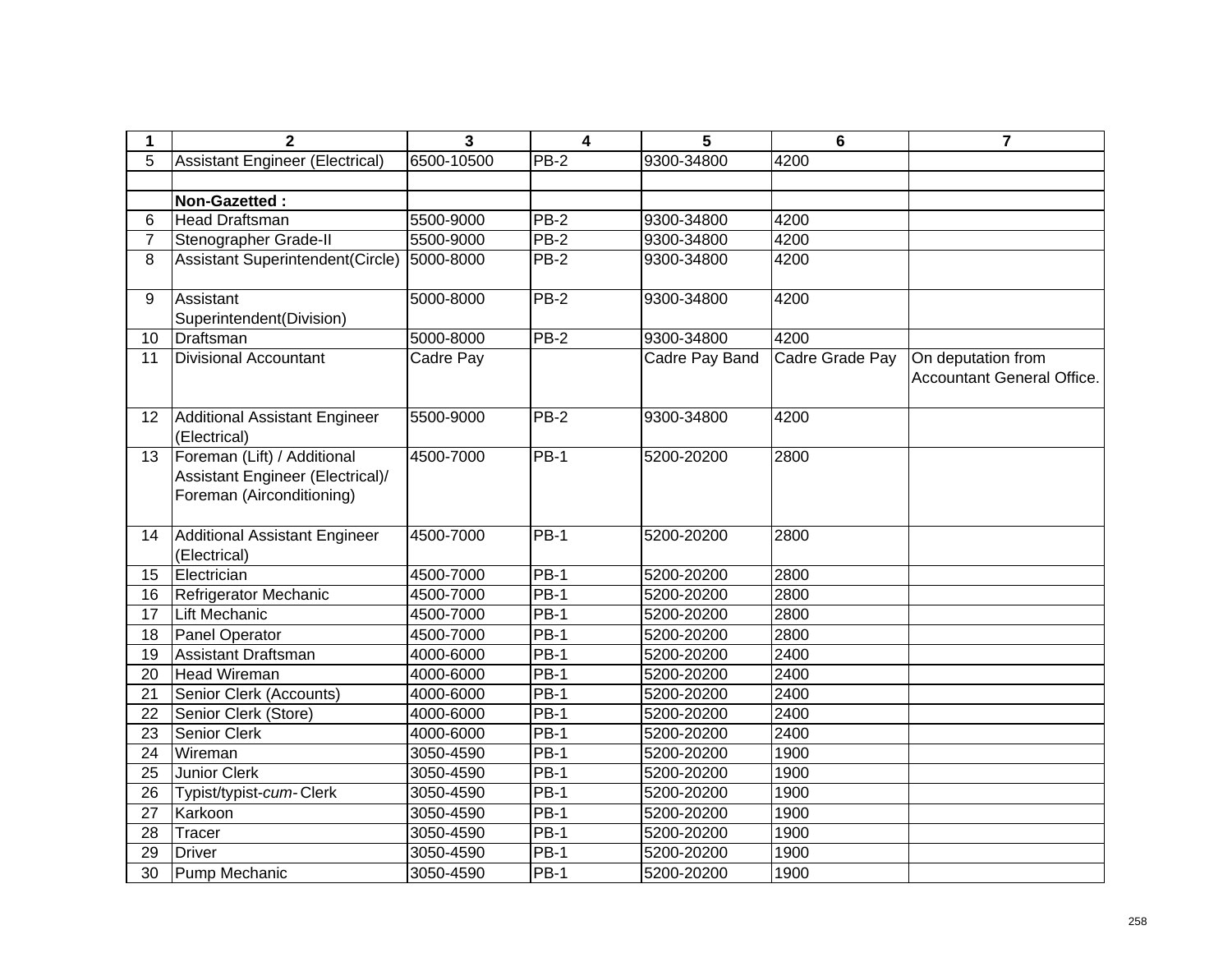| $\mathbf 1$    | $\mathbf{2}$                                                                                 | 3          | $\overline{\mathbf{4}}$ | 5              | 6               | 7                                                |
|----------------|----------------------------------------------------------------------------------------------|------------|-------------------------|----------------|-----------------|--------------------------------------------------|
| 5              | <b>Assistant Engineer (Electrical)</b>                                                       | 6500-10500 | <b>PB-2</b>             | 9300-34800     | 4200            |                                                  |
|                |                                                                                              |            |                         |                |                 |                                                  |
|                | Non-Gazetted:                                                                                |            |                         |                |                 |                                                  |
| 6              | Head Draftsman                                                                               | 5500-9000  | $PB-2$                  | 9300-34800     | 4200            |                                                  |
| $\overline{7}$ | Stenographer Grade-II                                                                        | 5500-9000  | $PB-2$                  | 9300-34800     | 4200            |                                                  |
| 8              | Assistant Superintendent(Circle)                                                             | 5000-8000  | <b>PB-2</b>             | 9300-34800     | 4200            |                                                  |
| 9              | Assistant<br>Superintendent(Division)                                                        | 5000-8000  | $PB-2$                  | 9300-34800     | 4200            |                                                  |
| 10             | Draftsman                                                                                    | 5000-8000  | $PB-2$                  | 9300-34800     | 4200            |                                                  |
| 11             | <b>Divisional Accountant</b>                                                                 | Cadre Pay  |                         | Cadre Pay Band | Cadre Grade Pay | On deputation from<br>Accountant General Office. |
| 12             | <b>Additional Assistant Engineer</b><br>(Electrical)                                         | 5500-9000  | $PB-2$                  | 9300-34800     | 4200            |                                                  |
| 13             | Foreman (Lift) / Additional<br>Assistant Engineer (Electrical)/<br>Foreman (Airconditioning) | 4500-7000  | $PB-1$                  | 5200-20200     | 2800            |                                                  |
| 14             | Additional Assistant Engineer<br>(Electrical)                                                | 4500-7000  | <b>PB-1</b>             | 5200-20200     | 2800            |                                                  |
| 15             | Electrician                                                                                  | 4500-7000  | <b>PB-1</b>             | 5200-20200     | 2800            |                                                  |
| 16             | Refrigerator Mechanic                                                                        | 4500-7000  | <b>PB-1</b>             | 5200-20200     | 2800            |                                                  |
| 17             | Lift Mechanic                                                                                | 4500-7000  | <b>PB-1</b>             | 5200-20200     | 2800            |                                                  |
| 18             | <b>Panel Operator</b>                                                                        | 4500-7000  | $PB-1$                  | 5200-20200     | 2800            |                                                  |
| 19             | Assistant Draftsman                                                                          | 4000-6000  | <b>PB-1</b>             | 5200-20200     | 2400            |                                                  |
| 20             | Head Wireman                                                                                 | 4000-6000  | <b>PB-1</b>             | 5200-20200     | 2400            |                                                  |
| 21             | Senior Clerk (Accounts)                                                                      | 4000-6000  | <b>PB-1</b>             | 5200-20200     | 2400            |                                                  |
| 22             | Senior Clerk (Store)                                                                         | 4000-6000  | $PB-1$                  | 5200-20200     | 2400            |                                                  |
| 23             | Senior Clerk                                                                                 | 4000-6000  | $PB-1$                  | 5200-20200     | 2400            |                                                  |
| 24             | Wireman                                                                                      | 3050-4590  | $PB-1$                  | 5200-20200     | 1900            |                                                  |
| 25             | Junior Clerk                                                                                 | 3050-4590  | $PB-1$                  | 5200-20200     | 1900            |                                                  |
| 26             | Typist/typist-cum-Clerk                                                                      | 3050-4590  | <b>PB-1</b>             | 5200-20200     | 1900            |                                                  |
| 27             | Karkoon                                                                                      | 3050-4590  | $PB-1$                  | 5200-20200     | 1900            |                                                  |
| 28             | Tracer                                                                                       | 3050-4590  | $PB-1$                  | 5200-20200     | 1900            |                                                  |
| 29             | <b>Driver</b>                                                                                | 3050-4590  | <b>PB-1</b>             | 5200-20200     | 1900            |                                                  |
| 30             | Pump Mechanic                                                                                | 3050-4590  | <b>PB-1</b>             | 5200-20200     | 1900            |                                                  |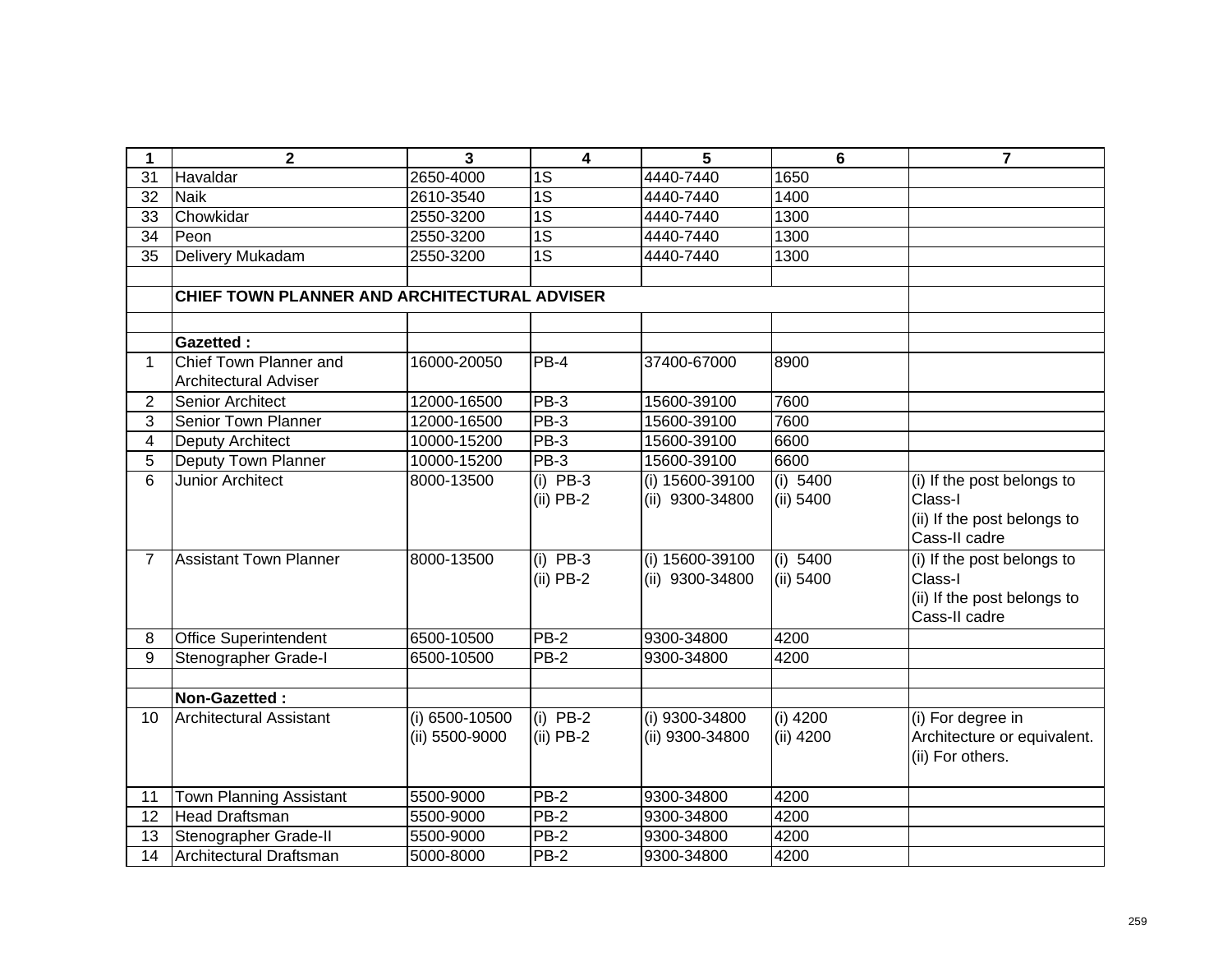| 1                       | $\overline{\mathbf{2}}$                      | 3                                | $\overline{\mathbf{4}}$   | 5                                  | $6\phantom{1}$          | $\overline{7}$                                                                        |
|-------------------------|----------------------------------------------|----------------------------------|---------------------------|------------------------------------|-------------------------|---------------------------------------------------------------------------------------|
| 31                      | Havaldar                                     | 2650-4000                        | 1S                        | 4440-7440                          | 1650                    |                                                                                       |
| 32                      | <b>Naik</b>                                  | 2610-3540                        | 1S                        | 4440-7440                          | 1400                    |                                                                                       |
| 33                      | Chowkidar                                    | 2550-3200                        | $\overline{1S}$           | 4440-7440                          | 1300                    |                                                                                       |
| 34                      | Peon                                         | 2550-3200                        | $\overline{1S}$           | 4440-7440                          | 1300                    |                                                                                       |
| 35                      | <b>Delivery Mukadam</b>                      | 2550-3200                        | $\overline{1S}$           | 4440-7440                          | 1300                    |                                                                                       |
|                         |                                              |                                  |                           |                                    |                         |                                                                                       |
|                         | CHIEF TOWN PLANNER AND ARCHITECTURAL ADVISER |                                  |                           |                                    |                         |                                                                                       |
|                         |                                              |                                  |                           |                                    |                         |                                                                                       |
|                         | <b>Gazetted:</b>                             |                                  |                           |                                    |                         |                                                                                       |
| 1                       | Chief Town Planner and                       | 16000-20050                      | PB-4                      | 37400-67000                        | 8900                    |                                                                                       |
|                         | <b>Architectural Adviser</b>                 |                                  |                           |                                    |                         |                                                                                       |
| $\overline{2}$          | <b>Senior Architect</b>                      | 12000-16500                      | $PB-3$                    | 15600-39100                        | 7600                    |                                                                                       |
| 3                       | Senior Town Planner                          | 12000-16500                      | $PB-3$                    | 15600-39100                        | 7600                    |                                                                                       |
| $\overline{\mathbf{4}}$ | <b>Deputy Architect</b>                      | 10000-15200                      | $PB-3$                    | 15600-39100                        | 6600                    |                                                                                       |
| 5                       | Deputy Town Planner                          | 10000-15200                      | PB-3                      | 15600-39100                        | 6600                    |                                                                                       |
| 6                       | <b>Junior Architect</b>                      | 8000-13500                       | $(i)$ PB-3<br>$(ii)$ PB-2 | (i) 15600-39100<br>(ii) 9300-34800 | (i) 5400<br>(ii) 5400   | (i) If the post belongs to<br>Class-I<br>(ii) If the post belongs to<br>Cass-II cadre |
| $\overline{7}$          | <b>Assistant Town Planner</b>                | 8000-13500                       | $(i)$ PB-3<br>$(ii)$ PB-2 | (i) 15600-39100<br>(ii) 9300-34800 | (i) 5400<br>(ii) 5400   | (i) If the post belongs to<br>Class-I<br>(ii) If the post belongs to<br>Cass-II cadre |
| 8                       | <b>Office Superintendent</b>                 | 6500-10500                       | $PB-2$                    | 9300-34800                         | 4200                    |                                                                                       |
| 9                       | Stenographer Grade-I                         | 6500-10500                       | $PB-2$                    | 9300-34800                         | 4200                    |                                                                                       |
|                         |                                              |                                  |                           |                                    |                         |                                                                                       |
|                         | Non-Gazetted:                                |                                  |                           |                                    |                         |                                                                                       |
| 10                      | <b>Architectural Assistant</b>               | (i) 6500-10500<br>(ii) 5500-9000 | $(i)$ PB-2<br>$(ii)$ PB-2 | (i) 9300-34800<br>(ii) 9300-34800  | $(i)$ 4200<br>(ii) 4200 | (i) For degree in<br>Architecture or equivalent.<br>(ii) For others.                  |
| 11                      | <b>Town Planning Assistant</b>               | 5500-9000                        | $PB-2$                    | 9300-34800                         | 4200                    |                                                                                       |
| $\overline{12}$         | <b>Head Draftsman</b>                        | 5500-9000                        | $PB-2$                    | 9300-34800                         | 4200                    |                                                                                       |
| 13                      | Stenographer Grade-II                        | 5500-9000                        | $PB-2$                    | 9300-34800                         | 4200                    |                                                                                       |
| $\overline{14}$         | <b>Architectural Draftsman</b>               | 5000-8000                        | $PB-2$                    | 9300-34800                         | 4200                    |                                                                                       |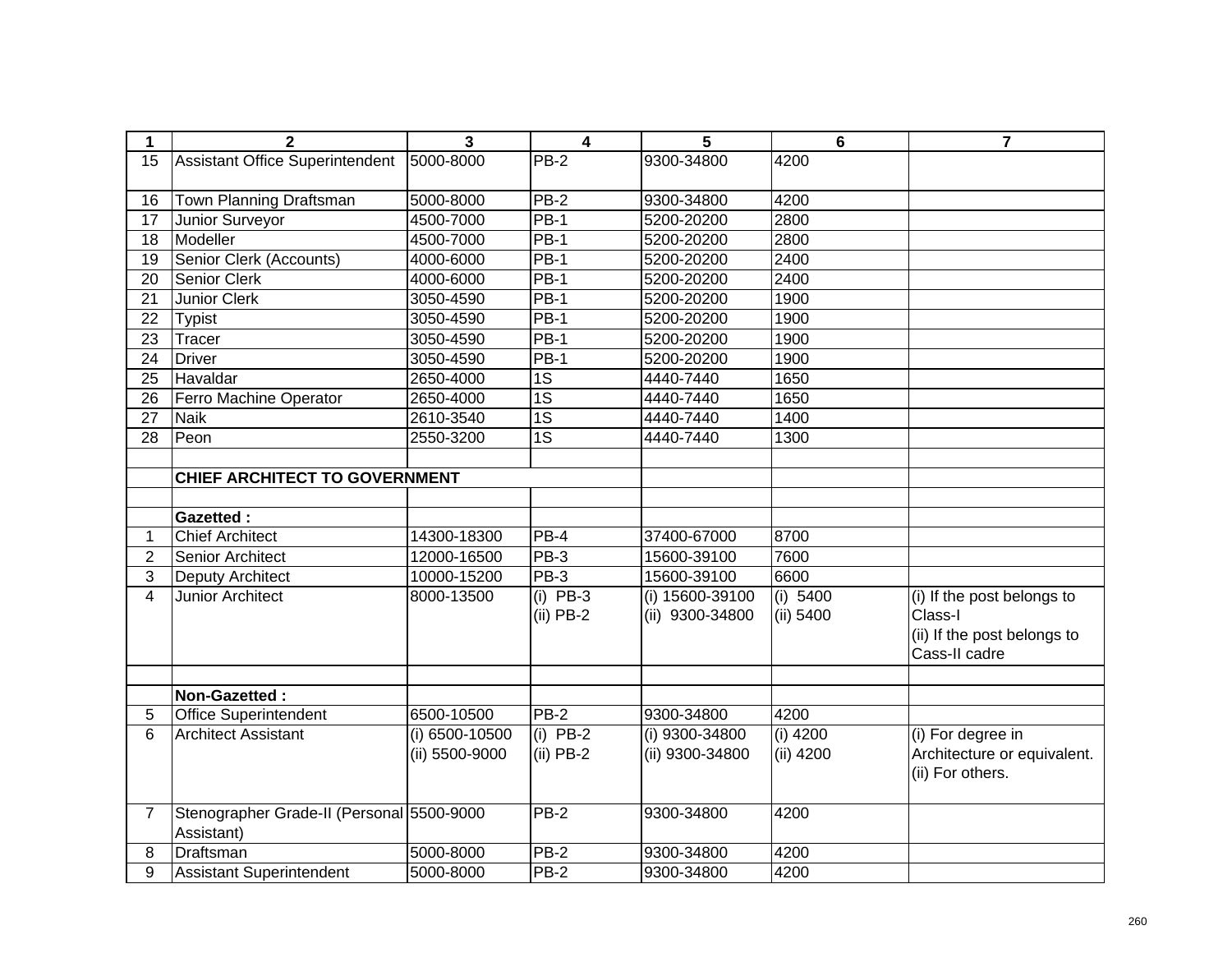| 1               | $\overline{\mathbf{2}}$                   | 3              | 4                   | 5               | $6\phantom{1}$ | $\overline{7}$              |
|-----------------|-------------------------------------------|----------------|---------------------|-----------------|----------------|-----------------------------|
| 15              | <b>Assistant Office Superintendent</b>    | 5000-8000      | <b>PB-2</b>         | 9300-34800      | 4200           |                             |
|                 |                                           |                |                     |                 |                |                             |
| 16              | Town Planning Draftsman                   | 5000-8000      | $PB-2$              | 9300-34800      | 4200           |                             |
| 17              | Junior Surveyor                           | 4500-7000      | $PB-1$              | 5200-20200      | 2800           |                             |
| $\overline{18}$ | Modeller                                  | 4500-7000      | $PB-1$              | 5200-20200      | 2800           |                             |
| 19              | Senior Clerk (Accounts)                   | 4000-6000      | <b>PB-1</b>         | 5200-20200      | 2400           |                             |
| 20              | <b>Senior Clerk</b>                       | 4000-6000      | <b>PB-1</b>         | 5200-20200      | 2400           |                             |
| 21              | Junior Clerk                              | 3050-4590      | <b>PB-1</b>         | 5200-20200      | 1900           |                             |
| 22              | <b>Typist</b>                             | 3050-4590      | $PB-1$              | 5200-20200      | 1900           |                             |
| 23              | Tracer                                    | 3050-4590      | $PB-1$              | 5200-20200      | 1900           |                             |
| 24              | <b>Driver</b>                             | 3050-4590      | <b>PB-1</b>         | 5200-20200      | 1900           |                             |
| 25              | Havaldar                                  | 2650-4000      | 1S                  | 4440-7440       | 1650           |                             |
| 26              | Ferro Machine Operator                    | 2650-4000      | 1S                  | 4440-7440       | 1650           |                             |
| 27              | <b>Naik</b>                               | 2610-3540      | 1S                  | 4440-7440       | 1400           |                             |
| 28              | Peon                                      | 2550-3200      | 1S                  | 4440-7440       | 1300           |                             |
|                 |                                           |                |                     |                 |                |                             |
|                 | <b>CHIEF ARCHITECT TO GOVERNMENT</b>      |                |                     |                 |                |                             |
|                 |                                           |                |                     |                 |                |                             |
|                 | <b>Gazetted:</b>                          |                |                     |                 |                |                             |
| 1               | <b>Chief Architect</b>                    | 14300-18300    | PB-4                | 37400-67000     | 8700           |                             |
| $\overline{2}$  | Senior Architect                          | 12000-16500    | PB-3                | 15600-39100     | 7600           |                             |
| 3               | <b>Deputy Architect</b>                   | 10000-15200    | $\overline{PB}$ -3  | 15600-39100     | 6600           |                             |
| $\overline{4}$  | <b>Junior Architect</b>                   | 8000-13500     | $(i)$ PB-3          | (i) 15600-39100 | (i) 5400       | (i) If the post belongs to  |
|                 |                                           |                | $(ii)$ PB-2         | (ii) 9300-34800 | (ii) 5400      | Class-I                     |
|                 |                                           |                |                     |                 |                | (ii) If the post belongs to |
|                 |                                           |                |                     |                 |                | Cass-II cadre               |
|                 |                                           |                |                     |                 |                |                             |
|                 | Non-Gazetted:                             |                |                     |                 |                |                             |
| 5               | <b>Office Superintendent</b>              | 6500-10500     | $PB-2$              | 9300-34800      | 4200           |                             |
| 6               | <b>Architect Assistant</b>                | (i) 6500-10500 | $(i)$ PB-2          | (i) 9300-34800  | $(i)$ 4200     | (i) For degree in           |
|                 |                                           | (ii) 5500-9000 | $(ii)$ PB-2         | (ii) 9300-34800 | (ii) 4200      | Architecture or equivalent. |
|                 |                                           |                |                     |                 |                | (ii) For others.            |
|                 |                                           |                |                     |                 |                |                             |
| $\overline{7}$  | Stenographer Grade-II (Personal 5500-9000 |                | $\overline{PB} - 2$ | 9300-34800      | 4200           |                             |
|                 | Assistant)                                |                |                     |                 |                |                             |
| 8               | Draftsman                                 | 5000-8000      | $\overline{PB}-2$   | 9300-34800      | 4200           |                             |
| 9               | <b>Assistant Superintendent</b>           | 5000-8000      | <b>PB-2</b>         | 9300-34800      | 4200           |                             |
|                 |                                           |                |                     |                 |                |                             |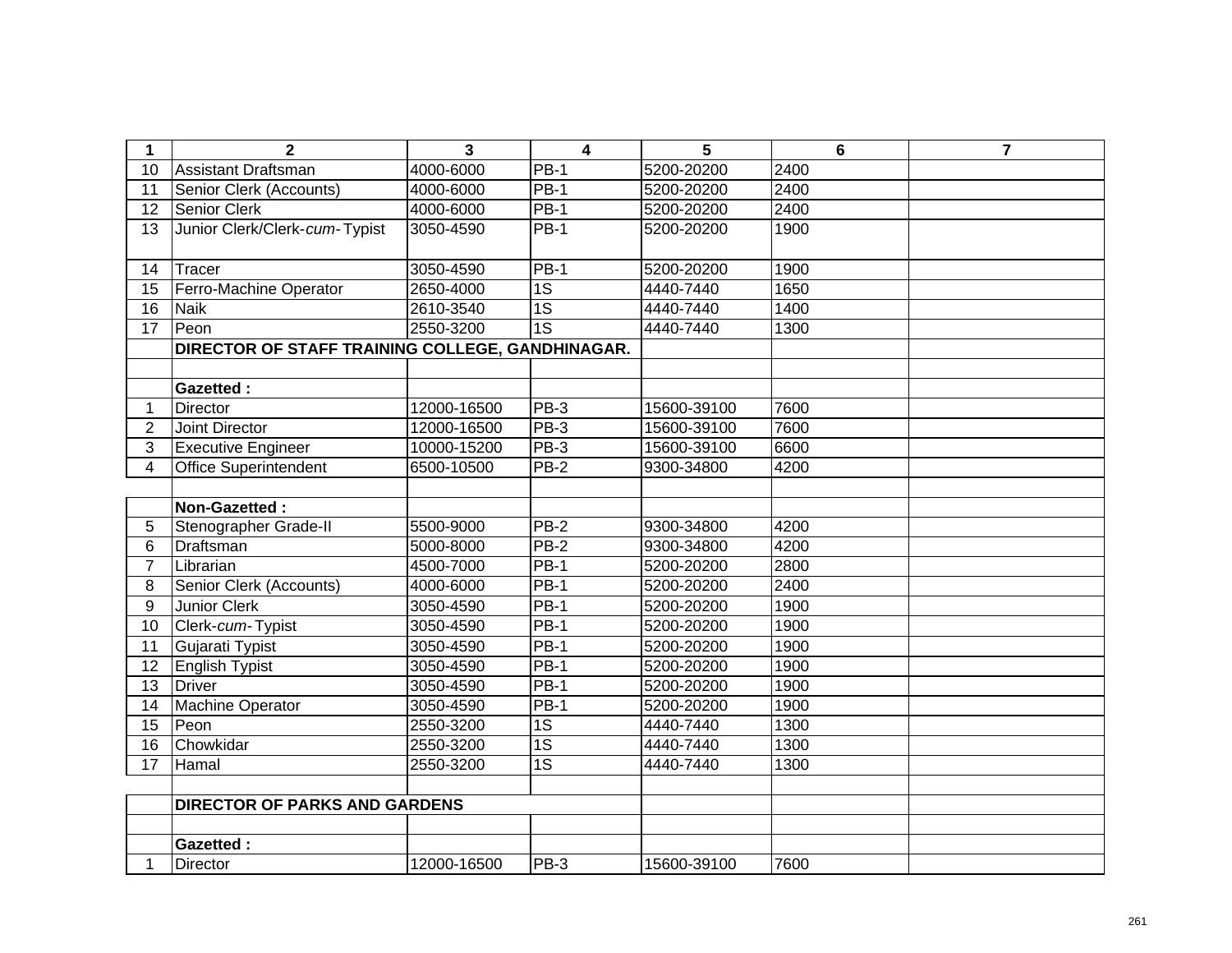| 1               | $\overline{2}$                                   | 3           | $\overline{\mathbf{4}}$ | 5           | $6\phantom{1}6$ | $\overline{7}$ |
|-----------------|--------------------------------------------------|-------------|-------------------------|-------------|-----------------|----------------|
| 10              | <b>Assistant Draftsman</b>                       | 4000-6000   | <b>PB-1</b>             | 5200-20200  | 2400            |                |
| 11              | Senior Clerk (Accounts)                          | 4000-6000   | $PB-1$                  | 5200-20200  | 2400            |                |
| 12              | <b>Senior Clerk</b>                              | 4000-6000   | $PB-1$                  | 5200-20200  | 2400            |                |
| 13              | Junior Clerk/Clerk-cum-Typist                    | 3050-4590   | PB-1                    | 5200-20200  | 1900            |                |
|                 |                                                  |             |                         |             |                 |                |
| 14              | Tracer                                           | 3050-4590   | $PB-1$                  | 5200-20200  | 1900            |                |
| 15              | Ferro-Machine Operator                           | 2650-4000   | $\overline{1S}$         | 4440-7440   | 1650            |                |
| 16              | <b>Naik</b>                                      | 2610-3540   | $\overline{1S}$         | 4440-7440   | 1400            |                |
| $\overline{17}$ | Peon                                             | 2550-3200   | $\overline{1S}$         | 4440-7440   | 1300            |                |
|                 | DIRECTOR OF STAFF TRAINING COLLEGE, GANDHINAGAR. |             |                         |             |                 |                |
|                 |                                                  |             |                         |             |                 |                |
|                 | <b>Gazetted:</b>                                 |             |                         |             |                 |                |
| 1               | Director                                         | 12000-16500 | $PB-3$                  | 15600-39100 | 7600            |                |
| $\overline{2}$  | Joint Director                                   | 12000-16500 | $PB-3$                  | 15600-39100 | 7600            |                |
| 3               | <b>Executive Engineer</b>                        | 10000-15200 | PB-3                    | 15600-39100 | 6600            |                |
| 4               | <b>Office Superintendent</b>                     | 6500-10500  | $PB-2$                  | 9300-34800  | 4200            |                |
|                 |                                                  |             |                         |             |                 |                |
|                 | Non-Gazetted:                                    |             |                         |             |                 |                |
| 5               | Stenographer Grade-II                            | 5500-9000   | $PB-2$                  | 9300-34800  | 4200            |                |
| 6               | Draftsman                                        | 5000-8000   | $PB-2$                  | 9300-34800  | 4200            |                |
| $\overline{7}$  | Librarian                                        | 4500-7000   | $PB-1$                  | 5200-20200  | 2800            |                |
| 8               | Senior Clerk (Accounts)                          | 4000-6000   | $PB-1$                  | 5200-20200  | 2400            |                |
| 9               | <b>Junior Clerk</b>                              | 3050-4590   | $PB-1$                  | 5200-20200  | 1900            |                |
| 10              | Clerk-cum-Typist                                 | 3050-4590   | $PB-1$                  | 5200-20200  | 1900            |                |
| 11              | Gujarati Typist                                  | 3050-4590   | $PB-1$                  | 5200-20200  | 1900            |                |
| 12              | <b>English Typist</b>                            | 3050-4590   | $\overline{PB-1}$       | 5200-20200  | 1900            |                |
| 13              | <b>Driver</b>                                    | 3050-4590   | $\overline{PB-1}$       | 5200-20200  | 1900            |                |
| 14              | <b>Machine Operator</b>                          | 3050-4590   | $\overline{PB-1}$       | 5200-20200  | 1900            |                |
| $\overline{15}$ | Peon                                             | 2550-3200   | $\overline{1S}$         | 4440-7440   | 1300            |                |
| 16              | Chowkidar                                        | 2550-3200   | 1S                      | 4440-7440   | 1300            |                |
| 17              | Hamal                                            | 2550-3200   | 1S                      | 4440-7440   | 1300            |                |
|                 |                                                  |             |                         |             |                 |                |
|                 | <b>DIRECTOR OF PARKS AND GARDENS</b>             |             |                         |             |                 |                |
|                 |                                                  |             |                         |             |                 |                |
|                 | <b>Gazetted:</b>                                 |             |                         |             |                 |                |
|                 | <b>Director</b>                                  | 12000-16500 | PB-3                    | 15600-39100 | 7600            |                |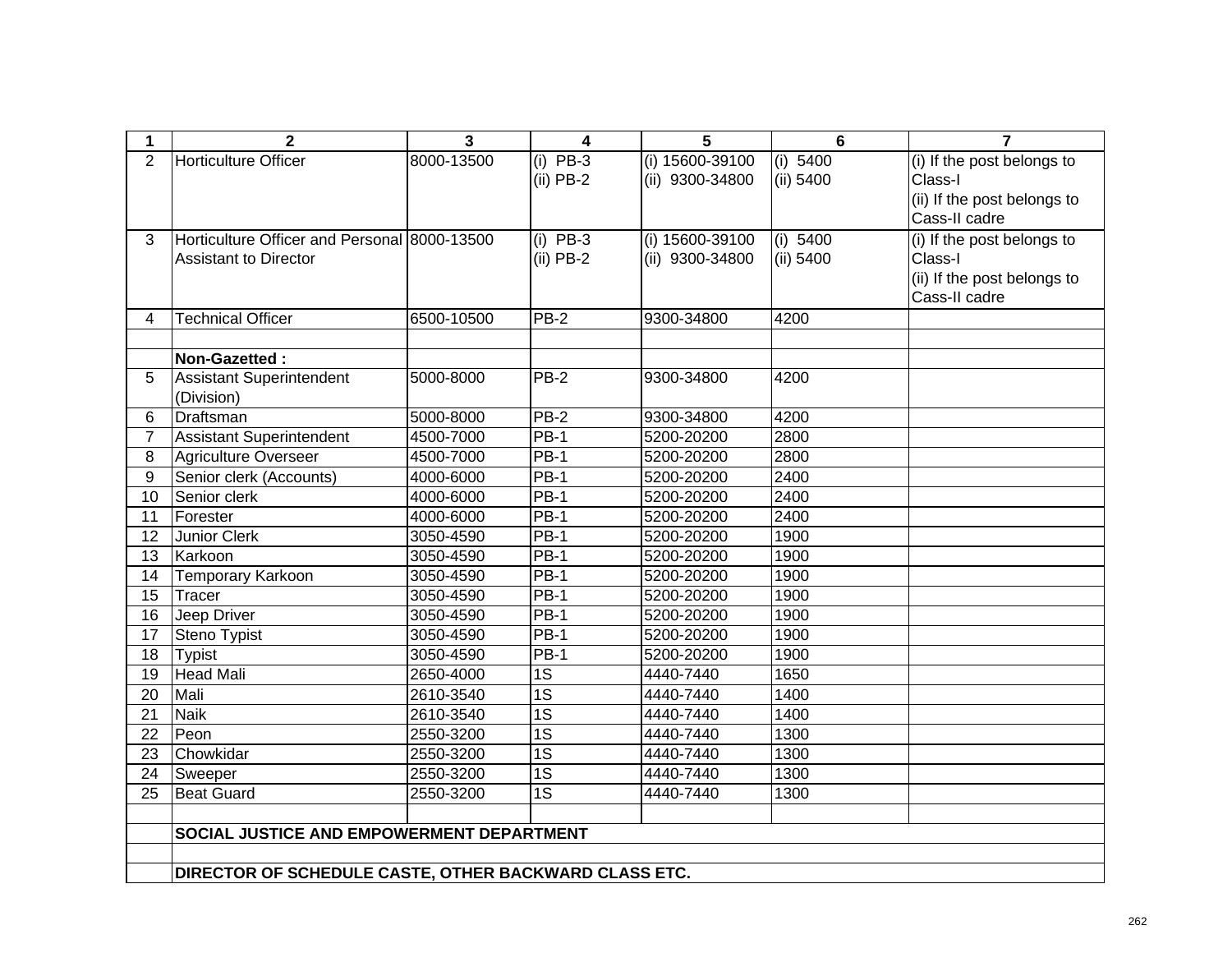| 1               | $\overline{2}$                                        | $\overline{3}$ | 4               | 5               | $6\phantom{1}6$ | $\overline{7}$              |
|-----------------|-------------------------------------------------------|----------------|-----------------|-----------------|-----------------|-----------------------------|
| $\overline{2}$  | <b>Horticulture Officer</b>                           | 8000-13500     | $(i)$ PB-3      | (i) 15600-39100 | (i) 5400        | (i) If the post belongs to  |
|                 |                                                       |                | $(ii)$ PB-2     | (ii) 9300-34800 | (ii) 5400       | Class-I                     |
|                 |                                                       |                |                 |                 |                 | (ii) If the post belongs to |
|                 |                                                       |                |                 |                 |                 | Cass-II cadre               |
| 3               | Horticulture Officer and Personal 8000-13500          |                | $(i)$ PB-3      | (i) 15600-39100 | (i) 5400        | (i) If the post belongs to  |
|                 | <b>Assistant to Director</b>                          |                | $(ii)$ PB-2     | (ii) 9300-34800 | (ii) 5400       | Class-I                     |
|                 |                                                       |                |                 |                 |                 | (ii) If the post belongs to |
|                 |                                                       |                |                 |                 |                 | Cass-II cadre               |
| 4               | <b>Technical Officer</b>                              | 6500-10500     | <b>PB-2</b>     | 9300-34800      | 4200            |                             |
|                 |                                                       |                |                 |                 |                 |                             |
|                 | Non-Gazetted:                                         |                |                 |                 |                 |                             |
| 5               | <b>Assistant Superintendent</b>                       | 5000-8000      | PB-2            | 9300-34800      | 4200            |                             |
|                 | (Division)                                            |                |                 |                 |                 |                             |
| 6               | Draftsman                                             | 5000-8000      | $PB-2$          | 9300-34800      | 4200            |                             |
| $\overline{7}$  | <b>Assistant Superintendent</b>                       | 4500-7000      | $PB-1$          | 5200-20200      | 2800            |                             |
| 8               | Agriculture Overseer                                  | 4500-7000      | <b>PB-1</b>     | 5200-20200      | 2800            |                             |
| 9               | Senior clerk (Accounts)                               | 4000-6000      | $PB-1$          | 5200-20200      | 2400            |                             |
| $\overline{10}$ | Senior clerk                                          | 4000-6000      | $PB-1$          | 5200-20200      | 2400            |                             |
| 11              | Forester                                              | 4000-6000      | $PB-1$          | 5200-20200      | 2400            |                             |
| 12              | Junior Clerk                                          | 3050-4590      | <b>PB-1</b>     | 5200-20200      | 1900            |                             |
| 13              | Karkoon                                               | 3050-4590      | $PB-1$          | 5200-20200      | 1900            |                             |
| 14              | Temporary Karkoon                                     | 3050-4590      | $PB-1$          | 5200-20200      | 1900            |                             |
| 15              | Tracer                                                | 3050-4590      | $PB-1$          | 5200-20200      | 1900            |                             |
| 16              | Jeep Driver                                           | 3050-4590      | $PB-1$          | 5200-20200      | 1900            |                             |
| 17              | Steno Typist                                          | 3050-4590      | $PB-1$          | 5200-20200      | 1900            |                             |
| 18              | <b>Typist</b>                                         | 3050-4590      | $PB-1$          | 5200-20200      | 1900            |                             |
| 19              | <b>Head Mali</b>                                      | 2650-4000      | $\overline{1S}$ | 4440-7440       | 1650            |                             |
| 20              | Mali                                                  | 2610-3540      | $\overline{1S}$ | 4440-7440       | 1400            |                             |
| $\overline{21}$ | <b>Naik</b>                                           | 2610-3540      | $\overline{1S}$ | 4440-7440       | 1400            |                             |
| 22              | Peon                                                  | 2550-3200      | $\overline{1S}$ | 4440-7440       | 1300            |                             |
| 23              | Chowkidar                                             | 2550-3200      | 1S              | 4440-7440       | 1300            |                             |
| 24              | Sweeper                                               | 2550-3200      | $\overline{1S}$ | 4440-7440       | 1300            |                             |
| $\overline{25}$ | Beat Guard                                            | 2550-3200      | $\overline{1S}$ | 4440-7440       | 1300            |                             |
|                 |                                                       |                |                 |                 |                 |                             |
|                 | SOCIAL JUSTICE AND EMPOWERMENT DEPARTMENT             |                |                 |                 |                 |                             |
|                 |                                                       |                |                 |                 |                 |                             |
|                 | DIRECTOR OF SCHEDULE CASTE, OTHER BACKWARD CLASS ETC. |                |                 |                 |                 |                             |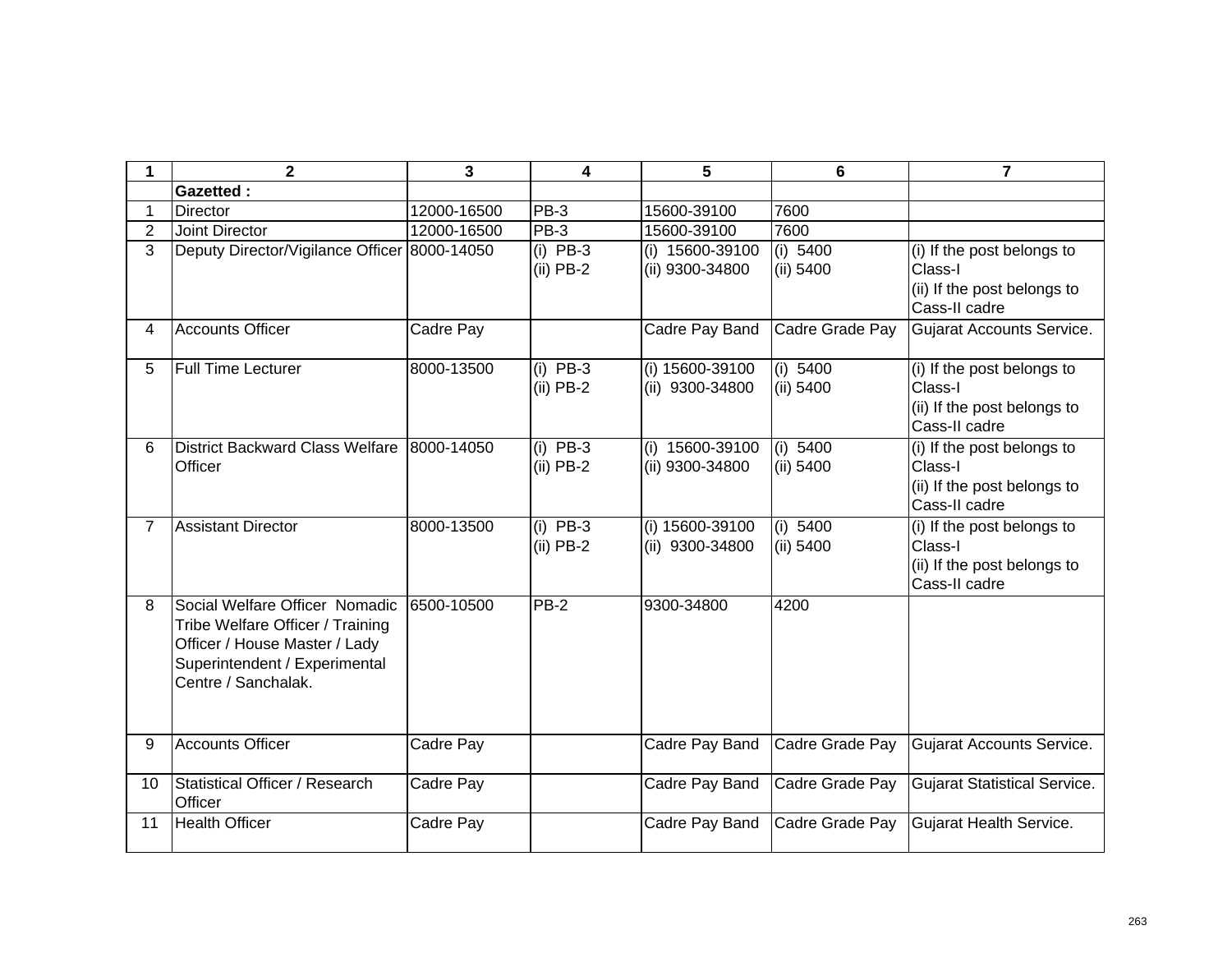| 1              | $\overline{2}$                                                                                                                                              | $\overline{\mathbf{3}}$ | 4                         | 5                                  | 6                       | $\overline{7}$                                                                        |
|----------------|-------------------------------------------------------------------------------------------------------------------------------------------------------------|-------------------------|---------------------------|------------------------------------|-------------------------|---------------------------------------------------------------------------------------|
|                | <b>Gazetted:</b>                                                                                                                                            |                         |                           |                                    |                         |                                                                                       |
| 1              | <b>Director</b>                                                                                                                                             | 12000-16500             | <b>PB-3</b>               | 15600-39100                        | 7600                    |                                                                                       |
| $\overline{2}$ | Joint Director                                                                                                                                              | 12000-16500             | $PB-3$                    | 15600-39100                        | 7600                    |                                                                                       |
| 3              | Deputy Director/Vigilance Officer 8000-14050                                                                                                                |                         | $(i)$ PB-3<br>$(ii)$ PB-2 | (i) 15600-39100<br>(ii) 9300-34800 | (i) $5400$<br>(ii) 5400 | (i) If the post belongs to<br>Class-I<br>(ii) If the post belongs to<br>Cass-II cadre |
| 4              | <b>Accounts Officer</b>                                                                                                                                     | Cadre Pay               |                           | Cadre Pay Band                     | Cadre Grade Pay         | <b>Gujarat Accounts Service.</b>                                                      |
| 5              | <b>Full Time Lecturer</b>                                                                                                                                   | 8000-13500              | $(i)$ PB-3<br>$(ii)$ PB-2 | (i) 15600-39100<br>(ii) 9300-34800 | (i) 5400<br>(ii) 5400   | (i) If the post belongs to<br>Class-I<br>(ii) If the post belongs to<br>Cass-II cadre |
| 6              | <b>District Backward Class Welfare</b><br>Officer                                                                                                           | 8000-14050              | $(i)$ PB-3<br>$(ii)$ PB-2 | (i) 15600-39100<br>(ii) 9300-34800 | (i) 5400<br>$(ii)$ 5400 | (i) If the post belongs to<br>Class-I<br>(ii) If the post belongs to<br>Cass-II cadre |
| $\overline{7}$ | <b>Assistant Director</b>                                                                                                                                   | 8000-13500              | $(i)$ PB-3<br>$(ii)$ PB-2 | (i) 15600-39100<br>(ii) 9300-34800 | (i) $5400$<br>(ii) 5400 | (i) If the post belongs to<br>Class-I<br>(ii) If the post belongs to<br>Cass-II cadre |
| 8              | Social Welfare Officer Nomadic<br>Tribe Welfare Officer / Training<br>Officer / House Master / Lady<br>Superintendent / Experimental<br>Centre / Sanchalak. | 6500-10500              | $PB-2$                    | 9300-34800                         | 4200                    |                                                                                       |
| 9              | <b>Accounts Officer</b>                                                                                                                                     | Cadre Pay               |                           | Cadre Pay Band                     | Cadre Grade Pay         | <b>Gujarat Accounts Service.</b>                                                      |
| 10             | Statistical Officer / Research<br>Officer                                                                                                                   | Cadre Pay               |                           | Cadre Pay Band                     | Cadre Grade Pay         | <b>Gujarat Statistical Service.</b>                                                   |
| 11             | <b>Health Officer</b>                                                                                                                                       | Cadre Pay               |                           | Cadre Pay Band                     | Cadre Grade Pay         | Gujarat Health Service.                                                               |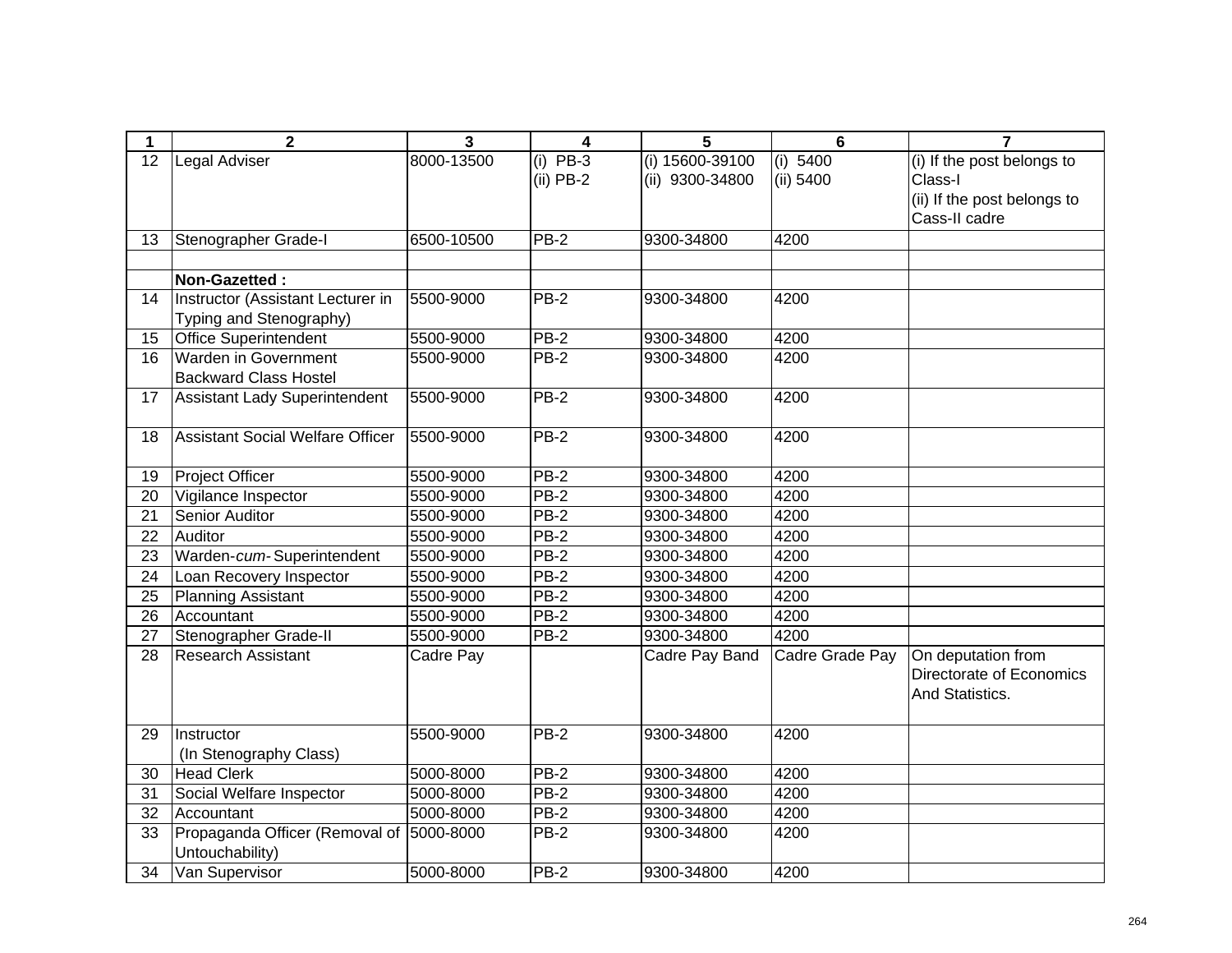| 1  | $\overline{2}$                           | 3          | 4           | 5               | $6\phantom{1}6$ | $\overline{7}$              |
|----|------------------------------------------|------------|-------------|-----------------|-----------------|-----------------------------|
| 12 | Legal Adviser                            | 8000-13500 | $(i)$ PB-3  | (i) 15600-39100 | (i) 5400        | (i) If the post belongs to  |
|    |                                          |            | $(ii)$ PB-2 | (ii) 9300-34800 | (ii) 5400       | Class-I                     |
|    |                                          |            |             |                 |                 | (ii) If the post belongs to |
|    |                                          |            |             |                 |                 | Cass-II cadre               |
| 13 | Stenographer Grade-I                     | 6500-10500 | $PB-2$      | 9300-34800      | 4200            |                             |
|    |                                          |            |             |                 |                 |                             |
|    | Non-Gazetted:                            |            |             |                 |                 |                             |
| 14 | Instructor (Assistant Lecturer in        | 5500-9000  | $PB-2$      | 9300-34800      | 4200            |                             |
|    | Typing and Stenography)                  |            |             |                 |                 |                             |
| 15 | <b>Office Superintendent</b>             | 5500-9000  | $PB-2$      | 9300-34800      | 4200            |                             |
| 16 | Warden in Government                     | 5500-9000  | $PB-2$      | 9300-34800      | 4200            |                             |
|    | <b>Backward Class Hostel</b>             |            |             |                 |                 |                             |
| 17 | <b>Assistant Lady Superintendent</b>     | 5500-9000  | $PB-2$      | 9300-34800      | 4200            |                             |
|    |                                          |            |             |                 |                 |                             |
| 18 | <b>Assistant Social Welfare Officer</b>  | 5500-9000  | <b>PB-2</b> | 9300-34800      | 4200            |                             |
|    |                                          |            |             |                 |                 |                             |
| 19 | <b>Project Officer</b>                   | 5500-9000  | $PB-2$      | 9300-34800      | 4200            |                             |
| 20 | Vigilance Inspector                      | 5500-9000  | $PB-2$      | 9300-34800      | 4200            |                             |
| 21 | Senior Auditor                           | 5500-9000  | $PB-2$      | 9300-34800      | 4200            |                             |
| 22 | Auditor                                  | 5500-9000  | PB-2        | 9300-34800      | 4200            |                             |
| 23 | Warden-cum-Superintendent                | 5500-9000  | $PB-2$      | 9300-34800      | 4200            |                             |
| 24 | Loan Recovery Inspector                  | 5500-9000  | PB-2        | 9300-34800      | 4200            |                             |
| 25 | <b>Planning Assistant</b>                | 5500-9000  | <b>PB-2</b> | 9300-34800      | 4200            |                             |
| 26 | Accountant                               | 5500-9000  | $PB-2$      | 9300-34800      | 4200            |                             |
| 27 | Stenographer Grade-II                    | 5500-9000  | <b>PB-2</b> | 9300-34800      | 4200            |                             |
| 28 | <b>Research Assistant</b>                | Cadre Pay  |             | Cadre Pay Band  | Cadre Grade Pay | On deputation from          |
|    |                                          |            |             |                 |                 | Directorate of Economics    |
|    |                                          |            |             |                 |                 | And Statistics.             |
|    |                                          |            |             |                 |                 |                             |
| 29 | Instructor                               | 5500-9000  | $PB-2$      | 9300-34800      | 4200            |                             |
|    | (In Stenography Class)                   |            |             |                 |                 |                             |
| 30 | <b>Head Clerk</b>                        | 5000-8000  | $PB-2$      | 9300-34800      | 4200            |                             |
| 31 | Social Welfare Inspector                 | 5000-8000  | $PB-2$      | 9300-34800      | 4200            |                             |
| 32 | Accountant                               | 5000-8000  | $PB-2$      | 9300-34800      | 4200            |                             |
| 33 | Propaganda Officer (Removal of 5000-8000 |            | $PB-2$      | 9300-34800      | 4200            |                             |
|    | Untouchability)                          |            |             |                 |                 |                             |
| 34 | Van Supervisor                           | 5000-8000  | $PB-2$      | 9300-34800      | 4200            |                             |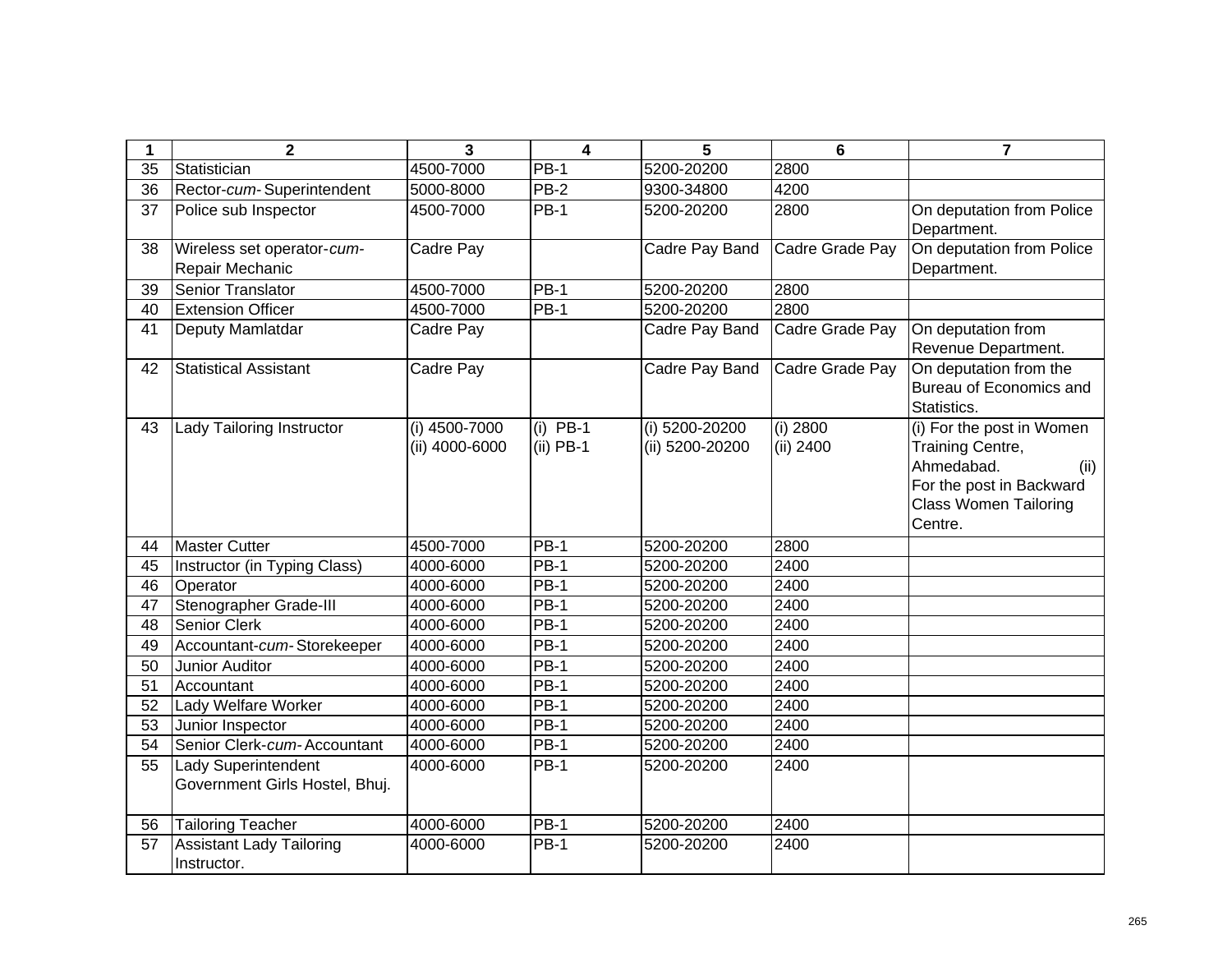| 1  | $\mathbf{2}$                    | $\overline{3}$ | $\overline{\mathbf{4}}$ | 5               | $6\phantom{1}6$ | $\overline{7}$               |
|----|---------------------------------|----------------|-------------------------|-----------------|-----------------|------------------------------|
| 35 | Statistician                    | 4500-7000      | <b>PB-1</b>             | 5200-20200      | 2800            |                              |
| 36 | Rector-cum-Superintendent       | 5000-8000      | $PB-2$                  | 9300-34800      | 4200            |                              |
| 37 | Police sub Inspector            | 4500-7000      | <b>PB-1</b>             | 5200-20200      | 2800            | On deputation from Police    |
|    |                                 |                |                         |                 |                 | Department.                  |
| 38 | Wireless set operator-cum-      | Cadre Pay      |                         | Cadre Pay Band  | Cadre Grade Pay | On deputation from Police    |
|    | Repair Mechanic                 |                |                         |                 |                 | Department.                  |
| 39 | Senior Translator               | 4500-7000      | $\overline{PB}$ -1      | 5200-20200      | 2800            |                              |
| 40 | <b>Extension Officer</b>        | 4500-7000      | $PB-1$                  | 5200-20200      | 2800            |                              |
| 41 | Deputy Mamlatdar                | Cadre Pay      |                         | Cadre Pay Band  | Cadre Grade Pay | On deputation from           |
|    |                                 |                |                         |                 |                 | Revenue Department.          |
| 42 | <b>Statistical Assistant</b>    | Cadre Pay      |                         | Cadre Pay Band  | Cadre Grade Pay | On deputation from the       |
|    |                                 |                |                         |                 |                 | Bureau of Economics and      |
|    |                                 |                |                         |                 |                 | Statistics.                  |
| 43 | Lady Tailoring Instructor       | (i) 4500-7000  | $(i)$ PB-1              | (i) 5200-20200  | (i) 2800        | (i) For the post in Women    |
|    |                                 | (ii) 4000-6000 | $(ii)$ PB-1             | (ii) 5200-20200 | (ii) 2400       | Training Centre,             |
|    |                                 |                |                         |                 |                 | Ahmedabad.<br>(ii)           |
|    |                                 |                |                         |                 |                 | For the post in Backward     |
|    |                                 |                |                         |                 |                 | <b>Class Women Tailoring</b> |
|    |                                 |                |                         |                 |                 | Centre.                      |
| 44 | <b>Master Cutter</b>            | 4500-7000      | <b>PB-1</b>             | 5200-20200      | 2800            |                              |
| 45 | Instructor (in Typing Class)    | 4000-6000      | $PB-1$                  | 5200-20200      | 2400            |                              |
| 46 | Operator                        | 4000-6000      | $PB-1$                  | 5200-20200      | 2400            |                              |
| 47 | Stenographer Grade-III          | 4000-6000      | <b>PB-1</b>             | 5200-20200      | 2400            |                              |
| 48 | Senior Clerk                    | 4000-6000      | $PB-1$                  | 5200-20200      | 2400            |                              |
| 49 | Accountant-cum-Storekeeper      | 4000-6000      | $PB-1$                  | 5200-20200      | 2400            |                              |
| 50 | Junior Auditor                  | 4000-6000      | $PB-1$                  | 5200-20200      | 2400            |                              |
| 51 | Accountant                      | 4000-6000      | <b>PB-1</b>             | 5200-20200      | 2400            |                              |
| 52 | Lady Welfare Worker             | 4000-6000      | <b>PB-1</b>             | 5200-20200      | 2400            |                              |
| 53 | Junior Inspector                | 4000-6000      | $PB-1$                  | 5200-20200      | 2400            |                              |
| 54 | Senior Clerk-cum-Accountant     | 4000-6000      | <b>PB-1</b>             | 5200-20200      | 2400            |                              |
| 55 | Lady Superintendent             | 4000-6000      | <b>PB-1</b>             | 5200-20200      | 2400            |                              |
|    | Government Girls Hostel, Bhuj.  |                |                         |                 |                 |                              |
|    |                                 |                |                         |                 |                 |                              |
| 56 | Tailoring Teacher               | 4000-6000      | $PB-1$                  | 5200-20200      | 2400            |                              |
| 57 | <b>Assistant Lady Tailoring</b> | 4000-6000      | <b>PB-1</b>             | 5200-20200      | 2400            |                              |
|    | Instructor.                     |                |                         |                 |                 |                              |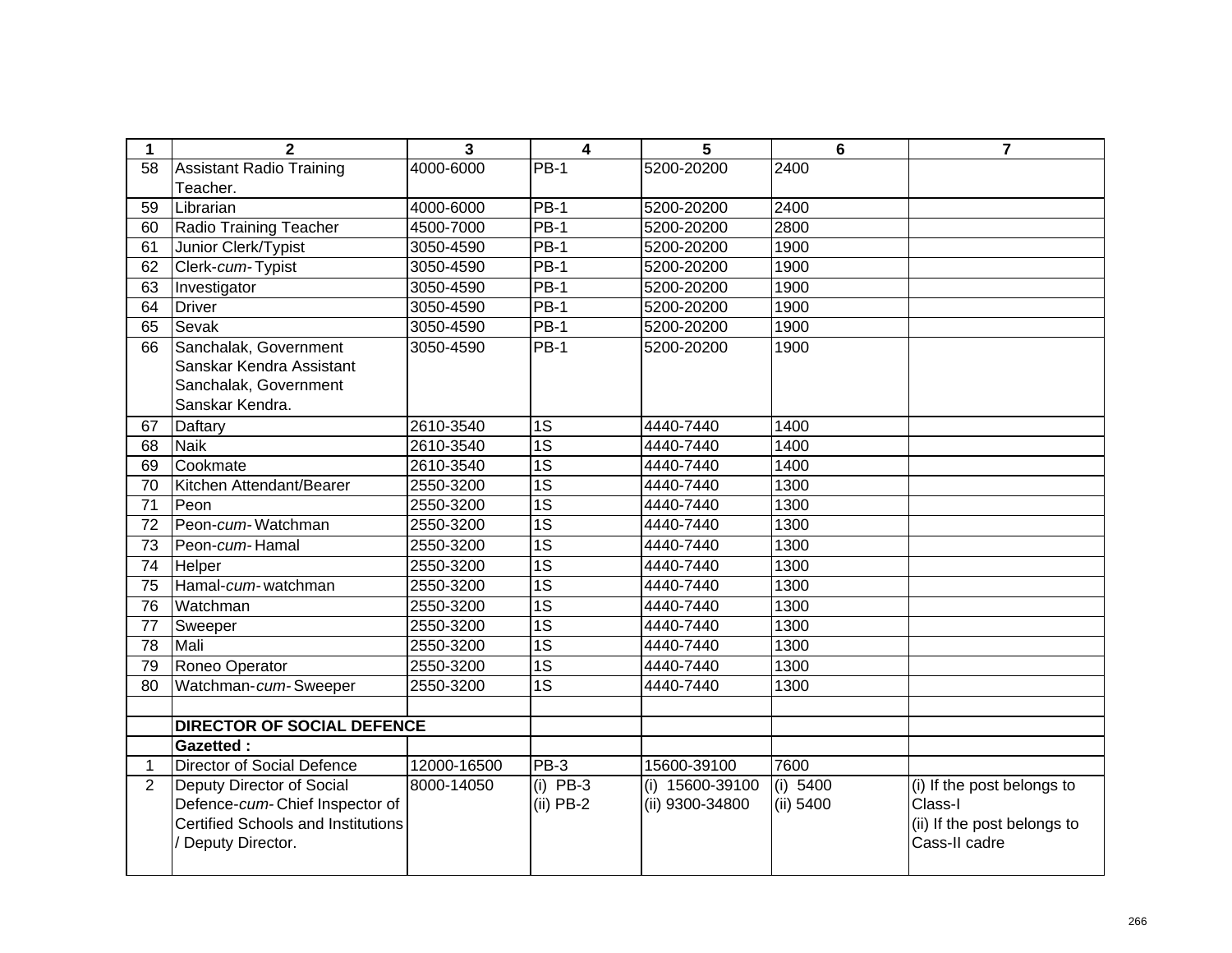| 1              | $\mathbf{2}$                              | $\overline{3}$ | $\overline{4}$  | 5               | $6\phantom{1}$ | $\overline{7}$              |
|----------------|-------------------------------------------|----------------|-----------------|-----------------|----------------|-----------------------------|
| 58             | <b>Assistant Radio Training</b>           | 4000-6000      | <b>PB-1</b>     | 5200-20200      | 2400           |                             |
|                | Teacher.                                  |                |                 |                 |                |                             |
| 59             | Librarian                                 | 4000-6000      | $PB-1$          | 5200-20200      | 2400           |                             |
| 60             | Radio Training Teacher                    | 4500-7000      | $PB-1$          | 5200-20200      | 2800           |                             |
| 61             | Junior Clerk/Typist                       | 3050-4590      | $PB-1$          | 5200-20200      | 1900           |                             |
| 62             | Clerk-cum-Typist                          | 3050-4590      | $PB-1$          | 5200-20200      | 1900           |                             |
| 63             | Investigator                              | 3050-4590      | $PB-1$          | 5200-20200      | 1900           |                             |
| 64             | <b>Driver</b>                             | 3050-4590      | $PB-1$          | 5200-20200      | 1900           |                             |
| 65             | Sevak                                     | 3050-4590      | $PB-1$          | 5200-20200      | 1900           |                             |
| 66             | Sanchalak, Government                     | 3050-4590      | $PB-1$          | 5200-20200      | 1900           |                             |
|                | Sanskar Kendra Assistant                  |                |                 |                 |                |                             |
|                | Sanchalak, Government                     |                |                 |                 |                |                             |
|                | Sanskar Kendra.                           |                |                 |                 |                |                             |
| 67             | Daftary                                   | 2610-3540      | 1S              | 4440-7440       | 1400           |                             |
| 68             | <b>Naik</b>                               | 2610-3540      | $\overline{1S}$ | 4440-7440       | 1400           |                             |
| 69             | Cookmate                                  | 2610-3540      | $\overline{1S}$ | 4440-7440       | 1400           |                             |
| 70             | Kitchen Attendant/Bearer                  | 2550-3200      | $\overline{1S}$ | 4440-7440       | 1300           |                             |
| 71             | Peon                                      | 2550-3200      | $\overline{1S}$ | 4440-7440       | 1300           |                             |
| 72             | Peon-cum-Watchman                         | 2550-3200      | $\overline{1S}$ | 4440-7440       | 1300           |                             |
| 73             | Peon-cum-Hamal                            | 2550-3200      | $\overline{1S}$ | 4440-7440       | 1300           |                             |
| 74             | Helper                                    | 2550-3200      | $\overline{1S}$ | 4440-7440       | 1300           |                             |
| 75             | Hamal-cum-watchman                        | 2550-3200      | $\overline{1S}$ | 4440-7440       | 1300           |                             |
| 76             | Watchman                                  | 2550-3200      | $\overline{1S}$ | 4440-7440       | 1300           |                             |
| 77             | Sweeper                                   | 2550-3200      | $\overline{1S}$ | 4440-7440       | 1300           |                             |
| 78             | Mali                                      | 2550-3200      | $\overline{1S}$ | 4440-7440       | 1300           |                             |
| 79             | Roneo Operator                            | 2550-3200      | $\overline{1S}$ | 4440-7440       | 1300           |                             |
| 80             | Watchman-cum-Sweeper                      | 2550-3200      | $\overline{1S}$ | 4440-7440       | 1300           |                             |
|                |                                           |                |                 |                 |                |                             |
|                | <b>DIRECTOR OF SOCIAL DEFENCE</b>         |                |                 |                 |                |                             |
|                | <b>Gazetted:</b>                          |                |                 |                 |                |                             |
| 1              | <b>Director of Social Defence</b>         | 12000-16500    | PB-3            | 15600-39100     | 7600           |                             |
| $\overline{2}$ | Deputy Director of Social                 | 8000-14050     | $(i)$ PB-3      | (i) 15600-39100 | (i) 5400       | (i) If the post belongs to  |
|                | Defence-cum-Chief Inspector of            |                | $(ii)$ PB-2     | (ii) 9300-34800 | (ii) 5400      | Class-I                     |
|                | <b>Certified Schools and Institutions</b> |                |                 |                 |                | (ii) If the post belongs to |
|                | / Deputy Director.                        |                |                 |                 |                | Cass-II cadre               |
|                |                                           |                |                 |                 |                |                             |
|                |                                           |                |                 |                 |                |                             |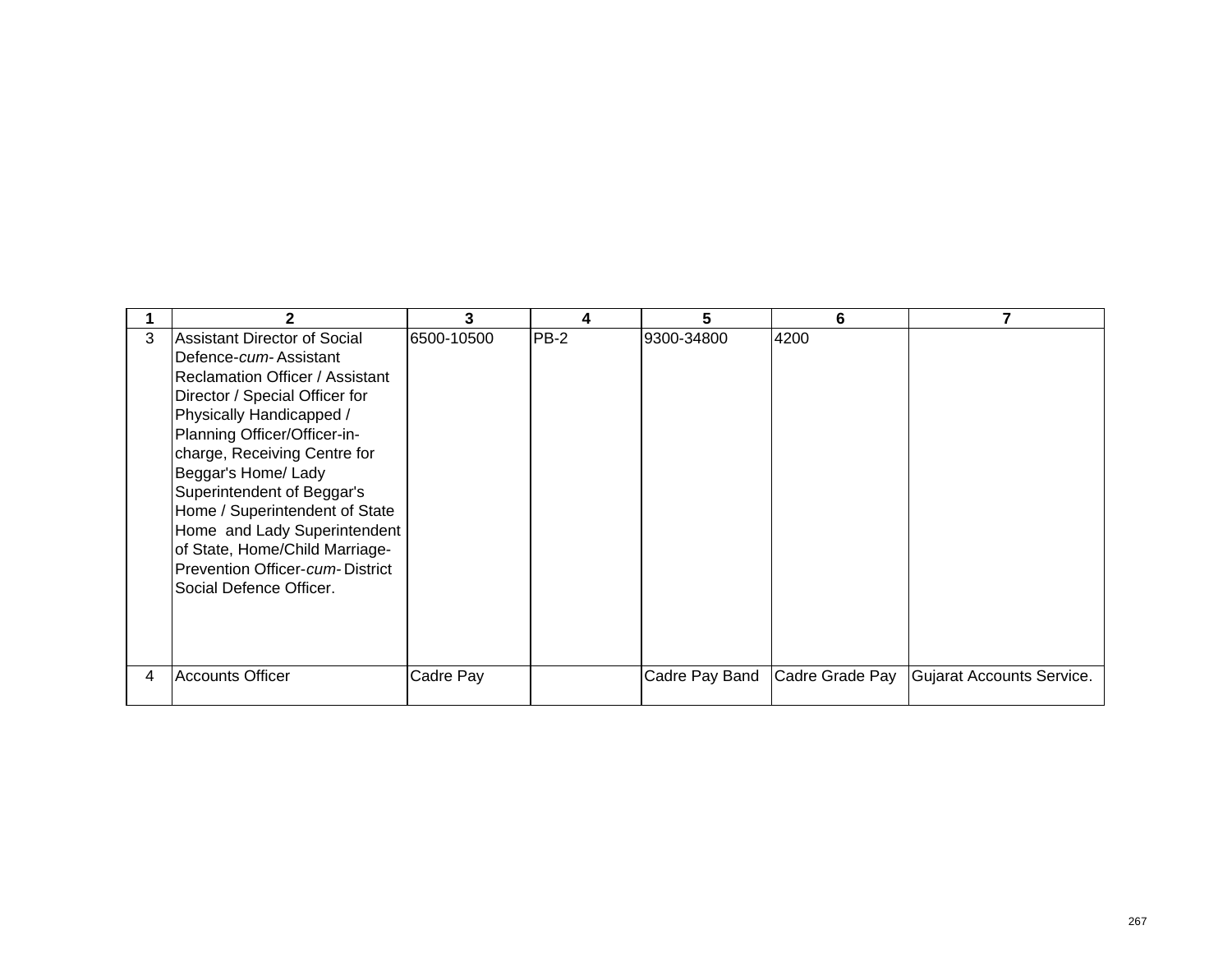|   |                                     |            |             | 5              | 6               |                           |
|---|-------------------------------------|------------|-------------|----------------|-----------------|---------------------------|
| 3 | <b>Assistant Director of Social</b> | 6500-10500 | <b>PB-2</b> | 9300-34800     | 4200            |                           |
|   | Defence-cum-Assistant               |            |             |                |                 |                           |
|   | Reclamation Officer / Assistant     |            |             |                |                 |                           |
|   | Director / Special Officer for      |            |             |                |                 |                           |
|   | Physically Handicapped /            |            |             |                |                 |                           |
|   | Planning Officer/Officer-in-        |            |             |                |                 |                           |
|   | charge, Receiving Centre for        |            |             |                |                 |                           |
|   | Beggar's Home/ Lady                 |            |             |                |                 |                           |
|   | Superintendent of Beggar's          |            |             |                |                 |                           |
|   | Home / Superintendent of State      |            |             |                |                 |                           |
|   | Home and Lady Superintendent        |            |             |                |                 |                           |
|   | of State, Home/Child Marriage-      |            |             |                |                 |                           |
|   | Prevention Officer-cum-District     |            |             |                |                 |                           |
|   | Social Defence Officer.             |            |             |                |                 |                           |
|   |                                     |            |             |                |                 |                           |
|   |                                     |            |             |                |                 |                           |
|   |                                     |            |             |                |                 |                           |
| 4 | <b>Accounts Officer</b>             | Cadre Pay  |             | Cadre Pay Band | Cadre Grade Pay | Gujarat Accounts Service. |
|   |                                     |            |             |                |                 |                           |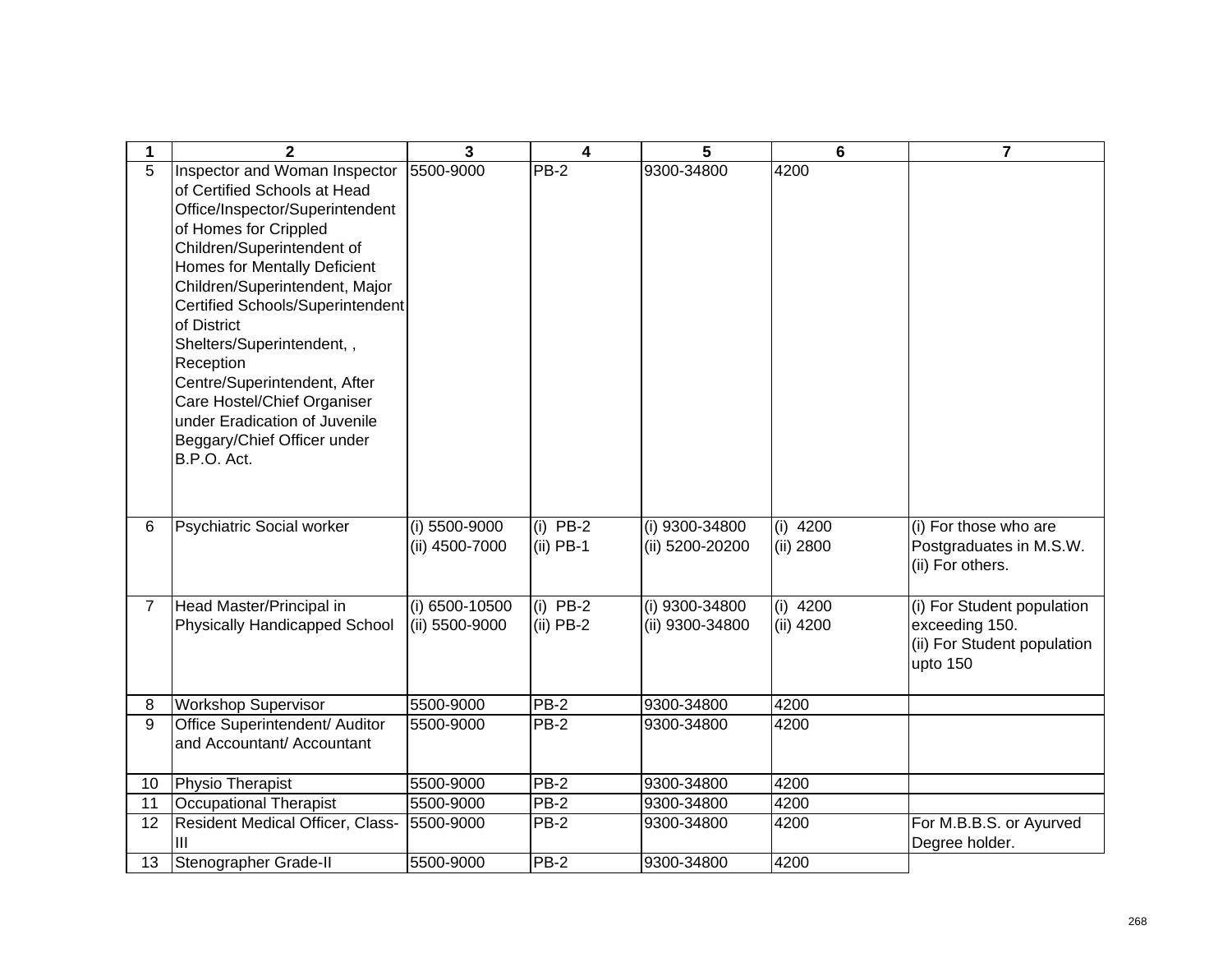| 1              | $\mathbf{2}$                         | $\mathbf{3}$   | 4           | 5               | 6          | $\overline{7}$              |
|----------------|--------------------------------------|----------------|-------------|-----------------|------------|-----------------------------|
| 5              | <b>Inspector and Woman Inspector</b> | 5500-9000      | PB-2        | 9300-34800      | 4200       |                             |
|                | of Certified Schools at Head         |                |             |                 |            |                             |
|                | Office/Inspector/Superintendent      |                |             |                 |            |                             |
|                | of Homes for Crippled                |                |             |                 |            |                             |
|                | Children/Superintendent of           |                |             |                 |            |                             |
|                | Homes for Mentally Deficient         |                |             |                 |            |                             |
|                | Children/Superintendent, Major       |                |             |                 |            |                             |
|                | Certified Schools/Superintendent     |                |             |                 |            |                             |
|                | of District                          |                |             |                 |            |                             |
|                | Shelters/Superintendent,,            |                |             |                 |            |                             |
|                | Reception                            |                |             |                 |            |                             |
|                | Centre/Superintendent, After         |                |             |                 |            |                             |
|                | Care Hostel/Chief Organiser          |                |             |                 |            |                             |
|                | under Eradication of Juvenile        |                |             |                 |            |                             |
|                | Beggary/Chief Officer under          |                |             |                 |            |                             |
|                | B.P.O. Act.                          |                |             |                 |            |                             |
|                |                                      |                |             |                 |            |                             |
|                |                                      |                |             |                 |            |                             |
| 6              | Psychiatric Social worker            | (i) 5500-9000  | $(i)$ PB-2  | (i) 9300-34800  | $(i)$ 4200 | (i) For those who are       |
|                |                                      | (ii) 4500-7000 | $(ii)$ PB-1 | (ii) 5200-20200 | (ii) 2800  | Postgraduates in M.S.W.     |
|                |                                      |                |             |                 |            | (ii) For others.            |
|                |                                      |                |             |                 |            |                             |
| $\overline{7}$ | Head Master/Principal in             | (i) 6500-10500 | $(i)$ PB-2  | (i) 9300-34800  | $(i)$ 4200 | (i) For Student population  |
|                | Physically Handicapped School        | (ii) 5500-9000 | $(ii)$ PB-2 | (ii) 9300-34800 | (ii) 4200  | exceeding 150.              |
|                |                                      |                |             |                 |            | (ii) For Student population |
|                |                                      |                |             |                 |            | upto 150                    |
|                |                                      |                |             |                 |            |                             |
| 8              | <b>Workshop Supervisor</b>           | 5500-9000      | <b>PB-2</b> | 9300-34800      | 4200       |                             |
| 9              | Office Superintendent/ Auditor       | 5500-9000      | $PB-2$      | 9300-34800      | 4200       |                             |
|                | and Accountant/ Accountant           |                |             |                 |            |                             |
|                |                                      |                |             |                 |            |                             |
| 10             | Physio Therapist                     | 5500-9000      | $PB-2$      | 9300-34800      | 4200       |                             |
| 11             | <b>Occupational Therapist</b>        | 5500-9000      | $PB-2$      | 9300-34800      | 4200       |                             |
| 12             | Resident Medical Officer, Class-     | 5500-9000      | $PB-2$      | 9300-34800      | 4200       | For M.B.B.S. or Ayurved     |
|                | Ш                                    |                |             |                 |            | Degree holder.              |
| 13             | Stenographer Grade-II                | 5500-9000      | <b>PB-2</b> | 9300-34800      | 4200       |                             |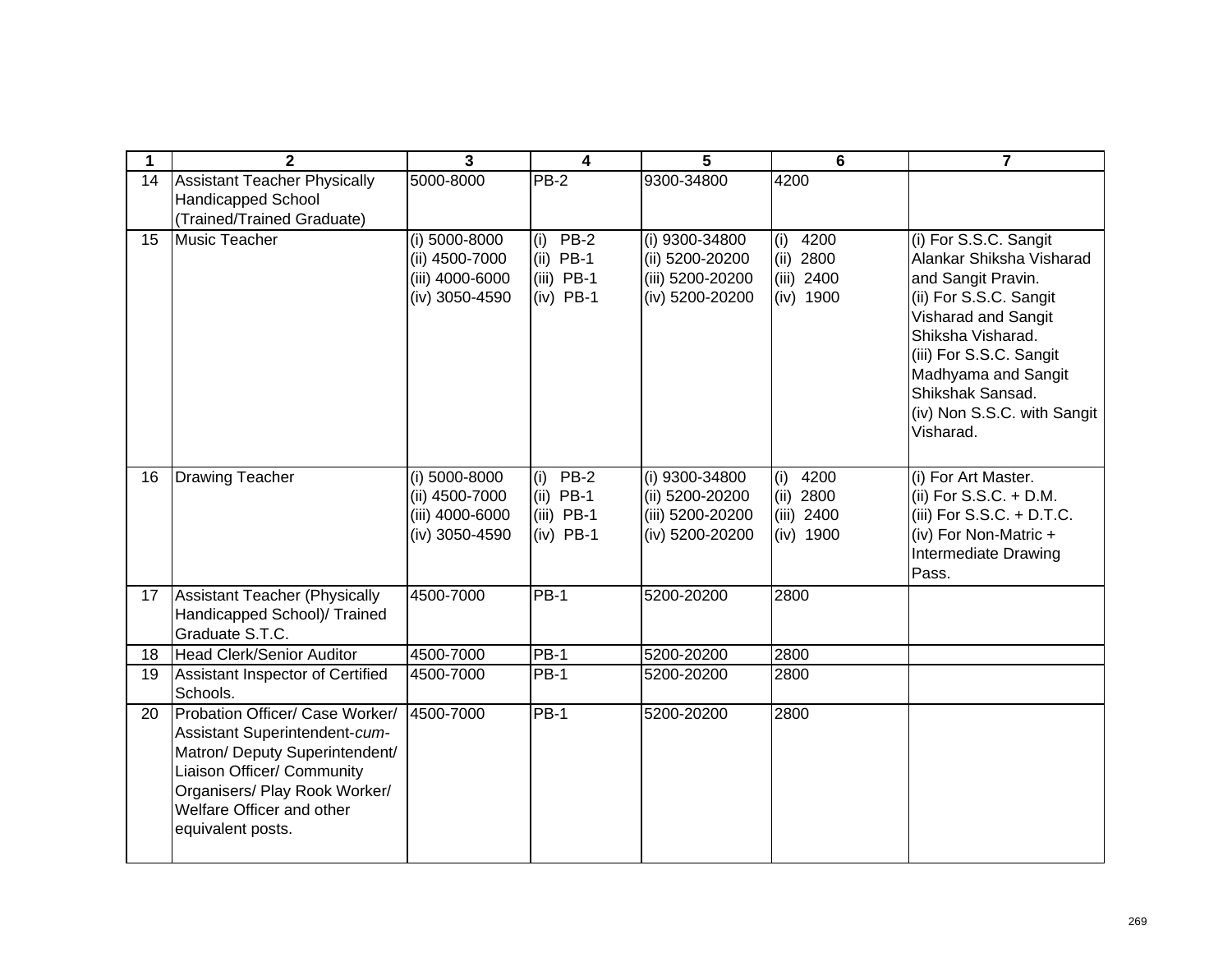| 1  | $\mathbf{2}$                                                                                                                                                                                                        | 3                                                                    | 4                                                        | 5                                                                        | 6                                                           | $\overline{7}$                                                                                                                                                                                                                                                  |
|----|---------------------------------------------------------------------------------------------------------------------------------------------------------------------------------------------------------------------|----------------------------------------------------------------------|----------------------------------------------------------|--------------------------------------------------------------------------|-------------------------------------------------------------|-----------------------------------------------------------------------------------------------------------------------------------------------------------------------------------------------------------------------------------------------------------------|
| 14 | <b>Assistant Teacher Physically</b><br><b>Handicapped School</b><br>(Trained/Trained Graduate)                                                                                                                      | 5000-8000                                                            | $PB-2$                                                   | 9300-34800                                                               | 4200                                                        |                                                                                                                                                                                                                                                                 |
| 15 | Music Teacher                                                                                                                                                                                                       | (i) 5000-8000<br>(ii) 4500-7000<br>(iii) 4000-6000<br>(iv) 3050-4590 | (i) $PB-2$<br>$(ii)$ PB-1<br>$(iii)$ PB-1<br>$(iv)$ PB-1 | (i) 9300-34800<br>(ii) 5200-20200<br>(iii) 5200-20200<br>(iv) 5200-20200 | 4200<br>(i)<br>2800<br>(ii)<br>2400<br>(iii)<br>$(iv)$ 1900 | (i) For S.S.C. Sangit<br>Alankar Shiksha Visharad<br>and Sangit Pravin.<br>(ii) For S.S.C. Sangit<br>Visharad and Sangit<br>Shiksha Visharad.<br>(iii) For S.S.C. Sangit<br>Madhyama and Sangit<br>Shikshak Sansad.<br>(iv) Non S.S.C. with Sangit<br>Visharad. |
| 16 | <b>Drawing Teacher</b>                                                                                                                                                                                              | (i) 5000-8000<br>(ii) 4500-7000<br>(iii) 4000-6000<br>(iv) 3050-4590 | $(i)$ PB-2<br>$(ii)$ PB-1<br>$(iii)$ PB-1<br>$(iv)$ PB-1 | (i) 9300-34800<br>(ii) 5200-20200<br>(iii) 5200-20200<br>(iv) 5200-20200 | 4200<br>(i)<br>2800<br>(ii)<br>$(iii)$ 2400<br>$(iv)$ 1900  | (i) For Art Master.<br>(ii) For S.S.C. + D.M.<br>(iii) For $S.S.C. + D.T.C.$<br>(iv) For Non-Matric +<br>Intermediate Drawing<br>Pass.                                                                                                                          |
| 17 | Assistant Teacher (Physically<br>Handicapped School)/ Trained<br>Graduate S.T.C.                                                                                                                                    | 4500-7000                                                            | $PB-1$                                                   | 5200-20200                                                               | 2800                                                        |                                                                                                                                                                                                                                                                 |
| 18 | <b>Head Clerk/Senior Auditor</b>                                                                                                                                                                                    | 4500-7000                                                            | <b>PB-1</b>                                              | 5200-20200                                                               | 2800                                                        |                                                                                                                                                                                                                                                                 |
| 19 | Assistant Inspector of Certified<br>Schools.                                                                                                                                                                        | 4500-7000                                                            | <b>PB-1</b>                                              | 5200-20200                                                               | 2800                                                        |                                                                                                                                                                                                                                                                 |
| 20 | Probation Officer/ Case Worker/<br>Assistant Superintendent-cum-<br>Matron/ Deputy Superintendent/<br>Liaison Officer/ Community<br>Organisers/ Play Rook Worker/<br>Welfare Officer and other<br>equivalent posts. | 4500-7000                                                            | $PB-1$                                                   | 5200-20200                                                               | 2800                                                        |                                                                                                                                                                                                                                                                 |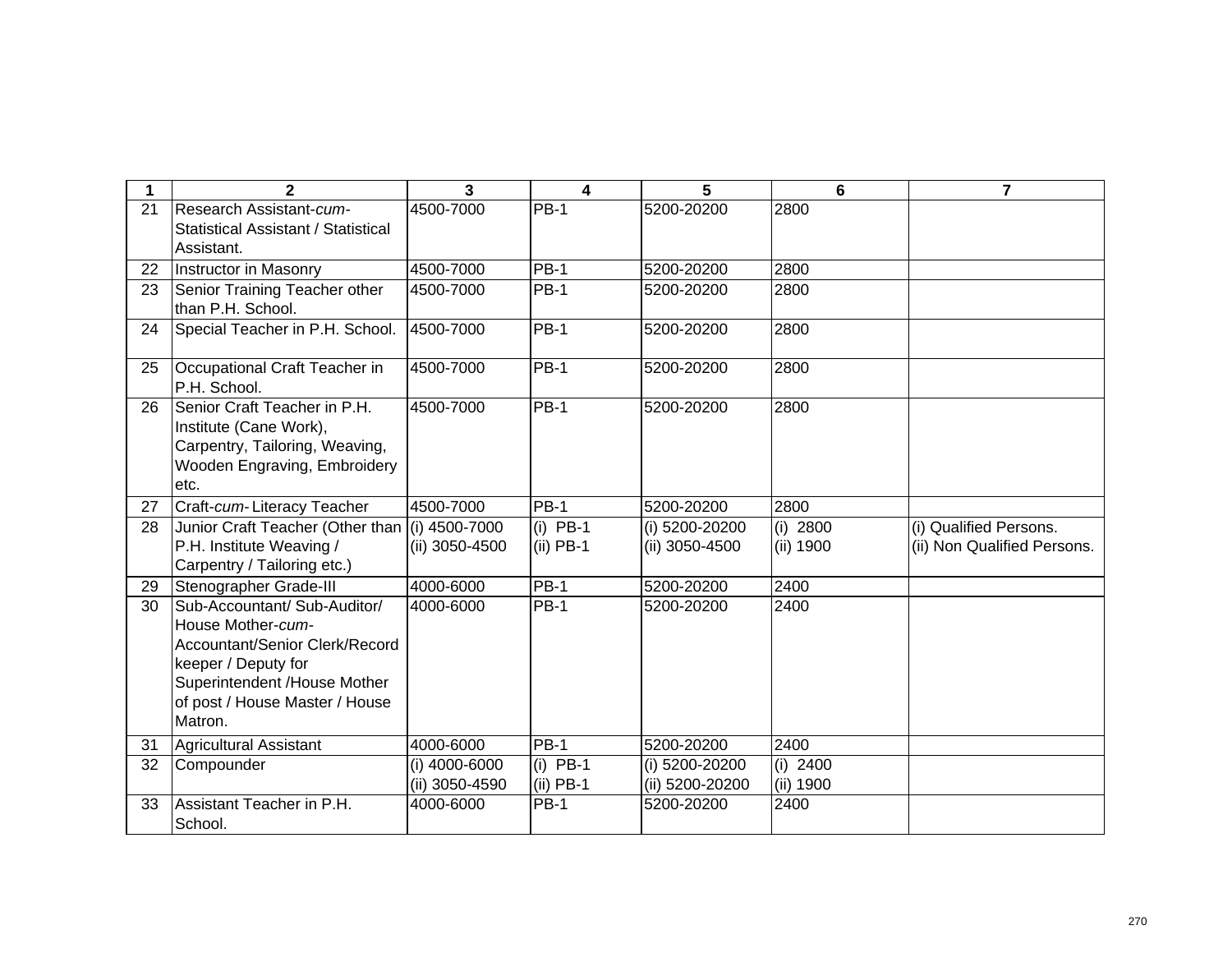| 1  | $\mathbf{2}$                                                                                                                                                                            | $\overline{3}$                  | 4                         | 5                                 | 6                       | $\overline{7}$                                        |
|----|-----------------------------------------------------------------------------------------------------------------------------------------------------------------------------------------|---------------------------------|---------------------------|-----------------------------------|-------------------------|-------------------------------------------------------|
| 21 | Research Assistant-cum-<br>Statistical Assistant / Statistical<br>Assistant.                                                                                                            | 4500-7000                       | <b>PB-1</b>               | 5200-20200                        | 2800                    |                                                       |
| 22 | Instructor in Masonry                                                                                                                                                                   | 4500-7000                       | $PB-1$                    | 5200-20200                        | 2800                    |                                                       |
| 23 | Senior Training Teacher other<br>than P.H. School.                                                                                                                                      | 4500-7000                       | <b>PB-1</b>               | 5200-20200                        | 2800                    |                                                       |
| 24 | Special Teacher in P.H. School.                                                                                                                                                         | 4500-7000                       | <b>PB-1</b>               | 5200-20200                        | 2800                    |                                                       |
| 25 | Occupational Craft Teacher in<br>P.H. School.                                                                                                                                           | 4500-7000                       | <b>PB-1</b>               | 5200-20200                        | 2800                    |                                                       |
| 26 | Senior Craft Teacher in P.H.<br>Institute (Cane Work),<br>Carpentry, Tailoring, Weaving,<br>Wooden Engraving, Embroidery<br>etc.                                                        | 4500-7000                       | <b>PB-1</b>               | 5200-20200                        | 2800                    |                                                       |
| 27 | Craft-cum-Literacy Teacher                                                                                                                                                              | 4500-7000                       | $PB-1$                    | 5200-20200                        | 2800                    |                                                       |
| 28 | Junior Craft Teacher (Other than (i) 4500-7000<br>P.H. Institute Weaving /<br>Carpentry / Tailoring etc.)                                                                               | (ii) 3050-4500                  | $(i)$ PB-1<br>$(ii)$ PB-1 | (i) 5200-20200<br>(ii) 3050-4500  | (i) 2800<br>(ii) 1900   | (i) Qualified Persons.<br>(ii) Non Qualified Persons. |
| 29 | Stenographer Grade-III                                                                                                                                                                  | 4000-6000                       | <b>PB-1</b>               | 5200-20200                        | 2400                    |                                                       |
| 30 | Sub-Accountant/ Sub-Auditor/<br>House Mother-cum-<br>Accountant/Senior Clerk/Record<br>keeper / Deputy for<br>Superintendent /House Mother<br>of post / House Master / House<br>Matron. | 4000-6000                       | <b>PB-1</b>               | 5200-20200                        | 2400                    |                                                       |
| 31 | Agricultural Assistant                                                                                                                                                                  | 4000-6000                       | <b>PB-1</b>               | 5200-20200                        | 2400                    |                                                       |
| 32 | Compounder                                                                                                                                                                              | (i) 4000-6000<br>(ii) 3050-4590 | $(i)$ PB-1<br>$(ii)$ PB-1 | (i) 5200-20200<br>(ii) 5200-20200 | $(i)$ 2400<br>(ii) 1900 |                                                       |
| 33 | Assistant Teacher in P.H.<br>School.                                                                                                                                                    | 4000-6000                       | <b>PB-1</b>               | 5200-20200                        | 2400                    |                                                       |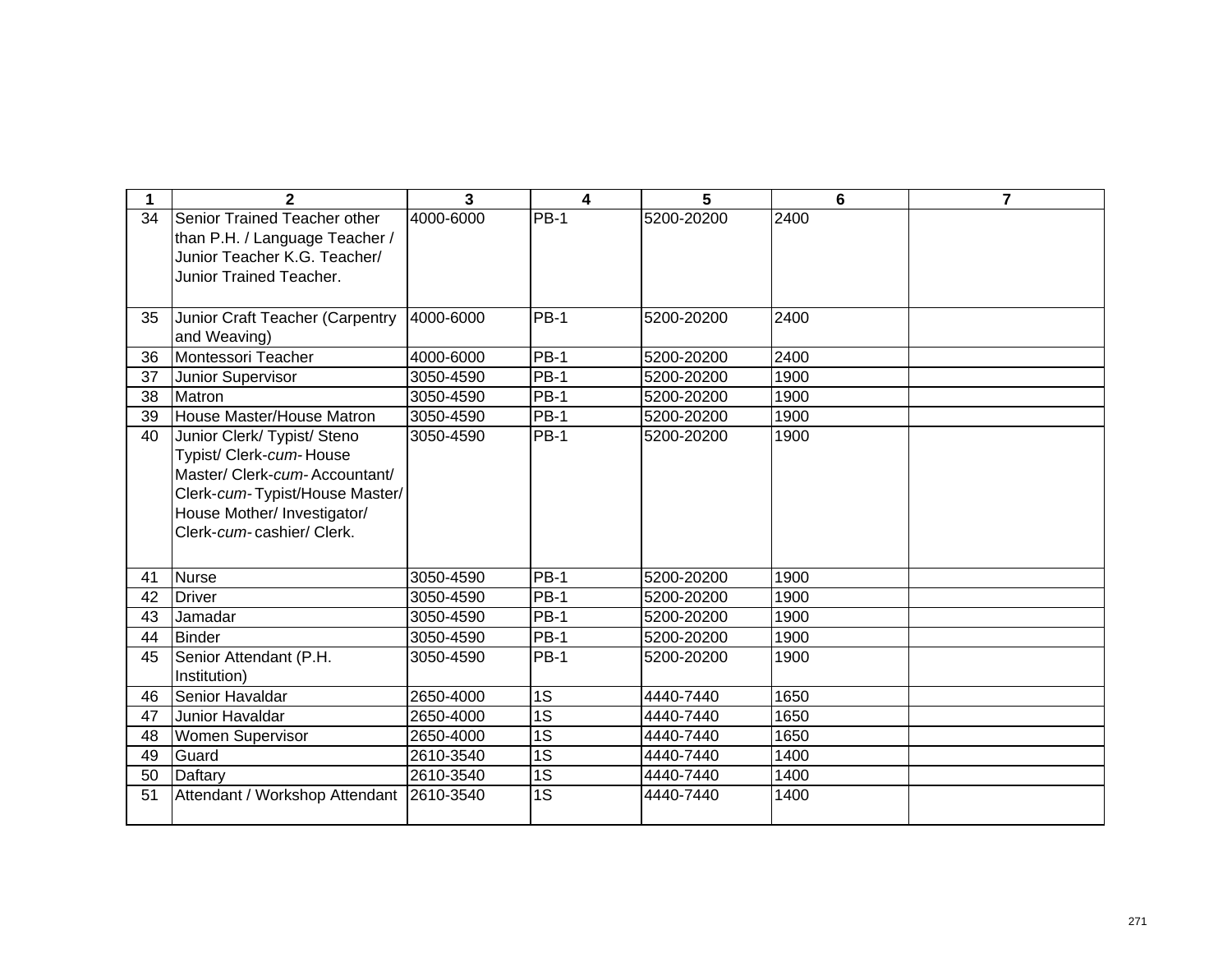| 1  | $\mathbf{2}$                                                                                                                                                                          | 3         | 4               | 5          | 6    | $\overline{7}$ |
|----|---------------------------------------------------------------------------------------------------------------------------------------------------------------------------------------|-----------|-----------------|------------|------|----------------|
| 34 | Senior Trained Teacher other<br>than P.H. / Language Teacher /<br>Junior Teacher K.G. Teacher/<br><b>Junior Trained Teacher.</b>                                                      | 4000-6000 | $PB-1$          | 5200-20200 | 2400 |                |
| 35 | Junior Craft Teacher (Carpentry<br>and Weaving)                                                                                                                                       | 4000-6000 | $PB-1$          | 5200-20200 | 2400 |                |
| 36 | Montessori Teacher                                                                                                                                                                    | 4000-6000 | <b>PB-1</b>     | 5200-20200 | 2400 |                |
| 37 | Junior Supervisor                                                                                                                                                                     | 3050-4590 | PB-1            | 5200-20200 | 1900 |                |
| 38 | Matron                                                                                                                                                                                | 3050-4590 | <b>PB-1</b>     | 5200-20200 | 1900 |                |
| 39 | House Master/House Matron                                                                                                                                                             | 3050-4590 | <b>PB-1</b>     | 5200-20200 | 1900 |                |
| 40 | Junior Clerk/ Typist/ Steno<br>Typist/ Clerk-cum-House<br>Master/ Clerk-cum-Accountant/<br>Clerk-cum-Typist/House Master/<br>House Mother/ Investigator/<br>Clerk-cum-cashier/ Clerk. | 3050-4590 | <b>PB-1</b>     | 5200-20200 | 1900 |                |
| 41 | <b>Nurse</b>                                                                                                                                                                          | 3050-4590 | $PB-1$          | 5200-20200 | 1900 |                |
| 42 | <b>Driver</b>                                                                                                                                                                         | 3050-4590 | <b>PB-1</b>     | 5200-20200 | 1900 |                |
| 43 | Jamadar                                                                                                                                                                               | 3050-4590 | PB-1            | 5200-20200 | 1900 |                |
| 44 | <b>Binder</b>                                                                                                                                                                         | 3050-4590 | <b>PB-1</b>     | 5200-20200 | 1900 |                |
| 45 | Senior Attendant (P.H.<br>Institution)                                                                                                                                                | 3050-4590 | PB-1            | 5200-20200 | 1900 |                |
| 46 | Senior Havaldar                                                                                                                                                                       | 2650-4000 | 1S              | 4440-7440  | 1650 |                |
| 47 | Junior Havaldar                                                                                                                                                                       | 2650-4000 | $\overline{1S}$ | 4440-7440  | 1650 |                |
| 48 | Women Supervisor                                                                                                                                                                      | 2650-4000 | 1S              | 4440-7440  | 1650 |                |
| 49 | Guard                                                                                                                                                                                 | 2610-3540 | 1S              | 4440-7440  | 1400 |                |
| 50 | Daftary                                                                                                                                                                               | 2610-3540 | 1S              | 4440-7440  | 1400 |                |
| 51 | Attendant / Workshop Attendant                                                                                                                                                        | 2610-3540 | 1S              | 4440-7440  | 1400 |                |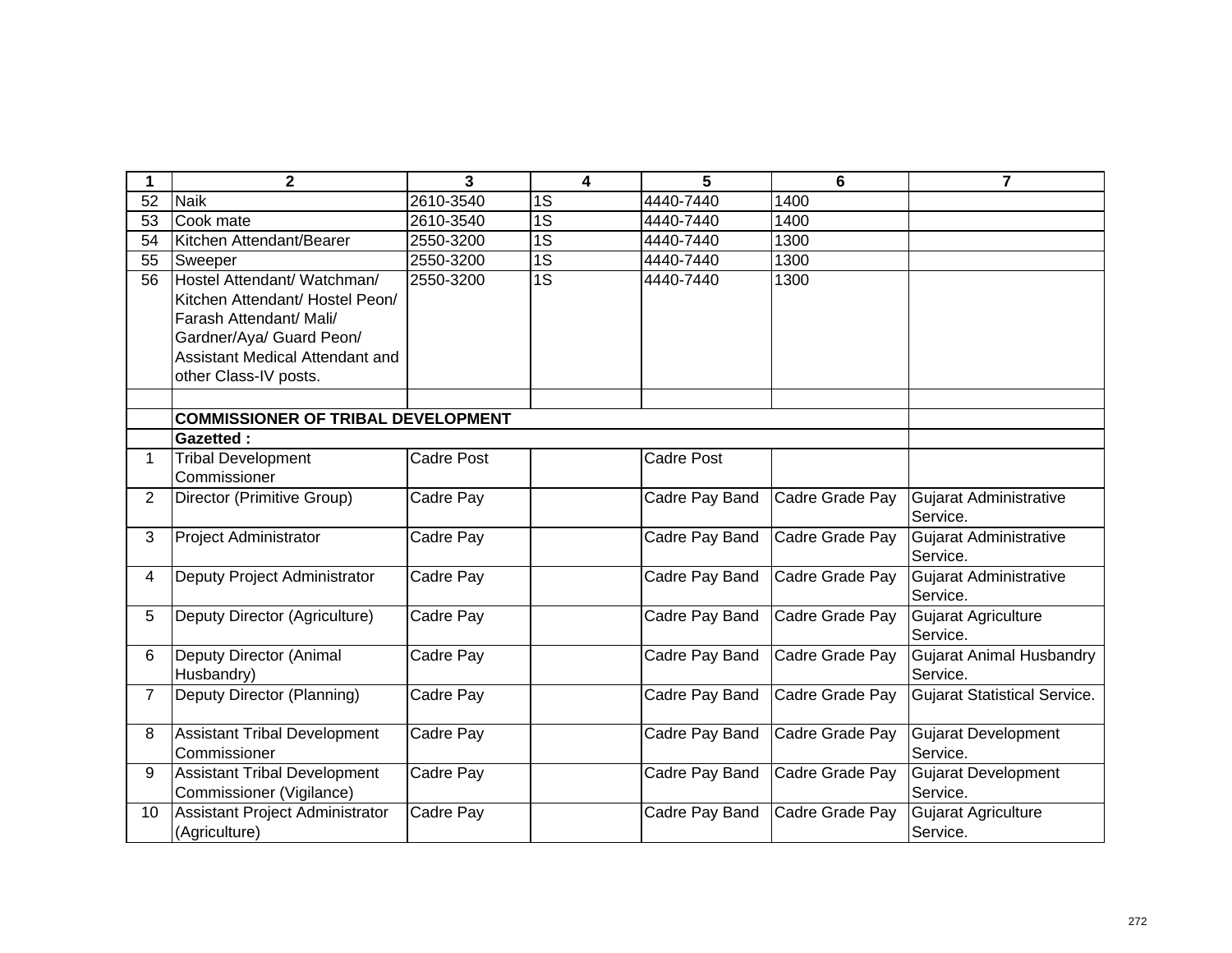| 1               | $\mathbf{2}$                                                                                                                                                                      | 3                 | 4               | 5                 | 6               | $\overline{\mathbf{z}}$                     |
|-----------------|-----------------------------------------------------------------------------------------------------------------------------------------------------------------------------------|-------------------|-----------------|-------------------|-----------------|---------------------------------------------|
| $\overline{52}$ | <b>Naik</b>                                                                                                                                                                       | 2610-3540         | 1S              | 4440-7440         | 1400            |                                             |
| 53              | Cook mate                                                                                                                                                                         | 2610-3540         | $\overline{1S}$ | 4440-7440         | 1400            |                                             |
| 54              | Kitchen Attendant/Bearer                                                                                                                                                          | 2550-3200         | 1S              | 4440-7440         | 1300            |                                             |
| 55              | Sweeper                                                                                                                                                                           | 2550-3200         | $\overline{1S}$ | 4440-7440         | 1300            |                                             |
| 56              | Hostel Attendant/ Watchman/<br>Kitchen Attendant/ Hostel Peon/<br>Farash Attendant/ Mali/<br>Gardner/Aya/ Guard Peon/<br>Assistant Medical Attendant and<br>other Class-IV posts. | 2550-3200         | 1S              | 4440-7440         | 1300            |                                             |
|                 |                                                                                                                                                                                   |                   |                 |                   |                 |                                             |
|                 | <b>COMMISSIONER OF TRIBAL DEVELOPMENT</b>                                                                                                                                         |                   |                 |                   |                 |                                             |
|                 | <b>Gazetted:</b>                                                                                                                                                                  |                   |                 |                   |                 |                                             |
| 1.              | <b>Tribal Development</b>                                                                                                                                                         | <b>Cadre Post</b> |                 | <b>Cadre Post</b> |                 |                                             |
|                 | Commissioner                                                                                                                                                                      |                   |                 |                   |                 |                                             |
| $\overline{2}$  | Director (Primitive Group)                                                                                                                                                        | Cadre Pay         |                 | Cadre Pay Band    | Cadre Grade Pay | <b>Gujarat Administrative</b><br>Service.   |
| 3               | <b>Project Administrator</b>                                                                                                                                                      | Cadre Pay         |                 | Cadre Pay Band    | Cadre Grade Pay | Gujarat Administrative<br>Service.          |
| 4               | Deputy Project Administrator                                                                                                                                                      | Cadre Pay         |                 | Cadre Pay Band    | Cadre Grade Pay | <b>Gujarat Administrative</b><br>Service.   |
| 5               | Deputy Director (Agriculture)                                                                                                                                                     | Cadre Pay         |                 | Cadre Pay Band    | Cadre Grade Pay | <b>Gujarat Agriculture</b><br>Service.      |
| 6               | Deputy Director (Animal<br>Husbandry)                                                                                                                                             | Cadre Pay         |                 | Cadre Pay Band    | Cadre Grade Pay | <b>Gujarat Animal Husbandry</b><br>Service. |
| $\overline{7}$  | Deputy Director (Planning)                                                                                                                                                        | Cadre Pay         |                 | Cadre Pay Band    | Cadre Grade Pay | <b>Gujarat Statistical Service.</b>         |
| 8               | <b>Assistant Tribal Development</b><br>Commissioner                                                                                                                               | Cadre Pay         |                 | Cadre Pay Band    | Cadre Grade Pay | <b>Gujarat Development</b><br>Service.      |
| 9               | <b>Assistant Tribal Development</b><br>Commissioner (Vigilance)                                                                                                                   | Cadre Pay         |                 | Cadre Pay Band    | Cadre Grade Pay | <b>Gujarat Development</b><br>Service.      |
| 10              | Assistant Project Administrator<br>(Agriculture)                                                                                                                                  | Cadre Pay         |                 | Cadre Pay Band    | Cadre Grade Pay | <b>Gujarat Agriculture</b><br>Service.      |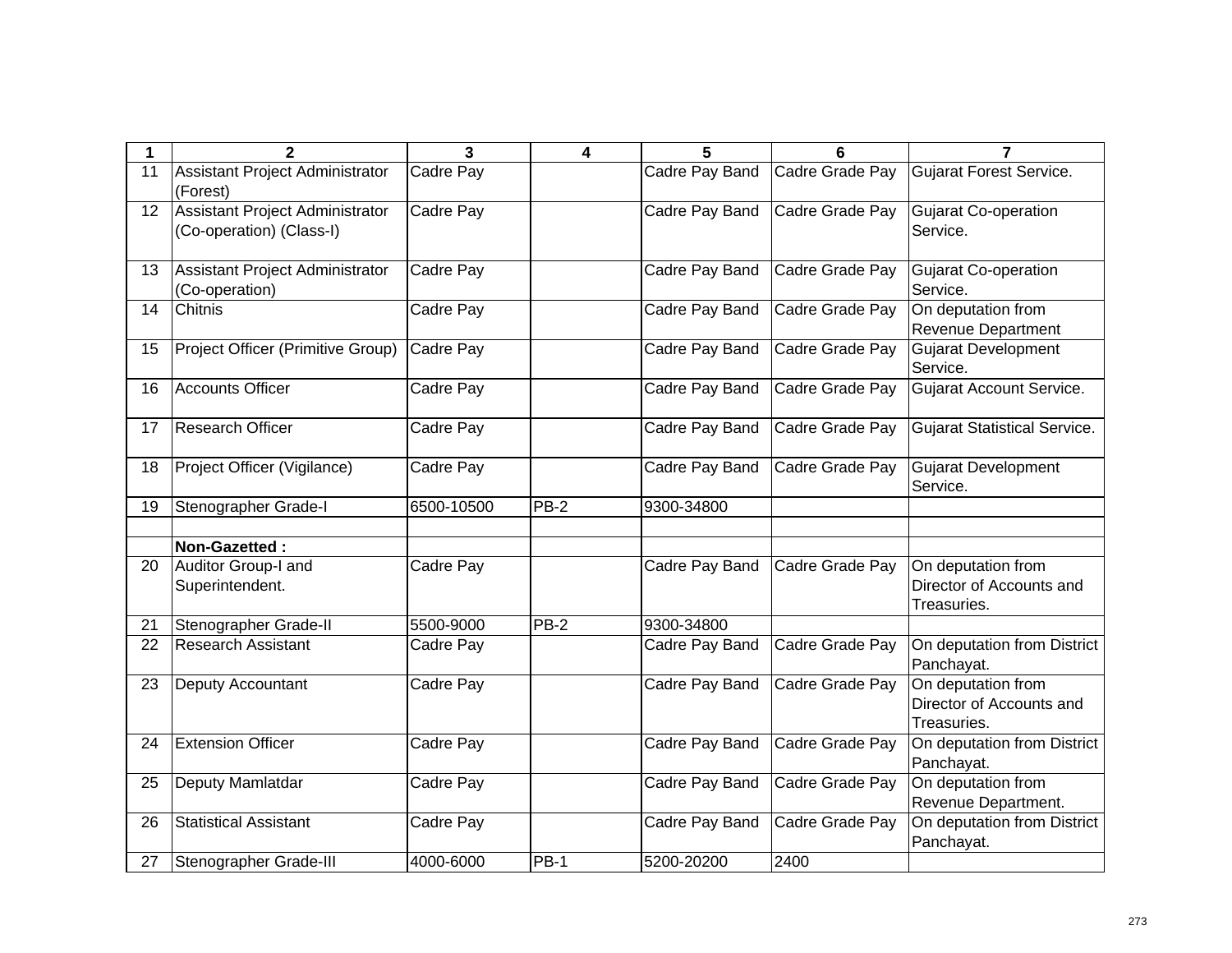|    | $\mathbf{2}$                                                       | 3          | 4           | 5              | 6               | 7                                                             |
|----|--------------------------------------------------------------------|------------|-------------|----------------|-----------------|---------------------------------------------------------------|
| 11 | Assistant Project Administrator<br>(Forest)                        | Cadre Pay  |             | Cadre Pay Band | Cadre Grade Pay | <b>Gujarat Forest Service.</b>                                |
| 12 | <b>Assistant Project Administrator</b><br>(Co-operation) (Class-I) | Cadre Pay  |             | Cadre Pay Band | Cadre Grade Pay | Gujarat Co-operation<br>Service.                              |
| 13 | Assistant Project Administrator<br>(Co-operation)                  | Cadre Pay  |             | Cadre Pay Band | Cadre Grade Pay | <b>Gujarat Co-operation</b><br>Service.                       |
| 14 | Chitnis                                                            | Cadre Pay  |             | Cadre Pay Band | Cadre Grade Pay | On deputation from<br>Revenue Department                      |
| 15 | Project Officer (Primitive Group)                                  | Cadre Pay  |             | Cadre Pay Band | Cadre Grade Pay | <b>Gujarat Development</b><br>Service.                        |
| 16 | <b>Accounts Officer</b>                                            | Cadre Pay  |             | Cadre Pay Band | Cadre Grade Pay | Gujarat Account Service.                                      |
| 17 | Research Officer                                                   | Cadre Pay  |             | Cadre Pay Band | Cadre Grade Pay | <b>Gujarat Statistical Service.</b>                           |
| 18 | Project Officer (Vigilance)                                        | Cadre Pay  |             | Cadre Pay Band | Cadre Grade Pay | <b>Gujarat Development</b><br>Service.                        |
| 19 | Stenographer Grade-I                                               | 6500-10500 | PB-2        | 9300-34800     |                 |                                                               |
|    | Non-Gazetted:                                                      |            |             |                |                 |                                                               |
| 20 | Auditor Group-I and<br>Superintendent.                             | Cadre Pay  |             | Cadre Pay Band | Cadre Grade Pay | On deputation from<br>Director of Accounts and<br>Treasuries. |
| 21 | Stenographer Grade-II                                              | 5500-9000  | $PB-2$      | 9300-34800     |                 |                                                               |
| 22 | <b>Research Assistant</b>                                          | Cadre Pay  |             | Cadre Pay Band | Cadre Grade Pay | On deputation from District<br>Panchayat.                     |
| 23 | Deputy Accountant                                                  | Cadre Pay  |             | Cadre Pay Band | Cadre Grade Pay | On deputation from<br>Director of Accounts and<br>Treasuries. |
| 24 | <b>Extension Officer</b>                                           | Cadre Pay  |             | Cadre Pay Band | Cadre Grade Pay | On deputation from District<br>Panchayat.                     |
| 25 | Deputy Mamlatdar                                                   | Cadre Pay  |             | Cadre Pay Band | Cadre Grade Pay | On deputation from<br>Revenue Department.                     |
| 26 | <b>Statistical Assistant</b>                                       | Cadre Pay  |             | Cadre Pay Band | Cadre Grade Pay | On deputation from District<br>Panchayat.                     |
| 27 | Stenographer Grade-III                                             | 4000-6000  | <b>PB-1</b> | 5200-20200     | 2400            |                                                               |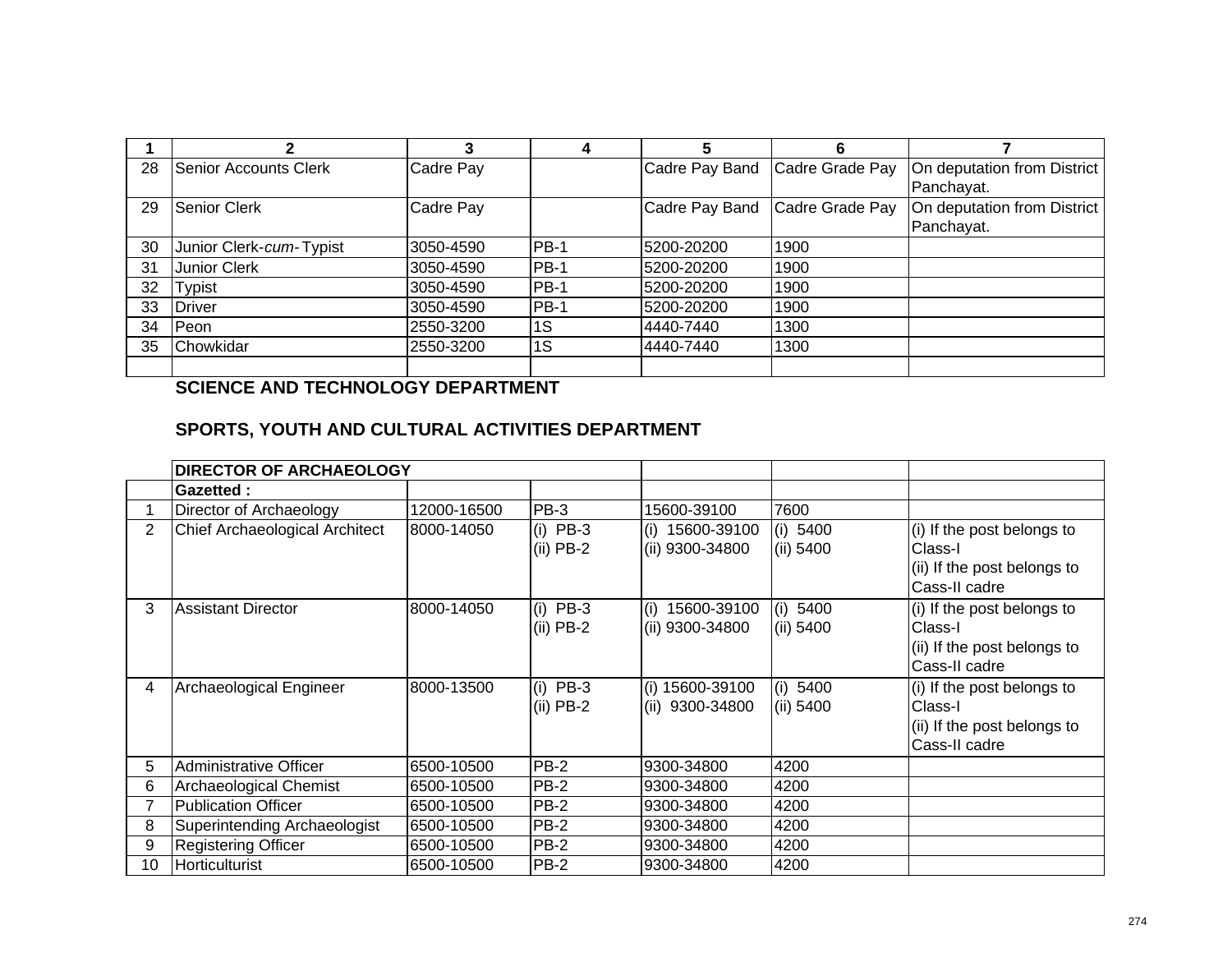|    | 2                       |           |        |                | 6                              |                                           |
|----|-------------------------|-----------|--------|----------------|--------------------------------|-------------------------------------------|
| 28 | Senior Accounts Clerk   | Cadre Pay |        |                | Cadre Pay Band Cadre Grade Pay | On deputation from District<br>Panchayat. |
| 29 | Senior Clerk            | Cadre Pay |        | Cadre Pay Band | Cadre Grade Pay                | On deputation from District<br>Panchayat. |
| 30 | Junior Clerk-cum-Typist | 3050-4590 | $PB-1$ | 5200-20200     | 1900                           |                                           |
| 31 | <b>Junior Clerk</b>     | 3050-4590 | $PB-1$ | 5200-20200     | 1900                           |                                           |
| 32 | <b>Typist</b>           | 3050-4590 | $PB-1$ | 5200-20200     | 1900                           |                                           |
| 33 | <b>Driver</b>           | 3050-4590 | $PB-1$ | 5200-20200     | 1900                           |                                           |
| 34 | Peon                    | 2550-3200 | 1S     | 4440-7440      | 1300                           |                                           |
| 35 | Chowkidar               | 2550-3200 | 1S     | 4440-7440      | 1300                           |                                           |
|    |                         |           |        |                |                                |                                           |

## **SCIENCE AND TECHNOLOGY DEPARTMENT**

## **SPORTS, YOUTH AND CULTURAL ACTIVITIES DEPARTMENT**

|                | <b>DIRECTOR OF ARCHAEOLOGY</b> |             |                           |                                       |                       |                                                                                       |
|----------------|--------------------------------|-------------|---------------------------|---------------------------------------|-----------------------|---------------------------------------------------------------------------------------|
|                | Gazetted:                      |             |                           |                                       |                       |                                                                                       |
|                | Director of Archaeology        | 12000-16500 | PB-3                      | 15600-39100                           | 7600                  |                                                                                       |
| $\overline{2}$ | Chief Archaeological Architect | 8000-14050  | $(i)$ PB-3<br>$(ii)$ PB-2 | 15600-39100<br>(i)<br>(ii) 9300-34800 | (i) 5400<br>(ii) 5400 | (i) If the post belongs to<br>Class-I<br>(ii) If the post belongs to<br>Cass-II cadre |
| 3              | <b>Assistant Director</b>      | 8000-14050  | $(i)$ PB-3<br>$(ii)$ PB-2 | 15600-39100<br>(i)<br>(ii) 9300-34800 | (i) 5400<br>(ii) 5400 | (i) If the post belongs to<br>Class-I<br>(ii) If the post belongs to<br>Cass-II cadre |
| 4              | Archaeological Engineer        | 8000-13500  | $(i)$ PB-3<br>$(ii)$ PB-2 | (i) 15600-39100<br>9300-34800<br>(ii) | (i) 5400<br>(ii) 5400 | (i) If the post belongs to<br>Class-I<br>(ii) If the post belongs to<br>Cass-II cadre |
| 5              | Administrative Officer         | 6500-10500  | <b>PB-2</b>               | 9300-34800                            | 4200                  |                                                                                       |
| 6              | Archaeological Chemist         | 6500-10500  | PB-2                      | 9300-34800                            | 4200                  |                                                                                       |
|                | <b>Publication Officer</b>     | 6500-10500  | $PB-2$                    | 9300-34800                            | 4200                  |                                                                                       |
| 8              | Superintending Archaeologist   | 6500-10500  | <b>PB-2</b>               | 9300-34800                            | 4200                  |                                                                                       |
| 9              | <b>Registering Officer</b>     | 6500-10500  | <b>PB-2</b>               | 9300-34800                            | 4200                  |                                                                                       |
| 10             | Horticulturist                 | 6500-10500  | <b>PB-2</b>               | 9300-34800                            | 4200                  |                                                                                       |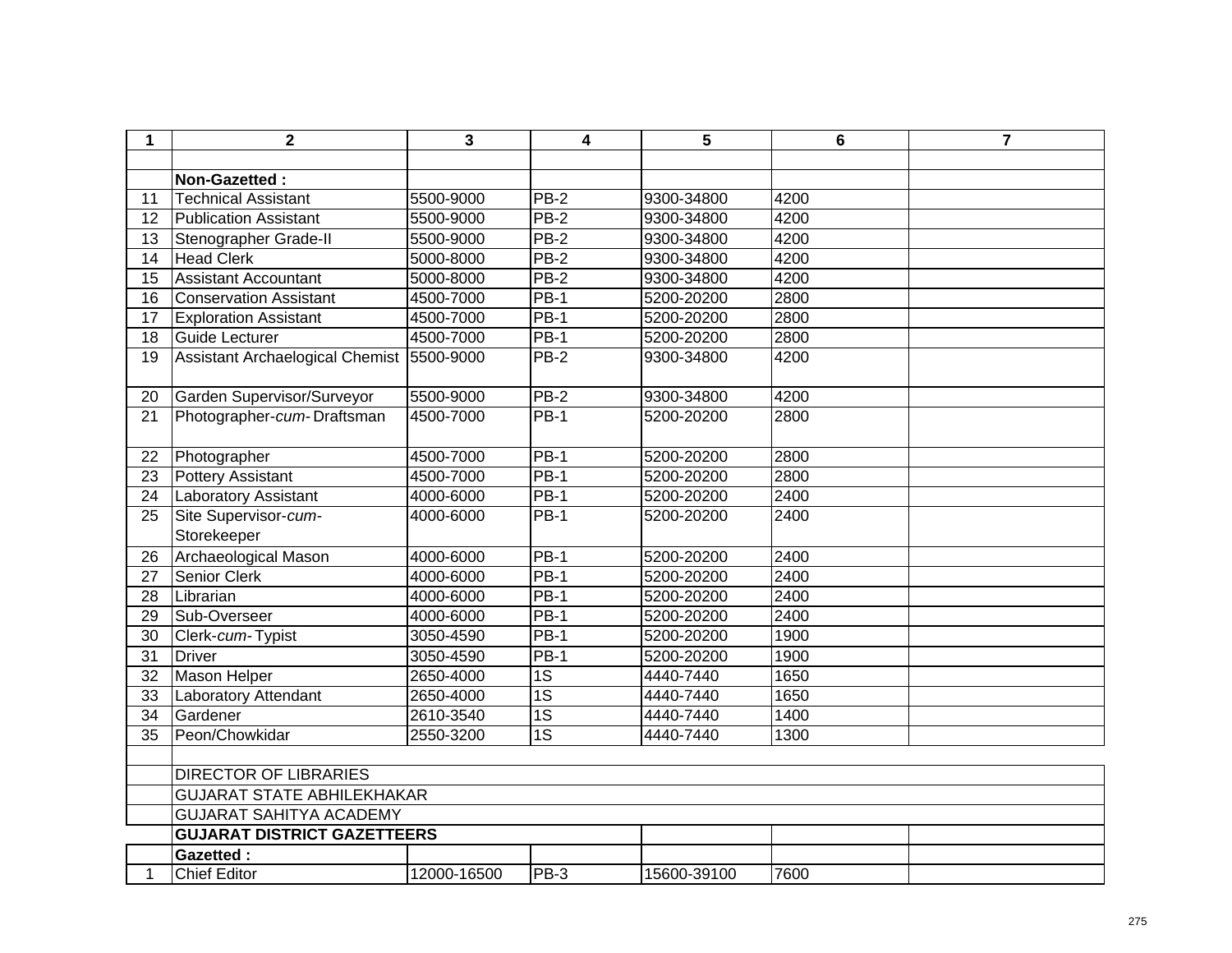| 1  | $\overline{\mathbf{2}}$                   | 3           | 4               | 5           | $6\phantom{1}6$ | $\overline{7}$ |
|----|-------------------------------------------|-------------|-----------------|-------------|-----------------|----------------|
|    |                                           |             |                 |             |                 |                |
|    | Non-Gazetted:                             |             |                 |             |                 |                |
| 11 | <b>Technical Assistant</b>                | 5500-9000   | $PB-2$          | 9300-34800  | 4200            |                |
| 12 | Publication Assistant                     | 5500-9000   | $PB-2$          | 9300-34800  | 4200            |                |
| 13 | Stenographer Grade-II                     | 5500-9000   | $PB-2$          | 9300-34800  | 4200            |                |
| 14 | <b>Head Clerk</b>                         | 5000-8000   | <b>PB-2</b>     | 9300-34800  | 4200            |                |
| 15 | <b>Assistant Accountant</b>               | 5000-8000   | $PB-2$          | 9300-34800  | 4200            |                |
| 16 | <b>Conservation Assistant</b>             | 4500-7000   | $PB-1$          | 5200-20200  | 2800            |                |
| 17 | <b>Exploration Assistant</b>              | 4500-7000   | <b>PB-1</b>     | 5200-20200  | 2800            |                |
| 18 | Guide Lecturer                            | 4500-7000   | $PB-1$          | 5200-20200  | 2800            |                |
| 19 | Assistant Archaelogical Chemist 5500-9000 |             | PB-2            | 9300-34800  | 4200            |                |
|    |                                           |             |                 |             |                 |                |
| 20 | Garden Supervisor/Surveyor                | 5500-9000   | $PB-2$          | 9300-34800  | 4200            |                |
| 21 | Photographer-cum-Draftsman                | 4500-7000   | <b>PB-1</b>     | 5200-20200  | 2800            |                |
| 22 | Photographer                              | 4500-7000   | $PB-1$          | 5200-20200  | 2800            |                |
| 23 | Pottery Assistant                         | 4500-7000   | $PB-1$          | 5200-20200  | 2800            |                |
| 24 | <b>Laboratory Assistant</b>               | 4000-6000   | <b>PB-1</b>     | 5200-20200  | 2400            |                |
| 25 | Site Supervisor-cum-                      | 4000-6000   | $PB-1$          | 5200-20200  | 2400            |                |
|    | Storekeeper                               |             |                 |             |                 |                |
| 26 | <b>Archaeological Mason</b>               | 4000-6000   | <b>PB-1</b>     | 5200-20200  | 2400            |                |
| 27 | <b>Senior Clerk</b>                       | 4000-6000   | $PB-1$          | 5200-20200  | 2400            |                |
| 28 | Librarian                                 | 4000-6000   | $PB-1$          | 5200-20200  | 2400            |                |
| 29 | Sub-Overseer                              | 4000-6000   | $PB-1$          | 5200-20200  | 2400            |                |
| 30 | Clerk-cum-Typist                          | 3050-4590   | <b>PB-1</b>     | 5200-20200  | 1900            |                |
| 31 | <b>Driver</b>                             | 3050-4590   | <b>PB-1</b>     | 5200-20200  | 1900            |                |
| 32 | Mason Helper                              | 2650-4000   | 1S              | 4440-7440   | 1650            |                |
| 33 | <b>Laboratory Attendant</b>               | 2650-4000   | 1S              | 4440-7440   | 1650            |                |
| 34 | Gardener                                  | 2610-3540   | $\overline{1S}$ | 4440-7440   | 1400            |                |
| 35 | Peon/Chowkidar                            | 2550-3200   | $\overline{1S}$ | 4440-7440   | 1300            |                |
|    |                                           |             |                 |             |                 |                |
|    | <b>DIRECTOR OF LIBRARIES</b>              |             |                 |             |                 |                |
|    | <b>GUJARAT STATE ABHILEKHAKAR</b>         |             |                 |             |                 |                |
|    | <b>GUJARAT SAHITYA ACADEMY</b>            |             |                 |             |                 |                |
|    | <b>GUJARAT DISTRICT GAZETTEERS</b>        |             |                 |             |                 |                |
|    | <b>Gazetted:</b>                          |             |                 |             |                 |                |
| 1  | <b>Chief Editor</b>                       | 12000-16500 | PB-3            | 15600-39100 | 7600            |                |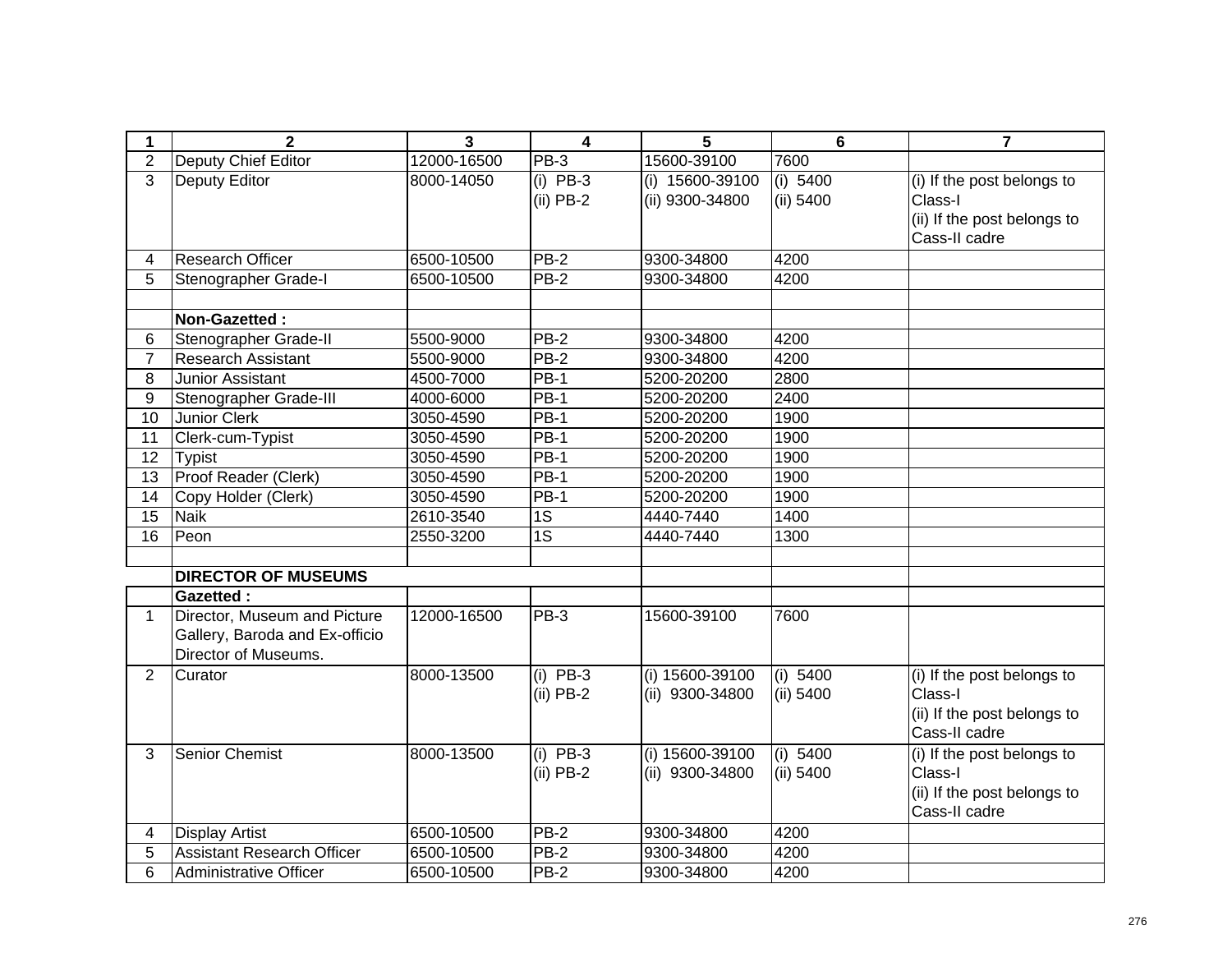| 1               | $\overline{2}$                    | 3           | $\overline{\mathbf{4}}$ | 5               | $6\phantom{1}$ | $\overline{7}$              |
|-----------------|-----------------------------------|-------------|-------------------------|-----------------|----------------|-----------------------------|
| $\overline{2}$  | Deputy Chief Editor               | 12000-16500 | PB-3                    | 15600-39100     | 7600           |                             |
| $\overline{3}$  | <b>Deputy Editor</b>              | 8000-14050  | $(i)$ PB-3              | (i) 15600-39100 | (i) 5400       | (i) If the post belongs to  |
|                 |                                   |             | $(ii)$ PB-2             | (ii) 9300-34800 | (ii) 5400      | Class-I                     |
|                 |                                   |             |                         |                 |                | (ii) If the post belongs to |
|                 |                                   |             |                         |                 |                | Cass-II cadre               |
| 4               | <b>Research Officer</b>           | 6500-10500  | PB-2                    | 9300-34800      | 4200           |                             |
| 5               | Stenographer Grade-I              | 6500-10500  | <b>PB-2</b>             | 9300-34800      | 4200           |                             |
|                 |                                   |             |                         |                 |                |                             |
|                 | Non-Gazetted:                     |             |                         |                 |                |                             |
| 6               | Stenographer Grade-II             | 5500-9000   | <b>PB-2</b>             | 9300-34800      | 4200           |                             |
| $\overline{7}$  | <b>Research Assistant</b>         | 5500-9000   | $PB-2$                  | 9300-34800      | 4200           |                             |
| 8               | Junior Assistant                  | 4500-7000   | <b>PB-1</b>             | 5200-20200      | 2800           |                             |
| 9               | Stenographer Grade-III            | 4000-6000   | $\overline{PB-1}$       | 5200-20200      | 2400           |                             |
| $\overline{10}$ | <b>Junior Clerk</b>               | 3050-4590   | $PB-1$                  | 5200-20200      | 1900           |                             |
| 11              | Clerk-cum-Typist                  | 3050-4590   | <b>PB-1</b>             | 5200-20200      | 1900           |                             |
| 12              | Typist                            | 3050-4590   | <b>PB-1</b>             | 5200-20200      | 1900           |                             |
| 13              | Proof Reader (Clerk)              | 3050-4590   | <b>PB-1</b>             | 5200-20200      | 1900           |                             |
| 14              | Copy Holder (Clerk)               | 3050-4590   | $PB-1$                  | 5200-20200      | 1900           |                             |
| $\overline{15}$ | <b>Naik</b>                       | 2610-3540   | 1S                      | 4440-7440       | 1400           |                             |
| 16              | Peon                              | 2550-3200   | 1S                      | 4440-7440       | 1300           |                             |
|                 |                                   |             |                         |                 |                |                             |
|                 | <b>DIRECTOR OF MUSEUMS</b>        |             |                         |                 |                |                             |
|                 | <b>Gazetted:</b>                  |             |                         |                 |                |                             |
| 1               | Director, Museum and Picture      | 12000-16500 | PB-3                    | 15600-39100     | 7600           |                             |
|                 | Gallery, Baroda and Ex-officio    |             |                         |                 |                |                             |
|                 | Director of Museums.              |             |                         |                 |                |                             |
| $\overline{2}$  | Curator                           | 8000-13500  | $(i)$ PB-3              | (i) 15600-39100 | (i) 5400       | (i) If the post belongs to  |
|                 |                                   |             | $(ii)$ PB-2             | (ii) 9300-34800 | $(ii)$ 5400    | Class-I                     |
|                 |                                   |             |                         |                 |                | (ii) If the post belongs to |
|                 |                                   |             |                         |                 |                | Cass-II cadre               |
| 3               | <b>Senior Chemist</b>             | 8000-13500  | $(i)$ PB-3              | (i) 15600-39100 | (i) 5400       | (i) If the post belongs to  |
|                 |                                   |             | $(ii)$ PB-2             | (ii) 9300-34800 | (ii) 5400      | Class-I                     |
|                 |                                   |             |                         |                 |                | (ii) If the post belongs to |
|                 |                                   |             |                         |                 |                | Cass-II cadre               |
| 4               | <b>Display Artist</b>             | 6500-10500  | PB-2                    | 9300-34800      | 4200           |                             |
| 5               | <b>Assistant Research Officer</b> | 6500-10500  | $PB-2$                  | 9300-34800      | 4200           |                             |
| 6               | <b>Administrative Officer</b>     | 6500-10500  | <b>PB-2</b>             | 9300-34800      | 4200           |                             |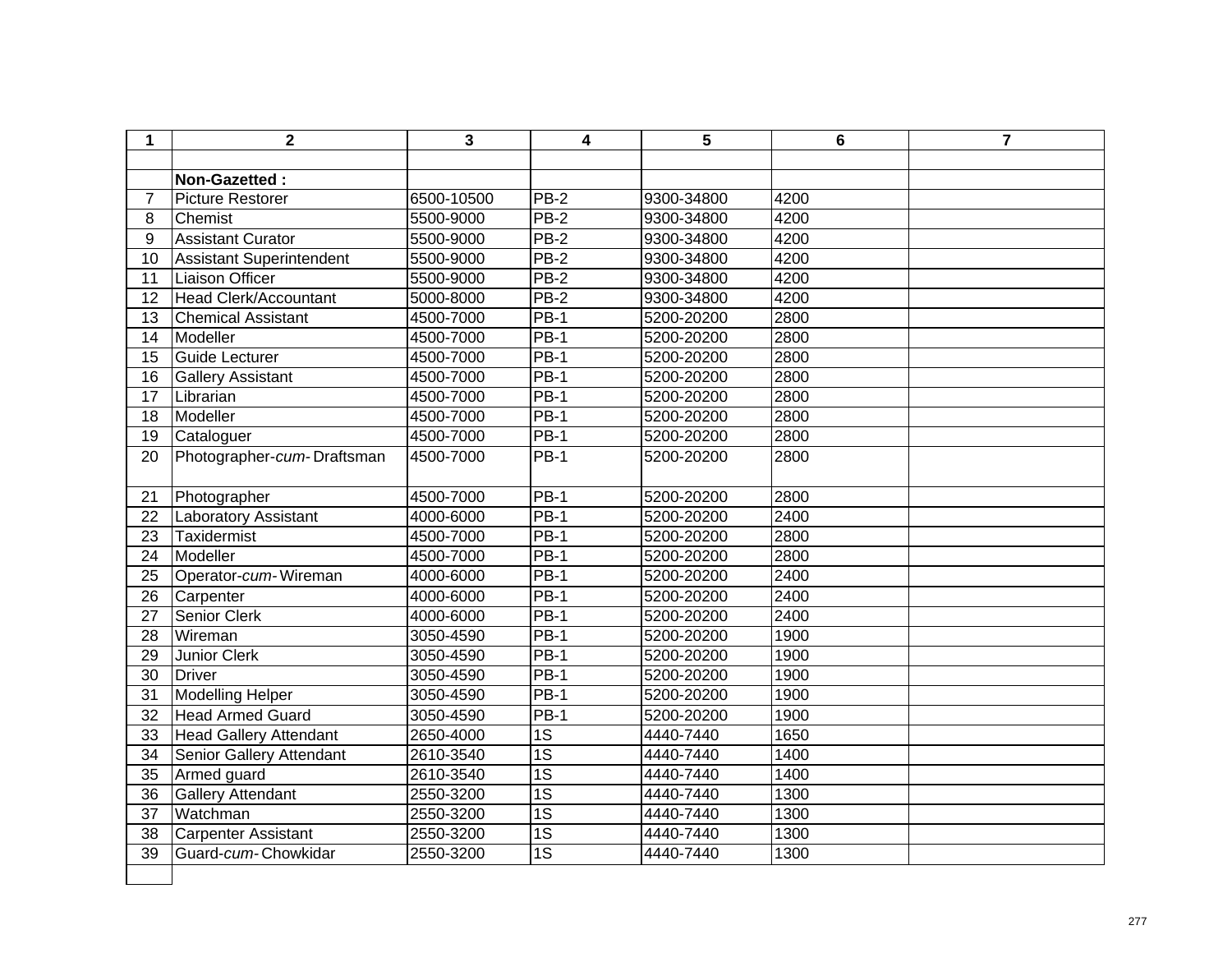| 1               | $\mathbf{2}$                    | 3          | 4               | 5          | 6    | $\overline{7}$ |
|-----------------|---------------------------------|------------|-----------------|------------|------|----------------|
|                 |                                 |            |                 |            |      |                |
|                 | Non-Gazetted:                   |            |                 |            |      |                |
| $\overline{7}$  | <b>Picture Restorer</b>         | 6500-10500 | PB-2            | 9300-34800 | 4200 |                |
| 8               | Chemist                         | 5500-9000  | $PB-2$          | 9300-34800 | 4200 |                |
| 9               | <b>Assistant Curator</b>        | 5500-9000  | $PB-2$          | 9300-34800 | 4200 |                |
| 10              | <b>Assistant Superintendent</b> | 5500-9000  | $PB-2$          | 9300-34800 | 4200 |                |
| 11              | <b>Liaison Officer</b>          | 5500-9000  | $PB-2$          | 9300-34800 | 4200 |                |
| 12              | <b>Head Clerk/Accountant</b>    | 5000-8000  | $PB-2$          | 9300-34800 | 4200 |                |
| 13              | <b>Chemical Assistant</b>       | 4500-7000  | $PB-1$          | 5200-20200 | 2800 |                |
| 14              | Modeller                        | 4500-7000  | $PB-1$          | 5200-20200 | 2800 |                |
| 15              | Guide Lecturer                  | 4500-7000  | $PB-1$          | 5200-20200 | 2800 |                |
| 16              | <b>Gallery Assistant</b>        | 4500-7000  | $PB-1$          | 5200-20200 | 2800 |                |
| 17              | Librarian                       | 4500-7000  | $PB-1$          | 5200-20200 | 2800 |                |
| 18              | Modeller                        | 4500-7000  | $PB-1$          | 5200-20200 | 2800 |                |
| $\overline{19}$ | Cataloguer                      | 4500-7000  | $PB-1$          | 5200-20200 | 2800 |                |
| 20              | Photographer-cum-Draftsman      | 4500-7000  | $PB-1$          | 5200-20200 | 2800 |                |
| 21              | Photographer                    | 4500-7000  | $PB-1$          | 5200-20200 | 2800 |                |
| 22              | <b>Laboratory Assistant</b>     | 4000-6000  | <b>PB-1</b>     | 5200-20200 | 2400 |                |
| 23              | <b>Taxidermist</b>              | 4500-7000  | $PB-1$          | 5200-20200 | 2800 |                |
| 24              | Modeller                        | 4500-7000  | <b>PB-1</b>     | 5200-20200 | 2800 |                |
| 25              | Operator-cum-Wireman            | 4000-6000  | $PB-1$          | 5200-20200 | 2400 |                |
| 26              | Carpenter                       | 4000-6000  | <b>PB-1</b>     | 5200-20200 | 2400 |                |
| 27              | Senior Clerk                    | 4000-6000  | $PB-1$          | 5200-20200 | 2400 |                |
| 28              | Wireman                         | 3050-4590  | $PB-1$          | 5200-20200 | 1900 |                |
| 29              | <b>Junior Clerk</b>             | 3050-4590  | $PB-1$          | 5200-20200 | 1900 |                |
| 30              | <b>Driver</b>                   | 3050-4590  | <b>PB-1</b>     | 5200-20200 | 1900 |                |
| 31              | Modelling Helper                | 3050-4590  | $PB-1$          | 5200-20200 | 1900 |                |
| 32              | <b>Head Armed Guard</b>         | 3050-4590  | <b>PB-1</b>     | 5200-20200 | 1900 |                |
| 33              | <b>Head Gallery Attendant</b>   | 2650-4000  | $\overline{1S}$ | 4440-7440  | 1650 |                |
| 34              | Senior Gallery Attendant        | 2610-3540  | $\overline{1S}$ | 4440-7440  | 1400 |                |
| 35              | Armed guard                     | 2610-3540  | $\overline{1S}$ | 4440-7440  | 1400 |                |
| 36              | <b>Gallery Attendant</b>        | 2550-3200  | $\overline{1S}$ | 4440-7440  | 1300 |                |
| 37              | Watchman                        | 2550-3200  | 1S              | 4440-7440  | 1300 |                |
| 38              | <b>Carpenter Assistant</b>      | 2550-3200  | $\overline{1S}$ | 4440-7440  | 1300 |                |
| 39              | Guard-cum-Chowkidar             | 2550-3200  | $\overline{1S}$ | 4440-7440  | 1300 |                |
|                 |                                 |            |                 |            |      |                |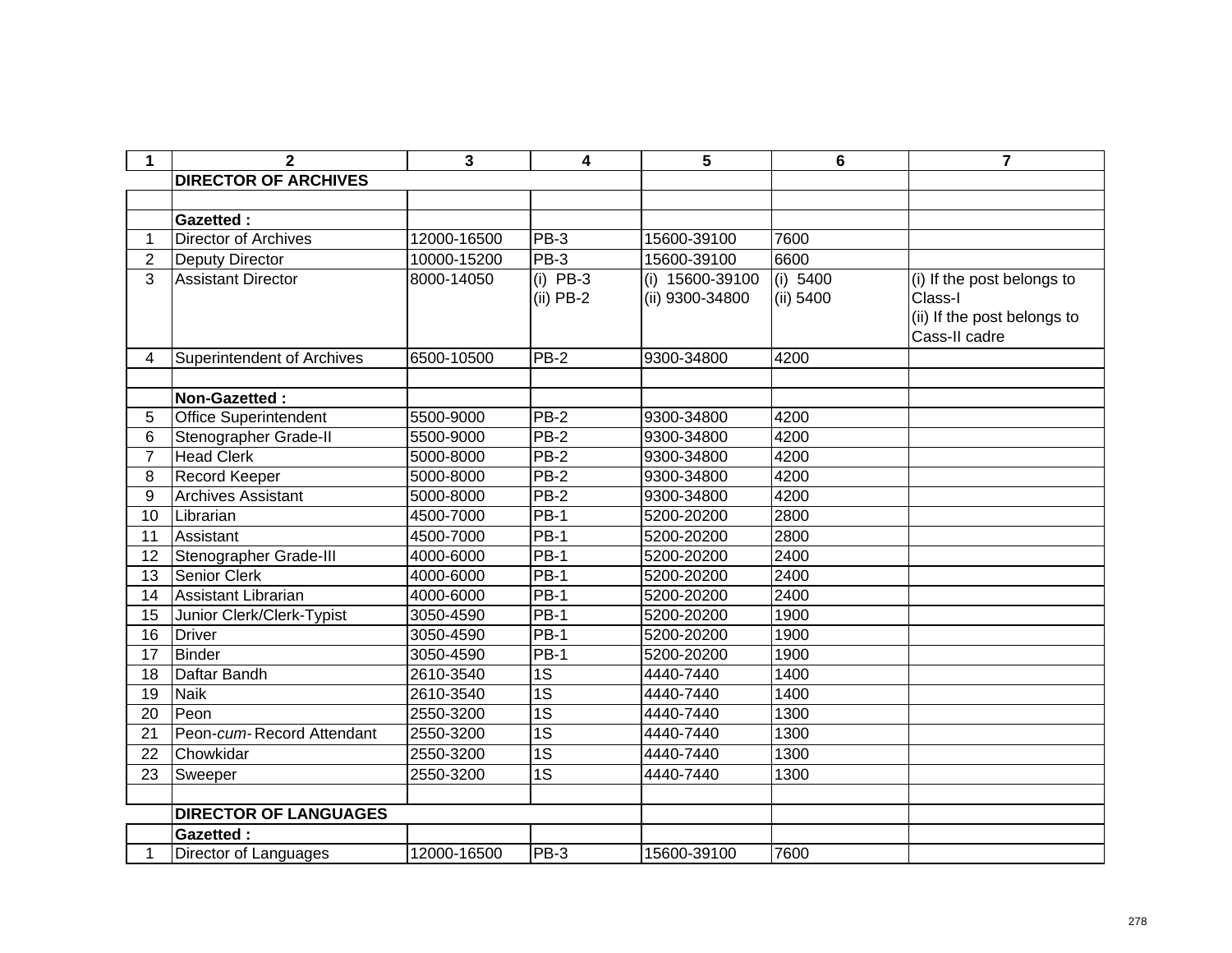| $\mathbf 1$    | $\mathbf{2}$                 | 3           | 4                         | 5                                  | 6                     | 7                                                                                     |
|----------------|------------------------------|-------------|---------------------------|------------------------------------|-----------------------|---------------------------------------------------------------------------------------|
|                | <b>DIRECTOR OF ARCHIVES</b>  |             |                           |                                    |                       |                                                                                       |
|                |                              |             |                           |                                    |                       |                                                                                       |
|                | <b>Gazetted:</b>             |             |                           |                                    |                       |                                                                                       |
| $\mathbf 1$    | <b>Director of Archives</b>  | 12000-16500 | $PB-3$                    | 15600-39100                        | 7600                  |                                                                                       |
| $\overline{2}$ | Deputy Director              | 10000-15200 | $PB-3$                    | 15600-39100                        | 6600                  |                                                                                       |
| 3              | <b>Assistant Director</b>    | 8000-14050  | $(i)$ PB-3<br>$(ii)$ PB-2 | (i) 15600-39100<br>(ii) 9300-34800 | (i) 5400<br>(ii) 5400 | (i) If the post belongs to<br>Class-I<br>(ii) If the post belongs to<br>Cass-II cadre |
| 4              | Superintendent of Archives   | 6500-10500  | <b>PB-2</b>               | 9300-34800                         | 4200                  |                                                                                       |
|                |                              |             |                           |                                    |                       |                                                                                       |
|                | Non-Gazetted:                |             |                           |                                    |                       |                                                                                       |
| 5              | <b>Office Superintendent</b> | 5500-9000   | $PB-2$                    | 9300-34800                         | 4200                  |                                                                                       |
| 6              | Stenographer Grade-II        | 5500-9000   | <b>PB-2</b>               | 9300-34800                         | 4200                  |                                                                                       |
| $\overline{7}$ | <b>Head Clerk</b>            | 5000-8000   | <b>PB-2</b>               | 9300-34800                         | 4200                  |                                                                                       |
| 8              | Record Keeper                | 5000-8000   | $PB-2$                    | 9300-34800                         | 4200                  |                                                                                       |
| 9              | <b>Archives Assistant</b>    | 5000-8000   | $PB-2$                    | 9300-34800                         | 4200                  |                                                                                       |
| 10             | Librarian                    | 4500-7000   | <b>PB-1</b>               | 5200-20200                         | 2800                  |                                                                                       |
| 11             | Assistant                    | 4500-7000   | $PB-1$                    | 5200-20200                         | 2800                  |                                                                                       |
| 12             | Stenographer Grade-III       | 4000-6000   | $PB-1$                    | 5200-20200                         | 2400                  |                                                                                       |
| 13             | <b>Senior Clerk</b>          | 4000-6000   | $PB-1$                    | 5200-20200                         | 2400                  |                                                                                       |
| 14             | Assistant Librarian          | 4000-6000   | $PB-1$                    | 5200-20200                         | 2400                  |                                                                                       |
| 15             | Junior Clerk/Clerk-Typist    | 3050-4590   | $PB-1$                    | 5200-20200                         | 1900                  |                                                                                       |
| 16             | <b>Driver</b>                | 3050-4590   | $PB-1$                    | 5200-20200                         | 1900                  |                                                                                       |
| 17             | <b>Binder</b>                | 3050-4590   | $PB-1$                    | 5200-20200                         | 1900                  |                                                                                       |
| 18             | Daftar Bandh                 | 2610-3540   | $\overline{1S}$           | 4440-7440                          | 1400                  |                                                                                       |
| 19             | <b>Naik</b>                  | 2610-3540   | $\overline{1S}$           | 4440-7440                          | 1400                  |                                                                                       |
| 20             | Peon                         | 2550-3200   | $\overline{1S}$           | 4440-7440                          | 1300                  |                                                                                       |
| 21             | Peon-cum-Record Attendant    | 2550-3200   | $\overline{1S}$           | 4440-7440                          | 1300                  |                                                                                       |
| 22             | Chowkidar                    | 2550-3200   | $\overline{1S}$           | 4440-7440                          | 1300                  |                                                                                       |
| 23             | Sweeper                      | 2550-3200   | $\overline{1S}$           | 4440-7440                          | 1300                  |                                                                                       |
|                |                              |             |                           |                                    |                       |                                                                                       |
|                | <b>DIRECTOR OF LANGUAGES</b> |             |                           |                                    |                       |                                                                                       |
|                | <b>Gazetted:</b>             |             |                           |                                    |                       |                                                                                       |
| 1              | Director of Languages        | 12000-16500 | PB-3                      | 15600-39100                        | 7600                  |                                                                                       |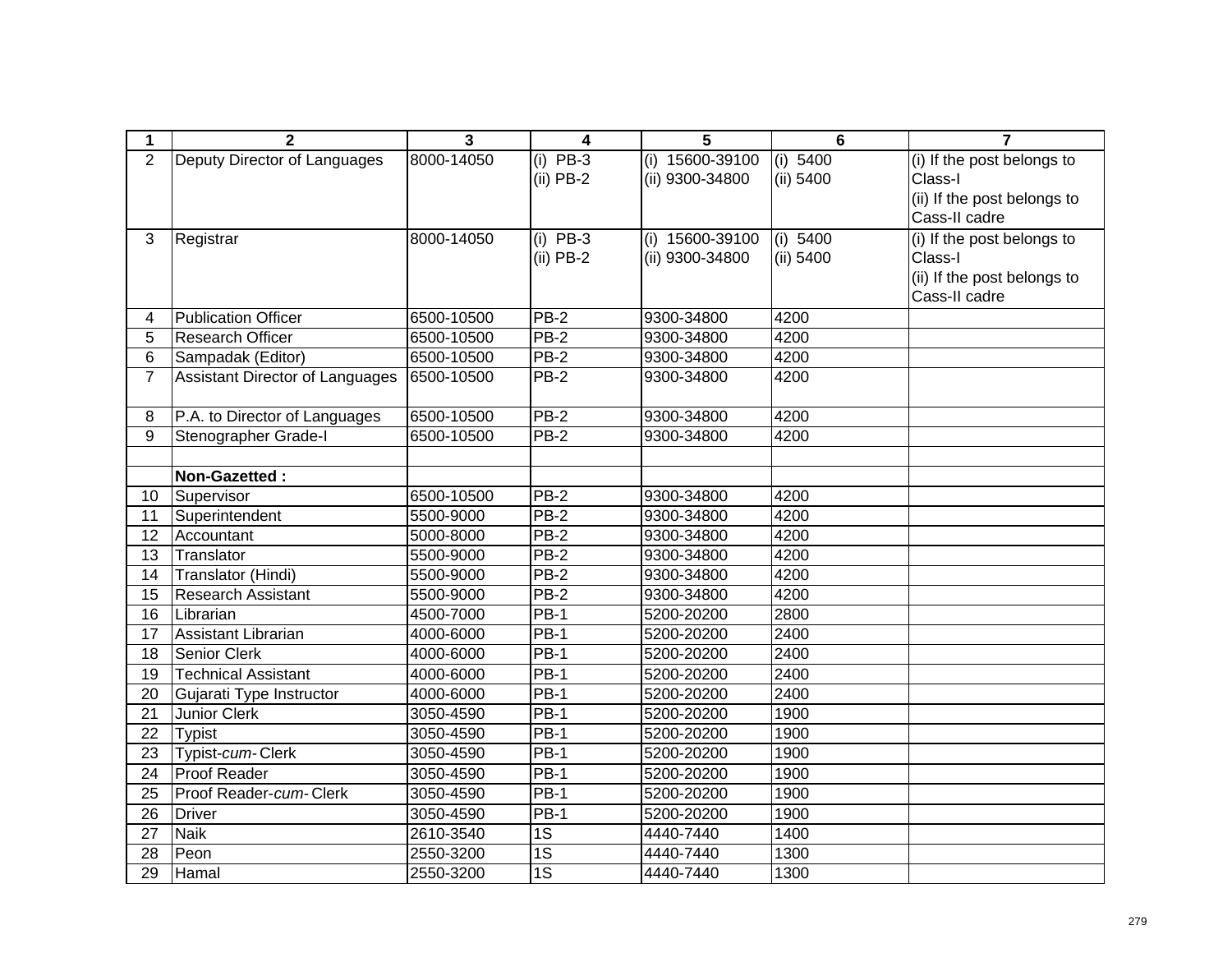| 1               | $\overline{2}$                  | $\mathbf{3}$ | 4               | 5               | $6\phantom{1}6$ | $\overline{7}$              |
|-----------------|---------------------------------|--------------|-----------------|-----------------|-----------------|-----------------------------|
| $\overline{2}$  | Deputy Director of Languages    | 8000-14050   | $(i)$ PB-3      | (i) 15600-39100 | (i) $5400$      | (i) If the post belongs to  |
|                 |                                 |              | $(ii)$ PB-2     | (ii) 9300-34800 | (ii) 5400       | Class-I                     |
|                 |                                 |              |                 |                 |                 | (ii) If the post belongs to |
|                 |                                 |              |                 |                 |                 | Cass-II cadre               |
| 3               | Registrar                       | 8000-14050   | (i) $PB-3$      | (i) 15600-39100 | (i) 5400        | (i) If the post belongs to  |
|                 |                                 |              | $(ii)$ PB-2     | (ii) 9300-34800 | (ii) 5400       | Class-I                     |
|                 |                                 |              |                 |                 |                 | (ii) If the post belongs to |
|                 |                                 |              |                 |                 |                 | Cass-II cadre               |
| 4               | <b>Publication Officer</b>      | 6500-10500   | $PB-2$          | 9300-34800      | 4200            |                             |
| 5               | <b>Research Officer</b>         | 6500-10500   | $PB-2$          | 9300-34800      | 4200            |                             |
| 6               | Sampadak (Editor)               | 6500-10500   | $PB-2$          | 9300-34800      | 4200            |                             |
| $\overline{7}$  | Assistant Director of Languages | 6500-10500   | $PB-2$          | 9300-34800      | 4200            |                             |
|                 |                                 |              |                 |                 |                 |                             |
| 8               | P.A. to Director of Languages   | 6500-10500   | $PB-2$          | 9300-34800      | 4200            |                             |
| 9               | Stenographer Grade-I            | 6500-10500   | $PB-2$          | 9300-34800      | 4200            |                             |
|                 |                                 |              |                 |                 |                 |                             |
|                 | Non-Gazetted:                   |              |                 |                 |                 |                             |
| 10              | Supervisor                      | 6500-10500   | $PB-2$          | 9300-34800      | 4200            |                             |
| 11              | Superintendent                  | 5500-9000    | $PB-2$          | 9300-34800      | 4200            |                             |
| 12              | Accountant                      | 5000-8000    | PB-2            | 9300-34800      | 4200            |                             |
| 13              | Translator                      | 5500-9000    | $PB-2$          | 9300-34800      | 4200            |                             |
| 14              | Translator (Hindi)              | 5500-9000    | $PB-2$          | 9300-34800      | 4200            |                             |
| 15              | <b>Research Assistant</b>       | 5500-9000    | PB-2            | 9300-34800      | 4200            |                             |
| 16              | Librarian                       | 4500-7000    | $PB-1$          | 5200-20200      | 2800            |                             |
| 17              | Assistant Librarian             | 4000-6000    | $PB-1$          | 5200-20200      | 2400            |                             |
| 18              | Senior Clerk                    | 4000-6000    | $PB-1$          | 5200-20200      | 2400            |                             |
| 19              | <b>Technical Assistant</b>      | 4000-6000    | $PB-1$          | 5200-20200      | 2400            |                             |
| 20              | Gujarati Type Instructor        | 4000-6000    | $PB-1$          | 5200-20200      | 2400            |                             |
| $\overline{21}$ | <b>Junior Clerk</b>             | 3050-4590    | $PB-1$          | 5200-20200      | 1900            |                             |
| 22              | <b>Typist</b>                   | 3050-4590    | $PB-1$          | 5200-20200      | 1900            |                             |
| 23              | Typist-cum-Clerk                | 3050-4590    | $PB-1$          | 5200-20200      | 1900            |                             |
| 24              | <b>Proof Reader</b>             | 3050-4590    | $PB-1$          | 5200-20200      | 1900            |                             |
| 25              | Proof Reader-cum-Clerk          | 3050-4590    | $PB-1$          | 5200-20200      | 1900            |                             |
| $\overline{26}$ | <b>Driver</b>                   | 3050-4590    | $PB-1$          | 5200-20200      | 1900            |                             |
| 27              | <b>Naik</b>                     | 2610-3540    | 1S              | 4440-7440       | 1400            |                             |
| 28              | Peon                            | 2550-3200    | $\overline{1S}$ | 4440-7440       | 1300            |                             |
| 29              | Hamal                           | 2550-3200    | $\overline{1S}$ | 4440-7440       | 1300            |                             |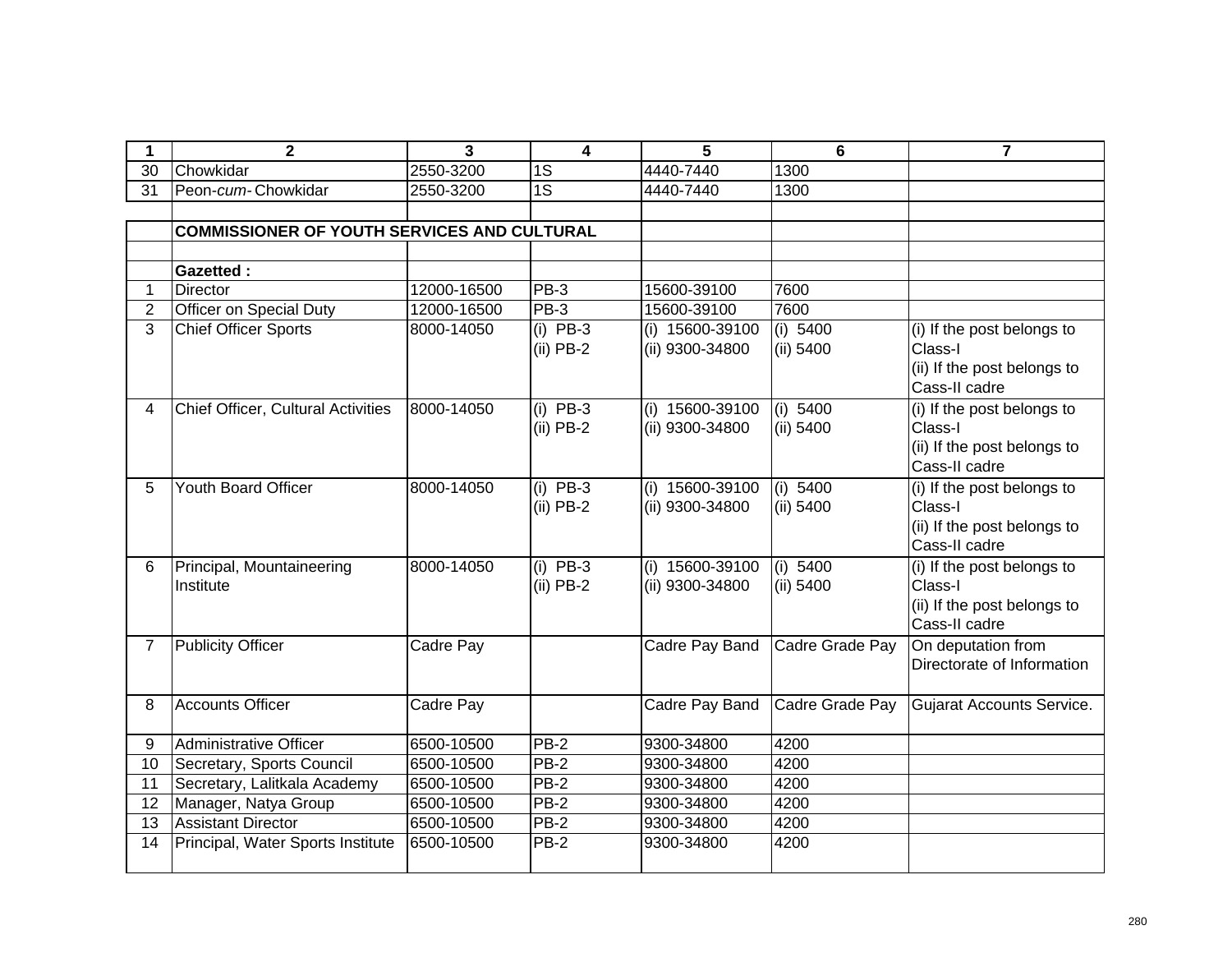|                | $\mathbf{2}$                                       | 3           | 4                         | 5                                  | 6                       | 7                                                                                     |
|----------------|----------------------------------------------------|-------------|---------------------------|------------------------------------|-------------------------|---------------------------------------------------------------------------------------|
| 30             | Chowkidar                                          | 2550-3200   | 1S                        | 4440-7440                          | 1300                    |                                                                                       |
| 31             | Peon-cum-Chowkidar                                 | 2550-3200   | $\overline{1S}$           | 4440-7440                          | 1300                    |                                                                                       |
|                |                                                    |             |                           |                                    |                         |                                                                                       |
|                | <b>COMMISSIONER OF YOUTH SERVICES AND CULTURAL</b> |             |                           |                                    |                         |                                                                                       |
|                |                                                    |             |                           |                                    |                         |                                                                                       |
|                | <b>Gazetted:</b>                                   |             |                           |                                    |                         |                                                                                       |
| $\mathbf 1$    | <b>Director</b>                                    | 12000-16500 | PB-3                      | 15600-39100                        | 7600                    |                                                                                       |
| $\overline{2}$ | Officer on Special Duty                            | 12000-16500 | $PB-3$                    | 15600-39100                        | 7600                    |                                                                                       |
| 3              | <b>Chief Officer Sports</b>                        | 8000-14050  | $(i)$ PB-3<br>$(ii)$ PB-2 | (i) 15600-39100<br>(ii) 9300-34800 | (i) $5400$<br>(ii) 5400 | (i) If the post belongs to<br>Class-I<br>(ii) If the post belongs to<br>Cass-II cadre |
| 4              | <b>Chief Officer, Cultural Activities</b>          | 8000-14050  | $(i)$ PB-3<br>$(ii)$ PB-2 | (i) 15600-39100<br>(ii) 9300-34800 | (i) 5400<br>(ii) 5400   | (i) If the post belongs to<br>Class-I<br>(ii) If the post belongs to<br>Cass-II cadre |
| 5              | <b>Youth Board Officer</b>                         | 8000-14050  | $(i)$ PB-3<br>$(ii)$ PB-2 | (i) 15600-39100<br>(ii) 9300-34800 | (i) 5400<br>(ii) 5400   | (i) If the post belongs to<br>Class-I<br>(ii) If the post belongs to<br>Cass-II cadre |
| 6              | Principal, Mountaineering<br>Institute             | 8000-14050  | $(i)$ PB-3<br>$(ii)$ PB-2 | (i) 15600-39100<br>(ii) 9300-34800 | (i) 5400<br>(ii) 5400   | (i) If the post belongs to<br>Class-I<br>(ii) If the post belongs to<br>Cass-II cadre |
| $\overline{7}$ | Publicity Officer                                  | Cadre Pay   |                           | Cadre Pay Band                     | Cadre Grade Pay         | On deputation from<br>Directorate of Information                                      |
| 8              | Accounts Officer                                   | Cadre Pay   |                           | Cadre Pay Band                     | Cadre Grade Pay         | <b>Gujarat Accounts Service.</b>                                                      |
| 9              | Administrative Officer                             | 6500-10500  | $PB-2$                    | 9300-34800                         | 4200                    |                                                                                       |
| 10             | Secretary, Sports Council                          | 6500-10500  | <b>PB-2</b>               | 9300-34800                         | 4200                    |                                                                                       |
| 11             | Secretary, Lalitkala Academy                       | 6500-10500  | $PB-2$                    | 9300-34800                         | 4200                    |                                                                                       |
| 12             | Manager, Natya Group                               | 6500-10500  | PB-2                      | 9300-34800                         | 4200                    |                                                                                       |
| 13             | <b>Assistant Director</b>                          | 6500-10500  | $PB-2$                    | 9300-34800                         | 4200                    |                                                                                       |
| 14             | Principal, Water Sports Institute                  | 6500-10500  | $PB-2$                    | 9300-34800                         | 4200                    |                                                                                       |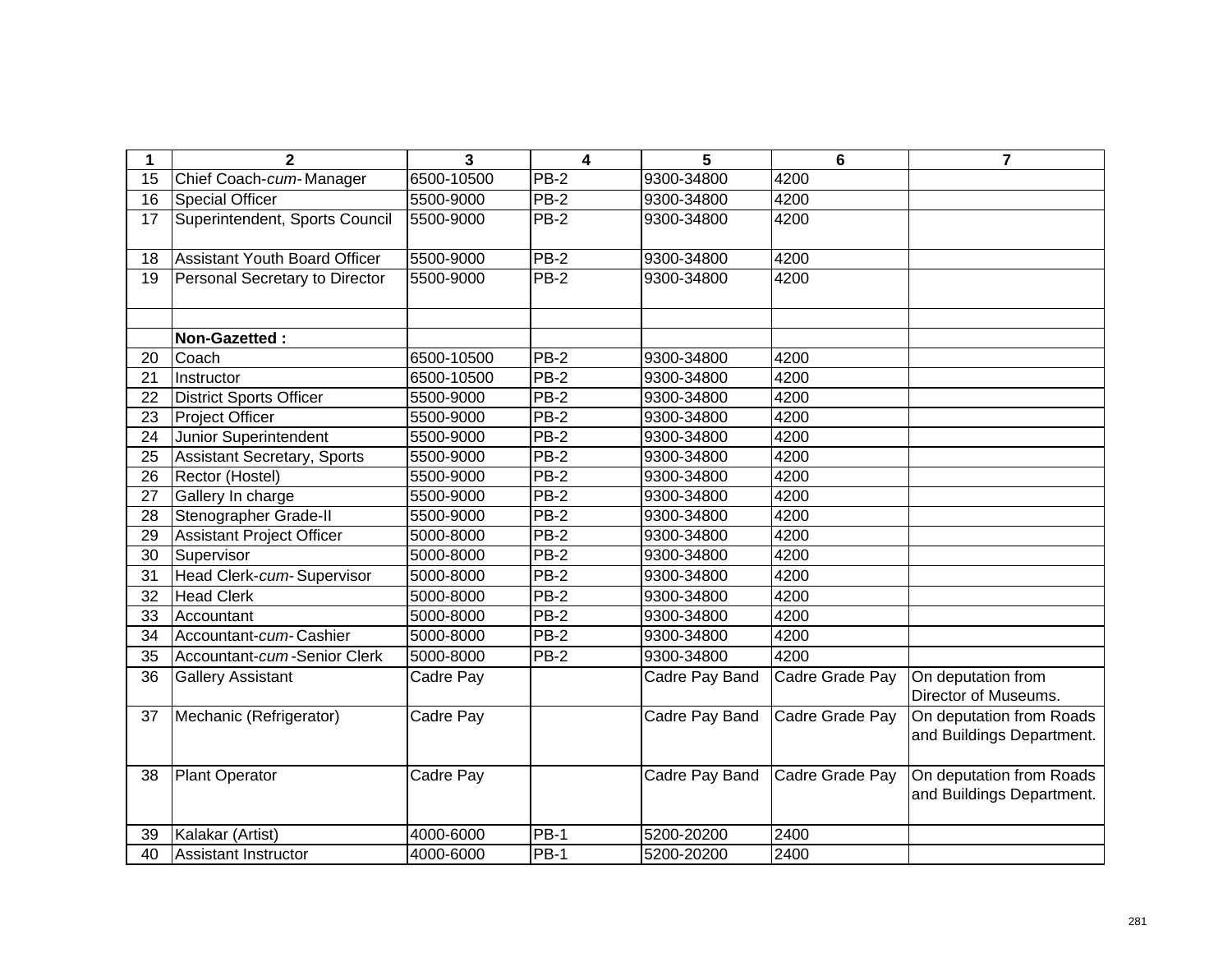| 1               | $\mathbf{2}$                         | 3          | 4           | 5              | 6               | $\overline{\mathbf{z}}$                               |
|-----------------|--------------------------------------|------------|-------------|----------------|-----------------|-------------------------------------------------------|
| 15              | Chief Coach-cum-Manager              | 6500-10500 | <b>PB-2</b> | 9300-34800     | 4200            |                                                       |
| 16              | <b>Special Officer</b>               | 5500-9000  | $PB-2$      | 9300-34800     | 4200            |                                                       |
| 17              | Superintendent, Sports Council       | 5500-9000  | <b>PB-2</b> | 9300-34800     | 4200            |                                                       |
| 18              | <b>Assistant Youth Board Officer</b> | 5500-9000  | <b>PB-2</b> | 9300-34800     | 4200            |                                                       |
| 19              | Personal Secretary to Director       | 5500-9000  | PB-2        | 9300-34800     | 4200            |                                                       |
|                 | Non-Gazetted:                        |            |             |                |                 |                                                       |
| 20              | Coach                                | 6500-10500 | <b>PB-2</b> | 9300-34800     | 4200            |                                                       |
| $\overline{21}$ | Instructor                           | 6500-10500 | $PB-2$      | 9300-34800     | 4200            |                                                       |
| 22              | <b>District Sports Officer</b>       | 5500-9000  | PB-2        | 9300-34800     | 4200            |                                                       |
| 23              | <b>Project Officer</b>               | 5500-9000  | <b>PB-2</b> | 9300-34800     | 4200            |                                                       |
| 24              | Junior Superintendent                | 5500-9000  | <b>PB-2</b> | 9300-34800     | 4200            |                                                       |
| 25              | Assistant Secretary, Sports          | 5500-9000  | <b>PB-2</b> | 9300-34800     | 4200            |                                                       |
| 26              | Rector (Hostel)                      | 5500-9000  | $PB-2$      | 9300-34800     | 4200            |                                                       |
| 27              | Gallery In charge                    | 5500-9000  | <b>PB-2</b> | 9300-34800     | 4200            |                                                       |
| 28              | Stenographer Grade-II                | 5500-9000  | <b>PB-2</b> | 9300-34800     | 4200            |                                                       |
| 29              | <b>Assistant Project Officer</b>     | 5000-8000  | <b>PB-2</b> | 9300-34800     | 4200            |                                                       |
| 30              | Supervisor                           | 5000-8000  | <b>PB-2</b> | 9300-34800     | 4200            |                                                       |
| 31              | Head Clerk-cum-Supervisor            | 5000-8000  | <b>PB-2</b> | 9300-34800     | 4200            |                                                       |
| 32              | <b>Head Clerk</b>                    | 5000-8000  | <b>PB-2</b> | 9300-34800     | 4200            |                                                       |
| 33              | Accountant                           | 5000-8000  | <b>PB-2</b> | 9300-34800     | 4200            |                                                       |
| 34              | Accountant-cum-Cashier               | 5000-8000  | $PB-2$      | 9300-34800     | 4200            |                                                       |
| 35              | Accountant-cum-Senior Clerk          | 5000-8000  | PB-2        | 9300-34800     | 4200            |                                                       |
| 36              | <b>Gallery Assistant</b>             | Cadre Pay  |             | Cadre Pay Band | Cadre Grade Pay | On deputation from                                    |
|                 |                                      |            |             |                |                 | Director of Museums.                                  |
| 37              | Mechanic (Refrigerator)              | Cadre Pay  |             | Cadre Pay Band | Cadre Grade Pay | On deputation from Roads<br>and Buildings Department. |
| 38              | <b>Plant Operator</b>                | Cadre Pay  |             | Cadre Pay Band | Cadre Grade Pay | On deputation from Roads<br>and Buildings Department. |
| 39              | Kalakar (Artist)                     | 4000-6000  | <b>PB-1</b> | 5200-20200     | 2400            |                                                       |
| 40              | <b>Assistant Instructor</b>          | 4000-6000  | <b>PB-1</b> | 5200-20200     | 2400            |                                                       |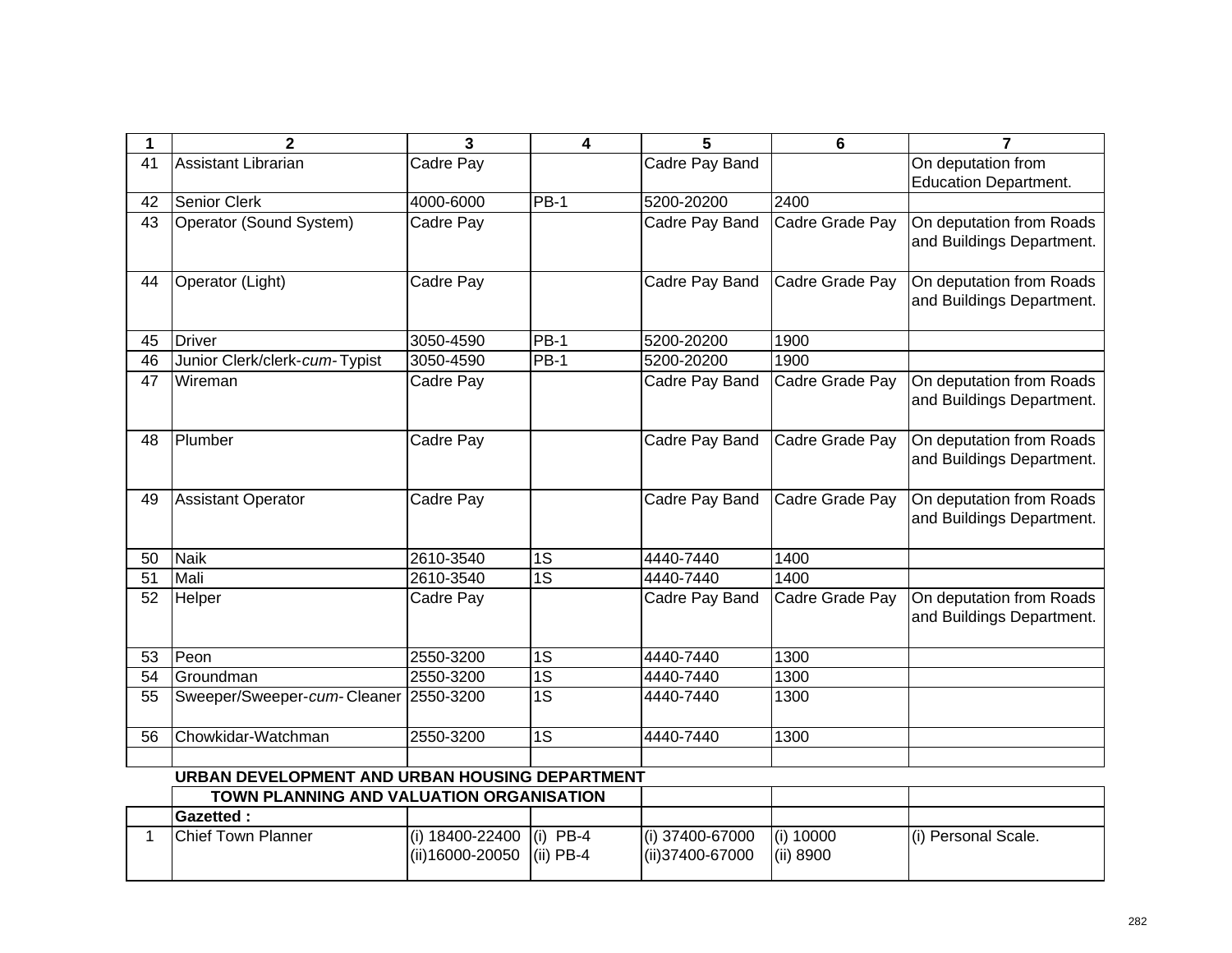| 1           | 2                                              | 3               | 4                     | 5                      | 6               | 7                            |
|-------------|------------------------------------------------|-----------------|-----------------------|------------------------|-----------------|------------------------------|
| 41          | Assistant Librarian                            | Cadre Pay       |                       | Cadre Pay Band         |                 | On deputation from           |
|             |                                                |                 |                       |                        |                 | <b>Education Department.</b> |
| 42          | Senior Clerk                                   | 4000-6000       | $PB-1$                | 5200-20200             | 2400            |                              |
| 43          | Operator (Sound System)                        | Cadre Pay       |                       | Cadre Pay Band         | Cadre Grade Pay | On deputation from Roads     |
|             |                                                |                 |                       |                        |                 | and Buildings Department.    |
|             |                                                |                 |                       |                        |                 |                              |
| 44          | Operator (Light)                               | Cadre Pay       |                       | Cadre Pay Band         | Cadre Grade Pay | On deputation from Roads     |
|             |                                                |                 |                       |                        |                 | and Buildings Department.    |
|             |                                                |                 |                       |                        |                 |                              |
| 45          | <b>Driver</b>                                  | 3050-4590       | <b>PB-1</b>           | 5200-20200             | 1900            |                              |
| 46          | Junior Clerk/clerk-cum-Typist                  | 3050-4590       | $PB-1$                | 5200-20200             | 1900            |                              |
| 47          | Wireman                                        | Cadre Pay       |                       | Cadre Pay Band         | Cadre Grade Pay | On deputation from Roads     |
|             |                                                |                 |                       |                        |                 | and Buildings Department.    |
|             |                                                |                 |                       |                        |                 |                              |
| 48          | Plumber                                        | Cadre Pay       |                       | Cadre Pay Band         | Cadre Grade Pay | On deputation from Roads     |
|             |                                                |                 |                       |                        |                 | and Buildings Department.    |
|             |                                                |                 |                       |                        |                 |                              |
| 49          | <b>Assistant Operator</b>                      | Cadre Pay       |                       | Cadre Pay Band         | Cadre Grade Pay | On deputation from Roads     |
|             |                                                |                 |                       |                        |                 | and Buildings Department.    |
|             |                                                |                 |                       |                        |                 |                              |
| 50          | <b>Naik</b><br>Mali                            | 2610-3540       | 1S<br>$\overline{1S}$ | 4440-7440<br>4440-7440 | 1400            |                              |
| 51          |                                                | 2610-3540       |                       |                        | 1400            |                              |
| 52          | Helper                                         | Cadre Pay       |                       | Cadre Pay Band         | Cadre Grade Pay | On deputation from Roads     |
|             |                                                |                 |                       |                        |                 | and Buildings Department.    |
| 53          | Peon                                           | 2550-3200       | 1S                    | 4440-7440              | 1300            |                              |
| 54          | Groundman                                      | 2550-3200       | $\overline{1S}$       | 4440-7440              | 1300            |                              |
| 55          | Sweeper/Sweeper-cum-Cleaner                    | 2550-3200       | $\overline{1S}$       | 4440-7440              | 1300            |                              |
|             |                                                |                 |                       |                        |                 |                              |
| 56          | Chowkidar-Watchman                             | 2550-3200       | $\overline{1S}$       | 4440-7440              | 1300            |                              |
|             |                                                |                 |                       |                        |                 |                              |
|             | URBAN DEVELOPMENT AND URBAN HOUSING DEPARTMENT |                 |                       |                        |                 |                              |
|             | TOWN PLANNING AND VALUATION ORGANISATION       |                 |                       |                        |                 |                              |
|             | <b>Gazetted:</b>                               |                 |                       |                        |                 |                              |
| $\mathbf 1$ | <b>Chief Town Planner</b>                      | (i) 18400-22400 | $(i)$ PB-4            | (i) 37400-67000        | (i) 10000       | (i) Personal Scale.          |
|             |                                                | (ii)16000-20050 | $(ii)$ PB-4           | (ii)37400-67000        | (ii) 8900       |                              |
|             |                                                |                 |                       |                        |                 |                              |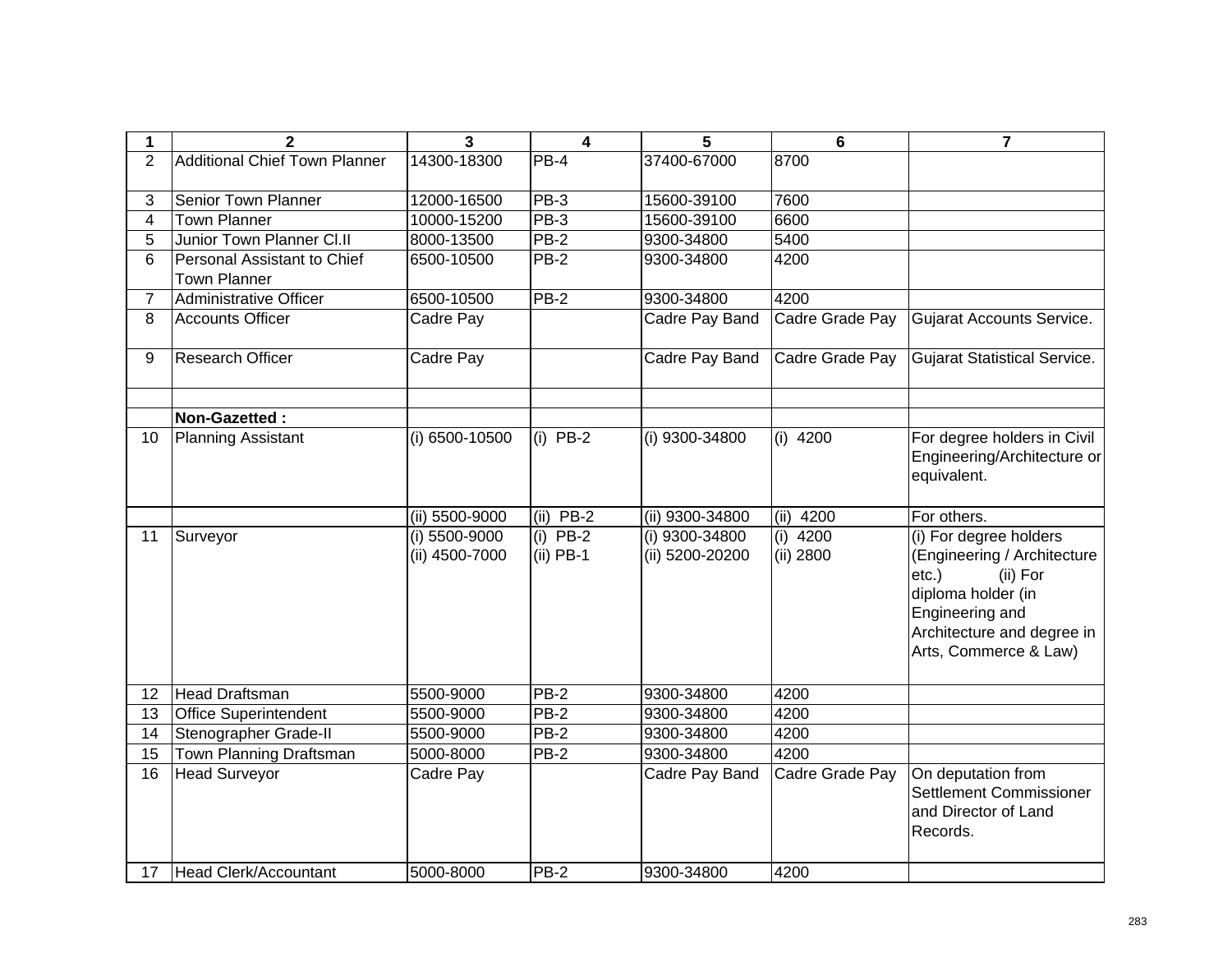| 1               | $\mathbf{2}$                                       | 3                               | 4                            | 5                                 | 6                       | $\overline{7}$                                                                                                                                                                |
|-----------------|----------------------------------------------------|---------------------------------|------------------------------|-----------------------------------|-------------------------|-------------------------------------------------------------------------------------------------------------------------------------------------------------------------------|
| $\overline{2}$  | <b>Additional Chief Town Planner</b>               | 14300-18300                     | $PB-4$                       | 37400-67000                       | 8700                    |                                                                                                                                                                               |
| 3               | Senior Town Planner                                | 12000-16500                     | PB-3                         | 15600-39100                       | 7600                    |                                                                                                                                                                               |
| $\overline{4}$  | <b>Town Planner</b>                                | 10000-15200                     | $PB-3$                       | 15600-39100                       | 6600                    |                                                                                                                                                                               |
| 5               | Junior Town Planner Cl.II                          | 8000-13500                      | $PB-2$                       | 9300-34800                        | 5400                    |                                                                                                                                                                               |
| 6               | Personal Assistant to Chief<br><b>Town Planner</b> | 6500-10500                      | <b>PB-2</b>                  | 9300-34800                        | 4200                    |                                                                                                                                                                               |
| $\overline{7}$  | Administrative Officer                             | 6500-10500                      | $PB-2$                       | 9300-34800                        | 4200                    |                                                                                                                                                                               |
| 8               | <b>Accounts Officer</b>                            | Cadre Pay                       |                              | Cadre Pay Band                    | Cadre Grade Pay         | Gujarat Accounts Service.                                                                                                                                                     |
| 9               | Research Officer                                   | Cadre Pay                       |                              | Cadre Pay Band                    | Cadre Grade Pay         | Gujarat Statistical Service.                                                                                                                                                  |
|                 | Non-Gazetted:                                      |                                 |                              |                                   |                         |                                                                                                                                                                               |
| 10              | Planning Assistant                                 | (i) 6500-10500                  | $(i)$ PB-2                   | (i) 9300-34800                    | $(i)$ 4200              | For degree holders in Civil<br>Engineering/Architecture or<br>equivalent.                                                                                                     |
|                 |                                                    | (ii) 5500-9000                  | $(ii)$ PB-2                  | (ii) 9300-34800                   | (ii)<br>4200            | For others.                                                                                                                                                                   |
| 11              | Surveyor                                           | (i) 5500-9000<br>(ii) 4500-7000 | $PB-2$<br>(i)<br>$(ii)$ PB-1 | (i) 9300-34800<br>(ii) 5200-20200 | $(i)$ 4200<br>(ii) 2800 | (i) For degree holders<br>(Engineering / Architecture<br>(ii) For<br>$etc.$ )<br>diploma holder (in<br>Engineering and<br>Architecture and degree in<br>Arts, Commerce & Law) |
| 12              | Head Draftsman                                     | 5500-9000                       | PB-2                         | 9300-34800                        | 4200                    |                                                                                                                                                                               |
| 13              | <b>Office Superintendent</b>                       | 5500-9000                       | $PB-2$                       | 9300-34800                        | 4200                    |                                                                                                                                                                               |
| 14              | Stenographer Grade-II                              | 5500-9000                       | $PB-2$                       | 9300-34800                        | 4200                    |                                                                                                                                                                               |
| $\overline{15}$ | Town Planning Draftsman                            | 5000-8000                       | $PB-2$                       | 9300-34800                        | 4200                    |                                                                                                                                                                               |
| 16              | <b>Head Surveyor</b>                               | Cadre Pay                       |                              | Cadre Pay Band                    | Cadre Grade Pay         | On deputation from<br><b>Settlement Commissioner</b><br>and Director of Land<br>Records.                                                                                      |
|                 | 17 Head Clerk/Accountant                           | 5000-8000                       | $PB-2$                       | 9300-34800                        | 4200                    |                                                                                                                                                                               |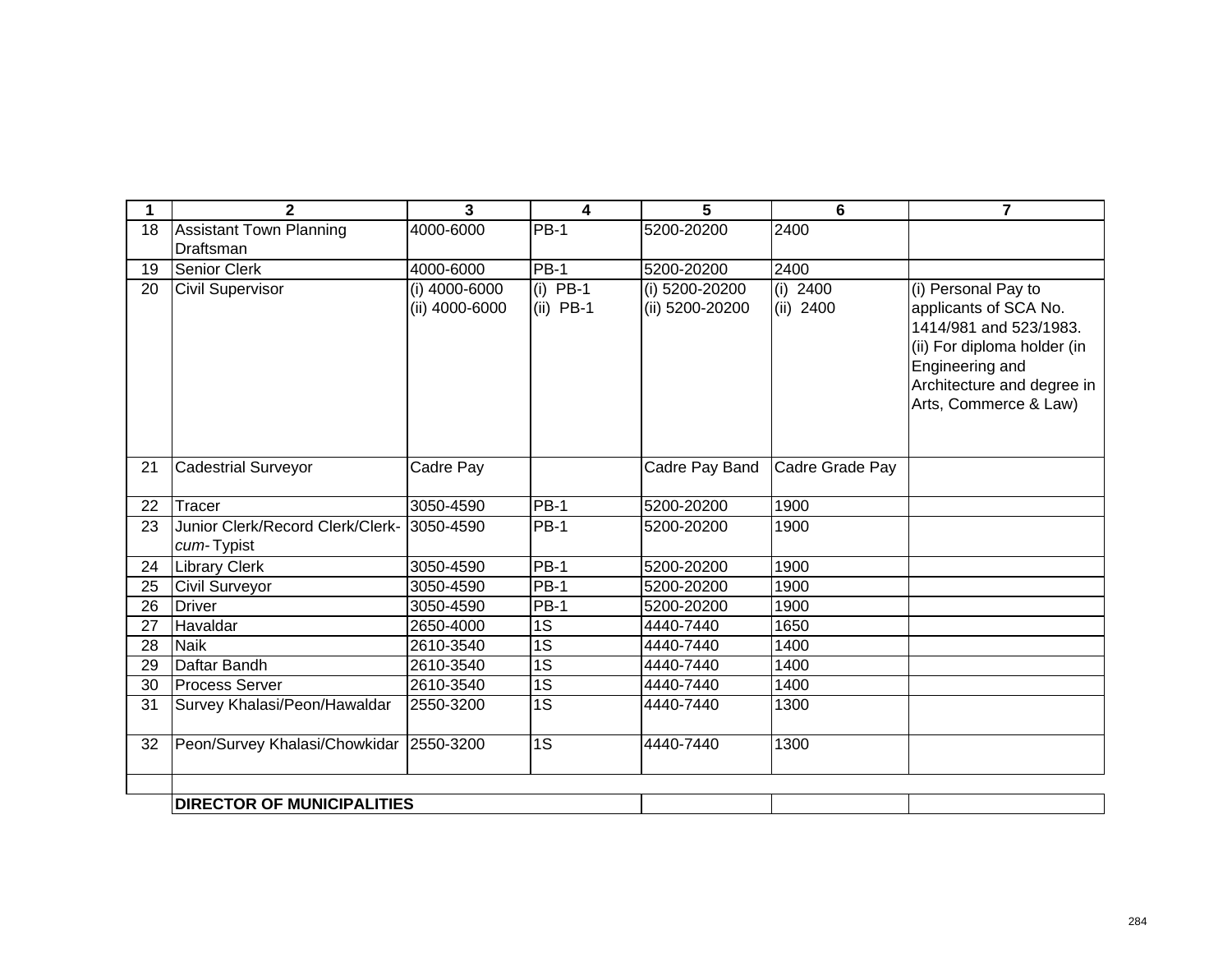| 1  | $\mathbf{2}$                            | 3              | 4               | 5               | 6               | $\overline{\mathbf{z}}$                         |
|----|-----------------------------------------|----------------|-----------------|-----------------|-----------------|-------------------------------------------------|
| 18 | <b>Assistant Town Planning</b>          | 4000-6000      | <b>PB-1</b>     | 5200-20200      | 2400            |                                                 |
|    | <b>Draftsman</b>                        |                |                 |                 |                 |                                                 |
| 19 | <b>Senior Clerk</b>                     | 4000-6000      | <b>PB-1</b>     | 5200-20200      | 2400            |                                                 |
| 20 | <b>Civil Supervisor</b>                 | (i) 4000-6000  | (i) $PB-1$      | (i) 5200-20200  | (i) $2400$      | (i) Personal Pay to                             |
|    |                                         | (ii) 4000-6000 | $(ii)$ PB-1     | (ii) 5200-20200 | (ii) 2400       | applicants of SCA No.<br>1414/981 and 523/1983. |
|    |                                         |                |                 |                 |                 | (ii) For diploma holder (in                     |
|    |                                         |                |                 |                 |                 | Engineering and                                 |
|    |                                         |                |                 |                 |                 | Architecture and degree in                      |
|    |                                         |                |                 |                 |                 | Arts, Commerce & Law)                           |
|    |                                         |                |                 |                 |                 |                                                 |
|    |                                         |                |                 |                 |                 |                                                 |
| 21 | <b>Cadestrial Surveyor</b>              | Cadre Pay      |                 | Cadre Pay Band  | Cadre Grade Pay |                                                 |
| 22 | Tracer                                  | 3050-4590      | <b>PB-1</b>     | 5200-20200      | 1900            |                                                 |
| 23 | Junior Clerk/Record Clerk/Clerk-        | 3050-4590      | $PB-1$          | 5200-20200      | 1900            |                                                 |
|    | cum-Typist                              |                |                 |                 |                 |                                                 |
| 24 | Library Clerk                           | 3050-4590      | $PB-1$          | 5200-20200      | 1900            |                                                 |
| 25 | Civil Surveyor                          | 3050-4590      | $PB-1$          | 5200-20200      | 1900            |                                                 |
| 26 | <b>Driver</b>                           | 3050-4590      | <b>PB-1</b>     | 5200-20200      | 1900            |                                                 |
| 27 | Havaldar                                | 2650-4000      | 1S              | 4440-7440       | 1650            |                                                 |
| 28 | <b>Naik</b>                             | 2610-3540      | 1S              | 4440-7440       | 1400            |                                                 |
| 29 | Daftar Bandh                            | 2610-3540      | 1S              | 4440-7440       | 1400            |                                                 |
| 30 | <b>Process Server</b>                   | 2610-3540      | 1S              | 4440-7440       | 1400            |                                                 |
| 31 | Survey Khalasi/Peon/Hawaldar            | 2550-3200      | $\overline{1S}$ | 4440-7440       | 1300            |                                                 |
|    |                                         |                |                 |                 |                 |                                                 |
| 32 | Peon/Survey Khalasi/Chowkidar 2550-3200 |                | 1S              | 4440-7440       | 1300            |                                                 |
|    |                                         |                |                 |                 |                 |                                                 |
|    | <b>DIRECTOR OF MUNICIPALITIES</b>       |                |                 |                 |                 |                                                 |
|    |                                         |                |                 |                 |                 |                                                 |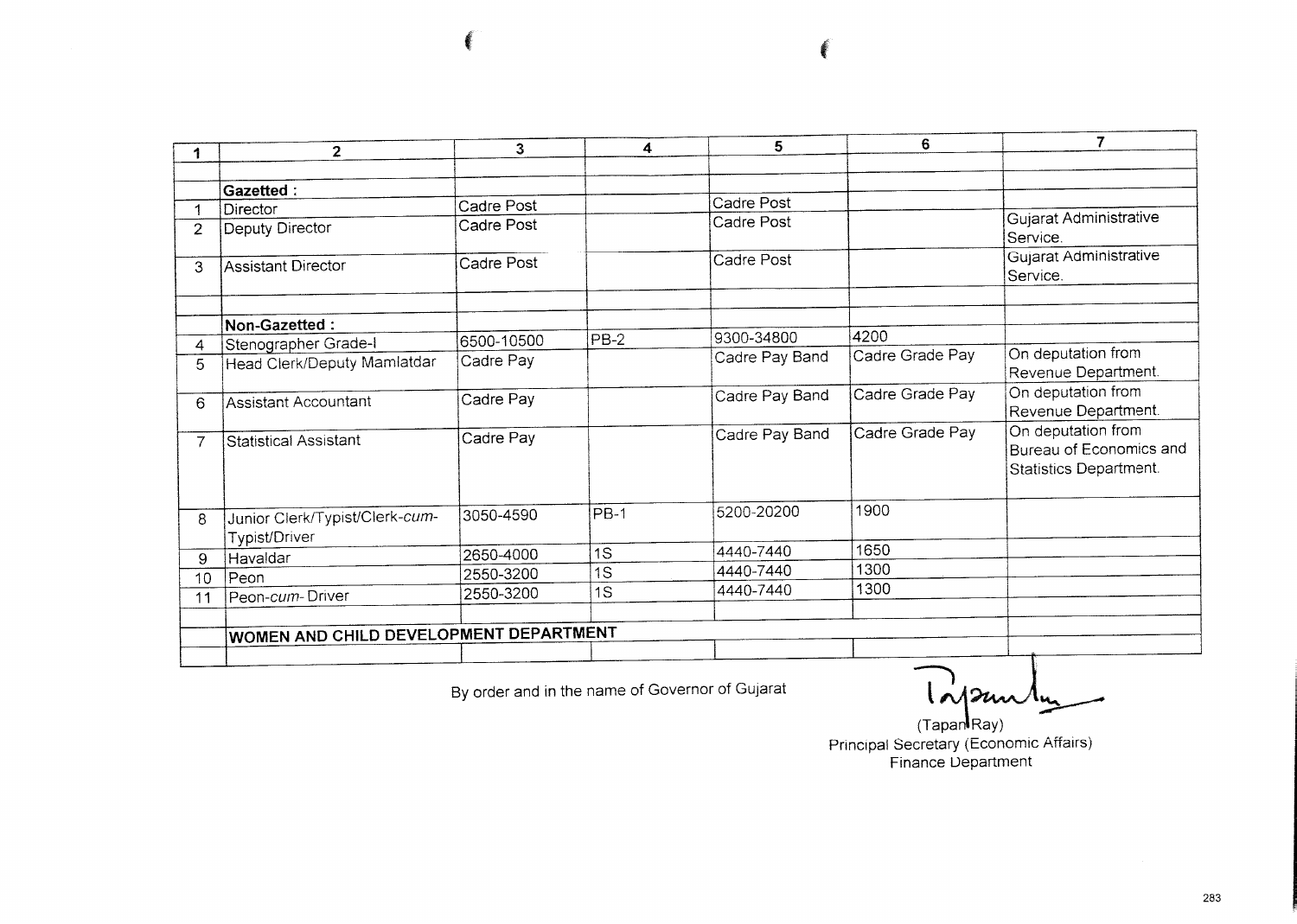$\overline{7}$  $6<sup>1</sup>$  $\overline{5}$  $3<sup>1</sup>$  $\overline{\bf{4}}$  $2<sup>1</sup>$  $\mathbf{1}$ Gazetted : Cadre Post Cadre Post  $\overline{1}$ Director Gujarat Administrative Cadre Post Cadre Post Deputy Director  $\overline{2}$ Service. Gujarat Administrative Cadre Post Cadre Post Assistant Director  $\mathbf{3}$ Service. Non-Gazetted: 9300-34800 4200  $PB-2$ 6500-10500 Stenographer Grade-I  $\overline{4}$ On deputation from Cadre Grade Pay Cadre Pay Band Cadre Pay Head Clerk/Deputy Mamlatdar 5 Revenue Department. On deputation from Cadre Pay Band Cadre Grade Pay Cadre Pay **Assistant Accountant** 6 Revenue Department. On deputation from Cadre Grade Pay Cadre Pay Band Cadre Pay Statistical Assistant  $\overline{7}$ Bureau of Economics and Statistics Department. 1900 5200-20200  $PB-1$ 3050-4590 Junior Clerk/Typist/Clerk-cum-8 Typist/Driver 4440-7440 1650  $\overline{1s}$ 2650-4000 Havaldar  $9$ 1300 4440-7440  $\overline{1S}$ 2550-3200  $Teon$  $10$ 1300  $\overline{1S}$ 4440-7440 2550-3200 Peon-cum-Driver  $11$ WOMEN AND CHILD DEVELOPMENT DEPARTMENT

By order and in the name of Governor of Gujarat

Inpunty

(TapanRay) Principal Secretary (Economic Affairs) **Finance Department**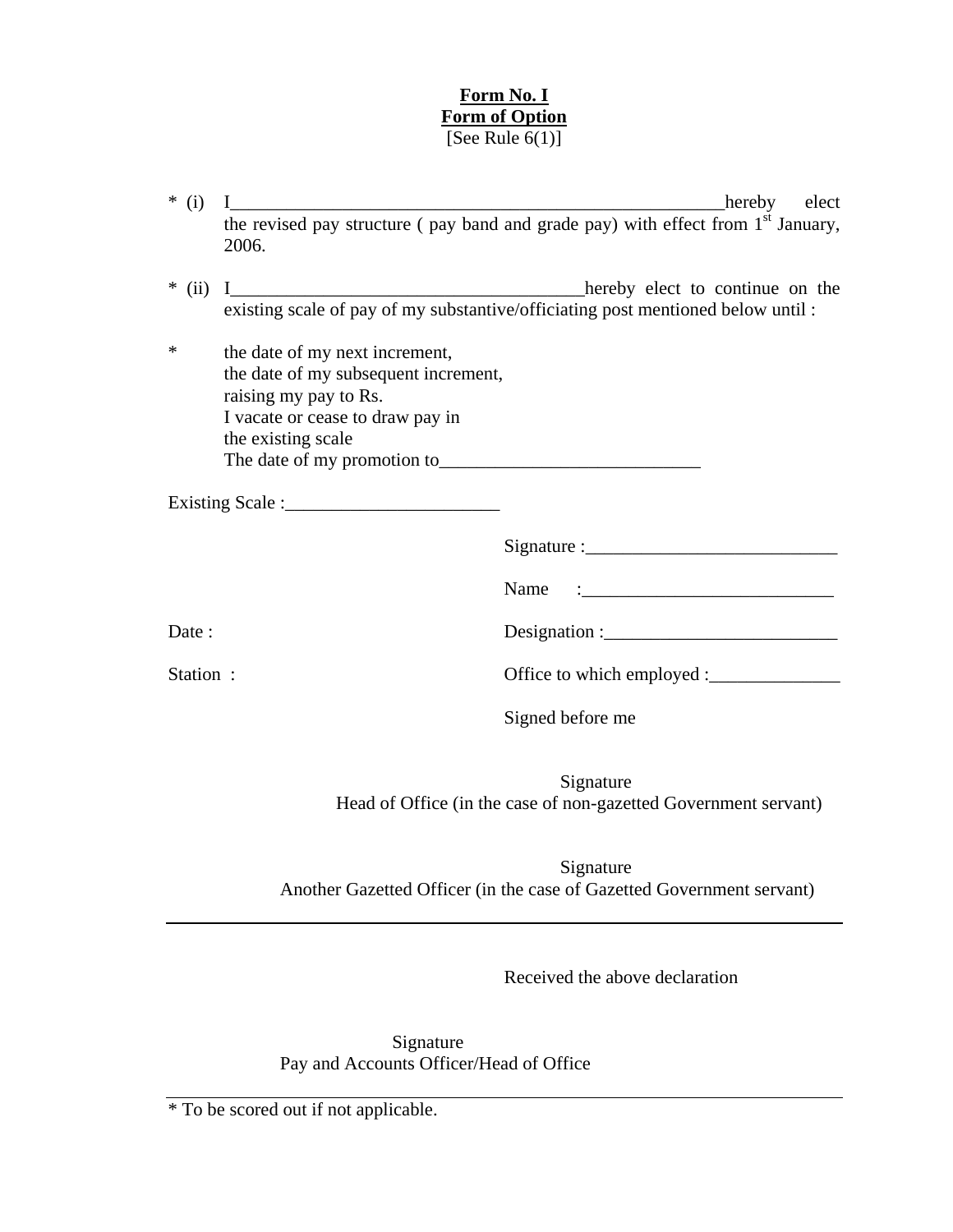## **Form No. I Form of Option** [See Rule  $6(1)$ ]

| $*(i)$   |                                                                                                                                                           | hereby elect                                                                                                                                                |
|----------|-----------------------------------------------------------------------------------------------------------------------------------------------------------|-------------------------------------------------------------------------------------------------------------------------------------------------------------|
|          | 2006.                                                                                                                                                     | the revised pay structure (pay band and grade pay) with effect from 1 <sup>st</sup> January,                                                                |
|          |                                                                                                                                                           | * (ii) I________________________________hereby elect to continue on the<br>existing scale of pay of my substantive/officiating post mentioned below until : |
| *        | the date of my next increment,<br>the date of my subsequent increment,<br>raising my pay to Rs.<br>I vacate or cease to draw pay in<br>the existing scale |                                                                                                                                                             |
|          |                                                                                                                                                           |                                                                                                                                                             |
|          |                                                                                                                                                           |                                                                                                                                                             |
|          |                                                                                                                                                           | Name                                                                                                                                                        |
| Date :   |                                                                                                                                                           | Designation : $\frac{1}{1}$                                                                                                                                 |
| Station: |                                                                                                                                                           |                                                                                                                                                             |
|          |                                                                                                                                                           | Signed before me                                                                                                                                            |
|          |                                                                                                                                                           | Signature<br>Head of Office (in the case of non-gazetted Government servant)                                                                                |

 Signature Another Gazetted Officer (in the case of Gazetted Government servant)

Received the above declaration

 Signature Pay and Accounts Officer/Head of Office

\* To be scored out if not applicable.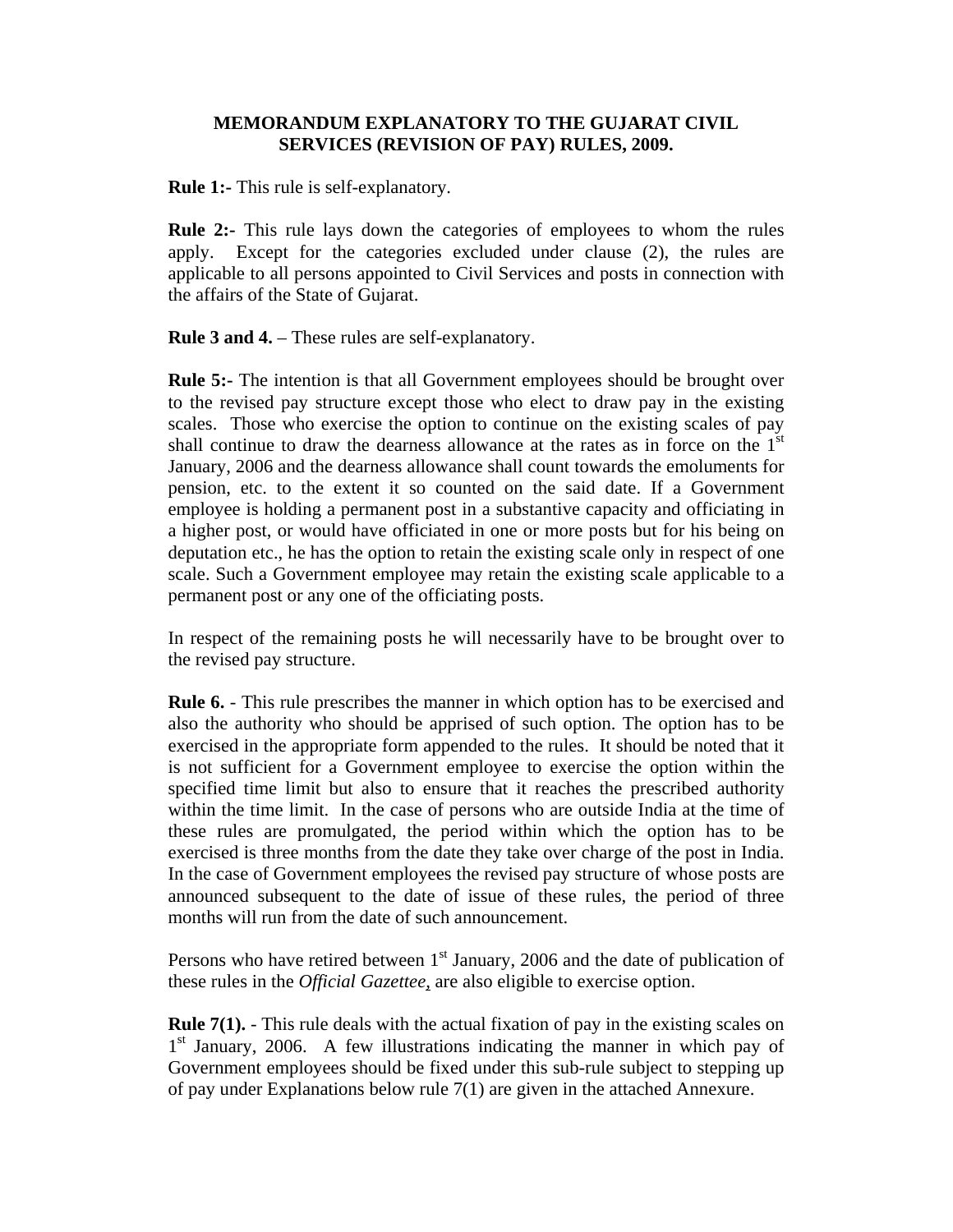## **MEMORANDUM EXPLANATORY TO THE GUJARAT CIVIL SERVICES (REVISION OF PAY) RULES, 2009.**

**Rule 1:-** This rule is self-explanatory.

**Rule 2:-** This rule lays down the categories of employees to whom the rules apply. Except for the categories excluded under clause (2), the rules are applicable to all persons appointed to Civil Services and posts in connection with the affairs of the State of Gujarat.

**Rule 3 and 4.** – These rules are self-explanatory.

**Rule 5:-** The intention is that all Government employees should be brought over to the revised pay structure except those who elect to draw pay in the existing scales. Those who exercise the option to continue on the existing scales of pay shall continue to draw the dearness allowance at the rates as in force on the  $1<sup>st</sup>$ January, 2006 and the dearness allowance shall count towards the emoluments for pension, etc. to the extent it so counted on the said date. If a Government employee is holding a permanent post in a substantive capacity and officiating in a higher post, or would have officiated in one or more posts but for his being on deputation etc., he has the option to retain the existing scale only in respect of one scale. Such a Government employee may retain the existing scale applicable to a permanent post or any one of the officiating posts.

In respect of the remaining posts he will necessarily have to be brought over to the revised pay structure.

**Rule 6.** - This rule prescribes the manner in which option has to be exercised and also the authority who should be apprised of such option. The option has to be exercised in the appropriate form appended to the rules. It should be noted that it is not sufficient for a Government employee to exercise the option within the specified time limit but also to ensure that it reaches the prescribed authority within the time limit. In the case of persons who are outside India at the time of these rules are promulgated, the period within which the option has to be exercised is three months from the date they take over charge of the post in India. In the case of Government employees the revised pay structure of whose posts are announced subsequent to the date of issue of these rules, the period of three months will run from the date of such announcement.

Persons who have retired between  $1<sup>st</sup>$  January, 2006 and the date of publication of these rules in the *Official Gazettee,* are also eligible to exercise option.

**Rule 7(1).** - This rule deals with the actual fixation of pay in the existing scales on  $1<sup>st</sup>$  January, 2006. A few illustrations indicating the manner in which pay of Government employees should be fixed under this sub-rule subject to stepping up of pay under Explanations below rule 7(1) are given in the attached Annexure.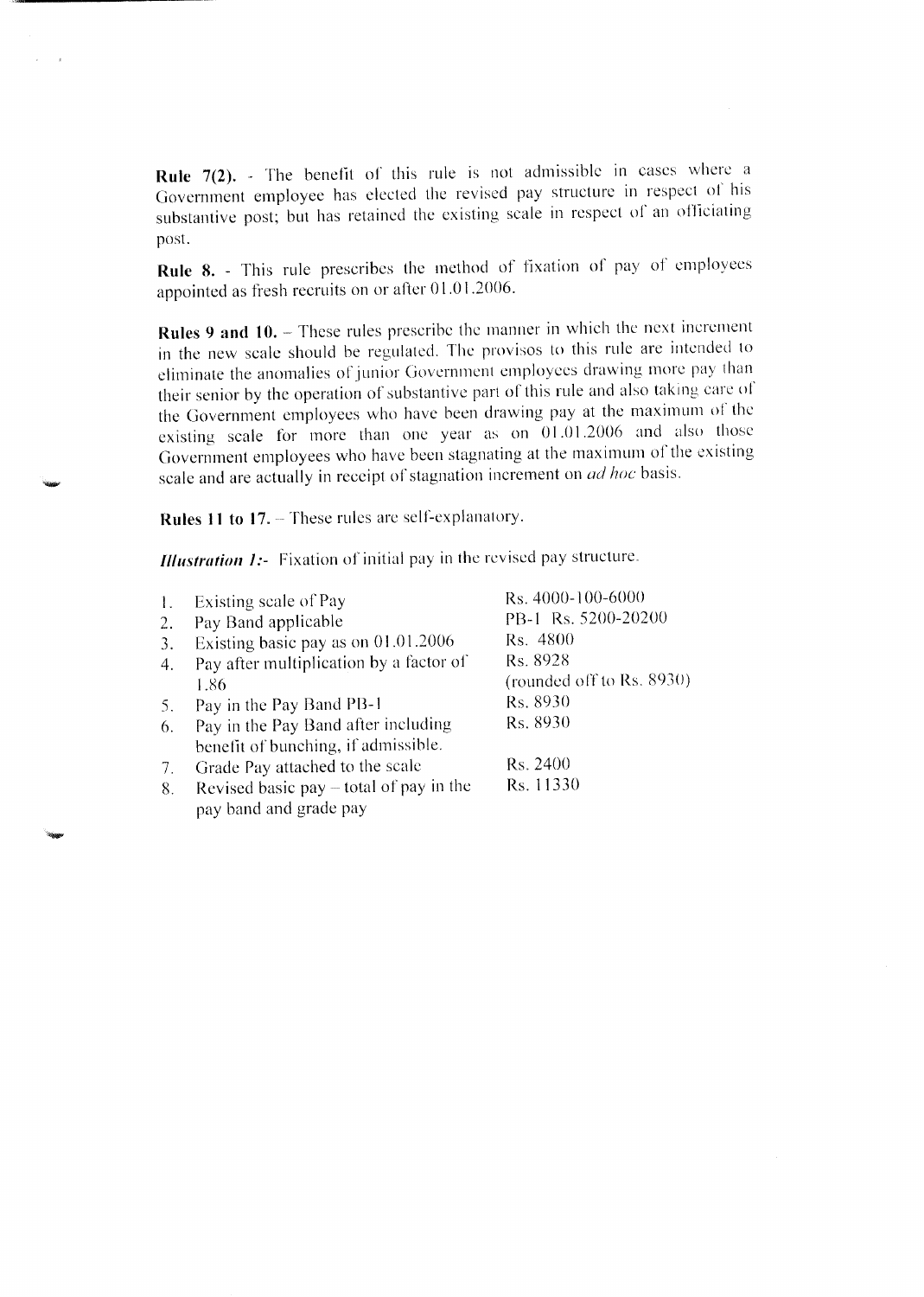**Rule 7(2).** - The benefit of this rule is not admissible in cases where a Government employee has elected the revised pay structure in respect of his substantive post; but has retained the existing scale in respect of an officiating post.

Rule 8. - This rule prescribes the method of fixation of pay of employees appointed as fresh recruits on or after 01.01.2006.

Rules 9 and 10. – These rules prescribe the manner in which the next increment in the new scale should be regulated. The provisos to this rule are intended to eliminate the anomalies of junior Government employees drawing more pay than their senior by the operation of substantive part of this rule and also taking care of the Government employees who have been drawing pay at the maximum of the existing scale for more than one year as on  $01.01.2006$  and also those Government employees who have been stagnating at the maximum of the existing scale and are actually in receipt of stagnation increment on *ad hoc* basis.

Rules 11 to 17. - These rules are self-explanatory.

 $\mathbf{r}$ 

**Illustration 1:-** Fixation of initial pay in the revised pay structure.

|    | Existing scale of Pay                     | Rs. 4000-100-6000         |
|----|-------------------------------------------|---------------------------|
| 2. | Pay Band applicable                       | PB-1 Rs. 5200-20200       |
| 3. | Existing basic pay as on 01.01.2006       | Rs. 4800                  |
| 4. | Pay after multiplication by a factor of   | Rs. 8928                  |
|    | 1.86                                      | (rounded off to Rs. 8930) |
| 5. | Pay in the Pay Band PB-1                  | Rs. 8930                  |
| 6. | Pay in the Pay Band after including       | Rs. 8930                  |
|    | benefit of bunching, if admissible.       |                           |
| 7. | Grade Pay attached to the scale           | Rs. 2400                  |
| 8. | Revised basic pay $-$ total of pay in the | Rs. 11330                 |
|    | pay band and grade pay                    |                           |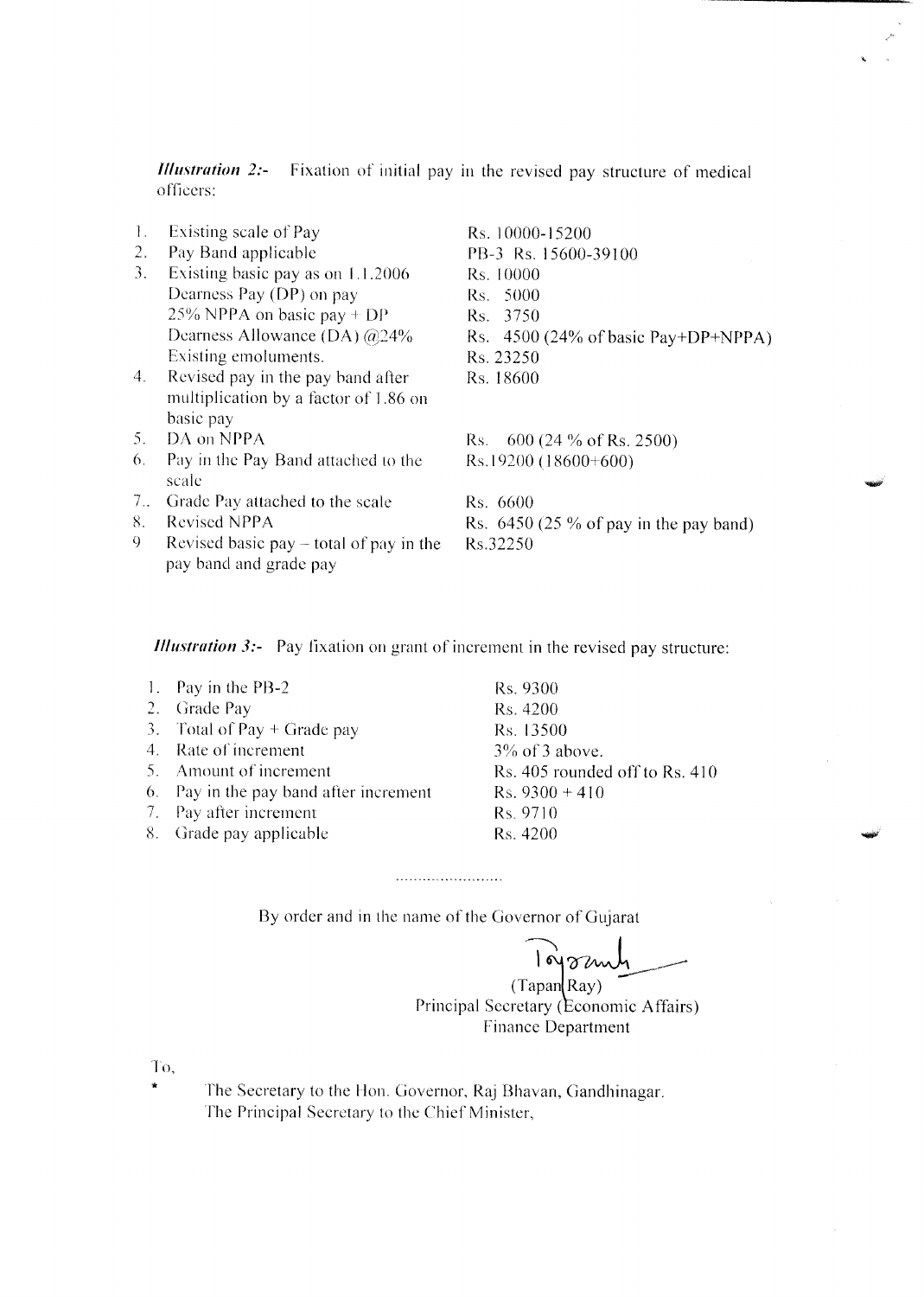Fixation of initial pay in the revised pay structure of medical **Illustration 2:**officers:

- $1.$ Existing scale of Pay
- 2. Pay Band applicable
- 3. Existing basic pay as on 1.1.2006 Dearness Pay (DP) on pay 25% NPPA on basic pay  $+DP$ Dearness Allowance (DA) @24% Existing emoluments.
- $4.$ Revised pay in the pay band after multiplication by a factor of 1.86 on basic pay
- DA on NPPA  $5.$
- 6. Pay in the Pay Band attached to the scale
- 7.. Grade Pay attached to the scale
- 8. Revised NPPA
- $Q$ Revised basic pay  $-$  total of pay in the pay band and grade pay

Rs. 10000-15200 PB-3 Rs. 15600-39100 Rs. 10000 Rs. 5000 Rs. 3750 Rs. 4500 (24% of basic Pay+DP+NPPA) Rs. 23250 Rs. 18600

Rs. 600 (24 % of Rs. 2500) Rs.19200 (18600+600)

Rs. 6600 Rs.  $6450(25\% \text{ of pay in the pay band})$ Rs.32250

*Illustration 3:*- Pay fixation on grant of increment in the revised pay structure:

- 1. Pay in the PB-2 2. Grade Pay
- 3. Total of Pay  $+$  Grade pay
- 4. Rate of increment
- 5. Amount of increment
- 6. Pay in the pay band after increment
- 7. Pay after increment
- 8. Grade pay applicable

Rs. 9300 Rs. 4200 Rs. 13500  $3\%$  of 3 above. Rs. 405 rounded off to Rs. 410  $Rs. 9300 + 410$ Rs. 9710 Rs. 4200

By order and in the name of the Governor of Gujarat

. . . . . . . . . . . . . . . . . . . .

lojoznih

 $(Tapan$  $Ray)$ Principal Secretary (Economic Affairs) **Finance Department** 

To.

The Secretary to the Hon. Governor, Raj Bhavan, Gandhinagar. The Principal Secretary to the Chief Minister,